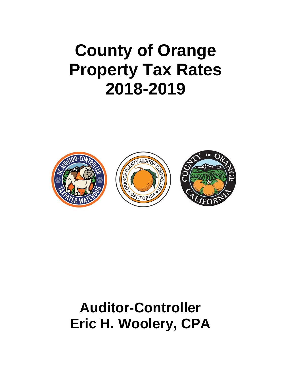# **County of Orange Property Tax Rates 2018-2019**



## **Auditor-Controller Eric H. Woolery, CPA**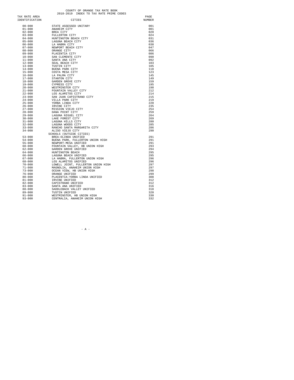### COUNTY OF ORANGE TAX RATE BOOK<br>2018-2019 INDEX TO TAX RATE PRIME CODES

| TAX RATE AREA  |                                    | PAGE   |
|----------------|------------------------------------|--------|
| IDENTIFICATION | CITIES                             | NUMBER |
|                |                                    |        |
| $00 - 000$     | STATE ASSESSED UNITARY             | 001    |
| $01 - 000$     | ANAHEIM CITY                       | 001    |
| $02 - 000$     | BREA CITY                          | 020    |
| $03 - 000$     | FULLERTON CITY                     | 024    |
| $04 - 000$     | HUNTINGTON BEACH CITY              | 031    |
| $05 - 000$     | LAGUNA BEACH CITY                  | 036    |
| $06 - 000$     | LA HABRA CITY                      | 038    |
| $07 - 000$     | NEWPORT BEACH CITY                 | 047    |
| $08 - 000$     | ORANGE CITY                        | 066    |
| $09 - 000$     | PLACENTIA CITY                     | 086    |
| 10-000         | SAN CLEMENTE CITY                  | 090    |
| $11 - 000$     | SANTA ANA CITY                     | 092    |
| $12 - 000$     | SEAL BEACH CITY                    | 103    |
| $13 - 000$     | TUSTIN CITY                        | 105    |
| $14 - 000$     | BUENA PARK CITY                    | 118    |
| $15 - 000$     | COSTA MESA CITY                    | 123    |
| 16-000         | LA PALMA CITY                      | 145    |
| $17 - 000$     | STANTON CITY                       | 149    |
| $18 - 000$     | GARDEN GROVE CITY                  | 159    |
| $19 - 000$     | CYPRESS CITY                       | 195    |
| $20 - 000$     | WESTMINSTER CITY                   | 198    |
| $21 - 000$     | FOUNTAIN VALLEY CITY               | 212    |
| $22 - 000$     | LOS ALAMITOS CITY                  | 214    |
| $23 - 000$     | SAN JUAN CAPISTRANO CITY           | 215    |
| 24-000         | VILLA PARK CITY                    | 219    |
| $25 - 000$     | YORBA LINDA CITY                   | 220    |
| 26-000         | IRVINE CITY                        | 235    |
| $27 - 000$     | MISSION VIEJO CITY                 | 254    |
| 28-000         | DANA POINT CITY                    | 259    |
| $29 - 000$     | LAGUNA NIGUEL CITY                 | 264    |
| $30 - 000$     | LAKE FOREST CITY                   | 269    |
| $31 - 000$     | LAGUNA HILLS CITY                  | 280    |
| $32 - 000$     | LAGUNA WOODS CITY                  | 285    |
| $33 - 000$     | RANCHO SANTA MARGARITA CITY        | 286    |
| $34 - 000$     | ALISO VIEJO CITY                   | 290    |
|                | SCHOOLS (OUTSIDE CITIES)           |        |
| $53 - 000$     | BREA-OLINDA UNIFIED                | 291    |
| $54 - 000$     | BUENA PARK, FULLERTON UNION HIGH   | 291    |
| $55 - 000$     | NEWPORT-MESA UNIFIED               | 291    |
| $60 - 000$     | FOUNTAIN VALLEY, HB UNION HIGH     | 293    |
| $62 - 000$     | GARDEN GROVE UNIFIED               | 294    |
| $64 - 000$     | HUNTINGTON BEACH                   | 295    |
| 66-000         | LAGUNA BEACH UNIFIED               | 295    |
| 67-000         | LA HABRA, FULLERTON UNION HIGH     | 296    |
| 68-000         | LOS ALAMITOS UNIFIED               | 296    |
| $70 - 000$     | LOWELL JOINT, FULLERTON UNION HIGH | 297    |
| $71 - 000$     | MAGNOLIA, ANAHEIM UNION HIGH       | 297    |
| $73 - 000$     | OCEAN VIEW, HB UNION HIGH          | 298    |
| $76 - 000$     | ORANGE UNIFIED                     | 299    |
| $80 - 000$     | PLACENTIA-YORBA LINDA UNIFIED      | 308    |
| $81 - 000$     | IRVINE UNIFIED                     | 312    |
| $82 - 000$     | CAPISTRANO UNIFIED                 | 312    |
| $83 - 000$     | SANTA ANA UNIFIED                  | 316    |
| 88-000         | SADDLEBACK VALLEY UNIFIED          | 318    |
| $89 - 000$     | TUSTIN UNIFIED                     | 320    |
| $91 - 000$     | WESTMINSTER, HB UNION HIGH         | 330    |
| $93 - 000$     | CENTRALIA, ANAHEIM UNION HIGH      | 332    |

 $-$  A  $-$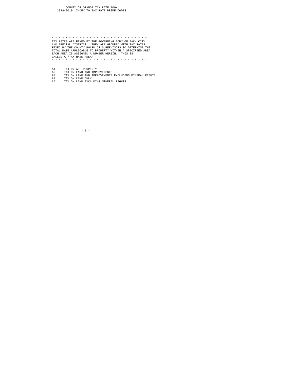\* \* \* \* \* \* \* \* \* \* \* \* \* \* \* \* \* \* \* \* \* \* \* \* \* \* \* \* TAX RATES ARE FIXED BY THE GOVERNING BODY OF EACH CITY AND SPECIAL DISTRICT. THEY ARE GROUPED WITH TAX RATES FIXED BY THE COUNTY BOARD OF SUPERVISORS TO DETERMINE THE TOTAL RATE APPLICABLE TO PROPERTY WITHIN A SPECIFIED AREA. EACH AREA IS ASSIGNED A NUMBER HEREIN. THIS IS CALLED A "TAX RATE AREA". \* \* \* \* \* \* \* \* \* \* \* \* \* \* \* \* \* \* \* \* \* \* \* \* \* \* \* \*

- 
- A1 TAX ON ALL PROPERTY<br>A2 TAX ON LAND AND IMPROVEMENTS<br>A3 TAX ON LAND AND IMPROVEMENTS EXCLUDING MINERAL RIGHTS<br>A4 TAX ON LAND EXCLUDING MINERAL RIGHTS<br>A5 TAX ON LAND EXCLUDING MINERAL RIGHTS
	-

 $-$  B  $-$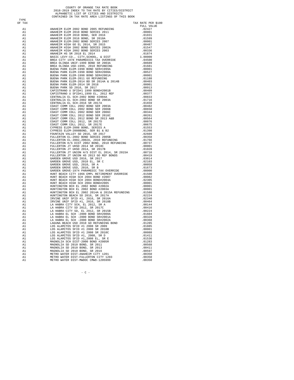## COUNTY OF ORANGE TAX RATE BOOK<br>2018-2019 INDEX TO TAX RATE BY CITIES/DISTRICT<br>ALPHABETIC LIST OF CITIES AND DISTRICTS<br>CONTAINED IN TAX RATE AREA LISTINGS OF THIS BOOK

TYPE<br>OF TAX

| OF TAX                                                                                                                                                                                                                                                                                                                                                                                      | X ANARETH ELEM ADO 2003 DON CHE PER 1992 111 122 ANNETH MANAGEMENT REAL AND 1993 121 122 ANNETH MUSIC REPORT CONSULTS (1993) 123 ANNETH MUSIC REAL AND 1993 123 ANNETH MUSIC REAL AND 1993 123 ANNETH MUSIC REAL AND 1993 123 | TAX RATE PER \$100<br>FULL VALUE |
|---------------------------------------------------------------------------------------------------------------------------------------------------------------------------------------------------------------------------------------------------------------------------------------------------------------------------------------------------------------------------------------------|-------------------------------------------------------------------------------------------------------------------------------------------------------------------------------------------------------------------------------|----------------------------------|
| A1                                                                                                                                                                                                                                                                                                                                                                                          |                                                                                                                                                                                                                               |                                  |
| A1                                                                                                                                                                                                                                                                                                                                                                                          |                                                                                                                                                                                                                               |                                  |
| A1                                                                                                                                                                                                                                                                                                                                                                                          |                                                                                                                                                                                                                               |                                  |
| A1                                                                                                                                                                                                                                                                                                                                                                                          |                                                                                                                                                                                                                               |                                  |
| A1                                                                                                                                                                                                                                                                                                                                                                                          |                                                                                                                                                                                                                               |                                  |
| A1                                                                                                                                                                                                                                                                                                                                                                                          |                                                                                                                                                                                                                               |                                  |
| A1<br>A1                                                                                                                                                                                                                                                                                                                                                                                    |                                                                                                                                                                                                                               |                                  |
| A1                                                                                                                                                                                                                                                                                                                                                                                          |                                                                                                                                                                                                                               |                                  |
| A1                                                                                                                                                                                                                                                                                                                                                                                          |                                                                                                                                                                                                                               |                                  |
| A1                                                                                                                                                                                                                                                                                                                                                                                          |                                                                                                                                                                                                                               |                                  |
| A1                                                                                                                                                                                                                                                                                                                                                                                          |                                                                                                                                                                                                                               |                                  |
| A1                                                                                                                                                                                                                                                                                                                                                                                          |                                                                                                                                                                                                                               |                                  |
| A1                                                                                                                                                                                                                                                                                                                                                                                          |                                                                                                                                                                                                                               |                                  |
| A1                                                                                                                                                                                                                                                                                                                                                                                          |                                                                                                                                                                                                                               |                                  |
| A1                                                                                                                                                                                                                                                                                                                                                                                          |                                                                                                                                                                                                                               |                                  |
| A1<br>A1                                                                                                                                                                                                                                                                                                                                                                                    |                                                                                                                                                                                                                               |                                  |
| A1                                                                                                                                                                                                                                                                                                                                                                                          |                                                                                                                                                                                                                               |                                  |
| A1                                                                                                                                                                                                                                                                                                                                                                                          |                                                                                                                                                                                                                               |                                  |
| A1                                                                                                                                                                                                                                                                                                                                                                                          |                                                                                                                                                                                                                               |                                  |
| A1                                                                                                                                                                                                                                                                                                                                                                                          |                                                                                                                                                                                                                               |                                  |
| A1                                                                                                                                                                                                                                                                                                                                                                                          |                                                                                                                                                                                                                               |                                  |
| A1                                                                                                                                                                                                                                                                                                                                                                                          |                                                                                                                                                                                                                               |                                  |
| A1                                                                                                                                                                                                                                                                                                                                                                                          |                                                                                                                                                                                                                               |                                  |
| A1                                                                                                                                                                                                                                                                                                                                                                                          |                                                                                                                                                                                                                               |                                  |
| A1                                                                                                                                                                                                                                                                                                                                                                                          |                                                                                                                                                                                                                               |                                  |
| A1                                                                                                                                                                                                                                                                                                                                                                                          |                                                                                                                                                                                                                               |                                  |
| A1                                                                                                                                                                                                                                                                                                                                                                                          |                                                                                                                                                                                                                               |                                  |
| A1                                                                                                                                                                                                                                                                                                                                                                                          |                                                                                                                                                                                                                               |                                  |
| A1<br>A1                                                                                                                                                                                                                                                                                                                                                                                    |                                                                                                                                                                                                                               |                                  |
| A1                                                                                                                                                                                                                                                                                                                                                                                          |                                                                                                                                                                                                                               |                                  |
| A1                                                                                                                                                                                                                                                                                                                                                                                          |                                                                                                                                                                                                                               |                                  |
| A1                                                                                                                                                                                                                                                                                                                                                                                          |                                                                                                                                                                                                                               |                                  |
| A1                                                                                                                                                                                                                                                                                                                                                                                          |                                                                                                                                                                                                                               |                                  |
| A1                                                                                                                                                                                                                                                                                                                                                                                          |                                                                                                                                                                                                                               |                                  |
| A1                                                                                                                                                                                                                                                                                                                                                                                          |                                                                                                                                                                                                                               |                                  |
| A1                                                                                                                                                                                                                                                                                                                                                                                          |                                                                                                                                                                                                                               |                                  |
| A1                                                                                                                                                                                                                                                                                                                                                                                          |                                                                                                                                                                                                                               |                                  |
| A1                                                                                                                                                                                                                                                                                                                                                                                          |                                                                                                                                                                                                                               |                                  |
| A1                                                                                                                                                                                                                                                                                                                                                                                          |                                                                                                                                                                                                                               |                                  |
| A1<br>A1                                                                                                                                                                                                                                                                                                                                                                                    |                                                                                                                                                                                                                               |                                  |
| A1                                                                                                                                                                                                                                                                                                                                                                                          |                                                                                                                                                                                                                               |                                  |
| A1                                                                                                                                                                                                                                                                                                                                                                                          |                                                                                                                                                                                                                               |                                  |
| A1                                                                                                                                                                                                                                                                                                                                                                                          |                                                                                                                                                                                                                               |                                  |
| A1                                                                                                                                                                                                                                                                                                                                                                                          |                                                                                                                                                                                                                               |                                  |
| A1                                                                                                                                                                                                                                                                                                                                                                                          |                                                                                                                                                                                                                               |                                  |
| A1                                                                                                                                                                                                                                                                                                                                                                                          |                                                                                                                                                                                                                               |                                  |
| A1                                                                                                                                                                                                                                                                                                                                                                                          |                                                                                                                                                                                                                               |                                  |
| A1                                                                                                                                                                                                                                                                                                                                                                                          |                                                                                                                                                                                                                               |                                  |
| A1<br>$\begin{array}{c} 1 \\ 1 \\ 2 \\ 3 \\ 1 \\ 2 \\ 1 \\ 3 \\ 1 \\ 4 \\ 1 \\ 3 \\ 1 \\ 4 \\ 1 \\ 4 \\ 1 \\ 4 \\ 1 \\ 4 \\ 1 \\ 4 \\ 1 \\ 4 \\ 1 \\ 4 \\ 1 \\ 4 \\ 1 \\ 4 \\ 1 \\ 4 \\ 1 \\ 4 \\ 1 \\ 4 \\ 1 \\ 4 \\ 1 \\ 4 \\ 1 \\ 4 \\ 1 \\ 4 \\ 1 \\ 4 \\ 1 \\ 4 \\ 1 \\ 4 \\ 1 \\ 4 \\ 1 \\ 4 \\ 1 \\ 4 \\ 1 \\ 4 \\ 1 \\ 4 \\ 1 \\ 4 \\ 1 \\ 4 \\ 1 \\ 4 \\ 1 \\ 4 \\ 1 \\ 4 \\ 1 \\$ |                                                                                                                                                                                                                               |                                  |
|                                                                                                                                                                                                                                                                                                                                                                                             |                                                                                                                                                                                                                               |                                  |
|                                                                                                                                                                                                                                                                                                                                                                                             |                                                                                                                                                                                                                               |                                  |
|                                                                                                                                                                                                                                                                                                                                                                                             |                                                                                                                                                                                                                               |                                  |
|                                                                                                                                                                                                                                                                                                                                                                                             |                                                                                                                                                                                                                               |                                  |
|                                                                                                                                                                                                                                                                                                                                                                                             |                                                                                                                                                                                                                               |                                  |
|                                                                                                                                                                                                                                                                                                                                                                                             |                                                                                                                                                                                                                               |                                  |
|                                                                                                                                                                                                                                                                                                                                                                                             |                                                                                                                                                                                                                               |                                  |
| A1                                                                                                                                                                                                                                                                                                                                                                                          |                                                                                                                                                                                                                               |                                  |
| A1                                                                                                                                                                                                                                                                                                                                                                                          |                                                                                                                                                                                                                               |                                  |
| A1                                                                                                                                                                                                                                                                                                                                                                                          |                                                                                                                                                                                                                               | .01285                           |
| A1                                                                                                                                                                                                                                                                                                                                                                                          |                                                                                                                                                                                                                               | .01885                           |
| A1                                                                                                                                                                                                                                                                                                                                                                                          |                                                                                                                                                                                                                               | .00001                           |
| A1<br>A1                                                                                                                                                                                                                                                                                                                                                                                    |                                                                                                                                                                                                                               | .00088<br>.01411                 |
| A1                                                                                                                                                                                                                                                                                                                                                                                          |                                                                                                                                                                                                                               | .01536                           |
| A1                                                                                                                                                                                                                                                                                                                                                                                          |                                                                                                                                                                                                                               | .01283                           |
| A1                                                                                                                                                                                                                                                                                                                                                                                          |                                                                                                                                                                                                                               | .00568                           |
| A1                                                                                                                                                                                                                                                                                                                                                                                          |                                                                                                                                                                                                                               | .00411                           |
| A1                                                                                                                                                                                                                                                                                                                                                                                          |                                                                                                                                                                                                                               | .00597                           |
| A1                                                                                                                                                                                                                                                                                                                                                                                          |                                                                                                                                                                                                                               | .00350                           |
| A1                                                                                                                                                                                                                                                                                                                                                                                          |                                                                                                                                                                                                                               | .00350                           |
| A1                                                                                                                                                                                                                                                                                                                                                                                          |                                                                                                                                                                                                                               | .00350                           |

 $-$  C  $-$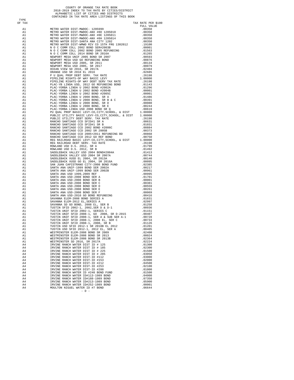## COUNTY OF ORANGE TAX RATE BOOK<br>2018-2019 INDEX TO TAX RATE BY CITIES/DISTRICT<br>ALPHABETIC LIST OF CITIES AND DISTRICTS<br>CONTAINED IN TAX RATE AREA LISTINGS OF THIS BOOK

TYPE<br>OF TAX

| 1 Y P F.<br>OF TAX | 77. A<br>A METRO MATER DET PRODUC-130599<br>A METRO MATER DET PRODUC-130599<br>A METRO MATER DET PRODUC-182 (1999)<br>A METRO MATER DET PRODUC-182 (1999)<br>A METRO MATER DET PRODUC-182 (1999)<br>A METRO MATER DET PRODUC-182 (1999)<br> | TAX RATE PER \$100 |
|--------------------|---------------------------------------------------------------------------------------------------------------------------------------------------------------------------------------------------------------------------------------------|--------------------|
|                    |                                                                                                                                                                                                                                             | FULL VALUE         |
|                    |                                                                                                                                                                                                                                             |                    |
|                    |                                                                                                                                                                                                                                             |                    |
|                    |                                                                                                                                                                                                                                             |                    |
|                    |                                                                                                                                                                                                                                             |                    |
|                    |                                                                                                                                                                                                                                             |                    |
|                    |                                                                                                                                                                                                                                             |                    |
|                    |                                                                                                                                                                                                                                             |                    |
|                    |                                                                                                                                                                                                                                             |                    |
|                    |                                                                                                                                                                                                                                             |                    |
|                    |                                                                                                                                                                                                                                             |                    |
|                    |                                                                                                                                                                                                                                             |                    |
|                    |                                                                                                                                                                                                                                             |                    |
|                    |                                                                                                                                                                                                                                             |                    |
|                    |                                                                                                                                                                                                                                             |                    |
|                    |                                                                                                                                                                                                                                             |                    |
|                    |                                                                                                                                                                                                                                             |                    |
|                    |                                                                                                                                                                                                                                             |                    |
|                    |                                                                                                                                                                                                                                             |                    |
|                    |                                                                                                                                                                                                                                             |                    |
|                    |                                                                                                                                                                                                                                             |                    |
|                    |                                                                                                                                                                                                                                             |                    |
|                    |                                                                                                                                                                                                                                             |                    |
|                    |                                                                                                                                                                                                                                             |                    |
|                    |                                                                                                                                                                                                                                             |                    |
|                    |                                                                                                                                                                                                                                             |                    |
|                    |                                                                                                                                                                                                                                             |                    |
|                    |                                                                                                                                                                                                                                             |                    |
|                    |                                                                                                                                                                                                                                             |                    |
|                    |                                                                                                                                                                                                                                             |                    |
|                    |                                                                                                                                                                                                                                             |                    |
|                    |                                                                                                                                                                                                                                             |                    |
|                    |                                                                                                                                                                                                                                             |                    |
|                    |                                                                                                                                                                                                                                             |                    |
|                    |                                                                                                                                                                                                                                             |                    |
|                    |                                                                                                                                                                                                                                             |                    |
|                    |                                                                                                                                                                                                                                             |                    |
|                    |                                                                                                                                                                                                                                             |                    |
|                    |                                                                                                                                                                                                                                             |                    |
|                    |                                                                                                                                                                                                                                             |                    |
|                    |                                                                                                                                                                                                                                             |                    |
|                    |                                                                                                                                                                                                                                             |                    |
|                    |                                                                                                                                                                                                                                             |                    |
|                    |                                                                                                                                                                                                                                             |                    |
|                    |                                                                                                                                                                                                                                             |                    |
|                    |                                                                                                                                                                                                                                             |                    |
|                    |                                                                                                                                                                                                                                             |                    |
|                    |                                                                                                                                                                                                                                             |                    |
|                    |                                                                                                                                                                                                                                             |                    |
|                    |                                                                                                                                                                                                                                             |                    |
|                    |                                                                                                                                                                                                                                             |                    |
|                    |                                                                                                                                                                                                                                             |                    |
|                    |                                                                                                                                                                                                                                             |                    |
|                    |                                                                                                                                                                                                                                             |                    |
|                    |                                                                                                                                                                                                                                             |                    |
|                    |                                                                                                                                                                                                                                             |                    |
|                    |                                                                                                                                                                                                                                             |                    |
| Α1                 | WESTMINSTER ELEM-2008 BOND SR 2013B                                                                                                                                                                                                         | .02364             |
| A1                 | WESTMINSTER SD 2016, SR 2017A                                                                                                                                                                                                               | .02224             |
| A4                 | IRVINE RANCH WATER DIST ID # 125                                                                                                                                                                                                            | .01300             |
| A4                 | IRVINE RANCH WATER DIST ID # 185                                                                                                                                                                                                            | .02300             |
| A4                 | IRVINE RANCH WATER DIST ID # 225                                                                                                                                                                                                            | .01500             |
| A4<br>A4           | IRVINE RANCH WATER DIST ID # 285<br>IRVINE RANCH WATER DIST-ID #112                                                                                                                                                                         | .03050<br>.03000   |
| A4                 | IRVINE RANCH WATER DIST-ID #153                                                                                                                                                                                                             | .02000             |
| A4                 | IRVINE RANCH WATER DIST-ID #212                                                                                                                                                                                                             | .04500             |
| A4                 | IRVINE RANCH WATER DIST-ID #253                                                                                                                                                                                                             | .02100             |
| A4                 | IRVINE RANCH WATER DIST-ID #288                                                                                                                                                                                                             | .01000             |
| A4<br>A4           | IRVINE RANCH WATER ID #240 BOND FUND<br>IRVINE RANCH WATER ID#113-1989 BOND                                                                                                                                                                 | .01500             |
| A4                 | IRVINE RANCH WATER ID#188-1989 BOND                                                                                                                                                                                                         | .04000<br>.07350   |
| A4                 | IRVINE RANCH WATER ID#213-1989 BOND                                                                                                                                                                                                         | .05900             |
| A4                 | IRVINE RANCH WATER ID#252-1989 BOND                                                                                                                                                                                                         | .00001             |
| A4                 | MOULTON NIGUEL WATER ID #7 BOND                                                                                                                                                                                                             | .06644             |
|                    | $-$ D $-$                                                                                                                                                                                                                                   |                    |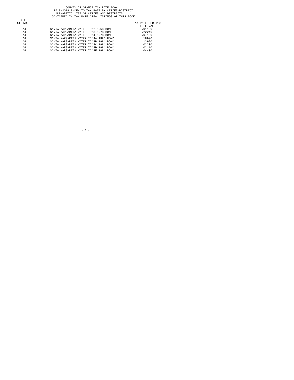## COUNTY OF ORANGE TAX RATE BOOK<br>2018-2019 INDEX TO TAX RATE BY CITIES/DISTRICT<br>ALPHABETIC LIST OF CITIES AND DISTRICTS<br>CONTAINED IN TAX RATE AREA LISTINGS OF THIS BOOK

|        | contribute in the wild node dividend of this book |                    |
|--------|---------------------------------------------------|--------------------|
| TYPE   |                                                   |                    |
| OF TAX |                                                   | TAX RATE PER \$100 |
|        |                                                   | FULL VALUE         |
| A4     | SANTA MARGARITA WATER ID#2-1968 BOND              | .01100             |
| A4     | SANTA MARGARITA WATER ID#3 1978 BOND              | .22240             |
| A4     | SANTA MARGARITA WATER ID#4 1978 BOND              | .07180             |
| A4     | SANTA MARGARITA WATER ID#4A 1984 BOND             | .16930             |
| A4     | SANTA MARGARITA WATER ID#4B 1984 BOND             | .13920             |
| A4     | SANTA MARGARITA WATER ID#4C 1984 BOND             | .02200             |
| A4     | SANTA MARGARITA WATER ID#4D 1984 BOND             | .02110             |
| A4     | SANTA MARGARITA WATER ID#4E 1984 BOND             | .04400             |

 $\sim$  E  $\sim$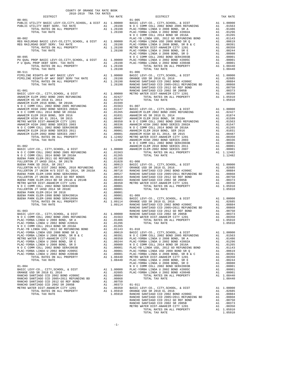| COUNTY OF ORANGE TAX RATE BOOK      |  |                                        |          |
|-------------------------------------|--|----------------------------------------|----------|
| 2018-2019 TRA TAX RATES<br>DISTRICT |  | A IAA KALEJ<br>TAX RATE TAR POLISTRICT | TAX RATE |
| $00 - 001$                          |  | $01 - 005$                             |          |
|                                     |  |                                        |          |
|                                     |  |                                        |          |
|                                     |  |                                        |          |
|                                     |  |                                        |          |
|                                     |  |                                        |          |
|                                     |  |                                        |          |
|                                     |  |                                        |          |
|                                     |  |                                        |          |
|                                     |  |                                        |          |
|                                     |  |                                        |          |
|                                     |  |                                        |          |
|                                     |  |                                        |          |
|                                     |  |                                        |          |
|                                     |  |                                        |          |
|                                     |  |                                        |          |
|                                     |  |                                        |          |
|                                     |  |                                        |          |
|                                     |  |                                        |          |
|                                     |  |                                        |          |
|                                     |  |                                        |          |
|                                     |  |                                        |          |
|                                     |  |                                        |          |
|                                     |  |                                        |          |
|                                     |  |                                        |          |
|                                     |  |                                        |          |
|                                     |  |                                        |          |
|                                     |  |                                        |          |
|                                     |  |                                        |          |
|                                     |  |                                        |          |
|                                     |  |                                        |          |
|                                     |  |                                        |          |
|                                     |  |                                        |          |
|                                     |  |                                        |          |
|                                     |  |                                        |          |
|                                     |  |                                        |          |
|                                     |  |                                        |          |
|                                     |  |                                        |          |
|                                     |  |                                        |          |
|                                     |  |                                        |          |
|                                     |  |                                        |          |
|                                     |  |                                        |          |
|                                     |  |                                        |          |
|                                     |  |                                        |          |
|                                     |  |                                        |          |
|                                     |  |                                        |          |
|                                     |  |                                        |          |
|                                     |  |                                        |          |
|                                     |  |                                        |          |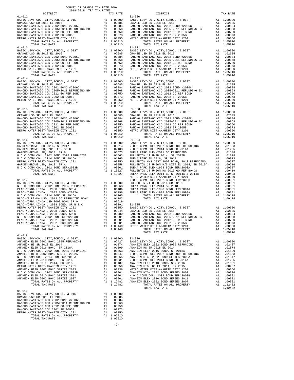|                                                                                                              | COUNTY OF ORANGE TAX RATE BOOK<br>2018-2019 TRA TAX RATES |                |                                  |
|--------------------------------------------------------------------------------------------------------------|-----------------------------------------------------------|----------------|----------------------------------|
| DISTRICT<br>$01 - 012$                                                                                       |                                                           | TAX RATE       | $01 - 020$                       |
|                                                                                                              |                                                           |                |                                  |
|                                                                                                              |                                                           |                |                                  |
|                                                                                                              |                                                           |                |                                  |
|                                                                                                              |                                                           |                |                                  |
|                                                                                                              |                                                           |                |                                  |
|                                                                                                              |                                                           |                |                                  |
|                                                                                                              |                                                           |                |                                  |
| $01 - 013$                                                                                                   |                                                           |                | $01 - 021$                       |
|                                                                                                              |                                                           |                |                                  |
|                                                                                                              |                                                           |                |                                  |
|                                                                                                              |                                                           |                |                                  |
|                                                                                                              |                                                           |                |                                  |
|                                                                                                              |                                                           |                |                                  |
|                                                                                                              |                                                           |                |                                  |
|                                                                                                              |                                                           |                |                                  |
|                                                                                                              |                                                           |                |                                  |
|                                                                                                              |                                                           |                |                                  |
|                                                                                                              |                                                           |                |                                  |
|                                                                                                              |                                                           |                |                                  |
|                                                                                                              |                                                           |                |                                  |
|                                                                                                              |                                                           |                |                                  |
|                                                                                                              |                                                           |                |                                  |
| $01 - 015$                                                                                                   |                                                           |                | $01 - 023$                       |
|                                                                                                              |                                                           |                |                                  |
|                                                                                                              |                                                           |                |                                  |
|                                                                                                              |                                                           |                |                                  |
|                                                                                                              |                                                           |                |                                  |
|                                                                                                              |                                                           |                |                                  |
|                                                                                                              |                                                           |                |                                  |
|                                                                                                              |                                                           |                |                                  |
| $01 - 016$                                                                                                   |                                                           |                | $01 - 024$                       |
|                                                                                                              |                                                           |                |                                  |
|                                                                                                              |                                                           |                |                                  |
|                                                                                                              |                                                           |                |                                  |
|                                                                                                              |                                                           |                |                                  |
|                                                                                                              |                                                           |                |                                  |
|                                                                                                              |                                                           |                |                                  |
|                                                                                                              |                                                           |                |                                  |
|                                                                                                              |                                                           |                |                                  |
|                                                                                                              |                                                           |                |                                  |
|                                                                                                              |                                                           |                | METRO W                          |
| $01 - 017$                                                                                                   |                                                           |                | NOCC                             |
|                                                                                                              |                                                           |                |                                  |
|                                                                                                              |                                                           |                |                                  |
|                                                                                                              |                                                           |                |                                  |
| PLAC-YORBA LINDA U 2002 BOND #2002A<br>N O C COMM COLL 2014 BOND SR 2016A<br>N I M C WD I TIME 1000 SR 2016A |                                                           |                |                                  |
|                                                                                                              |                                                           |                |                                  |
|                                                                                                              |                                                           |                |                                  |
|                                                                                                              |                                                           |                |                                  |
|                                                                                                              |                                                           |                |                                  |
|                                                                                                              |                                                           |                |                                  |
|                                                                                                              |                                                           |                |                                  |
| PLAC-YORBA LINDA U 2002 BOND #2004B                                                                          |                                                           |                |                                  |
| TOTAL RATES ON ALL PROPERTY                                                                                  | A1 .00001 RANCHO<br>A1 .00001 RANCHO<br>A1 1.08440 METROW |                | METRO W                          |
| TOTAL TAX RATE                                                                                               |                                                           |                | 1,08440                          |
| $01 - 018$                                                                                                   |                                                           |                |                                  |
| BASIC LEVY-CO., CITY, SCHOOL, & DIST                                                                         |                                                           | A1             | 1.00000 01-026<br>02427 BASIC L. |
| ANAHEIM ELEM 2002 BOND 2005 REFUNDING                                                                        |                                                           | $A1 \t .02427$ |                                  |
|                                                                                                              |                                                           |                |                                  |
|                                                                                                              |                                                           |                |                                  |
|                                                                                                              |                                                           |                |                                  |
|                                                                                                              |                                                           |                |                                  |
|                                                                                                              |                                                           |                |                                  |
|                                                                                                              |                                                           |                |                                  |
|                                                                                                              |                                                           |                |                                  |
|                                                                                                              |                                                           |                |                                  |
|                                                                                                              |                                                           |                |                                  |
|                                                                                                              |                                                           |                |                                  |
| TOTAL TAX RATE                                                                                               |                                                           |                | 1.12482                          |
| $01 - 019$                                                                                                   |                                                           |                |                                  |
| BASIC LEVY-CO., CITY, SCHOOL, & DIST                                                                         |                                                           | A1 1.00000     |                                  |
|                                                                                                              |                                                           |                |                                  |
|                                                                                                              |                                                           |                |                                  |
|                                                                                                              |                                                           |                |                                  |
|                                                                                                              |                                                           |                |                                  |
|                                                                                                              |                                                           |                |                                  |
|                                                                                                              |                                                           |                |                                  |
|                                                                                                              |                                                           |                |                                  |

| 2018-2019 TRA TAX RATES<br>DISTRICT | TAX RATE | DISTRICT                                                                                                                                                                                                                                         | TAX RATE |
|-------------------------------------|----------|--------------------------------------------------------------------------------------------------------------------------------------------------------------------------------------------------------------------------------------------------|----------|
| $01 - 012$                          |          | $01 - 020$                                                                                                                                                                                                                                       |          |
|                                     |          |                                                                                                                                                                                                                                                  |          |
|                                     |          |                                                                                                                                                                                                                                                  |          |
|                                     |          |                                                                                                                                                                                                                                                  |          |
|                                     |          |                                                                                                                                                                                                                                                  |          |
|                                     |          |                                                                                                                                                                                                                                                  |          |
|                                     |          |                                                                                                                                                                                                                                                  |          |
|                                     |          |                                                                                                                                                                                                                                                  |          |
| $01 - 013$                          |          | $01 - 021$                                                                                                                                                                                                                                       |          |
|                                     |          |                                                                                                                                                                                                                                                  |          |
|                                     |          |                                                                                                                                                                                                                                                  |          |
|                                     |          |                                                                                                                                                                                                                                                  |          |
|                                     |          |                                                                                                                                                                                                                                                  |          |
|                                     |          |                                                                                                                                                                                                                                                  |          |
|                                     |          |                                                                                                                                                                                                                                                  |          |
|                                     |          |                                                                                                                                                                                                                                                  |          |
|                                     |          |                                                                                                                                                                                                                                                  |          |
|                                     |          |                                                                                                                                                                                                                                                  |          |
|                                     |          |                                                                                                                                                                                                                                                  |          |
|                                     |          |                                                                                                                                                                                                                                                  |          |
|                                     |          |                                                                                                                                                                                                                                                  |          |
|                                     |          |                                                                                                                                                                                                                                                  |          |
|                                     |          |                                                                                                                                                                                                                                                  |          |
|                                     |          |                                                                                                                                                                                                                                                  |          |
|                                     |          |                                                                                                                                                                                                                                                  |          |
|                                     |          |                                                                                                                                                                                                                                                  |          |
|                                     |          |                                                                                                                                                                                                                                                  |          |
|                                     |          |                                                                                                                                                                                                                                                  |          |
|                                     |          |                                                                                                                                                                                                                                                  |          |
|                                     |          |                                                                                                                                                                                                                                                  |          |
|                                     |          |                                                                                                                                                                                                                                                  |          |
|                                     |          |                                                                                                                                                                                                                                                  |          |
|                                     |          |                                                                                                                                                                                                                                                  |          |
|                                     |          |                                                                                                                                                                                                                                                  |          |
|                                     |          |                                                                                                                                                                                                                                                  |          |
|                                     |          |                                                                                                                                                                                                                                                  |          |
|                                     |          |                                                                                                                                                                                                                                                  |          |
|                                     |          |                                                                                                                                                                                                                                                  |          |
|                                     |          |                                                                                                                                                                                                                                                  |          |
|                                     |          |                                                                                                                                                                                                                                                  |          |
|                                     |          |                                                                                                                                                                                                                                                  |          |
|                                     |          |                                                                                                                                                                                                                                                  |          |
|                                     |          |                                                                                                                                                                                                                                                  |          |
|                                     |          |                                                                                                                                                                                                                                                  |          |
|                                     |          |                                                                                                                                                                                                                                                  |          |
|                                     |          |                                                                                                                                                                                                                                                  |          |
|                                     |          |                                                                                                                                                                                                                                                  |          |
|                                     |          |                                                                                                                                                                                                                                                  |          |
|                                     |          |                                                                                                                                                                                                                                                  |          |
|                                     |          |                                                                                                                                                                                                                                                  |          |
|                                     |          |                                                                                                                                                                                                                                                  |          |
|                                     |          |                                                                                                                                                                                                                                                  |          |
|                                     |          |                                                                                                                                                                                                                                                  |          |
|                                     |          |                                                                                                                                                                                                                                                  |          |
|                                     |          |                                                                                                                                                                                                                                                  |          |
|                                     |          |                                                                                                                                                                                                                                                  |          |
|                                     |          |                                                                                                                                                                                                                                                  |          |
|                                     |          |                                                                                                                                                                                                                                                  |          |
|                                     |          | 16776 Secret Data Company of the Sixter Secret 2011 199116 Secret 2021 1992<br>19976 Secret 2022 1992 100 1992 100 1993 100 1993 100 1993 100 1993 100 1993 100 1993 100 1993 100 1993 100 1993 100 1993 100 1993 100 1993 100<br>TOTAL TAX RATE | 1.05910  |
|                                     |          |                                                                                                                                                                                                                                                  |          |
|                                     |          |                                                                                                                                                                                                                                                  |          |
|                                     |          |                                                                                                                                                                                                                                                  |          |
|                                     |          |                                                                                                                                                                                                                                                  |          |
|                                     |          |                                                                                                                                                                                                                                                  |          |
|                                     |          |                                                                                                                                                                                                                                                  |          |
|                                     |          |                                                                                                                                                                                                                                                  |          |
|                                     |          |                                                                                                                                                                                                                                                  |          |
|                                     |          |                                                                                                                                                                                                                                                  |          |
|                                     |          |                                                                                                                                                                                                                                                  |          |
|                                     |          |                                                                                                                                                                                                                                                  |          |
|                                     |          |                                                                                                                                                                                                                                                  |          |
|                                     |          |                                                                                                                                                                                                                                                  |          |
|                                     |          |                                                                                                                                                                                                                                                  |          |
|                                     |          |                                                                                                                                                                                                                                                  |          |
| $01 - 019$                          |          |                                                                                                                                                                                                                                                  |          |
|                                     |          |                                                                                                                                                                                                                                                  |          |
|                                     |          |                                                                                                                                                                                                                                                  |          |
|                                     |          |                                                                                                                                                                                                                                                  |          |
|                                     |          |                                                                                                                                                                                                                                                  |          |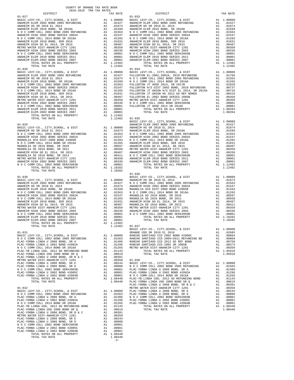| TOTAL RATES ON ALL PROPERTY<br>TOTAL TAX RATE                                              | A1 1.12482 | 1.12482                             |            |
|--------------------------------------------------------------------------------------------|------------|-------------------------------------|------------|
| $01 - 028$                                                                                 |            |                                     | $01 - 034$ |
|                                                                                            |            |                                     |            |
|                                                                                            |            |                                     |            |
|                                                                                            |            |                                     |            |
|                                                                                            |            |                                     |            |
|                                                                                            |            |                                     |            |
|                                                                                            |            |                                     |            |
|                                                                                            |            |                                     |            |
|                                                                                            |            |                                     |            |
|                                                                                            |            |                                     |            |
|                                                                                            |            |                                     |            |
|                                                                                            |            |                                     |            |
| TOTAL TAX RATE                                                                             |            |                                     |            |
|                                                                                            |            | 1.12482 01-035                      | BASIC L    |
| $01 - 029$                                                                                 |            |                                     | ANAHEIM    |
|                                                                                            |            |                                     |            |
|                                                                                            |            |                                     |            |
|                                                                                            |            |                                     |            |
|                                                                                            |            |                                     |            |
|                                                                                            |            |                                     |            |
|                                                                                            |            |                                     |            |
|                                                                                            |            |                                     |            |
|                                                                                            |            |                                     |            |
|                                                                                            |            |                                     |            |
|                                                                                            |            |                                     |            |
|                                                                                            |            |                                     |            |
| TOTAL TAX RATE                                                                             |            | 1.10282                             |            |
|                                                                                            |            |                                     | $01 - 036$ |
| $01 - 030$                                                                                 |            |                                     | BASIC L    |
|                                                                                            |            |                                     |            |
|                                                                                            |            |                                     |            |
|                                                                                            |            |                                     |            |
|                                                                                            |            |                                     |            |
|                                                                                            |            |                                     |            |
|                                                                                            |            |                                     |            |
|                                                                                            |            |                                     |            |
|                                                                                            |            |                                     |            |
|                                                                                            |            |                                     |            |
|                                                                                            |            |                                     |            |
|                                                                                            |            |                                     |            |
|                                                                                            |            |                                     |            |
| TOTAL TAX RATE                                                                             |            | 1.12482 01-037                      |            |
|                                                                                            |            |                                     | BASIC L    |
|                                                                                            |            |                                     | ORANGE     |
|                                                                                            |            |                                     |            |
|                                                                                            |            |                                     |            |
|                                                                                            |            |                                     |            |
|                                                                                            |            |                                     |            |
|                                                                                            |            |                                     |            |
|                                                                                            |            |                                     |            |
|                                                                                            |            |                                     |            |
|                                                                                            |            |                                     |            |
|                                                                                            |            |                                     |            |
|                                                                                            |            |                                     |            |
|                                                                                            |            |                                     |            |
|                                                                                            |            |                                     |            |
| TOTAL TAX RATE                                                                             |            | 1.08440                             | PLAC-YO    |
|                                                                                            |            |                                     | PLAC-YO    |
| $01 - 032$<br>BASIC LEVY-CO., CITY, SCHOOL, & DIST                                         |            | A1 1.00000 PLAC-YO                  | METRO W    |
| N O C COMM COLL 2002 BOND 2005 REFUNDING                                                   |            | A1 .01563                           | PLAC-YO    |
| PLAC-YORBA LINDA U 2008 BOND, SR A                                                         | A1         | .01486                              | NOCC       |
| PLAC-YORBA LINDA U 2002 BOND #2002A                                                        | A1         | A1 .01296<br>A1 .01265              | PLAC-YO    |
| N O C COMM COLL 2014 BOND SR 2016A                                                         |            |                                     | PLAC-YO    |
| PLAC-YB LINDA USD, 2012 GO REFUNDING BOND A1 .01143<br>PLAC-YORBA LINDA USD 2008 BOND SR Q |            | A1 .00619                           |            |
| PLAC-YORBA LINDA U 2008 BOND, SR B & C                                                     |            | A1 .00391                           |            |
| METRO WATER DIST-ANAHEIM CITY 1201                                                         |            |                                     |            |
| PLAC-YORBA LINDA U 2008 BOND, SR E                                                         |            | A1 .00350<br>A1 .00244<br>A1 .00080 |            |
| PLAC-YORBA LINDA U 2008 BOND, SR D                                                         |            |                                     |            |
| N O C COMM COLL 2002 BOND SER#2003B<br>PLAC-YORBA LINDA U 2002 BOND #2005C                 |            | A1 .00001<br>A1 .00001              |            |
| PLAC-YORBA LINDA U 2002 BOND #2004B                                                        | A1         | .00001                              |            |
| TOTAL RATES ON ALL PROPERTY                                                                |            | A1 1.08440                          |            |
| TOTAL TAX RATE                                                                             |            | 1.08440                             |            |
|                                                                                            |            | $-3-$                               |            |
|                                                                                            |            |                                     |            |

| 2018-2019 TRA TAX RATES<br>DISTRICT | TAX RATE | E<br>PISTRICT                                                                                                                                                                                                                                                                                                                       | TAX RATE |
|-------------------------------------|----------|-------------------------------------------------------------------------------------------------------------------------------------------------------------------------------------------------------------------------------------------------------------------------------------------------------------------------------------|----------|
|                                     |          |                                                                                                                                                                                                                                                                                                                                     |          |
|                                     |          |                                                                                                                                                                                                                                                                                                                                     |          |
|                                     |          |                                                                                                                                                                                                                                                                                                                                     |          |
|                                     |          |                                                                                                                                                                                                                                                                                                                                     |          |
|                                     |          |                                                                                                                                                                                                                                                                                                                                     |          |
|                                     |          |                                                                                                                                                                                                                                                                                                                                     |          |
|                                     |          |                                                                                                                                                                                                                                                                                                                                     |          |
|                                     |          |                                                                                                                                                                                                                                                                                                                                     |          |
|                                     |          |                                                                                                                                                                                                                                                                                                                                     |          |
|                                     |          |                                                                                                                                                                                                                                                                                                                                     |          |
|                                     |          |                                                                                                                                                                                                                                                                                                                                     |          |
|                                     |          |                                                                                                                                                                                                                                                                                                                                     |          |
|                                     |          |                                                                                                                                                                                                                                                                                                                                     |          |
|                                     |          |                                                                                                                                                                                                                                                                                                                                     |          |
| $01 - 028$                          |          | $01 - 034$                                                                                                                                                                                                                                                                                                                          |          |
|                                     |          |                                                                                                                                                                                                                                                                                                                                     |          |
|                                     |          |                                                                                                                                                                                                                                                                                                                                     |          |
|                                     |          |                                                                                                                                                                                                                                                                                                                                     |          |
|                                     |          |                                                                                                                                                                                                                                                                                                                                     |          |
|                                     |          |                                                                                                                                                                                                                                                                                                                                     |          |
|                                     |          |                                                                                                                                                                                                                                                                                                                                     |          |
|                                     |          |                                                                                                                                                                                                                                                                                                                                     |          |
|                                     |          |                                                                                                                                                                                                                                                                                                                                     |          |
|                                     |          |                                                                                                                                                                                                                                                                                                                                     |          |
|                                     |          |                                                                                                                                                                                                                                                                                                                                     |          |
|                                     |          |                                                                                                                                                                                                                                                                                                                                     |          |
|                                     |          |                                                                                                                                                                                                                                                                                                                                     |          |
|                                     |          |                                                                                                                                                                                                                                                                                                                                     |          |
|                                     |          |                                                                                                                                                                                                                                                                                                                                     |          |
|                                     |          |                                                                                                                                                                                                                                                                                                                                     |          |
|                                     |          |                                                                                                                                                                                                                                                                                                                                     |          |
|                                     |          |                                                                                                                                                                                                                                                                                                                                     |          |
|                                     |          |                                                                                                                                                                                                                                                                                                                                     |          |
|                                     |          |                                                                                                                                                                                                                                                                                                                                     |          |
|                                     |          |                                                                                                                                                                                                                                                                                                                                     |          |
|                                     |          |                                                                                                                                                                                                                                                                                                                                     |          |
|                                     |          |                                                                                                                                                                                                                                                                                                                                     |          |
|                                     |          |                                                                                                                                                                                                                                                                                                                                     |          |
|                                     |          |                                                                                                                                                                                                                                                                                                                                     |          |
|                                     |          |                                                                                                                                                                                                                                                                                                                                     |          |
|                                     |          |                                                                                                                                                                                                                                                                                                                                     |          |
|                                     |          |                                                                                                                                                                                                                                                                                                                                     |          |
|                                     |          |                                                                                                                                                                                                                                                                                                                                     |          |
|                                     |          |                                                                                                                                                                                                                                                                                                                                     |          |
|                                     |          |                                                                                                                                                                                                                                                                                                                                     |          |
|                                     |          |                                                                                                                                                                                                                                                                                                                                     |          |
|                                     |          |                                                                                                                                                                                                                                                                                                                                     |          |
|                                     |          |                                                                                                                                                                                                                                                                                                                                     |          |
|                                     |          |                                                                                                                                                                                                                                                                                                                                     |          |
|                                     |          |                                                                                                                                                                                                                                                                                                                                     |          |
|                                     |          |                                                                                                                                                                                                                                                                                                                                     |          |
|                                     |          |                                                                                                                                                                                                                                                                                                                                     |          |
|                                     |          |                                                                                                                                                                                                                                                                                                                                     |          |
|                                     |          |                                                                                                                                                                                                                                                                                                                                     |          |
| $\mathbb{R}^n$                      |          | $01 - 037$<br>$\begin{tabular}{cccc} {\bf 12.041} {\bf 13.0402} & {\bf 12.041} & {\bf 13.0403} & {\bf 12.041} & {\bf 13.0404} & {\bf 14.0405} & {\bf 15.041} & {\bf 15.0408} & {\bf 15.041} & {\bf 15.0408} & {\bf 15.0408} & {\bf 15.0408} & {\bf 15.0408} & {\bf 15.0408} & {\bf 15.0408} & {\bf 15.0408} & {\bf 15.0408} & {\bf$ |          |
| TOTAL TAX RATE                      | 1.12482  |                                                                                                                                                                                                                                                                                                                                     |          |
|                                     |          |                                                                                                                                                                                                                                                                                                                                     |          |
|                                     |          |                                                                                                                                                                                                                                                                                                                                     |          |
|                                     |          |                                                                                                                                                                                                                                                                                                                                     |          |
|                                     |          |                                                                                                                                                                                                                                                                                                                                     |          |
|                                     |          |                                                                                                                                                                                                                                                                                                                                     |          |
|                                     |          |                                                                                                                                                                                                                                                                                                                                     |          |
|                                     |          |                                                                                                                                                                                                                                                                                                                                     |          |
|                                     |          |                                                                                                                                                                                                                                                                                                                                     |          |
|                                     |          |                                                                                                                                                                                                                                                                                                                                     |          |
|                                     |          |                                                                                                                                                                                                                                                                                                                                     |          |
|                                     |          |                                                                                                                                                                                                                                                                                                                                     |          |
|                                     |          |                                                                                                                                                                                                                                                                                                                                     |          |
|                                     |          |                                                                                                                                                                                                                                                                                                                                     |          |
|                                     |          |                                                                                                                                                                                                                                                                                                                                     |          |
|                                     |          |                                                                                                                                                                                                                                                                                                                                     |          |
|                                     |          |                                                                                                                                                                                                                                                                                                                                     |          |
|                                     |          |                                                                                                                                                                                                                                                                                                                                     |          |
|                                     |          |                                                                                                                                                                                                                                                                                                                                     |          |
|                                     |          |                                                                                                                                                                                                                                                                                                                                     |          |
|                                     |          |                                                                                                                                                                                                                                                                                                                                     |          |
|                                     |          |                                                                                                                                                                                                                                                                                                                                     |          |
|                                     |          |                                                                                                                                                                                                                                                                                                                                     |          |
|                                     |          |                                                                                                                                                                                                                                                                                                                                     |          |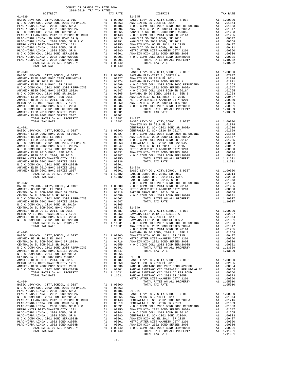CENTRALIA EL SCH-2002 BOND #2004A A1 .00833 01-050<br>ANAHEIM HIGH GO EL 2014, SR 2015 A1 .00837 BASIC INTERO WATER DIST-ANAHEIM CITY 1201 A1 .00487 BASIC INTERNATER ANAHEIM HIGH 2002 BOND SERIES 2003

CENTRALIA EL SCH-2002 BOND #2004A A1 .00833 01-049<br>ANAHEIM HIGH GO EL 2014, SR 2015 BAHEIM HIGH GO EL 2014 BAHEIM HIGH 2002 BOND SERIES 2003 A1 .00487 BASIC 1<br>ANAHEIM HIGH 2002 BOND SERIES 2003 A1 .00336 ANAHEIM HIGH 2002

TOTAL RATES ON ALL PROPERTY A1 1.12482 POTAL TAX RATE  $\begin{array}{ccc} & & \cdots & & \cdots & \cdots \ 11 & 1.12482 & & \cdots & & \cdots \end{array}$ 

 DISTRICT TAX RATE DISTRICT TAX RATE 01-039 01-045

 BASIC LEVY-CO., CITY,SCHOOL, & DIST A1 1.00000 BASIC LEVY-CO., CITY,SCHOOL, & DIST A1 1.00000 N O C COMM COLL 2002 BOND 2005 REFUNDING A1 .01563 ANAHEIM HS SR 2018 EL 2014 A1 .01874 PLAC-YORBA LINDA U 2008 BOND, SR A A1 .01486 N O C COMM COLL 2002 BOND 2005 REFUNDING A1 .01563 PLAC-YORBA LINDA U 2002 BOND #2002A A1 .01296 ANAHEIM HIGH 2002 BOND SERIES 2002A A1 .01547  $\begin{tabular}{l|c|c|c|c|c} \multicolumn{4}{c}{\emph{N} & $\mathcal{O}$ & $\mathcal{C}$ & $\mathcal{O}\mathsf{M}$ & $\mathcal{O}\mathsf{C}$ & $\mathcal{O}\mathsf{M}$ & $\mathcal{O}\mathsf{C}$ & $\mathcal{O}\mathsf{M}$ & $\mathcal{O}\mathsf{C}$ & $\mathcal{O}\mathsf{M}$ & $\mathcal{O}\mathsf{C}$ & $\mathcal{O}\mathsf{M}$ \\ \multicolumn{4}{c}{\emph{PIAC-YORBA}} & $\mathcal{L}\mathsf{I}\mathsf{M}\mathsf{D}$ & $\mathcal{O}\mathsf{S}$ & $\mathcal{O}\mathsf{R$  01-046 01-040 BASIC LEVY-CO., CITY,SCHOOL, & DIST A1 1.00000 BASIC LEVY-CO., CITY,SCHOOL, & DIST A1 1.00000 SAVANNA ELEM-2012 EL,SERIES A A1 .02997 ANAHEIM ELEM 2002 BOND 2005 REFUNDING A1 .02427 ANAHEIM HS SR 2018 EL 2014 A1 .01874  $\begin{tabular}{l|c|c|c|c|c|c} \multicolumn{1}{c}{A1} & .01541 & .01549 & \multicolumn{1}{c}{A1} & .01599 & \multicolumn{1}{c}{NDAENABEIM ELEM 2016 BOND 208 BOND 208 BOND 208 BOND 208 BOND 208 BOND 208 BOND 208 BOND 208 BOND 208 BOND 208 BOND 208 BOND 208 BOND 208 BOND 208 BOND 208 BOND 208 BOND 208 BOND 208 BOND$  ANAHEIM HIGH 2002 BOND SERIES 2003 A1 .00336 N O C COMM COLL 2002 BOND SER#2003B A1 .00001 N O C COMM COLL 2002 BOND SER#2003B A1 .00001 TOTAL RATES ON ALL PROPERTY A1 1.13509 ANAHEIM ELEM 2010 BOND SERIES 2011 A1 .00001 TOTAL TAX RATE 1.13509 ANAHEIM ELEM-2002 BOND SERIES 2007 A1 .00001 TOTAL TAX RATE 1.12482 BASIC LEVY-CO., CITY,SCHOOL, & DIST A1 1.00000<br>1.1274 A1 1.00000 ANAHEIM HS SR 2018 BL 2014 BASIC LEVY-CO., CITY,SCHOOL, & DIST<br>10.1716 . 1.116 CENTRALIA EL SCH-2002 BOND SR 2003A  $\begin{tabular}{l|c|c|c|c|c|c} BASIC LEVY-C0., CITY, SCHOOL, & DIST & A1 & 1.00000 & CENTRALIA EL SCH-2016 SR 2017A & A1 & .01659 \\ ANAAIEIM H ELEM 2002 BOND 2005 REFUNDING & A1 & .02427 & N & 0 C COMM COLL 2012 BOND 2005 ROND 2005 ROND 2005 REFUNDING \\ ANAHEIM HEEM 2016 BOND, SR 2018A & A1 & .01563 & N & 0 C COMM COLL 2014 BOND SR RES 2002A & A1 & .0156$ ANAHEIM ELEM 2012 BOND SER 2016ANAHEIM 1.01599 NOCCOMM COLL 2014 BOND SR 2016ANAHEIM ALL .01265 ANAHEIM HIGH GC EL 2014, SR 2015<br>A1 .013563 CENTRALIA EL SCH-2002 BOND #2004A A1 .00835<br>A1 .00336 METRO WATER DIST-ANAHEIM CI ANAHEIM HIGH GO EL 2014, SR 2015 A1 .00487 N O C COMM COLL 2002 BOND SER#2003B A1 .00001 METRO WATER DIST-ANAHEIM CITY 1201 A1 .00350 TOTAL RATES ON ALL PROPERTY A1 1.11631 ANAHEIM HIGH 2002 BOND SERIES 2003 A1 .00336 TOTAL TAX RATE 1.11631 N O C COMM COLL 2002 BOND SER#2003B A1 .00001 ANAHEIM ELEM 2010 BOND SERIES 2011 A1 .00001 01-048 ANAHEIM ELEM-2002 BOND SERIES 2007 A1 .00001 BASIC LEVY-CO., CITY,SCHOOL, & DIST A1 1.00000 TOTAL RATES ON ALL PROPERTY A1 1.12482 GARDEN GROVE USD 2016, SR 2017 A1 .03014 TOTAL TAX RATE 1.12482 GARDEN GROVE USD, 2010 EL, SR C A1 .02103 GARDEN GROVE USD, 2010, SR B A1 .01673 01-042 N O C COMM COLL 2002 BOND 2005 REFUNDING A1 .01563 BASIC LEVY-CO., CITY,SCHOOL, & DIST A1 1.00000 N O C COMM COLL 2014 BOND SR 2016A A1 .01265 ANAHEIM HS SR 2018 EL 2014 A1 .01874 METRO WATER DIST-ANAHEIM CITY 1201 A1 .00350 CENTRALIA EL SCH-2002 BOND SR 2003A A1 .01716 GARDEN GROVE USD, 2010, SR A A1 .00058 CENTRALIA EL SCH-2016 SR 2017A A1 .01659 N O C COMM COLL 2002 BOND SER#2003B A1 .00001 N O C COMM COLL 2002 BOND 2005 REFUNDING A1 .01563 TOTAL RATES ON ALL PROPERTY A1 1.10027 ANAHEIM HIGH 2002 BOND SERIES 2002A A1 .01547 TOTAL TAX RATE 1.10027 N O C COMM COLL 2014 BOND SR 2016A A1 .01265 ANAHEIM HIGH GO EL 2014, SR 2015 A1 .00487 BASIC LEVY-CO., CITY,SCHOOL, & DIST A1 1.00000 METRO WATER DIST-ANAHEIM CITY 1201 A1 .00350 SAVANNA ELEM-2012 EL,SERIES A A1 .02997 ANAHEIM HIGH 2002 BOND SERIES 2003 A1 .00336 ANAHEIM HS SR 2018 EL 2014 A1 .01874 O C COMM COLL 2002 BOND SER#2003B A1 .00001 SAVANNA ELEM-2008 BOND SERIES A A1 .01831<br>111631 N O C COMM COLL 2002 BOND 2005 REFUNDING A1 .01563 A1 1.11631 N O C COMM COLL 2002 BOND 2005 REFUNDING TOTAL TAX RATE 1.11631 ANAHEIM HIGH 2002 BOND SERIES 2002A A1 .01547<br>101265. A1 .01265 A1 01-043 SAVANNA SD GO BOND, 2008 EL, SER B A1 .01258 BASIC LEVY-CO., CITY,SCHOOL, & DIST A1 1.00000 ANAHEIM HIGH GO EL 2014, SR 2015 A1 .00487 ANAHEIM HS SR 2018 EL 2014 A1 .01874 METRO WATER DIST-ANAHEIM CITY 1201 A1 .00350 CENTRALIA EL SCH-2002 BOND SR 2003A A1 .01716 ANAHEIM HIGH 2002 BOND SERIES 2003 A1 .00336 CENTRALIA EL SCH-2016 SR 2017A A1 .01659 N O C COMM COLL 2002 BOND SER#2003B A1 .00001 N O C COMM COLL 2002 BOND 2005 REFUNDING A1 .01563 TOTAL RATES ON ALL PROPERTY A1 1.13509 ANAHEIM HIGH 2002 BOND SERIES 2002A A1 .01547 TOTAL TAX RATE 1.13509 N O C COMM COLL 2014 BOND SR 2016A A1 .01265 ANAHEIM HIGH GO EL 2014, SR 2015 A1 .00487 BASIC LEVY-CO., CITY,SCHOOL, & DIST A1 1.00000 METRO WATER DIST-ANAHEIM CITY 1201 A1 .00350 ORANGE USD SR 2018 EL 2016 A1 .02685 ANAHEIM HIGH 2002 BOND SERIES 2003 A1 .00336 RANCHO SANTIAGO CCD 2002 BOND #2006C A1 .00884 N O C COMM COLL 2002 BOND SER#2003B A1 .00001 RANCHO SANTIAGO CCD 2005+2011 REFUNDING BD A1 .00868 TOTAL RATES ON ALL PROPERTY A1 1.11631 RANCHO SANTIAGO CCD 2012 GO REF BOND A1 .00750 TOTAL TAX RATE 1.11631 RANCHO SANTIAGO CCD 2002 SR 2005B A1 .00373 00150 MARCH 12002 AND THE MARCH 2002 AND THE DIST-ANAHEIM CITY 1201 A1 .00350<br>METRO WATER DIST-ANAHEIM CITY 1201 A1 .00350<br>TOTAL RATES ON ALL PROPERTY A1 1.05910 01-044 TOTAL RATES ON ALL PROPERTY A1 1.05910 BASIC LEVY-CO., CITY,SCHOOL, & DIST A1 1.00000 TOTAL TAX RATE 1.05910 N O C COMM COLL 2002 BOND 2005 REFUNDING A1 .01563 PLAC-YORBA LINDA U 2008 BOND, SR A A1 .01486 01-051 PLAC-YORBA LINDA U 2002 BOND #2002A A1 .01296 BASIC LEVY-CO., CITY,SCHOOL, & DIST A1 1.00000 N O C COMM COLL 2014 BOND SR 2016A A1 .01265 ANAHEIM HS SR 2018 EL 2014 A1 .01874 PLAC-YORBA LINDA USOLO 2008 BOND, SR A  $1.01486$  01–051<br>
PLAC-YORBA LINDA USD, 2002 BOND #2002<br>
PLAC-YORBA LINDA USD, 2012 GO REFUNDING BOND A1 .01256 BASIC LEVY-CO., CITY, SCHOOL, & DIST<br>
PLAC-YORBA LINDA USD 2002 BOND S PLAC-YORBA LINDA USD 2008 BOND SR Q A1 .00619 CENTRALIA EL SCH-2016 SR 2017A A1 .01659 PLAC-YORBA LINDA U 2008 BOND, SR B & C A1 .00391 N O C COMM COLL 2002 BOND 2005 REFUNDING A1 .01563 METRO WATER DIST-ANAHEIM CITY 1201 A1 .00350 ANAHEIM HIGH 2002 BOND SERIES 2002A A1 .01547 PLAC-YORBA LINDA U 2008 BOND, SR E A1 .00244 N O C COMM COLL 2014 BOND SR 2016A A1 .01265 PLAC-YORBA LINDA U 2008 BOND, SR D A1 .00080 CENTRALIA EL SCH-2002 BOND #2004A A1 .00833 N O C COMM COLL 2002 BOND SER#2003B A1 .00001 ANAHEIM HIGH GO EL 2014, SR 2015 A1 .00487 PLAC-YORBA LINDA U 2002 BOND #2005C A1 .00001 METRO WATER DIST-ANAHEIM CITY 1201 A1 .00350 PLAC-YORBA LINDA U 2002 BOND #2004B A1 .00001 ANAHEIM HIGH 2002 BOND SERIES 2003 A1 .00336 TOTAL RATES ON ALL PROPERTY A1 1.08440 N O C COMM COLL 2002 BOND SER#2003B A1 .00001 TOTAL TAX RATE 1.08440 TOTAL RATES ON ALL PROPERTY A1 1.11631 TOTAL TAX RATE 1.11631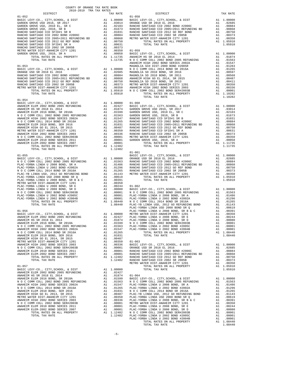| ANAHEIM ELEM-ZUUZ BOND SERIES 2007 AT 1.12482 |         |            |
|-----------------------------------------------|---------|------------|
| TOTAL TAX RATE                                | 1.12482 |            |
|                                               |         | $01 - 061$ |
| $01 - 055$                                    |         | BASIC L    |
|                                               |         |            |
|                                               |         |            |
|                                               |         |            |
|                                               |         |            |
|                                               |         |            |
|                                               |         |            |
|                                               |         |            |
|                                               |         |            |
|                                               |         |            |
|                                               |         |            |
|                                               |         |            |
|                                               |         |            |
|                                               |         |            |
|                                               |         |            |
|                                               |         |            |
|                                               |         |            |
|                                               |         |            |
|                                               |         | PLAC-YO    |
| $01 - 056$                                    |         | PLAC-YO    |
|                                               |         |            |
|                                               |         |            |
|                                               |         |            |
|                                               |         |            |
|                                               |         |            |
|                                               |         |            |
|                                               |         |            |
|                                               |         |            |
|                                               |         |            |
|                                               |         |            |
|                                               |         |            |
|                                               |         |            |
|                                               |         |            |
|                                               |         |            |
|                                               |         |            |
|                                               |         |            |
|                                               |         |            |
|                                               |         | METRO W    |
| $01 - 057$                                    |         |            |
|                                               |         |            |
|                                               |         |            |
|                                               |         |            |
|                                               |         |            |
|                                               |         |            |
|                                               |         |            |
|                                               |         |            |
|                                               |         |            |
|                                               |         |            |
|                                               |         |            |
|                                               |         |            |
|                                               |         |            |
|                                               |         |            |
|                                               |         |            |
|                                               |         |            |
|                                               |         |            |
|                                               |         |            |
|                                               |         |            |

| RANCHO SANTIAGO CCD 2002 BOND #2006C               | A1                                      | .00884            | MAGNOLI        |
|----------------------------------------------------|-----------------------------------------|-------------------|----------------|
| RANCHO SANTIAGO CCD 2005+2011 REFUNDING BD A1      |                                         | .00868            | <b>ANAHEIM</b> |
| RANCHO SANTIAGO CCD 2012 GO REF BOND               | A1                                      | .00750            | MAGNOLI        |
| RANCHO SANTIAGO CCD 2002 SR 2005B                  |                                         | A1 .00373         | METRO W        |
| METRO WATER DIST-ANAHEIM CITY 1201                 |                                         | A1 .00350         | <b>ANAHEIM</b> |
| TOTAL RATES ON ALL PROPERTY                        |                                         | A1 1.05910        | NOCC           |
| TOTAL TAX RATE                                     |                                         | 1.05910           |                |
| $01 - 054$                                         |                                         |                   |                |
| BASIC LEVY-CO., CITY, SCHOOL, & DIST               |                                         | A1 1.00000 01-060 |                |
| ANAHEIM ELEM 2002 BOND 2005 REFUNDING              |                                         | A1 .02427         | BASIC L        |
| ANAHEIM HS SR 2018 EL 2014                         | A1                                      | .01874            | GARDEN         |
| ANAHEIM ELEM 2016 BOND, SR 2018A                   | A1                                      | .01599            | GARDEN         |
| N O C COMM COLL 2002 BOND 2005 REFUNDING A1        |                                         | .01563            | GARDEN         |
| ANAHEIM HIGH 2002 BOND SERIES 2002A A1             |                                         | .01547            | RANCHO         |
| N O C COMM COLL 2014 BOND SR 2016A                 |                                         | A1 .01265         | RANCHO         |
| ANAHEIM ELEM 2010 BOND, SER 2016                   | A1                                      | .01031            | RANCHO         |
| ANAHEIM HIGH GO EL 2014, SR 2015                   | A1                                      | .00487            | RANCHO         |
| METRO WATER DIST-ANAHEIM CITY 1201                 | A1                                      | .00350            | RANCHO         |
| ANAHEIM HIGH 2002 BOND SERIES 2003                 | A1                                      | .00336            | RANCHO         |
| N O C COMM COLL 2002 BOND SER#2003B                | A1                                      | .00001            | METRO W        |
| ANAHEIM ELEM 2010 BOND SERIES 2011                 |                                         | A1 .00001         | GARDEN         |
| ANAHEIM ELEM-2002 BOND SERIES 2007                 |                                         | A1.00001          |                |
| TOTAL RATES ON ALL PROPERTY                        | A <sub>1</sub>                          | 1.12482           |                |
| TOTAL TAX RATE                                     |                                         | 1.12482           |                |
|                                                    |                                         |                   | $01 - 061$     |
| $01 - 055$                                         |                                         |                   | <b>BASIC L</b> |
| BASIC LEVY-CO., CITY, SCHOOL, & DIST Al 1.00000    |                                         |                   | ORANGE         |
| N O C COMM COLL 2002 BOND 2005 REFUNDING A1 .01563 |                                         |                   | RANCHO         |
| PLAC-YORBA LINDA U 2008 BOND, SR A                 | A1                                      | .01486            | RANCHO         |
| PLAC-YORBA LINDA U 2002 BOND #2002A                | A1                                      | .01296            | RANCHO         |
| N O C COMM COLL 2014 BOND SR 2016A                 | A1<br><b>Contract Contract Contract</b> | .01265<br>.       | RANCHO         |
| .                                                  |                                         |                   |                |

| TOTAL TAX RATE                                                                                                                                                                                                 |
|----------------------------------------------------------------------------------------------------------------------------------------------------------------------------------------------------------------|
| $01 - 053$<br>BASIC LEVY-CO., CITY, SCHOOL, & DIST<br>ORANGE USD SR 2018 EL 2016<br>RANCHO SANTIAGO CCD 2002 BOND #2006C<br>RANCHO SANTIAGO CCD 2005+2011 REFUNDING BD<br>RANCHO SANTIAGO CCD 2012 GO REF BOND |
| RANCHO SANTIAGO CCD 2002 SR 2005B<br>METRO WATER DIST-ANAHEIM CITY 1201<br>TOTAL RATES ON ALL PROPERTY<br>TOTAL TAX RATE                                                                                       |

| COUNTY OF ORANGE TAX RATE BOOK<br>2018-2019 TRA TAX RATES |          |                                                                                                                                            |          |
|-----------------------------------------------------------|----------|--------------------------------------------------------------------------------------------------------------------------------------------|----------|
| DISTRICT                                                  | TAX RATE | $\begin{minipage}{.4\linewidth} \begin{tabular}{l} \bf \end{tabular} \end{minipage}$ $\begin{tabular}{l} \bf \end{tabular} \end{minipage}$ | TAX RATE |
| $01 - 052$                                                |          |                                                                                                                                            |          |
|                                                           |          |                                                                                                                                            |          |
|                                                           |          |                                                                                                                                            |          |
| $01 - 054$<br>TOTAL TAX RATE                              | 1.12482  |                                                                                                                                            |          |
|                                                           |          | $01 - 061$                                                                                                                                 |          |
|                                                           |          |                                                                                                                                            |          |
|                                                           |          |                                                                                                                                            |          |
|                                                           |          |                                                                                                                                            |          |
|                                                           |          |                                                                                                                                            |          |
|                                                           |          |                                                                                                                                            |          |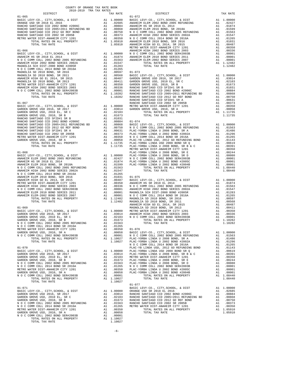| COUNTY OF ORANGE TAX RATE BOOK<br>2018-2019 TRA TAX RATES |  |                                                                                                                                                                                                                                                                                                                                                                                                                                                                     |          |
|-----------------------------------------------------------|--|---------------------------------------------------------------------------------------------------------------------------------------------------------------------------------------------------------------------------------------------------------------------------------------------------------------------------------------------------------------------------------------------------------------------------------------------------------------------|----------|
| DISTRICT                                                  |  | TAX RATE DISTRICT DISTRICT                                                                                                                                                                                                                                                                                                                                                                                                                                          | TAX RATE |
|                                                           |  |                                                                                                                                                                                                                                                                                                                                                                                                                                                                     |          |
|                                                           |  |                                                                                                                                                                                                                                                                                                                                                                                                                                                                     |          |
|                                                           |  |                                                                                                                                                                                                                                                                                                                                                                                                                                                                     |          |
|                                                           |  |                                                                                                                                                                                                                                                                                                                                                                                                                                                                     |          |
|                                                           |  |                                                                                                                                                                                                                                                                                                                                                                                                                                                                     |          |
|                                                           |  |                                                                                                                                                                                                                                                                                                                                                                                                                                                                     |          |
|                                                           |  |                                                                                                                                                                                                                                                                                                                                                                                                                                                                     |          |
|                                                           |  |                                                                                                                                                                                                                                                                                                                                                                                                                                                                     |          |
|                                                           |  |                                                                                                                                                                                                                                                                                                                                                                                                                                                                     |          |
|                                                           |  |                                                                                                                                                                                                                                                                                                                                                                                                                                                                     |          |
|                                                           |  |                                                                                                                                                                                                                                                                                                                                                                                                                                                                     |          |
|                                                           |  |                                                                                                                                                                                                                                                                                                                                                                                                                                                                     |          |
|                                                           |  |                                                                                                                                                                                                                                                                                                                                                                                                                                                                     |          |
|                                                           |  |                                                                                                                                                                                                                                                                                                                                                                                                                                                                     |          |
|                                                           |  |                                                                                                                                                                                                                                                                                                                                                                                                                                                                     |          |
|                                                           |  |                                                                                                                                                                                                                                                                                                                                                                                                                                                                     |          |
|                                                           |  |                                                                                                                                                                                                                                                                                                                                                                                                                                                                     |          |
|                                                           |  |                                                                                                                                                                                                                                                                                                                                                                                                                                                                     |          |
|                                                           |  |                                                                                                                                                                                                                                                                                                                                                                                                                                                                     |          |
|                                                           |  |                                                                                                                                                                                                                                                                                                                                                                                                                                                                     |          |
|                                                           |  |                                                                                                                                                                                                                                                                                                                                                                                                                                                                     |          |
|                                                           |  |                                                                                                                                                                                                                                                                                                                                                                                                                                                                     |          |
|                                                           |  |                                                                                                                                                                                                                                                                                                                                                                                                                                                                     |          |
|                                                           |  |                                                                                                                                                                                                                                                                                                                                                                                                                                                                     |          |
|                                                           |  |                                                                                                                                                                                                                                                                                                                                                                                                                                                                     |          |
|                                                           |  |                                                                                                                                                                                                                                                                                                                                                                                                                                                                     |          |
|                                                           |  |                                                                                                                                                                                                                                                                                                                                                                                                                                                                     |          |
|                                                           |  |                                                                                                                                                                                                                                                                                                                                                                                                                                                                     |          |
|                                                           |  |                                                                                                                                                                                                                                                                                                                                                                                                                                                                     |          |
|                                                           |  |                                                                                                                                                                                                                                                                                                                                                                                                                                                                     |          |
|                                                           |  |                                                                                                                                                                                                                                                                                                                                                                                                                                                                     |          |
|                                                           |  |                                                                                                                                                                                                                                                                                                                                                                                                                                                                     |          |
|                                                           |  |                                                                                                                                                                                                                                                                                                                                                                                                                                                                     |          |
|                                                           |  |                                                                                                                                                                                                                                                                                                                                                                                                                                                                     |          |
|                                                           |  |                                                                                                                                                                                                                                                                                                                                                                                                                                                                     |          |
|                                                           |  |                                                                                                                                                                                                                                                                                                                                                                                                                                                                     |          |
|                                                           |  |                                                                                                                                                                                                                                                                                                                                                                                                                                                                     |          |
|                                                           |  |                                                                                                                                                                                                                                                                                                                                                                                                                                                                     |          |
|                                                           |  |                                                                                                                                                                                                                                                                                                                                                                                                                                                                     |          |
|                                                           |  |                                                                                                                                                                                                                                                                                                                                                                                                                                                                     |          |
|                                                           |  |                                                                                                                                                                                                                                                                                                                                                                                                                                                                     |          |
|                                                           |  |                                                                                                                                                                                                                                                                                                                                                                                                                                                                     |          |
|                                                           |  |                                                                                                                                                                                                                                                                                                                                                                                                                                                                     |          |
|                                                           |  |                                                                                                                                                                                                                                                                                                                                                                                                                                                                     |          |
|                                                           |  |                                                                                                                                                                                                                                                                                                                                                                                                                                                                     |          |
|                                                           |  |                                                                                                                                                                                                                                                                                                                                                                                                                                                                     |          |
|                                                           |  |                                                                                                                                                                                                                                                                                                                                                                                                                                                                     |          |
|                                                           |  |                                                                                                                                                                                                                                                                                                                                                                                                                                                                     |          |
|                                                           |  | $\begin{tabular}{cccccccc} \textbf{0.12.04}\footnotesize & \textbf{0.12.04}\footnotesize & \textbf{0.12.04}\footnotesize & \textbf{0.12.04}\footnotesize & \textbf{0.12.04}\footnotesize & \textbf{0.12.04}\footnotesize & \textbf{0.12.04}\footnotesize & \textbf{0.12.04}\footnotesize & \textbf{0.12.04}\footnotesize & \textbf{0.12.04}\footnotesize & \textbf{0.12.04}\footnotesize & \textbf{0.12.04}\footnotesize & \textbf{0.12.04}\footnotesize & \textbf$ |          |
|                                                           |  |                                                                                                                                                                                                                                                                                                                                                                                                                                                                     |          |
|                                                           |  |                                                                                                                                                                                                                                                                                                                                                                                                                                                                     |          |
|                                                           |  |                                                                                                                                                                                                                                                                                                                                                                                                                                                                     |          |
|                                                           |  |                                                                                                                                                                                                                                                                                                                                                                                                                                                                     |          |
|                                                           |  |                                                                                                                                                                                                                                                                                                                                                                                                                                                                     |          |
|                                                           |  |                                                                                                                                                                                                                                                                                                                                                                                                                                                                     |          |
|                                                           |  |                                                                                                                                                                                                                                                                                                                                                                                                                                                                     |          |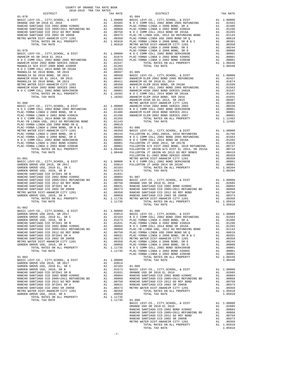|            | COUNTY OF ORANGE TAX RATE BOOK                                                                                                                                                                                                                                                                                                                                                                                                                               |  |                                    |          |
|------------|--------------------------------------------------------------------------------------------------------------------------------------------------------------------------------------------------------------------------------------------------------------------------------------------------------------------------------------------------------------------------------------------------------------------------------------------------------------|--|------------------------------------|----------|
|            | $\begin{minipage}{0.5\textwidth} \begin{tabular}{@{}c@{}} \hline \textbf{1} & \textbf{1} & \textbf{1} \\ \textbf{2} & \textbf{1} & \textbf{1} \\ \textbf{2} & \textbf{2} & \textbf{2} \\ \textbf{3} & \textbf{1} & \textbf{2} \\ \textbf{5} & \textbf{1} & \textbf{2} \\ \textbf{6} & \textbf{1} & \textbf{2} \\ \end{tabular} \end{minipage} \begin{minipage}{0.5\textwidth} \begin{tabular}{@{}c@{}} \hline \textbf{1} & \textbf{1} \\ \textbf{2} & \text$ |  | TRA TAX RATES<br>TAX RATE DISTRICT | TAX RATE |
|            |                                                                                                                                                                                                                                                                                                                                                                                                                                                              |  | $01 - 084$                         |          |
|            |                                                                                                                                                                                                                                                                                                                                                                                                                                                              |  |                                    |          |
|            |                                                                                                                                                                                                                                                                                                                                                                                                                                                              |  |                                    |          |
|            |                                                                                                                                                                                                                                                                                                                                                                                                                                                              |  |                                    |          |
|            |                                                                                                                                                                                                                                                                                                                                                                                                                                                              |  |                                    |          |
|            |                                                                                                                                                                                                                                                                                                                                                                                                                                                              |  |                                    |          |
|            |                                                                                                                                                                                                                                                                                                                                                                                                                                                              |  |                                    |          |
|            |                                                                                                                                                                                                                                                                                                                                                                                                                                                              |  |                                    |          |
|            |                                                                                                                                                                                                                                                                                                                                                                                                                                                              |  |                                    |          |
|            |                                                                                                                                                                                                                                                                                                                                                                                                                                                              |  |                                    |          |
|            |                                                                                                                                                                                                                                                                                                                                                                                                                                                              |  |                                    |          |
|            |                                                                                                                                                                                                                                                                                                                                                                                                                                                              |  |                                    |          |
|            |                                                                                                                                                                                                                                                                                                                                                                                                                                                              |  |                                    |          |
|            |                                                                                                                                                                                                                                                                                                                                                                                                                                                              |  |                                    |          |
|            |                                                                                                                                                                                                                                                                                                                                                                                                                                                              |  |                                    |          |
|            |                                                                                                                                                                                                                                                                                                                                                                                                                                                              |  |                                    |          |
|            |                                                                                                                                                                                                                                                                                                                                                                                                                                                              |  |                                    |          |
|            |                                                                                                                                                                                                                                                                                                                                                                                                                                                              |  |                                    |          |
|            |                                                                                                                                                                                                                                                                                                                                                                                                                                                              |  |                                    |          |
|            |                                                                                                                                                                                                                                                                                                                                                                                                                                                              |  |                                    |          |
|            |                                                                                                                                                                                                                                                                                                                                                                                                                                                              |  |                                    |          |
|            |                                                                                                                                                                                                                                                                                                                                                                                                                                                              |  |                                    |          |
|            |                                                                                                                                                                                                                                                                                                                                                                                                                                                              |  |                                    |          |
|            |                                                                                                                                                                                                                                                                                                                                                                                                                                                              |  |                                    |          |
|            |                                                                                                                                                                                                                                                                                                                                                                                                                                                              |  |                                    |          |
|            |                                                                                                                                                                                                                                                                                                                                                                                                                                                              |  |                                    |          |
|            |                                                                                                                                                                                                                                                                                                                                                                                                                                                              |  |                                    |          |
|            |                                                                                                                                                                                                                                                                                                                                                                                                                                                              |  |                                    |          |
|            |                                                                                                                                                                                                                                                                                                                                                                                                                                                              |  |                                    |          |
|            |                                                                                                                                                                                                                                                                                                                                                                                                                                                              |  |                                    |          |
|            |                                                                                                                                                                                                                                                                                                                                                                                                                                                              |  |                                    |          |
|            |                                                                                                                                                                                                                                                                                                                                                                                                                                                              |  |                                    |          |
| $01 - 082$ |                                                                                                                                                                                                                                                                                                                                                                                                                                                              |  |                                    |          |
|            |                                                                                                                                                                                                                                                                                                                                                                                                                                                              |  |                                    |          |
|            |                                                                                                                                                                                                                                                                                                                                                                                                                                                              |  |                                    |          |
|            |                                                                                                                                                                                                                                                                                                                                                                                                                                                              |  |                                    |          |
|            |                                                                                                                                                                                                                                                                                                                                                                                                                                                              |  |                                    |          |
|            |                                                                                                                                                                                                                                                                                                                                                                                                                                                              |  |                                    |          |
|            |                                                                                                                                                                                                                                                                                                                                                                                                                                                              |  |                                    |          |
|            |                                                                                                                                                                                                                                                                                                                                                                                                                                                              |  |                                    |          |
|            |                                                                                                                                                                                                                                                                                                                                                                                                                                                              |  |                                    |          |
|            |                                                                                                                                                                                                                                                                                                                                                                                                                                                              |  |                                    |          |
|            |                                                                                                                                                                                                                                                                                                                                                                                                                                                              |  |                                    |          |
|            |                                                                                                                                                                                                                                                                                                                                                                                                                                                              |  |                                    |          |
|            |                                                                                                                                                                                                                                                                                                                                                                                                                                                              |  |                                    |          |
|            |                                                                                                                                                                                                                                                                                                                                                                                                                                                              |  |                                    |          |
|            |                                                                                                                                                                                                                                                                                                                                                                                                                                                              |  |                                    |          |
|            |                                                                                                                                                                                                                                                                                                                                                                                                                                                              |  |                                    |          |
|            |                                                                                                                                                                                                                                                                                                                                                                                                                                                              |  |                                    |          |
|            |                                                                                                                                                                                                                                                                                                                                                                                                                                                              |  |                                    |          |
|            |                                                                                                                                                                                                                                                                                                                                                                                                                                                              |  |                                    |          |
|            |                                                                                                                                                                                                                                                                                                                                                                                                                                                              |  |                                    |          |
|            |                                                                                                                                                                                                                                                                                                                                                                                                                                                              |  |                                    |          |
|            |                                                                                                                                                                                                                                                                                                                                                                                                                                                              |  |                                    |          |
|            |                                                                                                                                                                                                                                                                                                                                                                                                                                                              |  |                                    |          |
|            |                                                                                                                                                                                                                                                                                                                                                                                                                                                              |  |                                    |          |
|            |                                                                                                                                                                                                                                                                                                                                                                                                                                                              |  |                                    |          |
|            |                                                                                                                                                                                                                                                                                                                                                                                                                                                              |  |                                    |          |
|            |                                                                                                                                                                                                                                                                                                                                                                                                                                                              |  |                                    |          |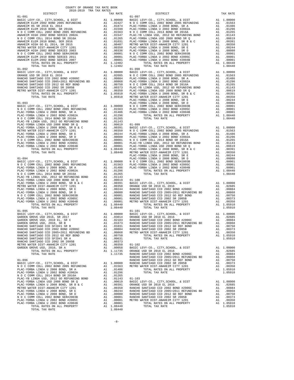| COUNTY OF ORANGE TAX RATE BOOK<br>2018-2019 TRA TAX RATES |  |                                                                                                                                                                                                                                                                                  |          |
|-----------------------------------------------------------|--|----------------------------------------------------------------------------------------------------------------------------------------------------------------------------------------------------------------------------------------------------------------------------------|----------|
| DISTRICT                                                  |  | TAX RATE DISTRICT<br>TAX RATE 01-097                                                                                                                                                                                                                                             | TAX RATE |
| $01 - 091$                                                |  |                                                                                                                                                                                                                                                                                  |          |
|                                                           |  |                                                                                                                                                                                                                                                                                  |          |
|                                                           |  |                                                                                                                                                                                                                                                                                  |          |
|                                                           |  |                                                                                                                                                                                                                                                                                  |          |
|                                                           |  |                                                                                                                                                                                                                                                                                  |          |
|                                                           |  |                                                                                                                                                                                                                                                                                  |          |
|                                                           |  |                                                                                                                                                                                                                                                                                  |          |
|                                                           |  |                                                                                                                                                                                                                                                                                  |          |
|                                                           |  |                                                                                                                                                                                                                                                                                  |          |
|                                                           |  |                                                                                                                                                                                                                                                                                  |          |
|                                                           |  |                                                                                                                                                                                                                                                                                  |          |
|                                                           |  |                                                                                                                                                                                                                                                                                  |          |
|                                                           |  |                                                                                                                                                                                                                                                                                  |          |
|                                                           |  |                                                                                                                                                                                                                                                                                  |          |
|                                                           |  |                                                                                                                                                                                                                                                                                  |          |
|                                                           |  |                                                                                                                                                                                                                                                                                  |          |
|                                                           |  |                                                                                                                                                                                                                                                                                  |          |
|                                                           |  |                                                                                                                                                                                                                                                                                  |          |
|                                                           |  |                                                                                                                                                                                                                                                                                  |          |
|                                                           |  |                                                                                                                                                                                                                                                                                  |          |
|                                                           |  |                                                                                                                                                                                                                                                                                  |          |
|                                                           |  |                                                                                                                                                                                                                                                                                  |          |
|                                                           |  |                                                                                                                                                                                                                                                                                  |          |
|                                                           |  |                                                                                                                                                                                                                                                                                  |          |
|                                                           |  |                                                                                                                                                                                                                                                                                  |          |
|                                                           |  |                                                                                                                                                                                                                                                                                  |          |
|                                                           |  |                                                                                                                                                                                                                                                                                  |          |
|                                                           |  |                                                                                                                                                                                                                                                                                  |          |
|                                                           |  |                                                                                                                                                                                                                                                                                  |          |
|                                                           |  |                                                                                                                                                                                                                                                                                  |          |
|                                                           |  |                                                                                                                                                                                                                                                                                  |          |
|                                                           |  |                                                                                                                                                                                                                                                                                  |          |
|                                                           |  |                                                                                                                                                                                                                                                                                  |          |
|                                                           |  |                                                                                                                                                                                                                                                                                  |          |
|                                                           |  |                                                                                                                                                                                                                                                                                  |          |
|                                                           |  |                                                                                                                                                                                                                                                                                  |          |
|                                                           |  |                                                                                                                                                                                                                                                                                  |          |
|                                                           |  |                                                                                                                                                                                                                                                                                  |          |
|                                                           |  |                                                                                                                                                                                                                                                                                  |          |
|                                                           |  |                                                                                                                                                                                                                                                                                  |          |
|                                                           |  |                                                                                                                                                                                                                                                                                  |          |
|                                                           |  |                                                                                                                                                                                                                                                                                  |          |
|                                                           |  |                                                                                                                                                                                                                                                                                  |          |
|                                                           |  |                                                                                                                                                                                                                                                                                  |          |
|                                                           |  |                                                                                                                                                                                                                                                                                  |          |
|                                                           |  |                                                                                                                                                                                                                                                                                  |          |
|                                                           |  |                                                                                                                                                                                                                                                                                  |          |
|                                                           |  |                                                                                                                                                                                                                                                                                  |          |
|                                                           |  |                                                                                                                                                                                                                                                                                  |          |
|                                                           |  |                                                                                                                                                                                                                                                                                  |          |
|                                                           |  |                                                                                                                                                                                                                                                                                  |          |
|                                                           |  |                                                                                                                                                                                                                                                                                  |          |
|                                                           |  |                                                                                                                                                                                                                                                                                  |          |
|                                                           |  |                                                                                                                                                                                                                                                                                  |          |
|                                                           |  |                                                                                                                                                                                                                                                                                  |          |
|                                                           |  |                                                                                                                                                                                                                                                                                  |          |
|                                                           |  |                                                                                                                                                                                                                                                                                  |          |
|                                                           |  |                                                                                                                                                                                                                                                                                  |          |
|                                                           |  |                                                                                                                                                                                                                                                                                  |          |
|                                                           |  |                                                                                                                                                                                                                                                                                  |          |
|                                                           |  |                                                                                                                                                                                                                                                                                  |          |
|                                                           |  | $\begin{array}{cccccccc} 11 & 0.01 & 0.01 & 0.01 & 0.01 & 0.01 & 0.01 & 0.01 & 0.01 & 0.01 & 0.01 & 0.01 & 0.01 & 0.01 & 0.01 & 0.01 & 0.01 & 0.01 & 0.01 & 0.01 & 0.01 & 0.01 & 0.01 & 0.01 & 0.01 & 0.01 & 0.01 & 0.01 & 0.01 & 0.01 & 0.01 & 0.01 & 0.01 & 0.01 & 0.01 & 0.0$ |          |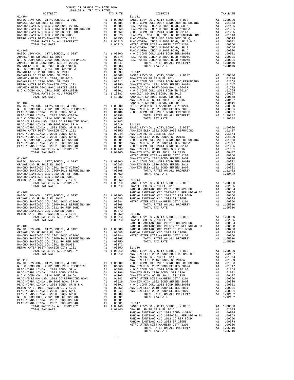| COUNTY OF ORANGE TAX RATE BOOK<br>2018-2019 TRA TAX RATES<br>DISTRICT |  | RA TAX RATES<br>TAX RATE | TAX RATE |
|-----------------------------------------------------------------------|--|--------------------------|----------|
|                                                                       |  | $01 - 111$               |          |
|                                                                       |  |                          |          |
|                                                                       |  |                          |          |
|                                                                       |  |                          |          |
|                                                                       |  |                          |          |
|                                                                       |  |                          |          |
|                                                                       |  |                          |          |
|                                                                       |  |                          |          |
|                                                                       |  |                          |          |
|                                                                       |  |                          |          |
|                                                                       |  |                          |          |
|                                                                       |  |                          |          |
|                                                                       |  |                          |          |
|                                                                       |  |                          |          |
|                                                                       |  |                          |          |
|                                                                       |  |                          |          |
|                                                                       |  |                          |          |
|                                                                       |  |                          |          |
|                                                                       |  |                          |          |
|                                                                       |  |                          |          |
|                                                                       |  |                          |          |
|                                                                       |  |                          |          |
|                                                                       |  |                          |          |
|                                                                       |  |                          |          |
|                                                                       |  |                          |          |
|                                                                       |  |                          |          |
|                                                                       |  |                          |          |
|                                                                       |  |                          |          |
|                                                                       |  |                          |          |
|                                                                       |  |                          |          |
|                                                                       |  |                          |          |
|                                                                       |  |                          |          |
|                                                                       |  |                          |          |
|                                                                       |  |                          |          |
|                                                                       |  |                          |          |
|                                                                       |  |                          |          |
|                                                                       |  |                          |          |
|                                                                       |  |                          |          |
|                                                                       |  |                          |          |
|                                                                       |  |                          |          |
|                                                                       |  |                          |          |
|                                                                       |  |                          |          |
|                                                                       |  |                          |          |
|                                                                       |  |                          |          |
|                                                                       |  |                          |          |
|                                                                       |  |                          |          |
|                                                                       |  |                          |          |
|                                                                       |  |                          |          |
|                                                                       |  |                          |          |
|                                                                       |  |                          |          |
|                                                                       |  |                          |          |
|                                                                       |  |                          |          |
|                                                                       |  |                          |          |
|                                                                       |  |                          |          |
|                                                                       |  |                          |          |
|                                                                       |  |                          |          |
|                                                                       |  |                          |          |
|                                                                       |  |                          |          |
|                                                                       |  |                          |          |
|                                                                       |  |                          |          |
|                                                                       |  |                          |          |
|                                                                       |  |                          |          |
|                                                                       |  |                          |          |
|                                                                       |  |                          |          |
|                                                                       |  |                          |          |
|                                                                       |  |                          |          |
|                                                                       |  |                          |          |
|                                                                       |  |                          |          |
|                                                                       |  |                          |          |
|                                                                       |  |                          |          |
|                                                                       |  |                          |          |
|                                                                       |  |                          |          |
|                                                                       |  |                          |          |
|                                                                       |  |                          |          |
|                                                                       |  |                          |          |
|                                                                       |  |                          |          |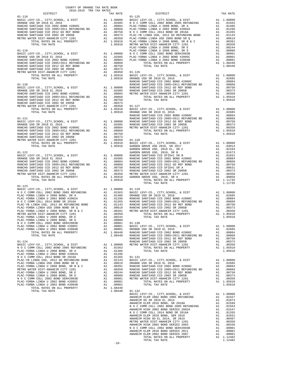|            | TAX RATE | DISTRICT | TAX RATE |
|------------|----------|----------|----------|
|            |          |          |          |
|            |          |          |          |
|            |          |          |          |
|            |          |          |          |
|            |          |          |          |
|            |          |          |          |
|            |          |          |          |
|            |          |          |          |
|            |          |          |          |
|            |          |          |          |
|            |          |          |          |
|            |          |          |          |
|            |          |          |          |
|            |          |          |          |
|            |          |          |          |
|            |          |          |          |
|            |          |          |          |
|            |          |          |          |
|            |          |          |          |
|            |          |          |          |
|            |          |          |          |
|            |          |          |          |
|            |          |          |          |
|            |          |          |          |
|            |          |          |          |
|            |          |          |          |
|            |          |          |          |
|            |          |          |          |
|            |          |          |          |
|            |          |          |          |
|            |          |          |          |
|            |          |          |          |
|            |          |          |          |
|            |          |          |          |
|            |          |          |          |
|            |          |          |          |
|            |          |          |          |
|            |          |          |          |
|            |          |          |          |
|            |          |          |          |
|            |          |          |          |
|            |          |          |          |
|            |          |          |          |
|            |          |          |          |
|            |          |          |          |
|            |          |          |          |
|            |          |          |          |
|            |          |          |          |
|            |          |          |          |
|            |          |          |          |
|            |          |          |          |
|            |          |          |          |
|            |          |          |          |
|            |          |          |          |
|            |          |          |          |
|            |          |          |          |
|            |          |          |          |
| $01 - 123$ |          |          |          |
|            |          |          |          |
|            |          |          |          |
|            |          |          |          |
|            |          |          |          |
|            |          |          |          |
|            |          |          |          |
|            |          |          |          |
|            |          |          |          |
|            |          |          |          |
|            |          |          |          |
|            |          |          |          |
|            |          |          |          |
|            |          |          |          |
|            |          |          |          |
|            |          |          |          |
|            |          |          |          |
|            |          |          |          |
|            |          |          |          |
|            |          |          |          |
|            |          |          |          |
|            |          |          |          |
|            |          |          |          |
|            |          |          |          |
|            |          |          |          |
|            |          |          |          |
|            |          |          |          |
|            |          |          |          |
|            |          |          |          |
|            |          |          |          |
|            |          |          |          |
|            |          |          |          |
|            |          |          |          |
|            |          |          |          |
|            |          |          |          |
|            |          |          |          |
|            |          |          |          |
|            |          |          |          |
|            |          |          |          |
|            |          |          |          |
|            |          |          |          |
|            |          |          |          |
|            |          |          |          |
|            |          |          |          |
|            |          |          |          |
|            |          |          |          |
|            |          |          |          |
|            |          |          |          |
|            |          |          |          |
|            |          |          |          |
|            |          |          |          |
|            |          |          |          |
|            |          |          |          |
|            |          |          |          |
|            |          |          |          |
|            |          |          |          |
|            | $-10-$   |          |          |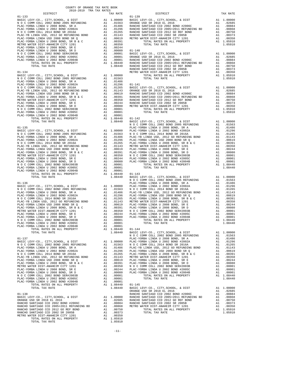| COUNTY OF ORANGE TAX RATE BOOK<br>2018-2019 TRA TAX RATES                                                           |          |                  |
|---------------------------------------------------------------------------------------------------------------------|----------|------------------|
| DISTRICT                                                                                                            | TAX RATE |                  |
|                                                                                                                     |          |                  |
|                                                                                                                     |          |                  |
|                                                                                                                     |          |                  |
|                                                                                                                     |          |                  |
|                                                                                                                     |          |                  |
|                                                                                                                     |          |                  |
|                                                                                                                     |          |                  |
|                                                                                                                     |          |                  |
|                                                                                                                     |          |                  |
|                                                                                                                     |          |                  |
|                                                                                                                     |          |                  |
|                                                                                                                     |          |                  |
|                                                                                                                     |          |                  |
|                                                                                                                     |          |                  |
|                                                                                                                     |          | RANCHO           |
|                                                                                                                     |          |                  |
|                                                                                                                     |          |                  |
|                                                                                                                     |          |                  |
|                                                                                                                     |          |                  |
|                                                                                                                     |          |                  |
|                                                                                                                     |          |                  |
|                                                                                                                     |          |                  |
|                                                                                                                     |          |                  |
|                                                                                                                     |          |                  |
|                                                                                                                     |          |                  |
|                                                                                                                     |          |                  |
|                                                                                                                     |          |                  |
|                                                                                                                     |          |                  |
|                                                                                                                     |          |                  |
|                                                                                                                     |          | NOCC             |
| $01 - 135$                                                                                                          |          | PLAC-YO          |
|                                                                                                                     |          |                  |
|                                                                                                                     |          |                  |
|                                                                                                                     |          |                  |
|                                                                                                                     |          |                  |
|                                                                                                                     |          |                  |
|                                                                                                                     |          |                  |
|                                                                                                                     |          |                  |
|                                                                                                                     |          |                  |
|                                                                                                                     |          |                  |
|                                                                                                                     |          |                  |
|                                                                                                                     |          |                  |
|                                                                                                                     |          |                  |
|                                                                                                                     |          |                  |
|                                                                                                                     |          | NOCC             |
|                                                                                                                     |          |                  |
|                                                                                                                     |          |                  |
|                                                                                                                     |          |                  |
|                                                                                                                     |          |                  |
|                                                                                                                     |          |                  |
|                                                                                                                     |          |                  |
|                                                                                                                     |          |                  |
|                                                                                                                     |          |                  |
|                                                                                                                     |          |                  |
|                                                                                                                     |          |                  |
|                                                                                                                     |          |                  |
| A1 .00001<br>A1 .00001<br>A1 .00001<br>A1 1.08440 RASIC L<br>1 08440 RASIC L<br>PLAC-YORBA LINDA U 2002 BOND #2005C |          |                  |
| PLAC-YORBA LINDA U 2002 BOND #2004B                                                                                 |          |                  |
| TOTAL RATES ON ALL PROPERTY                                                                                         |          | BASIC L          |
| TOTAL TAX RATE                                                                                                      | 1.08440  | NOCC             |
| $01 - 137$                                                                                                          |          | PLAC-YO          |
|                                                                                                                     |          |                  |
|                                                                                                                     |          |                  |
|                                                                                                                     |          |                  |
|                                                                                                                     |          |                  |
|                                                                                                                     |          |                  |
|                                                                                                                     |          |                  |
|                                                                                                                     |          |                  |
|                                                                                                                     |          |                  |
|                                                                                                                     |          |                  |
|                                                                                                                     |          |                  |
|                                                                                                                     |          |                  |
|                                                                                                                     |          |                  |
|                                                                                                                     |          |                  |
| TOTAL TAX RATE                                                                                                      | 1.08440  | BASIC L          |
| $01 - 138$                                                                                                          |          | ORANGE<br>RANCHO |
| 01-138<br>BASIC LEVY-CO., CITY, SCHOOL, & DIST                                                                      |          |                  |
|                                                                                                                     |          |                  |
|                                                                                                                     |          |                  |
|                                                                                                                     |          |                  |
|                                                                                                                     |          |                  |
|                                                                                                                     |          |                  |
|                                                                                                                     |          |                  |
| TOTAL TAX RATE                                                                                                      | 1.05910  |                  |

| COUNTI OF ORNHOLD THE RETED BOOR<br>2018-2019 TRA TAX RATES |  |                                                                                                                                                                                                                                                                                                                                                                                                                                                                |          |
|-------------------------------------------------------------|--|----------------------------------------------------------------------------------------------------------------------------------------------------------------------------------------------------------------------------------------------------------------------------------------------------------------------------------------------------------------------------------------------------------------------------------------------------------------|----------|
| DISTRICT                                                    |  | $\begin{minipage}{.4\linewidth} \texttt{TAX RATE} & \begin{minipage}{.4\linewidth} \[ 01-139 \end{minipage} \end{minipage} \vspace{0.5cm} \begin{minipage}{.4\linewidth} \begin{minipage}{.4\linewidth} \[ 01-139 \end{minipage} \vspace{0.5cm} \begin{minipage}{.4\linewidth} \[ 01-139 \end{minipage} \vspace{0.5cm} \begin{minipage}{.4\linewidth} \[ 01-139 \end{minipage} \vspace{0.5cm} \begin{minipage}{.4\linewidth} \[ 01-139 \end{minipage} \vspace$ | TAX RATE |
|                                                             |  |                                                                                                                                                                                                                                                                                                                                                                                                                                                                |          |
|                                                             |  |                                                                                                                                                                                                                                                                                                                                                                                                                                                                |          |
|                                                             |  |                                                                                                                                                                                                                                                                                                                                                                                                                                                                |          |
|                                                             |  |                                                                                                                                                                                                                                                                                                                                                                                                                                                                |          |
|                                                             |  |                                                                                                                                                                                                                                                                                                                                                                                                                                                                |          |
|                                                             |  |                                                                                                                                                                                                                                                                                                                                                                                                                                                                |          |
|                                                             |  |                                                                                                                                                                                                                                                                                                                                                                                                                                                                |          |
|                                                             |  |                                                                                                                                                                                                                                                                                                                                                                                                                                                                |          |
|                                                             |  |                                                                                                                                                                                                                                                                                                                                                                                                                                                                |          |
|                                                             |  |                                                                                                                                                                                                                                                                                                                                                                                                                                                                |          |
|                                                             |  |                                                                                                                                                                                                                                                                                                                                                                                                                                                                |          |
|                                                             |  |                                                                                                                                                                                                                                                                                                                                                                                                                                                                |          |
|                                                             |  |                                                                                                                                                                                                                                                                                                                                                                                                                                                                |          |
|                                                             |  |                                                                                                                                                                                                                                                                                                                                                                                                                                                                |          |
|                                                             |  |                                                                                                                                                                                                                                                                                                                                                                                                                                                                |          |
|                                                             |  |                                                                                                                                                                                                                                                                                                                                                                                                                                                                |          |
|                                                             |  |                                                                                                                                                                                                                                                                                                                                                                                                                                                                |          |
|                                                             |  |                                                                                                                                                                                                                                                                                                                                                                                                                                                                |          |
|                                                             |  |                                                                                                                                                                                                                                                                                                                                                                                                                                                                |          |
|                                                             |  |                                                                                                                                                                                                                                                                                                                                                                                                                                                                |          |
|                                                             |  |                                                                                                                                                                                                                                                                                                                                                                                                                                                                |          |
|                                                             |  |                                                                                                                                                                                                                                                                                                                                                                                                                                                                |          |
|                                                             |  |                                                                                                                                                                                                                                                                                                                                                                                                                                                                |          |
|                                                             |  |                                                                                                                                                                                                                                                                                                                                                                                                                                                                |          |
|                                                             |  |                                                                                                                                                                                                                                                                                                                                                                                                                                                                |          |
|                                                             |  |                                                                                                                                                                                                                                                                                                                                                                                                                                                                |          |
|                                                             |  |                                                                                                                                                                                                                                                                                                                                                                                                                                                                |          |
|                                                             |  |                                                                                                                                                                                                                                                                                                                                                                                                                                                                |          |
|                                                             |  |                                                                                                                                                                                                                                                                                                                                                                                                                                                                |          |
|                                                             |  |                                                                                                                                                                                                                                                                                                                                                                                                                                                                |          |
|                                                             |  |                                                                                                                                                                                                                                                                                                                                                                                                                                                                |          |
|                                                             |  |                                                                                                                                                                                                                                                                                                                                                                                                                                                                |          |
|                                                             |  |                                                                                                                                                                                                                                                                                                                                                                                                                                                                |          |
|                                                             |  |                                                                                                                                                                                                                                                                                                                                                                                                                                                                |          |
|                                                             |  |                                                                                                                                                                                                                                                                                                                                                                                                                                                                |          |
|                                                             |  |                                                                                                                                                                                                                                                                                                                                                                                                                                                                |          |
|                                                             |  |                                                                                                                                                                                                                                                                                                                                                                                                                                                                |          |
|                                                             |  |                                                                                                                                                                                                                                                                                                                                                                                                                                                                |          |
|                                                             |  |                                                                                                                                                                                                                                                                                                                                                                                                                                                                |          |
|                                                             |  |                                                                                                                                                                                                                                                                                                                                                                                                                                                                |          |
|                                                             |  |                                                                                                                                                                                                                                                                                                                                                                                                                                                                |          |
|                                                             |  |                                                                                                                                                                                                                                                                                                                                                                                                                                                                |          |
|                                                             |  |                                                                                                                                                                                                                                                                                                                                                                                                                                                                |          |
|                                                             |  |                                                                                                                                                                                                                                                                                                                                                                                                                                                                |          |
|                                                             |  |                                                                                                                                                                                                                                                                                                                                                                                                                                                                |          |
|                                                             |  |                                                                                                                                                                                                                                                                                                                                                                                                                                                                |          |
|                                                             |  |                                                                                                                                                                                                                                                                                                                                                                                                                                                                |          |
|                                                             |  |                                                                                                                                                                                                                                                                                                                                                                                                                                                                |          |
|                                                             |  |                                                                                                                                                                                                                                                                                                                                                                                                                                                                |          |
|                                                             |  |                                                                                                                                                                                                                                                                                                                                                                                                                                                                |          |
|                                                             |  |                                                                                                                                                                                                                                                                                                                                                                                                                                                                |          |
|                                                             |  |                                                                                                                                                                                                                                                                                                                                                                                                                                                                |          |
|                                                             |  |                                                                                                                                                                                                                                                                                                                                                                                                                                                                |          |
|                                                             |  |                                                                                                                                                                                                                                                                                                                                                                                                                                                                |          |
|                                                             |  |                                                                                                                                                                                                                                                                                                                                                                                                                                                                |          |
|                                                             |  |                                                                                                                                                                                                                                                                                                                                                                                                                                                                |          |
|                                                             |  |                                                                                                                                                                                                                                                                                                                                                                                                                                                                |          |
|                                                             |  |                                                                                                                                                                                                                                                                                                                                                                                                                                                                |          |
|                                                             |  |                                                                                                                                                                                                                                                                                                                                                                                                                                                                |          |
|                                                             |  |                                                                                                                                                                                                                                                                                                                                                                                                                                                                |          |
|                                                             |  |                                                                                                                                                                                                                                                                                                                                                                                                                                                                |          |
|                                                             |  |                                                                                                                                                                                                                                                                                                                                                                                                                                                                |          |
|                                                             |  |                                                                                                                                                                                                                                                                                                                                                                                                                                                                |          |
|                                                             |  |                                                                                                                                                                                                                                                                                                                                                                                                                                                                |          |
|                                                             |  |                                                                                                                                                                                                                                                                                                                                                                                                                                                                |          |
|                                                             |  |                                                                                                                                                                                                                                                                                                                                                                                                                                                                |          |
|                                                             |  |                                                                                                                                                                                                                                                                                                                                                                                                                                                                |          |
|                                                             |  |                                                                                                                                                                                                                                                                                                                                                                                                                                                                |          |
|                                                             |  |                                                                                                                                                                                                                                                                                                                                                                                                                                                                |          |
|                                                             |  |                                                                                                                                                                                                                                                                                                                                                                                                                                                                |          |
|                                                             |  |                                                                                                                                                                                                                                                                                                                                                                                                                                                                |          |
|                                                             |  |                                                                                                                                                                                                                                                                                                                                                                                                                                                                |          |
|                                                             |  |                                                                                                                                                                                                                                                                                                                                                                                                                                                                |          |
|                                                             |  |                                                                                                                                                                                                                                                                                                                                                                                                                                                                |          |
|                                                             |  |                                                                                                                                                                                                                                                                                                                                                                                                                                                                |          |
|                                                             |  |                                                                                                                                                                                                                                                                                                                                                                                                                                                                |          |
|                                                             |  |                                                                                                                                                                                                                                                                                                                                                                                                                                                                |          |
|                                                             |  |                                                                                                                                                                                                                                                                                                                                                                                                                                                                |          |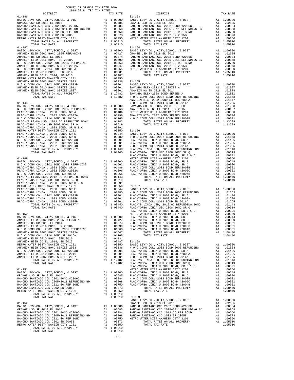| 2018-2019 TRA TAX RATES<br>DISTRICT |  | $\begin{minipage}{.4\linewidth} \texttt{TAX RATE} \end{minipage} \begin{minipage}{.4\linewidth} \begin{minipage}{.4\linewidth} \begin{minipage}{.4\linewidth} \begin{tabular}{l} \texttt{DISTRICT} \end{tabular} \end{minipage} \end{minipage} \vspace{0.5cm} \begin{minipage}{.4\linewidth} \begin{minipage}{.4\linewidth} \begin{minipage}{.4\linewidth} \begin{minipage}{.4\linewidth} \begin{tabular}{l} \texttt{DISTRICT} \end{tabular} \end{minipage} \end{minipage} \end{minipage} \vspace{0.5cm} \begin{minipage}{.4$ | TAX RATE |
|-------------------------------------|--|-------------------------------------------------------------------------------------------------------------------------------------------------------------------------------------------------------------------------------------------------------------------------------------------------------------------------------------------------------------------------------------------------------------------------------------------------------------------------------------------------------------------------------|----------|
| $01 - 146$                          |  |                                                                                                                                                                                                                                                                                                                                                                                                                                                                                                                               |          |
|                                     |  |                                                                                                                                                                                                                                                                                                                                                                                                                                                                                                                               |          |
|                                     |  |                                                                                                                                                                                                                                                                                                                                                                                                                                                                                                                               |          |
|                                     |  |                                                                                                                                                                                                                                                                                                                                                                                                                                                                                                                               |          |
|                                     |  |                                                                                                                                                                                                                                                                                                                                                                                                                                                                                                                               |          |
|                                     |  |                                                                                                                                                                                                                                                                                                                                                                                                                                                                                                                               |          |
|                                     |  | <b>24750 Distribution (1971)</b> 2013 Distribution (1972) 2013 Proposition (1972) 2013 Proposition (1973) 2013 Distribution (1973) 2013 Distribution (1973) 2013 Distribution (1973) 2013 Distribution (1973) 2013 Distribution (1                                                                                                                                                                                                                                                                                            |          |
|                                     |  |                                                                                                                                                                                                                                                                                                                                                                                                                                                                                                                               |          |
|                                     |  |                                                                                                                                                                                                                                                                                                                                                                                                                                                                                                                               |          |
|                                     |  |                                                                                                                                                                                                                                                                                                                                                                                                                                                                                                                               |          |
|                                     |  |                                                                                                                                                                                                                                                                                                                                                                                                                                                                                                                               |          |
|                                     |  |                                                                                                                                                                                                                                                                                                                                                                                                                                                                                                                               |          |
|                                     |  |                                                                                                                                                                                                                                                                                                                                                                                                                                                                                                                               |          |
|                                     |  |                                                                                                                                                                                                                                                                                                                                                                                                                                                                                                                               |          |
|                                     |  |                                                                                                                                                                                                                                                                                                                                                                                                                                                                                                                               |          |
|                                     |  |                                                                                                                                                                                                                                                                                                                                                                                                                                                                                                                               |          |
|                                     |  |                                                                                                                                                                                                                                                                                                                                                                                                                                                                                                                               |          |
|                                     |  |                                                                                                                                                                                                                                                                                                                                                                                                                                                                                                                               |          |
|                                     |  |                                                                                                                                                                                                                                                                                                                                                                                                                                                                                                                               |          |
|                                     |  |                                                                                                                                                                                                                                                                                                                                                                                                                                                                                                                               |          |
|                                     |  |                                                                                                                                                                                                                                                                                                                                                                                                                                                                                                                               |          |
|                                     |  |                                                                                                                                                                                                                                                                                                                                                                                                                                                                                                                               |          |
|                                     |  |                                                                                                                                                                                                                                                                                                                                                                                                                                                                                                                               |          |
|                                     |  |                                                                                                                                                                                                                                                                                                                                                                                                                                                                                                                               |          |
|                                     |  |                                                                                                                                                                                                                                                                                                                                                                                                                                                                                                                               |          |
|                                     |  |                                                                                                                                                                                                                                                                                                                                                                                                                                                                                                                               |          |
|                                     |  |                                                                                                                                                                                                                                                                                                                                                                                                                                                                                                                               |          |
|                                     |  |                                                                                                                                                                                                                                                                                                                                                                                                                                                                                                                               |          |
|                                     |  |                                                                                                                                                                                                                                                                                                                                                                                                                                                                                                                               |          |
|                                     |  |                                                                                                                                                                                                                                                                                                                                                                                                                                                                                                                               |          |
|                                     |  |                                                                                                                                                                                                                                                                                                                                                                                                                                                                                                                               |          |
|                                     |  |                                                                                                                                                                                                                                                                                                                                                                                                                                                                                                                               |          |
|                                     |  |                                                                                                                                                                                                                                                                                                                                                                                                                                                                                                                               |          |
|                                     |  |                                                                                                                                                                                                                                                                                                                                                                                                                                                                                                                               |          |
|                                     |  |                                                                                                                                                                                                                                                                                                                                                                                                                                                                                                                               |          |
|                                     |  |                                                                                                                                                                                                                                                                                                                                                                                                                                                                                                                               |          |
|                                     |  |                                                                                                                                                                                                                                                                                                                                                                                                                                                                                                                               |          |
|                                     |  |                                                                                                                                                                                                                                                                                                                                                                                                                                                                                                                               |          |
|                                     |  |                                                                                                                                                                                                                                                                                                                                                                                                                                                                                                                               |          |
|                                     |  |                                                                                                                                                                                                                                                                                                                                                                                                                                                                                                                               |          |
|                                     |  |                                                                                                                                                                                                                                                                                                                                                                                                                                                                                                                               |          |
|                                     |  |                                                                                                                                                                                                                                                                                                                                                                                                                                                                                                                               |          |
|                                     |  |                                                                                                                                                                                                                                                                                                                                                                                                                                                                                                                               |          |
|                                     |  |                                                                                                                                                                                                                                                                                                                                                                                                                                                                                                                               |          |
|                                     |  |                                                                                                                                                                                                                                                                                                                                                                                                                                                                                                                               |          |
|                                     |  |                                                                                                                                                                                                                                                                                                                                                                                                                                                                                                                               |          |
|                                     |  |                                                                                                                                                                                                                                                                                                                                                                                                                                                                                                                               |          |
|                                     |  |                                                                                                                                                                                                                                                                                                                                                                                                                                                                                                                               |          |
|                                     |  |                                                                                                                                                                                                                                                                                                                                                                                                                                                                                                                               |          |
|                                     |  |                                                                                                                                                                                                                                                                                                                                                                                                                                                                                                                               |          |
|                                     |  |                                                                                                                                                                                                                                                                                                                                                                                                                                                                                                                               |          |
|                                     |  |                                                                                                                                                                                                                                                                                                                                                                                                                                                                                                                               |          |
|                                     |  |                                                                                                                                                                                                                                                                                                                                                                                                                                                                                                                               |          |
|                                     |  |                                                                                                                                                                                                                                                                                                                                                                                                                                                                                                                               |          |
|                                     |  |                                                                                                                                                                                                                                                                                                                                                                                                                                                                                                                               |          |
|                                     |  |                                                                                                                                                                                                                                                                                                                                                                                                                                                                                                                               |          |
|                                     |  |                                                                                                                                                                                                                                                                                                                                                                                                                                                                                                                               |          |
|                                     |  |                                                                                                                                                                                                                                                                                                                                                                                                                                                                                                                               |          |
|                                     |  |                                                                                                                                                                                                                                                                                                                                                                                                                                                                                                                               |          |
|                                     |  |                                                                                                                                                                                                                                                                                                                                                                                                                                                                                                                               |          |
|                                     |  |                                                                                                                                                                                                                                                                                                                                                                                                                                                                                                                               |          |
|                                     |  |                                                                                                                                                                                                                                                                                                                                                                                                                                                                                                                               |          |
|                                     |  |                                                                                                                                                                                                                                                                                                                                                                                                                                                                                                                               |          |
|                                     |  |                                                                                                                                                                                                                                                                                                                                                                                                                                                                                                                               |          |
|                                     |  |                                                                                                                                                                                                                                                                                                                                                                                                                                                                                                                               |          |
|                                     |  |                                                                                                                                                                                                                                                                                                                                                                                                                                                                                                                               |          |
|                                     |  |                                                                                                                                                                                                                                                                                                                                                                                                                                                                                                                               |          |
|                                     |  | ANALE IMPLICATION A 1.00000 PAAC-OBBA LINDA 0.0000 PAAC-OBBA LINDA 0.0000 BORD SEE ANALE PROPERTY AND A 1.00000 PAAC-OBBA LINDA 0.0000 BORD SEE ANALE PROPERTY AND PROPERTY AND PROPERTY AND PROPERTY AND PROPERTY AND PROPER                                                                                                                                                                                                                                                                                                 |          |
|                                     |  |                                                                                                                                                                                                                                                                                                                                                                                                                                                                                                                               |          |
|                                     |  |                                                                                                                                                                                                                                                                                                                                                                                                                                                                                                                               |          |
|                                     |  |                                                                                                                                                                                                                                                                                                                                                                                                                                                                                                                               |          |
|                                     |  |                                                                                                                                                                                                                                                                                                                                                                                                                                                                                                                               |          |
|                                     |  |                                                                                                                                                                                                                                                                                                                                                                                                                                                                                                                               |          |
|                                     |  |                                                                                                                                                                                                                                                                                                                                                                                                                                                                                                                               |          |
|                                     |  |                                                                                                                                                                                                                                                                                                                                                                                                                                                                                                                               |          |
|                                     |  |                                                                                                                                                                                                                                                                                                                                                                                                                                                                                                                               |          |

COUNTY OF ORANGE TAX RATE BOOK

-12-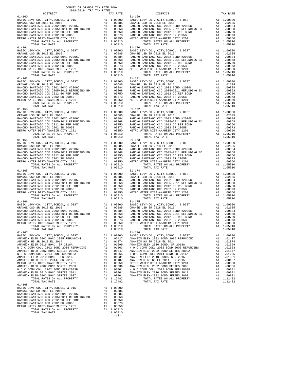| COUNTY OF ORANGE TAX RATE BOOK |                   |                                                                                                                                                                                                                                                                                                                            |          |
|--------------------------------|-------------------|----------------------------------------------------------------------------------------------------------------------------------------------------------------------------------------------------------------------------------------------------------------------------------------------------------------------------|----------|
|                                | TAX RATE          | DISTRICT                                                                                                                                                                                                                                                                                                                   | TAX RATE |
| $01 - 160$                     |                   | $01 - 169$                                                                                                                                                                                                                                                                                                                 |          |
|                                |                   | $\begin{array}{cccccccc} 01-161 & 00000 & 014 & 00000 & 014 & 00000 & 014 & 00000 \\ \hline \texttt{BARCHO SANTIAGO CCD 2002 B000} & 01-170 & 000000 & 014 & 000000 \\ \texttt{RARCHO SANTIAGO CCD 2002 B000} & 01-170 & 014 & 000000 \\ \texttt{RARCHO SANTIAGO CCD 2002 B000} & 01-170 & 01-170 & 01-170 \\ \texttt{RAR$ |          |
| $01 - 163$                     |                   | $01 - 172$                                                                                                                                                                                                                                                                                                                 |          |
|                                |                   |                                                                                                                                                                                                                                                                                                                            |          |
|                                |                   |                                                                                                                                                                                                                                                                                                                            |          |
|                                |                   |                                                                                                                                                                                                                                                                                                                            |          |
|                                |                   | METRO WATER DIST -ANAHEM CITY 1201 AL00350<br>METRO WATER DIST -ANAHEM CITY 1201 AL .00350<br>TOTAL RATES ON ALL PROPERTY AL 1.05910<br>TOTAL TAX RATE<br>TOTAL RATES ON <b>A</b> TOTAL TAX RATE                                                                                                                           |          |
|                                |                   |                                                                                                                                                                                                                                                                                                                            |          |
| $01 - 168$<br>TOTAL TAX RATE   | 1.05910<br>$-13-$ |                                                                                                                                                                                                                                                                                                                            |          |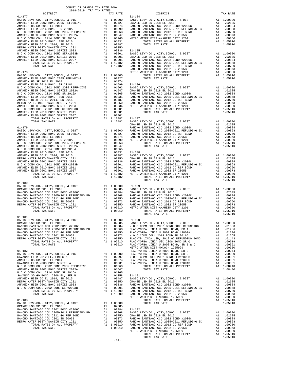| COUNTY OF ORANGE TAX RATE BOOK                                                |          |          |          |
|-------------------------------------------------------------------------------|----------|----------|----------|
|                                                                               | TAX RATE | DISTRICT | TAX RATE |
|                                                                               |          |          |          |
|                                                                               |          |          |          |
|                                                                               |          |          |          |
|                                                                               |          |          |          |
|                                                                               |          |          |          |
|                                                                               |          |          |          |
|                                                                               |          |          |          |
|                                                                               |          |          |          |
|                                                                               |          |          |          |
|                                                                               |          |          |          |
|                                                                               |          |          |          |
|                                                                               |          |          |          |
|                                                                               |          |          |          |
|                                                                               |          |          |          |
|                                                                               |          |          |          |
|                                                                               |          |          |          |
|                                                                               |          |          |          |
|                                                                               |          |          |          |
|                                                                               |          |          |          |
|                                                                               |          |          |          |
|                                                                               |          |          |          |
|                                                                               |          |          |          |
|                                                                               |          |          |          |
|                                                                               |          |          |          |
|                                                                               |          |          |          |
|                                                                               |          |          |          |
|                                                                               |          |          |          |
|                                                                               |          |          |          |
|                                                                               |          |          |          |
|                                                                               |          |          |          |
|                                                                               |          |          |          |
|                                                                               |          |          |          |
|                                                                               |          |          |          |
|                                                                               |          |          |          |
|                                                                               |          |          |          |
|                                                                               |          |          |          |
|                                                                               |          |          |          |
|                                                                               |          |          |          |
|                                                                               |          |          |          |
|                                                                               |          |          |          |
|                                                                               |          |          |          |
|                                                                               |          |          |          |
|                                                                               |          |          |          |
|                                                                               |          |          |          |
|                                                                               |          |          |          |
|                                                                               |          |          |          |
|                                                                               |          |          |          |
|                                                                               |          |          |          |
|                                                                               |          |          |          |
|                                                                               |          |          |          |
|                                                                               |          |          |          |
|                                                                               |          |          |          |
| $01 - 181$<br>-----<br>BASIC LEVY-CO., CITY, SCHOOL, & DIST A1 1.00000 01-190 |          |          |          |
|                                                                               |          |          |          |
|                                                                               |          |          |          |
|                                                                               |          |          |          |
|                                                                               |          |          |          |
|                                                                               |          |          |          |
|                                                                               |          |          |          |
|                                                                               |          |          |          |
|                                                                               |          |          |          |
|                                                                               |          |          |          |
|                                                                               |          |          |          |
|                                                                               |          |          |          |
|                                                                               |          |          |          |
|                                                                               |          |          |          |
|                                                                               |          |          |          |
|                                                                               |          |          |          |
|                                                                               |          |          |          |
|                                                                               |          |          |          |
|                                                                               |          |          |          |
|                                                                               |          |          |          |
|                                                                               |          |          |          |
|                                                                               |          |          |          |
|                                                                               |          |          |          |
|                                                                               |          |          |          |
|                                                                               |          |          |          |
|                                                                               |          |          |          |
|                                                                               |          |          |          |
|                                                                               |          |          |          |
|                                                                               |          |          |          |
|                                                                               |          |          |          |
|                                                                               |          |          |          |
|                                                                               |          |          |          |
|                                                                               |          |          |          |

-14-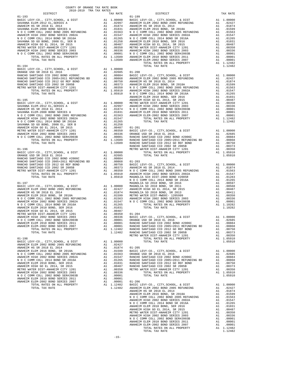| COUNTY OF ORANGE TAX RATE BOOK<br>2018-2019 TRA TAX RATES<br>$2018-2019 \quad \text{TRA RATES}$ DISTRICT $\hspace{2.5cm}$ |          |            |          |
|---------------------------------------------------------------------------------------------------------------------------|----------|------------|----------|
|                                                                                                                           | TAX RATE | DISTRICT   | TAX RATE |
| $01 - 193$                                                                                                                |          | $01 - 199$ |          |
|                                                                                                                           |          |            |          |
|                                                                                                                           |          |            |          |
|                                                                                                                           |          |            |          |
|                                                                                                                           |          |            |          |
|                                                                                                                           |          |            |          |
|                                                                                                                           |          |            |          |
|                                                                                                                           |          |            |          |
|                                                                                                                           |          |            |          |
|                                                                                                                           |          |            |          |
|                                                                                                                           |          |            |          |
|                                                                                                                           |          |            |          |
|                                                                                                                           |          |            |          |
|                                                                                                                           |          |            |          |
|                                                                                                                           |          |            |          |
|                                                                                                                           |          |            |          |
|                                                                                                                           |          |            |          |
|                                                                                                                           |          |            |          |
|                                                                                                                           |          |            |          |
|                                                                                                                           |          |            |          |
|                                                                                                                           |          |            |          |
|                                                                                                                           |          |            |          |
|                                                                                                                           |          |            |          |
|                                                                                                                           |          |            |          |
|                                                                                                                           |          |            |          |
|                                                                                                                           |          |            |          |
|                                                                                                                           |          |            |          |
|                                                                                                                           |          |            |          |
|                                                                                                                           |          |            |          |
|                                                                                                                           |          |            |          |
|                                                                                                                           |          |            |          |
|                                                                                                                           |          |            |          |
|                                                                                                                           |          |            |          |
|                                                                                                                           |          |            |          |
|                                                                                                                           |          |            |          |
|                                                                                                                           |          |            |          |
|                                                                                                                           |          |            |          |
|                                                                                                                           |          |            |          |
|                                                                                                                           |          |            |          |
|                                                                                                                           |          |            |          |
|                                                                                                                           |          |            |          |
|                                                                                                                           |          |            |          |
|                                                                                                                           |          |            |          |
|                                                                                                                           |          |            |          |
|                                                                                                                           |          |            |          |
|                                                                                                                           |          |            |          |
|                                                                                                                           |          |            |          |
|                                                                                                                           |          |            |          |
|                                                                                                                           |          |            |          |
|                                                                                                                           |          |            |          |
|                                                                                                                           |          |            |          |
|                                                                                                                           |          |            |          |
|                                                                                                                           |          |            |          |
|                                                                                                                           |          |            |          |
|                                                                                                                           |          |            |          |
|                                                                                                                           |          |            |          |
|                                                                                                                           |          |            |          |
|                                                                                                                           |          |            |          |
|                                                                                                                           |          |            |          |
|                                                                                                                           |          |            |          |
|                                                                                                                           |          |            |          |
|                                                                                                                           |          |            |          |
|                                                                                                                           |          |            |          |
|                                                                                                                           |          |            |          |
|                                                                                                                           |          |            |          |
|                                                                                                                           |          |            |          |
|                                                                                                                           |          |            |          |
|                                                                                                                           |          |            |          |
|                                                                                                                           |          |            |          |
|                                                                                                                           |          |            |          |
|                                                                                                                           |          |            |          |
|                                                                                                                           |          |            |          |
|                                                                                                                           |          |            |          |
|                                                                                                                           |          |            |          |
|                                                                                                                           |          |            |          |
|                                                                                                                           |          |            |          |
|                                                                                                                           |          |            |          |
|                                                                                                                           |          |            |          |
|                                                                                                                           |          |            |          |
|                                                                                                                           |          |            |          |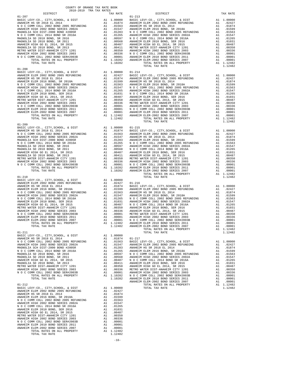| COUNTY OF ORANGE TAX RATE BOOK                                                                                                                                                                                                  |          |                |          |
|---------------------------------------------------------------------------------------------------------------------------------------------------------------------------------------------------------------------------------|----------|----------------|----------|
|                                                                                                                                                                                                                                 | TAX RATE | DISTRICT       | TAX RATE |
| $01 - 207$                                                                                                                                                                                                                      |          | $01 - 213$     |          |
|                                                                                                                                                                                                                                 |          |                |          |
|                                                                                                                                                                                                                                 |          |                |          |
|                                                                                                                                                                                                                                 |          |                |          |
|                                                                                                                                                                                                                                 |          |                |          |
|                                                                                                                                                                                                                                 |          |                |          |
|                                                                                                                                                                                                                                 |          |                |          |
|                                                                                                                                                                                                                                 |          |                |          |
|                                                                                                                                                                                                                                 |          |                |          |
|                                                                                                                                                                                                                                 |          |                |          |
|                                                                                                                                                                                                                                 |          |                |          |
|                                                                                                                                                                                                                                 |          |                |          |
|                                                                                                                                                                                                                                 |          | TOTAL TAX RATE | 1.12482  |
| $01 - 208$                                                                                                                                                                                                                      |          |                |          |
|                                                                                                                                                                                                                                 |          |                |          |
|                                                                                                                                                                                                                                 |          |                |          |
|                                                                                                                                                                                                                                 |          |                |          |
|                                                                                                                                                                                                                                 |          |                |          |
|                                                                                                                                                                                                                                 |          |                |          |
|                                                                                                                                                                                                                                 |          |                |          |
|                                                                                                                                                                                                                                 |          |                |          |
|                                                                                                                                                                                                                                 |          |                |          |
|                                                                                                                                                                                                                                 |          |                |          |
|                                                                                                                                                                                                                                 |          |                |          |
|                                                                                                                                                                                                                                 |          |                |          |
|                                                                                                                                                                                                                                 |          |                |          |
|                                                                                                                                                                                                                                 |          |                |          |
|                                                                                                                                                                                                                                 |          |                |          |
|                                                                                                                                                                                                                                 |          |                |          |
|                                                                                                                                                                                                                                 |          |                |          |
|                                                                                                                                                                                                                                 |          |                |          |
|                                                                                                                                                                                                                                 |          |                |          |
|                                                                                                                                                                                                                                 |          |                |          |
|                                                                                                                                                                                                                                 |          |                |          |
|                                                                                                                                                                                                                                 |          |                |          |
|                                                                                                                                                                                                                                 |          |                |          |
|                                                                                                                                                                                                                                 |          |                |          |
|                                                                                                                                                                                                                                 |          |                |          |
|                                                                                                                                                                                                                                 |          |                |          |
|                                                                                                                                                                                                                                 |          |                |          |
|                                                                                                                                                                                                                                 |          |                |          |
|                                                                                                                                                                                                                                 |          |                |          |
|                                                                                                                                                                                                                                 |          |                |          |
|                                                                                                                                                                                                                                 |          |                |          |
|                                                                                                                                                                                                                                 |          |                |          |
|                                                                                                                                                                                                                                 |          |                |          |
|                                                                                                                                                                                                                                 |          |                |          |
|                                                                                                                                                                                                                                 |          |                |          |
|                                                                                                                                                                                                                                 |          |                |          |
|                                                                                                                                                                                                                                 |          |                |          |
|                                                                                                                                                                                                                                 |          |                |          |
|                                                                                                                                                                                                                                 |          |                |          |
|                                                                                                                                                                                                                                 |          |                |          |
| $01 - 211$                                                                                                                                                                                                                      |          | TOTAL TAX RATE | 1.12482  |
| BASIC LEVY-CO., CITY, SCHOOL, & DIST Al $1.00000$<br>anality if the political and the political strategy of the contract of the contract of the contract of the contract of the contract of the contract of the contract of the |          |                |          |
|                                                                                                                                                                                                                                 |          |                |          |
|                                                                                                                                                                                                                                 |          |                |          |
|                                                                                                                                                                                                                                 |          |                |          |
|                                                                                                                                                                                                                                 |          |                |          |
|                                                                                                                                                                                                                                 |          |                |          |
|                                                                                                                                                                                                                                 |          |                |          |
|                                                                                                                                                                                                                                 |          |                |          |
|                                                                                                                                                                                                                                 |          |                |          |
|                                                                                                                                                                                                                                 |          |                |          |
|                                                                                                                                                                                                                                 |          |                |          |
|                                                                                                                                                                                                                                 |          |                |          |
|                                                                                                                                                                                                                                 |          |                |          |
|                                                                                                                                                                                                                                 |          |                |          |
|                                                                                                                                                                                                                                 |          |                |          |
|                                                                                                                                                                                                                                 |          |                |          |
|                                                                                                                                                                                                                                 |          |                |          |
|                                                                                                                                                                                                                                 |          |                |          |
|                                                                                                                                                                                                                                 |          |                |          |
|                                                                                                                                                                                                                                 |          |                |          |
|                                                                                                                                                                                                                                 |          |                |          |
|                                                                                                                                                                                                                                 |          |                |          |
|                                                                                                                                                                                                                                 |          |                |          |
|                                                                                                                                                                                                                                 |          |                |          |
|                                                                                                                                                                                                                                 |          |                |          |

-16-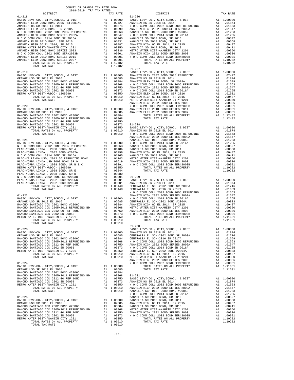| COUNTY OF ORANGE TAX RATE BOOK                                                                                                                                                                                                |          |            |          |
|-------------------------------------------------------------------------------------------------------------------------------------------------------------------------------------------------------------------------------|----------|------------|----------|
|                                                                                                                                                                                                                               | TAX RATE | DISTRICT   | TAX RATE |
| $01 - 218$                                                                                                                                                                                                                    |          | $01 - 226$ |          |
|                                                                                                                                                                                                                               |          |            |          |
|                                                                                                                                                                                                                               |          |            |          |
|                                                                                                                                                                                                                               |          |            |          |
|                                                                                                                                                                                                                               |          |            |          |
|                                                                                                                                                                                                                               |          |            |          |
|                                                                                                                                                                                                                               |          |            |          |
|                                                                                                                                                                                                                               |          |            |          |
|                                                                                                                                                                                                                               |          |            |          |
|                                                                                                                                                                                                                               |          |            |          |
|                                                                                                                                                                                                                               |          |            |          |
| THE REAL PROPERTY OF THE SECOND IN THE CASE IN THE CASE IS a set of the second of the second of the second of the second of the second of the second of the second of the second of the second of the second of the second of |          | $01 - 227$ |          |
|                                                                                                                                                                                                                               |          |            |          |
|                                                                                                                                                                                                                               |          |            |          |
|                                                                                                                                                                                                                               |          |            |          |
|                                                                                                                                                                                                                               |          |            |          |
|                                                                                                                                                                                                                               |          |            |          |
|                                                                                                                                                                                                                               |          |            |          |
|                                                                                                                                                                                                                               |          |            |          |
|                                                                                                                                                                                                                               |          |            |          |
|                                                                                                                                                                                                                               |          |            |          |
|                                                                                                                                                                                                                               |          |            |          |
|                                                                                                                                                                                                                               |          |            |          |
|                                                                                                                                                                                                                               |          |            |          |
|                                                                                                                                                                                                                               |          |            |          |
|                                                                                                                                                                                                                               |          |            |          |
|                                                                                                                                                                                                                               |          |            |          |
|                                                                                                                                                                                                                               |          |            |          |
|                                                                                                                                                                                                                               |          |            |          |
|                                                                                                                                                                                                                               |          |            |          |
|                                                                                                                                                                                                                               |          |            |          |
|                                                                                                                                                                                                                               |          |            |          |
|                                                                                                                                                                                                                               |          |            |          |
|                                                                                                                                                                                                                               |          |            |          |
|                                                                                                                                                                                                                               |          |            |          |
|                                                                                                                                                                                                                               |          |            |          |
|                                                                                                                                                                                                                               |          |            |          |
|                                                                                                                                                                                                                               |          |            |          |
|                                                                                                                                                                                                                               |          |            |          |
|                                                                                                                                                                                                                               |          |            |          |
|                                                                                                                                                                                                                               |          |            |          |
|                                                                                                                                                                                                                               |          |            |          |
|                                                                                                                                                                                                                               |          |            |          |
|                                                                                                                                                                                                                               |          |            |          |
|                                                                                                                                                                                                                               |          |            |          |
|                                                                                                                                                                                                                               |          |            |          |
| $\frac{1}{2}$<br>TOTAL TAX RATE                                                                                                                                                                                               | 1.05910  | $01 - 230$ |          |
|                                                                                                                                                                                                                               |          |            |          |
|                                                                                                                                                                                                                               |          |            |          |
|                                                                                                                                                                                                                               |          |            |          |
|                                                                                                                                                                                                                               |          |            |          |
|                                                                                                                                                                                                                               |          |            |          |
|                                                                                                                                                                                                                               |          |            |          |
|                                                                                                                                                                                                                               |          |            |          |
|                                                                                                                                                                                                                               |          |            |          |
|                                                                                                                                                                                                                               |          |            |          |
|                                                                                                                                                                                                                               |          |            |          |
|                                                                                                                                                                                                                               |          |            |          |
|                                                                                                                                                                                                                               |          |            |          |
|                                                                                                                                                                                                                               |          |            |          |
|                                                                                                                                                                                                                               |          |            |          |
|                                                                                                                                                                                                                               |          |            |          |
|                                                                                                                                                                                                                               |          |            |          |
|                                                                                                                                                                                                                               |          |            |          |
|                                                                                                                                                                                                                               |          |            |          |
|                                                                                                                                                                                                                               |          |            |          |
|                                                                                                                                                                                                                               |          |            |          |
|                                                                                                                                                                                                                               |          |            |          |
|                                                                                                                                                                                                                               |          |            |          |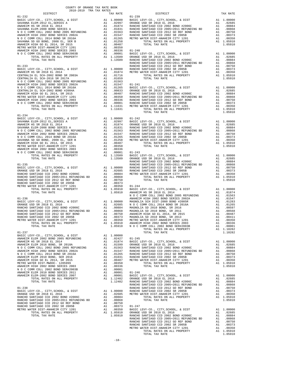| DISTRICT   | TAX RATE | DISTRICT   | TAX RATE |
|------------|----------|------------|----------|
|            |          | $01 - 239$ |          |
|            |          |            |          |
|            |          |            |          |
|            |          |            |          |
|            |          |            |          |
|            |          |            |          |
|            |          |            |          |
|            |          |            |          |
|            |          |            |          |
|            |          |            |          |
|            |          |            |          |
|            |          |            |          |
|            |          |            |          |
|            |          |            |          |
|            |          |            |          |
|            |          |            |          |
|            |          |            |          |
|            |          |            |          |
|            |          |            |          |
|            |          |            |          |
|            |          |            |          |
|            |          |            |          |
|            |          |            |          |
|            |          |            |          |
|            |          |            |          |
|            |          |            |          |
|            |          |            |          |
|            |          |            |          |
|            |          |            |          |
|            |          |            |          |
|            |          |            |          |
| $01 - 234$ |          |            |          |
|            |          |            |          |
|            |          |            |          |
|            |          |            |          |
|            |          |            |          |
|            |          |            |          |
|            |          |            |          |
|            |          |            |          |
|            |          |            |          |
|            |          |            |          |
|            |          |            |          |
|            |          |            |          |
|            |          |            |          |
|            |          |            |          |
|            |          |            |          |
|            |          |            |          |
|            |          |            |          |
|            |          |            |          |
|            |          |            |          |
|            |          |            |          |
|            |          |            |          |
|            |          |            |          |
|            |          |            |          |
|            |          |            |          |
|            |          |            |          |
|            |          |            |          |
|            |          |            |          |
|            |          |            |          |
|            |          |            |          |
|            |          |            |          |
|            |          |            |          |
|            |          |            |          |
|            |          |            |          |
|            |          |            |          |
|            |          |            |          |
|            |          |            |          |
|            |          |            |          |
|            |          |            |          |
|            |          |            |          |
|            |          |            |          |
|            |          |            |          |
|            |          |            |          |
|            |          |            |          |
|            |          |            |          |
|            |          |            |          |
|            |          |            |          |
|            |          |            |          |
|            |          |            |          |
|            |          |            |          |
|            |          |            |          |
|            |          |            |          |
|            |          |            |          |
|            |          |            |          |
|            |          |            |          |
|            |          |            |          |
|            |          |            |          |
|            |          |            |          |
|            |          |            |          |
|            |          |            |          |
|            |          |            |          |
|            |          |            |          |
|            |          |            |          |
|            |          |            |          |
|            |          |            |          |
|            |          |            |          |
|            |          |            |          |
|            |          |            |          |
|            |          |            |          |
|            |          |            |          |
|            |          |            |          |
|            |          |            |          |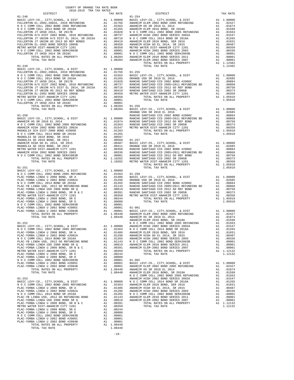| 2018-2019 TRA TAX RATES<br>DISTRICT | TAX RATE | $\begin{minipage}{.4\linewidth} \begin{tabular}{l} \bf \end{tabular} \end{minipage}$ .<br>. | TAX RATE |
|-------------------------------------|----------|---------------------------------------------------------------------------------------------|----------|
|                                     |          |                                                                                             |          |
|                                     |          |                                                                                             |          |
|                                     |          |                                                                                             |          |
|                                     |          |                                                                                             |          |
|                                     |          |                                                                                             |          |
|                                     |          |                                                                                             |          |
|                                     |          |                                                                                             |          |
|                                     |          |                                                                                             |          |
|                                     |          |                                                                                             |          |
|                                     |          |                                                                                             |          |
|                                     |          |                                                                                             |          |
|                                     |          |                                                                                             |          |
| $01 - 249$                          |          |                                                                                             | 1.12482  |
|                                     |          | TOTAL TAX RATE                                                                              |          |
|                                     |          |                                                                                             |          |
|                                     |          |                                                                                             |          |
|                                     |          |                                                                                             |          |
|                                     |          |                                                                                             |          |
|                                     |          |                                                                                             |          |
|                                     |          |                                                                                             |          |
|                                     |          |                                                                                             |          |
|                                     |          |                                                                                             |          |
|                                     |          |                                                                                             |          |
|                                     |          |                                                                                             |          |
|                                     |          |                                                                                             |          |
|                                     |          |                                                                                             |          |
|                                     |          |                                                                                             |          |
|                                     |          |                                                                                             |          |
|                                     |          |                                                                                             |          |
|                                     |          |                                                                                             |          |
|                                     |          |                                                                                             |          |
|                                     |          |                                                                                             |          |
|                                     |          |                                                                                             |          |
|                                     |          |                                                                                             |          |
|                                     |          |                                                                                             |          |
|                                     |          |                                                                                             |          |
|                                     |          |                                                                                             |          |
|                                     |          |                                                                                             |          |
|                                     |          |                                                                                             |          |
|                                     |          |                                                                                             |          |
|                                     |          |                                                                                             |          |
|                                     |          |                                                                                             |          |
|                                     |          |                                                                                             |          |
|                                     |          |                                                                                             |          |
|                                     |          |                                                                                             |          |
|                                     |          |                                                                                             |          |
|                                     |          |                                                                                             |          |
|                                     |          |                                                                                             |          |
|                                     |          |                                                                                             |          |
|                                     |          |                                                                                             |          |
|                                     |          |                                                                                             |          |
|                                     |          |                                                                                             |          |
|                                     |          |                                                                                             |          |
|                                     |          |                                                                                             |          |
|                                     |          |                                                                                             |          |
|                                     |          |                                                                                             |          |
|                                     |          |                                                                                             |          |
|                                     |          |                                                                                             |          |
|                                     |          |                                                                                             |          |
|                                     |          |                                                                                             |          |
|                                     |          |                                                                                             |          |
|                                     |          |                                                                                             |          |
|                                     |          |                                                                                             |          |
|                                     |          |                                                                                             |          |
|                                     |          |                                                                                             |          |
|                                     |          |                                                                                             |          |
|                                     |          |                                                                                             |          |
|                                     |          |                                                                                             |          |
|                                     |          |                                                                                             |          |
|                                     |          |                                                                                             |          |
|                                     |          |                                                                                             |          |
|                                     |          |                                                                                             |          |
|                                     |          |                                                                                             |          |
|                                     |          |                                                                                             |          |
|                                     |          |                                                                                             |          |
|                                     |          |                                                                                             |          |
|                                     |          |                                                                                             |          |
|                                     |          |                                                                                             |          |
|                                     |          |                                                                                             |          |
|                                     |          |                                                                                             |          |
|                                     |          |                                                                                             |          |
|                                     |          |                                                                                             |          |

COUNTY OF ORANGE TAX RATE BOOK

-19-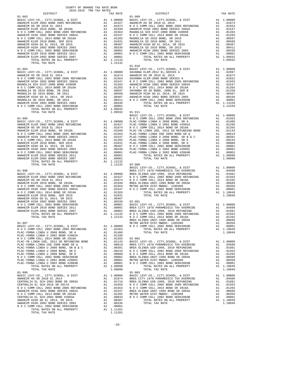| DISTRICT   | TAX RATE | <b>DISTRICT</b> | TAX RATE |
|------------|----------|-----------------|----------|
|            |          |                 |          |
|            |          |                 |          |
|            |          |                 |          |
|            |          |                 |          |
|            |          |                 |          |
|            |          |                 |          |
|            |          |                 |          |
|            |          |                 |          |
|            |          |                 |          |
|            |          |                 |          |
|            |          |                 |          |
|            |          |                 |          |
|            |          |                 |          |
|            |          |                 |          |
|            |          |                 |          |
|            |          |                 |          |
|            |          |                 |          |
|            |          |                 |          |
|            |          |                 |          |
|            |          |                 |          |
|            |          |                 |          |
|            |          |                 |          |
|            |          |                 |          |
|            |          |                 |          |
|            |          |                 |          |
|            |          |                 |          |
|            |          |                 |          |
|            |          |                 |          |
|            |          |                 |          |
|            |          |                 |          |
|            |          |                 |          |
|            |          |                 |          |
|            |          |                 |          |
|            |          |                 |          |
|            |          |                 |          |
|            |          |                 |          |
|            |          |                 |          |
|            |          |                 |          |
|            |          |                 |          |
|            |          |                 |          |
|            |          |                 |          |
|            |          |                 |          |
|            |          |                 |          |
|            |          |                 |          |
|            |          |                 |          |
|            |          |                 |          |
|            |          |                 |          |
|            |          |                 |          |
|            |          |                 |          |
|            |          |                 |          |
|            |          |                 |          |
|            |          |                 |          |
|            |          |                 |          |
|            |          |                 |          |
|            |          |                 |          |
|            |          |                 |          |
|            |          |                 |          |
|            |          |                 |          |
|            |          |                 |          |
|            |          |                 |          |
|            |          |                 |          |
|            |          |                 |          |
|            |          |                 |          |
|            |          |                 |          |
|            |          |                 |          |
|            |          |                 |          |
|            |          |                 |          |
| $01 - 908$ |          | $02 - 003$      |          |
|            |          |                 |          |
|            |          |                 |          |
|            |          |                 |          |
|            |          |                 |          |
|            |          |                 |          |
|            |          |                 |          |
|            |          |                 |          |
|            |          |                 |          |
|            |          |                 |          |
|            |          |                 |          |
|            |          |                 |          |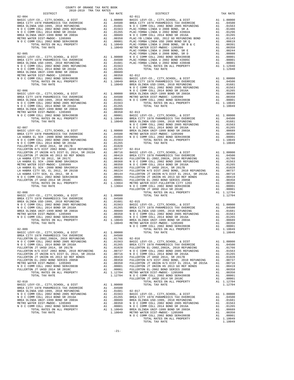| 2018-2019 TRA TAX RATES<br>DISTRICT | TAX RATE | DISTRICT | TAX RATE |
|-------------------------------------|----------|----------|----------|
|                                     |          |          |          |
|                                     |          |          |          |
|                                     |          |          |          |
|                                     |          |          |          |
|                                     |          |          |          |
|                                     |          |          |          |
|                                     |          |          |          |
|                                     |          |          |          |
|                                     |          |          |          |
|                                     |          |          |          |
|                                     |          |          |          |
|                                     |          |          |          |
|                                     |          |          |          |
|                                     |          |          |          |
|                                     |          |          |          |
|                                     |          |          |          |
|                                     |          |          |          |
|                                     |          |          |          |
|                                     |          |          |          |
|                                     |          |          |          |
|                                     |          |          |          |
|                                     |          |          |          |
|                                     |          |          |          |
|                                     |          |          |          |
|                                     |          |          |          |
|                                     |          |          |          |
|                                     |          |          |          |
|                                     |          |          |          |
|                                     |          |          |          |
|                                     |          |          |          |
|                                     |          |          |          |
|                                     |          |          |          |
|                                     |          |          |          |
|                                     |          |          |          |
|                                     |          |          |          |
|                                     |          |          |          |
|                                     |          |          |          |
|                                     |          |          |          |
|                                     |          |          |          |
|                                     |          |          |          |
|                                     |          |          |          |
|                                     |          |          |          |
|                                     |          |          |          |
|                                     |          |          |          |
|                                     |          |          |          |
|                                     |          |          |          |
|                                     |          |          |          |
|                                     |          |          |          |
|                                     |          |          |          |
|                                     |          |          |          |
|                                     |          |          |          |
|                                     |          |          |          |
|                                     |          |          |          |
|                                     |          |          |          |
|                                     |          |          |          |
|                                     |          |          |          |
|                                     |          |          |          |
|                                     |          |          |          |
|                                     |          |          |          |
|                                     |          |          |          |
|                                     |          |          |          |
|                                     |          |          |          |
|                                     |          |          |          |
|                                     |          |          |          |
|                                     |          |          |          |
|                                     |          |          |          |
|                                     |          |          |          |
|                                     |          |          |          |
|                                     |          |          |          |
|                                     |          |          |          |
|                                     |          |          |          |
|                                     |          |          |          |
|                                     |          |          |          |
|                                     |          |          |          |
|                                     |          |          |          |
|                                     |          |          |          |
|                                     |          |          |          |
|                                     |          |          |          |
|                                     |          |          |          |
|                                     |          |          |          |
|                                     |          |          |          |
|                                     |          |          |          |
|                                     |          |          |          |
|                                     |          |          |          |
|                                     |          |          |          |
|                                     |          |          |          |

COUNTY OF ORANGE TAX RATE BOOK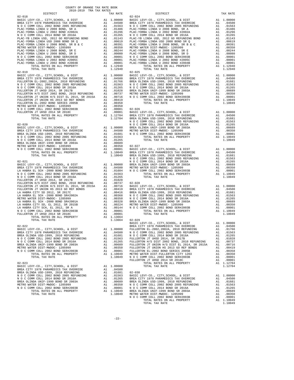| COUNTY OF ORANGE TAX RATE BOOK      |                  |                                                                                                                                                                                                                                                                                                                                                                                                           |          |
|-------------------------------------|------------------|-----------------------------------------------------------------------------------------------------------------------------------------------------------------------------------------------------------------------------------------------------------------------------------------------------------------------------------------------------------------------------------------------------------|----------|
| 2018-2019 TRA TAX RATES<br>DISTRICT |                  | TAX RATES<br>TAX RATE DISTRICT                                                                                                                                                                                                                                                                                                                                                                            | TAX RATE |
| $02 - 018$                          |                  | $02 - 024$                                                                                                                                                                                                                                                                                                                                                                                                |          |
|                                     |                  |                                                                                                                                                                                                                                                                                                                                                                                                           |          |
|                                     |                  |                                                                                                                                                                                                                                                                                                                                                                                                           |          |
|                                     |                  |                                                                                                                                                                                                                                                                                                                                                                                                           |          |
|                                     |                  |                                                                                                                                                                                                                                                                                                                                                                                                           |          |
|                                     |                  |                                                                                                                                                                                                                                                                                                                                                                                                           |          |
|                                     |                  |                                                                                                                                                                                                                                                                                                                                                                                                           |          |
|                                     |                  |                                                                                                                                                                                                                                                                                                                                                                                                           |          |
|                                     |                  |                                                                                                                                                                                                                                                                                                                                                                                                           |          |
|                                     |                  |                                                                                                                                                                                                                                                                                                                                                                                                           |          |
|                                     |                  |                                                                                                                                                                                                                                                                                                                                                                                                           |          |
|                                     |                  |                                                                                                                                                                                                                                                                                                                                                                                                           |          |
|                                     |                  |                                                                                                                                                                                                                                                                                                                                                                                                           |          |
|                                     |                  |                                                                                                                                                                                                                                                                                                                                                                                                           |          |
|                                     |                  |                                                                                                                                                                                                                                                                                                                                                                                                           |          |
|                                     |                  |                                                                                                                                                                                                                                                                                                                                                                                                           |          |
|                                     |                  |                                                                                                                                                                                                                                                                                                                                                                                                           |          |
|                                     |                  |                                                                                                                                                                                                                                                                                                                                                                                                           |          |
|                                     |                  |                                                                                                                                                                                                                                                                                                                                                                                                           |          |
|                                     |                  |                                                                                                                                                                                                                                                                                                                                                                                                           |          |
|                                     |                  |                                                                                                                                                                                                                                                                                                                                                                                                           |          |
|                                     |                  |                                                                                                                                                                                                                                                                                                                                                                                                           |          |
|                                     |                  |                                                                                                                                                                                                                                                                                                                                                                                                           |          |
|                                     |                  |                                                                                                                                                                                                                                                                                                                                                                                                           |          |
|                                     |                  |                                                                                                                                                                                                                                                                                                                                                                                                           |          |
|                                     |                  |                                                                                                                                                                                                                                                                                                                                                                                                           |          |
|                                     |                  |                                                                                                                                                                                                                                                                                                                                                                                                           |          |
|                                     |                  |                                                                                                                                                                                                                                                                                                                                                                                                           |          |
|                                     |                  |                                                                                                                                                                                                                                                                                                                                                                                                           |          |
|                                     |                  |                                                                                                                                                                                                                                                                                                                                                                                                           |          |
|                                     |                  |                                                                                                                                                                                                                                                                                                                                                                                                           |          |
|                                     |                  |                                                                                                                                                                                                                                                                                                                                                                                                           |          |
|                                     |                  |                                                                                                                                                                                                                                                                                                                                                                                                           |          |
|                                     |                  |                                                                                                                                                                                                                                                                                                                                                                                                           |          |
|                                     |                  |                                                                                                                                                                                                                                                                                                                                                                                                           |          |
|                                     |                  |                                                                                                                                                                                                                                                                                                                                                                                                           |          |
|                                     |                  |                                                                                                                                                                                                                                                                                                                                                                                                           |          |
|                                     |                  |                                                                                                                                                                                                                                                                                                                                                                                                           |          |
|                                     |                  |                                                                                                                                                                                                                                                                                                                                                                                                           |          |
|                                     |                  |                                                                                                                                                                                                                                                                                                                                                                                                           |          |
|                                     |                  |                                                                                                                                                                                                                                                                                                                                                                                                           |          |
|                                     |                  |                                                                                                                                                                                                                                                                                                                                                                                                           |          |
|                                     |                  |                                                                                                                                                                                                                                                                                                                                                                                                           |          |
|                                     |                  |                                                                                                                                                                                                                                                                                                                                                                                                           |          |
|                                     |                  | 23. A STRIP AND MANUSCRIP (1.11.2002)<br>23. IS THE MANUSCRIP COMPANY AND A SUBDOITED COMPANY CONTROL AND CONTROL AND CONTROL AND CONTROL AND CONTROL AND CONTROL AND CONTROL AND CONTROL AND CONTROL AND CONTROL AND CONTROL A                                                                                                                                                                           |          |
| TOTAL TAX RATE                      | $1.13664$ 02-029 |                                                                                                                                                                                                                                                                                                                                                                                                           |          |
|                                     |                  |                                                                                                                                                                                                                                                                                                                                                                                                           |          |
|                                     |                  |                                                                                                                                                                                                                                                                                                                                                                                                           |          |
|                                     |                  |                                                                                                                                                                                                                                                                                                                                                                                                           |          |
|                                     |                  |                                                                                                                                                                                                                                                                                                                                                                                                           |          |
|                                     |                  |                                                                                                                                                                                                                                                                                                                                                                                                           |          |
|                                     |                  |                                                                                                                                                                                                                                                                                                                                                                                                           |          |
|                                     |                  |                                                                                                                                                                                                                                                                                                                                                                                                           |          |
|                                     |                  | $\begin{tabular}{l ll} \hline\hline\text{TOTAL TAX RATE} & 1.13664 & 02-029 & \text{BRSL EUV-CO.}, \text{CITY}, \text{SCHOOL}, & \text{B DST} & \text{A1} & 1.00000 \\ \hline \text{BRSL CLEVY-CO.}, \text{CITY}, \text{SCHOOL}, & \text{E DIST} & \text{RRA CITY 1978 PARMEDICS TAX OVERRIDE \\ \hline \text{BRRA CITY 1978 PARMEDICS TAX OVERRIDE & \text{A1} & 0.0450 & \text{FULERTON 1978 PAMRDE} &$ |          |
|                                     |                  |                                                                                                                                                                                                                                                                                                                                                                                                           |          |
|                                     |                  |                                                                                                                                                                                                                                                                                                                                                                                                           |          |
|                                     |                  |                                                                                                                                                                                                                                                                                                                                                                                                           |          |
|                                     |                  |                                                                                                                                                                                                                                                                                                                                                                                                           |          |
|                                     |                  |                                                                                                                                                                                                                                                                                                                                                                                                           |          |
|                                     |                  |                                                                                                                                                                                                                                                                                                                                                                                                           |          |
|                                     |                  |                                                                                                                                                                                                                                                                                                                                                                                                           |          |
|                                     |                  |                                                                                                                                                                                                                                                                                                                                                                                                           |          |

| $02 - 019$ |  | $\begin{smallmatrix} 1.3118 & 0.0118 & 0.0118 & 0.0118 & 0.0118 & 0.0118 & 0.0118 & 0.0118 & 0.0118 & 0.0118 & 0.0118 & 0.0118 & 0.0118 & 0.0118 & 0.0118 & 0.0118 & 0.0118 & 0.0118 & 0.0118 & 0.0118 & 0.0118 & 0.0118 & 0.0118 & 0.0118 & 0.0118 & 0.0118 & 0.011$                                                                                                                                            |  |
|------------|--|------------------------------------------------------------------------------------------------------------------------------------------------------------------------------------------------------------------------------------------------------------------------------------------------------------------------------------------------------------------------------------------------------------------|--|
|            |  |                                                                                                                                                                                                                                                                                                                                                                                                                  |  |
|            |  |                                                                                                                                                                                                                                                                                                                                                                                                                  |  |
|            |  |                                                                                                                                                                                                                                                                                                                                                                                                                  |  |
|            |  |                                                                                                                                                                                                                                                                                                                                                                                                                  |  |
|            |  |                                                                                                                                                                                                                                                                                                                                                                                                                  |  |
|            |  |                                                                                                                                                                                                                                                                                                                                                                                                                  |  |
|            |  |                                                                                                                                                                                                                                                                                                                                                                                                                  |  |
|            |  |                                                                                                                                                                                                                                                                                                                                                                                                                  |  |
|            |  |                                                                                                                                                                                                                                                                                                                                                                                                                  |  |
|            |  | $\begin{tabular}{c c c c} \multicolumn{4}{c}{\textbf{1.0000}} & \multicolumn{4}{c}{\textbf{1.0000}} & \multicolumn{4}{c}{\textbf{1.0000}} & \multicolumn{4}{c}{\textbf{1.0000}} & \multicolumn{4}{c}{\textbf{1.0000}} & \multicolumn{4}{c}{\textbf{1.0000}} & \multicolumn{4}{c}{\textbf{1.0000}} & \multicolumn{4}{c}{\textbf{1.0000}} & \multicolumn{4}{c}{\textbf{1.0000}} & \multicolumn{4}{c}{\textbf{1.00$ |  |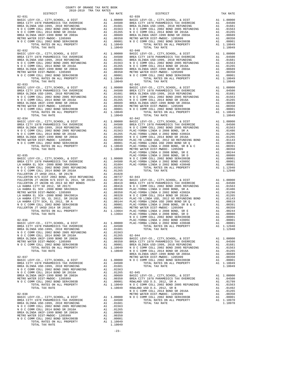| $02 - 031$                                                                                                                                                                                                                                                                                                                                                                                                                 | $02 - 039$ |  |  |
|----------------------------------------------------------------------------------------------------------------------------------------------------------------------------------------------------------------------------------------------------------------------------------------------------------------------------------------------------------------------------------------------------------------------------|------------|--|--|
|                                                                                                                                                                                                                                                                                                                                                                                                                            |            |  |  |
|                                                                                                                                                                                                                                                                                                                                                                                                                            |            |  |  |
|                                                                                                                                                                                                                                                                                                                                                                                                                            |            |  |  |
|                                                                                                                                                                                                                                                                                                                                                                                                                            |            |  |  |
|                                                                                                                                                                                                                                                                                                                                                                                                                            |            |  |  |
| $\begin{bmatrix} \text{C} & \text{C} & \text{C} & \text{C} & \text{C} & \text{C} & \text{C} & \text{C} & \text{C} & \text{C} & \text{C} & \text{C} & \text{C} & \text{C} & \text{C} & \text{C} & \text{C} & \text{C} & \text{C} & \text{C} & \text{C} & \text{C} & \text{C} & \text{C} & \text{C} & \text{C} & \text{C} & \text{C} & \text{C} & \text{C} & \text{C} & \text{C} & \text{C} & \text{C} & \text{C} & \text{C$ |            |  |  |
|                                                                                                                                                                                                                                                                                                                                                                                                                            |            |  |  |
|                                                                                                                                                                                                                                                                                                                                                                                                                            |            |  |  |
|                                                                                                                                                                                                                                                                                                                                                                                                                            |            |  |  |
|                                                                                                                                                                                                                                                                                                                                                                                                                            |            |  |  |
|                                                                                                                                                                                                                                                                                                                                                                                                                            |            |  |  |

-23-

DISTRICT TAX RATE DISTRICT TAX RATE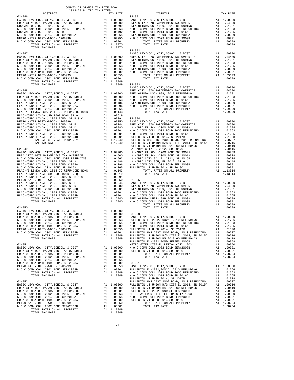| COUNTY OF ORANGE TAX RATE BOOK<br>2018-2019 TRA TAX RATES |         |                                                                                                                                                |          |
|-----------------------------------------------------------|---------|------------------------------------------------------------------------------------------------------------------------------------------------|----------|
| DISTRICT                                                  |         |                                                                                                                                                | TAX RATE |
| $02 - 046$                                                |         | $02 - 901$                                                                                                                                     |          |
|                                                           |         |                                                                                                                                                |          |
|                                                           |         |                                                                                                                                                |          |
|                                                           |         |                                                                                                                                                |          |
|                                                           |         |                                                                                                                                                |          |
|                                                           |         |                                                                                                                                                |          |
|                                                           |         |                                                                                                                                                |          |
|                                                           |         |                                                                                                                                                |          |
|                                                           |         |                                                                                                                                                |          |
|                                                           |         |                                                                                                                                                |          |
|                                                           |         |                                                                                                                                                |          |
|                                                           |         |                                                                                                                                                |          |
|                                                           |         |                                                                                                                                                |          |
|                                                           |         |                                                                                                                                                |          |
|                                                           |         |                                                                                                                                                |          |
|                                                           |         |                                                                                                                                                |          |
|                                                           |         |                                                                                                                                                |          |
|                                                           |         |                                                                                                                                                |          |
|                                                           |         |                                                                                                                                                |          |
|                                                           |         |                                                                                                                                                |          |
|                                                           |         |                                                                                                                                                |          |
|                                                           |         |                                                                                                                                                |          |
|                                                           |         |                                                                                                                                                |          |
|                                                           |         |                                                                                                                                                |          |
|                                                           |         |                                                                                                                                                |          |
|                                                           |         |                                                                                                                                                |          |
|                                                           |         |                                                                                                                                                |          |
|                                                           |         |                                                                                                                                                |          |
|                                                           |         |                                                                                                                                                |          |
|                                                           |         |                                                                                                                                                |          |
|                                                           |         |                                                                                                                                                |          |
|                                                           |         |                                                                                                                                                |          |
|                                                           |         |                                                                                                                                                |          |
|                                                           |         |                                                                                                                                                |          |
|                                                           |         |                                                                                                                                                |          |
|                                                           |         |                                                                                                                                                |          |
|                                                           |         |                                                                                                                                                |          |
|                                                           |         |                                                                                                                                                |          |
|                                                           |         |                                                                                                                                                |          |
|                                                           |         |                                                                                                                                                |          |
|                                                           |         |                                                                                                                                                |          |
|                                                           |         |                                                                                                                                                |          |
|                                                           |         |                                                                                                                                                |          |
|                                                           |         |                                                                                                                                                |          |
|                                                           |         |                                                                                                                                                |          |
|                                                           |         |                                                                                                                                                |          |
|                                                           |         |                                                                                                                                                |          |
|                                                           |         |                                                                                                                                                |          |
|                                                           |         |                                                                                                                                                |          |
|                                                           |         |                                                                                                                                                |          |
|                                                           |         |                                                                                                                                                |          |
|                                                           |         |                                                                                                                                                |          |
|                                                           |         |                                                                                                                                                |          |
|                                                           |         | BASIC LEVY-CO., CITY, SCHOOL, & DIST A1 1.00000<br>N O C COMM COLL 2002 BOND 2005 REFUNDING A1 .01563 FULLERTON EL-2002, 2002A, 2010 REFUNDING |          |
|                                                           |         |                                                                                                                                                |          |
|                                                           |         |                                                                                                                                                |          |
|                                                           |         |                                                                                                                                                |          |
|                                                           |         |                                                                                                                                                |          |
|                                                           |         |                                                                                                                                                |          |
|                                                           |         |                                                                                                                                                |          |
|                                                           |         |                                                                                                                                                |          |
|                                                           |         |                                                                                                                                                |          |
|                                                           |         |                                                                                                                                                |          |
|                                                           |         |                                                                                                                                                |          |
|                                                           |         |                                                                                                                                                |          |
|                                                           |         |                                                                                                                                                |          |
|                                                           |         |                                                                                                                                                |          |
|                                                           |         |                                                                                                                                                |          |
|                                                           |         |                                                                                                                                                |          |
|                                                           |         |                                                                                                                                                |          |
|                                                           |         |                                                                                                                                                |          |
|                                                           |         |                                                                                                                                                |          |
|                                                           |         |                                                                                                                                                |          |
|                                                           |         |                                                                                                                                                |          |
|                                                           |         |                                                                                                                                                |          |
|                                                           |         |                                                                                                                                                |          |
|                                                           |         |                                                                                                                                                |          |
|                                                           |         |                                                                                                                                                |          |
|                                                           | 1.10049 |                                                                                                                                                |          |

| 1.00000<br>1.10970<br>1.10970                                                                                                     | 1.00000 BASIC LEVY-CO., CITY, SCHOOL, & DIST<br>.04500 BREA CITY 1978 PARAMEDICS TAX OVERRIDE<br>.01799 BREA OLINDA USD-1999, 2010 REFUNDING<br>.01563 N O C COMM COLL 2002 BOND 2005 REFUNDING<br>.01492 N O C COMM COLL 2014 BOND S<br>TOTAL TAX RATE                                                                                                                                                                                                                                                                                                                    | A1<br>A1<br>A1<br>A1<br>A1                                     | A1 1.0000<br>A1 .0450<br>.0168<br>.0156<br>.0126<br>.0068<br>.000(<br>A1 1.0969<br>1.0969                                           |
|-----------------------------------------------------------------------------------------------------------------------------------|----------------------------------------------------------------------------------------------------------------------------------------------------------------------------------------------------------------------------------------------------------------------------------------------------------------------------------------------------------------------------------------------------------------------------------------------------------------------------------------------------------------------------------------------------------------------------|----------------------------------------------------------------|-------------------------------------------------------------------------------------------------------------------------------------|
| 1.00000<br>.04500<br>.01681<br>.01563<br>.01265<br>.00689<br>.00350<br>.00001<br>1.10049                                          | $02 - 902$<br>BASIC LEVY-CO., CITY, SCHOOL, & DIST<br>BREA CITY 1978 PARAMEDICS TAX OVERRIDE<br>BREA OLINDA USD-1999, 2010 REFUNDING<br>N O C COMM COLL 2002 BOND 2005 REFUNDING<br>N O C COMM COLL 2014 BOND SR 2016A<br>BREA OLINDA UNIF-1999 BOND SR 200<br>TOTAL RATES ON ALL PROPERTY<br>TOTAL TAX RATE                                                                                                                                                                                                                                                               | A1<br>A1<br>A1<br>A1<br>A1<br>A1                               | 1.0000<br>A1 .0450<br>.0168<br>.0156<br>.0126<br>.0068<br>.000(<br>A1 1.0969<br>1.0969                                              |
| 1.10049 02-903<br>.01143                                                                                                          | TOTAL TAX RATE                                                                                                                                                                                                                                                                                                                                                                                                                                                                                                                                                             |                                                                | .0068<br>1.0969                                                                                                                     |
|                                                                                                                                   |                                                                                                                                                                                                                                                                                                                                                                                                                                                                                                                                                                            |                                                                |                                                                                                                                     |
| .00619<br>.00391                                                                                                                  | LA HABRA CITY SD 2012, SR 2017C<br>1.00000 LA HABRA EL SCH -2000 BOND SR#2002A<br>.04500 LA HABRA EL SCH -2000 BOND SR#2001A<br>.01563 LA HABRA CITY SD, EL 2012, SR 2015B<br>.01486 LA HABRA CITY SCH, EL 2012, SR 2015B<br>.01296 N O C COM<br>TOTAL TAX RATE                                                                                                                                                                                                                                                                                                            | A1<br>A1<br>A1<br>A1<br>A1                                     | .0036<br>.0032<br>.002<br>.0014<br>0000. A1<br>0001. A1<br>.000(<br>1.1333<br>1.1333                                                |
|                                                                                                                                   | .00350 02-905<br>.00244 BASIC LEVY-CO., CITY, SCHOOL, & DIST<br>.00244 BASIC LEVY-CO., CITY, SCHOOL, & DIST<br>.00080 BREA OLINDA USD-1999, 2010 REFUNDING<br>.00001 NOC COMM COLL 2014 BOND 2005 REFUNDING<br>.00001 NOC COMM COLL 2014<br>TOTAL RATES ON ALL PROPERTY<br>TOTAL TAX RATE                                                                                                                                                                                                                                                                                  | A1<br>$\frac{A1}{A1}$<br>A1<br>A1<br>A1                        | A1 1.0000<br>.045(<br>.0168<br>.0156<br>.0126<br>.0068<br>.0000<br>A1 1.0969<br>1.0969                                              |
| 1,00000<br>1.10049<br>1.10049<br>1.00000<br>.04500<br>.01681<br>.01563<br>.01265                                                  | .004500 03-000<br>.01681 BASIC LEVY-CO., CITY, SCHOOL, & DIST<br>.01563 FULLERTON EL-2002, 2002A, 2010 REFUNDING<br>.01265 NOCCOMM COLL 2002 BOND 2005 REFUNDING<br>.00689 NOCCOMM COLL 2014 BOND SR 2016A<br>.00350 FULLERTON JT UHSD<br>FULLERTON JT UNION H/S DIST EL 2014, SR 2015A<br>FULLERTON JT UNION HS 2013 GO REF BONDS<br>FULLERTON EL-2002 BOND SERIES 2005B<br>METRO WATER DIST-FULLERTON CITY 1203<br>N O C COMM COLL 2002 BOND SER#2003B<br>FULLERTON JT UHSD 2014 SR 2018C<br>TOTAL RATES ON ALL PROPERTY<br>TOTAL TAX RATE                               | A1<br>A1<br>A1<br>A1<br>A1<br>A1<br>A1<br>A1<br>A1<br>A1<br>A1 | A1 1.0000<br>.0176<br>.0156<br>.0126<br>.0102<br>.0073<br>.007<br>.0041<br>.003!<br>.003!<br>.000(<br>.000(<br>A1 1.0820<br>1.0820  |
| .00689<br>.00350<br>.00001<br>1.10049<br>1.10049<br>1.00000<br>.04500<br>.01681<br>.01563<br>.01265<br>.00689<br>.00350<br>.00001 | $03 - 001$<br>BASIC LEVY-CO., CITY, SCHOOL, & DIST<br>FULLERTON EL-2002, 2002A, 2010 REFUNDING<br>N O C COMM COLL 2002 BOND 2005 REFUNDING<br>N O C COMM COLL 2014 BOND SR 2016A<br>FULLERTON JT UHSD 2014, SR 2017B<br>FULLERTON H/S DIST 2002 BOND, 2010 REFUNDING<br>FULLERTON JT UNION H/S DIST EL 2014, SR 2015A<br>FULLERTON JT UNION HS 2013 GO REF BONDS<br>FULLERTON EL-2002 BOND SERIES 2005B<br>METRO WATER DIST-FULLERTON CITY 1203<br>N O C COMM COLL 2002 BOND SER#2003B<br>FULLERTON JT UHSD 2014 SR 2018C<br>TOTAL RATES ON ALL PROPERTY<br>TOTAL TAX RATE | A1<br>A1<br>A1<br>A1<br>A1<br>A1<br>A1<br>A1<br>A1<br>A1<br>A1 | A1 1.0000<br>.0176<br>.0156<br>.0126<br>.0102<br>.0073<br>.0072<br>.0042<br>.003!<br>.003!<br>.000(<br>.000(<br>A1 1.0820<br>1.0820 |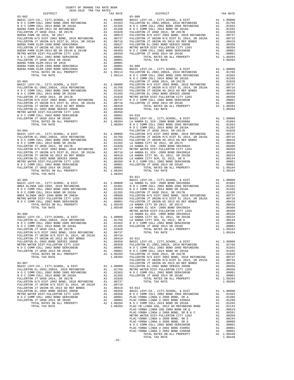| $\begin{tabular}{l c c c c c} \multicolumn{1}{c}{\textbf{BUENA PARK ELEM-2014 BD SR R 2014A & 2014B & 2014B & 2014B & 2014B & 2014B & 2014B & 2014B & 2014B & 2014B & 2014B & 2014B & 2014B & 2014B & 2014B & 2014B & 2014B & 2014B & 2014B & 2014B & 2014B & 2014B & 2014B & 2014B & 2014$ |          |                  |                       |
|---------------------------------------------------------------------------------------------------------------------------------------------------------------------------------------------------------------------------------------------------------------------------------------------|----------|------------------|-----------------------|
|                                                                                                                                                                                                                                                                                             |          |                  |                       |
|                                                                                                                                                                                                                                                                                             |          |                  |                       |
|                                                                                                                                                                                                                                                                                             |          |                  |                       |
|                                                                                                                                                                                                                                                                                             |          |                  |                       |
|                                                                                                                                                                                                                                                                                             |          |                  | NOCC                  |
|                                                                                                                                                                                                                                                                                             |          |                  |                       |
|                                                                                                                                                                                                                                                                                             |          |                  |                       |
|                                                                                                                                                                                                                                                                                             |          |                  |                       |
|                                                                                                                                                                                                                                                                                             |          |                  |                       |
|                                                                                                                                                                                                                                                                                             |          |                  |                       |
|                                                                                                                                                                                                                                                                                             |          |                  |                       |
|                                                                                                                                                                                                                                                                                             |          |                  |                       |
|                                                                                                                                                                                                                                                                                             |          |                  |                       |
|                                                                                                                                                                                                                                                                                             |          |                  |                       |
|                                                                                                                                                                                                                                                                                             |          |                  |                       |
|                                                                                                                                                                                                                                                                                             |          |                  |                       |
|                                                                                                                                                                                                                                                                                             |          |                  | NOCC                  |
| $03 - 004$                                                                                                                                                                                                                                                                                  |          |                  | FULLERT               |
|                                                                                                                                                                                                                                                                                             |          |                  |                       |
|                                                                                                                                                                                                                                                                                             |          |                  |                       |
|                                                                                                                                                                                                                                                                                             |          |                  |                       |
|                                                                                                                                                                                                                                                                                             |          |                  |                       |
|                                                                                                                                                                                                                                                                                             |          |                  |                       |
|                                                                                                                                                                                                                                                                                             |          |                  |                       |
|                                                                                                                                                                                                                                                                                             |          |                  |                       |
|                                                                                                                                                                                                                                                                                             |          |                  |                       |
|                                                                                                                                                                                                                                                                                             |          |                  |                       |
|                                                                                                                                                                                                                                                                                             |          |                  | $03 - 011$            |
|                                                                                                                                                                                                                                                                                             |          |                  |                       |
|                                                                                                                                                                                                                                                                                             |          |                  |                       |
|                                                                                                                                                                                                                                                                                             |          |                  |                       |
|                                                                                                                                                                                                                                                                                             |          |                  |                       |
|                                                                                                                                                                                                                                                                                             |          |                  |                       |
|                                                                                                                                                                                                                                                                                             |          |                  |                       |
|                                                                                                                                                                                                                                                                                             |          |                  |                       |
|                                                                                                                                                                                                                                                                                             |          |                  | METRO W               |
|                                                                                                                                                                                                                                                                                             |          |                  |                       |
|                                                                                                                                                                                                                                                                                             |          |                  |                       |
|                                                                                                                                                                                                                                                                                             |          |                  |                       |
|                                                                                                                                                                                                                                                                                             |          |                  |                       |
|                                                                                                                                                                                                                                                                                             |          |                  |                       |
|                                                                                                                                                                                                                                                                                             |          |                  |                       |
|                                                                                                                                                                                                                                                                                             |          |                  |                       |
|                                                                                                                                                                                                                                                                                             |          |                  |                       |
|                                                                                                                                                                                                                                                                                             |          |                  |                       |
|                                                                                                                                                                                                                                                                                             |          |                  |                       |
|                                                                                                                                                                                                                                                                                             |          |                  |                       |
|                                                                                                                                                                                                                                                                                             |          |                  | FULLERT               |
| $03 - 007$<br>BASIC LEVY-CO., CITY, SCHOOL, & DIST                                                                                                                                                                                                                                          | A1       | 1,00000          | FULLERT<br>FULLERT    |
| FULLERTON EL-2002, 2002A, 2010 REFUNDING                                                                                                                                                                                                                                                    | A1       | .01766           | METRO W               |
| N O C COMM COLL 2002 BOND 2005 REFUNDING                                                                                                                                                                                                                                                    | A1       | .01563           | NOCC                  |
| N O C COMM COLL 2014 BOND SR 2016A<br>FULLERTON JT UHSD 2014, SR 2017B                                                                                                                                                                                                                      | A1<br>A1 | .01265<br>.01028 | FULLERT               |
| FULLERTON H/S DIST 2002 BOND, 2010 REFUNDING                                                                                                                                                                                                                                                | A1       | .00737           |                       |
| FULLERTON JT UNION H/S DIST EL 2014, SR 2015A                                                                                                                                                                                                                                               | A1       | .00716           |                       |
| FULLERTON JT UNION HS 2013 GO REF BONDS<br>FULLERTON EL-2002 BOND SERIES 2005B                                                                                                                                                                                                              | A1<br>A1 | .00419<br>.00358 | $03 - 013$<br>BASIC L |
| METRO WATER DIST-FULLERTON CITY 1203                                                                                                                                                                                                                                                        | A1       | .00350           | NOCC                  |
| N O C COMM COLL 2002 BOND SER#2003B<br>FULLERTON JT UHSD 2014 SR 2018C                                                                                                                                                                                                                      | A1       | .00001           | PLAC-YO               |
|                                                                                                                                                                                                                                                                                             | A1       | .00001           | PLAC-YO               |

| 24122<br>2412 - 272 - 273 - 273 - 273 - 273 - 273 - 273 - 273 - 273 - 273 - 273 - 273 - 273 - 273 - 273 - 273 - 273 - 273 - 273 - 273 - 273 - 273 - 273 - 273 - 273 - 273 - 273 - 273 - 273 - 273 - 273 - 273 - 273 - 273 - 273 |  |                                                                                                                                                                                                                                                                                                                          |  |
|---------------------------------------------------------------------------------------------------------------------------------------------------------------------------------------------------------------------------------|--|--------------------------------------------------------------------------------------------------------------------------------------------------------------------------------------------------------------------------------------------------------------------------------------------------------------------------|--|
|                                                                                                                                                                                                                                 |  |                                                                                                                                                                                                                                                                                                                          |  |
|                                                                                                                                                                                                                                 |  |                                                                                                                                                                                                                                                                                                                          |  |
|                                                                                                                                                                                                                                 |  |                                                                                                                                                                                                                                                                                                                          |  |
|                                                                                                                                                                                                                                 |  |                                                                                                                                                                                                                                                                                                                          |  |
|                                                                                                                                                                                                                                 |  |                                                                                                                                                                                                                                                                                                                          |  |
|                                                                                                                                                                                                                                 |  |                                                                                                                                                                                                                                                                                                                          |  |
|                                                                                                                                                                                                                                 |  |                                                                                                                                                                                                                                                                                                                          |  |
|                                                                                                                                                                                                                                 |  |                                                                                                                                                                                                                                                                                                                          |  |
|                                                                                                                                                                                                                                 |  |                                                                                                                                                                                                                                                                                                                          |  |
|                                                                                                                                                                                                                                 |  |                                                                                                                                                                                                                                                                                                                          |  |
|                                                                                                                                                                                                                                 |  |                                                                                                                                                                                                                                                                                                                          |  |
|                                                                                                                                                                                                                                 |  |                                                                                                                                                                                                                                                                                                                          |  |
|                                                                                                                                                                                                                                 |  |                                                                                                                                                                                                                                                                                                                          |  |
|                                                                                                                                                                                                                                 |  |                                                                                                                                                                                                                                                                                                                          |  |
|                                                                                                                                                                                                                                 |  |                                                                                                                                                                                                                                                                                                                          |  |
|                                                                                                                                                                                                                                 |  |                                                                                                                                                                                                                                                                                                                          |  |
|                                                                                                                                                                                                                                 |  |                                                                                                                                                                                                                                                                                                                          |  |
|                                                                                                                                                                                                                                 |  |                                                                                                                                                                                                                                                                                                                          |  |
|                                                                                                                                                                                                                                 |  |                                                                                                                                                                                                                                                                                                                          |  |
|                                                                                                                                                                                                                                 |  |                                                                                                                                                                                                                                                                                                                          |  |
|                                                                                                                                                                                                                                 |  |                                                                                                                                                                                                                                                                                                                          |  |
|                                                                                                                                                                                                                                 |  |                                                                                                                                                                                                                                                                                                                          |  |
|                                                                                                                                                                                                                                 |  |                                                                                                                                                                                                                                                                                                                          |  |
|                                                                                                                                                                                                                                 |  |                                                                                                                                                                                                                                                                                                                          |  |
|                                                                                                                                                                                                                                 |  |                                                                                                                                                                                                                                                                                                                          |  |
|                                                                                                                                                                                                                                 |  |                                                                                                                                                                                                                                                                                                                          |  |
|                                                                                                                                                                                                                                 |  |                                                                                                                                                                                                                                                                                                                          |  |
|                                                                                                                                                                                                                                 |  |                                                                                                                                                                                                                                                                                                                          |  |
|                                                                                                                                                                                                                                 |  |                                                                                                                                                                                                                                                                                                                          |  |
|                                                                                                                                                                                                                                 |  |                                                                                                                                                                                                                                                                                                                          |  |
|                                                                                                                                                                                                                                 |  |                                                                                                                                                                                                                                                                                                                          |  |
|                                                                                                                                                                                                                                 |  |                                                                                                                                                                                                                                                                                                                          |  |
|                                                                                                                                                                                                                                 |  |                                                                                                                                                                                                                                                                                                                          |  |
|                                                                                                                                                                                                                                 |  |                                                                                                                                                                                                                                                                                                                          |  |
|                                                                                                                                                                                                                                 |  |                                                                                                                                                                                                                                                                                                                          |  |
|                                                                                                                                                                                                                                 |  |                                                                                                                                                                                                                                                                                                                          |  |
|                                                                                                                                                                                                                                 |  |                                                                                                                                                                                                                                                                                                                          |  |
|                                                                                                                                                                                                                                 |  |                                                                                                                                                                                                                                                                                                                          |  |
|                                                                                                                                                                                                                                 |  |                                                                                                                                                                                                                                                                                                                          |  |
|                                                                                                                                                                                                                                 |  |                                                                                                                                                                                                                                                                                                                          |  |
|                                                                                                                                                                                                                                 |  |                                                                                                                                                                                                                                                                                                                          |  |
|                                                                                                                                                                                                                                 |  |                                                                                                                                                                                                                                                                                                                          |  |
|                                                                                                                                                                                                                                 |  |                                                                                                                                                                                                                                                                                                                          |  |
|                                                                                                                                                                                                                                 |  | $03 - 011$                                                                                                                                                                                                                                                                                                               |  |
|                                                                                                                                                                                                                                 |  |                                                                                                                                                                                                                                                                                                                          |  |
|                                                                                                                                                                                                                                 |  |                                                                                                                                                                                                                                                                                                                          |  |
|                                                                                                                                                                                                                                 |  |                                                                                                                                                                                                                                                                                                                          |  |
|                                                                                                                                                                                                                                 |  |                                                                                                                                                                                                                                                                                                                          |  |
|                                                                                                                                                                                                                                 |  |                                                                                                                                                                                                                                                                                                                          |  |
|                                                                                                                                                                                                                                 |  |                                                                                                                                                                                                                                                                                                                          |  |
|                                                                                                                                                                                                                                 |  |                                                                                                                                                                                                                                                                                                                          |  |
|                                                                                                                                                                                                                                 |  |                                                                                                                                                                                                                                                                                                                          |  |
|                                                                                                                                                                                                                                 |  |                                                                                                                                                                                                                                                                                                                          |  |
|                                                                                                                                                                                                                                 |  |                                                                                                                                                                                                                                                                                                                          |  |
|                                                                                                                                                                                                                                 |  |                                                                                                                                                                                                                                                                                                                          |  |
|                                                                                                                                                                                                                                 |  |                                                                                                                                                                                                                                                                                                                          |  |
|                                                                                                                                                                                                                                 |  |                                                                                                                                                                                                                                                                                                                          |  |
|                                                                                                                                                                                                                                 |  |                                                                                                                                                                                                                                                                                                                          |  |
|                                                                                                                                                                                                                                 |  |                                                                                                                                                                                                                                                                                                                          |  |
|                                                                                                                                                                                                                                 |  |                                                                                                                                                                                                                                                                                                                          |  |
|                                                                                                                                                                                                                                 |  |                                                                                                                                                                                                                                                                                                                          |  |
|                                                                                                                                                                                                                                 |  |                                                                                                                                                                                                                                                                                                                          |  |
|                                                                                                                                                                                                                                 |  |                                                                                                                                                                                                                                                                                                                          |  |
|                                                                                                                                                                                                                                 |  |                                                                                                                                                                                                                                                                                                                          |  |
|                                                                                                                                                                                                                                 |  |                                                                                                                                                                                                                                                                                                                          |  |
|                                                                                                                                                                                                                                 |  |                                                                                                                                                                                                                                                                                                                          |  |
|                                                                                                                                                                                                                                 |  |                                                                                                                                                                                                                                                                                                                          |  |
|                                                                                                                                                                                                                                 |  |                                                                                                                                                                                                                                                                                                                          |  |
|                                                                                                                                                                                                                                 |  | FULLERTON JT UNION HS 2013 GO REF BONDS A1 .00419                                                                                                                                                                                                                                                                        |  |
|                                                                                                                                                                                                                                 |  |                                                                                                                                                                                                                                                                                                                          |  |
|                                                                                                                                                                                                                                 |  |                                                                                                                                                                                                                                                                                                                          |  |
|                                                                                                                                                                                                                                 |  |                                                                                                                                                                                                                                                                                                                          |  |
|                                                                                                                                                                                                                                 |  |                                                                                                                                                                                                                                                                                                                          |  |
|                                                                                                                                                                                                                                 |  |                                                                                                                                                                                                                                                                                                                          |  |
|                                                                                                                                                                                                                                 |  |                                                                                                                                                                                                                                                                                                                          |  |
|                                                                                                                                                                                                                                 |  |                                                                                                                                                                                                                                                                                                                          |  |
|                                                                                                                                                                                                                                 |  |                                                                                                                                                                                                                                                                                                                          |  |
|                                                                                                                                                                                                                                 |  |                                                                                                                                                                                                                                                                                                                          |  |
|                                                                                                                                                                                                                                 |  |                                                                                                                                                                                                                                                                                                                          |  |
|                                                                                                                                                                                                                                 |  |                                                                                                                                                                                                                                                                                                                          |  |
| $03 - 007$                                                                                                                                                                                                                      |  |                                                                                                                                                                                                                                                                                                                          |  |
|                                                                                                                                                                                                                                 |  |                                                                                                                                                                                                                                                                                                                          |  |
|                                                                                                                                                                                                                                 |  |                                                                                                                                                                                                                                                                                                                          |  |
|                                                                                                                                                                                                                                 |  |                                                                                                                                                                                                                                                                                                                          |  |
|                                                                                                                                                                                                                                 |  |                                                                                                                                                                                                                                                                                                                          |  |
|                                                                                                                                                                                                                                 |  |                                                                                                                                                                                                                                                                                                                          |  |
|                                                                                                                                                                                                                                 |  |                                                                                                                                                                                                                                                                                                                          |  |
| FULLERTON JT UNION HS 2013 GO REF BONDS A1 .00419 03-013                                                                                                                                                                        |  | ${\tt FULLERTON\  \, JUHOKR IS 2018\nFULERTON\  \, JUHOKR IS 2018\nRUERIONY  \, UHOKR IS 2018\nRUERIONY  \, TUHENON  \, CHY  \, SCH 2018\nRUER ONREN DIST- FULLERTON  \, CHY  \, SCH 2018\nRUER ONREN DIST- FULLERTON  \, CHY  \, SCH 2018\nRUERON  \, MIXRIES 2018\nRUERON  \, MIXRIES 2018\nRUERON  \, MIXRIES 2018\n$ |  |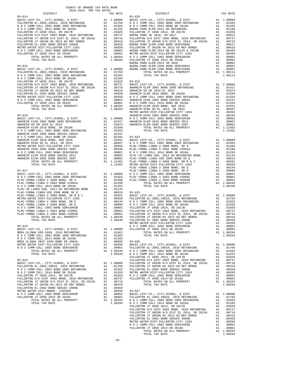| ${\small \begin{tabular}{l c c c c c c c c} \hline FULLERTON JT UNION H/S DIST EL & 2014, SR & 2015A & A1 & .00716 & FULLERT \\ \hline FULLERTON DT UNION HS & 2013 GO REF EOMDS & A1 & .00419 & FULLERT \\ \hline FULLERTON EL-2002 BOND SEREES & 2005B & A1 & .00358 & BUERNAP \\ \hline METRO WATER DIST-FULLERTON CTY 1203 & A1 & .00350 & FULLERT \\ \hline MDC COM COLL & 2002 BOND SERF & 2014 & .000$ |    |                                        |                    |
|---------------------------------------------------------------------------------------------------------------------------------------------------------------------------------------------------------------------------------------------------------------------------------------------------------------------------------------------------------------------------------------------------------------|----|----------------------------------------|--------------------|
|                                                                                                                                                                                                                                                                                                                                                                                                               |    |                                        |                    |
|                                                                                                                                                                                                                                                                                                                                                                                                               |    |                                        |                    |
|                                                                                                                                                                                                                                                                                                                                                                                                               |    |                                        |                    |
|                                                                                                                                                                                                                                                                                                                                                                                                               |    |                                        | BUENA P            |
| $03 - 015$                                                                                                                                                                                                                                                                                                                                                                                                    |    |                                        | BUENA P            |
|                                                                                                                                                                                                                                                                                                                                                                                                               |    |                                        |                    |
|                                                                                                                                                                                                                                                                                                                                                                                                               |    |                                        |                    |
|                                                                                                                                                                                                                                                                                                                                                                                                               |    |                                        |                    |
|                                                                                                                                                                                                                                                                                                                                                                                                               |    |                                        |                    |
|                                                                                                                                                                                                                                                                                                                                                                                                               |    |                                        |                    |
|                                                                                                                                                                                                                                                                                                                                                                                                               |    |                                        |                    |
|                                                                                                                                                                                                                                                                                                                                                                                                               |    |                                        |                    |
|                                                                                                                                                                                                                                                                                                                                                                                                               |    |                                        |                    |
|                                                                                                                                                                                                                                                                                                                                                                                                               |    |                                        |                    |
|                                                                                                                                                                                                                                                                                                                                                                                                               |    |                                        |                    |
|                                                                                                                                                                                                                                                                                                                                                                                                               |    |                                        | METRO W            |
|                                                                                                                                                                                                                                                                                                                                                                                                               |    |                                        |                    |
|                                                                                                                                                                                                                                                                                                                                                                                                               |    |                                        |                    |
|                                                                                                                                                                                                                                                                                                                                                                                                               |    |                                        |                    |
|                                                                                                                                                                                                                                                                                                                                                                                                               |    |                                        |                    |
|                                                                                                                                                                                                                                                                                                                                                                                                               |    |                                        |                    |
|                                                                                                                                                                                                                                                                                                                                                                                                               |    |                                        |                    |
|                                                                                                                                                                                                                                                                                                                                                                                                               |    |                                        |                    |
|                                                                                                                                                                                                                                                                                                                                                                                                               |    |                                        |                    |
|                                                                                                                                                                                                                                                                                                                                                                                                               |    |                                        |                    |
|                                                                                                                                                                                                                                                                                                                                                                                                               |    |                                        |                    |
|                                                                                                                                                                                                                                                                                                                                                                                                               |    |                                        |                    |
|                                                                                                                                                                                                                                                                                                                                                                                                               |    |                                        |                    |
|                                                                                                                                                                                                                                                                                                                                                                                                               |    |                                        |                    |
| $03 - 017$                                                                                                                                                                                                                                                                                                                                                                                                    |    |                                        | PLAC-YO<br>PLAC-YO |
|                                                                                                                                                                                                                                                                                                                                                                                                               |    |                                        |                    |
|                                                                                                                                                                                                                                                                                                                                                                                                               |    |                                        |                    |
|                                                                                                                                                                                                                                                                                                                                                                                                               |    |                                        |                    |
|                                                                                                                                                                                                                                                                                                                                                                                                               |    |                                        |                    |
|                                                                                                                                                                                                                                                                                                                                                                                                               |    |                                        |                    |
|                                                                                                                                                                                                                                                                                                                                                                                                               |    |                                        |                    |
|                                                                                                                                                                                                                                                                                                                                                                                                               |    |                                        |                    |
|                                                                                                                                                                                                                                                                                                                                                                                                               |    |                                        |                    |
|                                                                                                                                                                                                                                                                                                                                                                                                               |    |                                        |                    |
|                                                                                                                                                                                                                                                                                                                                                                                                               |    |                                        |                    |
|                                                                                                                                                                                                                                                                                                                                                                                                               |    |                                        |                    |
|                                                                                                                                                                                                                                                                                                                                                                                                               |    |                                        |                    |
| $03 - 018$                                                                                                                                                                                                                                                                                                                                                                                                    |    |                                        | METRO W<br>NOCC    |
|                                                                                                                                                                                                                                                                                                                                                                                                               |    |                                        |                    |
| $\begin{tabular}{l c c c c c} \multicolumn{1}{c}{\textbf{BRSIC LEVY-CO. , CITY, SCHOOL, $\&$ DIST$} & $\text{N $\mbox{O} $\mbox{C}$ C$} \\ \multicolumn{1}{c}{\textbf{BRBA OLINDA USD-1999, 2010 REFUNDING}} & $\text{A1} & 1.00000$ & FULLERT \\ \multicolumn{1}{c}{\textbf{N $\mbox{O} $\mbox{C COMM $COLL $2002 $ BOND 2005 $ REFUNDING$} }} & $\text{A1} & .01681$ \\ \multicolumn{1}{c}{\textbf{N $\m$   |    |                                        |                    |
|                                                                                                                                                                                                                                                                                                                                                                                                               |    |                                        |                    |
|                                                                                                                                                                                                                                                                                                                                                                                                               |    |                                        |                    |
|                                                                                                                                                                                                                                                                                                                                                                                                               |    |                                        |                    |
|                                                                                                                                                                                                                                                                                                                                                                                                               |    |                                        |                    |
| TOTAL TAX RATE                                                                                                                                                                                                                                                                                                                                                                                                |    | 1.05549                                | NOCC               |
|                                                                                                                                                                                                                                                                                                                                                                                                               |    |                                        | FULLERT            |
| $03 - 019$                                                                                                                                                                                                                                                                                                                                                                                                    |    |                                        | FULLERT            |
| BASIC LEVY-CO., CITY, SCHOOL, & DIST                                                                                                                                                                                                                                                                                                                                                                          | A1 | 1.00000                                | FULLERT            |
| FULLERTON EL-2002, 2002A, 2010 REFUNDING<br>N O C COMM COLL 2002 BOND 2005 REFUNDING                                                                                                                                                                                                                                                                                                                          | A1 | .01766                                 | FULLERT            |
| N O C COMM COLL 2014 BOND SR 2016A                                                                                                                                                                                                                                                                                                                                                                            |    | A1 .01563 FULLERT<br>A1 .01265 METRO W |                    |
| FULLERTON JT UHSD 2014, SR 2017B                                                                                                                                                                                                                                                                                                                                                                              |    | A1.01028                               | NOCC               |
| FULLERTON H/S DIST 2002 BOND, 2010 REFUNDING A1 .00737<br>FULLERTON H/S DIST 2002 BOND, 2010 REFUNDING A1 .00737<br>FULLERTON JT UNION HS 2013 GO REF BONDS A1 .00419<br>FULLERTON TUNDON BE RIST 2005 BB A1 .00458<br>HETRO WATER DIS                                                                                                                                                                        |    |                                        | FULLERT            |
|                                                                                                                                                                                                                                                                                                                                                                                                               |    |                                        |                    |
|                                                                                                                                                                                                                                                                                                                                                                                                               |    |                                        |                    |
|                                                                                                                                                                                                                                                                                                                                                                                                               |    |                                        | $03 - 027$         |
| N O C COMM COLL 2002 BOND SER#2003B                                                                                                                                                                                                                                                                                                                                                                           |    | A1 .00001                              | BASIC L            |
| FULLERTON JT UHSD 2014 SR 2018C<br>TOTAL RATES ON ALL PROPERTY                                                                                                                                                                                                                                                                                                                                                | A1 | .00001<br>A1 1.08204                   | FULLERT<br>NOCC    |
| TOTAL TAX RATE                                                                                                                                                                                                                                                                                                                                                                                                |    | 1.08204                                | NOCC               |
|                                                                                                                                                                                                                                                                                                                                                                                                               |    |                                        |                    |

| COUNTY OF ORANGE TAX RATE BOOK                                                                                                                       |          |                                                                                                                                                                                                                                                                                                                                                                                                                                  |          |
|------------------------------------------------------------------------------------------------------------------------------------------------------|----------|----------------------------------------------------------------------------------------------------------------------------------------------------------------------------------------------------------------------------------------------------------------------------------------------------------------------------------------------------------------------------------------------------------------------------------|----------|
| $2018-2019 \begin{tabular}{lllllllllll} \quad\text{Tr} & \text{NATE} & \text{R} \\ \text{DISTRICT} & 2018-2019 & \text{TRA TAX RATES} \end{tabular}$ | TAX RATE | DISTRICT                                                                                                                                                                                                                                                                                                                                                                                                                         | TAX RATE |
|                                                                                                                                                      |          |                                                                                                                                                                                                                                                                                                                                                                                                                                  |          |
|                                                                                                                                                      |          |                                                                                                                                                                                                                                                                                                                                                                                                                                  |          |
|                                                                                                                                                      |          |                                                                                                                                                                                                                                                                                                                                                                                                                                  |          |
|                                                                                                                                                      |          |                                                                                                                                                                                                                                                                                                                                                                                                                                  |          |
|                                                                                                                                                      |          |                                                                                                                                                                                                                                                                                                                                                                                                                                  |          |
|                                                                                                                                                      |          |                                                                                                                                                                                                                                                                                                                                                                                                                                  |          |
|                                                                                                                                                      |          |                                                                                                                                                                                                                                                                                                                                                                                                                                  |          |
|                                                                                                                                                      |          |                                                                                                                                                                                                                                                                                                                                                                                                                                  |          |
|                                                                                                                                                      |          |                                                                                                                                                                                                                                                                                                                                                                                                                                  |          |
|                                                                                                                                                      |          |                                                                                                                                                                                                                                                                                                                                                                                                                                  |          |
|                                                                                                                                                      |          |                                                                                                                                                                                                                                                                                                                                                                                                                                  |          |
|                                                                                                                                                      |          |                                                                                                                                                                                                                                                                                                                                                                                                                                  |          |
|                                                                                                                                                      |          |                                                                                                                                                                                                                                                                                                                                                                                                                                  |          |
|                                                                                                                                                      |          |                                                                                                                                                                                                                                                                                                                                                                                                                                  |          |
|                                                                                                                                                      |          |                                                                                                                                                                                                                                                                                                                                                                                                                                  |          |
|                                                                                                                                                      |          |                                                                                                                                                                                                                                                                                                                                                                                                                                  |          |
|                                                                                                                                                      |          |                                                                                                                                                                                                                                                                                                                                                                                                                                  |          |
|                                                                                                                                                      |          |                                                                                                                                                                                                                                                                                                                                                                                                                                  |          |
|                                                                                                                                                      |          |                                                                                                                                                                                                                                                                                                                                                                                                                                  |          |
|                                                                                                                                                      |          |                                                                                                                                                                                                                                                                                                                                                                                                                                  |          |
|                                                                                                                                                      |          |                                                                                                                                                                                                                                                                                                                                                                                                                                  |          |
|                                                                                                                                                      |          |                                                                                                                                                                                                                                                                                                                                                                                                                                  |          |
|                                                                                                                                                      |          |                                                                                                                                                                                                                                                                                                                                                                                                                                  |          |
|                                                                                                                                                      |          |                                                                                                                                                                                                                                                                                                                                                                                                                                  |          |
|                                                                                                                                                      |          |                                                                                                                                                                                                                                                                                                                                                                                                                                  |          |
|                                                                                                                                                      |          |                                                                                                                                                                                                                                                                                                                                                                                                                                  |          |
|                                                                                                                                                      |          |                                                                                                                                                                                                                                                                                                                                                                                                                                  |          |
|                                                                                                                                                      |          |                                                                                                                                                                                                                                                                                                                                                                                                                                  |          |
|                                                                                                                                                      |          |                                                                                                                                                                                                                                                                                                                                                                                                                                  |          |
|                                                                                                                                                      |          |                                                                                                                                                                                                                                                                                                                                                                                                                                  |          |
|                                                                                                                                                      |          |                                                                                                                                                                                                                                                                                                                                                                                                                                  |          |
|                                                                                                                                                      |          |                                                                                                                                                                                                                                                                                                                                                                                                                                  |          |
|                                                                                                                                                      |          |                                                                                                                                                                                                                                                                                                                                                                                                                                  |          |
|                                                                                                                                                      |          |                                                                                                                                                                                                                                                                                                                                                                                                                                  |          |
|                                                                                                                                                      |          |                                                                                                                                                                                                                                                                                                                                                                                                                                  |          |
|                                                                                                                                                      |          |                                                                                                                                                                                                                                                                                                                                                                                                                                  |          |
|                                                                                                                                                      |          |                                                                                                                                                                                                                                                                                                                                                                                                                                  |          |
|                                                                                                                                                      |          |                                                                                                                                                                                                                                                                                                                                                                                                                                  |          |
|                                                                                                                                                      |          |                                                                                                                                                                                                                                                                                                                                                                                                                                  |          |
|                                                                                                                                                      |          |                                                                                                                                                                                                                                                                                                                                                                                                                                  |          |
|                                                                                                                                                      |          |                                                                                                                                                                                                                                                                                                                                                                                                                                  |          |
|                                                                                                                                                      |          |                                                                                                                                                                                                                                                                                                                                                                                                                                  |          |
|                                                                                                                                                      |          |                                                                                                                                                                                                                                                                                                                                                                                                                                  |          |
|                                                                                                                                                      |          |                                                                                                                                                                                                                                                                                                                                                                                                                                  |          |
|                                                                                                                                                      |          |                                                                                                                                                                                                                                                                                                                                                                                                                                  |          |
|                                                                                                                                                      |          |                                                                                                                                                                                                                                                                                                                                                                                                                                  |          |
|                                                                                                                                                      |          |                                                                                                                                                                                                                                                                                                                                                                                                                                  |          |
|                                                                                                                                                      |          |                                                                                                                                                                                                                                                                                                                                                                                                                                  |          |
|                                                                                                                                                      |          |                                                                                                                                                                                                                                                                                                                                                                                                                                  |          |
|                                                                                                                                                      |          |                                                                                                                                                                                                                                                                                                                                                                                                                                  |          |
|                                                                                                                                                      |          | TOTAL RATES ON ALL PROPERTY $\begin{tabular}{cccccccc} 10.044 & 10.0444 & FULLERTON ATL-2002 BOND SREIS 2005B & 11.00358 \\ 10.0444 & FULLERTON ET-L2012 BOND SREIS 2005B & 11.00358 \\ 10.00358 & 10.00358 \\ 10.00358 & 10.00358 \\ 10.00358 & 10.00358 \\ 10.00001 & 10.00000 & 10.0000$                                                                                                                                      |          |
|                                                                                                                                                      |          |                                                                                                                                                                                                                                                                                                                                                                                                                                  |          |
|                                                                                                                                                      |          |                                                                                                                                                                                                                                                                                                                                                                                                                                  |          |
|                                                                                                                                                      |          |                                                                                                                                                                                                                                                                                                                                                                                                                                  |          |
|                                                                                                                                                      |          |                                                                                                                                                                                                                                                                                                                                                                                                                                  |          |
|                                                                                                                                                      |          |                                                                                                                                                                                                                                                                                                                                                                                                                                  |          |
|                                                                                                                                                      |          |                                                                                                                                                                                                                                                                                                                                                                                                                                  |          |
|                                                                                                                                                      |          |                                                                                                                                                                                                                                                                                                                                                                                                                                  |          |
|                                                                                                                                                      |          |                                                                                                                                                                                                                                                                                                                                                                                                                                  |          |
|                                                                                                                                                      |          |                                                                                                                                                                                                                                                                                                                                                                                                                                  |          |
|                                                                                                                                                      |          |                                                                                                                                                                                                                                                                                                                                                                                                                                  |          |
|                                                                                                                                                      |          |                                                                                                                                                                                                                                                                                                                                                                                                                                  |          |
|                                                                                                                                                      |          |                                                                                                                                                                                                                                                                                                                                                                                                                                  |          |
|                                                                                                                                                      |          |                                                                                                                                                                                                                                                                                                                                                                                                                                  |          |
|                                                                                                                                                      |          |                                                                                                                                                                                                                                                                                                                                                                                                                                  |          |
|                                                                                                                                                      |          |                                                                                                                                                                                                                                                                                                                                                                                                                                  |          |
|                                                                                                                                                      |          | $\begin{tabular}{l c c c c} \hline \texttt{N} & \texttt{O} & \texttt{COM} & \texttt{COLM} & \texttt{CUM} & \texttt{CUM} & \texttt{CUM} & \texttt{CUM} & \texttt{CUM} & \texttt{CUM} & \texttt{CUM} & \texttt{CUM} & \texttt{CUM} & \texttt{CUM} & \texttt{CUM} & \texttt{CUM} & \texttt{CUM} & \texttt{CUM} & \texttt{CUM} & \texttt{CUM} & \texttt{CUM} & \texttt{CUM} & \texttt{CUM} & \texttt{CUM} & \texttt{CUM} & \texttt{$ |          |
|                                                                                                                                                      |          |                                                                                                                                                                                                                                                                                                                                                                                                                                  |          |
|                                                                                                                                                      |          |                                                                                                                                                                                                                                                                                                                                                                                                                                  |          |
|                                                                                                                                                      |          |                                                                                                                                                                                                                                                                                                                                                                                                                                  |          |
|                                                                                                                                                      |          |                                                                                                                                                                                                                                                                                                                                                                                                                                  |          |
|                                                                                                                                                      |          |                                                                                                                                                                                                                                                                                                                                                                                                                                  |          |
|                                                                                                                                                      |          |                                                                                                                                                                                                                                                                                                                                                                                                                                  |          |
|                                                                                                                                                      |          |                                                                                                                                                                                                                                                                                                                                                                                                                                  |          |
|                                                                                                                                                      |          |                                                                                                                                                                                                                                                                                                                                                                                                                                  |          |
|                                                                                                                                                      |          |                                                                                                                                                                                                                                                                                                                                                                                                                                  |          |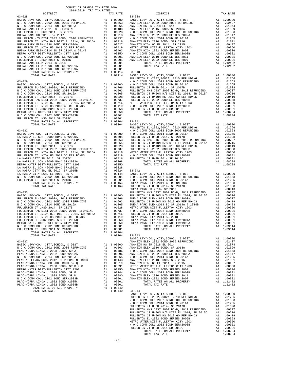| $\begin{tabular}{0.9\textwidth} $N$ 0 C COMM COLL 2014 BOND SR 2016A & $A1$ .01265\nEULERTON TUHSD 2014, SR 2017\nFULLERTON TUHSD 2014, SR 2017\nFULLERTON TUHSD 2014, SR 2017\nFULLERTON TUHSD 2016, SR 2017\nFULLERTON TUHSD 202 BOND, 2010 REFUNDING\nFULLERTON TUNION H/S DIST EL 2014, SR 2015A & $A1$ .00716\nRULLERTON$                                                                                                         |          |                  |                 |
|----------------------------------------------------------------------------------------------------------------------------------------------------------------------------------------------------------------------------------------------------------------------------------------------------------------------------------------------------------------------------------------------------------------------------------------|----------|------------------|-----------------|
|                                                                                                                                                                                                                                                                                                                                                                                                                                        |          |                  |                 |
|                                                                                                                                                                                                                                                                                                                                                                                                                                        |          |                  |                 |
|                                                                                                                                                                                                                                                                                                                                                                                                                                        |          |                  |                 |
|                                                                                                                                                                                                                                                                                                                                                                                                                                        |          |                  |                 |
|                                                                                                                                                                                                                                                                                                                                                                                                                                        |          |                  |                 |
|                                                                                                                                                                                                                                                                                                                                                                                                                                        |          |                  |                 |
|                                                                                                                                                                                                                                                                                                                                                                                                                                        |          |                  |                 |
|                                                                                                                                                                                                                                                                                                                                                                                                                                        |          |                  |                 |
|                                                                                                                                                                                                                                                                                                                                                                                                                                        |          |                  |                 |
|                                                                                                                                                                                                                                                                                                                                                                                                                                        |          |                  |                 |
|                                                                                                                                                                                                                                                                                                                                                                                                                                        |          |                  |                 |
|                                                                                                                                                                                                                                                                                                                                                                                                                                        |          |                  |                 |
|                                                                                                                                                                                                                                                                                                                                                                                                                                        |          |                  |                 |
|                                                                                                                                                                                                                                                                                                                                                                                                                                        |          |                  | FULLERT         |
|                                                                                                                                                                                                                                                                                                                                                                                                                                        |          |                  |                 |
|                                                                                                                                                                                                                                                                                                                                                                                                                                        |          |                  |                 |
|                                                                                                                                                                                                                                                                                                                                                                                                                                        |          |                  |                 |
|                                                                                                                                                                                                                                                                                                                                                                                                                                        |          |                  |                 |
|                                                                                                                                                                                                                                                                                                                                                                                                                                        |          |                  |                 |
|                                                                                                                                                                                                                                                                                                                                                                                                                                        |          |                  |                 |
|                                                                                                                                                                                                                                                                                                                                                                                                                                        |          |                  |                 |
|                                                                                                                                                                                                                                                                                                                                                                                                                                        |          |                  |                 |
|                                                                                                                                                                                                                                                                                                                                                                                                                                        |          |                  |                 |
|                                                                                                                                                                                                                                                                                                                                                                                                                                        |          |                  |                 |
|                                                                                                                                                                                                                                                                                                                                                                                                                                        |          |                  |                 |
|                                                                                                                                                                                                                                                                                                                                                                                                                                        |          |                  |                 |
|                                                                                                                                                                                                                                                                                                                                                                                                                                        |          |                  |                 |
|                                                                                                                                                                                                                                                                                                                                                                                                                                        |          |                  | FULLERT         |
| $03 - 032$                                                                                                                                                                                                                                                                                                                                                                                                                             |          |                  | NOCC            |
|                                                                                                                                                                                                                                                                                                                                                                                                                                        |          |                  |                 |
|                                                                                                                                                                                                                                                                                                                                                                                                                                        |          |                  |                 |
|                                                                                                                                                                                                                                                                                                                                                                                                                                        |          |                  |                 |
|                                                                                                                                                                                                                                                                                                                                                                                                                                        |          |                  |                 |
|                                                                                                                                                                                                                                                                                                                                                                                                                                        |          |                  |                 |
|                                                                                                                                                                                                                                                                                                                                                                                                                                        |          |                  |                 |
|                                                                                                                                                                                                                                                                                                                                                                                                                                        |          |                  |                 |
|                                                                                                                                                                                                                                                                                                                                                                                                                                        |          |                  |                 |
|                                                                                                                                                                                                                                                                                                                                                                                                                                        |          |                  |                 |
|                                                                                                                                                                                                                                                                                                                                                                                                                                        |          |                  |                 |
|                                                                                                                                                                                                                                                                                                                                                                                                                                        |          |                  |                 |
|                                                                                                                                                                                                                                                                                                                                                                                                                                        |          |                  |                 |
|                                                                                                                                                                                                                                                                                                                                                                                                                                        |          |                  |                 |
|                                                                                                                                                                                                                                                                                                                                                                                                                                        |          |                  |                 |
|                                                                                                                                                                                                                                                                                                                                                                                                                                        |          |                  |                 |
|                                                                                                                                                                                                                                                                                                                                                                                                                                        |          |                  |                 |
|                                                                                                                                                                                                                                                                                                                                                                                                                                        |          |                  |                 |
| $03 - 033$                                                                                                                                                                                                                                                                                                                                                                                                                             |          |                  | FULLERT         |
|                                                                                                                                                                                                                                                                                                                                                                                                                                        |          |                  |                 |
| $\begin{tabular}{l c c c c c} \multicolumn{4}{c}{\textbf{BASE}} & \multicolumn{4}{c}{\textbf{EVY-C0.}} & \multicolumn{4}{c}{\textbf{CILLERT}} & \multicolumn{4}{c}{\textbf{WLOLERT}} & \multicolumn{4}{c}{\textbf{FULLERT}} \\ \multicolumn{4}{c}{\textbf{FULLERTON} EL-2002, 2002A, 2010 REFUNDING} & \multicolumn{4}{c}{\textbf{A1}} & .010000 & \multicolumn{4}{c}{\textbf{FULLERT}} \\ \multicolumn{4}{c}{\textbf{N O C COMM COLL$ |          |                  |                 |
|                                                                                                                                                                                                                                                                                                                                                                                                                                        |          |                  |                 |
|                                                                                                                                                                                                                                                                                                                                                                                                                                        |          |                  |                 |
|                                                                                                                                                                                                                                                                                                                                                                                                                                        |          |                  |                 |
|                                                                                                                                                                                                                                                                                                                                                                                                                                        |          |                  |                 |
|                                                                                                                                                                                                                                                                                                                                                                                                                                        |          |                  |                 |
|                                                                                                                                                                                                                                                                                                                                                                                                                                        |          |                  |                 |
|                                                                                                                                                                                                                                                                                                                                                                                                                                        |          |                  |                 |
|                                                                                                                                                                                                                                                                                                                                                                                                                                        |          |                  |                 |
|                                                                                                                                                                                                                                                                                                                                                                                                                                        |          |                  |                 |
|                                                                                                                                                                                                                                                                                                                                                                                                                                        |          |                  |                 |
|                                                                                                                                                                                                                                                                                                                                                                                                                                        |          |                  | BASIC L         |
| $03 - 037$                                                                                                                                                                                                                                                                                                                                                                                                                             |          |                  |                 |
|                                                                                                                                                                                                                                                                                                                                                                                                                                        |          |                  | ANAHEIM         |
| BASIC LEVY-CO., CITY, SCHOOL, & DIST                                                                                                                                                                                                                                                                                                                                                                                                   | A1       | 1.00000          | ANAHEIM         |
| N O C COMM COLL 2002 BOND 2005 REFUNDING                                                                                                                                                                                                                                                                                                                                                                                               | A1       | .01563           | <b>ANAHEIM</b>  |
| PLAC-YORBA LINDA U 2008 BOND, SR A                                                                                                                                                                                                                                                                                                                                                                                                     | A1       | .01486           | NOCC            |
| PLAC-YORBA LINDA U 2002 BOND #2002A<br>N O C COMM COLL 2014 BOND SR 2016A                                                                                                                                                                                                                                                                                                                                                              | A1<br>A1 | .01296<br>.01265 | ANAHEIM<br>NOCC |
| PLAC-YB LINDA USD, 2012 GO REFUNDING BOND                                                                                                                                                                                                                                                                                                                                                                                              | A1       | .01143           | <b>ANAHEIM</b>  |
| PLAC-YORBA LINDA USD 2008 BOND SR Q                                                                                                                                                                                                                                                                                                                                                                                                    | A1       | .00619           | ANAHEIM         |
| PLAC-YORBA LINDA U 2008 BOND, SR B & C                                                                                                                                                                                                                                                                                                                                                                                                 | A1       | .00391           | METRO W         |
| METRO WATER DIST-FULLERTON CITY 1203                                                                                                                                                                                                                                                                                                                                                                                                   | A1       | .00350           | ANAHEIM         |
| PLAC-YORBA LINDA U 2008 BOND, SR E                                                                                                                                                                                                                                                                                                                                                                                                     | A1       | .00244           | NOCC            |
| PLAC-YORBA LINDA U 2008 BOND, SR D                                                                                                                                                                                                                                                                                                                                                                                                     | A1       | .00080           | ANAHEIM         |
| N O C COMM COLL 2002 BOND SER#2003B                                                                                                                                                                                                                                                                                                                                                                                                    | A1       | .00001           | ANAHEIM         |
| PLAC-YORBA LINDA U 2002 BOND #2005C<br>PLAC-YORBA LINDA U 2002 BOND #2004B                                                                                                                                                                                                                                                                                                                                                             | A1<br>A1 | .00001<br>.00001 |                 |

| IURDA LINDA U ZUVZ DU |  |                |                    |
|-----------------------|--|----------------|--------------------|
|                       |  |                | TOTAL RATES ON ALL |
|                       |  | TOTAL TAX RATE |                    |

| COUNTY OF ORANGE TAX RATE BOOK                                                                                                                                                                                                                                                                                                                                                  |          |          |          |
|---------------------------------------------------------------------------------------------------------------------------------------------------------------------------------------------------------------------------------------------------------------------------------------------------------------------------------------------------------------------------------|----------|----------|----------|
|                                                                                                                                                                                                                                                                                                                                                                                 | TAX RATE | DISTRICT | TAX RATE |
|                                                                                                                                                                                                                                                                                                                                                                                 |          |          |          |
|                                                                                                                                                                                                                                                                                                                                                                                 |          |          |          |
|                                                                                                                                                                                                                                                                                                                                                                                 |          |          |          |
|                                                                                                                                                                                                                                                                                                                                                                                 |          |          |          |
|                                                                                                                                                                                                                                                                                                                                                                                 |          |          |          |
|                                                                                                                                                                                                                                                                                                                                                                                 |          |          |          |
|                                                                                                                                                                                                                                                                                                                                                                                 |          |          |          |
|                                                                                                                                                                                                                                                                                                                                                                                 |          |          |          |
|                                                                                                                                                                                                                                                                                                                                                                                 |          |          |          |
|                                                                                                                                                                                                                                                                                                                                                                                 |          |          |          |
|                                                                                                                                                                                                                                                                                                                                                                                 |          |          |          |
|                                                                                                                                                                                                                                                                                                                                                                                 |          |          |          |
|                                                                                                                                                                                                                                                                                                                                                                                 |          |          |          |
|                                                                                                                                                                                                                                                                                                                                                                                 |          |          |          |
|                                                                                                                                                                                                                                                                                                                                                                                 |          |          |          |
|                                                                                                                                                                                                                                                                                                                                                                                 |          |          |          |
|                                                                                                                                                                                                                                                                                                                                                                                 |          |          |          |
|                                                                                                                                                                                                                                                                                                                                                                                 |          |          |          |
|                                                                                                                                                                                                                                                                                                                                                                                 |          |          |          |
|                                                                                                                                                                                                                                                                                                                                                                                 |          |          |          |
|                                                                                                                                                                                                                                                                                                                                                                                 |          |          |          |
|                                                                                                                                                                                                                                                                                                                                                                                 |          |          |          |
|                                                                                                                                                                                                                                                                                                                                                                                 |          |          |          |
|                                                                                                                                                                                                                                                                                                                                                                                 |          |          |          |
|                                                                                                                                                                                                                                                                                                                                                                                 |          |          |          |
|                                                                                                                                                                                                                                                                                                                                                                                 |          |          |          |
|                                                                                                                                                                                                                                                                                                                                                                                 |          |          |          |
|                                                                                                                                                                                                                                                                                                                                                                                 |          |          |          |
|                                                                                                                                                                                                                                                                                                                                                                                 |          |          |          |
|                                                                                                                                                                                                                                                                                                                                                                                 |          |          |          |
|                                                                                                                                                                                                                                                                                                                                                                                 |          |          |          |
|                                                                                                                                                                                                                                                                                                                                                                                 |          |          |          |
|                                                                                                                                                                                                                                                                                                                                                                                 |          |          |          |
|                                                                                                                                                                                                                                                                                                                                                                                 |          |          |          |
|                                                                                                                                                                                                                                                                                                                                                                                 |          |          |          |
|                                                                                                                                                                                                                                                                                                                                                                                 |          |          |          |
|                                                                                                                                                                                                                                                                                                                                                                                 |          |          |          |
|                                                                                                                                                                                                                                                                                                                                                                                 |          |          |          |
|                                                                                                                                                                                                                                                                                                                                                                                 |          |          |          |
|                                                                                                                                                                                                                                                                                                                                                                                 |          |          |          |
|                                                                                                                                                                                                                                                                                                                                                                                 |          |          |          |
|                                                                                                                                                                                                                                                                                                                                                                                 |          |          |          |
|                                                                                                                                                                                                                                                                                                                                                                                 |          |          |          |
|                                                                                                                                                                                                                                                                                                                                                                                 |          |          |          |
|                                                                                                                                                                                                                                                                                                                                                                                 |          |          |          |
|                                                                                                                                                                                                                                                                                                                                                                                 |          |          |          |
|                                                                                                                                                                                                                                                                                                                                                                                 |          |          |          |
|                                                                                                                                                                                                                                                                                                                                                                                 |          |          |          |
|                                                                                                                                                                                                                                                                                                                                                                                 |          |          |          |
|                                                                                                                                                                                                                                                                                                                                                                                 |          |          |          |
|                                                                                                                                                                                                                                                                                                                                                                                 |          |          |          |
|                                                                                                                                                                                                                                                                                                                                                                                 |          |          |          |
|                                                                                                                                                                                                                                                                                                                                                                                 |          |          |          |
|                                                                                                                                                                                                                                                                                                                                                                                 |          |          |          |
|                                                                                                                                                                                                                                                                                                                                                                                 |          |          |          |
|                                                                                                                                                                                                                                                                                                                                                                                 |          |          |          |
| $\begin{tabular}{cccc} 1.09204 & 03-037 & 1.09114 & 1.00000 \\ \texttt{RAC LEVY-CO}, CITY, SCHOOL, & E DIST & RASIC LEVY-CO, CITY, SCHOOL, & E DIST \\ \texttt{RAC-CORBA LIMDA 12002 BOND 2005 REVINDING & A1 & 1.00000 \\ \texttt{NAC COMM COLL 2012 BORD 2005 REVINDING} & A1 & 1.00000 \\ \texttt{MAC COMM COLL 2014 BORD 2005 REVINDING} & A1 & 0.1563 \\ \texttt{PLAC-COR$ |          |          |          |
|                                                                                                                                                                                                                                                                                                                                                                                 |          |          |          |
|                                                                                                                                                                                                                                                                                                                                                                                 |          |          |          |
|                                                                                                                                                                                                                                                                                                                                                                                 |          |          |          |
|                                                                                                                                                                                                                                                                                                                                                                                 |          |          |          |
|                                                                                                                                                                                                                                                                                                                                                                                 |          |          |          |
|                                                                                                                                                                                                                                                                                                                                                                                 |          |          |          |
|                                                                                                                                                                                                                                                                                                                                                                                 |          |          |          |
|                                                                                                                                                                                                                                                                                                                                                                                 |          |          |          |
|                                                                                                                                                                                                                                                                                                                                                                                 |          |          |          |
|                                                                                                                                                                                                                                                                                                                                                                                 |          |          |          |
|                                                                                                                                                                                                                                                                                                                                                                                 |          |          |          |
|                                                                                                                                                                                                                                                                                                                                                                                 |          |          |          |
|                                                                                                                                                                                                                                                                                                                                                                                 |          |          |          |
|                                                                                                                                                                                                                                                                                                                                                                                 |          |          |          |
|                                                                                                                                                                                                                                                                                                                                                                                 |          |          |          |
|                                                                                                                                                                                                                                                                                                                                                                                 |          |          |          |
|                                                                                                                                                                                                                                                                                                                                                                                 |          |          |          |
|                                                                                                                                                                                                                                                                                                                                                                                 |          |          |          |
|                                                                                                                                                                                                                                                                                                                                                                                 |          |          |          |
|                                                                                                                                                                                                                                                                                                                                                                                 |          |          |          |
|                                                                                                                                                                                                                                                                                                                                                                                 |          |          |          |
|                                                                                                                                                                                                                                                                                                                                                                                 |          |          |          |
|                                                                                                                                                                                                                                                                                                                                                                                 |          |          |          |
|                                                                                                                                                                                                                                                                                                                                                                                 |          |          |          |
|                                                                                                                                                                                                                                                                                                                                                                                 |          |          |          |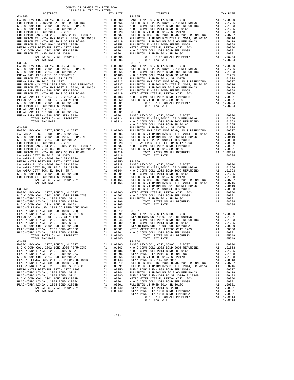| COUNTY OF ORANGE TAX RATE BOOK      |         |                        |          |
|-------------------------------------|---------|------------------------|----------|
| 2018-2019 TRA TAX RATES<br>DISTRICT |         | THES TAX RATE DISTRICT | TAX RATE |
| $03 - 045$                          |         | $03 - 055$             |          |
|                                     |         |                        |          |
|                                     |         |                        |          |
|                                     |         |                        |          |
|                                     |         |                        |          |
|                                     |         |                        |          |
|                                     |         |                        |          |
|                                     |         |                        |          |
|                                     |         |                        |          |
|                                     |         |                        |          |
|                                     |         |                        |          |
|                                     |         |                        |          |
|                                     |         |                        |          |
|                                     |         | $03 - 057$             |          |
|                                     |         |                        |          |
|                                     |         |                        |          |
|                                     |         |                        |          |
|                                     |         |                        |          |
|                                     |         |                        |          |
|                                     |         |                        |          |
|                                     |         |                        |          |
|                                     |         |                        |          |
|                                     |         |                        |          |
|                                     |         |                        |          |
|                                     |         |                        |          |
|                                     |         |                        |          |
|                                     |         |                        |          |
|                                     |         |                        |          |
|                                     |         |                        |          |
|                                     |         |                        |          |
|                                     |         |                        |          |
|                                     |         |                        |          |
|                                     |         |                        |          |
|                                     |         |                        |          |
|                                     |         |                        |          |
|                                     |         |                        |          |
|                                     |         |                        |          |
|                                     |         |                        |          |
|                                     |         |                        |          |
|                                     |         |                        |          |
|                                     |         |                        |          |
|                                     |         |                        |          |
|                                     |         |                        |          |
|                                     |         |                        |          |
|                                     |         |                        |          |
|                                     |         |                        |          |
|                                     |         |                        |          |
|                                     |         |                        |          |
|                                     |         |                        |          |
|                                     |         |                        |          |
|                                     |         |                        |          |
|                                     |         |                        |          |
|                                     |         |                        |          |
|                                     |         |                        |          |
|                                     |         |                        |          |
|                                     |         |                        |          |
|                                     |         |                        |          |
|                                     |         |                        |          |
|                                     |         |                        |          |
|                                     |         |                        |          |
|                                     |         |                        |          |
|                                     |         |                        |          |
|                                     |         |                        |          |
| TOTAL TAX RATE                      | 1.08440 | TOTAL TAX RATE         | 1.05549  |
| $03 - 051$                          |         | $03 - 064$             |          |
|                                     |         |                        |          |
|                                     |         |                        |          |
|                                     |         |                        |          |
|                                     |         |                        |          |
|                                     |         |                        |          |
|                                     |         |                        |          |
|                                     |         |                        |          |
|                                     |         |                        |          |
|                                     |         |                        |          |
|                                     |         |                        |          |
|                                     |         |                        |          |
|                                     |         |                        |          |
|                                     |         |                        |          |

 BASIC LEVY-CO., CITY,SCHOOL, & DIST A1 1.00000 BASIC LEVY-CO., CITY,SCHOOL, & DIST A1 1.00000 FULLERTON EL-2002,2002A, 2010 REFUNDING A1 .01766 FULLERTON EL-2002,2002A, 2010 REFUNDING A1 .01766 N O C COMM COLL 2002 BOND 2005 REFUNDING A1 .01563 N O C COMM COLL 2002 BOND 2005 REFUNDING A1 .01563 N O C COMM COLL 2014 BOND SR 2016A A1 .01265 N O C COMM COLL 2014 BOND SR 2016A A1 .01265 FULLERTON JT UHSD 2014, SR 2017B A1 .01028 FULLERTON JT UHSD 2014, SR 2017B A1 .01028 FULLERTON H/S DIST 2002 BOND, 2010 REFUNDING A1 .00737 FULLERTON H/S DIST 2002 BOND, 2010 REFUNDING A1 .00737 FULLERTON JT UNION H/S DIST EL 2014, SR 2015A A1 .00716 FULLERTON JT UNION H/S DIST EL 2014, SR 2015A A1 .00716 FULLERTON JT UNION HS 2013 GO REF BONDS A1 .00419 FULLERTON JT UNION HS 2013 GO REF BONDS A1 .00419 FULLERTON EL-2002 BOND SERIES 2005B A1 .00358 FULLERTON EL-2002 BOND SERIES 2005B A1 .00358 METRO WATER DIST-FULLERTON CITY 1203<br>NO C COMM COLL 2002 BORD ER#2003B A1 00001 NO COMM COLL 2002 BORD SER#2003B<br>FULLERTON JT UHSD 2014 SR 2018C A1 00001 FULLERTON JT UHSD 2014 SR 2018C A1 00001<br>FULLERTON JT UHSD 2014 SR 2 TOTAL RATES ON ALL PROPERTY A1 1.08204 TOTAL RATES ON ALL PROPERTY A1 1.08204 TOTAL TAX RATE 1.08204 TOTAL TAX RATE 1.08204 03-057 10000 BASIC LEVY-CO., CITY, SCHOOL, & DIST 2010<br>1966 BASIC LEVY-CO., CITY, SCHOOL, & DIST 2010<br>11265 NOC COMM COLL 2002 BOND 2005 REFUNDING A1 01563 N O C COMM COLL 2002 BOND 2005 REFUNDING A1 .01563 FULLERTON EL-2002,2002A, 2010 REFUNDING A1 .01766 N O C COMM COLL 2014 BOND SR 2016A A1 .01265 N O C COMM COLL 2002 BOND 2005 REFUNDING A1 .01563 EUENA PARK ELEM-2011 GO REFUNDING 1. AL 01026 N OC COMM COLL 2014 BORD FULLERTON JT UHSD 2014, SR 2017B A1 .01026<br>FULLERTON H/S DES PULLERTON H/S DES 2017B A1 .01028<br>EUENA PARK SD 2016, SR 2017<br>FULLERTON H/S DIST 200 REFUN BUENA PARK ELEM-1998 BOND SER#2000A A1 .00527 FULLERTON EL-2002 BOND SERIES 2005B A1 .00358 FULLERTON JT UNION HS 2013 GO REF BONDS A1 .00419 METRO WATER DIST-FULLERTON CITY 1203 A1 .00350 BUENA PARK ELEM-2014 BD SR 2014A & 2014B A1 .00403 N O C COMM COLL 2002 BOND SER#2003B A1 .00001 METRO WATER DIST-FULLERTON CITY 1203 A1 .00350 FULLERTON JT UHSD 2014 SR 2018C A1 .00001 N O C COMM COLL 2002 BOND SER#2003B A1 .00001 TOTAL RATES ON ALL PROPERTY A1 1.08204  $1.08204$   $1.08204$   $1.08204$ 0001 03-058<br>1998 BASIC LEVY-CO., CITY, SCHOOL, & DIST 21 1.00000<br>9114 NOC COMM COLL 2002 BOND 2005 REFUNDING A1 .01563 TOTAL RATES ON ALL PROPERTY A1 1.09114 FULLERTON EL-2002,2002A, 2010 REFUNDING A1 .01766 TOTAL TAX RATE 1.09114 N O C COMM COLL 2002 BOND 2005 REFUNDING A1 .01563 N O C COMM COLL 2014 BOND SR 2016A A1 .01265 2000 FULLERTON JT UHSD 2014, SR 2017B A1 .01028<br>0000 FULLERTON H/S DIST 2002 BOND, 2010 REFUNDING A1 .00737 BASIC LEVY-CO., CITY,SCHOOL, & DIST A1 1.00000 FULLERTON H/S DIST 2002 BOND, 2010 REFUNDING A1 .00737 LA HABRA EL SCH -2000 BOND SR#2000A A1 .01604 FULLERTON JT UNION H/S DIST EL 2014, SR 2015A A1 .00716 N O C COMM COLL 2002 BOND 2005 REFUNDING A1 .01563 FULLERTON JT UNION HS 2013 GO REF BONDS A1 .00419 N O C COMM COLL 2014 BOND SR 2016A A1 .01265 FULLERTON EL-2002 BOND SERIES 2005B A1 .00358 FULLERTON JT UHSD 2014, SR 2017B A1 .01028 METRO WATER DIST-FULLERTON CITY 1203 A1 .00350 FULLERTON H/S DIST 2002 BOND, 2010 REFUNDING A1 .00737 N O C COMM COLL 2002 BOND SER#2003B A1 .00001<br>FULLERTON JT UNION H/S DIST EL 2014, SR 2015A A1 .00716 FULLERTON JT UHSD 2014 SR 2018C A1 .00001<br>FULLERTON JT UNION HS 2 0350 03-059<br>10350 BASIC LEVY-CO., CITY, SCHOOL, & DIST -2001<br>10224 FULLERTON EL-2002, 2002A, 2010 REFUNDING -2011 017663<br>10144 N.O.C. COMM COLL, 2002 ROND 2005 REFUNDING -2012 -01563 LA HABRA CITY SD, EL 2012, SR 2015B A1 .00224 FULLERTON EL-2002,2002A, 2010 REFUNDING A1 .01766 LA HABRA CITY SCH, EL 2012, SR A A1 .00144 N O C COMM COLL 2002 BOND 2005 REFUNDING A1 .01563 N O C COMM COLL 2002 BOND SER#2003B A1 .00001 N O C COMM COLL 2014 BOND SR 2016A A1 .01265 FULLERTON JT UHSD 2014 SR 2018C A1 .00001 FULLERTON JT UHSD 2014, SR 2017B A1 .01028 TOTAL RATES ON ALL PROPERTY A1 1.09164 FULLERTON H/S DIST 2002 BOND, 2010 REFUNDING A1 .00737 0011. TAX RATE 1.09164 FULLERTON JT UNION H/S DIST EL 2014, SR 2015A A1<br>10011. TODA FULLERTON JT UNION HS 2013 GO REF BONDS 03-050 FULLERTON EL-2002 BOND SERIES 2005B A1 .00358 BASIC LEVY-CO., CITY,SCHOOL, & DIST A1 1.00000 METRO WATER DIST-FULLERTON CITY 1203 A1 .00350 N O C COMM COLL 2002 BOND 2005 REFUNDING A1 .01563 N O C COMM COLL 2002 BOND SER#2003B A1 .00001 PLAC-YORBA LINDA U 2008 BOND, SR A A1 .01486 FULLERTON JT UHSD 2014 SR 2018C A1 .00001 PLAC-YORBA LINDA U 2002 BOND #2002A A1 .01296 TOTAL RATES ON ALL PROPERTY A1 1.08204 N O C COMM COLL 2014 BOND SR 2016A A1 .01265 TOTAL TAX RATE 1.08204 PLAC-YORBA LINDA U 2008 BOND, SR B & C A1 .00391 BASIC LEVY-CO., CITY,SCHOOL, & DIST A1 1.00000 METRO WATER DIST-FULLERTON CITY 1203 A1 .00350 BREA OLINDA USD-1999, 2010 REFUNDING A1 .01681 PLAC-YORBA LINDA U 2008 BOND, SR E A1 .00244 N O C COMM COLL 2002 BOND 2005 REFUNDING A1 .01563 PLAC-YORBA LINDA U 2008 BOND, SR D A1 .00080 N O C COMM COLL 2014 BOND SR 2016A A1 .01265 N O COLL 2003 BREA OLINDA UNIF-1999 BOND SR 2003A A1 .00689<br>N METRO WATER DIST-FULLERTON CITY 1203 PLAC-YORBA LINDA U 2002 BOND #2005C A1 .00001 METRO WATER DIST-FULLERTON CITY 1203 A1 .00350 PLAC-YORBA LINDA U 2002 BOND #2004B A1 .00001 N O C COMM COLL 2002 BOND SER#2003B A1 .00001 TOTAL RATES ON ALL PROPERTY A1 1.05549<br>18440 TOTAL RATES ON ALL PROPERTY A1 1.05549 TOTAL TAX RATE 1.08440 TOTAL TAX RATE 1.05549 BASIC LEVY-CO., CITY,SCHOOL, & DIST A1 1.00000 BASIC LEVY-CO., CITY,SCHOOL, & DIST A1 1.00000 N O C COMM COLL 2002 BOND 2005 REFUNDING A1 .01563 N O C COMM COLL 2002 BOND 2005 REFUNDING A1 .01563 PLAC-YORBA LINDA U 2008 BOND, SR A A1 .01486 N O C COMM COLL 2014 BOND SR 2016A A1 .01265  $\begin{tabular}{l|c|c|c|c|c|c} \multicolumn{4}{c|c|c|c} \multicolumn{4}{c|c|c} \multicolumn{4}{c|c|c} \multicolumn{4}{c|c|c} \multicolumn{4}{c|c|c} \multicolumn{4}{c|c|c} \multicolumn{4}{c|c|c} \multicolumn{4}{c|c|c} \multicolumn{4}{c|c|c} \multicolumn{4}{c|c|c} \multicolumn{4}{c|c|c} \multicolumn{4}{c|c|c} \multicolumn{4}{c|c|c} \multicolumn{4}{c|c|c} \multicolumn{4}{c|c|c} \multic$  N O C COMM COLL 2002 BOND SER#2003B A1 .00001 METRO WATER DIST-FULLERTON CITY 1203 A1 .00350 PLAC-YORBA LINDA U 2002 BOND #2005C A1 .00001 N O C COMM COLL 2002 BOND SER#2003B A1 .00001 PLACE-YORBA LINDA U 2002 BOND #2004B A1 .00001 FULLERTON JT UHSD 2014 SR 2018C A1 .00001 FULLERTON JT UHSD 2014 SR 2018C A1 .00001<br>POTAL RATES ON ALL PROPERTY A1 1.08440 BUENA PARK ELEM-2014 SR 2018 A1 .00001 TOTAL RATES O TOTAL RATES ON ALL PROPERTY A1 1.08440 BUENA PARK ELEM-2014 SR 2018 A1 .00001 TOTAL TAX RATE 1.08440 BUENA PARK ELEM-1998 BOND SER#2001A A1 .00001 BUENA PARK ELEM-1998 BOND SER#1999A A1 .00001 TOTAL RATES ON ALL PROPERTY A1 1.09114<br>TOTAL TAX RATE 1.09114 TOTAL TAX RATE 1.09114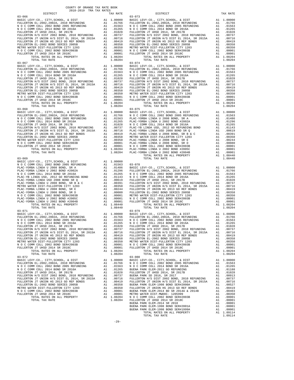| COUNTY OF ORANGE TAX RATE BOOK<br>$2018-2019 \quad \text{TRA RATE} \label{eq:2018-2019}$ DISTRICT $$\tt 2018-2019$$                                                                                                                                                                                                                                                                                                | TAX RATE                         | DISTRICT                                                                                                                                                                                                                                                                                                                                                                                                                                                                                                                                                                                                                                                                                                                                                                                                                                                                                              | TAX RATE                                         |
|--------------------------------------------------------------------------------------------------------------------------------------------------------------------------------------------------------------------------------------------------------------------------------------------------------------------------------------------------------------------------------------------------------------------|----------------------------------|-------------------------------------------------------------------------------------------------------------------------------------------------------------------------------------------------------------------------------------------------------------------------------------------------------------------------------------------------------------------------------------------------------------------------------------------------------------------------------------------------------------------------------------------------------------------------------------------------------------------------------------------------------------------------------------------------------------------------------------------------------------------------------------------------------------------------------------------------------------------------------------------------------|--------------------------------------------------|
| $03 - 066$                                                                                                                                                                                                                                                                                                                                                                                                         |                                  | $03 - 073$                                                                                                                                                                                                                                                                                                                                                                                                                                                                                                                                                                                                                                                                                                                                                                                                                                                                                            |                                                  |
| $03 - 067$                                                                                                                                                                                                                                                                                                                                                                                                         |                                  | $03 - 074$<br>$\begin{tabular}{cccc} 03-067 & 1074 \text{L} \text{ } 1.08204 & 1.08204 & 1.08204 & 1.08204 & 1.08204 & 1.08204 & 1.08204 & 1.08204 & 1.08204 & 1.08204 & 1.08204 & 1.08204 & 1.08204 & 1.08204 & 1.08204 & 1.08204 & 1.08204 & 1.08204 & 1.08204 & 1.08204 & 1.08204 & $                                                                                                                                                                                                                                                                                                                                                                                                                                                                                                                                                                                                              |                                                  |
| $03 - 069$                                                                                                                                                                                                                                                                                                                                                                                                         |                                  | TOTAL TAX RATE                                                                                                                                                                                                                                                                                                                                                                                                                                                                                                                                                                                                                                                                                                                                                                                                                                                                                        | 1.08440                                          |
|                                                                                                                                                                                                                                                                                                                                                                                                                    |                                  |                                                                                                                                                                                                                                                                                                                                                                                                                                                                                                                                                                                                                                                                                                                                                                                                                                                                                                       |                                                  |
| N O C COMM COLL 2014 BOND SR 2016A<br>${\tt FULLERTON\ H/S\ DIST\ 2002\ BOND,\ 2010\ REFUNDING\quad\quad A1\quad .01028$ ${\tt FULLERTON\ H/S\ DIST\ 2002\ BOND,\ 2010\ REFUNDING\quad\quad A1\quad .00737}$<br>FULLERTON EL-2002 BOND SERIES 2005B                                                                                                                                                                | $A1 \t .01265$<br>$A1 \t .01200$ | N O C COMM COLL 2014 BOND SR 2016A<br>FULLERTON JT UHSD 2014, SR 2017B<br>00737 FULLERTON H/S DIST 2002 BOND, 2010 REFUNDING A1 .00737 FULLERTON H/S DIST 2002 BOND, 2010 REFUNDING A1 .00737<br>FULLERTON JT UNION H/S DIST EL 2014, SR 2015A A1 .00716 FULLERTON JT UNION H/S DIST EL 2014, SR 2015A A1 .<br>FULLERTON JT UNION HS 2013 GO REF BONDS A1 .00419 FULLERTON JT UNION HS 2013 GO REF BONDS<br>A1 .00358 FULLERTON EL-2002 BOND SERIES 2005B<br>$\begin{tabular}{l c c c c c} {\tt NELERTON} & E-D(022) {\tt BOND} {\tt SEDIST-PULLERTON} {\tt ETLO} {\tt NETRO} {\tt NAL} {\tt D0150} {\tt NCLLERTON} {\tt TCTAL} {\tt ERTON} {\tt TCTAL} {\tt NETRO} {\tt NATED} {\tt DST-PULLERTON} {\tt TCTAL} {\tt NATED} {\tt NCTCLERTON} {\tt TCTAL} {\tt NATED} {\tt NCTCLD} {\tt NATED} {\tt NCTCLD} {\tt NATED} {\tt NCTCLD} {\tt NATED} {\tt NCTCLD} {\tt NATED} {\tt NCTCLD} {\tt NATED} {\$ | A1 .00419<br>A1 .00358                           |
| $03 - 072$<br>${\tt FULLERTON\ JT\ UHSD\ 2014,\ SR\ 2017B} \\\hspace*{1.5in} \text{AU} \\\hspace*{1.5in} \text{AU} \\\hspace*{1.5in} \text{A1} \\\hspace*{1.5in} \text{.01028} \\\hspace*{1.5in} \text{FULERTON\ JT\ UHSD\ 2014, SR\ 2017} \\ \text{A1} \\\hspace*{1.5in} \text{.00737} \\\hspace*{1.5in} \text{BUENA\ PARK\ SD\ 2016, SR\ 2017} \\\hspace*{1.5in} \text{S$<br>FULLERTON EL-2002 BOND SERIES 2005B |                                  | $03 - 080$<br>A1 .01265 BUENA PARK ELEM-2011 GO REFUNDING A1 .01265 BUENA PARK ELEM-2011 GO REFUNDING A1 .01188<br>A1 .01028 FULLERTON JT UHSD 2014, SR 2017B A1 .01028<br>A1 .00737 BUENA PARK SD 2016, SR 2017<br>${\tt FULERTON~H/S~DIST~2002~BOND,~2010~REFUNDING~~\newline A1~~.00737~~\text{BURB}~PARK~SD~2016,~SR~2017~~\newline A1~~.00913~\newline FULLERTON~JT~UNDING~~\newline A1~~.00737~\newline A2010~REFUNDING~~\newline A1~~.00737~\newline A2010~REFUNDING~~\newline A3~~.00737~\newline A4~~.00737~\newline A5~~.00737~\newline A6~~.00737~\newline A7~.00737~\newline A8~.00737~\newline A9$<br>00716. FULLERTON JT UNION HS 2013 GO REF BONDS A1 .00419 FULLERTON JT UNION H/S DIST EL 2014, SR 2015A A1<br>A1 .00358 BUENA PARK ELEM-1998 BOND SER#2000A                                                                                                                         | A1 .00527<br>A1 .00419<br>A1 .00403<br>A1 .00350 |

| DT2.LKTC.L                                              |         | DT2.LKTC.L                                                                                                                                                                                                                                                   |         |
|---------------------------------------------------------|---------|--------------------------------------------------------------------------------------------------------------------------------------------------------------------------------------------------------------------------------------------------------------|---------|
| $03 - 066$                                              |         | $03 - 073$                                                                                                                                                                                                                                                   |         |
|                                                         |         |                                                                                                                                                                                                                                                              |         |
| $03 - 067$                                              |         | $03 - 074$                                                                                                                                                                                                                                                   |         |
|                                                         |         |                                                                                                                                                                                                                                                              |         |
|                                                         |         |                                                                                                                                                                                                                                                              |         |
| $03 - 068$                                              |         | $03 - 075$                                                                                                                                                                                                                                                   |         |
|                                                         |         |                                                                                                                                                                                                                                                              |         |
|                                                         |         |                                                                                                                                                                                                                                                              |         |
|                                                         |         |                                                                                                                                                                                                                                                              |         |
|                                                         |         |                                                                                                                                                                                                                                                              |         |
|                                                         |         |                                                                                                                                                                                                                                                              |         |
|                                                         |         |                                                                                                                                                                                                                                                              |         |
|                                                         |         |                                                                                                                                                                                                                                                              |         |
|                                                         |         | TOTAL TAX RATE                                                                                                                                                                                                                                               | 1.08440 |
|                                                         |         |                                                                                                                                                                                                                                                              |         |
|                                                         |         |                                                                                                                                                                                                                                                              |         |
|                                                         |         |                                                                                                                                                                                                                                                              |         |
|                                                         |         |                                                                                                                                                                                                                                                              |         |
|                                                         |         |                                                                                                                                                                                                                                                              |         |
|                                                         |         |                                                                                                                                                                                                                                                              |         |
|                                                         |         |                                                                                                                                                                                                                                                              |         |
|                                                         |         |                                                                                                                                                                                                                                                              |         |
|                                                         |         |                                                                                                                                                                                                                                                              |         |
| TOTAL TAX RATE<br>$03 - 071$                            | 1.08440 | TOTAL TAX RATE<br>$03 - 079$                                                                                                                                                                                                                                 | 1.08204 |
|                                                         |         |                                                                                                                                                                                                                                                              |         |
|                                                         |         |                                                                                                                                                                                                                                                              |         |
|                                                         |         |                                                                                                                                                                                                                                                              |         |
| FULLERTON H/S DIST 2002 BOND, 2010 REFUNDING A1 .00737  |         | FULLERTON H/S DIST 2002 BOND, 2010 REFUNDING A1 .00737                                                                                                                                                                                                       |         |
| FULLERTON JT UNION H/S DIST EL 2014, SR 2015A A1 .00716 |         | FULLERTON JT UNION H/S DIST EL 2014, SR 2015A A1 .00716                                                                                                                                                                                                      |         |
|                                                         |         |                                                                                                                                                                                                                                                              |         |
|                                                         |         |                                                                                                                                                                                                                                                              |         |
| TOTAL TAX RATE                                          | 1.08204 | FULLERTON JI UNION HS 2013 GO REF BONDS<br>FULLERTON TUNION HS 2013 GO REF BONDS<br>FULLERTON EL-2002 BOND SERIES 2005B<br>FULLERTON EL-2002 BOND SERIES 2005B<br>MICRON RETRON NETRON CITY 1203<br>MICRON COLL 2002 BOND SERIES 2005B<br><br>TOTAL TAX RATE | 1.08204 |
| $03 - 072$                                              |         | $03 - 080$                                                                                                                                                                                                                                                   |         |
|                                                         |         |                                                                                                                                                                                                                                                              |         |
|                                                         |         |                                                                                                                                                                                                                                                              |         |
|                                                         |         |                                                                                                                                                                                                                                                              |         |
|                                                         |         |                                                                                                                                                                                                                                                              |         |
|                                                         |         |                                                                                                                                                                                                                                                              |         |
|                                                         |         |                                                                                                                                                                                                                                                              |         |
|                                                         |         |                                                                                                                                                                                                                                                              |         |
|                                                         |         |                                                                                                                                                                                                                                                              |         |
|                                                         |         |                                                                                                                                                                                                                                                              |         |
|                                                         |         |                                                                                                                                                                                                                                                              |         |
|                                                         |         | TOTAL TAX RATE                                                                                                                                                                                                                                               | 1.09114 |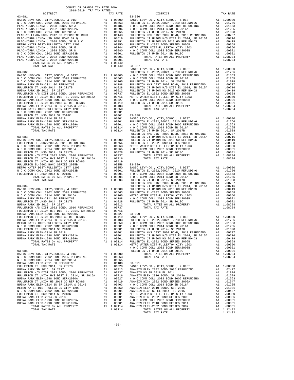| COUNTY OF ORANGE TAX RATE BOOK<br>$2018-2019 \quad \text{TRA RATES}$ DISTRICT $\hspace{2.5cm}$ |          |            |          |
|------------------------------------------------------------------------------------------------|----------|------------|----------|
|                                                                                                | TAX RATE | DISTRICT   | TAX RATE |
| $03 - 081$                                                                                     |          | $03 - 086$ |          |
|                                                                                                |          |            |          |
|                                                                                                |          |            |          |
|                                                                                                |          |            |          |
|                                                                                                |          |            |          |
|                                                                                                |          |            |          |
|                                                                                                |          |            |          |
|                                                                                                |          |            |          |
|                                                                                                |          |            |          |
|                                                                                                |          |            |          |
|                                                                                                |          |            |          |
|                                                                                                |          |            |          |
|                                                                                                |          |            |          |
|                                                                                                |          |            |          |
|                                                                                                |          |            |          |
|                                                                                                |          |            |          |
|                                                                                                |          |            |          |
|                                                                                                |          |            |          |
|                                                                                                |          |            |          |
|                                                                                                |          |            |          |
|                                                                                                |          |            |          |
|                                                                                                |          |            |          |
|                                                                                                |          |            |          |
|                                                                                                |          |            |          |
|                                                                                                |          |            |          |
|                                                                                                |          |            |          |
|                                                                                                |          |            |          |
|                                                                                                |          |            |          |
|                                                                                                |          |            |          |
|                                                                                                |          |            |          |
|                                                                                                |          |            |          |
|                                                                                                |          |            |          |
|                                                                                                |          |            |          |
|                                                                                                |          |            |          |
|                                                                                                |          |            |          |
|                                                                                                |          |            |          |
|                                                                                                |          |            |          |
|                                                                                                |          |            |          |
|                                                                                                |          |            |          |
|                                                                                                |          |            |          |
|                                                                                                |          |            |          |
|                                                                                                |          |            |          |
|                                                                                                |          |            |          |
|                                                                                                |          |            |          |
|                                                                                                |          |            |          |
|                                                                                                |          |            |          |
|                                                                                                |          |            |          |
|                                                                                                |          |            |          |
|                                                                                                |          |            |          |
|                                                                                                |          |            |          |
|                                                                                                |          |            |          |
|                                                                                                |          |            |          |
|                                                                                                |          |            |          |
|                                                                                                |          |            |          |
|                                                                                                |          |            |          |
|                                                                                                |          |            |          |
|                                                                                                |          |            |          |
|                                                                                                |          |            |          |
|                                                                                                |          |            |          |
|                                                                                                |          |            |          |
|                                                                                                |          |            |          |
|                                                                                                |          |            |          |
|                                                                                                |          |            |          |
|                                                                                                |          |            |          |
|                                                                                                |          |            |          |
|                                                                                                |          |            |          |
|                                                                                                |          |            |          |
|                                                                                                |          |            |          |
|                                                                                                |          |            |          |
|                                                                                                |          |            |          |
|                                                                                                |          |            |          |
|                                                                                                |          |            |          |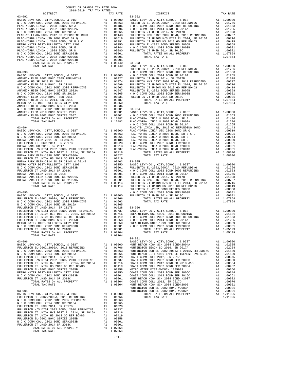|                                                                                                                                                                                                                                                                                                                                                                                      |                           |                                                      | FULLERT                       |
|--------------------------------------------------------------------------------------------------------------------------------------------------------------------------------------------------------------------------------------------------------------------------------------------------------------------------------------------------------------------------------------|---------------------------|------------------------------------------------------|-------------------------------|
|                                                                                                                                                                                                                                                                                                                                                                                      |                           |                                                      |                               |
|                                                                                                                                                                                                                                                                                                                                                                                      |                           |                                                      |                               |
|                                                                                                                                                                                                                                                                                                                                                                                      |                           |                                                      |                               |
| $03 - 094$                                                                                                                                                                                                                                                                                                                                                                           |                           |                                                      | NOCC<br>PLAC-YB               |
|                                                                                                                                                                                                                                                                                                                                                                                      |                           |                                                      |                               |
|                                                                                                                                                                                                                                                                                                                                                                                      |                           |                                                      |                               |
|                                                                                                                                                                                                                                                                                                                                                                                      |                           |                                                      |                               |
|                                                                                                                                                                                                                                                                                                                                                                                      |                           |                                                      | FULLERT                       |
|                                                                                                                                                                                                                                                                                                                                                                                      |                           |                                                      |                               |
|                                                                                                                                                                                                                                                                                                                                                                                      |                           |                                                      |                               |
|                                                                                                                                                                                                                                                                                                                                                                                      |                           |                                                      |                               |
| $\textrm{RMIC LEVY-CO.}, \hspace{0.2cm} \textrm{CTTY}, \textrm{SCHOOL}, \hspace{0.2cm} \textrm{c DIST} \hspace{1.5cm} \textrm{MAI} \hspace{1.5cm} \textrm{1.00000} \hspace{1.5cm} \textrm{BASIC L} \hspace{1.5cm} \textrm{RMIC L} \hspace{1.5cm} \textrm{BASIC L} \hspace{1.5cm} \textrm{MIST} \hspace{1.5cm} \textrm{RISTC} \hspace{1.5cm} \textrm{M1} \hspace{1.5cm} \textrm{1.00$ |                           |                                                      | $04 - 001$                    |
|                                                                                                                                                                                                                                                                                                                                                                                      |                           |                                                      |                               |
|                                                                                                                                                                                                                                                                                                                                                                                      |                           |                                                      |                               |
| TOTAL TAX RATE<br>$03 - 901$<br>BASIC LEVY-CO., CITY, SCHOOL, & DIST                                                                                                                                                                                                                                                                                                                 |                           | 1.08204<br>A1 1.00000                                | HUNT BE<br>HUNTING<br>HUNTING |
| N O C COMM COLL 2002 BOND SER#2003B<br>FULLERTON JT UHSD 2014 SR 2018C                                                                                                                                                                                                                                                                                                               | $\mathbf{A}1$<br>A1<br>A1 | .01766<br>.01563<br>A1 .01265<br>.00001<br>A1 .00001 |                               |
| TOTAL RATES ON ALL PROPERTY<br>TOTAL TAX RATE                                                                                                                                                                                                                                                                                                                                        |                           | A1 1.07854<br>1.07854<br>$-31-$                      |                               |

| COUNTY OF ORANGE TAX RATE BOOK<br>$2018-2019 \quad \text{TRA RATE} \label{eq:Q018-2019}$ DISTRICT $$\tt 2018-2019$$ |          |                                                                                                                                                                                                                                                                                                                                                                  |          |
|---------------------------------------------------------------------------------------------------------------------|----------|------------------------------------------------------------------------------------------------------------------------------------------------------------------------------------------------------------------------------------------------------------------------------------------------------------------------------------------------------------------|----------|
| $03 - 092$                                                                                                          | TAX RATE | DISTRICT<br>$03 - 902$                                                                                                                                                                                                                                                                                                                                           | TAX RATE |
|                                                                                                                     |          | $\begin{tabular}{cccc} \textbf{0.3--092} & \textbf{0.3--092} & \textbf{0.4--074} & \textbf{0.5--092} & \textbf{0.4--074} & \textbf{0.5--002} & \textbf{0.4--074} & \textbf{0.5--002} & \textbf{0.5--002} & \textbf{0.5--002} & \textbf{0.5--002} & \textbf{0.5--002} & \textbf{0.5--002} & \textbf{0.5--002} & \textbf{0.5--002} & \textbf{0.5--002} & \textbf{$ |          |
|                                                                                                                     |          |                                                                                                                                                                                                                                                                                                                                                                  |          |
|                                                                                                                     |          |                                                                                                                                                                                                                                                                                                                                                                  |          |
|                                                                                                                     |          |                                                                                                                                                                                                                                                                                                                                                                  |          |
|                                                                                                                     |          |                                                                                                                                                                                                                                                                                                                                                                  |          |
|                                                                                                                     |          |                                                                                                                                                                                                                                                                                                                                                                  |          |
|                                                                                                                     |          |                                                                                                                                                                                                                                                                                                                                                                  |          |
|                                                                                                                     |          |                                                                                                                                                                                                                                                                                                                                                                  |          |
|                                                                                                                     |          |                                                                                                                                                                                                                                                                                                                                                                  |          |
|                                                                                                                     |          |                                                                                                                                                                                                                                                                                                                                                                  |          |
|                                                                                                                     |          |                                                                                                                                                                                                                                                                                                                                                                  |          |
|                                                                                                                     |          |                                                                                                                                                                                                                                                                                                                                                                  |          |
|                                                                                                                     |          |                                                                                                                                                                                                                                                                                                                                                                  |          |
|                                                                                                                     |          |                                                                                                                                                                                                                                                                                                                                                                  |          |
|                                                                                                                     |          |                                                                                                                                                                                                                                                                                                                                                                  |          |
|                                                                                                                     |          |                                                                                                                                                                                                                                                                                                                                                                  |          |
|                                                                                                                     |          |                                                                                                                                                                                                                                                                                                                                                                  |          |
|                                                                                                                     |          |                                                                                                                                                                                                                                                                                                                                                                  |          |
|                                                                                                                     |          |                                                                                                                                                                                                                                                                                                                                                                  |          |
|                                                                                                                     |          |                                                                                                                                                                                                                                                                                                                                                                  |          |
|                                                                                                                     |          |                                                                                                                                                                                                                                                                                                                                                                  |          |
|                                                                                                                     |          |                                                                                                                                                                                                                                                                                                                                                                  |          |
|                                                                                                                     |          |                                                                                                                                                                                                                                                                                                                                                                  |          |
|                                                                                                                     |          |                                                                                                                                                                                                                                                                                                                                                                  |          |
|                                                                                                                     |          |                                                                                                                                                                                                                                                                                                                                                                  |          |
|                                                                                                                     |          |                                                                                                                                                                                                                                                                                                                                                                  |          |
|                                                                                                                     |          |                                                                                                                                                                                                                                                                                                                                                                  |          |
|                                                                                                                     |          |                                                                                                                                                                                                                                                                                                                                                                  |          |
|                                                                                                                     |          |                                                                                                                                                                                                                                                                                                                                                                  |          |
|                                                                                                                     |          |                                                                                                                                                                                                                                                                                                                                                                  |          |
|                                                                                                                     |          |                                                                                                                                                                                                                                                                                                                                                                  |          |
|                                                                                                                     |          |                                                                                                                                                                                                                                                                                                                                                                  |          |
|                                                                                                                     |          |                                                                                                                                                                                                                                                                                                                                                                  |          |
|                                                                                                                     |          |                                                                                                                                                                                                                                                                                                                                                                  |          |
|                                                                                                                     |          |                                                                                                                                                                                                                                                                                                                                                                  |          |
|                                                                                                                     |          |                                                                                                                                                                                                                                                                                                                                                                  |          |
| TOTAL TAX RATE                                                                                                      | 1.08204  | TOTAL TAX RATE                                                                                                                                                                                                                                                                                                                                                   | 1.05199  |
|                                                                                                                     |          |                                                                                                                                                                                                                                                                                                                                                                  |          |
|                                                                                                                     |          |                                                                                                                                                                                                                                                                                                                                                                  |          |
|                                                                                                                     |          |                                                                                                                                                                                                                                                                                                                                                                  |          |
|                                                                                                                     |          |                                                                                                                                                                                                                                                                                                                                                                  |          |
|                                                                                                                     |          |                                                                                                                                                                                                                                                                                                                                                                  |          |
|                                                                                                                     |          |                                                                                                                                                                                                                                                                                                                                                                  |          |
|                                                                                                                     |          |                                                                                                                                                                                                                                                                                                                                                                  |          |
|                                                                                                                     |          |                                                                                                                                                                                                                                                                                                                                                                  |          |
|                                                                                                                     |          |                                                                                                                                                                                                                                                                                                                                                                  |          |
|                                                                                                                     |          |                                                                                                                                                                                                                                                                                                                                                                  |          |
|                                                                                                                     |          |                                                                                                                                                                                                                                                                                                                                                                  |          |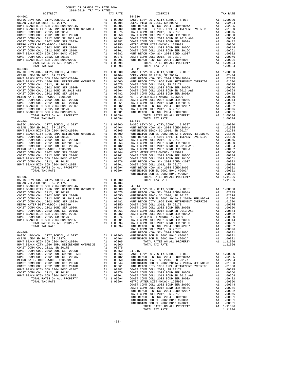| DISTRICT   | TAX RATE | DISTRICT                                                                                                                                                                                                                                                                                                                                                                                   | TAX RATE |
|------------|----------|--------------------------------------------------------------------------------------------------------------------------------------------------------------------------------------------------------------------------------------------------------------------------------------------------------------------------------------------------------------------------------------------|----------|
| $04 - 002$ |          | $04 - 010$                                                                                                                                                                                                                                                                                                                                                                                 |          |
|            |          |                                                                                                                                                                                                                                                                                                                                                                                            |          |
|            |          |                                                                                                                                                                                                                                                                                                                                                                                            |          |
|            |          |                                                                                                                                                                                                                                                                                                                                                                                            |          |
|            |          |                                                                                                                                                                                                                                                                                                                                                                                            |          |
|            |          |                                                                                                                                                                                                                                                                                                                                                                                            |          |
|            |          |                                                                                                                                                                                                                                                                                                                                                                                            |          |
|            |          |                                                                                                                                                                                                                                                                                                                                                                                            |          |
|            |          |                                                                                                                                                                                                                                                                                                                                                                                            |          |
|            |          |                                                                                                                                                                                                                                                                                                                                                                                            |          |
|            |          |                                                                                                                                                                                                                                                                                                                                                                                            |          |
|            |          |                                                                                                                                                                                                                                                                                                                                                                                            |          |
|            |          |                                                                                                                                                                                                                                                                                                                                                                                            |          |
|            |          |                                                                                                                                                                                                                                                                                                                                                                                            |          |
|            |          |                                                                                                                                                                                                                                                                                                                                                                                            |          |
|            |          |                                                                                                                                                                                                                                                                                                                                                                                            |          |
|            |          |                                                                                                                                                                                                                                                                                                                                                                                            |          |
| $04 - 003$ |          | $04 - 011$                                                                                                                                                                                                                                                                                                                                                                                 |          |
|            |          |                                                                                                                                                                                                                                                                                                                                                                                            |          |
|            |          |                                                                                                                                                                                                                                                                                                                                                                                            |          |
|            |          |                                                                                                                                                                                                                                                                                                                                                                                            |          |
|            |          |                                                                                                                                                                                                                                                                                                                                                                                            |          |
|            |          |                                                                                                                                                                                                                                                                                                                                                                                            |          |
|            |          |                                                                                                                                                                                                                                                                                                                                                                                            |          |
|            |          |                                                                                                                                                                                                                                                                                                                                                                                            |          |
|            |          |                                                                                                                                                                                                                                                                                                                                                                                            |          |
|            |          |                                                                                                                                                                                                                                                                                                                                                                                            |          |
|            |          |                                                                                                                                                                                                                                                                                                                                                                                            |          |
|            |          |                                                                                                                                                                                                                                                                                                                                                                                            |          |
|            |          |                                                                                                                                                                                                                                                                                                                                                                                            |          |
|            |          |                                                                                                                                                                                                                                                                                                                                                                                            |          |
|            |          |                                                                                                                                                                                                                                                                                                                                                                                            |          |
|            |          |                                                                                                                                                                                                                                                                                                                                                                                            |          |
|            |          |                                                                                                                                                                                                                                                                                                                                                                                            |          |
|            |          |                                                                                                                                                                                                                                                                                                                                                                                            |          |
|            |          |                                                                                                                                                                                                                                                                                                                                                                                            |          |
|            |          |                                                                                                                                                                                                                                                                                                                                                                                            |          |
|            |          |                                                                                                                                                                                                                                                                                                                                                                                            |          |
|            |          |                                                                                                                                                                                                                                                                                                                                                                                            |          |
|            |          |                                                                                                                                                                                                                                                                                                                                                                                            |          |
|            |          |                                                                                                                                                                                                                                                                                                                                                                                            |          |
|            |          |                                                                                                                                                                                                                                                                                                                                                                                            |          |
|            |          |                                                                                                                                                                                                                                                                                                                                                                                            |          |
|            |          |                                                                                                                                                                                                                                                                                                                                                                                            |          |
|            |          |                                                                                                                                                                                                                                                                                                                                                                                            |          |
|            |          |                                                                                                                                                                                                                                                                                                                                                                                            |          |
|            |          |                                                                                                                                                                                                                                                                                                                                                                                            |          |
|            |          |                                                                                                                                                                                                                                                                                                                                                                                            |          |
|            |          |                                                                                                                                                                                                                                                                                                                                                                                            |          |
|            |          |                                                                                                                                                                                                                                                                                                                                                                                            |          |
|            |          |                                                                                                                                                                                                                                                                                                                                                                                            |          |
|            |          |                                                                                                                                                                                                                                                                                                                                                                                            |          |
|            |          |                                                                                                                                                                                                                                                                                                                                                                                            |          |
|            |          |                                                                                                                                                                                                                                                                                                                                                                                            |          |
|            |          |                                                                                                                                                                                                                                                                                                                                                                                            |          |
|            |          |                                                                                                                                                                                                                                                                                                                                                                                            |          |
|            |          |                                                                                                                                                                                                                                                                                                                                                                                            |          |
|            |          |                                                                                                                                                                                                                                                                                                                                                                                            |          |
|            |          |                                                                                                                                                                                                                                                                                                                                                                                            |          |
|            |          |                                                                                                                                                                                                                                                                                                                                                                                            |          |
|            |          |                                                                                                                                                                                                                                                                                                                                                                                            |          |
|            |          |                                                                                                                                                                                                                                                                                                                                                                                            |          |
|            |          |                                                                                                                                                                                                                                                                                                                                                                                            |          |
|            |          |                                                                                                                                                                                                                                                                                                                                                                                            |          |
|            |          |                                                                                                                                                                                                                                                                                                                                                                                            |          |
|            |          |                                                                                                                                                                                                                                                                                                                                                                                            |          |
|            |          | $\begin{array}{cccccccccccc} 0.04 & 0.04 & 0.04 & 0.04 & 0.04 & 0.04 & 0.04 & 0.04 & 0.04 & 0.04 & 0.04 & 0.04 & 0.04 & 0.04 & 0.04 & 0.04 & 0.04 & 0.04 & 0.04 & 0.04 & 0.04 & 0.04 & 0.04 & 0.04 & 0.04 & 0.04 & 0.04 & 0.04 & 0.04 & 0.04 & 0.04 & 0.04 & 0.04 & 0.04 & 0.04 & $                                                                                                        |          |
|            |          |                                                                                                                                                                                                                                                                                                                                                                                            |          |
|            |          |                                                                                                                                                                                                                                                                                                                                                                                            |          |
|            |          |                                                                                                                                                                                                                                                                                                                                                                                            |          |
|            |          |                                                                                                                                                                                                                                                                                                                                                                                            |          |
|            |          |                                                                                                                                                                                                                                                                                                                                                                                            |          |
|            |          |                                                                                                                                                                                                                                                                                                                                                                                            |          |
|            |          | $\begin{tabular}{cccc} \texttt{04--009} & \texttt{04--009} & \texttt{A1} & .00082 \\ \texttt{04--009} & \texttt{COAST COM OOL} & 2017D & \texttt{A1} & .00082 \\ \texttt{BAST C LEVY-CO.}, & CITT, SCHOOL, & DST & \texttt{A1} & 1.00001 \\ \texttt{BACC LEVY-CO.}, & CITT, SCHOOL, & DST & \texttt{A1} & 1.00000 \\ \texttt{ACERO.} & 2017A & \texttt{A1} & .02404 & \texttt{HUNTT NGTON$ |          |
|            |          |                                                                                                                                                                                                                                                                                                                                                                                            |          |
|            |          |                                                                                                                                                                                                                                                                                                                                                                                            |          |
|            |          |                                                                                                                                                                                                                                                                                                                                                                                            |          |
|            |          |                                                                                                                                                                                                                                                                                                                                                                                            |          |
|            |          |                                                                                                                                                                                                                                                                                                                                                                                            |          |
|            |          |                                                                                                                                                                                                                                                                                                                                                                                            |          |
|            |          |                                                                                                                                                                                                                                                                                                                                                                                            |          |
|            |          |                                                                                                                                                                                                                                                                                                                                                                                            |          |
|            |          |                                                                                                                                                                                                                                                                                                                                                                                            |          |
|            |          |                                                                                                                                                                                                                                                                                                                                                                                            |          |
|            |          |                                                                                                                                                                                                                                                                                                                                                                                            |          |
|            |          |                                                                                                                                                                                                                                                                                                                                                                                            |          |
|            |          |                                                                                                                                                                                                                                                                                                                                                                                            |          |
|            |          |                                                                                                                                                                                                                                                                                                                                                                                            |          |
|            |          |                                                                                                                                                                                                                                                                                                                                                                                            |          |
|            |          |                                                                                                                                                                                                                                                                                                                                                                                            |          |
|            |          |                                                                                                                                                                                                                                                                                                                                                                                            |          |
|            |          |                                                                                                                                                                                                                                                                                                                                                                                            |          |
|            |          |                                                                                                                                                                                                                                                                                                                                                                                            |          |
|            |          |                                                                                                                                                                                                                                                                                                                                                                                            |          |
|            |          |                                                                                                                                                                                                                                                                                                                                                                                            |          |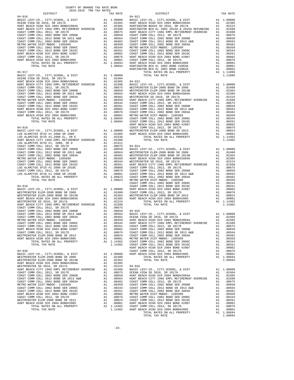| COUNTY OF ORANGE TAX RATE BOOK<br>2018-2019 TRA TAX RATES<br>$\begin{minipage}{.4\linewidth} \begin{tabular}{lcccccc} \multicolumn{2}{c}{\textbf{1.41}\textbf{1.42}} & \multicolumn{2}{c}{\textbf{1.42}\textbf{1.43}} & \multicolumn{2}{c}{\textbf{1.43}\textbf{1.44}} & \multicolumn{2}{c}{\textbf{1.45}\textbf{1.45}} & \multicolumn{2}{c}{\textbf{1.46}\textbf{1.45}} & \multicolumn{2}{c}{\textbf{1.47}\textbf{1.45}} & \multicolumn{2}{c}{\textbf{1.47}\textbf{1.45}} & \multicolumn{2}{c}{$ |          |          |          |
|---------------------------------------------------------------------------------------------------------------------------------------------------------------------------------------------------------------------------------------------------------------------------------------------------------------------------------------------------------------------------------------------------------------------------------------------------------------------------------------------------|----------|----------|----------|
|                                                                                                                                                                                                                                                                                                                                                                                                                                                                                                   | TAX RATE | DISTRICT | TAX RATE |
|                                                                                                                                                                                                                                                                                                                                                                                                                                                                                                   |          |          |          |
|                                                                                                                                                                                                                                                                                                                                                                                                                                                                                                   |          |          |          |
|                                                                                                                                                                                                                                                                                                                                                                                                                                                                                                   |          |          |          |
|                                                                                                                                                                                                                                                                                                                                                                                                                                                                                                   |          |          |          |
|                                                                                                                                                                                                                                                                                                                                                                                                                                                                                                   |          |          |          |
|                                                                                                                                                                                                                                                                                                                                                                                                                                                                                                   |          |          |          |
|                                                                                                                                                                                                                                                                                                                                                                                                                                                                                                   |          |          |          |
|                                                                                                                                                                                                                                                                                                                                                                                                                                                                                                   |          |          |          |
|                                                                                                                                                                                                                                                                                                                                                                                                                                                                                                   |          |          |          |
|                                                                                                                                                                                                                                                                                                                                                                                                                                                                                                   |          |          |          |
|                                                                                                                                                                                                                                                                                                                                                                                                                                                                                                   |          |          |          |
|                                                                                                                                                                                                                                                                                                                                                                                                                                                                                                   |          |          |          |
|                                                                                                                                                                                                                                                                                                                                                                                                                                                                                                   |          |          |          |
|                                                                                                                                                                                                                                                                                                                                                                                                                                                                                                   |          |          |          |
|                                                                                                                                                                                                                                                                                                                                                                                                                                                                                                   |          |          |          |
|                                                                                                                                                                                                                                                                                                                                                                                                                                                                                                   |          |          |          |
|                                                                                                                                                                                                                                                                                                                                                                                                                                                                                                   |          |          |          |
|                                                                                                                                                                                                                                                                                                                                                                                                                                                                                                   |          |          |          |
|                                                                                                                                                                                                                                                                                                                                                                                                                                                                                                   |          |          |          |
|                                                                                                                                                                                                                                                                                                                                                                                                                                                                                                   |          |          |          |
|                                                                                                                                                                                                                                                                                                                                                                                                                                                                                                   |          |          |          |
|                                                                                                                                                                                                                                                                                                                                                                                                                                                                                                   |          |          |          |
|                                                                                                                                                                                                                                                                                                                                                                                                                                                                                                   |          |          |          |
|                                                                                                                                                                                                                                                                                                                                                                                                                                                                                                   |          |          |          |
|                                                                                                                                                                                                                                                                                                                                                                                                                                                                                                   |          |          |          |
|                                                                                                                                                                                                                                                                                                                                                                                                                                                                                                   |          |          |          |
|                                                                                                                                                                                                                                                                                                                                                                                                                                                                                                   |          |          |          |
|                                                                                                                                                                                                                                                                                                                                                                                                                                                                                                   |          |          |          |
|                                                                                                                                                                                                                                                                                                                                                                                                                                                                                                   |          |          |          |
|                                                                                                                                                                                                                                                                                                                                                                                                                                                                                                   |          |          |          |
|                                                                                                                                                                                                                                                                                                                                                                                                                                                                                                   |          |          |          |
|                                                                                                                                                                                                                                                                                                                                                                                                                                                                                                   |          |          |          |
|                                                                                                                                                                                                                                                                                                                                                                                                                                                                                                   |          |          |          |
|                                                                                                                                                                                                                                                                                                                                                                                                                                                                                                   |          |          |          |
|                                                                                                                                                                                                                                                                                                                                                                                                                                                                                                   |          |          |          |
|                                                                                                                                                                                                                                                                                                                                                                                                                                                                                                   |          |          |          |
|                                                                                                                                                                                                                                                                                                                                                                                                                                                                                                   |          |          |          |
|                                                                                                                                                                                                                                                                                                                                                                                                                                                                                                   |          |          |          |
|                                                                                                                                                                                                                                                                                                                                                                                                                                                                                                   |          |          |          |
|                                                                                                                                                                                                                                                                                                                                                                                                                                                                                                   |          |          |          |
|                                                                                                                                                                                                                                                                                                                                                                                                                                                                                                   |          |          |          |
|                                                                                                                                                                                                                                                                                                                                                                                                                                                                                                   |          |          |          |
|                                                                                                                                                                                                                                                                                                                                                                                                                                                                                                   |          |          |          |
|                                                                                                                                                                                                                                                                                                                                                                                                                                                                                                   |          |          |          |
|                                                                                                                                                                                                                                                                                                                                                                                                                                                                                                   |          |          |          |
|                                                                                                                                                                                                                                                                                                                                                                                                                                                                                                   |          |          |          |
|                                                                                                                                                                                                                                                                                                                                                                                                                                                                                                   |          |          |          |
|                                                                                                                                                                                                                                                                                                                                                                                                                                                                                                   |          |          |          |
|                                                                                                                                                                                                                                                                                                                                                                                                                                                                                                   |          |          |          |
|                                                                                                                                                                                                                                                                                                                                                                                                                                                                                                   |          |          |          |
|                                                                                                                                                                                                                                                                                                                                                                                                                                                                                                   |          |          |          |
|                                                                                                                                                                                                                                                                                                                                                                                                                                                                                                   |          |          |          |
|                                                                                                                                                                                                                                                                                                                                                                                                                                                                                                   |          |          |          |
|                                                                                                                                                                                                                                                                                                                                                                                                                                                                                                   |          |          |          |
|                                                                                                                                                                                                                                                                                                                                                                                                                                                                                                   |          |          |          |
|                                                                                                                                                                                                                                                                                                                                                                                                                                                                                                   |          |          |          |
|                                                                                                                                                                                                                                                                                                                                                                                                                                                                                                   |          |          |          |
|                                                                                                                                                                                                                                                                                                                                                                                                                                                                                                   |          |          |          |
|                                                                                                                                                                                                                                                                                                                                                                                                                                                                                                   |          |          |          |
|                                                                                                                                                                                                                                                                                                                                                                                                                                                                                                   |          |          |          |
|                                                                                                                                                                                                                                                                                                                                                                                                                                                                                                   |          |          |          |
|                                                                                                                                                                                                                                                                                                                                                                                                                                                                                                   |          |          |          |
|                                                                                                                                                                                                                                                                                                                                                                                                                                                                                                   |          |          |          |
|                                                                                                                                                                                                                                                                                                                                                                                                                                                                                                   |          |          |          |
|                                                                                                                                                                                                                                                                                                                                                                                                                                                                                                   |          |          |          |
|                                                                                                                                                                                                                                                                                                                                                                                                                                                                                                   |          |          |          |
|                                                                                                                                                                                                                                                                                                                                                                                                                                                                                                   |          |          |          |
|                                                                                                                                                                                                                                                                                                                                                                                                                                                                                                   |          |          |          |
|                                                                                                                                                                                                                                                                                                                                                                                                                                                                                                   |          |          |          |
|                                                                                                                                                                                                                                                                                                                                                                                                                                                                                                   |          |          |          |
|                                                                                                                                                                                                                                                                                                                                                                                                                                                                                                   |          |          |          |
|                                                                                                                                                                                                                                                                                                                                                                                                                                                                                                   |          |          |          |
|                                                                                                                                                                                                                                                                                                                                                                                                                                                                                                   |          |          |          |
|                                                                                                                                                                                                                                                                                                                                                                                                                                                                                                   |          |          |          |
|                                                                                                                                                                                                                                                                                                                                                                                                                                                                                                   |          |          |          |
|                                                                                                                                                                                                                                                                                                                                                                                                                                                                                                   |          |          |          |
|                                                                                                                                                                                                                                                                                                                                                                                                                                                                                                   |          |          |          |
|                                                                                                                                                                                                                                                                                                                                                                                                                                                                                                   |          |          |          |
|                                                                                                                                                                                                                                                                                                                                                                                                                                                                                                   |          |          |          |
|                                                                                                                                                                                                                                                                                                                                                                                                                                                                                                   |          |          |          |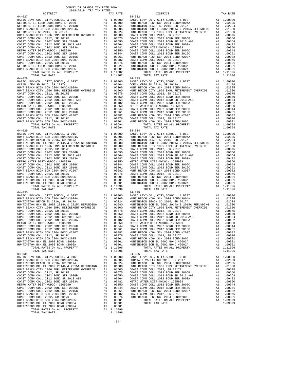| DISTRICT                     | TAX RATE | DISTRICT                                                                                                                                                                                                                                                                                                                                                                            | TAX RATE |
|------------------------------|----------|-------------------------------------------------------------------------------------------------------------------------------------------------------------------------------------------------------------------------------------------------------------------------------------------------------------------------------------------------------------------------------------|----------|
| $04 - 027$                   |          | $04 - 032$                                                                                                                                                                                                                                                                                                                                                                          |          |
|                              |          |                                                                                                                                                                                                                                                                                                                                                                                     |          |
|                              |          |                                                                                                                                                                                                                                                                                                                                                                                     |          |
|                              |          |                                                                                                                                                                                                                                                                                                                                                                                     |          |
| $04 - 030$<br>TOTAL TAX RATE | 1.11096  | $04 - 035$<br>00000 BASIC LEVY-CO., CITY, SCHOOL, & DIST A1 1.00000 BASIC LEVY-CO., CITY, SCHOOL, & DIST A1 1.00000 BASIC LEVY-CO., CITY, SCHOOL, & DIST A1 1.00000 BASIC LEVY-CO., CITY, SCHOOL, & DIST A1 1.00000 BASIC LEVY-CO., CITY, SC<br>HUNTINGTON BCH EL 2002 2014A & 2015A REFUNDING A1 .01580 HUNTINGTON BCH EL 2002 2014A & 2015A REFUNDING A1 .01580<br>TOTAL TAX RATE | 1.11096  |
| $04 - 031$                   |          | $04 - 036$<br>HUNT BEACH CITY 1966 EMPL RETIREMENT OVERRIDE A1 .01500 COAST COMM COLL 2012, SR 2017E A1 .00675                                                                                                                                                                                                                                                                      |          |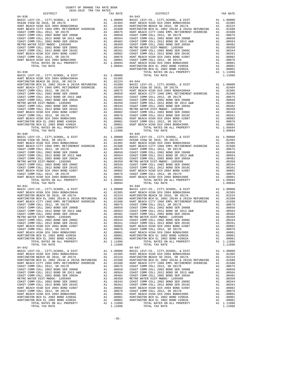| COUNTY OF ORANGE TAX RATE BOOK<br>2018-2019 TRA TAX RATES |          |                                                                                                                                                                                                                                                                                     |          |
|-----------------------------------------------------------|----------|-------------------------------------------------------------------------------------------------------------------------------------------------------------------------------------------------------------------------------------------------------------------------------------|----------|
| DISTRICT                                                  | TAX RATE | DISTRICT                                                                                                                                                                                                                                                                            | TAX RATE |
| $04 - 038$                                                |          | $04 - 043$<br>$\begin{tabular}{cccccccc} 04-048 & 048-048 & 048-048 & 048-048 & 048-048 & 048-048 & 048-048 & 048-048 & 048-048 & 048-048 & 048-048 & 048-048 & 048-048 & 048-048 & 048-048 & 048-048 & 048-048 & 048-048 & 048-048 & 048-048 & 048-048 & 048-048 & 048-048 & 048-$ |          |
|                                                           |          |                                                                                                                                                                                                                                                                                     |          |
|                                                           |          |                                                                                                                                                                                                                                                                                     |          |
|                                                           |          |                                                                                                                                                                                                                                                                                     |          |
|                                                           |          |                                                                                                                                                                                                                                                                                     |          |
|                                                           |          |                                                                                                                                                                                                                                                                                     |          |
|                                                           |          |                                                                                                                                                                                                                                                                                     |          |
|                                                           |          |                                                                                                                                                                                                                                                                                     |          |
|                                                           |          |                                                                                                                                                                                                                                                                                     |          |
|                                                           |          |                                                                                                                                                                                                                                                                                     |          |
|                                                           |          |                                                                                                                                                                                                                                                                                     |          |
|                                                           |          |                                                                                                                                                                                                                                                                                     |          |
|                                                           |          |                                                                                                                                                                                                                                                                                     |          |
|                                                           |          |                                                                                                                                                                                                                                                                                     |          |
|                                                           |          |                                                                                                                                                                                                                                                                                     |          |
|                                                           |          |                                                                                                                                                                                                                                                                                     |          |
|                                                           |          |                                                                                                                                                                                                                                                                                     |          |
|                                                           |          |                                                                                                                                                                                                                                                                                     |          |
|                                                           |          |                                                                                                                                                                                                                                                                                     |          |
|                                                           |          |                                                                                                                                                                                                                                                                                     |          |
|                                                           |          |                                                                                                                                                                                                                                                                                     |          |
|                                                           |          |                                                                                                                                                                                                                                                                                     |          |
|                                                           |          |                                                                                                                                                                                                                                                                                     |          |
|                                                           |          |                                                                                                                                                                                                                                                                                     |          |
|                                                           |          |                                                                                                                                                                                                                                                                                     |          |
|                                                           |          |                                                                                                                                                                                                                                                                                     |          |
|                                                           |          |                                                                                                                                                                                                                                                                                     |          |
|                                                           |          |                                                                                                                                                                                                                                                                                     |          |
|                                                           |          |                                                                                                                                                                                                                                                                                     |          |
|                                                           |          |                                                                                                                                                                                                                                                                                     |          |
|                                                           |          |                                                                                                                                                                                                                                                                                     |          |
|                                                           |          |                                                                                                                                                                                                                                                                                     |          |
|                                                           |          |                                                                                                                                                                                                                                                                                     |          |
|                                                           |          |                                                                                                                                                                                                                                                                                     |          |
|                                                           |          |                                                                                                                                                                                                                                                                                     |          |
|                                                           |          |                                                                                                                                                                                                                                                                                     |          |
|                                                           |          |                                                                                                                                                                                                                                                                                     |          |
|                                                           |          |                                                                                                                                                                                                                                                                                     |          |
|                                                           |          |                                                                                                                                                                                                                                                                                     |          |
|                                                           |          |                                                                                                                                                                                                                                                                                     |          |
|                                                           |          |                                                                                                                                                                                                                                                                                     |          |
|                                                           |          |                                                                                                                                                                                                                                                                                     |          |
|                                                           |          | $\begin{tabular}{cccccc} 04-040 & 04-045 & 04-045 & 04-045 & 04-046 & 04-045 & 04-046 & 04-045 & 04-047 & 04-048 & 04-048 & 04-048 & 04-048 & 04-048 & 04-048 & 04-048 & 04-048 & 04-048 & 04-048 & 04-048 & 04-048 & 04-048 & 04-048 & 04-048 & 04-048 & 04-048 & 04$              |          |
| $04 - 041$                                                |          | $04 - 046$                                                                                                                                                                                                                                                                          |          |
|                                                           |          |                                                                                                                                                                                                                                                                                     |          |
|                                                           |          |                                                                                                                                                                                                                                                                                     |          |
|                                                           |          |                                                                                                                                                                                                                                                                                     |          |
|                                                           |          |                                                                                                                                                                                                                                                                                     |          |
|                                                           |          |                                                                                                                                                                                                                                                                                     |          |
|                                                           |          |                                                                                                                                                                                                                                                                                     |          |
|                                                           |          |                                                                                                                                                                                                                                                                                     |          |
|                                                           |          |                                                                                                                                                                                                                                                                                     |          |
|                                                           |          |                                                                                                                                                                                                                                                                                     |          |
|                                                           |          |                                                                                                                                                                                                                                                                                     |          |
|                                                           |          |                                                                                                                                                                                                                                                                                     |          |
|                                                           |          |                                                                                                                                                                                                                                                                                     |          |
|                                                           |          |                                                                                                                                                                                                                                                                                     |          |
|                                                           |          |                                                                                                                                                                                                                                                                                     |          |
| $04 - 042$                                                |          | $04 - 047$                                                                                                                                                                                                                                                                          |          |
|                                                           |          |                                                                                                                                                                                                                                                                                     |          |
|                                                           |          |                                                                                                                                                                                                                                                                                     |          |
|                                                           |          | HUNTINGTON BCH EL 2002 2014A & 2015A REFUNDING A1 .01580 HUNTINGTON BCH EL 2002 2014A & 2015A REFUNDING A1 .01580                                                                                                                                                                   |          |
|                                                           |          |                                                                                                                                                                                                                                                                                     |          |
|                                                           |          |                                                                                                                                                                                                                                                                                     |          |
|                                                           |          |                                                                                                                                                                                                                                                                                     |          |
|                                                           |          |                                                                                                                                                                                                                                                                                     |          |
|                                                           |          |                                                                                                                                                                                                                                                                                     |          |
|                                                           |          |                                                                                                                                                                                                                                                                                     |          |
|                                                           |          |                                                                                                                                                                                                                                                                                     |          |
|                                                           |          |                                                                                                                                                                                                                                                                                     |          |
|                                                           |          |                                                                                                                                                                                                                                                                                     |          |
|                                                           |          |                                                                                                                                                                                                                                                                                     |          |
|                                                           |          |                                                                                                                                                                                                                                                                                     |          |
|                                                           |          |                                                                                                                                                                                                                                                                                     |          |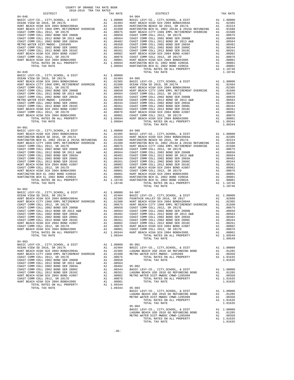| COUNTY OF ORANGE TAX RATE BOOK<br>2018-2019 TRA TAX RATES |          |                                                                                                                                                                                                                                                                                                                                                            |          |
|-----------------------------------------------------------|----------|------------------------------------------------------------------------------------------------------------------------------------------------------------------------------------------------------------------------------------------------------------------------------------------------------------------------------------------------------------|----------|
| DISTRICT<br>$04 - 048$                                    | TAX RATE | DISTRICT<br>$04 - 904$                                                                                                                                                                                                                                                                                                                                     | TAX RATE |
|                                                           |          |                                                                                                                                                                                                                                                                                                                                                            |          |
|                                                           |          |                                                                                                                                                                                                                                                                                                                                                            |          |
|                                                           |          |                                                                                                                                                                                                                                                                                                                                                            |          |
|                                                           |          |                                                                                                                                                                                                                                                                                                                                                            |          |
|                                                           |          |                                                                                                                                                                                                                                                                                                                                                            |          |
|                                                           |          |                                                                                                                                                                                                                                                                                                                                                            |          |
|                                                           |          |                                                                                                                                                                                                                                                                                                                                                            |          |
|                                                           |          |                                                                                                                                                                                                                                                                                                                                                            |          |
|                                                           |          |                                                                                                                                                                                                                                                                                                                                                            |          |
|                                                           |          |                                                                                                                                                                                                                                                                                                                                                            |          |
|                                                           |          |                                                                                                                                                                                                                                                                                                                                                            |          |
|                                                           |          |                                                                                                                                                                                                                                                                                                                                                            |          |
|                                                           |          |                                                                                                                                                                                                                                                                                                                                                            |          |
|                                                           |          |                                                                                                                                                                                                                                                                                                                                                            |          |
|                                                           |          |                                                                                                                                                                                                                                                                                                                                                            |          |
|                                                           |          |                                                                                                                                                                                                                                                                                                                                                            |          |
|                                                           |          |                                                                                                                                                                                                                                                                                                                                                            |          |
|                                                           |          |                                                                                                                                                                                                                                                                                                                                                            |          |
|                                                           |          |                                                                                                                                                                                                                                                                                                                                                            |          |
|                                                           |          |                                                                                                                                                                                                                                                                                                                                                            |          |
|                                                           |          |                                                                                                                                                                                                                                                                                                                                                            |          |
|                                                           |          |                                                                                                                                                                                                                                                                                                                                                            |          |
|                                                           |          |                                                                                                                                                                                                                                                                                                                                                            |          |
|                                                           |          |                                                                                                                                                                                                                                                                                                                                                            |          |
|                                                           |          |                                                                                                                                                                                                                                                                                                                                                            |          |
|                                                           |          |                                                                                                                                                                                                                                                                                                                                                            |          |
|                                                           |          |                                                                                                                                                                                                                                                                                                                                                            |          |
|                                                           |          |                                                                                                                                                                                                                                                                                                                                                            |          |
| $04 - 901$                                                |          |                                                                                                                                                                                                                                                                                                                                                            |          |
|                                                           |          |                                                                                                                                                                                                                                                                                                                                                            |          |
|                                                           |          |                                                                                                                                                                                                                                                                                                                                                            |          |
|                                                           |          |                                                                                                                                                                                                                                                                                                                                                            |          |
|                                                           |          |                                                                                                                                                                                                                                                                                                                                                            |          |
|                                                           |          |                                                                                                                                                                                                                                                                                                                                                            |          |
|                                                           |          |                                                                                                                                                                                                                                                                                                                                                            |          |
|                                                           |          |                                                                                                                                                                                                                                                                                                                                                            |          |
|                                                           |          |                                                                                                                                                                                                                                                                                                                                                            |          |
|                                                           |          |                                                                                                                                                                                                                                                                                                                                                            |          |
|                                                           |          |                                                                                                                                                                                                                                                                                                                                                            |          |
|                                                           |          |                                                                                                                                                                                                                                                                                                                                                            |          |
|                                                           |          |                                                                                                                                                                                                                                                                                                                                                            |          |
|                                                           |          |                                                                                                                                                                                                                                                                                                                                                            |          |
|                                                           |          |                                                                                                                                                                                                                                                                                                                                                            |          |
|                                                           |          |                                                                                                                                                                                                                                                                                                                                                            |          |
| $04 - 902$                                                |          |                                                                                                                                                                                                                                                                                                                                                            |          |
|                                                           |          |                                                                                                                                                                                                                                                                                                                                                            |          |
|                                                           |          |                                                                                                                                                                                                                                                                                                                                                            |          |
|                                                           |          |                                                                                                                                                                                                                                                                                                                                                            |          |
|                                                           |          |                                                                                                                                                                                                                                                                                                                                                            |          |
|                                                           |          |                                                                                                                                                                                                                                                                                                                                                            |          |
|                                                           |          |                                                                                                                                                                                                                                                                                                                                                            |          |
|                                                           |          |                                                                                                                                                                                                                                                                                                                                                            |          |
|                                                           |          |                                                                                                                                                                                                                                                                                                                                                            |          |
|                                                           |          |                                                                                                                                                                                                                                                                                                                                                            |          |
|                                                           |          |                                                                                                                                                                                                                                                                                                                                                            |          |
|                                                           |          |                                                                                                                                                                                                                                                                                                                                                            |          |
|                                                           |          | $\begin{tabular}{l c c c c c c c} \hline \textsc{COSFT COMM COLL 2012 BOND SER 2016C} & \textsc{AA} & \textsc{.00261} & \textsc{.00261} & \textsc{.00261} & \textsc{.00261} & \textsc{.00261} & \textsc{.00261} & \textsc{.00261} & \textsc{.00261} & \textsc{.00261} & \textsc{.00261} & \textsc{.00261} & \textsc{.00261} & \textsc{.00261} & \textsc{.$ |          |
| $04 - 903$                                                |          | TOTAL TAX RATE                                                                                                                                                                                                                                                                                                                                             | 1.09549  |
|                                                           |          |                                                                                                                                                                                                                                                                                                                                                            |          |
|                                                           |          |                                                                                                                                                                                                                                                                                                                                                            |          |
|                                                           |          |                                                                                                                                                                                                                                                                                                                                                            |          |
|                                                           |          |                                                                                                                                                                                                                                                                                                                                                            |          |
|                                                           |          |                                                                                                                                                                                                                                                                                                                                                            |          |
|                                                           |          |                                                                                                                                                                                                                                                                                                                                                            |          |
|                                                           |          |                                                                                                                                                                                                                                                                                                                                                            |          |
|                                                           |          |                                                                                                                                                                                                                                                                                                                                                            |          |
|                                                           |          |                                                                                                                                                                                                                                                                                                                                                            |          |
|                                                           |          |                                                                                                                                                                                                                                                                                                                                                            |          |
|                                                           |          |                                                                                                                                                                                                                                                                                                                                                            |          |
|                                                           |          |                                                                                                                                                                                                                                                                                                                                                            |          |
|                                                           |          | 03-003<br>BASIC LEVY-CO., CITY, SCHOOL, & DIST and 1.00000<br>LAGUNA BEACH USD 2010 GO REFUNDING BOND A1 .01285<br>METRO WATER DIST-MWDOC CMWD-1205999 A1 .00350<br>TOTAL RATES ON ALL PROPERTY A1 1.01635<br>TOTAL TAX RATE 1.01635                                                                                                                       |          |
|                                                           |          |                                                                                                                                                                                                                                                                                                                                                            |          |
|                                                           |          |                                                                                                                                                                                                                                                                                                                                                            |          |
|                                                           |          | TOTAL TAX RATE                                                                                                                                                                                                                                                                                                                                             | 1.01635  |
|                                                           |          | $05 - 004$                                                                                                                                                                                                                                                                                                                                                 |          |
|                                                           |          |                                                                                                                                                                                                                                                                                                                                                            |          |
|                                                           |          |                                                                                                                                                                                                                                                                                                                                                            |          |
|                                                           |          |                                                                                                                                                                                                                                                                                                                                                            |          |
|                                                           |          | US-004<br>BASIC LEVY-CO., CITY, SCHOOL, & DIST A1 1.00000<br>LAGUNA BEACH USD 2010 GO REFUNDING BOND A1 .01285<br>METRO WATER DIST-MWDOC CMWD-1205999 A1 .00355<br>TOTAL RATES ON ALL PROPERTY A1 1.01635<br>TOTAL TAX RATE                                                                                                                                |          |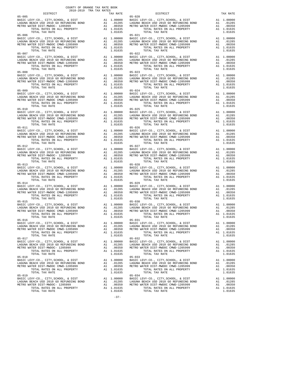| 2018-2019 TRA TAX RATES                                                         | COUNTY OF ORANGE TAX RATE BOOK |                                |
|---------------------------------------------------------------------------------|--------------------------------|--------------------------------|
| DISTRICT                                                                        | TAX RATE                       |                                |
|                                                                                 |                                |                                |
|                                                                                 |                                |                                |
|                                                                                 |                                |                                |
|                                                                                 |                                |                                |
|                                                                                 |                                |                                |
|                                                                                 |                                |                                |
|                                                                                 |                                |                                |
|                                                                                 |                                |                                |
| TOTAL TAX RATE                                                                  | 1.01635                        |                                |
|                                                                                 |                                |                                |
|                                                                                 |                                |                                |
|                                                                                 |                                |                                |
|                                                                                 |                                |                                |
|                                                                                 |                                |                                |
|                                                                                 |                                |                                |
|                                                                                 |                                |                                |
|                                                                                 |                                |                                |
| TOTAL TAX RATE                                                                  | 1.01635                        |                                |
| $05 - 009$                                                                      |                                | $05 - 024$                     |
|                                                                                 |                                |                                |
|                                                                                 |                                |                                |
|                                                                                 |                                |                                |
| TOTAL TAX RATE<br>$05 - 010$                                                    | 1.01635                        | $05 - 025$                     |
|                                                                                 |                                |                                |
|                                                                                 |                                |                                |
|                                                                                 |                                |                                |
|                                                                                 |                                |                                |
| $05 - 011$                                                                      |                                | $05 - 026$                     |
|                                                                                 |                                |                                |
|                                                                                 |                                |                                |
|                                                                                 |                                |                                |
| TOTAL TAX RATE                                                                  | 1.01635                        |                                |
|                                                                                 |                                |                                |
|                                                                                 |                                |                                |
|                                                                                 |                                |                                |
|                                                                                 |                                |                                |
|                                                                                 |                                |                                |
|                                                                                 |                                |                                |
|                                                                                 |                                |                                |
|                                                                                 |                                |                                |
|                                                                                 |                                |                                |
|                                                                                 |                                |                                |
| BASIC LEVY-CO., CITY, SCHOOL, & DIST                                            |                                |                                |
|                                                                                 |                                |                                |
|                                                                                 |                                |                                |
| TOTAL TAX RATE                                                                  | 1.01635                        |                                |
| $05 - 015$                                                                      |                                | $05 - 030$                     |
|                                                                                 |                                |                                |
|                                                                                 |                                |                                |
|                                                                                 |                                |                                |
| $05 - 016$                                                                      |                                | $05 - 031$                     |
| BASIC LEVY-CO., CITY, SCHOOL, & DIST                                            | A1 1.00000                     | BASIC L                        |
| LAGUNA BEACH USD 2010 GO REFUNDING BOND                                         | A1<br>.01285                   | LAGUNA                         |
| METRO WATER DIST-MWDOC CMWD-1205999<br>TOTAL RATES ON ALL PROPERTY              | A1<br>.00350<br>A1 1.01635     | METRO W                        |
| TOTAL TAX RATE                                                                  | 1.01635                        |                                |
| $05 - 017$                                                                      |                                | $05 - 032$                     |
| BASIC LEVY-CO., CITY, SCHOOL, & DIST<br>LAGUNA BEACH USD 2010 GO REFUNDING BOND | A1 1.00000<br>A1 .01285        | BASIC L<br>LAGUNA              |
| METRO WATER DIST-MWDOC- 1205999                                                 | A1<br>.00350                   | METRO W                        |
| TOTAL RATES ON ALL PROPERTY                                                     | A1 1.01635                     |                                |
| TOTAL TAX RATE<br>$05 - 018$                                                    | 1.01635                        |                                |
| BASIC LEVY-CO., CITY, SCHOOL, & DIST                                            | 1.00000<br>A1                  | $05 - 033$<br>BASIC L          |
| LAGUNA BEACH USD 2010 GO REFUNDING BOND                                         | A1 .01285                      | LAGUNA                         |
| METRO WATER DIST-MWDOC CMWD-1205999                                             | A1                             | .01265 LAGUNA<br>.00350 METROW |
| TOTAL RATES ON ALL PROPERTY<br>TOTAL TAX RATE                                   | A1 1.01635<br>1.01635          |                                |
| $05 - 019$                                                                      |                                | $05 - 034$                     |
| BASIC LEVY-CO., CITY, SCHOOL, & DIST                                            | A1 1.00000 BASIC L             |                                |
| LAGUNA BEACH USD 2010 GO REFUNDING BOND<br>METRO WATER DIST-MWDOC- 1205999      | A1 .01285<br>A1<br>.00350      | LAGUNA<br>METRO W              |
| TOTAL RATES ON ALL PROPERTY                                                     | A1 1.01635                     |                                |
| TOTAL TAX RATE                                                                  | 1.01635                        |                                |

|                                                                                                                                                                                                                                                                                                                                                                                                         |         | $05 - 029$                                                                                           |            |
|---------------------------------------------------------------------------------------------------------------------------------------------------------------------------------------------------------------------------------------------------------------------------------------------------------------------------------------------------------------------------------------------------------|---------|------------------------------------------------------------------------------------------------------|------------|
| $\underbrace{05-014}_{\mbox{BASUVA BEACH USD 2010 (G) REFUNDING BOND}} \underbrace{05-029}_{\mbox{BASIC LEVY-CO., CITY, SCHOOL, & DIST} \underbrace{05-029}_{\mbox{BASICB VY-CO., CITY, SCHOOL, & DIST}} \underbrace{05-029}_{\mbox{A1} \quad .01285} \underbrace{05-029}_{\mbox{LAGUNA BEACH USD 2010 (G) REFUNDING BOND A EACHUSD 2010 (G) REFUNDING BOND A 1} \underbrace{01285}_{\mbox{A1} \quad .$ |         |                                                                                                      |            |
|                                                                                                                                                                                                                                                                                                                                                                                                         |         |                                                                                                      |            |
|                                                                                                                                                                                                                                                                                                                                                                                                         |         |                                                                                                      |            |
|                                                                                                                                                                                                                                                                                                                                                                                                         |         |                                                                                                      |            |
|                                                                                                                                                                                                                                                                                                                                                                                                         |         |                                                                                                      |            |
|                                                                                                                                                                                                                                                                                                                                                                                                         |         |                                                                                                      |            |
|                                                                                                                                                                                                                                                                                                                                                                                                         |         |                                                                                                      |            |
|                                                                                                                                                                                                                                                                                                                                                                                                         |         |                                                                                                      |            |
|                                                                                                                                                                                                                                                                                                                                                                                                         |         |                                                                                                      |            |
|                                                                                                                                                                                                                                                                                                                                                                                                         |         |                                                                                                      |            |
| $05 - 016$                                                                                                                                                                                                                                                                                                                                                                                              |         | $05 - 031$                                                                                           |            |
| UP-ULO<br>BASIC LEVY-CO., CITY, SCHOOL, & DIST<br>LAGUNA BEACH USD 2010 GO REFUNDING BOND A1 .01285 LAGUNA BEACH USD 2010 GO REFUNDING BOND A1 .01285                                                                                                                                                                                                                                                   |         |                                                                                                      |            |
|                                                                                                                                                                                                                                                                                                                                                                                                         |         | METRO WATER DIST-MWDOC CMWD-1205999                                                                  | A1 .00350  |
|                                                                                                                                                                                                                                                                                                                                                                                                         |         | TOTAL RATES ON ALL PROPERTY                                                                          | A1 1.01635 |
|                                                                                                                                                                                                                                                                                                                                                                                                         | 1.01635 | TOTAL TAX RATE                                                                                       | 1.01635    |
| $05 - 017$                                                                                                                                                                                                                                                                                                                                                                                              |         |                                                                                                      |            |
|                                                                                                                                                                                                                                                                                                                                                                                                         |         | 05-032<br>BASIC LEVY-CO., CITY,SCHOOL, & DIST<br>LAGUNA BEACH USD 2010 GO REFUNDING BOND             | A1 1,00000 |
|                                                                                                                                                                                                                                                                                                                                                                                                         |         |                                                                                                      | A1 .01285  |
|                                                                                                                                                                                                                                                                                                                                                                                                         |         | METRO WATER DIST-MWDOC CMWD-1205999                                                                  | A1 .00350  |
|                                                                                                                                                                                                                                                                                                                                                                                                         |         | TOTAL RATES ON ALL PROPERTY                                                                          | A1 1.01635 |
| TOTAL TAX RATE                                                                                                                                                                                                                                                                                                                                                                                          | 1.01635 | TOTAL TAX RATE                                                                                       | 1.01635    |
| $05 - 018$                                                                                                                                                                                                                                                                                                                                                                                              |         | $05 - 033$                                                                                           |            |
|                                                                                                                                                                                                                                                                                                                                                                                                         |         | BASIC LEVY-CO., CITY, SCHOOL, & DIST A1 1.00000<br>LAGUNA BEACH USD 2010 GO REFUNDING BOND A1 .01285 |            |
|                                                                                                                                                                                                                                                                                                                                                                                                         |         |                                                                                                      | A1 .00350  |
|                                                                                                                                                                                                                                                                                                                                                                                                         |         | METRO WATER DIST-MWDOC CMWD-1205999<br>TOTAL RATES ON ALL PROPERTY                                   | A1 1.01635 |
| TOTAL TAX RATE                                                                                                                                                                                                                                                                                                                                                                                          | 1.01635 | TOTAL TAX RATE                                                                                       | 1.01635    |
| $05 - 019$                                                                                                                                                                                                                                                                                                                                                                                              |         | $05 - 034$                                                                                           |            |
| 05-019<br>BASIC LEVY-CO., CITY, SCHOOL, & DIST A1 1.00000<br>LAGUNA BEACH USD 2010 GO REFUNDING BOND A1 .01285<br>METRO WATER DIST-MWDOC- 1205999 A1 .00350<br>TOTAL RATES ON ALL PROPERTY A1 1.01635                                                                                                                                                                                                   |         |                                                                                                      |            |
|                                                                                                                                                                                                                                                                                                                                                                                                         |         | LAGUNA BEACH USD 2010 GO REFUNDING BOND                                                              | A1 .01285  |
|                                                                                                                                                                                                                                                                                                                                                                                                         |         | METRO WATER DIST-MWDOC CMWD-1205999                                                                  | A1 .00350  |
|                                                                                                                                                                                                                                                                                                                                                                                                         |         | TOTAL RATES ON ALL PROPERTY                                                                          | A1 1.01635 |
| TOTAL TAX RATE                                                                                                                                                                                                                                                                                                                                                                                          | 1.01635 | TOTAL TAX RATE                                                                                       | 1.01635    |
|                                                                                                                                                                                                                                                                                                                                                                                                         | $-37-$  |                                                                                                      |            |
|                                                                                                                                                                                                                                                                                                                                                                                                         |         |                                                                                                      |            |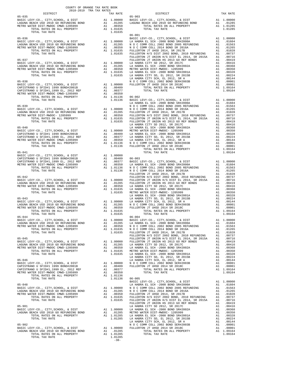| COUNTY OF ORANGE TAX RATE BOOK<br>2018-2019 TRA TAX RATES |         |                                                                                                                                                                                                                                                                                                                                                                                                                                                         |          |
|-----------------------------------------------------------|---------|---------------------------------------------------------------------------------------------------------------------------------------------------------------------------------------------------------------------------------------------------------------------------------------------------------------------------------------------------------------------------------------------------------------------------------------------------------|----------|
| DISTRICT<br>$05 - 035$                                    |         | TRA TAX RATES<br>TAX RATE 05-903 DISTRICT                                                                                                                                                                                                                                                                                                                                                                                                               | TAX RATE |
|                                                           |         |                                                                                                                                                                                                                                                                                                                                                                                                                                                         |          |
|                                                           |         |                                                                                                                                                                                                                                                                                                                                                                                                                                                         |          |
|                                                           |         |                                                                                                                                                                                                                                                                                                                                                                                                                                                         |          |
|                                                           |         | 05–035 (EDST) (DEST) (DEST) (DEST) (DEST) (DEST) (DEST) (DEST) (DEST) (DEST) (DEST) (DES ERECTIVE DEST) (DEST) (DES ERECTIVE DES ENGERE DEVITS ON DEST) (DES ENGERE DEST) (DESS ENGERE DES ENGERE DES ENGERE DES ENGERE DES EN                                                                                                                                                                                                                          |          |
|                                                           |         | $06 - 001$                                                                                                                                                                                                                                                                                                                                                                                                                                              |          |
|                                                           |         |                                                                                                                                                                                                                                                                                                                                                                                                                                                         |          |
|                                                           |         |                                                                                                                                                                                                                                                                                                                                                                                                                                                         |          |
|                                                           |         |                                                                                                                                                                                                                                                                                                                                                                                                                                                         |          |
|                                                           |         |                                                                                                                                                                                                                                                                                                                                                                                                                                                         |          |
|                                                           |         |                                                                                                                                                                                                                                                                                                                                                                                                                                                         |          |
|                                                           |         |                                                                                                                                                                                                                                                                                                                                                                                                                                                         |          |
|                                                           |         |                                                                                                                                                                                                                                                                                                                                                                                                                                                         |          |
|                                                           |         |                                                                                                                                                                                                                                                                                                                                                                                                                                                         |          |
|                                                           |         |                                                                                                                                                                                                                                                                                                                                                                                                                                                         |          |
|                                                           |         |                                                                                                                                                                                                                                                                                                                                                                                                                                                         |          |
|                                                           |         |                                                                                                                                                                                                                                                                                                                                                                                                                                                         |          |
|                                                           |         |                                                                                                                                                                                                                                                                                                                                                                                                                                                         |          |
|                                                           |         |                                                                                                                                                                                                                                                                                                                                                                                                                                                         |          |
|                                                           |         |                                                                                                                                                                                                                                                                                                                                                                                                                                                         |          |
|                                                           |         |                                                                                                                                                                                                                                                                                                                                                                                                                                                         |          |
|                                                           |         |                                                                                                                                                                                                                                                                                                                                                                                                                                                         |          |
|                                                           |         |                                                                                                                                                                                                                                                                                                                                                                                                                                                         |          |
|                                                           |         |                                                                                                                                                                                                                                                                                                                                                                                                                                                         |          |
|                                                           |         |                                                                                                                                                                                                                                                                                                                                                                                                                                                         |          |
|                                                           |         |                                                                                                                                                                                                                                                                                                                                                                                                                                                         |          |
|                                                           |         |                                                                                                                                                                                                                                                                                                                                                                                                                                                         |          |
|                                                           |         |                                                                                                                                                                                                                                                                                                                                                                                                                                                         |          |
|                                                           |         |                                                                                                                                                                                                                                                                                                                                                                                                                                                         |          |
|                                                           |         |                                                                                                                                                                                                                                                                                                                                                                                                                                                         |          |
|                                                           |         |                                                                                                                                                                                                                                                                                                                                                                                                                                                         |          |
|                                                           |         |                                                                                                                                                                                                                                                                                                                                                                                                                                                         |          |
|                                                           |         |                                                                                                                                                                                                                                                                                                                                                                                                                                                         |          |
|                                                           |         |                                                                                                                                                                                                                                                                                                                                                                                                                                                         |          |
|                                                           |         |                                                                                                                                                                                                                                                                                                                                                                                                                                                         |          |
|                                                           |         |                                                                                                                                                                                                                                                                                                                                                                                                                                                         |          |
|                                                           |         |                                                                                                                                                                                                                                                                                                                                                                                                                                                         |          |
|                                                           |         |                                                                                                                                                                                                                                                                                                                                                                                                                                                         |          |
|                                                           |         |                                                                                                                                                                                                                                                                                                                                                                                                                                                         |          |
|                                                           |         |                                                                                                                                                                                                                                                                                                                                                                                                                                                         |          |
|                                                           |         |                                                                                                                                                                                                                                                                                                                                                                                                                                                         |          |
|                                                           |         |                                                                                                                                                                                                                                                                                                                                                                                                                                                         |          |
|                                                           |         |                                                                                                                                                                                                                                                                                                                                                                                                                                                         |          |
|                                                           |         |                                                                                                                                                                                                                                                                                                                                                                                                                                                         |          |
|                                                           |         |                                                                                                                                                                                                                                                                                                                                                                                                                                                         |          |
|                                                           |         |                                                                                                                                                                                                                                                                                                                                                                                                                                                         |          |
| $05 - 044$                                                |         | $06 - 004$                                                                                                                                                                                                                                                                                                                                                                                                                                              |          |
|                                                           |         | BASIC LEVY-CO., CITY, SCHOOL, & DIST A1 1.00000 BASIC LEVY-CO., CITY, SCHOOL, & DIST A1 1.00000                                                                                                                                                                                                                                                                                                                                                         |          |
|                                                           |         |                                                                                                                                                                                                                                                                                                                                                                                                                                                         |          |
|                                                           |         |                                                                                                                                                                                                                                                                                                                                                                                                                                                         |          |
|                                                           |         |                                                                                                                                                                                                                                                                                                                                                                                                                                                         |          |
|                                                           |         |                                                                                                                                                                                                                                                                                                                                                                                                                                                         |          |
|                                                           |         |                                                                                                                                                                                                                                                                                                                                                                                                                                                         |          |
|                                                           |         |                                                                                                                                                                                                                                                                                                                                                                                                                                                         |          |
|                                                           |         |                                                                                                                                                                                                                                                                                                                                                                                                                                                         |          |
|                                                           |         |                                                                                                                                                                                                                                                                                                                                                                                                                                                         |          |
|                                                           |         |                                                                                                                                                                                                                                                                                                                                                                                                                                                         |          |
|                                                           |         |                                                                                                                                                                                                                                                                                                                                                                                                                                                         |          |
|                                                           |         |                                                                                                                                                                                                                                                                                                                                                                                                                                                         |          |
|                                                           |         |                                                                                                                                                                                                                                                                                                                                                                                                                                                         |          |
|                                                           |         |                                                                                                                                                                                                                                                                                                                                                                                                                                                         |          |
|                                                           |         |                                                                                                                                                                                                                                                                                                                                                                                                                                                         |          |
|                                                           |         |                                                                                                                                                                                                                                                                                                                                                                                                                                                         |          |
|                                                           |         |                                                                                                                                                                                                                                                                                                                                                                                                                                                         |          |
|                                                           |         | $\begin{tabular}{c c c c c} \multicolumn{1}{c}{\textbf{ADR.}} & \multicolumn{1}{c}{\textbf{ADR.}} & \multicolumn{1}{c}{\textbf{ADR.}} & \multicolumn{1}{c}{\textbf{ADR.}} & \multicolumn{1}{c}{\textbf{ADR.}} & \multicolumn{1}{c}{\textbf{ADR.}} & \multicolumn{1}{c}{\textbf{ADR.}} & \multicolumn{1}{c}{\textbf{ADR.}} & \multicolumn{1}{c}{\textbf{ADR.}} & \multicolumn{1}{c}{\textbf{ADR.}} & \multicolumn{1}{c}{\textbf{ADR.}} & \multicolumn{1$ |          |
|                                                           |         |                                                                                                                                                                                                                                                                                                                                                                                                                                                         |          |
|                                                           |         |                                                                                                                                                                                                                                                                                                                                                                                                                                                         |          |
|                                                           |         | $\begin{tabular}{c c c c c c} \multicolumn{4}{c c c} \multicolumn{4}{c c c} \multicolumn{4}{c c c} \multicolumn{4}{c c c} \multicolumn{4}{c c c} \multicolumn{4}{c c c} \multicolumn{4}{c c c} \multicolumn{4}{c c c} \multicolumn{4}{c c c} \multicolumn{4}{c c c} \multicolumn{4}{c c c} \multicolumn{4}{c c c} \multicolumn{4}{c c c} \multicolumn{4}{c c c} \multicolumn{4}{c c c} \multicolumn{4}{$                                                |          |
|                                                           |         |                                                                                                                                                                                                                                                                                                                                                                                                                                                         |          |
|                                                           |         |                                                                                                                                                                                                                                                                                                                                                                                                                                                         |          |
|                                                           |         |                                                                                                                                                                                                                                                                                                                                                                                                                                                         |          |
|                                                           |         |                                                                                                                                                                                                                                                                                                                                                                                                                                                         |          |
|                                                           |         |                                                                                                                                                                                                                                                                                                                                                                                                                                                         |          |
|                                                           |         |                                                                                                                                                                                                                                                                                                                                                                                                                                                         |          |
|                                                           | 1.01285 |                                                                                                                                                                                                                                                                                                                                                                                                                                                         |          |
|                                                           | $-38-$  |                                                                                                                                                                                                                                                                                                                                                                                                                                                         |          |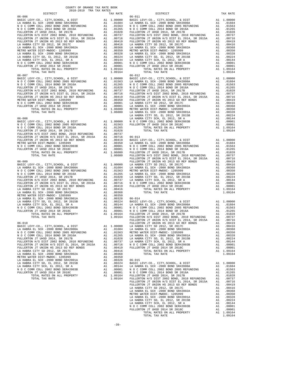| COUNTY OF ORANGE TAX RATE BOOK<br>2018-2019 TRA TAX RATES |          |                                                                                                                                                                                                                                                                                                                                                                                   |          |
|-----------------------------------------------------------|----------|-----------------------------------------------------------------------------------------------------------------------------------------------------------------------------------------------------------------------------------------------------------------------------------------------------------------------------------------------------------------------------------|----------|
|                                                           | TAX RATE | DISTRICT                                                                                                                                                                                                                                                                                                                                                                          | TAX RATE |
|                                                           |          |                                                                                                                                                                                                                                                                                                                                                                                   |          |
|                                                           |          |                                                                                                                                                                                                                                                                                                                                                                                   |          |
|                                                           |          |                                                                                                                                                                                                                                                                                                                                                                                   |          |
|                                                           |          |                                                                                                                                                                                                                                                                                                                                                                                   |          |
|                                                           |          |                                                                                                                                                                                                                                                                                                                                                                                   |          |
|                                                           |          |                                                                                                                                                                                                                                                                                                                                                                                   |          |
|                                                           |          |                                                                                                                                                                                                                                                                                                                                                                                   |          |
|                                                           |          |                                                                                                                                                                                                                                                                                                                                                                                   |          |
|                                                           |          |                                                                                                                                                                                                                                                                                                                                                                                   |          |
|                                                           |          |                                                                                                                                                                                                                                                                                                                                                                                   |          |
|                                                           |          |                                                                                                                                                                                                                                                                                                                                                                                   |          |
|                                                           |          |                                                                                                                                                                                                                                                                                                                                                                                   |          |
|                                                           |          |                                                                                                                                                                                                                                                                                                                                                                                   |          |
|                                                           |          |                                                                                                                                                                                                                                                                                                                                                                                   |          |
|                                                           |          |                                                                                                                                                                                                                                                                                                                                                                                   |          |
|                                                           |          |                                                                                                                                                                                                                                                                                                                                                                                   |          |
|                                                           |          |                                                                                                                                                                                                                                                                                                                                                                                   |          |
|                                                           |          |                                                                                                                                                                                                                                                                                                                                                                                   |          |
|                                                           |          |                                                                                                                                                                                                                                                                                                                                                                                   |          |
|                                                           |          |                                                                                                                                                                                                                                                                                                                                                                                   |          |
|                                                           |          |                                                                                                                                                                                                                                                                                                                                                                                   |          |
|                                                           |          |                                                                                                                                                                                                                                                                                                                                                                                   |          |
|                                                           |          |                                                                                                                                                                                                                                                                                                                                                                                   |          |
|                                                           |          |                                                                                                                                                                                                                                                                                                                                                                                   |          |
|                                                           |          |                                                                                                                                                                                                                                                                                                                                                                                   |          |
|                                                           |          |                                                                                                                                                                                                                                                                                                                                                                                   |          |
|                                                           |          |                                                                                                                                                                                                                                                                                                                                                                                   |          |
|                                                           |          |                                                                                                                                                                                                                                                                                                                                                                                   |          |
|                                                           |          |                                                                                                                                                                                                                                                                                                                                                                                   |          |
|                                                           |          |                                                                                                                                                                                                                                                                                                                                                                                   |          |
|                                                           |          |                                                                                                                                                                                                                                                                                                                                                                                   |          |
|                                                           |          |                                                                                                                                                                                                                                                                                                                                                                                   |          |
|                                                           |          |                                                                                                                                                                                                                                                                                                                                                                                   |          |
|                                                           |          |                                                                                                                                                                                                                                                                                                                                                                                   |          |
|                                                           |          |                                                                                                                                                                                                                                                                                                                                                                                   |          |
|                                                           |          |                                                                                                                                                                                                                                                                                                                                                                                   |          |
|                                                           |          |                                                                                                                                                                                                                                                                                                                                                                                   |          |
|                                                           |          |                                                                                                                                                                                                                                                                                                                                                                                   |          |
|                                                           |          |                                                                                                                                                                                                                                                                                                                                                                                   |          |
|                                                           |          |                                                                                                                                                                                                                                                                                                                                                                                   |          |
|                                                           |          |                                                                                                                                                                                                                                                                                                                                                                                   |          |
|                                                           |          |                                                                                                                                                                                                                                                                                                                                                                                   |          |
|                                                           |          |                                                                                                                                                                                                                                                                                                                                                                                   |          |
|                                                           |          |                                                                                                                                                                                                                                                                                                                                                                                   |          |
|                                                           |          |                                                                                                                                                                                                                                                                                                                                                                                   |          |
|                                                           |          |                                                                                                                                                                                                                                                                                                                                                                                   |          |
|                                                           |          |                                                                                                                                                                                                                                                                                                                                                                                   |          |
|                                                           |          |                                                                                                                                                                                                                                                                                                                                                                                   |          |
|                                                           |          |                                                                                                                                                                                                                                                                                                                                                                                   |          |
|                                                           |          |                                                                                                                                                                                                                                                                                                                                                                                   |          |
|                                                           |          | FULLERTON JT UNION H/S DIST EL 2014, SR 2015A A1 .00716                                                                                                                                                                                                                                                                                                                           |          |
|                                                           |          | $\begin{tabular}{l c c c c c} \texttt{FULLEFTON JT UNION HS 2013 G0 REF BONDS} & & & 1.00716 \\ \texttt{FULLEFTON JT UNION HS 2013 G0 REF BONDS} & & & 1.00419 \\ \texttt{LA HABRA CITY SD 2012, SR 2017C} & & & 1.00416 \\ \texttt{LA HABRA EL SCH -2000 BOND SRF42002A} & & & 1.00358 \\ \texttt{METRO WATER DIST-MMDCC - 1205999} & & & 1.00358 \\ \texttt{M HABRA EL SCH -20$ |          |
|                                                           |          |                                                                                                                                                                                                                                                                                                                                                                                   |          |
|                                                           |          |                                                                                                                                                                                                                                                                                                                                                                                   |          |
|                                                           |          |                                                                                                                                                                                                                                                                                                                                                                                   |          |
|                                                           |          |                                                                                                                                                                                                                                                                                                                                                                                   |          |
|                                                           |          |                                                                                                                                                                                                                                                                                                                                                                                   |          |
|                                                           |          |                                                                                                                                                                                                                                                                                                                                                                                   |          |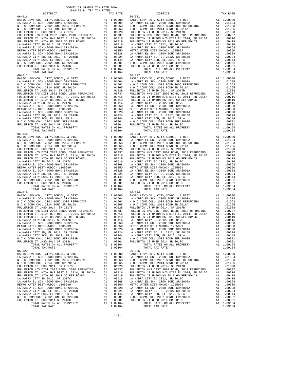| COUNTY OF ORANGE TAX RATE BOOK |          |            |          |
|--------------------------------|----------|------------|----------|
|                                | TAX RATE | DISTRICT   | TAX RATE |
|                                |          | $06 - 021$ |          |
|                                |          |            |          |
|                                |          |            |          |
|                                |          |            |          |
|                                |          |            |          |
|                                |          |            |          |
|                                |          |            |          |
|                                |          |            |          |
|                                |          |            |          |
|                                |          |            |          |
|                                |          |            |          |
|                                |          |            |          |
|                                |          |            |          |
|                                |          |            |          |
|                                |          |            |          |
|                                |          |            |          |
|                                |          |            |          |
|                                |          |            |          |
|                                |          |            |          |
|                                |          |            |          |
|                                |          |            |          |
|                                |          |            |          |
|                                |          |            |          |
|                                |          |            |          |
|                                |          |            |          |
|                                |          |            |          |
|                                |          |            |          |
|                                |          |            |          |
|                                |          |            |          |
| $06 - 018$                     |          | $06 - 023$ |          |
|                                |          |            |          |
|                                |          |            |          |
|                                |          |            |          |
|                                |          |            |          |
|                                |          |            |          |
|                                |          |            |          |
|                                |          |            |          |
|                                |          |            |          |
|                                |          |            |          |
|                                |          |            |          |
|                                |          |            |          |
|                                |          |            |          |
|                                |          |            |          |
|                                |          |            |          |
| $06 - 019$                     |          | $06 - 024$ |          |
|                                |          |            |          |
|                                |          |            |          |
|                                |          |            |          |
|                                |          |            |          |
|                                |          |            |          |
|                                |          |            |          |
|                                |          |            |          |
|                                |          |            |          |
|                                |          |            |          |
|                                |          |            |          |
|                                |          |            |          |
|                                |          |            |          |
|                                |          |            |          |
|                                |          |            |          |
|                                |          |            |          |
|                                |          |            |          |
|                                |          |            |          |
|                                |          |            |          |
|                                |          |            |          |
|                                |          |            |          |
|                                |          |            |          |
|                                |          |            |          |
|                                |          |            |          |
|                                |          |            |          |
|                                |          |            |          |
|                                |          |            |          |
|                                |          |            |          |
|                                |          |            |          |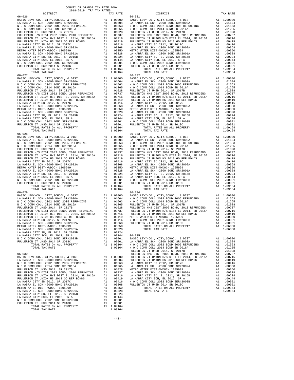| COUNTY OF ORANGE TAX RATE BOOK |          |            |          |
|--------------------------------|----------|------------|----------|
|                                | TAX RATE | DISTRICT   | TAX RATE |
| $06 - 026$                     |          | $06 - 031$ |          |
|                                |          |            |          |
|                                |          |            |          |
|                                |          |            |          |
|                                |          |            |          |
|                                |          |            |          |
|                                |          |            |          |
|                                |          |            |          |
|                                |          |            |          |
|                                |          |            |          |
|                                |          |            |          |
|                                |          |            |          |
|                                |          |            |          |
|                                |          |            |          |
|                                |          |            |          |
|                                |          |            |          |
|                                |          |            |          |
|                                |          |            |          |
|                                |          |            |          |
|                                |          |            |          |
|                                |          |            |          |
|                                |          |            |          |
|                                |          |            |          |
|                                |          |            |          |
| $06 - 028$                     |          | $06 - 033$ |          |
|                                |          |            |          |
|                                |          |            |          |
|                                |          |            |          |
|                                |          |            |          |
|                                |          |            |          |
|                                |          |            |          |
|                                |          |            |          |
|                                |          |            |          |
|                                |          |            |          |
|                                |          |            |          |
|                                |          |            |          |
| TOTAL TAX RATE<br>$06 - 029$   | 1.09164  | $06 - 034$ |          |
|                                |          |            |          |
|                                |          |            |          |
|                                |          |            |          |
|                                |          |            |          |
|                                |          |            |          |
|                                |          |            |          |
|                                |          |            |          |
|                                |          |            |          |
|                                |          |            |          |
|                                |          |            |          |
|                                |          |            |          |
|                                |          |            |          |
|                                |          |            |          |
|                                |          |            |          |
|                                |          |            |          |
|                                |          |            |          |
|                                |          |            |          |
|                                |          |            |          |
|                                |          |            |          |
|                                |          |            |          |
|                                |          |            |          |
|                                |          |            |          |
|                                |          |            |          |
|                                |          |            |          |
|                                |          |            |          |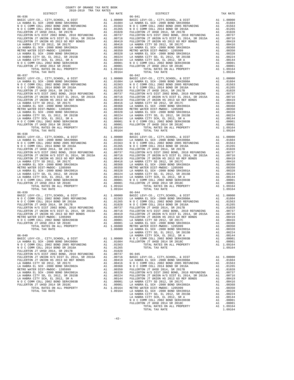| COUNTY OF ORANGE TAX RATE BOOK |          |            |          |
|--------------------------------|----------|------------|----------|
|                                | TAX RATE | DISTRICT   | TAX RATE |
| $06 - 036$                     |          | $06 - 041$ |          |
|                                |          |            |          |
|                                |          |            |          |
|                                |          |            |          |
|                                |          |            |          |
|                                |          |            |          |
|                                |          |            |          |
|                                |          |            |          |
|                                |          |            |          |
|                                |          |            |          |
|                                |          |            |          |
|                                |          |            |          |
|                                |          |            |          |
|                                |          |            |          |
|                                |          |            |          |
|                                |          |            |          |
|                                |          |            |          |
|                                |          |            |          |
|                                |          |            |          |
|                                |          |            |          |
|                                |          |            |          |
|                                |          |            |          |
|                                |          |            |          |
|                                |          |            |          |
|                                |          |            |          |
|                                |          |            |          |
|                                |          |            |          |
|                                |          |            |          |
|                                |          | $06 - 043$ |          |
| $06 - 038$                     |          |            |          |
|                                |          |            |          |
|                                |          |            |          |
|                                |          |            |          |
|                                |          |            |          |
|                                |          |            |          |
|                                |          |            |          |
|                                |          |            |          |
|                                |          |            |          |
|                                |          |            |          |
|                                |          |            |          |
|                                |          |            |          |
|                                |          |            |          |
|                                |          |            |          |
| $06 - 039$                     |          | $06 - 044$ |          |
|                                |          |            |          |
|                                |          |            |          |
|                                |          |            |          |
|                                |          |            |          |
|                                |          |            |          |
|                                |          |            |          |
|                                |          |            |          |
|                                |          |            |          |
|                                |          |            |          |
|                                |          |            |          |
|                                |          |            |          |
|                                |          |            |          |
|                                |          |            |          |
|                                |          |            |          |
|                                |          |            |          |
|                                |          |            |          |
|                                |          |            |          |
|                                |          |            |          |
|                                |          |            |          |
|                                |          |            |          |
|                                |          |            |          |
|                                |          |            |          |
|                                |          |            |          |
|                                |          |            |          |
|                                |          |            |          |
|                                |          |            |          |
|                                |          |            |          |
|                                |          |            |          |
|                                |          |            |          |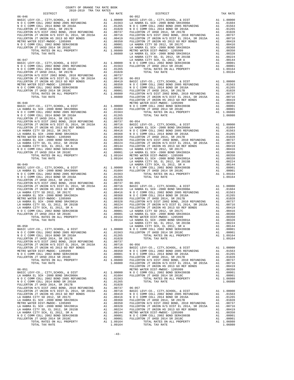| DISTRICT<br>TAX RATE |  | DISTRICT                                                                                                                                                                                                                                    | TAX RATE |
|----------------------|--|---------------------------------------------------------------------------------------------------------------------------------------------------------------------------------------------------------------------------------------------|----------|
|                      |  |                                                                                                                                                                                                                                             |          |
|                      |  |                                                                                                                                                                                                                                             |          |
|                      |  |                                                                                                                                                                                                                                             |          |
|                      |  |                                                                                                                                                                                                                                             |          |
|                      |  |                                                                                                                                                                                                                                             |          |
|                      |  |                                                                                                                                                                                                                                             |          |
|                      |  |                                                                                                                                                                                                                                             |          |
|                      |  |                                                                                                                                                                                                                                             |          |
|                      |  |                                                                                                                                                                                                                                             |          |
|                      |  |                                                                                                                                                                                                                                             |          |
|                      |  |                                                                                                                                                                                                                                             |          |
|                      |  |                                                                                                                                                                                                                                             |          |
|                      |  |                                                                                                                                                                                                                                             |          |
|                      |  |                                                                                                                                                                                                                                             |          |
|                      |  |                                                                                                                                                                                                                                             |          |
|                      |  |                                                                                                                                                                                                                                             |          |
|                      |  |                                                                                                                                                                                                                                             |          |
|                      |  |                                                                                                                                                                                                                                             |          |
|                      |  |                                                                                                                                                                                                                                             |          |
|                      |  |                                                                                                                                                                                                                                             |          |
|                      |  |                                                                                                                                                                                                                                             |          |
|                      |  |                                                                                                                                                                                                                                             |          |
|                      |  |                                                                                                                                                                                                                                             |          |
|                      |  |                                                                                                                                                                                                                                             |          |
|                      |  |                                                                                                                                                                                                                                             |          |
|                      |  |                                                                                                                                                                                                                                             |          |
|                      |  |                                                                                                                                                                                                                                             |          |
|                      |  |                                                                                                                                                                                                                                             |          |
|                      |  |                                                                                                                                                                                                                                             |          |
|                      |  |                                                                                                                                                                                                                                             |          |
|                      |  |                                                                                                                                                                                                                                             |          |
|                      |  |                                                                                                                                                                                                                                             |          |
|                      |  |                                                                                                                                                                                                                                             |          |
|                      |  |                                                                                                                                                                                                                                             |          |
|                      |  |                                                                                                                                                                                                                                             |          |
|                      |  |                                                                                                                                                                                                                                             |          |
|                      |  |                                                                                                                                                                                                                                             |          |
|                      |  |                                                                                                                                                                                                                                             |          |
|                      |  |                                                                                                                                                                                                                                             |          |
|                      |  |                                                                                                                                                                                                                                             |          |
|                      |  |                                                                                                                                                                                                                                             |          |
|                      |  |                                                                                                                                                                                                                                             |          |
|                      |  |                                                                                                                                                                                                                                             |          |
|                      |  |                                                                                                                                                                                                                                             |          |
|                      |  |                                                                                                                                                                                                                                             |          |
|                      |  |                                                                                                                                                                                                                                             |          |
|                      |  |                                                                                                                                                                                                                                             |          |
|                      |  |                                                                                                                                                                                                                                             |          |
|                      |  |                                                                                                                                                                                                                                             |          |
|                      |  |                                                                                                                                                                                                                                             |          |
|                      |  |                                                                                                                                                                                                                                             |          |
|                      |  |                                                                                                                                                                                                                                             |          |
|                      |  |                                                                                                                                                                                                                                             |          |
|                      |  |                                                                                                                                                                                                                                             |          |
|                      |  |                                                                                                                                                                                                                                             |          |
|                      |  |                                                                                                                                                                                                                                             |          |
|                      |  |                                                                                                                                                                                                                                             |          |
|                      |  |                                                                                                                                                                                                                                             |          |
|                      |  |                                                                                                                                                                                                                                             |          |
|                      |  |                                                                                                                                                                                                                                             |          |
|                      |  |                                                                                                                                                                                                                                             |          |
|                      |  |                                                                                                                                                                                                                                             |          |
|                      |  |                                                                                                                                                                                                                                             |          |
|                      |  |                                                                                                                                                                                                                                             |          |
|                      |  |                                                                                                                                                                                                                                             |          |
|                      |  |                                                                                                                                                                                                                                             |          |
|                      |  |                                                                                                                                                                                                                                             |          |
|                      |  |                                                                                                                                                                                                                                             |          |
|                      |  |                                                                                                                                                                                                                                             |          |
|                      |  |                                                                                                                                                                                                                                             |          |
|                      |  |                                                                                                                                                                                                                                             |          |
|                      |  |                                                                                                                                                                                                                                             |          |
|                      |  |                                                                                                                                                                                                                                             |          |
|                      |  |                                                                                                                                                                                                                                             |          |
|                      |  |                                                                                                                                                                                                                                             |          |
|                      |  | FULLERTON JT UNION HS 2013 GO REF BONDS<br>FULLERTON JT UNION HS 2013 GO REF BONDS<br>METRO WATER DIST -MWDOC-1205999<br>MO C COMM COLL 2002 BOND SER#2003B<br>MO C COMM COLL 2002 BOND SER#2003B<br>MO C COMM COLL 2002 BOND SER#2003B<br> |          |
|                      |  |                                                                                                                                                                                                                                             |          |
|                      |  |                                                                                                                                                                                                                                             |          |
|                      |  |                                                                                                                                                                                                                                             |          |
|                      |  |                                                                                                                                                                                                                                             |          |
|                      |  |                                                                                                                                                                                                                                             |          |
|                      |  |                                                                                                                                                                                                                                             |          |
|                      |  |                                                                                                                                                                                                                                             |          |
|                      |  |                                                                                                                                                                                                                                             |          |
|                      |  |                                                                                                                                                                                                                                             |          |
|                      |  |                                                                                                                                                                                                                                             |          |
|                      |  |                                                                                                                                                                                                                                             |          |
|                      |  |                                                                                                                                                                                                                                             |          |
|                      |  |                                                                                                                                                                                                                                             |          |
|                      |  |                                                                                                                                                                                                                                             |          |
|                      |  |                                                                                                                                                                                                                                             |          |
|                      |  |                                                                                                                                                                                                                                             |          |
|                      |  |                                                                                                                                                                                                                                             |          |
|                      |  |                                                                                                                                                                                                                                             |          |
|                      |  |                                                                                                                                                                                                                                             |          |
|                      |  |                                                                                                                                                                                                                                             |          |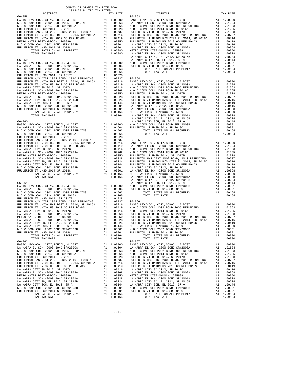| COUNTY OF ORANGE TAX RATE BOOK |  |          |                                                                                                                                                                                                                                                                                                                                                                                     |  |          |  |  |  |  |
|--------------------------------|--|----------|-------------------------------------------------------------------------------------------------------------------------------------------------------------------------------------------------------------------------------------------------------------------------------------------------------------------------------------------------------------------------------------|--|----------|--|--|--|--|
|                                |  | TAX RATE | DISTRICT                                                                                                                                                                                                                                                                                                                                                                            |  | TAX RATE |  |  |  |  |
|                                |  |          |                                                                                                                                                                                                                                                                                                                                                                                     |  |          |  |  |  |  |
|                                |  |          |                                                                                                                                                                                                                                                                                                                                                                                     |  |          |  |  |  |  |
|                                |  |          |                                                                                                                                                                                                                                                                                                                                                                                     |  |          |  |  |  |  |
|                                |  |          |                                                                                                                                                                                                                                                                                                                                                                                     |  |          |  |  |  |  |
|                                |  |          |                                                                                                                                                                                                                                                                                                                                                                                     |  |          |  |  |  |  |
|                                |  |          |                                                                                                                                                                                                                                                                                                                                                                                     |  |          |  |  |  |  |
|                                |  |          |                                                                                                                                                                                                                                                                                                                                                                                     |  |          |  |  |  |  |
|                                |  |          |                                                                                                                                                                                                                                                                                                                                                                                     |  |          |  |  |  |  |
|                                |  |          |                                                                                                                                                                                                                                                                                                                                                                                     |  |          |  |  |  |  |
|                                |  |          |                                                                                                                                                                                                                                                                                                                                                                                     |  |          |  |  |  |  |
|                                |  |          |                                                                                                                                                                                                                                                                                                                                                                                     |  |          |  |  |  |  |
|                                |  |          |                                                                                                                                                                                                                                                                                                                                                                                     |  |          |  |  |  |  |
|                                |  |          |                                                                                                                                                                                                                                                                                                                                                                                     |  |          |  |  |  |  |
|                                |  |          |                                                                                                                                                                                                                                                                                                                                                                                     |  |          |  |  |  |  |
|                                |  |          |                                                                                                                                                                                                                                                                                                                                                                                     |  |          |  |  |  |  |
|                                |  |          |                                                                                                                                                                                                                                                                                                                                                                                     |  |          |  |  |  |  |
|                                |  |          |                                                                                                                                                                                                                                                                                                                                                                                     |  |          |  |  |  |  |
|                                |  |          |                                                                                                                                                                                                                                                                                                                                                                                     |  |          |  |  |  |  |
|                                |  |          |                                                                                                                                                                                                                                                                                                                                                                                     |  |          |  |  |  |  |
|                                |  |          |                                                                                                                                                                                                                                                                                                                                                                                     |  |          |  |  |  |  |
|                                |  |          |                                                                                                                                                                                                                                                                                                                                                                                     |  |          |  |  |  |  |
|                                |  |          |                                                                                                                                                                                                                                                                                                                                                                                     |  |          |  |  |  |  |
|                                |  |          |                                                                                                                                                                                                                                                                                                                                                                                     |  |          |  |  |  |  |
|                                |  |          |                                                                                                                                                                                                                                                                                                                                                                                     |  |          |  |  |  |  |
|                                |  |          |                                                                                                                                                                                                                                                                                                                                                                                     |  |          |  |  |  |  |
|                                |  |          |                                                                                                                                                                                                                                                                                                                                                                                     |  |          |  |  |  |  |
|                                |  |          |                                                                                                                                                                                                                                                                                                                                                                                     |  |          |  |  |  |  |
|                                |  |          |                                                                                                                                                                                                                                                                                                                                                                                     |  |          |  |  |  |  |
|                                |  |          |                                                                                                                                                                                                                                                                                                                                                                                     |  |          |  |  |  |  |
|                                |  |          |                                                                                                                                                                                                                                                                                                                                                                                     |  |          |  |  |  |  |
|                                |  |          |                                                                                                                                                                                                                                                                                                                                                                                     |  |          |  |  |  |  |
|                                |  |          |                                                                                                                                                                                                                                                                                                                                                                                     |  |          |  |  |  |  |
|                                |  |          |                                                                                                                                                                                                                                                                                                                                                                                     |  |          |  |  |  |  |
|                                |  |          |                                                                                                                                                                                                                                                                                                                                                                                     |  |          |  |  |  |  |
|                                |  |          |                                                                                                                                                                                                                                                                                                                                                                                     |  |          |  |  |  |  |
|                                |  |          |                                                                                                                                                                                                                                                                                                                                                                                     |  |          |  |  |  |  |
|                                |  |          |                                                                                                                                                                                                                                                                                                                                                                                     |  |          |  |  |  |  |
|                                |  |          |                                                                                                                                                                                                                                                                                                                                                                                     |  |          |  |  |  |  |
|                                |  |          |                                                                                                                                                                                                                                                                                                                                                                                     |  |          |  |  |  |  |
|                                |  |          |                                                                                                                                                                                                                                                                                                                                                                                     |  |          |  |  |  |  |
|                                |  |          |                                                                                                                                                                                                                                                                                                                                                                                     |  |          |  |  |  |  |
|                                |  |          |                                                                                                                                                                                                                                                                                                                                                                                     |  |          |  |  |  |  |
|                                |  |          |                                                                                                                                                                                                                                                                                                                                                                                     |  |          |  |  |  |  |
|                                |  |          |                                                                                                                                                                                                                                                                                                                                                                                     |  |          |  |  |  |  |
|                                |  |          |                                                                                                                                                                                                                                                                                                                                                                                     |  |          |  |  |  |  |
|                                |  |          |                                                                                                                                                                                                                                                                                                                                                                                     |  |          |  |  |  |  |
|                                |  |          |                                                                                                                                                                                                                                                                                                                                                                                     |  |          |  |  |  |  |
|                                |  |          |                                                                                                                                                                                                                                                                                                                                                                                     |  |          |  |  |  |  |
|                                |  |          |                                                                                                                                                                                                                                                                                                                                                                                     |  |          |  |  |  |  |
|                                |  |          |                                                                                                                                                                                                                                                                                                                                                                                     |  |          |  |  |  |  |
|                                |  |          |                                                                                                                                                                                                                                                                                                                                                                                     |  |          |  |  |  |  |
|                                |  |          |                                                                                                                                                                                                                                                                                                                                                                                     |  |          |  |  |  |  |
|                                |  |          |                                                                                                                                                                                                                                                                                                                                                                                     |  |          |  |  |  |  |
|                                |  |          |                                                                                                                                                                                                                                                                                                                                                                                     |  |          |  |  |  |  |
|                                |  |          |                                                                                                                                                                                                                                                                                                                                                                                     |  |          |  |  |  |  |
|                                |  |          |                                                                                                                                                                                                                                                                                                                                                                                     |  |          |  |  |  |  |
|                                |  |          |                                                                                                                                                                                                                                                                                                                                                                                     |  |          |  |  |  |  |
|                                |  |          |                                                                                                                                                                                                                                                                                                                                                                                     |  |          |  |  |  |  |
|                                |  |          |                                                                                                                                                                                                                                                                                                                                                                                     |  |          |  |  |  |  |
| $06 - 062$                     |  |          | $06 - 067$                                                                                                                                                                                                                                                                                                                                                                          |  |          |  |  |  |  |
|                                |  |          |                                                                                                                                                                                                                                                                                                                                                                                     |  |          |  |  |  |  |
|                                |  |          |                                                                                                                                                                                                                                                                                                                                                                                     |  |          |  |  |  |  |
|                                |  |          |                                                                                                                                                                                                                                                                                                                                                                                     |  |          |  |  |  |  |
|                                |  |          |                                                                                                                                                                                                                                                                                                                                                                                     |  |          |  |  |  |  |
|                                |  |          |                                                                                                                                                                                                                                                                                                                                                                                     |  |          |  |  |  |  |
|                                |  |          |                                                                                                                                                                                                                                                                                                                                                                                     |  |          |  |  |  |  |
|                                |  |          | $\begin{tabular}{l c c c c c c c c c} FULLEFTON JT UNION H'S DIST EL 2013 GO REF BONDS & A1 & .00716 & FULLEFTON JT UNION H'S DIST EL 2014, SR 2015A & A1 & .00716\\ FULLEFTON JT UNION H'S DIST EL 2012, SR 2017C & A1 & .00419 & FULLEFTON JT UNION H'S DIST EL 2014, SR 2015A & A1 & .00419\\ LA HARR CITY SD 2012, SR 2017C & A1 & .00416 & LA HARR L I. SR 2017C & A1 & .0041$ |  |          |  |  |  |  |
|                                |  |          |                                                                                                                                                                                                                                                                                                                                                                                     |  |          |  |  |  |  |
|                                |  |          |                                                                                                                                                                                                                                                                                                                                                                                     |  |          |  |  |  |  |
|                                |  |          |                                                                                                                                                                                                                                                                                                                                                                                     |  |          |  |  |  |  |
|                                |  |          |                                                                                                                                                                                                                                                                                                                                                                                     |  |          |  |  |  |  |
|                                |  |          |                                                                                                                                                                                                                                                                                                                                                                                     |  |          |  |  |  |  |
|                                |  |          |                                                                                                                                                                                                                                                                                                                                                                                     |  |          |  |  |  |  |
|                                |  |          |                                                                                                                                                                                                                                                                                                                                                                                     |  |          |  |  |  |  |
|                                |  |          |                                                                                                                                                                                                                                                                                                                                                                                     |  |          |  |  |  |  |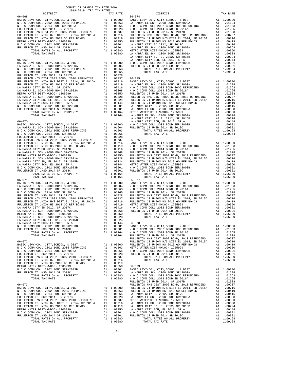| COUNTY OF ORANGE TAX RATE BOOK |          |                                                         |          |
|--------------------------------|----------|---------------------------------------------------------|----------|
|                                | TAX RATE | DISTRICT                                                | TAX RATE |
|                                |          |                                                         |          |
|                                |          |                                                         |          |
|                                |          |                                                         |          |
|                                |          |                                                         |          |
|                                |          |                                                         |          |
|                                |          |                                                         |          |
|                                |          |                                                         |          |
|                                |          |                                                         |          |
|                                |          |                                                         |          |
|                                |          |                                                         |          |
|                                |          |                                                         |          |
|                                |          |                                                         |          |
|                                |          |                                                         |          |
|                                |          |                                                         |          |
|                                |          |                                                         |          |
|                                |          |                                                         |          |
|                                |          |                                                         |          |
|                                |          |                                                         |          |
|                                |          |                                                         |          |
|                                |          |                                                         |          |
|                                |          |                                                         |          |
|                                |          |                                                         |          |
|                                |          |                                                         |          |
|                                |          |                                                         |          |
|                                |          |                                                         |          |
|                                |          |                                                         |          |
|                                |          |                                                         |          |
|                                |          |                                                         |          |
|                                |          |                                                         |          |
|                                |          |                                                         |          |
|                                |          |                                                         |          |
|                                |          |                                                         |          |
|                                |          |                                                         |          |
|                                |          |                                                         |          |
|                                |          |                                                         |          |
|                                |          |                                                         |          |
|                                |          |                                                         |          |
|                                |          |                                                         |          |
|                                |          |                                                         |          |
|                                |          |                                                         |          |
|                                |          |                                                         |          |
|                                |          | $06 - 077$                                              |          |
| $06 - 071$                     |          |                                                         |          |
|                                |          |                                                         |          |
|                                |          |                                                         |          |
|                                |          |                                                         |          |
|                                |          |                                                         |          |
|                                |          |                                                         |          |
|                                |          |                                                         |          |
|                                |          |                                                         |          |
|                                |          |                                                         |          |
|                                |          |                                                         |          |
|                                |          |                                                         |          |
|                                |          |                                                         |          |
|                                |          |                                                         |          |
|                                |          |                                                         |          |
|                                |          |                                                         |          |
| $06 - 072$                     |          | FULLERTON JT UNION H/S DIST EL 2014, SR 2015A A1 .00716 |          |
|                                |          |                                                         |          |
|                                |          |                                                         |          |
|                                |          |                                                         |          |
|                                |          |                                                         |          |
|                                |          |                                                         |          |
|                                |          |                                                         |          |
|                                |          |                                                         |          |
|                                |          |                                                         |          |
|                                |          |                                                         |          |
|                                |          |                                                         |          |
|                                |          |                                                         |          |
|                                |          |                                                         |          |
|                                |          |                                                         |          |
|                                |          |                                                         |          |
|                                |          |                                                         |          |
|                                |          |                                                         |          |
|                                |          |                                                         |          |
|                                |          |                                                         |          |
|                                |          |                                                         |          |
|                                |          |                                                         |          |
|                                |          |                                                         |          |
|                                |          |                                                         |          |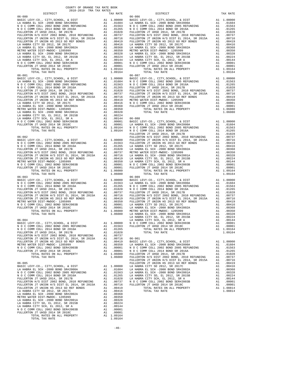| $2018-2019\quad\text{TRA TAX RATE}\\ \text{DISTRICT}$ | TAX RATE | DISTRICT                                                                                                                                                                                                                                                                                          | TAX RATE |
|-------------------------------------------------------|----------|---------------------------------------------------------------------------------------------------------------------------------------------------------------------------------------------------------------------------------------------------------------------------------------------------|----------|
|                                                       |          |                                                                                                                                                                                                                                                                                                   |          |
|                                                       |          |                                                                                                                                                                                                                                                                                                   |          |
|                                                       |          |                                                                                                                                                                                                                                                                                                   |          |
|                                                       |          |                                                                                                                                                                                                                                                                                                   |          |
|                                                       |          |                                                                                                                                                                                                                                                                                                   |          |
|                                                       |          |                                                                                                                                                                                                                                                                                                   |          |
|                                                       |          |                                                                                                                                                                                                                                                                                                   |          |
|                                                       |          |                                                                                                                                                                                                                                                                                                   |          |
|                                                       |          |                                                                                                                                                                                                                                                                                                   |          |
|                                                       |          |                                                                                                                                                                                                                                                                                                   |          |
|                                                       |          |                                                                                                                                                                                                                                                                                                   |          |
|                                                       |          |                                                                                                                                                                                                                                                                                                   |          |
|                                                       |          |                                                                                                                                                                                                                                                                                                   |          |
|                                                       |          |                                                                                                                                                                                                                                                                                                   |          |
|                                                       |          |                                                                                                                                                                                                                                                                                                   |          |
|                                                       |          |                                                                                                                                                                                                                                                                                                   |          |
|                                                       |          |                                                                                                                                                                                                                                                                                                   |          |
|                                                       |          |                                                                                                                                                                                                                                                                                                   |          |
|                                                       |          |                                                                                                                                                                                                                                                                                                   |          |
|                                                       |          |                                                                                                                                                                                                                                                                                                   |          |
|                                                       |          |                                                                                                                                                                                                                                                                                                   |          |
|                                                       |          |                                                                                                                                                                                                                                                                                                   |          |
|                                                       |          |                                                                                                                                                                                                                                                                                                   |          |
|                                                       |          |                                                                                                                                                                                                                                                                                                   |          |
|                                                       |          |                                                                                                                                                                                                                                                                                                   |          |
|                                                       |          |                                                                                                                                                                                                                                                                                                   |          |
|                                                       |          |                                                                                                                                                                                                                                                                                                   |          |
|                                                       |          |                                                                                                                                                                                                                                                                                                   |          |
|                                                       |          |                                                                                                                                                                                                                                                                                                   |          |
|                                                       |          |                                                                                                                                                                                                                                                                                                   |          |
|                                                       |          |                                                                                                                                                                                                                                                                                                   |          |
|                                                       |          |                                                                                                                                                                                                                                                                                                   |          |
|                                                       |          |                                                                                                                                                                                                                                                                                                   |          |
|                                                       |          |                                                                                                                                                                                                                                                                                                   |          |
|                                                       |          |                                                                                                                                                                                                                                                                                                   |          |
|                                                       |          |                                                                                                                                                                                                                                                                                                   |          |
|                                                       |          |                                                                                                                                                                                                                                                                                                   |          |
|                                                       |          |                                                                                                                                                                                                                                                                                                   |          |
|                                                       |          |                                                                                                                                                                                                                                                                                                   |          |
|                                                       |          |                                                                                                                                                                                                                                                                                                   |          |
|                                                       |          |                                                                                                                                                                                                                                                                                                   |          |
|                                                       |          |                                                                                                                                                                                                                                                                                                   |          |
|                                                       |          |                                                                                                                                                                                                                                                                                                   |          |
|                                                       |          |                                                                                                                                                                                                                                                                                                   |          |
|                                                       |          |                                                                                                                                                                                                                                                                                                   |          |
|                                                       |          |                                                                                                                                                                                                                                                                                                   |          |
|                                                       |          |                                                                                                                                                                                                                                                                                                   |          |
|                                                       |          |                                                                                                                                                                                                                                                                                                   |          |
|                                                       |          |                                                                                                                                                                                                                                                                                                   |          |
|                                                       |          |                                                                                                                                                                                                                                                                                                   |          |
|                                                       |          |                                                                                                                                                                                                                                                                                                   |          |
|                                                       |          |                                                                                                                                                                                                                                                                                                   |          |
|                                                       |          |                                                                                                                                                                                                                                                                                                   |          |
|                                                       |          |                                                                                                                                                                                                                                                                                                   |          |
|                                                       |          |                                                                                                                                                                                                                                                                                                   |          |
|                                                       |          |                                                                                                                                                                                                                                                                                                   |          |
|                                                       |          |                                                                                                                                                                                                                                                                                                   |          |
|                                                       |          |                                                                                                                                                                                                                                                                                                   |          |
|                                                       |          |                                                                                                                                                                                                                                                                                                   |          |
|                                                       |          |                                                                                                                                                                                                                                                                                                   |          |
|                                                       |          |                                                                                                                                                                                                                                                                                                   |          |
|                                                       |          |                                                                                                                                                                                                                                                                                                   |          |
|                                                       |          |                                                                                                                                                                                                                                                                                                   |          |
|                                                       |          |                                                                                                                                                                                                                                                                                                   |          |
|                                                       |          |                                                                                                                                                                                                                                                                                                   |          |
|                                                       |          |                                                                                                                                                                                                                                                                                                   |          |
|                                                       |          |                                                                                                                                                                                                                                                                                                   |          |
|                                                       |          |                                                                                                                                                                                                                                                                                                   |          |
|                                                       |          |                                                                                                                                                                                                                                                                                                   |          |
|                                                       |          |                                                                                                                                                                                                                                                                                                   |          |
|                                                       |          | ${\footnotesize \begin{tabular}{l c c c c c c} FULERTON JT UNION HS 2013 GO REF BONDS & A1 & .00716 & 06-901 & 06-901 & 06-901 & 06-901 & 06-901 & 06-901 & 06-901 & 06-901 & 06-901 & 06-901 & 06-901 & 06-901 & 06-901 & 06-901 & 06-901 & 06-901 & 06-901 & 06-901 & 06-901 & 06-901 & 06-901$ |          |
|                                                       |          |                                                                                                                                                                                                                                                                                                   |          |
|                                                       |          |                                                                                                                                                                                                                                                                                                   |          |
|                                                       |          |                                                                                                                                                                                                                                                                                                   |          |
|                                                       |          |                                                                                                                                                                                                                                                                                                   |          |
|                                                       |          |                                                                                                                                                                                                                                                                                                   |          |
|                                                       |          |                                                                                                                                                                                                                                                                                                   |          |
|                                                       |          |                                                                                                                                                                                                                                                                                                   |          |
|                                                       |          |                                                                                                                                                                                                                                                                                                   |          |
|                                                       |          |                                                                                                                                                                                                                                                                                                   |          |
|                                                       |          |                                                                                                                                                                                                                                                                                                   |          |
|                                                       |          |                                                                                                                                                                                                                                                                                                   |          |
|                                                       |          |                                                                                                                                                                                                                                                                                                   |          |
|                                                       |          |                                                                                                                                                                                                                                                                                                   |          |
|                                                       |          |                                                                                                                                                                                                                                                                                                   |          |
|                                                       |          |                                                                                                                                                                                                                                                                                                   |          |
|                                                       |          |                                                                                                                                                                                                                                                                                                   |          |
|                                                       |          |                                                                                                                                                                                                                                                                                                   |          |
|                                                       |          |                                                                                                                                                                                                                                                                                                   |          |
|                                                       |          |                                                                                                                                                                                                                                                                                                   |          |
|                                                       |          |                                                                                                                                                                                                                                                                                                   |          |
|                                                       |          |                                                                                                                                                                                                                                                                                                   |          |
|                                                       |          |                                                                                                                                                                                                                                                                                                   |          |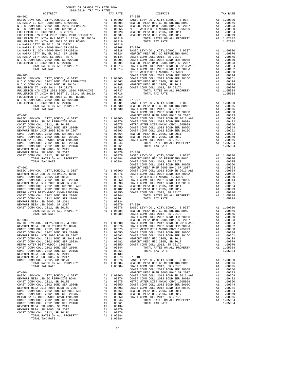|                                                                                                                                                                                     |          |                                                            | METRO W    |
|-------------------------------------------------------------------------------------------------------------------------------------------------------------------------------------|----------|------------------------------------------------------------|------------|
|                                                                                                                                                                                     |          |                                                            |            |
|                                                                                                                                                                                     |          |                                                            |            |
|                                                                                                                                                                                     |          |                                                            |            |
|                                                                                                                                                                                     |          |                                                            |            |
|                                                                                                                                                                                     |          |                                                            |            |
|                                                                                                                                                                                     |          |                                                            |            |
|                                                                                                                                                                                     |          |                                                            |            |
|                                                                                                                                                                                     |          |                                                            |            |
|                                                                                                                                                                                     |          |                                                            | COAST C    |
|                                                                                                                                                                                     |          |                                                            |            |
|                                                                                                                                                                                     |          |                                                            |            |
|                                                                                                                                                                                     |          |                                                            |            |
|                                                                                                                                                                                     |          |                                                            |            |
|                                                                                                                                                                                     |          |                                                            |            |
|                                                                                                                                                                                     |          |                                                            |            |
|                                                                                                                                                                                     |          |                                                            |            |
|                                                                                                                                                                                     |          |                                                            |            |
|                                                                                                                                                                                     |          |                                                            |            |
|                                                                                                                                                                                     |          |                                                            |            |
|                                                                                                                                                                                     |          |                                                            | COAST C    |
|                                                                                                                                                                                     |          |                                                            |            |
|                                                                                                                                                                                     |          |                                                            |            |
|                                                                                                                                                                                     |          |                                                            |            |
|                                                                                                                                                                                     |          |                                                            |            |
|                                                                                                                                                                                     |          |                                                            |            |
|                                                                                                                                                                                     |          |                                                            |            |
|                                                                                                                                                                                     |          |                                                            |            |
|                                                                                                                                                                                     |          |                                                            |            |
| NEWPORT MESA USD 2005, SR 2017                                                                                                                                                      |          |                                                            |            |
| COAST COMM COLL 2012, SR 2017D                                                                                                                                                      |          |                                                            |            |
|                                                                                                                                                                                     |          |                                                            |            |
| $07 - 003$                                                                                                                                                                          |          |                                                            | NEWPORT    |
|                                                                                                                                                                                     |          |                                                            |            |
|                                                                                                                                                                                     |          |                                                            |            |
| A1 .00050 COAST C<br>A1 .00564 NEWPORT<br>A1 .00564 NEWPORT<br>A1 .00482 NEWPORT<br>A1 .00361 COAST C<br>A1 .00261<br>A1 .00261<br>A1 .00261<br>NEWPORT MESA UNIF 2005 BOND SR 2007 |          |                                                            |            |
| COAST COMM COLL 2012 BOND SR 2013 A&B                                                                                                                                               |          |                                                            |            |
| COAST COMM COLL 2002 BOND SER 2003A<br>METRO WATER DIST-MWDOC- 1205999                                                                                                              |          |                                                            |            |
| COAST COMM COLL 2002 BOND SER 2006C                                                                                                                                                 |          |                                                            |            |
| COAST COMM COLL 2012 BOND SER 2016C                                                                                                                                                 |          |                                                            |            |
| NEWPORT MESA USD 2005, SR 2011<br>NEWPORT MESA USD 2005, SR 2017                                                                                                                    | A1<br>A1 | .00134<br>.00079                                           | $07 - 010$ |
| COAST COMM COLL 2012, SR 2017D                                                                                                                                                      |          |                                                            |            |
| TOTAL RATES ON ALL PROPERTY<br>TOTAL TAX RATE                                                                                                                                       |          | A1 .00076 BASIC L<br>A1 1.05084 NEWPORT<br>1.05084 COAST C | COAST C    |
| $07 - 004$                                                                                                                                                                          |          |                                                            | NEWPORT    |
|                                                                                                                                                                                     |          |                                                            |            |
|                                                                                                                                                                                     |          |                                                            |            |
|                                                                                                                                                                                     |          |                                                            |            |
|                                                                                                                                                                                     |          |                                                            |            |
|                                                                                                                                                                                     |          |                                                            |            |
|                                                                                                                                                                                     |          |                                                            |            |
|                                                                                                                                                                                     |          |                                                            |            |
|                                                                                                                                                                                     |          |                                                            |            |
| NEWPORT MESA USD 2005, SR 2017<br>COAST COMM COLL 2012, SR 2017D                                                                                                                    | A1       | A1 .00079<br>.00076                                        |            |
| TOTAL RATES ON ALL PROPERTY                                                                                                                                                         |          | A1 1.05084                                                 |            |
| TOTAL TAX RATE                                                                                                                                                                      |          | 1.05084                                                    |            |

| COUNTY OF ORANGE TAX RATE BOOK<br>2018-2019 TRA TAX RATES |          |          |          |
|-----------------------------------------------------------|----------|----------|----------|
|                                                           | TAX RATE | DISTRICT | TAX RATE |
|                                                           |          |          |          |
|                                                           |          |          |          |
|                                                           |          |          |          |
|                                                           |          |          |          |
|                                                           |          |          |          |
|                                                           |          |          |          |
|                                                           |          |          |          |
|                                                           |          |          |          |
|                                                           |          |          |          |
|                                                           |          |          |          |
|                                                           |          |          |          |
|                                                           |          |          |          |
|                                                           |          |          |          |
|                                                           |          |          |          |
|                                                           |          |          |          |
|                                                           |          |          |          |
|                                                           |          |          |          |
|                                                           |          |          |          |
|                                                           |          |          |          |
|                                                           |          |          |          |
|                                                           |          |          |          |
|                                                           |          |          |          |
|                                                           |          |          |          |
|                                                           |          |          |          |
|                                                           |          |          |          |
|                                                           |          |          |          |
|                                                           |          |          |          |
|                                                           |          |          |          |
|                                                           |          |          |          |
|                                                           |          |          |          |
|                                                           |          |          |          |
|                                                           |          |          |          |
|                                                           |          |          |          |
|                                                           |          |          |          |
|                                                           |          |          |          |
|                                                           |          |          |          |
|                                                           |          |          |          |
|                                                           |          |          |          |
|                                                           |          |          |          |
|                                                           |          |          |          |
|                                                           |          |          |          |
|                                                           |          |          |          |
|                                                           |          |          |          |
|                                                           |          |          |          |
|                                                           |          |          |          |
|                                                           |          |          |          |
|                                                           |          |          |          |
|                                                           |          |          |          |
|                                                           |          |          |          |
|                                                           |          |          |          |
|                                                           |          |          |          |
|                                                           |          |          |          |
|                                                           |          |          |          |
|                                                           |          |          |          |
|                                                           |          |          |          |
|                                                           |          |          |          |
|                                                           |          |          |          |
|                                                           |          |          |          |
|                                                           |          |          |          |
|                                                           |          |          |          |
|                                                           |          |          |          |
|                                                           |          |          |          |
|                                                           |          |          |          |
|                                                           |          |          |          |
|                                                           |          |          |          |
|                                                           |          |          |          |
|                                                           |          |          |          |
|                                                           |          |          |          |
|                                                           |          |          |          |
|                                                           |          |          |          |

 $-47-$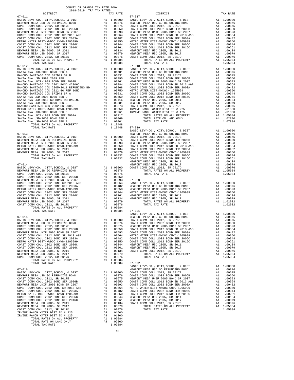TOTAL RATES ON ALL PROPERTY A1 1.05084 TOTAL TAX RATE 1.05084 07-022 IRVINE RANCH WATER DIST ID # 225 A4 .01500<br>IRVINE RANCH WATER DIST ID # 125 A4 .01300<br>105084 A1 1.05084

TOTAL RATE ON LAND ONLY A4 .02800 TOTAL TAX RATE 1.07884

 COUNTY OF ORANGE TAX RATE BOOK 2018-2019 TRA TAX RATES DISTRICT TAX RATE DISTRICT TAX RATE 07-011 07-017 BASIC LEVY-CO., CITY,SCHOOL, & DIST A1 1.00000 BASIC LEVY-CO., CITY,SCHOOL, & DIST A1 1.00000 NEWPORT MESA USD GO REFUNDING BOND A1 .00876 NEWPORT MESA USD GO REFUNDING BOND A1 .00876 COAST COMM COLL 2012, SR 2017E A1 .00675 COAST COMM COLL 2012, SR 2017E A1 .00675 COAST COMM COLL 2002 BOND SER 2006B A1 .00650 COAST COMM COLL 2002 BOND SER 2006B A1 .00650 NEWPORT MESA UNIF 2005 BOND SR 2007 A1 .00593 NEWPORT MESA UNIF 2005 BOND SR 2007 A1 .00593 COAST COMM COLL 2012 BOND SR 2013 A&B A1 .00564 COAST COMM COLL 2012 BOND SR 2013 A&B A1 .00564 COAST COMM COLL 2002 BOND SER 2003A A1 .00482 COAST COMM COLL 2002 BOND SER 2003A A1 .00482 METRO WATER DIST-MWDOC CMWD-1205999 A1 .00350 METRO WATER DIST-MWDOC CMWD-1205999 A1 .00350 COAST COMM COLL 2002 BOND SER 2006C A1 .00344 COAST COMM COLL 2002 BOND SER 2006C A1 .00344 COAST COMM COLL 2012 BOND SER 2016C A1 .00261 COAST COMM COLL 2012 BOND SER 2016C A1 .00261 NEWPORT MESA USD 2005, SR 2011 A1 .00134 NEWPORT MESA USD 2005, SR 2011 A1 .00134 NEWPORT MESA USD 2005, SR 2017 A1 .00079 NEWPORT MESA USD 2005, SR 2017 A1 .00079 COAST COMM COLL 2012, SR 2017D A1 .00076 COAST COMM COLL 2012, SR 2017D A1 .00076 TOTAL RATES ON ALL PROPERTY A1 1.05084 TOTAL RATES ON ALL PROPERTY A1 1.05084 TOTAL TAX RATE 1.05084 TOTAL TAX RATE 1.05084 07-012 07-018 BASIC LEVY-CO., CITY,SCHOOL, & DIST A1 1.00000 BASIC LEVY-CO., CITY,SCHOOL, & DIST A1 1.00000 SANTA ANA USD-2008 BOND SER A A1 .01701 NEWPORT MESA USD GO REFUNDING BOND A1 .00876 RANCHO SANTIAGO CCD SFID#1 SR B A1 .01031 COAST COMM COLL 2012, SR 2017E A1 .00675 SANTA ANA USD 1999,2009 REF A1 .00995 COAST COMM COLL 2002 BOND SER 2006B A1 .00650 100593, SANTA ANA UNIF-1999 BOND SER 2002B (2002 MEMPORT MESA UNIF 2005 BOND SR 2007 (2005)<br>RANCHO SANTIAGO CCD 2002 (2006 ADD 11 10084 COAST COMM COLL 2012 BOND SR 2013 A&B<br>RANCHO SANTIAGO CCD 2005+2011 REFUNDING BD (2008  $\begin{tabular}{l|c|c|c|c} \multicolumn{4}{c}{\textbf{RMNCHO}} \textbf{ SANTIAGO CCD} & \textbf{SEPE BOND} & \textbf{A1} & .00750 & \textbf{METNONATE D=T-MIDOC- 1205999} & \textbf{A1} & .00350 & .0040 & .0050 & .0050 & .0050 & .0050 & .0050 & .0050 & .0050 & .0050 & .0050 & .0050 & .0050 & .0050 & .0050 & .0050 & .0050 & .0050 & .0050 & .$  BASIC LEVY-CO., CITY,SCHOOL, & DIST A1 1.00000 07-013 NEWPORT MESAUSD GO REFUNDING BOND A1<br>BASIC LEVY-CO., CITY, SCHOOL, & DIST A1 1.00000 COAST COMM COLL 2012, SR 2017E<br>NEWPORT MESAUSD GO REFUNDING BOND A1 .00876 COAST COMM COLL 2002 BOND SER 2006B A1 .00670<br>NEWPORT M 00564. METRO WATER DIST-MWDOC CMWD-1205999 ME 41 .00350 COAST COMM COLL 2012 BOND SR 2013 A&B A1<br>NEWPORT MESA USD 2005, SR 2011 MAXEL 2002 MOOD A1 .00134 COAST COMM COLL 2012 BOND SER 2003A<br>NEWPORT MESA USD 2005, SR 2017 M TORIGON TERRICO CONDEND-1205999 AT 2003<br>TOTAL RATES ON ALL PROPERTY AT 2003 COAST COMM COLL 2002 BOND SER 2003A<br>TOTAL RATES ON ALL PROPERTY A1 .00079 METRO WATER DIST-MWDOC CMWD-1205999 A1 .00350<br>TOTAL RATES ON ALL PROPERT TOTAL TAX RATE 1.02032 COAST COMM COLL 2012 BOND SER 2016C A1 .00261 NEWPORT MESA USD 2005, SR 2011 A1 .00134 07-014 NEWPORT MESA USD 2005, SR 2017 A1 .00079 BASIC LEVY-CO., CITY,SCHOOL, & DIST A1 1.00000 COAST COMM COLL 2012, SR 2017D A1 .00076 NEWPORT MESA USD GO REFUNDING BOND A1 .00876 TOTAL RATES ON ALL PROPERTY A1 1.05084 COAST COMM COLL 2012, SR 2017E A1 .00675 TOTAL TAX RATE 1.05084 COAST COMM COLL 2002 BOND SER 2006B A1 .00650 NEWPORT MESA UNIF 2005 BOND SR 2007 A1 .00593 07-020 COAST COMM COLL 2012 BOND SR 2013 A&B A1 .00564 BASIC LEVY-CO., CITY,SCHOOL, & DIST A1 1.00000 COAST COMM COLL 2002 BOND SER 2003A A1 .00482 NEWPORT MESA USD GO REFUNDING BOND A1 .00876 METRO WATER DIST-MWDOC CMWD-1205999 A1 .00350 NEWPORT MESA UNIF 2005 BOND SR 2007 A1 .00593 COAST COMM COLL 2002 BOND SER 2006C A1 .00344 METRO WATER DIST-MWDOC CMWD-1205999 A1 .00350 COAST COMM COLL 2012 BOND SER 2016C A1 .00261 NEWPORT MESA USD 2005, SR 2011 A1 .00134 NEWPORT MESA USD 2005, SR 2011 A1 .00134 NEWPORT MESA USD 2005, SR 2017 A1 .00079 NEWPORT MESA USD 2005, SR 2017 A1 .00079 TOTAL RATES ON ALL PROPERTY A1 1.02032 COAST COMM COLL 2012, SR 2017D A1 .00076 TOTAL TAX RATE 1.02032 TOTAL RATES ON ALL PROPERTY A1 1.05084 TOTAL TAX RATE 1.05084 07-021 BASIC LEVY-CO., CITY,SCHOOL, & DIST A1 1.00000 07-015 NEWPORT MESA USD GO REFUNDING BOND A1 .00876 BASIC LEVY-CO., CITY,SCHOOL, & DIST A1 1.00000 COAST COMM COLL 2012, SR 2017E A1 .00675 NEWPORT MESA USD GO REFUNDING BOND A1 .00876 COAST COMM COLL 2002 BOND SER 2006B A1 .00650 COAST COMM COLL 2012, SR 2017E<br>COAST COMM COLL 2002 BOND SER 2006B A1 .00670 A1 .00675 NEWPORT MESA UNIT 2005 BOND SR 2007 A1 .00593<br>NEWPORT MESA UNIF 2005 BOND SR 2007 A1 .00593 COAST COMM COLL 2002 BOND SR 2003A A1 .0048 COAST COMM COLL 2002 BOND SER 2003A A1 .00482 COAST COMM COLL 2002 BOND SER 2006C A1 .00344 METRO WATER DIST-MWDOC CMWD-1205999 A1 .00350 COAST COMM COLL 2012 BOND SER 2016C A1 .00261<br>COAST COMM COLL 2012 BOND SER 2016C A1 .00344 NEWPORT MESA USD 2005, SR 2011 A1 .00261<br>COAST COMM COLL 2012 BOND SER 2016C A1 .002 COAST COMM COLL 2002 BOND SER 2006C A1 .00344 NEWPORT MESA USD 2005, SR 2011 A1 .00134 COAST COMM COLL 2012 BOND SER 2016C A1 .00261 NEWPORT MESA USD 2005, SR 2017 A1 .00079 NEWPORT MESA USD 2005, SR 2011 A1 .00134 COAST COMM COLL 2012, SR 2017D A1 .00076 NEWPORT MESA USD 2005, SR 2017 A1 .00079 TOTAL RATES ON ALL PROPERTY A1 1.05084 COAST COMM COLL 2012, SR 2017D A1 .00076 TOTAL TAX RATE 1.05084 TOTAL TAX RATE 1.05084 TOTAL TAX RATE AND RESERVED ON A MARKE AND RESERVED ON A MARKE TOTAL TAX RATE AT A LOOD ON THE RESERVED ON A LOOD ON THE RESERVED ON A LOOD ON A LOOD ON A LOOD AT A LOOD ON A LOOD AT A LOOD AT A LOOD ON A LOOD AT A LOOD ON 07-016 NEWPORT MESA USD GO REFUNDING BOND A1 .00876 BASIC LEVY-CO., CITY,SCHOOL, & DIST A1 1.00000 COAST COMM COLL 2012, SR 2017E A1 .00675 NEWPORT MESA USD GO REFUNDING BOND A1 .00876 COAST COMM COLL 2002 BOND SER 2006B A1 .00650 COAST COMM COLL 2012, SR 2017E<br>COAST COMM COLL 2002 BOND SER 2006B A1 .00675 NEWPORT MESA UNIT 2005 BOND SR 2007 A1 .00593<br>NEWPORT MESA UNIF 2005 BOND SR 2007 A1 .00593 COAST COMM COLL 2002 BOND SR 2003A A1 .00464<br>NEWPORT COAST COMM COLL 2002 BOND SER 2003A A1 .00482 COAST COMM COLL 2002 BOND SER 2006C A1 .00344 METRO WATER DIST-MWDOC CMWD-1205999 A1 .00350 COAST COMM COLL 2012 BOND SER 2016C A1 .00261 COAST COMM COLL 2002 BOND SER 2006C A1 .00344 NEWPORT MESA USD 2005, SR 2011 A1 .00134 COAST COMM COLL 2012 BOND SER 2016C A1 .00261 NEWPORT MESA USD 2005, SR 2017 A1 .00379<br>
NEWPORT MESA USD 2005, SR 2011 A1 .00134 COAST COMM COLL 2012, SR 2017<br>
NEWPORT MESA USD 2005, SR 2011 A1 .00079 TOTAL RATES ON ALL PR 100076 NEWPORT MESA USD 2005, SR 2011 – 2013 4 20134 COAST COMM COLL 2012, SR 2017D<br>NEWPORT MESA USD SOOS, SR 2017 20079 – 20079 – 20079 – TOTAL RATES ON ALL PROPERTY – 21 1.05084<br>COAST COMM COLL 2012, SR 2017D – 21 20076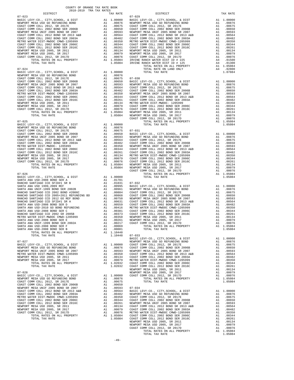| COUNTY OF ORANGE TAX RATE BOOK<br>2018-2019 TRA TAX RATES |          |            |          |
|-----------------------------------------------------------|----------|------------|----------|
| DISTRICT                                                  | TAX RATE | DISTRICT   | TAX RATE |
| $07 - 023$                                                |          | $07 - 029$ |          |
|                                                           |          |            |          |
|                                                           |          |            |          |
|                                                           |          |            |          |
|                                                           |          |            |          |
|                                                           |          |            |          |
|                                                           |          |            |          |
|                                                           |          |            |          |
|                                                           |          |            |          |
|                                                           |          |            |          |
|                                                           |          |            |          |
|                                                           |          |            |          |
|                                                           |          |            |          |
|                                                           |          |            |          |
|                                                           |          |            |          |
|                                                           |          |            |          |
|                                                           |          |            |          |
|                                                           |          |            |          |
|                                                           |          |            |          |
|                                                           |          |            |          |
|                                                           |          |            |          |
|                                                           |          |            |          |
|                                                           |          |            |          |
|                                                           |          |            |          |
|                                                           |          |            |          |
|                                                           |          |            |          |
|                                                           |          |            |          |
|                                                           |          |            |          |
|                                                           |          |            |          |
|                                                           |          |            |          |
|                                                           |          |            |          |
|                                                           |          |            |          |
|                                                           |          |            |          |
|                                                           |          |            |          |
|                                                           |          |            |          |
|                                                           |          |            |          |
|                                                           |          |            |          |
|                                                           |          |            |          |
|                                                           |          |            |          |
|                                                           |          |            |          |
|                                                           |          |            |          |
|                                                           |          |            |          |
|                                                           |          |            |          |
|                                                           |          |            |          |
|                                                           |          |            |          |
|                                                           |          |            |          |
|                                                           |          |            |          |
|                                                           |          |            |          |
|                                                           |          |            |          |
|                                                           |          |            |          |
|                                                           |          |            |          |
|                                                           |          |            |          |
|                                                           |          |            |          |
|                                                           |          |            |          |
|                                                           |          |            |          |
|                                                           |          |            |          |
|                                                           |          |            |          |
|                                                           |          |            |          |
|                                                           |          |            |          |
|                                                           |          |            |          |
|                                                           |          |            |          |
|                                                           |          |            |          |
|                                                           |          |            |          |
|                                                           |          |            |          |
|                                                           |          |            |          |
|                                                           |          |            |          |
|                                                           |          |            |          |
|                                                           |          |            |          |
|                                                           |          |            |          |
|                                                           |          |            |          |
|                                                           |          |            |          |
|                                                           |          |            |          |
|                                                           |          |            |          |
|                                                           |          |            |          |
|                                                           |          |            |          |
|                                                           |          |            |          |
|                                                           |          |            |          |
|                                                           |          |            |          |

| DISTRICT | TAX RATE | DISTRICT | TAX RATE |
|----------|----------|----------|----------|
|          |          |          |          |
|          |          |          |          |
|          |          |          |          |
|          |          |          |          |
|          |          |          |          |
|          |          |          |          |
|          |          |          |          |
|          |          |          |          |
|          |          |          |          |
|          |          |          |          |
|          |          |          |          |
|          |          |          |          |
|          |          |          |          |
|          |          |          |          |
|          |          |          |          |
|          |          |          |          |
|          |          |          |          |
|          |          |          |          |
|          |          |          |          |
|          |          |          |          |
|          |          |          |          |
|          |          |          |          |
|          |          |          |          |
|          |          |          |          |
|          |          |          |          |
|          |          |          |          |
|          |          |          |          |
|          |          |          |          |
|          |          |          |          |
|          |          |          |          |
|          |          |          |          |
|          |          |          |          |
|          |          |          |          |
|          |          |          |          |
|          |          |          |          |
|          |          |          |          |
|          |          |          |          |
|          |          |          |          |
|          |          |          |          |
|          |          |          |          |
|          |          |          |          |
|          |          |          |          |
|          |          |          |          |
|          |          |          |          |
|          |          |          |          |
|          |          |          |          |
|          |          |          |          |
|          |          |          |          |
|          |          |          |          |
|          |          |          |          |
|          |          |          |          |
|          |          |          |          |
|          |          |          |          |
|          |          |          |          |
|          |          |          |          |
|          |          |          |          |
|          |          |          |          |
|          |          |          |          |
|          |          |          |          |
|          |          |          |          |
|          |          |          |          |
|          |          |          |          |
|          |          |          |          |
|          |          |          |          |
|          |          |          |          |
|          |          |          |          |
|          |          |          |          |
|          |          |          |          |
|          |          |          |          |
|          |          |          |          |
|          |          |          |          |
|          |          |          |          |
|          |          |          |          |
|          |          |          |          |
|          |          |          |          |
|          |          |          |          |
|          |          |          |          |
|          |          |          |          |
|          |          |          |          |
|          |          |          |          |
|          |          |          |          |
|          |          |          |          |
|          |          |          |          |
|          |          |          |          |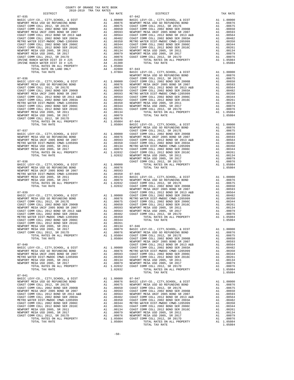|                                                                              |    | A1 1.05067<br>A4 .02800 07-043<br>1 07884 BASIC                                                                                                                                                                                                                                                                                                                                                 |                              |
|------------------------------------------------------------------------------|----|-------------------------------------------------------------------------------------------------------------------------------------------------------------------------------------------------------------------------------------------------------------------------------------------------------------------------------------------------------------------------------------------------|------------------------------|
| TOTAL RATE ON LAND ONLY<br>TOTAL TAX RATE                                    |    |                                                                                                                                                                                                                                                                                                                                                                                                 |                              |
|                                                                              |    |                                                                                                                                                                                                                                                                                                                                                                                                 | NEWPORT                      |
| $07 - 036$                                                                   |    |                                                                                                                                                                                                                                                                                                                                                                                                 | COAST C                      |
|                                                                              |    |                                                                                                                                                                                                                                                                                                                                                                                                 |                              |
|                                                                              |    |                                                                                                                                                                                                                                                                                                                                                                                                 |                              |
|                                                                              |    |                                                                                                                                                                                                                                                                                                                                                                                                 |                              |
|                                                                              |    |                                                                                                                                                                                                                                                                                                                                                                                                 |                              |
|                                                                              |    |                                                                                                                                                                                                                                                                                                                                                                                                 |                              |
|                                                                              |    |                                                                                                                                                                                                                                                                                                                                                                                                 |                              |
|                                                                              |    |                                                                                                                                                                                                                                                                                                                                                                                                 |                              |
|                                                                              |    |                                                                                                                                                                                                                                                                                                                                                                                                 |                              |
| NEWPORT MESA USD 2005, SR 2017                                               |    |                                                                                                                                                                                                                                                                                                                                                                                                 |                              |
| COAST COMM COLL 2012, SR 2017D                                               |    |                                                                                                                                                                                                                                                                                                                                                                                                 |                              |
|                                                                              |    |                                                                                                                                                                                                                                                                                                                                                                                                 |                              |
| TOTAL TAX RATE                                                               |    | 1.05084                                                                                                                                                                                                                                                                                                                                                                                         | BASIC L<br>NEWPORT           |
| $07 - 037$                                                                   |    |                                                                                                                                                                                                                                                                                                                                                                                                 | COAST C                      |
|                                                                              |    |                                                                                                                                                                                                                                                                                                                                                                                                 |                              |
|                                                                              |    |                                                                                                                                                                                                                                                                                                                                                                                                 |                              |
|                                                                              |    |                                                                                                                                                                                                                                                                                                                                                                                                 |                              |
|                                                                              |    |                                                                                                                                                                                                                                                                                                                                                                                                 |                              |
|                                                                              |    |                                                                                                                                                                                                                                                                                                                                                                                                 |                              |
|                                                                              |    |                                                                                                                                                                                                                                                                                                                                                                                                 |                              |
|                                                                              |    |                                                                                                                                                                                                                                                                                                                                                                                                 | NEWPORT                      |
| $07 - 038$                                                                   |    | A1 1.00000<br>A1 .00376<br>A1 .00353<br>A1 .00350 07-045<br>A1 .00134 BASIC L<br>A1 .00079 NEWPORT<br>A1 1.02032 COAST C<br>1.02032 COAST COAST COAST                                                                                                                                                                                                                                           |                              |
| BASIC LEVY-CO., CITY, SCHOOL, & DIST                                         |    |                                                                                                                                                                                                                                                                                                                                                                                                 |                              |
| NEWPORT MESA USD GO REFUNDING BOND<br>NEWPORT MESA UNIF 2005 BOND SR 2007    |    |                                                                                                                                                                                                                                                                                                                                                                                                 |                              |
| METRO WATER DIST-MWDOC CMWD-1205999<br>NEWPORT MESA USD 2005, SR 2011        |    |                                                                                                                                                                                                                                                                                                                                                                                                 |                              |
|                                                                              |    |                                                                                                                                                                                                                                                                                                                                                                                                 |                              |
| NEWPORT MESA USD 2005, SR 2017<br>TOTAL RATES ON ALL PROPERTY                |    |                                                                                                                                                                                                                                                                                                                                                                                                 |                              |
| TOTAL TAX RATE                                                               |    |                                                                                                                                                                                                                                                                                                                                                                                                 |                              |
|                                                                              |    |                                                                                                                                                                                                                                                                                                                                                                                                 |                              |
|                                                                              |    |                                                                                                                                                                                                                                                                                                                                                                                                 |                              |
|                                                                              |    |                                                                                                                                                                                                                                                                                                                                                                                                 |                              |
|                                                                              |    |                                                                                                                                                                                                                                                                                                                                                                                                 |                              |
|                                                                              |    |                                                                                                                                                                                                                                                                                                                                                                                                 |                              |
|                                                                              |    |                                                                                                                                                                                                                                                                                                                                                                                                 |                              |
|                                                                              |    |                                                                                                                                                                                                                                                                                                                                                                                                 |                              |
|                                                                              |    |                                                                                                                                                                                                                                                                                                                                                                                                 |                              |
|                                                                              |    |                                                                                                                                                                                                                                                                                                                                                                                                 |                              |
|                                                                              |    |                                                                                                                                                                                                                                                                                                                                                                                                 |                              |
|                                                                              |    |                                                                                                                                                                                                                                                                                                                                                                                                 |                              |
|                                                                              |    |                                                                                                                                                                                                                                                                                                                                                                                                 |                              |
| TOTAL RATES ON ALL PROPERTY<br>TOTAL TAX RATE                                | A1 | 1.05084                                                                                                                                                                                                                                                                                                                                                                                         | $1.05084$ COAST C<br>COAST C |
|                                                                              |    |                                                                                                                                                                                                                                                                                                                                                                                                 | NEWPORT                      |
| $07 - 040$                                                                   |    |                                                                                                                                                                                                                                                                                                                                                                                                 | COAST C                      |
| BASIC LEVY-CO., CITY, SCHOOL, & DIST                                         |    | A1 1.00000 COAST C<br>A1 .00876 METRO W                                                                                                                                                                                                                                                                                                                                                         |                              |
| NEWPORT MESA USD GO REFUNDING BOND<br>NEWPORT MESA UNIF 2005 BOND SR 2007    | A1 | .00593                                                                                                                                                                                                                                                                                                                                                                                          | COAST C                      |
| METRO WATER DIST-MWDOC CMWD-1205999                                          |    |                                                                                                                                                                                                                                                                                                                                                                                                 |                              |
| NEWPORT MESA USD 2005, SR 2011                                               |    |                                                                                                                                                                                                                                                                                                                                                                                                 |                              |
| NEWPORT MESA USD 2005, SR 2017                                               |    | A1 .00350 COAST C<br>A1 .00350 COAST C<br>A1 .00134 NEWPORT<br>A1 .00079 NEWPORT<br>A1 1.02032 COAST C                                                                                                                                                                                                                                                                                          |                              |
| TOTAL RATES ON ALL PROPERTY<br>TOTAL TAX RATE                                |    | 1.02032                                                                                                                                                                                                                                                                                                                                                                                         |                              |
|                                                                              |    |                                                                                                                                                                                                                                                                                                                                                                                                 |                              |
| $07 - 041$                                                                   |    |                                                                                                                                                                                                                                                                                                                                                                                                 |                              |
| BASIC LEVY-CO., CITY, SCHOOL, & DIST<br>NEWPORT MESA USD GO REFUNDING BOND   |    | $\begin{tabular}{llllllll} \texttt{A1} & 1.00000 & 07-047 \\ \texttt{A1} & .00876 & \texttt{BASIC L} \\ \texttt{A1} & .00675 & \texttt{DEWORTC} \\ \texttt{A1} & .00650 & \texttt{COAST C} \\ \texttt{A1} & .00593 & \texttt{COAST C} \\ \texttt{A1} & .00564 & \texttt{WEWORTC} \\ \texttt{A1} & .00482 & \texttt{COAST C} \\ \texttt{A1} & .00350 & \texttt{COAST C} \\ \texttt{A1} & .00344$ |                              |
| COAST COMM COLL 2012, SR 2017E                                               |    |                                                                                                                                                                                                                                                                                                                                                                                                 |                              |
| COAST COMM COLL 2002 BOND SER 2006B                                          |    |                                                                                                                                                                                                                                                                                                                                                                                                 |                              |
| NEWPORT MESA UNIF 2005 BOND SR 2007                                          |    |                                                                                                                                                                                                                                                                                                                                                                                                 |                              |
| COAST COMM COLL 2012 BOND SR 2013 A&B<br>COAST COMM COLL 2002 BOND SER 2003A |    |                                                                                                                                                                                                                                                                                                                                                                                                 |                              |
| METRO WATER DIST-MWDOC CMWD-1205999                                          | A1 |                                                                                                                                                                                                                                                                                                                                                                                                 |                              |
| COAST COMM COLL 2002 BOND SER 2006C                                          |    |                                                                                                                                                                                                                                                                                                                                                                                                 |                              |
| COAST COMM COLL 2012 BOND SER 2016C                                          |    |                                                                                                                                                                                                                                                                                                                                                                                                 |                              |
| NEWPORT MESA USD 2005, SR 2011<br>NEWPORT MESA USD 2005, SR 2017             |    |                                                                                                                                                                                                                                                                                                                                                                                                 |                              |
| COAST COMM COLL 2012, SR 2017D                                               |    |                                                                                                                                                                                                                                                                                                                                                                                                 |                              |

|  | .       |  |  |
|--|---------|--|--|
|  |         |  |  |
|  | L.0000( |  |  |
|  | .00876  |  |  |
|  | .00675  |  |  |
|  | .00650  |  |  |
|  | .00593  |  |  |
|  | .00564  |  |  |
|  | .00482  |  |  |
|  | .00350  |  |  |
|  | .00344  |  |  |
|  | .00262  |  |  |
|  | .00134  |  |  |
|  |         |  |  |

| $07 - 035$ |  | $07 - 042$ |  |
|------------|--|------------|--|
|            |  |            |  |
|            |  |            |  |
|            |  |            |  |
|            |  |            |  |
|            |  |            |  |
|            |  |            |  |
|            |  |            |  |
|            |  |            |  |
|            |  |            |  |
|            |  |            |  |
|            |  |            |  |
|            |  |            |  |
|            |  |            |  |
|            |  |            |  |
|            |  |            |  |
|            |  |            |  |
|            |  |            |  |
|            |  |            |  |
|            |  |            |  |
|            |  |            |  |
|            |  |            |  |
|            |  |            |  |
|            |  |            |  |
|            |  |            |  |
|            |  |            |  |
|            |  |            |  |
|            |  |            |  |
|            |  |            |  |
|            |  |            |  |
|            |  |            |  |
|            |  |            |  |
|            |  |            |  |
|            |  |            |  |
|            |  |            |  |
|            |  |            |  |
|            |  |            |  |
|            |  |            |  |
|            |  |            |  |
|            |  |            |  |
|            |  |            |  |
|            |  |            |  |
|            |  |            |  |
|            |  |            |  |
|            |  |            |  |
|            |  |            |  |
|            |  |            |  |
|            |  |            |  |
|            |  |            |  |
|            |  |            |  |
|            |  |            |  |
|            |  |            |  |
|            |  |            |  |
|            |  |            |  |
|            |  |            |  |
|            |  |            |  |
|            |  |            |  |
|            |  |            |  |
|            |  |            |  |
|            |  |            |  |
|            |  |            |  |
|            |  |            |  |
|            |  |            |  |
|            |  |            |  |
|            |  |            |  |
|            |  |            |  |
|            |  |            |  |
|            |  |            |  |
|            |  |            |  |
|            |  |            |  |
|            |  |            |  |
|            |  |            |  |
|            |  |            |  |
|            |  |            |  |
|            |  |            |  |
|            |  |            |  |
|            |  |            |  |
|            |  |            |  |
|            |  |            |  |
|            |  |            |  |
|            |  |            |  |
|            |  |            |  |
|            |  |            |  |
|            |  |            |  |
|            |  |            |  |
|            |  |            |  |
|            |  |            |  |
|            |  |            |  |
|            |  |            |  |
|            |  |            |  |
|            |  |            |  |
|            |  |            |  |
|            |  |            |  |
| $07 - 041$ |  |            |  |
|            |  |            |  |
|            |  |            |  |
|            |  |            |  |
|            |  |            |  |
|            |  |            |  |
|            |  |            |  |
|            |  |            |  |
|            |  |            |  |
|            |  |            |  |
|            |  |            |  |
|            |  |            |  |
|            |  |            |  |
|            |  |            |  |
|            |  |            |  |
|            |  |            |  |
|            |  |            |  |
|            |  |            |  |
|            |  |            |  |
|            |  |            |  |

DISTRICT TAX RATE DISTRICT TAX RATE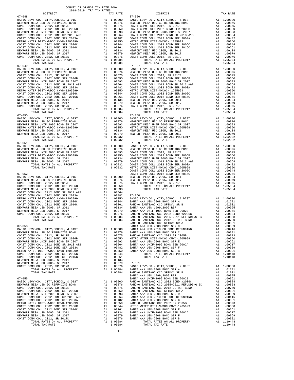| COUNTY OF ORANGE TAX RATE BOOK<br>2018-2019 TRA TAX RATES |          |                                                                                                                                                                                                                                                                                                                                                                                                                                      |          |
|-----------------------------------------------------------|----------|--------------------------------------------------------------------------------------------------------------------------------------------------------------------------------------------------------------------------------------------------------------------------------------------------------------------------------------------------------------------------------------------------------------------------------------|----------|
| DISTRICT                                                  | TAX RATE | DISTRICT                                                                                                                                                                                                                                                                                                                                                                                                                             | TAX RATE |
| $07 - 048$                                                |          | $07 - 056$<br>$\begin{tabular}{l c c c c} 0.7-048 & 0.7-0.61 & 0.7-0.62 & 0.7-0.668 & 0.7-0.7 & 0.777, 8CHOOL, & 6. DIST \\ \hline \texttt{NERWPCR} \texttt{MESA} \texttt{USD} \texttt{GS} \texttt{XEDR} \texttt{XEDR} \texttt{XEDR} \texttt{XEDR} \texttt{XEDR} \texttt{XEDR} \texttt{XEDR} \texttt{XEDR} \texttt{XEDR} \texttt{XEDR} \texttt{XEDR} \texttt{XEDR} \texttt{X$                                                        |          |
|                                                           |          |                                                                                                                                                                                                                                                                                                                                                                                                                                      |          |
|                                                           |          |                                                                                                                                                                                                                                                                                                                                                                                                                                      |          |
|                                                           |          |                                                                                                                                                                                                                                                                                                                                                                                                                                      |          |
|                                                           |          |                                                                                                                                                                                                                                                                                                                                                                                                                                      |          |
|                                                           |          |                                                                                                                                                                                                                                                                                                                                                                                                                                      |          |
|                                                           |          |                                                                                                                                                                                                                                                                                                                                                                                                                                      |          |
|                                                           |          |                                                                                                                                                                                                                                                                                                                                                                                                                                      |          |
|                                                           |          |                                                                                                                                                                                                                                                                                                                                                                                                                                      |          |
|                                                           |          |                                                                                                                                                                                                                                                                                                                                                                                                                                      |          |
|                                                           |          |                                                                                                                                                                                                                                                                                                                                                                                                                                      |          |
| $07 - 049$                                                |          | $07 - 057$                                                                                                                                                                                                                                                                                                                                                                                                                           |          |
|                                                           |          |                                                                                                                                                                                                                                                                                                                                                                                                                                      |          |
|                                                           |          |                                                                                                                                                                                                                                                                                                                                                                                                                                      |          |
|                                                           |          |                                                                                                                                                                                                                                                                                                                                                                                                                                      |          |
|                                                           |          |                                                                                                                                                                                                                                                                                                                                                                                                                                      |          |
|                                                           |          |                                                                                                                                                                                                                                                                                                                                                                                                                                      |          |
|                                                           |          |                                                                                                                                                                                                                                                                                                                                                                                                                                      |          |
|                                                           |          |                                                                                                                                                                                                                                                                                                                                                                                                                                      |          |
|                                                           |          |                                                                                                                                                                                                                                                                                                                                                                                                                                      |          |
|                                                           |          |                                                                                                                                                                                                                                                                                                                                                                                                                                      |          |
|                                                           |          |                                                                                                                                                                                                                                                                                                                                                                                                                                      |          |
|                                                           |          |                                                                                                                                                                                                                                                                                                                                                                                                                                      |          |
|                                                           |          |                                                                                                                                                                                                                                                                                                                                                                                                                                      |          |
|                                                           |          |                                                                                                                                                                                                                                                                                                                                                                                                                                      |          |
|                                                           |          |                                                                                                                                                                                                                                                                                                                                                                                                                                      |          |
|                                                           |          |                                                                                                                                                                                                                                                                                                                                                                                                                                      |          |
|                                                           |          |                                                                                                                                                                                                                                                                                                                                                                                                                                      |          |
|                                                           |          |                                                                                                                                                                                                                                                                                                                                                                                                                                      |          |
|                                                           |          | $\begin{tabular}{@{}c@{}} 07-050 & 07-058 \\ \hline BASIC LEVY-C0., CITY, SCHOOL, & DIST \\ \hline RENDORT MESA USD GO REFUNDING BOND \\ \hline NENDORT MESA USD GO REFUNDING BOND \\ \hline NENDORT MESA USD CO REFUNDING BOND \\ \hline NENDORT MESA USD 2005, SR 2011 & 00876 \\ \hline NENDENT RESA USD 2005, SR 2011 & 00876 \\ \hline NENDORT MESA UVDCC NMD-1205999 & A1 & .00876 \\ \hline NENDORT MESA USD 2005, SR 2011 &$ |          |
|                                                           |          |                                                                                                                                                                                                                                                                                                                                                                                                                                      |          |
|                                                           |          |                                                                                                                                                                                                                                                                                                                                                                                                                                      |          |
|                                                           |          |                                                                                                                                                                                                                                                                                                                                                                                                                                      |          |
|                                                           |          |                                                                                                                                                                                                                                                                                                                                                                                                                                      |          |
|                                                           |          |                                                                                                                                                                                                                                                                                                                                                                                                                                      |          |
|                                                           |          |                                                                                                                                                                                                                                                                                                                                                                                                                                      |          |
|                                                           |          |                                                                                                                                                                                                                                                                                                                                                                                                                                      |          |
|                                                           |          |                                                                                                                                                                                                                                                                                                                                                                                                                                      |          |
|                                                           |          |                                                                                                                                                                                                                                                                                                                                                                                                                                      |          |
|                                                           |          |                                                                                                                                                                                                                                                                                                                                                                                                                                      |          |
|                                                           |          |                                                                                                                                                                                                                                                                                                                                                                                                                                      |          |
|                                                           |          |                                                                                                                                                                                                                                                                                                                                                                                                                                      |          |
|                                                           |          |                                                                                                                                                                                                                                                                                                                                                                                                                                      |          |
|                                                           |          |                                                                                                                                                                                                                                                                                                                                                                                                                                      |          |
|                                                           |          |                                                                                                                                                                                                                                                                                                                                                                                                                                      |          |
|                                                           |          |                                                                                                                                                                                                                                                                                                                                                                                                                                      |          |
|                                                           |          |                                                                                                                                                                                                                                                                                                                                                                                                                                      |          |
|                                                           |          |                                                                                                                                                                                                                                                                                                                                                                                                                                      |          |
|                                                           |          |                                                                                                                                                                                                                                                                                                                                                                                                                                      |          |
|                                                           |          |                                                                                                                                                                                                                                                                                                                                                                                                                                      |          |
|                                                           |          |                                                                                                                                                                                                                                                                                                                                                                                                                                      |          |
|                                                           |          |                                                                                                                                                                                                                                                                                                                                                                                                                                      |          |
|                                                           |          |                                                                                                                                                                                                                                                                                                                                                                                                                                      |          |
|                                                           |          |                                                                                                                                                                                                                                                                                                                                                                                                                                      |          |
|                                                           |          |                                                                                                                                                                                                                                                                                                                                                                                                                                      |          |
|                                                           |          |                                                                                                                                                                                                                                                                                                                                                                                                                                      |          |
|                                                           |          |                                                                                                                                                                                                                                                                                                                                                                                                                                      |          |
|                                                           |          |                                                                                                                                                                                                                                                                                                                                                                                                                                      |          |
|                                                           |          |                                                                                                                                                                                                                                                                                                                                                                                                                                      |          |
|                                                           |          |                                                                                                                                                                                                                                                                                                                                                                                                                                      |          |
|                                                           |          |                                                                                                                                                                                                                                                                                                                                                                                                                                      |          |
|                                                           |          |                                                                                                                                                                                                                                                                                                                                                                                                                                      |          |
|                                                           |          |                                                                                                                                                                                                                                                                                                                                                                                                                                      |          |
|                                                           |          |                                                                                                                                                                                                                                                                                                                                                                                                                                      |          |
|                                                           |          |                                                                                                                                                                                                                                                                                                                                                                                                                                      |          |
|                                                           |          |                                                                                                                                                                                                                                                                                                                                                                                                                                      |          |
|                                                           |          |                                                                                                                                                                                                                                                                                                                                                                                                                                      |          |
|                                                           |          |                                                                                                                                                                                                                                                                                                                                                                                                                                      |          |
|                                                           |          |                                                                                                                                                                                                                                                                                                                                                                                                                                      |          |
|                                                           |          |                                                                                                                                                                                                                                                                                                                                                                                                                                      |          |
|                                                           |          | COMPT COMP COLL 2012 W. 2010<br>COMPT WAR NEW PROPERTY A1 1.00000 PARTICO COLL 2017 MAR COLL 2017 MAR COLL 2017 MAR COLL 2013 COLL 2012 W. 2010<br>2012 TO LL 2012 W. 2012 W. 2012 W. 2012 W. 2012 W. 2012 W. 2012 W. 2012 W. 201                                                                                                                                                                                                    |          |
|                                                           |          |                                                                                                                                                                                                                                                                                                                                                                                                                                      |          |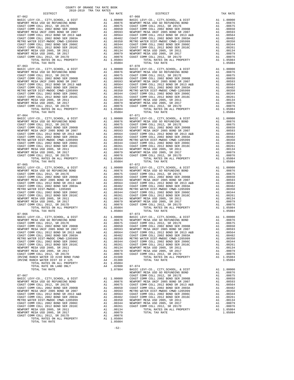NEWPORT MESA USD 2005, SR 2017 A1 .00079 TOTAL TAX RATE 1.05084 COAST COMM COLL 2012, SR 2017D A1 .00076 TOTAL RATES ON ALL PROPERTY A1 1.05084 TOTAL TAX RATE 1.050001

-52-

 $\begin{tabular}{lllllllllllllllllllll} \hline 07-064 & 07-071 & 07-071 \\ \hline \texttt{NENPCD} & \texttt{KEY-CO.}, & \texttt{CITY}, \texttt{SCHOLDL}, & \texttt{E DIST} & \texttt{A1} & 1.00000 & \texttt{BASE} & \texttt{01} \\ \texttt{NENPORT} & \texttt{MESA} & \texttt{USD} & \texttt{GO} & \texttt{RETU} & \texttt{A1} & 0.0000 & \texttt{DSEA} & \texttt{NNENPT} \\ \texttt{COAST} & \texttt{COMST} & \text$  07-065 07-072 07-066 07-073

 DISTRICT TAX RATE DISTRICT TAX RATE 07-062 07-068  $\begin{tabular}{l|c|c|c|c|c|c|c} \multicolumn{4}{c}{BAST} & EAY-C0. & CITY, SCHODI, & \& D.10000 & BASTO L. & D.15000 & BASTO L. & D.15000 \\ \multicolumn{4}{c}{NENPORT} & ESA & U.10000 & D.15000 & D.15000 \\ \multicolumn{4}{c}{COSST} & COMST & COMST & COMST & COMST & COMST & COMST & COMST & COMST & D.10000 \\ \multicolumn{4}{c}{COSST} & COMST & COMST & D.10000 & SRA & 1$  $07-063 \hspace{1.5cm} \mbox{DTAL TAX RATE} \hspace{1.5cm} 0084 \hspace{1.5cm} 07-070 \hspace{1.5cm} 07-070 \hspace{1.5cm} 07-070 \hspace{1.5cm} 07-070 \hspace{1.5cm} 07-070 \hspace{1.5cm} 07-070 \hspace{1.5cm} 07-070 \hspace{1.5cm} 07-070 \hspace{1.5cm} 07-070 \hspace{1.5cm} 07-070 \hspace{1.5cm} 07-070 \hspace{$  BASIC LEVY-CO., CITY,SCHOOL, & DIST A1 1.00000 BASIC LEVY-CO., CITY,SCHOOL, & DIST A1 1.00000 NEWPORT MESA USD GO REFUNDING BOND A1 .00876 NEWPORT MESA USD GO REFUNDING BOND A1 .00876 00675 (2012 COAST COMM COLL 2012, SR 2017E) .00675 (20175 COAST COMM COLL 2012, SR 2017E) .00675<br>COAST COMM COLL 2002 DOLL 2006B .00650 (2006B 11 .00650 ).11 .00650 (2006B .0001 COAST COMM COLL 2012 .00650<br>NEWPORT MESA UNI COAST COMM COLL 2012 BOND SR 2013 A&B A1 .00564 COAST COMM COLL 2012 BOND SR 2013 A&B A1 .00564<br>COAST COMM COLL 2002 BOND SER 2003A A1 .00482 COAST COMM COLL 2002 BOND SER 2003A A1 .00482 METRO WATER DIST-MWDOC CMWD-1205999 A1 .00350 METRO WATER DIST-MWDOC CMWD-1205999 A1 .00350 METRO WATER DIST-MWDOC CMWD-1205999 A1 .00360 A1 .00344 COAST COMM COLL 2002 BOND SER 2006C A1 .00344 METRO WATER DIST --MWDOC CMND-1205999 MM ACAST COMM COLL 2012 BOND SER 2006C COAST COMM COLL 2012 BOND SER 2016C A1 .00344 COAST COMM COLL 2012 BOND SER 2016C A1 .00344 COAST COMM COLL 2012 BOND SER 2016C A1 .00344 COAST C COAST COMM COLL 2012 BOND SER 2016C A1 .00261 COAST COMM COLL 2012 BOND SER 2016C A1 .00261 NEWPORT MESA USD 2005, SR 2011 A1 .00134 NEWPORT MESA USD 2005, SR 2011 A1 .00134 NEWPORT MESA USD 2005, SR 2017 A1 .00079 NEWPORT MESA USD 2005, SR 2017 A1 .00079 COAST COMM COLL 2012, SR 2017D A1 .00076 COAST COMM COLL 2012, SR 2017D A1 .00076 TOTAL RATES ON ALL PROPERTY A1 1.05084 TOTAL RATES ON ALL PROPERTY A1 1.05084 TOTAL TAX RATE 1.05084 TOTAL TAX RATE 1.05084 BASIC LEVY-CO., CITY,SCHOOL, & DIST A1 1.00000 BASIC LEVY-CO., CITY,SCHOOL, & DIST A1 1.00000 NEWPORT MESA USD GO REFUNDING BOND A1 .00876 NEWPORT MESA USD GO REFUNDING BOND A1 .00876 COAST COMM COLL 2012, SR 2017E A1 .00675 COAST COMM COLL 2012, SR 2017E A1 .00675 COAST COMM COLL 2002 BOND SER 2006B A1 .00650 COAST COMM COLL 2002 BOND SER 2006B A1 .00650 NEWPORT MESA UNIF 2005 BOND SR 2007 A1 .00593 NEWPORT MESA UNIF 2005 BOND SR 2007 A1 .00593 COAST COMM COLL 2012 BOND SR 2013 A&B A1 .00564 COAST COMM COLL 2012 BOND SR 2013 A&B A1 .00564<br>COAST COMM COLL 2002 BOND SER 2003A A1 .00482 COAST COMM COLL 2002 BOND SER 2003A A1 .00482 METRO WATER DIST-MWDOC CMWD-1205999 A1 .00350 METRO WATER DIST-MWDOC CMWD-1205999 A1 .00350<br>COAST COMM COLL 2002 BOND SER 2006C A1 .00344 COAST COMM COLL 2002 BOND SER 2006C METRO WATER DIST-MWDOC CMWD-1205999<br>
COAST COMM COLL 2012 BOND SER 2016C<br>
COAST COMM COLL 2012 BOND SER 2016C<br>
COAST COMM COLL 2012 BOND SER 2016C<br>
COAST COMM COLL 2012 BOND SER 2016C<br>
NEWPORT MESA USD 2005, SR 2011<br>
NEWPO NEWPORT MESAUSD 2005, SR 2011 (00134 NEWPORT MESAUSD 2005, SR 2011 MEMPORT MESAUSD 2005, SR 2011 (00134<br>NEWPORT MESAUSD 2005, SR 2017 (00079 NEWPORT MESAUSD 2005, SR 2017 (00079 NEWPORT MESAUSD 2012, SR 2017 (2017<br>COAST CO TOTAL TAX RATE  $1.05084$  TOTAL TAX RATE  $07-065$  BASIC LEVY-CO., CITY,SCHOOL, & DIST A1 1.00000 BASIC LEVY-CO., CITY,SCHOOL, & DIST A1 1.00000 00876 NEWPORT MESA USD GO REFUNDING BOND MENING A1 00876 NEWPORT MESA USD GO REFUNDING BOND A1 .00876<br>COAST COMM COLL 2002 JOSTS COAST COAST COAST COAST COAST COAST COAST COMM COLL 2002 BOND A1<br>COAST COMM COLL 2002 BOND SE NEWPORT MESA UNIF 2005 BOND SR 2007<br>
COAST COMM COLL 2012 BOND SR 2013<br>
COAST COMM COLL 2012 BOND SR 2013<br>
COAST COMM COLL 2002 BOND SR 2013<br>
METRO WATER DIST -MWDC - 1205999<br>
METRO WATER DIST -MWDC - 12002 BOND SR 2003A<br> BASIC LEVY-CO., CITY,SCHOOL, & DIST A1 1.00000 BASIC LEVY-CO., CITY,SCHOOL, & DIST A1 1.00000 00876 NEWPORT MESA USD GO REFUNDING BOND MENING A1 00876 NEWPORT MESA USD GO REFUNDING BOND A1 00876<br>COAST COMM COLL 2002 5 R 2017E COAST A1 00675 COAST COMM COLL 2002 SE 2017E COMM COLL 2002 BOND SER<br>COAST COMM COLL 2002 NEWPORT MESA UNIF 2005 BOND SR 2007 A1 .00593 NEWPORT MESA UNIF 2005 BOND SR 2007 A1 .00593<br>COAST COMM COLL 2012 BOND SR 2013 A&B A1 .00564 COAST COMM COLL 2012 BOND SR 2013 A&B A1 .00564 COAST COMM COLL 2002 BOND SER 2003A A1 .00482 COAST COMM COLL 2002 BOND SER 2003A A1 .00482<br>COAST COMM COLL 2002 BOND SER 2003A A1 .00350 METRO WATER DIST-MWDOC CMWD-1205999 A1 .00350 0350 . 0350 METRO WATER DIST-MWDOC CMWD-1205999 . لما 19550 . 00350 METRO WATER DIST-MWDOC CMWD-1205999 . 11<br>COAST COMM COLL 2012 BOND SER 2016C . 11 .00344 COAST COMM COLL 2012 BOND SER 2016C . 12. 00341<br>O2261 . 14 .00261 COAST COMM COLL 2002 BOND SER 2006C A1 .00344 COAST COMM COLL 2002 BOND SER 2006C A1 .00344 COAST COMM COLL 2012 BOND SER 2016C A1 .00261 COAST COMM COLL 2012 BOND SER 2016C A1 .00261 NEWPORT MESA USD 2005, SR 2011 a1 .00134 NEWPORT MESA USD 2005, SR 2011 a1 .00134 NEWPORT MESA USD 2005, SR 2017 a1 .00079 NEWPORT MESA USD 2005, SR 2017 a1 .00079 NEWPORT MESA USD 2005, SR 2017 a1 .00079 NEWPORT MESA USD TRIVINE RANCH WATER DIST ID # 125  $P(0.01300)$  TOTAL TAX RATE 1.05084<br>
TOTAL RATES ON ALL PROPERTY A1 1.05084<br>
TOTAL RATE ON LAND ONLY A4 .02800 07-074<br>
TOTAL TAX RATE A1 1.00000<br>
TOTAL TAX RATE 1.07884 BASIC LEVY-CO., CI NEWPORT MESA USD GO REFUNDING BOND A1 .00876 07-067 COAST COMM COLL 2012, SR 2017E A1 .00675 EXAM COLL 2002 BOND SER 2006B A1 .00650<br>NEWPORT MESA UNIF 2005 BOND SR 2007 A1 .00593  $\begin{tabular}{l|c|c|c|c|c|c|c|c} \multicolumn{1}{c}{\textbf{NEWPORT} MESA & \textbf{USD} & \textbf{GO} & \textbf{RUVD} & \textbf{SOND} & \textbf{SUSD} & \textbf{SUSD} & \textbf{SUSD} & \textbf{SUSD} & \textbf{SUSD} & \textbf{SUSD} & \textbf{SUSD} & \textbf{SUSD} & \textbf{SUSD} & \textbf{SUSD} & \textbf{SUSD} & \textbf{SUSD} & \textbf{SUSD} & \textbf{SUSD} & \textbf{SUSD} & \textbf{SUSD}$  METRO WATER DIST-MWDOC CMWD-1205999 A1 .00350 NEWPORT MESA USD 2005, SR 2011 A1 .00134 COAST COMM COLL 2002 BOND SER 2006C A1 .00344 NEWPORT MESA USD 2005, SR 2017 A1 .00079 COAST COMM COLL 2012 BOND SER 2016C A1 .00261 COAST COMM COLL 2012, SR 2017D A1 .00076 NEWPORT MESA USD 2005, SR 2011 A1 .00134 TOTAL RATES ON ALL PROPERTY A1 1.05084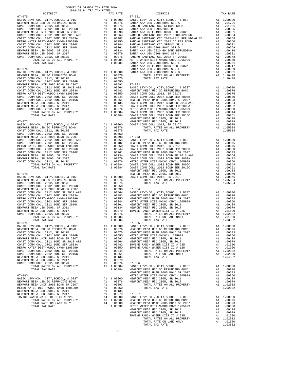| COUNTY OF ORANGE TAX RATE BOOK<br>$2018-2019 \quad \text{TRA RATES}$ DISTRICT $\hspace{2.5cm}$ |          |            |          |
|------------------------------------------------------------------------------------------------|----------|------------|----------|
|                                                                                                | TAX RATE | DISTRICT   | TAX RATE |
|                                                                                                |          |            |          |
|                                                                                                |          |            |          |
|                                                                                                |          |            |          |
|                                                                                                |          |            |          |
|                                                                                                |          |            |          |
|                                                                                                |          |            |          |
|                                                                                                |          |            |          |
|                                                                                                |          |            |          |
|                                                                                                |          |            |          |
|                                                                                                |          |            |          |
|                                                                                                |          |            |          |
|                                                                                                |          |            |          |
|                                                                                                |          |            |          |
|                                                                                                |          |            |          |
|                                                                                                |          |            |          |
|                                                                                                |          |            |          |
|                                                                                                |          |            |          |
|                                                                                                |          |            |          |
|                                                                                                |          |            |          |
|                                                                                                |          |            |          |
|                                                                                                |          |            |          |
|                                                                                                |          |            |          |
|                                                                                                |          |            |          |
|                                                                                                |          |            |          |
|                                                                                                |          |            |          |
|                                                                                                |          |            |          |
|                                                                                                |          |            |          |
|                                                                                                |          |            |          |
|                                                                                                |          |            |          |
|                                                                                                |          |            |          |
| 07-079                                                                                         |          | $07 - 085$ |          |
|                                                                                                |          |            |          |
|                                                                                                |          |            |          |
|                                                                                                |          |            |          |
|                                                                                                |          |            |          |
|                                                                                                |          |            |          |
|                                                                                                |          |            |          |
|                                                                                                |          |            |          |
|                                                                                                |          |            |          |
|                                                                                                |          |            |          |
|                                                                                                |          |            |          |
|                                                                                                |          |            |          |
|                                                                                                |          |            |          |
|                                                                                                |          |            |          |
|                                                                                                |          |            |          |
|                                                                                                |          |            |          |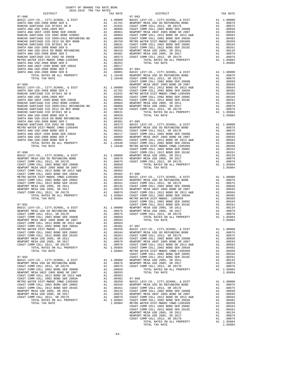| COUNTY OF ORANGE TAX RATE BOOK                                                                                                                                                                                                                                                                                                                                                                     |          |          |          |  |
|----------------------------------------------------------------------------------------------------------------------------------------------------------------------------------------------------------------------------------------------------------------------------------------------------------------------------------------------------------------------------------------------------|----------|----------|----------|--|
| $\begin{minipage}{.03\linewidth} \begin{tabular}{lcccccc} \textbf{1.4} & \textbf{1.4} & \textbf{1.4} & \textbf{1.4} & \textbf{1.4} & \textbf{1.4} & \textbf{1.4} & \textbf{1.4} & \textbf{1.4} & \textbf{1.4} & \textbf{1.4} & \textbf{1.4} & \textbf{1.4} & \textbf{1.4} & \textbf{1.4} & \textbf{1.4} & \textbf{1.4} & \textbf{1.4} & \textbf{1.4} & \textbf{1.4} & \textbf{1.4} & \textbf{1.4}$ | TAX RATE | DISTRICT | TAX RATE |  |
|                                                                                                                                                                                                                                                                                                                                                                                                    |          |          |          |  |
|                                                                                                                                                                                                                                                                                                                                                                                                    |          |          |          |  |
|                                                                                                                                                                                                                                                                                                                                                                                                    |          |          |          |  |
|                                                                                                                                                                                                                                                                                                                                                                                                    |          |          |          |  |
|                                                                                                                                                                                                                                                                                                                                                                                                    |          |          |          |  |
|                                                                                                                                                                                                                                                                                                                                                                                                    |          |          |          |  |
|                                                                                                                                                                                                                                                                                                                                                                                                    |          |          |          |  |
|                                                                                                                                                                                                                                                                                                                                                                                                    |          |          |          |  |
|                                                                                                                                                                                                                                                                                                                                                                                                    |          |          |          |  |
|                                                                                                                                                                                                                                                                                                                                                                                                    |          |          |          |  |
|                                                                                                                                                                                                                                                                                                                                                                                                    |          |          |          |  |
|                                                                                                                                                                                                                                                                                                                                                                                                    |          |          |          |  |
|                                                                                                                                                                                                                                                                                                                                                                                                    |          |          |          |  |
|                                                                                                                                                                                                                                                                                                                                                                                                    |          |          |          |  |
|                                                                                                                                                                                                                                                                                                                                                                                                    |          |          |          |  |
|                                                                                                                                                                                                                                                                                                                                                                                                    |          |          |          |  |
|                                                                                                                                                                                                                                                                                                                                                                                                    |          |          |          |  |
|                                                                                                                                                                                                                                                                                                                                                                                                    |          |          |          |  |
|                                                                                                                                                                                                                                                                                                                                                                                                    |          |          |          |  |
|                                                                                                                                                                                                                                                                                                                                                                                                    |          |          |          |  |
|                                                                                                                                                                                                                                                                                                                                                                                                    |          |          |          |  |
|                                                                                                                                                                                                                                                                                                                                                                                                    |          |          |          |  |
|                                                                                                                                                                                                                                                                                                                                                                                                    |          |          |          |  |
|                                                                                                                                                                                                                                                                                                                                                                                                    |          |          |          |  |
|                                                                                                                                                                                                                                                                                                                                                                                                    |          |          |          |  |
|                                                                                                                                                                                                                                                                                                                                                                                                    |          |          |          |  |
|                                                                                                                                                                                                                                                                                                                                                                                                    |          |          |          |  |
|                                                                                                                                                                                                                                                                                                                                                                                                    |          |          |          |  |
|                                                                                                                                                                                                                                                                                                                                                                                                    |          |          |          |  |
|                                                                                                                                                                                                                                                                                                                                                                                                    |          |          |          |  |
|                                                                                                                                                                                                                                                                                                                                                                                                    |          |          |          |  |
|                                                                                                                                                                                                                                                                                                                                                                                                    |          |          |          |  |
|                                                                                                                                                                                                                                                                                                                                                                                                    |          |          |          |  |
|                                                                                                                                                                                                                                                                                                                                                                                                    |          |          |          |  |
|                                                                                                                                                                                                                                                                                                                                                                                                    |          |          |          |  |
|                                                                                                                                                                                                                                                                                                                                                                                                    |          |          |          |  |
|                                                                                                                                                                                                                                                                                                                                                                                                    |          |          |          |  |
|                                                                                                                                                                                                                                                                                                                                                                                                    |          |          |          |  |
|                                                                                                                                                                                                                                                                                                                                                                                                    |          |          |          |  |
|                                                                                                                                                                                                                                                                                                                                                                                                    |          |          |          |  |
|                                                                                                                                                                                                                                                                                                                                                                                                    |          |          |          |  |
|                                                                                                                                                                                                                                                                                                                                                                                                    |          |          |          |  |
|                                                                                                                                                                                                                                                                                                                                                                                                    |          |          |          |  |
|                                                                                                                                                                                                                                                                                                                                                                                                    |          |          |          |  |
|                                                                                                                                                                                                                                                                                                                                                                                                    |          |          |          |  |
|                                                                                                                                                                                                                                                                                                                                                                                                    |          |          |          |  |
|                                                                                                                                                                                                                                                                                                                                                                                                    |          |          |          |  |
|                                                                                                                                                                                                                                                                                                                                                                                                    |          |          |          |  |
|                                                                                                                                                                                                                                                                                                                                                                                                    |          |          |          |  |
|                                                                                                                                                                                                                                                                                                                                                                                                    |          |          |          |  |
|                                                                                                                                                                                                                                                                                                                                                                                                    |          |          |          |  |
|                                                                                                                                                                                                                                                                                                                                                                                                    |          |          |          |  |
|                                                                                                                                                                                                                                                                                                                                                                                                    |          |          |          |  |
|                                                                                                                                                                                                                                                                                                                                                                                                    |          |          |          |  |
|                                                                                                                                                                                                                                                                                                                                                                                                    |          |          |          |  |
|                                                                                                                                                                                                                                                                                                                                                                                                    |          |          |          |  |
|                                                                                                                                                                                                                                                                                                                                                                                                    |          |          |          |  |
|                                                                                                                                                                                                                                                                                                                                                                                                    |          |          |          |  |

|                 |  | TOTAL RATES ON ALL PROPER? |
|-----------------|--|----------------------------|
| החתה עגה זגה מת |  |                            |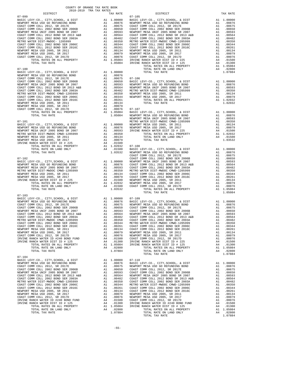| DISTRICT                                                                                                                                                                                                                                                                                                                                                                                                                                                       |                                                                                                                                                                                                | TAX RATE                                                                                                                   |                    |
|----------------------------------------------------------------------------------------------------------------------------------------------------------------------------------------------------------------------------------------------------------------------------------------------------------------------------------------------------------------------------------------------------------------------------------------------------------------|------------------------------------------------------------------------------------------------------------------------------------------------------------------------------------------------|----------------------------------------------------------------------------------------------------------------------------|--------------------|
| $07 - 099$                                                                                                                                                                                                                                                                                                                                                                                                                                                     |                                                                                                                                                                                                |                                                                                                                            | $07 - 105$         |
|                                                                                                                                                                                                                                                                                                                                                                                                                                                                |                                                                                                                                                                                                |                                                                                                                            |                    |
|                                                                                                                                                                                                                                                                                                                                                                                                                                                                |                                                                                                                                                                                                |                                                                                                                            |                    |
|                                                                                                                                                                                                                                                                                                                                                                                                                                                                |                                                                                                                                                                                                |                                                                                                                            |                    |
|                                                                                                                                                                                                                                                                                                                                                                                                                                                                |                                                                                                                                                                                                |                                                                                                                            |                    |
|                                                                                                                                                                                                                                                                                                                                                                                                                                                                |                                                                                                                                                                                                |                                                                                                                            |                    |
|                                                                                                                                                                                                                                                                                                                                                                                                                                                                |                                                                                                                                                                                                |                                                                                                                            |                    |
|                                                                                                                                                                                                                                                                                                                                                                                                                                                                |                                                                                                                                                                                                |                                                                                                                            |                    |
|                                                                                                                                                                                                                                                                                                                                                                                                                                                                |                                                                                                                                                                                                |                                                                                                                            |                    |
|                                                                                                                                                                                                                                                                                                                                                                                                                                                                |                                                                                                                                                                                                |                                                                                                                            |                    |
|                                                                                                                                                                                                                                                                                                                                                                                                                                                                |                                                                                                                                                                                                |                                                                                                                            |                    |
|                                                                                                                                                                                                                                                                                                                                                                                                                                                                |                                                                                                                                                                                                |                                                                                                                            |                    |
|                                                                                                                                                                                                                                                                                                                                                                                                                                                                |                                                                                                                                                                                                |                                                                                                                            |                    |
| $07 - 100$                                                                                                                                                                                                                                                                                                                                                                                                                                                     |                                                                                                                                                                                                |                                                                                                                            |                    |
| BASIC LEVY-CO., CITY, SCHOOL, & DIST<br>NEWPORT MESA USD GO REFUNDING BOND                                                                                                                                                                                                                                                                                                                                                                                     | A1 1.00000<br>A1 .00876 07-106<br>A1 .00650 BASIC L<br>A1 .00650 BASIC L<br>A1 .00593 NEWPORT<br>A1 .00564 NEWPORT<br>A1 .00360 NEWPORT<br>A1 .00344 NEWPORT<br>A1 .00344 NEWPORT<br>A1 .00344 |                                                                                                                            |                    |
|                                                                                                                                                                                                                                                                                                                                                                                                                                                                |                                                                                                                                                                                                |                                                                                                                            |                    |
| COAST COMM COLL 2012, SR 2017E<br>COAST COMM COLL 2002 BOND SER 2006B                                                                                                                                                                                                                                                                                                                                                                                          |                                                                                                                                                                                                |                                                                                                                            |                    |
| NEWPORT MESA UNIF 2005 BOND SR 2007                                                                                                                                                                                                                                                                                                                                                                                                                            |                                                                                                                                                                                                |                                                                                                                            |                    |
| COAST COMM COLL 2012 BOND SR 2013 A&B                                                                                                                                                                                                                                                                                                                                                                                                                          |                                                                                                                                                                                                |                                                                                                                            |                    |
| COAST COMM COLL 2002 BOND SER 2003A                                                                                                                                                                                                                                                                                                                                                                                                                            |                                                                                                                                                                                                |                                                                                                                            |                    |
| METRO WATER DIST-MWDOC CMWD-1205999                                                                                                                                                                                                                                                                                                                                                                                                                            |                                                                                                                                                                                                |                                                                                                                            |                    |
| COAST COMM COLL 2002 BOND SER 2006C<br>COAST COMM COLL 2002 BOND SER 2006C<br>COAST COMM COLL 2012 BOND SER 2016C                                                                                                                                                                                                                                                                                                                                              |                                                                                                                                                                                                |                                                                                                                            |                    |
| NEWPORT MESA USD 2005, SR 2011                                                                                                                                                                                                                                                                                                                                                                                                                                 |                                                                                                                                                                                                |                                                                                                                            |                    |
| NEWPORT MESA USD 2005, SR 2017                                                                                                                                                                                                                                                                                                                                                                                                                                 |                                                                                                                                                                                                |                                                                                                                            |                    |
| NESA USD 2005, SR 2011<br>MESA USD 2005, SR 2017<br>MESA USD 2005, SR 2017<br>OMM COLL 2012, SR 2017<br>OMM COLL 2012, SR 2017<br>A1 0.0076 07-107<br>A1 1.05084 BASIC L<br>T-TY WAY PATE<br>T-TY WAY PATE<br>NEWPORT<br>NEWPORT<br>COAST COMM COLL 2012, SR 2017D                                                                                                                                                                                             |                                                                                                                                                                                                |                                                                                                                            |                    |
|                                                                                                                                                                                                                                                                                                                                                                                                                                                                |                                                                                                                                                                                                |                                                                                                                            |                    |
|                                                                                                                                                                                                                                                                                                                                                                                                                                                                |                                                                                                                                                                                                |                                                                                                                            | NEWPORT            |
| $07 - 101$                                                                                                                                                                                                                                                                                                                                                                                                                                                     |                                                                                                                                                                                                |                                                                                                                            | METRO W            |
| BASIC LEVY-CO., CITY, SCHOOL, & DIST                                                                                                                                                                                                                                                                                                                                                                                                                           |                                                                                                                                                                                                | METRO W<br>A1 .00000 NEWPORT<br>A1 .00876 NEWPORT<br>A1 .00593 IRVINE<br>A1 .00350                                         |                    |
| NEWPORT MESA USD GO REFUNDING BOND                                                                                                                                                                                                                                                                                                                                                                                                                             |                                                                                                                                                                                                |                                                                                                                            |                    |
| NEWPORT MESA UNIF 2005 BOND SR 2007                                                                                                                                                                                                                                                                                                                                                                                                                            |                                                                                                                                                                                                |                                                                                                                            |                    |
| METRO WATER DIST-MWDOC CMWD-1205999<br>NEWPORT MESA USD 2005, SR 2011                                                                                                                                                                                                                                                                                                                                                                                          |                                                                                                                                                                                                | A1 .00350<br>A1.00134                                                                                                      |                    |
| NEWPORT MESA USD 2005, SR 2017                                                                                                                                                                                                                                                                                                                                                                                                                                 |                                                                                                                                                                                                |                                                                                                                            |                    |
| IRVINE RANCH WATER DIST ID # 225                                                                                                                                                                                                                                                                                                                                                                                                                               | A1 .00079<br>A4 .01500<br>A4 .01500<br>A1 1.02032 07-108<br>A4 .01500 BASIC L<br>1.03532 NEWPORT.C                                                                                             |                                                                                                                            |                    |
| TOTAL RATES ON ALL PROPERTY                                                                                                                                                                                                                                                                                                                                                                                                                                    |                                                                                                                                                                                                |                                                                                                                            |                    |
| TOTAL RATE ON LAND ONLY                                                                                                                                                                                                                                                                                                                                                                                                                                        |                                                                                                                                                                                                |                                                                                                                            |                    |
| TOTAL TAX RATE                                                                                                                                                                                                                                                                                                                                                                                                                                                 |                                                                                                                                                                                                |                                                                                                                            | COAST C            |
| $07 - 102$                                                                                                                                                                                                                                                                                                                                                                                                                                                     |                                                                                                                                                                                                |                                                                                                                            | COAST C            |
|                                                                                                                                                                                                                                                                                                                                                                                                                                                                |                                                                                                                                                                                                |                                                                                                                            |                    |
|                                                                                                                                                                                                                                                                                                                                                                                                                                                                |                                                                                                                                                                                                |                                                                                                                            |                    |
|                                                                                                                                                                                                                                                                                                                                                                                                                                                                |                                                                                                                                                                                                |                                                                                                                            |                    |
|                                                                                                                                                                                                                                                                                                                                                                                                                                                                |                                                                                                                                                                                                |                                                                                                                            |                    |
|                                                                                                                                                                                                                                                                                                                                                                                                                                                                |                                                                                                                                                                                                |                                                                                                                            |                    |
|                                                                                                                                                                                                                                                                                                                                                                                                                                                                |                                                                                                                                                                                                |                                                                                                                            |                    |
|                                                                                                                                                                                                                                                                                                                                                                                                                                                                |                                                                                                                                                                                                |                                                                                                                            |                    |
| TOTAL TAX RATE                                                                                                                                                                                                                                                                                                                                                                                                                                                 |                                                                                                                                                                                                | 1.03532                                                                                                                    |                    |
|                                                                                                                                                                                                                                                                                                                                                                                                                                                                |                                                                                                                                                                                                |                                                                                                                            |                    |
| $07 - 103$<br>$\begin{tabular}{l c c c c c} \multicolumn{1}{c}{\textbf{BASE}} & \multicolumn{1}{c}{\textbf{BASE}} & \multicolumn{1}{c}{\textbf{RISTC}} & \multicolumn{1}{c}{\textbf{RISTC}} & \multicolumn{1}{c}{\textbf{RISTC}} & \multicolumn{1}{c}{\textbf{NEWPORT} & \textbf{MISA} & \textbf{USD} & \textbf{GO} & \textbf{REFUNDING} & \textbf{BOND} & \textbf{A1} & .00000 & 07-109 \\ \multicolumn{1}{c}{\textbf{NEWPORT} & \textbf{MNSA} & \textbf{USD$ |                                                                                                                                                                                                |                                                                                                                            |                    |
|                                                                                                                                                                                                                                                                                                                                                                                                                                                                |                                                                                                                                                                                                |                                                                                                                            |                    |
|                                                                                                                                                                                                                                                                                                                                                                                                                                                                |                                                                                                                                                                                                |                                                                                                                            |                    |
|                                                                                                                                                                                                                                                                                                                                                                                                                                                                |                                                                                                                                                                                                |                                                                                                                            |                    |
|                                                                                                                                                                                                                                                                                                                                                                                                                                                                |                                                                                                                                                                                                |                                                                                                                            |                    |
|                                                                                                                                                                                                                                                                                                                                                                                                                                                                |                                                                                                                                                                                                |                                                                                                                            |                    |
|                                                                                                                                                                                                                                                                                                                                                                                                                                                                |                                                                                                                                                                                                |                                                                                                                            |                    |
|                                                                                                                                                                                                                                                                                                                                                                                                                                                                |                                                                                                                                                                                                |                                                                                                                            |                    |
| NEWPORT MESA USD 2005, SR 2011                                                                                                                                                                                                                                                                                                                                                                                                                                 |                                                                                                                                                                                                |                                                                                                                            | COAST C            |
| NEWPORT MESA USD 2005, SR 2017                                                                                                                                                                                                                                                                                                                                                                                                                                 | A1<br>A1                                                                                                                                                                                       | .00134<br>.00079                                                                                                           | NEWPORT            |
| COAST COMM COLL 2012, SR 2017D                                                                                                                                                                                                                                                                                                                                                                                                                                 | A1                                                                                                                                                                                             | .00076                                                                                                                     | NEWPORT            |
| IRVINE RANCH WATER ID #240 BOND FUND                                                                                                                                                                                                                                                                                                                                                                                                                           | A4                                                                                                                                                                                             | .01500                                                                                                                     | COAST C            |
| IRVINE RANCH WATER DIST ID # 125                                                                                                                                                                                                                                                                                                                                                                                                                               |                                                                                                                                                                                                | $\begin{tabular}{ccc} & .01300 & & IRVINE \\ \hline \text{A1} & 1.05084 & & IRVINE \\ \text{A4} & & & & \end{tabular}$     |                    |
| TOTAL RATES ON ALL PROPERTY                                                                                                                                                                                                                                                                                                                                                                                                                                    |                                                                                                                                                                                                |                                                                                                                            |                    |
| TOTAL RATE ON LAND ONLY<br>TOTAL TAX RATE                                                                                                                                                                                                                                                                                                                                                                                                                      |                                                                                                                                                                                                | 1.07884                                                                                                                    |                    |
|                                                                                                                                                                                                                                                                                                                                                                                                                                                                |                                                                                                                                                                                                |                                                                                                                            |                    |
| $07 - 104$<br>BASIC LEVY-CO., CITY, SCHOOL, & DIST                                                                                                                                                                                                                                                                                                                                                                                                             | A1                                                                                                                                                                                             | 1.00000                                                                                                                    | 07-110             |
| NEWPORT MESA USD GO REFUNDING BOND                                                                                                                                                                                                                                                                                                                                                                                                                             | A1                                                                                                                                                                                             | .00876                                                                                                                     | BASIC L            |
| COAST COMM COLL 2012, SR 2017E                                                                                                                                                                                                                                                                                                                                                                                                                                 | A1                                                                                                                                                                                             | .00675                                                                                                                     | NEWPORT            |
| COAST COMM COLL 2002 BOND SER 2006B                                                                                                                                                                                                                                                                                                                                                                                                                            | A1                                                                                                                                                                                             | .00650                                                                                                                     | COAST C            |
| NEWPORT MESA UNIF 2005 BOND SR 2007<br>COAST COMM COLL 2012 BOND SR 2013 A&B                                                                                                                                                                                                                                                                                                                                                                                   | A1<br>A1                                                                                                                                                                                       | .00593<br>.00564                                                                                                           | COAST C<br>NEWPORT |
| COAST COMM COLL 2002 BOND SER 2003A                                                                                                                                                                                                                                                                                                                                                                                                                            | A1                                                                                                                                                                                             | .00482                                                                                                                     | COAST C            |
| METRO WATER DIST-MWDOC CMWD-1205999                                                                                                                                                                                                                                                                                                                                                                                                                            |                                                                                                                                                                                                |                                                                                                                            |                    |
| COAST COMM COLL 2002 BOND SER 2006C                                                                                                                                                                                                                                                                                                                                                                                                                            |                                                                                                                                                                                                |                                                                                                                            |                    |
| COAST COMM COLL 2012 BOND SER 2016C<br>NEWPORT MESA USD 2005, SR 2011                                                                                                                                                                                                                                                                                                                                                                                          |                                                                                                                                                                                                |                                                                                                                            |                    |
| NEWPORT MESA USD 2005, SR 2017                                                                                                                                                                                                                                                                                                                                                                                                                                 |                                                                                                                                                                                                |                                                                                                                            |                    |
| COAST COMM COLL 2012, SR 2017D                                                                                                                                                                                                                                                                                                                                                                                                                                 |                                                                                                                                                                                                | A1 .00350 COAST C<br>A1 .00361 COAST C<br>A1 .00361 COAST C<br>A1 .00361 COAST C<br>A1 .00079 NEWPORT<br>A1 .00076 NEWPORT |                    |
| IRVINE RANCH WATER ID #240 BOND FUND                                                                                                                                                                                                                                                                                                                                                                                                                           | A4                                                                                                                                                                                             | .01500                                                                                                                     | COAST C            |
| IRVINE RANCH WATER DIST ID # 125                                                                                                                                                                                                                                                                                                                                                                                                                               | A4                                                                                                                                                                                             | .01300                                                                                                                     | IRVINE             |
| TOTAL RATES ON ALL PROPERTY<br>∨ דואר תואגז זה מידי אפ זגידרים                                                                                                                                                                                                                                                                                                                                                                                                 |                                                                                                                                                                                                | A1 1.05084                                                                                                                 | IRVINE             |

| COUNTY OF ORANGE TAX RATE BOOK<br>$\begin{minipage}{.03\linewidth} \begin{tabular}{lcccccc} \multicolumn{2}{c}{\textbf{1.41}\textbf{1.62}} & \multicolumn{2}{c}{\textbf{1.62}\textbf{1.63}} & \multicolumn{2}{c}{\textbf{1.63}} & \multicolumn{2}{c}{\textbf{1.64}} & \multicolumn{2}{c}{\textbf{1.65}} & \multicolumn{2}{c}{\textbf{1.66}} & \multicolumn{2}{c}{\textbf{1.67}} & \multicolumn{2}{c}{\textbf{1.67}} & \multicolumn{2}{c}{\textbf{1.67}} & \multicolumn{2}{c}{\$ |          |                                                                                                                                                                                                                                                                                                                                                                                 |          |
|---------------------------------------------------------------------------------------------------------------------------------------------------------------------------------------------------------------------------------------------------------------------------------------------------------------------------------------------------------------------------------------------------------------------------------------------------------------------------------|----------|---------------------------------------------------------------------------------------------------------------------------------------------------------------------------------------------------------------------------------------------------------------------------------------------------------------------------------------------------------------------------------|----------|
|                                                                                                                                                                                                                                                                                                                                                                                                                                                                                 | TAX RATE | DISTRICT                                                                                                                                                                                                                                                                                                                                                                        | TAX RATE |
|                                                                                                                                                                                                                                                                                                                                                                                                                                                                                 |          | $\begin{smallmatrix} 1.14 & 0.04 & 0.04 & 0.04 & 0.04 & 0.04 & 0.04 & 0.04 & 0.04 & 0.04 & 0.04 & 0.04 & 0.04 & 0.04 & 0.04 & 0.04 & 0.04 & 0.04 & 0.04 & 0.04 & 0.04 & 0.04 & 0.04 & 0.04 & 0.04 & 0.04 & 0.04 & 0.04 & 0.04 & 0.04 & 0.04 & 0.04 & 0.04 & 0.04 & 0.04 & 0.0$                                                                                                  |          |
|                                                                                                                                                                                                                                                                                                                                                                                                                                                                                 |          |                                                                                                                                                                                                                                                                                                                                                                                 |          |
|                                                                                                                                                                                                                                                                                                                                                                                                                                                                                 |          |                                                                                                                                                                                                                                                                                                                                                                                 |          |
|                                                                                                                                                                                                                                                                                                                                                                                                                                                                                 |          |                                                                                                                                                                                                                                                                                                                                                                                 |          |
|                                                                                                                                                                                                                                                                                                                                                                                                                                                                                 |          |                                                                                                                                                                                                                                                                                                                                                                                 |          |
|                                                                                                                                                                                                                                                                                                                                                                                                                                                                                 |          |                                                                                                                                                                                                                                                                                                                                                                                 |          |
|                                                                                                                                                                                                                                                                                                                                                                                                                                                                                 |          |                                                                                                                                                                                                                                                                                                                                                                                 |          |
|                                                                                                                                                                                                                                                                                                                                                                                                                                                                                 |          |                                                                                                                                                                                                                                                                                                                                                                                 |          |
|                                                                                                                                                                                                                                                                                                                                                                                                                                                                                 |          |                                                                                                                                                                                                                                                                                                                                                                                 |          |
|                                                                                                                                                                                                                                                                                                                                                                                                                                                                                 |          |                                                                                                                                                                                                                                                                                                                                                                                 |          |
|                                                                                                                                                                                                                                                                                                                                                                                                                                                                                 |          |                                                                                                                                                                                                                                                                                                                                                                                 |          |
|                                                                                                                                                                                                                                                                                                                                                                                                                                                                                 |          |                                                                                                                                                                                                                                                                                                                                                                                 |          |
|                                                                                                                                                                                                                                                                                                                                                                                                                                                                                 |          |                                                                                                                                                                                                                                                                                                                                                                                 |          |
|                                                                                                                                                                                                                                                                                                                                                                                                                                                                                 |          |                                                                                                                                                                                                                                                                                                                                                                                 |          |
|                                                                                                                                                                                                                                                                                                                                                                                                                                                                                 |          |                                                                                                                                                                                                                                                                                                                                                                                 |          |
|                                                                                                                                                                                                                                                                                                                                                                                                                                                                                 |          |                                                                                                                                                                                                                                                                                                                                                                                 |          |
|                                                                                                                                                                                                                                                                                                                                                                                                                                                                                 |          |                                                                                                                                                                                                                                                                                                                                                                                 |          |
|                                                                                                                                                                                                                                                                                                                                                                                                                                                                                 |          |                                                                                                                                                                                                                                                                                                                                                                                 |          |
|                                                                                                                                                                                                                                                                                                                                                                                                                                                                                 |          |                                                                                                                                                                                                                                                                                                                                                                                 |          |
|                                                                                                                                                                                                                                                                                                                                                                                                                                                                                 |          |                                                                                                                                                                                                                                                                                                                                                                                 |          |
|                                                                                                                                                                                                                                                                                                                                                                                                                                                                                 |          |                                                                                                                                                                                                                                                                                                                                                                                 |          |
|                                                                                                                                                                                                                                                                                                                                                                                                                                                                                 |          |                                                                                                                                                                                                                                                                                                                                                                                 |          |
|                                                                                                                                                                                                                                                                                                                                                                                                                                                                                 |          |                                                                                                                                                                                                                                                                                                                                                                                 |          |
|                                                                                                                                                                                                                                                                                                                                                                                                                                                                                 |          |                                                                                                                                                                                                                                                                                                                                                                                 |          |
|                                                                                                                                                                                                                                                                                                                                                                                                                                                                                 |          |                                                                                                                                                                                                                                                                                                                                                                                 |          |
|                                                                                                                                                                                                                                                                                                                                                                                                                                                                                 |          |                                                                                                                                                                                                                                                                                                                                                                                 |          |
|                                                                                                                                                                                                                                                                                                                                                                                                                                                                                 |          |                                                                                                                                                                                                                                                                                                                                                                                 |          |
| $07 - 103$                                                                                                                                                                                                                                                                                                                                                                                                                                                                      |          | $\begin{tabular}{l c c c c c c c c} \hline 0.7-103 & 0.017 & 0.017 & 0.017 & 0.017 & 0.017 & 0.017 & 0.017 & 0.017 & 0.017 & 0.017 & 0.017 & 0.017 & 0.017 & 0.017 & 0.017 & 0.017 & 0.017 & 0.017 & 0.017 & 0.017 & 0.017 & 0.017 & 0.017 & 0.017 & 0.017 & 0.017 & 0$                                                                                                         |          |
|                                                                                                                                                                                                                                                                                                                                                                                                                                                                                 |          |                                                                                                                                                                                                                                                                                                                                                                                 |          |
|                                                                                                                                                                                                                                                                                                                                                                                                                                                                                 |          |                                                                                                                                                                                                                                                                                                                                                                                 |          |
|                                                                                                                                                                                                                                                                                                                                                                                                                                                                                 |          |                                                                                                                                                                                                                                                                                                                                                                                 |          |
|                                                                                                                                                                                                                                                                                                                                                                                                                                                                                 |          |                                                                                                                                                                                                                                                                                                                                                                                 |          |
|                                                                                                                                                                                                                                                                                                                                                                                                                                                                                 |          |                                                                                                                                                                                                                                                                                                                                                                                 |          |
|                                                                                                                                                                                                                                                                                                                                                                                                                                                                                 |          |                                                                                                                                                                                                                                                                                                                                                                                 |          |
|                                                                                                                                                                                                                                                                                                                                                                                                                                                                                 |          |                                                                                                                                                                                                                                                                                                                                                                                 |          |
|                                                                                                                                                                                                                                                                                                                                                                                                                                                                                 |          |                                                                                                                                                                                                                                                                                                                                                                                 |          |
|                                                                                                                                                                                                                                                                                                                                                                                                                                                                                 |          | $\begin{tabular}{l c c c c c} \hline \texttt{METRO WATER DIST-MWDOC CMWD-1205999} & \texttt{A1} & .00350 & \texttt{COAST COMM COLL 2002 BOND SER 2003A} & .00482 \\ \texttt{COAST COMM COLL 2002 BOND SER 2006C} & \texttt{A1} & .00344 \\ \texttt{OAST COMM COLL 2002 BOND SER 2006C} & \texttt{A1} & .00344 \\ \texttt{NENPORT MESA US D 2005, SR 2011} & \texttt{A1} & .003$ |          |
| $07 - 104$                                                                                                                                                                                                                                                                                                                                                                                                                                                                      |          |                                                                                                                                                                                                                                                                                                                                                                                 |          |
|                                                                                                                                                                                                                                                                                                                                                                                                                                                                                 |          |                                                                                                                                                                                                                                                                                                                                                                                 |          |
|                                                                                                                                                                                                                                                                                                                                                                                                                                                                                 |          |                                                                                                                                                                                                                                                                                                                                                                                 |          |
|                                                                                                                                                                                                                                                                                                                                                                                                                                                                                 |          |                                                                                                                                                                                                                                                                                                                                                                                 |          |
|                                                                                                                                                                                                                                                                                                                                                                                                                                                                                 |          |                                                                                                                                                                                                                                                                                                                                                                                 |          |
|                                                                                                                                                                                                                                                                                                                                                                                                                                                                                 |          |                                                                                                                                                                                                                                                                                                                                                                                 |          |
|                                                                                                                                                                                                                                                                                                                                                                                                                                                                                 |          |                                                                                                                                                                                                                                                                                                                                                                                 |          |
|                                                                                                                                                                                                                                                                                                                                                                                                                                                                                 |          |                                                                                                                                                                                                                                                                                                                                                                                 |          |
|                                                                                                                                                                                                                                                                                                                                                                                                                                                                                 |          |                                                                                                                                                                                                                                                                                                                                                                                 |          |
|                                                                                                                                                                                                                                                                                                                                                                                                                                                                                 |          |                                                                                                                                                                                                                                                                                                                                                                                 |          |
|                                                                                                                                                                                                                                                                                                                                                                                                                                                                                 |          |                                                                                                                                                                                                                                                                                                                                                                                 |          |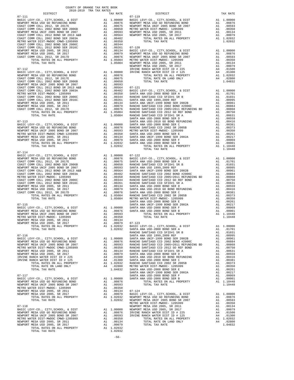| COUNTY OF ORANGE TAX RATE BOOK |          |                                                                                                                                                                                                                                   |          |
|--------------------------------|----------|-----------------------------------------------------------------------------------------------------------------------------------------------------------------------------------------------------------------------------------|----------|
|                                | TAX RATE | DISTRICT                                                                                                                                                                                                                          | TAX RATE |
|                                |          | $07 - 119$                                                                                                                                                                                                                        |          |
|                                |          |                                                                                                                                                                                                                                   |          |
|                                |          |                                                                                                                                                                                                                                   |          |
|                                |          |                                                                                                                                                                                                                                   |          |
|                                |          |                                                                                                                                                                                                                                   |          |
|                                |          |                                                                                                                                                                                                                                   |          |
|                                |          |                                                                                                                                                                                                                                   |          |
|                                |          |                                                                                                                                                                                                                                   |          |
|                                |          |                                                                                                                                                                                                                                   |          |
|                                |          |                                                                                                                                                                                                                                   |          |
|                                |          |                                                                                                                                                                                                                                   |          |
|                                |          |                                                                                                                                                                                                                                   |          |
|                                |          |                                                                                                                                                                                                                                   |          |
|                                |          |                                                                                                                                                                                                                                   |          |
|                                |          |                                                                                                                                                                                                                                   |          |
|                                |          |                                                                                                                                                                                                                                   |          |
|                                |          |                                                                                                                                                                                                                                   |          |
|                                |          |                                                                                                                                                                                                                                   |          |
|                                |          |                                                                                                                                                                                                                                   |          |
|                                |          |                                                                                                                                                                                                                                   |          |
|                                |          |                                                                                                                                                                                                                                   |          |
|                                |          |                                                                                                                                                                                                                                   |          |
|                                |          |                                                                                                                                                                                                                                   |          |
|                                |          |                                                                                                                                                                                                                                   |          |
|                                |          |                                                                                                                                                                                                                                   |          |
|                                |          |                                                                                                                                                                                                                                   |          |
|                                |          |                                                                                                                                                                                                                                   |          |
|                                |          |                                                                                                                                                                                                                                   |          |
|                                |          |                                                                                                                                                                                                                                   |          |
|                                |          |                                                                                                                                                                                                                                   |          |
|                                |          |                                                                                                                                                                                                                                   |          |
|                                |          |                                                                                                                                                                                                                                   |          |
|                                |          |                                                                                                                                                                                                                                   |          |
| $07 - 114$                     |          |                                                                                                                                                                                                                                   |          |
|                                |          |                                                                                                                                                                                                                                   |          |
|                                |          |                                                                                                                                                                                                                                   |          |
|                                |          |                                                                                                                                                                                                                                   |          |
|                                |          |                                                                                                                                                                                                                                   |          |
|                                |          |                                                                                                                                                                                                                                   |          |
|                                |          |                                                                                                                                                                                                                                   |          |
|                                |          |                                                                                                                                                                                                                                   |          |
|                                |          |                                                                                                                                                                                                                                   |          |
|                                |          |                                                                                                                                                                                                                                   |          |
|                                |          |                                                                                                                                                                                                                                   |          |
|                                |          |                                                                                                                                                                                                                                   |          |
|                                |          |                                                                                                                                                                                                                                   |          |
|                                |          |                                                                                                                                                                                                                                   |          |
|                                |          |                                                                                                                                                                                                                                   |          |
|                                |          |                                                                                                                                                                                                                                   |          |
|                                |          |                                                                                                                                                                                                                                   |          |
|                                |          |                                                                                                                                                                                                                                   |          |
|                                |          |                                                                                                                                                                                                                                   |          |
|                                |          |                                                                                                                                                                                                                                   |          |
|                                |          |                                                                                                                                                                                                                                   |          |
|                                |          |                                                                                                                                                                                                                                   |          |
|                                |          |                                                                                                                                                                                                                                   |          |
|                                |          |                                                                                                                                                                                                                                   |          |
|                                |          |                                                                                                                                                                                                                                   |          |
|                                |          |                                                                                                                                                                                                                                   |          |
|                                |          |                                                                                                                                                                                                                                   |          |
|                                |          |                                                                                                                                                                                                                                   |          |
|                                |          |                                                                                                                                                                                                                                   |          |
|                                |          |                                                                                                                                                                                                                                   |          |
|                                |          |                                                                                                                                                                                                                                   |          |
|                                |          |                                                                                                                                                                                                                                   |          |
|                                |          |                                                                                                                                                                                                                                   |          |
|                                |          |                                                                                                                                                                                                                                   |          |
|                                |          |                                                                                                                                                                                                                                   |          |
|                                |          |                                                                                                                                                                                                                                   |          |
|                                |          |                                                                                                                                                                                                                                   |          |
|                                |          |                                                                                                                                                                                                                                   |          |
|                                |          |                                                                                                                                                                                                                                   |          |
|                                |          |                                                                                                                                                                                                                                   |          |
|                                |          |                                                                                                                                                                                                                                   |          |
|                                |          |                                                                                                                                                                                                                                   |          |
|                                |          |                                                                                                                                                                                                                                   |          |
|                                |          |                                                                                                                                                                                                                                   |          |
|                                |          | ARTHON (MES DET ANNOUNCE LEGISPS) (A 1.00359)<br>MENOW MES DET ANNOUNCE LEGISPS) (A 1.003510) (A 2.0037) (A 2.0037) (A 2.0037) (A 2.0037) (A 2.0037) (A 2.0037)<br>MENOW MES DET AN ARTICLE (A 2.004) (A 2.004) (A 2.004) (A 2.00 |          |

| BASIC LEVY-CO., CITY,SCHOOL,<br>SANTA ANA USD-2008 BOND SER A                                                                                                                                                                                                           |
|-------------------------------------------------------------------------------------------------------------------------------------------------------------------------------------------------------------------------------------------------------------------------|
| SANTA ANA USD-2008 BOND SEK A RANCHO SANTAGO COD SFID#1 SR<br>SANTA ANA USD 1999, 2009 REF SANTA ANA UNIF-1999 BOND SER<br>RANCHO SANTIAGO COD 2005-2011<br>RANCHO SANTIAGO COD 2012 GOR<br>RANCHO SANTIAGO COD 2012 GOR<br>RANCHO SANTIAGO                             |
|                                                                                                                                                                                                                                                                         |
|                                                                                                                                                                                                                                                                         |
|                                                                                                                                                                                                                                                                         |
|                                                                                                                                                                                                                                                                         |
|                                                                                                                                                                                                                                                                         |
|                                                                                                                                                                                                                                                                         |
| SANTA ANA USD-2008 BOND SER D                                                                                                                                                                                                                                           |
| SANTA ANA USD-2010 GO BOND RE                                                                                                                                                                                                                                           |
|                                                                                                                                                                                                                                                                         |
| SANTA ANA USD-2008 BOND SER C                                                                                                                                                                                                                                           |
| RANCHO SANTIAGO CCD 2002 SR 2<br>METRO WATER DIST-MUDOC-12059<br>METRO WATER DIST-MUDOC-12059<br>SANTA ANA USID-2008 BOND SER E<br>SANTA ANA USID-2008 BOND SER E<br>SANTA ANA USID-2008 BOND SER E<br>SANTA ANA USID-2008 BOND SER E<br>SANTA ANA USID-2008 BOND SER E |
|                                                                                                                                                                                                                                                                         |
|                                                                                                                                                                                                                                                                         |
|                                                                                                                                                                                                                                                                         |
|                                                                                                                                                                                                                                                                         |
|                                                                                                                                                                                                                                                                         |
| TOTAL RATES ON ALL PR                                                                                                                                                                                                                                                   |
| TOTAL TAX RATE                                                                                                                                                                                                                                                          |
|                                                                                                                                                                                                                                                                         |
| $07 - 122$                                                                                                                                                                                                                                                              |
|                                                                                                                                                                                                                                                                         |
| BASIC LEVY-CO., CITY, SCHOOL,<br>SANTA ANA USD-2008 BOND SER A                                                                                                                                                                                                          |
| RANCHO SANTIAGO CCD SFID#1 SR                                                                                                                                                                                                                                           |
|                                                                                                                                                                                                                                                                         |
| SANTA ANA USD 1999, 2009 REF                                                                                                                                                                                                                                            |
| SANTA ANA UNIF-1999 BOND SER<br>RANCHO SANTIAGO CCD 2002 BOND<br>RANCHO SANTIAGO CCD 2005+2011<br>RANCHO SANTIAGO CCD 2012 GO R<br>RANCHO SANTIAGO CCD SFID#1 SR                                                                                                        |
|                                                                                                                                                                                                                                                                         |
|                                                                                                                                                                                                                                                                         |
|                                                                                                                                                                                                                                                                         |
|                                                                                                                                                                                                                                                                         |
|                                                                                                                                                                                                                                                                         |
|                                                                                                                                                                                                                                                                         |
|                                                                                                                                                                                                                                                                         |
| SANTA ANA USD-2008 BOND SER D<br>SANTA ANA USD-2010 GO BOND RE<br>SANTA ANA USD-2008 BOND SER C<br>RANCHO SANTIAGO CCD 2002 SR 2                                                                                                                                        |
|                                                                                                                                                                                                                                                                         |
| METRO WATER DIST-MWDOC- 12059<br>SANTA ANA USD-2008 BOND SER E                                                                                                                                                                                                          |
|                                                                                                                                                                                                                                                                         |
| SANTA ANA UNIF-1999 BOND SER                                                                                                                                                                                                                                            |
|                                                                                                                                                                                                                                                                         |
|                                                                                                                                                                                                                                                                         |
|                                                                                                                                                                                                                                                                         |
| SANTA ANA USD-2008 BOND SER F<br>SANTA ANA USD-2008 BOND SER B<br>TOTAL RATES ON ALL PR<br>TOTAL TAX RATE                                                                                                                                                               |
|                                                                                                                                                                                                                                                                         |
| $07 - 123$                                                                                                                                                                                                                                                              |
|                                                                                                                                                                                                                                                                         |
| BASIC LEVY-CO., CITY, SCHOOL,<br>SANTA ANA USD-2008 BOND SER A                                                                                                                                                                                                          |
| RANCHO SANTIAGO CCD SFID#1 SR                                                                                                                                                                                                                                           |
| SANTA ANA USD 1999,2009 REF<br>SANTA ANA UNIF-1999 BOND SER                                                                                                                                                                                                             |
|                                                                                                                                                                                                                                                                         |
| RANCHO SANTIAGO CCD 2002 BOND                                                                                                                                                                                                                                           |
| RANCHO SANTIAGO CCD 2005+2011                                                                                                                                                                                                                                           |
|                                                                                                                                                                                                                                                                         |
| RANCHO SANTIAGO CCD 2012 GO R<br>RANCHO SANTIAGO CCD SFID#1 SR                                                                                                                                                                                                          |
| EMPLAD ANA USD-2008 BOND SER D<br>SANTA ANA USD-2008 BOND RESANTA ANA USD-2010 GO BOND SER CANALA<br>SANTA ANA USD-2010 GO BOND SER CANACHO SANTIAGO CCD 2002 SR 2<br>RANCHO SANTIAGO CCD 2002 SR 2<br>SANTA ANA USD-2008 BOND SER ES                                   |
|                                                                                                                                                                                                                                                                         |
|                                                                                                                                                                                                                                                                         |
|                                                                                                                                                                                                                                                                         |
|                                                                                                                                                                                                                                                                         |
|                                                                                                                                                                                                                                                                         |
|                                                                                                                                                                                                                                                                         |
| SANTA ANA UNIF-1999 BOND SER                                                                                                                                                                                                                                            |
|                                                                                                                                                                                                                                                                         |
| SANTA ANA USD-2008 BOND SER F<br>SANTA ANA USD-2008 BOND SER B                                                                                                                                                                                                          |
| TOTAL RATES ON ALL PR                                                                                                                                                                                                                                                   |
| TOTAL TAX RATE                                                                                                                                                                                                                                                          |
|                                                                                                                                                                                                                                                                         |
|                                                                                                                                                                                                                                                                         |
| $07 - 124$                                                                                                                                                                                                                                                              |
| BASIC LEVY-CO., CITY, SCHOOL,                                                                                                                                                                                                                                           |
|                                                                                                                                                                                                                                                                         |
| NEWPORT MESA USD GO REFUNDING                                                                                                                                                                                                                                           |
| METRO WATER DIST-MWDOC- 12059                                                                                                                                                                                                                                           |
|                                                                                                                                                                                                                                                                         |
| NEWPORT MESA USD 2005, SR 201<br>NEWPORT MESA USD 2005, SR 201                                                                                                                                                                                                          |
| and the                                                                                                                                                                                                                                                                 |

-56-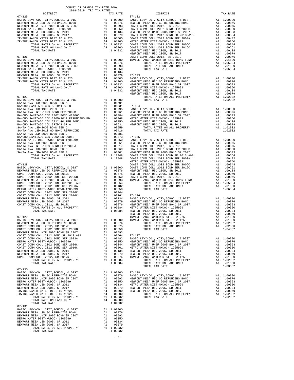| COUNTY OF ORANGE TAX RATE BOOK                                                                                                                                                                                                                                                                                                                                                                          |          |          |          |  |
|---------------------------------------------------------------------------------------------------------------------------------------------------------------------------------------------------------------------------------------------------------------------------------------------------------------------------------------------------------------------------------------------------------|----------|----------|----------|--|
|                                                                                                                                                                                                                                                                                                                                                                                                         | TAX RATE | DISTRICT | TAX RATE |  |
|                                                                                                                                                                                                                                                                                                                                                                                                         |          |          |          |  |
|                                                                                                                                                                                                                                                                                                                                                                                                         |          |          |          |  |
|                                                                                                                                                                                                                                                                                                                                                                                                         |          |          |          |  |
|                                                                                                                                                                                                                                                                                                                                                                                                         |          |          |          |  |
|                                                                                                                                                                                                                                                                                                                                                                                                         |          |          |          |  |
|                                                                                                                                                                                                                                                                                                                                                                                                         |          |          |          |  |
|                                                                                                                                                                                                                                                                                                                                                                                                         |          |          |          |  |
|                                                                                                                                                                                                                                                                                                                                                                                                         |          |          |          |  |
|                                                                                                                                                                                                                                                                                                                                                                                                         |          |          |          |  |
|                                                                                                                                                                                                                                                                                                                                                                                                         |          |          |          |  |
|                                                                                                                                                                                                                                                                                                                                                                                                         |          |          |          |  |
|                                                                                                                                                                                                                                                                                                                                                                                                         |          |          |          |  |
|                                                                                                                                                                                                                                                                                                                                                                                                         |          |          |          |  |
|                                                                                                                                                                                                                                                                                                                                                                                                         |          |          |          |  |
|                                                                                                                                                                                                                                                                                                                                                                                                         |          |          |          |  |
|                                                                                                                                                                                                                                                                                                                                                                                                         |          |          |          |  |
|                                                                                                                                                                                                                                                                                                                                                                                                         |          |          |          |  |
|                                                                                                                                                                                                                                                                                                                                                                                                         |          |          |          |  |
|                                                                                                                                                                                                                                                                                                                                                                                                         |          |          |          |  |
|                                                                                                                                                                                                                                                                                                                                                                                                         |          |          |          |  |
|                                                                                                                                                                                                                                                                                                                                                                                                         |          |          |          |  |
|                                                                                                                                                                                                                                                                                                                                                                                                         |          |          |          |  |
|                                                                                                                                                                                                                                                                                                                                                                                                         |          |          |          |  |
|                                                                                                                                                                                                                                                                                                                                                                                                         |          |          |          |  |
|                                                                                                                                                                                                                                                                                                                                                                                                         |          |          |          |  |
|                                                                                                                                                                                                                                                                                                                                                                                                         |          |          |          |  |
|                                                                                                                                                                                                                                                                                                                                                                                                         |          |          |          |  |
|                                                                                                                                                                                                                                                                                                                                                                                                         |          |          |          |  |
|                                                                                                                                                                                                                                                                                                                                                                                                         |          |          |          |  |
|                                                                                                                                                                                                                                                                                                                                                                                                         |          |          |          |  |
|                                                                                                                                                                                                                                                                                                                                                                                                         |          |          |          |  |
|                                                                                                                                                                                                                                                                                                                                                                                                         |          |          |          |  |
|                                                                                                                                                                                                                                                                                                                                                                                                         |          |          |          |  |
|                                                                                                                                                                                                                                                                                                                                                                                                         |          |          |          |  |
|                                                                                                                                                                                                                                                                                                                                                                                                         |          |          |          |  |
|                                                                                                                                                                                                                                                                                                                                                                                                         |          |          |          |  |
|                                                                                                                                                                                                                                                                                                                                                                                                         |          |          |          |  |
|                                                                                                                                                                                                                                                                                                                                                                                                         |          |          |          |  |
|                                                                                                                                                                                                                                                                                                                                                                                                         |          |          |          |  |
|                                                                                                                                                                                                                                                                                                                                                                                                         |          |          |          |  |
|                                                                                                                                                                                                                                                                                                                                                                                                         |          |          |          |  |
|                                                                                                                                                                                                                                                                                                                                                                                                         |          |          |          |  |
|                                                                                                                                                                                                                                                                                                                                                                                                         |          |          |          |  |
|                                                                                                                                                                                                                                                                                                                                                                                                         |          |          |          |  |
|                                                                                                                                                                                                                                                                                                                                                                                                         |          |          |          |  |
|                                                                                                                                                                                                                                                                                                                                                                                                         |          |          |          |  |
|                                                                                                                                                                                                                                                                                                                                                                                                         |          |          |          |  |
|                                                                                                                                                                                                                                                                                                                                                                                                         |          |          |          |  |
|                                                                                                                                                                                                                                                                                                                                                                                                         |          |          |          |  |
|                                                                                                                                                                                                                                                                                                                                                                                                         |          |          |          |  |
|                                                                                                                                                                                                                                                                                                                                                                                                         |          |          |          |  |
|                                                                                                                                                                                                                                                                                                                                                                                                         |          |          |          |  |
|                                                                                                                                                                                                                                                                                                                                                                                                         |          |          |          |  |
|                                                                                                                                                                                                                                                                                                                                                                                                         |          |          |          |  |
|                                                                                                                                                                                                                                                                                                                                                                                                         |          |          |          |  |
|                                                                                                                                                                                                                                                                                                                                                                                                         |          |          |          |  |
|                                                                                                                                                                                                                                                                                                                                                                                                         |          |          |          |  |
|                                                                                                                                                                                                                                                                                                                                                                                                         |          |          |          |  |
|                                                                                                                                                                                                                                                                                                                                                                                                         |          |          |          |  |
|                                                                                                                                                                                                                                                                                                                                                                                                         |          |          |          |  |
|                                                                                                                                                                                                                                                                                                                                                                                                         |          |          |          |  |
|                                                                                                                                                                                                                                                                                                                                                                                                         |          |          |          |  |
|                                                                                                                                                                                                                                                                                                                                                                                                         |          |          |          |  |
| $\begin{tabular}{l c c c c} \texttt{IASIC } \texttt{LEVY-OO}, \texttt{CITY}, \texttt{SCHODL} & \texttt{EUST} & \texttt{A1} & 1.00000 & \texttt{INVINE RANCE WATEE DIST D} & \texttt{A1} & 0.01000 \\ \texttt{NREWPCY MESA USD GO RETUND E AND CNE TOMM COLL 2012, SR 2017B & \texttt{A1} & .000075 & \texttt{TOTL RATES ON ALL PRORETY} & \texttt{A1} & .01000 \\ \texttt{COAST COMM COLL 2002 BOND SE$ |          |          |          |  |
| $07 - 130$                                                                                                                                                                                                                                                                                                                                                                                              |          |          |          |  |
|                                                                                                                                                                                                                                                                                                                                                                                                         |          |          |          |  |
|                                                                                                                                                                                                                                                                                                                                                                                                         |          |          |          |  |
|                                                                                                                                                                                                                                                                                                                                                                                                         |          |          |          |  |
|                                                                                                                                                                                                                                                                                                                                                                                                         |          |          |          |  |
|                                                                                                                                                                                                                                                                                                                                                                                                         |          |          |          |  |
|                                                                                                                                                                                                                                                                                                                                                                                                         |          |          |          |  |
|                                                                                                                                                                                                                                                                                                                                                                                                         |          |          |          |  |
|                                                                                                                                                                                                                                                                                                                                                                                                         |          |          |          |  |
| TOTAL TAX RATE                                                                                                                                                                                                                                                                                                                                                                                          |          |          |          |  |
| $07 - 131$                                                                                                                                                                                                                                                                                                                                                                                              |          |          |          |  |
|                                                                                                                                                                                                                                                                                                                                                                                                         |          |          |          |  |
|                                                                                                                                                                                                                                                                                                                                                                                                         |          |          |          |  |
|                                                                                                                                                                                                                                                                                                                                                                                                         |          |          |          |  |
|                                                                                                                                                                                                                                                                                                                                                                                                         |          |          |          |  |
|                                                                                                                                                                                                                                                                                                                                                                                                         |          |          |          |  |
|                                                                                                                                                                                                                                                                                                                                                                                                         |          |          |          |  |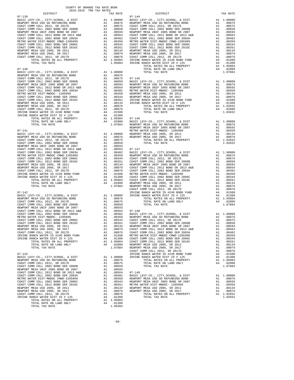|                                                                                                                                                                                                                                                                                                                                                                                                                                                                                                                  |                                      |                                                                                  | $07 - 144$         |
|------------------------------------------------------------------------------------------------------------------------------------------------------------------------------------------------------------------------------------------------------------------------------------------------------------------------------------------------------------------------------------------------------------------------------------------------------------------------------------------------------------------|--------------------------------------|----------------------------------------------------------------------------------|--------------------|
|                                                                                                                                                                                                                                                                                                                                                                                                                                                                                                                  |                                      |                                                                                  |                    |
|                                                                                                                                                                                                                                                                                                                                                                                                                                                                                                                  |                                      |                                                                                  |                    |
|                                                                                                                                                                                                                                                                                                                                                                                                                                                                                                                  |                                      |                                                                                  |                    |
|                                                                                                                                                                                                                                                                                                                                                                                                                                                                                                                  |                                      |                                                                                  |                    |
|                                                                                                                                                                                                                                                                                                                                                                                                                                                                                                                  |                                      |                                                                                  |                    |
|                                                                                                                                                                                                                                                                                                                                                                                                                                                                                                                  |                                      |                                                                                  |                    |
|                                                                                                                                                                                                                                                                                                                                                                                                                                                                                                                  |                                      |                                                                                  |                    |
|                                                                                                                                                                                                                                                                                                                                                                                                                                                                                                                  |                                      |                                                                                  |                    |
| $07 - 140$<br>BASIC LEVY-CO., CITY, SCHOOL, & DIST                                                                                                                                                                                                                                                                                                                                                                                                                                                               |                                      |                                                                                  |                    |
| NEWPORT MESA USD GO REFUNDING BOND<br>$\begin{tabular}{l c c c c} {\bf NEWPORT} \begin{tabular}{l c} {\bf NEWPORT} \begin{tabular}{l c} {\bf NEWPORT} \begin{tabular}{l c} {\bf NEWPORT} \end{tabular} & $\bf{NEVNOT} \begin{tabular}{l c} {\bf NEWPORT} \end{tabular} & $\bf{NEVNOT} \begin{tabular}{l c} {\bf OAST} \begin{tabular}{l c} {\bf CONIST} \end{tabular} & $\bf{SND} \end{tabular} & $\bf{SA} \begin{tabular}{l c} {\bf OAST} \end{tabular} & $\bf{O(0876}$ & $\bf{AA} \begin{tabular}{l c} {\bf O$ | Al 1.00000<br>Al .00876<br>Al .00675 |                                                                                  |                    |
|                                                                                                                                                                                                                                                                                                                                                                                                                                                                                                                  |                                      |                                                                                  |                    |
|                                                                                                                                                                                                                                                                                                                                                                                                                                                                                                                  |                                      |                                                                                  |                    |
|                                                                                                                                                                                                                                                                                                                                                                                                                                                                                                                  |                                      |                                                                                  |                    |
|                                                                                                                                                                                                                                                                                                                                                                                                                                                                                                                  |                                      |                                                                                  |                    |
|                                                                                                                                                                                                                                                                                                                                                                                                                                                                                                                  |                                      |                                                                                  |                    |
|                                                                                                                                                                                                                                                                                                                                                                                                                                                                                                                  |                                      |                                                                                  |                    |
|                                                                                                                                                                                                                                                                                                                                                                                                                                                                                                                  |                                      |                                                                                  |                    |
|                                                                                                                                                                                                                                                                                                                                                                                                                                                                                                                  |                                      |                                                                                  |                    |
|                                                                                                                                                                                                                                                                                                                                                                                                                                                                                                                  |                                      |                                                                                  |                    |
|                                                                                                                                                                                                                                                                                                                                                                                                                                                                                                                  |                                      |                                                                                  |                    |
| $07 - 141$                                                                                                                                                                                                                                                                                                                                                                                                                                                                                                       |                                      |                                                                                  | METRO W            |
|                                                                                                                                                                                                                                                                                                                                                                                                                                                                                                                  |                                      |                                                                                  |                    |
|                                                                                                                                                                                                                                                                                                                                                                                                                                                                                                                  |                                      |                                                                                  |                    |
|                                                                                                                                                                                                                                                                                                                                                                                                                                                                                                                  |                                      |                                                                                  |                    |
| $\begin{tabular}{l c c c} 07-141 & \mbox{METRO} & \mbox{METRO} \\ \hline BASE C LEVY-CO., CITY, SCHOOL, & DISTT & \mbox{A1} & 1.00000 & \mbox{NEWPORT} \\ \hline COAST COMM COLL 2012, SR 2017E & \mbox{A1} & .00876 & \mbox{NEWPORT} \\ \hline COAST COMM COLL 2012, SR 2017E & \mbox{A1} & .00675 \\ \hline NENPORT MESA UNIF 2005 BOND SR 2006B & \mbox{A1} & .00659 \\ \hline$                                                                                                                               |                                      |                                                                                  |                    |
|                                                                                                                                                                                                                                                                                                                                                                                                                                                                                                                  |                                      |                                                                                  |                    |
|                                                                                                                                                                                                                                                                                                                                                                                                                                                                                                                  |                                      |                                                                                  |                    |
|                                                                                                                                                                                                                                                                                                                                                                                                                                                                                                                  |                                      |                                                                                  |                    |
|                                                                                                                                                                                                                                                                                                                                                                                                                                                                                                                  |                                      |                                                                                  |                    |
|                                                                                                                                                                                                                                                                                                                                                                                                                                                                                                                  |                                      |                                                                                  |                    |
|                                                                                                                                                                                                                                                                                                                                                                                                                                                                                                                  |                                      |                                                                                  |                    |
|                                                                                                                                                                                                                                                                                                                                                                                                                                                                                                                  |                                      |                                                                                  |                    |
| $07 - 142$                                                                                                                                                                                                                                                                                                                                                                                                                                                                                                       |                                      |                                                                                  | COAST C<br>IRVINE  |
|                                                                                                                                                                                                                                                                                                                                                                                                                                                                                                                  | A1 1.00000 IRVINE                    |                                                                                  |                    |
|                                                                                                                                                                                                                                                                                                                                                                                                                                                                                                                  |                                      |                                                                                  |                    |
|                                                                                                                                                                                                                                                                                                                                                                                                                                                                                                                  |                                      |                                                                                  |                    |
|                                                                                                                                                                                                                                                                                                                                                                                                                                                                                                                  |                                      |                                                                                  |                    |
|                                                                                                                                                                                                                                                                                                                                                                                                                                                                                                                  |                                      |                                                                                  |                    |
|                                                                                                                                                                                                                                                                                                                                                                                                                                                                                                                  |                                      |                                                                                  |                    |
|                                                                                                                                                                                                                                                                                                                                                                                                                                                                                                                  |                                      |                                                                                  |                    |
|                                                                                                                                                                                                                                                                                                                                                                                                                                                                                                                  |                                      |                                                                                  | COAST C            |
| IRVINE RANCH WATER ID #240 BOND FUND<br>IRVINE RANCH WATER DIST ID # 125                                                                                                                                                                                                                                                                                                                                                                                                                                         | A4<br>A4                             | .01500<br>.01300                                                                 | METRO W<br>COAST C |
| TOTAL RATES ON ALL PROPERTY                                                                                                                                                                                                                                                                                                                                                                                                                                                                                      |                                      | A1 1.05084<br>1.05084 COAST C<br>.02800 NEWPORT                                  |                    |
| TOTAL RATE ON LAND ONLY<br>TOTAL TAX RATE                                                                                                                                                                                                                                                                                                                                                                                                                                                                        | A4                                   | 1.07884                                                                          | NEWPORT            |
| $07 - 143$                                                                                                                                                                                                                                                                                                                                                                                                                                                                                                       |                                      |                                                                                  | COAST C<br>IRVINE  |
| BASIC LEVY-CO., CITY, SCHOOL, & DIST<br>NEWPORT MESA USD GO REFUNDING BOND                                                                                                                                                                                                                                                                                                                                                                                                                                       | A1                                   | A1 1.00000<br>.00876                                                             | IRVINE             |
| COAST COMM COLL 2012, SR 2017E                                                                                                                                                                                                                                                                                                                                                                                                                                                                                   | A1                                   | .00675                                                                           |                    |
| COAST COMM COLL 2002 BOND SER 2006B<br>NEWPORT MESA UNIF 2005 BOND SR 2007                                                                                                                                                                                                                                                                                                                                                                                                                                       | A1<br>A1                             | .00650<br>.00593                                                                 |                    |
| COAST COMM COLL 2012 BOND SR 2013 A&B<br>COAST COMM COLL 2002 BOND SER 2003A                                                                                                                                                                                                                                                                                                                                                                                                                                     |                                      | A1.00564                                                                         | $07 - 149$         |
| METRO WATER DIST-MWDOC CMWD-1205999                                                                                                                                                                                                                                                                                                                                                                                                                                                                              |                                      | A1 .00482 BASIC L<br>A1 .00350 NEWPORT<br>A1 .00344 NEWPORT<br>A1 .00261 METRO W |                    |
| COAST COMM COLL 2002 BOND SER 2006C<br>COAST COMM COLL 2012 BOND SER 2016C                                                                                                                                                                                                                                                                                                                                                                                                                                       |                                      |                                                                                  |                    |
| NEWPORT MESA USD 2005, SR 2011<br>NEWPORT MESA USD 2005, SR 2017                                                                                                                                                                                                                                                                                                                                                                                                                                                 |                                      | A1 .00134                                                                        | METRO W<br>NEWPORT |
| COAST COMM COLL 2012, SR 2017D                                                                                                                                                                                                                                                                                                                                                                                                                                                                                   |                                      | A1 .00079<br>A1.00076                                                            | NEWPORT            |
| IRVINE RANCH WATER DIST ID # 125<br>TOTAL RATES ON ALL PROPERTY                                                                                                                                                                                                                                                                                                                                                                                                                                                  | A4                                   | .01300<br>A1 1.05084                                                             |                    |
| TOTAL RATE ON LAND ONLY                                                                                                                                                                                                                                                                                                                                                                                                                                                                                          |                                      | A4 .01300                                                                        |                    |
| TOTAL TAX RATE                                                                                                                                                                                                                                                                                                                                                                                                                                                                                                   |                                      | 1.06384                                                                          |                    |

| COUNTY OF ORANGE TAX RATE BOOK |          |          |          |
|--------------------------------|----------|----------|----------|
|                                | TAX RATE | DISTRICT | TAX RATE |
|                                |          |          |          |
|                                |          |          |          |
|                                |          |          |          |
|                                |          |          |          |
|                                |          |          |          |
|                                |          |          |          |
|                                |          |          |          |
|                                |          |          |          |
|                                |          |          |          |
|                                |          |          |          |
|                                |          |          |          |
|                                |          |          |          |
|                                |          |          |          |
|                                |          |          |          |
|                                |          |          |          |
|                                |          |          |          |
|                                |          |          |          |
|                                |          |          |          |
|                                |          |          |          |
|                                |          |          |          |
|                                |          |          |          |
|                                |          |          |          |
|                                |          |          |          |
|                                |          |          |          |
|                                |          |          |          |
|                                |          |          |          |
|                                |          |          |          |
|                                |          |          |          |
|                                |          |          |          |
|                                |          |          |          |
|                                |          |          |          |
|                                |          |          |          |
|                                |          |          |          |
|                                |          |          |          |
|                                |          |          |          |
|                                |          |          |          |
|                                |          |          |          |
|                                |          |          |          |
|                                |          |          |          |
|                                |          |          |          |
|                                |          |          |          |
|                                |          |          |          |
|                                |          |          |          |
|                                |          |          |          |
|                                |          |          |          |
|                                |          |          |          |
|                                |          |          |          |
|                                |          |          |          |
|                                |          |          |          |
|                                |          |          |          |
|                                |          |          |          |
|                                |          |          |          |
|                                |          |          |          |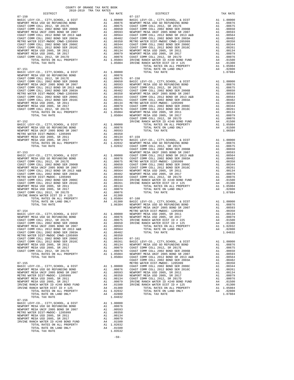|                                                                                                                                                                                                                                                 | 2018-2019 TRA TAX RATES |                         |                                                                                                                                                                                                                                                                                                                                                                                                                                                   |            |
|-------------------------------------------------------------------------------------------------------------------------------------------------------------------------------------------------------------------------------------------------|-------------------------|-------------------------|---------------------------------------------------------------------------------------------------------------------------------------------------------------------------------------------------------------------------------------------------------------------------------------------------------------------------------------------------------------------------------------------------------------------------------------------------|------------|
| DISTRICT                                                                                                                                                                                                                                        |                         |                         | TAX RATE                                                                                                                                                                                                                                                                                                                                                                                                                                          |            |
|                                                                                                                                                                                                                                                 |                         |                         |                                                                                                                                                                                                                                                                                                                                                                                                                                                   |            |
|                                                                                                                                                                                                                                                 |                         |                         |                                                                                                                                                                                                                                                                                                                                                                                                                                                   |            |
|                                                                                                                                                                                                                                                 |                         |                         |                                                                                                                                                                                                                                                                                                                                                                                                                                                   |            |
|                                                                                                                                                                                                                                                 |                         |                         |                                                                                                                                                                                                                                                                                                                                                                                                                                                   |            |
|                                                                                                                                                                                                                                                 |                         |                         |                                                                                                                                                                                                                                                                                                                                                                                                                                                   |            |
|                                                                                                                                                                                                                                                 |                         |                         |                                                                                                                                                                                                                                                                                                                                                                                                                                                   |            |
|                                                                                                                                                                                                                                                 |                         |                         |                                                                                                                                                                                                                                                                                                                                                                                                                                                   |            |
|                                                                                                                                                                                                                                                 |                         |                         |                                                                                                                                                                                                                                                                                                                                                                                                                                                   |            |
|                                                                                                                                                                                                                                                 |                         |                         |                                                                                                                                                                                                                                                                                                                                                                                                                                                   |            |
|                                                                                                                                                                                                                                                 |                         |                         |                                                                                                                                                                                                                                                                                                                                                                                                                                                   |            |
|                                                                                                                                                                                                                                                 |                         |                         |                                                                                                                                                                                                                                                                                                                                                                                                                                                   |            |
|                                                                                                                                                                                                                                                 |                         |                         |                                                                                                                                                                                                                                                                                                                                                                                                                                                   |            |
| $07 - 151$                                                                                                                                                                                                                                      |                         |                         |                                                                                                                                                                                                                                                                                                                                                                                                                                                   |            |
|                                                                                                                                                                                                                                                 |                         |                         |                                                                                                                                                                                                                                                                                                                                                                                                                                                   |            |
|                                                                                                                                                                                                                                                 |                         |                         |                                                                                                                                                                                                                                                                                                                                                                                                                                                   |            |
|                                                                                                                                                                                                                                                 |                         |                         |                                                                                                                                                                                                                                                                                                                                                                                                                                                   |            |
|                                                                                                                                                                                                                                                 |                         |                         |                                                                                                                                                                                                                                                                                                                                                                                                                                                   |            |
|                                                                                                                                                                                                                                                 |                         |                         |                                                                                                                                                                                                                                                                                                                                                                                                                                                   |            |
|                                                                                                                                                                                                                                                 |                         |                         |                                                                                                                                                                                                                                                                                                                                                                                                                                                   |            |
|                                                                                                                                                                                                                                                 |                         |                         |                                                                                                                                                                                                                                                                                                                                                                                                                                                   |            |
|                                                                                                                                                                                                                                                 |                         |                         |                                                                                                                                                                                                                                                                                                                                                                                                                                                   |            |
|                                                                                                                                                                                                                                                 |                         |                         |                                                                                                                                                                                                                                                                                                                                                                                                                                                   |            |
|                                                                                                                                                                                                                                                 |                         |                         |                                                                                                                                                                                                                                                                                                                                                                                                                                                   |            |
|                                                                                                                                                                                                                                                 |                         |                         |                                                                                                                                                                                                                                                                                                                                                                                                                                                   |            |
|                                                                                                                                                                                                                                                 |                         |                         |                                                                                                                                                                                                                                                                                                                                                                                                                                                   | COAST C    |
|                                                                                                                                                                                                                                                 |                         |                         |                                                                                                                                                                                                                                                                                                                                                                                                                                                   |            |
|                                                                                                                                                                                                                                                 |                         |                         |                                                                                                                                                                                                                                                                                                                                                                                                                                                   |            |
|                                                                                                                                                                                                                                                 |                         |                         |                                                                                                                                                                                                                                                                                                                                                                                                                                                   |            |
|                                                                                                                                                                                                                                                 |                         |                         |                                                                                                                                                                                                                                                                                                                                                                                                                                                   |            |
|                                                                                                                                                                                                                                                 |                         |                         |                                                                                                                                                                                                                                                                                                                                                                                                                                                   |            |
|                                                                                                                                                                                                                                                 |                         |                         |                                                                                                                                                                                                                                                                                                                                                                                                                                                   |            |
|                                                                                                                                                                                                                                                 |                         |                         |                                                                                                                                                                                                                                                                                                                                                                                                                                                   |            |
|                                                                                                                                                                                                                                                 |                         |                         |                                                                                                                                                                                                                                                                                                                                                                                                                                                   | COAST C    |
|                                                                                                                                                                                                                                                 |                         |                         |                                                                                                                                                                                                                                                                                                                                                                                                                                                   |            |
|                                                                                                                                                                                                                                                 |                         |                         |                                                                                                                                                                                                                                                                                                                                                                                                                                                   |            |
|                                                                                                                                                                                                                                                 |                         |                         |                                                                                                                                                                                                                                                                                                                                                                                                                                                   |            |
|                                                                                                                                                                                                                                                 |                         |                         |                                                                                                                                                                                                                                                                                                                                                                                                                                                   |            |
|                                                                                                                                                                                                                                                 |                         |                         |                                                                                                                                                                                                                                                                                                                                                                                                                                                   |            |
|                                                                                                                                                                                                                                                 |                         |                         |                                                                                                                                                                                                                                                                                                                                                                                                                                                   |            |
|                                                                                                                                                                                                                                                 |                         |                         |                                                                                                                                                                                                                                                                                                                                                                                                                                                   |            |
|                                                                                                                                                                                                                                                 |                         |                         |                                                                                                                                                                                                                                                                                                                                                                                                                                                   |            |
|                                                                                                                                                                                                                                                 |                         |                         |                                                                                                                                                                                                                                                                                                                                                                                                                                                   |            |
|                                                                                                                                                                                                                                                 |                         |                         |                                                                                                                                                                                                                                                                                                                                                                                                                                                   |            |
|                                                                                                                                                                                                                                                 |                         |                         |                                                                                                                                                                                                                                                                                                                                                                                                                                                   |            |
|                                                                                                                                                                                                                                                 |                         |                         |                                                                                                                                                                                                                                                                                                                                                                                                                                                   |            |
|                                                                                                                                                                                                                                                 |                         |                         |                                                                                                                                                                                                                                                                                                                                                                                                                                                   |            |
|                                                                                                                                                                                                                                                 |                         |                         |                                                                                                                                                                                                                                                                                                                                                                                                                                                   | NEWPORT    |
| $07 - 154$                                                                                                                                                                                                                                      |                         |                         |                                                                                                                                                                                                                                                                                                                                                                                                                                                   | METRO W    |
|                                                                                                                                                                                                                                                 |                         |                         |                                                                                                                                                                                                                                                                                                                                                                                                                                                   |            |
|                                                                                                                                                                                                                                                 |                         |                         |                                                                                                                                                                                                                                                                                                                                                                                                                                                   |            |
|                                                                                                                                                                                                                                                 |                         |                         |                                                                                                                                                                                                                                                                                                                                                                                                                                                   |            |
|                                                                                                                                                                                                                                                 |                         |                         |                                                                                                                                                                                                                                                                                                                                                                                                                                                   |            |
|                                                                                                                                                                                                                                                 |                         |                         | $\begin{array}{ccc} \text{A1} & 0.00593 \ \text{A1} & 0.00564 \ \text{A1} & 0.0482 \ \text{A1} & 0.0350 \ \text{A1} & 0.0350 \ \text{A1} & 0.0344 \ \end{array}$                                                                                                                                                                                                                                                                                  |            |
|                                                                                                                                                                                                                                                 |                         |                         |                                                                                                                                                                                                                                                                                                                                                                                                                                                   |            |
|                                                                                                                                                                                                                                                 |                         |                         |                                                                                                                                                                                                                                                                                                                                                                                                                                                   | $07 - 161$ |
| CONST COMM COLL 2012 BOND SR 20107<br>COAST COMM COLL 2012 BOND SR 2003A<br>METRO WATER DIST-MWDOC CMWD-1205999<br>COAST COMM COLL 2002 BOND SER 2006C<br>COAST COMM COLL 2012 BOND SER 2016C<br>NEWPORT MESA USD 2005, SR 2011<br>NEWPORT MESA |                         |                         | $\begin{tabular}{lllllllllll} \multicolumn{2}{c}{\tt A1} & .00261 & {\tt BASIC\_L}\\ \multicolumn{2}{c}{\tt A1} & .00134 & {\tt NEWPORT}\\ \multicolumn{2}{c}{\tt A1} & .00134 & {\tt NEWPORT}\\ \multicolumn{2}{c}{\tt A1} & .00079 & {\tt COAST\_C}\\ \multicolumn{2}{c}{\tt A1} & .105084 & {\tt NEWPORT\_C}\\ \multicolumn{2}{c}{\tt A2} & .05087 & {\tt COAST\_C}\\ \multicolumn{2}{c}{\tt A1} & .05084 & {\tt CONST\_C}\\ \multicolumn{2}{$ |            |
|                                                                                                                                                                                                                                                 |                         |                         |                                                                                                                                                                                                                                                                                                                                                                                                                                                   |            |
| COAST COMM COLL 2012, SR 2017D                                                                                                                                                                                                                  |                         |                         |                                                                                                                                                                                                                                                                                                                                                                                                                                                   |            |
| TOTAL RATES ON ALL PROPERTY                                                                                                                                                                                                                     |                         |                         |                                                                                                                                                                                                                                                                                                                                                                                                                                                   |            |
| TOTAL TAX RATE                                                                                                                                                                                                                                  |                         |                         |                                                                                                                                                                                                                                                                                                                                                                                                                                                   |            |
| $07 - 155$                                                                                                                                                                                                                                      |                         |                         |                                                                                                                                                                                                                                                                                                                                                                                                                                                   | METRO W    |
|                                                                                                                                                                                                                                                 |                         |                         |                                                                                                                                                                                                                                                                                                                                                                                                                                                   |            |
|                                                                                                                                                                                                                                                 |                         |                         |                                                                                                                                                                                                                                                                                                                                                                                                                                                   |            |
|                                                                                                                                                                                                                                                 |                         |                         |                                                                                                                                                                                                                                                                                                                                                                                                                                                   |            |
|                                                                                                                                                                                                                                                 |                         |                         |                                                                                                                                                                                                                                                                                                                                                                                                                                                   |            |
|                                                                                                                                                                                                                                                 |                         |                         |                                                                                                                                                                                                                                                                                                                                                                                                                                                   |            |
| IRVINE RANCH WATER DIST ID # 125                                                                                                                                                                                                                |                         |                         | A4 .01300                                                                                                                                                                                                                                                                                                                                                                                                                                         |            |
| TOTAL RATES ON ALL PROPERTY                                                                                                                                                                                                                     |                         |                         | A1 1.02032                                                                                                                                                                                                                                                                                                                                                                                                                                        |            |
| TOTAL RATE ON LAND ONLY                                                                                                                                                                                                                         |                         |                         | A4 .02800                                                                                                                                                                                                                                                                                                                                                                                                                                         |            |
| TOTAL TAX RATE<br>$07 - 156$                                                                                                                                                                                                                    |                         |                         | 1.04832                                                                                                                                                                                                                                                                                                                                                                                                                                           |            |
|                                                                                                                                                                                                                                                 |                         |                         |                                                                                                                                                                                                                                                                                                                                                                                                                                                   |            |
| BASIC LEVY-CO., CITY, SCHOOL, & DIST A1 1.00000<br>NEWPORT MESA USD GO REFUNDING BOND A1 .00876<br>NEWPORT MESA UNIF 2005 BOND SP 2007 A1 .00593<br>1005930 A1 .00350                                                                           |                         |                         |                                                                                                                                                                                                                                                                                                                                                                                                                                                   |            |
| METRO WATER DIST-MWDOC- 1205999                                                                                                                                                                                                                 |                         | A1                      | .00350                                                                                                                                                                                                                                                                                                                                                                                                                                            |            |
| NEWPORT MESA USD 2005, SR 2011                                                                                                                                                                                                                  |                         | A1                      | .00134                                                                                                                                                                                                                                                                                                                                                                                                                                            |            |
| NEWPORT MESA USD 2005, SR 2017                                                                                                                                                                                                                  |                         | A1                      | .00079                                                                                                                                                                                                                                                                                                                                                                                                                                            |            |
| IRVINE RANCH WATER ID #240 BOND FUND                                                                                                                                                                                                            |                         | A4                      | .01500                                                                                                                                                                                                                                                                                                                                                                                                                                            |            |
| TOTAL RATES ON ALL PROPERTY<br>TOTAL RATE ON LAND ONLY                                                                                                                                                                                          |                         | A1 1.02032<br>A4 .01500 |                                                                                                                                                                                                                                                                                                                                                                                                                                                   |            |
| TOTAL TAX RATE                                                                                                                                                                                                                                  |                         |                         | 1.03532                                                                                                                                                                                                                                                                                                                                                                                                                                           |            |

-59-

| DISTRICT                                                              | 2018-2019 TRA TAX RATES | TAX RATE | DISTRICT<br>$\begin{smallmatrix} \textbf{0.131} & \textbf{0.141} & \textbf{0.151} & \textbf{0.151} & \textbf{0.151} & \textbf{0.151} & \textbf{0.151} & \textbf{0.151} & \textbf{0.151} & \textbf{0.151} & \textbf{0.151} & \textbf{0.151} & \textbf{0.151} & \textbf{0.151} & \textbf{0.151} & \textbf{0.151} & \textbf{0.151} & \textbf{0.151} & \textbf{0.151} & \textbf{0$                                                                                      | TAX RATE |
|-----------------------------------------------------------------------|-------------------------|----------|---------------------------------------------------------------------------------------------------------------------------------------------------------------------------------------------------------------------------------------------------------------------------------------------------------------------------------------------------------------------------------------------------------------------------------------------------------------------|----------|
|                                                                       |                         |          |                                                                                                                                                                                                                                                                                                                                                                                                                                                                     |          |
|                                                                       |                         |          |                                                                                                                                                                                                                                                                                                                                                                                                                                                                     |          |
|                                                                       |                         |          |                                                                                                                                                                                                                                                                                                                                                                                                                                                                     |          |
|                                                                       |                         |          |                                                                                                                                                                                                                                                                                                                                                                                                                                                                     |          |
|                                                                       |                         |          |                                                                                                                                                                                                                                                                                                                                                                                                                                                                     |          |
|                                                                       |                         |          |                                                                                                                                                                                                                                                                                                                                                                                                                                                                     |          |
|                                                                       |                         |          |                                                                                                                                                                                                                                                                                                                                                                                                                                                                     |          |
|                                                                       |                         |          |                                                                                                                                                                                                                                                                                                                                                                                                                                                                     |          |
|                                                                       |                         |          |                                                                                                                                                                                                                                                                                                                                                                                                                                                                     |          |
|                                                                       |                         |          |                                                                                                                                                                                                                                                                                                                                                                                                                                                                     |          |
|                                                                       |                         |          |                                                                                                                                                                                                                                                                                                                                                                                                                                                                     |          |
|                                                                       |                         |          |                                                                                                                                                                                                                                                                                                                                                                                                                                                                     |          |
|                                                                       |                         |          |                                                                                                                                                                                                                                                                                                                                                                                                                                                                     |          |
|                                                                       |                         |          |                                                                                                                                                                                                                                                                                                                                                                                                                                                                     |          |
|                                                                       |                         |          |                                                                                                                                                                                                                                                                                                                                                                                                                                                                     |          |
|                                                                       |                         |          |                                                                                                                                                                                                                                                                                                                                                                                                                                                                     |          |
|                                                                       |                         |          |                                                                                                                                                                                                                                                                                                                                                                                                                                                                     |          |
|                                                                       |                         |          |                                                                                                                                                                                                                                                                                                                                                                                                                                                                     |          |
|                                                                       |                         |          |                                                                                                                                                                                                                                                                                                                                                                                                                                                                     |          |
|                                                                       |                         |          |                                                                                                                                                                                                                                                                                                                                                                                                                                                                     |          |
|                                                                       |                         |          |                                                                                                                                                                                                                                                                                                                                                                                                                                                                     |          |
|                                                                       |                         |          |                                                                                                                                                                                                                                                                                                                                                                                                                                                                     |          |
|                                                                       |                         |          |                                                                                                                                                                                                                                                                                                                                                                                                                                                                     |          |
|                                                                       |                         |          |                                                                                                                                                                                                                                                                                                                                                                                                                                                                     |          |
|                                                                       |                         |          |                                                                                                                                                                                                                                                                                                                                                                                                                                                                     |          |
|                                                                       |                         |          |                                                                                                                                                                                                                                                                                                                                                                                                                                                                     |          |
|                                                                       |                         |          |                                                                                                                                                                                                                                                                                                                                                                                                                                                                     |          |
|                                                                       |                         |          |                                                                                                                                                                                                                                                                                                                                                                                                                                                                     |          |
|                                                                       |                         |          |                                                                                                                                                                                                                                                                                                                                                                                                                                                                     |          |
|                                                                       |                         |          |                                                                                                                                                                                                                                                                                                                                                                                                                                                                     |          |
|                                                                       |                         |          |                                                                                                                                                                                                                                                                                                                                                                                                                                                                     |          |
|                                                                       |                         |          |                                                                                                                                                                                                                                                                                                                                                                                                                                                                     |          |
|                                                                       |                         |          |                                                                                                                                                                                                                                                                                                                                                                                                                                                                     |          |
|                                                                       |                         |          |                                                                                                                                                                                                                                                                                                                                                                                                                                                                     |          |
|                                                                       |                         |          |                                                                                                                                                                                                                                                                                                                                                                                                                                                                     |          |
|                                                                       |                         |          |                                                                                                                                                                                                                                                                                                                                                                                                                                                                     |          |
|                                                                       |                         |          |                                                                                                                                                                                                                                                                                                                                                                                                                                                                     |          |
|                                                                       |                         |          |                                                                                                                                                                                                                                                                                                                                                                                                                                                                     |          |
|                                                                       |                         |          |                                                                                                                                                                                                                                                                                                                                                                                                                                                                     |          |
|                                                                       |                         |          |                                                                                                                                                                                                                                                                                                                                                                                                                                                                     |          |
|                                                                       |                         |          |                                                                                                                                                                                                                                                                                                                                                                                                                                                                     |          |
|                                                                       |                         |          |                                                                                                                                                                                                                                                                                                                                                                                                                                                                     |          |
|                                                                       |                         |          |                                                                                                                                                                                                                                                                                                                                                                                                                                                                     |          |
|                                                                       |                         |          |                                                                                                                                                                                                                                                                                                                                                                                                                                                                     |          |
|                                                                       |                         |          |                                                                                                                                                                                                                                                                                                                                                                                                                                                                     |          |
|                                                                       |                         |          |                                                                                                                                                                                                                                                                                                                                                                                                                                                                     |          |
|                                                                       |                         |          |                                                                                                                                                                                                                                                                                                                                                                                                                                                                     |          |
|                                                                       |                         |          |                                                                                                                                                                                                                                                                                                                                                                                                                                                                     |          |
|                                                                       |                         |          |                                                                                                                                                                                                                                                                                                                                                                                                                                                                     |          |
|                                                                       |                         |          |                                                                                                                                                                                                                                                                                                                                                                                                                                                                     |          |
|                                                                       |                         |          |                                                                                                                                                                                                                                                                                                                                                                                                                                                                     |          |
|                                                                       |                         |          |                                                                                                                                                                                                                                                                                                                                                                                                                                                                     |          |
|                                                                       |                         |          |                                                                                                                                                                                                                                                                                                                                                                                                                                                                     |          |
|                                                                       |                         |          | $\begin{tabular}{c c c c c} \multicolumn{4}{c}{\textbf{DTAL RATES ON ALD AND ONLY}} & \multicolumn{4}{c}{\textbf{ATES ON LAD ONLY}} & \multicolumn{4}{c}{\textbf{ATES ON LAD ONLY}} & \multicolumn{4}{c}{\textbf{ATES ON LAD ONLY}} & \multicolumn{4}{c}{\textbf{ATIC LEVY-CO., CITY}, \textbf{SCHOOL, & $\Phi$ DIST} & \textbf{A1} & 1.00000\\ \multicolumn{4}{c}{\textbf{TOTAL TAX RATE}} & \multicolumn{4}{c}{\textbf{ATE ON LAND ONLY}} & \multicolumn{4}{c}{\$ |          |
|                                                                       |                         |          |                                                                                                                                                                                                                                                                                                                                                                                                                                                                     |          |
|                                                                       |                         |          |                                                                                                                                                                                                                                                                                                                                                                                                                                                                     |          |
|                                                                       |                         |          |                                                                                                                                                                                                                                                                                                                                                                                                                                                                     |          |
|                                                                       |                         |          |                                                                                                                                                                                                                                                                                                                                                                                                                                                                     |          |
|                                                                       |                         |          |                                                                                                                                                                                                                                                                                                                                                                                                                                                                     |          |
|                                                                       |                         |          |                                                                                                                                                                                                                                                                                                                                                                                                                                                                     |          |
|                                                                       |                         |          |                                                                                                                                                                                                                                                                                                                                                                                                                                                                     |          |
|                                                                       |                         |          |                                                                                                                                                                                                                                                                                                                                                                                                                                                                     |          |
|                                                                       |                         |          |                                                                                                                                                                                                                                                                                                                                                                                                                                                                     |          |
|                                                                       |                         |          |                                                                                                                                                                                                                                                                                                                                                                                                                                                                     |          |
|                                                                       |                         |          |                                                                                                                                                                                                                                                                                                                                                                                                                                                                     |          |
|                                                                       |                         |          |                                                                                                                                                                                                                                                                                                                                                                                                                                                                     |          |
|                                                                       |                         |          |                                                                                                                                                                                                                                                                                                                                                                                                                                                                     |          |
|                                                                       |                         |          |                                                                                                                                                                                                                                                                                                                                                                                                                                                                     |          |
|                                                                       |                         |          |                                                                                                                                                                                                                                                                                                                                                                                                                                                                     |          |
|                                                                       |                         |          |                                                                                                                                                                                                                                                                                                                                                                                                                                                                     |          |
|                                                                       |                         |          |                                                                                                                                                                                                                                                                                                                                                                                                                                                                     |          |
|                                                                       |                         |          |                                                                                                                                                                                                                                                                                                                                                                                                                                                                     |          |
|                                                                       |                         |          |                                                                                                                                                                                                                                                                                                                                                                                                                                                                     |          |
| $07 - 156$                                                            |                         |          |                                                                                                                                                                                                                                                                                                                                                                                                                                                                     |          |
| 07-156<br>BASIC LEVY-CO., CITY, SCHOOL, & DIST A1 1.00000<br>A1 00876 |                         |          |                                                                                                                                                                                                                                                                                                                                                                                                                                                                     |          |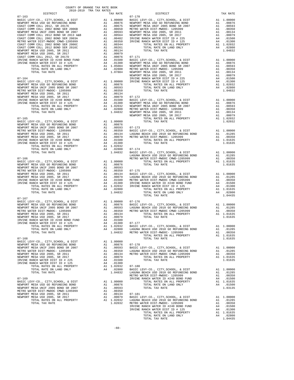| COUNTY OF ORANGE TAX RATE BOOK<br>2018-2019 TRA TAX RATES          |    |                                       |                   |
|--------------------------------------------------------------------|----|---------------------------------------|-------------------|
| DISTRICT                                                           |    | TAX RATE                              |                   |
|                                                                    |    |                                       |                   |
|                                                                    |    |                                       |                   |
|                                                                    |    |                                       |                   |
|                                                                    |    |                                       |                   |
|                                                                    |    |                                       |                   |
|                                                                    |    |                                       |                   |
|                                                                    |    |                                       |                   |
|                                                                    |    |                                       |                   |
|                                                                    |    |                                       |                   |
|                                                                    |    |                                       |                   |
|                                                                    |    |                                       |                   |
|                                                                    |    |                                       |                   |
|                                                                    |    |                                       |                   |
|                                                                    |    |                                       |                   |
|                                                                    |    |                                       |                   |
|                                                                    |    |                                       |                   |
|                                                                    |    |                                       |                   |
|                                                                    |    |                                       | NEWPORT           |
|                                                                    |    |                                       |                   |
|                                                                    |    |                                       |                   |
|                                                                    |    |                                       |                   |
|                                                                    |    |                                       |                   |
|                                                                    |    |                                       |                   |
|                                                                    |    |                                       |                   |
|                                                                    |    |                                       |                   |
|                                                                    |    |                                       |                   |
|                                                                    |    |                                       |                   |
|                                                                    |    |                                       |                   |
|                                                                    |    |                                       |                   |
|                                                                    |    |                                       |                   |
| $07 - 165$                                                         |    |                                       |                   |
|                                                                    |    |                                       |                   |
|                                                                    |    |                                       |                   |
|                                                                    |    |                                       |                   |
|                                                                    |    |                                       |                   |
|                                                                    |    |                                       |                   |
|                                                                    |    |                                       |                   |
|                                                                    |    |                                       |                   |
|                                                                    |    |                                       |                   |
|                                                                    |    |                                       |                   |
| TOTAL TAX RATE                                                     |    | 1.04832                               | BASIC L           |
|                                                                    |    |                                       | LAGUNA            |
| $07 - 166$                                                         |    |                                       | METRO W           |
|                                                                    |    |                                       |                   |
|                                                                    |    |                                       |                   |
|                                                                    |    |                                       |                   |
|                                                                    |    |                                       |                   |
|                                                                    |    |                                       |                   |
|                                                                    |    |                                       |                   |
|                                                                    |    |                                       |                   |
|                                                                    |    |                                       |                   |
|                                                                    |    |                                       |                   |
| TOTAL TAX RATE                                                     |    | 1.04832                               |                   |
|                                                                    |    |                                       |                   |
| $07 - 167$                                                         |    |                                       |                   |
|                                                                    |    |                                       |                   |
|                                                                    |    |                                       |                   |
|                                                                    |    |                                       |                   |
|                                                                    |    |                                       |                   |
|                                                                    |    |                                       |                   |
|                                                                    |    |                                       |                   |
| IRVINE RANCH WATER DIST ID # 125                                   |    | A4 .01300                             | $07 - 177$        |
| TOTAL RATES ON ALL PROPERTY                                        |    | A1 1.02032                            |                   |
| TOTAL RATE ON LAND ONLY                                            | A4 | .02800                                | BASIC L<br>LAGUNA |
| TOTAL TAX RATE                                                     |    | 1.04832                               | METRO W           |
|                                                                    |    |                                       |                   |
| $07 - 168$                                                         |    |                                       |                   |
| BASIC LEVY-CO., CITY, SCHOOL, & DIST                               |    | A1 1.00000                            |                   |
| NEWPORT MESA USD GO REFUNDING BOND                                 |    | A1.00876                              | $07 - 178$        |
| NEWPORT MESA UNIF 2005 BOND SR 2007                                | A1 | .00593                                | BASIC L           |
| METRO WATER DIST-MWDOC- 1205999                                    |    | A1 .00350 LAGUNA<br>A1 .00134 METRO W |                   |
| NEWPORT MESA USD 2005, SR 2011                                     |    |                                       |                   |
| NEWPORT MESA USD 2005, SR 2017<br>IRVINE RANCH WATER DIST ID # 225 |    | A1 .00079                             |                   |
| IRVINE RANCH WATER DIST ID # 125                                   | A4 | A4 .01500<br>.01300                   |                   |
| TOTAL RATES ON ALL PROPERTY                                        |    | A1 1.02032                            | $07 - 180$        |
| TOTAL RATE ON LAND ONLY                                            |    | A4 .02800                             | BASIC L           |
| TOTAL TAX RATE                                                     |    | 1.04832                               | LAGUNA            |
|                                                                    |    |                                       | METRO W           |
| $07 - 169$                                                         |    |                                       | IRVINE            |
| BASIC LEVY-CO., CITY, SCHOOL, & DIST                               |    | A1 1.00000                            |                   |
| NEWPORT MESA USD GO REFUNDING BOND                                 |    | A1 .00876                             |                   |
| NEWPORT MESA UNIF 2005 BOND SR 2007                                | A1 | .00593                                |                   |
| METRO WATER DIST-MWDOC CMWD-1205999                                | A1 | .00350                                |                   |
| NEWPORT MESA USD 2005, SR 2011                                     | A1 | .00134                                | $07 - 181$        |
| NEWPORT MESA USD 2005, SR 2017                                     | A1 | .00079                                | BASIC L           |
| TOTAL RATES ON ALL PROPERTY                                        |    | A1 1.02032                            | LAGUNA            |
| TOTAL TAX RATE                                                     |    | 1.02032 METRO W                       |                   |

| COUNII OF ORANGE IAA RAIE BOOM<br>2018-2019 TRA TAX RATES |          |                                                                                                                                                                                                                                                                                                                                                                     |          |
|-----------------------------------------------------------|----------|---------------------------------------------------------------------------------------------------------------------------------------------------------------------------------------------------------------------------------------------------------------------------------------------------------------------------------------------------------------------|----------|
| DISTRICT                                                  | TAX RATE | $$\tt E$$ $$\tt DISTRICT$$                                                                                                                                                                                                                                                                                                                                          | TAX RATE |
|                                                           |          |                                                                                                                                                                                                                                                                                                                                                                     |          |
|                                                           |          |                                                                                                                                                                                                                                                                                                                                                                     |          |
|                                                           |          |                                                                                                                                                                                                                                                                                                                                                                     |          |
|                                                           |          |                                                                                                                                                                                                                                                                                                                                                                     |          |
|                                                           |          |                                                                                                                                                                                                                                                                                                                                                                     |          |
|                                                           |          |                                                                                                                                                                                                                                                                                                                                                                     |          |
|                                                           |          |                                                                                                                                                                                                                                                                                                                                                                     |          |
|                                                           |          |                                                                                                                                                                                                                                                                                                                                                                     |          |
|                                                           |          |                                                                                                                                                                                                                                                                                                                                                                     |          |
|                                                           |          |                                                                                                                                                                                                                                                                                                                                                                     |          |
|                                                           |          |                                                                                                                                                                                                                                                                                                                                                                     |          |
|                                                           |          |                                                                                                                                                                                                                                                                                                                                                                     |          |
|                                                           |          |                                                                                                                                                                                                                                                                                                                                                                     |          |
|                                                           |          |                                                                                                                                                                                                                                                                                                                                                                     |          |
|                                                           |          |                                                                                                                                                                                                                                                                                                                                                                     |          |
|                                                           |          |                                                                                                                                                                                                                                                                                                                                                                     |          |
|                                                           |          |                                                                                                                                                                                                                                                                                                                                                                     |          |
|                                                           |          |                                                                                                                                                                                                                                                                                                                                                                     |          |
|                                                           |          |                                                                                                                                                                                                                                                                                                                                                                     |          |
|                                                           |          |                                                                                                                                                                                                                                                                                                                                                                     |          |
|                                                           |          |                                                                                                                                                                                                                                                                                                                                                                     |          |
|                                                           |          |                                                                                                                                                                                                                                                                                                                                                                     |          |
|                                                           |          |                                                                                                                                                                                                                                                                                                                                                                     |          |
|                                                           |          |                                                                                                                                                                                                                                                                                                                                                                     |          |
|                                                           |          |                                                                                                                                                                                                                                                                                                                                                                     |          |
|                                                           |          |                                                                                                                                                                                                                                                                                                                                                                     |          |
|                                                           |          |                                                                                                                                                                                                                                                                                                                                                                     |          |
|                                                           |          |                                                                                                                                                                                                                                                                                                                                                                     |          |
|                                                           |          |                                                                                                                                                                                                                                                                                                                                                                     |          |
|                                                           |          |                                                                                                                                                                                                                                                                                                                                                                     |          |
|                                                           |          |                                                                                                                                                                                                                                                                                                                                                                     |          |
|                                                           |          |                                                                                                                                                                                                                                                                                                                                                                     |          |
|                                                           |          |                                                                                                                                                                                                                                                                                                                                                                     |          |
|                                                           |          |                                                                                                                                                                                                                                                                                                                                                                     |          |
|                                                           |          |                                                                                                                                                                                                                                                                                                                                                                     |          |
|                                                           |          |                                                                                                                                                                                                                                                                                                                                                                     |          |
|                                                           |          |                                                                                                                                                                                                                                                                                                                                                                     |          |
|                                                           |          |                                                                                                                                                                                                                                                                                                                                                                     |          |
|                                                           |          |                                                                                                                                                                                                                                                                                                                                                                     |          |
|                                                           |          |                                                                                                                                                                                                                                                                                                                                                                     |          |
|                                                           |          |                                                                                                                                                                                                                                                                                                                                                                     |          |
|                                                           |          |                                                                                                                                                                                                                                                                                                                                                                     |          |
|                                                           |          |                                                                                                                                                                                                                                                                                                                                                                     |          |
|                                                           |          |                                                                                                                                                                                                                                                                                                                                                                     |          |
|                                                           |          |                                                                                                                                                                                                                                                                                                                                                                     |          |
| $07 - 167$                                                |          |                                                                                                                                                                                                                                                                                                                                                                     |          |
|                                                           |          |                                                                                                                                                                                                                                                                                                                                                                     |          |
|                                                           |          |                                                                                                                                                                                                                                                                                                                                                                     |          |
|                                                           |          |                                                                                                                                                                                                                                                                                                                                                                     |          |
|                                                           |          |                                                                                                                                                                                                                                                                                                                                                                     |          |
|                                                           |          |                                                                                                                                                                                                                                                                                                                                                                     |          |
| IRVINE RANCH WATER DIST ID # 125                          |          |                                                                                                                                                                                                                                                                                                                                                                     |          |
|                                                           |          |                                                                                                                                                                                                                                                                                                                                                                     |          |
|                                                           |          |                                                                                                                                                                                                                                                                                                                                                                     |          |
|                                                           |          |                                                                                                                                                                                                                                                                                                                                                                     |          |
|                                                           |          |                                                                                                                                                                                                                                                                                                                                                                     |          |
|                                                           |          |                                                                                                                                                                                                                                                                                                                                                                     |          |
|                                                           |          |                                                                                                                                                                                                                                                                                                                                                                     |          |
|                                                           |          |                                                                                                                                                                                                                                                                                                                                                                     |          |
|                                                           |          |                                                                                                                                                                                                                                                                                                                                                                     |          |
|                                                           |          |                                                                                                                                                                                                                                                                                                                                                                     |          |
|                                                           |          |                                                                                                                                                                                                                                                                                                                                                                     |          |
|                                                           |          |                                                                                                                                                                                                                                                                                                                                                                     |          |
|                                                           |          |                                                                                                                                                                                                                                                                                                                                                                     |          |
|                                                           |          |                                                                                                                                                                                                                                                                                                                                                                     |          |
|                                                           |          |                                                                                                                                                                                                                                                                                                                                                                     |          |
|                                                           |          |                                                                                                                                                                                                                                                                                                                                                                     |          |
|                                                           |          |                                                                                                                                                                                                                                                                                                                                                                     |          |
|                                                           |          |                                                                                                                                                                                                                                                                                                                                                                     |          |
|                                                           |          |                                                                                                                                                                                                                                                                                                                                                                     |          |
|                                                           |          | $\begin{tabular}{@{}c@{}}\n 07-168\\ \hline \textbf{07-168}\\ \textbf{RSEVCFW-CO}, CTTY, SCHOOL, & DISTT\\ \textbf{RSEVOF KESA USDO} & 0.0000\\ \textbf{RSEVOF KESA USDO} & 0.0000\\ \textbf{RSEVOF KESA USDO} & 0.0000\\ \textbf{RSEVOF KESA USDO} & 0.0000\\ \textbf{RSEVOF KESA USDO} & 0.0000\\ \textbf{RSEVOF KESA USDO} & 0.0000\\ \textbf{RSEVOF KESA USDO}$ |          |
|                                                           |          |                                                                                                                                                                                                                                                                                                                                                                     |          |
|                                                           |          |                                                                                                                                                                                                                                                                                                                                                                     |          |
|                                                           |          |                                                                                                                                                                                                                                                                                                                                                                     |          |
|                                                           |          |                                                                                                                                                                                                                                                                                                                                                                     |          |
|                                                           |          |                                                                                                                                                                                                                                                                                                                                                                     |          |
|                                                           |          |                                                                                                                                                                                                                                                                                                                                                                     |          |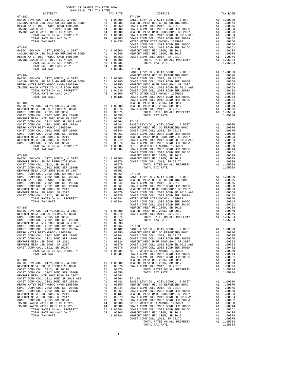| TAX RATE<br>DISTRICT | DISTRICT                                                                                                                                                                                                                    | TAX RATE |
|----------------------|-----------------------------------------------------------------------------------------------------------------------------------------------------------------------------------------------------------------------------|----------|
|                      |                                                                                                                                                                                                                             |          |
|                      |                                                                                                                                                                                                                             |          |
|                      |                                                                                                                                                                                                                             |          |
|                      |                                                                                                                                                                                                                             |          |
|                      |                                                                                                                                                                                                                             |          |
|                      |                                                                                                                                                                                                                             |          |
|                      |                                                                                                                                                                                                                             |          |
|                      |                                                                                                                                                                                                                             |          |
|                      |                                                                                                                                                                                                                             |          |
|                      |                                                                                                                                                                                                                             |          |
|                      |                                                                                                                                                                                                                             |          |
|                      |                                                                                                                                                                                                                             |          |
|                      |                                                                                                                                                                                                                             |          |
|                      |                                                                                                                                                                                                                             |          |
|                      |                                                                                                                                                                                                                             |          |
|                      |                                                                                                                                                                                                                             |          |
|                      |                                                                                                                                                                                                                             |          |
|                      |                                                                                                                                                                                                                             |          |
|                      |                                                                                                                                                                                                                             |          |
|                      |                                                                                                                                                                                                                             |          |
|                      |                                                                                                                                                                                                                             |          |
|                      |                                                                                                                                                                                                                             |          |
|                      |                                                                                                                                                                                                                             |          |
|                      |                                                                                                                                                                                                                             |          |
|                      |                                                                                                                                                                                                                             |          |
|                      |                                                                                                                                                                                                                             |          |
|                      |                                                                                                                                                                                                                             |          |
|                      |                                                                                                                                                                                                                             |          |
|                      | 1970. And an all problem of the state of the state of the state of the state of the state of the state of the state of the state of the state of the state of the state of the state of the state of the state of the state |          |
|                      |                                                                                                                                                                                                                             |          |
|                      |                                                                                                                                                                                                                             |          |
|                      |                                                                                                                                                                                                                             |          |
|                      |                                                                                                                                                                                                                             |          |
|                      |                                                                                                                                                                                                                             |          |
|                      |                                                                                                                                                                                                                             |          |
|                      |                                                                                                                                                                                                                             |          |
|                      |                                                                                                                                                                                                                             |          |
|                      |                                                                                                                                                                                                                             |          |
|                      |                                                                                                                                                                                                                             |          |
|                      |                                                                                                                                                                                                                             |          |
|                      |                                                                                                                                                                                                                             |          |
|                      |                                                                                                                                                                                                                             |          |
|                      |                                                                                                                                                                                                                             |          |
|                      |                                                                                                                                                                                                                             |          |
|                      |                                                                                                                                                                                                                             |          |
|                      |                                                                                                                                                                                                                             |          |
|                      |                                                                                                                                                                                                                             |          |
|                      |                                                                                                                                                                                                                             |          |
|                      |                                                                                                                                                                                                                             |          |
|                      |                                                                                                                                                                                                                             |          |
|                      |                                                                                                                                                                                                                             |          |
|                      |                                                                                                                                                                                                                             |          |
|                      |                                                                                                                                                                                                                             |          |
|                      |                                                                                                                                                                                                                             |          |
|                      |                                                                                                                                                                                                                             |          |
|                      |                                                                                                                                                                                                                             |          |
|                      |                                                                                                                                                                                                                             |          |
|                      |                                                                                                                                                                                                                             |          |
|                      |                                                                                                                                                                                                                             |          |
|                      |                                                                                                                                                                                                                             |          |
|                      |                                                                                                                                                                                                                             |          |
|                      |                                                                                                                                                                                                                             |          |
|                      |                                                                                                                                                                                                                             |          |
|                      |                                                                                                                                                                                                                             |          |
|                      |                                                                                                                                                                                                                             |          |
|                      |                                                                                                                                                                                                                             |          |
|                      |                                                                                                                                                                                                                             |          |
|                      |                                                                                                                                                                                                                             |          |
|                      |                                                                                                                                                                                                                             |          |
|                      |                                                                                                                                                                                                                             |          |
|                      |                                                                                                                                                                                                                             |          |
|                      |                                                                                                                                                                                                                             |          |
|                      |                                                                                                                                                                                                                             |          |
|                      |                                                                                                                                                                                                                             |          |
|                      |                                                                                                                                                                                                                             |          |
|                      |                                                                                                                                                                                                                             |          |
|                      |                                                                                                                                                                                                                             |          |
|                      |                                                                                                                                                                                                                             |          |
|                      |                                                                                                                                                                                                                             |          |
|                      |                                                                                                                                                                                                                             |          |
|                      |                                                                                                                                                                                                                             |          |
|                      |                                                                                                                                                                                                                             |          |
|                      |                                                                                                                                                                                                                             |          |
|                      |                                                                                                                                                                                                                             |          |
|                      |                                                                                                                                                                                                                             |          |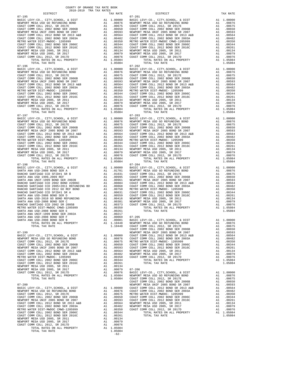NEWPORT MESA USD 2005, SR 2011 A1 .00134 NEWPORT MESA USD 2005, SR 2017 <br>
COAST COMM COLL 2012, SR 2017<br>
TOTAL RATES ON ALL PROPERTY A1 1.05084 TOTAL TAX RATE 1.05084

-62-

| $1010$ $1017$ $1011$ $1011$ $10111$<br>DISTRICT |  | TAX RATE | DISTRICT | TAX RATE |
|-------------------------------------------------|--|----------|----------|----------|
|                                                 |  |          |          |          |
|                                                 |  |          |          |          |
|                                                 |  |          |          |          |
|                                                 |  |          |          |          |
|                                                 |  |          |          |          |
|                                                 |  |          |          |          |
|                                                 |  |          |          |          |
|                                                 |  |          |          |          |
|                                                 |  |          |          |          |
|                                                 |  |          |          |          |
|                                                 |  |          |          |          |
|                                                 |  |          |          |          |
|                                                 |  |          |          |          |
|                                                 |  |          |          |          |
|                                                 |  |          |          |          |
|                                                 |  |          |          |          |
|                                                 |  |          |          |          |
|                                                 |  |          |          |          |
|                                                 |  |          |          |          |
|                                                 |  |          |          |          |
|                                                 |  |          |          |          |
|                                                 |  |          |          |          |
|                                                 |  |          |          |          |
|                                                 |  |          |          |          |
|                                                 |  |          |          |          |
|                                                 |  |          |          |          |
|                                                 |  |          |          |          |
|                                                 |  |          |          |          |
|                                                 |  |          |          |          |
|                                                 |  |          |          |          |
|                                                 |  |          |          |          |
|                                                 |  |          |          |          |
|                                                 |  |          |          |          |
|                                                 |  |          |          |          |
|                                                 |  |          |          |          |
|                                                 |  |          |          |          |
|                                                 |  |          |          |          |
|                                                 |  |          |          |          |
|                                                 |  |          |          |          |
|                                                 |  |          |          |          |
|                                                 |  |          |          |          |
|                                                 |  |          |          |          |
|                                                 |  |          |          |          |
|                                                 |  |          |          |          |
|                                                 |  |          |          |          |
|                                                 |  |          |          |          |
|                                                 |  |          |          |          |
|                                                 |  |          |          |          |
|                                                 |  |          |          |          |
|                                                 |  |          |          |          |
|                                                 |  |          |          |          |
|                                                 |  |          |          |          |
|                                                 |  |          |          |          |
|                                                 |  |          |          |          |
|                                                 |  |          |          |          |
|                                                 |  |          |          |          |
|                                                 |  |          |          |          |
|                                                 |  |          |          |          |
|                                                 |  |          |          |          |
|                                                 |  |          |          |          |
|                                                 |  |          |          |          |
|                                                 |  |          |          |          |
|                                                 |  |          |          |          |
|                                                 |  |          |          |          |
|                                                 |  |          |          |          |
|                                                 |  |          |          |          |
|                                                 |  |          |          |          |
|                                                 |  |          |          |          |
|                                                 |  |          |          |          |
|                                                 |  |          |          |          |
|                                                 |  |          |          |          |
|                                                 |  |          |          |          |
|                                                 |  |          |          |          |
|                                                 |  |          |          |          |
|                                                 |  |          |          |          |
|                                                 |  |          |          |          |
|                                                 |  |          |          |          |
|                                                 |  |          |          |          |
|                                                 |  |          |          |          |
|                                                 |  |          |          |          |
|                                                 |  |          |          |          |
|                                                 |  |          |          |          |
|                                                 |  |          |          |          |
|                                                 |  |          |          |          |
|                                                 |  |          |          |          |
|                                                 |  |          |          |          |
|                                                 |  |          |          |          |
|                                                 |  |          |          |          |
|                                                 |  |          |          |          |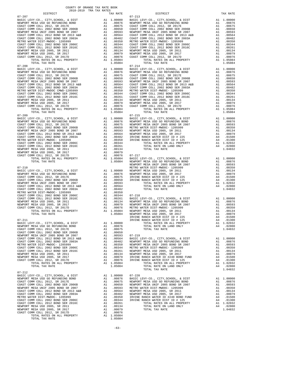| COUNTY OF ORANGE TAX RATE BOOK<br>2018-2019 TRA TAX RATES                                                                                                                                                                                                                         |          |            |          |  |
|-----------------------------------------------------------------------------------------------------------------------------------------------------------------------------------------------------------------------------------------------------------------------------------|----------|------------|----------|--|
| DISTRICT                                                                                                                                                                                                                                                                          | TAX RATE | DISTRICT   | TAX RATE |  |
| $07 - 207$<br>$\begin{tabular}{l c c c} 0.7-207 & 0.7173 & 0.713 & 0.0079 & 0.7213 & 0.0079 & 0.713 & 0.0070 & 0.713 & 0.0070 & 0.713 & 0.0070 & 0.713 & 0.0070 & 0.713 & 0.0070 & 0.713 & 0.0070 & 0.713 & 0.0070 & 0.713 & 0.0070 & 0.713 & 0.0070 & 0.713 & 0.0070 & 0.713 & $ |          | $07 - 213$ |          |  |
|                                                                                                                                                                                                                                                                                   |          |            |          |  |
|                                                                                                                                                                                                                                                                                   |          |            |          |  |
|                                                                                                                                                                                                                                                                                   |          |            |          |  |
|                                                                                                                                                                                                                                                                                   |          |            |          |  |
|                                                                                                                                                                                                                                                                                   |          |            |          |  |
|                                                                                                                                                                                                                                                                                   |          |            |          |  |
|                                                                                                                                                                                                                                                                                   |          |            |          |  |
|                                                                                                                                                                                                                                                                                   |          |            |          |  |
|                                                                                                                                                                                                                                                                                   |          |            |          |  |
|                                                                                                                                                                                                                                                                                   |          |            |          |  |
|                                                                                                                                                                                                                                                                                   |          |            |          |  |
| $07 - 208$                                                                                                                                                                                                                                                                        |          | $07 - 214$ |          |  |
|                                                                                                                                                                                                                                                                                   |          |            |          |  |
|                                                                                                                                                                                                                                                                                   |          |            |          |  |
|                                                                                                                                                                                                                                                                                   |          |            |          |  |
|                                                                                                                                                                                                                                                                                   |          |            |          |  |
|                                                                                                                                                                                                                                                                                   |          |            |          |  |
|                                                                                                                                                                                                                                                                                   |          |            |          |  |
|                                                                                                                                                                                                                                                                                   |          |            |          |  |
|                                                                                                                                                                                                                                                                                   |          |            |          |  |
|                                                                                                                                                                                                                                                                                   |          |            |          |  |
|                                                                                                                                                                                                                                                                                   |          |            |          |  |
|                                                                                                                                                                                                                                                                                   |          |            |          |  |
|                                                                                                                                                                                                                                                                                   |          |            |          |  |
|                                                                                                                                                                                                                                                                                   |          |            |          |  |
|                                                                                                                                                                                                                                                                                   |          |            |          |  |
|                                                                                                                                                                                                                                                                                   |          |            |          |  |
|                                                                                                                                                                                                                                                                                   |          |            |          |  |
|                                                                                                                                                                                                                                                                                   |          |            |          |  |
|                                                                                                                                                                                                                                                                                   |          |            |          |  |
|                                                                                                                                                                                                                                                                                   |          |            |          |  |
|                                                                                                                                                                                                                                                                                   |          |            |          |  |
|                                                                                                                                                                                                                                                                                   |          |            |          |  |
|                                                                                                                                                                                                                                                                                   |          |            |          |  |
|                                                                                                                                                                                                                                                                                   |          |            |          |  |
|                                                                                                                                                                                                                                                                                   |          |            |          |  |
|                                                                                                                                                                                                                                                                                   |          |            |          |  |
|                                                                                                                                                                                                                                                                                   |          |            |          |  |
|                                                                                                                                                                                                                                                                                   |          |            |          |  |
|                                                                                                                                                                                                                                                                                   |          |            |          |  |
|                                                                                                                                                                                                                                                                                   |          |            |          |  |
|                                                                                                                                                                                                                                                                                   |          |            |          |  |
|                                                                                                                                                                                                                                                                                   |          |            |          |  |
|                                                                                                                                                                                                                                                                                   |          |            |          |  |
|                                                                                                                                                                                                                                                                                   |          |            |          |  |
|                                                                                                                                                                                                                                                                                   |          |            |          |  |
|                                                                                                                                                                                                                                                                                   |          |            |          |  |
|                                                                                                                                                                                                                                                                                   |          |            |          |  |
|                                                                                                                                                                                                                                                                                   |          |            |          |  |
|                                                                                                                                                                                                                                                                                   |          |            |          |  |
|                                                                                                                                                                                                                                                                                   |          |            |          |  |
|                                                                                                                                                                                                                                                                                   |          |            |          |  |
| $\begin{array}{cccccc} 07-249 & 077+2.04 & 074-249 & 077+2.04 & 0.044 & 0.044 & 0.045 & 0.044 & 0.044 & 0.044 & 0.044 & 0.044 & 0.044 & 0.044 & 0.044 & 0.044 & 0.044 & 0.044 & 0.044 & 0.044 & 0.044 & 0.044 & 0.044 & 0.044 & 0.044 & 0.044 & 0.044 & 0.044 & 0.044 &$          |          |            |          |  |
|                                                                                                                                                                                                                                                                                   |          |            |          |  |
|                                                                                                                                                                                                                                                                                   |          |            |          |  |
|                                                                                                                                                                                                                                                                                   |          |            |          |  |
|                                                                                                                                                                                                                                                                                   |          |            |          |  |
|                                                                                                                                                                                                                                                                                   |          |            |          |  |
|                                                                                                                                                                                                                                                                                   |          |            |          |  |
|                                                                                                                                                                                                                                                                                   |          |            |          |  |
|                                                                                                                                                                                                                                                                                   |          |            |          |  |
|                                                                                                                                                                                                                                                                                   |          |            |          |  |
|                                                                                                                                                                                                                                                                                   |          |            |          |  |
|                                                                                                                                                                                                                                                                                   |          |            |          |  |
|                                                                                                                                                                                                                                                                                   |          |            |          |  |
| $07 - 212$                                                                                                                                                                                                                                                                        |          |            |          |  |
|                                                                                                                                                                                                                                                                                   |          |            |          |  |
|                                                                                                                                                                                                                                                                                   |          |            |          |  |
|                                                                                                                                                                                                                                                                                   |          |            |          |  |
|                                                                                                                                                                                                                                                                                   |          |            |          |  |
|                                                                                                                                                                                                                                                                                   |          |            |          |  |
|                                                                                                                                                                                                                                                                                   |          |            |          |  |
|                                                                                                                                                                                                                                                                                   |          |            |          |  |
|                                                                                                                                                                                                                                                                                   |          |            |          |  |
|                                                                                                                                                                                                                                                                                   |          |            |          |  |
|                                                                                                                                                                                                                                                                                   |          |            |          |  |
|                                                                                                                                                                                                                                                                                   |          |            |          |  |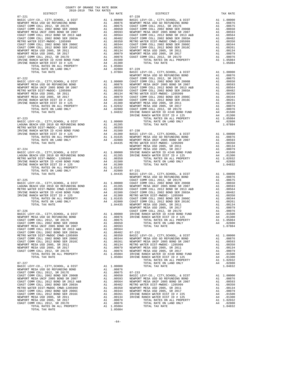COUNTY OF ORANGE TAX RATE BOOK<br>2018-2019 TRA TAX RATES DISTRICT DISTRICT TAX RATE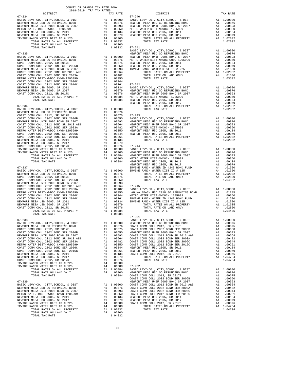| COUNTY OF ORANGE TAX RATE BOOK<br>2018-2019 TRA TAX RATES |          |                                                                                                                                                                                                                                                                   |            |
|-----------------------------------------------------------|----------|-------------------------------------------------------------------------------------------------------------------------------------------------------------------------------------------------------------------------------------------------------------------|------------|
| $07 - 234$                                                | TAX RATE | DISTRICT<br>$07 - 240$                                                                                                                                                                                                                                            | TAX RATE   |
|                                                           |          | $\begin{tabular}{l c c c c c} 07-234 & 07-240 & 07-240 & 07-240 & 07-240 & 07-240 & 07-240 & 07-240 & 07-240 & 07-240 & 07-240 & 07-240 & 07-240 & 07-240 & 07-240 & 07-240 & 07-240 & 07-240 & 07-240 & 07-240 & 07-240 & 07-240 & 07-240 & 07-240 & 07-240 & 0$ |            |
|                                                           |          |                                                                                                                                                                                                                                                                   |            |
|                                                           |          |                                                                                                                                                                                                                                                                   |            |
|                                                           |          |                                                                                                                                                                                                                                                                   |            |
|                                                           |          |                                                                                                                                                                                                                                                                   |            |
|                                                           |          |                                                                                                                                                                                                                                                                   |            |
|                                                           |          |                                                                                                                                                                                                                                                                   |            |
|                                                           |          |                                                                                                                                                                                                                                                                   |            |
|                                                           |          |                                                                                                                                                                                                                                                                   |            |
|                                                           |          |                                                                                                                                                                                                                                                                   |            |
|                                                           |          |                                                                                                                                                                                                                                                                   |            |
|                                                           |          |                                                                                                                                                                                                                                                                   |            |
|                                                           |          |                                                                                                                                                                                                                                                                   |            |
|                                                           |          |                                                                                                                                                                                                                                                                   |            |
|                                                           |          |                                                                                                                                                                                                                                                                   |            |
|                                                           |          |                                                                                                                                                                                                                                                                   |            |
|                                                           |          |                                                                                                                                                                                                                                                                   |            |
| $07 - 238$                                                |          | BASIC LEVY-CO., CITY, SCHOOL, & DIST                                                                                                                                                                                                                              | A1 1.00000 |
|                                                           |          |                                                                                                                                                                                                                                                                   |            |
|                                                           |          |                                                                                                                                                                                                                                                                   |            |
|                                                           |          |                                                                                                                                                                                                                                                                   |            |
|                                                           |          |                                                                                                                                                                                                                                                                   |            |
|                                                           |          |                                                                                                                                                                                                                                                                   |            |
|                                                           |          |                                                                                                                                                                                                                                                                   |            |
|                                                           |          |                                                                                                                                                                                                                                                                   |            |
|                                                           |          |                                                                                                                                                                                                                                                                   |            |

-65-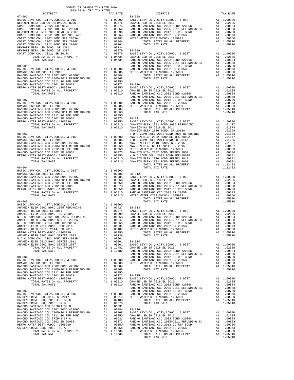| COUNTY OF ORANGE TAX RATE BOOK<br>2018-2019 TRA TAX RATES                                                                                                                                                                                                                                                                                                                                                                                                                      |          |        |
|--------------------------------------------------------------------------------------------------------------------------------------------------------------------------------------------------------------------------------------------------------------------------------------------------------------------------------------------------------------------------------------------------------------------------------------------------------------------------------|----------|--------|
| DISTRICT                                                                                                                                                                                                                                                                                                                                                                                                                                                                       | TAX RATE |        |
|                                                                                                                                                                                                                                                                                                                                                                                                                                                                                |          |        |
|                                                                                                                                                                                                                                                                                                                                                                                                                                                                                |          |        |
|                                                                                                                                                                                                                                                                                                                                                                                                                                                                                |          |        |
|                                                                                                                                                                                                                                                                                                                                                                                                                                                                                |          |        |
|                                                                                                                                                                                                                                                                                                                                                                                                                                                                                |          |        |
|                                                                                                                                                                                                                                                                                                                                                                                                                                                                                |          |        |
|                                                                                                                                                                                                                                                                                                                                                                                                                                                                                |          |        |
|                                                                                                                                                                                                                                                                                                                                                                                                                                                                                |          |        |
|                                                                                                                                                                                                                                                                                                                                                                                                                                                                                |          |        |
|                                                                                                                                                                                                                                                                                                                                                                                                                                                                                |          |        |
|                                                                                                                                                                                                                                                                                                                                                                                                                                                                                |          | RANCHO |
| $08 - 001$                                                                                                                                                                                                                                                                                                                                                                                                                                                                     |          | RANCHO |
|                                                                                                                                                                                                                                                                                                                                                                                                                                                                                |          |        |
|                                                                                                                                                                                                                                                                                                                                                                                                                                                                                |          |        |
|                                                                                                                                                                                                                                                                                                                                                                                                                                                                                |          |        |
|                                                                                                                                                                                                                                                                                                                                                                                                                                                                                |          |        |
|                                                                                                                                                                                                                                                                                                                                                                                                                                                                                |          |        |
|                                                                                                                                                                                                                                                                                                                                                                                                                                                                                |          |        |
|                                                                                                                                                                                                                                                                                                                                                                                                                                                                                |          | RANCHO |
|                                                                                                                                                                                                                                                                                                                                                                                                                                                                                |          |        |
|                                                                                                                                                                                                                                                                                                                                                                                                                                                                                |          |        |
|                                                                                                                                                                                                                                                                                                                                                                                                                                                                                |          |        |
|                                                                                                                                                                                                                                                                                                                                                                                                                                                                                |          |        |
|                                                                                                                                                                                                                                                                                                                                                                                                                                                                                |          |        |
|                                                                                                                                                                                                                                                                                                                                                                                                                                                                                |          |        |
|                                                                                                                                                                                                                                                                                                                                                                                                                                                                                |          |        |
| $\begin{tabular}{l c c c c c} \multicolumn{1}{c}{\textbf{RANCHO}} & \multicolumn{1}{c}{\textbf{RANCHO}} \\ \multicolumn{1}{c}{\textbf{NANCHO}} & \multicolumn{1}{c}{\textbf{RANCHO}} & \multicolumn{1}{c}{\textbf{RANCHO}} & \multicolumn{1}{c}{\textbf{RANCHO}} & \multicolumn{1}{c}{\textbf{RANCHO}} & \multicolumn{1}{c}{\textbf{RANCHO}} & \multicolumn{1}{c}{\textbf{RANCHO}} & \multicolumn{1}{c}{\textbf{RANCHO}} & \multicolumn{1}{c}{\textbf{RANCHO}} & \multicolumn$ |          |        |
|                                                                                                                                                                                                                                                                                                                                                                                                                                                                                |          |        |
|                                                                                                                                                                                                                                                                                                                                                                                                                                                                                |          |        |
|                                                                                                                                                                                                                                                                                                                                                                                                                                                                                |          |        |
|                                                                                                                                                                                                                                                                                                                                                                                                                                                                                |          |        |
|                                                                                                                                                                                                                                                                                                                                                                                                                                                                                |          |        |
|                                                                                                                                                                                                                                                                                                                                                                                                                                                                                |          |        |
|                                                                                                                                                                                                                                                                                                                                                                                                                                                                                |          |        |
|                                                                                                                                                                                                                                                                                                                                                                                                                                                                                |          |        |
| $08 - 004$                                                                                                                                                                                                                                                                                                                                                                                                                                                                     |          |        |
|                                                                                                                                                                                                                                                                                                                                                                                                                                                                                |          |        |
|                                                                                                                                                                                                                                                                                                                                                                                                                                                                                |          |        |
|                                                                                                                                                                                                                                                                                                                                                                                                                                                                                |          |        |
|                                                                                                                                                                                                                                                                                                                                                                                                                                                                                |          |        |
|                                                                                                                                                                                                                                                                                                                                                                                                                                                                                |          |        |
|                                                                                                                                                                                                                                                                                                                                                                                                                                                                                |          |        |
|                                                                                                                                                                                                                                                                                                                                                                                                                                                                                |          |        |
| $08 - 005$                                                                                                                                                                                                                                                                                                                                                                                                                                                                     |          |        |
|                                                                                                                                                                                                                                                                                                                                                                                                                                                                                |          |        |
|                                                                                                                                                                                                                                                                                                                                                                                                                                                                                |          |        |
|                                                                                                                                                                                                                                                                                                                                                                                                                                                                                |          |        |
|                                                                                                                                                                                                                                                                                                                                                                                                                                                                                |          |        |
| N O C COMM COLL 2014 BOND SR 2016A                                                                                                                                                                                                                                                                                                                                                                                                                                             |          |        |
| ANAHEIM ELEM 2010 BOND, SER 2016                                                                                                                                                                                                                                                                                                                                                                                                                                               |          |        |
| ANAHEIM HIGH GO EL 2014, SR 2015<br>METRO WATER DIST-MWDOC- 1205999                                                                                                                                                                                                                                                                                                                                                                                                            |          |        |
| ANAHEIM HIGH 2002 BOND SERIES 2003                                                                                                                                                                                                                                                                                                                                                                                                                                             |          |        |
| N O C COMM COLL 2002 BOND SER#2003B                                                                                                                                                                                                                                                                                                                                                                                                                                            |          |        |
| A1 .01547 RANCHO<br>A1 .01265 RANCHO<br>A1 .01031 RANCHO<br>A1 .00487 METRO W<br>A1 .00350<br>A1 .00350<br>A1 .00301<br>A1 .00001 B8-SIC<br>A1 .00001 B8-SIC<br>A1 .00001 BASIC<br>A1 .00001 BASIC<br>A1 .00001 BASIC<br>A1 .00001 BASIC<br>A1 1.12482 C<br>ANAHEIM ELEM 2010 BOND SERIES 2011<br>ANAHEIM ELEM-2002 BOND SERIES 2007                                                                                                                                           |          |        |
| TOTAL RATES ON ALL PROPERTY                                                                                                                                                                                                                                                                                                                                                                                                                                                    |          |        |
| TOTAL TAX RATE                                                                                                                                                                                                                                                                                                                                                                                                                                                                 |          |        |
| $08 - 006$                                                                                                                                                                                                                                                                                                                                                                                                                                                                     |          |        |
|                                                                                                                                                                                                                                                                                                                                                                                                                                                                                |          | RANCHO |
|                                                                                                                                                                                                                                                                                                                                                                                                                                                                                |          |        |
|                                                                                                                                                                                                                                                                                                                                                                                                                                                                                |          |        |
|                                                                                                                                                                                                                                                                                                                                                                                                                                                                                |          |        |
|                                                                                                                                                                                                                                                                                                                                                                                                                                                                                |          |        |
|                                                                                                                                                                                                                                                                                                                                                                                                                                                                                |          |        |
|                                                                                                                                                                                                                                                                                                                                                                                                                                                                                |          |        |
|                                                                                                                                                                                                                                                                                                                                                                                                                                                                                |          | RANCHO |
| $08 - 007$                                                                                                                                                                                                                                                                                                                                                                                                                                                                     |          | RANCHO |
|                                                                                                                                                                                                                                                                                                                                                                                                                                                                                |          |        |
|                                                                                                                                                                                                                                                                                                                                                                                                                                                                                |          |        |
|                                                                                                                                                                                                                                                                                                                                                                                                                                                                                |          |        |
|                                                                                                                                                                                                                                                                                                                                                                                                                                                                                |          |        |
|                                                                                                                                                                                                                                                                                                                                                                                                                                                                                |          |        |
|                                                                                                                                                                                                                                                                                                                                                                                                                                                                                |          |        |
|                                                                                                                                                                                                                                                                                                                                                                                                                                                                                |          |        |
|                                                                                                                                                                                                                                                                                                                                                                                                                                                                                |          |        |
|                                                                                                                                                                                                                                                                                                                                                                                                                                                                                |          |        |
|                                                                                                                                                                                                                                                                                                                                                                                                                                                                                |          |        |
|                                                                                                                                                                                                                                                                                                                                                                                                                                                                                |          |        |

-66-

| 2018-2019 TRA TAX RATES<br>DISTRICT | TAX RATE | DISTRICT<br>$\begin{smallmatrix} 17.400 \\ 17.401 \\ 17.402 \\ 17.403 \\ 17.403 \\ 17.404 \\ 17.405 \\ 17.407 \\ 17.408 \\ 17.409 \\ 17.401 \\ 17.401 \\ 17.401 \\ 17.402 \\ 17.403 \\ 17.403 \\ 17.404 \\ 17.405 \\ 17.407 \\ 17.408 \\ 17.409 \\ 17.401 \\ 17.401 \\ 17.401 \\ 17.401 \\ 17.401 \\ 17.40$ | TAX RATE |
|-------------------------------------|----------|-------------------------------------------------------------------------------------------------------------------------------------------------------------------------------------------------------------------------------------------------------------------------------------------------------------|----------|
|                                     |          | $08 - 008$                                                                                                                                                                                                                                                                                                  |          |
|                                     |          |                                                                                                                                                                                                                                                                                                             |          |
|                                     |          |                                                                                                                                                                                                                                                                                                             |          |
|                                     |          |                                                                                                                                                                                                                                                                                                             |          |
|                                     |          |                                                                                                                                                                                                                                                                                                             |          |
|                                     |          |                                                                                                                                                                                                                                                                                                             |          |
|                                     |          |                                                                                                                                                                                                                                                                                                             |          |
|                                     |          |                                                                                                                                                                                                                                                                                                             |          |
|                                     |          |                                                                                                                                                                                                                                                                                                             |          |
|                                     |          |                                                                                                                                                                                                                                                                                                             |          |
|                                     |          |                                                                                                                                                                                                                                                                                                             |          |
|                                     |          |                                                                                                                                                                                                                                                                                                             |          |
|                                     |          |                                                                                                                                                                                                                                                                                                             |          |
|                                     |          |                                                                                                                                                                                                                                                                                                             |          |
|                                     |          |                                                                                                                                                                                                                                                                                                             |          |
|                                     |          |                                                                                                                                                                                                                                                                                                             |          |
|                                     |          |                                                                                                                                                                                                                                                                                                             |          |
|                                     |          |                                                                                                                                                                                                                                                                                                             |          |
|                                     |          |                                                                                                                                                                                                                                                                                                             |          |
|                                     |          |                                                                                                                                                                                                                                                                                                             |          |
|                                     |          |                                                                                                                                                                                                                                                                                                             |          |
|                                     |          |                                                                                                                                                                                                                                                                                                             |          |
|                                     |          |                                                                                                                                                                                                                                                                                                             |          |
|                                     |          |                                                                                                                                                                                                                                                                                                             |          |
|                                     |          |                                                                                                                                                                                                                                                                                                             |          |
|                                     |          |                                                                                                                                                                                                                                                                                                             |          |
|                                     |          |                                                                                                                                                                                                                                                                                                             |          |
|                                     |          |                                                                                                                                                                                                                                                                                                             |          |
|                                     |          |                                                                                                                                                                                                                                                                                                             |          |
|                                     |          |                                                                                                                                                                                                                                                                                                             |          |
|                                     |          |                                                                                                                                                                                                                                                                                                             |          |
|                                     |          |                                                                                                                                                                                                                                                                                                             |          |
|                                     |          |                                                                                                                                                                                                                                                                                                             |          |
|                                     |          |                                                                                                                                                                                                                                                                                                             |          |
|                                     |          |                                                                                                                                                                                                                                                                                                             |          |
|                                     |          |                                                                                                                                                                                                                                                                                                             |          |
|                                     |          |                                                                                                                                                                                                                                                                                                             |          |
|                                     |          |                                                                                                                                                                                                                                                                                                             |          |
|                                     |          |                                                                                                                                                                                                                                                                                                             |          |
|                                     |          |                                                                                                                                                                                                                                                                                                             |          |
|                                     |          |                                                                                                                                                                                                                                                                                                             |          |
|                                     |          |                                                                                                                                                                                                                                                                                                             |          |
|                                     |          |                                                                                                                                                                                                                                                                                                             |          |
|                                     |          |                                                                                                                                                                                                                                                                                                             |          |
|                                     |          |                                                                                                                                                                                                                                                                                                             |          |
|                                     |          |                                                                                                                                                                                                                                                                                                             |          |
|                                     |          |                                                                                                                                                                                                                                                                                                             |          |
|                                     |          |                                                                                                                                                                                                                                                                                                             |          |
|                                     |          |                                                                                                                                                                                                                                                                                                             |          |
|                                     |          |                                                                                                                                                                                                                                                                                                             |          |
|                                     |          |                                                                                                                                                                                                                                                                                                             |          |
|                                     |          |                                                                                                                                                                                                                                                                                                             |          |
|                                     |          |                                                                                                                                                                                                                                                                                                             |          |
|                                     |          |                                                                                                                                                                                                                                                                                                             |          |
|                                     |          |                                                                                                                                                                                                                                                                                                             |          |
|                                     |          |                                                                                                                                                                                                                                                                                                             |          |
|                                     |          |                                                                                                                                                                                                                                                                                                             |          |
|                                     |          |                                                                                                                                                                                                                                                                                                             |          |
|                                     |          |                                                                                                                                                                                                                                                                                                             |          |
|                                     |          |                                                                                                                                                                                                                                                                                                             |          |
|                                     |          |                                                                                                                                                                                                                                                                                                             |          |
|                                     |          |                                                                                                                                                                                                                                                                                                             |          |
|                                     |          |                                                                                                                                                                                                                                                                                                             |          |
|                                     |          |                                                                                                                                                                                                                                                                                                             |          |
|                                     |          |                                                                                                                                                                                                                                                                                                             |          |
|                                     |          |                                                                                                                                                                                                                                                                                                             |          |
|                                     |          |                                                                                                                                                                                                                                                                                                             |          |
|                                     |          | <b>HOME COMPUTER OR A REPORT ON A SUBATION CONFIDENTIES OF DESCRIP DETERMINE SERVICING CONFIDENTIES OF DESCRIPTION OR AN ARREST MATERIAL PROPERTY AN ARREST MATERIAL PROPERTY AND RESPONSE TO A REPORT ON A SUBATION CONFIDENTI</b>                                                                         |          |
|                                     |          |                                                                                                                                                                                                                                                                                                             |          |
|                                     |          |                                                                                                                                                                                                                                                                                                             |          |
|                                     |          |                                                                                                                                                                                                                                                                                                             |          |
|                                     |          |                                                                                                                                                                                                                                                                                                             |          |
|                                     |          |                                                                                                                                                                                                                                                                                                             |          |
|                                     |          |                                                                                                                                                                                                                                                                                                             |          |
|                                     |          |                                                                                                                                                                                                                                                                                                             |          |
|                                     |          |                                                                                                                                                                                                                                                                                                             |          |
|                                     |          |                                                                                                                                                                                                                                                                                                             |          |
|                                     |          |                                                                                                                                                                                                                                                                                                             |          |
|                                     |          |                                                                                                                                                                                                                                                                                                             |          |
|                                     |          |                                                                                                                                                                                                                                                                                                             |          |
|                                     |          |                                                                                                                                                                                                                                                                                                             |          |
|                                     |          |                                                                                                                                                                                                                                                                                                             |          |
|                                     |          |                                                                                                                                                                                                                                                                                                             |          |
|                                     |          |                                                                                                                                                                                                                                                                                                             |          |
|                                     |          |                                                                                                                                                                                                                                                                                                             |          |
|                                     |          |                                                                                                                                                                                                                                                                                                             |          |
|                                     |          |                                                                                                                                                                                                                                                                                                             |          |
|                                     |          |                                                                                                                                                                                                                                                                                                             |          |
|                                     |          |                                                                                                                                                                                                                                                                                                             |          |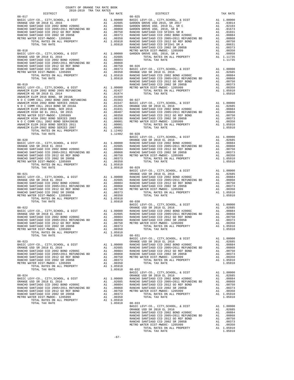| 2018-2019 TRA TAX RATES<br>DISTRICT | TAX RATE | DISTRICT<br>$\begin{array}{cccccccc} 03-0.17 & 0.08 & -0.17 & 0.08 & -0.19 & 0.08 & 0.08 & 0.08 & 0.08 & 0.08 & 0.08 & 0.08 & 0.08 & 0.08 & 0.08 & 0.08 & 0.08 & 0.08 & 0.08 & 0.08 & 0.08 & 0.08 & 0.08 & 0.08 & 0.08 & 0.08 & 0.08 & 0.08 & 0.08 & 0.08 & 0.08 & 0.08 & 0.08 & 0.08 & 0.08$                                                                                              | TAX RATE |
|-------------------------------------|----------|--------------------------------------------------------------------------------------------------------------------------------------------------------------------------------------------------------------------------------------------------------------------------------------------------------------------------------------------------------------------------------------------|----------|
|                                     |          |                                                                                                                                                                                                                                                                                                                                                                                            |          |
|                                     |          |                                                                                                                                                                                                                                                                                                                                                                                            |          |
|                                     |          |                                                                                                                                                                                                                                                                                                                                                                                            |          |
|                                     |          |                                                                                                                                                                                                                                                                                                                                                                                            |          |
|                                     |          |                                                                                                                                                                                                                                                                                                                                                                                            |          |
|                                     |          |                                                                                                                                                                                                                                                                                                                                                                                            |          |
|                                     |          |                                                                                                                                                                                                                                                                                                                                                                                            |          |
|                                     |          |                                                                                                                                                                                                                                                                                                                                                                                            |          |
|                                     |          |                                                                                                                                                                                                                                                                                                                                                                                            |          |
|                                     |          |                                                                                                                                                                                                                                                                                                                                                                                            |          |
|                                     |          |                                                                                                                                                                                                                                                                                                                                                                                            |          |
|                                     |          |                                                                                                                                                                                                                                                                                                                                                                                            |          |
|                                     |          |                                                                                                                                                                                                                                                                                                                                                                                            |          |
|                                     |          |                                                                                                                                                                                                                                                                                                                                                                                            |          |
|                                     |          |                                                                                                                                                                                                                                                                                                                                                                                            |          |
|                                     |          |                                                                                                                                                                                                                                                                                                                                                                                            |          |
|                                     |          |                                                                                                                                                                                                                                                                                                                                                                                            |          |
|                                     |          |                                                                                                                                                                                                                                                                                                                                                                                            |          |
|                                     |          |                                                                                                                                                                                                                                                                                                                                                                                            |          |
|                                     |          |                                                                                                                                                                                                                                                                                                                                                                                            |          |
|                                     |          |                                                                                                                                                                                                                                                                                                                                                                                            |          |
|                                     |          |                                                                                                                                                                                                                                                                                                                                                                                            |          |
|                                     |          |                                                                                                                                                                                                                                                                                                                                                                                            |          |
|                                     |          |                                                                                                                                                                                                                                                                                                                                                                                            |          |
|                                     |          |                                                                                                                                                                                                                                                                                                                                                                                            |          |
|                                     |          |                                                                                                                                                                                                                                                                                                                                                                                            |          |
|                                     |          |                                                                                                                                                                                                                                                                                                                                                                                            |          |
|                                     |          |                                                                                                                                                                                                                                                                                                                                                                                            |          |
|                                     |          |                                                                                                                                                                                                                                                                                                                                                                                            |          |
|                                     |          |                                                                                                                                                                                                                                                                                                                                                                                            |          |
|                                     |          |                                                                                                                                                                                                                                                                                                                                                                                            |          |
|                                     |          |                                                                                                                                                                                                                                                                                                                                                                                            |          |
|                                     |          |                                                                                                                                                                                                                                                                                                                                                                                            |          |
|                                     |          |                                                                                                                                                                                                                                                                                                                                                                                            |          |
|                                     |          |                                                                                                                                                                                                                                                                                                                                                                                            |          |
|                                     |          |                                                                                                                                                                                                                                                                                                                                                                                            |          |
|                                     |          |                                                                                                                                                                                                                                                                                                                                                                                            |          |
|                                     |          |                                                                                                                                                                                                                                                                                                                                                                                            |          |
|                                     |          |                                                                                                                                                                                                                                                                                                                                                                                            |          |
|                                     |          |                                                                                                                                                                                                                                                                                                                                                                                            |          |
|                                     |          |                                                                                                                                                                                                                                                                                                                                                                                            |          |
|                                     |          |                                                                                                                                                                                                                                                                                                                                                                                            |          |
|                                     |          |                                                                                                                                                                                                                                                                                                                                                                                            |          |
|                                     |          |                                                                                                                                                                                                                                                                                                                                                                                            |          |
|                                     |          |                                                                                                                                                                                                                                                                                                                                                                                            |          |
|                                     |          |                                                                                                                                                                                                                                                                                                                                                                                            |          |
|                                     |          |                                                                                                                                                                                                                                                                                                                                                                                            |          |
|                                     |          |                                                                                                                                                                                                                                                                                                                                                                                            |          |
|                                     |          |                                                                                                                                                                                                                                                                                                                                                                                            |          |
|                                     |          |                                                                                                                                                                                                                                                                                                                                                                                            |          |
|                                     |          |                                                                                                                                                                                                                                                                                                                                                                                            |          |
|                                     |          |                                                                                                                                                                                                                                                                                                                                                                                            |          |
|                                     |          |                                                                                                                                                                                                                                                                                                                                                                                            |          |
|                                     |          |                                                                                                                                                                                                                                                                                                                                                                                            |          |
|                                     |          |                                                                                                                                                                                                                                                                                                                                                                                            |          |
|                                     |          |                                                                                                                                                                                                                                                                                                                                                                                            |          |
|                                     |          | BASIC LEVY-CO., CITY, SCHOOL, & DIST Al 1.00000                                                                                                                                                                                                                                                                                                                                            |          |
|                                     |          |                                                                                                                                                                                                                                                                                                                                                                                            |          |
|                                     |          |                                                                                                                                                                                                                                                                                                                                                                                            |          |
|                                     |          |                                                                                                                                                                                                                                                                                                                                                                                            |          |
|                                     |          |                                                                                                                                                                                                                                                                                                                                                                                            |          |
|                                     |          |                                                                                                                                                                                                                                                                                                                                                                                            |          |
|                                     |          |                                                                                                                                                                                                                                                                                                                                                                                            |          |
|                                     |          |                                                                                                                                                                                                                                                                                                                                                                                            |          |
|                                     |          |                                                                                                                                                                                                                                                                                                                                                                                            |          |
|                                     |          |                                                                                                                                                                                                                                                                                                                                                                                            |          |
|                                     |          |                                                                                                                                                                                                                                                                                                                                                                                            |          |
|                                     |          |                                                                                                                                                                                                                                                                                                                                                                                            |          |
|                                     |          |                                                                                                                                                                                                                                                                                                                                                                                            |          |
|                                     |          |                                                                                                                                                                                                                                                                                                                                                                                            |          |
|                                     |          | $\begin{tabular}{cccc} \texttt{101A1} & \texttt{1A1} & \texttt{1A1} & \texttt{1A1} & \texttt{1A1} & \texttt{1A2} & \texttt{1A3} & \texttt{1A4} & \texttt{1A5} & \texttt{1A6} & \texttt{1A7} & \texttt{1A8} & \texttt{1A8} & \texttt{1A8} & \texttt{1A8} & \texttt{1A8} & \texttt{1A8} & \texttt{1A8} & \texttt{1A8} & \texttt{1A8} & \texttt{1A8} & \texttt{1A8} & \texttt{1A8} & \texttt$ |          |
|                                     |          |                                                                                                                                                                                                                                                                                                                                                                                            |          |
|                                     |          |                                                                                                                                                                                                                                                                                                                                                                                            |          |
|                                     |          |                                                                                                                                                                                                                                                                                                                                                                                            |          |
|                                     |          |                                                                                                                                                                                                                                                                                                                                                                                            |          |
|                                     |          |                                                                                                                                                                                                                                                                                                                                                                                            |          |
|                                     |          |                                                                                                                                                                                                                                                                                                                                                                                            |          |
|                                     |          |                                                                                                                                                                                                                                                                                                                                                                                            |          |
|                                     |          |                                                                                                                                                                                                                                                                                                                                                                                            |          |
|                                     |          |                                                                                                                                                                                                                                                                                                                                                                                            |          |
|                                     |          |                                                                                                                                                                                                                                                                                                                                                                                            |          |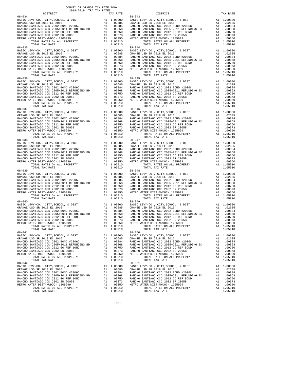| 2018-2019 TRA TAX RATES<br>DISTRICT | TAX RATE | DISTRICT                                                                            | TAX RATE |
|-------------------------------------|----------|-------------------------------------------------------------------------------------|----------|
| $08 - 034$                          |          | $08 - 043$                                                                          |          |
|                                     |          |                                                                                     |          |
|                                     |          |                                                                                     |          |
|                                     |          |                                                                                     |          |
|                                     |          |                                                                                     |          |
|                                     |          |                                                                                     |          |
|                                     |          |                                                                                     |          |
|                                     |          |                                                                                     |          |
| $08 - 035$                          |          | $08 - 044$                                                                          |          |
|                                     |          |                                                                                     |          |
|                                     |          |                                                                                     |          |
|                                     |          |                                                                                     |          |
|                                     |          |                                                                                     |          |
|                                     |          |                                                                                     |          |
|                                     |          |                                                                                     |          |
|                                     |          |                                                                                     |          |
|                                     |          |                                                                                     |          |
|                                     |          |                                                                                     |          |
|                                     |          |                                                                                     |          |
|                                     |          |                                                                                     |          |
|                                     |          |                                                                                     |          |
|                                     |          |                                                                                     |          |
|                                     |          |                                                                                     |          |
|                                     |          |                                                                                     |          |
| $08 - 037$                          |          | $08 - 046$                                                                          |          |
|                                     |          |                                                                                     |          |
|                                     |          |                                                                                     |          |
|                                     |          |                                                                                     |          |
|                                     |          |                                                                                     |          |
|                                     |          |                                                                                     |          |
|                                     |          |                                                                                     |          |
|                                     |          |                                                                                     |          |
| $08 - 038$                          |          | $08 - 047$                                                                          |          |
|                                     |          |                                                                                     |          |
|                                     |          |                                                                                     |          |
|                                     |          |                                                                                     |          |
|                                     |          |                                                                                     |          |
|                                     |          |                                                                                     |          |
|                                     |          |                                                                                     |          |
|                                     |          |                                                                                     |          |
|                                     |          |                                                                                     |          |
|                                     |          |                                                                                     |          |
|                                     |          |                                                                                     |          |
|                                     |          |                                                                                     |          |
|                                     |          |                                                                                     |          |
|                                     |          |                                                                                     |          |
|                                     |          |                                                                                     |          |
|                                     |          |                                                                                     |          |
| $08 - 040$                          |          | $08 - 049$                                                                          |          |
|                                     |          |                                                                                     |          |
|                                     |          |                                                                                     |          |
|                                     |          |                                                                                     |          |
|                                     |          |                                                                                     |          |
|                                     |          |                                                                                     |          |
|                                     |          |                                                                                     |          |
|                                     |          | TOTAL RATES ON ALL PROPERTY A1 1.05910<br>TOTAL TAX RATE 1.05910<br>1.05910 1.05910 |          |
| $08 - 041$                          |          | $08 - 050$                                                                          |          |
|                                     |          |                                                                                     |          |
|                                     |          |                                                                                     |          |
|                                     |          |                                                                                     |          |
|                                     |          |                                                                                     |          |
|                                     |          |                                                                                     |          |
|                                     |          |                                                                                     |          |
|                                     |          |                                                                                     |          |
|                                     |          |                                                                                     |          |
|                                     |          |                                                                                     |          |
|                                     |          |                                                                                     |          |
|                                     |          |                                                                                     |          |
|                                     |          |                                                                                     |          |
|                                     |          |                                                                                     |          |
|                                     |          |                                                                                     |          |
|                                     |          |                                                                                     |          |
|                                     |          |                                                                                     |          |

-68-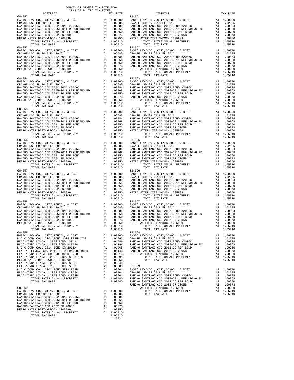| COUNTY OF ORANGE TAX RATE BOOK<br>$\begin{minipage}{.03\linewidth} \begin{tabular}{lcccccc} \multicolumn{2}{c}{\textbf{1.41}\textbf{1.62}} & \multicolumn{2}{c}{\textbf{1.62}\textbf{1.63}} & \multicolumn{2}{c}{\textbf{1.63}} & \multicolumn{2}{c}{\textbf{1.64}} & \multicolumn{2}{c}{\textbf{1.65}} & \multicolumn{2}{c}{\textbf{1.66}} & \multicolumn{2}{c}{\textbf{1.67}} & \multicolumn{2}{c}{\textbf{1.67}} & \multicolumn{2}{c}{\textbf{1.68}} & \multicolumn{2}{c}{\$ |          |            |          |
|---------------------------------------------------------------------------------------------------------------------------------------------------------------------------------------------------------------------------------------------------------------------------------------------------------------------------------------------------------------------------------------------------------------------------------------------------------------------------------|----------|------------|----------|
|                                                                                                                                                                                                                                                                                                                                                                                                                                                                                 | TAX RATE | DISTRICT   | TAX RATE |
| $08 - 052$                                                                                                                                                                                                                                                                                                                                                                                                                                                                      |          | $08 - 061$ |          |
|                                                                                                                                                                                                                                                                                                                                                                                                                                                                                 |          |            |          |
|                                                                                                                                                                                                                                                                                                                                                                                                                                                                                 |          |            |          |
|                                                                                                                                                                                                                                                                                                                                                                                                                                                                                 |          |            |          |
|                                                                                                                                                                                                                                                                                                                                                                                                                                                                                 |          |            |          |
|                                                                                                                                                                                                                                                                                                                                                                                                                                                                                 |          |            |          |
|                                                                                                                                                                                                                                                                                                                                                                                                                                                                                 |          |            |          |
|                                                                                                                                                                                                                                                                                                                                                                                                                                                                                 |          |            |          |
| $\begin{tabular}{0.85\textwidth} \hline 0.8-053 & $10.94$ & $10.90000$ & $10.94$ & $10.90000$ & $10.94$ & $10.90000$ & $10.952$ & $10.94$ & $10.90000$ \\ \hline \texttt{RARCHO SANTIAGO CCD 2002 BCOO} & \texttt{RODE} & \texttt{A1} & 0.00000$ & $10.9668$ & $10.94$ & $10.90000$ & $10.9688$ \\ \hline \texttt{RARCHO SANTIAGO$                                                                                                                                              |          |            |          |
|                                                                                                                                                                                                                                                                                                                                                                                                                                                                                 |          |            |          |
|                                                                                                                                                                                                                                                                                                                                                                                                                                                                                 |          |            |          |
|                                                                                                                                                                                                                                                                                                                                                                                                                                                                                 |          |            |          |
|                                                                                                                                                                                                                                                                                                                                                                                                                                                                                 |          |            |          |
|                                                                                                                                                                                                                                                                                                                                                                                                                                                                                 |          |            |          |
|                                                                                                                                                                                                                                                                                                                                                                                                                                                                                 |          |            |          |
|                                                                                                                                                                                                                                                                                                                                                                                                                                                                                 |          |            |          |
|                                                                                                                                                                                                                                                                                                                                                                                                                                                                                 |          |            |          |
|                                                                                                                                                                                                                                                                                                                                                                                                                                                                                 |          |            |          |
|                                                                                                                                                                                                                                                                                                                                                                                                                                                                                 |          |            |          |
|                                                                                                                                                                                                                                                                                                                                                                                                                                                                                 |          |            |          |
|                                                                                                                                                                                                                                                                                                                                                                                                                                                                                 |          |            |          |
|                                                                                                                                                                                                                                                                                                                                                                                                                                                                                 |          |            |          |
|                                                                                                                                                                                                                                                                                                                                                                                                                                                                                 |          | $08 - 064$ |          |
| $08 - 055$                                                                                                                                                                                                                                                                                                                                                                                                                                                                      |          |            |          |
|                                                                                                                                                                                                                                                                                                                                                                                                                                                                                 |          |            |          |
|                                                                                                                                                                                                                                                                                                                                                                                                                                                                                 |          |            |          |
|                                                                                                                                                                                                                                                                                                                                                                                                                                                                                 |          |            |          |
|                                                                                                                                                                                                                                                                                                                                                                                                                                                                                 |          |            |          |
|                                                                                                                                                                                                                                                                                                                                                                                                                                                                                 |          |            |          |
|                                                                                                                                                                                                                                                                                                                                                                                                                                                                                 |          |            |          |
|                                                                                                                                                                                                                                                                                                                                                                                                                                                                                 |          |            |          |
|                                                                                                                                                                                                                                                                                                                                                                                                                                                                                 |          |            |          |
|                                                                                                                                                                                                                                                                                                                                                                                                                                                                                 |          |            |          |
|                                                                                                                                                                                                                                                                                                                                                                                                                                                                                 |          |            |          |
|                                                                                                                                                                                                                                                                                                                                                                                                                                                                                 |          |            |          |
|                                                                                                                                                                                                                                                                                                                                                                                                                                                                                 |          |            |          |
|                                                                                                                                                                                                                                                                                                                                                                                                                                                                                 |          |            |          |
|                                                                                                                                                                                                                                                                                                                                                                                                                                                                                 |          |            |          |
| $08 - 057$                                                                                                                                                                                                                                                                                                                                                                                                                                                                      |          | $08 - 066$ |          |
|                                                                                                                                                                                                                                                                                                                                                                                                                                                                                 |          |            |          |
|                                                                                                                                                                                                                                                                                                                                                                                                                                                                                 |          |            |          |
|                                                                                                                                                                                                                                                                                                                                                                                                                                                                                 |          |            |          |
|                                                                                                                                                                                                                                                                                                                                                                                                                                                                                 |          |            |          |
|                                                                                                                                                                                                                                                                                                                                                                                                                                                                                 |          |            |          |
|                                                                                                                                                                                                                                                                                                                                                                                                                                                                                 |          |            |          |
|                                                                                                                                                                                                                                                                                                                                                                                                                                                                                 |          |            |          |
|                                                                                                                                                                                                                                                                                                                                                                                                                                                                                 |          |            |          |
|                                                                                                                                                                                                                                                                                                                                                                                                                                                                                 |          |            |          |
|                                                                                                                                                                                                                                                                                                                                                                                                                                                                                 |          |            |          |
|                                                                                                                                                                                                                                                                                                                                                                                                                                                                                 |          |            |          |
|                                                                                                                                                                                                                                                                                                                                                                                                                                                                                 |          |            |          |
|                                                                                                                                                                                                                                                                                                                                                                                                                                                                                 |          |            |          |
| NANCHO SANTIAGO CCD 2002 SR 2005B AL<br>METRO WATER DIST-MWDOC- 1205999 A1 .00350 TOTAL RATES ON ALL PROPERTY A1 1.05910 TOTAL TAX RATE                                                                                                                                                                                                                                                                                                                                         |          |            |          |
|                                                                                                                                                                                                                                                                                                                                                                                                                                                                                 |          |            |          |
|                                                                                                                                                                                                                                                                                                                                                                                                                                                                                 |          |            |          |
|                                                                                                                                                                                                                                                                                                                                                                                                                                                                                 |          |            |          |
|                                                                                                                                                                                                                                                                                                                                                                                                                                                                                 |          |            |          |
|                                                                                                                                                                                                                                                                                                                                                                                                                                                                                 |          |            |          |
|                                                                                                                                                                                                                                                                                                                                                                                                                                                                                 |          |            |          |
|                                                                                                                                                                                                                                                                                                                                                                                                                                                                                 |          |            |          |
|                                                                                                                                                                                                                                                                                                                                                                                                                                                                                 |          |            |          |
|                                                                                                                                                                                                                                                                                                                                                                                                                                                                                 |          |            |          |
|                                                                                                                                                                                                                                                                                                                                                                                                                                                                                 |          |            |          |
|                                                                                                                                                                                                                                                                                                                                                                                                                                                                                 |          |            |          |
|                                                                                                                                                                                                                                                                                                                                                                                                                                                                                 |          |            |          |
|                                                                                                                                                                                                                                                                                                                                                                                                                                                                                 |          |            |          |
|                                                                                                                                                                                                                                                                                                                                                                                                                                                                                 |          |            |          |
|                                                                                                                                                                                                                                                                                                                                                                                                                                                                                 |          |            |          |
|                                                                                                                                                                                                                                                                                                                                                                                                                                                                                 |          |            |          |
|                                                                                                                                                                                                                                                                                                                                                                                                                                                                                 |          |            |          |
|                                                                                                                                                                                                                                                                                                                                                                                                                                                                                 |          |            |          |
|                                                                                                                                                                                                                                                                                                                                                                                                                                                                                 |          |            |          |
|                                                                                                                                                                                                                                                                                                                                                                                                                                                                                 |          |            |          |
|                                                                                                                                                                                                                                                                                                                                                                                                                                                                                 |          |            |          |
|                                                                                                                                                                                                                                                                                                                                                                                                                                                                                 |          |            |          |

-69-

| AΤ<br>A1<br>A1<br>A1<br>A1 | . ∪∠ ⊙ ວ<br>.00884<br>.00868<br>.00750<br>.00373 |
|----------------------------|--------------------------------------------------|
| A1                         | .00350                                           |
| A1                         | 1.05910                                          |
|                            | 1.05910                                          |
|                            |                                                  |
| A1                         | 1.00000                                          |
| A1                         | .01563                                           |
| A1                         | .01486                                           |
| A1                         | .01296                                           |
| A1                         | .01265                                           |
| A1                         | .01143                                           |
| A1                         | .00619                                           |
| A1                         | .00391                                           |
| A1                         | .00350                                           |
| A1                         | .00244                                           |
| A1                         | .00080                                           |
| A1                         | .00001                                           |
| A1                         | .00001                                           |
| A1                         | .00001                                           |
| A1                         | 1.08440                                          |
|                            | 1.08440                                          |
|                            |                                                  |

|                                                         | $08 - 061$                                                                                                                                                                                                                                                                                        |         |
|---------------------------------------------------------|---------------------------------------------------------------------------------------------------------------------------------------------------------------------------------------------------------------------------------------------------------------------------------------------------|---------|
|                                                         |                                                                                                                                                                                                                                                                                                   |         |
|                                                         |                                                                                                                                                                                                                                                                                                   |         |
|                                                         |                                                                                                                                                                                                                                                                                                   |         |
|                                                         |                                                                                                                                                                                                                                                                                                   |         |
|                                                         |                                                                                                                                                                                                                                                                                                   |         |
|                                                         |                                                                                                                                                                                                                                                                                                   |         |
|                                                         |                                                                                                                                                                                                                                                                                                   |         |
|                                                         |                                                                                                                                                                                                                                                                                                   |         |
|                                                         |                                                                                                                                                                                                                                                                                                   |         |
|                                                         |                                                                                                                                                                                                                                                                                                   |         |
|                                                         |                                                                                                                                                                                                                                                                                                   |         |
|                                                         |                                                                                                                                                                                                                                                                                                   |         |
|                                                         |                                                                                                                                                                                                                                                                                                   |         |
|                                                         |                                                                                                                                                                                                                                                                                                   |         |
|                                                         |                                                                                                                                                                                                                                                                                                   |         |
|                                                         |                                                                                                                                                                                                                                                                                                   |         |
|                                                         |                                                                                                                                                                                                                                                                                                   |         |
|                                                         |                                                                                                                                                                                                                                                                                                   |         |
|                                                         |                                                                                                                                                                                                                                                                                                   |         |
|                                                         |                                                                                                                                                                                                                                                                                                   |         |
|                                                         |                                                                                                                                                                                                                                                                                                   |         |
|                                                         |                                                                                                                                                                                                                                                                                                   |         |
|                                                         |                                                                                                                                                                                                                                                                                                   |         |
|                                                         |                                                                                                                                                                                                                                                                                                   |         |
|                                                         |                                                                                                                                                                                                                                                                                                   |         |
|                                                         |                                                                                                                                                                                                                                                                                                   |         |
|                                                         |                                                                                                                                                                                                                                                                                                   |         |
|                                                         |                                                                                                                                                                                                                                                                                                   |         |
|                                                         |                                                                                                                                                                                                                                                                                                   |         |
|                                                         |                                                                                                                                                                                                                                                                                                   |         |
|                                                         |                                                                                                                                                                                                                                                                                                   |         |
|                                                         |                                                                                                                                                                                                                                                                                                   |         |
|                                                         |                                                                                                                                                                                                                                                                                                   |         |
|                                                         |                                                                                                                                                                                                                                                                                                   |         |
|                                                         |                                                                                                                                                                                                                                                                                                   |         |
|                                                         |                                                                                                                                                                                                                                                                                                   |         |
|                                                         |                                                                                                                                                                                                                                                                                                   |         |
|                                                         |                                                                                                                                                                                                                                                                                                   |         |
|                                                         |                                                                                                                                                                                                                                                                                                   |         |
|                                                         |                                                                                                                                                                                                                                                                                                   |         |
|                                                         |                                                                                                                                                                                                                                                                                                   |         |
|                                                         |                                                                                                                                                                                                                                                                                                   |         |
|                                                         |                                                                                                                                                                                                                                                                                                   |         |
|                                                         |                                                                                                                                                                                                                                                                                                   |         |
|                                                         |                                                                                                                                                                                                                                                                                                   |         |
|                                                         |                                                                                                                                                                                                                                                                                                   |         |
|                                                         |                                                                                                                                                                                                                                                                                                   |         |
|                                                         |                                                                                                                                                                                                                                                                                                   |         |
|                                                         |                                                                                                                                                                                                                                                                                                   |         |
|                                                         |                                                                                                                                                                                                                                                                                                   |         |
|                                                         |                                                                                                                                                                                                                                                                                                   |         |
|                                                         |                                                                                                                                                                                                                                                                                                   |         |
|                                                         |                                                                                                                                                                                                                                                                                                   |         |
|                                                         |                                                                                                                                                                                                                                                                                                   |         |
|                                                         |                                                                                                                                                                                                                                                                                                   |         |
|                                                         |                                                                                                                                                                                                                                                                                                   |         |
|                                                         |                                                                                                                                                                                                                                                                                                   |         |
|                                                         |                                                                                                                                                                                                                                                                                                   |         |
|                                                         |                                                                                                                                                                                                                                                                                                   |         |
|                                                         |                                                                                                                                                                                                                                                                                                   |         |
|                                                         |                                                                                                                                                                                                                                                                                                   |         |
|                                                         |                                                                                                                                                                                                                                                                                                   |         |
|                                                         |                                                                                                                                                                                                                                                                                                   |         |
|                                                         |                                                                                                                                                                                                                                                                                                   |         |
|                                                         |                                                                                                                                                                                                                                                                                                   |         |
|                                                         |                                                                                                                                                                                                                                                                                                   |         |
|                                                         |                                                                                                                                                                                                                                                                                                   |         |
|                                                         |                                                                                                                                                                                                                                                                                                   |         |
|                                                         | $08 - 067$                                                                                                                                                                                                                                                                                        |         |
|                                                         |                                                                                                                                                                                                                                                                                                   |         |
|                                                         |                                                                                                                                                                                                                                                                                                   |         |
|                                                         |                                                                                                                                                                                                                                                                                                   |         |
|                                                         |                                                                                                                                                                                                                                                                                                   |         |
|                                                         |                                                                                                                                                                                                                                                                                                   |         |
|                                                         |                                                                                                                                                                                                                                                                                                   |         |
|                                                         |                                                                                                                                                                                                                                                                                                   |         |
|                                                         |                                                                                                                                                                                                                                                                                                   |         |
|                                                         |                                                                                                                                                                                                                                                                                                   |         |
|                                                         |                                                                                                                                                                                                                                                                                                   |         |
|                                                         |                                                                                                                                                                                                                                                                                                   |         |
|                                                         | $08 - 068$                                                                                                                                                                                                                                                                                        |         |
|                                                         |                                                                                                                                                                                                                                                                                                   |         |
|                                                         |                                                                                                                                                                                                                                                                                                   |         |
|                                                         |                                                                                                                                                                                                                                                                                                   |         |
|                                                         |                                                                                                                                                                                                                                                                                                   |         |
|                                                         |                                                                                                                                                                                                                                                                                                   |         |
|                                                         |                                                                                                                                                                                                                                                                                                   |         |
|                                                         |                                                                                                                                                                                                                                                                                                   |         |
|                                                         |                                                                                                                                                                                                                                                                                                   |         |
|                                                         |                                                                                                                                                                                                                                                                                                   |         |
|                                                         |                                                                                                                                                                                                                                                                                                   |         |
|                                                         |                                                                                                                                                                                                                                                                                                   |         |
|                                                         |                                                                                                                                                                                                                                                                                                   |         |
|                                                         |                                                                                                                                                                                                                                                                                                   |         |
|                                                         |                                                                                                                                                                                                                                                                                                   |         |
|                                                         |                                                                                                                                                                                                                                                                                                   |         |
|                                                         |                                                                                                                                                                                                                                                                                                   |         |
|                                                         |                                                                                                                                                                                                                                                                                                   |         |
|                                                         |                                                                                                                                                                                                                                                                                                   |         |
|                                                         |                                                                                                                                                                                                                                                                                                   |         |
|                                                         |                                                                                                                                                                                                                                                                                                   |         |
|                                                         |                                                                                                                                                                                                                                                                                                   |         |
|                                                         |                                                                                                                                                                                                                                                                                                   |         |
| A1.02685<br>02063. TANCHO SANTIAGO CCD 2002 BOND #2006C | $\begin{tabular}{0.85\textwidth} \hline 0.8-0.99 & 10.144 & 10.44 & 10.44 & 10.44 & 10.44 & 10.44 & 10.44 & 10.44 & 10.44 & 10.44 & 10.44 & 10.44 & 10.44 & 10.44 & 10.44 & 10.44 & 10.44 & 10.44 & 10.44 & 10.44 & 10.44 & 10.44 & 10.44 & 10.44 & 10.44 & 10.44 & 10.44 & 10$<br>TOTAL TAX RATE | 1.05910 |
|                                                         |                                                                                                                                                                                                                                                                                                   |         |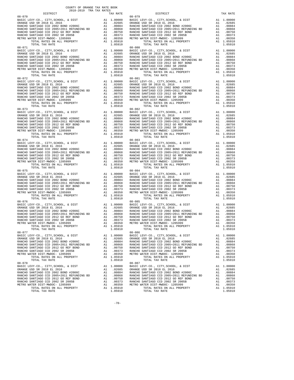| 2018-2019 TRA TAX RATES<br>DISTRICT | TAX RATE | DISTRICT                                                                    | TAX RATE |
|-------------------------------------|----------|-----------------------------------------------------------------------------|----------|
| $08 - 070$                          |          | $08 - 079$                                                                  |          |
|                                     |          |                                                                             |          |
|                                     |          |                                                                             |          |
|                                     |          |                                                                             |          |
| $08 - 071$                          |          | $08 - 080$                                                                  |          |
|                                     |          |                                                                             |          |
|                                     |          |                                                                             |          |
|                                     |          |                                                                             |          |
|                                     |          |                                                                             |          |
|                                     |          |                                                                             |          |
|                                     |          |                                                                             |          |
|                                     |          |                                                                             |          |
|                                     |          |                                                                             |          |
|                                     |          |                                                                             |          |
| $08 - 073$                          |          | $08 - 082$                                                                  |          |
|                                     |          |                                                                             |          |
|                                     |          |                                                                             |          |
|                                     |          |                                                                             |          |
|                                     |          |                                                                             |          |
|                                     |          |                                                                             |          |
|                                     |          |                                                                             |          |
|                                     |          |                                                                             |          |
|                                     |          |                                                                             |          |
|                                     |          |                                                                             |          |
|                                     |          |                                                                             |          |
|                                     |          |                                                                             |          |
|                                     |          |                                                                             |          |
|                                     |          |                                                                             |          |
|                                     |          |                                                                             |          |
|                                     |          |                                                                             |          |
|                                     |          |                                                                             |          |
|                                     |          |                                                                             |          |
| $08 - 076$                          |          | $08 - 085$                                                                  |          |
|                                     |          |                                                                             |          |
|                                     |          |                                                                             |          |
|                                     |          |                                                                             |          |
|                                     |          |                                                                             |          |
|                                     |          | 1.05910<br>TOTAL RATES ON ALL PROPERTY A1 1.05910<br>TOTAL TAX RATE 1.05910 |          |
| 08-077                              |          | $08 - 086$                                                                  |          |
|                                     |          |                                                                             |          |
|                                     |          |                                                                             |          |
|                                     |          |                                                                             |          |
|                                     |          |                                                                             |          |
|                                     |          |                                                                             |          |
|                                     |          |                                                                             |          |
|                                     |          |                                                                             |          |
|                                     |          |                                                                             |          |
|                                     |          |                                                                             |          |
|                                     |          |                                                                             |          |
|                                     |          |                                                                             |          |
|                                     |          | 1.05910                                                                     |          |

-70-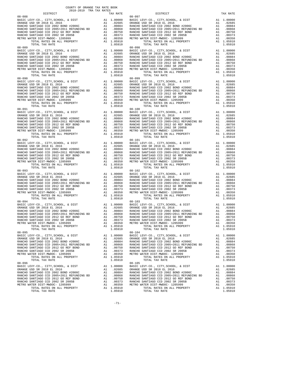| 2018-2019 TRA TAX RATES<br>DISTRICT | TAX RATE | DISTRICT                                                                            | TAX RATE |
|-------------------------------------|----------|-------------------------------------------------------------------------------------|----------|
| $08 - 088$                          |          | $08 - 097$                                                                          |          |
|                                     |          |                                                                                     |          |
|                                     |          |                                                                                     |          |
|                                     |          |                                                                                     |          |
|                                     |          |                                                                                     |          |
|                                     |          |                                                                                     |          |
|                                     |          |                                                                                     |          |
|                                     |          |                                                                                     |          |
| $08 - 089$                          |          | $08 - 098$                                                                          |          |
|                                     |          |                                                                                     |          |
|                                     |          |                                                                                     |          |
|                                     |          |                                                                                     |          |
|                                     |          |                                                                                     |          |
|                                     |          |                                                                                     |          |
|                                     |          |                                                                                     |          |
|                                     |          |                                                                                     |          |
|                                     |          |                                                                                     |          |
|                                     |          |                                                                                     |          |
|                                     |          |                                                                                     |          |
|                                     |          |                                                                                     |          |
|                                     |          |                                                                                     |          |
|                                     |          |                                                                                     |          |
|                                     |          |                                                                                     |          |
|                                     |          |                                                                                     |          |
| $08 - 091$                          |          | $08 - 100$                                                                          |          |
|                                     |          |                                                                                     |          |
|                                     |          |                                                                                     |          |
|                                     |          |                                                                                     |          |
|                                     |          |                                                                                     |          |
|                                     |          |                                                                                     |          |
|                                     |          |                                                                                     |          |
|                                     |          |                                                                                     |          |
|                                     |          |                                                                                     |          |
| $08 - 092$                          |          | $08 - 101$                                                                          |          |
|                                     |          |                                                                                     |          |
|                                     |          |                                                                                     |          |
|                                     |          |                                                                                     |          |
|                                     |          |                                                                                     |          |
|                                     |          |                                                                                     |          |
|                                     |          |                                                                                     |          |
|                                     |          |                                                                                     |          |
|                                     |          |                                                                                     |          |
|                                     |          |                                                                                     |          |
|                                     |          |                                                                                     |          |
|                                     |          |                                                                                     |          |
|                                     |          |                                                                                     |          |
|                                     |          |                                                                                     |          |
|                                     |          |                                                                                     |          |
|                                     |          |                                                                                     |          |
|                                     |          |                                                                                     |          |
| $08 - 094$                          |          | $08 - 103$                                                                          |          |
|                                     |          |                                                                                     |          |
|                                     |          |                                                                                     |          |
|                                     |          |                                                                                     |          |
|                                     |          |                                                                                     |          |
|                                     |          |                                                                                     |          |
|                                     |          |                                                                                     |          |
|                                     |          | TOTAL RATES ON ALL PROPERTY A1 1.05910<br>TOTAL TAX RATE 1.05910<br>1.05910 1.05910 |          |
| $08 - 095$                          |          | $08 - 104$                                                                          |          |
|                                     |          |                                                                                     |          |
|                                     |          |                                                                                     |          |
|                                     |          |                                                                                     |          |
|                                     |          |                                                                                     |          |
|                                     |          |                                                                                     |          |
|                                     |          |                                                                                     |          |
|                                     |          |                                                                                     |          |
|                                     |          |                                                                                     |          |
|                                     |          |                                                                                     |          |
|                                     |          |                                                                                     |          |
|                                     |          |                                                                                     |          |
|                                     |          |                                                                                     |          |
|                                     |          |                                                                                     |          |
|                                     |          |                                                                                     |          |
|                                     |          |                                                                                     |          |
|                                     |          |                                                                                     |          |

-71-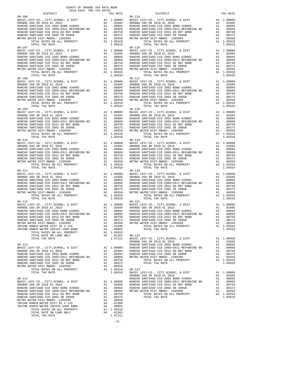| COUNTY OF ORANGE TAX RATE BOOK<br>2018-2019 TRA TAX RATES                                                                                                                                                                                                                                                                                                                                                                                          |                                      |                   |
|----------------------------------------------------------------------------------------------------------------------------------------------------------------------------------------------------------------------------------------------------------------------------------------------------------------------------------------------------------------------------------------------------------------------------------------------------|--------------------------------------|-------------------|
| DISTRICT<br>$08 - 106$                                                                                                                                                                                                                                                                                                                                                                                                                             | TAX RATE                             | $08 - 115$        |
|                                                                                                                                                                                                                                                                                                                                                                                                                                                    |                                      |                   |
|                                                                                                                                                                                                                                                                                                                                                                                                                                                    |                                      |                   |
|                                                                                                                                                                                                                                                                                                                                                                                                                                                    |                                      |                   |
|                                                                                                                                                                                                                                                                                                                                                                                                                                                    |                                      |                   |
|                                                                                                                                                                                                                                                                                                                                                                                                                                                    |                                      |                   |
|                                                                                                                                                                                                                                                                                                                                                                                                                                                    |                                      |                   |
|                                                                                                                                                                                                                                                                                                                                                                                                                                                    |                                      |                   |
|                                                                                                                                                                                                                                                                                                                                                                                                                                                    |                                      |                   |
| $08 - 107$                                                                                                                                                                                                                                                                                                                                                                                                                                         |                                      | $08 - 116$        |
|                                                                                                                                                                                                                                                                                                                                                                                                                                                    |                                      |                   |
|                                                                                                                                                                                                                                                                                                                                                                                                                                                    |                                      |                   |
|                                                                                                                                                                                                                                                                                                                                                                                                                                                    |                                      |                   |
|                                                                                                                                                                                                                                                                                                                                                                                                                                                    |                                      |                   |
|                                                                                                                                                                                                                                                                                                                                                                                                                                                    |                                      |                   |
|                                                                                                                                                                                                                                                                                                                                                                                                                                                    |                                      |                   |
|                                                                                                                                                                                                                                                                                                                                                                                                                                                    |                                      |                   |
|                                                                                                                                                                                                                                                                                                                                                                                                                                                    |                                      |                   |
|                                                                                                                                                                                                                                                                                                                                                                                                                                                    |                                      |                   |
|                                                                                                                                                                                                                                                                                                                                                                                                                                                    |                                      |                   |
|                                                                                                                                                                                                                                                                                                                                                                                                                                                    |                                      |                   |
|                                                                                                                                                                                                                                                                                                                                                                                                                                                    |                                      |                   |
|                                                                                                                                                                                                                                                                                                                                                                                                                                                    |                                      |                   |
|                                                                                                                                                                                                                                                                                                                                                                                                                                                    |                                      |                   |
|                                                                                                                                                                                                                                                                                                                                                                                                                                                    |                                      |                   |
|                                                                                                                                                                                                                                                                                                                                                                                                                                                    |                                      |                   |
|                                                                                                                                                                                                                                                                                                                                                                                                                                                    |                                      |                   |
|                                                                                                                                                                                                                                                                                                                                                                                                                                                    |                                      |                   |
|                                                                                                                                                                                                                                                                                                                                                                                                                                                    |                                      |                   |
|                                                                                                                                                                                                                                                                                                                                                                                                                                                    |                                      |                   |
|                                                                                                                                                                                                                                                                                                                                                                                                                                                    |                                      |                   |
|                                                                                                                                                                                                                                                                                                                                                                                                                                                    |                                      |                   |
|                                                                                                                                                                                                                                                                                                                                                                                                                                                    |                                      |                   |
|                                                                                                                                                                                                                                                                                                                                                                                                                                                    |                                      |                   |
|                                                                                                                                                                                                                                                                                                                                                                                                                                                    |                                      |                   |
|                                                                                                                                                                                                                                                                                                                                                                                                                                                    |                                      |                   |
|                                                                                                                                                                                                                                                                                                                                                                                                                                                    |                                      |                   |
|                                                                                                                                                                                                                                                                                                                                                                                                                                                    |                                      |                   |
|                                                                                                                                                                                                                                                                                                                                                                                                                                                    |                                      |                   |
|                                                                                                                                                                                                                                                                                                                                                                                                                                                    |                                      |                   |
|                                                                                                                                                                                                                                                                                                                                                                                                                                                    |                                      |                   |
|                                                                                                                                                                                                                                                                                                                                                                                                                                                    |                                      |                   |
|                                                                                                                                                                                                                                                                                                                                                                                                                                                    |                                      |                   |
| $08 - 111$                                                                                                                                                                                                                                                                                                                                                                                                                                         |                                      | $08 - 120$        |
|                                                                                                                                                                                                                                                                                                                                                                                                                                                    |                                      |                   |
|                                                                                                                                                                                                                                                                                                                                                                                                                                                    |                                      |                   |
|                                                                                                                                                                                                                                                                                                                                                                                                                                                    |                                      |                   |
|                                                                                                                                                                                                                                                                                                                                                                                                                                                    |                                      |                   |
|                                                                                                                                                                                                                                                                                                                                                                                                                                                    |                                      |                   |
|                                                                                                                                                                                                                                                                                                                                                                                                                                                    |                                      |                   |
| TOTAL TAX RATE                                                                                                                                                                                                                                                                                                                                                                                                                                     | 1.05910                              |                   |
| $08 - 112$                                                                                                                                                                                                                                                                                                                                                                                                                                         |                                      | $08 - 121$        |
|                                                                                                                                                                                                                                                                                                                                                                                                                                                    |                                      |                   |
|                                                                                                                                                                                                                                                                                                                                                                                                                                                    |                                      |                   |
|                                                                                                                                                                                                                                                                                                                                                                                                                                                    |                                      |                   |
|                                                                                                                                                                                                                                                                                                                                                                                                                                                    |                                      |                   |
|                                                                                                                                                                                                                                                                                                                                                                                                                                                    |                                      |                   |
| METRO WATER DIST-MWDOC- 1205999                                                                                                                                                                                                                                                                                                                                                                                                                    | A1 .00350 METRO W                    |                   |
| IRVINE RANCH WATER DIST ID # 125                                                                                                                                                                                                                                                                                                                                                                                                                   |                                      |                   |
| IRVINE RANCH WATER ID#252-1989 BOND                                                                                                                                                                                                                                                                                                                                                                                                                |                                      |                   |
| TOTAL RATES ON ALL PROPERTY                                                                                                                                                                                                                                                                                                                                                                                                                        | A4 .01300<br>A4 .00001<br>A1 1.05910 |                   |
| TOTAL RATE ON LAND ONLY                                                                                                                                                                                                                                                                                                                                                                                                                            | A4 .01301 08-122                     |                   |
| TOTAL TAX RATE                                                                                                                                                                                                                                                                                                                                                                                                                                     | 1.07211                              | BASIC L<br>ORANGE |
| $08 - 113$                                                                                                                                                                                                                                                                                                                                                                                                                                         |                                      | RANCHO            |
|                                                                                                                                                                                                                                                                                                                                                                                                                                                    |                                      |                   |
|                                                                                                                                                                                                                                                                                                                                                                                                                                                    |                                      |                   |
|                                                                                                                                                                                                                                                                                                                                                                                                                                                    |                                      |                   |
|                                                                                                                                                                                                                                                                                                                                                                                                                                                    |                                      |                   |
|                                                                                                                                                                                                                                                                                                                                                                                                                                                    |                                      |                   |
|                                                                                                                                                                                                                                                                                                                                                                                                                                                    |                                      |                   |
|                                                                                                                                                                                                                                                                                                                                                                                                                                                    |                                      |                   |
|                                                                                                                                                                                                                                                                                                                                                                                                                                                    |                                      |                   |
| $\begin{tabular}{l c c c} & $\mathsf{oc} \mathsf{R} \mathsf{ANCE}$ & $\mathsf{OR} \mathsf{ANCE}$ & $\mathsf{OR} \mathsf{ANCE}$ \\ & $\mathsf{OR} \mathsf{ANCE}$ & $\mathsf{2018}$ & $\mathsf{EL} \mathsf{2016}$ & $\mathsf{A1}$ & $1.00000$ & $\mathsf{R} \mathsf{ANCE}\mathsf{HO} \\ \mathsf{R} \mathsf{ANCE}\mathsf{IO} & $\mathsf{SL} \mathsf{IN} \mathsf{I} \mathsf{A}\mathsf{GO} & $\mathsf{2002}$ & $\mathsf{B}\mathsf{OND}$ & $\mathsf{H20$ |                                      | ORANGE            |
|                                                                                                                                                                                                                                                                                                                                                                                                                                                    |                                      |                   |
|                                                                                                                                                                                                                                                                                                                                                                                                                                                    |                                      |                   |
|                                                                                                                                                                                                                                                                                                                                                                                                                                                    |                                      |                   |
|                                                                                                                                                                                                                                                                                                                                                                                                                                                    |                                      |                   |
|                                                                                                                                                                                                                                                                                                                                                                                                                                                    |                                      |                   |
|                                                                                                                                                                                                                                                                                                                                                                                                                                                    |                                      |                   |
|                                                                                                                                                                                                                                                                                                                                                                                                                                                    |                                      |                   |
|                                                                                                                                                                                                                                                                                                                                                                                                                                                    |                                      |                   |
|                                                                                                                                                                                                                                                                                                                                                                                                                                                    |                                      |                   |
|                                                                                                                                                                                                                                                                                                                                                                                                                                                    |                                      |                   |
|                                                                                                                                                                                                                                                                                                                                                                                                                                                    |                                      |                   |

| CHINA ANI RAIDS-GIUS-GIUS<br>DISTRICT                                                                                                                                                                                                                                                                                                                                  | TAX RATE | DISTRICT   | TAX RATE |
|------------------------------------------------------------------------------------------------------------------------------------------------------------------------------------------------------------------------------------------------------------------------------------------------------------------------------------------------------------------------|----------|------------|----------|
| $08 - 106$                                                                                                                                                                                                                                                                                                                                                             |          | $08 - 115$ |          |
|                                                                                                                                                                                                                                                                                                                                                                        |          |            |          |
|                                                                                                                                                                                                                                                                                                                                                                        |          |            |          |
|                                                                                                                                                                                                                                                                                                                                                                        |          |            |          |
|                                                                                                                                                                                                                                                                                                                                                                        |          |            |          |
|                                                                                                                                                                                                                                                                                                                                                                        |          |            |          |
|                                                                                                                                                                                                                                                                                                                                                                        |          |            |          |
|                                                                                                                                                                                                                                                                                                                                                                        |          |            |          |
|                                                                                                                                                                                                                                                                                                                                                                        |          |            |          |
|                                                                                                                                                                                                                                                                                                                                                                        |          |            |          |
|                                                                                                                                                                                                                                                                                                                                                                        |          |            |          |
|                                                                                                                                                                                                                                                                                                                                                                        |          |            |          |
|                                                                                                                                                                                                                                                                                                                                                                        |          |            |          |
|                                                                                                                                                                                                                                                                                                                                                                        |          |            |          |
|                                                                                                                                                                                                                                                                                                                                                                        |          |            |          |
|                                                                                                                                                                                                                                                                                                                                                                        |          |            |          |
|                                                                                                                                                                                                                                                                                                                                                                        |          |            |          |
|                                                                                                                                                                                                                                                                                                                                                                        |          |            |          |
|                                                                                                                                                                                                                                                                                                                                                                        |          |            |          |
|                                                                                                                                                                                                                                                                                                                                                                        |          |            |          |
|                                                                                                                                                                                                                                                                                                                                                                        |          |            |          |
|                                                                                                                                                                                                                                                                                                                                                                        |          |            |          |
|                                                                                                                                                                                                                                                                                                                                                                        |          |            |          |
|                                                                                                                                                                                                                                                                                                                                                                        |          |            |          |
|                                                                                                                                                                                                                                                                                                                                                                        |          |            |          |
|                                                                                                                                                                                                                                                                                                                                                                        |          |            |          |
|                                                                                                                                                                                                                                                                                                                                                                        |          |            |          |
|                                                                                                                                                                                                                                                                                                                                                                        |          |            |          |
| $\begin{tabular}{cccc} {\bf 08-107}\\ 08-107\\ 08-107\\ 08-107\\ 08-107\\ 08-107\\ 08-108\\ 08-107\\ 08-108\\ 08-107\\ 08-108\\ 08-108\\ 08-108\\ 08-108\\ 08-108\\ 08-108\\ 08-108\\ 08-108\\ 08-108\\ 08-108\\ 08-108\\ 08-108\\ 08-108\\ 08-108\\ 08-108\\ 08-108\\ 0$                                                                                              |          |            |          |
| $\begin{array}{cccccccc} 08-109 & 0.00000 & 0.000000 \\ \text{BARUCE } UZY - CO, CTTY, SCHOOL, & 6. DIST & 11 & 0.00000 \\ \text{RARUCE } UZY - CO, CTTY, SCHOOL, & 6. DIST & 11 & 0.00000 \\ \text{RARUCE } UZY - CO, CTTY, SCHOOL, & 6. DIST & 11 & 0.00000 \\ \text{RARUCE } UZY - CO, CZYY, SCHOOL, & 6. DIST & 11 & 0.00000 \\ \text{RARUCE } UZY - CO, CZYY, SC$ |          |            |          |
|                                                                                                                                                                                                                                                                                                                                                                        |          |            |          |
|                                                                                                                                                                                                                                                                                                                                                                        |          |            |          |
|                                                                                                                                                                                                                                                                                                                                                                        |          |            |          |
|                                                                                                                                                                                                                                                                                                                                                                        |          |            |          |
|                                                                                                                                                                                                                                                                                                                                                                        |          |            |          |
|                                                                                                                                                                                                                                                                                                                                                                        |          |            |          |
|                                                                                                                                                                                                                                                                                                                                                                        |          |            |          |
|                                                                                                                                                                                                                                                                                                                                                                        |          |            |          |
|                                                                                                                                                                                                                                                                                                                                                                        |          |            |          |
|                                                                                                                                                                                                                                                                                                                                                                        |          |            |          |
|                                                                                                                                                                                                                                                                                                                                                                        |          |            |          |
|                                                                                                                                                                                                                                                                                                                                                                        |          |            |          |
|                                                                                                                                                                                                                                                                                                                                                                        |          |            |          |
|                                                                                                                                                                                                                                                                                                                                                                        |          |            |          |
|                                                                                                                                                                                                                                                                                                                                                                        |          |            |          |
|                                                                                                                                                                                                                                                                                                                                                                        |          |            |          |
|                                                                                                                                                                                                                                                                                                                                                                        |          |            |          |
|                                                                                                                                                                                                                                                                                                                                                                        |          |            |          |
| $08 - 111$                                                                                                                                                                                                                                                                                                                                                             |          | $08 - 120$ |          |
|                                                                                                                                                                                                                                                                                                                                                                        |          |            |          |
|                                                                                                                                                                                                                                                                                                                                                                        |          |            |          |
|                                                                                                                                                                                                                                                                                                                                                                        |          |            |          |
|                                                                                                                                                                                                                                                                                                                                                                        |          |            |          |
|                                                                                                                                                                                                                                                                                                                                                                        |          |            |          |
|                                                                                                                                                                                                                                                                                                                                                                        |          |            |          |
|                                                                                                                                                                                                                                                                                                                                                                        |          |            |          |
|                                                                                                                                                                                                                                                                                                                                                                        |          |            |          |
|                                                                                                                                                                                                                                                                                                                                                                        |          |            |          |
|                                                                                                                                                                                                                                                                                                                                                                        |          |            |          |
|                                                                                                                                                                                                                                                                                                                                                                        |          |            |          |
|                                                                                                                                                                                                                                                                                                                                                                        |          |            |          |
|                                                                                                                                                                                                                                                                                                                                                                        |          |            |          |
|                                                                                                                                                                                                                                                                                                                                                                        |          |            |          |
|                                                                                                                                                                                                                                                                                                                                                                        |          |            |          |
|                                                                                                                                                                                                                                                                                                                                                                        |          |            |          |
|                                                                                                                                                                                                                                                                                                                                                                        |          |            |          |
|                                                                                                                                                                                                                                                                                                                                                                        |          |            |          |
|                                                                                                                                                                                                                                                                                                                                                                        |          |            |          |
|                                                                                                                                                                                                                                                                                                                                                                        |          |            |          |
|                                                                                                                                                                                                                                                                                                                                                                        |          |            |          |
|                                                                                                                                                                                                                                                                                                                                                                        |          |            |          |
|                                                                                                                                                                                                                                                                                                                                                                        |          |            |          |
|                                                                                                                                                                                                                                                                                                                                                                        |          |            |          |
|                                                                                                                                                                                                                                                                                                                                                                        |          |            |          |
|                                                                                                                                                                                                                                                                                                                                                                        |          |            |          |
|                                                                                                                                                                                                                                                                                                                                                                        |          |            |          |
|                                                                                                                                                                                                                                                                                                                                                                        |          |            |          |
|                                                                                                                                                                                                                                                                                                                                                                        |          |            |          |
|                                                                                                                                                                                                                                                                                                                                                                        |          |            |          |
|                                                                                                                                                                                                                                                                                                                                                                        |          |            |          |
|                                                                                                                                                                                                                                                                                                                                                                        |          |            |          |
|                                                                                                                                                                                                                                                                                                                                                                        |          |            |          |
|                                                                                                                                                                                                                                                                                                                                                                        |          |            |          |
|                                                                                                                                                                                                                                                                                                                                                                        |          |            |          |
|                                                                                                                                                                                                                                                                                                                                                                        |          |            |          |
|                                                                                                                                                                                                                                                                                                                                                                        |          |            |          |
|                                                                                                                                                                                                                                                                                                                                                                        |          |            |          |
|                                                                                                                                                                                                                                                                                                                                                                        |          |            |          |
|                                                                                                                                                                                                                                                                                                                                                                        |          |            |          |
|                                                                                                                                                                                                                                                                                                                                                                        |          |            |          |
|                                                                                                                                                                                                                                                                                                                                                                        |          |            |          |

-72-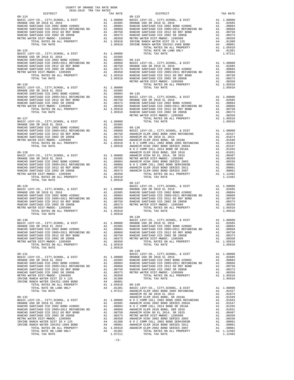| DISTRICT | TAX RATE | DISTRICT                                                                                                                                                                                                                                                                                                                                                                                                                                                                                  | TAX RATE |
|----------|----------|-------------------------------------------------------------------------------------------------------------------------------------------------------------------------------------------------------------------------------------------------------------------------------------------------------------------------------------------------------------------------------------------------------------------------------------------------------------------------------------------|----------|
|          |          |                                                                                                                                                                                                                                                                                                                                                                                                                                                                                           |          |
|          |          |                                                                                                                                                                                                                                                                                                                                                                                                                                                                                           |          |
|          |          |                                                                                                                                                                                                                                                                                                                                                                                                                                                                                           |          |
|          |          |                                                                                                                                                                                                                                                                                                                                                                                                                                                                                           |          |
|          |          |                                                                                                                                                                                                                                                                                                                                                                                                                                                                                           |          |
|          |          |                                                                                                                                                                                                                                                                                                                                                                                                                                                                                           |          |
|          |          |                                                                                                                                                                                                                                                                                                                                                                                                                                                                                           |          |
|          |          |                                                                                                                                                                                                                                                                                                                                                                                                                                                                                           |          |
|          |          |                                                                                                                                                                                                                                                                                                                                                                                                                                                                                           |          |
|          |          |                                                                                                                                                                                                                                                                                                                                                                                                                                                                                           |          |
|          |          |                                                                                                                                                                                                                                                                                                                                                                                                                                                                                           |          |
|          |          |                                                                                                                                                                                                                                                                                                                                                                                                                                                                                           |          |
|          |          |                                                                                                                                                                                                                                                                                                                                                                                                                                                                                           |          |
|          |          |                                                                                                                                                                                                                                                                                                                                                                                                                                                                                           |          |
|          |          |                                                                                                                                                                                                                                                                                                                                                                                                                                                                                           |          |
|          |          |                                                                                                                                                                                                                                                                                                                                                                                                                                                                                           |          |
|          |          |                                                                                                                                                                                                                                                                                                                                                                                                                                                                                           |          |
|          |          |                                                                                                                                                                                                                                                                                                                                                                                                                                                                                           |          |
|          |          |                                                                                                                                                                                                                                                                                                                                                                                                                                                                                           |          |
|          |          |                                                                                                                                                                                                                                                                                                                                                                                                                                                                                           |          |
|          |          |                                                                                                                                                                                                                                                                                                                                                                                                                                                                                           |          |
|          |          |                                                                                                                                                                                                                                                                                                                                                                                                                                                                                           |          |
|          |          |                                                                                                                                                                                                                                                                                                                                                                                                                                                                                           |          |
|          |          |                                                                                                                                                                                                                                                                                                                                                                                                                                                                                           |          |
|          |          |                                                                                                                                                                                                                                                                                                                                                                                                                                                                                           |          |
|          |          |                                                                                                                                                                                                                                                                                                                                                                                                                                                                                           |          |
|          |          |                                                                                                                                                                                                                                                                                                                                                                                                                                                                                           |          |
|          |          |                                                                                                                                                                                                                                                                                                                                                                                                                                                                                           |          |
|          |          |                                                                                                                                                                                                                                                                                                                                                                                                                                                                                           |          |
|          |          |                                                                                                                                                                                                                                                                                                                                                                                                                                                                                           |          |
|          |          |                                                                                                                                                                                                                                                                                                                                                                                                                                                                                           |          |
|          |          |                                                                                                                                                                                                                                                                                                                                                                                                                                                                                           |          |
|          |          |                                                                                                                                                                                                                                                                                                                                                                                                                                                                                           |          |
|          |          |                                                                                                                                                                                                                                                                                                                                                                                                                                                                                           |          |
|          |          |                                                                                                                                                                                                                                                                                                                                                                                                                                                                                           |          |
|          |          | $\begin{tabular}{cccccccc} \multicolumn{4}{c}{\begin{tabular}{0.8cm} \multicolumn{4}{c}{\begin{tabular}{0.8cm} \multicolumn{4}{c}{\begin{tabular}{0.8cm} \multicolumn{4}{c}{\begin{tabular}{0.8cm} \multicolumn{4}{c}{\begin{tabular}{0.8cm} \multicolumn{4}{c}{\begin{tabular}{0.8cm} \multicolumn{4}{c}{\begin{tabular}{0.8cm} \multicolumn{4}{c}{\begin{tabular}{0.8cm} \multicolumn{4}{c}{\begin{tabular}{0.8cm} \multicolumn{4}{c}{\begin{tabular}{0.8cm} \multicolumn{4}{c}{\begin$ |          |
|          |          |                                                                                                                                                                                                                                                                                                                                                                                                                                                                                           |          |
|          |          |                                                                                                                                                                                                                                                                                                                                                                                                                                                                                           |          |
|          |          |                                                                                                                                                                                                                                                                                                                                                                                                                                                                                           |          |
|          |          |                                                                                                                                                                                                                                                                                                                                                                                                                                                                                           |          |
|          |          |                                                                                                                                                                                                                                                                                                                                                                                                                                                                                           |          |
|          |          |                                                                                                                                                                                                                                                                                                                                                                                                                                                                                           |          |
|          |          | $\begin{tabular}{cccc} \textbf{10.931}\footnote{R11.08916}\footnote{10.9316}\footnote{10.9316}\footnote{10.9316}\footnote{10.9316}\footnote{10.9316}\footnote{10.9316}\footnote{10.9316}\footnote{10.9316}\footnote{10.9316}\footnote{10.9316}\footnote{10.9316}\footnote{10.9316}\footnote{10.9316}\footnote{10.9316}\footnote{10.9316}\footnote{10.9316}\footnote{10.9316}\foot$                                                                                                        |          |
|          |          |                                                                                                                                                                                                                                                                                                                                                                                                                                                                                           |          |
|          |          |                                                                                                                                                                                                                                                                                                                                                                                                                                                                                           |          |
|          |          |                                                                                                                                                                                                                                                                                                                                                                                                                                                                                           |          |
|          |          |                                                                                                                                                                                                                                                                                                                                                                                                                                                                                           |          |
|          |          |                                                                                                                                                                                                                                                                                                                                                                                                                                                                                           |          |
|          |          |                                                                                                                                                                                                                                                                                                                                                                                                                                                                                           |          |
|          |          |                                                                                                                                                                                                                                                                                                                                                                                                                                                                                           |          |

COUNTY OF ORANGE TAX RATE BOOK 2018-2019 TRA TAX RATES

-73-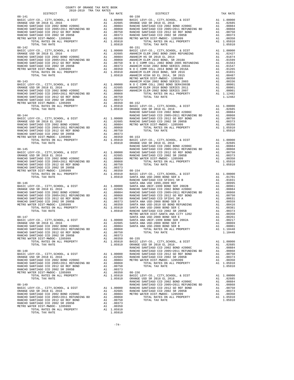| COUNTY OF ORANGE TAX RATE BOOK<br>2018-2019 TRA TAX RATES |          |            |          |
|-----------------------------------------------------------|----------|------------|----------|
| DISTRICT                                                  | TAX RATE | DISTRICT   | TAX RATE |
| $08 - 141$                                                |          | $08 - 150$ |          |
|                                                           |          |            |          |
|                                                           |          |            |          |
|                                                           |          |            |          |
|                                                           |          |            |          |
|                                                           |          |            |          |
|                                                           |          |            |          |
|                                                           |          |            |          |
|                                                           |          |            |          |
|                                                           |          |            |          |
|                                                           |          |            |          |
|                                                           |          |            |          |
|                                                           |          |            |          |
|                                                           |          |            |          |
|                                                           |          |            |          |
|                                                           |          |            |          |
|                                                           |          |            |          |
|                                                           |          |            |          |
|                                                           |          |            |          |
|                                                           |          |            |          |
|                                                           |          |            |          |
|                                                           |          |            |          |
|                                                           |          |            |          |
|                                                           |          |            |          |
|                                                           |          |            |          |
|                                                           |          |            |          |
|                                                           |          |            |          |
|                                                           |          |            |          |
|                                                           |          |            |          |
|                                                           |          |            |          |
|                                                           |          |            |          |
|                                                           |          |            |          |
|                                                           |          |            |          |
|                                                           |          |            |          |
|                                                           |          |            |          |
|                                                           |          |            |          |
|                                                           |          |            |          |
|                                                           |          |            |          |
|                                                           |          |            |          |
|                                                           |          |            |          |
|                                                           |          |            |          |
|                                                           |          |            |          |
|                                                           |          |            |          |
|                                                           |          |            |          |
|                                                           |          |            |          |
|                                                           |          |            |          |
|                                                           |          |            |          |
|                                                           |          |            |          |
|                                                           |          |            |          |
|                                                           |          |            |          |
|                                                           |          |            |          |
|                                                           |          |            |          |
|                                                           |          |            |          |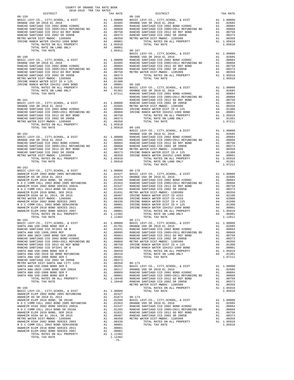| $\begin{tabular}{l c c c c c} \hline\hline\text{1.05910} & \text{BA5IC LEVY-CO.}, & \text{CITY}, \text{SCHOOL}, & \text{A}\text{ DST} & \text{A1 1.00000}\\ \hline \text{BASE LEVY-CO.}, & \text{CITY}, \text{SCHOOL}, & \text{A}\text{ DST} & \text{A1 1.00000}\\ \text{BASE LEVY-CO.}, & \text{CITY}, \text{SCHOOL}, & \text{A}\text{ DST} & \text{A1 1.00000}\\ \text{ORANGE USD SR 2018 EL 2016} & \text{A$ |        |  |  |
|-----------------------------------------------------------------------------------------------------------------------------------------------------------------------------------------------------------------------------------------------------------------------------------------------------------------------------------------------------------------------------------------------------------------|--------|--|--|
|                                                                                                                                                                                                                                                                                                                                                                                                                 |        |  |  |
|                                                                                                                                                                                                                                                                                                                                                                                                                 |        |  |  |
| $08 - 163$                                                                                                                                                                                                                                                                                                                                                                                                      |        |  |  |
|                                                                                                                                                                                                                                                                                                                                                                                                                 |        |  |  |
|                                                                                                                                                                                                                                                                                                                                                                                                                 |        |  |  |
|                                                                                                                                                                                                                                                                                                                                                                                                                 |        |  |  |
|                                                                                                                                                                                                                                                                                                                                                                                                                 |        |  |  |
|                                                                                                                                                                                                                                                                                                                                                                                                                 |        |  |  |
|                                                                                                                                                                                                                                                                                                                                                                                                                 |        |  |  |
|                                                                                                                                                                                                                                                                                                                                                                                                                 |        |  |  |
|                                                                                                                                                                                                                                                                                                                                                                                                                 |        |  |  |
|                                                                                                                                                                                                                                                                                                                                                                                                                 |        |  |  |
|                                                                                                                                                                                                                                                                                                                                                                                                                 |        |  |  |
|                                                                                                                                                                                                                                                                                                                                                                                                                 |        |  |  |
|                                                                                                                                                                                                                                                                                                                                                                                                                 |        |  |  |
|                                                                                                                                                                                                                                                                                                                                                                                                                 |        |  |  |
|                                                                                                                                                                                                                                                                                                                                                                                                                 |        |  |  |
|                                                                                                                                                                                                                                                                                                                                                                                                                 |        |  |  |
|                                                                                                                                                                                                                                                                                                                                                                                                                 |        |  |  |
|                                                                                                                                                                                                                                                                                                                                                                                                                 |        |  |  |
|                                                                                                                                                                                                                                                                                                                                                                                                                 |        |  |  |
|                                                                                                                                                                                                                                                                                                                                                                                                                 |        |  |  |
|                                                                                                                                                                                                                                                                                                                                                                                                                 |        |  |  |
|                                                                                                                                                                                                                                                                                                                                                                                                                 |        |  |  |
|                                                                                                                                                                                                                                                                                                                                                                                                                 |        |  |  |
|                                                                                                                                                                                                                                                                                                                                                                                                                 |        |  |  |
|                                                                                                                                                                                                                                                                                                                                                                                                                 |        |  |  |
|                                                                                                                                                                                                                                                                                                                                                                                                                 |        |  |  |
|                                                                                                                                                                                                                                                                                                                                                                                                                 |        |  |  |
|                                                                                                                                                                                                                                                                                                                                                                                                                 |        |  |  |
|                                                                                                                                                                                                                                                                                                                                                                                                                 |        |  |  |
|                                                                                                                                                                                                                                                                                                                                                                                                                 |        |  |  |
|                                                                                                                                                                                                                                                                                                                                                                                                                 |        |  |  |
|                                                                                                                                                                                                                                                                                                                                                                                                                 |        |  |  |
|                                                                                                                                                                                                                                                                                                                                                                                                                 |        |  |  |
|                                                                                                                                                                                                                                                                                                                                                                                                                 |        |  |  |
|                                                                                                                                                                                                                                                                                                                                                                                                                 |        |  |  |
|                                                                                                                                                                                                                                                                                                                                                                                                                 |        |  |  |
|                                                                                                                                                                                                                                                                                                                                                                                                                 |        |  |  |
|                                                                                                                                                                                                                                                                                                                                                                                                                 |        |  |  |
|                                                                                                                                                                                                                                                                                                                                                                                                                 |        |  |  |
|                                                                                                                                                                                                                                                                                                                                                                                                                 |        |  |  |
|                                                                                                                                                                                                                                                                                                                                                                                                                 |        |  |  |
|                                                                                                                                                                                                                                                                                                                                                                                                                 |        |  |  |
|                                                                                                                                                                                                                                                                                                                                                                                                                 |        |  |  |
|                                                                                                                                                                                                                                                                                                                                                                                                                 |        |  |  |
|                                                                                                                                                                                                                                                                                                                                                                                                                 |        |  |  |
|                                                                                                                                                                                                                                                                                                                                                                                                                 |        |  |  |
|                                                                                                                                                                                                                                                                                                                                                                                                                 |        |  |  |
|                                                                                                                                                                                                                                                                                                                                                                                                                 |        |  |  |
|                                                                                                                                                                                                                                                                                                                                                                                                                 |        |  |  |
|                                                                                                                                                                                                                                                                                                                                                                                                                 |        |  |  |
|                                                                                                                                                                                                                                                                                                                                                                                                                 |        |  |  |
|                                                                                                                                                                                                                                                                                                                                                                                                                 | $-75-$ |  |  |
|                                                                                                                                                                                                                                                                                                                                                                                                                 |        |  |  |

COUNTY OF ORANGE TAX RATE BOOK 2018-2019 TRA TAX RATES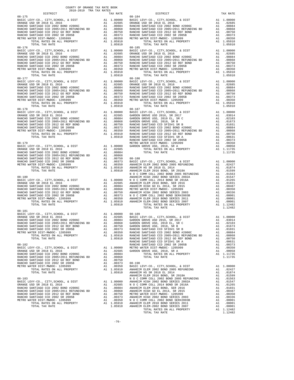| 2018-2019 TRA TAX RATES<br>DISTRICT | DISTRICT | TAX RATE |
|-------------------------------------|----------|----------|
|                                     |          |          |
|                                     |          |          |
|                                     |          |          |
|                                     |          |          |
|                                     |          |          |
|                                     |          |          |
|                                     |          |          |
|                                     |          |          |
|                                     |          |          |
|                                     |          |          |
|                                     |          |          |
|                                     |          |          |
|                                     |          |          |
|                                     |          |          |
|                                     |          |          |
|                                     |          |          |
|                                     |          |          |
|                                     |          |          |
|                                     |          |          |
|                                     |          |          |
|                                     |          |          |
|                                     |          |          |
|                                     |          |          |
|                                     |          |          |
|                                     |          |          |
|                                     |          |          |
|                                     |          |          |
|                                     |          |          |
|                                     |          |          |
|                                     |          |          |
| $08 - 181$                          |          |          |
|                                     |          |          |
|                                     |          |          |
|                                     |          |          |
|                                     |          |          |
|                                     |          |          |
|                                     |          |          |
|                                     |          |          |
|                                     |          |          |
|                                     |          |          |
|                                     |          |          |
|                                     |          |          |
|                                     |          |          |
|                                     |          |          |
|                                     |          |          |
|                                     |          |          |
|                                     |          |          |
|                                     |          |          |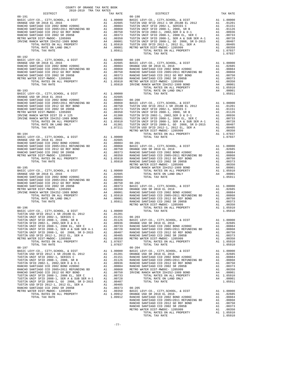| COUNTY OF ORANGE TAX RATE BOOK<br>2018-2019 TRA TAX RATES | TAX RATE | DISTRICT   | TAX RATE |
|-----------------------------------------------------------|----------|------------|----------|
| $08 - 191$                                                |          | $08 - 198$ |          |
|                                                           |          |            |          |
|                                                           |          |            |          |
|                                                           |          |            |          |
|                                                           |          |            |          |
|                                                           |          |            |          |
|                                                           |          |            |          |
|                                                           |          |            |          |
|                                                           |          |            |          |
|                                                           |          |            |          |
|                                                           |          |            |          |
|                                                           |          |            |          |
|                                                           |          |            |          |
|                                                           |          |            |          |
|                                                           |          |            |          |
|                                                           |          |            |          |
|                                                           |          |            |          |
|                                                           |          |            |          |
|                                                           |          |            |          |
|                                                           |          |            |          |
|                                                           |          |            |          |
|                                                           |          |            |          |
|                                                           |          |            |          |
|                                                           |          |            |          |
|                                                           |          |            |          |
|                                                           |          |            |          |
|                                                           |          |            |          |
|                                                           |          |            |          |
|                                                           |          |            |          |
|                                                           |          |            |          |
|                                                           |          |            |          |
|                                                           |          |            |          |
|                                                           |          |            |          |
|                                                           |          |            |          |
|                                                           |          |            |          |
|                                                           |          |            |          |
|                                                           |          |            |          |
|                                                           |          |            |          |
|                                                           |          |            |          |
|                                                           |          |            |          |
|                                                           |          |            |          |
|                                                           |          |            |          |
|                                                           |          |            |          |
|                                                           |          |            |          |
|                                                           |          |            |          |
|                                                           |          |            |          |
|                                                           |          |            |          |
|                                                           |          |            |          |
|                                                           |          |            |          |
|                                                           |          |            |          |
|                                                           |          |            |          |
|                                                           |          |            |          |
|                                                           |          |            |          |
|                                                           |          |            |          |
|                                                           |          |            |          |
|                                                           |          |            |          |
|                                                           |          |            |          |
|                                                           |          |            |          |
|                                                           |          |            |          |
|                                                           |          |            |          |
|                                                           |          |            |          |
|                                                           |          |            |          |
|                                                           |          |            |          |
|                                                           |          |            |          |
|                                                           |          |            |          |
|                                                           |          |            |          |
|                                                           |          |            |          |
|                                                           |          |            |          |
|                                                           |          |            |          |
|                                                           |          |            |          |
|                                                           |          |            |          |
|                                                           |          |            |          |
|                                                           |          |            |          |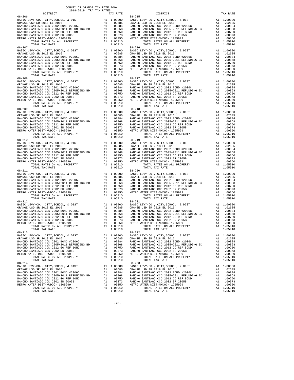| 2018-2019 TRA TAX RATES<br>DISTRICT | TAX RATE | DISTRICT                                                                                                                                                                                                                                                                                   | TAX RATE |
|-------------------------------------|----------|--------------------------------------------------------------------------------------------------------------------------------------------------------------------------------------------------------------------------------------------------------------------------------------------|----------|
| $08 - 206$                          |          | $08 - 215$                                                                                                                                                                                                                                                                                 |          |
|                                     |          |                                                                                                                                                                                                                                                                                            |          |
|                                     |          |                                                                                                                                                                                                                                                                                            |          |
|                                     |          |                                                                                                                                                                                                                                                                                            |          |
|                                     |          |                                                                                                                                                                                                                                                                                            |          |
|                                     |          |                                                                                                                                                                                                                                                                                            |          |
|                                     |          |                                                                                                                                                                                                                                                                                            |          |
|                                     |          |                                                                                                                                                                                                                                                                                            |          |
|                                     |          |                                                                                                                                                                                                                                                                                            |          |
| $08 - 207$                          |          | $08 - 216$                                                                                                                                                                                                                                                                                 |          |
|                                     |          |                                                                                                                                                                                                                                                                                            |          |
|                                     |          |                                                                                                                                                                                                                                                                                            |          |
|                                     |          |                                                                                                                                                                                                                                                                                            |          |
|                                     |          |                                                                                                                                                                                                                                                                                            |          |
|                                     |          |                                                                                                                                                                                                                                                                                            |          |
|                                     |          |                                                                                                                                                                                                                                                                                            |          |
|                                     |          |                                                                                                                                                                                                                                                                                            |          |
|                                     |          |                                                                                                                                                                                                                                                                                            |          |
|                                     |          |                                                                                                                                                                                                                                                                                            |          |
|                                     |          |                                                                                                                                                                                                                                                                                            |          |
|                                     |          |                                                                                                                                                                                                                                                                                            |          |
|                                     |          |                                                                                                                                                                                                                                                                                            |          |
|                                     |          |                                                                                                                                                                                                                                                                                            |          |
|                                     |          |                                                                                                                                                                                                                                                                                            |          |
|                                     |          |                                                                                                                                                                                                                                                                                            |          |
|                                     |          |                                                                                                                                                                                                                                                                                            |          |
| $08 - 209$                          |          | $\begin{array}{cccccccc} 08-207 & 0.00000 & 0.00000 & 0.000000 \\ 08-209 & 0.0000000 & 0.0000000 \\ 08-209 & 0.000000000 \\ 08-209 & 0.000000000 \\ 08-209 & 0.00000000 \\ 08-209 & 0.00000000 \\ 08-209 & 0.0000000 \\ 08-209 & 0.0000000 \\ 08-209 & 0.000000 \\ 08-209 &$<br>$08 - 218$ |          |
|                                     |          |                                                                                                                                                                                                                                                                                            |          |
|                                     |          |                                                                                                                                                                                                                                                                                            |          |
|                                     |          |                                                                                                                                                                                                                                                                                            |          |
|                                     |          |                                                                                                                                                                                                                                                                                            |          |
|                                     |          |                                                                                                                                                                                                                                                                                            |          |
|                                     |          |                                                                                                                                                                                                                                                                                            |          |
|                                     |          |                                                                                                                                                                                                                                                                                            |          |
|                                     |          |                                                                                                                                                                                                                                                                                            |          |
|                                     |          |                                                                                                                                                                                                                                                                                            |          |
| $08 - 210$                          |          | $08 - 219$                                                                                                                                                                                                                                                                                 |          |
|                                     |          |                                                                                                                                                                                                                                                                                            |          |
|                                     |          |                                                                                                                                                                                                                                                                                            |          |
|                                     |          |                                                                                                                                                                                                                                                                                            |          |
|                                     |          |                                                                                                                                                                                                                                                                                            |          |
|                                     |          |                                                                                                                                                                                                                                                                                            |          |
|                                     |          |                                                                                                                                                                                                                                                                                            |          |
|                                     |          |                                                                                                                                                                                                                                                                                            |          |
|                                     |          |                                                                                                                                                                                                                                                                                            |          |
|                                     |          |                                                                                                                                                                                                                                                                                            |          |
|                                     |          |                                                                                                                                                                                                                                                                                            |          |
|                                     |          |                                                                                                                                                                                                                                                                                            |          |
|                                     |          |                                                                                                                                                                                                                                                                                            |          |
|                                     |          |                                                                                                                                                                                                                                                                                            |          |
|                                     |          |                                                                                                                                                                                                                                                                                            |          |
|                                     |          |                                                                                                                                                                                                                                                                                            |          |
|                                     |          |                                                                                                                                                                                                                                                                                            |          |
|                                     |          |                                                                                                                                                                                                                                                                                            |          |
| $08 - 212$                          |          | $08 - 221$                                                                                                                                                                                                                                                                                 |          |
|                                     |          |                                                                                                                                                                                                                                                                                            |          |
|                                     |          |                                                                                                                                                                                                                                                                                            |          |
|                                     |          |                                                                                                                                                                                                                                                                                            |          |
|                                     |          |                                                                                                                                                                                                                                                                                            |          |
|                                     |          |                                                                                                                                                                                                                                                                                            |          |
|                                     |          |                                                                                                                                                                                                                                                                                            |          |
|                                     |          |                                                                                                                                                                                                                                                                                            |          |
|                                     |          | TOTAL RATES ON ALL PROPERTY A1 1.05910<br>TOTAL TAX RATE 1.05910<br>1.05910 1.05910                                                                                                                                                                                                        |          |
| $08 - 213$                          |          | $08 - 222$                                                                                                                                                                                                                                                                                 |          |
|                                     |          |                                                                                                                                                                                                                                                                                            |          |
|                                     |          |                                                                                                                                                                                                                                                                                            |          |
|                                     |          |                                                                                                                                                                                                                                                                                            |          |
|                                     |          |                                                                                                                                                                                                                                                                                            |          |
|                                     |          |                                                                                                                                                                                                                                                                                            |          |
|                                     |          |                                                                                                                                                                                                                                                                                            |          |
|                                     |          |                                                                                                                                                                                                                                                                                            |          |
|                                     |          |                                                                                                                                                                                                                                                                                            |          |
|                                     |          |                                                                                                                                                                                                                                                                                            |          |
|                                     |          |                                                                                                                                                                                                                                                                                            |          |
|                                     |          |                                                                                                                                                                                                                                                                                            |          |
|                                     |          |                                                                                                                                                                                                                                                                                            |          |
|                                     |          |                                                                                                                                                                                                                                                                                            |          |
|                                     |          |                                                                                                                                                                                                                                                                                            |          |
|                                     |          |                                                                                                                                                                                                                                                                                            |          |
|                                     |          |                                                                                                                                                                                                                                                                                            |          |
|                                     |          |                                                                                                                                                                                                                                                                                            |          |
|                                     |          |                                                                                                                                                                                                                                                                                            |          |

-78-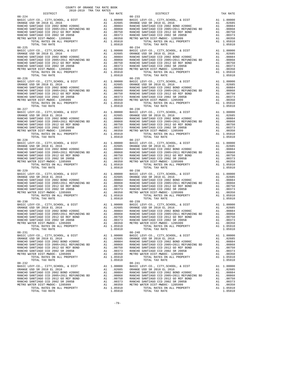| 2018-2019 TRA TAX RATES<br>DISTRICT | TAX RATE | DISTRICT                                                                            | TAX RATE |
|-------------------------------------|----------|-------------------------------------------------------------------------------------|----------|
| $08 - 224$                          |          | $08 - 233$                                                                          |          |
|                                     |          |                                                                                     |          |
|                                     |          |                                                                                     |          |
|                                     |          |                                                                                     |          |
|                                     |          |                                                                                     |          |
|                                     |          |                                                                                     |          |
|                                     |          |                                                                                     |          |
|                                     |          |                                                                                     |          |
| $08 - 225$                          |          | $08 - 234$                                                                          |          |
|                                     |          |                                                                                     |          |
|                                     |          |                                                                                     |          |
|                                     |          |                                                                                     |          |
|                                     |          |                                                                                     |          |
|                                     |          |                                                                                     |          |
|                                     |          |                                                                                     |          |
|                                     |          |                                                                                     |          |
|                                     |          |                                                                                     |          |
|                                     |          |                                                                                     |          |
|                                     |          |                                                                                     |          |
|                                     |          |                                                                                     |          |
|                                     |          |                                                                                     |          |
|                                     |          |                                                                                     |          |
|                                     |          |                                                                                     |          |
|                                     |          |                                                                                     |          |
|                                     |          |                                                                                     |          |
|                                     |          |                                                                                     |          |
| $08 - 227$                          |          | $08 - 236$                                                                          |          |
|                                     |          |                                                                                     |          |
|                                     |          |                                                                                     |          |
|                                     |          |                                                                                     |          |
|                                     |          |                                                                                     |          |
|                                     |          |                                                                                     |          |
|                                     |          |                                                                                     |          |
|                                     |          |                                                                                     |          |
|                                     |          |                                                                                     |          |
| $08 - 228$                          |          | $08 - 237$                                                                          |          |
|                                     |          |                                                                                     |          |
|                                     |          |                                                                                     |          |
|                                     |          |                                                                                     |          |
|                                     |          |                                                                                     |          |
|                                     |          |                                                                                     |          |
|                                     |          |                                                                                     |          |
|                                     |          |                                                                                     |          |
|                                     |          |                                                                                     |          |
|                                     |          |                                                                                     |          |
|                                     |          |                                                                                     |          |
|                                     |          |                                                                                     |          |
|                                     |          |                                                                                     |          |
|                                     |          |                                                                                     |          |
|                                     |          |                                                                                     |          |
|                                     |          |                                                                                     |          |
|                                     |          |                                                                                     |          |
|                                     |          |                                                                                     |          |
| $08 - 230$                          |          | $08 - 239$                                                                          |          |
|                                     |          |                                                                                     |          |
|                                     |          |                                                                                     |          |
|                                     |          |                                                                                     |          |
|                                     |          |                                                                                     |          |
|                                     |          |                                                                                     |          |
|                                     |          |                                                                                     |          |
|                                     |          | TOTAL RATES ON ALL PROPERTY A1 1.05910<br>TOTAL TAX RATE 1.05910<br>1.05910 1.05910 |          |
|                                     |          |                                                                                     |          |
| $08 - 231$                          |          | $08 - 240$                                                                          |          |
|                                     |          |                                                                                     |          |
|                                     |          |                                                                                     |          |
|                                     |          |                                                                                     |          |
|                                     |          |                                                                                     |          |
|                                     |          |                                                                                     |          |
|                                     |          |                                                                                     |          |
|                                     |          |                                                                                     |          |
|                                     |          |                                                                                     |          |
|                                     |          |                                                                                     |          |
|                                     |          |                                                                                     |          |
|                                     |          |                                                                                     |          |
|                                     |          |                                                                                     |          |
|                                     |          |                                                                                     |          |
|                                     |          |                                                                                     |          |
|                                     |          |                                                                                     |          |
|                                     |          |                                                                                     |          |
|                                     |          |                                                                                     |          |

-79-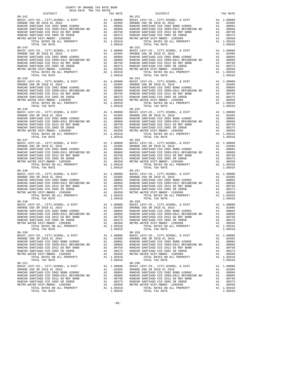| DISTRICT   | 2018-2019 TRA TAX RATES |  | TAX RATE | DISTRICT                                                                                                                                                                                                                                                                                                                                                         | TAX RATE |
|------------|-------------------------|--|----------|------------------------------------------------------------------------------------------------------------------------------------------------------------------------------------------------------------------------------------------------------------------------------------------------------------------------------------------------------------------|----------|
| $08 - 242$ |                         |  |          | $08 - 252$                                                                                                                                                                                                                                                                                                                                                       |          |
| $08 - 243$ |                         |  |          | $08 - 253$                                                                                                                                                                                                                                                                                                                                                       |          |
| $08 - 246$ |                         |  |          | $\begin{array}{cccccccc} 08-245 & 0.00000 & 0.00000 & 0.00000 \\ \text{BARIC BUS CR} & 0.000000 & 0.000000 \\ \text{BARIC BUS CR} & 0.0000000 & 0.000000 \\ \text{RARICIO SAMITIAO CCD} & 0.0000000 & 0.000000 \\ \text{RARICIO SAMITIAO CCD} & 0.0000000 & 0.000000 \\ \text{RARICIO SAMITIAO CCD} & 0.00000000 \\ \text{RARICIO SAMITIAO CCD} &$<br>$08 - 255$ |          |
| $08 - 247$ |                         |  |          | $08 - 256$                                                                                                                                                                                                                                                                                                                                                       |          |
|            |                         |  |          |                                                                                                                                                                                                                                                                                                                                                                  |          |
|            |                         |  |          |                                                                                                                                                                                                                                                                                                                                                                  |          |
| $08 - 249$ |                         |  |          | $08 - 258$<br>1.05910<br>TOTAL RATES ON ALL PROPERTY A1 1.05910<br>TOTAL TAX RATE 1.05910                                                                                                                                                                                                                                                                        |          |
| $08 - 250$ |                         |  |          | $08 - 259$                                                                                                                                                                                                                                                                                                                                                       |          |
|            |                         |  |          |                                                                                                                                                                                                                                                                                                                                                                  |          |

-80-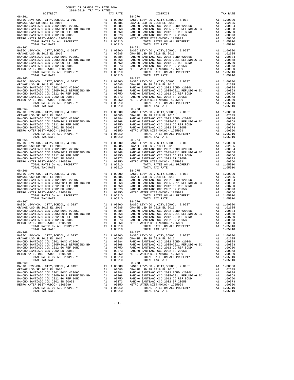| DISTRICT   | 2018-2019 TRA TAX RATES | TAX RATE | DISTRICT                                                                                                                                                                                                                                                                                 | TAX RATE |
|------------|-------------------------|----------|------------------------------------------------------------------------------------------------------------------------------------------------------------------------------------------------------------------------------------------------------------------------------------------|----------|
| $08 - 261$ |                         |          | $08 - 270$                                                                                                                                                                                                                                                                               |          |
| $08 - 262$ |                         |          | $08 - 271$                                                                                                                                                                                                                                                                               |          |
|            |                         |          |                                                                                                                                                                                                                                                                                          |          |
| $08 - 264$ |                         |          | $\begin{array}{cccccccc} 08-762 & 0.00000 & 0.00000 & 0.00000 \\ 08-352 & 0.000000 & 0.000000 \\ 08-352 & 0.000000 & 0.000000 \\ 08-352 & 0.0000000 & 0.000000 \\ 08-352 & 0.0000000 & 0.000000 \\ 08-352 & 0.0000000 & 0.000000 \\ 08-352 & 0.0000000 & 0.000000 \\ 08-3$<br>$08 - 273$ |          |
| $08 - 265$ |                         |          | $08 - 274$                                                                                                                                                                                                                                                                               |          |
|            |                         |          |                                                                                                                                                                                                                                                                                          |          |
|            |                         |          |                                                                                                                                                                                                                                                                                          |          |
| $08 - 267$ |                         |          | $08 - 276$<br>1.05910<br>TOTAL RATES ON ALL PROPERTY A1 1.05910<br>TOTAL TAX RATE 1.05910                                                                                                                                                                                                |          |
| $08 - 268$ |                         |          | $08 - 277$                                                                                                                                                                                                                                                                               |          |
|            |                         |          |                                                                                                                                                                                                                                                                                          |          |

-81-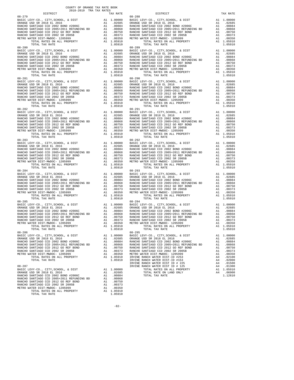| 2018-2019 TRA TAX RATES<br>DISTRICT                                                                                                                            | TAX RATE | DISTRICT   | TAX RATE |
|----------------------------------------------------------------------------------------------------------------------------------------------------------------|----------|------------|----------|
| $08 - 279$                                                                                                                                                     |          | $08 - 288$ |          |
|                                                                                                                                                                |          |            |          |
|                                                                                                                                                                |          |            |          |
|                                                                                                                                                                |          |            |          |
|                                                                                                                                                                |          |            |          |
|                                                                                                                                                                |          |            |          |
|                                                                                                                                                                |          |            |          |
|                                                                                                                                                                |          |            |          |
|                                                                                                                                                                |          |            |          |
|                                                                                                                                                                |          |            |          |
| $08 - 282$                                                                                                                                                     |          | $08 - 291$ |          |
|                                                                                                                                                                |          |            |          |
|                                                                                                                                                                |          |            |          |
|                                                                                                                                                                |          |            |          |
|                                                                                                                                                                |          |            |          |
|                                                                                                                                                                |          |            |          |
|                                                                                                                                                                |          |            |          |
|                                                                                                                                                                |          |            |          |
|                                                                                                                                                                |          |            |          |
|                                                                                                                                                                |          |            |          |
|                                                                                                                                                                |          |            |          |
|                                                                                                                                                                |          |            |          |
|                                                                                                                                                                |          |            |          |
| $08 - 284$                                                                                                                                                     |          | $08 - 293$ |          |
|                                                                                                                                                                |          |            |          |
|                                                                                                                                                                |          |            |          |
|                                                                                                                                                                |          |            |          |
|                                                                                                                                                                |          |            |          |
|                                                                                                                                                                |          |            |          |
|                                                                                                                                                                |          |            |          |
|                                                                                                                                                                |          |            |          |
|                                                                                                                                                                |          |            |          |
|                                                                                                                                                                |          |            |          |
|                                                                                                                                                                |          |            |          |
|                                                                                                                                                                |          |            |          |
| VETRO WATER DIST-MWDOC- 120599<br>METRO WATER DIST-MWDOC- 1205999<br>TOTAL RATES ON ALL PROPERTY A1 1.05910<br>TOTAL TAX RATE<br>1.05910<br>1.05910<br>1.05910 |          |            |          |
|                                                                                                                                                                |          |            |          |
|                                                                                                                                                                |          |            |          |
|                                                                                                                                                                |          |            |          |
|                                                                                                                                                                |          |            |          |
|                                                                                                                                                                |          |            |          |
|                                                                                                                                                                |          |            |          |
|                                                                                                                                                                |          |            |          |
|                                                                                                                                                                |          |            |          |
|                                                                                                                                                                |          |            |          |
|                                                                                                                                                                |          |            |          |
|                                                                                                                                                                |          |            |          |
|                                                                                                                                                                |          |            |          |
|                                                                                                                                                                |          |            |          |
|                                                                                                                                                                |          |            |          |
|                                                                                                                                                                |          |            |          |

-82-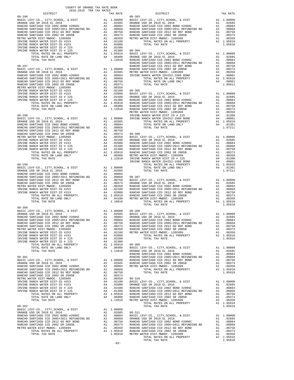| COUNTY OF ORANGE TAX RATE BOOK<br>2018-2019 TRA TAX RATES<br>$\begin{minipage}{.4\linewidth} \begin{tabular}{lcccc} \textbf{1-AX RATE} & \textbf{1-XA TRE} & \textbf{1-XA TRE} & \textbf{2018--2019} & \textbf{TRA TAR RATES} \\ \textbf{DISTRICT} & \textbf{1-XA TES} & \textbf{1-XA TES} & \textbf{2018--2019} & \textbf{1-XA TES} & \textbf{2019--2019} & \textbf{2019--2019} & \textbf{2019--2019} & \textbf{2019--2019} & \textbf{2019--2019} & \textbf{201$ |          |                                                                                                                                                                                                                                   |          |
|-------------------------------------------------------------------------------------------------------------------------------------------------------------------------------------------------------------------------------------------------------------------------------------------------------------------------------------------------------------------------------------------------------------------------------------------------------------------|----------|-----------------------------------------------------------------------------------------------------------------------------------------------------------------------------------------------------------------------------------|----------|
|                                                                                                                                                                                                                                                                                                                                                                                                                                                                   | TAX RATE | DISTRICT                                                                                                                                                                                                                          | TAX RATE |
|                                                                                                                                                                                                                                                                                                                                                                                                                                                                   |          |                                                                                                                                                                                                                                   |          |
|                                                                                                                                                                                                                                                                                                                                                                                                                                                                   |          |                                                                                                                                                                                                                                   |          |
|                                                                                                                                                                                                                                                                                                                                                                                                                                                                   |          |                                                                                                                                                                                                                                   |          |
|                                                                                                                                                                                                                                                                                                                                                                                                                                                                   |          |                                                                                                                                                                                                                                   |          |
|                                                                                                                                                                                                                                                                                                                                                                                                                                                                   |          |                                                                                                                                                                                                                                   |          |
|                                                                                                                                                                                                                                                                                                                                                                                                                                                                   |          |                                                                                                                                                                                                                                   |          |
|                                                                                                                                                                                                                                                                                                                                                                                                                                                                   |          |                                                                                                                                                                                                                                   |          |
|                                                                                                                                                                                                                                                                                                                                                                                                                                                                   |          |                                                                                                                                                                                                                                   |          |
|                                                                                                                                                                                                                                                                                                                                                                                                                                                                   |          |                                                                                                                                                                                                                                   |          |
|                                                                                                                                                                                                                                                                                                                                                                                                                                                                   |          |                                                                                                                                                                                                                                   |          |
|                                                                                                                                                                                                                                                                                                                                                                                                                                                                   |          |                                                                                                                                                                                                                                   |          |
|                                                                                                                                                                                                                                                                                                                                                                                                                                                                   |          |                                                                                                                                                                                                                                   |          |
|                                                                                                                                                                                                                                                                                                                                                                                                                                                                   |          |                                                                                                                                                                                                                                   |          |
|                                                                                                                                                                                                                                                                                                                                                                                                                                                                   |          |                                                                                                                                                                                                                                   |          |
|                                                                                                                                                                                                                                                                                                                                                                                                                                                                   |          |                                                                                                                                                                                                                                   |          |
|                                                                                                                                                                                                                                                                                                                                                                                                                                                                   |          |                                                                                                                                                                                                                                   |          |
|                                                                                                                                                                                                                                                                                                                                                                                                                                                                   |          |                                                                                                                                                                                                                                   |          |
|                                                                                                                                                                                                                                                                                                                                                                                                                                                                   |          |                                                                                                                                                                                                                                   |          |
|                                                                                                                                                                                                                                                                                                                                                                                                                                                                   |          |                                                                                                                                                                                                                                   |          |
|                                                                                                                                                                                                                                                                                                                                                                                                                                                                   |          |                                                                                                                                                                                                                                   |          |
|                                                                                                                                                                                                                                                                                                                                                                                                                                                                   |          |                                                                                                                                                                                                                                   |          |
|                                                                                                                                                                                                                                                                                                                                                                                                                                                                   |          |                                                                                                                                                                                                                                   |          |
|                                                                                                                                                                                                                                                                                                                                                                                                                                                                   |          |                                                                                                                                                                                                                                   |          |
|                                                                                                                                                                                                                                                                                                                                                                                                                                                                   |          |                                                                                                                                                                                                                                   |          |
|                                                                                                                                                                                                                                                                                                                                                                                                                                                                   |          |                                                                                                                                                                                                                                   |          |
|                                                                                                                                                                                                                                                                                                                                                                                                                                                                   |          |                                                                                                                                                                                                                                   |          |
|                                                                                                                                                                                                                                                                                                                                                                                                                                                                   |          |                                                                                                                                                                                                                                   |          |
|                                                                                                                                                                                                                                                                                                                                                                                                                                                                   |          |                                                                                                                                                                                                                                   |          |
|                                                                                                                                                                                                                                                                                                                                                                                                                                                                   |          |                                                                                                                                                                                                                                   |          |
|                                                                                                                                                                                                                                                                                                                                                                                                                                                                   |          |                                                                                                                                                                                                                                   |          |
|                                                                                                                                                                                                                                                                                                                                                                                                                                                                   |          |                                                                                                                                                                                                                                   |          |
|                                                                                                                                                                                                                                                                                                                                                                                                                                                                   |          |                                                                                                                                                                                                                                   |          |
|                                                                                                                                                                                                                                                                                                                                                                                                                                                                   |          |                                                                                                                                                                                                                                   |          |
|                                                                                                                                                                                                                                                                                                                                                                                                                                                                   |          |                                                                                                                                                                                                                                   |          |
|                                                                                                                                                                                                                                                                                                                                                                                                                                                                   |          |                                                                                                                                                                                                                                   |          |
|                                                                                                                                                                                                                                                                                                                                                                                                                                                                   |          |                                                                                                                                                                                                                                   |          |
|                                                                                                                                                                                                                                                                                                                                                                                                                                                                   |          |                                                                                                                                                                                                                                   |          |
|                                                                                                                                                                                                                                                                                                                                                                                                                                                                   |          |                                                                                                                                                                                                                                   |          |
|                                                                                                                                                                                                                                                                                                                                                                                                                                                                   |          |                                                                                                                                                                                                                                   |          |
|                                                                                                                                                                                                                                                                                                                                                                                                                                                                   |          |                                                                                                                                                                                                                                   |          |
|                                                                                                                                                                                                                                                                                                                                                                                                                                                                   |          |                                                                                                                                                                                                                                   |          |
|                                                                                                                                                                                                                                                                                                                                                                                                                                                                   |          |                                                                                                                                                                                                                                   |          |
| $08 - 300$                                                                                                                                                                                                                                                                                                                                                                                                                                                        |          |                                                                                                                                                                                                                                   |          |
|                                                                                                                                                                                                                                                                                                                                                                                                                                                                   |          |                                                                                                                                                                                                                                   |          |
|                                                                                                                                                                                                                                                                                                                                                                                                                                                                   |          |                                                                                                                                                                                                                                   |          |
|                                                                                                                                                                                                                                                                                                                                                                                                                                                                   |          |                                                                                                                                                                                                                                   |          |
|                                                                                                                                                                                                                                                                                                                                                                                                                                                                   |          |                                                                                                                                                                                                                                   |          |
|                                                                                                                                                                                                                                                                                                                                                                                                                                                                   |          |                                                                                                                                                                                                                                   |          |
|                                                                                                                                                                                                                                                                                                                                                                                                                                                                   |          |                                                                                                                                                                                                                                   |          |
|                                                                                                                                                                                                                                                                                                                                                                                                                                                                   |          |                                                                                                                                                                                                                                   |          |
|                                                                                                                                                                                                                                                                                                                                                                                                                                                                   |          |                                                                                                                                                                                                                                   |          |
|                                                                                                                                                                                                                                                                                                                                                                                                                                                                   |          |                                                                                                                                                                                                                                   |          |
|                                                                                                                                                                                                                                                                                                                                                                                                                                                                   |          |                                                                                                                                                                                                                                   |          |
|                                                                                                                                                                                                                                                                                                                                                                                                                                                                   |          |                                                                                                                                                                                                                                   |          |
|                                                                                                                                                                                                                                                                                                                                                                                                                                                                   |          |                                                                                                                                                                                                                                   |          |
|                                                                                                                                                                                                                                                                                                                                                                                                                                                                   |          |                                                                                                                                                                                                                                   |          |
|                                                                                                                                                                                                                                                                                                                                                                                                                                                                   |          |                                                                                                                                                                                                                                   |          |
|                                                                                                                                                                                                                                                                                                                                                                                                                                                                   |          |                                                                                                                                                                                                                                   |          |
|                                                                                                                                                                                                                                                                                                                                                                                                                                                                   |          |                                                                                                                                                                                                                                   |          |
|                                                                                                                                                                                                                                                                                                                                                                                                                                                                   |          |                                                                                                                                                                                                                                   |          |
|                                                                                                                                                                                                                                                                                                                                                                                                                                                                   |          |                                                                                                                                                                                                                                   |          |
|                                                                                                                                                                                                                                                                                                                                                                                                                                                                   |          |                                                                                                                                                                                                                                   |          |
|                                                                                                                                                                                                                                                                                                                                                                                                                                                                   |          |                                                                                                                                                                                                                                   |          |
|                                                                                                                                                                                                                                                                                                                                                                                                                                                                   |          | 0200002 1020 26, 2013<br>NAMEDO SANTIAGO OED 2005-1031 2012<br>NAMEDO SANTIAGO OED 2005-1031 21020002 20120 20120 20120 20120 20120 20120 20120 20120 20120 20120 20120 20120 20120 20120 20120 20120 20120 20120 20120 20120 201 |          |
|                                                                                                                                                                                                                                                                                                                                                                                                                                                                   |          |                                                                                                                                                                                                                                   |          |
|                                                                                                                                                                                                                                                                                                                                                                                                                                                                   |          |                                                                                                                                                                                                                                   |          |
|                                                                                                                                                                                                                                                                                                                                                                                                                                                                   |          |                                                                                                                                                                                                                                   |          |
|                                                                                                                                                                                                                                                                                                                                                                                                                                                                   |          |                                                                                                                                                                                                                                   |          |
|                                                                                                                                                                                                                                                                                                                                                                                                                                                                   |          |                                                                                                                                                                                                                                   |          |
|                                                                                                                                                                                                                                                                                                                                                                                                                                                                   |          |                                                                                                                                                                                                                                   |          |
|                                                                                                                                                                                                                                                                                                                                                                                                                                                                   |          |                                                                                                                                                                                                                                   |          |
|                                                                                                                                                                                                                                                                                                                                                                                                                                                                   |          |                                                                                                                                                                                                                                   |          |
|                                                                                                                                                                                                                                                                                                                                                                                                                                                                   | $-83-$   |                                                                                                                                                                                                                                   |          |
|                                                                                                                                                                                                                                                                                                                                                                                                                                                                   |          |                                                                                                                                                                                                                                   |          |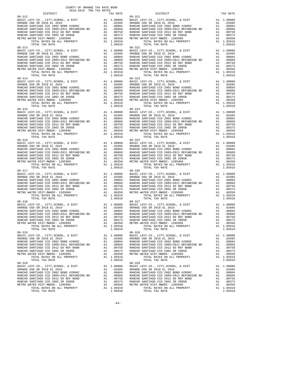| 2018-2019 TRA TAX RATES<br>DISTRICT                                                                                                                                                                                                   | TAX RATE | DISTRICT                                                                            | TAX RATE |
|---------------------------------------------------------------------------------------------------------------------------------------------------------------------------------------------------------------------------------------|----------|-------------------------------------------------------------------------------------|----------|
| $08 - 312$                                                                                                                                                                                                                            |          | $08 - 321$                                                                          |          |
|                                                                                                                                                                                                                                       |          |                                                                                     |          |
|                                                                                                                                                                                                                                       |          |                                                                                     |          |
|                                                                                                                                                                                                                                       |          |                                                                                     |          |
|                                                                                                                                                                                                                                       |          |                                                                                     |          |
|                                                                                                                                                                                                                                       |          |                                                                                     |          |
|                                                                                                                                                                                                                                       |          |                                                                                     |          |
| $08 - 313$                                                                                                                                                                                                                            |          | $08 - 322$                                                                          |          |
|                                                                                                                                                                                                                                       |          |                                                                                     |          |
|                                                                                                                                                                                                                                       |          |                                                                                     |          |
|                                                                                                                                                                                                                                       |          |                                                                                     |          |
|                                                                                                                                                                                                                                       |          |                                                                                     |          |
|                                                                                                                                                                                                                                       |          |                                                                                     |          |
|                                                                                                                                                                                                                                       |          |                                                                                     |          |
|                                                                                                                                                                                                                                       |          |                                                                                     |          |
|                                                                                                                                                                                                                                       |          |                                                                                     |          |
|                                                                                                                                                                                                                                       |          |                                                                                     |          |
|                                                                                                                                                                                                                                       |          |                                                                                     |          |
|                                                                                                                                                                                                                                       |          |                                                                                     |          |
|                                                                                                                                                                                                                                       |          |                                                                                     |          |
|                                                                                                                                                                                                                                       |          |                                                                                     |          |
|                                                                                                                                                                                                                                       |          |                                                                                     |          |
|                                                                                                                                                                                                                                       |          |                                                                                     |          |
|                                                                                                                                                                                                                                       |          |                                                                                     |          |
| $08 - 315$                                                                                                                                                                                                                            |          | $08 - 324$                                                                          |          |
|                                                                                                                                                                                                                                       |          |                                                                                     |          |
|                                                                                                                                                                                                                                       |          |                                                                                     |          |
|                                                                                                                                                                                                                                       |          |                                                                                     |          |
|                                                                                                                                                                                                                                       |          |                                                                                     |          |
|                                                                                                                                                                                                                                       |          |                                                                                     |          |
|                                                                                                                                                                                                                                       |          |                                                                                     |          |
|                                                                                                                                                                                                                                       |          |                                                                                     |          |
| $08 - 316$                                                                                                                                                                                                                            |          | $08 - 325$                                                                          |          |
|                                                                                                                                                                                                                                       |          |                                                                                     |          |
|                                                                                                                                                                                                                                       |          |                                                                                     |          |
|                                                                                                                                                                                                                                       |          |                                                                                     |          |
|                                                                                                                                                                                                                                       |          |                                                                                     |          |
|                                                                                                                                                                                                                                       |          |                                                                                     |          |
|                                                                                                                                                                                                                                       |          |                                                                                     |          |
|                                                                                                                                                                                                                                       |          |                                                                                     |          |
|                                                                                                                                                                                                                                       |          |                                                                                     |          |
|                                                                                                                                                                                                                                       |          |                                                                                     |          |
|                                                                                                                                                                                                                                       |          |                                                                                     |          |
|                                                                                                                                                                                                                                       |          |                                                                                     |          |
|                                                                                                                                                                                                                                       |          |                                                                                     |          |
|                                                                                                                                                                                                                                       |          |                                                                                     |          |
|                                                                                                                                                                                                                                       |          |                                                                                     |          |
|                                                                                                                                                                                                                                       |          |                                                                                     |          |
| $08 - 318$                                                                                                                                                                                                                            |          | $08 - 327$                                                                          |          |
|                                                                                                                                                                                                                                       |          |                                                                                     |          |
|                                                                                                                                                                                                                                       |          |                                                                                     |          |
|                                                                                                                                                                                                                                       |          |                                                                                     |          |
|                                                                                                                                                                                                                                       |          |                                                                                     |          |
|                                                                                                                                                                                                                                       |          |                                                                                     |          |
|                                                                                                                                                                                                                                       |          |                                                                                     |          |
|                                                                                                                                                                                                                                       |          | TOTAL RATES ON ALL PROPERTY A1 1.05910<br>TOTAL TAX RATE 1.05910<br>1.05910 1.05910 |          |
| $\begin{tabular}{lllllllllll} \textsc{ITER} & \textsc{DIST-MWDOC-} & 1205999 & & & & \textsc{}\\ \textsc{TOTAL RATES ON ALL PROPERTY} & & & \textsc{Al} & 1.05910\\ \textsc{--marg} & \textsc{mmarg} & & & & 1.05910\\ \end{tabular}$ |          |                                                                                     |          |
| $08 - 319$                                                                                                                                                                                                                            |          | $08 - 328$                                                                          |          |
|                                                                                                                                                                                                                                       |          |                                                                                     |          |
|                                                                                                                                                                                                                                       |          |                                                                                     |          |
|                                                                                                                                                                                                                                       |          |                                                                                     |          |
|                                                                                                                                                                                                                                       |          |                                                                                     |          |
|                                                                                                                                                                                                                                       |          |                                                                                     |          |
|                                                                                                                                                                                                                                       |          |                                                                                     |          |
|                                                                                                                                                                                                                                       |          |                                                                                     |          |
|                                                                                                                                                                                                                                       |          |                                                                                     |          |
|                                                                                                                                                                                                                                       |          |                                                                                     |          |
|                                                                                                                                                                                                                                       |          |                                                                                     |          |
|                                                                                                                                                                                                                                       |          |                                                                                     |          |
|                                                                                                                                                                                                                                       |          |                                                                                     |          |
|                                                                                                                                                                                                                                       |          |                                                                                     |          |
|                                                                                                                                                                                                                                       |          |                                                                                     |          |
|                                                                                                                                                                                                                                       |          |                                                                                     |          |
|                                                                                                                                                                                                                                       |          |                                                                                     |          |

-84-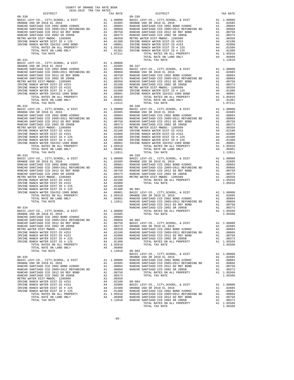| DISTRICT<br>DISTRICT<br>TAX RATE<br>TAX RATE<br>$08 - 336$<br>$08 - 330$<br>$08 - 338$<br>$08 - 332$<br>$\begin{tabular}{cccccc} 08-332 & 1074L & 14A RATE & 1.1794L & 14A RATE & 1.1794L & 14A RATE & 1.1794L & 1.1794L & 1.1794L & 1.1794L & 1.1794L & 1.1794L & 1.1794L & 1.1794L & 1.1794L & 1.1794L & 1.1794L & 1.1794L & 1.1794L & 1.1794L & 1.1794L & 1.1794L & 1.1794L & 1.1$ |
|---------------------------------------------------------------------------------------------------------------------------------------------------------------------------------------------------------------------------------------------------------------------------------------------------------------------------------------------------------------------------------------|
|                                                                                                                                                                                                                                                                                                                                                                                       |
|                                                                                                                                                                                                                                                                                                                                                                                       |
|                                                                                                                                                                                                                                                                                                                                                                                       |
|                                                                                                                                                                                                                                                                                                                                                                                       |
|                                                                                                                                                                                                                                                                                                                                                                                       |
|                                                                                                                                                                                                                                                                                                                                                                                       |
|                                                                                                                                                                                                                                                                                                                                                                                       |
|                                                                                                                                                                                                                                                                                                                                                                                       |
|                                                                                                                                                                                                                                                                                                                                                                                       |
|                                                                                                                                                                                                                                                                                                                                                                                       |
|                                                                                                                                                                                                                                                                                                                                                                                       |
|                                                                                                                                                                                                                                                                                                                                                                                       |
|                                                                                                                                                                                                                                                                                                                                                                                       |
|                                                                                                                                                                                                                                                                                                                                                                                       |
|                                                                                                                                                                                                                                                                                                                                                                                       |
|                                                                                                                                                                                                                                                                                                                                                                                       |
|                                                                                                                                                                                                                                                                                                                                                                                       |
|                                                                                                                                                                                                                                                                                                                                                                                       |
|                                                                                                                                                                                                                                                                                                                                                                                       |
|                                                                                                                                                                                                                                                                                                                                                                                       |
|                                                                                                                                                                                                                                                                                                                                                                                       |
|                                                                                                                                                                                                                                                                                                                                                                                       |
|                                                                                                                                                                                                                                                                                                                                                                                       |
|                                                                                                                                                                                                                                                                                                                                                                                       |
|                                                                                                                                                                                                                                                                                                                                                                                       |
|                                                                                                                                                                                                                                                                                                                                                                                       |
|                                                                                                                                                                                                                                                                                                                                                                                       |
|                                                                                                                                                                                                                                                                                                                                                                                       |
|                                                                                                                                                                                                                                                                                                                                                                                       |
|                                                                                                                                                                                                                                                                                                                                                                                       |
|                                                                                                                                                                                                                                                                                                                                                                                       |
|                                                                                                                                                                                                                                                                                                                                                                                       |
|                                                                                                                                                                                                                                                                                                                                                                                       |
|                                                                                                                                                                                                                                                                                                                                                                                       |
|                                                                                                                                                                                                                                                                                                                                                                                       |
|                                                                                                                                                                                                                                                                                                                                                                                       |
|                                                                                                                                                                                                                                                                                                                                                                                       |
|                                                                                                                                                                                                                                                                                                                                                                                       |
|                                                                                                                                                                                                                                                                                                                                                                                       |
|                                                                                                                                                                                                                                                                                                                                                                                       |
|                                                                                                                                                                                                                                                                                                                                                                                       |
|                                                                                                                                                                                                                                                                                                                                                                                       |
|                                                                                                                                                                                                                                                                                                                                                                                       |
|                                                                                                                                                                                                                                                                                                                                                                                       |
|                                                                                                                                                                                                                                                                                                                                                                                       |
|                                                                                                                                                                                                                                                                                                                                                                                       |
|                                                                                                                                                                                                                                                                                                                                                                                       |
|                                                                                                                                                                                                                                                                                                                                                                                       |
|                                                                                                                                                                                                                                                                                                                                                                                       |
|                                                                                                                                                                                                                                                                                                                                                                                       |
|                                                                                                                                                                                                                                                                                                                                                                                       |
|                                                                                                                                                                                                                                                                                                                                                                                       |
|                                                                                                                                                                                                                                                                                                                                                                                       |
|                                                                                                                                                                                                                                                                                                                                                                                       |
|                                                                                                                                                                                                                                                                                                                                                                                       |
|                                                                                                                                                                                                                                                                                                                                                                                       |
|                                                                                                                                                                                                                                                                                                                                                                                       |
|                                                                                                                                                                                                                                                                                                                                                                                       |
|                                                                                                                                                                                                                                                                                                                                                                                       |
|                                                                                                                                                                                                                                                                                                                                                                                       |
|                                                                                                                                                                                                                                                                                                                                                                                       |
|                                                                                                                                                                                                                                                                                                                                                                                       |
|                                                                                                                                                                                                                                                                                                                                                                                       |
|                                                                                                                                                                                                                                                                                                                                                                                       |
|                                                                                                                                                                                                                                                                                                                                                                                       |
|                                                                                                                                                                                                                                                                                                                                                                                       |
|                                                                                                                                                                                                                                                                                                                                                                                       |
|                                                                                                                                                                                                                                                                                                                                                                                       |
|                                                                                                                                                                                                                                                                                                                                                                                       |
|                                                                                                                                                                                                                                                                                                                                                                                       |
|                                                                                                                                                                                                                                                                                                                                                                                       |
|                                                                                                                                                                                                                                                                                                                                                                                       |
|                                                                                                                                                                                                                                                                                                                                                                                       |
|                                                                                                                                                                                                                                                                                                                                                                                       |
|                                                                                                                                                                                                                                                                                                                                                                                       |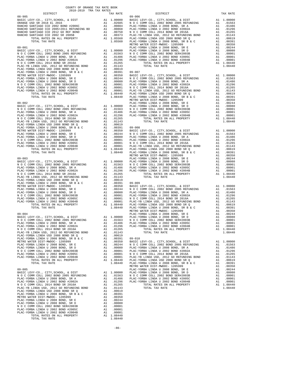| COUNTY OF ORANGE TAX RATE BOOK      |  |                                                                                                                                                                                                                                                                                                                                                                                           |          |
|-------------------------------------|--|-------------------------------------------------------------------------------------------------------------------------------------------------------------------------------------------------------------------------------------------------------------------------------------------------------------------------------------------------------------------------------------------|----------|
| 2018-2019 TRA TAX RATES<br>DISTRICT |  | RA TAX RATES<br>TAX RATE DISTRICT                                                                                                                                                                                                                                                                                                                                                         | TAX RATE |
|                                     |  |                                                                                                                                                                                                                                                                                                                                                                                           |          |
|                                     |  |                                                                                                                                                                                                                                                                                                                                                                                           |          |
|                                     |  |                                                                                                                                                                                                                                                                                                                                                                                           |          |
|                                     |  |                                                                                                                                                                                                                                                                                                                                                                                           |          |
|                                     |  |                                                                                                                                                                                                                                                                                                                                                                                           |          |
|                                     |  |                                                                                                                                                                                                                                                                                                                                                                                           |          |
|                                     |  |                                                                                                                                                                                                                                                                                                                                                                                           |          |
|                                     |  |                                                                                                                                                                                                                                                                                                                                                                                           |          |
|                                     |  |                                                                                                                                                                                                                                                                                                                                                                                           |          |
|                                     |  |                                                                                                                                                                                                                                                                                                                                                                                           |          |
|                                     |  |                                                                                                                                                                                                                                                                                                                                                                                           |          |
|                                     |  |                                                                                                                                                                                                                                                                                                                                                                                           |          |
|                                     |  |                                                                                                                                                                                                                                                                                                                                                                                           |          |
|                                     |  |                                                                                                                                                                                                                                                                                                                                                                                           |          |
|                                     |  |                                                                                                                                                                                                                                                                                                                                                                                           |          |
|                                     |  |                                                                                                                                                                                                                                                                                                                                                                                           |          |
|                                     |  |                                                                                                                                                                                                                                                                                                                                                                                           |          |
|                                     |  |                                                                                                                                                                                                                                                                                                                                                                                           |          |
|                                     |  |                                                                                                                                                                                                                                                                                                                                                                                           |          |
|                                     |  |                                                                                                                                                                                                                                                                                                                                                                                           |          |
|                                     |  |                                                                                                                                                                                                                                                                                                                                                                                           |          |
|                                     |  |                                                                                                                                                                                                                                                                                                                                                                                           |          |
|                                     |  |                                                                                                                                                                                                                                                                                                                                                                                           |          |
|                                     |  |                                                                                                                                                                                                                                                                                                                                                                                           |          |
|                                     |  |                                                                                                                                                                                                                                                                                                                                                                                           |          |
|                                     |  |                                                                                                                                                                                                                                                                                                                                                                                           |          |
|                                     |  |                                                                                                                                                                                                                                                                                                                                                                                           |          |
|                                     |  |                                                                                                                                                                                                                                                                                                                                                                                           |          |
|                                     |  |                                                                                                                                                                                                                                                                                                                                                                                           |          |
|                                     |  |                                                                                                                                                                                                                                                                                                                                                                                           |          |
|                                     |  |                                                                                                                                                                                                                                                                                                                                                                                           |          |
|                                     |  |                                                                                                                                                                                                                                                                                                                                                                                           |          |
|                                     |  |                                                                                                                                                                                                                                                                                                                                                                                           |          |
|                                     |  |                                                                                                                                                                                                                                                                                                                                                                                           |          |
|                                     |  |                                                                                                                                                                                                                                                                                                                                                                                           |          |
|                                     |  |                                                                                                                                                                                                                                                                                                                                                                                           |          |
|                                     |  |                                                                                                                                                                                                                                                                                                                                                                                           |          |
|                                     |  |                                                                                                                                                                                                                                                                                                                                                                                           |          |
|                                     |  |                                                                                                                                                                                                                                                                                                                                                                                           |          |
|                                     |  |                                                                                                                                                                                                                                                                                                                                                                                           |          |
|                                     |  |                                                                                                                                                                                                                                                                                                                                                                                           |          |
|                                     |  |                                                                                                                                                                                                                                                                                                                                                                                           |          |
|                                     |  |                                                                                                                                                                                                                                                                                                                                                                                           |          |
|                                     |  |                                                                                                                                                                                                                                                                                                                                                                                           |          |
|                                     |  |                                                                                                                                                                                                                                                                                                                                                                                           |          |
|                                     |  |                                                                                                                                                                                                                                                                                                                                                                                           |          |
|                                     |  |                                                                                                                                                                                                                                                                                                                                                                                           |          |
|                                     |  |                                                                                                                                                                                                                                                                                                                                                                                           |          |
|                                     |  |                                                                                                                                                                                                                                                                                                                                                                                           |          |
|                                     |  |                                                                                                                                                                                                                                                                                                                                                                                           |          |
|                                     |  |                                                                                                                                                                                                                                                                                                                                                                                           |          |
|                                     |  |                                                                                                                                                                                                                                                                                                                                                                                           |          |
|                                     |  |                                                                                                                                                                                                                                                                                                                                                                                           |          |
|                                     |  |                                                                                                                                                                                                                                                                                                                                                                                           |          |
|                                     |  |                                                                                                                                                                                                                                                                                                                                                                                           |          |
|                                     |  | $\begin{tabular}{l cccc} \texttt{MSEIC-WO} & \texttt{C. COM} & \texttt{C. COM} & \texttt{C. COM} & \texttt{DOSIC} & \texttt{M1.00001} & \texttt{PAC-COM} & \texttt{M1.0001} & \texttt{PAC-COM} & \texttt{M1.0001} & \texttt{PAC-COM} & \texttt{M2.0001} & \texttt{PAC-COM} & \texttt{M3.0001} & \texttt{PAC-COM} & \texttt{M4.0001} \\ \texttt{M1.00011} & \texttt{C. COM} & \texttt{M1.$ |          |
|                                     |  |                                                                                                                                                                                                                                                                                                                                                                                           |          |
|                                     |  |                                                                                                                                                                                                                                                                                                                                                                                           |          |
|                                     |  |                                                                                                                                                                                                                                                                                                                                                                                           |          |
|                                     |  |                                                                                                                                                                                                                                                                                                                                                                                           |          |
|                                     |  |                                                                                                                                                                                                                                                                                                                                                                                           |          |
|                                     |  |                                                                                                                                                                                                                                                                                                                                                                                           |          |
|                                     |  |                                                                                                                                                                                                                                                                                                                                                                                           |          |
|                                     |  |                                                                                                                                                                                                                                                                                                                                                                                           |          |
|                                     |  |                                                                                                                                                                                                                                                                                                                                                                                           |          |
|                                     |  |                                                                                                                                                                                                                                                                                                                                                                                           |          |
|                                     |  |                                                                                                                                                                                                                                                                                                                                                                                           |          |
|                                     |  |                                                                                                                                                                                                                                                                                                                                                                                           |          |
|                                     |  |                                                                                                                                                                                                                                                                                                                                                                                           |          |
|                                     |  |                                                                                                                                                                                                                                                                                                                                                                                           |          |
|                                     |  |                                                                                                                                                                                                                                                                                                                                                                                           |          |
|                                     |  |                                                                                                                                                                                                                                                                                                                                                                                           |          |
|                                     |  |                                                                                                                                                                                                                                                                                                                                                                                           |          |
|                                     |  |                                                                                                                                                                                                                                                                                                                                                                                           |          |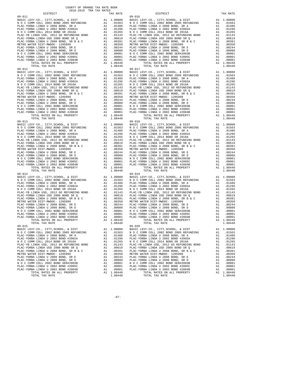| TOTAL TAX RATE                                                                                                                                                                                                                 |          | 1.08440          |                    |
|--------------------------------------------------------------------------------------------------------------------------------------------------------------------------------------------------------------------------------|----------|------------------|--------------------|
|                                                                                                                                                                                                                                |          |                  |                    |
|                                                                                                                                                                                                                                |          |                  |                    |
|                                                                                                                                                                                                                                |          |                  |                    |
|                                                                                                                                                                                                                                |          |                  |                    |
|                                                                                                                                                                                                                                |          |                  |                    |
|                                                                                                                                                                                                                                |          |                  |                    |
|                                                                                                                                                                                                                                |          |                  |                    |
|                                                                                                                                                                                                                                |          |                  |                    |
|                                                                                                                                                                                                                                |          |                  |                    |
|                                                                                                                                                                                                                                |          |                  |                    |
|                                                                                                                                                                                                                                |          |                  |                    |
|                                                                                                                                                                                                                                |          |                  |                    |
|                                                                                                                                                                                                                                |          |                  |                    |
|                                                                                                                                                                                                                                |          |                  |                    |
|                                                                                                                                                                                                                                |          |                  |                    |
|                                                                                                                                                                                                                                |          |                  |                    |
|                                                                                                                                                                                                                                |          |                  |                    |
|                                                                                                                                                                                                                                |          |                  |                    |
|                                                                                                                                                                                                                                |          |                  |                    |
|                                                                                                                                                                                                                                |          |                  |                    |
|                                                                                                                                                                                                                                |          |                  |                    |
|                                                                                                                                                                                                                                |          |                  |                    |
|                                                                                                                                                                                                                                |          |                  |                    |
|                                                                                                                                                                                                                                |          |                  |                    |
|                                                                                                                                                                                                                                |          |                  |                    |
|                                                                                                                                                                                                                                |          |                  |                    |
|                                                                                                                                                                                                                                |          |                  |                    |
|                                                                                                                                                                                                                                |          |                  |                    |
|                                                                                                                                                                                                                                |          |                  |                    |
| TOTAL TAX RATE                                                                                                                                                                                                                 |          | 1.08440          |                    |
|                                                                                                                                                                                                                                |          |                  |                    |
|                                                                                                                                                                                                                                |          |                  |                    |
|                                                                                                                                                                                                                                |          |                  |                    |
|                                                                                                                                                                                                                                |          |                  |                    |
|                                                                                                                                                                                                                                |          |                  |                    |
|                                                                                                                                                                                                                                |          |                  |                    |
|                                                                                                                                                                                                                                |          |                  |                    |
|                                                                                                                                                                                                                                |          |                  |                    |
|                                                                                                                                                                                                                                |          |                  |                    |
|                                                                                                                                                                                                                                |          |                  |                    |
|                                                                                                                                                                                                                                |          |                  |                    |
|                                                                                                                                                                                                                                |          |                  |                    |
|                                                                                                                                                                                                                                |          |                  |                    |
|                                                                                                                                                                                                                                |          |                  |                    |
|                                                                                                                                                                                                                                |          |                  |                    |
| $09 - 015$                                                                                                                                                                                                                     |          |                  | $09 - 020$         |
| BASIC LEVY-CO., CITY, SCHOOL, & DIST al 1.00000 BASIC LAIR AND COMM COLL 2002 BOND 2005 REFUNDING A1 .01563 N O C C PLAC-YORBA LINDA U 2008 BOND, SR A al .01486 PLAC-YORBA LINDA U 2008 BOND, SR A al .01486 PLAC-YORBA LINDA |          |                  |                    |
|                                                                                                                                                                                                                                |          |                  |                    |
|                                                                                                                                                                                                                                |          |                  |                    |
| PLAC-YORBA LINDA U 2002 BOND #2002A                                                                                                                                                                                            | A1       | .01296           | PLAC-YO            |
| N O C COMM COLL 2014 BOND SR 2016A                                                                                                                                                                                             | A1       | .01265           | NOCC               |
| PLAC-YB LINDA USD, 2012 GO REFUNDING BOND                                                                                                                                                                                      | A1       | .01143           | PLAC-YB            |
| PLAC-YORBA LINDA USD 2008 BOND SR Q                                                                                                                                                                                            | A1       | .00619           | PLAC-YO            |
| PLAC-YORBA LINDA U 2008 BOND, SR B & C<br>METRO WATER DIST-MWDOC- 1205999                                                                                                                                                      | A1<br>A1 | .00391<br>.00350 | PLAC-YO<br>METRO W |
| PLAC-YORBA LINDA U 2008 BOND, SR E                                                                                                                                                                                             | A1       | .00244           | PLAC-YO            |
| PLAC-YORBA LINDA U 2008 BOND, SR D                                                                                                                                                                                             | A1       | .00080           | PLAC-YO            |
| N O C COMM COLL 2002 BOND SER#2003B                                                                                                                                                                                            | A1       | .00001           | NOCC               |
| PLAC-YORBA LINDA U 2002 BOND #2005C                                                                                                                                                                                            | A1       | .00001           | PLAC-YO            |
| PLAC-YORBA LINDA U 2002 BOND #2004B                                                                                                                                                                                            | A1       | .00001           | PLAC-YO            |
| TOTAL RATES ON ALL PROPERTY                                                                                                                                                                                                    | A1       | 1.08440          |                    |
| TOTAL TAX RATE                                                                                                                                                                                                                 |          | 1.08440          |                    |

| COUNTY OF ORANGE TAX RATE BOOK<br>$2018-2019 \quad \text{TRA TAX RATES}$ DISTRICT                                                                                                                                                     |          |                                                                                                                                                |    |                        |
|---------------------------------------------------------------------------------------------------------------------------------------------------------------------------------------------------------------------------------------|----------|------------------------------------------------------------------------------------------------------------------------------------------------|----|------------------------|
|                                                                                                                                                                                                                                       | TAX RATE | DISTRICT                                                                                                                                       |    | TAX RATE               |
|                                                                                                                                                                                                                                       |          |                                                                                                                                                |    |                        |
|                                                                                                                                                                                                                                       |          |                                                                                                                                                |    |                        |
|                                                                                                                                                                                                                                       |          |                                                                                                                                                |    |                        |
|                                                                                                                                                                                                                                       |          |                                                                                                                                                |    |                        |
|                                                                                                                                                                                                                                       |          |                                                                                                                                                |    |                        |
|                                                                                                                                                                                                                                       |          |                                                                                                                                                |    |                        |
|                                                                                                                                                                                                                                       |          |                                                                                                                                                |    |                        |
|                                                                                                                                                                                                                                       |          |                                                                                                                                                |    |                        |
|                                                                                                                                                                                                                                       |          |                                                                                                                                                |    |                        |
|                                                                                                                                                                                                                                       |          |                                                                                                                                                |    |                        |
|                                                                                                                                                                                                                                       |          |                                                                                                                                                |    |                        |
|                                                                                                                                                                                                                                       |          |                                                                                                                                                |    |                        |
|                                                                                                                                                                                                                                       |          |                                                                                                                                                |    |                        |
|                                                                                                                                                                                                                                       |          |                                                                                                                                                |    |                        |
|                                                                                                                                                                                                                                       |          |                                                                                                                                                |    |                        |
|                                                                                                                                                                                                                                       |          |                                                                                                                                                |    |                        |
|                                                                                                                                                                                                                                       |          |                                                                                                                                                |    |                        |
|                                                                                                                                                                                                                                       |          |                                                                                                                                                |    |                        |
|                                                                                                                                                                                                                                       |          |                                                                                                                                                |    |                        |
|                                                                                                                                                                                                                                       |          |                                                                                                                                                |    |                        |
|                                                                                                                                                                                                                                       |          |                                                                                                                                                |    |                        |
|                                                                                                                                                                                                                                       |          |                                                                                                                                                |    |                        |
|                                                                                                                                                                                                                                       |          |                                                                                                                                                |    |                        |
|                                                                                                                                                                                                                                       |          |                                                                                                                                                |    |                        |
|                                                                                                                                                                                                                                       |          |                                                                                                                                                |    |                        |
|                                                                                                                                                                                                                                       |          |                                                                                                                                                |    |                        |
|                                                                                                                                                                                                                                       |          |                                                                                                                                                |    |                        |
|                                                                                                                                                                                                                                       |          |                                                                                                                                                |    |                        |
|                                                                                                                                                                                                                                       |          |                                                                                                                                                |    |                        |
|                                                                                                                                                                                                                                       |          |                                                                                                                                                |    |                        |
|                                                                                                                                                                                                                                       |          |                                                                                                                                                |    |                        |
|                                                                                                                                                                                                                                       |          |                                                                                                                                                |    |                        |
|                                                                                                                                                                                                                                       |          |                                                                                                                                                |    |                        |
|                                                                                                                                                                                                                                       |          |                                                                                                                                                |    |                        |
|                                                                                                                                                                                                                                       |          |                                                                                                                                                |    |                        |
|                                                                                                                                                                                                                                       |          |                                                                                                                                                |    |                        |
|                                                                                                                                                                                                                                       |          |                                                                                                                                                |    |                        |
|                                                                                                                                                                                                                                       |          |                                                                                                                                                |    |                        |
|                                                                                                                                                                                                                                       |          |                                                                                                                                                |    |                        |
|                                                                                                                                                                                                                                       |          |                                                                                                                                                |    |                        |
|                                                                                                                                                                                                                                       |          |                                                                                                                                                |    |                        |
|                                                                                                                                                                                                                                       |          |                                                                                                                                                |    |                        |
|                                                                                                                                                                                                                                       |          |                                                                                                                                                |    |                        |
|                                                                                                                                                                                                                                       |          |                                                                                                                                                |    |                        |
|                                                                                                                                                                                                                                       |          |                                                                                                                                                |    |                        |
|                                                                                                                                                                                                                                       |          |                                                                                                                                                |    |                        |
|                                                                                                                                                                                                                                       |          |                                                                                                                                                |    |                        |
|                                                                                                                                                                                                                                       |          |                                                                                                                                                |    |                        |
|                                                                                                                                                                                                                                       |          |                                                                                                                                                |    |                        |
|                                                                                                                                                                                                                                       |          |                                                                                                                                                |    |                        |
|                                                                                                                                                                                                                                       |          |                                                                                                                                                |    |                        |
|                                                                                                                                                                                                                                       |          |                                                                                                                                                |    |                        |
|                                                                                                                                                                                                                                       |          |                                                                                                                                                |    |                        |
|                                                                                                                                                                                                                                       |          |                                                                                                                                                |    |                        |
|                                                                                                                                                                                                                                       |          |                                                                                                                                                |    |                        |
|                                                                                                                                                                                                                                       |          |                                                                                                                                                |    |                        |
|                                                                                                                                                                                                                                       |          |                                                                                                                                                |    |                        |
|                                                                                                                                                                                                                                       |          |                                                                                                                                                |    |                        |
|                                                                                                                                                                                                                                       |          |                                                                                                                                                |    |                        |
|                                                                                                                                                                                                                                       |          |                                                                                                                                                |    |                        |
| TOTAL TAX RATE                                                                                                                                                                                                                        | 1.08440  | TOTAL TAX RATE                                                                                                                                 |    | 1.08440                |
| $09 - 015$                                                                                                                                                                                                                            |          | $09 - 020$                                                                                                                                     |    |                        |
| UP-015<br>BASIC LEVY-CO., CITY, SCHOOL, & DIST<br>NOC COMM COLL 2002 BOND 2005 REFUNDING A1 .01563 NOC COMM COLL 2002 BOND 2005 REFUNDING<br>NOC COMM COLL 2002 BOND 2005 REFUNDING A1 .01563 NOC COMM COLL 2002 BOND AND SPAND SPAND |          | BASIC LEVY-CO., CITY, SCHOOL, & DIST                                                                                                           |    | A1 1.00000             |
|                                                                                                                                                                                                                                       |          |                                                                                                                                                |    | A1 .01563              |
| PLAC-YORBA LINDA U 2008 BOND, SR A<br>PLAC-YORBA LINDA U 2002 BOND #2002A                                                                                                                                                             |          | A1 .01486 PLAC-YORBA LINDA U 2008 BOND, SR A<br>A1 .01296 PLAC-YORBA LINDA U 2002 BOND #2002A                                                  |    | A1 .01486<br>A1 .01296 |
| N O C COMM COLL 2014 BOND SR 2016A                                                                                                                                                                                                    |          | A1 .01265 NOCCOMM COLL 2014 BOND SR 2016A                                                                                                      |    | A1 .01265              |
| PLAC-YB LINDA USD, 2012 GO REFUNDING BOND                                                                                                                                                                                             |          | A1 .01143 PLAC-YB LINDA USD, 2012 GO REFUNDING BOND                                                                                            |    | A1 .01143              |
| PLAC-YORBA LINDA USD 2008 BOND SR Q                                                                                                                                                                                                   |          |                                                                                                                                                |    | A1 .00619              |
|                                                                                                                                                                                                                                       |          | A1 .00619 PLAC-YORBA LINDA USD 2008 BOND SR Q<br>A1 .00391 PLAC-YORBA LINDA U 2008 BOND, SR B & C<br>A1 .00350 METRO WATER DIST-MWDOC- 1205999 | A1 | .00391                 |
|                                                                                                                                                                                                                                       |          |                                                                                                                                                | A1 | .00350                 |
|                                                                                                                                                                                                                                       |          |                                                                                                                                                |    | A1 .00244              |
|                                                                                                                                                                                                                                       |          |                                                                                                                                                |    | A1 .00080              |
|                                                                                                                                                                                                                                       |          |                                                                                                                                                |    | A1 .00001              |
|                                                                                                                                                                                                                                       |          |                                                                                                                                                |    | A1 .00001<br>A1 .00001 |
|                                                                                                                                                                                                                                       |          | RBA LINDA U 2002 BOND #2004B<br>TOTAL RATES ON ALL PROPERTY                                                                                    |    | A1 1.08440             |
|                                                                                                                                                                                                                                       |          |                                                                                                                                                |    | 1.08440                |

-87-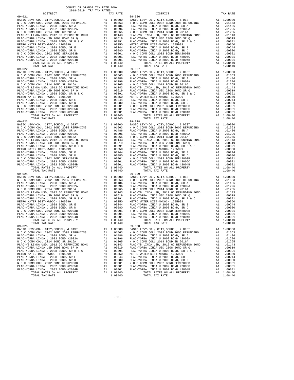| TOTAL TAX RATE                                       |    | 1.08440    |            |
|------------------------------------------------------|----|------------|------------|
| $09 - 022$                                           |    |            | $09 - 027$ |
|                                                      |    |            |            |
|                                                      |    |            |            |
|                                                      |    |            |            |
|                                                      |    |            |            |
|                                                      |    |            |            |
|                                                      |    |            |            |
|                                                      |    |            |            |
|                                                      |    |            |            |
|                                                      |    |            |            |
|                                                      |    |            |            |
|                                                      |    |            |            |
|                                                      |    |            |            |
|                                                      |    |            |            |
|                                                      |    |            |            |
|                                                      |    |            |            |
|                                                      |    |            |            |
| TOTAL TAX RATE                                       |    | 1.08440    |            |
|                                                      |    |            |            |
|                                                      |    |            |            |
|                                                      |    |            |            |
|                                                      |    |            |            |
|                                                      |    |            |            |
|                                                      |    |            |            |
|                                                      |    |            |            |
|                                                      |    |            |            |
|                                                      |    |            |            |
|                                                      |    |            |            |
|                                                      |    |            |            |
|                                                      |    |            |            |
|                                                      |    |            |            |
|                                                      |    |            |            |
|                                                      |    |            |            |
|                                                      |    |            |            |
|                                                      |    |            |            |
|                                                      |    |            |            |
|                                                      |    |            |            |
|                                                      |    |            |            |
|                                                      |    |            |            |
|                                                      |    |            |            |
|                                                      |    |            |            |
|                                                      |    |            |            |
|                                                      |    |            |            |
|                                                      |    |            |            |
|                                                      |    |            |            |
|                                                      |    |            |            |
|                                                      |    |            |            |
|                                                      |    |            |            |
|                                                      |    |            |            |
|                                                      |    |            |            |
|                                                      |    |            |            |
|                                                      |    |            |            |
|                                                      |    | A1 1.08440 |            |
| TOTAL TAX RATE                                       |    | 1,08440    |            |
| $09 - 025$                                           |    |            | $09 - 030$ |
|                                                      |    |            |            |
|                                                      |    |            |            |
| PLAC-YORBA LINDA U 2008 BOND, SR A Al .01486 PLAC-YO |    |            |            |
| PLAC-YORBA LINDA U 2002 BOND #2002A                  | A1 | .01296     | PLAC-YO    |
| N O C COMM COLL 2014 BOND SR 2016A                   | A1 | .01265     | N O C C    |
| PLAC-YB LINDA USD, 2012 GO REFUNDING BOND            | A1 | .01143     | PLAC-YB    |
| PLAC-YORBA LINDA USD 2008 BOND SR Q                  | A1 | .00619     | PLAC-YO    |
| PLAC-YORBA LINDA U 2008 BOND, SR B & C               | A1 | .00391     | PLAC-YO    |
| METRO WATER DIST-MWDOC- 1205999                      | A1 | .00350     | METRO W    |
| PLAC-YORBA LINDA U 2008 BOND, SR E                   | A1 | .00244     | PLAC-YO    |
| PLAC-YORBA LINDA U 2008 BOND, SR D                   |    |            |            |
|                                                      | A1 | .00080     | PLAC-YO    |
| N O C COMM COLL 2002 BOND SER#2003B                  | A1 | .00001     | N O C C    |
| PLAC-YORBA LINDA U 2002 BOND #2005C                  | A1 | .00001     | PLAC-YO    |
| PLAC-YORBA LINDA U 2002 BOND #2004B                  | A1 | .00001     | PLAC-YO    |
| TOTAL RATES ON ALL PROPERTY                          | A1 | 1.08440    |            |

| COUNTY OF ORANGE TAX RATE BOOK<br>2018-2019 TRA TAX RATES |          |                                                                                                                                                                                                                                                                        |    |                        |
|-----------------------------------------------------------|----------|------------------------------------------------------------------------------------------------------------------------------------------------------------------------------------------------------------------------------------------------------------------------|----|------------------------|
| DISTRICT                                                  | TAX RATE | DISTRICT                                                                                                                                                                                                                                                               |    | TAX RATE               |
|                                                           |          |                                                                                                                                                                                                                                                                        |    |                        |
|                                                           |          |                                                                                                                                                                                                                                                                        |    |                        |
|                                                           |          |                                                                                                                                                                                                                                                                        |    |                        |
|                                                           |          |                                                                                                                                                                                                                                                                        |    |                        |
|                                                           |          |                                                                                                                                                                                                                                                                        |    |                        |
|                                                           |          |                                                                                                                                                                                                                                                                        |    |                        |
|                                                           |          |                                                                                                                                                                                                                                                                        |    |                        |
|                                                           |          |                                                                                                                                                                                                                                                                        |    |                        |
|                                                           |          |                                                                                                                                                                                                                                                                        |    |                        |
|                                                           |          |                                                                                                                                                                                                                                                                        |    |                        |
|                                                           |          |                                                                                                                                                                                                                                                                        |    |                        |
|                                                           |          |                                                                                                                                                                                                                                                                        |    |                        |
|                                                           |          |                                                                                                                                                                                                                                                                        |    |                        |
|                                                           |          |                                                                                                                                                                                                                                                                        |    |                        |
|                                                           |          |                                                                                                                                                                                                                                                                        |    |                        |
|                                                           |          |                                                                                                                                                                                                                                                                        |    |                        |
|                                                           |          |                                                                                                                                                                                                                                                                        |    |                        |
|                                                           |          |                                                                                                                                                                                                                                                                        |    |                        |
|                                                           |          |                                                                                                                                                                                                                                                                        |    |                        |
|                                                           |          |                                                                                                                                                                                                                                                                        |    |                        |
|                                                           |          |                                                                                                                                                                                                                                                                        |    |                        |
|                                                           |          |                                                                                                                                                                                                                                                                        |    |                        |
|                                                           |          |                                                                                                                                                                                                                                                                        |    |                        |
|                                                           |          |                                                                                                                                                                                                                                                                        |    |                        |
|                                                           |          |                                                                                                                                                                                                                                                                        |    |                        |
|                                                           |          |                                                                                                                                                                                                                                                                        |    |                        |
|                                                           |          |                                                                                                                                                                                                                                                                        |    |                        |
|                                                           |          |                                                                                                                                                                                                                                                                        |    |                        |
|                                                           |          |                                                                                                                                                                                                                                                                        |    |                        |
|                                                           |          |                                                                                                                                                                                                                                                                        |    |                        |
|                                                           |          |                                                                                                                                                                                                                                                                        |    |                        |
|                                                           |          |                                                                                                                                                                                                                                                                        |    |                        |
|                                                           |          |                                                                                                                                                                                                                                                                        |    |                        |
|                                                           |          |                                                                                                                                                                                                                                                                        |    |                        |
|                                                           |          |                                                                                                                                                                                                                                                                        |    |                        |
|                                                           |          |                                                                                                                                                                                                                                                                        |    |                        |
|                                                           |          |                                                                                                                                                                                                                                                                        |    |                        |
|                                                           |          |                                                                                                                                                                                                                                                                        |    |                        |
|                                                           |          |                                                                                                                                                                                                                                                                        |    |                        |
|                                                           |          |                                                                                                                                                                                                                                                                        |    |                        |
|                                                           |          |                                                                                                                                                                                                                                                                        |    |                        |
|                                                           |          |                                                                                                                                                                                                                                                                        |    |                        |
|                                                           |          |                                                                                                                                                                                                                                                                        |    |                        |
|                                                           |          |                                                                                                                                                                                                                                                                        |    |                        |
|                                                           |          |                                                                                                                                                                                                                                                                        |    |                        |
|                                                           |          |                                                                                                                                                                                                                                                                        |    |                        |
|                                                           |          |                                                                                                                                                                                                                                                                        |    |                        |
|                                                           |          |                                                                                                                                                                                                                                                                        |    |                        |
|                                                           |          |                                                                                                                                                                                                                                                                        |    |                        |
|                                                           |          |                                                                                                                                                                                                                                                                        |    |                        |
|                                                           |          |                                                                                                                                                                                                                                                                        |    |                        |
|                                                           |          |                                                                                                                                                                                                                                                                        |    |                        |
|                                                           |          |                                                                                                                                                                                                                                                                        |    |                        |
|                                                           |          |                                                                                                                                                                                                                                                                        |    |                        |
|                                                           |          |                                                                                                                                                                                                                                                                        |    |                        |
|                                                           |          |                                                                                                                                                                                                                                                                        |    |                        |
|                                                           |          |                                                                                                                                                                                                                                                                        |    |                        |
|                                                           |          |                                                                                                                                                                                                                                                                        |    |                        |
| TOTAL TAX RATE<br>$09 - 025$                              | 1.08440  | TOTAL TAX RATE<br>$09 - 030$                                                                                                                                                                                                                                           |    | 1.08440                |
|                                                           |          | BASIC LEVY-CO., CITY, SCHOOL, & DIST<br>NO C COMM COLL 2002 BOND 2005 REFUNDING A1 0.01563 NO C COMM COLL 2002 BOND 2005 REFUNDING<br>BASIC LEVY-CO., CITY, SCHOOL, & DIST A1 1.00000                                                                                  |    |                        |
|                                                           |          |                                                                                                                                                                                                                                                                        |    | A1 .01563              |
| PLAC-YORBA LINDA U 2008 BOND, SR A                        |          | A1 .01486 PLAC-YORBA LINDA U 2008 BOND, SR A                                                                                                                                                                                                                           |    | A1 .01486              |
| PLAC-YORBA LINDA U 2002 BOND #2002A                       |          | A1 .01296 PLAC-YORBA LINDA U 2002 BOND #2002A                                                                                                                                                                                                                          |    | A1 .01296              |
|                                                           |          |                                                                                                                                                                                                                                                                        |    | A1 .01265<br>A1 .01143 |
|                                                           |          |                                                                                                                                                                                                                                                                        |    | A1 .00619              |
|                                                           |          |                                                                                                                                                                                                                                                                        |    | A1 .00391              |
|                                                           |          |                                                                                                                                                                                                                                                                        | A1 | .00350                 |
|                                                           |          |                                                                                                                                                                                                                                                                        |    | A1 .00244              |
|                                                           |          |                                                                                                                                                                                                                                                                        |    | A1 .00080              |
|                                                           |          |                                                                                                                                                                                                                                                                        |    | A1 .00001<br>A1 .00001 |
|                                                           |          |                                                                                                                                                                                                                                                                        |    | A1 .00001              |
|                                                           |          | PLAC-YORBA LINDA U 2002 BOND #2002<br>PLAC-YORBA LINDA U 2002 BOND #2002 BOND #2005<br>PLAC-YB LINDA USD, 2012 GO REFUNDING BOND<br>PLAC-YB LINDA USD, 2012 GO REFUNDING BOND<br>PLAC-YB LINDA USD, 2012 GO REFUNDING BOND<br>PLAC-YORB<br>TOTAL RATES ON ALL PROPERTY |    | A1 1.08440             |
| TOTAL TAX RATE                                            | 1.08440  | TOTAL TAX RATE                                                                                                                                                                                                                                                         |    | 1.08440                |

-88-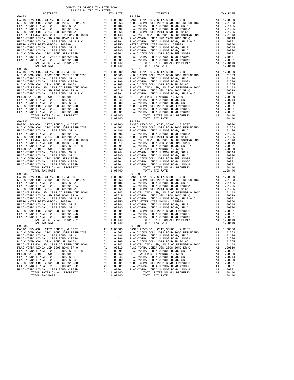| TOTAL TAX RATE                                       |    | 1.08440               |            |
|------------------------------------------------------|----|-----------------------|------------|
| $09 - 032$                                           |    |                       | $09 - 037$ |
|                                                      |    |                       |            |
|                                                      |    |                       |            |
|                                                      |    |                       |            |
|                                                      |    |                       |            |
|                                                      |    |                       |            |
|                                                      |    |                       |            |
|                                                      |    |                       |            |
|                                                      |    |                       |            |
|                                                      |    |                       |            |
|                                                      |    |                       |            |
|                                                      |    |                       |            |
|                                                      |    |                       |            |
|                                                      |    |                       |            |
|                                                      |    |                       |            |
|                                                      |    |                       |            |
|                                                      |    |                       |            |
| TOTAL TAX RATE                                       |    | 1.08440               |            |
|                                                      |    |                       |            |
|                                                      |    |                       |            |
|                                                      |    |                       |            |
|                                                      |    |                       |            |
|                                                      |    |                       |            |
|                                                      |    |                       |            |
|                                                      |    |                       |            |
|                                                      |    |                       |            |
|                                                      |    |                       |            |
|                                                      |    |                       |            |
|                                                      |    |                       |            |
|                                                      |    |                       |            |
|                                                      |    |                       |            |
|                                                      |    |                       |            |
|                                                      |    |                       |            |
|                                                      |    |                       |            |
|                                                      |    |                       |            |
|                                                      |    |                       |            |
|                                                      |    |                       |            |
|                                                      |    |                       |            |
|                                                      |    |                       |            |
|                                                      |    |                       |            |
|                                                      |    |                       |            |
|                                                      |    |                       |            |
|                                                      |    |                       |            |
|                                                      |    |                       |            |
|                                                      |    |                       |            |
|                                                      |    |                       |            |
|                                                      |    |                       |            |
|                                                      |    |                       |            |
|                                                      |    |                       |            |
|                                                      |    |                       |            |
|                                                      |    |                       |            |
|                                                      |    | A1 1.08440<br>1,08440 |            |
| TOTAL TAX RATE                                       |    |                       | $09 - 040$ |
| $09 - 035$                                           |    |                       |            |
|                                                      |    |                       |            |
|                                                      |    |                       |            |
| PLAC-YORBA LINDA U 2008 BOND, SR A Al .01486 PLAC-YO |    |                       |            |
| PLAC-YORBA LINDA U 2002 BOND #2002A                  | A1 | .01296                | PLAC-YO    |
| N O C COMM COLL 2014 BOND SR 2016A                   | A1 | .01265                | N O C C    |
| PLAC-YB LINDA USD, 2012 GO REFUNDING BOND            | A1 | .01143                | PLAC-YB    |
| PLAC-YORBA LINDA USD 2008 BOND SR Q                  | A1 | .00619                | PLAC-YO    |
| PLAC-YORBA LINDA U 2008 BOND, SR B & C               | A1 | .00391                | PLAC-YO    |
| METRO WATER DIST-MWDOC- 1205999                      | A1 | .00350                | METRO W    |
| PLAC-YORBA LINDA U 2008 BOND, SR E                   | A1 | .00244                | PLAC-YO    |
| PLAC-YORBA LINDA U 2008 BOND, SR D                   | A1 | .00080                | PLAC-YO    |
| N O C COMM COLL 2002 BOND SER#2003B                  | A1 | .00001                | N O C C    |
| PLAC-YORBA LINDA U 2002 BOND #2005C                  | A1 | .00001                | PLAC-YO    |
| PLAC-YORBA LINDA U 2002 BOND #2004B                  | A1 | .00001                | PLAC-YO    |
| TOTAL RATES ON ALL PROPERTY                          | A1 | 1.08440               |            |

| COUNTY OF ORANGE TAX RATE BOOK<br>2018-2019 TRA TAX RATES                                                                                                                                                                               |          |                                                                                                                                                                                       |    |                        |
|-----------------------------------------------------------------------------------------------------------------------------------------------------------------------------------------------------------------------------------------|----------|---------------------------------------------------------------------------------------------------------------------------------------------------------------------------------------|----|------------------------|
| DISTRICT                                                                                                                                                                                                                                | TAX RATE | DISTRICT                                                                                                                                                                              |    | TAX RATE               |
|                                                                                                                                                                                                                                         |          |                                                                                                                                                                                       |    |                        |
|                                                                                                                                                                                                                                         |          |                                                                                                                                                                                       |    |                        |
|                                                                                                                                                                                                                                         |          |                                                                                                                                                                                       |    |                        |
|                                                                                                                                                                                                                                         |          |                                                                                                                                                                                       |    |                        |
|                                                                                                                                                                                                                                         |          |                                                                                                                                                                                       |    |                        |
|                                                                                                                                                                                                                                         |          |                                                                                                                                                                                       |    |                        |
|                                                                                                                                                                                                                                         |          |                                                                                                                                                                                       |    |                        |
|                                                                                                                                                                                                                                         |          |                                                                                                                                                                                       |    |                        |
|                                                                                                                                                                                                                                         |          |                                                                                                                                                                                       |    |                        |
|                                                                                                                                                                                                                                         |          |                                                                                                                                                                                       |    |                        |
|                                                                                                                                                                                                                                         |          |                                                                                                                                                                                       |    |                        |
|                                                                                                                                                                                                                                         |          |                                                                                                                                                                                       |    |                        |
|                                                                                                                                                                                                                                         |          |                                                                                                                                                                                       |    |                        |
|                                                                                                                                                                                                                                         |          |                                                                                                                                                                                       |    |                        |
|                                                                                                                                                                                                                                         |          |                                                                                                                                                                                       |    |                        |
|                                                                                                                                                                                                                                         |          |                                                                                                                                                                                       |    |                        |
|                                                                                                                                                                                                                                         |          |                                                                                                                                                                                       |    |                        |
|                                                                                                                                                                                                                                         |          |                                                                                                                                                                                       |    |                        |
|                                                                                                                                                                                                                                         |          |                                                                                                                                                                                       |    |                        |
|                                                                                                                                                                                                                                         |          |                                                                                                                                                                                       |    |                        |
|                                                                                                                                                                                                                                         |          |                                                                                                                                                                                       |    |                        |
|                                                                                                                                                                                                                                         |          |                                                                                                                                                                                       |    |                        |
|                                                                                                                                                                                                                                         |          |                                                                                                                                                                                       |    |                        |
|                                                                                                                                                                                                                                         |          |                                                                                                                                                                                       |    |                        |
|                                                                                                                                                                                                                                         |          |                                                                                                                                                                                       |    |                        |
|                                                                                                                                                                                                                                         |          |                                                                                                                                                                                       |    |                        |
|                                                                                                                                                                                                                                         |          |                                                                                                                                                                                       |    |                        |
|                                                                                                                                                                                                                                         |          |                                                                                                                                                                                       |    |                        |
|                                                                                                                                                                                                                                         |          |                                                                                                                                                                                       |    |                        |
|                                                                                                                                                                                                                                         |          |                                                                                                                                                                                       |    |                        |
|                                                                                                                                                                                                                                         |          |                                                                                                                                                                                       |    |                        |
|                                                                                                                                                                                                                                         |          |                                                                                                                                                                                       |    |                        |
|                                                                                                                                                                                                                                         |          |                                                                                                                                                                                       |    |                        |
|                                                                                                                                                                                                                                         |          |                                                                                                                                                                                       |    |                        |
|                                                                                                                                                                                                                                         |          |                                                                                                                                                                                       |    |                        |
|                                                                                                                                                                                                                                         |          |                                                                                                                                                                                       |    |                        |
|                                                                                                                                                                                                                                         |          |                                                                                                                                                                                       |    |                        |
|                                                                                                                                                                                                                                         |          |                                                                                                                                                                                       |    |                        |
|                                                                                                                                                                                                                                         |          |                                                                                                                                                                                       |    |                        |
|                                                                                                                                                                                                                                         |          |                                                                                                                                                                                       |    |                        |
|                                                                                                                                                                                                                                         |          |                                                                                                                                                                                       |    |                        |
|                                                                                                                                                                                                                                         |          |                                                                                                                                                                                       |    |                        |
|                                                                                                                                                                                                                                         |          |                                                                                                                                                                                       |    |                        |
|                                                                                                                                                                                                                                         |          |                                                                                                                                                                                       |    |                        |
|                                                                                                                                                                                                                                         |          |                                                                                                                                                                                       |    |                        |
|                                                                                                                                                                                                                                         |          |                                                                                                                                                                                       |    |                        |
|                                                                                                                                                                                                                                         |          |                                                                                                                                                                                       |    |                        |
|                                                                                                                                                                                                                                         |          |                                                                                                                                                                                       |    |                        |
|                                                                                                                                                                                                                                         |          |                                                                                                                                                                                       |    |                        |
|                                                                                                                                                                                                                                         |          |                                                                                                                                                                                       |    |                        |
|                                                                                                                                                                                                                                         |          |                                                                                                                                                                                       |    |                        |
|                                                                                                                                                                                                                                         |          |                                                                                                                                                                                       |    |                        |
|                                                                                                                                                                                                                                         |          |                                                                                                                                                                                       |    |                        |
|                                                                                                                                                                                                                                         |          |                                                                                                                                                                                       |    |                        |
|                                                                                                                                                                                                                                         |          |                                                                                                                                                                                       |    |                        |
|                                                                                                                                                                                                                                         |          |                                                                                                                                                                                       |    |                        |
|                                                                                                                                                                                                                                         |          |                                                                                                                                                                                       |    |                        |
|                                                                                                                                                                                                                                         |          |                                                                                                                                                                                       |    |                        |
|                                                                                                                                                                                                                                         |          |                                                                                                                                                                                       |    |                        |
|                                                                                                                                                                                                                                         |          |                                                                                                                                                                                       |    |                        |
|                                                                                                                                                                                                                                         |          |                                                                                                                                                                                       |    |                        |
| TOTAL TAX RATE                                                                                                                                                                                                                          | 1.08440  | TOTAL TAX RATE                                                                                                                                                                        |    | 1.08440                |
| $09 - 035$                                                                                                                                                                                                                              |          | $09 - 040$                                                                                                                                                                            |    |                        |
|                                                                                                                                                                                                                                         |          | BASIC LEVY-CO., CITY, SCHOOL, & DIST<br>NO C COMM COLL 2002 BOND 2005 REFUNDING A1 0.01563 NO C COMM COLL 2002 BOND 2005 REFUNDING<br>BASIC LEVY-CO., CITY, SCHOOL, & DIST A1 1.00000 |    |                        |
| PLAC-YORBA LINDA U 2008 BOND, SR A                                                                                                                                                                                                      |          | A1 .01486 PLAC-YORBA LINDA U 2008 BOND, SR A                                                                                                                                          |    | A1 .01563<br>A1 .01486 |
| PLAC-YORBA LINDA U 2002 BOND #2002A                                                                                                                                                                                                     |          | A1 .01296 PLAC-YORBA LINDA U 2002 BOND #2002A                                                                                                                                         |    | A1.01296               |
|                                                                                                                                                                                                                                         |          |                                                                                                                                                                                       |    | A1 .01265              |
|                                                                                                                                                                                                                                         |          |                                                                                                                                                                                       |    | A1 .01143              |
|                                                                                                                                                                                                                                         |          |                                                                                                                                                                                       |    | A1 .00619              |
|                                                                                                                                                                                                                                         |          |                                                                                                                                                                                       |    | A1 .00391              |
|                                                                                                                                                                                                                                         |          |                                                                                                                                                                                       | A1 | .00350                 |
|                                                                                                                                                                                                                                         |          |                                                                                                                                                                                       |    | A1 .00244              |
|                                                                                                                                                                                                                                         |          |                                                                                                                                                                                       |    | A1 .00080              |
|                                                                                                                                                                                                                                         |          |                                                                                                                                                                                       |    | A1 .00001              |
|                                                                                                                                                                                                                                         |          |                                                                                                                                                                                       |    | A1 .00001<br>A1 .00001 |
| PLAC-YORBA LINDA U 2002 BOND #2002<br>PLAC-YORBA LINDA U 2002 BOND #2002 BOND #2005<br>PLAC-YB LINDA USD, 2012 GO REFUNDING BOND<br>PLAC-YB LINDA USD, 2012 GO REFUNDING BOND<br>PLAC-YB LINDA USD, 2012 GO REFUNDING BOND<br>PLAC-YORB |          | TOTAL RATES ON ALL PROPERTY                                                                                                                                                           |    | A1 1.08440             |
| TOTAL TAX RATE                                                                                                                                                                                                                          | 1.08440  | TOTAL TAX RATE                                                                                                                                                                        |    | 1.08440                |
|                                                                                                                                                                                                                                         |          |                                                                                                                                                                                       |    |                        |

-89-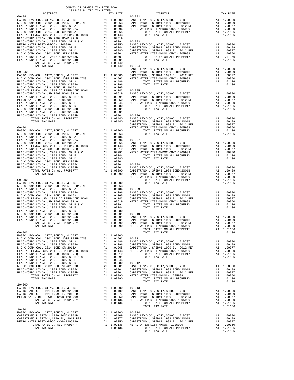| COUNTY OF ORANGE TAX RATE BOOK<br>2018-2019 TRA TAX RATES |                                                             |                    |
|-----------------------------------------------------------|-------------------------------------------------------------|--------------------|
| DISTRICT<br>$09 - 041$                                    | TAX RATE                                                    | $10 - 002$         |
|                                                           |                                                             |                    |
|                                                           |                                                             |                    |
|                                                           |                                                             |                    |
|                                                           |                                                             |                    |
|                                                           |                                                             |                    |
|                                                           |                                                             |                    |
|                                                           |                                                             |                    |
|                                                           |                                                             |                    |
|                                                           |                                                             |                    |
|                                                           |                                                             |                    |
|                                                           |                                                             |                    |
| TOTAL TAX RATE                                            | 1.08440 10-004                                              |                    |
|                                                           |                                                             | BASIC L            |
|                                                           |                                                             |                    |
|                                                           |                                                             |                    |
|                                                           |                                                             |                    |
|                                                           |                                                             |                    |
|                                                           |                                                             |                    |
|                                                           |                                                             |                    |
|                                                           |                                                             |                    |
|                                                           |                                                             |                    |
|                                                           |                                                             |                    |
|                                                           |                                                             |                    |
|                                                           |                                                             |                    |
|                                                           |                                                             |                    |
|                                                           |                                                             |                    |
|                                                           |                                                             | CAPISTR            |
| $09 - 901$                                                |                                                             | METRO W            |
|                                                           |                                                             |                    |
|                                                           |                                                             |                    |
|                                                           |                                                             |                    |
|                                                           |                                                             |                    |
|                                                           |                                                             |                    |
|                                                           |                                                             |                    |
|                                                           |                                                             |                    |
|                                                           |                                                             |                    |
|                                                           |                                                             |                    |
|                                                           |                                                             |                    |
|                                                           |                                                             |                    |
|                                                           |                                                             | METRO W            |
| $09 - 902$                                                |                                                             |                    |
|                                                           |                                                             |                    |
|                                                           |                                                             |                    |
|                                                           |                                                             |                    |
|                                                           |                                                             |                    |
|                                                           |                                                             |                    |
|                                                           |                                                             |                    |
|                                                           |                                                             |                    |
|                                                           |                                                             |                    |
|                                                           |                                                             |                    |
|                                                           |                                                             |                    |
| TOTAL RATES ON ALL PROPERTY                               | A1 1.08090 CAPISTR<br>1.08090 METROW                        |                    |
| TOTAL TAX RATE                                            |                                                             |                    |
| $09 - 903$                                                |                                                             |                    |
|                                                           |                                                             |                    |
|                                                           |                                                             |                    |
|                                                           |                                                             |                    |
|                                                           |                                                             |                    |
|                                                           |                                                             |                    |
|                                                           |                                                             |                    |
|                                                           |                                                             |                    |
|                                                           |                                                             |                    |
|                                                           |                                                             |                    |
|                                                           |                                                             |                    |
|                                                           |                                                             |                    |
| TOTAL TAX RATE                                            | 1.08090                                                     |                    |
|                                                           |                                                             |                    |
|                                                           | A1 1.00000 10-013                                           |                    |
|                                                           | .00377                                                      | BASIC L<br>CAPISTR |
|                                                           | A1 .00377 CAPISTR<br>A1 .00350 CAPISTR<br>A1 1.01136 METROW |                    |
|                                                           |                                                             |                    |
| TOTAL TAX RATE                                            | 1.01136                                                     |                    |
| $10 - 001$                                                |                                                             |                    |
|                                                           |                                                             |                    |
|                                                           |                                                             |                    |
|                                                           |                                                             |                    |
|                                                           |                                                             |                    |
| TOTAL TAX RATE                                            | 1.01136                                                     |                    |

| COUNTI OF ORNHOLD THIS RESID BOOK<br>2018-2019 TRA TAX RATES                                                                                                                                                                                                               |  |                            |          |
|----------------------------------------------------------------------------------------------------------------------------------------------------------------------------------------------------------------------------------------------------------------------------|--|----------------------------|----------|
| DISTRICT                                                                                                                                                                                                                                                                   |  | TAX RATE DISTRICT $10-002$ | TAX RATE |
|                                                                                                                                                                                                                                                                            |  |                            |          |
|                                                                                                                                                                                                                                                                            |  |                            |          |
|                                                                                                                                                                                                                                                                            |  |                            |          |
|                                                                                                                                                                                                                                                                            |  |                            |          |
|                                                                                                                                                                                                                                                                            |  |                            |          |
|                                                                                                                                                                                                                                                                            |  |                            |          |
|                                                                                                                                                                                                                                                                            |  |                            |          |
|                                                                                                                                                                                                                                                                            |  |                            |          |
|                                                                                                                                                                                                                                                                            |  |                            |          |
|                                                                                                                                                                                                                                                                            |  |                            |          |
|                                                                                                                                                                                                                                                                            |  |                            |          |
|                                                                                                                                                                                                                                                                            |  |                            |          |
|                                                                                                                                                                                                                                                                            |  |                            |          |
|                                                                                                                                                                                                                                                                            |  |                            |          |
|                                                                                                                                                                                                                                                                            |  |                            |          |
|                                                                                                                                                                                                                                                                            |  |                            |          |
|                                                                                                                                                                                                                                                                            |  |                            |          |
|                                                                                                                                                                                                                                                                            |  |                            |          |
|                                                                                                                                                                                                                                                                            |  |                            |          |
|                                                                                                                                                                                                                                                                            |  |                            |          |
|                                                                                                                                                                                                                                                                            |  |                            |          |
|                                                                                                                                                                                                                                                                            |  |                            |          |
|                                                                                                                                                                                                                                                                            |  |                            |          |
|                                                                                                                                                                                                                                                                            |  |                            |          |
|                                                                                                                                                                                                                                                                            |  |                            |          |
|                                                                                                                                                                                                                                                                            |  |                            |          |
|                                                                                                                                                                                                                                                                            |  |                            |          |
|                                                                                                                                                                                                                                                                            |  |                            |          |
|                                                                                                                                                                                                                                                                            |  |                            |          |
|                                                                                                                                                                                                                                                                            |  |                            |          |
|                                                                                                                                                                                                                                                                            |  |                            |          |
|                                                                                                                                                                                                                                                                            |  |                            |          |
|                                                                                                                                                                                                                                                                            |  |                            |          |
|                                                                                                                                                                                                                                                                            |  |                            |          |
|                                                                                                                                                                                                                                                                            |  |                            |          |
|                                                                                                                                                                                                                                                                            |  |                            |          |
|                                                                                                                                                                                                                                                                            |  |                            |          |
|                                                                                                                                                                                                                                                                            |  |                            |          |
|                                                                                                                                                                                                                                                                            |  |                            |          |
|                                                                                                                                                                                                                                                                            |  |                            |          |
|                                                                                                                                                                                                                                                                            |  |                            |          |
|                                                                                                                                                                                                                                                                            |  |                            |          |
|                                                                                                                                                                                                                                                                            |  |                            |          |
|                                                                                                                                                                                                                                                                            |  |                            |          |
|                                                                                                                                                                                                                                                                            |  |                            |          |
|                                                                                                                                                                                                                                                                            |  |                            |          |
|                                                                                                                                                                                                                                                                            |  |                            |          |
|                                                                                                                                                                                                                                                                            |  |                            |          |
|                                                                                                                                                                                                                                                                            |  |                            |          |
|                                                                                                                                                                                                                                                                            |  |                            |          |
|                                                                                                                                                                                                                                                                            |  |                            |          |
|                                                                                                                                                                                                                                                                            |  |                            |          |
|                                                                                                                                                                                                                                                                            |  |                            |          |
|                                                                                                                                                                                                                                                                            |  |                            |          |
|                                                                                                                                                                                                                                                                            |  |                            |          |
|                                                                                                                                                                                                                                                                            |  |                            |          |
|                                                                                                                                                                                                                                                                            |  |                            |          |
| $\begin{bmatrix} 1.01 & 0.01 & 0.01 & 0.01 & 0.01 & 0.01 & 0.01 & 0.01 & 0.01 & 0.01 & 0.01 & 0.01 & 0.01 & 0.01 & 0.01 & 0.01 & 0.01 & 0.01 & 0.01 & 0.01 & 0.01 & 0.01 & 0.01 & 0.01 & 0.01 & 0.01 & 0.01 & 0.01 & 0.01 & 0.01 & 0.01 & 0.01 & 0.01 & 0.01 & 0.01 & 0.0$ |  |                            |          |
|                                                                                                                                                                                                                                                                            |  |                            |          |
|                                                                                                                                                                                                                                                                            |  |                            |          |
|                                                                                                                                                                                                                                                                            |  |                            |          |
|                                                                                                                                                                                                                                                                            |  |                            |          |
|                                                                                                                                                                                                                                                                            |  |                            |          |
|                                                                                                                                                                                                                                                                            |  |                            |          |
|                                                                                                                                                                                                                                                                            |  |                            |          |
|                                                                                                                                                                                                                                                                            |  |                            |          |
|                                                                                                                                                                                                                                                                            |  |                            |          |
|                                                                                                                                                                                                                                                                            |  |                            |          |
|                                                                                                                                                                                                                                                                            |  |                            |          |
|                                                                                                                                                                                                                                                                            |  |                            |          |
|                                                                                                                                                                                                                                                                            |  |                            |          |
|                                                                                                                                                                                                                                                                            |  |                            |          |
|                                                                                                                                                                                                                                                                            |  |                            |          |
|                                                                                                                                                                                                                                                                            |  |                            |          |
|                                                                                                                                                                                                                                                                            |  |                            |          |
|                                                                                                                                                                                                                                                                            |  |                            |          |
|                                                                                                                                                                                                                                                                            |  |                            |          |
|                                                                                                                                                                                                                                                                            |  |                            |          |
|                                                                                                                                                                                                                                                                            |  |                            |          |
|                                                                                                                                                                                                                                                                            |  |                            |          |
|                                                                                                                                                                                                                                                                            |  |                            |          |
|                                                                                                                                                                                                                                                                            |  |                            |          |
|                                                                                                                                                                                                                                                                            |  |                            |          |
|                                                                                                                                                                                                                                                                            |  | TOTAL TAX RATE             | 1.01136  |
|                                                                                                                                                                                                                                                                            |  |                            |          |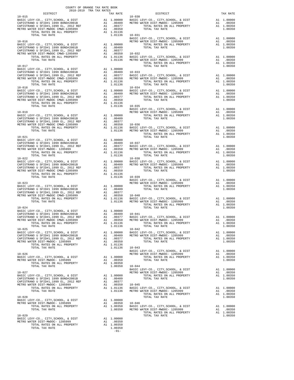| COUNTY OF ORANGE TAX RATE BOOK<br>2018–2019 TRA TAX RATES<br>DISTRICT TAX RJ                                                                             |          |                                                                                                                                                                                                                                                                                                                                                                                                                                      |          |
|----------------------------------------------------------------------------------------------------------------------------------------------------------|----------|--------------------------------------------------------------------------------------------------------------------------------------------------------------------------------------------------------------------------------------------------------------------------------------------------------------------------------------------------------------------------------------------------------------------------------------|----------|
| $10 - 015$                                                                                                                                               | TAX RATE | DISTRICT<br>$10 - 030$                                                                                                                                                                                                                                                                                                                                                                                                               | TAX RATE |
|                                                                                                                                                          |          |                                                                                                                                                                                                                                                                                                                                                                                                                                      |          |
|                                                                                                                                                          |          |                                                                                                                                                                                                                                                                                                                                                                                                                                      |          |
|                                                                                                                                                          |          |                                                                                                                                                                                                                                                                                                                                                                                                                                      |          |
|                                                                                                                                                          |          |                                                                                                                                                                                                                                                                                                                                                                                                                                      |          |
|                                                                                                                                                          |          |                                                                                                                                                                                                                                                                                                                                                                                                                                      |          |
|                                                                                                                                                          |          |                                                                                                                                                                                                                                                                                                                                                                                                                                      |          |
| $10 - 017$                                                                                                                                               |          | $\begin{tabular}{c c c c c} TOTAL TAX RATE & 1.01136 & 10-0131 & 1.00000 & 0.01136 & 10-0131 & 1.00000 & 0.01136 & 0.01136 & 0.01136 & 0.01136 & 0.01136 & 0.01136 & 0.01136 & 0.01136 & 0.01136 & 0.01136 & 0.01136 & 0.01136 & 0.01136 & 0.01136 & 0.01136 & 0.0113$<br>TOTAL TAX RATE                                                                                                                                             | 1.00350  |
|                                                                                                                                                          |          |                                                                                                                                                                                                                                                                                                                                                                                                                                      |          |
|                                                                                                                                                          |          |                                                                                                                                                                                                                                                                                                                                                                                                                                      |          |
|                                                                                                                                                          |          |                                                                                                                                                                                                                                                                                                                                                                                                                                      |          |
|                                                                                                                                                          |          |                                                                                                                                                                                                                                                                                                                                                                                                                                      |          |
|                                                                                                                                                          |          |                                                                                                                                                                                                                                                                                                                                                                                                                                      |          |
|                                                                                                                                                          |          |                                                                                                                                                                                                                                                                                                                                                                                                                                      |          |
|                                                                                                                                                          |          |                                                                                                                                                                                                                                                                                                                                                                                                                                      |          |
|                                                                                                                                                          |          |                                                                                                                                                                                                                                                                                                                                                                                                                                      |          |
|                                                                                                                                                          |          |                                                                                                                                                                                                                                                                                                                                                                                                                                      |          |
|                                                                                                                                                          |          |                                                                                                                                                                                                                                                                                                                                                                                                                                      |          |
|                                                                                                                                                          |          |                                                                                                                                                                                                                                                                                                                                                                                                                                      |          |
| $10 - 021$                                                                                                                                               |          | $\begin{tabular}{c c c c c} \multicolumn{4}{c c c} \multicolumn{4}{c c c} \multicolumn{4}{c c c} \multicolumn{4}{c c c} \multicolumn{4}{c c c} \multicolumn{4}{c c c} \multicolumn{4}{c c c} \multicolumn{4}{c c c} \multicolumn{4}{c c c} \multicolumn{4}{c c c} \multicolumn{4}{c c c} \multicolumn{4}{c c c} \multicolumn{4}{c c c} \multicolumn{4}{c c c} \multicolumn{4}{c c c} \multicolumn{4}{c $<br>TOTAL TAX RATE           | 1,00350  |
|                                                                                                                                                          |          |                                                                                                                                                                                                                                                                                                                                                                                                                                      |          |
|                                                                                                                                                          |          |                                                                                                                                                                                                                                                                                                                                                                                                                                      |          |
|                                                                                                                                                          |          |                                                                                                                                                                                                                                                                                                                                                                                                                                      |          |
|                                                                                                                                                          |          |                                                                                                                                                                                                                                                                                                                                                                                                                                      |          |
|                                                                                                                                                          |          |                                                                                                                                                                                                                                                                                                                                                                                                                                      |          |
|                                                                                                                                                          |          |                                                                                                                                                                                                                                                                                                                                                                                                                                      |          |
|                                                                                                                                                          |          |                                                                                                                                                                                                                                                                                                                                                                                                                                      |          |
|                                                                                                                                                          |          |                                                                                                                                                                                                                                                                                                                                                                                                                                      |          |
|                                                                                                                                                          |          |                                                                                                                                                                                                                                                                                                                                                                                                                                      |          |
|                                                                                                                                                          |          |                                                                                                                                                                                                                                                                                                                                                                                                                                      |          |
|                                                                                                                                                          |          |                                                                                                                                                                                                                                                                                                                                                                                                                                      |          |
|                                                                                                                                                          |          |                                                                                                                                                                                                                                                                                                                                                                                                                                      |          |
|                                                                                                                                                          |          |                                                                                                                                                                                                                                                                                                                                                                                                                                      |          |
|                                                                                                                                                          |          |                                                                                                                                                                                                                                                                                                                                                                                                                                      |          |
|                                                                                                                                                          |          |                                                                                                                                                                                                                                                                                                                                                                                                                                      |          |
|                                                                                                                                                          |          |                                                                                                                                                                                                                                                                                                                                                                                                                                      |          |
|                                                                                                                                                          |          |                                                                                                                                                                                                                                                                                                                                                                                                                                      |          |
|                                                                                                                                                          |          |                                                                                                                                                                                                                                                                                                                                                                                                                                      |          |
|                                                                                                                                                          |          |                                                                                                                                                                                                                                                                                                                                                                                                                                      |          |
|                                                                                                                                                          |          |                                                                                                                                                                                                                                                                                                                                                                                                                                      |          |
|                                                                                                                                                          |          |                                                                                                                                                                                                                                                                                                                                                                                                                                      |          |
|                                                                                                                                                          |          |                                                                                                                                                                                                                                                                                                                                                                                                                                      |          |
|                                                                                                                                                          |          |                                                                                                                                                                                                                                                                                                                                                                                                                                      |          |
|                                                                                                                                                          |          | $\begin{tabular}{c c c c c} \multicolumn{3}{c c c} \multicolumn{3}{c c}{} & \multicolumn{3}{c c}{} & \multicolumn{3}{c c}{} & \multicolumn{3}{c c}{} & \multicolumn{3}{c c}{} & \multicolumn{3}{c c}{} & \multicolumn{3}{c c}{} & \multicolumn{3}{c c}{} & \multicolumn{3}{c c}{} & \multicolumn{3}{c c}{} & \multicolumn{3}{c c}{} & \multicolumn{3}{c c}{} & \multicolumn{3}{c c}{} & \multicolumn{3}{c c}{} & \multicolumn{3}{c $ |          |
|                                                                                                                                                          |          |                                                                                                                                                                                                                                                                                                                                                                                                                                      |          |
|                                                                                                                                                          |          |                                                                                                                                                                                                                                                                                                                                                                                                                                      |          |
|                                                                                                                                                          |          |                                                                                                                                                                                                                                                                                                                                                                                                                                      |          |
|                                                                                                                                                          |          |                                                                                                                                                                                                                                                                                                                                                                                                                                      |          |
|                                                                                                                                                          |          |                                                                                                                                                                                                                                                                                                                                                                                                                                      |          |
|                                                                                                                                                          |          | $\begin{tabular}{c c c c c} TOTAL TAX RATE & 1.00350 & 10-045 \\ \hline \texttt{BASTC LEVY-CO., CITY, SCHOOL, & DIST & A1 & 1.00000 \\ \texttt{BASTC LEVY-CO., CITY, SCHOOL, & DIST & A1 & 1.00000 \\ \texttt{BASTC LEVY-CO., CITY, SCHOOL, & DIST & A1 & 1.00000 \\ \texttt{CAPISTRANO U SFID#1 1999 BOND#2001B} & A1 & 1.00000 \\ \texttt{CAPISTRANO U SFID#1 1999 BOND#2001B$                                                     |          |
|                                                                                                                                                          |          |                                                                                                                                                                                                                                                                                                                                                                                                                                      |          |
|                                                                                                                                                          |          |                                                                                                                                                                                                                                                                                                                                                                                                                                      |          |
|                                                                                                                                                          |          |                                                                                                                                                                                                                                                                                                                                                                                                                                      |          |
|                                                                                                                                                          |          |                                                                                                                                                                                                                                                                                                                                                                                                                                      |          |
| BASIC LEVY-CO., CITY, SCHOOL, & DIST Al 1.00000<br>METRO WATER DIST-MWDOC- 1205999 Al .00350<br>TOTAL RATES ON ALL PROPERTY Al 1.00350<br>TOTAL TAY DATE |          |                                                                                                                                                                                                                                                                                                                                                                                                                                      |          |
| TOTAL TAX RATE                                                                                                                                           | 1.00350  |                                                                                                                                                                                                                                                                                                                                                                                                                                      |          |
|                                                                                                                                                          | $-91-$   |                                                                                                                                                                                                                                                                                                                                                                                                                                      |          |

| レエウエルエニエ<br>$10 - 015$                                                                                                                                                                                                                                                      | tuv vute | レエウエルエニエ<br>$10 - 030$                                                                                                                                                                                                                                                                                                                                                                                                                        | TWV WITH |
|-----------------------------------------------------------------------------------------------------------------------------------------------------------------------------------------------------------------------------------------------------------------------------|----------|-----------------------------------------------------------------------------------------------------------------------------------------------------------------------------------------------------------------------------------------------------------------------------------------------------------------------------------------------------------------------------------------------------------------------------------------------|----------|
|                                                                                                                                                                                                                                                                             |          |                                                                                                                                                                                                                                                                                                                                                                                                                                               |          |
|                                                                                                                                                                                                                                                                             |          |                                                                                                                                                                                                                                                                                                                                                                                                                                               |          |
|                                                                                                                                                                                                                                                                             |          |                                                                                                                                                                                                                                                                                                                                                                                                                                               |          |
|                                                                                                                                                                                                                                                                             |          |                                                                                                                                                                                                                                                                                                                                                                                                                                               |          |
|                                                                                                                                                                                                                                                                             |          |                                                                                                                                                                                                                                                                                                                                                                                                                                               |          |
|                                                                                                                                                                                                                                                                             |          |                                                                                                                                                                                                                                                                                                                                                                                                                                               |          |
|                                                                                                                                                                                                                                                                             |          |                                                                                                                                                                                                                                                                                                                                                                                                                                               |          |
|                                                                                                                                                                                                                                                                             |          |                                                                                                                                                                                                                                                                                                                                                                                                                                               |          |
|                                                                                                                                                                                                                                                                             |          |                                                                                                                                                                                                                                                                                                                                                                                                                                               |          |
|                                                                                                                                                                                                                                                                             |          |                                                                                                                                                                                                                                                                                                                                                                                                                                               |          |
|                                                                                                                                                                                                                                                                             |          |                                                                                                                                                                                                                                                                                                                                                                                                                                               |          |
|                                                                                                                                                                                                                                                                             |          |                                                                                                                                                                                                                                                                                                                                                                                                                                               |          |
|                                                                                                                                                                                                                                                                             |          |                                                                                                                                                                                                                                                                                                                                                                                                                                               |          |
|                                                                                                                                                                                                                                                                             |          |                                                                                                                                                                                                                                                                                                                                                                                                                                               |          |
|                                                                                                                                                                                                                                                                             |          |                                                                                                                                                                                                                                                                                                                                                                                                                                               |          |
|                                                                                                                                                                                                                                                                             |          |                                                                                                                                                                                                                                                                                                                                                                                                                                               |          |
|                                                                                                                                                                                                                                                                             |          |                                                                                                                                                                                                                                                                                                                                                                                                                                               |          |
|                                                                                                                                                                                                                                                                             |          |                                                                                                                                                                                                                                                                                                                                                                                                                                               |          |
|                                                                                                                                                                                                                                                                             |          |                                                                                                                                                                                                                                                                                                                                                                                                                                               |          |
|                                                                                                                                                                                                                                                                             |          |                                                                                                                                                                                                                                                                                                                                                                                                                                               |          |
|                                                                                                                                                                                                                                                                             |          |                                                                                                                                                                                                                                                                                                                                                                                                                                               |          |
|                                                                                                                                                                                                                                                                             |          |                                                                                                                                                                                                                                                                                                                                                                                                                                               |          |
|                                                                                                                                                                                                                                                                             |          |                                                                                                                                                                                                                                                                                                                                                                                                                                               |          |
|                                                                                                                                                                                                                                                                             |          |                                                                                                                                                                                                                                                                                                                                                                                                                                               |          |
|                                                                                                                                                                                                                                                                             |          |                                                                                                                                                                                                                                                                                                                                                                                                                                               |          |
|                                                                                                                                                                                                                                                                             |          |                                                                                                                                                                                                                                                                                                                                                                                                                                               |          |
|                                                                                                                                                                                                                                                                             |          |                                                                                                                                                                                                                                                                                                                                                                                                                                               |          |
|                                                                                                                                                                                                                                                                             |          |                                                                                                                                                                                                                                                                                                                                                                                                                                               |          |
|                                                                                                                                                                                                                                                                             |          |                                                                                                                                                                                                                                                                                                                                                                                                                                               |          |
|                                                                                                                                                                                                                                                                             |          |                                                                                                                                                                                                                                                                                                                                                                                                                                               |          |
|                                                                                                                                                                                                                                                                             |          |                                                                                                                                                                                                                                                                                                                                                                                                                                               |          |
|                                                                                                                                                                                                                                                                             |          |                                                                                                                                                                                                                                                                                                                                                                                                                                               |          |
|                                                                                                                                                                                                                                                                             |          |                                                                                                                                                                                                                                                                                                                                                                                                                                               |          |
|                                                                                                                                                                                                                                                                             |          |                                                                                                                                                                                                                                                                                                                                                                                                                                               |          |
|                                                                                                                                                                                                                                                                             |          |                                                                                                                                                                                                                                                                                                                                                                                                                                               |          |
|                                                                                                                                                                                                                                                                             |          |                                                                                                                                                                                                                                                                                                                                                                                                                                               |          |
|                                                                                                                                                                                                                                                                             |          |                                                                                                                                                                                                                                                                                                                                                                                                                                               |          |
|                                                                                                                                                                                                                                                                             |          |                                                                                                                                                                                                                                                                                                                                                                                                                                               |          |
|                                                                                                                                                                                                                                                                             |          |                                                                                                                                                                                                                                                                                                                                                                                                                                               |          |
|                                                                                                                                                                                                                                                                             |          |                                                                                                                                                                                                                                                                                                                                                                                                                                               |          |
|                                                                                                                                                                                                                                                                             |          |                                                                                                                                                                                                                                                                                                                                                                                                                                               |          |
|                                                                                                                                                                                                                                                                             |          |                                                                                                                                                                                                                                                                                                                                                                                                                                               |          |
|                                                                                                                                                                                                                                                                             |          |                                                                                                                                                                                                                                                                                                                                                                                                                                               |          |
|                                                                                                                                                                                                                                                                             |          |                                                                                                                                                                                                                                                                                                                                                                                                                                               |          |
|                                                                                                                                                                                                                                                                             |          |                                                                                                                                                                                                                                                                                                                                                                                                                                               |          |
|                                                                                                                                                                                                                                                                             |          |                                                                                                                                                                                                                                                                                                                                                                                                                                               |          |
|                                                                                                                                                                                                                                                                             |          |                                                                                                                                                                                                                                                                                                                                                                                                                                               |          |
|                                                                                                                                                                                                                                                                             |          |                                                                                                                                                                                                                                                                                                                                                                                                                                               |          |
|                                                                                                                                                                                                                                                                             |          |                                                                                                                                                                                                                                                                                                                                                                                                                                               |          |
|                                                                                                                                                                                                                                                                             |          |                                                                                                                                                                                                                                                                                                                                                                                                                                               |          |
|                                                                                                                                                                                                                                                                             |          |                                                                                                                                                                                                                                                                                                                                                                                                                                               |          |
| $10 - 024$                                                                                                                                                                                                                                                                  |          | TOTAL TAX RATE                                                                                                                                                                                                                                                                                                                                                                                                                                | 1.00350  |
|                                                                                                                                                                                                                                                                             |          |                                                                                                                                                                                                                                                                                                                                                                                                                                               |          |
|                                                                                                                                                                                                                                                                             |          |                                                                                                                                                                                                                                                                                                                                                                                                                                               |          |
|                                                                                                                                                                                                                                                                             |          |                                                                                                                                                                                                                                                                                                                                                                                                                                               |          |
|                                                                                                                                                                                                                                                                             |          |                                                                                                                                                                                                                                                                                                                                                                                                                                               |          |
| $10 - 025$                                                                                                                                                                                                                                                                  |          | $10 - 042$                                                                                                                                                                                                                                                                                                                                                                                                                                    |          |
|                                                                                                                                                                                                                                                                             |          |                                                                                                                                                                                                                                                                                                                                                                                                                                               |          |
|                                                                                                                                                                                                                                                                             |          |                                                                                                                                                                                                                                                                                                                                                                                                                                               |          |
|                                                                                                                                                                                                                                                                             |          |                                                                                                                                                                                                                                                                                                                                                                                                                                               |          |
|                                                                                                                                                                                                                                                                             |          |                                                                                                                                                                                                                                                                                                                                                                                                                                               |          |
|                                                                                                                                                                                                                                                                             |          |                                                                                                                                                                                                                                                                                                                                                                                                                                               |          |
|                                                                                                                                                                                                                                                                             |          |                                                                                                                                                                                                                                                                                                                                                                                                                                               |          |
|                                                                                                                                                                                                                                                                             |          | $\begin{tabular}{lllllllllllllll} \multicolumn{4}{c }{\begin{tabular}{l} \multicolumn{4}{c}{\textbf{10-026}}\\ \multicolumn{4}{c}{\textbf{0.6}}\\ \multicolumn{4}{c}{\textbf{BASE LEVY-C0. , CITY, SCHOOL, & DIST} & \multicolumn{4}{c}{\textbf{A1}} & 1.00000\\ \multicolumn{4}{c}{\textbf{BASE LEVY-C0. , CITY, SCHOOL, & DIST} & \multicolumn{4}{c}{\textbf{A1}} & 1.00000\\ \multicolumn{4}{c}{\textbf{BASE LEVY-C0. , CITY, SCHOOL, & D$ |          |
|                                                                                                                                                                                                                                                                             |          |                                                                                                                                                                                                                                                                                                                                                                                                                                               |          |
|                                                                                                                                                                                                                                                                             |          |                                                                                                                                                                                                                                                                                                                                                                                                                                               |          |
|                                                                                                                                                                                                                                                                             |          |                                                                                                                                                                                                                                                                                                                                                                                                                                               |          |
|                                                                                                                                                                                                                                                                             |          |                                                                                                                                                                                                                                                                                                                                                                                                                                               |          |
|                                                                                                                                                                                                                                                                             |          |                                                                                                                                                                                                                                                                                                                                                                                                                                               |          |
|                                                                                                                                                                                                                                                                             |          |                                                                                                                                                                                                                                                                                                                                                                                                                                               |          |
|                                                                                                                                                                                                                                                                             |          |                                                                                                                                                                                                                                                                                                                                                                                                                                               |          |
|                                                                                                                                                                                                                                                                             |          |                                                                                                                                                                                                                                                                                                                                                                                                                                               |          |
|                                                                                                                                                                                                                                                                             |          | 10–027<br>BASIC LEVY-CO., CITY, SCHOOL, & DIST<br>CAPISTRANO U SFID#1 1999 BOND#2001B<br>CAPISTRANO U SFID#1 1999 BOND#2001B<br>CAPISTRANO U SFID#1 1999 BOND#2001B<br>CAPISTRANO U SFID#1 1999 EL, 2012 REF<br>METRO WATER DIST-MWDOC-120                                                                                                                                                                                                    |          |
|                                                                                                                                                                                                                                                                             |          |                                                                                                                                                                                                                                                                                                                                                                                                                                               |          |
|                                                                                                                                                                                                                                                                             |          |                                                                                                                                                                                                                                                                                                                                                                                                                                               |          |
|                                                                                                                                                                                                                                                                             |          |                                                                                                                                                                                                                                                                                                                                                                                                                                               |          |
|                                                                                                                                                                                                                                                                             |          |                                                                                                                                                                                                                                                                                                                                                                                                                                               |          |
|                                                                                                                                                                                                                                                                             |          | $\begin{tabular}{lllllllllllllllllll} \textbf{10-028} & & & & & \\ \textbf{BASIC LEVY-CO.}\textit{, CITY, SCHOOL}\textit{, & DIST} & & & \\ \textbf{METRO WATER DIST-MWDOC-1205999} & & & & \\ \textbf{TOTAL RATES ON ALL PROBERTY} & & & & \\ \textbf{TOTAL RATES ON ALL PROBERTY} & & & & \\ \textbf{1.00350} & & & & \\ \textbf{1.00350} & & & & \\ \textbf{1.00350} & & & & \\ \textbf{1.00350} & & & & \\ \textbf{1.00350$               |          |
|                                                                                                                                                                                                                                                                             |          |                                                                                                                                                                                                                                                                                                                                                                                                                                               |          |
|                                                                                                                                                                                                                                                                             |          |                                                                                                                                                                                                                                                                                                                                                                                                                                               |          |
|                                                                                                                                                                                                                                                                             |          |                                                                                                                                                                                                                                                                                                                                                                                                                                               |          |
|                                                                                                                                                                                                                                                                             |          |                                                                                                                                                                                                                                                                                                                                                                                                                                               |          |
| BASIC LEVY-CO., CITY, SCHOOL, & DIST $\begin{array}{ccccccccc}\n\text{METRO WATERO IIST} & & & \text{A1} & 1.00000 \\ \text{METRO WATERO IIST–MUDOC- 120599} & & & & \text{A1} & 0.0350 \\ \text{TQSTRO VARTS PARTS OMI 11 DOSEO} & & & & \text{A1} & 1.00350\n\end{array}$ |          |                                                                                                                                                                                                                                                                                                                                                                                                                                               |          |
|                                                                                                                                                                                                                                                                             |          |                                                                                                                                                                                                                                                                                                                                                                                                                                               |          |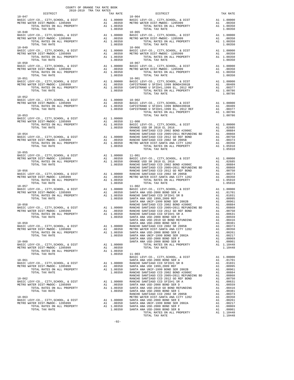| $\begin{minipage}{.4\linewidth} \begin{tabular}{lcccc} \multicolumn{2}{c}{\textbf{0.13}} & \multicolumn{2}{c}{\textbf{0.18}} & \multicolumn{2}{c}{\textbf{0.19}} & \multicolumn{2}{c}{\textbf{TA} & \textbf{RA} & \textbf{RA} & \textbf{BOOR} \\ \multicolumn{2}{c}{\textbf{0.18}} & \multicolumn{2}{c}{\textbf{0.19}} & \multicolumn{2}{c}{\textbf{TRA} & \textbf{TA} & \textbf{RA} & \textbf{RES} \\ \multicolumn{2}{c}{\textbf{DISTRICT}} & & & & & & \\ \end{tab$ |                                                                                                                                                                                                                                                                                                                                                                                                                      |          |
|-----------------------------------------------------------------------------------------------------------------------------------------------------------------------------------------------------------------------------------------------------------------------------------------------------------------------------------------------------------------------------------------------------------------------------------------------------------------------|----------------------------------------------------------------------------------------------------------------------------------------------------------------------------------------------------------------------------------------------------------------------------------------------------------------------------------------------------------------------------------------------------------------------|----------|
| $10 - 047$                                                                                                                                                                                                                                                                                                                                                                                                                                                            | TRA TAX RATES TAX RATE DISTRICT $\begin{array}{c} \n\hline\n\end{array}$<br>$10 - 064$                                                                                                                                                                                                                                                                                                                               | TAX RATE |
|                                                                                                                                                                                                                                                                                                                                                                                                                                                                       |                                                                                                                                                                                                                                                                                                                                                                                                                      |          |
|                                                                                                                                                                                                                                                                                                                                                                                                                                                                       |                                                                                                                                                                                                                                                                                                                                                                                                                      |          |
|                                                                                                                                                                                                                                                                                                                                                                                                                                                                       | $\begin{tabular}{l c c c c} 10-049 & 10-064 \\ \hline \texttt{BARTC EWY-CO, CITY, SCHOOL, & DIST & A1 1.00000 & \texttt{BASTC LEVY-CO, CITY, SCHOOL, & DIST \\ \hline \texttt{METRO WATER DIST-MMDOC- 1205999} & \texttt{A1 1.00000 & \texttt{BASTC LEVY-CO, CITY, SCHOOL, & DIST \\ \hline \texttt{METRO WATER OINTL RATES ON ALL PROPERTIES V1.00350 & \texttt{METRO WATER DIST-MMDOC- 1$                          |          |
|                                                                                                                                                                                                                                                                                                                                                                                                                                                                       | 10–050<br>METRO WATER DIST BASIC LEVY-CO., CITY, SCHOOL, & DIST BASIC LEVY-CO., CITY, SCHOOL, & DIST BASIC LEVY-CO., CITY, SCHOOL, & DIST A1 1.00000<br>METRO WATER DIST-MWDOC- 1205999 A1 .00350 METRO WATER DIST-MWDOC- 1205999                                                                                                                                                                                    |          |
| $10 - 051$                                                                                                                                                                                                                                                                                                                                                                                                                                                            | $10 - 901$                                                                                                                                                                                                                                                                                                                                                                                                           |          |
|                                                                                                                                                                                                                                                                                                                                                                                                                                                                       | $\begin{tabular}{l c c c c c} \hline 10-051 & 10-011 & 100000 & 10-911 & 100000 \\ \hline \texttt{BASTC LEVY-CO.}, \hspace{0.5cm} \texttt{CITY}, \hspace{0.5cm} \texttt{CCHV}-\texttt{CO.}, \hspace{0.5cm} \texttt{CITY}, \hspace{0.5cm} \texttt{SCHOOL}, \hspace{0.5cm} \texttt{k DIST} & \hspace{0.5cm} \texttt{AI} & \hspace{0.5cm} 1.00000 \\ \texttt{METRO WATER DIST-MNDOC-}$                                  |          |
|                                                                                                                                                                                                                                                                                                                                                                                                                                                                       |                                                                                                                                                                                                                                                                                                                                                                                                                      |          |
|                                                                                                                                                                                                                                                                                                                                                                                                                                                                       |                                                                                                                                                                                                                                                                                                                                                                                                                      |          |
|                                                                                                                                                                                                                                                                                                                                                                                                                                                                       |                                                                                                                                                                                                                                                                                                                                                                                                                      |          |
|                                                                                                                                                                                                                                                                                                                                                                                                                                                                       |                                                                                                                                                                                                                                                                                                                                                                                                                      |          |
|                                                                                                                                                                                                                                                                                                                                                                                                                                                                       |                                                                                                                                                                                                                                                                                                                                                                                                                      |          |
|                                                                                                                                                                                                                                                                                                                                                                                                                                                                       |                                                                                                                                                                                                                                                                                                                                                                                                                      |          |
|                                                                                                                                                                                                                                                                                                                                                                                                                                                                       | $\begin{tabular}{cccc} 10-055 \\ \text{BACIC LEVY-CO.}, CITY, SCHOOL, & DIST \\ \text{METRO WATER DIST-MIMOO}-1205999 & \text{A1} & 0.0050 \\ \text{TOVAL RATES OM ALL PROBERTY} & \text{A1} & 1.00000 \\ \text{TOVAL RATES OM ALL PROBERTY} & \text{A1} & 0.0550 \\ \text{TOVAL RATES OM ALL PROBERTY} & \text{A1} & 0.0550 \\ \text{TOVAL RATES OM ALL PROBERTY} & \text{A1} & 0.0550 \\ \text{TOVAL RATES OM ALL$ |          |
|                                                                                                                                                                                                                                                                                                                                                                                                                                                                       |                                                                                                                                                                                                                                                                                                                                                                                                                      |          |
|                                                                                                                                                                                                                                                                                                                                                                                                                                                                       |                                                                                                                                                                                                                                                                                                                                                                                                                      |          |
|                                                                                                                                                                                                                                                                                                                                                                                                                                                                       |                                                                                                                                                                                                                                                                                                                                                                                                                      |          |
|                                                                                                                                                                                                                                                                                                                                                                                                                                                                       |                                                                                                                                                                                                                                                                                                                                                                                                                      |          |
|                                                                                                                                                                                                                                                                                                                                                                                                                                                                       |                                                                                                                                                                                                                                                                                                                                                                                                                      |          |
|                                                                                                                                                                                                                                                                                                                                                                                                                                                                       |                                                                                                                                                                                                                                                                                                                                                                                                                      |          |
|                                                                                                                                                                                                                                                                                                                                                                                                                                                                       |                                                                                                                                                                                                                                                                                                                                                                                                                      |          |
|                                                                                                                                                                                                                                                                                                                                                                                                                                                                       |                                                                                                                                                                                                                                                                                                                                                                                                                      |          |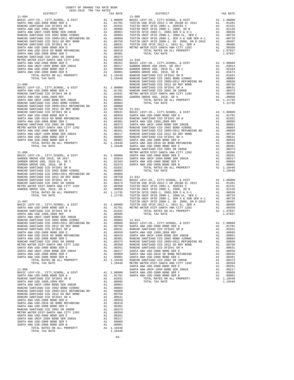| COUNTY OF ORANGE TAX RATE BOOK<br>2018-2019 TRA TAX RATES |          |          |          |
|-----------------------------------------------------------|----------|----------|----------|
|                                                           | TAX RATE | DISTRICT | TAX RATE |
|                                                           |          |          |          |
|                                                           |          |          |          |
|                                                           |          |          |          |
|                                                           |          |          |          |
|                                                           |          |          |          |
|                                                           |          |          |          |
|                                                           |          |          |          |
|                                                           |          |          |          |
|                                                           |          |          |          |
|                                                           |          |          |          |
|                                                           |          |          |          |
|                                                           |          |          |          |
|                                                           |          |          |          |
|                                                           |          |          |          |
|                                                           |          |          |          |
|                                                           |          |          |          |
|                                                           |          |          |          |
|                                                           |          |          |          |
|                                                           |          |          |          |
|                                                           |          |          |          |
|                                                           |          |          |          |
|                                                           |          |          |          |
|                                                           |          |          |          |
|                                                           |          |          |          |
|                                                           |          |          |          |
|                                                           |          |          |          |
|                                                           |          |          |          |
|                                                           |          |          |          |
|                                                           |          |          |          |
|                                                           |          |          |          |
|                                                           |          |          |          |
|                                                           |          |          |          |
|                                                           |          |          |          |
|                                                           |          |          |          |
|                                                           |          |          |          |
|                                                           |          |          |          |
|                                                           |          |          |          |
|                                                           |          |          |          |
|                                                           |          |          |          |
|                                                           |          |          |          |
|                                                           |          |          |          |
|                                                           |          |          |          |
|                                                           |          |          |          |
|                                                           |          |          |          |
|                                                           |          |          |          |
|                                                           |          |          |          |
|                                                           |          |          |          |
|                                                           |          |          |          |
|                                                           |          |          |          |
|                                                           |          |          |          |
|                                                           |          |          |          |
|                                                           |          |          |          |
|                                                           |          |          |          |
|                                                           |          |          |          |
|                                                           |          |          |          |
|                                                           |          |          |          |
|                                                           |          |          |          |
|                                                           |          |          |          |
|                                                           |          |          |          |
|                                                           |          |          |          |
|                                                           |          |          |          |
|                                                           |          |          |          |
|                                                           |          |          |          |
|                                                           |          |          |          |
|                                                           |          |          |          |
|                                                           |          |          |          |
|                                                           |          |          |          |
|                                                           |          |          |          |
|                                                           |          |          |          |
|                                                           |          |          |          |
|                                                           |          |          |          |
|                                                           |          |          |          |
|                                                           |          |          |          |
|                                                           |          |          |          |
|                                                           |          |          |          |
|                                                           |          |          |          |
|                                                           |          |          |          |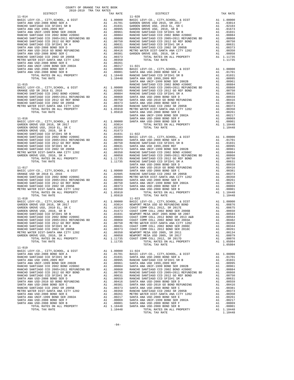|                                                                                                                                                                                                                                                                                                                                                                                                   | COUNTY OF ORANGE TAX RATE BOOK<br>2018-2019 TRA TAX RATES |          |          |          |
|---------------------------------------------------------------------------------------------------------------------------------------------------------------------------------------------------------------------------------------------------------------------------------------------------------------------------------------------------------------------------------------------------|-----------------------------------------------------------|----------|----------|----------|
| $\begin{minipage}{.4\linewidth} \begin{tabular}{lcccccc} \textbf{1-AX RATE} & \textbf{1-X} & \textbf{1-X} & \textbf{RATE} & \textbf{1} \\ \textbf{2018--2019} & \textbf{TRA TAX RATES} & \textbf{0.133} & \textbf{1.148} & \textbf{1.158} & \textbf{2.169} & \textbf{2.178} & \textbf{2.178} & \textbf{2.189} & \textbf{2.178} & \textbf{2.178} & \textbf{2.178} & \textbf{2.178} & \textbf{2.17$ |                                                           | TAX RATE | DISTRICT | TAX RATE |
|                                                                                                                                                                                                                                                                                                                                                                                                   |                                                           |          |          |          |
|                                                                                                                                                                                                                                                                                                                                                                                                   |                                                           |          |          |          |
|                                                                                                                                                                                                                                                                                                                                                                                                   |                                                           |          |          |          |
|                                                                                                                                                                                                                                                                                                                                                                                                   |                                                           |          |          |          |
|                                                                                                                                                                                                                                                                                                                                                                                                   |                                                           |          |          |          |
|                                                                                                                                                                                                                                                                                                                                                                                                   |                                                           |          |          |          |
|                                                                                                                                                                                                                                                                                                                                                                                                   |                                                           |          |          |          |
|                                                                                                                                                                                                                                                                                                                                                                                                   |                                                           |          |          |          |
|                                                                                                                                                                                                                                                                                                                                                                                                   |                                                           |          |          |          |
|                                                                                                                                                                                                                                                                                                                                                                                                   |                                                           |          |          |          |
|                                                                                                                                                                                                                                                                                                                                                                                                   |                                                           |          |          |          |
|                                                                                                                                                                                                                                                                                                                                                                                                   |                                                           |          |          |          |
|                                                                                                                                                                                                                                                                                                                                                                                                   |                                                           |          |          |          |
|                                                                                                                                                                                                                                                                                                                                                                                                   |                                                           |          |          |          |
|                                                                                                                                                                                                                                                                                                                                                                                                   |                                                           |          |          |          |
|                                                                                                                                                                                                                                                                                                                                                                                                   |                                                           |          |          |          |
|                                                                                                                                                                                                                                                                                                                                                                                                   |                                                           |          |          |          |
|                                                                                                                                                                                                                                                                                                                                                                                                   |                                                           |          |          |          |
|                                                                                                                                                                                                                                                                                                                                                                                                   |                                                           |          |          |          |
|                                                                                                                                                                                                                                                                                                                                                                                                   |                                                           |          |          |          |
|                                                                                                                                                                                                                                                                                                                                                                                                   |                                                           |          |          |          |
|                                                                                                                                                                                                                                                                                                                                                                                                   |                                                           |          |          |          |
|                                                                                                                                                                                                                                                                                                                                                                                                   |                                                           |          |          |          |
|                                                                                                                                                                                                                                                                                                                                                                                                   |                                                           |          |          |          |
|                                                                                                                                                                                                                                                                                                                                                                                                   |                                                           |          |          |          |
|                                                                                                                                                                                                                                                                                                                                                                                                   |                                                           |          |          |          |
|                                                                                                                                                                                                                                                                                                                                                                                                   |                                                           |          |          |          |
|                                                                                                                                                                                                                                                                                                                                                                                                   |                                                           |          |          |          |
|                                                                                                                                                                                                                                                                                                                                                                                                   |                                                           |          |          |          |
|                                                                                                                                                                                                                                                                                                                                                                                                   |                                                           |          |          |          |
|                                                                                                                                                                                                                                                                                                                                                                                                   |                                                           |          |          |          |
|                                                                                                                                                                                                                                                                                                                                                                                                   |                                                           |          |          |          |
|                                                                                                                                                                                                                                                                                                                                                                                                   |                                                           |          |          |          |
|                                                                                                                                                                                                                                                                                                                                                                                                   |                                                           |          |          |          |
|                                                                                                                                                                                                                                                                                                                                                                                                   |                                                           |          |          |          |
|                                                                                                                                                                                                                                                                                                                                                                                                   |                                                           |          |          |          |
|                                                                                                                                                                                                                                                                                                                                                                                                   |                                                           |          |          |          |
|                                                                                                                                                                                                                                                                                                                                                                                                   |                                                           |          |          |          |
|                                                                                                                                                                                                                                                                                                                                                                                                   |                                                           |          |          |          |
|                                                                                                                                                                                                                                                                                                                                                                                                   |                                                           |          |          |          |
|                                                                                                                                                                                                                                                                                                                                                                                                   |                                                           |          |          |          |
|                                                                                                                                                                                                                                                                                                                                                                                                   |                                                           |          |          |          |
|                                                                                                                                                                                                                                                                                                                                                                                                   |                                                           |          |          |          |
|                                                                                                                                                                                                                                                                                                                                                                                                   |                                                           |          |          |          |
|                                                                                                                                                                                                                                                                                                                                                                                                   |                                                           |          |          |          |
|                                                                                                                                                                                                                                                                                                                                                                                                   |                                                           |          |          |          |
|                                                                                                                                                                                                                                                                                                                                                                                                   |                                                           |          |          |          |
|                                                                                                                                                                                                                                                                                                                                                                                                   |                                                           |          |          |          |
|                                                                                                                                                                                                                                                                                                                                                                                                   |                                                           |          |          |          |
|                                                                                                                                                                                                                                                                                                                                                                                                   |                                                           |          |          |          |
|                                                                                                                                                                                                                                                                                                                                                                                                   |                                                           |          |          |          |
|                                                                                                                                                                                                                                                                                                                                                                                                   |                                                           |          |          |          |
|                                                                                                                                                                                                                                                                                                                                                                                                   |                                                           |          |          |          |
|                                                                                                                                                                                                                                                                                                                                                                                                   |                                                           |          |          |          |
|                                                                                                                                                                                                                                                                                                                                                                                                   |                                                           |          |          |          |
|                                                                                                                                                                                                                                                                                                                                                                                                   |                                                           |          |          |          |
|                                                                                                                                                                                                                                                                                                                                                                                                   |                                                           |          |          |          |
|                                                                                                                                                                                                                                                                                                                                                                                                   |                                                           |          |          |          |
|                                                                                                                                                                                                                                                                                                                                                                                                   |                                                           |          |          |          |
|                                                                                                                                                                                                                                                                                                                                                                                                   |                                                           |          |          |          |
|                                                                                                                                                                                                                                                                                                                                                                                                   |                                                           |          |          |          |
|                                                                                                                                                                                                                                                                                                                                                                                                   |                                                           |          |          |          |
|                                                                                                                                                                                                                                                                                                                                                                                                   |                                                           |          |          |          |
| $11 - 019$                                                                                                                                                                                                                                                                                                                                                                                        |                                                           |          |          |          |
|                                                                                                                                                                                                                                                                                                                                                                                                   |                                                           |          |          |          |
|                                                                                                                                                                                                                                                                                                                                                                                                   |                                                           |          |          |          |
|                                                                                                                                                                                                                                                                                                                                                                                                   |                                                           |          |          |          |
|                                                                                                                                                                                                                                                                                                                                                                                                   |                                                           |          |          |          |
|                                                                                                                                                                                                                                                                                                                                                                                                   |                                                           |          |          |          |
|                                                                                                                                                                                                                                                                                                                                                                                                   |                                                           |          |          |          |
|                                                                                                                                                                                                                                                                                                                                                                                                   |                                                           |          |          |          |
|                                                                                                                                                                                                                                                                                                                                                                                                   |                                                           |          |          |          |
|                                                                                                                                                                                                                                                                                                                                                                                                   |                                                           |          |          |          |
|                                                                                                                                                                                                                                                                                                                                                                                                   |                                                           |          |          |          |
|                                                                                                                                                                                                                                                                                                                                                                                                   |                                                           |          |          |          |
|                                                                                                                                                                                                                                                                                                                                                                                                   |                                                           |          |          |          |
|                                                                                                                                                                                                                                                                                                                                                                                                   |                                                           |          |          |          |
|                                                                                                                                                                                                                                                                                                                                                                                                   |                                                           |          |          |          |
|                                                                                                                                                                                                                                                                                                                                                                                                   |                                                           |          |          |          |
|                                                                                                                                                                                                                                                                                                                                                                                                   |                                                           |          |          |          |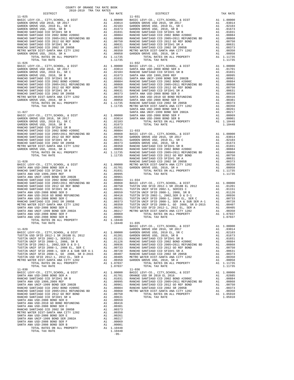| DISTRICT       | TAX RATE          | DISTRICT                             | TAX RATE   |
|----------------|-------------------|--------------------------------------|------------|
|                |                   |                                      |            |
|                |                   |                                      |            |
|                |                   |                                      |            |
|                |                   |                                      |            |
|                |                   |                                      |            |
|                |                   |                                      |            |
|                |                   |                                      |            |
|                |                   |                                      |            |
|                |                   |                                      |            |
|                |                   |                                      |            |
|                |                   |                                      |            |
|                |                   |                                      |            |
|                |                   |                                      |            |
|                |                   |                                      |            |
|                |                   |                                      |            |
|                |                   |                                      |            |
|                |                   |                                      |            |
|                |                   |                                      |            |
|                |                   |                                      |            |
|                |                   |                                      |            |
|                |                   |                                      |            |
|                |                   |                                      |            |
|                |                   |                                      |            |
|                |                   |                                      |            |
|                |                   |                                      |            |
|                |                   |                                      |            |
|                |                   |                                      |            |
|                |                   |                                      |            |
|                |                   |                                      |            |
|                |                   |                                      |            |
|                |                   |                                      |            |
|                |                   |                                      |            |
|                |                   |                                      |            |
|                |                   |                                      |            |
|                |                   |                                      |            |
|                |                   |                                      |            |
|                |                   |                                      |            |
|                |                   |                                      |            |
|                |                   |                                      |            |
|                |                   |                                      |            |
|                |                   |                                      |            |
|                |                   |                                      |            |
|                |                   |                                      |            |
|                |                   |                                      |            |
|                |                   |                                      |            |
|                |                   |                                      |            |
|                |                   |                                      |            |
|                |                   |                                      |            |
|                |                   |                                      |            |
|                |                   |                                      |            |
|                |                   |                                      |            |
|                |                   |                                      |            |
|                |                   |                                      |            |
|                |                   |                                      |            |
|                |                   |                                      |            |
|                |                   |                                      |            |
|                |                   |                                      |            |
|                |                   |                                      |            |
|                |                   |                                      |            |
|                |                   |                                      |            |
|                |                   |                                      |            |
|                |                   |                                      |            |
|                |                   |                                      |            |
|                |                   |                                      |            |
|                |                   | BASIC LEVY-CO., CITY, SCHOOL, & DIST | A1 1.00000 |
|                |                   |                                      |            |
|                |                   |                                      |            |
|                |                   |                                      |            |
|                |                   |                                      |            |
|                |                   |                                      |            |
|                |                   |                                      |            |
|                |                   |                                      |            |
|                |                   |                                      |            |
|                |                   |                                      |            |
|                |                   |                                      |            |
|                |                   |                                      |            |
|                |                   |                                      |            |
|                |                   |                                      |            |
|                |                   |                                      |            |
|                |                   |                                      |            |
|                |                   |                                      |            |
|                |                   |                                      |            |
|                |                   |                                      |            |
|                |                   |                                      |            |
|                |                   |                                      |            |
|                |                   |                                      |            |
|                |                   |                                      |            |
|                |                   |                                      |            |
|                |                   |                                      |            |
|                |                   |                                      |            |
|                |                   |                                      |            |
|                |                   |                                      |            |
|                |                   |                                      |            |
|                |                   |                                      |            |
|                |                   |                                      |            |
|                |                   |                                      |            |
| TOTAL TAX RATE | 1.10448<br>$-95-$ |                                      |            |

COUNTY OF ORANGE TAX RATE BOOK 2018-2019 TRA TAX RATES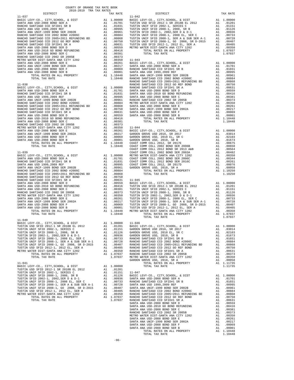| COUNTY OF ORANGE TAX RATE BOOK<br>2018-2019 TRA TAX RATES |          |          |          |
|-----------------------------------------------------------|----------|----------|----------|
|                                                           | TAX RATE | DISTRICT | TAX RATE |
|                                                           |          |          |          |
|                                                           |          |          |          |
|                                                           |          |          |          |
|                                                           |          |          |          |
|                                                           |          |          |          |
|                                                           |          |          |          |
|                                                           |          |          |          |
|                                                           |          |          |          |
|                                                           |          |          |          |
|                                                           |          |          |          |
|                                                           |          |          |          |
|                                                           |          |          |          |
|                                                           |          |          |          |
|                                                           |          |          |          |
|                                                           |          |          |          |
|                                                           |          |          |          |
|                                                           |          |          |          |
|                                                           |          |          |          |
|                                                           |          |          |          |
|                                                           |          |          |          |
|                                                           |          |          |          |
|                                                           |          |          |          |
|                                                           |          |          |          |
|                                                           |          |          |          |
|                                                           |          |          |          |
|                                                           |          |          |          |
|                                                           |          |          |          |
|                                                           |          |          |          |
|                                                           |          |          |          |
|                                                           |          |          |          |
|                                                           |          |          |          |
|                                                           |          |          |          |
|                                                           |          |          |          |
|                                                           |          |          |          |
|                                                           |          |          |          |
|                                                           |          |          |          |
|                                                           |          |          |          |
|                                                           |          |          |          |
|                                                           |          |          |          |
|                                                           |          |          |          |
|                                                           |          |          |          |
|                                                           |          |          |          |
|                                                           |          |          |          |
|                                                           |          |          |          |
|                                                           |          |          |          |
|                                                           |          |          |          |
|                                                           |          |          |          |
|                                                           |          |          |          |
|                                                           |          |          |          |
|                                                           |          |          |          |
|                                                           |          |          |          |
| $11 - 040$                                                |          |          |          |
|                                                           |          |          |          |
|                                                           |          |          |          |
|                                                           |          |          |          |
|                                                           |          |          |          |
|                                                           |          |          |          |
|                                                           |          |          |          |
|                                                           |          |          |          |
|                                                           |          |          |          |
|                                                           |          |          |          |
|                                                           |          |          |          |
|                                                           |          |          |          |
|                                                           |          |          |          |
|                                                           |          |          |          |
|                                                           |          |          |          |
|                                                           |          |          |          |
|                                                           |          |          |          |
|                                                           |          |          |          |
|                                                           |          |          |          |
|                                                           |          |          |          |
|                                                           |          |          |          |
|                                                           |          |          |          |
|                                                           |          |          |          |
|                                                           |          |          |          |
|                                                           |          |          |          |
|                                                           |          |          |          |
|                                                           |          |          |          |
|                                                           |          |          |          |
|                                                           |          |          |          |
|                                                           |          |          |          |
|                                                           | $-96-$   |          |          |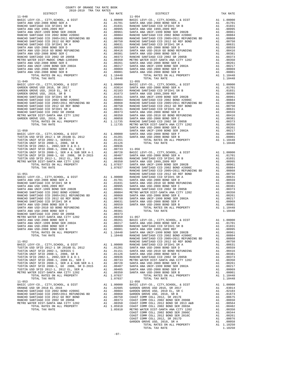| COUNTY OF ORANGE TAX RATE BOOK<br>2018-2019 TRA TAX RATES                                                                                                                                                                                                                                                                                                                                               |                                        |                    |
|---------------------------------------------------------------------------------------------------------------------------------------------------------------------------------------------------------------------------------------------------------------------------------------------------------------------------------------------------------------------------------------------------------|----------------------------------------|--------------------|
| DISTRICT                                                                                                                                                                                                                                                                                                                                                                                                | TAX RATE                               |                    |
| $11 - 048$                                                                                                                                                                                                                                                                                                                                                                                              |                                        | $11 - 054$         |
|                                                                                                                                                                                                                                                                                                                                                                                                         |                                        |                    |
|                                                                                                                                                                                                                                                                                                                                                                                                         |                                        |                    |
|                                                                                                                                                                                                                                                                                                                                                                                                         |                                        |                    |
|                                                                                                                                                                                                                                                                                                                                                                                                         |                                        |                    |
|                                                                                                                                                                                                                                                                                                                                                                                                         |                                        |                    |
|                                                                                                                                                                                                                                                                                                                                                                                                         |                                        |                    |
|                                                                                                                                                                                                                                                                                                                                                                                                         |                                        |                    |
|                                                                                                                                                                                                                                                                                                                                                                                                         |                                        |                    |
|                                                                                                                                                                                                                                                                                                                                                                                                         |                                        |                    |
|                                                                                                                                                                                                                                                                                                                                                                                                         |                                        |                    |
|                                                                                                                                                                                                                                                                                                                                                                                                         |                                        |                    |
|                                                                                                                                                                                                                                                                                                                                                                                                         |                                        |                    |
|                                                                                                                                                                                                                                                                                                                                                                                                         |                                        |                    |
|                                                                                                                                                                                                                                                                                                                                                                                                         |                                        |                    |
|                                                                                                                                                                                                                                                                                                                                                                                                         |                                        |                    |
| TOTAL TAX RATE                                                                                                                                                                                                                                                                                                                                                                                          | 1.10448                                |                    |
| $11 - 049$                                                                                                                                                                                                                                                                                                                                                                                              |                                        | $11 - 055$         |
|                                                                                                                                                                                                                                                                                                                                                                                                         |                                        |                    |
|                                                                                                                                                                                                                                                                                                                                                                                                         |                                        |                    |
|                                                                                                                                                                                                                                                                                                                                                                                                         |                                        |                    |
|                                                                                                                                                                                                                                                                                                                                                                                                         |                                        |                    |
|                                                                                                                                                                                                                                                                                                                                                                                                         |                                        |                    |
|                                                                                                                                                                                                                                                                                                                                                                                                         |                                        |                    |
|                                                                                                                                                                                                                                                                                                                                                                                                         |                                        |                    |
|                                                                                                                                                                                                                                                                                                                                                                                                         |                                        |                    |
|                                                                                                                                                                                                                                                                                                                                                                                                         |                                        |                    |
|                                                                                                                                                                                                                                                                                                                                                                                                         |                                        |                    |
|                                                                                                                                                                                                                                                                                                                                                                                                         |                                        |                    |
| $11 - 050$                                                                                                                                                                                                                                                                                                                                                                                              |                                        | SANTA A<br>SANTA A |
|                                                                                                                                                                                                                                                                                                                                                                                                         |                                        |                    |
|                                                                                                                                                                                                                                                                                                                                                                                                         |                                        |                    |
|                                                                                                                                                                                                                                                                                                                                                                                                         |                                        |                    |
|                                                                                                                                                                                                                                                                                                                                                                                                         |                                        |                    |
|                                                                                                                                                                                                                                                                                                                                                                                                         |                                        |                    |
|                                                                                                                                                                                                                                                                                                                                                                                                         |                                        |                    |
|                                                                                                                                                                                                                                                                                                                                                                                                         |                                        |                    |
|                                                                                                                                                                                                                                                                                                                                                                                                         |                                        |                    |
|                                                                                                                                                                                                                                                                                                                                                                                                         |                                        |                    |
|                                                                                                                                                                                                                                                                                                                                                                                                         |                                        |                    |
|                                                                                                                                                                                                                                                                                                                                                                                                         |                                        |                    |
|                                                                                                                                                                                                                                                                                                                                                                                                         |                                        |                    |
|                                                                                                                                                                                                                                                                                                                                                                                                         |                                        |                    |
|                                                                                                                                                                                                                                                                                                                                                                                                         |                                        |                    |
|                                                                                                                                                                                                                                                                                                                                                                                                         |                                        |                    |
|                                                                                                                                                                                                                                                                                                                                                                                                         |                                        |                    |
|                                                                                                                                                                                                                                                                                                                                                                                                         |                                        |                    |
|                                                                                                                                                                                                                                                                                                                                                                                                         |                                        |                    |
|                                                                                                                                                                                                                                                                                                                                                                                                         |                                        |                    |
|                                                                                                                                                                                                                                                                                                                                                                                                         |                                        |                    |
|                                                                                                                                                                                                                                                                                                                                                                                                         |                                        |                    |
|                                                                                                                                                                                                                                                                                                                                                                                                         |                                        |                    |
|                                                                                                                                                                                                                                                                                                                                                                                                         |                                        |                    |
|                                                                                                                                                                                                                                                                                                                                                                                                         |                                        |                    |
| SANTA ANA UNIF-1999 BOND SER 2002A                                                                                                                                                                                                                                                                                                                                                                      |                                        |                    |
| SANTA ANA USD-2008 BOND SER F                                                                                                                                                                                                                                                                                                                                                                           |                                        |                    |
| SANTA ANA USD-2008 BOND SER B                                                                                                                                                                                                                                                                                                                                                                           |                                        |                    |
|                                                                                                                                                                                                                                                                                                                                                                                                         |                                        |                    |
|                                                                                                                                                                                                                                                                                                                                                                                                         |                                        |                    |
| $11 - 052$                                                                                                                                                                                                                                                                                                                                                                                              |                                        | RANCHO<br>RANCHO   |
|                                                                                                                                                                                                                                                                                                                                                                                                         |                                        |                    |
|                                                                                                                                                                                                                                                                                                                                                                                                         |                                        |                    |
|                                                                                                                                                                                                                                                                                                                                                                                                         |                                        |                    |
|                                                                                                                                                                                                                                                                                                                                                                                                         |                                        |                    |
|                                                                                                                                                                                                                                                                                                                                                                                                         |                                        |                    |
|                                                                                                                                                                                                                                                                                                                                                                                                         |                                        |                    |
|                                                                                                                                                                                                                                                                                                                                                                                                         |                                        |                    |
|                                                                                                                                                                                                                                                                                                                                                                                                         |                                        |                    |
|                                                                                                                                                                                                                                                                                                                                                                                                         |                                        |                    |
| $\begin{tabular}{l c c c c c} \texttt{RASIC LEVY-CO. , CITY, SCHOOL, & $\&$ DIST & \texttt{RANCHO} \\ \texttt{TUSTIN USD SFID 2012-1 SR 2018B EL 2012 & \texttt{A1} & 0.1201 & \texttt{SANTRA} \\ \texttt{TUSTIN UNIF SFID 2002-1, SERTIS C} & \texttt{A1} & 0.1201 & \texttt{SANTRA} \\ \texttt{TUSTIN UNIF SFID 2002-1, & 2002, SER B & \texttt{A1} & 0.1151 & \texttt{SANTRA} \\ \texttt{TUSTIN VIN$ |                                        |                    |
| $11 - 053$                                                                                                                                                                                                                                                                                                                                                                                              |                                        | $11 - 058$         |
| BASIC LEVY-CO., CITY, SCHOOL, & DIST                                                                                                                                                                                                                                                                                                                                                                    | A1 1.00000 BASIC L<br>A1 .02685 GARDEN |                    |
|                                                                                                                                                                                                                                                                                                                                                                                                         |                                        |                    |
|                                                                                                                                                                                                                                                                                                                                                                                                         |                                        |                    |
|                                                                                                                                                                                                                                                                                                                                                                                                         |                                        |                    |
|                                                                                                                                                                                                                                                                                                                                                                                                         |                                        |                    |
|                                                                                                                                                                                                                                                                                                                                                                                                         |                                        |                    |
|                                                                                                                                                                                                                                                                                                                                                                                                         |                                        |                    |
|                                                                                                                                                                                                                                                                                                                                                                                                         |                                        |                    |

| 2018-2019 TRA TAX RATES<br>DISTRICT | TAX RATE | DISTRICT   | TAX RATE |
|-------------------------------------|----------|------------|----------|
| $11 - 048$                          |          | $11 - 054$ |          |
|                                     |          |            |          |
|                                     |          |            |          |
|                                     |          |            |          |
|                                     |          |            |          |
|                                     |          |            |          |
|                                     |          |            |          |
|                                     |          |            |          |
|                                     |          |            |          |
|                                     |          |            |          |
|                                     |          |            |          |
|                                     |          |            |          |
|                                     |          |            |          |
|                                     |          |            |          |
|                                     |          |            |          |
|                                     |          |            |          |
|                                     |          |            |          |
|                                     |          |            |          |
|                                     |          |            |          |
|                                     |          |            |          |
|                                     |          |            |          |
|                                     |          |            |          |
|                                     |          |            |          |
|                                     |          |            |          |
|                                     |          |            |          |
|                                     |          |            |          |
|                                     |          |            |          |
|                                     |          |            |          |
|                                     |          |            |          |
|                                     |          |            |          |
|                                     |          |            |          |
|                                     |          |            |          |
|                                     |          |            |          |
|                                     |          |            |          |
|                                     |          |            |          |
|                                     |          |            |          |
|                                     |          |            |          |
|                                     |          |            |          |
|                                     |          |            |          |
|                                     |          |            |          |
|                                     |          |            |          |
|                                     |          |            |          |
|                                     |          |            |          |
|                                     |          |            |          |
|                                     |          |            |          |
|                                     |          |            |          |
|                                     |          |            |          |
|                                     |          |            |          |
|                                     |          |            |          |
|                                     |          |            |          |
|                                     |          |            |          |
|                                     |          |            |          |
|                                     |          |            |          |
|                                     |          |            |          |
|                                     |          |            |          |
|                                     |          |            |          |
|                                     |          |            |          |
|                                     |          |            |          |
|                                     |          |            |          |
|                                     |          |            |          |
|                                     |          |            |          |
|                                     |          |            |          |
|                                     |          |            |          |
|                                     |          |            |          |
|                                     |          |            |          |
|                                     |          |            |          |
|                                     |          |            |          |
|                                     |          |            |          |
|                                     |          |            |          |
|                                     |          |            |          |
|                                     |          |            |          |
|                                     |          |            |          |
|                                     |          |            |          |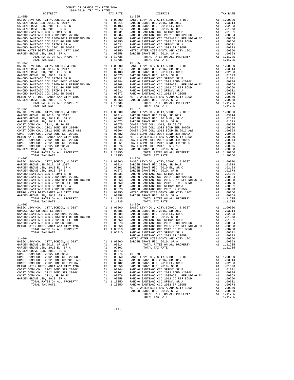| COUNTY OF ORANGE TAX RATE BOOK<br>2018-2019 TRA TAX RATES                                                                          |                         |                                             |    |            |
|------------------------------------------------------------------------------------------------------------------------------------|-------------------------|---------------------------------------------|----|------------|
| DISTRICT<br>$11 - 059$                                                                                                             | TAX RATE                | DISTRICT<br>$11 - 065$                      |    | TAX RATE   |
|                                                                                                                                    |                         |                                             |    |            |
|                                                                                                                                    |                         |                                             |    |            |
|                                                                                                                                    |                         |                                             |    |            |
|                                                                                                                                    |                         |                                             |    |            |
|                                                                                                                                    |                         |                                             |    |            |
|                                                                                                                                    |                         |                                             |    |            |
|                                                                                                                                    |                         |                                             |    |            |
|                                                                                                                                    |                         |                                             |    |            |
|                                                                                                                                    |                         |                                             |    |            |
|                                                                                                                                    |                         |                                             |    |            |
|                                                                                                                                    |                         |                                             |    |            |
|                                                                                                                                    |                         |                                             |    |            |
|                                                                                                                                    |                         |                                             |    |            |
| $11 - 060$                                                                                                                         |                         | $11 - 066$                                  |    |            |
|                                                                                                                                    |                         |                                             |    |            |
|                                                                                                                                    |                         |                                             |    |            |
|                                                                                                                                    |                         |                                             |    |            |
|                                                                                                                                    |                         |                                             |    |            |
|                                                                                                                                    |                         |                                             |    |            |
|                                                                                                                                    |                         |                                             |    |            |
|                                                                                                                                    |                         |                                             |    |            |
|                                                                                                                                    |                         |                                             |    |            |
|                                                                                                                                    |                         |                                             |    |            |
|                                                                                                                                    |                         |                                             |    |            |
|                                                                                                                                    |                         |                                             |    |            |
|                                                                                                                                    |                         |                                             |    |            |
|                                                                                                                                    |                         |                                             |    |            |
|                                                                                                                                    |                         |                                             |    |            |
|                                                                                                                                    |                         |                                             |    |            |
|                                                                                                                                    |                         |                                             |    |            |
|                                                                                                                                    |                         |                                             |    |            |
|                                                                                                                                    |                         |                                             |    |            |
|                                                                                                                                    |                         |                                             |    |            |
|                                                                                                                                    |                         |                                             |    |            |
|                                                                                                                                    |                         |                                             |    |            |
|                                                                                                                                    |                         |                                             |    |            |
|                                                                                                                                    |                         |                                             |    |            |
|                                                                                                                                    |                         |                                             |    |            |
|                                                                                                                                    |                         |                                             |    |            |
|                                                                                                                                    |                         |                                             |    |            |
|                                                                                                                                    |                         |                                             |    |            |
|                                                                                                                                    |                         |                                             |    |            |
|                                                                                                                                    |                         |                                             |    |            |
|                                                                                                                                    |                         |                                             |    |            |
|                                                                                                                                    |                         |                                             |    |            |
|                                                                                                                                    |                         |                                             |    |            |
|                                                                                                                                    |                         |                                             |    |            |
|                                                                                                                                    |                         |                                             |    |            |
|                                                                                                                                    |                         |                                             |    |            |
|                                                                                                                                    |                         |                                             |    |            |
|                                                                                                                                    |                         |                                             |    |            |
|                                                                                                                                    |                         |                                             |    |            |
|                                                                                                                                    |                         |                                             |    |            |
|                                                                                                                                    |                         |                                             |    |            |
|                                                                                                                                    |                         |                                             |    |            |
|                                                                                                                                    |                         |                                             |    |            |
|                                                                                                                                    |                         |                                             |    |            |
|                                                                                                                                    |                         |                                             |    |            |
|                                                                                                                                    |                         |                                             |    |            |
|                                                                                                                                    |                         |                                             |    |            |
|                                                                                                                                    |                         |                                             |    |            |
| RANCHO SANTIAGO CCD 2002 SR 2005B                                                                                                  | .00373                  | 06C<br>RANCHO SANTIAGO CCD 2002 BOND #2006C |    | A1.00884   |
| $\begin{array}{ccc}\n & & \text{A1} \\ 2 & & & \text{A1} \\  & & & \text{A1}\n\end{array}$<br>METRO WATER DIST-SANTA ANA CITY 1202 |                         | RANCHO SANTIAGO CCD 2005+2011 REFUNDING BD  | A1 | .00868     |
| TOTAL RATES ON ALL PROPERTY                                                                                                        | A1 .00350<br>A1 1.05910 | RANCHO SANTIAGO CCD 2012 GO REF BOND        | A1 | .00750     |
| TOTAL TAX RATE                                                                                                                     | 1.05910                 | RANCHO SANTIAGO CCD SFID#1 SR A             |    | A1 .00631  |
|                                                                                                                                    |                         |                                             |    |            |
| $11 - 064$                                                                                                                         |                         |                                             |    |            |
|                                                                                                                                    |                         |                                             |    |            |
|                                                                                                                                    |                         |                                             |    |            |
|                                                                                                                                    |                         |                                             |    | 1.11735    |
|                                                                                                                                    |                         |                                             |    |            |
|                                                                                                                                    |                         |                                             |    |            |
|                                                                                                                                    |                         |                                             |    | A1 1.00000 |
|                                                                                                                                    |                         |                                             |    | A1.03014   |
|                                                                                                                                    |                         |                                             |    |            |
|                                                                                                                                    |                         |                                             |    |            |
|                                                                                                                                    |                         |                                             |    |            |
|                                                                                                                                    |                         |                                             |    |            |

| ST COMM COLL 2012, SR 2017D |  |
|-----------------------------|--|
| DEN GROVE USD. 2010. SR A   |  |
| TOTAL RATES ON ALL PROPERTY |  |
| POPAI PAY DAPP              |  |

|  | 1.11735 |  |
|--|---------|--|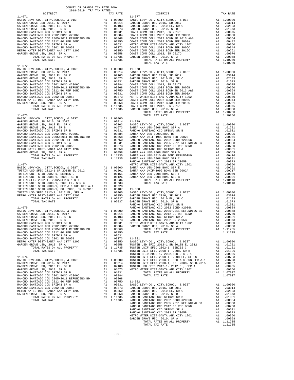COUNTY OF ORANGE TAX RATE BOOK 2018-2019 TRA TAX RATES DISTRICT TAX RATE DISTRICT TAX RATE  $\begin{tabular}{cccccccc} 11-071 & 11-077 & 11-077 & 11-077 & 11-077 & 11-077 & 11-077 & 11-077 & 11-077 & 11-077 & 11-077 & 11-077 & 11-077 & 11-077 & 11-077 & 11-077 & 11-077 & 11-077 & 11-077 & 11-077 & 11-077 & 11-077 & 11-077 & 11-077 & 11-077 & 11-077 & 11$  11-072 BASIC LEVY-CO., CITY,SCHOOL, & DIST A1 1.00000 11-078 GARDEN GROVE USD 2016, SR 2017 A1 .03014 BASIC LEVY-CO., CITY,SCHOOL, & DIST A1 1.00000 GARDEN GROVE USD, 2010 EL, SR C A1 .02103 GARDEN GROVE USD 2016, SR 2017 A1 .03014 GARDEN GROVE USD, 2010, SR B A1 .01673 GARDEN GROVE USD, 2010 EL, SR C A1 .02103 RANCHO SANTIAGO CCD SFID#1 SR B A1 .01031 GARDEN GROVE USD, 2010, SR B A1 .01673 RANCHO SANTIAGO CCD 2002 BOND #2006C A1 .00884 COAST COMM COLL 2012, SR 2017E A1 .00675 RANCHO SANTIAGO CCD 2005+2011 REFUNDING BD A1 .00868 COAST COMM COLL 2002 BOND SER 2006B A1 .00650 RANCHO SANTIAGO CCD 2012 GO REF BOND A1 .00750 COAST COMM COLL 2012 BOND SR 2013 A&B A1 .00564 RANCHO SANTIAGO CCD SFID#1 SR A A1 .00631 COAST COMM COLL 2002 BOND SER 2003A A1 .00482 RANCHO SANTIAGO CCD 2002 SR 2005B A1 .00373 METRO WATER DIST-SANTA ANA CITY 1202 A1 .00350 METRO WATER DIST-SANTA ANA CITY 1202 A1 .00350 COAST COMM COLL 2002 BOND SER 2006C A1 .00344 GARDEN GROVE USD, 2010, SR A A1 .00058 COAST COMM COLL 2012 BOND SER 2016C A1 .00261 TOTAL RATES ON ALL PROPERTY A1 1.11735 COAST COMM COLL 2012, SR 2017D A1 .00076 TOTAL TAX RATE 1.11735 GARDEN GROVE USD, 2010, SR A A1 .00058 TOTAL RATES ON ALL PROPERTY A1 1.10250 11-073 TOTAL TAX RATE 1.10250 BASIC LEVY-CO., CITY,SCHOOL, & DIST A1 1.00000 GARDEN GROVE USD 2016, SR 2017 A1 .03014 11-079 GARDEN GROVE USD, 2010 EL, SR C A1 .02103 BASIC LEVY-CO., CITY,SCHOOL, & DIST A1 1.00000 GARDEN GROVE USD, 2010, SR B A1 .01673 SANTA ANA USD-2008 BOND SER A A1 .01701 RANCHO SANTIAGO CCD SFID#1 SR B A1 .01031 RANCHO SANTIAGO CCD SFID#1 SR B A1 .01031 RANCHO SANTIAGO CCD 2002 BOND #2006C A1 .00884 SANTA ANA USD 1999,2009 REF A1 .00995 RANCHO SANTIAGO CCD 2005+2011 REFUNDING BD A1 .00868 SANTA ANA UNIF-1999 BOND SER 2002B A1 .00961 RANCHO SANTIAGO CCD 2012 GO REF BOND A1 .00750 RANCHO SANTIAGO CCD 2002 BOND #2006C A1 .00884 RANCHO SANTIAGO CCD SFID#1 SR A A1 .00631 RANCHO SANTIAGO CCD 2005+2011 REFUNDING BD A1 .00868 RANCHO SANTIAGO CCD 2002 SR 2005B A1 .00373 RANCHO SANTIAGO CCD 2012 GO REF BOND A1 .00750 METRO WATER DIST-SANTA ANA CITY 1202 A1 .00350 RANCHO SANTIAGO CCD SFID#1 SR A A1 .00631 GARDEN GROVE USD, 2010, SR A A1 .00058 SANTA ANA USD-2008 BOND SER D A1 .00559 TOTAL RATES ON ALL PROPERTY A1 1.11735 SANTA ANA USD-2010 GO BOND REFUNDING A1 .00416 TOTAL TAX RATE 1.11735 SANTA ANA USD-2008 BOND SER C A1 .00381 RANCHO SANTIAGO CCD 2002 SR 2005B A1 .00373  $\begin{tabular}{l|c|c|c|c|c|c} \multicolumn{1}{c}{\textbf{11-074}} & \multicolumn{1}{c}{\textbf{METRO} \textbf{MATE DIST-SANTA ANA CITY 1202}} & \multicolumn{1}{c}{\textbf{A1}} & .00350 \\ \multicolumn{1}{c}{\textbf{BASC LEVY-CO. , CITY, SCHOOL, & DIST} & \multicolumn{1}{c}{\textbf{A1}} & .00000} & \multicolumn{1}{c}{\textbf{SANTA ANA UST-SANTA ONA D}-2008 BOND SER 2002A} & \multicolumn{1}{c}{\textbf{A$  TUSTIN UNIF SFID 2008-1, SER A & SUB SER A-1 A1 .00728 TUSTIN UNIF SFID 2008-1, GO 2008, SR D-2015 A1 .00407 11-080  $\begin{tabular}{l|c|c|c|c} \hline \texttt{HSTRO} & \texttt{NDF SP} & 2012-1, & 2012-151 & 202 & 21 & 0.0405 & 0.0405 & 0.0405 & 0.0405 & 0.0405 \\ \hline \texttt{METRO} & \texttt{MTE} & \texttt{DIST-SANTA} & \texttt{AMC} & \texttt{ITY} & 1202 & 0.04000 \\ \hline \texttt{TOTAL} & \texttt{RATES} & \texttt{OML} & \texttt{RROPERT} & \texttt{A1} & 1.0005$  RANCHO SANTIAGO CCD SFID#1 SR A A1 .00631 RANCHO SANTIAGO CCD 2002 SR 2005B A1 .00373 11-081 METRO WATER DIST-SANTA ANA CITY 1202 A1 .00350 BASIC LEVY-CO., CITY,SCHOOL, & DIST A1 1.00000 GARDEN GROVE USD, 2010, SR A A1 .00058 TUSTIN USD SFID 2012-1 SR 2018B EL 2012 A1 .01201 TOTAL RATES ON ALL PROPERTY A1 1.11735 TUSTIN UNIF SFID 2002-1, SERIES C A1 .01151 TOTAL TAX RATE 1.11735 TUSTIN UNIF SFID 2008-1, 2008, SR B A1 .01126 TUSTIN SFID 2002-1, 2002,SER D & D-1 A1 .00936 11-076 TUSTIN UNIF SFID 2008-1, 2008 EL, SER C A1 .00733 BASIC LEVY-CO., CITY,SCHOOL, & DIST A1 1.00000 TUSTIN UNIF SFID 2008-1, SER A & SUB SER A-1 A1 .00728 GARDEN GROVE USD 2016, SR 2017 A1 .03014 TUSTIN UNIF SFID 2008-1, GO 2008, SR D-2015 A1 .00407 GARDEN GROVE USD, 2010 EL, SR C A1 .02103 TUSTIN USD SFID 2012-1, 2012 EL, SER A A1 .00405 GARDEN GROVE USD, 2010, SR B A1 .01673 METRO WATER DIST-SANTA ANA CITY 1202 A1 .00350 RANCHO SANTIAGO CCD SFID#1 SR B A1 .01031 TOTAL RATES ON ALL PROPERTY A1 1.07037 RANCHO SANTIAGO CCD 2002 BOND #2006C A1 .00884 TOTAL TAX RATE 1.07037 RANCHO SANTIAGO CCD 2005+2011 REFUNDING BD A1 .00868 RANCHO SANTIAGO CCD 2012 GO REF BOND A1 .00750 11-082 RANCHO SANTIAGO CCD SFID#1 SR A A1 .00631 BASIC LEVY-CO., CITY,SCHOOL, & DIST A1 1.00000  $\begin{tabular}{lcccc} \texttt{RANCHO} \texttt{SANTIAGO} \texttt{CCD} \texttt{2002} \texttt{SR} \texttt{2005B} & \texttt{A1} & .00373 & \texttt{GARDEN} \texttt{GROVE} \texttt{USD} \texttt{2016, SR} \texttt{2017} & \texttt{A1} & .03014 \\ \texttt{METRO} \texttt{WATED} \texttt{SIST-SANTA} \texttt{ANR} \texttt{CINT} \texttt{1202} & \texttt{A1} & .00350 & \texttt{GARDEN} \texttt{GROVE} \texttt{USD},$  $\begin{tabular}{l|c|c|c|c} \multicolumn{3}{c}{\textbf{RANCHO SANTIAGO CCD 2012 GO REF BOND}} & \multicolumn{3}{c}{\textbf{A1}} & .00750 \\ \multicolumn{3}{c}{\textbf{RANCHO SANTIAGO CCD 2012 SE P005B}} & \multicolumn{3}{c}{\textbf{A1}} & .00371 \\ \multicolumn{3}{c}{\textbf{RANCHO SANTIAGO CCD 200 SE P19H1 SR A}} & \multicolumn{3}{c}{\textbf{A1}} & .00373 \\ \multicolumn{3}{c}{\textbf{MARTRO WATER DIST-SANTFA ANA CITY 120$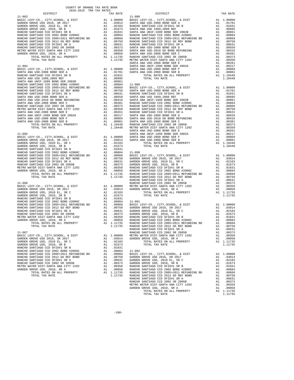|            | COUNTY OF ORANGE TAX RATE BOOK |          |            |          |
|------------|--------------------------------|----------|------------|----------|
|            |                                | TAX RATE | DISTRICT   | TAX RATE |
| $11 - 083$ |                                |          | $11 - 088$ |          |
|            |                                |          |            |          |
|            |                                |          |            |          |
|            |                                |          |            |          |
|            |                                |          |            |          |
|            |                                |          |            |          |
|            |                                |          |            |          |
|            |                                |          |            |          |
|            |                                |          |            |          |
|            |                                |          |            |          |
|            |                                |          |            |          |
|            |                                |          |            |          |
|            |                                |          |            |          |
|            |                                |          |            |          |
|            |                                |          |            |          |
|            |                                |          |            |          |
|            |                                |          |            |          |
|            |                                |          |            |          |
|            |                                |          |            |          |
|            |                                |          |            |          |
|            |                                |          |            |          |
|            |                                |          |            |          |
|            |                                |          |            |          |
|            |                                |          |            |          |
|            |                                |          |            |          |
|            |                                |          |            |          |
|            |                                |          |            |          |
|            |                                |          |            |          |
|            |                                |          |            |          |
|            |                                |          |            |          |
|            |                                |          |            |          |
|            |                                |          |            |          |
|            |                                |          |            |          |
|            |                                |          |            |          |
|            |                                |          |            |          |
|            |                                |          |            |          |
|            |                                |          |            |          |
|            |                                |          |            |          |
|            |                                |          |            |          |
|            |                                |          |            |          |
|            |                                |          |            |          |
|            |                                |          |            |          |
|            |                                |          |            |          |
|            |                                |          |            |          |
|            |                                |          |            |          |
|            |                                |          |            |          |
|            |                                |          |            |          |
|            |                                |          |            |          |
|            |                                |          |            |          |
|            |                                |          |            |          |
|            |                                |          |            |          |
|            |                                |          |            |          |
|            |                                |          |            |          |
|            |                                |          |            |          |
|            |                                |          |            |          |
|            |                                |          |            |          |
|            |                                |          |            |          |
|            |                                |          |            |          |
|            |                                |          |            |          |
|            |                                |          |            |          |
|            |                                |          |            |          |
|            |                                |          |            |          |
|            |                                |          |            |          |
|            |                                |          |            |          |
|            |                                |          |            |          |
|            |                                |          |            |          |
|            |                                |          |            |          |
|            |                                |          |            |          |
|            |                                |          |            |          |
|            |                                |          |            |          |
|            |                                |          |            |          |
|            |                                |          |            |          |
|            |                                |          |            |          |
|            |                                |          |            |          |
|            |                                |          |            |          |
|            |                                |          |            |          |
|            |                                |          |            |          |
|            |                                |          |            |          |
|            |                                |          |            |          |
|            |                                |          |            |          |
|            |                                |          |            |          |
|            |                                |          |            |          |
|            |                                |          |            |          |
|            |                                |          |            |          |
|            |                                |          |            |          |
|            |                                |          |            |          |
|            |                                |          |            |          |
|            |                                |          |            |          |
|            |                                |          |            |          |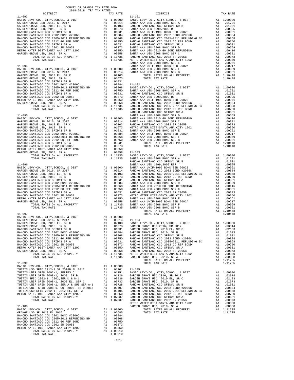RANCHO SANTIAGO CCD 2002 SR 2005B  $P$ RANCHO SANTIAGO CCD 2012 GO REF BOND .<br>RANCHO SANTIAGO CCD 2012 GO REF BOND .<br>PANCHO SANTIAGO CCD 201711 SR A RANCHO SANTIAGO CCD 2012 GO REF BOND A1 .00750<br>
RANCHO SANTIAGO CCD 2002 SR 2005B A1 .00373<br>
METRO WATER DIST-SANTA ANA CITY 1202 A1 .00350<br>
TOTAL RATES ON ALL PROPERTY A1 1.05910 SAN'IANO UL UNITED SAN AND SANTING COD 2002 SR 2005B<br>TER DIST-SANTA ANA CITY 1202 A1 1.05910<br>TOTAL RATES ON ALL PROPERTY A1 1.05910<br>TOTAL TAX RATE

| COUNTY OF ORANGE TAX RATE BOOK<br>2018-2019 TRA TAX RATES | TAX RATE | DISTRICT | TAX RATE |
|-----------------------------------------------------------|----------|----------|----------|
|                                                           |          |          |          |
|                                                           |          |          |          |
|                                                           |          |          |          |
|                                                           |          |          |          |
|                                                           |          |          |          |
|                                                           |          |          |          |
|                                                           |          |          |          |
|                                                           |          |          |          |
|                                                           |          |          |          |
|                                                           |          |          |          |
|                                                           |          |          |          |
|                                                           |          |          |          |
|                                                           |          |          |          |
|                                                           |          |          |          |
|                                                           |          |          |          |
|                                                           |          |          |          |
|                                                           |          |          |          |
|                                                           |          |          |          |
|                                                           |          |          |          |
|                                                           |          |          |          |
|                                                           |          |          |          |
|                                                           |          |          |          |
|                                                           |          |          |          |
|                                                           |          |          |          |
|                                                           |          |          |          |
|                                                           |          |          |          |
|                                                           |          |          |          |
|                                                           |          |          |          |
|                                                           |          |          |          |
|                                                           |          |          |          |
|                                                           |          |          |          |
|                                                           |          |          |          |
|                                                           |          |          |          |
|                                                           |          |          |          |
|                                                           |          |          |          |
|                                                           |          |          |          |
|                                                           |          |          |          |
|                                                           |          |          |          |
|                                                           |          |          |          |
|                                                           |          |          |          |
|                                                           |          |          |          |
|                                                           |          |          |          |
|                                                           |          |          |          |
|                                                           |          |          |          |
|                                                           |          |          |          |
|                                                           |          |          |          |
|                                                           |          |          |          |
|                                                           |          |          |          |
|                                                           |          |          |          |
|                                                           |          |          |          |
|                                                           |          |          |          |
|                                                           |          |          |          |
|                                                           |          |          |          |
|                                                           |          |          |          |
|                                                           |          |          |          |
|                                                           |          |          |          |
|                                                           |          |          |          |
|                                                           |          |          |          |
|                                                           |          |          |          |
|                                                           |          |          |          |
|                                                           |          |          |          |
|                                                           |          |          |          |
|                                                           |          |          |          |
|                                                           |          |          |          |
|                                                           |          |          |          |
|                                                           |          |          |          |
|                                                           |          |          |          |
|                                                           |          |          |          |
|                                                           |          |          |          |
|                                                           |          |          |          |
|                                                           |          |          |          |
|                                                           |          |          |          |
|                                                           |          |          |          |
|                                                           |          |          |          |
|                                                           |          |          |          |
|                                                           |          |          |          |
|                                                           |          |          |          |
|                                                           |          |          |          |
|                                                           |          |          |          |
|                                                           |          |          |          |
|                                                           |          |          |          |
|                                                           |          |          |          |
|                                                           |          |          |          |
|                                                           |          |          |          |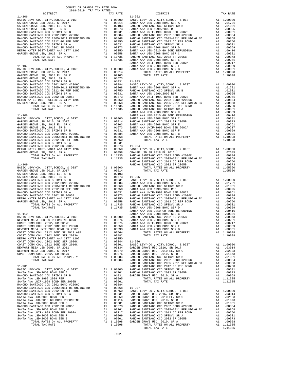| COUNTY OF ORANGE TAX RATE BOOK<br>$2018-2019 \begin{tabular}{lllllllllllll} \multicolumn{2}{l}{{\bf{TRA} R} R} \multicolumn{2}{c}{\bf{RATE} B} \end{tabular}$ DISTRICT |          |          |          |
|------------------------------------------------------------------------------------------------------------------------------------------------------------------------|----------|----------|----------|
|                                                                                                                                                                        | TAX RATE | DISTRICT | TAX RATE |
|                                                                                                                                                                        |          |          |          |
|                                                                                                                                                                        |          |          |          |
|                                                                                                                                                                        |          |          |          |
|                                                                                                                                                                        |          |          |          |
|                                                                                                                                                                        |          |          |          |
|                                                                                                                                                                        |          |          |          |
|                                                                                                                                                                        |          |          |          |
|                                                                                                                                                                        |          |          |          |
|                                                                                                                                                                        |          |          |          |
|                                                                                                                                                                        |          |          |          |
|                                                                                                                                                                        |          |          |          |
|                                                                                                                                                                        |          |          |          |
|                                                                                                                                                                        |          |          |          |
|                                                                                                                                                                        |          |          |          |
|                                                                                                                                                                        |          |          |          |
|                                                                                                                                                                        |          |          |          |
|                                                                                                                                                                        |          |          |          |
|                                                                                                                                                                        |          |          |          |
|                                                                                                                                                                        |          |          |          |
|                                                                                                                                                                        |          |          |          |
|                                                                                                                                                                        |          |          |          |
|                                                                                                                                                                        |          |          |          |
|                                                                                                                                                                        |          |          |          |
|                                                                                                                                                                        |          |          |          |
|                                                                                                                                                                        |          |          |          |
|                                                                                                                                                                        |          |          |          |
|                                                                                                                                                                        |          |          |          |
|                                                                                                                                                                        |          |          |          |
|                                                                                                                                                                        |          |          |          |
|                                                                                                                                                                        |          |          |          |
|                                                                                                                                                                        |          |          |          |
|                                                                                                                                                                        |          |          |          |
|                                                                                                                                                                        |          |          |          |
|                                                                                                                                                                        |          |          |          |
|                                                                                                                                                                        |          |          |          |
|                                                                                                                                                                        |          |          |          |
|                                                                                                                                                                        |          |          |          |
|                                                                                                                                                                        |          |          |          |
|                                                                                                                                                                        |          |          |          |
|                                                                                                                                                                        |          |          |          |
|                                                                                                                                                                        |          |          |          |
|                                                                                                                                                                        |          |          |          |
|                                                                                                                                                                        |          |          |          |
|                                                                                                                                                                        |          |          |          |
|                                                                                                                                                                        |          |          |          |
|                                                                                                                                                                        |          |          |          |
|                                                                                                                                                                        |          |          |          |
|                                                                                                                                                                        |          |          |          |
|                                                                                                                                                                        |          |          |          |
|                                                                                                                                                                        |          |          |          |
|                                                                                                                                                                        |          |          |          |
|                                                                                                                                                                        |          |          |          |
|                                                                                                                                                                        |          |          |          |
|                                                                                                                                                                        |          |          |          |
|                                                                                                                                                                        |          |          |          |
|                                                                                                                                                                        |          |          |          |
|                                                                                                                                                                        |          |          |          |
|                                                                                                                                                                        |          |          |          |
|                                                                                                                                                                        |          |          |          |
|                                                                                                                                                                        |          |          |          |
|                                                                                                                                                                        |          |          |          |
|                                                                                                                                                                        |          |          |          |
|                                                                                                                                                                        |          |          |          |
|                                                                                                                                                                        |          |          |          |
|                                                                                                                                                                        |          |          |          |
|                                                                                                                                                                        |          |          |          |
|                                                                                                                                                                        |          |          |          |
|                                                                                                                                                                        |          |          |          |
|                                                                                                                                                                        |          |          |          |
|                                                                                                                                                                        |          |          |          |
|                                                                                                                                                                        |          |          |          |
|                                                                                                                                                                        |          |          |          |
|                                                                                                                                                                        |          |          |          |
|                                                                                                                                                                        |          |          |          |
|                                                                                                                                                                        |          |          |          |
|                                                                                                                                                                        |          |          |          |
|                                                                                                                                                                        |          |          |          |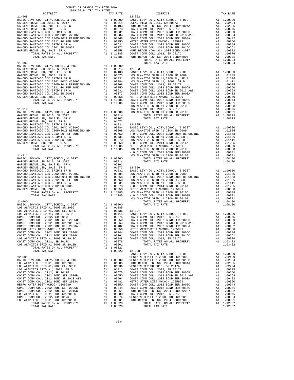| COUNTY OF ORANGE TAX RATE BOOK<br>2018-2019 TRA TAX RATES |          |          |          |
|-----------------------------------------------------------|----------|----------|----------|
|                                                           | TAX RATE | DISTRICT | TAX RATE |
|                                                           |          |          |          |
|                                                           |          |          |          |
|                                                           |          |          |          |
|                                                           |          |          |          |
|                                                           |          |          |          |
|                                                           |          |          |          |
|                                                           |          |          |          |
|                                                           |          |          |          |
|                                                           |          |          |          |
|                                                           |          |          |          |
|                                                           |          |          |          |
|                                                           |          |          |          |
|                                                           |          |          |          |
|                                                           |          |          |          |
|                                                           |          |          |          |
|                                                           |          |          |          |
|                                                           |          |          |          |
|                                                           |          |          |          |
|                                                           |          |          |          |
|                                                           |          |          |          |
|                                                           |          |          |          |
|                                                           |          |          |          |
|                                                           |          |          |          |
|                                                           |          |          |          |
|                                                           |          |          |          |
|                                                           |          |          |          |
|                                                           |          |          |          |
|                                                           |          |          |          |
|                                                           |          |          |          |
|                                                           |          |          |          |
|                                                           |          |          |          |
|                                                           |          |          |          |
|                                                           |          |          |          |
|                                                           |          |          |          |
|                                                           |          |          |          |
|                                                           |          |          |          |
|                                                           |          |          |          |
|                                                           |          |          |          |
|                                                           |          |          |          |
|                                                           |          |          |          |
|                                                           |          |          |          |
|                                                           |          |          |          |
|                                                           |          |          |          |
|                                                           |          |          |          |
|                                                           |          |          |          |
|                                                           |          |          |          |
|                                                           |          |          |          |
|                                                           |          |          |          |
|                                                           |          |          |          |
|                                                           |          |          |          |
|                                                           |          |          |          |
|                                                           |          |          |          |
|                                                           |          |          |          |
|                                                           |          |          |          |
|                                                           |          |          |          |
|                                                           |          |          |          |
|                                                           |          |          |          |
|                                                           |          |          |          |
|                                                           |          |          |          |
|                                                           |          |          |          |
|                                                           |          |          |          |
|                                                           |          |          |          |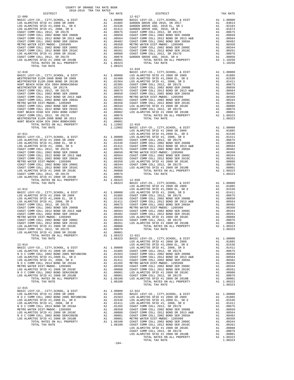| COUNTY OF ORANGE TAX RATE BOOK<br>2018-2019 TRA TAX RATES                                                                                                                                                                                                                                                                                                                                                               |                 |                    |
|-------------------------------------------------------------------------------------------------------------------------------------------------------------------------------------------------------------------------------------------------------------------------------------------------------------------------------------------------------------------------------------------------------------------------|-----------------|--------------------|
| DISTRICT<br>$12 - 009$                                                                                                                                                                                                                                                                                                                                                                                                  | TAX RATE        | $12 - 017$         |
|                                                                                                                                                                                                                                                                                                                                                                                                                         |                 |                    |
|                                                                                                                                                                                                                                                                                                                                                                                                                         |                 |                    |
|                                                                                                                                                                                                                                                                                                                                                                                                                         |                 |                    |
|                                                                                                                                                                                                                                                                                                                                                                                                                         |                 |                    |
|                                                                                                                                                                                                                                                                                                                                                                                                                         |                 |                    |
|                                                                                                                                                                                                                                                                                                                                                                                                                         |                 |                    |
|                                                                                                                                                                                                                                                                                                                                                                                                                         |                 |                    |
|                                                                                                                                                                                                                                                                                                                                                                                                                         |                 |                    |
|                                                                                                                                                                                                                                                                                                                                                                                                                         |                 |                    |
|                                                                                                                                                                                                                                                                                                                                                                                                                         |                 |                    |
|                                                                                                                                                                                                                                                                                                                                                                                                                         |                 |                    |
|                                                                                                                                                                                                                                                                                                                                                                                                                         |                 |                    |
|                                                                                                                                                                                                                                                                                                                                                                                                                         | 1.08323         |                    |
|                                                                                                                                                                                                                                                                                                                                                                                                                         |                 | $12 - 018$         |
| $12 - 010$                                                                                                                                                                                                                                                                                                                                                                                                              |                 | BASIC L            |
|                                                                                                                                                                                                                                                                                                                                                                                                                         |                 |                    |
|                                                                                                                                                                                                                                                                                                                                                                                                                         |                 |                    |
|                                                                                                                                                                                                                                                                                                                                                                                                                         |                 |                    |
|                                                                                                                                                                                                                                                                                                                                                                                                                         |                 |                    |
|                                                                                                                                                                                                                                                                                                                                                                                                                         |                 |                    |
|                                                                                                                                                                                                                                                                                                                                                                                                                         |                 |                    |
|                                                                                                                                                                                                                                                                                                                                                                                                                         |                 |                    |
|                                                                                                                                                                                                                                                                                                                                                                                                                         |                 |                    |
|                                                                                                                                                                                                                                                                                                                                                                                                                         |                 |                    |
|                                                                                                                                                                                                                                                                                                                                                                                                                         |                 |                    |
|                                                                                                                                                                                                                                                                                                                                                                                                                         |                 |                    |
| $\begin{tabular}{ c  c  c c c c} 12-010 & \textbf{BASIC L} \\ \hline \texttt{RASEC LEVY-C0.}, & \texttt{CITY}, & \texttt{SCHOOL}, & \texttt{c} & \texttt{DIST} & \texttt{RASIC L} \\ \hline \texttt{WESTMMISTER ELEM-2008 BOND SR 2013B} & \texttt{A1} & .02400 & \texttt{LOS ALA} \\ \hline \texttt{HUSTMISTER ELEM-2008 BOND SR 2013B} & \texttt{A1} & .02364 & \texttt{LOS ALA} \\ \hline \texttt{HUSTMISTER SEM-20$ |                 |                    |
|                                                                                                                                                                                                                                                                                                                                                                                                                         |                 |                    |
|                                                                                                                                                                                                                                                                                                                                                                                                                         |                 |                    |
|                                                                                                                                                                                                                                                                                                                                                                                                                         |                 |                    |
|                                                                                                                                                                                                                                                                                                                                                                                                                         |                 | LOS ALA            |
| $12 - 011$                                                                                                                                                                                                                                                                                                                                                                                                              |                 | LOS ALA            |
|                                                                                                                                                                                                                                                                                                                                                                                                                         |                 |                    |
|                                                                                                                                                                                                                                                                                                                                                                                                                         |                 |                    |
|                                                                                                                                                                                                                                                                                                                                                                                                                         |                 |                    |
|                                                                                                                                                                                                                                                                                                                                                                                                                         |                 |                    |
|                                                                                                                                                                                                                                                                                                                                                                                                                         |                 |                    |
|                                                                                                                                                                                                                                                                                                                                                                                                                         |                 |                    |
|                                                                                                                                                                                                                                                                                                                                                                                                                         |                 |                    |
|                                                                                                                                                                                                                                                                                                                                                                                                                         |                 |                    |
|                                                                                                                                                                                                                                                                                                                                                                                                                         |                 |                    |
|                                                                                                                                                                                                                                                                                                                                                                                                                         |                 |                    |
|                                                                                                                                                                                                                                                                                                                                                                                                                         |                 |                    |
|                                                                                                                                                                                                                                                                                                                                                                                                                         |                 |                    |
|                                                                                                                                                                                                                                                                                                                                                                                                                         |                 | 12-020<br>BASIC L  |
| TOTAL TAX RATE                                                                                                                                                                                                                                                                                                                                                                                                          | 1.08323         | LOS ALA            |
|                                                                                                                                                                                                                                                                                                                                                                                                                         |                 |                    |
|                                                                                                                                                                                                                                                                                                                                                                                                                         |                 |                    |
|                                                                                                                                                                                                                                                                                                                                                                                                                         |                 |                    |
|                                                                                                                                                                                                                                                                                                                                                                                                                         |                 |                    |
|                                                                                                                                                                                                                                                                                                                                                                                                                         |                 |                    |
|                                                                                                                                                                                                                                                                                                                                                                                                                         |                 |                    |
|                                                                                                                                                                                                                                                                                                                                                                                                                         |                 |                    |
|                                                                                                                                                                                                                                                                                                                                                                                                                         |                 |                    |
|                                                                                                                                                                                                                                                                                                                                                                                                                         |                 |                    |
|                                                                                                                                                                                                                                                                                                                                                                                                                         |                 |                    |
|                                                                                                                                                                                                                                                                                                                                                                                                                         |                 |                    |
|                                                                                                                                                                                                                                                                                                                                                                                                                         |                 |                    |
|                                                                                                                                                                                                                                                                                                                                                                                                                         |                 |                    |
|                                                                                                                                                                                                                                                                                                                                                                                                                         |                 |                    |
| TOTAL TAX RATE                                                                                                                                                                                                                                                                                                                                                                                                          | 1.08323         | BASIC L            |
| $12 - 014$                                                                                                                                                                                                                                                                                                                                                                                                              |                 | LOS ALA<br>LOS ALA |
|                                                                                                                                                                                                                                                                                                                                                                                                                         |                 |                    |
|                                                                                                                                                                                                                                                                                                                                                                                                                         |                 |                    |
|                                                                                                                                                                                                                                                                                                                                                                                                                         |                 |                    |
|                                                                                                                                                                                                                                                                                                                                                                                                                         |                 |                    |
|                                                                                                                                                                                                                                                                                                                                                                                                                         |                 |                    |
|                                                                                                                                                                                                                                                                                                                                                                                                                         |                 |                    |
|                                                                                                                                                                                                                                                                                                                                                                                                                         |                 |                    |
|                                                                                                                                                                                                                                                                                                                                                                                                                         |                 |                    |
|                                                                                                                                                                                                                                                                                                                                                                                                                         |                 |                    |
|                                                                                                                                                                                                                                                                                                                                                                                                                         |                 |                    |
| TOTAL TAX RATE                                                                                                                                                                                                                                                                                                                                                                                                          | 1.08100         |                    |
| $12 - 015$                                                                                                                                                                                                                                                                                                                                                                                                              |                 |                    |
|                                                                                                                                                                                                                                                                                                                                                                                                                         |                 |                    |
|                                                                                                                                                                                                                                                                                                                                                                                                                         |                 |                    |
|                                                                                                                                                                                                                                                                                                                                                                                                                         |                 |                    |
|                                                                                                                                                                                                                                                                                                                                                                                                                         |                 |                    |
|                                                                                                                                                                                                                                                                                                                                                                                                                         |                 |                    |
|                                                                                                                                                                                                                                                                                                                                                                                                                         |                 |                    |
|                                                                                                                                                                                                                                                                                                                                                                                                                         |                 |                    |
|                                                                                                                                                                                                                                                                                                                                                                                                                         |                 |                    |
|                                                                                                                                                                                                                                                                                                                                                                                                                         |                 |                    |
|                                                                                                                                                                                                                                                                                                                                                                                                                         |                 |                    |
| TOTAL TAX RATE                                                                                                                                                                                                                                                                                                                                                                                                          | 1.08100 COAST C |                    |

| 2010 2019 This Islam Reside<br>DISTRICT                                                                                                                                                                                                                                  | TAX RATE | DISTRICT   | TAX RATE |
|--------------------------------------------------------------------------------------------------------------------------------------------------------------------------------------------------------------------------------------------------------------------------|----------|------------|----------|
| $12 - 009$                                                                                                                                                                                                                                                               |          | $12 - 017$ |          |
|                                                                                                                                                                                                                                                                          |          |            |          |
|                                                                                                                                                                                                                                                                          |          |            |          |
|                                                                                                                                                                                                                                                                          |          |            |          |
|                                                                                                                                                                                                                                                                          |          |            |          |
|                                                                                                                                                                                                                                                                          |          |            |          |
|                                                                                                                                                                                                                                                                          |          |            |          |
|                                                                                                                                                                                                                                                                          |          |            |          |
|                                                                                                                                                                                                                                                                          |          |            |          |
|                                                                                                                                                                                                                                                                          |          |            |          |
|                                                                                                                                                                                                                                                                          |          |            |          |
|                                                                                                                                                                                                                                                                          |          |            |          |
|                                                                                                                                                                                                                                                                          |          |            |          |
|                                                                                                                                                                                                                                                                          |          | $12 - 018$ |          |
|                                                                                                                                                                                                                                                                          |          |            |          |
|                                                                                                                                                                                                                                                                          |          |            |          |
|                                                                                                                                                                                                                                                                          |          |            |          |
|                                                                                                                                                                                                                                                                          |          |            |          |
|                                                                                                                                                                                                                                                                          |          |            |          |
|                                                                                                                                                                                                                                                                          |          |            |          |
|                                                                                                                                                                                                                                                                          |          |            |          |
|                                                                                                                                                                                                                                                                          |          |            |          |
|                                                                                                                                                                                                                                                                          |          |            |          |
|                                                                                                                                                                                                                                                                          |          |            |          |
|                                                                                                                                                                                                                                                                          |          |            |          |
|                                                                                                                                                                                                                                                                          |          |            |          |
|                                                                                                                                                                                                                                                                          |          |            |          |
|                                                                                                                                                                                                                                                                          |          |            |          |
|                                                                                                                                                                                                                                                                          |          |            |          |
|                                                                                                                                                                                                                                                                          |          |            |          |
|                                                                                                                                                                                                                                                                          |          |            |          |
|                                                                                                                                                                                                                                                                          |          |            |          |
|                                                                                                                                                                                                                                                                          |          |            |          |
|                                                                                                                                                                                                                                                                          |          |            |          |
|                                                                                                                                                                                                                                                                          |          |            |          |
|                                                                                                                                                                                                                                                                          |          |            |          |
|                                                                                                                                                                                                                                                                          |          |            |          |
|                                                                                                                                                                                                                                                                          |          |            |          |
|                                                                                                                                                                                                                                                                          |          |            |          |
|                                                                                                                                                                                                                                                                          |          |            |          |
|                                                                                                                                                                                                                                                                          |          |            |          |
|                                                                                                                                                                                                                                                                          |          |            |          |
|                                                                                                                                                                                                                                                                          |          |            |          |
|                                                                                                                                                                                                                                                                          |          |            |          |
|                                                                                                                                                                                                                                                                          |          |            |          |
|                                                                                                                                                                                                                                                                          |          |            |          |
|                                                                                                                                                                                                                                                                          |          |            |          |
|                                                                                                                                                                                                                                                                          |          |            |          |
|                                                                                                                                                                                                                                                                          |          |            |          |
|                                                                                                                                                                                                                                                                          |          |            |          |
|                                                                                                                                                                                                                                                                          |          |            |          |
|                                                                                                                                                                                                                                                                          |          |            |          |
|                                                                                                                                                                                                                                                                          |          |            |          |
|                                                                                                                                                                                                                                                                          |          |            |          |
|                                                                                                                                                                                                                                                                          |          |            |          |
|                                                                                                                                                                                                                                                                          |          |            |          |
|                                                                                                                                                                                                                                                                          |          |            |          |
|                                                                                                                                                                                                                                                                          |          |            |          |
|                                                                                                                                                                                                                                                                          |          |            |          |
|                                                                                                                                                                                                                                                                          |          |            |          |
|                                                                                                                                                                                                                                                                          |          |            |          |
|                                                                                                                                                                                                                                                                          |          |            |          |
|                                                                                                                                                                                                                                                                          |          |            |          |
|                                                                                                                                                                                                                                                                          |          |            |          |
|                                                                                                                                                                                                                                                                          |          |            |          |
|                                                                                                                                                                                                                                                                          |          |            |          |
|                                                                                                                                                                                                                                                                          |          |            |          |
|                                                                                                                                                                                                                                                                          |          |            |          |
|                                                                                                                                                                                                                                                                          |          |            |          |
|                                                                                                                                                                                                                                                                          |          |            |          |
|                                                                                                                                                                                                                                                                          |          |            |          |
|                                                                                                                                                                                                                                                                          |          |            |          |
|                                                                                                                                                                                                                                                                          |          |            |          |
|                                                                                                                                                                                                                                                                          |          |            |          |
|                                                                                                                                                                                                                                                                          |          |            |          |
|                                                                                                                                                                                                                                                                          |          |            |          |
|                                                                                                                                                                                                                                                                          |          |            |          |
|                                                                                                                                                                                                                                                                          |          |            |          |
|                                                                                                                                                                                                                                                                          |          |            |          |
|                                                                                                                                                                                                                                                                          |          |            |          |
| $\begin{tabular}{cccccccc} 12-015 & 12-015 & 12-016 & 12-017 & 12-018 & 12-018 & 12-022 & 12-022 & 12-022 & 12-022 & 12-022 & 12-022 & 12-022 & 12-022 & 12-022 & 12-022 & 12-022 & 12-022 & 12-022 & 12-022 & 12-022 & 12-022 & 12-022 & 12-022 & 12-022 & 12-022 & 12$ |          |            |          |
|                                                                                                                                                                                                                                                                          |          |            |          |
|                                                                                                                                                                                                                                                                          | $-104-$  |            |          |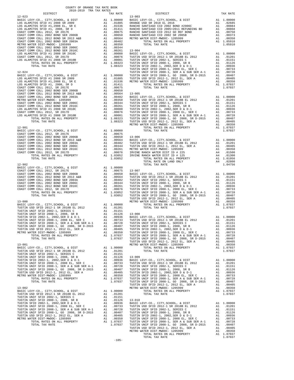| DISTRICT | TAX RATE |         | DISTRICT | TAX RATE |
|----------|----------|---------|----------|----------|
|          |          |         |          |          |
|          |          |         |          |          |
|          |          |         |          |          |
|          |          |         |          |          |
|          |          |         |          |          |
|          |          |         |          |          |
|          |          |         |          |          |
|          |          |         |          |          |
|          |          |         |          |          |
|          |          |         |          |          |
|          |          |         |          |          |
|          |          |         |          |          |
|          |          |         |          |          |
|          |          | $-105-$ |          |          |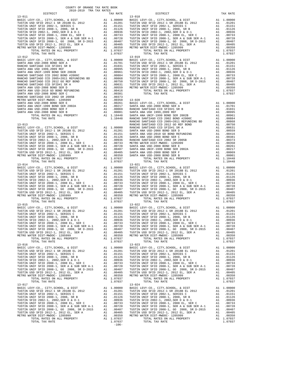| COUNTY OF ORANGE TAX RATE BOOK<br>2018-2019 TRA TAX RATES |          |            |          |
|-----------------------------------------------------------|----------|------------|----------|
| DISTRICT                                                  | TAX RATE | DISTRICT   | TAX RATE |
|                                                           |          |            |          |
|                                                           |          |            |          |
|                                                           |          |            |          |
|                                                           |          |            |          |
|                                                           |          |            |          |
|                                                           |          |            |          |
|                                                           |          |            |          |
|                                                           |          |            |          |
|                                                           |          |            |          |
|                                                           |          |            |          |
| $13 - 017$                                                |          | $13 - 024$ |          |
|                                                           |          |            |          |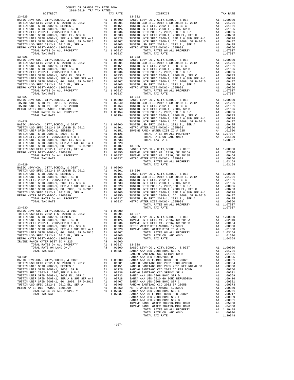| COUNTY OF ORANGE TAX RATE BOOK<br>2018-2019 TRA TAX RATES                               |    |                            |                   |
|-----------------------------------------------------------------------------------------|----|----------------------------|-------------------|
| DISTRICT<br>$13 - 025$                                                                  |    | TAX RATE                   | $13 - 032$        |
|                                                                                         |    |                            |                   |
|                                                                                         |    |                            |                   |
|                                                                                         |    |                            |                   |
|                                                                                         |    |                            |                   |
|                                                                                         |    |                            |                   |
|                                                                                         |    |                            |                   |
|                                                                                         |    |                            |                   |
|                                                                                         |    |                            |                   |
|                                                                                         |    |                            |                   |
|                                                                                         |    |                            |                   |
| TOTAL TAX RATE                                                                          |    | 1.07037                    |                   |
|                                                                                         |    |                            | $13 - 033$        |
|                                                                                         |    |                            |                   |
|                                                                                         |    |                            |                   |
|                                                                                         |    |                            |                   |
|                                                                                         |    |                            |                   |
|                                                                                         |    |                            |                   |
|                                                                                         |    |                            |                   |
|                                                                                         |    |                            |                   |
|                                                                                         |    |                            |                   |
|                                                                                         |    |                            |                   |
|                                                                                         |    |                            |                   |
|                                                                                         |    |                            |                   |
|                                                                                         |    |                            |                   |
|                                                                                         |    |                            |                   |
|                                                                                         |    |                            |                   |
|                                                                                         |    |                            |                   |
|                                                                                         |    |                            |                   |
|                                                                                         |    |                            |                   |
| $13 - 028$                                                                              |    |                            | TUSTIN            |
|                                                                                         |    |                            |                   |
|                                                                                         |    |                            |                   |
|                                                                                         |    |                            |                   |
|                                                                                         |    |                            |                   |
|                                                                                         |    |                            |                   |
|                                                                                         |    |                            |                   |
|                                                                                         |    |                            |                   |
|                                                                                         |    |                            |                   |
|                                                                                         |    |                            |                   |
|                                                                                         |    |                            |                   |
|                                                                                         |    |                            |                   |
|                                                                                         |    |                            |                   |
|                                                                                         |    |                            |                   |
|                                                                                         |    |                            |                   |
|                                                                                         |    |                            |                   |
|                                                                                         |    |                            |                   |
|                                                                                         |    |                            |                   |
|                                                                                         |    |                            |                   |
|                                                                                         |    |                            |                   |
|                                                                                         |    |                            |                   |
|                                                                                         |    |                            |                   |
|                                                                                         |    |                            |                   |
|                                                                                         |    |                            |                   |
| $13 - 030$                                                                              |    |                            |                   |
|                                                                                         |    |                            |                   |
|                                                                                         |    |                            |                   |
|                                                                                         |    |                            |                   |
|                                                                                         |    |                            |                   |
| TUSTIN SFID 2002-1, 2002, SER D & D-1                                                   | A1 | .00936                     | IRVINE            |
| TUSTIN UNIF SFID 2008-1, 2008 EL, SER C<br>TUSTIN UNIF SFID 2008-1, SER A & SUB SER A-1 | A1 | .00733                     | METRO W<br>IRVINE |
| TUSTIN UNIF SFID 2008-1, GO 2008, SR D-2015                                             |    | $A1 \t 00728$<br>A1 .00407 |                   |
| TUSTIN USD SFID 2012-1, 2012 EL, SER A                                                  |    | A1 .00405                  |                   |
| METRO WATER DIST-MWDOC- 1205999                                                         |    | A1.00350                   |                   |
| IRVINE RANCH WATER DIST ID # 225                                                        | A4 | .01500                     |                   |
| TOTAL RATES ON ALL PROPERTY                                                             |    | A1 1.07037                 | $13 - 038$        |
| TOTAL RATE ON LAND ONLY                                                                 |    | A4 .01500                  | BASIC L           |
| TOTAL TAX RATE                                                                          |    | 1.08537                    | SANTA A<br>RANCHO |
| $13 - 031$                                                                              |    |                            | SANTA A           |
| BASIC LEVY-CO., CITY, SCHOOL, & DIST                                                    |    | A1 1.00000                 | SANTA A           |
| TUSTIN USD SFID 2012-1 SR 2018B EL 2012                                                 |    | A1 .01201                  | RANCHO            |
|                                                                                         |    |                            |                   |
|                                                                                         |    |                            |                   |
|                                                                                         |    |                            |                   |
|                                                                                         |    |                            |                   |
|                                                                                         |    |                            |                   |
|                                                                                         |    | A1 .00405                  |                   |
| METRO WATER DIST-MWDOC- 1205999                                                         | A1 | .00350                     | METRO W           |
| TOTAL RATES ON ALL PROPERTY                                                             |    | A1 1.07037                 | SANTA A           |
| TOTAL TAX RATE                                                                          |    | 1.07037 SANTA A            |                   |

| 2018-2019 TRA TAX RATES<br>DISTRICT | TAX RATE | DISTRICT | TAX RATE |
|-------------------------------------|----------|----------|----------|
|                                     |          |          |          |
|                                     |          |          |          |
|                                     |          |          |          |
|                                     |          |          |          |
|                                     |          |          |          |
|                                     |          |          |          |
|                                     |          |          |          |
|                                     |          |          |          |
|                                     |          |          |          |
|                                     |          |          |          |
|                                     |          |          |          |
|                                     |          |          |          |
|                                     |          |          |          |
|                                     |          |          |          |
|                                     |          |          |          |
|                                     |          |          |          |
|                                     |          |          |          |
|                                     |          |          |          |
|                                     |          |          |          |
|                                     |          |          |          |
|                                     |          |          |          |
|                                     |          |          |          |
|                                     |          |          |          |
|                                     |          |          |          |
|                                     |          |          |          |
|                                     |          |          |          |
|                                     |          |          |          |
|                                     |          |          |          |
|                                     |          |          |          |
|                                     |          |          |          |
|                                     |          |          |          |
|                                     |          |          |          |
|                                     |          |          |          |
|                                     |          |          |          |
|                                     |          |          |          |
|                                     |          |          |          |
|                                     |          |          |          |
|                                     |          |          |          |
|                                     |          |          |          |
|                                     |          |          |          |
|                                     |          |          |          |
|                                     |          |          |          |
|                                     |          |          |          |
|                                     |          |          |          |
|                                     |          |          |          |
|                                     |          |          |          |
|                                     |          |          |          |
|                                     |          |          |          |
|                                     |          |          |          |
|                                     |          |          |          |
|                                     |          |          |          |
|                                     |          |          |          |
|                                     |          |          |          |
|                                     |          |          |          |
|                                     |          |          |          |
|                                     |          |          |          |
|                                     |          |          |          |
|                                     |          |          |          |
|                                     |          |          |          |
|                                     |          |          |          |
|                                     |          |          |          |
|                                     |          |          |          |
|                                     |          |          |          |
|                                     |          |          |          |
|                                     |          |          |          |
|                                     |          |          |          |
|                                     |          |          |          |
|                                     |          |          |          |
|                                     |          |          |          |
|                                     |          |          |          |
|                                     |          |          |          |
|                                     |          |          |          |
|                                     |          |          |          |
|                                     |          |          |          |
|                                     |          |          |          |
|                                     |          |          |          |
|                                     |          |          |          |
|                                     |          |          |          |
|                                     |          |          |          |
|                                     |          |          |          |
|                                     |          |          |          |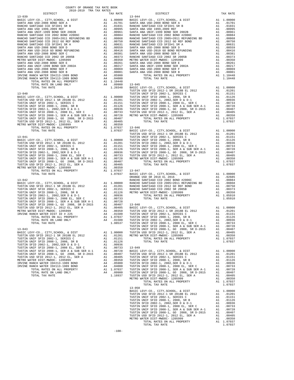| COUNTY OF ORANGE TAX RATE BOOK<br>2018–2019 TPA TAY PATES | TAX RATE | DISTRICT                                                                                                                                                                                                                                                                                                                                                                                                                                                                                                                                                                                                | TAX RATE |
|-----------------------------------------------------------|----------|---------------------------------------------------------------------------------------------------------------------------------------------------------------------------------------------------------------------------------------------------------------------------------------------------------------------------------------------------------------------------------------------------------------------------------------------------------------------------------------------------------------------------------------------------------------------------------------------------------|----------|
| $13 - 039$                                                |          | $13 - 044$<br>$\begin{tabular}{cccc} 13-039 & \text{DISTRTC} & \text{TAX RATE} & \text{DISTRTC} & \text{TAX RATE} & \text{DISTRTC} \\ \text{BANTA ANA U5D-2008 D008 BFR} & \text{A1 } 0.00100 & \text{BAGIC LEVY-CO}, \text{C TPT, SCHOOL}, 6 DISTT \\ \text{SAHTA ANA U5D-2008 D08 BFR} & \text{A1 } 0.01010 & \text{SAMTA ANA U5D-2008 D08 BFR} & \text{A1 } 0.01010 \\ \text{SAHTA ANA U5D-200$                                                                                                                                                                                                      |          |
|                                                           |          |                                                                                                                                                                                                                                                                                                                                                                                                                                                                                                                                                                                                         |          |
|                                                           |          |                                                                                                                                                                                                                                                                                                                                                                                                                                                                                                                                                                                                         |          |
|                                                           |          |                                                                                                                                                                                                                                                                                                                                                                                                                                                                                                                                                                                                         |          |
|                                                           |          |                                                                                                                                                                                                                                                                                                                                                                                                                                                                                                                                                                                                         |          |
|                                                           |          |                                                                                                                                                                                                                                                                                                                                                                                                                                                                                                                                                                                                         |          |
|                                                           |          |                                                                                                                                                                                                                                                                                                                                                                                                                                                                                                                                                                                                         |          |
|                                                           |          |                                                                                                                                                                                                                                                                                                                                                                                                                                                                                                                                                                                                         |          |
|                                                           |          |                                                                                                                                                                                                                                                                                                                                                                                                                                                                                                                                                                                                         |          |
|                                                           |          |                                                                                                                                                                                                                                                                                                                                                                                                                                                                                                                                                                                                         |          |
|                                                           |          |                                                                                                                                                                                                                                                                                                                                                                                                                                                                                                                                                                                                         |          |
|                                                           |          |                                                                                                                                                                                                                                                                                                                                                                                                                                                                                                                                                                                                         |          |
|                                                           |          |                                                                                                                                                                                                                                                                                                                                                                                                                                                                                                                                                                                                         |          |
|                                                           |          |                                                                                                                                                                                                                                                                                                                                                                                                                                                                                                                                                                                                         |          |
|                                                           |          |                                                                                                                                                                                                                                                                                                                                                                                                                                                                                                                                                                                                         |          |
|                                                           |          |                                                                                                                                                                                                                                                                                                                                                                                                                                                                                                                                                                                                         |          |
|                                                           |          |                                                                                                                                                                                                                                                                                                                                                                                                                                                                                                                                                                                                         |          |
|                                                           |          |                                                                                                                                                                                                                                                                                                                                                                                                                                                                                                                                                                                                         |          |
|                                                           |          |                                                                                                                                                                                                                                                                                                                                                                                                                                                                                                                                                                                                         |          |
|                                                           |          |                                                                                                                                                                                                                                                                                                                                                                                                                                                                                                                                                                                                         |          |
|                                                           |          |                                                                                                                                                                                                                                                                                                                                                                                                                                                                                                                                                                                                         |          |
|                                                           |          |                                                                                                                                                                                                                                                                                                                                                                                                                                                                                                                                                                                                         |          |
|                                                           |          |                                                                                                                                                                                                                                                                                                                                                                                                                                                                                                                                                                                                         |          |
|                                                           |          |                                                                                                                                                                                                                                                                                                                                                                                                                                                                                                                                                                                                         |          |
|                                                           |          |                                                                                                                                                                                                                                                                                                                                                                                                                                                                                                                                                                                                         |          |
|                                                           |          |                                                                                                                                                                                                                                                                                                                                                                                                                                                                                                                                                                                                         |          |
|                                                           |          | $\begin{tabular}{ c  c  c c c c} \hline \text{13-046} & \text{13-045} & \text{13-046} & \text{13-045} & \text{13-046} & \text{13-045} & \text{13-046} \\ \hline \text{13-040} & \text{13-046} & \text{13-048} & \text{13-048} & \text{13-048} & \text{13-048} \\ \hline \text{14-040} & \text{15-048} & \text{15-048} & \text{15-048} & \text{15-$<br>METRO WITER AND RATES ON ALL PROPERTY AND 1.001310<br>1970. TOTAL PAYE AND PROPERTY AND 1.070137<br>1970. TAX BATES ON ALL PROPERTY AND 1.070137<br>1.070137<br>1.070137<br>1.070137<br>1.070137<br>1.070137<br>1.070137<br>1.070137<br>1.08000 L |          |
|                                                           |          |                                                                                                                                                                                                                                                                                                                                                                                                                                                                                                                                                                                                         |          |
|                                                           |          |                                                                                                                                                                                                                                                                                                                                                                                                                                                                                                                                                                                                         |          |
|                                                           |          |                                                                                                                                                                                                                                                                                                                                                                                                                                                                                                                                                                                                         |          |
|                                                           |          |                                                                                                                                                                                                                                                                                                                                                                                                                                                                                                                                                                                                         |          |
|                                                           |          |                                                                                                                                                                                                                                                                                                                                                                                                                                                                                                                                                                                                         |          |
|                                                           |          |                                                                                                                                                                                                                                                                                                                                                                                                                                                                                                                                                                                                         |          |
|                                                           |          |                                                                                                                                                                                                                                                                                                                                                                                                                                                                                                                                                                                                         |          |
|                                                           |          |                                                                                                                                                                                                                                                                                                                                                                                                                                                                                                                                                                                                         |          |
|                                                           |          |                                                                                                                                                                                                                                                                                                                                                                                                                                                                                                                                                                                                         |          |
|                                                           |          |                                                                                                                                                                                                                                                                                                                                                                                                                                                                                                                                                                                                         |          |
|                                                           |          |                                                                                                                                                                                                                                                                                                                                                                                                                                                                                                                                                                                                         |          |
|                                                           |          |                                                                                                                                                                                                                                                                                                                                                                                                                                                                                                                                                                                                         |          |
|                                                           |          |                                                                                                                                                                                                                                                                                                                                                                                                                                                                                                                                                                                                         |          |
|                                                           |          |                                                                                                                                                                                                                                                                                                                                                                                                                                                                                                                                                                                                         |          |
|                                                           |          |                                                                                                                                                                                                                                                                                                                                                                                                                                                                                                                                                                                                         |          |
|                                                           |          |                                                                                                                                                                                                                                                                                                                                                                                                                                                                                                                                                                                                         |          |
|                                                           |          |                                                                                                                                                                                                                                                                                                                                                                                                                                                                                                                                                                                                         |          |
|                                                           |          |                                                                                                                                                                                                                                                                                                                                                                                                                                                                                                                                                                                                         |          |
|                                                           |          |                                                                                                                                                                                                                                                                                                                                                                                                                                                                                                                                                                                                         |          |
|                                                           |          |                                                                                                                                                                                                                                                                                                                                                                                                                                                                                                                                                                                                         |          |
|                                                           |          |                                                                                                                                                                                                                                                                                                                                                                                                                                                                                                                                                                                                         |          |
|                                                           |          |                                                                                                                                                                                                                                                                                                                                                                                                                                                                                                                                                                                                         |          |
|                                                           |          |                                                                                                                                                                                                                                                                                                                                                                                                                                                                                                                                                                                                         |          |
|                                                           |          |                                                                                                                                                                                                                                                                                                                                                                                                                                                                                                                                                                                                         |          |
|                                                           |          |                                                                                                                                                                                                                                                                                                                                                                                                                                                                                                                                                                                                         |          |
|                                                           |          |                                                                                                                                                                                                                                                                                                                                                                                                                                                                                                                                                                                                         |          |
|                                                           |          |                                                                                                                                                                                                                                                                                                                                                                                                                                                                                                                                                                                                         |          |
|                                                           |          |                                                                                                                                                                                                                                                                                                                                                                                                                                                                                                                                                                                                         |          |
|                                                           |          |                                                                                                                                                                                                                                                                                                                                                                                                                                                                                                                                                                                                         |          |
|                                                           |          |                                                                                                                                                                                                                                                                                                                                                                                                                                                                                                                                                                                                         |          |
|                                                           |          |                                                                                                                                                                                                                                                                                                                                                                                                                                                                                                                                                                                                         |          |
|                                                           |          |                                                                                                                                                                                                                                                                                                                                                                                                                                                                                                                                                                                                         |          |
|                                                           |          |                                                                                                                                                                                                                                                                                                                                                                                                                                                                                                                                                                                                         |          |
|                                                           |          |                                                                                                                                                                                                                                                                                                                                                                                                                                                                                                                                                                                                         |          |
|                                                           |          |                                                                                                                                                                                                                                                                                                                                                                                                                                                                                                                                                                                                         |          |
|                                                           |          |                                                                                                                                                                                                                                                                                                                                                                                                                                                                                                                                                                                                         |          |
|                                                           |          | TOTAL RATES ON ALL PROPERTY<br>TOTAL TAXE NO ALL PROPERTY AND 1.00193 TOTAL TAXE AT A 1.01126<br>TOTAL TAXE NATE POIL TAXE ARTES<br>TOTAL TAXE RATES<br>1.08537 TOTAL TAXE RATES<br>1.08537 TOTAL TAXE RATES<br>1.08537 TOTAL TAXE AT THE<br>TOTAL TAX RATE<br>$13 - 050$                                                                                                                                                                                                                                                                                                                               | 1.07037  |
|                                                           |          |                                                                                                                                                                                                                                                                                                                                                                                                                                                                                                                                                                                                         |          |
|                                                           |          |                                                                                                                                                                                                                                                                                                                                                                                                                                                                                                                                                                                                         |          |
|                                                           |          |                                                                                                                                                                                                                                                                                                                                                                                                                                                                                                                                                                                                         |          |
|                                                           |          |                                                                                                                                                                                                                                                                                                                                                                                                                                                                                                                                                                                                         |          |
|                                                           |          |                                                                                                                                                                                                                                                                                                                                                                                                                                                                                                                                                                                                         |          |
|                                                           |          |                                                                                                                                                                                                                                                                                                                                                                                                                                                                                                                                                                                                         |          |
|                                                           |          |                                                                                                                                                                                                                                                                                                                                                                                                                                                                                                                                                                                                         |          |
|                                                           |          |                                                                                                                                                                                                                                                                                                                                                                                                                                                                                                                                                                                                         |          |
|                                                           |          |                                                                                                                                                                                                                                                                                                                                                                                                                                                                                                                                                                                                         |          |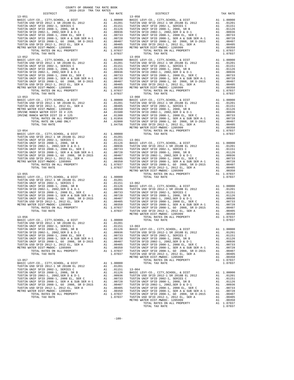| <b>DIGINICI</b>                                                                                                 |    | IAA AAIB         |                  |
|-----------------------------------------------------------------------------------------------------------------|----|------------------|------------------|
| $13 - 051$                                                                                                      |    |                  | $13 - 058$       |
|                                                                                                                 |    |                  |                  |
|                                                                                                                 |    |                  |                  |
|                                                                                                                 |    |                  |                  |
|                                                                                                                 |    |                  |                  |
|                                                                                                                 |    |                  |                  |
|                                                                                                                 |    |                  |                  |
|                                                                                                                 |    |                  |                  |
|                                                                                                                 |    |                  |                  |
|                                                                                                                 |    |                  |                  |
|                                                                                                                 |    |                  |                  |
|                                                                                                                 |    |                  |                  |
| TOTAL TAX RATE                                                                                                  |    | 1.07037          |                  |
|                                                                                                                 |    |                  |                  |
|                                                                                                                 |    |                  |                  |
|                                                                                                                 |    |                  |                  |
|                                                                                                                 |    |                  |                  |
|                                                                                                                 |    |                  |                  |
|                                                                                                                 |    |                  |                  |
|                                                                                                                 |    |                  |                  |
|                                                                                                                 |    |                  |                  |
|                                                                                                                 |    |                  |                  |
|                                                                                                                 |    |                  |                  |
|                                                                                                                 |    |                  |                  |
|                                                                                                                 |    |                  |                  |
|                                                                                                                 |    |                  |                  |
|                                                                                                                 |    |                  |                  |
|                                                                                                                 |    |                  |                  |
|                                                                                                                 |    |                  |                  |
|                                                                                                                 |    |                  |                  |
|                                                                                                                 |    |                  |                  |
|                                                                                                                 |    |                  |                  |
|                                                                                                                 |    |                  |                  |
|                                                                                                                 |    |                  |                  |
|                                                                                                                 |    |                  |                  |
|                                                                                                                 |    |                  |                  |
|                                                                                                                 |    |                  | METRO W          |
| $13 - 054$                                                                                                      |    |                  |                  |
|                                                                                                                 |    |                  |                  |
|                                                                                                                 |    |                  |                  |
|                                                                                                                 |    |                  |                  |
|                                                                                                                 |    |                  |                  |
|                                                                                                                 |    |                  |                  |
|                                                                                                                 |    |                  |                  |
|                                                                                                                 |    |                  |                  |
|                                                                                                                 |    |                  |                  |
|                                                                                                                 |    |                  |                  |
|                                                                                                                 |    |                  |                  |
|                                                                                                                 |    |                  |                  |
|                                                                                                                 |    |                  |                  |
|                                                                                                                 |    |                  | METRO W          |
|                                                                                                                 |    |                  |                  |
|                                                                                                                 |    |                  |                  |
|                                                                                                                 |    |                  |                  |
|                                                                                                                 |    |                  |                  |
|                                                                                                                 |    |                  |                  |
|                                                                                                                 |    |                  |                  |
|                                                                                                                 |    |                  |                  |
|                                                                                                                 |    |                  |                  |
|                                                                                                                 |    |                  |                  |
|                                                                                                                 |    |                  |                  |
|                                                                                                                 |    |                  |                  |
|                                                                                                                 |    |                  |                  |
|                                                                                                                 |    |                  |                  |
| $13 - 056$                                                                                                      |    |                  | METRO W          |
|                                                                                                                 |    |                  |                  |
|                                                                                                                 |    |                  |                  |
|                                                                                                                 |    |                  |                  |
| TUSTIN UNIF SFID 2008-1, 2008, SR B                                                                             | A1 | .01126           | BASIC L          |
| TUSTIN SFID 2002-1, 2002, SER D & D-1                                                                           | A1 | .01120<br>00936. | TUSTIN           |
| TUSTIN UNIF SFID 2008-1, 2008 EL, SER C                                                                         |    |                  |                  |
|                                                                                                                 |    | A1 .00733        | TUSTIN<br>TUSTIN |
|                                                                                                                 |    |                  | TUSTIN           |
| TUSTIN USD SFID 2012-1, 2012 EL, SER A                                                                          |    | A1 .00405        | TUSTIN           |
| METRO WATER DIST-MWDOC- 1205999                                                                                 |    | A1 .00350        | TUSTIN           |
| TOTAL RATES ON ALL PROPERTY                                                                                     |    | A1 1.07037       | TUSTIN           |
| TOTAL TAX RATE                                                                                                  |    | 1.07037          | TUSTIN           |
|                                                                                                                 |    |                  | METRO W          |
| $13 - 057$                                                                                                      |    |                  |                  |
| BASIC LEVY-CO., CITY, SCHOOL, & DIST                                                                            | A1 | 1.00000          |                  |
| TUSTIN USD SFID 2012-1 SR 2018B EL 2012                                                                         |    | A1 .01201        |                  |
| TUSTIN UNIF SFID 2002-1, SERIES C                                                                               | A1 | .01151           | $13 - 064$       |
| TUSTIN UNIF SFID 2008-1, 2008, SR B                                                                             | A1 | .01126           | BASIC L          |
| TUSTIN SFID 2002-1, 2002, SER D & D-1                                                                           | A1 | .00936           | TUSTIN           |
| TUSTIN UNIF SFID 2008-1, 2008 EL, SER C                                                                         |    | A1 .00733        | TUSTIN           |
| TUSTIN UNIF SFID 2008-1, SER A & SUB SER A-1 A1 .00728<br>TUSTIN UNIF SFID 2008-1, GO 2008, SR D-2015 A1 .00407 |    |                  | TUSTIN           |
|                                                                                                                 |    |                  | TUSTIN           |
| TUSTIN USD SFID 2012-1, 2012 EL, SER A                                                                          |    | A1 .00405        | TUSTIN           |
| METRO WATER DIST-MWDOC- 1205999                                                                                 |    | A1 .00350        | TUSTIN           |
| TOTAL RATES ON ALL PROPERTY                                                                                     |    | A1 1.07037       | TUSTIN           |
| TOTAL TAX RATE                                                                                                  |    | 1.07037 TUSTIN   |                  |
|                                                                                                                 |    |                  |                  |

| COUNTY OF ORANGE TAX RATE BOOK |                                                                                                                                                                                                                                                                                                                                                                                                                            |          |
|--------------------------------|----------------------------------------------------------------------------------------------------------------------------------------------------------------------------------------------------------------------------------------------------------------------------------------------------------------------------------------------------------------------------------------------------------------------------|----------|
|                                | DISTRICT<br>TAX RATE 13-058                                                                                                                                                                                                                                                                                                                                                                                                | TAX RATE |
|                                |                                                                                                                                                                                                                                                                                                                                                                                                                            |          |
|                                |                                                                                                                                                                                                                                                                                                                                                                                                                            |          |
|                                |                                                                                                                                                                                                                                                                                                                                                                                                                            |          |
|                                |                                                                                                                                                                                                                                                                                                                                                                                                                            |          |
|                                |                                                                                                                                                                                                                                                                                                                                                                                                                            |          |
|                                |                                                                                                                                                                                                                                                                                                                                                                                                                            |          |
|                                |                                                                                                                                                                                                                                                                                                                                                                                                                            |          |
|                                |                                                                                                                                                                                                                                                                                                                                                                                                                            |          |
|                                |                                                                                                                                                                                                                                                                                                                                                                                                                            |          |
|                                |                                                                                                                                                                                                                                                                                                                                                                                                                            |          |
|                                |                                                                                                                                                                                                                                                                                                                                                                                                                            |          |
|                                |                                                                                                                                                                                                                                                                                                                                                                                                                            |          |
|                                |                                                                                                                                                                                                                                                                                                                                                                                                                            |          |
|                                |                                                                                                                                                                                                                                                                                                                                                                                                                            |          |
|                                |                                                                                                                                                                                                                                                                                                                                                                                                                            |          |
|                                |                                                                                                                                                                                                                                                                                                                                                                                                                            |          |
|                                |                                                                                                                                                                                                                                                                                                                                                                                                                            |          |
|                                |                                                                                                                                                                                                                                                                                                                                                                                                                            |          |
|                                |                                                                                                                                                                                                                                                                                                                                                                                                                            |          |
|                                |                                                                                                                                                                                                                                                                                                                                                                                                                            |          |
|                                |                                                                                                                                                                                                                                                                                                                                                                                                                            |          |
|                                |                                                                                                                                                                                                                                                                                                                                                                                                                            |          |
|                                |                                                                                                                                                                                                                                                                                                                                                                                                                            |          |
|                                |                                                                                                                                                                                                                                                                                                                                                                                                                            |          |
|                                |                                                                                                                                                                                                                                                                                                                                                                                                                            |          |
|                                |                                                                                                                                                                                                                                                                                                                                                                                                                            |          |
|                                |                                                                                                                                                                                                                                                                                                                                                                                                                            |          |
|                                |                                                                                                                                                                                                                                                                                                                                                                                                                            |          |
|                                |                                                                                                                                                                                                                                                                                                                                                                                                                            |          |
|                                |                                                                                                                                                                                                                                                                                                                                                                                                                            |          |
|                                |                                                                                                                                                                                                                                                                                                                                                                                                                            |          |
|                                |                                                                                                                                                                                                                                                                                                                                                                                                                            |          |
|                                |                                                                                                                                                                                                                                                                                                                                                                                                                            |          |
|                                |                                                                                                                                                                                                                                                                                                                                                                                                                            |          |
|                                |                                                                                                                                                                                                                                                                                                                                                                                                                            |          |
|                                |                                                                                                                                                                                                                                                                                                                                                                                                                            |          |
|                                |                                                                                                                                                                                                                                                                                                                                                                                                                            |          |
|                                |                                                                                                                                                                                                                                                                                                                                                                                                                            |          |
|                                |                                                                                                                                                                                                                                                                                                                                                                                                                            |          |
|                                |                                                                                                                                                                                                                                                                                                                                                                                                                            |          |
|                                |                                                                                                                                                                                                                                                                                                                                                                                                                            |          |
|                                |                                                                                                                                                                                                                                                                                                                                                                                                                            |          |
|                                |                                                                                                                                                                                                                                                                                                                                                                                                                            |          |
|                                |                                                                                                                                                                                                                                                                                                                                                                                                                            |          |
|                                |                                                                                                                                                                                                                                                                                                                                                                                                                            |          |
|                                |                                                                                                                                                                                                                                                                                                                                                                                                                            |          |
|                                |                                                                                                                                                                                                                                                                                                                                                                                                                            |          |
|                                | $\begin{tabular}{c c c c} \multicolumn{4}{c}{\textbf{13--057}} & \multicolumn{4}{c}{\textbf{13--057}} & \multicolumn{4}{c}{\textbf{13--057}} & \multicolumn{4}{c}{\textbf{13--057}} & \multicolumn{4}{c}{\textbf{13--057}} & \multicolumn{4}{c}{\textbf{13--057}} & \multicolumn{4}{c}{\textbf{13--057}} & \multicolumn{4}{c}{\textbf{13--057}} & \multicolumn{4}{c}{\textbf{13--057}} & \multicolumn{4}{c}{\textbf{13--0$ |          |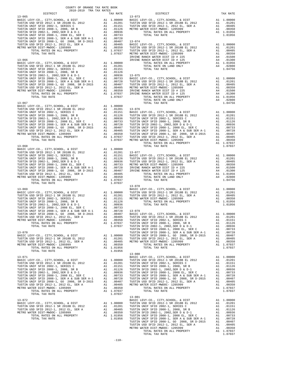| COUNTY OF ORANGE TAX RATE BOOK |          |                                                                                                                                                                                                                                                                                                                                                                                   |          |
|--------------------------------|----------|-----------------------------------------------------------------------------------------------------------------------------------------------------------------------------------------------------------------------------------------------------------------------------------------------------------------------------------------------------------------------------------|----------|
|                                | TAX RATE | DISTRICT                                                                                                                                                                                                                                                                                                                                                                          | TAX RATE |
|                                |          |                                                                                                                                                                                                                                                                                                                                                                                   |          |
|                                |          |                                                                                                                                                                                                                                                                                                                                                                                   |          |
|                                |          |                                                                                                                                                                                                                                                                                                                                                                                   |          |
|                                |          |                                                                                                                                                                                                                                                                                                                                                                                   |          |
|                                |          |                                                                                                                                                                                                                                                                                                                                                                                   |          |
|                                |          |                                                                                                                                                                                                                                                                                                                                                                                   |          |
|                                |          |                                                                                                                                                                                                                                                                                                                                                                                   |          |
|                                |          |                                                                                                                                                                                                                                                                                                                                                                                   |          |
|                                |          |                                                                                                                                                                                                                                                                                                                                                                                   |          |
|                                |          |                                                                                                                                                                                                                                                                                                                                                                                   |          |
|                                |          |                                                                                                                                                                                                                                                                                                                                                                                   |          |
|                                |          |                                                                                                                                                                                                                                                                                                                                                                                   |          |
|                                |          |                                                                                                                                                                                                                                                                                                                                                                                   |          |
|                                |          |                                                                                                                                                                                                                                                                                                                                                                                   |          |
|                                |          |                                                                                                                                                                                                                                                                                                                                                                                   |          |
|                                |          |                                                                                                                                                                                                                                                                                                                                                                                   |          |
|                                |          |                                                                                                                                                                                                                                                                                                                                                                                   |          |
|                                |          |                                                                                                                                                                                                                                                                                                                                                                                   |          |
|                                |          |                                                                                                                                                                                                                                                                                                                                                                                   |          |
|                                |          |                                                                                                                                                                                                                                                                                                                                                                                   |          |
|                                |          |                                                                                                                                                                                                                                                                                                                                                                                   |          |
|                                |          |                                                                                                                                                                                                                                                                                                                                                                                   |          |
|                                |          |                                                                                                                                                                                                                                                                                                                                                                                   |          |
|                                |          |                                                                                                                                                                                                                                                                                                                                                                                   |          |
|                                |          |                                                                                                                                                                                                                                                                                                                                                                                   |          |
|                                |          |                                                                                                                                                                                                                                                                                                                                                                                   |          |
|                                |          |                                                                                                                                                                                                                                                                                                                                                                                   |          |
|                                |          |                                                                                                                                                                                                                                                                                                                                                                                   |          |
|                                |          |                                                                                                                                                                                                                                                                                                                                                                                   |          |
|                                |          |                                                                                                                                                                                                                                                                                                                                                                                   |          |
|                                |          |                                                                                                                                                                                                                                                                                                                                                                                   |          |
|                                |          |                                                                                                                                                                                                                                                                                                                                                                                   |          |
|                                |          |                                                                                                                                                                                                                                                                                                                                                                                   |          |
|                                |          |                                                                                                                                                                                                                                                                                                                                                                                   |          |
|                                |          |                                                                                                                                                                                                                                                                                                                                                                                   |          |
|                                |          | $13 - 078$                                                                                                                                                                                                                                                                                                                                                                        |          |
|                                |          |                                                                                                                                                                                                                                                                                                                                                                                   |          |
|                                |          |                                                                                                                                                                                                                                                                                                                                                                                   |          |
|                                |          |                                                                                                                                                                                                                                                                                                                                                                                   |          |
|                                |          |                                                                                                                                                                                                                                                                                                                                                                                   |          |
|                                |          |                                                                                                                                                                                                                                                                                                                                                                                   |          |
|                                |          |                                                                                                                                                                                                                                                                                                                                                                                   |          |
|                                |          |                                                                                                                                                                                                                                                                                                                                                                                   |          |
|                                |          |                                                                                                                                                                                                                                                                                                                                                                                   |          |
|                                |          |                                                                                                                                                                                                                                                                                                                                                                                   |          |
|                                |          |                                                                                                                                                                                                                                                                                                                                                                                   |          |
|                                |          |                                                                                                                                                                                                                                                                                                                                                                                   |          |
|                                |          | $\begin{tabular}{l c c c c c c} \texttt{METRO WATER DIST-{}-{}MIDOC-1205999 & \texttt{Al} & .00350 & TUSTIN UNIF SFD 2002-1, SERIES C & \texttt{Al} & .01151\\ & \texttt{TOTAL RATES ON ALL PROPERTY} & \texttt{Al} & 1.07037 & TUSTIN SFTD 2002-1, 2002, SER B & \texttt{Al} & .01151\\ & \texttt{TOTAL TAX RATE} & 1.07037 & TUSTIN SFTD 2002-1, 2002, SER B & \texttt{Al} & .$ |          |
|                                |          |                                                                                                                                                                                                                                                                                                                                                                                   |          |
|                                |          |                                                                                                                                                                                                                                                                                                                                                                                   |          |
|                                |          | $13 - 080$                                                                                                                                                                                                                                                                                                                                                                        |          |
|                                |          |                                                                                                                                                                                                                                                                                                                                                                                   |          |
|                                |          |                                                                                                                                                                                                                                                                                                                                                                                   |          |
|                                |          |                                                                                                                                                                                                                                                                                                                                                                                   |          |
|                                |          |                                                                                                                                                                                                                                                                                                                                                                                   |          |
|                                |          |                                                                                                                                                                                                                                                                                                                                                                                   |          |
|                                |          |                                                                                                                                                                                                                                                                                                                                                                                   |          |
|                                |          |                                                                                                                                                                                                                                                                                                                                                                                   |          |
|                                |          |                                                                                                                                                                                                                                                                                                                                                                                   |          |
|                                |          |                                                                                                                                                                                                                                                                                                                                                                                   |          |
|                                |          |                                                                                                                                                                                                                                                                                                                                                                                   |          |
|                                |          |                                                                                                                                                                                                                                                                                                                                                                                   |          |
|                                |          |                                                                                                                                                                                                                                                                                                                                                                                   |          |
|                                |          |                                                                                                                                                                                                                                                                                                                                                                                   |          |
|                                |          |                                                                                                                                                                                                                                                                                                                                                                                   |          |
|                                |          | $\begin{tabular}{cccccc} 13-072 & 13-081 & 1.00000 & 13-081 & 1.00000 & 1.00000 & 1.00000 \\ \hline \texttt{RASIC LEVY-CO.}, & CITT, SCHOOL, & & DIST & & & & 1.00000 \\ \texttt{TUSTIN USD SFID 2012-1 SR 2018B EL 2012 & & & & & 1.00000 \\ \texttt{TUSTIN USD SFID 2012-1 SR 2018B EL 2012 & & & & 1.01201 \\ \texttt{TUSTIN USD SFID 2002-1}, & 2012-BL$                      |          |
|                                |          |                                                                                                                                                                                                                                                                                                                                                                                   |          |
|                                |          |                                                                                                                                                                                                                                                                                                                                                                                   |          |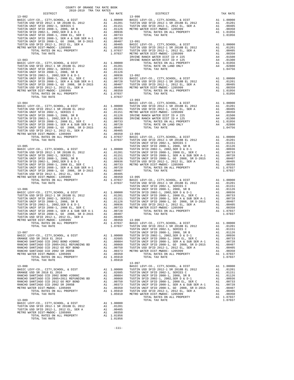| COUNTY OF ORANGE TAX RATE BOOK<br>2018-2019 TRA TAX RATES<br>DISTRICT | TAX RATE           |                  |
|-----------------------------------------------------------------------|--------------------|------------------|
| $13 - 082$                                                            |                    | $13 - 090$       |
|                                                                       |                    |                  |
|                                                                       |                    |                  |
|                                                                       |                    |                  |
|                                                                       |                    |                  |
|                                                                       |                    |                  |
|                                                                       |                    |                  |
|                                                                       |                    |                  |
|                                                                       |                    |                  |
|                                                                       |                    |                  |
|                                                                       |                    | IRVINE           |
| $13 - 083$                                                            |                    | IRVINE           |
|                                                                       |                    |                  |
|                                                                       |                    |                  |
|                                                                       |                    |                  |
|                                                                       |                    |                  |
|                                                                       |                    |                  |
|                                                                       |                    |                  |
|                                                                       |                    |                  |
|                                                                       |                    |                  |
|                                                                       |                    |                  |
| TOTAL TAX RATE                                                        | 1.07037            | $13 - 093$       |
|                                                                       |                    |                  |
|                                                                       |                    |                  |
|                                                                       |                    |                  |
|                                                                       |                    |                  |
|                                                                       |                    |                  |
|                                                                       |                    |                  |
|                                                                       |                    |                  |
|                                                                       |                    |                  |
|                                                                       |                    |                  |
|                                                                       |                    |                  |
|                                                                       |                    |                  |
|                                                                       |                    |                  |
|                                                                       |                    |                  |
|                                                                       |                    |                  |
|                                                                       |                    |                  |
|                                                                       |                    |                  |
|                                                                       |                    |                  |
|                                                                       |                    |                  |
|                                                                       |                    |                  |
|                                                                       |                    |                  |
|                                                                       |                    |                  |
|                                                                       |                    |                  |
| $13 - 086$                                                            |                    | TUSTIN<br>TUSTIN |
|                                                                       |                    |                  |
|                                                                       |                    |                  |
|                                                                       |                    |                  |
|                                                                       |                    |                  |
|                                                                       |                    |                  |
|                                                                       |                    |                  |
|                                                                       |                    |                  |
|                                                                       |                    |                  |
| TOTAL RATES ON ALL PROPERTY                                           | A1 1.07037 BASIC L |                  |
| TOTAL TAX RATE                                                        | 1.07037            | TUSTIN           |
| $13 - 087$                                                            |                    | TUSTIN<br>TUSTIN |
|                                                                       |                    |                  |
|                                                                       |                    |                  |
|                                                                       |                    |                  |
|                                                                       |                    |                  |
|                                                                       |                    |                  |
|                                                                       |                    |                  |
|                                                                       |                    |                  |
| TOTAL TAX RATE                                                        | 1.05910            | $13 - 097$       |
| $13 - 088$                                                            |                    | BASIC L          |
|                                                                       |                    |                  |
|                                                                       |                    |                  |
|                                                                       |                    |                  |
|                                                                       |                    |                  |
|                                                                       |                    |                  |
|                                                                       |                    |                  |
|                                                                       |                    |                  |
|                                                                       |                    |                  |
| $13 - 089$                                                            |                    |                  |
|                                                                       |                    |                  |
|                                                                       |                    |                  |
|                                                                       |                    |                  |
|                                                                       |                    |                  |
| TOTAL TAX RATE                                                        | 1.01956            |                  |

| 2018-2019 TRA TAX RATES<br>DISTRICT                                             | TAX RATE | $\mathbf{z} = \mathbf{z} \times \mathbf{z}$<br>DISTRICT | TAX RATE |
|---------------------------------------------------------------------------------|----------|---------------------------------------------------------|----------|
| $13 - 082$                                                                      |          | $13 - 090$                                              |          |
|                                                                                 |          |                                                         |          |
|                                                                                 |          |                                                         |          |
|                                                                                 |          |                                                         |          |
|                                                                                 |          |                                                         |          |
|                                                                                 |          |                                                         |          |
|                                                                                 |          |                                                         |          |
|                                                                                 |          |                                                         |          |
|                                                                                 |          |                                                         |          |
|                                                                                 |          |                                                         |          |
|                                                                                 |          |                                                         |          |
|                                                                                 |          |                                                         |          |
|                                                                                 |          |                                                         |          |
|                                                                                 |          |                                                         |          |
|                                                                                 |          |                                                         |          |
|                                                                                 |          |                                                         |          |
|                                                                                 |          |                                                         |          |
|                                                                                 |          |                                                         |          |
|                                                                                 |          |                                                         |          |
|                                                                                 |          |                                                         |          |
|                                                                                 |          |                                                         |          |
|                                                                                 |          |                                                         |          |
|                                                                                 |          |                                                         |          |
|                                                                                 |          |                                                         |          |
|                                                                                 |          |                                                         |          |
|                                                                                 |          |                                                         |          |
|                                                                                 |          |                                                         |          |
|                                                                                 |          |                                                         |          |
|                                                                                 |          |                                                         |          |
|                                                                                 |          |                                                         |          |
|                                                                                 |          |                                                         |          |
|                                                                                 |          |                                                         |          |
|                                                                                 |          |                                                         |          |
|                                                                                 |          |                                                         |          |
|                                                                                 |          |                                                         |          |
|                                                                                 |          |                                                         |          |
|                                                                                 |          |                                                         |          |
|                                                                                 |          |                                                         |          |
|                                                                                 |          |                                                         |          |
|                                                                                 |          |                                                         |          |
|                                                                                 |          |                                                         |          |
|                                                                                 |          |                                                         |          |
|                                                                                 |          |                                                         |          |
|                                                                                 |          |                                                         |          |
|                                                                                 |          |                                                         |          |
|                                                                                 |          |                                                         |          |
|                                                                                 |          |                                                         |          |
|                                                                                 |          |                                                         |          |
|                                                                                 |          |                                                         |          |
|                                                                                 |          |                                                         |          |
|                                                                                 |          |                                                         |          |
|                                                                                 |          |                                                         |          |
|                                                                                 |          |                                                         |          |
|                                                                                 |          |                                                         |          |
|                                                                                 |          |                                                         |          |
|                                                                                 |          |                                                         |          |
|                                                                                 |          |                                                         |          |
|                                                                                 |          |                                                         |          |
|                                                                                 |          |                                                         |          |
|                                                                                 |          |                                                         |          |
|                                                                                 |          |                                                         |          |
|                                                                                 |          |                                                         |          |
|                                                                                 |          |                                                         |          |
|                                                                                 |          |                                                         |          |
|                                                                                 |          |                                                         |          |
|                                                                                 |          |                                                         |          |
|                                                                                 |          |                                                         |          |
|                                                                                 |          |                                                         |          |
|                                                                                 |          |                                                         |          |
|                                                                                 |          |                                                         |          |
|                                                                                 |          |                                                         |          |
|                                                                                 |          |                                                         |          |
|                                                                                 |          |                                                         |          |
|                                                                                 |          |                                                         |          |
|                                                                                 |          |                                                         |          |
|                                                                                 |          |                                                         |          |
|                                                                                 |          |                                                         |          |
|                                                                                 |          |                                                         |          |
|                                                                                 |          |                                                         |          |
|                                                                                 |          |                                                         |          |
|                                                                                 |          |                                                         |          |
|                                                                                 |          |                                                         |          |
|                                                                                 |          |                                                         |          |
|                                                                                 |          |                                                         |          |
|                                                                                 |          |                                                         |          |
|                                                                                 |          |                                                         |          |
|                                                                                 |          |                                                         |          |
|                                                                                 |          |                                                         |          |
|                                                                                 |          |                                                         |          |
|                                                                                 |          |                                                         |          |
|                                                                                 |          |                                                         |          |
|                                                                                 |          |                                                         |          |
|                                                                                 |          |                                                         |          |
| $13 - 089$                                                                      |          | TOTAL TAX RATE                                          | 1.07037  |
| PASIC LEVY-CO., CITY, SCHOOL, & DIST<br>THETIM HED SETD 2012-1 SP 2019P FL 2012 |          |                                                         |          |
|                                                                                 |          |                                                         |          |

-111-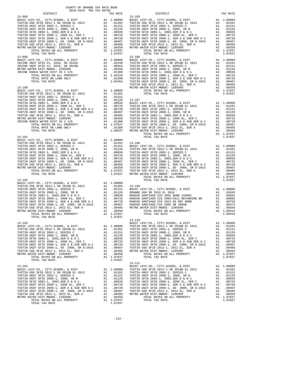| COUNTY OF ORANGE TAX RATE BOOK |                                                              |            |          |
|--------------------------------|--------------------------------------------------------------|------------|----------|
|                                | $\begin{array}{c}\n\texttt{TAX RATE} \\ 13-105\n\end{array}$ | DISTRICT   | TAX RATE |
|                                |                                                              |            |          |
|                                |                                                              |            |          |
|                                |                                                              |            |          |
|                                |                                                              |            |          |
|                                |                                                              |            |          |
|                                |                                                              |            |          |
|                                |                                                              |            |          |
|                                |                                                              |            |          |
|                                |                                                              |            |          |
|                                |                                                              | $13 - 110$ |          |
|                                |                                                              | 13-111     |          |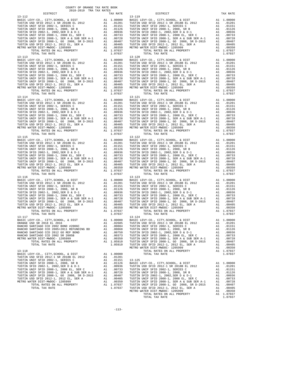| DISTRICT                                                                                                                                                                                                                                      |    | TAX RATE                            |                   |
|-----------------------------------------------------------------------------------------------------------------------------------------------------------------------------------------------------------------------------------------------|----|-------------------------------------|-------------------|
| $13 - 112$                                                                                                                                                                                                                                    |    |                                     | 13-119            |
|                                                                                                                                                                                                                                               |    |                                     |                   |
|                                                                                                                                                                                                                                               |    |                                     |                   |
|                                                                                                                                                                                                                                               |    |                                     |                   |
|                                                                                                                                                                                                                                               |    |                                     |                   |
|                                                                                                                                                                                                                                               |    |                                     |                   |
|                                                                                                                                                                                                                                               |    |                                     |                   |
|                                                                                                                                                                                                                                               |    |                                     |                   |
|                                                                                                                                                                                                                                               |    |                                     |                   |
|                                                                                                                                                                                                                                               |    |                                     |                   |
|                                                                                                                                                                                                                                               |    |                                     |                   |
|                                                                                                                                                                                                                                               |    |                                     |                   |
|                                                                                                                                                                                                                                               |    |                                     |                   |
| $13 - 113$                                                                                                                                                                                                                                    |    |                                     | 13-120            |
|                                                                                                                                                                                                                                               |    |                                     |                   |
|                                                                                                                                                                                                                                               |    |                                     |                   |
|                                                                                                                                                                                                                                               |    |                                     |                   |
|                                                                                                                                                                                                                                               |    |                                     |                   |
|                                                                                                                                                                                                                                               |    |                                     |                   |
|                                                                                                                                                                                                                                               |    |                                     |                   |
|                                                                                                                                                                                                                                               |    |                                     |                   |
|                                                                                                                                                                                                                                               |    |                                     |                   |
|                                                                                                                                                                                                                                               |    |                                     |                   |
|                                                                                                                                                                                                                                               |    |                                     |                   |
|                                                                                                                                                                                                                                               |    |                                     |                   |
|                                                                                                                                                                                                                                               |    |                                     | 13-121            |
|                                                                                                                                                                                                                                               |    |                                     |                   |
|                                                                                                                                                                                                                                               |    |                                     |                   |
|                                                                                                                                                                                                                                               |    |                                     |                   |
|                                                                                                                                                                                                                                               |    |                                     |                   |
|                                                                                                                                                                                                                                               |    |                                     |                   |
|                                                                                                                                                                                                                                               |    |                                     |                   |
|                                                                                                                                                                                                                                               |    |                                     |                   |
|                                                                                                                                                                                                                                               |    |                                     |                   |
|                                                                                                                                                                                                                                               |    |                                     |                   |
|                                                                                                                                                                                                                                               |    |                                     |                   |
|                                                                                                                                                                                                                                               |    |                                     |                   |
|                                                                                                                                                                                                                                               |    |                                     |                   |
| $13 - 115$                                                                                                                                                                                                                                    |    |                                     | $13 - 122$        |
|                                                                                                                                                                                                                                               |    |                                     |                   |
|                                                                                                                                                                                                                                               |    |                                     |                   |
|                                                                                                                                                                                                                                               |    |                                     |                   |
|                                                                                                                                                                                                                                               |    |                                     |                   |
|                                                                                                                                                                                                                                               |    |                                     |                   |
|                                                                                                                                                                                                                                               |    |                                     |                   |
|                                                                                                                                                                                                                                               |    |                                     |                   |
|                                                                                                                                                                                                                                               |    |                                     |                   |
|                                                                                                                                                                                                                                               |    |                                     |                   |
|                                                                                                                                                                                                                                               |    |                                     |                   |
|                                                                                                                                                                                                                                               |    |                                     |                   |
| TOTAL TAX RATE                                                                                                                                                                                                                                |    | 1.07037                             |                   |
| $13 - 116$                                                                                                                                                                                                                                    |    |                                     | $13 - 123$        |
|                                                                                                                                                                                                                                               |    |                                     |                   |
|                                                                                                                                                                                                                                               |    |                                     |                   |
|                                                                                                                                                                                                                                               |    |                                     |                   |
|                                                                                                                                                                                                                                               |    |                                     |                   |
|                                                                                                                                                                                                                                               |    |                                     |                   |
|                                                                                                                                                                                                                                               |    |                                     |                   |
|                                                                                                                                                                                                                                               |    |                                     |                   |
|                                                                                                                                                                                                                                               |    |                                     |                   |
|                                                                                                                                                                                                                                               |    |                                     |                   |
|                                                                                                                                                                                                                                               |    |                                     |                   |
|                                                                                                                                                                                                                                               |    |                                     |                   |
|                                                                                                                                                                                                                                               |    |                                     |                   |
|                                                                                                                                                                                                                                               |    |                                     |                   |
|                                                                                                                                                                                                                                               |    |                                     |                   |
|                                                                                                                                                                                                                                               |    |                                     |                   |
|                                                                                                                                                                                                                                               |    |                                     |                   |
|                                                                                                                                                                                                                                               |    |                                     |                   |
| RANCHO SANTIAGO CCD 2012 GO REF BOND                                                                                                                                                                                                          | A1 | .00750                              | TUSTIN            |
| RANCHO SANTIAGO CCD 2002 SR 2005B                                                                                                                                                                                                             |    | A1 .00373                           | TUSTIN            |
| METRO WATER DIST-MWDOC- 1205999                                                                                                                                                                                                               | A1 | .00350                              | TUSTIN            |
| TOTAL RATES ON ALL PROPERTY                                                                                                                                                                                                                   |    | A1 1.05910                          | TUSTIN            |
| TOTAL TAX RATE                                                                                                                                                                                                                                |    | 1.05910                             | TUSTIN            |
|                                                                                                                                                                                                                                               |    |                                     | METRO W           |
| $13 - 118$                                                                                                                                                                                                                                    |    |                                     |                   |
| BASIC LEVY-CO., CITY, SCHOOL, & DIST                                                                                                                                                                                                          |    | A1 1.00000                          |                   |
| TUSTIN USD SFID 2012-1 SR 2018B EL 2012                                                                                                                                                                                                       |    | A1.01201                            |                   |
| TUSTIN UNIF SFID 2002-1, SERIES C                                                                                                                                                                                                             |    | A1 .01151                           |                   |
| TUSTIN UNIF SFID 2008-1, 2008, SR B<br>TUSTIN SFID 2002-1, 2002, SER D & D-1<br>TUSTIN UNIF SFID 2002-1, 2002 SER D & D-1<br>TUSTIN UNIF SFID 2008-1, SER A & SUB SER A-1 00733<br>TUSTIN UNIF SFID 2008-1, SER A & SUB SER A-1 A1 00728<br>T |    |                                     | 13-125<br>BASIC L |
|                                                                                                                                                                                                                                               |    |                                     | TUSTIN            |
|                                                                                                                                                                                                                                               |    |                                     | TUSTIN            |
|                                                                                                                                                                                                                                               |    |                                     | TUSTIN            |
|                                                                                                                                                                                                                                               |    |                                     | TUSTIN            |
| TUSTIN USD SFID 2012-1, 2012 EL, SER A                                                                                                                                                                                                        |    | A1.00405                            | TUSTIN            |
| METRO WATER DIST-MWDOC- 1205999                                                                                                                                                                                                               | A1 | .00350                              | TUSTIN            |
| TOTAL RATES ON ALL PROPERTY                                                                                                                                                                                                                   |    | A1 1.07037 TUSTIN<br>1.07037 TUSTIN |                   |
| TOTAL TAX RATE                                                                                                                                                                                                                                |    |                                     |                   |

| COUNTY OF ORANGE TAX RATE BOOK<br>2018-2019 TRA TAX RATES                                                                                                                                                                                                                                                                                                                                               |          |                                                 |            |
|---------------------------------------------------------------------------------------------------------------------------------------------------------------------------------------------------------------------------------------------------------------------------------------------------------------------------------------------------------------------------------------------------------|----------|-------------------------------------------------|------------|
| DISTRICT                                                                                                                                                                                                                                                                                                                                                                                                | TAX RATE | DISTRICT                                        | TAX RATE   |
|                                                                                                                                                                                                                                                                                                                                                                                                         |          |                                                 |            |
|                                                                                                                                                                                                                                                                                                                                                                                                         |          |                                                 |            |
|                                                                                                                                                                                                                                                                                                                                                                                                         |          |                                                 |            |
|                                                                                                                                                                                                                                                                                                                                                                                                         |          |                                                 |            |
|                                                                                                                                                                                                                                                                                                                                                                                                         |          |                                                 |            |
| BASIC LEVY-CO., CITY, SCHOOL, & DIST                                                                                                                                                                                                                                                                                                                                                                    |          | A1 1.00000 BASIC LEVY-CO., CITY, SCHOOL, & DIST | A1 1.00000 |
| $\begin{tabular}{c cccc} \multicolumn{4}{c}{\begin{tabular}{c}{\begin{tabular}{c} {\bf{707M, TAX RATE}}\\ {\bf{13-118}}\\ {\bf{13-119}}\\ {\bf{707M, TAX RATE}}\\ {\bf{707M, TAX RATE}}\\ {\bf{707M, TAX RATE}}\\ {\bf{707M, TAX RATE}}\\ {\bf{707M, TAX RATE}}\\ {\bf{707M, TAX RATE}}\\ {\bf{707M, TAX RATE}}\\ {\bf{707M, TAX RATE}}\\ {\bf{707M, TAX RATE}}\\ {\bf{707M, TAX RATE}}\\ {\bf{707M, T$ |          |                                                 |            |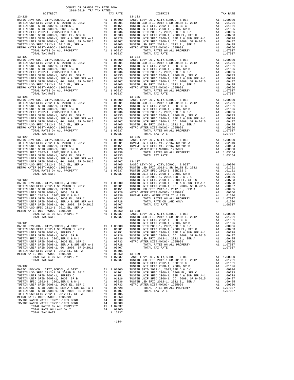| $13 - 127$                                                                                                                                                                                                                                      |    |                                      | $13 - 134$        |
|-------------------------------------------------------------------------------------------------------------------------------------------------------------------------------------------------------------------------------------------------|----|--------------------------------------|-------------------|
|                                                                                                                                                                                                                                                 |    |                                      |                   |
|                                                                                                                                                                                                                                                 |    |                                      |                   |
|                                                                                                                                                                                                                                                 |    |                                      |                   |
|                                                                                                                                                                                                                                                 |    |                                      |                   |
|                                                                                                                                                                                                                                                 |    |                                      |                   |
|                                                                                                                                                                                                                                                 |    |                                      |                   |
|                                                                                                                                                                                                                                                 |    |                                      |                   |
| TOTAL TAX RATE                                                                                                                                                                                                                                  |    | 1.07037                              |                   |
| $13 - 128$                                                                                                                                                                                                                                      |    |                                      | $13 - 135$        |
|                                                                                                                                                                                                                                                 |    |                                      |                   |
|                                                                                                                                                                                                                                                 |    |                                      |                   |
|                                                                                                                                                                                                                                                 |    |                                      |                   |
|                                                                                                                                                                                                                                                 |    |                                      |                   |
|                                                                                                                                                                                                                                                 |    |                                      |                   |
|                                                                                                                                                                                                                                                 |    |                                      |                   |
|                                                                                                                                                                                                                                                 |    |                                      |                   |
|                                                                                                                                                                                                                                                 |    |                                      |                   |
| TOTAL TAX RATE                                                                                                                                                                                                                                  |    | 1.07037                              |                   |
|                                                                                                                                                                                                                                                 |    |                                      |                   |
|                                                                                                                                                                                                                                                 |    |                                      |                   |
|                                                                                                                                                                                                                                                 |    |                                      |                   |
|                                                                                                                                                                                                                                                 |    |                                      |                   |
|                                                                                                                                                                                                                                                 |    |                                      |                   |
|                                                                                                                                                                                                                                                 |    |                                      |                   |
|                                                                                                                                                                                                                                                 |    |                                      |                   |
|                                                                                                                                                                                                                                                 |    |                                      |                   |
|                                                                                                                                                                                                                                                 |    |                                      |                   |
|                                                                                                                                                                                                                                                 |    |                                      | TUSTIN            |
| $13 - 130$                                                                                                                                                                                                                                      |    |                                      | TUSTIN            |
|                                                                                                                                                                                                                                                 |    |                                      |                   |
|                                                                                                                                                                                                                                                 |    |                                      |                   |
|                                                                                                                                                                                                                                                 |    |                                      |                   |
|                                                                                                                                                                                                                                                 |    |                                      |                   |
|                                                                                                                                                                                                                                                 |    |                                      |                   |
|                                                                                                                                                                                                                                                 |    |                                      |                   |
|                                                                                                                                                                                                                                                 |    |                                      |                   |
|                                                                                                                                                                                                                                                 |    |                                      |                   |
|                                                                                                                                                                                                                                                 |    |                                      | TUSTIN            |
| 13-131                                                                                                                                                                                                                                          |    |                                      | TUSTIN            |
|                                                                                                                                                                                                                                                 |    |                                      |                   |
| TUSTIN UNIF SFID 2002-1, SERIES C                                                                                                                                                                                                               | A1 | .01151                               | TUSTIN            |
|                                                                                                                                                                                                                                                 |    |                                      | TUSTIN<br>TUSTIN  |
|                                                                                                                                                                                                                                                 |    |                                      | METRO W           |
|                                                                                                                                                                                                                                                 |    |                                      |                   |
|                                                                                                                                                                                                                                                 |    |                                      |                   |
| TUSTIN USD SFID 2012-1, 2012 EL, SER A<br>METRO WATER DIST-MWDOC- 1205999                                                                                                                                                                       | A1 | A1 .00405<br>.00350                  | $13 - 139$        |
| TOTAL RATES ON ALL PROPERTY                                                                                                                                                                                                                     |    | A1 1.07037                           | BASIC L           |
| TOTAL TAX RATE                                                                                                                                                                                                                                  |    | 1.07037                              | TUSTIN<br>TUSTIN  |
| $13 - 132$                                                                                                                                                                                                                                      |    |                                      | TUSTIN            |
| BASIC LEVY-CO., CITY, SCHOOL, & DIST<br>TUSTIN USD SFID 2012-1 SR 2018B EL 2012                                                                                                                                                                 |    | A1 1.00000                           | TUSTIN            |
|                                                                                                                                                                                                                                                 |    | A1 .01201 TUSTIN<br>A1 .01151 TUSTIN |                   |
| AL 01201<br>TUSTIN UNIF SFID 2002-1, SERIES C<br>TUSTIN UNIF SFID 2008-1, 2008, SR B<br>TUSTIN SFID 2002-1, 2002, SER D & D-1<br>TUSTIN UNIF SFID 2008-1, SER D & D-1<br>TUSTIN UNIF SFID 2008-1, SER A & SUB SER A-1 00733<br>TUSTIN UNIF SFID |    |                                      | TUSTIN            |
|                                                                                                                                                                                                                                                 |    |                                      | TUSTIN<br>METRO W |
|                                                                                                                                                                                                                                                 |    |                                      |                   |
|                                                                                                                                                                                                                                                 |    |                                      |                   |
| METRO WATER DIST-MWDOC- 1205999                                                                                                                                                                                                                 | A1 | .00350                               |                   |
| IRVINE RANCH WATER ID#213-1989 BOND                                                                                                                                                                                                             | A4 | .05900                               |                   |
| IRVINE RANCH WATER ID#113-1989 BOND                                                                                                                                                                                                             | A4 | .04000                               |                   |
| TOTAL RATES ON ALL PROPERTY<br>TOTAL RATE ON LAND ONLY                                                                                                                                                                                          |    | A1 1.07037<br>A4 .09900              |                   |
| TOTAL TAX RATE                                                                                                                                                                                                                                  |    | 1.16937                              |                   |

| 2018-2019 TRA TAX RATES<br>DISTRICT | TAX RATE | DISTRICT | TAX RATE |
|-------------------------------------|----------|----------|----------|
|                                     |          |          |          |
|                                     |          |          |          |
|                                     |          |          |          |
|                                     |          |          |          |
|                                     |          |          |          |
|                                     |          |          |          |
|                                     |          |          |          |
|                                     |          |          |          |

-114-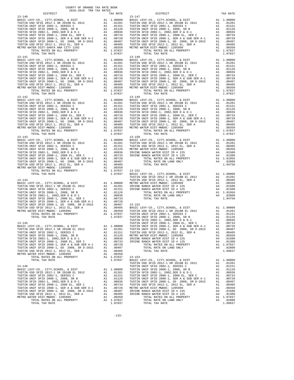| COUNTY OF ORANGE TAX RATE BOOK |          |          |          |
|--------------------------------|----------|----------|----------|
|                                | TAX RATE | DISTRICT | TAX RATE |
|                                |          |          |          |
|                                |          |          |          |
|                                |          |          |          |
|                                |          |          |          |
|                                |          |          |          |
|                                |          |          |          |
|                                |          |          |          |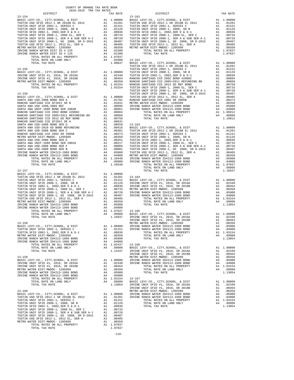| TAX RATE<br>DISTRICT |  | DISTRICT | TAX RATE |
|----------------------|--|----------|----------|
|                      |  |          |          |
|                      |  |          |          |
|                      |  |          |          |
|                      |  |          |          |
|                      |  |          |          |
|                      |  |          |          |
|                      |  |          |          |
|                      |  |          |          |
|                      |  |          |          |
|                      |  |          |          |
|                      |  |          |          |
|                      |  |          |          |
|                      |  |          |          |
|                      |  |          |          |
|                      |  |          |          |
|                      |  |          |          |
|                      |  |          |          |
|                      |  |          |          |
|                      |  |          |          |
|                      |  |          |          |
|                      |  |          |          |
|                      |  |          |          |
|                      |  |          |          |
|                      |  |          |          |
|                      |  |          |          |
|                      |  |          |          |
|                      |  |          |          |
|                      |  |          |          |
|                      |  |          |          |
|                      |  |          |          |
|                      |  |          |          |
|                      |  |          |          |
|                      |  |          |          |
|                      |  |          |          |
|                      |  |          |          |
|                      |  |          |          |
|                      |  |          |          |
|                      |  |          |          |
|                      |  |          |          |
|                      |  |          |          |
|                      |  |          |          |
|                      |  |          |          |
|                      |  |          |          |
|                      |  |          |          |
|                      |  |          |          |
|                      |  |          |          |
|                      |  |          |          |
|                      |  |          |          |
|                      |  |          |          |
|                      |  |          |          |
|                      |  |          |          |
|                      |  |          |          |
|                      |  |          |          |
|                      |  |          |          |
|                      |  |          |          |
|                      |  |          |          |
|                      |  |          |          |
|                      |  |          |          |
|                      |  |          |          |
|                      |  |          |          |
|                      |  |          |          |
|                      |  |          |          |
|                      |  |          |          |
|                      |  |          |          |
|                      |  |          |          |
|                      |  |          |          |
|                      |  |          |          |
|                      |  |          |          |
|                      |  |          |          |
|                      |  |          |          |
|                      |  |          |          |
|                      |  |          |          |
|                      |  |          |          |
|                      |  |          |          |
|                      |  |          |          |
|                      |  |          |          |
|                      |  |          |          |
|                      |  |          |          |
|                      |  |          |          |
|                      |  |          |          |
|                      |  |          |          |
|                      |  |          |          |
|                      |  |          |          |
|                      |  |          |          |
|                      |  |          |          |
|                      |  |          |          |
|                      |  |          |          |
|                      |  |          |          |
|                      |  |          |          |
|                      |  |          |          |
|                      |  |          |          |
|                      |  |          |          |
|                      |  |          |          |
|                      |  |          |          |
|                      |  |          |          |
|                      |  |          |          |
|                      |  |          |          |

-116-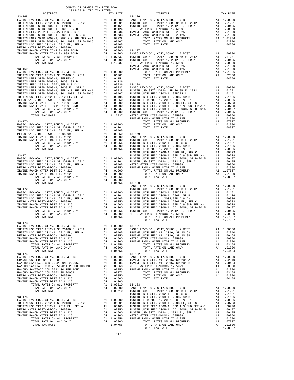| COUNTY OF ORANGE TAX RATE BOOK<br>2018-2019 TRA TAX RATES |  |                                                                                                                 |          |
|-----------------------------------------------------------|--|-----------------------------------------------------------------------------------------------------------------|----------|
|                                                           |  | $\begin{tabular}{ll} \bf{TAX} \,\, \tt{RATE} & \tt{DISTRICT} \\ & \tt{13-176} & \tt{DISTRICT} \\ \end{tabular}$ | TAX RATE |
|                                                           |  |                                                                                                                 |          |
|                                                           |  |                                                                                                                 |          |
|                                                           |  |                                                                                                                 |          |
|                                                           |  |                                                                                                                 |          |
|                                                           |  |                                                                                                                 |          |
|                                                           |  |                                                                                                                 |          |
|                                                           |  |                                                                                                                 |          |
|                                                           |  |                                                                                                                 |          |
|                                                           |  |                                                                                                                 |          |
|                                                           |  |                                                                                                                 |          |
|                                                           |  |                                                                                                                 |          |
|                                                           |  |                                                                                                                 |          |
|                                                           |  |                                                                                                                 |          |
|                                                           |  |                                                                                                                 |          |
|                                                           |  |                                                                                                                 |          |
|                                                           |  |                                                                                                                 |          |
|                                                           |  |                                                                                                                 |          |
|                                                           |  |                                                                                                                 |          |
|                                                           |  |                                                                                                                 |          |
|                                                           |  |                                                                                                                 |          |
|                                                           |  |                                                                                                                 |          |
|                                                           |  |                                                                                                                 |          |
|                                                           |  |                                                                                                                 |          |
|                                                           |  |                                                                                                                 |          |
|                                                           |  |                                                                                                                 |          |
|                                                           |  |                                                                                                                 |          |
|                                                           |  |                                                                                                                 |          |
|                                                           |  |                                                                                                                 |          |
|                                                           |  |                                                                                                                 |          |
|                                                           |  |                                                                                                                 |          |
|                                                           |  |                                                                                                                 |          |
|                                                           |  |                                                                                                                 |          |
|                                                           |  |                                                                                                                 |          |
|                                                           |  |                                                                                                                 |          |
|                                                           |  |                                                                                                                 |          |
|                                                           |  |                                                                                                                 |          |
|                                                           |  |                                                                                                                 |          |
|                                                           |  |                                                                                                                 |          |
|                                                           |  |                                                                                                                 |          |
|                                                           |  |                                                                                                                 |          |
|                                                           |  |                                                                                                                 |          |
|                                                           |  |                                                                                                                 |          |
|                                                           |  |                                                                                                                 |          |
|                                                           |  |                                                                                                                 |          |
|                                                           |  |                                                                                                                 |          |
|                                                           |  |                                                                                                                 |          |
|                                                           |  |                                                                                                                 |          |
|                                                           |  |                                                                                                                 |          |
|                                                           |  |                                                                                                                 |          |
|                                                           |  |                                                                                                                 |          |
|                                                           |  |                                                                                                                 |          |
| 13-173                                                    |  |                                                                                                                 |          |
|                                                           |  |                                                                                                                 |          |
|                                                           |  |                                                                                                                 |          |
|                                                           |  |                                                                                                                 |          |
|                                                           |  |                                                                                                                 |          |
|                                                           |  |                                                                                                                 |          |
|                                                           |  |                                                                                                                 |          |
|                                                           |  |                                                                                                                 |          |
|                                                           |  |                                                                                                                 |          |
|                                                           |  |                                                                                                                 |          |
|                                                           |  |                                                                                                                 |          |
|                                                           |  |                                                                                                                 |          |
|                                                           |  |                                                                                                                 |          |
|                                                           |  |                                                                                                                 |          |
|                                                           |  |                                                                                                                 |          |
|                                                           |  |                                                                                                                 |          |
|                                                           |  |                                                                                                                 |          |
|                                                           |  |                                                                                                                 |          |
|                                                           |  |                                                                                                                 |          |
|                                                           |  |                                                                                                                 |          |
|                                                           |  |                                                                                                                 |          |
|                                                           |  |                                                                                                                 |          |
|                                                           |  |                                                                                                                 |          |
|                                                           |  |                                                                                                                 |          |
|                                                           |  |                                                                                                                 |          |
|                                                           |  |                                                                                                                 |          |
|                                                           |  |                                                                                                                 |          |
|                                                           |  |                                                                                                                 |          |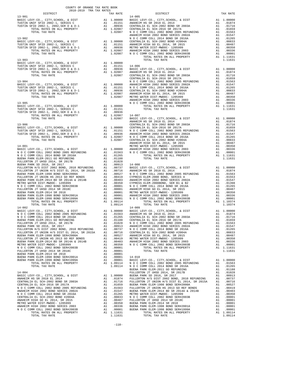| COUNTY OF ORANGE TAX RATE BOOK<br>2018-2019 TRA TAX RATES<br>$2018-2019 \begin{tabular}{ll} \multicolumn{2}{l}{{\small\tt 1}} & \multicolumn{2}{l}{\small\t 1}} & \multicolumn{2}{l}{\small\t 1}} & \multicolumn{2}{l}{\small\t 1}} \\ & \multicolumn{2}{l}{\small\t 2018-2019} & \multicolumn{2}{l}{\small\t 1}} & \multicolumn{2}{l}{\small\t 1}} & \multicolumn{2}{l}{\small\t 1}} & \multicolumn{2}{l}{\small\t 1}} \\ & \multicolumn{2}{l}{\small\t 2018-2019} & \multicolumn{2}{l}{\small\t 1}} & \multicolumn{2}{$ |          |                                                                                                                                                                                                                                                                                                                                                                                                                             |          |
|---------------------------------------------------------------------------------------------------------------------------------------------------------------------------------------------------------------------------------------------------------------------------------------------------------------------------------------------------------------------------------------------------------------------------------------------------------------------------------------------------------------------------|----------|-----------------------------------------------------------------------------------------------------------------------------------------------------------------------------------------------------------------------------------------------------------------------------------------------------------------------------------------------------------------------------------------------------------------------------|----------|
| $13 - 901$                                                                                                                                                                                                                                                                                                                                                                                                                                                                                                                | TAX RATE | DISTRICT<br>$14 - 005$                                                                                                                                                                                                                                                                                                                                                                                                      | TAX RATE |
|                                                                                                                                                                                                                                                                                                                                                                                                                                                                                                                           |          | $\begin{tabular}{cccccccc} 13-901 & 14-905 \\ \hline \texttt{RSTL EVV} - \texttt{CO}, & \texttt{CTY}, & \texttt{SCIOOL}, & \texttt{B}\ \texttt{IST} & \texttt{A1} & 1.00000 & \texttt{RASIC LEVV} - \texttt{CO}, & \texttt{CUTY}, & \texttt{SCIOOL}, & \texttt{B}\ \texttt{ISTT} & \texttt{A1} & 1.00000 \\ \texttt{RSTL EVV} - \texttt{CO}, & \texttt{CTY}, & \texttt{SERTIS} & \texttt{C} & \texttt{A1} & .01151 & \text$ |          |
|                                                                                                                                                                                                                                                                                                                                                                                                                                                                                                                           |          |                                                                                                                                                                                                                                                                                                                                                                                                                             |          |
|                                                                                                                                                                                                                                                                                                                                                                                                                                                                                                                           |          |                                                                                                                                                                                                                                                                                                                                                                                                                             |          |
|                                                                                                                                                                                                                                                                                                                                                                                                                                                                                                                           |          |                                                                                                                                                                                                                                                                                                                                                                                                                             |          |
|                                                                                                                                                                                                                                                                                                                                                                                                                                                                                                                           |          |                                                                                                                                                                                                                                                                                                                                                                                                                             |          |
|                                                                                                                                                                                                                                                                                                                                                                                                                                                                                                                           |          |                                                                                                                                                                                                                                                                                                                                                                                                                             |          |
|                                                                                                                                                                                                                                                                                                                                                                                                                                                                                                                           |          |                                                                                                                                                                                                                                                                                                                                                                                                                             |          |
|                                                                                                                                                                                                                                                                                                                                                                                                                                                                                                                           |          |                                                                                                                                                                                                                                                                                                                                                                                                                             |          |
|                                                                                                                                                                                                                                                                                                                                                                                                                                                                                                                           |          |                                                                                                                                                                                                                                                                                                                                                                                                                             |          |
|                                                                                                                                                                                                                                                                                                                                                                                                                                                                                                                           |          |                                                                                                                                                                                                                                                                                                                                                                                                                             |          |
|                                                                                                                                                                                                                                                                                                                                                                                                                                                                                                                           |          |                                                                                                                                                                                                                                                                                                                                                                                                                             |          |
|                                                                                                                                                                                                                                                                                                                                                                                                                                                                                                                           |          |                                                                                                                                                                                                                                                                                                                                                                                                                             |          |
|                                                                                                                                                                                                                                                                                                                                                                                                                                                                                                                           |          |                                                                                                                                                                                                                                                                                                                                                                                                                             |          |
|                                                                                                                                                                                                                                                                                                                                                                                                                                                                                                                           |          |                                                                                                                                                                                                                                                                                                                                                                                                                             |          |
|                                                                                                                                                                                                                                                                                                                                                                                                                                                                                                                           |          |                                                                                                                                                                                                                                                                                                                                                                                                                             |          |
|                                                                                                                                                                                                                                                                                                                                                                                                                                                                                                                           |          |                                                                                                                                                                                                                                                                                                                                                                                                                             |          |
|                                                                                                                                                                                                                                                                                                                                                                                                                                                                                                                           |          |                                                                                                                                                                                                                                                                                                                                                                                                                             |          |
|                                                                                                                                                                                                                                                                                                                                                                                                                                                                                                                           |          |                                                                                                                                                                                                                                                                                                                                                                                                                             |          |
|                                                                                                                                                                                                                                                                                                                                                                                                                                                                                                                           |          |                                                                                                                                                                                                                                                                                                                                                                                                                             |          |
|                                                                                                                                                                                                                                                                                                                                                                                                                                                                                                                           |          |                                                                                                                                                                                                                                                                                                                                                                                                                             |          |
|                                                                                                                                                                                                                                                                                                                                                                                                                                                                                                                           |          |                                                                                                                                                                                                                                                                                                                                                                                                                             |          |
|                                                                                                                                                                                                                                                                                                                                                                                                                                                                                                                           |          |                                                                                                                                                                                                                                                                                                                                                                                                                             |          |
|                                                                                                                                                                                                                                                                                                                                                                                                                                                                                                                           |          |                                                                                                                                                                                                                                                                                                                                                                                                                             |          |
|                                                                                                                                                                                                                                                                                                                                                                                                                                                                                                                           |          |                                                                                                                                                                                                                                                                                                                                                                                                                             |          |
|                                                                                                                                                                                                                                                                                                                                                                                                                                                                                                                           |          |                                                                                                                                                                                                                                                                                                                                                                                                                             |          |
|                                                                                                                                                                                                                                                                                                                                                                                                                                                                                                                           |          |                                                                                                                                                                                                                                                                                                                                                                                                                             |          |
|                                                                                                                                                                                                                                                                                                                                                                                                                                                                                                                           |          |                                                                                                                                                                                                                                                                                                                                                                                                                             |          |
|                                                                                                                                                                                                                                                                                                                                                                                                                                                                                                                           |          |                                                                                                                                                                                                                                                                                                                                                                                                                             |          |
|                                                                                                                                                                                                                                                                                                                                                                                                                                                                                                                           |          |                                                                                                                                                                                                                                                                                                                                                                                                                             |          |
|                                                                                                                                                                                                                                                                                                                                                                                                                                                                                                                           |          |                                                                                                                                                                                                                                                                                                                                                                                                                             |          |
|                                                                                                                                                                                                                                                                                                                                                                                                                                                                                                                           |          |                                                                                                                                                                                                                                                                                                                                                                                                                             |          |
|                                                                                                                                                                                                                                                                                                                                                                                                                                                                                                                           |          |                                                                                                                                                                                                                                                                                                                                                                                                                             |          |
|                                                                                                                                                                                                                                                                                                                                                                                                                                                                                                                           |          |                                                                                                                                                                                                                                                                                                                                                                                                                             |          |
|                                                                                                                                                                                                                                                                                                                                                                                                                                                                                                                           |          |                                                                                                                                                                                                                                                                                                                                                                                                                             |          |
|                                                                                                                                                                                                                                                                                                                                                                                                                                                                                                                           |          |                                                                                                                                                                                                                                                                                                                                                                                                                             |          |
|                                                                                                                                                                                                                                                                                                                                                                                                                                                                                                                           |          |                                                                                                                                                                                                                                                                                                                                                                                                                             |          |
|                                                                                                                                                                                                                                                                                                                                                                                                                                                                                                                           |          |                                                                                                                                                                                                                                                                                                                                                                                                                             |          |
|                                                                                                                                                                                                                                                                                                                                                                                                                                                                                                                           |          |                                                                                                                                                                                                                                                                                                                                                                                                                             |          |
|                                                                                                                                                                                                                                                                                                                                                                                                                                                                                                                           |          |                                                                                                                                                                                                                                                                                                                                                                                                                             |          |
|                                                                                                                                                                                                                                                                                                                                                                                                                                                                                                                           |          |                                                                                                                                                                                                                                                                                                                                                                                                                             |          |
|                                                                                                                                                                                                                                                                                                                                                                                                                                                                                                                           |          |                                                                                                                                                                                                                                                                                                                                                                                                                             |          |
|                                                                                                                                                                                                                                                                                                                                                                                                                                                                                                                           |          |                                                                                                                                                                                                                                                                                                                                                                                                                             |          |
|                                                                                                                                                                                                                                                                                                                                                                                                                                                                                                                           |          |                                                                                                                                                                                                                                                                                                                                                                                                                             |          |
|                                                                                                                                                                                                                                                                                                                                                                                                                                                                                                                           |          |                                                                                                                                                                                                                                                                                                                                                                                                                             |          |
|                                                                                                                                                                                                                                                                                                                                                                                                                                                                                                                           |          |                                                                                                                                                                                                                                                                                                                                                                                                                             |          |
|                                                                                                                                                                                                                                                                                                                                                                                                                                                                                                                           |          |                                                                                                                                                                                                                                                                                                                                                                                                                             |          |
|                                                                                                                                                                                                                                                                                                                                                                                                                                                                                                                           |          |                                                                                                                                                                                                                                                                                                                                                                                                                             |          |
|                                                                                                                                                                                                                                                                                                                                                                                                                                                                                                                           |          |                                                                                                                                                                                                                                                                                                                                                                                                                             |          |
|                                                                                                                                                                                                                                                                                                                                                                                                                                                                                                                           |          |                                                                                                                                                                                                                                                                                                                                                                                                                             |          |
|                                                                                                                                                                                                                                                                                                                                                                                                                                                                                                                           |          |                                                                                                                                                                                                                                                                                                                                                                                                                             |          |
|                                                                                                                                                                                                                                                                                                                                                                                                                                                                                                                           |          |                                                                                                                                                                                                                                                                                                                                                                                                                             |          |
|                                                                                                                                                                                                                                                                                                                                                                                                                                                                                                                           |          |                                                                                                                                                                                                                                                                                                                                                                                                                             |          |
|                                                                                                                                                                                                                                                                                                                                                                                                                                                                                                                           |          |                                                                                                                                                                                                                                                                                                                                                                                                                             |          |
|                                                                                                                                                                                                                                                                                                                                                                                                                                                                                                                           |          |                                                                                                                                                                                                                                                                                                                                                                                                                             |          |
|                                                                                                                                                                                                                                                                                                                                                                                                                                                                                                                           |          |                                                                                                                                                                                                                                                                                                                                                                                                                             |          |

-118-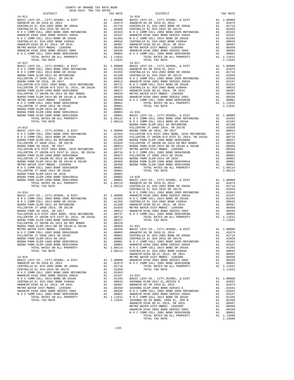| COUNTY OF ORANGE TAX RATE BOOK |          |                                                                                                                                                                                                                                                                                                                                                       |          |
|--------------------------------|----------|-------------------------------------------------------------------------------------------------------------------------------------------------------------------------------------------------------------------------------------------------------------------------------------------------------------------------------------------------------|----------|
| $14 - 011$                     | TAX RATE | DISTRICT<br>$14 - 016$                                                                                                                                                                                                                                                                                                                                | TAX RATE |
|                                |          |                                                                                                                                                                                                                                                                                                                                                       |          |
|                                |          |                                                                                                                                                                                                                                                                                                                                                       |          |
|                                |          |                                                                                                                                                                                                                                                                                                                                                       |          |
|                                |          |                                                                                                                                                                                                                                                                                                                                                       |          |
|                                |          |                                                                                                                                                                                                                                                                                                                                                       |          |
|                                |          |                                                                                                                                                                                                                                                                                                                                                       |          |
|                                |          |                                                                                                                                                                                                                                                                                                                                                       |          |
|                                |          |                                                                                                                                                                                                                                                                                                                                                       |          |
|                                |          |                                                                                                                                                                                                                                                                                                                                                       |          |
|                                |          |                                                                                                                                                                                                                                                                                                                                                       |          |
|                                |          | $\begin{tabular}{l ll} \textbf{14-011} & \textbf{14-012} & \textbf{14-014} & \textbf{14-015} & \textbf{14-016} & \textbf{14-016} & \textbf{14-016} & \textbf{14-016} & \textbf{14-017} & \textbf{14-018} & \textbf{14-018} & \textbf{14-018} \\ \textbf{14-011} & \textbf{14-018} & \textbf{14-018} & \textbf{14-018} & \textbf{14-018} & \textbf{14$ |          |
|                                |          |                                                                                                                                                                                                                                                                                                                                                       |          |
|                                |          |                                                                                                                                                                                                                                                                                                                                                       |          |
|                                |          |                                                                                                                                                                                                                                                                                                                                                       |          |
|                                |          |                                                                                                                                                                                                                                                                                                                                                       |          |
|                                |          |                                                                                                                                                                                                                                                                                                                                                       |          |
|                                |          |                                                                                                                                                                                                                                                                                                                                                       |          |
|                                |          |                                                                                                                                                                                                                                                                                                                                                       |          |
|                                |          |                                                                                                                                                                                                                                                                                                                                                       |          |
|                                |          |                                                                                                                                                                                                                                                                                                                                                       |          |
|                                |          |                                                                                                                                                                                                                                                                                                                                                       |          |
|                                |          |                                                                                                                                                                                                                                                                                                                                                       |          |
|                                |          |                                                                                                                                                                                                                                                                                                                                                       |          |
|                                |          |                                                                                                                                                                                                                                                                                                                                                       |          |
|                                |          |                                                                                                                                                                                                                                                                                                                                                       |          |
|                                |          |                                                                                                                                                                                                                                                                                                                                                       |          |
|                                |          |                                                                                                                                                                                                                                                                                                                                                       |          |
|                                |          |                                                                                                                                                                                                                                                                                                                                                       |          |
|                                |          |                                                                                                                                                                                                                                                                                                                                                       |          |
|                                |          |                                                                                                                                                                                                                                                                                                                                                       |          |
|                                |          |                                                                                                                                                                                                                                                                                                                                                       |          |
|                                |          |                                                                                                                                                                                                                                                                                                                                                       |          |
|                                |          |                                                                                                                                                                                                                                                                                                                                                       |          |
|                                |          |                                                                                                                                                                                                                                                                                                                                                       |          |
|                                |          |                                                                                                                                                                                                                                                                                                                                                       |          |
|                                |          |                                                                                                                                                                                                                                                                                                                                                       |          |
|                                |          |                                                                                                                                                                                                                                                                                                                                                       |          |
|                                |          |                                                                                                                                                                                                                                                                                                                                                       |          |
|                                |          |                                                                                                                                                                                                                                                                                                                                                       |          |
|                                |          |                                                                                                                                                                                                                                                                                                                                                       |          |
|                                |          |                                                                                                                                                                                                                                                                                                                                                       |          |
|                                |          |                                                                                                                                                                                                                                                                                                                                                       |          |
|                                |          |                                                                                                                                                                                                                                                                                                                                                       |          |
|                                |          |                                                                                                                                                                                                                                                                                                                                                       |          |
|                                |          |                                                                                                                                                                                                                                                                                                                                                       |          |
|                                |          |                                                                                                                                                                                                                                                                                                                                                       |          |
|                                |          |                                                                                                                                                                                                                                                                                                                                                       |          |
|                                |          |                                                                                                                                                                                                                                                                                                                                                       |          |
|                                |          |                                                                                                                                                                                                                                                                                                                                                       |          |
|                                |          | <b>FOR COMPASS ARE SERVE AND A SUBARUM MATHEMATIC COMPASS ARE SERVE AND INFORMATION CONTROLL AND A SUBARUM MATHEMATIC COMPASS ARE SERVE AND A SUBARUM MATHEMATIC COMPASS ARE SERVE AND A SUBARUM MATHEMATIC COMPASS ARE SERVE A</b>                                                                                                                   |          |
|                                |          |                                                                                                                                                                                                                                                                                                                                                       |          |
|                                |          |                                                                                                                                                                                                                                                                                                                                                       |          |
|                                |          |                                                                                                                                                                                                                                                                                                                                                       |          |
|                                |          |                                                                                                                                                                                                                                                                                                                                                       |          |
|                                |          |                                                                                                                                                                                                                                                                                                                                                       |          |
|                                |          |                                                                                                                                                                                                                                                                                                                                                       |          |
|                                |          |                                                                                                                                                                                                                                                                                                                                                       |          |
|                                |          |                                                                                                                                                                                                                                                                                                                                                       |          |
|                                |          |                                                                                                                                                                                                                                                                                                                                                       |          |
|                                |          |                                                                                                                                                                                                                                                                                                                                                       |          |
|                                |          |                                                                                                                                                                                                                                                                                                                                                       |          |
|                                |          |                                                                                                                                                                                                                                                                                                                                                       |          |
|                                |          |                                                                                                                                                                                                                                                                                                                                                       |          |
|                                |          |                                                                                                                                                                                                                                                                                                                                                       |          |
|                                |          |                                                                                                                                                                                                                                                                                                                                                       |          |
|                                |          |                                                                                                                                                                                                                                                                                                                                                       |          |
|                                |          |                                                                                                                                                                                                                                                                                                                                                       |          |
|                                |          |                                                                                                                                                                                                                                                                                                                                                       |          |
|                                |          |                                                                                                                                                                                                                                                                                                                                                       |          |
|                                |          |                                                                                                                                                                                                                                                                                                                                                       |          |
|                                |          |                                                                                                                                                                                                                                                                                                                                                       |          |

| METRO WATER DIST-MWDOC- 1205999     | A1.00350  |                                               | A1 .01831                                                       |
|-------------------------------------|-----------|-----------------------------------------------|-----------------------------------------------------------------|
| ANAHEIM HIGH 2002 BOND SERIES 2003  | A1 .00336 | N O C COMM COLL 2002 BOND 2005 REFUNDING      | A1.01563                                                        |
| N O C COMM COLL 2002 BOND SER#2003B |           | A1 .00001 ANAHEIM HIGH 2002 BOND SERIES 2002A | A1 .01547                                                       |
| TOTAL RATES ON ALL PROPERTY         |           | A1 1.11631 NOCCOMM COLL 2014 BOND SR 2016A    | A1 .01265                                                       |
| TOTAL TAX RATE                      |           | 1.11631 SAVANNA SD GO BOND, 2008 EL, SER B    | A1 .01258                                                       |
|                                     |           | ANAHEIM HIGH GO EL 2014. SR 2015              | A1 .00487                                                       |
|                                     |           | METRO WATER DIST-MWDOC- 1205999               | A1 .00350                                                       |
|                                     |           | ANAHEIM HIGH 2002 BOND SERIES 2003            | A1 .00336                                                       |
|                                     |           | N O C COMM COLL 2002 BOND SER#2003B           |                                                                 |
|                                     |           | TOTAL RATES ON ALL PROPERTY                   | $\begin{tabular}{cc} A1 & .00001 \\ A1 & 1.13509 \end{tabular}$ |
|                                     |           | TOTAL TAX RATE                                | 1.13509                                                         |
|                                     |           |                                               |                                                                 |
|                                     |           |                                               |                                                                 |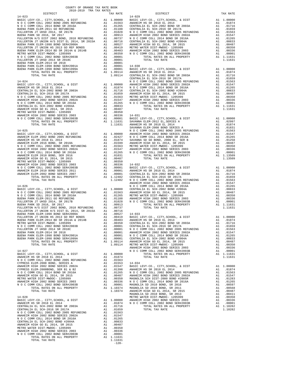| BUENA PARK ELEM-1998 BOND SER#1999A                                                                                   |    | A1.00001   |
|-----------------------------------------------------------------------------------------------------------------------|----|------------|
| TOTAL RATES ON ALL PROPERTY                                                                                           |    | A1 1.09114 |
| TOTAL TAX RATE                                                                                                        |    | 1.09114    |
|                                                                                                                       |    |            |
| $14 - 027$                                                                                                            |    |            |
| BASIC LEVY-CO., CITY, SCHOOL, & DIST Al 1.00000                                                                       |    |            |
| ANAHEIM HS SR 2018 EL 2014                                                                                            | A1 | .01874     |
| N O C COMM COLL 2002 BOND 2005 REFUNDING                                                                              |    | A1 .01563  |
| CYPRESS ELEM-2008 BOND. SERIES A                                                                                      | A1 | .01553     |
| ANAHEIM HIGH 2002 BOND SERIES 2002A                                                                                   |    | A1 .01547  |
| CYPRESS ELEM-2008BOND, SER B1 & B2                                                                                    |    | A1 .01398  |
| N O C COMM COLL 2014 BOND SR 2016A                                                                                    | A1 | .01265     |
| ANAHEIM HIGH GO EL 2014, SR 2015                                                                                      | A1 | .00487     |
| METRO WATER DIST-MWDOC- 1205999                                                                                       | A1 | .00350     |
| ANAHEIM HIGH 2002 BOND SERIES 2003                                                                                    | A1 | .00336     |
| N O C COMM COLL 2002 BOND SER#2003B                                                                                   |    | A1 .00001  |
| TOTAL RATES ON ALL PROPERTY                                                                                           |    | A1 1.10374 |
| TOTAL TAX RATE                                                                                                        |    | 1.10374    |
|                                                                                                                       |    |            |
| $14 - 028$                                                                                                            |    |            |
| BASIC LEVY-CO., CITY, SCHOOL, & DIST                                                                                  |    | A1 1,00000 |
| ANAHEIM HS SR 2018 EL 2014                                                                                            |    | A1 .01874  |
| CENTRALIA EL SCH-2002 BOND SR 2003A                                                                                   |    | A1 .01716  |
| CENTRALIA EL SCH-2016 SR 2017A                                                                                        | A1 | .01659     |
|                                                                                                                       |    | A1 .01563  |
| N O C COMM COLL 2002 BOND 2005 REFUNDING<br>ANAHELM HIGH 2002 BOND SERIES 2002A<br>N O C COMM COLL 2014 DOND CD 2014A | A1 | .01547     |
| N O C COMM COLL 2014 BOND SR 2016A                                                                                    | A1 | .01265     |
| CENTRALIA EL SCH-2002 BOND #2004A                                                                                     | A1 | .00833     |
| ANAHEIM HIGH GO EL 2014. SR 2015                                                                                      | A1 | .00487     |
| METRO WATER DIST-MWDOC- 1205999                                                                                       | A1 | .00350     |
| ANAHEIM HIGH 2002 BOND SERIES 2003                                                                                    | A1 | .00336     |
| N O C COMM COLL 2002 BOND SER#2003B                                                                                   |    | A1 .00001  |
| TOTAL RATES ON ALL PROPERTY                                                                                           |    | A1 1.11631 |
| TOTAL TAX RATE                                                                                                        |    | 1.11631    |
|                                                                                                                       |    | $-120-$    |
|                                                                                                                       |    |            |

## DISTRICT TAX RATE DISTRICT TAX RATE BUENA PARK ELEM-2014 SR 2018 A1 .00001 BUENA PARK ELEM-1998 BOND SER#2001A A1 .00001 14-030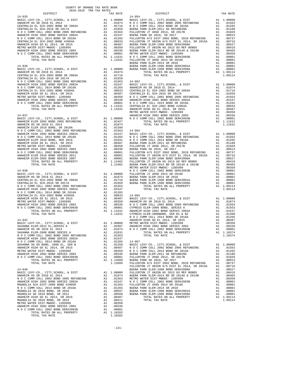ANAHEIM HIGH 2002 BOND SERIES 2003 A1 .00336 N O C COMM COLL 2002 BOND SER#2003B A1 .00001 TOTAL RATES ON ALL PROPERTY A1 1.10282 TOTAL TAX RATE 1.10282

| SAVANNA ELEM-2008 BOND SERIES A                                                                     | A1                 | .01831                 | TOTAL RATES ON ALL PROPERTY                                                |    | A1 1.10374 |
|-----------------------------------------------------------------------------------------------------|--------------------|------------------------|----------------------------------------------------------------------------|----|------------|
| N O C COMM COLL 2002 BOND 2005 REFUNDING                                                            |                    |                        | TOTAL TAX RATE                                                             |    | 1.10374    |
|                                                                                                     |                    | A1 .01563<br>A1 .01547 |                                                                            |    |            |
|                                                                                                     |                    |                        | $14 - 067$                                                                 |    |            |
|                                                                                                     |                    |                        | BASIC LEVY-CO., CITY, SCHOOL, & DIST                                       |    | A1 1.00000 |
|                                                                                                     |                    |                        | N O C COMM COLL 2002 BOND 2005 REFUNDING                                   |    | A1 .01563  |
|                                                                                                     |                    |                        | N O C COMM COLL 2014 BOND SR 2016A                                         |    | A1 .01265  |
|                                                                                                     |                    |                        | BUENA PARK ELEM-2011 GO REFUNDING                                          |    | A1 .01188  |
|                                                                                                     |                    |                        | FULLERTON JT UHSD 2014, SR 2017B                                           |    | A1 .01028  |
|                                                                                                     |                    |                        | BUENA PARK SD 2016, SR 2017                                                |    | A1 .00913  |
| TOTAL TAX RATE                                                                                      |                    | 1.13509                | FULLERTON H/S DIST 2002 BOND, 2010 REFUNDING                               | A1 | .00737     |
|                                                                                                     |                    |                        | FULLERTON JT UNION H/S DIST EL 2014, SR 2015A                              | A1 | .00716     |
| $14 - 046$                                                                                          |                    |                        | BUENA PARK ELEM-1998 BOND SER#2000A                                        |    | A1 .00527  |
| BASIC LEVY-CO., CITY, SCHOOL, & DIST                                                                |                    | $A1 \t1.00000$         | FULLERTON JT UNION HS 2013 GO REF BONDS                                    |    | A1 .00419  |
| ANAHEIM HS SR 2018 EL 2014                                                                          |                    | A1.01874               | BUENA PARK ELEM-2014 BD SR 2014A & 2014B                                   |    | A1 .00403  |
| N O C COMM COLL 2002 BOND 2005 REFUNDING                                                            |                    | A1 .01563              | METRO WATER DIST-MWDOC- 1205999                                            |    | A1 .00350  |
| ANAHEIM HIGH 2002 BOND SERIES 2002A                                                                 |                    | A1 .01547              | N O C COMM COLL 2002 BOND SER#2003B                                        | A1 | .00001     |
| MAGNOLIA SCH DIST-2000 BOND #2005R                                                                  |                    |                        | FULLERTON JT UHSD 2014 SR 2018C                                            | A1 | .00001     |
| N O C COMM COLL 2014 BOND SR 2016A                                                                  |                    |                        | BUENA PARK ELEM-2014 SR 2018                                               | A1 | .00001     |
| MAGNOLIA SD 2010 BOND, SR 2016                                                                      |                    |                        | BUENA PARK ELEM-1998 BOND SER#2001A<br>BUENA PARK ELEM-1998 BOND SER#1999A |    | A1 .00001  |
| 01547<br>A1 01283<br>A1 01265<br>A1 00597<br>A1 00568<br>A1 00487<br>MAGNOLIA SD 2010 BOND, SR 2011 |                    |                        |                                                                            |    | A1 .00001  |
| ANAHEIM HIGH GO EL 2014, SR 2015                                                                    |                    |                        | TOTAL RATES ON ALL PROPERTY                                                |    | A1 1.09114 |
| MAGNOLIA SD 2010 BOND, SR 2013                                                                      |                    |                        | TOTAL TAX RATE                                                             |    | 1.09114    |
| METRO WATER DIST-MWDOC- 1205999<br>ANAURIM UICU 2002 ROND CRRIBS 2002                               | A1<br>$\mathbf{A}$ | .00350<br>00226        |                                                                            |    |            |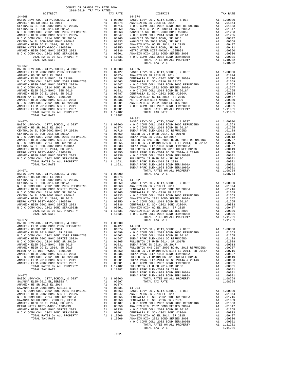| $14 - 068$                                                                                                                                                                                                                      | $14 - 074$ |                                                                                                                                                                                                                                                                                |            |
|---------------------------------------------------------------------------------------------------------------------------------------------------------------------------------------------------------------------------------|------------|--------------------------------------------------------------------------------------------------------------------------------------------------------------------------------------------------------------------------------------------------------------------------------|------------|
|                                                                                                                                                                                                                                 |            |                                                                                                                                                                                                                                                                                |            |
|                                                                                                                                                                                                                                 |            |                                                                                                                                                                                                                                                                                |            |
|                                                                                                                                                                                                                                 |            | $\begin{tabular}{l c c c c} $14-066$ \\ \hline \texttt{RABSE} & \texttt{BSE} & 2018 & 11.00000 & 14-074 & 11.00000 & 14-074 & 11.00000 & 14-074 & 10.00000 & 14-0.000000 & 14-0.000000 & 14-0.000000 & 14-0.000000 & 14-0.000000 & 14-0.000000 & 14-0.000000 & 14-0.000000 & $ |            |
|                                                                                                                                                                                                                                 |            |                                                                                                                                                                                                                                                                                |            |
|                                                                                                                                                                                                                                 |            |                                                                                                                                                                                                                                                                                |            |
|                                                                                                                                                                                                                                 |            |                                                                                                                                                                                                                                                                                |            |
|                                                                                                                                                                                                                                 |            |                                                                                                                                                                                                                                                                                |            |
|                                                                                                                                                                                                                                 |            |                                                                                                                                                                                                                                                                                |            |
|                                                                                                                                                                                                                                 |            |                                                                                                                                                                                                                                                                                |            |
|                                                                                                                                                                                                                                 |            |                                                                                                                                                                                                                                                                                |            |
|                                                                                                                                                                                                                                 |            |                                                                                                                                                                                                                                                                                |            |
|                                                                                                                                                                                                                                 |            |                                                                                                                                                                                                                                                                                |            |
|                                                                                                                                                                                                                                 |            |                                                                                                                                                                                                                                                                                |            |
|                                                                                                                                                                                                                                 |            |                                                                                                                                                                                                                                                                                |            |
|                                                                                                                                                                                                                                 |            |                                                                                                                                                                                                                                                                                |            |
| $14 - 069$                                                                                                                                                                                                                      |            |                                                                                                                                                                                                                                                                                |            |
|                                                                                                                                                                                                                                 |            |                                                                                                                                                                                                                                                                                |            |
|                                                                                                                                                                                                                                 |            |                                                                                                                                                                                                                                                                                |            |
|                                                                                                                                                                                                                                 |            |                                                                                                                                                                                                                                                                                |            |
|                                                                                                                                                                                                                                 |            |                                                                                                                                                                                                                                                                                |            |
|                                                                                                                                                                                                                                 |            |                                                                                                                                                                                                                                                                                |            |
|                                                                                                                                                                                                                                 |            |                                                                                                                                                                                                                                                                                |            |
|                                                                                                                                                                                                                                 |            |                                                                                                                                                                                                                                                                                |            |
|                                                                                                                                                                                                                                 |            |                                                                                                                                                                                                                                                                                |            |
|                                                                                                                                                                                                                                 |            |                                                                                                                                                                                                                                                                                |            |
|                                                                                                                                                                                                                                 |            |                                                                                                                                                                                                                                                                                |            |
|                                                                                                                                                                                                                                 |            |                                                                                                                                                                                                                                                                                |            |
|                                                                                                                                                                                                                                 |            |                                                                                                                                                                                                                                                                                |            |
|                                                                                                                                                                                                                                 |            |                                                                                                                                                                                                                                                                                |            |
|                                                                                                                                                                                                                                 |            |                                                                                                                                                                                                                                                                                |            |
|                                                                                                                                                                                                                                 |            |                                                                                                                                                                                                                                                                                |            |
|                                                                                                                                                                                                                                 |            |                                                                                                                                                                                                                                                                                |            |
|                                                                                                                                                                                                                                 |            |                                                                                                                                                                                                                                                                                |            |
|                                                                                                                                                                                                                                 |            | $14 - 901$                                                                                                                                                                                                                                                                     |            |
|                                                                                                                                                                                                                                 |            |                                                                                                                                                                                                                                                                                |            |
|                                                                                                                                                                                                                                 |            |                                                                                                                                                                                                                                                                                |            |
|                                                                                                                                                                                                                                 |            |                                                                                                                                                                                                                                                                                |            |
|                                                                                                                                                                                                                                 |            |                                                                                                                                                                                                                                                                                |            |
|                                                                                                                                                                                                                                 |            |                                                                                                                                                                                                                                                                                |            |
|                                                                                                                                                                                                                                 |            |                                                                                                                                                                                                                                                                                |            |
|                                                                                                                                                                                                                                 |            |                                                                                                                                                                                                                                                                                |            |
|                                                                                                                                                                                                                                 |            |                                                                                                                                                                                                                                                                                |            |
|                                                                                                                                                                                                                                 |            |                                                                                                                                                                                                                                                                                |            |
|                                                                                                                                                                                                                                 |            |                                                                                                                                                                                                                                                                                |            |
|                                                                                                                                                                                                                                 |            |                                                                                                                                                                                                                                                                                |            |
|                                                                                                                                                                                                                                 |            |                                                                                                                                                                                                                                                                                |            |
|                                                                                                                                                                                                                                 |            |                                                                                                                                                                                                                                                                                |            |
|                                                                                                                                                                                                                                 |            |                                                                                                                                                                                                                                                                                |            |
|                                                                                                                                                                                                                                 |            |                                                                                                                                                                                                                                                                                |            |
|                                                                                                                                                                                                                                 |            |                                                                                                                                                                                                                                                                                |            |
|                                                                                                                                                                                                                                 |            |                                                                                                                                                                                                                                                                                |            |
|                                                                                                                                                                                                                                 |            |                                                                                                                                                                                                                                                                                |            |
|                                                                                                                                                                                                                                 |            |                                                                                                                                                                                                                                                                                |            |
|                                                                                                                                                                                                                                 |            |                                                                                                                                                                                                                                                                                |            |
|                                                                                                                                                                                                                                 |            |                                                                                                                                                                                                                                                                                |            |
|                                                                                                                                                                                                                                 |            |                                                                                                                                                                                                                                                                                |            |
|                                                                                                                                                                                                                                 |            |                                                                                                                                                                                                                                                                                |            |
|                                                                                                                                                                                                                                 |            |                                                                                                                                                                                                                                                                                |            |
|                                                                                                                                                                                                                                 |            |                                                                                                                                                                                                                                                                                |            |
|                                                                                                                                                                                                                                 |            |                                                                                                                                                                                                                                                                                |            |
|                                                                                                                                                                                                                                 |            |                                                                                                                                                                                                                                                                                |            |
|                                                                                                                                                                                                                                 |            |                                                                                                                                                                                                                                                                                |            |
|                                                                                                                                                                                                                                 |            |                                                                                                                                                                                                                                                                                |            |
|                                                                                                                                                                                                                                 |            |                                                                                                                                                                                                                                                                                |            |
|                                                                                                                                                                                                                                 |            |                                                                                                                                                                                                                                                                                |            |
|                                                                                                                                                                                                                                 |            |                                                                                                                                                                                                                                                                                |            |
|                                                                                                                                                                                                                                 |            | $\begin{tabular}{cccccccc} $1.4 & 0.01 & 0.000 & 0.000 & 0.000 & 0.000 & 0.000 & 0.000 & 0.000 & 0.000 & 0.000 & 0.000 & 0.000 & 0.000 & 0.000 & 0.000 & 0.000 & 0.000 & 0.000 & 0.000 & 0.000 & 0.000 & 0.000 & 0.000 & 0.000 & 0.000 & 0.000 & 0.000 & 0.000 & 0.000 & 0.0$  |            |
|                                                                                                                                                                                                                                 |            |                                                                                                                                                                                                                                                                                |            |
|                                                                                                                                                                                                                                 |            |                                                                                                                                                                                                                                                                                |            |
|                                                                                                                                                                                                                                 |            |                                                                                                                                                                                                                                                                                |            |
|                                                                                                                                                                                                                                 |            |                                                                                                                                                                                                                                                                                | A1 1,00000 |
|                                                                                                                                                                                                                                 |            |                                                                                                                                                                                                                                                                                |            |
|                                                                                                                                                                                                                                 |            |                                                                                                                                                                                                                                                                                |            |
|                                                                                                                                                                                                                                 |            |                                                                                                                                                                                                                                                                                |            |
|                                                                                                                                                                                                                                 |            |                                                                                                                                                                                                                                                                                |            |
|                                                                                                                                                                                                                                 |            |                                                                                                                                                                                                                                                                                |            |
|                                                                                                                                                                                                                                 |            |                                                                                                                                                                                                                                                                                |            |
|                                                                                                                                                                                                                                 |            |                                                                                                                                                                                                                                                                                |            |
|                                                                                                                                                                                                                                 |            |                                                                                                                                                                                                                                                                                |            |
|                                                                                                                                                                                                                                 |            |                                                                                                                                                                                                                                                                                |            |
|                                                                                                                                                                                                                                 |            |                                                                                                                                                                                                                                                                                |            |
|                                                                                                                                                                                                                                 |            |                                                                                                                                                                                                                                                                                |            |
|                                                                                                                                                                                                                                 |            |                                                                                                                                                                                                                                                                                |            |
|                                                                                                                                                                                                                                 |            |                                                                                                                                                                                                                                                                                |            |
|                                                                                                                                                                                                                                 |            |                                                                                                                                                                                                                                                                                |            |
|                                                                                                                                                                                                                                 |            |                                                                                                                                                                                                                                                                                |            |
|                                                                                                                                                                                                                                 |            |                                                                                                                                                                                                                                                                                |            |
|                                                                                                                                                                                                                                 |            |                                                                                                                                                                                                                                                                                |            |
|                                                                                                                                                                                                                                 |            |                                                                                                                                                                                                                                                                                |            |
|                                                                                                                                                                                                                                 |            |                                                                                                                                                                                                                                                                                |            |
|                                                                                                                                                                                                                                 |            |                                                                                                                                                                                                                                                                                |            |
|                                                                                                                                                                                                                                 |            |                                                                                                                                                                                                                                                                                |            |
|                                                                                                                                                                                                                                 |            |                                                                                                                                                                                                                                                                                |            |
|                                                                                                                                                                                                                                 |            |                                                                                                                                                                                                                                                                                |            |
|                                                                                                                                                                                                                                 |            |                                                                                                                                                                                                                                                                                |            |
|                                                                                                                                                                                                                                 |            |                                                                                                                                                                                                                                                                                |            |
|                                                                                                                                                                                                                                 |            |                                                                                                                                                                                                                                                                                |            |
|                                                                                                                                                                                                                                 |            |                                                                                                                                                                                                                                                                                |            |
|                                                                                                                                                                                                                                 |            |                                                                                                                                                                                                                                                                                |            |
|                                                                                                                                                                                                                                 |            |                                                                                                                                                                                                                                                                                |            |
|                                                                                                                                                                                                                                 |            |                                                                                                                                                                                                                                                                                |            |
|                                                                                                                                                                                                                                 |            |                                                                                                                                                                                                                                                                                |            |
|                                                                                                                                                                                                                                 |            |                                                                                                                                                                                                                                                                                |            |
|                                                                                                                                                                                                                                 |            |                                                                                                                                                                                                                                                                                |            |
|                                                                                                                                                                                                                                 |            |                                                                                                                                                                                                                                                                                |            |
| ARABEEM HIGH 2002 BORD 2002 IN A 100217 14-002<br>ARABEEM HIGH 2002 BORD 2002 IN A 1002 2002 COMP COMP COMP COMP COMP COMPOSITE SURVEY AND A 1002 COMPOSITE SURVEY AND COMPOSITE COMPOSITE COMPOSITE COMPOSITE AND COMPOSITE CO |            |                                                                                                                                                                                                                                                                                |            |

-122-

DISTRICT TAX RATE DISTRICT TAX RATE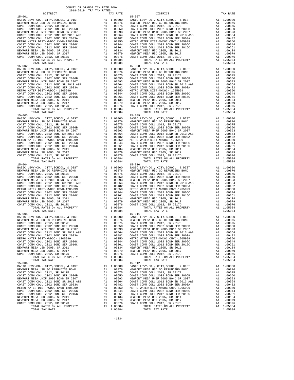| A1 .00876 MEWPORT<br>A1 .00875 COAST C<br>A1 .00675 COAST C<br>A1 .00569 COAST C<br>A1 .00593 NEWPORT<br>A1 .00564 COAST C<br>A1 .00364 COAST C<br>A1 .00344 COAST C<br>A1 .00344 COAST C<br>A1 .00344 NEWPORT<br>A1 .00079 NEWPORT<br>A1 .00079 NEW<br>COAST COMM COLL 2012, SR 2017E<br>COAST COMM COLL 2002 BOND SER 2006B<br>NEWPORT MESA UNIF 2005 BOND SR 2007<br>COAST COMM COLL 2012 BOND SR 2013 A&B |          |                                                                                                                                                                                                                                                        |                                                                                                                                                                                                                                                        |
|---------------------------------------------------------------------------------------------------------------------------------------------------------------------------------------------------------------------------------------------------------------------------------------------------------------------------------------------------------------------------------------------------------------|----------|--------------------------------------------------------------------------------------------------------------------------------------------------------------------------------------------------------------------------------------------------------|--------------------------------------------------------------------------------------------------------------------------------------------------------------------------------------------------------------------------------------------------------|
|                                                                                                                                                                                                                                                                                                                                                                                                               |          |                                                                                                                                                                                                                                                        |                                                                                                                                                                                                                                                        |
|                                                                                                                                                                                                                                                                                                                                                                                                               |          |                                                                                                                                                                                                                                                        |                                                                                                                                                                                                                                                        |
|                                                                                                                                                                                                                                                                                                                                                                                                               |          |                                                                                                                                                                                                                                                        |                                                                                                                                                                                                                                                        |
| COAST COMM COLL 2002 BOND SER 2003A                                                                                                                                                                                                                                                                                                                                                                           |          |                                                                                                                                                                                                                                                        |                                                                                                                                                                                                                                                        |
| METRO WATER DIST-MWDOC CMWD-1205999<br>COAST COMM COLL 2002 BOND SER 2006C                                                                                                                                                                                                                                                                                                                                    |          |                                                                                                                                                                                                                                                        |                                                                                                                                                                                                                                                        |
| COAST COMM COLL 2012 BOND SER 2016C                                                                                                                                                                                                                                                                                                                                                                           |          |                                                                                                                                                                                                                                                        |                                                                                                                                                                                                                                                        |
| NEWPORT MESA USD 2005, SR 2011                                                                                                                                                                                                                                                                                                                                                                                |          |                                                                                                                                                                                                                                                        |                                                                                                                                                                                                                                                        |
| NEWPORT MESA USD 2005, SR 2017                                                                                                                                                                                                                                                                                                                                                                                |          |                                                                                                                                                                                                                                                        |                                                                                                                                                                                                                                                        |
| COAST COMM COLL 2012, SR 2017D<br>TOTAL RATES ON ALL PROPERTY                                                                                                                                                                                                                                                                                                                                                 |          | A1 1.05084                                                                                                                                                                                                                                             |                                                                                                                                                                                                                                                        |
| TOTAL TAX RATE                                                                                                                                                                                                                                                                                                                                                                                                |          | 1.05084                                                                                                                                                                                                                                                |                                                                                                                                                                                                                                                        |
| $15 - 002$                                                                                                                                                                                                                                                                                                                                                                                                    |          |                                                                                                                                                                                                                                                        | $15 - 008$                                                                                                                                                                                                                                             |
| BASIC LEVY-CO., CITY, SCHOOL, & DIST                                                                                                                                                                                                                                                                                                                                                                          |          | 15-008<br>A1 1.00000 BASIC L<br>A1 .00876 NEWPORT<br>A1 .00675 COAST C<br>A1 .00675 COAST C<br>A1 .00593 NEWPORT<br>A1 .00593 NEWPORT<br>A1 .00360 METRO W<br>A1 .00344 COAST C<br>A1 .00344 COAST C<br>A1 .00361 NEWPORT<br>A1 .00079 NEWPORT<br>A1 . |                                                                                                                                                                                                                                                        |
| NEWPORT MESA USD GO REFUNDING BOND<br>COAST COMM COLL 2012, SR 2017E                                                                                                                                                                                                                                                                                                                                          |          |                                                                                                                                                                                                                                                        |                                                                                                                                                                                                                                                        |
| COAST COMM COLL 2002 BOND SER 2006B                                                                                                                                                                                                                                                                                                                                                                           |          |                                                                                                                                                                                                                                                        |                                                                                                                                                                                                                                                        |
| NEWPORT MESA UNIF 2005 BOND SR 2007                                                                                                                                                                                                                                                                                                                                                                           |          |                                                                                                                                                                                                                                                        |                                                                                                                                                                                                                                                        |
| COAST COMM COLL 2012 BOND SR 2013 A&B                                                                                                                                                                                                                                                                                                                                                                         |          |                                                                                                                                                                                                                                                        |                                                                                                                                                                                                                                                        |
| COAST COMM COLL 2002 BOND SER 2003A<br>METRO WATER DIST-MWDOC- 1205999                                                                                                                                                                                                                                                                                                                                        |          |                                                                                                                                                                                                                                                        |                                                                                                                                                                                                                                                        |
| COAST COMM COLL 2002 BOND SER 2006C                                                                                                                                                                                                                                                                                                                                                                           |          |                                                                                                                                                                                                                                                        |                                                                                                                                                                                                                                                        |
| COAST COMM COLL 2012 BOND SER 2016C                                                                                                                                                                                                                                                                                                                                                                           |          |                                                                                                                                                                                                                                                        |                                                                                                                                                                                                                                                        |
| NEWPORT MESA USD 2005, SR 2011                                                                                                                                                                                                                                                                                                                                                                                |          |                                                                                                                                                                                                                                                        |                                                                                                                                                                                                                                                        |
| NEWPORT MESA USD 2005, SR 2017<br>COAST COMM COLL 2012, SR 2017D                                                                                                                                                                                                                                                                                                                                              |          |                                                                                                                                                                                                                                                        |                                                                                                                                                                                                                                                        |
| TOTAL RATES ON ALL PROPERTY                                                                                                                                                                                                                                                                                                                                                                                   |          | A1 1.05084                                                                                                                                                                                                                                             |                                                                                                                                                                                                                                                        |
| TOTAL TAX RATE                                                                                                                                                                                                                                                                                                                                                                                                |          | 1.05084                                                                                                                                                                                                                                                |                                                                                                                                                                                                                                                        |
| $15 - 003$                                                                                                                                                                                                                                                                                                                                                                                                    |          | 15-009<br>A1 1.00000 BASIC L<br>A1 .00876 NEWPORT<br>A1 .00675 COAST C<br>A1 .00650 COAST C<br>A1 .00593 NEWPORT<br>A1 .00564 COAST C<br>A1 .00360 METRO W<br>A1 .00344 COAST C<br>A1 .00261 COAST C<br>A1 .00261 COAST C<br>A1 .00079 NEWPORT<br>A1 . | $15 - 009$                                                                                                                                                                                                                                             |
| BASIC LEVY-CO., CITY, SCHOOL, & DIST<br>NEWPORT MESA USD GO REFUNDING BOND                                                                                                                                                                                                                                                                                                                                    |          |                                                                                                                                                                                                                                                        |                                                                                                                                                                                                                                                        |
| COAST COMM COLL 2012, SR 2017E                                                                                                                                                                                                                                                                                                                                                                                |          |                                                                                                                                                                                                                                                        |                                                                                                                                                                                                                                                        |
| COAST COMM COLL 2002 BOND SER 2006B                                                                                                                                                                                                                                                                                                                                                                           |          |                                                                                                                                                                                                                                                        |                                                                                                                                                                                                                                                        |
| NEWPORT MESA UNIF 2005 BOND SR 2007                                                                                                                                                                                                                                                                                                                                                                           |          |                                                                                                                                                                                                                                                        |                                                                                                                                                                                                                                                        |
| COAST COMM COLL 2012 BOND SR 2013 A&B<br>COAST COMM COLL 2002 BOND SER 2003A                                                                                                                                                                                                                                                                                                                                  |          |                                                                                                                                                                                                                                                        |                                                                                                                                                                                                                                                        |
| METRO WATER DIST-MWDOC CMWD-1205999                                                                                                                                                                                                                                                                                                                                                                           |          |                                                                                                                                                                                                                                                        |                                                                                                                                                                                                                                                        |
| COAST COMM COLL 2002 BOND SER 2006C                                                                                                                                                                                                                                                                                                                                                                           |          |                                                                                                                                                                                                                                                        |                                                                                                                                                                                                                                                        |
| COAST COMM COLL 2012 BOND SER 2016C                                                                                                                                                                                                                                                                                                                                                                           |          |                                                                                                                                                                                                                                                        |                                                                                                                                                                                                                                                        |
| NEWPORT MESA USD 2005, SR 2011<br>NEWPORT MESA USD 2005, SR 2017                                                                                                                                                                                                                                                                                                                                              |          |                                                                                                                                                                                                                                                        |                                                                                                                                                                                                                                                        |
| COAST COMM COLL 2012, SR 2017D                                                                                                                                                                                                                                                                                                                                                                                |          |                                                                                                                                                                                                                                                        |                                                                                                                                                                                                                                                        |
| TOTAL RATES ON ALL PROPERTY                                                                                                                                                                                                                                                                                                                                                                                   |          | A1 1.05084                                                                                                                                                                                                                                             |                                                                                                                                                                                                                                                        |
| TOTAL TAX RATE<br>$15 - 004$                                                                                                                                                                                                                                                                                                                                                                                  |          | 1.05084                                                                                                                                                                                                                                                | $15 - 010$                                                                                                                                                                                                                                             |
| BASIC LEVY-CO., CITY, SCHOOL, & DIST                                                                                                                                                                                                                                                                                                                                                                          |          |                                                                                                                                                                                                                                                        |                                                                                                                                                                                                                                                        |
| NEWPORT MESA USD GO REFUNDING BOND                                                                                                                                                                                                                                                                                                                                                                            |          |                                                                                                                                                                                                                                                        |                                                                                                                                                                                                                                                        |
| COAST COMM COLL 2012, SR 2017E                                                                                                                                                                                                                                                                                                                                                                                |          |                                                                                                                                                                                                                                                        |                                                                                                                                                                                                                                                        |
| COAST COMM COLL 2002 BOND SER 2006B<br>NEWPORT MESA UNIF 2005 BOND SR 2007                                                                                                                                                                                                                                                                                                                                    |          |                                                                                                                                                                                                                                                        |                                                                                                                                                                                                                                                        |
| COAST COMM COLL 2012 BOND SR 2013 A&B                                                                                                                                                                                                                                                                                                                                                                         |          |                                                                                                                                                                                                                                                        |                                                                                                                                                                                                                                                        |
| COAST COMM COLL 2002 BOND SER 2003A                                                                                                                                                                                                                                                                                                                                                                           |          |                                                                                                                                                                                                                                                        |                                                                                                                                                                                                                                                        |
| METRO WATER DIST-MWDOC CMWD-1205999                                                                                                                                                                                                                                                                                                                                                                           |          |                                                                                                                                                                                                                                                        |                                                                                                                                                                                                                                                        |
| COAST COMM COLL 2002 BOND SER 2006C<br>COAST COMM COLL 2012 BOND SER 2016C                                                                                                                                                                                                                                                                                                                                    |          |                                                                                                                                                                                                                                                        |                                                                                                                                                                                                                                                        |
|                                                                                                                                                                                                                                                                                                                                                                                                               |          |                                                                                                                                                                                                                                                        |                                                                                                                                                                                                                                                        |
|                                                                                                                                                                                                                                                                                                                                                                                                               |          |                                                                                                                                                                                                                                                        |                                                                                                                                                                                                                                                        |
| NEWPORT MESA USD 2005, SR 2011<br>NEWPORT MESA USD 2005, SR 2017                                                                                                                                                                                                                                                                                                                                              |          |                                                                                                                                                                                                                                                        |                                                                                                                                                                                                                                                        |
| COAST COMM COLL 2012, SR 2017D                                                                                                                                                                                                                                                                                                                                                                                |          |                                                                                                                                                                                                                                                        |                                                                                                                                                                                                                                                        |
| TOTAL RATES ON ALL PROPERTY                                                                                                                                                                                                                                                                                                                                                                                   |          | A1 1.05084                                                                                                                                                                                                                                             | 15-010<br>A1 1.00000 BASIC L<br>A1 .00876 NEWPORT<br>A1 .00675 COAST C<br>A1 .00650 COAST C<br>A1 .00593 NEWPORT<br>A1 .00564 COAST C<br>A1 .00362 COAST C<br>A1 .00344 COAST C<br>A1 .00344 NEWPORT<br>A1 .00361 NEWPORT<br>A1 .00079 NEWPORT<br>A1 . |
| TOTAL TAX RATE<br>$15 - 005$                                                                                                                                                                                                                                                                                                                                                                                  |          | 1.05084                                                                                                                                                                                                                                                | $15 - 011$                                                                                                                                                                                                                                             |
|                                                                                                                                                                                                                                                                                                                                                                                                               |          |                                                                                                                                                                                                                                                        |                                                                                                                                                                                                                                                        |
|                                                                                                                                                                                                                                                                                                                                                                                                               |          |                                                                                                                                                                                                                                                        |                                                                                                                                                                                                                                                        |
|                                                                                                                                                                                                                                                                                                                                                                                                               |          |                                                                                                                                                                                                                                                        |                                                                                                                                                                                                                                                        |
|                                                                                                                                                                                                                                                                                                                                                                                                               |          |                                                                                                                                                                                                                                                        |                                                                                                                                                                                                                                                        |
|                                                                                                                                                                                                                                                                                                                                                                                                               |          |                                                                                                                                                                                                                                                        |                                                                                                                                                                                                                                                        |
| COAST COMM COLL 2002 BOND SER 2003A                                                                                                                                                                                                                                                                                                                                                                           | A1       |                                                                                                                                                                                                                                                        | .00482 COAST C                                                                                                                                                                                                                                         |
| METRO WATER DIST-MWDOC- 1205999                                                                                                                                                                                                                                                                                                                                                                               | A1       |                                                                                                                                                                                                                                                        | .00350 METRO W                                                                                                                                                                                                                                         |
| COAST COMM COLL 2002 BOND SER 2006C                                                                                                                                                                                                                                                                                                                                                                           | A1       | .00344                                                                                                                                                                                                                                                 | COAST C                                                                                                                                                                                                                                                |
| COAST COMM COLL 2012 BOND SER 2016C<br>NEWPORT MESA USD 2005, SR 2011                                                                                                                                                                                                                                                                                                                                         | A1<br>A1 | .00261                                                                                                                                                                                                                                                 | COAST C                                                                                                                                                                                                                                                |
| NEWPORT MESA USD 2005, SR 2017                                                                                                                                                                                                                                                                                                                                                                                | A1       | .00134 NEWPORT<br>.00079 NEWPORT                                                                                                                                                                                                                       |                                                                                                                                                                                                                                                        |
| COAST COMM COLL 2012, SR 2017D                                                                                                                                                                                                                                                                                                                                                                                | A1       | .00076                                                                                                                                                                                                                                                 | COAST C                                                                                                                                                                                                                                                |
| TOTAL RATES ON ALL PROPERTY<br>TOTAL TAX RATE                                                                                                                                                                                                                                                                                                                                                                 |          | A1 1.05084<br>1.05084                                                                                                                                                                                                                                  |                                                                                                                                                                                                                                                        |
| $15 - 006$                                                                                                                                                                                                                                                                                                                                                                                                    |          |                                                                                                                                                                                                                                                        | $15 - 012$                                                                                                                                                                                                                                             |
| BASIC LEVY-CO., CITY, SCHOOL, & DIST                                                                                                                                                                                                                                                                                                                                                                          |          | A1 1.00000                                                                                                                                                                                                                                             | BASIC L                                                                                                                                                                                                                                                |
| NEWPORT MESA USD GO REFUNDING BOND                                                                                                                                                                                                                                                                                                                                                                            | A1       | A1 .00876                                                                                                                                                                                                                                              | NEWPORT<br>COAST C                                                                                                                                                                                                                                     |
| COAST COMM COLL 2012, SR 2017E<br>COAST COMM COLL 2002 BOND SER 2006B                                                                                                                                                                                                                                                                                                                                         | A1       | .00675<br>.00650                                                                                                                                                                                                                                       | COAST C                                                                                                                                                                                                                                                |
| NEWPORT MESA UNIF 2005 BOND SR 2007                                                                                                                                                                                                                                                                                                                                                                           | A1       | .00593                                                                                                                                                                                                                                                 | NEWPORT                                                                                                                                                                                                                                                |
| COAST COMM COLL 2012 BOND SR 2013 A&B                                                                                                                                                                                                                                                                                                                                                                         | A1       | .00564                                                                                                                                                                                                                                                 | COAST C                                                                                                                                                                                                                                                |
| COAST COMM COLL 2002 BOND SER 2003A                                                                                                                                                                                                                                                                                                                                                                           |          |                                                                                                                                                                                                                                                        |                                                                                                                                                                                                                                                        |
| METRO WATER DIST-MWDOC CMWD-1205999<br>COAST COMM COLL 2002 BOND SER 2006C                                                                                                                                                                                                                                                                                                                                    |          |                                                                                                                                                                                                                                                        |                                                                                                                                                                                                                                                        |
| COAST COMM COLL 2012 BOND SER 2016C                                                                                                                                                                                                                                                                                                                                                                           |          |                                                                                                                                                                                                                                                        |                                                                                                                                                                                                                                                        |
| NEWPORT MESA USD 2005, SR 2011                                                                                                                                                                                                                                                                                                                                                                                |          |                                                                                                                                                                                                                                                        |                                                                                                                                                                                                                                                        |
| NEWPORT MESA USD 2005, SR 2017<br>COAST COMM COLL 2012, SR 2017D                                                                                                                                                                                                                                                                                                                                              |          | A1 .00482 COAST COAST COAST COAST COAST COAST COAST COAST COAST COAST COAST COAST COAST COAST COAST COAST COAST COAST COAST COAST COAST COAST COAST COAST COAST COAST COAST COAST COAST COAST COAST COAST COAST COAST COAST CO<br>.00076               |                                                                                                                                                                                                                                                        |

| DISTRICT   | 2018-2019 TRA TAX RATES | TAX RATE | DISTRICT                                                                                                                                                                                                                           | TAX RATE |
|------------|-------------------------|----------|------------------------------------------------------------------------------------------------------------------------------------------------------------------------------------------------------------------------------------|----------|
| $15 - 001$ |                         |          | $15 - 007$                                                                                                                                                                                                                         |          |
|            |                         |          |                                                                                                                                                                                                                                    |          |
|            |                         |          |                                                                                                                                                                                                                                    |          |
|            |                         |          |                                                                                                                                                                                                                                    |          |
|            |                         |          |                                                                                                                                                                                                                                    |          |
|            |                         |          |                                                                                                                                                                                                                                    |          |
| $15 - 004$ |                         |          | $15 - 010$                                                                                                                                                                                                                         |          |
| $15 - 005$ |                         |          | $15 - 011$                                                                                                                                                                                                                         |          |
|            |                         |          | PASTC LEVY-CO., CITY, SCHOOL, & DIST<br>NEWPORT MESA USD GO REFUNDING BOND A1 1.00000 BASIC LEVY-CO., CITY, SCHOOL, & DIST A1 1.00000<br>NEWPORT MESA USD GO REFUNDING BOND A1 .00876 NEWPORT MESA USD GO REFUNDING BOND A1 .00876 |          |
|            |                         |          |                                                                                                                                                                                                                                    |          |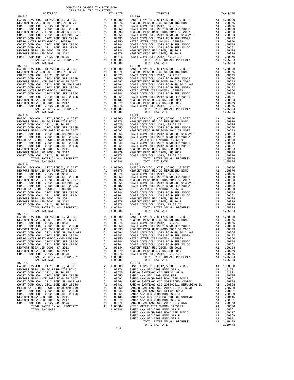|            | DISTRICT | SATO-RATA TEW THY KWIFP | TAX RATE | DISTRICT                                                                                                                                                                                                    | TAX RATE |
|------------|----------|-------------------------|----------|-------------------------------------------------------------------------------------------------------------------------------------------------------------------------------------------------------------|----------|
| $15 - 013$ |          |                         |          | $15 - 019$                                                                                                                                                                                                  |          |
|            |          |                         |          |                                                                                                                                                                                                             |          |
|            |          |                         |          |                                                                                                                                                                                                             |          |
|            |          |                         |          |                                                                                                                                                                                                             |          |
|            |          |                         |          |                                                                                                                                                                                                             |          |
|            |          |                         |          |                                                                                                                                                                                                             |          |
|            |          |                         |          |                                                                                                                                                                                                             |          |
|            |          |                         |          |                                                                                                                                                                                                             |          |
|            |          |                         |          |                                                                                                                                                                                                             |          |
|            |          |                         |          |                                                                                                                                                                                                             |          |
|            |          |                         |          |                                                                                                                                                                                                             |          |
|            |          |                         |          |                                                                                                                                                                                                             |          |
|            |          |                         |          |                                                                                                                                                                                                             |          |
|            |          |                         |          |                                                                                                                                                                                                             |          |
|            |          |                         |          |                                                                                                                                                                                                             |          |
|            |          |                         |          |                                                                                                                                                                                                             |          |
|            |          |                         |          |                                                                                                                                                                                                             |          |
|            |          |                         |          |                                                                                                                                                                                                             |          |
|            |          |                         |          |                                                                                                                                                                                                             |          |
|            |          |                         |          |                                                                                                                                                                                                             |          |
|            |          |                         |          |                                                                                                                                                                                                             |          |
|            |          |                         |          |                                                                                                                                                                                                             |          |
|            |          |                         |          |                                                                                                                                                                                                             |          |
|            |          |                         |          |                                                                                                                                                                                                             |          |
|            |          |                         |          |                                                                                                                                                                                                             |          |
|            |          |                         |          |                                                                                                                                                                                                             |          |
|            |          |                         |          |                                                                                                                                                                                                             |          |
|            |          |                         |          |                                                                                                                                                                                                             |          |
|            |          |                         |          |                                                                                                                                                                                                             |          |
|            |          |                         |          |                                                                                                                                                                                                             |          |
|            |          |                         |          |                                                                                                                                                                                                             |          |
|            |          |                         |          |                                                                                                                                                                                                             |          |
|            |          |                         |          |                                                                                                                                                                                                             |          |
|            |          |                         |          |                                                                                                                                                                                                             |          |
|            |          |                         |          |                                                                                                                                                                                                             |          |
|            |          |                         |          |                                                                                                                                                                                                             |          |
|            |          |                         |          |                                                                                                                                                                                                             |          |
|            |          |                         |          |                                                                                                                                                                                                             |          |
|            |          |                         |          |                                                                                                                                                                                                             |          |
|            |          |                         |          |                                                                                                                                                                                                             |          |
|            |          |                         |          |                                                                                                                                                                                                             |          |
|            |          |                         |          |                                                                                                                                                                                                             |          |
|            |          |                         |          |                                                                                                                                                                                                             |          |
|            |          |                         |          |                                                                                                                                                                                                             |          |
|            |          |                         |          |                                                                                                                                                                                                             |          |
|            |          |                         |          |                                                                                                                                                                                                             |          |
|            |          |                         |          |                                                                                                                                                                                                             |          |
|            |          |                         |          |                                                                                                                                                                                                             |          |
|            |          |                         |          |                                                                                                                                                                                                             |          |
|            |          |                         |          |                                                                                                                                                                                                             |          |
|            |          |                         |          |                                                                                                                                                                                                             |          |
|            |          |                         |          |                                                                                                                                                                                                             |          |
| $15 - 017$ |          |                         |          | $15 - 023$                                                                                                                                                                                                  |          |
|            |          |                         |          |                                                                                                                                                                                                             |          |
|            |          |                         |          | BASIC LEVY-CO., CITY, SCHOOL, & DIST<br>BASIC LEVY-CO., CITY, SCHOOL, & DIST<br>NEWPORT MESA USD GO REFUNDING BOND A1 .00076 NEWPORT MESA USD GO REFUNDING BOND A1 .00076<br>COAST COMM COLL 2012, SR 2017E |          |
|            |          |                         |          |                                                                                                                                                                                                             |          |
|            |          |                         |          |                                                                                                                                                                                                             |          |
|            |          |                         |          |                                                                                                                                                                                                             |          |
|            |          |                         |          |                                                                                                                                                                                                             |          |
|            |          |                         |          |                                                                                                                                                                                                             |          |
|            |          |                         |          |                                                                                                                                                                                                             |          |
|            |          |                         |          |                                                                                                                                                                                                             |          |
|            |          |                         |          |                                                                                                                                                                                                             |          |
|            |          |                         |          |                                                                                                                                                                                                             |          |
|            |          |                         |          |                                                                                                                                                                                                             |          |
| $15 - 018$ |          |                         | 1.05084  | TOTAL TAX RATE<br>$15 - 024$                                                                                                                                                                                | 1.05084  |
|            |          |                         |          |                                                                                                                                                                                                             |          |
|            |          |                         |          |                                                                                                                                                                                                             |          |
|            |          |                         |          |                                                                                                                                                                                                             |          |
|            |          |                         |          |                                                                                                                                                                                                             |          |
|            |          |                         |          |                                                                                                                                                                                                             |          |
|            |          |                         |          |                                                                                                                                                                                                             |          |
|            |          |                         |          |                                                                                                                                                                                                             |          |
|            |          |                         |          |                                                                                                                                                                                                             |          |
|            |          |                         |          |                                                                                                                                                                                                             |          |
|            |          |                         |          |                                                                                                                                                                                                             |          |
|            |          |                         |          |                                                                                                                                                                                                             |          |
|            |          |                         |          |                                                                                                                                                                                                             |          |
|            |          |                         |          |                                                                                                                                                                                                             |          |
|            |          |                         |          |                                                                                                                                                                                                             |          |
|            |          |                         |          |                                                                                                                                                                                                             |          |
|            |          |                         |          |                                                                                                                                                                                                             |          |
|            |          |                         |          | TOTAL TAX RATE                                                                                                                                                                                              | 1.10448  |
|            |          |                         | $-124-$  |                                                                                                                                                                                                             |          |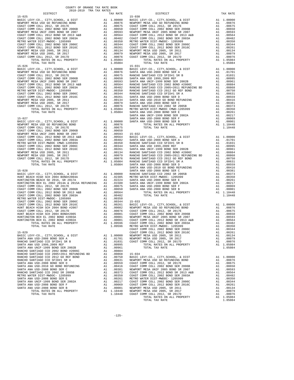| COUNTY OF ORANGE TAX RATE BOOK<br>2018-2019 TRA TAX RATES                                                                                                                                                                                                                                                                                                                                                                                                          |          |                        |          |
|--------------------------------------------------------------------------------------------------------------------------------------------------------------------------------------------------------------------------------------------------------------------------------------------------------------------------------------------------------------------------------------------------------------------------------------------------------------------|----------|------------------------|----------|
| DISTRICT<br>$15 - 025$                                                                                                                                                                                                                                                                                                                                                                                                                                             | TAX RATE | DISTRICT<br>$15 - 030$ | TAX RATE |
| $\begin{tabular}{l c c c c} \hline 15-025 & 15-026 \\ \hline \texttt{BAR5CC} & 15-026 \\ \texttt{DASTC} & 15-026 \\ \texttt{DASTC} & 15-026 \\ \texttt{DASTC} & 15-026 \\ \texttt{DASTC} & 15-026 \\ \texttt{DASTC} & 15-026 \\ \texttt{DASTC} & 15-026 \\ \texttt{DASTC} & 15-026 \\ \texttt{DASTC} & 15-026 \\ \texttt{DASTC} & 15-026 \\ \texttt{DASTC} & 1$                                                                                                    |          | $15 - 031$             |          |
|                                                                                                                                                                                                                                                                                                                                                                                                                                                                    |          |                        |          |
|                                                                                                                                                                                                                                                                                                                                                                                                                                                                    |          |                        |          |
|                                                                                                                                                                                                                                                                                                                                                                                                                                                                    |          |                        |          |
|                                                                                                                                                                                                                                                                                                                                                                                                                                                                    |          |                        |          |
|                                                                                                                                                                                                                                                                                                                                                                                                                                                                    |          |                        |          |
|                                                                                                                                                                                                                                                                                                                                                                                                                                                                    |          |                        |          |
| $\begin{tabular}{cccccccc} {\bf RUM} & {\bf NUM} & {\bf NUM} & {\bf NUM} & {\bf NUM} & {\bf NUM} & {\bf NUM} & {\bf NUM} & {\bf NUM} & {\bf NUM} & {\bf NUM} & {\bf NUM} & {\bf NUM} & {\bf NUM} & {\bf NUM} & {\bf NUM} & {\bf NUM} & {\bf NUM} & {\bf NUM} & {\bf NUM} & {\bf NUM} & {\bf NUM} & {\bf NUM} & {\bf NUM} & {\bf NUM} & {\bf NUM} & {\bf NUM} & {\bf NUM} & {\bf NUM} & {\bf NUM} & {\bf NUM} & {\bf NUM} & {\bf NUM} & {\bf NUM} & {\bf NUM} & {\$ |          |                        |          |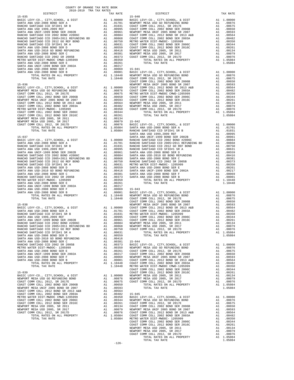| COUNTY OF ORANGE TAX RATE BOOK      |          |            |          |
|-------------------------------------|----------|------------|----------|
| 2018-2019 TRA TAX RATES<br>DISTRICT | TAX RATE | DISTRICT   | TAX RATE |
| $15 - 035$                          |          | $15 - 040$ |          |
|                                     |          |            |          |
|                                     |          |            |          |
|                                     |          |            |          |
|                                     |          |            |          |
|                                     |          |            |          |
|                                     |          |            |          |
|                                     |          |            |          |
|                                     |          |            |          |
|                                     |          |            |          |
|                                     |          |            |          |
|                                     |          |            |          |
|                                     |          |            |          |
|                                     |          |            |          |
|                                     |          |            |          |
|                                     |          |            |          |
|                                     |          |            |          |
|                                     |          |            |          |
|                                     |          |            |          |
|                                     |          |            |          |
|                                     |          |            |          |
|                                     |          |            |          |
|                                     |          |            |          |
|                                     |          |            |          |
|                                     |          |            |          |
|                                     |          |            |          |
|                                     |          |            |          |
|                                     |          |            |          |
|                                     |          |            |          |
|                                     |          |            |          |
|                                     |          |            |          |
|                                     |          |            |          |
|                                     |          |            |          |
|                                     |          |            |          |
|                                     |          |            |          |
|                                     |          |            |          |
|                                     |          |            |          |
|                                     |          |            |          |
|                                     |          |            |          |
|                                     |          |            |          |
|                                     |          |            |          |
|                                     |          |            |          |
|                                     |          |            |          |
|                                     |          |            |          |
|                                     |          |            |          |
|                                     |          |            |          |
|                                     |          |            |          |
|                                     |          |            |          |
|                                     |          |            |          |
|                                     |          |            |          |
|                                     |          |            |          |
|                                     |          |            |          |
|                                     |          |            |          |
|                                     |          |            |          |
|                                     |          |            |          |
|                                     |          |            |          |
|                                     |          |            |          |
|                                     |          |            |          |
|                                     |          |            |          |
|                                     |          |            |          |
|                                     |          |            |          |
|                                     |          |            |          |
|                                     |          |            |          |
|                                     |          |            |          |
|                                     |          |            |          |
|                                     |          |            |          |
|                                     |          |            |          |
|                                     |          |            |          |
|                                     |          |            |          |
|                                     |          |            |          |
|                                     |          |            |          |
|                                     |          |            |          |
|                                     |          |            |          |
|                                     |          |            |          |
|                                     |          |            |          |
|                                     |          |            |          |
|                                     |          |            |          |
|                                     |          |            |          |

|  | $-126-$ |  |  |
|--|---------|--|--|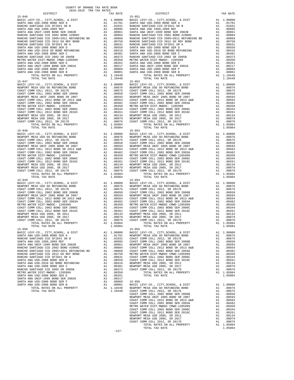| TOTAL KATES ON ALL FROPERII<br>TOTAL TAX RATE                               | Al 1.10440 | 1.10448                                                                                                                                                                                                                                                              |            |
|-----------------------------------------------------------------------------|------------|----------------------------------------------------------------------------------------------------------------------------------------------------------------------------------------------------------------------------------------------------------------------|------------|
| $15 - 047$                                                                  |            |                                                                                                                                                                                                                                                                      | $15 - 052$ |
|                                                                             |            |                                                                                                                                                                                                                                                                      |            |
|                                                                             |            |                                                                                                                                                                                                                                                                      |            |
|                                                                             |            |                                                                                                                                                                                                                                                                      |            |
|                                                                             |            |                                                                                                                                                                                                                                                                      |            |
|                                                                             |            |                                                                                                                                                                                                                                                                      |            |
|                                                                             |            |                                                                                                                                                                                                                                                                      |            |
|                                                                             |            |                                                                                                                                                                                                                                                                      |            |
|                                                                             |            |                                                                                                                                                                                                                                                                      |            |
|                                                                             |            |                                                                                                                                                                                                                                                                      |            |
|                                                                             |            |                                                                                                                                                                                                                                                                      |            |
|                                                                             |            |                                                                                                                                                                                                                                                                      |            |
|                                                                             |            |                                                                                                                                                                                                                                                                      |            |
| TOTAL TAX RATE                                                              |            | 1.05084                                                                                                                                                                                                                                                              |            |
| $15 - 048$                                                                  |            |                                                                                                                                                                                                                                                                      | $15 - 053$ |
| BASIC LEVY-CO., CITY, SCHOOL, & DIST                                        |            |                                                                                                                                                                                                                                                                      |            |
| NEWPORT MESA USD GO REFUNDING BOND                                          |            |                                                                                                                                                                                                                                                                      |            |
| COAST COMM COLL 2012, SR 2017E                                              |            |                                                                                                                                                                                                                                                                      |            |
| COAST COMM COLL 2002 BOND SER 2006B                                         |            |                                                                                                                                                                                                                                                                      |            |
| NEWPORT MESA UNIF 2005 BOND SR 2007                                         |            |                                                                                                                                                                                                                                                                      |            |
| COAST COMM COLL 2012 BOND SR 2013 A&B<br>COAST COMM COLL 2002 BOND SR 2003A |            |                                                                                                                                                                                                                                                                      |            |
| METRO WATER DIST-MWDOC- 1205999                                             |            |                                                                                                                                                                                                                                                                      |            |
| COAST COMM COLL 2002 BOND SER 2006C                                         |            |                                                                                                                                                                                                                                                                      |            |
| COAST COMM COLL 2012 BOND SER 2016C                                         |            |                                                                                                                                                                                                                                                                      |            |
| NEWPORT MESA USD 2005, SR 2011                                              |            |                                                                                                                                                                                                                                                                      |            |
| NEWPORT MESA USD 2005, SR 2017                                              |            |                                                                                                                                                                                                                                                                      |            |
| COAST COMM COLL 2012, SR 2017D<br>TOTAL RATES ON ALL PROPERTY               |            | 15-053<br>A1 1.00000 BASIC L<br>A1 .00876 NEWPORT<br>A1 .00675 COAST C<br>A1 .00675 COAST C<br>A1 .00565 COAST C<br>A1 .00583 NEWPORT<br>A1 .00564 COAST C<br>A1 .00364 COAST C<br>A1 .00344 COAST C<br>A1 .00344 COAST C<br>A1 .00344 COAST C<br>A1 .<br>A1 1.05084 |            |
| TOTAL TAX RATE                                                              |            | 1.05084                                                                                                                                                                                                                                                              |            |
|                                                                             |            |                                                                                                                                                                                                                                                                      |            |
|                                                                             |            |                                                                                                                                                                                                                                                                      |            |
|                                                                             |            |                                                                                                                                                                                                                                                                      |            |
|                                                                             |            |                                                                                                                                                                                                                                                                      |            |
|                                                                             |            |                                                                                                                                                                                                                                                                      |            |
|                                                                             |            |                                                                                                                                                                                                                                                                      |            |
|                                                                             |            |                                                                                                                                                                                                                                                                      |            |
|                                                                             |            |                                                                                                                                                                                                                                                                      |            |
|                                                                             |            |                                                                                                                                                                                                                                                                      |            |
|                                                                             |            |                                                                                                                                                                                                                                                                      |            |
|                                                                             |            |                                                                                                                                                                                                                                                                      |            |
|                                                                             |            |                                                                                                                                                                                                                                                                      |            |
| TOTAL RATES ON ALL PROPERTY                                                 |            | A1 1.05084                                                                                                                                                                                                                                                           |            |
| TOTAL TAX RATE                                                              |            | 1.05084                                                                                                                                                                                                                                                              |            |
| $15 - 050$                                                                  |            |                                                                                                                                                                                                                                                                      | $15 - 055$ |
|                                                                             |            |                                                                                                                                                                                                                                                                      |            |
|                                                                             |            |                                                                                                                                                                                                                                                                      |            |
|                                                                             |            |                                                                                                                                                                                                                                                                      |            |
|                                                                             |            |                                                                                                                                                                                                                                                                      |            |
|                                                                             |            |                                                                                                                                                                                                                                                                      |            |
|                                                                             |            |                                                                                                                                                                                                                                                                      |            |
|                                                                             |            |                                                                                                                                                                                                                                                                      |            |
|                                                                             |            |                                                                                                                                                                                                                                                                      |            |
|                                                                             |            |                                                                                                                                                                                                                                                                      |            |
|                                                                             |            |                                                                                                                                                                                                                                                                      |            |
|                                                                             |            |                                                                                                                                                                                                                                                                      |            |
|                                                                             |            |                                                                                                                                                                                                                                                                      |            |
|                                                                             |            |                                                                                                                                                                                                                                                                      |            |
|                                                                             |            |                                                                                                                                                                                                                                                                      |            |
|                                                                             |            |                                                                                                                                                                                                                                                                      |            |
| SANTA ANA USD-2008 BOND SER B                                               |            |                                                                                                                                                                                                                                                                      |            |
| TOTAL RATES ON ALL PROPERTY                                                 |            |                                                                                                                                                                                                                                                                      |            |
| TOTAL TAX RATE                                                              |            | A1 .00247<br>A1 .00069 15-056<br>A1 .00001 BASIC L<br>A1 1.10448 NEWPORT<br>1.10448 COAST C<br>COAST C                                                                                                                                                               |            |
|                                                                             |            |                                                                                                                                                                                                                                                                      |            |
|                                                                             |            |                                                                                                                                                                                                                                                                      | NEWPORT    |

| DISTRICT | TAX RATE | DISTRICT   | TAX RATE |
|----------|----------|------------|----------|
|          |          |            |          |
|          |          |            |          |
|          |          |            |          |
|          |          |            |          |
|          |          |            |          |
|          |          |            |          |
|          |          |            |          |
|          |          |            |          |
|          |          |            |          |
|          |          |            |          |
|          |          |            |          |
|          |          |            |          |
|          |          |            |          |
|          |          |            |          |
|          |          |            |          |
|          |          |            |          |
|          |          |            |          |
|          |          |            |          |
|          |          |            |          |
|          |          |            |          |
|          |          |            |          |
|          |          |            |          |
|          |          |            |          |
|          |          |            |          |
|          |          |            |          |
|          |          |            |          |
|          |          |            |          |
|          |          |            |          |
|          |          |            |          |
|          |          |            |          |
|          |          |            |          |
|          |          |            |          |
|          |          |            |          |
|          |          |            |          |
|          |          |            |          |
|          |          |            |          |
|          |          |            |          |
|          |          |            |          |
|          |          |            |          |
|          |          |            |          |
|          |          |            |          |
|          |          |            |          |
|          |          |            |          |
|          |          |            |          |
|          |          |            |          |
|          |          |            |          |
|          |          |            |          |
|          |          |            |          |
|          |          |            |          |
|          |          |            |          |
|          |          |            |          |
|          |          |            |          |
|          |          |            |          |
|          |          |            |          |
|          |          |            |          |
|          |          |            |          |
|          |          |            |          |
|          |          |            |          |
|          |          |            |          |
|          |          |            |          |
|          |          |            |          |
|          |          |            |          |
|          |          |            |          |
|          |          | $15 - 055$ |          |
|          |          |            |          |
|          |          |            |          |
|          |          |            |          |
|          |          |            |          |
|          |          |            |          |
|          |          |            |          |
|          |          |            |          |
|          |          |            |          |
|          |          |            |          |
|          |          |            |          |
|          |          |            |          |
|          |          |            |          |
|          |          |            |          |
|          |          |            |          |
|          |          |            |          |
|          |          |            |          |
|          |          |            |          |
|          |          |            |          |
|          |          |            |          |
|          |          |            |          |
|          |          |            |          |
|          |          |            |          |
|          |          |            |          |
|          |          |            |          |
|          |          |            |          |
|          |          |            |          |
|          |          |            |          |
|          |          |            |          |
|          |          |            |          |
|          |          |            |          |
|          | $-127-$  |            |          |

-127-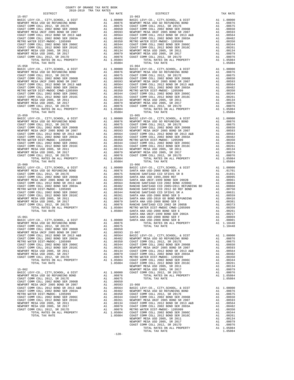15-059 15-065  $\begin{tabular}{c|c|c|c|c} \multicolumn{1}{c|}{\text{\parbox{0.5cm} \begin{tabular}{c} \multicolumn{1}{c|}{\text{\normalsize{1.5}}\begin{tabular}{c} \multicolumn{1}{c}{\text{\normalsize{1.5}}\begin{tabular}{c} \multicolumn{1}{c}{\text{\normalsize{1.5}}\begin{tabular}{c} \multicolumn{1}{c}{\text{\normalsize{1.5}}\begin{tabular}{c} \multicolumn{1}{c}{\text{\normalsize{1.5}}\begin{tabular}{c} \multicolumn{1}{c}{\text{\normalsize{1.5}}\begin{tabular}{c} \multicolumn{1$ 

 $\begin{tabular}{l|ll} 15-057\\ \hline \texttt{BASTC LEVY-CO.}, \texttt{CTTY}, \texttt{SCHOOL}, \& DIST & \texttt{A1} & 1.00000\\ \hline \texttt{RASTC LEVY-CO.}, \texttt{CTTY}, \texttt{SCHOOL}, \& D0876\\ \hline \texttt{COAST COMM COLL 2012}, \texttt{SR 2017E}\\ \texttt{COAST COMM COLL 2012}, \texttt{SR 2017E}\\ \texttt{COAST COMM COLL 2002 BOND SE 2006B}\\ \texttt{COAST COMM COLL 2002 BOND SE 2$  BASIC LEVY-CO., CITY,SCHOOL, & DIST A1 1.00000 BASIC LEVY-CO., CITY,SCHOOL, & DIST A1 1.00000 NEWPORT MESA USD GO REFUNDING BOND A1 .00876 NEWPORT MESA USD GO REFUNDING BOND A1 .00876 COAST COMM COLL 2012, SR 2017E A1 .00675 COAST COMM COLL 2012, SR 2017E A1 .00675 COAST COMM COLL 2002 BOND SER 2006B A1 .00650 COAST COMM COLL 2002 BOND SER 2006B A1 .00650 NEWPORT MESA UNIF 2005 BOND SR 2007 A1 .00593 NEWPORT MESA UNIF 2005 BOND SR 2007 A1 .00593 COAST COMM COLL 2012 BOND SR 2013 A&B A1 .00564 COAST COMM COLL 2012 BOND SR 2013 A&B A1 .00564<br>COAST COMM COLL 2002 BOND SER 2003A A1 .00482 COAST COMM COLL 2002 BOND SER 2003A A1 .00482 METRO WATER DIST-MWDOC CMWD-1205999<br>
COAST COMM COLL 2002 BOND SER 2006C A1 00350 METRO WATER DIST-MWDOC-1205999 A1 .00350<br>
COAST COMM COLL 2002 BOND SER 2016C A1 .00264 COAST COMM COLL 2012 BOND SER 2006C A1 .00264<br>
NEWPO COAST COMM COLL 2012, SR 2017D A1 .00076 COAST COMM COLL 2012, SR 2017D A1 .00076 TOTAL RATES ON ALL PROPERTY A1 1.05084 TOTAL RATES ON ALL PROPERTY A1 1.05084 NAHOL BULL 2012, SR 2017<br>
TOTAL RATES ON ALL PROPERTY A1 .00076 COAST COMM COLL 2012, SR 2017<br>
TOTAL RATES ON ALL PROPERTY A1 1.05084<br>
TOTAL TAX RATE 1.05084<br>
TOTAL TAX RATE 1.05084<br>
TOTAL TAX RATE 1.05084<br>
TOTAL TAX RATE BASIC LEVY-CO., CITY,SCHOOL, & DIST A1 1.00000 BASIC LEVY-CO., CITY,SCHOOL, & DIST A1 1.00000 NEWPORT MESA USD GO REFUNDING BOND A1 .00876 NEWPORT MESA USD GO REFUNDING BOND A1 .00876 COAST COMM COLL 2012, SR 2017E A1 .00675 COAST COMM COLL 2012, SR 2017E A1 .00675 COAST COMM COLL 2002 BOND SER 2006B A1 .00650 COAST COMM COLL 2002 BOND SER 2006B A1 .00650 NEWPORT MESA UNIF 2005 BOND SR 2007 A1 .00593 NEWPORT MESA UNIF 2005 BOND SR 2007 A1 .00593 COAST COMM COLL 2012 BOND SR 2013 A&B A1 .00564 COAST COMM COLL 2012 BOND SR 2013 A&B A1 .00564<br>COAST COMM COLL 2002 BOND SER 2003A A1 .00482 COAST COMM COLL 2002 BOND SER 2003A A1 .00482 METRO WATER DIST-MWDOC- 1205999 A1 .00350 METRO WATER DIST-MWDOC- 1205999 A1 .00350 COAST COMM COLL 2002 BOND SER 2006C A1 .00344 COAST COMM COLL 2002 BOND SER 2006C A1 .00344 COAST COMM COLL 2012 BOND SER 2016C A1 .00261 COAST COMM COLL 2012 BOND SER 2016C A1 .00261 NEWPORT MESA USD 2005, SR 2011 A1 .00134 NEWPORT MESA USD 2005, SR 2011 A1 .00134 NEWPORT MESA USD 2005, SR 2017 A1 .00079 NEWPORT MESA USD 2005, SR 2017 A1 .00079 COAST COMM COLL 2012, SR 2017D A1 .00076 COAST COMM COLL 2012, SR 2017D A1 .00076 TOTAL RATES ON ALL PROPERTY A1 1.05084 TOTAL RATES ON ALL PROPERTY A1 1.05084 TOTAL TAX RATE 1.05084 TOTAL TAX RATE 1.05084 BASIC LEVY-CO., CITY,SCHOOL, & DIST A1 1.00000 BASIC LEVY-CO., CITY,SCHOOL, & DIST A1 1.00000 NEWPORT MESA USD GO REFUNDING BOND A1 .00876 SANTA ANA USD-2008 BOND SER A A1 .01701 COAST COMM COLL 2012, SR 2017E A1 .00675 RANCHO SANTIAGO CCD SFID#1 SR B A1 .01031  $\begin{array}{cccccccccccccccc} \texttt{MENPORT} & \texttt{MESA} & \texttt{USD} & \texttt{COC} & \texttt{COT} & \texttt{COT} & \texttt{COT} & \texttt{COT} & \texttt{COT} & \texttt{COT} & \texttt{COT} & \texttt{COT} & \texttt{COT} & \texttt{COT} & \texttt{COT} & \texttt{COT} & \texttt{COT} & \texttt{COT} & \texttt{COT} & \texttt{COT} & \texttt{COT} & \texttt{COT} & \texttt{COT} & \texttt{COT} & \texttt{COT} & \texttt{COT} &$ NEWPORT MESA UNIF 2005 BOND SR 2007 A1 00593 SANTA ANA UNIF-1999 BOND SR 2002B A1 00961<br>
COAST COMM COLL 2012 BOND SR 2003A A1 0.0593 A1 0.0664 RANCHO SANTIAGO CCD 2002 BOND H2006C A1 0.00884<br>
METRO WATER DIST-MWDOC- 12059 15-061 SANTA ANA USD-2008 BOND SER F A1 .00069 BASIC LEVY-CO., CITY,SCHOOL, & DIST A1 1.00000 SANTA ANA USD-2008 BOND SER B A1 .00001 NEWPORT MESA USD GO REFUNDING BOND A1 .00876 TOTAL RATES ON ALL PROPERTY A1 1.10448 COAST COMM COLL 2012, SR 2017E A1 .00675 TOTAL TAX RATE 1.10448 COAST COMM COLL 2002 BOND SER 2006B A1 .00650 NEWPORT MESA UNIF 2005 BOND SR 2007 A1 .00593 15-067 COAST COMM COLL 2012 BOND SR 2013 A&B A1 .00564 BASIC LEVY-CO., CITY,SCHOOL, & DIST A1 1.00000 COAST COMM COLL 2002 BOND SER 2003A A1 .00482 NEWPORT MESA USD GO REFUNDING BOND A1 .00876 METRO WATER DIST-MWDOC- 1205999 A1 .00350 COAST COMM COLL 2012, SR 2017E A1 .00675 COAST COMM COLL 2002 BOND SER 2006C A1 .00344 COAST COMM COLL 2002 BOND SER 2006B A1 .00650 COAST COMM COLL 2012 BOND SER 2016C A1 .00261 NEWPORT MESA UNIF 2005 BOND SR 2007 A1 .00593 NEWPORT MESA USD 2005, SR 2011 A1 .00134 COAST COMM COLL 2012 BOND SR 2013 A&B A1 .00564 NEWPORT MESA USD 2005, SR 2017 A1 .00079 COAST COMM COLL 2002 BOND SER 2003A A1 .00482 COAST COMM COLL 2012, SR 2017D A1 .00076 METRO WATER DIST-MWDOC- 1205999 A1 .00350 TOTAL RATES ON ALL PROPERTY A1 1.05084 COAST COMM COLL 2002 BOND SER 2006C A1 .00344 TOTAL TAX RATE 1.05084 COAST COMM COLL 2012 BOND SER 2016C A1 .00261 15–062 MEWPORT MESAUSD 2005, SR 2011<br>1.00134 MEWPORT MESAUSD 2005, SR 2017<br>1.00076 BASIC LEVY-CO., CITY, SCHOOL, & DIST<br>1.00076 MEWPORT MESAUSD GO REFUNDING BOND A1 .00000 COAST COMM COLL 2012, SR 2017<br>1.05084 0.0876 MEWPO COAST COMM COLL 2012, SR 2017E A1 .00675 TOTAL TAX RATE 1.05084 COAST COMM COLL 2002 BOND SER 2006B A1 .00650 NEWPORT MESA UNIF 2005 BOND SR 2007<br>
NEWPORT MESA UNIF 2005 BOND SR 2013 A&B<br>
COAST COMM COLL 2012 BOND SR 2013 A&B<br>
A1 .00462 BASIC LEVY-CO., CITY, SCHOOL, & DIST<br>
METRO WATER DIST-MWDOC-1205999 A1 .00450 COAST COMM COLL COAST COMM COLL 2012 BOND SR 2013 A&B A1 .00564 BASIC LEVY-CO., CITY, SCHOOL, & DIST A1 1.00000<br>COAST COMM COLL 2003 A1 .00482 MEWPORT MESA USB QO REFUNDING BOND A1 .00476<br>METRO WATER DIST-MWDOC-1205999 A1 .00475 A1 .00350 COAST COMM COLL 2012 BOND SER 2016C A1 .00261 NEWPORT MESA UNIF 2005 BOND SR 2007 A1 .00593 00564 NEWPORT MESA USD 2005, SR 2011 – 2013 A1 00134 COAST COMM COLL 2012 BOND SR 2013 A&B<br>NEWPORT MESA USD 2005, SR 2017 – 20079 – 20079 – 2002 COAST COMM COLL 2002 DOM DOLD 25R 2003A – 20182<br>COAST COMM COLL 2012, SR 2017 TOTAL RATES ON ALL PROPERTY A1 1.05084 COAST COMM COLL 2002 BOND SER 2006C A1 .00344 TOTAL TAX RATE 1.05084 COAST COMM COLL 2012 BOND SER 2016C A1 .00261 NEWPORT MESA USD 2005, SR 2011 A1 .00134<br>NEWPORT MESA USD 2005, SR 2017 A1 .00079 COAST COMM COLL 2012, SR 2017D A1 .00076<br>TOTAL RATES ON ALL PROPERTY A1 1.05084<br>TOTAL TAX RATE 1.05084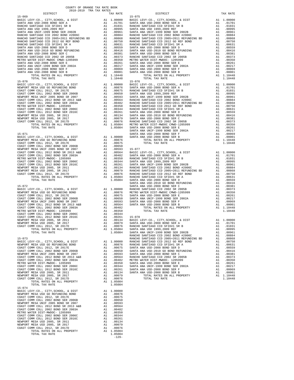| TOTAL TAX RATE                                                                                                                                                                                                                                                                                                                                                                                                  |                                                                                                                                     | 1.10448                                                                                               |                    |
|-----------------------------------------------------------------------------------------------------------------------------------------------------------------------------------------------------------------------------------------------------------------------------------------------------------------------------------------------------------------------------------------------------------------|-------------------------------------------------------------------------------------------------------------------------------------|-------------------------------------------------------------------------------------------------------|--------------------|
| $15 - 070$                                                                                                                                                                                                                                                                                                                                                                                                      |                                                                                                                                     |                                                                                                       | $15 - 076$         |
|                                                                                                                                                                                                                                                                                                                                                                                                                 |                                                                                                                                     |                                                                                                       |                    |
|                                                                                                                                                                                                                                                                                                                                                                                                                 |                                                                                                                                     |                                                                                                       |                    |
|                                                                                                                                                                                                                                                                                                                                                                                                                 |                                                                                                                                     |                                                                                                       |                    |
|                                                                                                                                                                                                                                                                                                                                                                                                                 |                                                                                                                                     |                                                                                                       |                    |
|                                                                                                                                                                                                                                                                                                                                                                                                                 |                                                                                                                                     |                                                                                                       |                    |
|                                                                                                                                                                                                                                                                                                                                                                                                                 |                                                                                                                                     |                                                                                                       |                    |
|                                                                                                                                                                                                                                                                                                                                                                                                                 |                                                                                                                                     |                                                                                                       |                    |
|                                                                                                                                                                                                                                                                                                                                                                                                                 |                                                                                                                                     |                                                                                                       |                    |
|                                                                                                                                                                                                                                                                                                                                                                                                                 |                                                                                                                                     |                                                                                                       |                    |
|                                                                                                                                                                                                                                                                                                                                                                                                                 |                                                                                                                                     |                                                                                                       |                    |
|                                                                                                                                                                                                                                                                                                                                                                                                                 |                                                                                                                                     |                                                                                                       | SANTA A            |
| $15 - 071$                                                                                                                                                                                                                                                                                                                                                                                                      |                                                                                                                                     |                                                                                                       | SANTA A            |
|                                                                                                                                                                                                                                                                                                                                                                                                                 |                                                                                                                                     |                                                                                                       |                    |
|                                                                                                                                                                                                                                                                                                                                                                                                                 |                                                                                                                                     |                                                                                                       |                    |
|                                                                                                                                                                                                                                                                                                                                                                                                                 |                                                                                                                                     |                                                                                                       |                    |
|                                                                                                                                                                                                                                                                                                                                                                                                                 |                                                                                                                                     |                                                                                                       |                    |
|                                                                                                                                                                                                                                                                                                                                                                                                                 |                                                                                                                                     |                                                                                                       |                    |
|                                                                                                                                                                                                                                                                                                                                                                                                                 |                                                                                                                                     |                                                                                                       |                    |
|                                                                                                                                                                                                                                                                                                                                                                                                                 |                                                                                                                                     |                                                                                                       |                    |
|                                                                                                                                                                                                                                                                                                                                                                                                                 |                                                                                                                                     |                                                                                                       |                    |
|                                                                                                                                                                                                                                                                                                                                                                                                                 |                                                                                                                                     |                                                                                                       |                    |
|                                                                                                                                                                                                                                                                                                                                                                                                                 |                                                                                                                                     |                                                                                                       |                    |
|                                                                                                                                                                                                                                                                                                                                                                                                                 |                                                                                                                                     |                                                                                                       |                    |
| $15 - 072$                                                                                                                                                                                                                                                                                                                                                                                                      |                                                                                                                                     |                                                                                                       | SANTA A<br>SANTA A |
|                                                                                                                                                                                                                                                                                                                                                                                                                 |                                                                                                                                     |                                                                                                       |                    |
|                                                                                                                                                                                                                                                                                                                                                                                                                 |                                                                                                                                     |                                                                                                       |                    |
|                                                                                                                                                                                                                                                                                                                                                                                                                 |                                                                                                                                     |                                                                                                       |                    |
|                                                                                                                                                                                                                                                                                                                                                                                                                 |                                                                                                                                     |                                                                                                       |                    |
|                                                                                                                                                                                                                                                                                                                                                                                                                 |                                                                                                                                     |                                                                                                       |                    |
|                                                                                                                                                                                                                                                                                                                                                                                                                 |                                                                                                                                     |                                                                                                       |                    |
|                                                                                                                                                                                                                                                                                                                                                                                                                 |                                                                                                                                     |                                                                                                       |                    |
|                                                                                                                                                                                                                                                                                                                                                                                                                 |                                                                                                                                     |                                                                                                       |                    |
|                                                                                                                                                                                                                                                                                                                                                                                                                 |                                                                                                                                     |                                                                                                       |                    |
|                                                                                                                                                                                                                                                                                                                                                                                                                 |                                                                                                                                     |                                                                                                       |                    |
| $\begin{tabular}{l c c c} \hline 15-072 & \text{SANTA A} & \text{SANTA A} \\ \hline \text{RaskIC LEVY-CO.}, & \text{CITY, SCHOOL}, & \text{A DIST} & \text{A1 } 1.00000 & \text{RANTA A} \\ \hline \text{NENVORT MESA USD GO REFUNDING BOND} & \text{A1 } 0.0076 & \text{RARTO W} \\ \text{COAST COMM COLL 2012, SR 2017E} & \text{A1 } 0.0675 & \text{SANTA A} \\ \text{NEWPORT OSM T COMOCL 2002 BOND SR 200$ |                                                                                                                                     |                                                                                                       |                    |
| $15 - 073$                                                                                                                                                                                                                                                                                                                                                                                                      |                                                                                                                                     |                                                                                                       | RANCHO             |
| BASIC LEVY-CO., CITY, SCHOOL, & DIST                                                                                                                                                                                                                                                                                                                                                                            |                                                                                                                                     | $\begin{tabular}{ll} \bf{R} \bf{ANCHO} \\ \bf{A1} & 1.00000 & \bf{R} \bf{ANCHO} \end{tabular}$        |                    |
| NEWPORT MESA USD GO REFUNDING BOND                                                                                                                                                                                                                                                                                                                                                                              | A1                                                                                                                                  | .00876 RANCHO                                                                                         |                    |
| COAST COMM COLL 2012, SR 2017E<br>COAST COMM COLL 2002 BOND SER 2006B                                                                                                                                                                                                                                                                                                                                           | $\begin{array}{c} \text{A1} \\ \text{A1} \\ \text{A1} \\ \text{A1} \\ \text{A1} \\ \text{A1} \\ \text{A1} \\ \text{A1} \end{array}$ | .00675<br>.00650                                                                                      | SANTA A<br>SANTA A |
| NEWPORT MESA UNIF 2005 BOND SR 2007                                                                                                                                                                                                                                                                                                                                                                             |                                                                                                                                     | .00593                                                                                                | SANTA A            |
| COAST COMM COLL 2012 BOND SR 2013 A&B<br>COAST COMM COLL 2002 BOND SER 2003A                                                                                                                                                                                                                                                                                                                                    |                                                                                                                                     | .00564                                                                                                | RANCHO             |
| METRO WATER DIST-MWDOC- 1205999                                                                                                                                                                                                                                                                                                                                                                                 |                                                                                                                                     |                                                                                                       |                    |
| COAST COMM COLL 2002 BOND SER 2006C                                                                                                                                                                                                                                                                                                                                                                             |                                                                                                                                     | A1 .00482 METRO W<br>A1 .00350 SANTA A<br>A1 .00350 SANTA A<br>A1 .00364 SANTA A<br>A1 .00134 SANTA A |                    |
| COAST COMM COLL 2012 BOND SER 2016C<br>NEWPORT MESA USD 2005, SR 2011                                                                                                                                                                                                                                                                                                                                           |                                                                                                                                     |                                                                                                       |                    |
| NEWPORT MESA USD 2005, SR 2017                                                                                                                                                                                                                                                                                                                                                                                  | A1                                                                                                                                  | .00079                                                                                                |                    |
| COAST COMM COLL 2012, SR 2017D                                                                                                                                                                                                                                                                                                                                                                                  | A1                                                                                                                                  | .00076                                                                                                |                    |
| TOTAL RATES ON ALL PROPERTY<br>TOTAL TAX RATE                                                                                                                                                                                                                                                                                                                                                                   |                                                                                                                                     | A1 1.05084<br>1.05084                                                                                 |                    |
| $15 - 074$                                                                                                                                                                                                                                                                                                                                                                                                      |                                                                                                                                     |                                                                                                       |                    |
| BASIC LEVY-CO., CITY, SCHOOL, & DIST<br>NEWPORT MESA USD GO REFUNDING BOND                                                                                                                                                                                                                                                                                                                                      |                                                                                                                                     | A1 1.00000<br>A1 .00876                                                                               |                    |
| COAST COMM COLL 2012, SR 2017E                                                                                                                                                                                                                                                                                                                                                                                  | A1<br>$\begin{array}{c}\n\text{A1}\n\text{A1}\n\text{A1}\n\text{A1}\n\text{A1}\n\text{A1}\n\text{A1}\n\end{array}$                  | .00675                                                                                                |                    |
| COAST COMM COLL 2002 BOND SER 2006B                                                                                                                                                                                                                                                                                                                                                                             | A1                                                                                                                                  | .00650                                                                                                |                    |
| NEWPORT MESA UNIF 2005 BOND SR 2007                                                                                                                                                                                                                                                                                                                                                                             |                                                                                                                                     | .00593<br>.00564                                                                                      |                    |
| COAST COMM COLL 2012 BOND SR 2013 A&B<br>COAST COMM COLL 2002 BOND SER 2003A                                                                                                                                                                                                                                                                                                                                    |                                                                                                                                     | .00482                                                                                                |                    |
| METRO WATER DIST-MWDOC- 1205999                                                                                                                                                                                                                                                                                                                                                                                 | A1                                                                                                                                  | .00350                                                                                                |                    |
| COAST COMM COLL 2002 BOND SER 2006C<br>COAST COMM COLL 2012 BOND SER 2016C                                                                                                                                                                                                                                                                                                                                      | A1<br>A1                                                                                                                            | .00344<br>.00261                                                                                      |                    |
| NEWPORT MESA USD 2005, SR 2011                                                                                                                                                                                                                                                                                                                                                                                  | A1                                                                                                                                  | .00134                                                                                                |                    |
| NEWPORT MESA USD 2005, SR 2017<br>COAST COMM COLL 2012, SR 2017D                                                                                                                                                                                                                                                                                                                                                | A1<br>A1                                                                                                                            | .00079<br>.00076                                                                                      |                    |
| MM COLL 2012, SR 2017D<br>TOTAL RATES ON ALL PROPERTY                                                                                                                                                                                                                                                                                                                                                           |                                                                                                                                     | A1 1.05084                                                                                            |                    |
| TOTAL TAX RATE                                                                                                                                                                                                                                                                                                                                                                                                  |                                                                                                                                     | 1.05084                                                                                               |                    |
|                                                                                                                                                                                                                                                                                                                                                                                                                 |                                                                                                                                     | -129-                                                                                                 |                    |

| SATO-RATA TEW THY KWIFP<br>DISTRICT | TAX RATE | DISTRICT                                                                                                                                                                                                                                                                                                                                                                     | TAX RATE |
|-------------------------------------|----------|------------------------------------------------------------------------------------------------------------------------------------------------------------------------------------------------------------------------------------------------------------------------------------------------------------------------------------------------------------------------------|----------|
| $15 - 069$                          |          | $15 - 075$                                                                                                                                                                                                                                                                                                                                                                   |          |
|                                     |          |                                                                                                                                                                                                                                                                                                                                                                              |          |
|                                     |          |                                                                                                                                                                                                                                                                                                                                                                              |          |
|                                     |          |                                                                                                                                                                                                                                                                                                                                                                              |          |
|                                     |          |                                                                                                                                                                                                                                                                                                                                                                              |          |
|                                     |          |                                                                                                                                                                                                                                                                                                                                                                              |          |
|                                     |          |                                                                                                                                                                                                                                                                                                                                                                              |          |
|                                     |          |                                                                                                                                                                                                                                                                                                                                                                              |          |
|                                     |          |                                                                                                                                                                                                                                                                                                                                                                              |          |
|                                     |          |                                                                                                                                                                                                                                                                                                                                                                              |          |
|                                     |          |                                                                                                                                                                                                                                                                                                                                                                              |          |
|                                     |          |                                                                                                                                                                                                                                                                                                                                                                              |          |
|                                     |          |                                                                                                                                                                                                                                                                                                                                                                              |          |
|                                     |          |                                                                                                                                                                                                                                                                                                                                                                              |          |
|                                     |          |                                                                                                                                                                                                                                                                                                                                                                              |          |
|                                     |          |                                                                                                                                                                                                                                                                                                                                                                              |          |
|                                     |          |                                                                                                                                                                                                                                                                                                                                                                              |          |
|                                     |          |                                                                                                                                                                                                                                                                                                                                                                              |          |
|                                     |          |                                                                                                                                                                                                                                                                                                                                                                              |          |
|                                     |          |                                                                                                                                                                                                                                                                                                                                                                              |          |
|                                     |          |                                                                                                                                                                                                                                                                                                                                                                              |          |
|                                     |          |                                                                                                                                                                                                                                                                                                                                                                              |          |
|                                     |          |                                                                                                                                                                                                                                                                                                                                                                              |          |
|                                     |          |                                                                                                                                                                                                                                                                                                                                                                              |          |
|                                     |          |                                                                                                                                                                                                                                                                                                                                                                              |          |
|                                     |          |                                                                                                                                                                                                                                                                                                                                                                              |          |
|                                     |          |                                                                                                                                                                                                                                                                                                                                                                              |          |
|                                     |          |                                                                                                                                                                                                                                                                                                                                                                              |          |
|                                     |          |                                                                                                                                                                                                                                                                                                                                                                              |          |
|                                     |          |                                                                                                                                                                                                                                                                                                                                                                              |          |
|                                     |          |                                                                                                                                                                                                                                                                                                                                                                              |          |
|                                     |          |                                                                                                                                                                                                                                                                                                                                                                              |          |
|                                     |          |                                                                                                                                                                                                                                                                                                                                                                              |          |
|                                     |          |                                                                                                                                                                                                                                                                                                                                                                              |          |
|                                     |          |                                                                                                                                                                                                                                                                                                                                                                              |          |
|                                     |          |                                                                                                                                                                                                                                                                                                                                                                              |          |
|                                     |          |                                                                                                                                                                                                                                                                                                                                                                              |          |
|                                     |          |                                                                                                                                                                                                                                                                                                                                                                              |          |
|                                     |          |                                                                                                                                                                                                                                                                                                                                                                              |          |
|                                     |          |                                                                                                                                                                                                                                                                                                                                                                              |          |
|                                     |          |                                                                                                                                                                                                                                                                                                                                                                              |          |
|                                     |          |                                                                                                                                                                                                                                                                                                                                                                              |          |
|                                     |          |                                                                                                                                                                                                                                                                                                                                                                              |          |
|                                     |          |                                                                                                                                                                                                                                                                                                                                                                              |          |
|                                     |          |                                                                                                                                                                                                                                                                                                                                                                              |          |
|                                     |          |                                                                                                                                                                                                                                                                                                                                                                              |          |
|                                     |          |                                                                                                                                                                                                                                                                                                                                                                              |          |
|                                     |          |                                                                                                                                                                                                                                                                                                                                                                              |          |
|                                     |          |                                                                                                                                                                                                                                                                                                                                                                              |          |
|                                     |          |                                                                                                                                                                                                                                                                                                                                                                              |          |
|                                     |          |                                                                                                                                                                                                                                                                                                                                                                              |          |
|                                     |          |                                                                                                                                                                                                                                                                                                                                                                              |          |
|                                     |          |                                                                                                                                                                                                                                                                                                                                                                              |          |
|                                     |          |                                                                                                                                                                                                                                                                                                                                                                              |          |
|                                     |          |                                                                                                                                                                                                                                                                                                                                                                              |          |
|                                     |          |                                                                                                                                                                                                                                                                                                                                                                              |          |
|                                     |          |                                                                                                                                                                                                                                                                                                                                                                              |          |
|                                     |          |                                                                                                                                                                                                                                                                                                                                                                              |          |
|                                     |          |                                                                                                                                                                                                                                                                                                                                                                              |          |
|                                     |          |                                                                                                                                                                                                                                                                                                                                                                              |          |
|                                     |          |                                                                                                                                                                                                                                                                                                                                                                              |          |
|                                     |          |                                                                                                                                                                                                                                                                                                                                                                              |          |
|                                     |          | $\begin{tabular}{l cccccccc} \textbf{REWORT} \textbf{NEAS} & \textbf{DED} & 0005, \textbf{GRD} & 00079 & \textbf{SARTA} & 00079 & \textbf{SARTA} & 00079 & \textbf{SARTA} & 00079 & \textbf{SARTA} & 00079 & \textbf{SARTA} & 00079 & \textbf{SARTA} & 00079 & \textbf{SARTA} & 00079 & \textbf{SARTA} & 00079 & \textbf{SARTA} & 00079 & \textbf{SARTA} & 00079 & \textbf{$ |          |
|                                     |          |                                                                                                                                                                                                                                                                                                                                                                              |          |
|                                     |          |                                                                                                                                                                                                                                                                                                                                                                              |          |
|                                     |          |                                                                                                                                                                                                                                                                                                                                                                              |          |
|                                     |          |                                                                                                                                                                                                                                                                                                                                                                              |          |
|                                     |          |                                                                                                                                                                                                                                                                                                                                                                              |          |
|                                     |          |                                                                                                                                                                                                                                                                                                                                                                              |          |
|                                     |          |                                                                                                                                                                                                                                                                                                                                                                              |          |
|                                     |          |                                                                                                                                                                                                                                                                                                                                                                              |          |
|                                     |          |                                                                                                                                                                                                                                                                                                                                                                              |          |
|                                     |          |                                                                                                                                                                                                                                                                                                                                                                              |          |
|                                     |          |                                                                                                                                                                                                                                                                                                                                                                              |          |
|                                     |          |                                                                                                                                                                                                                                                                                                                                                                              |          |
|                                     |          |                                                                                                                                                                                                                                                                                                                                                                              |          |
|                                     |          |                                                                                                                                                                                                                                                                                                                                                                              |          |
|                                     |          |                                                                                                                                                                                                                                                                                                                                                                              |          |
|                                     |          |                                                                                                                                                                                                                                                                                                                                                                              |          |
|                                     |          |                                                                                                                                                                                                                                                                                                                                                                              |          |
|                                     |          |                                                                                                                                                                                                                                                                                                                                                                              |          |
| TOTAL TAX RATE                      |          |                                                                                                                                                                                                                                                                                                                                                                              |          |
| $15 - 074$                          |          |                                                                                                                                                                                                                                                                                                                                                                              |          |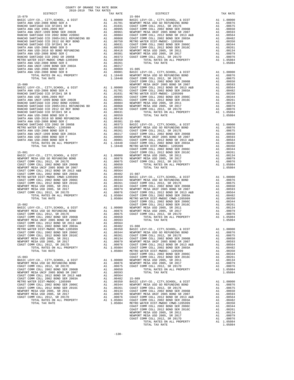| TAX RATE<br>DISTRICT | DISTRICT | TAX RATE |
|----------------------|----------|----------|
|                      |          |          |
|                      |          |          |
|                      |          |          |
|                      |          |          |
|                      |          |          |
|                      |          |          |
|                      |          |          |
|                      |          |          |
|                      |          |          |
|                      |          |          |
|                      |          |          |
|                      |          |          |
|                      |          |          |
|                      |          |          |
|                      |          |          |
|                      |          |          |
|                      |          |          |
|                      |          |          |
|                      |          |          |
|                      |          |          |
|                      |          |          |
|                      |          |          |
|                      |          |          |
|                      |          |          |
|                      |          |          |
|                      |          |          |
|                      |          |          |
|                      |          |          |
|                      |          |          |
|                      |          |          |
|                      |          |          |
|                      |          |          |
|                      |          |          |
|                      |          |          |
|                      |          |          |
|                      |          |          |
|                      |          |          |
|                      |          |          |
|                      |          |          |
|                      |          |          |
|                      |          |          |
|                      |          |          |
|                      |          |          |
|                      |          |          |
|                      |          |          |
|                      |          |          |
|                      |          |          |
|                      |          |          |
|                      |          |          |
|                      |          |          |
|                      |          |          |
|                      |          |          |
|                      |          |          |
|                      |          |          |
|                      |          |          |
|                      |          |          |
|                      |          |          |
|                      |          |          |
|                      |          |          |
|                      |          |          |
|                      |          |          |
|                      |          |          |
|                      |          |          |
|                      |          |          |
|                      |          |          |
|                      |          |          |
|                      |          |          |
|                      |          |          |
|                      |          |          |
|                      |          |          |
|                      |          |          |
|                      |          |          |
|                      |          |          |
|                      |          |          |
|                      |          |          |
|                      |          |          |
|                      |          |          |
|                      |          |          |
|                      |          |          |
|                      |          |          |
|                      |          |          |
|                      |          |          |
|                      |          |          |
|                      |          |          |
|                      |          |          |
|                      |          |          |
|                      |          |          |
|                      |          |          |
|                      |          |          |
|                      |          |          |
|                      |          |          |
|                      |          |          |
|                      |          |          |
|                      |          |          |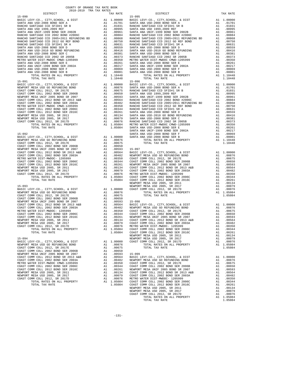| DIPIKICI                                                                                                                                       | IAA KAIL                                                                                                                                                                                                                                                  |            |
|------------------------------------------------------------------------------------------------------------------------------------------------|-----------------------------------------------------------------------------------------------------------------------------------------------------------------------------------------------------------------------------------------------------------|------------|
| $15 - 090$                                                                                                                                     |                                                                                                                                                                                                                                                           | $15 - 095$ |
|                                                                                                                                                |                                                                                                                                                                                                                                                           |            |
|                                                                                                                                                |                                                                                                                                                                                                                                                           |            |
|                                                                                                                                                |                                                                                                                                                                                                                                                           |            |
|                                                                                                                                                |                                                                                                                                                                                                                                                           |            |
|                                                                                                                                                |                                                                                                                                                                                                                                                           |            |
|                                                                                                                                                |                                                                                                                                                                                                                                                           |            |
|                                                                                                                                                |                                                                                                                                                                                                                                                           |            |
|                                                                                                                                                |                                                                                                                                                                                                                                                           |            |
|                                                                                                                                                |                                                                                                                                                                                                                                                           |            |
|                                                                                                                                                |                                                                                                                                                                                                                                                           |            |
|                                                                                                                                                |                                                                                                                                                                                                                                                           |            |
|                                                                                                                                                |                                                                                                                                                                                                                                                           |            |
|                                                                                                                                                |                                                                                                                                                                                                                                                           |            |
|                                                                                                                                                |                                                                                                                                                                                                                                                           |            |
|                                                                                                                                                |                                                                                                                                                                                                                                                           |            |
|                                                                                                                                                |                                                                                                                                                                                                                                                           |            |
|                                                                                                                                                |                                                                                                                                                                                                                                                           |            |
|                                                                                                                                                |                                                                                                                                                                                                                                                           |            |
|                                                                                                                                                |                                                                                                                                                                                                                                                           |            |
|                                                                                                                                                |                                                                                                                                                                                                                                                           |            |
| TOTAL TAX RATE                                                                                                                                 | 1.10448                                                                                                                                                                                                                                                   |            |
| $15 - 091$                                                                                                                                     |                                                                                                                                                                                                                                                           | $15 - 096$ |
|                                                                                                                                                |                                                                                                                                                                                                                                                           |            |
|                                                                                                                                                |                                                                                                                                                                                                                                                           |            |
|                                                                                                                                                |                                                                                                                                                                                                                                                           |            |
|                                                                                                                                                |                                                                                                                                                                                                                                                           |            |
|                                                                                                                                                |                                                                                                                                                                                                                                                           |            |
|                                                                                                                                                |                                                                                                                                                                                                                                                           |            |
|                                                                                                                                                |                                                                                                                                                                                                                                                           |            |
|                                                                                                                                                |                                                                                                                                                                                                                                                           |            |
|                                                                                                                                                |                                                                                                                                                                                                                                                           |            |
|                                                                                                                                                |                                                                                                                                                                                                                                                           |            |
|                                                                                                                                                |                                                                                                                                                                                                                                                           |            |
|                                                                                                                                                |                                                                                                                                                                                                                                                           |            |
|                                                                                                                                                |                                                                                                                                                                                                                                                           |            |
|                                                                                                                                                |                                                                                                                                                                                                                                                           |            |
|                                                                                                                                                |                                                                                                                                                                                                                                                           |            |
|                                                                                                                                                |                                                                                                                                                                                                                                                           |            |
|                                                                                                                                                |                                                                                                                                                                                                                                                           | SANTA A    |
| $15 - 092$                                                                                                                                     |                                                                                                                                                                                                                                                           |            |
| BASIC LEVY-CO., CITY, SCHOOL, & DIST                                                                                                           |                                                                                                                                                                                                                                                           |            |
|                                                                                                                                                |                                                                                                                                                                                                                                                           |            |
| BASIC LEVY-CO., CITY,SCHOOL, & DIST<br>NEWPORT MESA USD GO REFUNDING BOND<br>COAST COMM COLL 2012 SR 2017E                                     |                                                                                                                                                                                                                                                           |            |
| COAST COMM COLL 2012, SR 2017E<br>COAST COMM COLL 2002 BOND SER 2006B                                                                          |                                                                                                                                                                                                                                                           |            |
|                                                                                                                                                |                                                                                                                                                                                                                                                           |            |
| NEWPORT MESA UNIF 2005 BOND SR 2007                                                                                                            |                                                                                                                                                                                                                                                           |            |
| COAST COMM COLL 2012 BOND SR 2013 A&B<br>COAST COMM COLL 2002 BOND SER 2003A                                                                   |                                                                                                                                                                                                                                                           |            |
|                                                                                                                                                |                                                                                                                                                                                                                                                           |            |
| METRO WATER DIST-MWDOC- 1205999                                                                                                                |                                                                                                                                                                                                                                                           |            |
| COAST COMM COLL 2002 BOND SER 2006C<br>COAST COMM COLL 2012 BOND SER 2016C                                                                     |                                                                                                                                                                                                                                                           |            |
|                                                                                                                                                |                                                                                                                                                                                                                                                           |            |
| NEWPORT MESA USD 2005, SR 2011                                                                                                                 |                                                                                                                                                                                                                                                           |            |
| NEWPORT MESA USD 2005, SR 2017                                                                                                                 |                                                                                                                                                                                                                                                           |            |
| COAST COMM COLL 2012, SR 2017D                                                                                                                 |                                                                                                                                                                                                                                                           |            |
|                                                                                                                                                |                                                                                                                                                                                                                                                           |            |
|                                                                                                                                                |                                                                                                                                                                                                                                                           |            |
|                                                                                                                                                |                                                                                                                                                                                                                                                           |            |
| $15 - 093$                                                                                                                                     |                                                                                                                                                                                                                                                           |            |
|                                                                                                                                                |                                                                                                                                                                                                                                                           |            |
| BASIC LEVY-CO., CITY, SCHOOL, & DIST<br>BASIC LEVY-CO., CITY, SCHOOL, & DIST<br>NEWPORT MESA USD GO REFUNDING BOND                             | NEWPORT<br>A1 .00000 COAST C<br>A1 .00675<br>A1 .00675<br>A1 000000                                                                                                                                                                                       |            |
|                                                                                                                                                |                                                                                                                                                                                                                                                           |            |
| COAST COMM COLL 2012, SR 2017E                                                                                                                 |                                                                                                                                                                                                                                                           |            |
| COAST COMM COLL 2002 BOND SER 2006B                                                                                                            | A1 .00675<br>A1 .00675<br>A1 .00650<br>A1 .00564 BASIC L<br>A1 .00564 BASIC L<br>A1 .00482 NEWPORT<br>A1 .00346 COAST C<br>A1 .00344 COAST C<br>A1 .00261 NEWPORT<br>A1 .00079 COAST C<br>A1 .00079 COAST C<br>A1 .00079 COAST C<br>A1 .00079 COAST C<br> |            |
| NEWPORT MESA UNIF 2005 BOND SR 2007                                                                                                            |                                                                                                                                                                                                                                                           |            |
| COAST COMM COLL 2012 BOND SR 2013 A&B<br>COAST COMM COLL 2002 BOND SER 2003A<br>METRO MATER DIGT MEDOC 1005000                                 |                                                                                                                                                                                                                                                           |            |
|                                                                                                                                                |                                                                                                                                                                                                                                                           |            |
| COAST COMM COLL 2002 BOND SER 2006C<br>COAST COMM COLL 2012 BOND SER 2016C<br>NEWPORT MESA USD 2005, SR 2011<br>NEWPORT MESA HSD 2005, SR 2011 |                                                                                                                                                                                                                                                           |            |
|                                                                                                                                                |                                                                                                                                                                                                                                                           |            |
|                                                                                                                                                |                                                                                                                                                                                                                                                           |            |
|                                                                                                                                                |                                                                                                                                                                                                                                                           |            |
|                                                                                                                                                |                                                                                                                                                                                                                                                           |            |
| COAST COMM COLL 2012, SR 2017D                                                                                                                 |                                                                                                                                                                                                                                                           |            |
|                                                                                                                                                |                                                                                                                                                                                                                                                           |            |
| TOTAL RATES ON ALL PROPERTY                                                                                                                    | A1 1.05084                                                                                                                                                                                                                                                | COAST C    |
| TOTAL TAX RATE                                                                                                                                 | 1.05084                                                                                                                                                                                                                                                   | COAST C    |
|                                                                                                                                                |                                                                                                                                                                                                                                                           | NEWPORT    |
| $15 - 094$                                                                                                                                     |                                                                                                                                                                                                                                                           | NEWPORT    |
| BASIC LEVY-CO., CITY, SCHOOL, & DIST                                                                                                           | A1 1.00000                                                                                                                                                                                                                                                | COAST C    |
| NEWPORT MESA USD GO REFUNDING BOND                                                                                                             | A1.00876                                                                                                                                                                                                                                                  |            |
| COAST COMM COLL 2012, SR 2017E                                                                                                                 |                                                                                                                                                                                                                                                           |            |
| COAST COMM COLL 2002 BOND SER 2006B                                                                                                            | A1 .00675<br>A1 .00650                                                                                                                                                                                                                                    |            |
| NEWPORT MESA UNIF 2005 BOND SR 2007                                                                                                            | A1 .00593 15-099                                                                                                                                                                                                                                          |            |
| COAST COMM COLL 2012 BOND SR 2013 A&B                                                                                                          | A1 .00564                                                                                                                                                                                                                                                 | BASIC L    |
| COAST COMM COLL 2002 BOND SER 2003A                                                                                                            |                                                                                                                                                                                                                                                           |            |
| METRO WATER DIST-MWDOC CMWD-1205999                                                                                                            | A1 .00482 NEWPORT<br>A1 .00350 COAST C<br>A1 .00344 COAST C                                                                                                                                                                                               |            |
|                                                                                                                                                |                                                                                                                                                                                                                                                           |            |
| COAST COMM COLL 2002 BOND SER 2006C                                                                                                            |                                                                                                                                                                                                                                                           |            |
| COAST COMM COLL 2012 BOND SER 2016C                                                                                                            |                                                                                                                                                                                                                                                           |            |
| NEWPORT MESA USD 2005, SR 2011                                                                                                                 | A1 .00261 NEWPORT<br>A1 .00261 NEWPORT<br>A1 .00079 COAST C<br>A1 .00076 METRO W<br>A1 1.05084 COAST C<br>1.05084 COAST C                                                                                                                                 |            |
| NEWPORT MESA USD 2005, SR 2017                                                                                                                 |                                                                                                                                                                                                                                                           |            |
| COAST COMM COLL 2012, SR 2017D                                                                                                                 |                                                                                                                                                                                                                                                           |            |
| TOTAL RATES ON ALL PROPERTY                                                                                                                    |                                                                                                                                                                                                                                                           |            |
| TOTAL TAY RATE                                                                                                                                 |                                                                                                                                                                                                                                                           |            |

| COUNTY OF ORANGE TAX RATE BOOK |          |                                                                                                                                                                                                                                                                                                                                                                                   |          |
|--------------------------------|----------|-----------------------------------------------------------------------------------------------------------------------------------------------------------------------------------------------------------------------------------------------------------------------------------------------------------------------------------------------------------------------------------|----------|
|                                | TAX RATE | DISTRICT                                                                                                                                                                                                                                                                                                                                                                          | TAX RATE |
| $15 - 090$                     |          | $15 - 095$                                                                                                                                                                                                                                                                                                                                                                        |          |
|                                |          |                                                                                                                                                                                                                                                                                                                                                                                   |          |
|                                |          |                                                                                                                                                                                                                                                                                                                                                                                   |          |
|                                |          |                                                                                                                                                                                                                                                                                                                                                                                   |          |
|                                |          |                                                                                                                                                                                                                                                                                                                                                                                   |          |
|                                |          |                                                                                                                                                                                                                                                                                                                                                                                   |          |
|                                |          |                                                                                                                                                                                                                                                                                                                                                                                   |          |
|                                |          |                                                                                                                                                                                                                                                                                                                                                                                   |          |
|                                |          |                                                                                                                                                                                                                                                                                                                                                                                   |          |
|                                |          |                                                                                                                                                                                                                                                                                                                                                                                   |          |
|                                |          |                                                                                                                                                                                                                                                                                                                                                                                   |          |
|                                |          |                                                                                                                                                                                                                                                                                                                                                                                   |          |
|                                |          |                                                                                                                                                                                                                                                                                                                                                                                   |          |
|                                |          |                                                                                                                                                                                                                                                                                                                                                                                   |          |
|                                |          |                                                                                                                                                                                                                                                                                                                                                                                   |          |
|                                |          |                                                                                                                                                                                                                                                                                                                                                                                   |          |
|                                |          |                                                                                                                                                                                                                                                                                                                                                                                   |          |
|                                |          |                                                                                                                                                                                                                                                                                                                                                                                   |          |
|                                |          |                                                                                                                                                                                                                                                                                                                                                                                   |          |
|                                |          |                                                                                                                                                                                                                                                                                                                                                                                   |          |
|                                |          |                                                                                                                                                                                                                                                                                                                                                                                   |          |
|                                |          |                                                                                                                                                                                                                                                                                                                                                                                   |          |
|                                |          |                                                                                                                                                                                                                                                                                                                                                                                   |          |
|                                |          |                                                                                                                                                                                                                                                                                                                                                                                   |          |
|                                |          |                                                                                                                                                                                                                                                                                                                                                                                   |          |
|                                |          |                                                                                                                                                                                                                                                                                                                                                                                   |          |
|                                |          |                                                                                                                                                                                                                                                                                                                                                                                   |          |
|                                |          |                                                                                                                                                                                                                                                                                                                                                                                   |          |
|                                |          | The contribution of ALL FRONTEST 12.11 (1990) 12.12 (1991) 12.22 (1992) 12.22 (1992) 12.22 (1992) 12.22 (1992) 12.22 (1992) 12.22 (1992) 12.22 (1992) 12.22 (1992) 12.22 (1992) 12.22 (1992) 12.22 (1992) 12.22 (1992) 12.22                                                                                                                                                      |          |
|                                |          |                                                                                                                                                                                                                                                                                                                                                                                   |          |
|                                |          |                                                                                                                                                                                                                                                                                                                                                                                   |          |
|                                |          |                                                                                                                                                                                                                                                                                                                                                                                   |          |
|                                |          |                                                                                                                                                                                                                                                                                                                                                                                   |          |
|                                |          |                                                                                                                                                                                                                                                                                                                                                                                   |          |
|                                |          |                                                                                                                                                                                                                                                                                                                                                                                   |          |
|                                |          |                                                                                                                                                                                                                                                                                                                                                                                   |          |
|                                |          |                                                                                                                                                                                                                                                                                                                                                                                   |          |
|                                |          |                                                                                                                                                                                                                                                                                                                                                                                   |          |
|                                |          |                                                                                                                                                                                                                                                                                                                                                                                   |          |
|                                |          |                                                                                                                                                                                                                                                                                                                                                                                   |          |
|                                |          |                                                                                                                                                                                                                                                                                                                                                                                   |          |
|                                |          |                                                                                                                                                                                                                                                                                                                                                                                   |          |
|                                |          |                                                                                                                                                                                                                                                                                                                                                                                   |          |
|                                |          |                                                                                                                                                                                                                                                                                                                                                                                   |          |
|                                |          |                                                                                                                                                                                                                                                                                                                                                                                   |          |
|                                |          |                                                                                                                                                                                                                                                                                                                                                                                   |          |
|                                |          |                                                                                                                                                                                                                                                                                                                                                                                   |          |
|                                |          |                                                                                                                                                                                                                                                                                                                                                                                   |          |
|                                |          |                                                                                                                                                                                                                                                                                                                                                                                   |          |
|                                |          |                                                                                                                                                                                                                                                                                                                                                                                   |          |
|                                |          |                                                                                                                                                                                                                                                                                                                                                                                   |          |
|                                |          |                                                                                                                                                                                                                                                                                                                                                                                   |          |
|                                |          |                                                                                                                                                                                                                                                                                                                                                                                   |          |
|                                |          |                                                                                                                                                                                                                                                                                                                                                                                   |          |
|                                |          |                                                                                                                                                                                                                                                                                                                                                                                   |          |
|                                |          |                                                                                                                                                                                                                                                                                                                                                                                   |          |
|                                |          |                                                                                                                                                                                                                                                                                                                                                                                   |          |
|                                |          |                                                                                                                                                                                                                                                                                                                                                                                   |          |
|                                |          |                                                                                                                                                                                                                                                                                                                                                                                   |          |
|                                |          |                                                                                                                                                                                                                                                                                                                                                                                   |          |
|                                |          | $\begin{tabular}{cccccccc} \textbf{COM} & \textbf{COM} & \textbf{COM} & \textbf{D10} & \textbf{BMO} & \textbf{SRO} & \textbf{SRO} & \textbf{D10} & \textbf{A1} & \textbf{0.0514} & \textbf{0.0515} & \textbf{0.0516} & \textbf{0.0516} & \textbf{0.0516} & \textbf{0.0516} & \textbf{0.0516} & \textbf{0.0516} & \textbf{0.0516} & \textbf{0.0516} & \textbf{0.0516} & \textbf{0$ |          |
|                                |          |                                                                                                                                                                                                                                                                                                                                                                                   |          |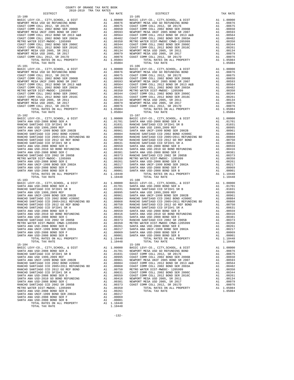| COUNTY OF ORANGE TAX RATE BOOK<br>2018-2019 TRA TAX RATES |          |       |                                                                                                                                                                                                                                                                      |  |          |  |
|-----------------------------------------------------------|----------|-------|----------------------------------------------------------------------------------------------------------------------------------------------------------------------------------------------------------------------------------------------------------------------|--|----------|--|
| DISTRICT                                                  | TAX RATE |       | DISTRICT                                                                                                                                                                                                                                                             |  | TAX RATE |  |
| $15 - 100$                                                |          |       | $15 - 105$                                                                                                                                                                                                                                                           |  |          |  |
| $15 - 101$                                                |          |       | $15 - 106$                                                                                                                                                                                                                                                           |  |          |  |
|                                                           |          |       |                                                                                                                                                                                                                                                                      |  |          |  |
| $15 - 103$<br>$15 - 104$                                  |          |       | $15 - 108$<br>METRO WATER DIST IMOGO COND-1205999 A1 .00373<br>METRO WATER DIST -MODO SR 2002 ARTITANA USD-2008 BOND SER E<br>METRO WATER DIST -MWDCC CMWD-1205999 A1 .00261<br>SANTA ANA USD-2008 BOND SER E<br>SANTA ANA USD-2008 BOND SER P<br>SANT<br>$15 - 109$ |  |          |  |
| CANTA ANA HCD_2008 DOND CED D                             |          | 00001 |                                                                                                                                                                                                                                                                      |  |          |  |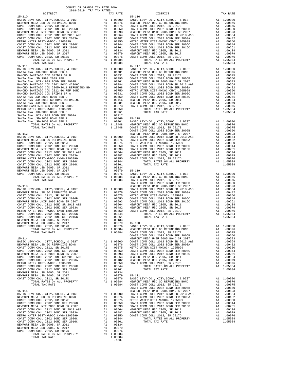COAST COMM COLL 2012 BOND SER 2016C NEWPORT MESA USD 2005, SR 2011<br>NEWPORT MESA USD 2005, SR 2017 ANNOTORT MESA USD 20079<br>COAST COMM COLL 2012, SR 2017D A1 .00076 TOTAL RATES ON ALL PROPERTY A1 1.05084 TOTAL TAX RATE 1.05084 -133-

| DISTRICT   | TAX RATE | DISTRICT   | TAX RATE |
|------------|----------|------------|----------|
| $15 - 110$ |          | 15-116     |          |
|            |          |            |          |
|            |          |            |          |
|            |          |            |          |
|            |          |            |          |
|            |          |            |          |
|            |          |            |          |
|            |          |            |          |
|            |          |            |          |
|            |          |            |          |
|            |          |            |          |
|            |          |            |          |
|            |          |            |          |
|            |          | $15 - 117$ |          |
|            |          |            |          |
|            |          |            |          |
|            |          |            |          |
|            |          |            |          |
|            |          |            |          |
|            |          |            |          |
|            |          |            |          |
|            |          |            |          |
|            |          |            |          |
|            |          |            |          |
|            |          |            |          |
|            |          |            |          |
|            |          |            |          |
|            |          |            |          |
|            |          |            |          |
|            |          |            |          |
|            |          |            |          |
|            |          |            |          |
|            |          |            |          |
|            |          |            |          |
|            |          |            |          |
|            |          |            |          |
|            |          |            |          |
|            |          |            |          |
|            |          |            |          |
|            |          |            |          |
|            |          |            |          |
|            |          |            |          |
|            |          |            |          |
|            |          |            |          |
|            |          |            |          |
|            |          |            |          |
|            |          |            |          |
|            |          |            |          |
|            |          |            |          |
|            |          |            |          |
|            |          |            |          |
|            |          |            |          |
|            |          |            |          |
|            |          |            |          |
|            |          |            |          |
|            |          |            |          |
|            |          |            |          |
|            |          |            |          |
|            |          |            |          |
|            |          |            |          |
|            |          |            |          |
|            |          |            |          |
|            |          |            |          |
|            |          |            |          |
|            |          |            |          |
|            |          |            |          |
|            |          |            |          |
|            |          |            |          |
|            |          |            |          |
|            |          |            |          |
|            |          |            |          |
|            |          |            |          |
|            |          |            |          |
|            |          |            |          |
|            |          |            |          |
|            |          |            |          |
|            |          |            |          |
|            |          |            |          |
|            |          |            |          |
|            |          |            |          |
|            |          |            |          |
|            |          |            |          |
|            |          |            |          |
|            |          |            |          |
|            |          |            |          |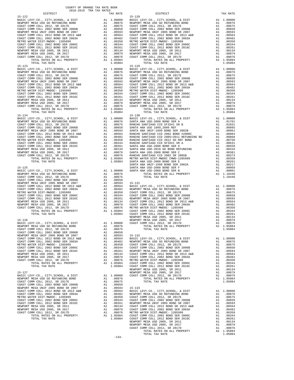| 2018-2019 TRA TAX RATES<br>DISTRICT<br>TAX RATE<br>DISTRICT                                                                                                                                                                   | TAX RATE |
|-------------------------------------------------------------------------------------------------------------------------------------------------------------------------------------------------------------------------------|----------|
| $15 - 128$                                                                                                                                                                                                                    |          |
|                                                                                                                                                                                                                               |          |
|                                                                                                                                                                                                                               |          |
|                                                                                                                                                                                                                               |          |
|                                                                                                                                                                                                                               |          |
|                                                                                                                                                                                                                               |          |
|                                                                                                                                                                                                                               |          |
|                                                                                                                                                                                                                               |          |
|                                                                                                                                                                                                                               |          |
|                                                                                                                                                                                                                               |          |
|                                                                                                                                                                                                                               |          |
|                                                                                                                                                                                                                               |          |
|                                                                                                                                                                                                                               |          |
|                                                                                                                                                                                                                               |          |
|                                                                                                                                                                                                                               |          |
|                                                                                                                                                                                                                               |          |
|                                                                                                                                                                                                                               |          |
|                                                                                                                                                                                                                               |          |
|                                                                                                                                                                                                                               |          |
|                                                                                                                                                                                                                               |          |
|                                                                                                                                                                                                                               |          |
|                                                                                                                                                                                                                               |          |
|                                                                                                                                                                                                                               |          |
|                                                                                                                                                                                                                               |          |
|                                                                                                                                                                                                                               |          |
|                                                                                                                                                                                                                               |          |
|                                                                                                                                                                                                                               |          |
|                                                                                                                                                                                                                               |          |
|                                                                                                                                                                                                                               |          |
|                                                                                                                                                                                                                               |          |
|                                                                                                                                                                                                                               |          |
|                                                                                                                                                                                                                               |          |
|                                                                                                                                                                                                                               |          |
|                                                                                                                                                                                                                               |          |
|                                                                                                                                                                                                                               |          |
|                                                                                                                                                                                                                               |          |
|                                                                                                                                                                                                                               |          |
|                                                                                                                                                                                                                               |          |
|                                                                                                                                                                                                                               |          |
|                                                                                                                                                                                                                               |          |
|                                                                                                                                                                                                                               |          |
|                                                                                                                                                                                                                               |          |
|                                                                                                                                                                                                                               |          |
|                                                                                                                                                                                                                               |          |
|                                                                                                                                                                                                                               |          |
|                                                                                                                                                                                                                               |          |
|                                                                                                                                                                                                                               |          |
|                                                                                                                                                                                                                               |          |
|                                                                                                                                                                                                                               |          |
|                                                                                                                                                                                                                               |          |
|                                                                                                                                                                                                                               |          |
|                                                                                                                                                                                                                               |          |
|                                                                                                                                                                                                                               |          |
|                                                                                                                                                                                                                               |          |
|                                                                                                                                                                                                                               |          |
|                                                                                                                                                                                                                               |          |
|                                                                                                                                                                                                                               |          |
|                                                                                                                                                                                                                               |          |
|                                                                                                                                                                                                                               |          |
|                                                                                                                                                                                                                               |          |
|                                                                                                                                                                                                                               |          |
|                                                                                                                                                                                                                               |          |
|                                                                                                                                                                                                                               |          |
|                                                                                                                                                                                                                               |          |
|                                                                                                                                                                                                                               |          |
|                                                                                                                                                                                                                               |          |
|                                                                                                                                                                                                                               |          |
|                                                                                                                                                                                                                               |          |
|                                                                                                                                                                                                                               |          |
|                                                                                                                                                                                                                               |          |
|                                                                                                                                                                                                                               |          |
|                                                                                                                                                                                                                               |          |
|                                                                                                                                                                                                                               |          |
|                                                                                                                                                                                                                               |          |
|                                                                                                                                                                                                                               |          |
|                                                                                                                                                                                                                               |          |
|                                                                                                                                                                                                                               |          |
|                                                                                                                                                                                                                               |          |
|                                                                                                                                                                                                                               |          |
| 15.134 (1997). The street Miss Conserved Conserved Conserved Conserved Conserved Miss Conserved Miss Conserved Conserved Miss Conserved Miss Conserved Miss Conserved Miss Conserved Miss Conserved Miss Conserved Miss Conse |          |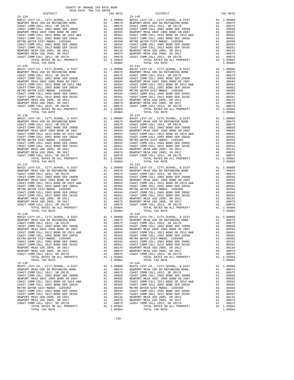| DISTRICT   | AUIU-AUIS INA IAA NAIBU<br>TAX RATE | DISTRICT                                                                                                                                                                                                                                                                                      | TAX RATE |
|------------|-------------------------------------|-----------------------------------------------------------------------------------------------------------------------------------------------------------------------------------------------------------------------------------------------------------------------------------------------|----------|
| $15 - 134$ |                                     | $15 - 140$                                                                                                                                                                                                                                                                                    |          |
|            |                                     |                                                                                                                                                                                                                                                                                               |          |
|            |                                     |                                                                                                                                                                                                                                                                                               |          |
|            |                                     |                                                                                                                                                                                                                                                                                               |          |
|            |                                     |                                                                                                                                                                                                                                                                                               |          |
|            |                                     |                                                                                                                                                                                                                                                                                               |          |
|            |                                     |                                                                                                                                                                                                                                                                                               |          |
|            |                                     |                                                                                                                                                                                                                                                                                               |          |
|            |                                     |                                                                                                                                                                                                                                                                                               |          |
|            |                                     |                                                                                                                                                                                                                                                                                               |          |
|            |                                     |                                                                                                                                                                                                                                                                                               |          |
|            |                                     |                                                                                                                                                                                                                                                                                               |          |
|            |                                     |                                                                                                                                                                                                                                                                                               |          |
|            |                                     |                                                                                                                                                                                                                                                                                               |          |
|            |                                     |                                                                                                                                                                                                                                                                                               |          |
|            |                                     |                                                                                                                                                                                                                                                                                               |          |
|            |                                     |                                                                                                                                                                                                                                                                                               |          |
|            |                                     |                                                                                                                                                                                                                                                                                               |          |
|            |                                     |                                                                                                                                                                                                                                                                                               |          |
|            |                                     |                                                                                                                                                                                                                                                                                               |          |
|            |                                     |                                                                                                                                                                                                                                                                                               |          |
|            |                                     |                                                                                                                                                                                                                                                                                               |          |
|            |                                     |                                                                                                                                                                                                                                                                                               |          |
|            |                                     |                                                                                                                                                                                                                                                                                               |          |
|            |                                     |                                                                                                                                                                                                                                                                                               |          |
|            |                                     |                                                                                                                                                                                                                                                                                               |          |
|            |                                     |                                                                                                                                                                                                                                                                                               |          |
|            |                                     |                                                                                                                                                                                                                                                                                               |          |
|            |                                     |                                                                                                                                                                                                                                                                                               |          |
|            |                                     |                                                                                                                                                                                                                                                                                               |          |
|            |                                     |                                                                                                                                                                                                                                                                                               |          |
|            |                                     |                                                                                                                                                                                                                                                                                               |          |
|            |                                     |                                                                                                                                                                                                                                                                                               |          |
|            |                                     |                                                                                                                                                                                                                                                                                               |          |
|            |                                     |                                                                                                                                                                                                                                                                                               |          |
|            |                                     |                                                                                                                                                                                                                                                                                               |          |
|            |                                     |                                                                                                                                                                                                                                                                                               |          |
|            |                                     |                                                                                                                                                                                                                                                                                               |          |
|            |                                     | $\begin{tabular}{cccccccc} \textbf{15-146 & $70714$ & $10.9004$ & $1.90004$ & $1.90004$ & $1.90004$ & $1.90004$ & $1.90004$ & $1.90004$ & $1.90004$ & $1.90004$ & $1.90004$ & $1.90004$ & $1.90004$ & $1.90004$ & $1.90004$ & $1.90004$ & $1.90004$ & $1.90004$ & $1.90004$ & $1.90004$ & $1$ |          |
|            |                                     |                                                                                                                                                                                                                                                                                               |          |
|            |                                     |                                                                                                                                                                                                                                                                                               |          |
|            |                                     |                                                                                                                                                                                                                                                                                               |          |
|            |                                     |                                                                                                                                                                                                                                                                                               |          |
|            |                                     |                                                                                                                                                                                                                                                                                               |          |
|            |                                     |                                                                                                                                                                                                                                                                                               |          |
|            |                                     |                                                                                                                                                                                                                                                                                               |          |
|            |                                     |                                                                                                                                                                                                                                                                                               |          |
|            |                                     |                                                                                                                                                                                                                                                                                               |          |
|            |                                     |                                                                                                                                                                                                                                                                                               |          |
|            |                                     |                                                                                                                                                                                                                                                                                               |          |
|            |                                     |                                                                                                                                                                                                                                                                                               |          |
|            |                                     |                                                                                                                                                                                                                                                                                               |          |
|            |                                     | $\begin{tabular}{c c c c c c c} \hline 15-138 & 15-14 & 15-144 & 15-144 & 15-144 & 15-144 & 15-144 & 15-144 & 15-144 & 15-144 & 15-144 & 15-144 & 15-144 & 15-144 & 15-144 & 15-144 & 15-144 & 15-144 & 15-144 & 15-144 & 15-144 & 15-144 & 15-144 & 15-144 & 15-14$                          |          |
|            |                                     |                                                                                                                                                                                                                                                                                               |          |
|            |                                     |                                                                                                                                                                                                                                                                                               |          |
|            |                                     |                                                                                                                                                                                                                                                                                               |          |
|            |                                     |                                                                                                                                                                                                                                                                                               |          |
|            |                                     |                                                                                                                                                                                                                                                                                               |          |
|            |                                     |                                                                                                                                                                                                                                                                                               |          |
|            |                                     |                                                                                                                                                                                                                                                                                               |          |
|            |                                     |                                                                                                                                                                                                                                                                                               |          |
|            |                                     |                                                                                                                                                                                                                                                                                               |          |
|            |                                     |                                                                                                                                                                                                                                                                                               |          |
|            |                                     |                                                                                                                                                                                                                                                                                               |          |
|            |                                     |                                                                                                                                                                                                                                                                                               |          |
| $15 - 139$ |                                     | $15 - 145$                                                                                                                                                                                                                                                                                    |          |
|            |                                     |                                                                                                                                                                                                                                                                                               |          |
|            |                                     |                                                                                                                                                                                                                                                                                               |          |
|            |                                     |                                                                                                                                                                                                                                                                                               |          |
|            |                                     |                                                                                                                                                                                                                                                                                               |          |
|            |                                     |                                                                                                                                                                                                                                                                                               |          |
|            |                                     |                                                                                                                                                                                                                                                                                               |          |
|            |                                     |                                                                                                                                                                                                                                                                                               |          |
|            |                                     |                                                                                                                                                                                                                                                                                               |          |
|            |                                     |                                                                                                                                                                                                                                                                                               |          |
|            |                                     |                                                                                                                                                                                                                                                                                               |          |
|            |                                     |                                                                                                                                                                                                                                                                                               |          |
|            |                                     |                                                                                                                                                                                                                                                                                               |          |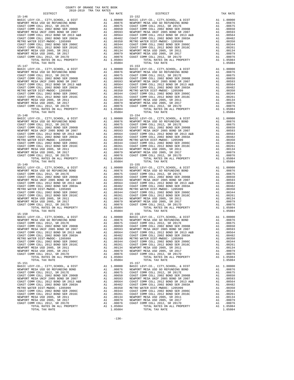| DISTRICT   | SATO-RATA TEW THY KWIFP | TAX RATE | DISTRICT                                                                                                                                                                                                                  | TAX RATE |
|------------|-------------------------|----------|---------------------------------------------------------------------------------------------------------------------------------------------------------------------------------------------------------------------------|----------|
| $15 - 146$ |                         |          | $15 - 152$                                                                                                                                                                                                                |          |
|            |                         |          |                                                                                                                                                                                                                           |          |
|            |                         |          |                                                                                                                                                                                                                           |          |
|            |                         |          |                                                                                                                                                                                                                           |          |
| $15 - 150$ |                         |          | $15 - 156$<br>BASIC LEVY-CO., CITY, SCHOOL, & DIST<br>BASIC LEVY-CO., CITY, SCHOOL, & DIST<br>NEWPORT MESA USD GO REFUNDING BOND A1 .00076 NEWPORT MESA USD GO REFUNDING BOND A1 .00076<br>COAST COMM COLL 2012, SR 2017E |          |
| $15 - 151$ |                         |          | $15 - 157$                                                                                                                                                                                                                |          |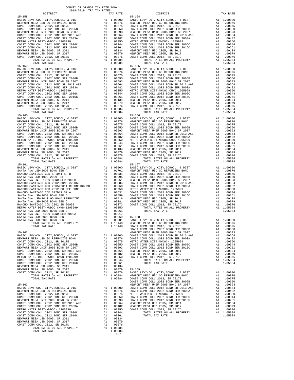NEW MATER LAND THROUGH 2002 BOND SER 2006C A1 .003344<br>
COAST COMM COLL 2012 BOND SER 2016C A1 .00261<br>
NEWPORT MESA USD 2005, SR 2011 A1 .00134<br>
NEWPORT MESA USD 2005, SR 2017 A1 .00079 NEWPORT MESA USD 2005, SR 2017<br>
COAST COMM COLL 2012 SR 2017<br>
COAST COMM COLL 2012 SR 2017D A1 .00076 COAST COMM COLL 2012, SR 2017D A1 .00076<br>
TOTAL RATES ON ALL PROPERTY A1 1.05084<br>
200804 TOTAL TAX RATE

-137-

 DISTRICT TAX RATE DISTRICT TAX RATE 15-158 15-164 BASIC LEVY-CO., CITY,SCHOOL, & DIST A1 1.00000 BASIC LEVY-CO., CITY,SCHOOL, & DIST A1 1.00000 NEWPORT MESA USD GO REFUNDING BOND A1 .00876 NEWPORT MESA USD GO REFUNDING BOND A1 .00876 COAST COMM COLL 2012, SR 2017E A1 .00675 COAST COMM COLL 2012, SR 2017E A1 .00675 COAST COMM COLL 2002 BOND SER 2006B A1 .00650 COAST COMM COLL 2002 BOND SER 2006B A1 .00650 NEWPORT MESA UNIF 2005 BOND SR 2007 A1 .00593 NEWPORT MESA UNIF 2005 BOND SR 2007 A1 .00593 COAST COMM COLL 2012 BOND SR 2013 A&B A1 .00564 COAST COMM COLL 2012 BOND SR 2013 A&B A1 .00564 COAST COMM COLL 2002 BOND SER 2003A A1 .00482 COAST COMM COLL 2002 BOND SER 2003A A1 .00482 METRO WATER DIST-MWDOC- 1205999 A1 .00350 METRO WATER DIST-MWDOC- 1205999 A1 .00350 COAST COMM COLL 2002 BOND SER 2006C A1 .00344 COAST COMM COLL 2002 BOND SER 2006C A1 .00344 COAST COMM COLL 2012 BOND SER 2016C A1 .00261 COAST COMM COLL 2012 BOND SER 2016C A1 .00261 NEWPORT MESA USD 2005, SR 2011 A1 .00134 NEWPORT MESA USD 2005, SR 2011 A1 .00134 NEWPORT MESA USD 2005, SR 2017 A1 .00079 NEWPORT MESA USD 2005, SR 2017 A1 .00079 COAST COMM COLL 2012, SR 2017D A1 .00076 COAST COMM COLL 2012, SR 2017D A1 .00076 TOTAL RATES ON ALL PROPERTY A1 1.05084 TOTAL RATES ON ALL PROPERTY A1 1.05084 TOTAL TAX RATE 1.05084 TOTAL TAX RATE 1.05084 15-159 15-165 BASIC LEVY-CO., CITY,SCHOOL, & DIST A1 1.00000 BASIC LEVY-CO., CITY,SCHOOL, & DIST A1 1.00000 NEWPORT MESA USD GO REFUNDING BOND A1 .00876 NEWPORT MESA USD GO REFUNDING BOND A1 .00876 COAST COMM COLL 2012, SR 2017E A1 .00675 COAST COMM COLL 2012, SR 2017E A1 .00675 COAST COMM COLL 2002 BOND SER 2006B A1 .00650 COAST COMM COLL 2002 BOND SER 2006B A1 .00650 NEWPORT MESA UNIF 2005 BOND SR 2007<br>
COAST COMM COLL 2012 BOND SR 2013<br>
COAST COMM COLL 2012 BOND SR 2013<br>
COAST COMM COLL 2002 BOND SR 2013<br>
METRO WATER DIST -MVDOC- 12002 BOND SR 2013<br>
METRO WATER DIST -MVDOC - 12002 BON ABANCOL 2012, SR 2017D<br>
COAST COMM COLL 2012, SR 2017D<br>
TOTAL RATES ON ALL PROPERTY<br>
TOTAL RATES ON ALL PROPERTY<br>
TOTAL RATES ON ALL PROPERTY<br>
TOTAL RATES ON ALL PROPERTY<br>
TOTAL RATES ON ALL PROPERTY<br>
TOTAL RATES ON A COLL BASIC LEVY-CO., CITY,SCHOOL, & DIST A1 1.00000 BASIC LEVY-CO., CITY,SCHOOL, & DIST A1 1.00000 NEWPORT MESA USD GO REFUNDING BOND A1 .00876 NEWPORT MESA USD GO REFUNDING BOND A1 .00876 COAST COMM COLL 2012, SR 2017E A1 .00675 COAST COMM COLL 2012, SR 2017E A1 .00675 COAST COMM COLL 2002 BOND SER 2006B A1 .00650 COAST COMM COLL 2002 BOND SER 2006B A1 .00650 NEWPORT MESA UNIF 2005 BOND SR 2007 A1 .00593 NEWPORT MESA UNIF 2005 BOND SR 2007 A1 .00593 COAST COMM COLL 2012 BOND SR 2013 A&B A1 .00564 COAST COMM COLL 2012 BOND SR 2013 A&B A1 .00564<br>COAST COMM COLL 2012 BOND SR 2013 A&B A1 .00482 COAST COMM COLL 2002 BOND SR 2013 A&B A1 .00482<br>METRO MATRE DIST\_MMIDOC CMMD-1  $\begin{tabular}{ c| c| c|c|c|c|c|c} \hline \texttt{COAST COMM COLL 2002 BOND SER 2003A} & \texttt{A1} & .00482 & \texttt{COAST COMM COLL 2002 BOND SER 2003A} & \texttt{A1} & .00482 \\ \hline \texttt{METRO WATER DIST-MWDOC CMWD-1205999} & \texttt{A1} & .00350 & \texttt{METRO WATER DIST-MWDOC CMWD-1205999} & \texttt{A1} & .00350 \\ \hline \texttt{COAST COMM COLL 2012 BOND SER$  ${\small \begin{tabular}{l|c|c|c|c|c|c} \hline 15-161 & 15-167 & 15-167 \\ \hline BAST & BAST & BIST & BIST \\ \hline RANTA & NN & SID-2008 & BOND SER A & A1 & 1.00000 & BAST \\ \hline RANTA & NN & SID-2008 & BOND SER A & A1 & .01701 & NENPORT MESA USD GO REFUNDING BOND & A1 & .00876 \\ \hline RANCHO SANTIAGO CCD SET DHF1 SR B & A1 & .01031 & COAST COMM COLL 2012, SR 2017E & A1 & .00676 \\$  RANCHO SANTIAGO CCD 2002 BOND #2006C A1 .00884 COAST COMM COLL 2012 BOND SR 2013 A&B A1 .00564 RANCHO SANTIAGO CCD 2005+2011 REFUNDING BD A1 .00868 COAST COMM COLL 2002 BOND SER 2003A A1 .00482  $\begin{tabular}{l|c|c|c|c|c} \multicolumn{1}{c}{\textbf{RMCHO}} \multicolumn{1}{c}{\textbf{SANTIAGO}} \multicolumn{1}{c}{\textbf{COD}} \multicolumn{1}{c}{\textbf{CADC}} \multicolumn{1}{c}{\textbf{RMCHO}} \multicolumn{1}{c}{\textbf{SANTIAGO}} \multicolumn{1}{c}{\textbf{COD}} \multicolumn{1}{c}{\textbf{CADC}} \multicolumn{1}{c}{\textbf{RMCHO}} \multicolumn{1}{c}{\textbf{RMCHO}} \multicolumn{1}{c}{\textbf{SANTIAGO}} \multicolumn{1}{c}{\text$  TOTAL RATES ON ALL PROPERTY A1 1.10448 NEWPORT MESA USD GO REFUNDING BOND A1 .00876 0751. 10448 COAST COMM COLL 2012, SR 2017E 1.1047 A1 .00675<br>1.10448 COAST COMM COLL 2002 BOND SER 2006B AND SR 2006B .<br>1.00593 00593 NEWPORT MESA UNIF 2005 BOND SR 2007 BASIC LEVY-CO., CITY,SCHOOL, & DIST A1 1.00000 COAST COMM COLL 2012 BOND SR 2013 A&B A1 .00564 NEWPORT MESA USD GO REFUNDING BOND A1 .00876 COAST COMM COLL 2002 BOND SER 2003A A1 .00482 COAST COMM COLL 2012, SR 2017E A1 .00675 METRO WATER DIST-MWDOC- 1205999 A1 .00350 COAST COMM COLL 2002 BOND SER 2006B A1 .00650 COAST COMM COLL 2002 BOND SER 2006C A1 .00344 NEWPORT MESA UNIF 2005 BOND SR 2007 A1 .00593 COAST COMM COLL 2012 BOND SER 2016C A1 .00261 COAST COMM COLL 2012 BOND SR 2013 A&B A1 .00564 NEWPORT MESA USD 2005, SR 2011 A1 .00134 COAST COMM COLL 2002 BOND SER 2003A A1 .00482 NEWPORT MESA USD 2005, SR 2017 A1 .00079 METRO WATER DIST-MWDOC CMWD-1205999 A1 .00350 COAST COMM COLL 2012, SR 2017D A1 .00076 COAST COMM COLL 2002 BOND SER 2006C A1 .00344 TOTAL RATES ON ALL PROPERTY A1 1.05084 COAST COMM COLL 2012 BOND SER 2016C A1 .00261 TOTAL TAX RATE 1.05084 NEWPORT MESA USD 2005, SR 2011 A1 .00134 NEWPORT MESA USD 2005, SR 2017 A1 .00079 15-169 COAST COMM COLL 2012, SR 2017D A1 .00076 BASIC LEVY-CO., CITY,SCHOOL, & DIST A1 1.00000 TOTAL RATES ON ALL PROPERTY A1 1.05084 NEWPORT MESA USD GO REFUNDING BOND A1 .00876 TOTAL TAX RATE 1.05084 COAST COMM COLL 2012, SR 2017E A1 .00675 COAST COMM COLL 2012, SR 2017E<br>
TOTAL TAX RATE<br>
1.00675<br>
TOTAL TAX RATE<br>
1.00675<br>
NASIC LEVY-CO., CITY, SCHOOL, & DIST<br>
NASIC LEVY-CO., CITY, SCHOOL, & DIST<br>
2015 A1 1.00000 COAST COMM COLL 2012 BOND SR 2017<br>
NASIC LEVY-CO 1636 NEWPORT MESA UNIF 2005 BOND SR 2007 A1 .00000 NEWPORT MESA UNIF 2005 BOND SR 2007 A1 .00593 BASIC LEVY-CO., CITY, SCHOOL, & DIST<br>NEWPORT MESA USD ON BOND BOND AT 1.00000 COAST COMM COLL 2002 BOND SER 2003A A1 .00564<br>COAST COMM COLL 2002 BOND A1 .00870 A1 .00675 METRO WATER DIST-MWDOC- 1205999 A1 .00482<br>COAST COMM NEWPORT MESA UNIF 2005 BOND SR 2007 A1 .00593 COAST COMM COLL 2012 BOND SER 2016C A1 .00261 COAST COMM COLL 2012 BOND SR 2013 A&B A1 .00564 NEWPORT MESA USD 2005, SR 2011 A1 .00134 COAST COMM COLL 2002 BOND SER 2003A A1 .00482 NEWPORT MESA USD 2005, SR 2017 A1 .00079 00076. METRO WATER DIST-MWDOC-1205999 (A1 00350 COAST COMM COLL 2012, SR 2017D<br>COAST COMM COLL 2006 (A1 00344 100344 TATES ON ALL PROPERTY A1 1.05084<br>COAST COMM COLL 2012 BOND SER 2016C (A1 .00261 TOTAL TAX RATE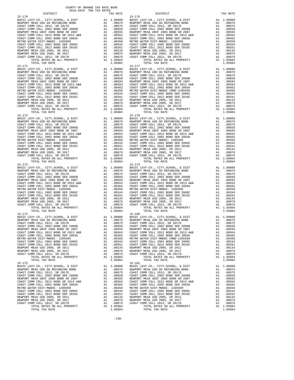| DISTRICT   | SATO-RATA TEW THY KWIFP | TAX RATE | DISTRICT                                                                                                                                                                                                                       | TAX RATE |
|------------|-------------------------|----------|--------------------------------------------------------------------------------------------------------------------------------------------------------------------------------------------------------------------------------|----------|
| $15 - 170$ |                         |          | $15 - 176$                                                                                                                                                                                                                     |          |
|            |                         |          |                                                                                                                                                                                                                                |          |
|            |                         |          |                                                                                                                                                                                                                                |          |
|            |                         |          |                                                                                                                                                                                                                                |          |
|            |                         |          |                                                                                                                                                                                                                                |          |
|            |                         |          |                                                                                                                                                                                                                                |          |
|            |                         |          |                                                                                                                                                                                                                                |          |
|            |                         |          |                                                                                                                                                                                                                                |          |
|            |                         |          |                                                                                                                                                                                                                                |          |
|            |                         |          |                                                                                                                                                                                                                                |          |
|            |                         |          |                                                                                                                                                                                                                                |          |
|            |                         |          |                                                                                                                                                                                                                                |          |
|            |                         |          |                                                                                                                                                                                                                                |          |
|            |                         |          |                                                                                                                                                                                                                                |          |
|            |                         |          |                                                                                                                                                                                                                                |          |
|            |                         |          |                                                                                                                                                                                                                                |          |
|            |                         |          |                                                                                                                                                                                                                                |          |
|            |                         |          |                                                                                                                                                                                                                                |          |
|            |                         |          |                                                                                                                                                                                                                                |          |
|            |                         |          |                                                                                                                                                                                                                                |          |
|            |                         |          |                                                                                                                                                                                                                                |          |
|            |                         |          |                                                                                                                                                                                                                                |          |
|            |                         |          |                                                                                                                                                                                                                                |          |
|            |                         |          |                                                                                                                                                                                                                                |          |
|            |                         |          |                                                                                                                                                                                                                                |          |
|            |                         |          |                                                                                                                                                                                                                                |          |
|            |                         |          |                                                                                                                                                                                                                                |          |
|            |                         |          |                                                                                                                                                                                                                                |          |
|            |                         |          |                                                                                                                                                                                                                                |          |
|            |                         |          |                                                                                                                                                                                                                                |          |
|            |                         |          |                                                                                                                                                                                                                                |          |
|            |                         |          |                                                                                                                                                                                                                                |          |
|            |                         |          |                                                                                                                                                                                                                                |          |
|            |                         |          |                                                                                                                                                                                                                                |          |
|            |                         |          |                                                                                                                                                                                                                                |          |
|            |                         |          |                                                                                                                                                                                                                                |          |
|            |                         |          |                                                                                                                                                                                                                                |          |
|            |                         |          |                                                                                                                                                                                                                                |          |
|            |                         |          |                                                                                                                                                                                                                                |          |
|            |                         |          |                                                                                                                                                                                                                                |          |
|            |                         |          |                                                                                                                                                                                                                                |          |
|            |                         |          |                                                                                                                                                                                                                                |          |
|            |                         |          |                                                                                                                                                                                                                                |          |
|            |                         |          |                                                                                                                                                                                                                                |          |
|            |                         |          |                                                                                                                                                                                                                                |          |
|            |                         |          |                                                                                                                                                                                                                                |          |
|            |                         |          |                                                                                                                                                                                                                                |          |
|            |                         |          |                                                                                                                                                                                                                                |          |
|            |                         |          |                                                                                                                                                                                                                                |          |
|            |                         |          |                                                                                                                                                                                                                                |          |
|            |                         |          |                                                                                                                                                                                                                                |          |
|            |                         |          |                                                                                                                                                                                                                                |          |
|            |                         |          |                                                                                                                                                                                                                                |          |
| $15 - 174$ |                         |          | $15 - 180$                                                                                                                                                                                                                     |          |
|            |                         |          | 1.00000 15H (2000), A DIST Al 1.00000 15H (2000), A DIST AL 1.00000 15H (2000), A DIST AL 1.00000 16H (2000), A DIST AL 1.00000 16H (2000) 2012, SR (2000) 16H (2000) 2012, SR (2000) 2013 (2000) 16H (2000) 2012, SR (2000) 2 |          |
|            |                         |          |                                                                                                                                                                                                                                |          |
|            |                         |          |                                                                                                                                                                                                                                |          |
|            |                         |          |                                                                                                                                                                                                                                |          |
|            |                         |          |                                                                                                                                                                                                                                |          |
|            |                         |          |                                                                                                                                                                                                                                |          |
|            |                         |          |                                                                                                                                                                                                                                |          |
|            |                         |          |                                                                                                                                                                                                                                |          |
|            |                         |          |                                                                                                                                                                                                                                |          |
|            |                         |          |                                                                                                                                                                                                                                |          |
|            |                         |          |                                                                                                                                                                                                                                |          |
|            |                         |          |                                                                                                                                                                                                                                |          |
| $15 - 175$ |                         |          | $15 - 181$                                                                                                                                                                                                                     |          |
|            |                         |          |                                                                                                                                                                                                                                |          |
|            |                         |          |                                                                                                                                                                                                                                |          |
|            |                         |          |                                                                                                                                                                                                                                |          |
|            |                         |          |                                                                                                                                                                                                                                |          |
|            |                         |          |                                                                                                                                                                                                                                |          |
|            |                         |          |                                                                                                                                                                                                                                |          |
|            |                         |          |                                                                                                                                                                                                                                |          |
|            |                         |          |                                                                                                                                                                                                                                |          |
|            |                         |          |                                                                                                                                                                                                                                |          |
|            |                         |          |                                                                                                                                                                                                                                |          |
|            |                         |          |                                                                                                                                                                                                                                |          |
|            |                         |          |                                                                                                                                                                                                                                |          |
|            |                         |          |                                                                                                                                                                                                                                |          |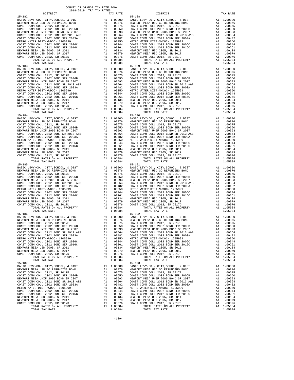|            | DISTRICT       | COTO-TAT TEW THY LUTO | TAX RATE | DISTRICT                     | TAX RATE |
|------------|----------------|-----------------------|----------|------------------------------|----------|
| $15 - 182$ |                |                       |          | $15 - 188$                   |          |
|            |                |                       |          |                              |          |
|            |                |                       |          |                              |          |
|            |                |                       |          |                              |          |
| $15 - 186$ | TOTAL TAX RATE |                       | 1.05084  | $15 - 192$<br>TOTAL TAX RATE | 1.05084  |
| $15 - 187$ |                |                       |          | $15 - 193$                   |          |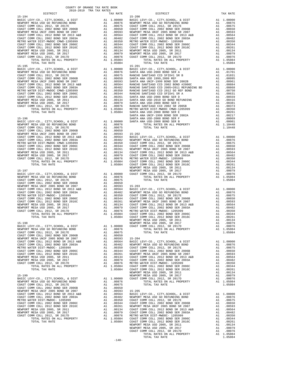| NEWPORT MESA USD 2005, SR 2011        | A1                                                                                                                                                                                                                            | .00134     | COAST C        |
|---------------------------------------|-------------------------------------------------------------------------------------------------------------------------------------------------------------------------------------------------------------------------------|------------|----------------|
| NEWPORT MESA USD 2005, SR 2017        | A1                                                                                                                                                                                                                            | .00079     | COAST C        |
| COAST COMM COLL 2012, SR 2017D        |                                                                                                                                                                                                                               | A1.00076   | METRO W        |
| TOTAL RATES ON ALL PROPERTY           |                                                                                                                                                                                                                               | A1 1.05084 | COAST C        |
| TOTAL TAX RATE                        |                                                                                                                                                                                                                               | 1.05084    | COAST C        |
|                                       |                                                                                                                                                                                                                               |            | NEWPORT        |
| $15 - 199$                            |                                                                                                                                                                                                                               |            | NEWPORT        |
| BASIC LEVY-CO., CITY, SCHOOL, & DIST  | A1 1.00000                                                                                                                                                                                                                    |            | COAST C        |
| NEWPORT MESA USD GO REFUNDING BOND    | A1 and a set of the set of the set of the set of the set of the set of the set of the set of the set of the set of the set of the set of the set of the set of the set of the set of the set of the set of the set of the set | .00876     |                |
| COAST COMM COLL 2012. SR 2017E        | A1                                                                                                                                                                                                                            | .00675     |                |
| COAST COMM COLL 2002 BOND SER 2006B   | A1                                                                                                                                                                                                                            | .00650     |                |
| NEWPORT MESA UNIF 2005 BOND SR 2007   | A1                                                                                                                                                                                                                            | .00593     | 15-205         |
| COAST COMM COLL 2012 BOND SR 2013 A&B | A1                                                                                                                                                                                                                            | .00564     | <b>BASIC L</b> |
| COAST COMM COLL 2002 BOND SER 2003A   | A1                                                                                                                                                                                                                            | .00482     | NEWPORT        |
| METRO WATER DIST-MWDOC- 1205999       | A1                                                                                                                                                                                                                            | .00350     | COAST C        |
| COAST COMM COLL 2002 BOND SER 2006C   | A1                                                                                                                                                                                                                            | .00344     | COAST C        |
| COAST COMM COLL 2012 BOND SER 2016C   | A1                                                                                                                                                                                                                            | .00261     | NEWPORT        |
| NEWPORT MESA USD 2005, SR 2011        | A1                                                                                                                                                                                                                            | .00134     | COAST C        |
| NEWPORT MESA USD 2005, SR 2017        | A1                                                                                                                                                                                                                            | .00079     | COAST C        |
| COAST COMM COLL 2012, SR 2017D        |                                                                                                                                                                                                                               | A1.00076   | METRO W        |
| TOTAL RATES ON ALL PROPERTY           | A1                                                                                                                                                                                                                            | 1.05084    | COAST C        |
| TOTAL TAX RATE                        |                                                                                                                                                                                                                               | 1.05084    | COAST C        |
|                                       |                                                                                                                                                                                                                               |            |                |

 $-140-$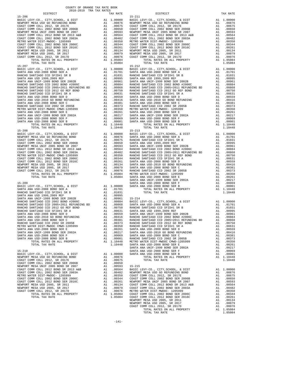| COUNTY OF ORANGE TAX RATE BOOK<br>2018-2019 TRA TAX RATES                                                                                                                                                                                                                                              |          |                                                                                  |                    |
|--------------------------------------------------------------------------------------------------------------------------------------------------------------------------------------------------------------------------------------------------------------------------------------------------------|----------|----------------------------------------------------------------------------------|--------------------|
| DISTRICT                                                                                                                                                                                                                                                                                               |          | TAX RATE                                                                         |                    |
| $15 - 206$                                                                                                                                                                                                                                                                                             |          |                                                                                  | $15 - 211$         |
|                                                                                                                                                                                                                                                                                                        |          |                                                                                  |                    |
|                                                                                                                                                                                                                                                                                                        |          |                                                                                  |                    |
|                                                                                                                                                                                                                                                                                                        |          |                                                                                  |                    |
|                                                                                                                                                                                                                                                                                                        |          |                                                                                  |                    |
|                                                                                                                                                                                                                                                                                                        |          |                                                                                  |                    |
|                                                                                                                                                                                                                                                                                                        |          |                                                                                  |                    |
|                                                                                                                                                                                                                                                                                                        |          |                                                                                  |                    |
|                                                                                                                                                                                                                                                                                                        |          |                                                                                  |                    |
|                                                                                                                                                                                                                                                                                                        |          |                                                                                  |                    |
|                                                                                                                                                                                                                                                                                                        |          |                                                                                  |                    |
|                                                                                                                                                                                                                                                                                                        |          |                                                                                  |                    |
| TOTAL TAX RATE                                                                                                                                                                                                                                                                                         |          | 1.05084                                                                          |                    |
| $15 - 207$                                                                                                                                                                                                                                                                                             |          |                                                                                  | $15 - 212$         |
|                                                                                                                                                                                                                                                                                                        |          |                                                                                  |                    |
|                                                                                                                                                                                                                                                                                                        |          |                                                                                  |                    |
|                                                                                                                                                                                                                                                                                                        |          |                                                                                  |                    |
|                                                                                                                                                                                                                                                                                                        |          |                                                                                  |                    |
|                                                                                                                                                                                                                                                                                                        |          |                                                                                  |                    |
|                                                                                                                                                                                                                                                                                                        |          |                                                                                  |                    |
|                                                                                                                                                                                                                                                                                                        |          |                                                                                  |                    |
|                                                                                                                                                                                                                                                                                                        |          |                                                                                  |                    |
|                                                                                                                                                                                                                                                                                                        |          |                                                                                  |                    |
|                                                                                                                                                                                                                                                                                                        |          |                                                                                  |                    |
|                                                                                                                                                                                                                                                                                                        |          |                                                                                  |                    |
|                                                                                                                                                                                                                                                                                                        |          |                                                                                  |                    |
|                                                                                                                                                                                                                                                                                                        |          |                                                                                  |                    |
|                                                                                                                                                                                                                                                                                                        |          |                                                                                  |                    |
|                                                                                                                                                                                                                                                                                                        |          | A1 1.10448                                                                       |                    |
| KANCHO SANTIAGO CCD 2002 SR 2005B<br>METRO WATER DIST-MWDOC CMWD-1205999<br>SANTA ANA USD-2008 BOND SER E<br>SANTA ANA USD-2008 BOND SER 2002A<br>SANTA ANA USD-2008 BOND SER F<br>SANTA ANA USD-2008 BOND SER F<br>SANTA ANA USD-2008 BOND SER                                                        |          | 1.10448                                                                          |                    |
| $15 - 208$                                                                                                                                                                                                                                                                                             |          |                                                                                  | $15 - 213$         |
|                                                                                                                                                                                                                                                                                                        |          |                                                                                  |                    |
|                                                                                                                                                                                                                                                                                                        |          |                                                                                  |                    |
|                                                                                                                                                                                                                                                                                                        |          |                                                                                  |                    |
|                                                                                                                                                                                                                                                                                                        |          |                                                                                  |                    |
|                                                                                                                                                                                                                                                                                                        |          |                                                                                  |                    |
|                                                                                                                                                                                                                                                                                                        |          |                                                                                  |                    |
|                                                                                                                                                                                                                                                                                                        |          |                                                                                  |                    |
|                                                                                                                                                                                                                                                                                                        |          |                                                                                  |                    |
|                                                                                                                                                                                                                                                                                                        |          |                                                                                  |                    |
|                                                                                                                                                                                                                                                                                                        |          |                                                                                  |                    |
|                                                                                                                                                                                                                                                                                                        |          |                                                                                  |                    |
|                                                                                                                                                                                                                                                                                                        |          |                                                                                  |                    |
|                                                                                                                                                                                                                                                                                                        |          |                                                                                  | SANTA A            |
| $15 - 209$                                                                                                                                                                                                                                                                                             |          |                                                                                  | SANTA A            |
| BASIC LEVY-CO., CITY, SCHOOL, & DIST $\begin{bmatrix} 1.00000 & 0.0000 \\ 0.00000 & 0.0000 \\ 0.00000 & 0.0000 \\ 0.00000 & 0.0000 \\ 0.00000 & 0.0000 \\ 0.00000 & 0.0000 \\ 0.00000 & 0.0000 \\ 0.00000 & 0.0000 \\ 0.00000 & 0.0000 \\ 0.00000 & 0.0000 \\ 0.0000$<br>SANTA ANA USD-2008 BOND SER A |          | A1 .01701                                                                        |                    |
| RANCHO SANTIAGO CCD SFID#1 SR B                                                                                                                                                                                                                                                                        |          | A1 .01031                                                                        |                    |
|                                                                                                                                                                                                                                                                                                        |          |                                                                                  |                    |
|                                                                                                                                                                                                                                                                                                        |          |                                                                                  |                    |
|                                                                                                                                                                                                                                                                                                        |          |                                                                                  |                    |
|                                                                                                                                                                                                                                                                                                        |          |                                                                                  |                    |
|                                                                                                                                                                                                                                                                                                        |          |                                                                                  |                    |
|                                                                                                                                                                                                                                                                                                        |          |                                                                                  |                    |
|                                                                                                                                                                                                                                                                                                        |          |                                                                                  |                    |
| RANCHO SANTIAGO CCD 2002 SR 2005B                                                                                                                                                                                                                                                                      | A1       | .00373                                                                           | RANCHO             |
| METRO WATER DIST-MWDOC CMWD-1205999                                                                                                                                                                                                                                                                    | A1       | .00350                                                                           | RANCHO             |
| SANTA ANA USD-2008 BOND SER E                                                                                                                                                                                                                                                                          | A1       | .00261                                                                           | SANTA A            |
| SANTA ANA UNIF-1999 BOND SER 2002A                                                                                                                                                                                                                                                                     | A1       | .00217                                                                           | SANTA A            |
| SANTA ANA USD-2008 BOND SER F<br>SANTA ANA USD-2008 BOND SER B                                                                                                                                                                                                                                         | A1<br>A1 | .00069<br>.00001                                                                 | SANTA A<br>RANCHO  |
| TOTAL RATES ON ALL PROPERTY                                                                                                                                                                                                                                                                            |          | A1 1.10448                                                                       | METRO W            |
| TOTAL TAX RATE                                                                                                                                                                                                                                                                                         |          | 1.10448                                                                          | SANTA A            |
|                                                                                                                                                                                                                                                                                                        |          |                                                                                  | SANTA A            |
| $15 - 210$                                                                                                                                                                                                                                                                                             | A1       |                                                                                  | SANTA A            |
| BASIC LEVY-CO., CITY, SCHOOL, & DIST<br>NEWPORT MESA USD GO REFUNDING BOND                                                                                                                                                                                                                             | A1       | 1.00000<br>.00876                                                                | SANTA A            |
| COAST COMM COLL 2012, SR 2017E                                                                                                                                                                                                                                                                         | A1       | .00675                                                                           |                    |
| COAST COMM COLL 2002 BOND SER 2006B                                                                                                                                                                                                                                                                    | A1       | .00650                                                                           |                    |
| NEWPORT MESA UNIF 2005 BOND SR 2007                                                                                                                                                                                                                                                                    | A1       | .00593                                                                           | 15-215<br>BASIC L  |
| COAST COMM COLL 2012 BOND SR 2013 A&B<br>COAST COMM COLL 2002 BOND SER 2003A                                                                                                                                                                                                                           | A1       | .00564                                                                           |                    |
| METRO WATER DIST-MWDOC- 1205999                                                                                                                                                                                                                                                                        |          | A1 .00482 NEWPORT<br>A1 .00350 COAST C<br>A1 .00344 COAST C<br>A1 .00261 NEWPORT |                    |
| COAST COMM COLL 2002 BOND SER 2006C                                                                                                                                                                                                                                                                    |          |                                                                                  |                    |
| COAST COMM COLL 2012 BOND SER 2016C                                                                                                                                                                                                                                                                    |          |                                                                                  |                    |
| NEWPORT MESA USD 2005, SR 2011                                                                                                                                                                                                                                                                         | A1<br>A1 | .00134<br>.00079                                                                 | COAST C<br>COAST C |
| NEWPORT MESA USD 2005, SR 2017<br>COAST COMM COLL 2012, SR 2017D                                                                                                                                                                                                                                       | A1       |                                                                                  | .00076 METRO W     |

| 2018-2019 TRA TAX RATES                                                                                                                                                                                                                    |          |            |          |
|--------------------------------------------------------------------------------------------------------------------------------------------------------------------------------------------------------------------------------------------|----------|------------|----------|
| DISTRICT                                                                                                                                                                                                                                   | TAX RATE | DISTRICT   | TAX RATE |
| $15 - 206$                                                                                                                                                                                                                                 |          | $15 - 211$ |          |
|                                                                                                                                                                                                                                            |          |            |          |
|                                                                                                                                                                                                                                            |          |            |          |
|                                                                                                                                                                                                                                            |          |            |          |
|                                                                                                                                                                                                                                            |          |            |          |
|                                                                                                                                                                                                                                            |          |            |          |
|                                                                                                                                                                                                                                            |          |            |          |
|                                                                                                                                                                                                                                            |          |            |          |
|                                                                                                                                                                                                                                            |          |            |          |
|                                                                                                                                                                                                                                            |          |            |          |
|                                                                                                                                                                                                                                            |          |            |          |
|                                                                                                                                                                                                                                            |          |            |          |
|                                                                                                                                                                                                                                            |          |            |          |
|                                                                                                                                                                                                                                            |          |            |          |
|                                                                                                                                                                                                                                            |          |            |          |
|                                                                                                                                                                                                                                            |          |            |          |
|                                                                                                                                                                                                                                            |          |            |          |
|                                                                                                                                                                                                                                            |          |            |          |
|                                                                                                                                                                                                                                            |          |            |          |
|                                                                                                                                                                                                                                            |          |            |          |
|                                                                                                                                                                                                                                            |          |            |          |
|                                                                                                                                                                                                                                            |          |            |          |
|                                                                                                                                                                                                                                            |          |            |          |
|                                                                                                                                                                                                                                            |          |            |          |
|                                                                                                                                                                                                                                            |          |            |          |
|                                                                                                                                                                                                                                            |          |            |          |
|                                                                                                                                                                                                                                            |          |            |          |
|                                                                                                                                                                                                                                            |          |            |          |
|                                                                                                                                                                                                                                            |          |            |          |
|                                                                                                                                                                                                                                            |          |            |          |
|                                                                                                                                                                                                                                            |          |            |          |
|                                                                                                                                                                                                                                            |          |            |          |
|                                                                                                                                                                                                                                            |          |            |          |
|                                                                                                                                                                                                                                            |          |            |          |
|                                                                                                                                                                                                                                            |          |            |          |
|                                                                                                                                                                                                                                            |          |            |          |
|                                                                                                                                                                                                                                            |          |            |          |
|                                                                                                                                                                                                                                            |          |            |          |
|                                                                                                                                                                                                                                            |          |            |          |
|                                                                                                                                                                                                                                            |          |            |          |
|                                                                                                                                                                                                                                            |          |            |          |
|                                                                                                                                                                                                                                            |          |            |          |
|                                                                                                                                                                                                                                            |          |            |          |
|                                                                                                                                                                                                                                            |          |            |          |
|                                                                                                                                                                                                                                            |          |            |          |
|                                                                                                                                                                                                                                            |          |            |          |
|                                                                                                                                                                                                                                            |          |            |          |
|                                                                                                                                                                                                                                            |          |            |          |
|                                                                                                                                                                                                                                            |          |            |          |
|                                                                                                                                                                                                                                            |          |            |          |
|                                                                                                                                                                                                                                            |          |            |          |
|                                                                                                                                                                                                                                            |          |            |          |
|                                                                                                                                                                                                                                            |          |            |          |
|                                                                                                                                                                                                                                            |          |            |          |
|                                                                                                                                                                                                                                            |          |            |          |
|                                                                                                                                                                                                                                            |          |            |          |
|                                                                                                                                                                                                                                            |          |            |          |
|                                                                                                                                                                                                                                            |          |            |          |
|                                                                                                                                                                                                                                            |          |            |          |
|                                                                                                                                                                                                                                            |          |            |          |
|                                                                                                                                                                                                                                            |          |            |          |
|                                                                                                                                                                                                                                            |          |            |          |
|                                                                                                                                                                                                                                            |          |            |          |
|                                                                                                                                                                                                                                            |          |            |          |
|                                                                                                                                                                                                                                            |          |            |          |
|                                                                                                                                                                                                                                            |          |            |          |
|                                                                                                                                                                                                                                            |          |            |          |
|                                                                                                                                                                                                                                            |          |            |          |
|                                                                                                                                                                                                                                            |          |            |          |
|                                                                                                                                                                                                                                            |          |            |          |
|                                                                                                                                                                                                                                            |          |            |          |
|                                                                                                                                                                                                                                            |          |            |          |
|                                                                                                                                                                                                                                            |          |            |          |
|                                                                                                                                                                                                                                            |          |            |          |
|                                                                                                                                                                                                                                            |          |            |          |
|                                                                                                                                                                                                                                            |          |            |          |
|                                                                                                                                                                                                                                            |          |            |          |
|                                                                                                                                                                                                                                            |          |            |          |
|                                                                                                                                                                                                                                            |          |            |          |
|                                                                                                                                                                                                                                            |          |            |          |
|                                                                                                                                                                                                                                            |          |            |          |
|                                                                                                                                                                                                                                            |          |            |          |
|                                                                                                                                                                                                                                            |          |            |          |
|                                                                                                                                                                                                                                            |          |            |          |
|                                                                                                                                                                                                                                            |          |            |          |
|                                                                                                                                                                                                                                            |          |            |          |
|                                                                                                                                                                                                                                            |          |            |          |
|                                                                                                                                                                                                                                            |          |            |          |
|                                                                                                                                                                                                                                            |          |            |          |
|                                                                                                                                                                                                                                            |          |            |          |
|                                                                                                                                                                                                                                            |          |            |          |
| <b>22.22</b><br><b>EXAMPLE AND RESOLUTION CONTINUOUS CONTINUOUS CONTINUOUS CONTINUOUS CONTINUOUS CONTINUOUS CONTINUOUS CONTINUOUS CONTINUOUS CONTINUOUS CONTINUOUS CONTINUOUS CONTINUOUS CONTINUOUS CONTINUOUS CONTINUOUS CONTINUOUS C</b> |          |            |          |
|                                                                                                                                                                                                                                            |          |            |          |
|                                                                                                                                                                                                                                            |          |            |          |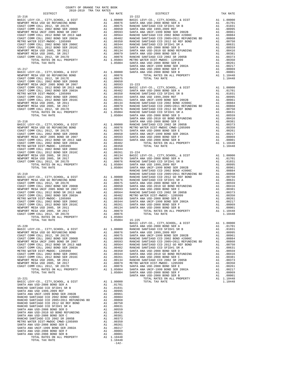| $15 - 217$                                                                                                                                                                                                                                                                                                                                                                                                                                     |    |                                                                                                                    | SANTA A<br>SANTA A |
|------------------------------------------------------------------------------------------------------------------------------------------------------------------------------------------------------------------------------------------------------------------------------------------------------------------------------------------------------------------------------------------------------------------------------------------------|----|--------------------------------------------------------------------------------------------------------------------|--------------------|
| BASIC LEVY-CO., CITY, SCHOOL, & DIST                                                                                                                                                                                                                                                                                                                                                                                                           |    | $\begin{array}{cc}\n\text{A1} & 1.00000 & \text{SANTA A} \\ \text{n1} & \text{OOTA} & \text{SANTA A}\n\end{array}$ |                    |
| COAST COMM COLL 2012, SR 2017E                                                                                                                                                                                                                                                                                                                                                                                                                 |    | A1 .00876<br>A1 .00675                                                                                             |                    |
| COAST COMM COLL 2002 BOND SER 2006B                                                                                                                                                                                                                                                                                                                                                                                                            |    | A1 .00650                                                                                                          |                    |
| NEWPORT MESA UNIF 2005 BOND SR 2007                                                                                                                                                                                                                                                                                                                                                                                                            |    |                                                                                                                    |                    |
| COAST COMM COLL 2012 BOND SR 2013 A&B<br>COAST COMM COLL 2002 BOND SER 2003A                                                                                                                                                                                                                                                                                                                                                                   |    |                                                                                                                    |                    |
| METRO WATER DIST-MWDOC- 1205999                                                                                                                                                                                                                                                                                                                                                                                                                |    |                                                                                                                    |                    |
|                                                                                                                                                                                                                                                                                                                                                                                                                                                |    |                                                                                                                    |                    |
| COAST COMM COLL 2002 BOND SER 2006C<br>COAST COMM COLL 2012 BOND SER 2016C<br>NEWPORT MESA USD 2005. SR 2011                                                                                                                                                                                                                                                                                                                                   |    |                                                                                                                    |                    |
| NEWPORT MESA USD 2005, SR 2017                                                                                                                                                                                                                                                                                                                                                                                                                 |    |                                                                                                                    |                    |
| COAST COMM COLL 2012, SR 2017D                                                                                                                                                                                                                                                                                                                                                                                                                 |    |                                                                                                                    |                    |
|                                                                                                                                                                                                                                                                                                                                                                                                                                                |    |                                                                                                                    |                    |
|                                                                                                                                                                                                                                                                                                                                                                                                                                                |    |                                                                                                                    | SANTA A            |
|                                                                                                                                                                                                                                                                                                                                                                                                                                                |    |                                                                                                                    |                    |
|                                                                                                                                                                                                                                                                                                                                                                                                                                                |    |                                                                                                                    |                    |
|                                                                                                                                                                                                                                                                                                                                                                                                                                                |    |                                                                                                                    |                    |
|                                                                                                                                                                                                                                                                                                                                                                                                                                                |    |                                                                                                                    |                    |
|                                                                                                                                                                                                                                                                                                                                                                                                                                                |    |                                                                                                                    |                    |
|                                                                                                                                                                                                                                                                                                                                                                                                                                                |    |                                                                                                                    |                    |
|                                                                                                                                                                                                                                                                                                                                                                                                                                                |    |                                                                                                                    |                    |
|                                                                                                                                                                                                                                                                                                                                                                                                                                                |    |                                                                                                                    |                    |
|                                                                                                                                                                                                                                                                                                                                                                                                                                                |    |                                                                                                                    |                    |
|                                                                                                                                                                                                                                                                                                                                                                                                                                                |    |                                                                                                                    |                    |
|                                                                                                                                                                                                                                                                                                                                                                                                                                                |    |                                                                                                                    |                    |
|                                                                                                                                                                                                                                                                                                                                                                                                                                                |    |                                                                                                                    | RANCHO             |
|                                                                                                                                                                                                                                                                                                                                                                                                                                                |    |                                                                                                                    |                    |
|                                                                                                                                                                                                                                                                                                                                                                                                                                                |    |                                                                                                                    |                    |
|                                                                                                                                                                                                                                                                                                                                                                                                                                                |    |                                                                                                                    |                    |
|                                                                                                                                                                                                                                                                                                                                                                                                                                                |    |                                                                                                                    |                    |
|                                                                                                                                                                                                                                                                                                                                                                                                                                                |    |                                                                                                                    |                    |
|                                                                                                                                                                                                                                                                                                                                                                                                                                                |    |                                                                                                                    |                    |
|                                                                                                                                                                                                                                                                                                                                                                                                                                                |    |                                                                                                                    |                    |
|                                                                                                                                                                                                                                                                                                                                                                                                                                                |    |                                                                                                                    |                    |
|                                                                                                                                                                                                                                                                                                                                                                                                                                                |    |                                                                                                                    |                    |
|                                                                                                                                                                                                                                                                                                                                                                                                                                                |    |                                                                                                                    |                    |
|                                                                                                                                                                                                                                                                                                                                                                                                                                                |    |                                                                                                                    |                    |
| $\begin{tabular}{ l c c c c} \multicolumn{1}{c}{\textbf{NEWPORT} \hspace{0.5cm} \multicolumn{1}{c}{\textbf{NEWPORT} \hspace{0.5cm} \multicolumn{1}{c}{\textbf{NUSR-NSLO}}}} & \multicolumn{1}{c}{\textbf{NAVCGN}} & \multicolumn{1}{c}{\textbf{RANCG}} \\ \multicolumn{1}{c}{\textbf{NLOR} \hspace{0.5cm} \multicolumn{1}{c}{\textbf{NACG}}}} & \multicolumn{1}{c}{\textbf{NAVCGN}} & \multicolumn{1}{c}{\textbf{NANCG}}} & \multicolumn{1}{c$ |    |                                                                                                                    |                    |
|                                                                                                                                                                                                                                                                                                                                                                                                                                                |    |                                                                                                                    |                    |
|                                                                                                                                                                                                                                                                                                                                                                                                                                                |    |                                                                                                                    |                    |
| BASIC LEVY-CO., CITY, SCHOOL, & DIST A1 1.00000 RANCHO NEWPORT MESA USD GO REFUNDING BOND A1 .00876 SANTA A COAST COMM COLL 2012, SR 2017E                                                                                                                                                                                                                                                                                                     |    |                                                                                                                    |                    |
|                                                                                                                                                                                                                                                                                                                                                                                                                                                |    |                                                                                                                    |                    |
|                                                                                                                                                                                                                                                                                                                                                                                                                                                |    |                                                                                                                    |                    |
|                                                                                                                                                                                                                                                                                                                                                                                                                                                |    |                                                                                                                    |                    |
|                                                                                                                                                                                                                                                                                                                                                                                                                                                |    |                                                                                                                    |                    |
|                                                                                                                                                                                                                                                                                                                                                                                                                                                |    |                                                                                                                    |                    |
|                                                                                                                                                                                                                                                                                                                                                                                                                                                |    |                                                                                                                    |                    |
|                                                                                                                                                                                                                                                                                                                                                                                                                                                |    |                                                                                                                    |                    |
|                                                                                                                                                                                                                                                                                                                                                                                                                                                |    |                                                                                                                    |                    |
|                                                                                                                                                                                                                                                                                                                                                                                                                                                |    |                                                                                                                    |                    |
|                                                                                                                                                                                                                                                                                                                                                                                                                                                |    |                                                                                                                    | SANTA A            |
| $15 - 221$                                                                                                                                                                                                                                                                                                                                                                                                                                     |    |                                                                                                                    |                    |
| BASIC LEVY-CO., CITY, SCHOOL, & DIST<br>SANTA ANA USD-2008 BOND SER A                                                                                                                                                                                                                                                                                                                                                                          |    | A1 1.00000<br>A1.01701                                                                                             |                    |
| RANCHO SANTIAGO CCD SFID#1 SR B                                                                                                                                                                                                                                                                                                                                                                                                                | A1 | .01031                                                                                                             |                    |
|                                                                                                                                                                                                                                                                                                                                                                                                                                                |    | .00995                                                                                                             |                    |
|                                                                                                                                                                                                                                                                                                                                                                                                                                                |    |                                                                                                                    |                    |
|                                                                                                                                                                                                                                                                                                                                                                                                                                                |    |                                                                                                                    |                    |
|                                                                                                                                                                                                                                                                                                                                                                                                                                                |    |                                                                                                                    |                    |
|                                                                                                                                                                                                                                                                                                                                                                                                                                                |    |                                                                                                                    |                    |
|                                                                                                                                                                                                                                                                                                                                                                                                                                                |    |                                                                                                                    |                    |
|                                                                                                                                                                                                                                                                                                                                                                                                                                                |    |                                                                                                                    |                    |
|                                                                                                                                                                                                                                                                                                                                                                                                                                                |    |                                                                                                                    |                    |
|                                                                                                                                                                                                                                                                                                                                                                                                                                                |    |                                                                                                                    |                    |
|                                                                                                                                                                                                                                                                                                                                                                                                                                                |    |                                                                                                                    |                    |
|                                                                                                                                                                                                                                                                                                                                                                                                                                                |    |                                                                                                                    |                    |
|                                                                                                                                                                                                                                                                                                                                                                                                                                                |    |                                                                                                                    |                    |
| TOTAL TAX RATE                                                                                                                                                                                                                                                                                                                                                                                                                                 |    | 1.10448<br>$-142-$                                                                                                 |                    |
|                                                                                                                                                                                                                                                                                                                                                                                                                                                |    |                                                                                                                    |                    |

| DISTRICT | 2018-2019 TRA TAX RATES | TAX RATE | DISTRICT                             | TAX RATE |
|----------|-------------------------|----------|--------------------------------------|----------|
|          |                         |          |                                      |          |
|          |                         |          |                                      |          |
|          |                         |          |                                      |          |
|          |                         |          |                                      |          |
|          |                         |          |                                      |          |
|          |                         |          |                                      |          |
|          |                         |          |                                      |          |
|          |                         |          |                                      |          |
|          |                         |          |                                      |          |
|          |                         |          |                                      |          |
|          |                         |          |                                      |          |
|          |                         |          |                                      |          |
|          |                         |          |                                      |          |
|          |                         |          |                                      |          |
|          |                         |          |                                      |          |
|          |                         |          |                                      |          |
|          |                         |          |                                      |          |
|          |                         |          |                                      |          |
|          |                         |          |                                      |          |
|          |                         |          |                                      |          |
|          |                         |          |                                      |          |
|          |                         |          |                                      |          |
|          |                         |          |                                      |          |
|          |                         |          |                                      |          |
|          |                         |          |                                      |          |
|          |                         |          |                                      |          |
|          |                         |          |                                      |          |
|          |                         |          |                                      |          |
|          |                         |          |                                      |          |
|          |                         |          |                                      |          |
|          |                         |          |                                      |          |
|          |                         |          |                                      |          |
|          |                         |          |                                      |          |
|          |                         |          |                                      |          |
|          |                         |          |                                      |          |
|          |                         |          |                                      |          |
|          |                         |          |                                      |          |
|          |                         |          |                                      |          |
|          |                         |          |                                      |          |
|          |                         |          |                                      |          |
|          |                         |          |                                      |          |
|          |                         |          |                                      |          |
|          |                         |          |                                      |          |
|          |                         |          |                                      |          |
|          |                         |          |                                      |          |
|          |                         |          |                                      |          |
|          |                         |          |                                      |          |
|          |                         |          |                                      |          |
|          |                         |          |                                      |          |
|          |                         |          |                                      |          |
|          |                         |          |                                      |          |
|          |                         |          |                                      |          |
|          |                         |          |                                      |          |
|          |                         |          |                                      |          |
|          |                         |          |                                      |          |
|          |                         |          |                                      |          |
|          |                         |          |                                      |          |
|          |                         |          |                                      |          |
|          |                         |          | BASIC LEVY-CO., CITY, SCHOOL, & DIST |          |
|          |                         |          |                                      |          |
|          |                         |          |                                      |          |
|          |                         |          |                                      |          |
|          |                         |          |                                      |          |
|          |                         |          |                                      |          |
|          |                         |          |                                      |          |
|          |                         |          |                                      |          |
|          |                         |          |                                      |          |
|          |                         |          |                                      |          |
|          |                         |          |                                      |          |
|          |                         |          |                                      |          |
|          |                         |          |                                      |          |
|          |                         |          |                                      |          |
|          |                         |          |                                      |          |
|          |                         |          |                                      |          |
|          |                         |          |                                      |          |
|          |                         |          |                                      |          |
|          |                         |          |                                      |          |
|          |                         |          |                                      |          |
|          |                         |          |                                      |          |
|          |                         |          |                                      |          |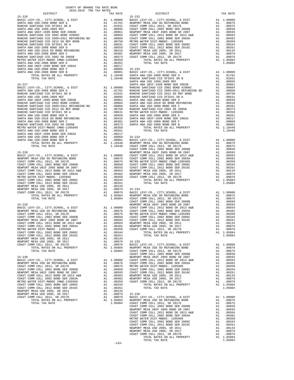| COUNTY OF ORANGE TAX RATE BOOK<br>2018-2019 TRA TAX RATES<br>$\begin{minipage}{.03\linewidth} \begin{tabular}{lcccccc} \multicolumn{2}{c}{\textbf{1.64}\textbf{0}} & \multicolumn{2}{c}{\textbf{1.65}\textbf{0}} & \multicolumn{2}{c}{\textbf{1.66\textbf{0}}} & \multicolumn{2}{c}{\textbf{1.67\textbf{0}}} & \multicolumn{2}{c}{\textbf{1.67\textbf{0}}} & \multicolumn{2}{c}{\textbf{1.67\textbf{0}}} & \multicolumn{2}{c}{\textbf{1.67\textbf{0}}} & \multicolumn{2}{c}{\textbf{1.67\textbf{0}}}$ |          |                                                                                                                                                                                                                                |          |
|-------------------------------------------------------------------------------------------------------------------------------------------------------------------------------------------------------------------------------------------------------------------------------------------------------------------------------------------------------------------------------------------------------------------------------------------------------------------------------------------------------|----------|--------------------------------------------------------------------------------------------------------------------------------------------------------------------------------------------------------------------------------|----------|
|                                                                                                                                                                                                                                                                                                                                                                                                                                                                                                       | TAX RATE | DISTRICT                                                                                                                                                                                                                       | TAX RATE |
|                                                                                                                                                                                                                                                                                                                                                                                                                                                                                                       |          |                                                                                                                                                                                                                                |          |
|                                                                                                                                                                                                                                                                                                                                                                                                                                                                                                       |          |                                                                                                                                                                                                                                |          |
|                                                                                                                                                                                                                                                                                                                                                                                                                                                                                                       |          |                                                                                                                                                                                                                                |          |
|                                                                                                                                                                                                                                                                                                                                                                                                                                                                                                       |          |                                                                                                                                                                                                                                |          |
|                                                                                                                                                                                                                                                                                                                                                                                                                                                                                                       |          |                                                                                                                                                                                                                                |          |
|                                                                                                                                                                                                                                                                                                                                                                                                                                                                                                       |          |                                                                                                                                                                                                                                |          |
|                                                                                                                                                                                                                                                                                                                                                                                                                                                                                                       |          |                                                                                                                                                                                                                                |          |
|                                                                                                                                                                                                                                                                                                                                                                                                                                                                                                       |          |                                                                                                                                                                                                                                |          |
|                                                                                                                                                                                                                                                                                                                                                                                                                                                                                                       |          |                                                                                                                                                                                                                                |          |
|                                                                                                                                                                                                                                                                                                                                                                                                                                                                                                       |          |                                                                                                                                                                                                                                |          |
|                                                                                                                                                                                                                                                                                                                                                                                                                                                                                                       |          |                                                                                                                                                                                                                                |          |
|                                                                                                                                                                                                                                                                                                                                                                                                                                                                                                       |          |                                                                                                                                                                                                                                |          |
|                                                                                                                                                                                                                                                                                                                                                                                                                                                                                                       |          |                                                                                                                                                                                                                                |          |
|                                                                                                                                                                                                                                                                                                                                                                                                                                                                                                       |          |                                                                                                                                                                                                                                |          |
|                                                                                                                                                                                                                                                                                                                                                                                                                                                                                                       |          |                                                                                                                                                                                                                                |          |
|                                                                                                                                                                                                                                                                                                                                                                                                                                                                                                       |          |                                                                                                                                                                                                                                |          |
|                                                                                                                                                                                                                                                                                                                                                                                                                                                                                                       |          |                                                                                                                                                                                                                                |          |
|                                                                                                                                                                                                                                                                                                                                                                                                                                                                                                       |          |                                                                                                                                                                                                                                |          |
|                                                                                                                                                                                                                                                                                                                                                                                                                                                                                                       |          |                                                                                                                                                                                                                                |          |
|                                                                                                                                                                                                                                                                                                                                                                                                                                                                                                       |          |                                                                                                                                                                                                                                |          |
|                                                                                                                                                                                                                                                                                                                                                                                                                                                                                                       |          |                                                                                                                                                                                                                                |          |
|                                                                                                                                                                                                                                                                                                                                                                                                                                                                                                       |          |                                                                                                                                                                                                                                |          |
|                                                                                                                                                                                                                                                                                                                                                                                                                                                                                                       |          |                                                                                                                                                                                                                                |          |
|                                                                                                                                                                                                                                                                                                                                                                                                                                                                                                       |          |                                                                                                                                                                                                                                |          |
|                                                                                                                                                                                                                                                                                                                                                                                                                                                                                                       |          |                                                                                                                                                                                                                                |          |
|                                                                                                                                                                                                                                                                                                                                                                                                                                                                                                       |          |                                                                                                                                                                                                                                |          |
|                                                                                                                                                                                                                                                                                                                                                                                                                                                                                                       |          |                                                                                                                                                                                                                                |          |
|                                                                                                                                                                                                                                                                                                                                                                                                                                                                                                       |          |                                                                                                                                                                                                                                |          |
|                                                                                                                                                                                                                                                                                                                                                                                                                                                                                                       |          |                                                                                                                                                                                                                                |          |
|                                                                                                                                                                                                                                                                                                                                                                                                                                                                                                       |          |                                                                                                                                                                                                                                |          |
|                                                                                                                                                                                                                                                                                                                                                                                                                                                                                                       |          |                                                                                                                                                                                                                                |          |
|                                                                                                                                                                                                                                                                                                                                                                                                                                                                                                       |          |                                                                                                                                                                                                                                |          |
|                                                                                                                                                                                                                                                                                                                                                                                                                                                                                                       |          |                                                                                                                                                                                                                                |          |
|                                                                                                                                                                                                                                                                                                                                                                                                                                                                                                       |          |                                                                                                                                                                                                                                |          |
|                                                                                                                                                                                                                                                                                                                                                                                                                                                                                                       |          |                                                                                                                                                                                                                                |          |
|                                                                                                                                                                                                                                                                                                                                                                                                                                                                                                       |          |                                                                                                                                                                                                                                |          |
|                                                                                                                                                                                                                                                                                                                                                                                                                                                                                                       |          |                                                                                                                                                                                                                                |          |
|                                                                                                                                                                                                                                                                                                                                                                                                                                                                                                       |          |                                                                                                                                                                                                                                |          |
|                                                                                                                                                                                                                                                                                                                                                                                                                                                                                                       |          |                                                                                                                                                                                                                                |          |
|                                                                                                                                                                                                                                                                                                                                                                                                                                                                                                       |          |                                                                                                                                                                                                                                |          |
|                                                                                                                                                                                                                                                                                                                                                                                                                                                                                                       |          |                                                                                                                                                                                                                                |          |
|                                                                                                                                                                                                                                                                                                                                                                                                                                                                                                       |          |                                                                                                                                                                                                                                |          |
|                                                                                                                                                                                                                                                                                                                                                                                                                                                                                                       |          |                                                                                                                                                                                                                                |          |
|                                                                                                                                                                                                                                                                                                                                                                                                                                                                                                       |          |                                                                                                                                                                                                                                |          |
|                                                                                                                                                                                                                                                                                                                                                                                                                                                                                                       |          |                                                                                                                                                                                                                                |          |
|                                                                                                                                                                                                                                                                                                                                                                                                                                                                                                       |          |                                                                                                                                                                                                                                |          |
|                                                                                                                                                                                                                                                                                                                                                                                                                                                                                                       |          |                                                                                                                                                                                                                                |          |
|                                                                                                                                                                                                                                                                                                                                                                                                                                                                                                       |          |                                                                                                                                                                                                                                |          |
|                                                                                                                                                                                                                                                                                                                                                                                                                                                                                                       |          |                                                                                                                                                                                                                                |          |
|                                                                                                                                                                                                                                                                                                                                                                                                                                                                                                       |          |                                                                                                                                                                                                                                |          |
|                                                                                                                                                                                                                                                                                                                                                                                                                                                                                                       |          |                                                                                                                                                                                                                                |          |
|                                                                                                                                                                                                                                                                                                                                                                                                                                                                                                       |          |                                                                                                                                                                                                                                |          |
|                                                                                                                                                                                                                                                                                                                                                                                                                                                                                                       |          |                                                                                                                                                                                                                                |          |
|                                                                                                                                                                                                                                                                                                                                                                                                                                                                                                       |          |                                                                                                                                                                                                                                |          |
|                                                                                                                                                                                                                                                                                                                                                                                                                                                                                                       |          |                                                                                                                                                                                                                                |          |
|                                                                                                                                                                                                                                                                                                                                                                                                                                                                                                       |          |                                                                                                                                                                                                                                |          |
|                                                                                                                                                                                                                                                                                                                                                                                                                                                                                                       |          |                                                                                                                                                                                                                                |          |
|                                                                                                                                                                                                                                                                                                                                                                                                                                                                                                       |          |                                                                                                                                                                                                                                |          |
|                                                                                                                                                                                                                                                                                                                                                                                                                                                                                                       |          |                                                                                                                                                                                                                                |          |
|                                                                                                                                                                                                                                                                                                                                                                                                                                                                                                       |          |                                                                                                                                                                                                                                |          |
|                                                                                                                                                                                                                                                                                                                                                                                                                                                                                                       |          |                                                                                                                                                                                                                                |          |
|                                                                                                                                                                                                                                                                                                                                                                                                                                                                                                       |          |                                                                                                                                                                                                                                |          |
|                                                                                                                                                                                                                                                                                                                                                                                                                                                                                                       |          |                                                                                                                                                                                                                                |          |
|                                                                                                                                                                                                                                                                                                                                                                                                                                                                                                       |          |                                                                                                                                                                                                                                |          |
|                                                                                                                                                                                                                                                                                                                                                                                                                                                                                                       |          |                                                                                                                                                                                                                                |          |
|                                                                                                                                                                                                                                                                                                                                                                                                                                                                                                       |          |                                                                                                                                                                                                                                |          |
|                                                                                                                                                                                                                                                                                                                                                                                                                                                                                                       |          |                                                                                                                                                                                                                                |          |
|                                                                                                                                                                                                                                                                                                                                                                                                                                                                                                       |          |                                                                                                                                                                                                                                |          |
|                                                                                                                                                                                                                                                                                                                                                                                                                                                                                                       |          |                                                                                                                                                                                                                                |          |
|                                                                                                                                                                                                                                                                                                                                                                                                                                                                                                       |          |                                                                                                                                                                                                                                |          |
|                                                                                                                                                                                                                                                                                                                                                                                                                                                                                                       |          | COAST COMP COLL 2012, 58, 2017<br>COAST COMP COLL 2012, 100787 SALE 100787 SALE 2012 IN THE MANY BUCK COMP COLL 2013 IN THE SALE 2012 IN THE MANY COAST COMP COLL 2012 IN THE MANY COAST COMP COLL 2013 IN THE MANY COAST COMP |          |
|                                                                                                                                                                                                                                                                                                                                                                                                                                                                                                       |          |                                                                                                                                                                                                                                |          |
|                                                                                                                                                                                                                                                                                                                                                                                                                                                                                                       |          |                                                                                                                                                                                                                                |          |
|                                                                                                                                                                                                                                                                                                                                                                                                                                                                                                       |          |                                                                                                                                                                                                                                |          |
|                                                                                                                                                                                                                                                                                                                                                                                                                                                                                                       |          |                                                                                                                                                                                                                                |          |
|                                                                                                                                                                                                                                                                                                                                                                                                                                                                                                       |          |                                                                                                                                                                                                                                |          |
|                                                                                                                                                                                                                                                                                                                                                                                                                                                                                                       |          |                                                                                                                                                                                                                                |          |
|                                                                                                                                                                                                                                                                                                                                                                                                                                                                                                       |          |                                                                                                                                                                                                                                |          |
|                                                                                                                                                                                                                                                                                                                                                                                                                                                                                                       |          |                                                                                                                                                                                                                                |          |
|                                                                                                                                                                                                                                                                                                                                                                                                                                                                                                       |          |                                                                                                                                                                                                                                |          |
|                                                                                                                                                                                                                                                                                                                                                                                                                                                                                                       | $-143-$  |                                                                                                                                                                                                                                |          |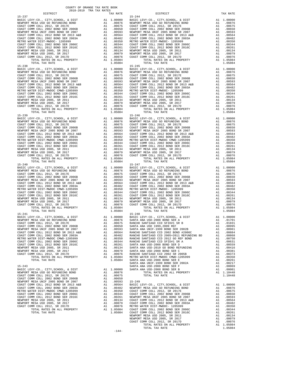COAST COMM COLL 2002 BOND SER 2006B A1 .00650 NEWPORT MESA UNIF 2005 BOND SR 2007 A1 .00593 15-249

 $\begin{tabular}{lcccc} \multicolumn{2}{c}{\textbf{TOTAL TAX RATE}} & & & & & & \multicolumn{2}{c}{\textbf{TOTAL TAX RATE}} & & & & \multicolumn{2}{c}{\textbf{TOTAL TAX RATE}}\\ & & & & & & & & \multicolumn{2}{c}{\textbf{TOTAL TAX RATE}} & & & & \multicolumn{2}{c}{\textbf{TOTAL TAX RATE}}\\ \multicolumn{2}{c}{\textbf{15--238}} & & & & & \multicolumn{2}{c}{\textbf{15--245}} & & & & \multicolumn{2}{c}{\textbf{15--245}} & & & & \multicolumn{2}{c}{\textbf{1$ BASIC LEVY-CO., CITY, SCHOOL, & DIST Al 1.00000

 DISTRICT TAX RATE DISTRICT TAX RATE 15-237<br>
BASIC LEVY-CO., CITY, SCHOOL, & DIST (19000001) BASIC LEVY-CO., CITY, SCHOOL, & DIST (190001)<br>
11.00876 NEWPORT MESAUSD GO REFUNDING BOND (19000001) A1.00876 NEWPORT MESAUSD GO REFUNDING BOND  $\begin{tabular}{l|c|c|c|c|c|c|c} \multicolumn{4}{c}{BAST} & EAY-C0. & CITY, SCHOD, & EUST & D1.00000 & BAST & D1.00000 & BAST & D1.00000 \\ \multicolumn{4}{c}{\textbf{REWDDFT} MESA USDE} & 0.00000 & 0.00000 & 0.00000 \\ \multicolumn{4}{c}{\textbf{CAGST} COMM COLL 2012, SR 2017B} & 0.00000 & 0.00000 \\ \multicolumn{4}{c}{\textbf{CAGST} COMM COLL 2$  BASIC LEVY-CO., CITY,SCHOOL, & DIST A1 1.00000 BASIC LEVY-CO., CITY,SCHOOL, & DIST A1 1.00000 NEWPORT MESA USD GO REFUNDING BOND A1 .00876 NEWPORT MESA USD GO REFUNDING BOND A1 .00876 COAST COMM COLL 2012, SR 2017E A1 .00675 COAST COMM COLL 2012, SR 2017E A1 .00675 COAST COMM COLL 2002 BOND SER 2006B A1 .00650 COAST COMM COLL 2002 BOND SER 2006B A1 .00650 NEWPORT MESA UNIF 2005 BOND SR 2007 A1 .00593 NEWPORT MESA UNIF 2005 BOND SR 2007 A1 .00593 COAST COMM COLL 2012 BOND SR 2013 A&B A1 .00564 COAST COMM COLL 2012 BOND SR 2013 A&B A1 .00564<br>COAST COMM COLL 2002 BOND SER 2003A A1 .00482 COAST COMM COLL 2002 BOND SER 2003A A1 .00482 METRO WATER DIST-MWDOC CMWD-1205999<br>
COAST COMM COLL 2002 BOND SER 2006C A1 00350 METRO WATER DIST-MWDOC-1205999 A1 .00350<br>
COAST COMM COLL 2002 BOND SER 2016C A1 .00264 COAST COMM COLL 2012 BOND SER 2006C A1 .00264<br>
NEWPO COAST COMM COLL 2012, SR 2017D A1 .00076 COAST COMM COLL 2012, SR 2017D A1 .00076 TOTAL RATES ON ALL PROPERTY A1 1.05084 TOTAL RATES ON ALL PROPERTY A1 1.05084 NAHRONI BESA COMS 2007, SR 2017<br>
TOTAL RATES ON ALL PROPERTY<br>
TOTAL TAX RATE 1.05084<br>
TOTAL TAX RATE 1.05084<br>
TOTAL TAX RATE 1.05084<br>
TOTAL TAX RATE 1.05084<br>
TOTAL TAX RATE 1.05084<br>
TOTAL TAX RATE 1.05084<br>
TOTAL TAX RATE 1 15-239 15-246 BASIC LEVY-CO., CITY,SCHOOL, & DIST A1 1.00000 BASIC LEVY-CO., CITY,SCHOOL, & DIST A1 1.00000 NEWPORT MESA USD GO REFUNDING BOND A1 .00876 NEWPORT MESA USD GO REFUNDING BOND A1 .00876 COAST COMM COLL 2012, SR 2017E A1 .00675 COAST COMM COLL 2012, SR 2017E A1 .00675 COAST COMM COLL 2002 BOND SER 2006B A1 .00650 COAST COMM COLL 2002 BOND SER 2006B A1 .00650 NEWPORT MESA UNIF 2005 BOND SR 2007 A1 .00593 NEWPORT MESA UNIF 2005 BOND SR 2007 A1 .00593 COAST COMM COLL 2012 BOND SR 2013 A&B A1 .00564 COAST COMM COLL 2012 BOND SR 2013 A&B A1 .00564<br>COAST COMM COLL 2002 BOND SER 2003A A1 .00482 COAST COMM COLL 2002 BOND SER 2003A A1 .00482 00350. METRO WATER DIST-MWDOC CMWD-1205999 MESTRO WATER DIST-MWDOC CMWD-1205999 METRO WATER DIST-MWDOC CMWD-120<br>COAST COMM COLL 2002 BOR 2006 MESR 2006 COAST COAST COAST COMM COLL 2012 BORD SER 2016C<br>COAST COMM COLL 2012 B NEWPORT MESAUSD 2005, SR 2011 (00134 NEWPORT MESAUSD 2005, SR 2011 MEMPORT MESAUSD 2005, SR 2011 (00134<br>NEWPORT MESAUSD 2005, SR 2017 (00079 NEWPORT MESAUSD 2005, SR 2017 (00079 NEWPORT MESAUSD 2012, SR 2017 (2017<br>COAST CO TORAT MESA USD 2005, SR 2011<br>
TAT 1.00204 COAST COMMUNICATES AND CONSULT AT 1.0024<br>
TAT 1.0024 COAST COMMUNICATES AND 2005, SR 2011<br>
TORAT MESA USD 2005, SR 2017<br>
TOTAL RATES ON ALL PROPERTY<br>
TOTAL RATES ON ALL PROPERTY<br>
T  $\begin{tabular}{lcccccc} \texttt{BASC LEVY-CO.}, & \texttt{CITY}, \texttt{SCHOOL}, & \texttt{A DIST} & \texttt{A1} & \texttt{1.00000} & \texttt{BASC LEVY-CO.}, & \texttt{CITY}, \texttt{SCHOOL}, & \texttt{A DIST} & \texttt{A1} & \texttt{1.00000} \\ \texttt{NEWPORT MESA USD GO REFUNDING BOND} & \texttt{A1} & \texttt{.00876} & \texttt{NEWPORT MESA USD GO REFUNDING BOND} & \texttt{A1} & \texttt{.00876} \\ \texttt{COAST COMM COLL 201$ 00876 NEWPORT MESA USD GO REFUNDING BOND MENING A1 00876 NEWPORT MESA USD GO REFUNDING BOND A1 .00876<br>COAST COMM COLL 2002 JOSTS COAST COAST COAST COAST COAST COAST COAST COMM COLL 2002 BOND A1<br>COAST COMM COLL 2002 BOND SE 10593 NEWPORT MESA UNIF 2005 BOND SR 2007 – A1 00593 NEWPORT MESA UNIF 2005 BOND SR 2007<br>COAST COMM COLL 2012 BOND SR 2013 A&B – A1 00564 COAST COMM COLL 2012 BOND SR 2013 A&B<br>COAST COMM COLL 2002 BOND SER 2003A – A1 .0048 METRO WATER DIST-MWDOC CMWD-1205999 <br>
COAST COM COLL 2002 BOND SER 2016C<br>
COAST COM COLL 2002 BOND SER 2006C A1 .00350<br>
COAST COM COLL 2012 BOND SER 2016C A1 .00344 COAST COMM COLL 2012 BOND SER 2006C A1 .00354<br>
COAST COM TOTAL RATES ON AUCHORIZE ON THE SUIT AT 1.05084 TOTAL RATES ON ALL PROPERTY A1 1.05084<br>TOTAL RATES ON ALL PROPERTY A1 1.05084 TOTAL RATES ON ALL PROPERTY A1 1.05084<br>TOTAL TAX RATE 1.05084 TOTAL TAX RATE TOTAL TAX RATE 1.05084 TOTAL TAX RATE 1.05084  ${\tt BASIC~LEVY-CO.} \hbox{, CITY, SCHOOL, & DIST} \hbox{,} \hbox{,} \hbox{1.00000}$  BASIC LEVY-CO., CITY,SCHOOL, & DIST A1 1.00000 BASIC LEVY-CO., CITY,SCHOOL, & DIST A1 1.00000 NEWPORT MESA USD GO REFUNDING BOND A1 .00876 SANTA ANA USD-2008 BOND SER A A1 .01701 COAST COMM COLL 2012, SR 2017E A1 .00675 RANCHO SANTIAGO CCD SFID#1 SR B A1 .01031 COAST COMM COLL 2002 BOND SER 2006B A1 .00650 SANTA ANA USD 1999,2009 REF A1 .00995 NEW HIM INDIA ANA USD ISSUE AND SANTA ANA USD ISSUES AND SER 2002B AND INTERPORT MESA UNIF-19005 SANTA ANA USD<br>NEWPORT MESA UNIF-19005 DOND SR 2007 A1 .00593 SANTA ANA UNIF-1999 BOND SER 2002B A1 .00961<br>COAST COMM COLL 20 COAST COMM COLL 2012 BOND SR 2013 A&B A1 .00564 RANCHO SANTIAGO CCD 2002 BOND #2006C A1 .00884 COAST COMM COLL 2002 BOND SER 2003A <br>COAST COMM COLL 2002 BOND SER 2003A A1 .00482 RANCHO SANTIAGO CCD 2005+2011 REFUNDING BD A1 .00868<br>METRO WATER DIST-MWDOC CMWD-1205999 A1 .00350 RANCHO SANTIAGO CCD 2012 GO REF BOND A1 METRO WATER DIST-MWDOC CMWD-1205999  $\mu$ 1 .00350 RANCHO SANTIAGO CCD 2012 GO REF BOND A1 .00750 COAST COMM COLL 2002 BOND SER 2006C A1 .00344 RANCHO SANTIAGO CCD SFID#1 SR A A1 .00631 COAST COMM COLL 2002 BOND SER 2006C A COAST COMM COLL 2002 BOND SER 2006C A1 .00344 RANCHO SANTIAGO CCD SFID#1 SR A A1 .00631 COAST COMM COLL 2012 BOND SER 2016C A1 .00261 SANTA ANA USD-2008 BOND SER D A1 .00559 NEWPORT MESA USD 2005, SR 2011 and 00134 SANTA ANA USD-2010 GO BOND REFUNDING AL 000476 NEWPORT MESA USD 2005, SR 2017 and 0.0079 SANTA ANA USD-2010 GO BOND SER 2005 ANTA ANA USD-2010 GO BOND SER 2005 and 0.0073 and 0.0079 EXECUTE ON COLL 2012, SR 2017E<br>
COAST COMM COLL 2012, SR 2017E<br>
COAST COMM COLL 2012, SR 2017E<br>
COAST COMM COLL 2012, SR 2017E<br>
COAST COMM COLL 2012 BOND SR 2006B<br>
COAST COMM COLL 2012 BOND SR 2007<br>
A1 .00650<br>
200593 15-24 COAST COMM COLL 2012 BOND SR 2013 A&B A1 .00564 BASIC LEVY-CO., CITY,SCHOOL, & DIST A1 1.00000<br>COAST COMM COLL 2002 BOND SER 2003A A1 .00482 NEWPORT MESA USD GO REFUNDING BOND A1 .00876 A1 .00482 NEWPORT MESAUSD GOREFUNDING BOND A1 .00876<br>A1 .00350 COAST COMM COLL 2012, SR 2017E A1 .00350 COAST COMM COLL 2012, SR 2016<br>A1 .00344 COAST COMM COLL 2002 BOND SER 2006B COAST COMM COLL 2002 BOND SER 2006C A1 .00344 COAST COMM COLL 2002 BOND SER 2006B A1 .00650 COAST COMM COLL 2012 BOND SER 2016C A1 .00261 NEWPORT MESA UNIF 2005 BOND SR 2007 A1 .00593 NEWPORT MESA USD 2005, SR 2011 A1 .00134 COAST COMM COLL 2012 BOND SR 2013 A&B A1 .00564 NEWPORT MESA USD 2005, SR 2017 A1 .00079 COAST COMM COLL 2002 BOND SER 2003A A1 .00482 COAST COMM COLL 2012 BOND SR 2013<br>
COAST COMM COLL 2012 BOND SR 2013<br>
NEWPORT MESA USD 2005, SR 2017 A1 .00076 METRO WATER DIST-MWDOC- 120599 A1 .00492<br>
COAST COMM COLL 2012 BOND SER 2003A A1 .0048<br>
NEWPORT MESA USD 2005, TOTAL RATES ON ALL PROPERTY A1 1.05084 COAST COMM COLL 2002 BOND SER 2006C A1 .00344 TOTAL TAX RATE 1.05084 COAST COMM COLL 2012 BOND SER 2016C A1 .00261 NEWPORT MESA USD 2005, SR 2017<br>
NEWPORT MESA USD 2005, SR 2017<br>
COAST COMM COLL 2012, SR 2017<br>
TOTAL RATES ON ALL PROPERTY<br>
TOTAL TAX RATE<br>
TOTAL TAX RATE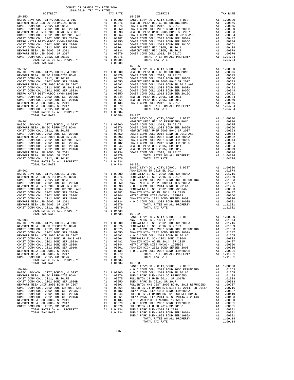| TOTAL RATES ON ALL PROPERTY              |            | A1 1.04734 |                |
|------------------------------------------|------------|------------|----------------|
| TOTAL TAX RATE                           |            | 1.04734    | $16 - 002$     |
|                                          |            |            | <b>BASIC L</b> |
| $15 - 903$                               |            |            | <b>ANAHEIM</b> |
| BASIC LEVY-CO., CITY, SCHOOL, & DIST     |            | A1 1.00000 | CENTRAL        |
| NEWPORT MESA USD GO REFUNDING BOND       | A1         | .00876     | CENTRAL        |
| COAST COMM COLL 2012. SR 2017E           | A1         | .00675     | NOCC           |
| COAST COMM COLL 2002 BOND SER 2006B      | A1         | .00650     | <b>ANAHEIM</b> |
| NEWPORT MESA UNIF 2005 BOND SR 2007      | A1         | .00593     | NOCC           |
| COAST COMM COLL 2012 BOND SR 2013 A&B A1 |            | .00564     | CENTRAL        |
| COAST COMM COLL 2002 BOND SER 2003A      | A1         | .00482     | <b>ANAHEIM</b> |
| COAST COMM COLL 2002 BOND SER 2006C A1   |            | .00344     | METRO W        |
| COAST COMM COLL 2012 BOND SER 2016C      |            | A1.00261   | ANAHEIM        |
| NEWPORT MESA USD 2005, SR 2011           | A1         | .00134     | NOCC           |
| NEWPORT MESA USD 2005, SR 2017           | A1         | .00079     |                |
| COAST COMM COLL 2012, SR 2017D           |            | A1 .00076  |                |
| TOTAL RATES ON ALL PROPERTY              |            | A1 1.04734 |                |
| TOTAL TAX RATE                           |            | 1.04734    | $16 - 003$     |
|                                          |            |            | BASIC L        |
| $15 - 904$                               |            |            | NOCC           |
| BASIC LEVY-CO., CITY, SCHOOL, & DIST     | A1 1.00000 |            | NOCC           |
| NEWPORT MESA USD GO REFUNDING BOND       |            | A1.00876   | BUENA P        |
| COAST COMM COLL 2012, SR 2017E           | A1         | .00675     | FULLERT        |
| COAST COMM COLL 2002 BOND SER 2006B      | A1         | .00650     | BUENA P        |
| NEWPORT MESA UNIF 2005 BOND SR 2007 A1   |            | .00593     | FULLERT        |
| COAST COMM COLL 2012 BOND SR 2013 A&B    | A1         | .00564     | FULLERT        |
| COAST COMM COLL 2002 BOND SER 2003A      | A1         | .00482     | BUENA P        |
| COAST COMM COLL 2002 BOND SER 2006C      | A1         | .00344     | FULLERT        |
| COAST COMM COLL 2012 BOND SER 2016C A1   |            | .00261     | BUENA P        |
| NEWPORT MESA USD 2005, SR 2011           |            | A1 .00134  | METRO W        |
| NEWPORT MESA USD 2005, SR 2017           |            | A1 .00079  | NOCC           |
| COAST COMM COLL 2012, SR 2017D           | A1         | .00076     | FULLERT        |
| TOTAL RATES ON ALL PROPERTY              | A1         | 1.04734    | BUENA P        |
| ΤΟΤΑΙ ΤΑΥ ΡΑΤΡ                           |            | 1 04734    | RITENTA D      |

## NEWPORT MESA UNIF 2005 BOND SR 2007 A1 .00593 NEWPORT MESA UNIF 2005 BOND SR 2007 A1 .00593 COAST COMM COLL 2012 BOND SR 2013 A&B<br>COAST COMM COLL 2002 BOND SER 2003A

| DISTRICT                                                                                                                                                                                                                                                                             | TAX RATE | DISTRICT | TAX RATE |
|--------------------------------------------------------------------------------------------------------------------------------------------------------------------------------------------------------------------------------------------------------------------------------------|----------|----------|----------|
|                                                                                                                                                                                                                                                                                      |          |          |          |
|                                                                                                                                                                                                                                                                                      |          |          |          |
|                                                                                                                                                                                                                                                                                      |          |          |          |
|                                                                                                                                                                                                                                                                                      |          |          |          |
|                                                                                                                                                                                                                                                                                      |          |          |          |
|                                                                                                                                                                                                                                                                                      |          |          |          |
|                                                                                                                                                                                                                                                                                      |          |          |          |
|                                                                                                                                                                                                                                                                                      |          |          |          |
|                                                                                                                                                                                                                                                                                      |          |          |          |
|                                                                                                                                                                                                                                                                                      |          |          |          |
|                                                                                                                                                                                                                                                                                      |          |          |          |
|                                                                                                                                                                                                                                                                                      |          |          |          |
|                                                                                                                                                                                                                                                                                      |          |          |          |
|                                                                                                                                                                                                                                                                                      |          |          |          |
|                                                                                                                                                                                                                                                                                      |          |          |          |
|                                                                                                                                                                                                                                                                                      |          |          |          |
|                                                                                                                                                                                                                                                                                      |          |          |          |
|                                                                                                                                                                                                                                                                                      |          |          |          |
|                                                                                                                                                                                                                                                                                      |          |          |          |
|                                                                                                                                                                                                                                                                                      |          |          |          |
|                                                                                                                                                                                                                                                                                      |          |          |          |
|                                                                                                                                                                                                                                                                                      |          |          |          |
|                                                                                                                                                                                                                                                                                      |          |          |          |
|                                                                                                                                                                                                                                                                                      |          |          |          |
|                                                                                                                                                                                                                                                                                      |          |          |          |
|                                                                                                                                                                                                                                                                                      |          |          |          |
|                                                                                                                                                                                                                                                                                      |          |          |          |
|                                                                                                                                                                                                                                                                                      |          |          |          |
|                                                                                                                                                                                                                                                                                      |          |          |          |
|                                                                                                                                                                                                                                                                                      |          |          |          |
|                                                                                                                                                                                                                                                                                      |          |          |          |
|                                                                                                                                                                                                                                                                                      |          |          |          |
|                                                                                                                                                                                                                                                                                      |          |          |          |
|                                                                                                                                                                                                                                                                                      |          |          |          |
|                                                                                                                                                                                                                                                                                      |          |          |          |
|                                                                                                                                                                                                                                                                                      |          |          |          |
|                                                                                                                                                                                                                                                                                      |          |          |          |
|                                                                                                                                                                                                                                                                                      |          |          |          |
|                                                                                                                                                                                                                                                                                      |          |          |          |
|                                                                                                                                                                                                                                                                                      |          |          |          |
|                                                                                                                                                                                                                                                                                      |          |          |          |
| $\begin{tabular}{c cccc} 15-901 & .10504 & 15-907 & .104734 \\ 1.04734 & .100000 & .10174734 \\ 1.04734 & .100000 & .10174734 \\ 1.04734 & .100000 & .10174734 \\ 1.04734 & .100000 & .10174734 \\ 1.00000 & .100000 & .100000 \\ 1.000000 & .100000000 \\ 1.0000000000000000000000$ |          |          |          |
|                                                                                                                                                                                                                                                                                      |          |          |          |
|                                                                                                                                                                                                                                                                                      |          |          |          |
|                                                                                                                                                                                                                                                                                      |          |          |          |
|                                                                                                                                                                                                                                                                                      |          |          |          |
|                                                                                                                                                                                                                                                                                      |          |          |          |
|                                                                                                                                                                                                                                                                                      |          |          |          |
|                                                                                                                                                                                                                                                                                      |          |          |          |
|                                                                                                                                                                                                                                                                                      |          |          |          |
|                                                                                                                                                                                                                                                                                      |          |          |          |
|                                                                                                                                                                                                                                                                                      |          |          |          |
|                                                                                                                                                                                                                                                                                      |          |          |          |
|                                                                                                                                                                                                                                                                                      |          |          |          |
|                                                                                                                                                                                                                                                                                      |          |          |          |
|                                                                                                                                                                                                                                                                                      |          |          |          |
|                                                                                                                                                                                                                                                                                      |          |          |          |
|                                                                                                                                                                                                                                                                                      |          |          |          |
|                                                                                                                                                                                                                                                                                      |          |          |          |
|                                                                                                                                                                                                                                                                                      |          |          |          |
|                                                                                                                                                                                                                                                                                      |          |          |          |
|                                                                                                                                                                                                                                                                                      |          |          |          |
|                                                                                                                                                                                                                                                                                      |          |          |          |
|                                                                                                                                                                                                                                                                                      |          |          |          |
|                                                                                                                                                                                                                                                                                      |          |          |          |
|                                                                                                                                                                                                                                                                                      |          |          |          |
|                                                                                                                                                                                                                                                                                      |          |          |          |
|                                                                                                                                                                                                                                                                                      |          |          |          |
|                                                                                                                                                                                                                                                                                      |          |          |          |
|                                                                                                                                                                                                                                                                                      |          |          |          |
|                                                                                                                                                                                                                                                                                      |          |          |          |
|                                                                                                                                                                                                                                                                                      |          |          |          |
|                                                                                                                                                                                                                                                                                      |          |          |          |
|                                                                                                                                                                                                                                                                                      |          |          |          |
|                                                                                                                                                                                                                                                                                      |          |          |          |
|                                                                                                                                                                                                                                                                                      |          |          |          |
|                                                                                                                                                                                                                                                                                      |          |          |          |
|                                                                                                                                                                                                                                                                                      |          |          |          |
|                                                                                                                                                                                                                                                                                      |          |          |          |
|                                                                                                                                                                                                                                                                                      |          |          |          |
|                                                                                                                                                                                                                                                                                      |          |          |          |
|                                                                                                                                                                                                                                                                                      |          |          |          |
|                                                                                                                                                                                                                                                                                      |          |          |          |
|                                                                                                                                                                                                                                                                                      |          |          |          |
|                                                                                                                                                                                                                                                                                      |          |          |          |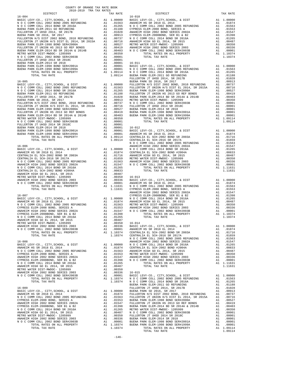| $\begin{tabular}{l c c c} \multicolumn{1}{c}{\textbf{N} & $\mathcal{O}$ C $ & $\mathcal{N}$ O $ & $\mathcal{O}$ C $ \\ \hline \texttt{BASE} & \texttt{EWY-SO}, $\mathcal{O}$ & \texttt{C} & \texttt{D} & \texttt{R} & \texttt{M} & \texttt{M} & \texttt{M} & \texttt{M} & \texttt{M} \\ \hline \texttt{ANAHEM} & \texttt{NS} & \texttt{SD18} & \texttt{ED} & \texttt{2014} & \texttt{101000} & \texttt{101000} & \texttt{10100} & \$ |    |                                                                                                                                                                                                                                                                    | ANAHEIM                            |
|--------------------------------------------------------------------------------------------------------------------------------------------------------------------------------------------------------------------------------------------------------------------------------------------------------------------------------------------------------------------------------------------------------------------------------------|----|--------------------------------------------------------------------------------------------------------------------------------------------------------------------------------------------------------------------------------------------------------------------|------------------------------------|
|                                                                                                                                                                                                                                                                                                                                                                                                                                      |    |                                                                                                                                                                                                                                                                    |                                    |
|                                                                                                                                                                                                                                                                                                                                                                                                                                      |    |                                                                                                                                                                                                                                                                    |                                    |
|                                                                                                                                                                                                                                                                                                                                                                                                                                      |    |                                                                                                                                                                                                                                                                    |                                    |
|                                                                                                                                                                                                                                                                                                                                                                                                                                      |    |                                                                                                                                                                                                                                                                    |                                    |
|                                                                                                                                                                                                                                                                                                                                                                                                                                      |    |                                                                                                                                                                                                                                                                    |                                    |
|                                                                                                                                                                                                                                                                                                                                                                                                                                      |    |                                                                                                                                                                                                                                                                    |                                    |
|                                                                                                                                                                                                                                                                                                                                                                                                                                      |    |                                                                                                                                                                                                                                                                    |                                    |
|                                                                                                                                                                                                                                                                                                                                                                                                                                      |    |                                                                                                                                                                                                                                                                    |                                    |
|                                                                                                                                                                                                                                                                                                                                                                                                                                      |    |                                                                                                                                                                                                                                                                    | NOCC                               |
|                                                                                                                                                                                                                                                                                                                                                                                                                                      |    |                                                                                                                                                                                                                                                                    |                                    |
|                                                                                                                                                                                                                                                                                                                                                                                                                                      |    |                                                                                                                                                                                                                                                                    |                                    |
|                                                                                                                                                                                                                                                                                                                                                                                                                                      |    |                                                                                                                                                                                                                                                                    |                                    |
|                                                                                                                                                                                                                                                                                                                                                                                                                                      |    |                                                                                                                                                                                                                                                                    |                                    |
|                                                                                                                                                                                                                                                                                                                                                                                                                                      |    |                                                                                                                                                                                                                                                                    |                                    |
|                                                                                                                                                                                                                                                                                                                                                                                                                                      |    |                                                                                                                                                                                                                                                                    |                                    |
|                                                                                                                                                                                                                                                                                                                                                                                                                                      |    |                                                                                                                                                                                                                                                                    |                                    |
| N O C COMM COLL 2002 BOND SER#2003B                                                                                                                                                                                                                                                                                                                                                                                                  | A1 | .00001                                                                                                                                                                                                                                                             | BASIC L                            |
| TOTAL RATES ON ALL PROPERTY<br>TOTAL TAX RATE                                                                                                                                                                                                                                                                                                                                                                                        |    | A1 1.10374<br>1.10374                                                                                                                                                                                                                                              | NOCC<br>NOCC<br>BUENA P<br>FULLERT |
| $16 - 009$<br>BASIC LEVY-CO., CITY, SCHOOL, & DIST                                                                                                                                                                                                                                                                                                                                                                                   |    | A1 1.00000                                                                                                                                                                                                                                                         | BUENA P                            |
| ANAHEIM HS SR 2018 EL 2014                                                                                                                                                                                                                                                                                                                                                                                                           |    | A1.01874                                                                                                                                                                                                                                                           | FULLERT                            |
| N O C COMM COLL 2002 BOND 2005 REFUNDING<br>CYPRESS ELEM-2008 BOND, SERIES A                                                                                                                                                                                                                                                                                                                                                         |    |                                                                                                                                                                                                                                                                    |                                    |
| ANAHEIM HIGH 2002 BOND SERIES 2002A                                                                                                                                                                                                                                                                                                                                                                                                  |    |                                                                                                                                                                                                                                                                    |                                    |
| CYPRESS ELEM-2008BOND, SER B1 & B2<br>N O C COMM COLL 2014 BOND SR 2016A                                                                                                                                                                                                                                                                                                                                                             |    |                                                                                                                                                                                                                                                                    |                                    |
| ANAHEIM HIGH GO EL 2014, SR 2015                                                                                                                                                                                                                                                                                                                                                                                                     |    |                                                                                                                                                                                                                                                                    |                                    |
| METRO WATER DIST-MWDOC- 1205999                                                                                                                                                                                                                                                                                                                                                                                                      |    |                                                                                                                                                                                                                                                                    |                                    |
| ANAHEIM HIGH 2002 BOND SERIES 2003<br>N O C COMM COLL 2002 BOND SER#2003B                                                                                                                                                                                                                                                                                                                                                            |    |                                                                                                                                                                                                                                                                    |                                    |
| TOTAL RATES ON ALL PROPERTY                                                                                                                                                                                                                                                                                                                                                                                                          |    | Al .01874 FULLERT<br>Al .01563 FULLERT<br>Al .01553 BUENA P<br>Al .01553 BUENA P<br>Al .01398 BUENA P<br>Al .01398 BUENA P<br>Al .00487 N O C C<br>Al .00350 BUENA P<br>Al .00350 BUENA P<br>Al .00350 BUENA P<br>Al .00361 BUENA P<br>Al .10374 BUENA P<br>Al 1.1 |                                    |
| TOTAL TAX RATE                                                                                                                                                                                                                                                                                                                                                                                                                       |    | 1.10374                                                                                                                                                                                                                                                            |                                    |
|                                                                                                                                                                                                                                                                                                                                                                                                                                      |    |                                                                                                                                                                                                                                                                    |                                    |

| COUNTY OF ORANGE TAX RATE BOOK<br>2018-2019 TRA TAX RATES |          |          |          |
|-----------------------------------------------------------|----------|----------|----------|
|                                                           | TAX RATE | DISTRICT | TAX RATE |
|                                                           |          |          |          |
|                                                           |          |          |          |
|                                                           |          |          |          |
|                                                           |          |          |          |
|                                                           |          |          |          |
|                                                           |          |          |          |
|                                                           |          |          |          |
|                                                           |          |          |          |
|                                                           |          |          |          |
|                                                           |          |          |          |
|                                                           |          |          |          |
|                                                           |          |          |          |
|                                                           |          |          |          |
|                                                           |          |          |          |
|                                                           |          |          |          |
|                                                           |          |          |          |
|                                                           |          |          |          |
|                                                           |          |          |          |
|                                                           |          |          |          |
|                                                           |          |          |          |
|                                                           |          |          |          |
|                                                           |          |          |          |
|                                                           |          |          |          |
|                                                           |          |          |          |
|                                                           |          |          |          |
|                                                           |          |          |          |
|                                                           |          |          |          |
|                                                           |          |          |          |
|                                                           |          |          |          |
|                                                           |          |          |          |
|                                                           |          |          |          |
|                                                           |          |          |          |
|                                                           |          |          |          |
|                                                           |          |          |          |
|                                                           |          |          |          |
|                                                           |          |          |          |
|                                                           |          |          |          |
|                                                           |          |          |          |
|                                                           |          |          |          |
|                                                           |          |          |          |
|                                                           |          |          |          |
|                                                           |          |          |          |
|                                                           |          |          |          |
|                                                           |          |          |          |
|                                                           |          |          |          |
|                                                           |          |          |          |
|                                                           |          |          |          |
|                                                           |          |          |          |
|                                                           |          |          |          |
|                                                           |          |          |          |
|                                                           |          |          |          |
|                                                           |          |          |          |
|                                                           |          |          |          |
|                                                           |          |          |          |
|                                                           |          |          |          |
|                                                           |          |          |          |
|                                                           |          |          |          |
|                                                           |          |          |          |
|                                                           |          |          |          |
|                                                           |          |          |          |
|                                                           |          |          |          |
|                                                           |          |          |          |
|                                                           |          |          |          |
|                                                           |          |          |          |
|                                                           |          |          |          |
|                                                           |          |          |          |
|                                                           |          |          |          |
|                                                           |          |          |          |
|                                                           |          |          |          |
|                                                           |          |          |          |
|                                                           |          |          |          |
|                                                           |          |          |          |
|                                                           |          |          |          |
|                                                           |          |          |          |
|                                                           |          |          |          |
|                                                           |          |          |          |
|                                                           |          |          |          |
|                                                           |          |          |          |
|                                                           |          |          |          |
|                                                           |          |          |          |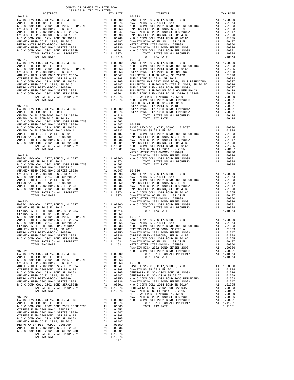|  | $-147-$ |  |  |
|--|---------|--|--|
|  |         |  |  |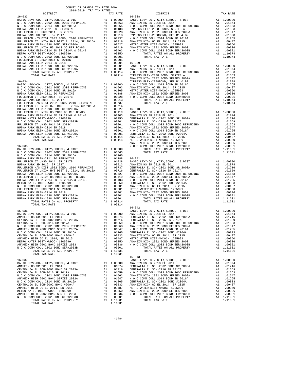| COUNTY OF ORANGE TAX RATE BOOK<br>2018-2019 TRA TAX RATES                                                                                                                                                                                                                                                                                                                                                                               |          |            |          |  |
|-----------------------------------------------------------------------------------------------------------------------------------------------------------------------------------------------------------------------------------------------------------------------------------------------------------------------------------------------------------------------------------------------------------------------------------------|----------|------------|----------|--|
|                                                                                                                                                                                                                                                                                                                                                                                                                                         | TAX RATE | DISTRICT   | TAX RATE |  |
|                                                                                                                                                                                                                                                                                                                                                                                                                                         |          |            |          |  |
|                                                                                                                                                                                                                                                                                                                                                                                                                                         |          |            |          |  |
|                                                                                                                                                                                                                                                                                                                                                                                                                                         |          |            |          |  |
|                                                                                                                                                                                                                                                                                                                                                                                                                                         |          |            |          |  |
|                                                                                                                                                                                                                                                                                                                                                                                                                                         |          |            |          |  |
|                                                                                                                                                                                                                                                                                                                                                                                                                                         |          |            |          |  |
|                                                                                                                                                                                                                                                                                                                                                                                                                                         |          |            |          |  |
|                                                                                                                                                                                                                                                                                                                                                                                                                                         |          |            |          |  |
|                                                                                                                                                                                                                                                                                                                                                                                                                                         |          |            |          |  |
|                                                                                                                                                                                                                                                                                                                                                                                                                                         |          |            |          |  |
|                                                                                                                                                                                                                                                                                                                                                                                                                                         |          |            |          |  |
|                                                                                                                                                                                                                                                                                                                                                                                                                                         |          |            |          |  |
|                                                                                                                                                                                                                                                                                                                                                                                                                                         |          |            |          |  |
|                                                                                                                                                                                                                                                                                                                                                                                                                                         |          |            |          |  |
|                                                                                                                                                                                                                                                                                                                                                                                                                                         |          |            |          |  |
|                                                                                                                                                                                                                                                                                                                                                                                                                                         |          |            |          |  |
|                                                                                                                                                                                                                                                                                                                                                                                                                                         |          |            |          |  |
|                                                                                                                                                                                                                                                                                                                                                                                                                                         |          |            |          |  |
|                                                                                                                                                                                                                                                                                                                                                                                                                                         |          |            |          |  |
|                                                                                                                                                                                                                                                                                                                                                                                                                                         |          |            |          |  |
|                                                                                                                                                                                                                                                                                                                                                                                                                                         |          |            |          |  |
|                                                                                                                                                                                                                                                                                                                                                                                                                                         |          |            |          |  |
|                                                                                                                                                                                                                                                                                                                                                                                                                                         |          |            |          |  |
|                                                                                                                                                                                                                                                                                                                                                                                                                                         |          |            |          |  |
|                                                                                                                                                                                                                                                                                                                                                                                                                                         |          |            |          |  |
|                                                                                                                                                                                                                                                                                                                                                                                                                                         |          |            |          |  |
|                                                                                                                                                                                                                                                                                                                                                                                                                                         |          |            |          |  |
|                                                                                                                                                                                                                                                                                                                                                                                                                                         |          |            |          |  |
|                                                                                                                                                                                                                                                                                                                                                                                                                                         |          |            |          |  |
|                                                                                                                                                                                                                                                                                                                                                                                                                                         |          |            |          |  |
|                                                                                                                                                                                                                                                                                                                                                                                                                                         |          |            |          |  |
|                                                                                                                                                                                                                                                                                                                                                                                                                                         |          |            |          |  |
|                                                                                                                                                                                                                                                                                                                                                                                                                                         |          |            |          |  |
|                                                                                                                                                                                                                                                                                                                                                                                                                                         |          |            |          |  |
|                                                                                                                                                                                                                                                                                                                                                                                                                                         |          |            |          |  |
|                                                                                                                                                                                                                                                                                                                                                                                                                                         |          |            |          |  |
|                                                                                                                                                                                                                                                                                                                                                                                                                                         |          |            |          |  |
|                                                                                                                                                                                                                                                                                                                                                                                                                                         |          |            |          |  |
|                                                                                                                                                                                                                                                                                                                                                                                                                                         |          |            |          |  |
|                                                                                                                                                                                                                                                                                                                                                                                                                                         |          |            |          |  |
|                                                                                                                                                                                                                                                                                                                                                                                                                                         |          |            |          |  |
|                                                                                                                                                                                                                                                                                                                                                                                                                                         |          |            |          |  |
|                                                                                                                                                                                                                                                                                                                                                                                                                                         |          |            |          |  |
|                                                                                                                                                                                                                                                                                                                                                                                                                                         |          |            |          |  |
|                                                                                                                                                                                                                                                                                                                                                                                                                                         |          |            |          |  |
|                                                                                                                                                                                                                                                                                                                                                                                                                                         |          |            |          |  |
|                                                                                                                                                                                                                                                                                                                                                                                                                                         |          |            |          |  |
|                                                                                                                                                                                                                                                                                                                                                                                                                                         |          |            |          |  |
|                                                                                                                                                                                                                                                                                                                                                                                                                                         |          |            |          |  |
|                                                                                                                                                                                                                                                                                                                                                                                                                                         |          |            |          |  |
|                                                                                                                                                                                                                                                                                                                                                                                                                                         |          |            |          |  |
|                                                                                                                                                                                                                                                                                                                                                                                                                                         |          |            |          |  |
|                                                                                                                                                                                                                                                                                                                                                                                                                                         |          |            |          |  |
|                                                                                                                                                                                                                                                                                                                                                                                                                                         |          |            |          |  |
|                                                                                                                                                                                                                                                                                                                                                                                                                                         |          |            |          |  |
|                                                                                                                                                                                                                                                                                                                                                                                                                                         |          |            |          |  |
|                                                                                                                                                                                                                                                                                                                                                                                                                                         |          |            |          |  |
|                                                                                                                                                                                                                                                                                                                                                                                                                                         |          |            |          |  |
|                                                                                                                                                                                                                                                                                                                                                                                                                                         |          |            |          |  |
|                                                                                                                                                                                                                                                                                                                                                                                                                                         |          |            |          |  |
|                                                                                                                                                                                                                                                                                                                                                                                                                                         |          |            |          |  |
|                                                                                                                                                                                                                                                                                                                                                                                                                                         |          |            |          |  |
|                                                                                                                                                                                                                                                                                                                                                                                                                                         |          |            |          |  |
| $\begin{tabular}{l c c c c c c} {\bf A1} & .01659 & {\bf N} & {\bf O} & {\bf C} & {\bf C} & {\bf O} & {\bf A1} & .01659 \\ \hline {\bf N} & {\bf O} & {\bf C} & {\bf C} & {\bf O} & {\bf M} & {\bf O} & {\bf C} & {\bf C} & {\bf O} & {\bf M} & {\bf O} & {\bf E} & {\bf E} & {\bf C} & {\bf D} & {\bf D} & {\bf D} & {\bf D} & {\bf D} & {\bf E} & {\bf E} & {\bf E} & {\bf D} & {\bf D} & {\bf D} & {\bf D} & {\bf D} & {\bf D} & {\$ |          |            |          |  |
|                                                                                                                                                                                                                                                                                                                                                                                                                                         |          | $16 - 043$ |          |  |
|                                                                                                                                                                                                                                                                                                                                                                                                                                         |          |            |          |  |
|                                                                                                                                                                                                                                                                                                                                                                                                                                         |          |            |          |  |
|                                                                                                                                                                                                                                                                                                                                                                                                                                         |          |            |          |  |
|                                                                                                                                                                                                                                                                                                                                                                                                                                         |          |            |          |  |
|                                                                                                                                                                                                                                                                                                                                                                                                                                         |          |            |          |  |
|                                                                                                                                                                                                                                                                                                                                                                                                                                         |          |            |          |  |
|                                                                                                                                                                                                                                                                                                                                                                                                                                         |          |            |          |  |
|                                                                                                                                                                                                                                                                                                                                                                                                                                         |          |            |          |  |
|                                                                                                                                                                                                                                                                                                                                                                                                                                         |          |            |          |  |
|                                                                                                                                                                                                                                                                                                                                                                                                                                         |          |            |          |  |
|                                                                                                                                                                                                                                                                                                                                                                                                                                         |          |            |          |  |
|                                                                                                                                                                                                                                                                                                                                                                                                                                         |          |            |          |  |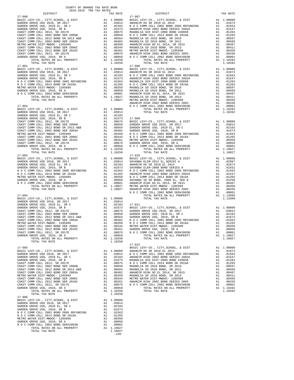| œ<br>. т.<br>ь<br><b>RAIN</b> |
|-------------------------------|
|                               |

|            |  | COAST COMM COLL 2012 BOND SER 2016C A1 .00261 GARDEN GROVE USD, 2010, SR A .00261 COAST COMM COLL 2012, SR 2017D A1 .00261 GARDEN GROVE USD, 2010, SR A .00263 COAST COMM COLL 2012, SR 2017D A1 .00261 A1 .00261 A1 .00261 A1 |  |
|------------|--|--------------------------------------------------------------------------------------------------------------------------------------------------------------------------------------------------------------------------------|--|
|            |  | $17 - 012$                                                                                                                                                                                                                     |  |
|            |  |                                                                                                                                                                                                                                |  |
|            |  |                                                                                                                                                                                                                                |  |
|            |  |                                                                                                                                                                                                                                |  |
|            |  |                                                                                                                                                                                                                                |  |
|            |  |                                                                                                                                                                                                                                |  |
|            |  |                                                                                                                                                                                                                                |  |
|            |  |                                                                                                                                                                                                                                |  |
|            |  |                                                                                                                                                                                                                                |  |
|            |  |                                                                                                                                                                                                                                |  |
|            |  |                                                                                                                                                                                                                                |  |
|            |  |                                                                                                                                                                                                                                |  |
|            |  |                                                                                                                                                                                                                                |  |
|            |  |                                                                                                                                                                                                                                |  |
|            |  |                                                                                                                                                                                                                                |  |
|            |  |                                                                                                                                                                                                                                |  |
|            |  |                                                                                                                                                                                                                                |  |
|            |  |                                                                                                                                                                                                                                |  |
|            |  |                                                                                                                                                                                                                                |  |
| $17 - 006$ |  |                                                                                                                                                                                                                                |  |
|            |  |                                                                                                                                                                                                                                |  |
|            |  |                                                                                                                                                                                                                                |  |
|            |  |                                                                                                                                                                                                                                |  |
|            |  |                                                                                                                                                                                                                                |  |
|            |  |                                                                                                                                                                                                                                |  |
|            |  |                                                                                                                                                                                                                                |  |
|            |  |                                                                                                                                                                                                                                |  |
|            |  |                                                                                                                                                                                                                                |  |
|            |  |                                                                                                                                                                                                                                |  |
|            |  |                                                                                                                                                                                                                                |  |
|            |  |                                                                                                                                                                                                                                |  |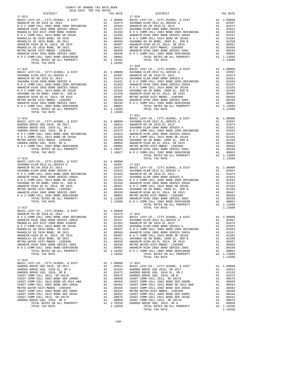| COUNTY OF ORANGE TAX RATE BOOK<br>2018-2019 TRA TAX RATES |          |            |          |
|-----------------------------------------------------------|----------|------------|----------|
|                                                           | TAX RATE | DISTRICT   | TAX RATE |
|                                                           |          |            |          |
|                                                           |          |            |          |
|                                                           |          |            |          |
|                                                           |          |            |          |
|                                                           |          |            |          |
|                                                           |          |            |          |
|                                                           |          |            |          |
|                                                           |          |            |          |
|                                                           |          |            |          |
|                                                           |          | $17 - 020$ |          |
|                                                           |          |            |          |
|                                                           |          |            |          |
|                                                           |          |            |          |
|                                                           |          |            |          |
|                                                           |          |            |          |
|                                                           |          |            |          |
|                                                           |          |            |          |
|                                                           |          |            |          |
|                                                           |          |            |          |
|                                                           |          |            |          |
|                                                           |          |            |          |
|                                                           |          |            |          |
|                                                           |          |            |          |
|                                                           |          |            |          |
|                                                           |          |            |          |
|                                                           |          |            |          |
|                                                           |          |            |          |
|                                                           |          |            |          |
|                                                           |          |            |          |
|                                                           |          |            |          |
|                                                           |          |            |          |
|                                                           |          |            |          |
|                                                           |          |            |          |
|                                                           |          |            |          |
|                                                           |          |            |          |
|                                                           |          |            |          |
|                                                           |          |            |          |
|                                                           |          |            |          |
|                                                           |          |            |          |
|                                                           |          |            |          |
|                                                           |          |            |          |
|                                                           |          |            |          |
|                                                           |          |            |          |
|                                                           |          |            |          |
|                                                           |          |            |          |
|                                                           |          |            |          |
|                                                           |          |            |          |
|                                                           |          |            |          |
|                                                           |          |            |          |
|                                                           |          |            |          |
| $17 - 018$                                                |          |            |          |
|                                                           |          |            |          |
|                                                           |          |            |          |
|                                                           |          |            |          |
|                                                           |          |            |          |
|                                                           |          |            |          |
|                                                           |          |            |          |
|                                                           |          |            |          |
|                                                           |          |            |          |
|                                                           |          |            |          |
|                                                           |          |            |          |
|                                                           |          |            |          |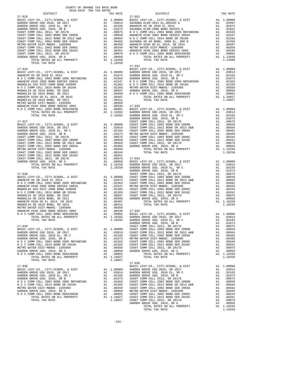| GARDEN GROVE USD 2016, SR 2017<br>GARDEN GROVE USD, 2010 EL, SR C                                                   |                       |                                                                                                                                                                                                               |                       |
|---------------------------------------------------------------------------------------------------------------------|-----------------------|---------------------------------------------------------------------------------------------------------------------------------------------------------------------------------------------------------------|-----------------------|
| GARDEN GROVE USD, 2010, SR B                                                                                        |                       |                                                                                                                                                                                                               |                       |
| COAST COMM COLL 2012, SR 2017E                                                                                      |                       |                                                                                                                                                                                                               |                       |
| COAST COMM COLL 2002 BOND SER 2006B                                                                                 |                       |                                                                                                                                                                                                               |                       |
| COAST COMM COLL 2012 BOND SR 2013 A&B<br>COAST COMM COLL 2002 BOND SER 2003A<br>COAST COMM COLL 2002 BOND SER 2003A |                       |                                                                                                                                                                                                               |                       |
| METRO WATER DIST-MWDOC- 1205999                                                                                     |                       |                                                                                                                                                                                                               |                       |
| COAST COMM COLL 2002 BOND SER 2006C<br>COAST COMM COLL 2012 BOND SER 2016C                                          |                       |                                                                                                                                                                                                               |                       |
| COAST COMM COLL 2012, SR 2017D                                                                                      |                       |                                                                                                                                                                                                               |                       |
| GARDEN GROVE USD, 2010, SR A                                                                                        |                       |                                                                                                                                                                                                               |                       |
|                                                                                                                     |                       |                                                                                                                                                                                                               |                       |
| TOTAL TAX RATE                                                                                                      |                       | 1.10250                                                                                                                                                                                                       | $17 - 032$            |
| $17 - 026$                                                                                                          |                       |                                                                                                                                                                                                               | BASIC L               |
|                                                                                                                     |                       |                                                                                                                                                                                                               |                       |
|                                                                                                                     |                       |                                                                                                                                                                                                               |                       |
|                                                                                                                     |                       |                                                                                                                                                                                                               |                       |
|                                                                                                                     |                       |                                                                                                                                                                                                               |                       |
|                                                                                                                     |                       |                                                                                                                                                                                                               |                       |
|                                                                                                                     |                       |                                                                                                                                                                                                               |                       |
|                                                                                                                     |                       |                                                                                                                                                                                                               |                       |
|                                                                                                                     |                       |                                                                                                                                                                                                               |                       |
|                                                                                                                     |                       |                                                                                                                                                                                                               |                       |
|                                                                                                                     |                       |                                                                                                                                                                                                               |                       |
|                                                                                                                     |                       |                                                                                                                                                                                                               |                       |
|                                                                                                                     |                       |                                                                                                                                                                                                               |                       |
|                                                                                                                     |                       |                                                                                                                                                                                                               |                       |
|                                                                                                                     |                       |                                                                                                                                                                                                               |                       |
|                                                                                                                     |                       |                                                                                                                                                                                                               |                       |
|                                                                                                                     |                       |                                                                                                                                                                                                               |                       |
|                                                                                                                     |                       |                                                                                                                                                                                                               |                       |
|                                                                                                                     |                       |                                                                                                                                                                                                               |                       |
|                                                                                                                     |                       |                                                                                                                                                                                                               |                       |
|                                                                                                                     |                       |                                                                                                                                                                                                               |                       |
|                                                                                                                     |                       |                                                                                                                                                                                                               |                       |
|                                                                                                                     |                       |                                                                                                                                                                                                               |                       |
|                                                                                                                     |                       |                                                                                                                                                                                                               |                       |
|                                                                                                                     |                       |                                                                                                                                                                                                               |                       |
|                                                                                                                     |                       |                                                                                                                                                                                                               | GARDEN                |
|                                                                                                                     |                       |                                                                                                                                                                                                               |                       |
|                                                                                                                     |                       |                                                                                                                                                                                                               |                       |
|                                                                                                                     |                       |                                                                                                                                                                                                               |                       |
|                                                                                                                     |                       |                                                                                                                                                                                                               |                       |
|                                                                                                                     |                       |                                                                                                                                                                                                               |                       |
|                                                                                                                     |                       |                                                                                                                                                                                                               |                       |
|                                                                                                                     |                       |                                                                                                                                                                                                               |                       |
|                                                                                                                     |                       |                                                                                                                                                                                                               |                       |
|                                                                                                                     |                       |                                                                                                                                                                                                               |                       |
|                                                                                                                     |                       |                                                                                                                                                                                                               |                       |
|                                                                                                                     |                       |                                                                                                                                                                                                               |                       |
|                                                                                                                     |                       |                                                                                                                                                                                                               |                       |
|                                                                                                                     |                       |                                                                                                                                                                                                               | GARDEN                |
| $17 - 029$                                                                                                          |                       |                                                                                                                                                                                                               | COAST C               |
|                                                                                                                     |                       |                                                                                                                                                                                                               |                       |
|                                                                                                                     |                       |                                                                                                                                                                                                               |                       |
| GARDEN GROVE USD, 2010, SR B<br>N O C COMM COLL 2002 BOND 2005 REFUNDING                                            |                       | A1 .01673<br>A1 .01563                                                                                                                                                                                        | METRO W<br>COAST C    |
| N O C COMM COLL 2014 BOND SR 2016A                                                                                  |                       | A1 .01265                                                                                                                                                                                                     | COAST C               |
| METRO WATER DIST-MWDOC- 1205999                                                                                     | A1                    | .00350                                                                                                                                                                                                        | COAST C               |
| GARDEN GROVE USD, 2010, SR A<br>N O C COMM COLL 2002 BOND SER#2003B                                                 | A1<br>$\overline{A1}$ | .00058                                                                                                                                                                                                        | GARDEN                |
| TOTAL RATES ON ALL PROPERTY                                                                                         |                       | .00001<br>A1 1.10027                                                                                                                                                                                          |                       |
| TOTAL TAX RATE                                                                                                      |                       | 1.10027                                                                                                                                                                                                       |                       |
| $17 - 030$                                                                                                          |                       |                                                                                                                                                                                                               | $17 - 036$<br>BASIC L |
| BASIC LEVY-CO., CITY, SCHOOL, & DIST                                                                                |                       | A1 1.00000                                                                                                                                                                                                    | GARDEN                |
| GARDEN GROVE USD 2016, SR 2017                                                                                      |                       | A1 .03014                                                                                                                                                                                                     | GARDEN                |
| GARDEN GROVE USD, 2010 EL, SR C<br>GARDEN GROVE USD, 2010, SR B                                                     |                       |                                                                                                                                                                                                               |                       |
| N O C COMM COLL 2002 BOND 2005 REFUNDING                                                                            |                       |                                                                                                                                                                                                               |                       |
| N O C COMM COLL 2014 BOND SR 2016A                                                                                  |                       |                                                                                                                                                                                                               |                       |
| METRO WATER DIST-MWDOC- 1205999<br>GARDEN GROVE USD, 2010, SR A                                                     |                       | A1 .03014 GANDEN<br>A1 .02103 GARDEN<br>A1 .01673 COAST C<br>A1 .01673 COAST C<br>A1 .01673 COAST C<br>A1 .00350 COAST C<br>A1 .00001 COAST C<br>A1 .00001 COAST C<br>A1 .00001 COAST C<br>A1 .1.0027 COAST C |                       |
| N O C COMM COLL 2002 BOND SER#2003B                                                                                 |                       |                                                                                                                                                                                                               |                       |
| TOTAL RATES ON ALL PROPERTY                                                                                         |                       |                                                                                                                                                                                                               |                       |
| TOTAL TAX RATE                                                                                                      |                       |                                                                                                                                                                                                               |                       |

| COUNTY OF ORANGE TAX RATE BOOK                                                                                                                                                                                                                                                                                                                                                                                                                                                                                                                                                                                                                     |          |            |          |
|----------------------------------------------------------------------------------------------------------------------------------------------------------------------------------------------------------------------------------------------------------------------------------------------------------------------------------------------------------------------------------------------------------------------------------------------------------------------------------------------------------------------------------------------------------------------------------------------------------------------------------------------------|----------|------------|----------|
|                                                                                                                                                                                                                                                                                                                                                                                                                                                                                                                                                                                                                                                    | TAX RATE | DISTRICT   | TAX RATE |
| $17 - 025$                                                                                                                                                                                                                                                                                                                                                                                                                                                                                                                                                                                                                                         |          | $17 - 031$ |          |
|                                                                                                                                                                                                                                                                                                                                                                                                                                                                                                                                                                                                                                                    |          |            |          |
|                                                                                                                                                                                                                                                                                                                                                                                                                                                                                                                                                                                                                                                    |          |            |          |
|                                                                                                                                                                                                                                                                                                                                                                                                                                                                                                                                                                                                                                                    |          |            |          |
|                                                                                                                                                                                                                                                                                                                                                                                                                                                                                                                                                                                                                                                    |          |            |          |
|                                                                                                                                                                                                                                                                                                                                                                                                                                                                                                                                                                                                                                                    |          |            |          |
|                                                                                                                                                                                                                                                                                                                                                                                                                                                                                                                                                                                                                                                    |          |            |          |
|                                                                                                                                                                                                                                                                                                                                                                                                                                                                                                                                                                                                                                                    |          |            |          |
|                                                                                                                                                                                                                                                                                                                                                                                                                                                                                                                                                                                                                                                    |          |            |          |
|                                                                                                                                                                                                                                                                                                                                                                                                                                                                                                                                                                                                                                                    |          |            |          |
|                                                                                                                                                                                                                                                                                                                                                                                                                                                                                                                                                                                                                                                    |          |            |          |
|                                                                                                                                                                                                                                                                                                                                                                                                                                                                                                                                                                                                                                                    |          |            |          |
|                                                                                                                                                                                                                                                                                                                                                                                                                                                                                                                                                                                                                                                    |          | $17 - 032$ |          |
|                                                                                                                                                                                                                                                                                                                                                                                                                                                                                                                                                                                                                                                    |          |            |          |
|                                                                                                                                                                                                                                                                                                                                                                                                                                                                                                                                                                                                                                                    |          |            |          |
|                                                                                                                                                                                                                                                                                                                                                                                                                                                                                                                                                                                                                                                    |          |            |          |
|                                                                                                                                                                                                                                                                                                                                                                                                                                                                                                                                                                                                                                                    |          |            |          |
|                                                                                                                                                                                                                                                                                                                                                                                                                                                                                                                                                                                                                                                    |          |            |          |
|                                                                                                                                                                                                                                                                                                                                                                                                                                                                                                                                                                                                                                                    |          |            |          |
|                                                                                                                                                                                                                                                                                                                                                                                                                                                                                                                                                                                                                                                    |          |            |          |
|                                                                                                                                                                                                                                                                                                                                                                                                                                                                                                                                                                                                                                                    |          |            |          |
|                                                                                                                                                                                                                                                                                                                                                                                                                                                                                                                                                                                                                                                    |          |            |          |
|                                                                                                                                                                                                                                                                                                                                                                                                                                                                                                                                                                                                                                                    |          |            |          |
|                                                                                                                                                                                                                                                                                                                                                                                                                                                                                                                                                                                                                                                    |          |            |          |
|                                                                                                                                                                                                                                                                                                                                                                                                                                                                                                                                                                                                                                                    |          |            |          |
|                                                                                                                                                                                                                                                                                                                                                                                                                                                                                                                                                                                                                                                    |          |            |          |
|                                                                                                                                                                                                                                                                                                                                                                                                                                                                                                                                                                                                                                                    |          |            |          |
|                                                                                                                                                                                                                                                                                                                                                                                                                                                                                                                                                                                                                                                    |          |            |          |
|                                                                                                                                                                                                                                                                                                                                                                                                                                                                                                                                                                                                                                                    |          |            |          |
|                                                                                                                                                                                                                                                                                                                                                                                                                                                                                                                                                                                                                                                    |          |            |          |
|                                                                                                                                                                                                                                                                                                                                                                                                                                                                                                                                                                                                                                                    |          |            |          |
|                                                                                                                                                                                                                                                                                                                                                                                                                                                                                                                                                                                                                                                    |          |            |          |
|                                                                                                                                                                                                                                                                                                                                                                                                                                                                                                                                                                                                                                                    |          |            |          |
|                                                                                                                                                                                                                                                                                                                                                                                                                                                                                                                                                                                                                                                    |          |            |          |
|                                                                                                                                                                                                                                                                                                                                                                                                                                                                                                                                                                                                                                                    |          |            |          |
|                                                                                                                                                                                                                                                                                                                                                                                                                                                                                                                                                                                                                                                    |          |            |          |
|                                                                                                                                                                                                                                                                                                                                                                                                                                                                                                                                                                                                                                                    |          |            |          |
|                                                                                                                                                                                                                                                                                                                                                                                                                                                                                                                                                                                                                                                    |          |            |          |
|                                                                                                                                                                                                                                                                                                                                                                                                                                                                                                                                                                                                                                                    |          |            |          |
|                                                                                                                                                                                                                                                                                                                                                                                                                                                                                                                                                                                                                                                    |          |            |          |
|                                                                                                                                                                                                                                                                                                                                                                                                                                                                                                                                                                                                                                                    |          |            |          |
|                                                                                                                                                                                                                                                                                                                                                                                                                                                                                                                                                                                                                                                    |          |            |          |
|                                                                                                                                                                                                                                                                                                                                                                                                                                                                                                                                                                                                                                                    |          |            |          |
|                                                                                                                                                                                                                                                                                                                                                                                                                                                                                                                                                                                                                                                    |          |            |          |
|                                                                                                                                                                                                                                                                                                                                                                                                                                                                                                                                                                                                                                                    |          |            |          |
|                                                                                                                                                                                                                                                                                                                                                                                                                                                                                                                                                                                                                                                    |          |            |          |
|                                                                                                                                                                                                                                                                                                                                                                                                                                                                                                                                                                                                                                                    |          |            |          |
|                                                                                                                                                                                                                                                                                                                                                                                                                                                                                                                                                                                                                                                    |          |            |          |
|                                                                                                                                                                                                                                                                                                                                                                                                                                                                                                                                                                                                                                                    |          |            |          |
|                                                                                                                                                                                                                                                                                                                                                                                                                                                                                                                                                                                                                                                    |          |            |          |
|                                                                                                                                                                                                                                                                                                                                                                                                                                                                                                                                                                                                                                                    |          |            |          |
|                                                                                                                                                                                                                                                                                                                                                                                                                                                                                                                                                                                                                                                    |          |            |          |
| THE SECRET RESIDENT CONTINUES IN A 1990 SECRET RESIDENT OF A SAME PROPERTY OF A SAME PROPERTY AND A SAME PROPERTY AND A SAME PROPERTY AND A SAME PROPERTY AND A SAME PROPERTY AND A SAME PROPERTY AND A SAME PROPERTY AND A S<br>$\begin{tabular}{c c c c} $\mathsf{17}$-029 & $\mathsf{110242}$ & \textbf{GARDEN GROVE USD}, $2010 \text{ EL}, $\mathsf{SR}$ & $\mathsf{2110282}$ \\ $\mathsf{17}$-029 & $\mathsf{2107}, $\mathsf{178}$ & $\mathsf{2107}, $\mathsf{2107}, $\mathsf{2107}, $\mathsf{2107}, $\mathsf{2107}, $\mathsf{2107}, $\mathsf{2107}, $\mathsf{2107}, $\mathsf{2107}, $\mathsf{2107}, $\mathsf{2107}, $\mathsf{2107}, $\math$ |          |            |          |
|                                                                                                                                                                                                                                                                                                                                                                                                                                                                                                                                                                                                                                                    |          |            |          |
|                                                                                                                                                                                                                                                                                                                                                                                                                                                                                                                                                                                                                                                    |          |            |          |
|                                                                                                                                                                                                                                                                                                                                                                                                                                                                                                                                                                                                                                                    |          |            |          |
|                                                                                                                                                                                                                                                                                                                                                                                                                                                                                                                                                                                                                                                    |          |            |          |
|                                                                                                                                                                                                                                                                                                                                                                                                                                                                                                                                                                                                                                                    |          |            |          |
|                                                                                                                                                                                                                                                                                                                                                                                                                                                                                                                                                                                                                                                    |          |            |          |
|                                                                                                                                                                                                                                                                                                                                                                                                                                                                                                                                                                                                                                                    |          |            |          |
|                                                                                                                                                                                                                                                                                                                                                                                                                                                                                                                                                                                                                                                    |          |            |          |
|                                                                                                                                                                                                                                                                                                                                                                                                                                                                                                                                                                                                                                                    |          |            |          |
|                                                                                                                                                                                                                                                                                                                                                                                                                                                                                                                                                                                                                                                    |          |            |          |
|                                                                                                                                                                                                                                                                                                                                                                                                                                                                                                                                                                                                                                                    |          |            |          |
|                                                                                                                                                                                                                                                                                                                                                                                                                                                                                                                                                                                                                                                    |          |            |          |
|                                                                                                                                                                                                                                                                                                                                                                                                                                                                                                                                                                                                                                                    |          |            |          |
|                                                                                                                                                                                                                                                                                                                                                                                                                                                                                                                                                                                                                                                    |          |            |          |
|                                                                                                                                                                                                                                                                                                                                                                                                                                                                                                                                                                                                                                                    |          |            |          |
|                                                                                                                                                                                                                                                                                                                                                                                                                                                                                                                                                                                                                                                    |          |            |          |
|                                                                                                                                                                                                                                                                                                                                                                                                                                                                                                                                                                                                                                                    |          |            |          |
|                                                                                                                                                                                                                                                                                                                                                                                                                                                                                                                                                                                                                                                    |          |            |          |
|                                                                                                                                                                                                                                                                                                                                                                                                                                                                                                                                                                                                                                                    |          |            |          |
|                                                                                                                                                                                                                                                                                                                                                                                                                                                                                                                                                                                                                                                    |          |            |          |
|                                                                                                                                                                                                                                                                                                                                                                                                                                                                                                                                                                                                                                                    |          |            |          |
|                                                                                                                                                                                                                                                                                                                                                                                                                                                                                                                                                                                                                                                    |          |            |          |
|                                                                                                                                                                                                                                                                                                                                                                                                                                                                                                                                                                                                                                                    |          |            |          |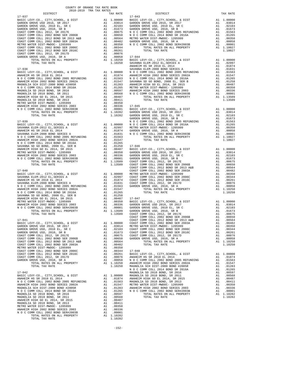| ANAHEIM<br>SAVANNA<br>$17 - 038$<br>$\begin{tabular}{l c c c c} \multicolumn{1}{c}{17-038} & \multicolumn{1}{c}{SAVANNA} \\ \multicolumn{1}{c}{\textbf{AASLIC LEVY-C0.}} & \multicolumn{1}{c}{C177} & \multicolumn{1}{c}{\textbf{AASLIC L2002 BOND 2005 REFUNDING}} & \multicolumn{1}{c}{\textbf{A1}} & \multicolumn{1}{c}{.01874} & \multicolumn{1}{c}{\textbf{ANAEEM N}} \\ \multicolumn{1}{c}{\textbf{ANAEEM N IS SR 2018 EL 2014}} & \multicolumn{1}{c}{\textbf{$<br>$\begin{tabular}{l c c c} \multicolumn{4}{c}{\textbf{DTAL TAX RATE}} & \multicolumn{4}{c}{\textbf{DTAL TAX RATE}} & \multicolumn{4}{c}{\textbf{DTAL TAX RATE}} & \multicolumn{4}{c}{\textbf{DTAL TAX RATE}} & \multicolumn{4}{c}{\textbf{DTAL TAX RATE}} & \multicolumn{4}{c}{\textbf{M O C C}} \\ \multicolumn{4}{c}{\textbf{BAST C EWANDN} ELEM-2012} \quad \textbf{EL}, \textbf{SERIES A} & \textbf{A1} & \textbf{0.2997} & \textbf{M C C C} \\ \multicolumn{$<br>COAST COMM COLL 2012 BOND SR 2013 A&B<br>A1<br>A1 .00564<br>A1 .00482<br>COAST COMM COLL 2002 BOND SER 2003A<br>METRO WATER DIST-MWDOC- 1205999<br>A1 .00350<br>COAST COMM COLL 2002 BOND SER 2006C<br>A1 .00344<br>17-048<br>COAST COMM COLL 2012 BOND SER 2016C<br>A1 .00261 BASIC L<br>A1 .00076 ANAHEIM<br>A1 .00058 N O C C<br>A1 1.10250 ANAHEIM<br>A1 1.10250 ANAHEIM<br>COAST COMM COLL 2012, SR 2017D<br>GARDEN GROVE USD, 2010, SR A<br>TOTAL RATES ON ALL PROPERTY<br>TOTAL TAX RATE<br>1.10250<br>MAGNOLI<br>NOCC<br>$17 - 042$<br>BASIC LEVY-CO., CITY, SCHOOL, & DIST<br>A1 1.00000<br>ANAHEIM HS SR 2018 EL 2014<br>A1.01874<br>ANAHEIM<br>N O C COMM COLL 2002 BOND 2005 REFUNDING<br>A1 .01563<br>A1 .01563<br>A1 .01547<br>METRO W<br>A1 .01283<br>MAHEIM<br>A1 .01265<br>N O C C<br>ANAHEIM HIGH 2002 BOND SERIES 2002A<br>MAGNOLIA SCH DIST-2000 BOND #2005R<br>N O C COMM COLL 2014 BOND SR 2016A<br>MAGNOLIA SD 2010 BOND, SR 2016<br>A1.00597<br>MAGNOLIA SD 2010 BOND, SR 2011<br>A1 .00568<br>ANAHEIM HIGH GO EL 2014, SR 2015<br>A1 .00487<br>A1 .00411<br>A1 .00350<br>MAGNOLIA SD 2010 BOND, SR 2013<br>METRO WATER DIST-MWDOC- 1205999<br>ANAHEIM HIGH 2002 BOND SERIES 2003<br>A1 .00336<br>N O C COMM COLL 2002 BOND SER#2003B<br>.00001<br>A1<br>TOTAL RATES ON ALL PROPERTY<br>A1 1.10282<br>TOTAL TAX RATE<br>1.10282 |  |  |         |
|-------------------------------------------------------------------------------------------------------------------------------------------------------------------------------------------------------------------------------------------------------------------------------------------------------------------------------------------------------------------------------------------------------------------------------------------------------------------------------------------------------------------------------------------------------------------------------------------------------------------------------------------------------------------------------------------------------------------------------------------------------------------------------------------------------------------------------------------------------------------------------------------------------------------------------------------------------------------------------------------------------------------------------------------------------------------------------------------------------------------------------------------------------------------------------------------------------------------------------------------------------------------------------------------------------------------------------------------------------------------------------------------------------------------------------------------------------------------------------------------------------------------------------------------------------------------------------------------------------------------------------------------------------------------------------------------------------------------------------------------------------------------------------------------------------------------------------------------------------------------------------------------------------------------------------------------------------------------------------------------------------------------------------------------------------------------------------------------------------------------------------------------------------------------------------------------------------------------------------------------------------------------------------------------------------|--|--|---------|
|                                                                                                                                                                                                                                                                                                                                                                                                                                                                                                                                                                                                                                                                                                                                                                                                                                                                                                                                                                                                                                                                                                                                                                                                                                                                                                                                                                                                                                                                                                                                                                                                                                                                                                                                                                                                                                                                                                                                                                                                                                                                                                                                                                                                                                                                                                       |  |  |         |
|                                                                                                                                                                                                                                                                                                                                                                                                                                                                                                                                                                                                                                                                                                                                                                                                                                                                                                                                                                                                                                                                                                                                                                                                                                                                                                                                                                                                                                                                                                                                                                                                                                                                                                                                                                                                                                                                                                                                                                                                                                                                                                                                                                                                                                                                                                       |  |  |         |
|                                                                                                                                                                                                                                                                                                                                                                                                                                                                                                                                                                                                                                                                                                                                                                                                                                                                                                                                                                                                                                                                                                                                                                                                                                                                                                                                                                                                                                                                                                                                                                                                                                                                                                                                                                                                                                                                                                                                                                                                                                                                                                                                                                                                                                                                                                       |  |  |         |
|                                                                                                                                                                                                                                                                                                                                                                                                                                                                                                                                                                                                                                                                                                                                                                                                                                                                                                                                                                                                                                                                                                                                                                                                                                                                                                                                                                                                                                                                                                                                                                                                                                                                                                                                                                                                                                                                                                                                                                                                                                                                                                                                                                                                                                                                                                       |  |  |         |
|                                                                                                                                                                                                                                                                                                                                                                                                                                                                                                                                                                                                                                                                                                                                                                                                                                                                                                                                                                                                                                                                                                                                                                                                                                                                                                                                                                                                                                                                                                                                                                                                                                                                                                                                                                                                                                                                                                                                                                                                                                                                                                                                                                                                                                                                                                       |  |  |         |
|                                                                                                                                                                                                                                                                                                                                                                                                                                                                                                                                                                                                                                                                                                                                                                                                                                                                                                                                                                                                                                                                                                                                                                                                                                                                                                                                                                                                                                                                                                                                                                                                                                                                                                                                                                                                                                                                                                                                                                                                                                                                                                                                                                                                                                                                                                       |  |  |         |
|                                                                                                                                                                                                                                                                                                                                                                                                                                                                                                                                                                                                                                                                                                                                                                                                                                                                                                                                                                                                                                                                                                                                                                                                                                                                                                                                                                                                                                                                                                                                                                                                                                                                                                                                                                                                                                                                                                                                                                                                                                                                                                                                                                                                                                                                                                       |  |  |         |
|                                                                                                                                                                                                                                                                                                                                                                                                                                                                                                                                                                                                                                                                                                                                                                                                                                                                                                                                                                                                                                                                                                                                                                                                                                                                                                                                                                                                                                                                                                                                                                                                                                                                                                                                                                                                                                                                                                                                                                                                                                                                                                                                                                                                                                                                                                       |  |  |         |
|                                                                                                                                                                                                                                                                                                                                                                                                                                                                                                                                                                                                                                                                                                                                                                                                                                                                                                                                                                                                                                                                                                                                                                                                                                                                                                                                                                                                                                                                                                                                                                                                                                                                                                                                                                                                                                                                                                                                                                                                                                                                                                                                                                                                                                                                                                       |  |  |         |
|                                                                                                                                                                                                                                                                                                                                                                                                                                                                                                                                                                                                                                                                                                                                                                                                                                                                                                                                                                                                                                                                                                                                                                                                                                                                                                                                                                                                                                                                                                                                                                                                                                                                                                                                                                                                                                                                                                                                                                                                                                                                                                                                                                                                                                                                                                       |  |  |         |
|                                                                                                                                                                                                                                                                                                                                                                                                                                                                                                                                                                                                                                                                                                                                                                                                                                                                                                                                                                                                                                                                                                                                                                                                                                                                                                                                                                                                                                                                                                                                                                                                                                                                                                                                                                                                                                                                                                                                                                                                                                                                                                                                                                                                                                                                                                       |  |  |         |
|                                                                                                                                                                                                                                                                                                                                                                                                                                                                                                                                                                                                                                                                                                                                                                                                                                                                                                                                                                                                                                                                                                                                                                                                                                                                                                                                                                                                                                                                                                                                                                                                                                                                                                                                                                                                                                                                                                                                                                                                                                                                                                                                                                                                                                                                                                       |  |  |         |
|                                                                                                                                                                                                                                                                                                                                                                                                                                                                                                                                                                                                                                                                                                                                                                                                                                                                                                                                                                                                                                                                                                                                                                                                                                                                                                                                                                                                                                                                                                                                                                                                                                                                                                                                                                                                                                                                                                                                                                                                                                                                                                                                                                                                                                                                                                       |  |  |         |
|                                                                                                                                                                                                                                                                                                                                                                                                                                                                                                                                                                                                                                                                                                                                                                                                                                                                                                                                                                                                                                                                                                                                                                                                                                                                                                                                                                                                                                                                                                                                                                                                                                                                                                                                                                                                                                                                                                                                                                                                                                                                                                                                                                                                                                                                                                       |  |  |         |
|                                                                                                                                                                                                                                                                                                                                                                                                                                                                                                                                                                                                                                                                                                                                                                                                                                                                                                                                                                                                                                                                                                                                                                                                                                                                                                                                                                                                                                                                                                                                                                                                                                                                                                                                                                                                                                                                                                                                                                                                                                                                                                                                                                                                                                                                                                       |  |  |         |
|                                                                                                                                                                                                                                                                                                                                                                                                                                                                                                                                                                                                                                                                                                                                                                                                                                                                                                                                                                                                                                                                                                                                                                                                                                                                                                                                                                                                                                                                                                                                                                                                                                                                                                                                                                                                                                                                                                                                                                                                                                                                                                                                                                                                                                                                                                       |  |  |         |
|                                                                                                                                                                                                                                                                                                                                                                                                                                                                                                                                                                                                                                                                                                                                                                                                                                                                                                                                                                                                                                                                                                                                                                                                                                                                                                                                                                                                                                                                                                                                                                                                                                                                                                                                                                                                                                                                                                                                                                                                                                                                                                                                                                                                                                                                                                       |  |  |         |
|                                                                                                                                                                                                                                                                                                                                                                                                                                                                                                                                                                                                                                                                                                                                                                                                                                                                                                                                                                                                                                                                                                                                                                                                                                                                                                                                                                                                                                                                                                                                                                                                                                                                                                                                                                                                                                                                                                                                                                                                                                                                                                                                                                                                                                                                                                       |  |  |         |
|                                                                                                                                                                                                                                                                                                                                                                                                                                                                                                                                                                                                                                                                                                                                                                                                                                                                                                                                                                                                                                                                                                                                                                                                                                                                                                                                                                                                                                                                                                                                                                                                                                                                                                                                                                                                                                                                                                                                                                                                                                                                                                                                                                                                                                                                                                       |  |  |         |
|                                                                                                                                                                                                                                                                                                                                                                                                                                                                                                                                                                                                                                                                                                                                                                                                                                                                                                                                                                                                                                                                                                                                                                                                                                                                                                                                                                                                                                                                                                                                                                                                                                                                                                                                                                                                                                                                                                                                                                                                                                                                                                                                                                                                                                                                                                       |  |  |         |
|                                                                                                                                                                                                                                                                                                                                                                                                                                                                                                                                                                                                                                                                                                                                                                                                                                                                                                                                                                                                                                                                                                                                                                                                                                                                                                                                                                                                                                                                                                                                                                                                                                                                                                                                                                                                                                                                                                                                                                                                                                                                                                                                                                                                                                                                                                       |  |  |         |
|                                                                                                                                                                                                                                                                                                                                                                                                                                                                                                                                                                                                                                                                                                                                                                                                                                                                                                                                                                                                                                                                                                                                                                                                                                                                                                                                                                                                                                                                                                                                                                                                                                                                                                                                                                                                                                                                                                                                                                                                                                                                                                                                                                                                                                                                                                       |  |  |         |
|                                                                                                                                                                                                                                                                                                                                                                                                                                                                                                                                                                                                                                                                                                                                                                                                                                                                                                                                                                                                                                                                                                                                                                                                                                                                                                                                                                                                                                                                                                                                                                                                                                                                                                                                                                                                                                                                                                                                                                                                                                                                                                                                                                                                                                                                                                       |  |  |         |
|                                                                                                                                                                                                                                                                                                                                                                                                                                                                                                                                                                                                                                                                                                                                                                                                                                                                                                                                                                                                                                                                                                                                                                                                                                                                                                                                                                                                                                                                                                                                                                                                                                                                                                                                                                                                                                                                                                                                                                                                                                                                                                                                                                                                                                                                                                       |  |  |         |
|                                                                                                                                                                                                                                                                                                                                                                                                                                                                                                                                                                                                                                                                                                                                                                                                                                                                                                                                                                                                                                                                                                                                                                                                                                                                                                                                                                                                                                                                                                                                                                                                                                                                                                                                                                                                                                                                                                                                                                                                                                                                                                                                                                                                                                                                                                       |  |  |         |
|                                                                                                                                                                                                                                                                                                                                                                                                                                                                                                                                                                                                                                                                                                                                                                                                                                                                                                                                                                                                                                                                                                                                                                                                                                                                                                                                                                                                                                                                                                                                                                                                                                                                                                                                                                                                                                                                                                                                                                                                                                                                                                                                                                                                                                                                                                       |  |  |         |
|                                                                                                                                                                                                                                                                                                                                                                                                                                                                                                                                                                                                                                                                                                                                                                                                                                                                                                                                                                                                                                                                                                                                                                                                                                                                                                                                                                                                                                                                                                                                                                                                                                                                                                                                                                                                                                                                                                                                                                                                                                                                                                                                                                                                                                                                                                       |  |  |         |
|                                                                                                                                                                                                                                                                                                                                                                                                                                                                                                                                                                                                                                                                                                                                                                                                                                                                                                                                                                                                                                                                                                                                                                                                                                                                                                                                                                                                                                                                                                                                                                                                                                                                                                                                                                                                                                                                                                                                                                                                                                                                                                                                                                                                                                                                                                       |  |  |         |
|                                                                                                                                                                                                                                                                                                                                                                                                                                                                                                                                                                                                                                                                                                                                                                                                                                                                                                                                                                                                                                                                                                                                                                                                                                                                                                                                                                                                                                                                                                                                                                                                                                                                                                                                                                                                                                                                                                                                                                                                                                                                                                                                                                                                                                                                                                       |  |  |         |
|                                                                                                                                                                                                                                                                                                                                                                                                                                                                                                                                                                                                                                                                                                                                                                                                                                                                                                                                                                                                                                                                                                                                                                                                                                                                                                                                                                                                                                                                                                                                                                                                                                                                                                                                                                                                                                                                                                                                                                                                                                                                                                                                                                                                                                                                                                       |  |  |         |
|                                                                                                                                                                                                                                                                                                                                                                                                                                                                                                                                                                                                                                                                                                                                                                                                                                                                                                                                                                                                                                                                                                                                                                                                                                                                                                                                                                                                                                                                                                                                                                                                                                                                                                                                                                                                                                                                                                                                                                                                                                                                                                                                                                                                                                                                                                       |  |  |         |
|                                                                                                                                                                                                                                                                                                                                                                                                                                                                                                                                                                                                                                                                                                                                                                                                                                                                                                                                                                                                                                                                                                                                                                                                                                                                                                                                                                                                                                                                                                                                                                                                                                                                                                                                                                                                                                                                                                                                                                                                                                                                                                                                                                                                                                                                                                       |  |  |         |
|                                                                                                                                                                                                                                                                                                                                                                                                                                                                                                                                                                                                                                                                                                                                                                                                                                                                                                                                                                                                                                                                                                                                                                                                                                                                                                                                                                                                                                                                                                                                                                                                                                                                                                                                                                                                                                                                                                                                                                                                                                                                                                                                                                                                                                                                                                       |  |  |         |
|                                                                                                                                                                                                                                                                                                                                                                                                                                                                                                                                                                                                                                                                                                                                                                                                                                                                                                                                                                                                                                                                                                                                                                                                                                                                                                                                                                                                                                                                                                                                                                                                                                                                                                                                                                                                                                                                                                                                                                                                                                                                                                                                                                                                                                                                                                       |  |  |         |
|                                                                                                                                                                                                                                                                                                                                                                                                                                                                                                                                                                                                                                                                                                                                                                                                                                                                                                                                                                                                                                                                                                                                                                                                                                                                                                                                                                                                                                                                                                                                                                                                                                                                                                                                                                                                                                                                                                                                                                                                                                                                                                                                                                                                                                                                                                       |  |  |         |
|                                                                                                                                                                                                                                                                                                                                                                                                                                                                                                                                                                                                                                                                                                                                                                                                                                                                                                                                                                                                                                                                                                                                                                                                                                                                                                                                                                                                                                                                                                                                                                                                                                                                                                                                                                                                                                                                                                                                                                                                                                                                                                                                                                                                                                                                                                       |  |  |         |
|                                                                                                                                                                                                                                                                                                                                                                                                                                                                                                                                                                                                                                                                                                                                                                                                                                                                                                                                                                                                                                                                                                                                                                                                                                                                                                                                                                                                                                                                                                                                                                                                                                                                                                                                                                                                                                                                                                                                                                                                                                                                                                                                                                                                                                                                                                       |  |  |         |
|                                                                                                                                                                                                                                                                                                                                                                                                                                                                                                                                                                                                                                                                                                                                                                                                                                                                                                                                                                                                                                                                                                                                                                                                                                                                                                                                                                                                                                                                                                                                                                                                                                                                                                                                                                                                                                                                                                                                                                                                                                                                                                                                                                                                                                                                                                       |  |  |         |
|                                                                                                                                                                                                                                                                                                                                                                                                                                                                                                                                                                                                                                                                                                                                                                                                                                                                                                                                                                                                                                                                                                                                                                                                                                                                                                                                                                                                                                                                                                                                                                                                                                                                                                                                                                                                                                                                                                                                                                                                                                                                                                                                                                                                                                                                                                       |  |  |         |
|                                                                                                                                                                                                                                                                                                                                                                                                                                                                                                                                                                                                                                                                                                                                                                                                                                                                                                                                                                                                                                                                                                                                                                                                                                                                                                                                                                                                                                                                                                                                                                                                                                                                                                                                                                                                                                                                                                                                                                                                                                                                                                                                                                                                                                                                                                       |  |  |         |
|                                                                                                                                                                                                                                                                                                                                                                                                                                                                                                                                                                                                                                                                                                                                                                                                                                                                                                                                                                                                                                                                                                                                                                                                                                                                                                                                                                                                                                                                                                                                                                                                                                                                                                                                                                                                                                                                                                                                                                                                                                                                                                                                                                                                                                                                                                       |  |  |         |
|                                                                                                                                                                                                                                                                                                                                                                                                                                                                                                                                                                                                                                                                                                                                                                                                                                                                                                                                                                                                                                                                                                                                                                                                                                                                                                                                                                                                                                                                                                                                                                                                                                                                                                                                                                                                                                                                                                                                                                                                                                                                                                                                                                                                                                                                                                       |  |  |         |
|                                                                                                                                                                                                                                                                                                                                                                                                                                                                                                                                                                                                                                                                                                                                                                                                                                                                                                                                                                                                                                                                                                                                                                                                                                                                                                                                                                                                                                                                                                                                                                                                                                                                                                                                                                                                                                                                                                                                                                                                                                                                                                                                                                                                                                                                                                       |  |  |         |
|                                                                                                                                                                                                                                                                                                                                                                                                                                                                                                                                                                                                                                                                                                                                                                                                                                                                                                                                                                                                                                                                                                                                                                                                                                                                                                                                                                                                                                                                                                                                                                                                                                                                                                                                                                                                                                                                                                                                                                                                                                                                                                                                                                                                                                                                                                       |  |  |         |
|                                                                                                                                                                                                                                                                                                                                                                                                                                                                                                                                                                                                                                                                                                                                                                                                                                                                                                                                                                                                                                                                                                                                                                                                                                                                                                                                                                                                                                                                                                                                                                                                                                                                                                                                                                                                                                                                                                                                                                                                                                                                                                                                                                                                                                                                                                       |  |  |         |
|                                                                                                                                                                                                                                                                                                                                                                                                                                                                                                                                                                                                                                                                                                                                                                                                                                                                                                                                                                                                                                                                                                                                                                                                                                                                                                                                                                                                                                                                                                                                                                                                                                                                                                                                                                                                                                                                                                                                                                                                                                                                                                                                                                                                                                                                                                       |  |  |         |
|                                                                                                                                                                                                                                                                                                                                                                                                                                                                                                                                                                                                                                                                                                                                                                                                                                                                                                                                                                                                                                                                                                                                                                                                                                                                                                                                                                                                                                                                                                                                                                                                                                                                                                                                                                                                                                                                                                                                                                                                                                                                                                                                                                                                                                                                                                       |  |  |         |
|                                                                                                                                                                                                                                                                                                                                                                                                                                                                                                                                                                                                                                                                                                                                                                                                                                                                                                                                                                                                                                                                                                                                                                                                                                                                                                                                                                                                                                                                                                                                                                                                                                                                                                                                                                                                                                                                                                                                                                                                                                                                                                                                                                                                                                                                                                       |  |  | COAST C |
|                                                                                                                                                                                                                                                                                                                                                                                                                                                                                                                                                                                                                                                                                                                                                                                                                                                                                                                                                                                                                                                                                                                                                                                                                                                                                                                                                                                                                                                                                                                                                                                                                                                                                                                                                                                                                                                                                                                                                                                                                                                                                                                                                                                                                                                                                                       |  |  |         |
|                                                                                                                                                                                                                                                                                                                                                                                                                                                                                                                                                                                                                                                                                                                                                                                                                                                                                                                                                                                                                                                                                                                                                                                                                                                                                                                                                                                                                                                                                                                                                                                                                                                                                                                                                                                                                                                                                                                                                                                                                                                                                                                                                                                                                                                                                                       |  |  |         |
|                                                                                                                                                                                                                                                                                                                                                                                                                                                                                                                                                                                                                                                                                                                                                                                                                                                                                                                                                                                                                                                                                                                                                                                                                                                                                                                                                                                                                                                                                                                                                                                                                                                                                                                                                                                                                                                                                                                                                                                                                                                                                                                                                                                                                                                                                                       |  |  |         |
|                                                                                                                                                                                                                                                                                                                                                                                                                                                                                                                                                                                                                                                                                                                                                                                                                                                                                                                                                                                                                                                                                                                                                                                                                                                                                                                                                                                                                                                                                                                                                                                                                                                                                                                                                                                                                                                                                                                                                                                                                                                                                                                                                                                                                                                                                                       |  |  |         |
|                                                                                                                                                                                                                                                                                                                                                                                                                                                                                                                                                                                                                                                                                                                                                                                                                                                                                                                                                                                                                                                                                                                                                                                                                                                                                                                                                                                                                                                                                                                                                                                                                                                                                                                                                                                                                                                                                                                                                                                                                                                                                                                                                                                                                                                                                                       |  |  |         |
|                                                                                                                                                                                                                                                                                                                                                                                                                                                                                                                                                                                                                                                                                                                                                                                                                                                                                                                                                                                                                                                                                                                                                                                                                                                                                                                                                                                                                                                                                                                                                                                                                                                                                                                                                                                                                                                                                                                                                                                                                                                                                                                                                                                                                                                                                                       |  |  |         |
|                                                                                                                                                                                                                                                                                                                                                                                                                                                                                                                                                                                                                                                                                                                                                                                                                                                                                                                                                                                                                                                                                                                                                                                                                                                                                                                                                                                                                                                                                                                                                                                                                                                                                                                                                                                                                                                                                                                                                                                                                                                                                                                                                                                                                                                                                                       |  |  |         |
|                                                                                                                                                                                                                                                                                                                                                                                                                                                                                                                                                                                                                                                                                                                                                                                                                                                                                                                                                                                                                                                                                                                                                                                                                                                                                                                                                                                                                                                                                                                                                                                                                                                                                                                                                                                                                                                                                                                                                                                                                                                                                                                                                                                                                                                                                                       |  |  |         |
|                                                                                                                                                                                                                                                                                                                                                                                                                                                                                                                                                                                                                                                                                                                                                                                                                                                                                                                                                                                                                                                                                                                                                                                                                                                                                                                                                                                                                                                                                                                                                                                                                                                                                                                                                                                                                                                                                                                                                                                                                                                                                                                                                                                                                                                                                                       |  |  |         |
|                                                                                                                                                                                                                                                                                                                                                                                                                                                                                                                                                                                                                                                                                                                                                                                                                                                                                                                                                                                                                                                                                                                                                                                                                                                                                                                                                                                                                                                                                                                                                                                                                                                                                                                                                                                                                                                                                                                                                                                                                                                                                                                                                                                                                                                                                                       |  |  |         |
|                                                                                                                                                                                                                                                                                                                                                                                                                                                                                                                                                                                                                                                                                                                                                                                                                                                                                                                                                                                                                                                                                                                                                                                                                                                                                                                                                                                                                                                                                                                                                                                                                                                                                                                                                                                                                                                                                                                                                                                                                                                                                                                                                                                                                                                                                                       |  |  |         |
|                                                                                                                                                                                                                                                                                                                                                                                                                                                                                                                                                                                                                                                                                                                                                                                                                                                                                                                                                                                                                                                                                                                                                                                                                                                                                                                                                                                                                                                                                                                                                                                                                                                                                                                                                                                                                                                                                                                                                                                                                                                                                                                                                                                                                                                                                                       |  |  |         |
|                                                                                                                                                                                                                                                                                                                                                                                                                                                                                                                                                                                                                                                                                                                                                                                                                                                                                                                                                                                                                                                                                                                                                                                                                                                                                                                                                                                                                                                                                                                                                                                                                                                                                                                                                                                                                                                                                                                                                                                                                                                                                                                                                                                                                                                                                                       |  |  |         |
|                                                                                                                                                                                                                                                                                                                                                                                                                                                                                                                                                                                                                                                                                                                                                                                                                                                                                                                                                                                                                                                                                                                                                                                                                                                                                                                                                                                                                                                                                                                                                                                                                                                                                                                                                                                                                                                                                                                                                                                                                                                                                                                                                                                                                                                                                                       |  |  | MAGNOLI |
|                                                                                                                                                                                                                                                                                                                                                                                                                                                                                                                                                                                                                                                                                                                                                                                                                                                                                                                                                                                                                                                                                                                                                                                                                                                                                                                                                                                                                                                                                                                                                                                                                                                                                                                                                                                                                                                                                                                                                                                                                                                                                                                                                                                                                                                                                                       |  |  | MAGNOLI |
|                                                                                                                                                                                                                                                                                                                                                                                                                                                                                                                                                                                                                                                                                                                                                                                                                                                                                                                                                                                                                                                                                                                                                                                                                                                                                                                                                                                                                                                                                                                                                                                                                                                                                                                                                                                                                                                                                                                                                                                                                                                                                                                                                                                                                                                                                                       |  |  |         |
|                                                                                                                                                                                                                                                                                                                                                                                                                                                                                                                                                                                                                                                                                                                                                                                                                                                                                                                                                                                                                                                                                                                                                                                                                                                                                                                                                                                                                                                                                                                                                                                                                                                                                                                                                                                                                                                                                                                                                                                                                                                                                                                                                                                                                                                                                                       |  |  |         |
|                                                                                                                                                                                                                                                                                                                                                                                                                                                                                                                                                                                                                                                                                                                                                                                                                                                                                                                                                                                                                                                                                                                                                                                                                                                                                                                                                                                                                                                                                                                                                                                                                                                                                                                                                                                                                                                                                                                                                                                                                                                                                                                                                                                                                                                                                                       |  |  |         |
|                                                                                                                                                                                                                                                                                                                                                                                                                                                                                                                                                                                                                                                                                                                                                                                                                                                                                                                                                                                                                                                                                                                                                                                                                                                                                                                                                                                                                                                                                                                                                                                                                                                                                                                                                                                                                                                                                                                                                                                                                                                                                                                                                                                                                                                                                                       |  |  |         |
|                                                                                                                                                                                                                                                                                                                                                                                                                                                                                                                                                                                                                                                                                                                                                                                                                                                                                                                                                                                                                                                                                                                                                                                                                                                                                                                                                                                                                                                                                                                                                                                                                                                                                                                                                                                                                                                                                                                                                                                                                                                                                                                                                                                                                                                                                                       |  |  |         |
|                                                                                                                                                                                                                                                                                                                                                                                                                                                                                                                                                                                                                                                                                                                                                                                                                                                                                                                                                                                                                                                                                                                                                                                                                                                                                                                                                                                                                                                                                                                                                                                                                                                                                                                                                                                                                                                                                                                                                                                                                                                                                                                                                                                                                                                                                                       |  |  |         |
|                                                                                                                                                                                                                                                                                                                                                                                                                                                                                                                                                                                                                                                                                                                                                                                                                                                                                                                                                                                                                                                                                                                                                                                                                                                                                                                                                                                                                                                                                                                                                                                                                                                                                                                                                                                                                                                                                                                                                                                                                                                                                                                                                                                                                                                                                                       |  |  |         |
|                                                                                                                                                                                                                                                                                                                                                                                                                                                                                                                                                                                                                                                                                                                                                                                                                                                                                                                                                                                                                                                                                                                                                                                                                                                                                                                                                                                                                                                                                                                                                                                                                                                                                                                                                                                                                                                                                                                                                                                                                                                                                                                                                                                                                                                                                                       |  |  |         |
|                                                                                                                                                                                                                                                                                                                                                                                                                                                                                                                                                                                                                                                                                                                                                                                                                                                                                                                                                                                                                                                                                                                                                                                                                                                                                                                                                                                                                                                                                                                                                                                                                                                                                                                                                                                                                                                                                                                                                                                                                                                                                                                                                                                                                                                                                                       |  |  |         |
|                                                                                                                                                                                                                                                                                                                                                                                                                                                                                                                                                                                                                                                                                                                                                                                                                                                                                                                                                                                                                                                                                                                                                                                                                                                                                                                                                                                                                                                                                                                                                                                                                                                                                                                                                                                                                                                                                                                                                                                                                                                                                                                                                                                                                                                                                                       |  |  |         |
|                                                                                                                                                                                                                                                                                                                                                                                                                                                                                                                                                                                                                                                                                                                                                                                                                                                                                                                                                                                                                                                                                                                                                                                                                                                                                                                                                                                                                                                                                                                                                                                                                                                                                                                                                                                                                                                                                                                                                                                                                                                                                                                                                                                                                                                                                                       |  |  |         |

| TAX RATE<br>DISTRICT |  | DISTRICT | TAX RATE |
|----------------------|--|----------|----------|
|                      |  |          |          |
|                      |  |          |          |
|                      |  |          |          |
|                      |  |          |          |
|                      |  |          |          |
|                      |  |          |          |
|                      |  |          |          |
|                      |  |          |          |
|                      |  |          |          |
|                      |  |          |          |
|                      |  |          |          |
|                      |  |          |          |
|                      |  |          |          |
|                      |  |          |          |
|                      |  |          |          |
|                      |  |          |          |
|                      |  |          |          |
|                      |  |          |          |
|                      |  |          |          |
|                      |  |          |          |
|                      |  |          |          |
|                      |  |          |          |
|                      |  |          |          |
|                      |  |          |          |
|                      |  |          |          |
|                      |  |          |          |
|                      |  |          |          |
|                      |  |          |          |
|                      |  |          |          |
|                      |  |          |          |
|                      |  |          |          |
|                      |  |          |          |
|                      |  |          |          |
|                      |  |          |          |
|                      |  |          |          |
|                      |  |          |          |
|                      |  |          |          |
|                      |  |          |          |
|                      |  |          |          |
|                      |  |          |          |
|                      |  |          |          |
|                      |  |          |          |
|                      |  |          |          |
|                      |  |          |          |
|                      |  |          |          |
|                      |  |          |          |
|                      |  |          |          |
|                      |  |          |          |
|                      |  |          |          |
|                      |  |          |          |
|                      |  |          |          |
|                      |  |          |          |
|                      |  |          |          |
|                      |  |          |          |
|                      |  |          |          |
|                      |  |          |          |
|                      |  |          |          |
|                      |  |          |          |
|                      |  |          |          |
|                      |  |          |          |
|                      |  |          |          |
|                      |  |          |          |
|                      |  |          |          |
|                      |  |          |          |
|                      |  |          |          |
|                      |  |          |          |
|                      |  |          |          |
|                      |  |          |          |
|                      |  |          |          |
|                      |  |          |          |
|                      |  |          |          |
|                      |  |          |          |
|                      |  |          |          |
|                      |  |          |          |
|                      |  |          |          |
|                      |  |          |          |
|                      |  |          |          |
|                      |  |          |          |
|                      |  |          |          |
|                      |  |          |          |
|                      |  |          |          |
|                      |  |          |          |
|                      |  |          |          |
|                      |  |          |          |
|                      |  |          |          |
|                      |  |          |          |
|                      |  |          |          |
|                      |  |          |          |
|                      |  |          |          |
|                      |  |          |          |
|                      |  |          |          |
|                      |  |          |          |
|                      |  |          |          |
|                      |  |          |          |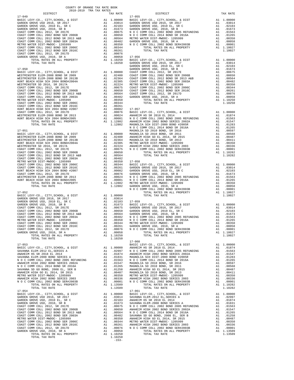| $17 - 052$                                                                                                                                                                                                                                           |            |          | NOCC       |
|------------------------------------------------------------------------------------------------------------------------------------------------------------------------------------------------------------------------------------------------------|------------|----------|------------|
| BASIC LEVY-CO., CITY, SCHOOL, & DIST                                                                                                                                                                                                                 | A1 1.00000 |          |            |
| GARDEN GROVE USD 2016, SR 2017                                                                                                                                                                                                                       |            | A1.03014 |            |
|                                                                                                                                                                                                                                                      |            |          |            |
|                                                                                                                                                                                                                                                      |            |          |            |
|                                                                                                                                                                                                                                                      |            |          |            |
|                                                                                                                                                                                                                                                      |            |          |            |
|                                                                                                                                                                                                                                                      |            |          |            |
|                                                                                                                                                                                                                                                      |            |          |            |
|                                                                                                                                                                                                                                                      |            |          |            |
|                                                                                                                                                                                                                                                      |            |          |            |
|                                                                                                                                                                                                                                                      |            |          |            |
|                                                                                                                                                                                                                                                      |            |          |            |
|                                                                                                                                                                                                                                                      |            |          |            |
|                                                                                                                                                                                                                                                      |            |          |            |
| TOTAL TAX RATE                                                                                                                                                                                                                                       |            | 1.10250  |            |
|                                                                                                                                                                                                                                                      |            |          | $17 - 060$ |
| $17 - 053$                                                                                                                                                                                                                                           |            |          | BASIC L    |
|                                                                                                                                                                                                                                                      |            |          |            |
|                                                                                                                                                                                                                                                      |            |          |            |
|                                                                                                                                                                                                                                                      |            |          |            |
|                                                                                                                                                                                                                                                      |            |          |            |
|                                                                                                                                                                                                                                                      |            |          |            |
|                                                                                                                                                                                                                                                      |            |          |            |
|                                                                                                                                                                                                                                                      |            |          |            |
|                                                                                                                                                                                                                                                      |            |          |            |
|                                                                                                                                                                                                                                                      |            |          |            |
|                                                                                                                                                                                                                                                      |            |          |            |
|                                                                                                                                                                                                                                                      |            |          |            |
|                                                                                                                                                                                                                                                      |            |          |            |
| TOTAL TAX RATE                                                                                                                                                                                                                                       |            | 1.13509  |            |
| $17 - 054$                                                                                                                                                                                                                                           |            |          | $17 - 061$ |
|                                                                                                                                                                                                                                                      |            |          |            |
|                                                                                                                                                                                                                                                      |            |          |            |
|                                                                                                                                                                                                                                                      |            |          |            |
|                                                                                                                                                                                                                                                      |            |          |            |
|                                                                                                                                                                                                                                                      |            |          |            |
|                                                                                                                                                                                                                                                      |            |          |            |
|                                                                                                                                                                                                                                                      |            |          |            |
|                                                                                                                                                                                                                                                      |            |          |            |
| 41 . 00344<br>1999 - MITCH MOOC 1205999<br>2006 - Al . 00344<br>2007 - Al . 00344<br>2007 - Al . 00261<br>2007 - Al . 00261<br>2007 - Al . 00058<br>2007 - Al . 00058<br>2007 - Al . 00058<br>2007 - Al . 00058<br>2007 - Al . 10250<br>2007 - Al 1. |            |          |            |
|                                                                                                                                                                                                                                                      |            |          |            |
|                                                                                                                                                                                                                                                      |            |          |            |
| GARDEN GROVE USD, 2010, SR A                                                                                                                                                                                                                         |            |          |            |
|                                                                                                                                                                                                                                                      |            |          |            |
| TOTAL TAX RATE                                                                                                                                                                                                                                       |            | 1.10250  |            |
|                                                                                                                                                                                                                                                      |            | $-153-$  |            |
|                                                                                                                                                                                                                                                      |            |          |            |

| TAX RATE<br>DISTRICT |  | DISTRICT   | TAX RATE |
|----------------------|--|------------|----------|
|                      |  |            |          |
|                      |  |            |          |
|                      |  |            |          |
|                      |  |            |          |
|                      |  |            |          |
|                      |  |            |          |
|                      |  |            |          |
|                      |  |            |          |
|                      |  |            |          |
|                      |  |            |          |
|                      |  |            |          |
|                      |  |            |          |
|                      |  |            |          |
|                      |  |            |          |
|                      |  |            |          |
|                      |  |            |          |
|                      |  |            |          |
|                      |  |            |          |
|                      |  |            |          |
|                      |  |            |          |
|                      |  |            |          |
|                      |  |            |          |
|                      |  |            |          |
|                      |  |            |          |
|                      |  |            |          |
|                      |  |            |          |
|                      |  |            |          |
|                      |  |            |          |
|                      |  |            |          |
|                      |  |            |          |
|                      |  |            |          |
|                      |  |            |          |
|                      |  |            |          |
|                      |  |            |          |
|                      |  |            |          |
|                      |  |            |          |
|                      |  |            |          |
|                      |  |            |          |
|                      |  |            |          |
|                      |  |            |          |
|                      |  |            |          |
|                      |  |            |          |
|                      |  |            |          |
|                      |  |            |          |
|                      |  |            |          |
|                      |  |            |          |
|                      |  |            |          |
|                      |  |            |          |
|                      |  |            |          |
|                      |  |            |          |
|                      |  |            |          |
|                      |  |            |          |
|                      |  |            |          |
|                      |  |            |          |
|                      |  |            |          |
|                      |  |            |          |
|                      |  |            |          |
|                      |  |            |          |
|                      |  |            |          |
|                      |  |            |          |
|                      |  |            |          |
|                      |  |            |          |
|                      |  |            |          |
|                      |  |            |          |
|                      |  |            |          |
|                      |  |            |          |
|                      |  |            |          |
|                      |  |            |          |
|                      |  |            |          |
|                      |  |            |          |
|                      |  |            |          |
|                      |  |            |          |
|                      |  |            |          |
|                      |  |            |          |
|                      |  |            |          |
|                      |  |            |          |
|                      |  |            |          |
|                      |  |            |          |
|                      |  |            |          |
|                      |  |            |          |
|                      |  |            |          |
|                      |  |            |          |
|                      |  |            |          |
|                      |  |            |          |
|                      |  |            |          |
|                      |  |            |          |
|                      |  |            |          |
|                      |  |            |          |
|                      |  |            |          |
|                      |  |            |          |
| $17 - 054$           |  | $17 - 061$ |          |
|                      |  |            |          |
|                      |  |            |          |
|                      |  |            |          |
|                      |  |            |          |
|                      |  |            |          |
|                      |  |            |          |
|                      |  |            |          |
|                      |  |            |          |
|                      |  |            |          |
|                      |  |            |          |
|                      |  |            |          |
|                      |  |            |          |
|                      |  |            |          |
|                      |  |            |          |
|                      |  |            |          |
|                      |  |            |          |
|                      |  |            |          |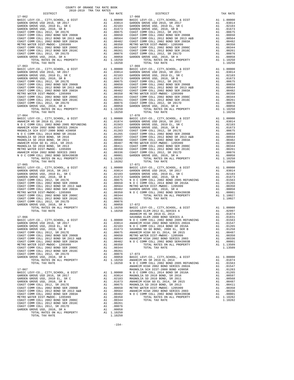| DISTRICT | 2018-2019 TRA TAX RATES<br>TAX RATE | DISTRICT                                                                                                                                                                                                                 | TAX RATE |
|----------|-------------------------------------|--------------------------------------------------------------------------------------------------------------------------------------------------------------------------------------------------------------------------|----------|
|          |                                     | $17 - 068$                                                                                                                                                                                                               |          |
|          |                                     |                                                                                                                                                                                                                          |          |
|          |                                     |                                                                                                                                                                                                                          |          |
|          |                                     |                                                                                                                                                                                                                          |          |
|          |                                     |                                                                                                                                                                                                                          |          |
|          |                                     |                                                                                                                                                                                                                          |          |
|          |                                     | $\begin{tabular}{ c c c c c c c c c c c c c c c c c} \hline &0.8312 &0.8312 &0.8312 &0.8312 &0.8312 &0.8312 &0.8312 &0.8312 &0.8312 &0.8312 &0.8312 &0.8312 &0.8312 &0.8312 &0.8312 &0.8312 &0.8312 &0.8312 &0.8312 &0.$ |          |

-154-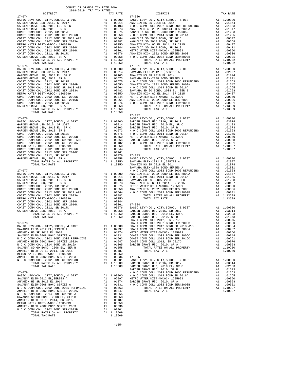| TOTAL TAX RATE                                                                                                                                            |               | 1.10250                                                                                      |                       |
|-----------------------------------------------------------------------------------------------------------------------------------------------------------|---------------|----------------------------------------------------------------------------------------------|-----------------------|
| $17 - 075$                                                                                                                                                |               |                                                                                              | 17-081                |
|                                                                                                                                                           |               |                                                                                              |                       |
|                                                                                                                                                           |               |                                                                                              |                       |
|                                                                                                                                                           |               |                                                                                              |                       |
|                                                                                                                                                           |               |                                                                                              |                       |
|                                                                                                                                                           |               |                                                                                              |                       |
|                                                                                                                                                           |               |                                                                                              |                       |
|                                                                                                                                                           |               |                                                                                              |                       |
|                                                                                                                                                           |               |                                                                                              |                       |
|                                                                                                                                                           |               |                                                                                              |                       |
|                                                                                                                                                           |               |                                                                                              |                       |
|                                                                                                                                                           |               |                                                                                              |                       |
|                                                                                                                                                           |               |                                                                                              | $17 - 082$            |
|                                                                                                                                                           |               |                                                                                              |                       |
|                                                                                                                                                           |               |                                                                                              |                       |
|                                                                                                                                                           |               |                                                                                              |                       |
|                                                                                                                                                           |               |                                                                                              |                       |
|                                                                                                                                                           |               |                                                                                              |                       |
|                                                                                                                                                           |               |                                                                                              |                       |
|                                                                                                                                                           |               |                                                                                              |                       |
|                                                                                                                                                           |               |                                                                                              |                       |
|                                                                                                                                                           |               |                                                                                              |                       |
|                                                                                                                                                           |               |                                                                                              |                       |
|                                                                                                                                                           |               |                                                                                              |                       |
|                                                                                                                                                           |               |                                                                                              |                       |
|                                                                                                                                                           |               |                                                                                              |                       |
| $17 - 077$                                                                                                                                                |               |                                                                                              | SAVANNA<br>NOCC       |
|                                                                                                                                                           |               |                                                                                              |                       |
|                                                                                                                                                           |               |                                                                                              |                       |
|                                                                                                                                                           |               |                                                                                              |                       |
|                                                                                                                                                           |               |                                                                                              |                       |
|                                                                                                                                                           |               |                                                                                              |                       |
|                                                                                                                                                           |               |                                                                                              |                       |
|                                                                                                                                                           |               |                                                                                              |                       |
|                                                                                                                                                           |               |                                                                                              |                       |
|                                                                                                                                                           |               |                                                                                              |                       |
|                                                                                                                                                           |               |                                                                                              |                       |
|                                                                                                                                                           |               |                                                                                              |                       |
|                                                                                                                                                           |               |                                                                                              | COAST C               |
| 17-078                                                                                                                                                    |               |                                                                                              | COAST C               |
|                                                                                                                                                           |               |                                                                                              |                       |
|                                                                                                                                                           |               |                                                                                              |                       |
| SAVANNA ELEM-2008 BOND SERIES A                                                                                                                           |               |                                                                                              |                       |
| SAVANA BLANCIC 2002 BOND 2005 REFUNDING<br>ANAHEIM HIGH 2002 BOND SERIES 2002A<br>NO C COMM COLL 2014 BOND SR 2016A<br>SAVANNA SD GO BOND, 2008 EL, SER B |               | A1 .01831 COAST C<br>A1 .01831 COAST C<br>A1 .01547 COAST C<br>A1 .01258 GARDEN<br>A1 .01258 |                       |
|                                                                                                                                                           |               |                                                                                              |                       |
|                                                                                                                                                           |               |                                                                                              |                       |
| SAVANNA SD GO BOND, 2008 EL, SER B<br>ANAHEIM HIGH GO EL 2014, SR 2015                                                                                    |               | A1.00487                                                                                     |                       |
| METRO WATER DIST-MWDOC- 1205999                                                                                                                           |               | A1 .00350                                                                                    |                       |
| ANAHEIM HIGH 2002 BOND SERIES 2003<br>N O C COMM COLL 2002 BOND SER#2003B                                                                                 |               | A1 .00336<br>A1 .00001                                                                       | $17 - 085$<br>BASIC L |
| TOTAL RATES ON ALL PROPERTY                                                                                                                               |               | A1 1.13509                                                                                   | GARDEN                |
| TOTAL TAX RATE                                                                                                                                            |               | 1.13509                                                                                      | GARDEN<br>GARDEN      |
| $17 - 079$                                                                                                                                                |               |                                                                                              | NOCC                  |
|                                                                                                                                                           |               |                                                                                              |                       |
|                                                                                                                                                           |               |                                                                                              |                       |
|                                                                                                                                                           |               |                                                                                              |                       |
|                                                                                                                                                           |               |                                                                                              |                       |
| N O C COMM COLL 2014 BOND SR 2016A                                                                                                                        |               | A1 .01265                                                                                    |                       |
| SAVANNA SD GO BOND, 2008 EL, SER B                                                                                                                        |               | A1 .01258                                                                                    |                       |
| ANAHEIM HIGH GO EL 2014, SR 2015                                                                                                                          |               | A1.00487                                                                                     |                       |
| METRO WATER DIST-MWDOC- 1205999<br>ANAHEIM HIGH 2002 BOND SERIES 2003                                                                                     | A1            | .00350<br>A1 .00336                                                                          |                       |
| N O C COMM COLL 2002 BOND SER#2003B                                                                                                                       | $\mathtt{Al}$ | .00001                                                                                       |                       |
| TOTAL RATES ON ALL PROPERTY<br>TOTAL TAX RATE                                                                                                             |               | A1 1.13509<br>1.13509                                                                        |                       |
|                                                                                                                                                           |               |                                                                                              |                       |

| COUNTY OF ORANGE TAX RATE BOOK<br>2018-2019 TRA TAX RATES |          |                        |          |
|-----------------------------------------------------------|----------|------------------------|----------|
| DISTRICT<br>$17 - 074$                                    | TAX RATE | DISTRICT<br>$17 - 080$ | TAX RATE |
| $17 - 075$                                                |          | $17 - 081$             |          |
|                                                           |          | $17 - 082$             |          |
|                                                           |          |                        |          |
|                                                           |          |                        |          |
|                                                           |          |                        |          |
|                                                           |          |                        |          |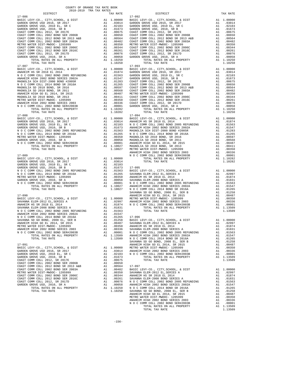| nteiwich                              |    | IAA RAIL                                                                                                                    |            |
|---------------------------------------|----|-----------------------------------------------------------------------------------------------------------------------------|------------|
| 17-086                                |    |                                                                                                                             | 17-092     |
|                                       |    |                                                                                                                             |            |
|                                       |    |                                                                                                                             |            |
|                                       |    |                                                                                                                             |            |
|                                       |    |                                                                                                                             |            |
|                                       |    |                                                                                                                             |            |
|                                       |    |                                                                                                                             |            |
|                                       |    |                                                                                                                             |            |
|                                       |    |                                                                                                                             |            |
|                                       |    |                                                                                                                             |            |
|                                       |    |                                                                                                                             |            |
|                                       |    |                                                                                                                             |            |
|                                       |    |                                                                                                                             |            |
|                                       |    |                                                                                                                             |            |
|                                       |    |                                                                                                                             |            |
| TOTAL TAX RATE                        |    | 1.10250                                                                                                                     |            |
| $17 - 087$                            |    |                                                                                                                             | $17 - 093$ |
|                                       |    |                                                                                                                             |            |
|                                       |    |                                                                                                                             |            |
|                                       |    |                                                                                                                             |            |
|                                       |    |                                                                                                                             |            |
|                                       |    |                                                                                                                             |            |
|                                       |    |                                                                                                                             |            |
|                                       |    |                                                                                                                             |            |
|                                       |    |                                                                                                                             |            |
|                                       |    |                                                                                                                             |            |
|                                       |    |                                                                                                                             |            |
|                                       |    |                                                                                                                             |            |
|                                       |    |                                                                                                                             |            |
|                                       |    |                                                                                                                             |            |
|                                       |    |                                                                                                                             |            |
|                                       |    |                                                                                                                             |            |
| TOTAL TAX RATE                        |    | 1.10282                                                                                                                     |            |
| $17 - 088$                            |    |                                                                                                                             | $17 - 094$ |
|                                       |    |                                                                                                                             |            |
|                                       |    |                                                                                                                             |            |
|                                       |    |                                                                                                                             |            |
|                                       |    |                                                                                                                             |            |
|                                       |    |                                                                                                                             |            |
|                                       |    |                                                                                                                             |            |
|                                       |    |                                                                                                                             |            |
|                                       |    |                                                                                                                             |            |
|                                       |    |                                                                                                                             |            |
|                                       |    |                                                                                                                             |            |
|                                       |    |                                                                                                                             |            |
|                                       |    |                                                                                                                             | ANAHEIM    |
| $17 - 089$                            |    |                                                                                                                             | NOCC       |
|                                       |    |                                                                                                                             |            |
|                                       |    |                                                                                                                             |            |
|                                       |    |                                                                                                                             |            |
|                                       |    |                                                                                                                             |            |
|                                       |    |                                                                                                                             |            |
|                                       |    |                                                                                                                             |            |
|                                       |    |                                                                                                                             |            |
|                                       |    |                                                                                                                             |            |
|                                       |    |                                                                                                                             |            |
|                                       |    |                                                                                                                             |            |
|                                       |    |                                                                                                                             |            |
|                                       |    |                                                                                                                             |            |
|                                       |    |                                                                                                                             | SAVANNA    |
| $17 - 090$                            |    |                                                                                                                             | ANAHEIM    |
|                                       |    |                                                                                                                             |            |
|                                       |    |                                                                                                                             |            |
|                                       |    |                                                                                                                             |            |
|                                       |    |                                                                                                                             |            |
|                                       |    |                                                                                                                             |            |
|                                       |    |                                                                                                                             |            |
|                                       |    |                                                                                                                             |            |
|                                       |    |                                                                                                                             |            |
|                                       |    |                                                                                                                             |            |
|                                       |    |                                                                                                                             |            |
| ANAHEIM HIGH 2002 BOND SERIES 2003    | A1 |                                                                                                                             |            |
| N O C COMM COLL 2002 BOND SER#2003B   | A1 | .00336 SAVANNA<br>.00001 N O C C<br>1.13509 ANAHEIM                                                                         |            |
| TOTAL RATES ON ALL PROPERTY           |    | A1 1.13509                                                                                                                  |            |
| TOTAL TAX RATE                        |    | 1.13509                                                                                                                     | NOCC       |
|                                       |    |                                                                                                                             | SAVANNA    |
| $17 - 091$                            |    |                                                                                                                             | ANAHEIM    |
| BASIC LEVY-CO., CITY, SCHOOL, & DIST  | A1 | 1.00000                                                                                                                     | METRO W    |
| GARDEN GROVE USD 2016, SR 2017        | A1 |                                                                                                                             | ANAHEIM    |
| GARDEN GROVE USD, 2010 EL, SR C       | A1 | .03014<br>.02103                                                                                                            | N O C C    |
| GARDEN GROVE USD, 2010, SR B          |    | A1 .01673                                                                                                                   |            |
| COAST COMM COLL 2012, SR 2017E        |    | A1.00675                                                                                                                    |            |
| COAST COMM COLL 2002 BOND SER 2006B   |    | A1 .00650                                                                                                                   |            |
|                                       | A1 | .00564                                                                                                                      | 17-097     |
| COAST COMM COLL 2012 BOND SR 2013 A&B | A1 |                                                                                                                             |            |
| COAST COMM COLL 2002 BOND SER 2003A   |    | .00482                                                                                                                      | BASIC L    |
| METRO WATER DIST-MWDOC- 1205999       |    |                                                                                                                             |            |
| COAST COMM COLL 2002 BOND SER 2006C   |    |                                                                                                                             |            |
| COAST COMM COLL 2012 BOND SER 2016C   |    |                                                                                                                             |            |
| COAST COMM COLL 2012, SR 2017D        |    | A1 .00350 SAVANNA<br>A1 .00344 ANAHEIM<br>A1 .00361 SAVANNA<br>A1 .00076 N O C C<br>A1 .00058 ANAHEIM<br>A1 1.10250 N O C C |            |
| GARDEN GROVE USD, 2010, SR A          |    |                                                                                                                             |            |
| TOTAL RATES ON ALL PROPERTY           |    |                                                                                                                             |            |
| TOTAL TAX RATE                        |    | 1.10250                                                                                                                     | SAVANNA    |

| COUNTY OF ORANGE TAX RATE BOOK                                                                                                                                                                                                                                             |          |            |          |
|----------------------------------------------------------------------------------------------------------------------------------------------------------------------------------------------------------------------------------------------------------------------------|----------|------------|----------|
|                                                                                                                                                                                                                                                                            | TAX RATE | DISTRICT   | TAX RATE |
| $17 - 086$                                                                                                                                                                                                                                                                 |          | $17 - 092$ |          |
|                                                                                                                                                                                                                                                                            |          |            |          |
|                                                                                                                                                                                                                                                                            |          |            |          |
|                                                                                                                                                                                                                                                                            |          |            |          |
|                                                                                                                                                                                                                                                                            |          |            |          |
|                                                                                                                                                                                                                                                                            |          |            |          |
|                                                                                                                                                                                                                                                                            |          |            |          |
|                                                                                                                                                                                                                                                                            |          |            |          |
|                                                                                                                                                                                                                                                                            |          |            |          |
|                                                                                                                                                                                                                                                                            |          |            |          |
|                                                                                                                                                                                                                                                                            |          |            |          |
|                                                                                                                                                                                                                                                                            |          |            |          |
|                                                                                                                                                                                                                                                                            |          | $17 - 093$ |          |
|                                                                                                                                                                                                                                                                            |          |            |          |
|                                                                                                                                                                                                                                                                            |          |            |          |
|                                                                                                                                                                                                                                                                            |          |            |          |
|                                                                                                                                                                                                                                                                            |          |            |          |
|                                                                                                                                                                                                                                                                            |          |            |          |
|                                                                                                                                                                                                                                                                            |          |            |          |
|                                                                                                                                                                                                                                                                            |          |            |          |
|                                                                                                                                                                                                                                                                            |          |            |          |
|                                                                                                                                                                                                                                                                            |          |            |          |
|                                                                                                                                                                                                                                                                            |          |            |          |
|                                                                                                                                                                                                                                                                            |          |            |          |
|                                                                                                                                                                                                                                                                            |          |            |          |
|                                                                                                                                                                                                                                                                            |          |            |          |
|                                                                                                                                                                                                                                                                            |          |            |          |
|                                                                                                                                                                                                                                                                            |          |            |          |
|                                                                                                                                                                                                                                                                            |          |            |          |
|                                                                                                                                                                                                                                                                            |          |            |          |
|                                                                                                                                                                                                                                                                            |          |            |          |
|                                                                                                                                                                                                                                                                            |          |            |          |
|                                                                                                                                                                                                                                                                            |          |            |          |
|                                                                                                                                                                                                                                                                            |          |            |          |
|                                                                                                                                                                                                                                                                            |          |            |          |
|                                                                                                                                                                                                                                                                            |          |            |          |
|                                                                                                                                                                                                                                                                            |          |            |          |
|                                                                                                                                                                                                                                                                            |          |            |          |
|                                                                                                                                                                                                                                                                            |          |            |          |
|                                                                                                                                                                                                                                                                            |          |            |          |
|                                                                                                                                                                                                                                                                            |          |            |          |
|                                                                                                                                                                                                                                                                            |          |            |          |
|                                                                                                                                                                                                                                                                            |          |            |          |
|                                                                                                                                                                                                                                                                            |          |            |          |
|                                                                                                                                                                                                                                                                            |          |            |          |
|                                                                                                                                                                                                                                                                            |          |            |          |
|                                                                                                                                                                                                                                                                            |          |            |          |
|                                                                                                                                                                                                                                                                            |          |            |          |
|                                                                                                                                                                                                                                                                            |          |            |          |
|                                                                                                                                                                                                                                                                            |          |            |          |
| $\begin{bmatrix} 1.7.47 & 1.79 & 0.79 & 0.79 & 0.79 & 0.79 & 0.79 & 0.79 & 0.79 & 0.79 & 0.79 & 0.79 & 0.79 & 0.79 & 0.79 & 0.79 & 0.79 & 0.79 & 0.79 & 0.79 & 0.79 & 0.79 & 0.79 & 0.79 & 0.79 & 0.79 & 0.79 & 0.79 & 0.79 & 0.79 & 0.79 & 0.79 & 0.79 & 0.79 & 0.79 & 0$ |          |            |          |
|                                                                                                                                                                                                                                                                            |          |            |          |
|                                                                                                                                                                                                                                                                            |          |            |          |
|                                                                                                                                                                                                                                                                            |          |            |          |
|                                                                                                                                                                                                                                                                            |          |            |          |
|                                                                                                                                                                                                                                                                            |          |            |          |
|                                                                                                                                                                                                                                                                            |          |            |          |
|                                                                                                                                                                                                                                                                            |          |            |          |
|                                                                                                                                                                                                                                                                            |          |            |          |
|                                                                                                                                                                                                                                                                            |          |            |          |
|                                                                                                                                                                                                                                                                            |          |            |          |
|                                                                                                                                                                                                                                                                            |          |            |          |
|                                                                                                                                                                                                                                                                            |          |            |          |
|                                                                                                                                                                                                                                                                            |          |            |          |
|                                                                                                                                                                                                                                                                            |          |            |          |
|                                                                                                                                                                                                                                                                            |          |            |          |
|                                                                                                                                                                                                                                                                            |          |            |          |
|                                                                                                                                                                                                                                                                            |          |            |          |
|                                                                                                                                                                                                                                                                            |          |            |          |
|                                                                                                                                                                                                                                                                            |          |            |          |
|                                                                                                                                                                                                                                                                            |          |            |          |
|                                                                                                                                                                                                                                                                            |          |            |          |
|                                                                                                                                                                                                                                                                            |          |            |          |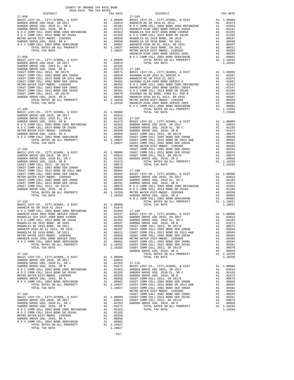| COUNTY OF ORANGE TAX RATE BOOK<br>2018-2019 TRA TAX RATES |          |          |          |
|-----------------------------------------------------------|----------|----------|----------|
|                                                           | TAX RATE | DISTRICT | TAX RATE |
|                                                           |          |          |          |
|                                                           |          |          |          |
|                                                           |          |          |          |
|                                                           |          |          |          |
|                                                           |          |          |          |
|                                                           |          |          |          |
|                                                           |          |          |          |
|                                                           |          |          |          |
|                                                           |          |          |          |
|                                                           |          |          |          |
|                                                           |          |          |          |
|                                                           |          |          |          |
|                                                           |          |          |          |
|                                                           |          |          |          |
|                                                           |          |          |          |
|                                                           |          |          |          |
|                                                           |          |          |          |
|                                                           |          |          |          |
|                                                           |          |          |          |
|                                                           |          |          |          |
|                                                           |          |          |          |
|                                                           |          |          |          |
|                                                           |          |          |          |
|                                                           |          |          |          |
|                                                           |          |          |          |
|                                                           |          |          |          |
|                                                           |          |          |          |
|                                                           |          |          |          |
|                                                           |          |          |          |
|                                                           |          |          |          |
|                                                           |          |          |          |
|                                                           |          |          |          |
|                                                           |          |          |          |
|                                                           |          |          |          |
|                                                           |          |          |          |
|                                                           |          |          |          |
|                                                           |          |          |          |
|                                                           |          |          |          |
|                                                           |          |          |          |
|                                                           |          |          |          |
|                                                           |          |          |          |
|                                                           |          |          |          |
|                                                           |          |          |          |
|                                                           |          |          |          |
|                                                           |          |          |          |
|                                                           |          |          |          |
|                                                           |          |          |          |
|                                                           |          |          |          |
|                                                           |          |          |          |
|                                                           |          |          |          |
|                                                           |          |          |          |
|                                                           |          |          |          |
|                                                           |          |          |          |
|                                                           |          |          |          |
|                                                           |          |          |          |
|                                                           |          |          |          |
|                                                           |          |          |          |
|                                                           |          |          |          |
|                                                           |          |          |          |
|                                                           |          |          |          |
|                                                           |          |          |          |
|                                                           |          |          |          |
|                                                           |          |          |          |
|                                                           |          |          |          |
|                                                           |          |          |          |
|                                                           |          |          |          |
|                                                           |          |          |          |
|                                                           |          |          |          |
|                                                           |          |          |          |
|                                                           |          |          |          |
|                                                           |          |          |          |
|                                                           |          |          |          |
|                                                           |          |          |          |
|                                                           |          |          |          |
|                                                           |          |          |          |
|                                                           |          |          |          |
|                                                           |          |          |          |
|                                                           |          |          |          |
|                                                           |          |          |          |

| ۱TE        | DISTRICT                                                                                                                                                                                                                                                      |                                                                   | TAX                                                                                                                                           |
|------------|---------------------------------------------------------------------------------------------------------------------------------------------------------------------------------------------------------------------------------------------------------------|-------------------------------------------------------------------|-----------------------------------------------------------------------------------------------------------------------------------------------|
|            | $17 - 105$<br>17-105<br>100 BASIC LEVY-CO., CITY, SCHOOL, & DIST<br>114 ANAHEIM HS SR 2018 EL 2014<br>103 N O C COMM COLL 2002 BOND 2005 REFUNDING<br>173 NAHEIM HIGH 2002 BOND SERIES 2002A<br>1663 MAGNOLIA SCH DIST-2000 BOND #2005R<br>1665 N O C CO      | A1                                                                | 1.0                                                                                                                                           |
|            |                                                                                                                                                                                                                                                               | A1                                                                | $\cdot$                                                                                                                                       |
|            |                                                                                                                                                                                                                                                               | A1                                                                | $\cdot$                                                                                                                                       |
|            |                                                                                                                                                                                                                                                               | A1                                                                | $\cdot$ <sup><math>\cdot</math></sup>                                                                                                         |
|            |                                                                                                                                                                                                                                                               | A1                                                                |                                                                                                                                               |
|            |                                                                                                                                                                                                                                                               | A1                                                                | $\begin{array}{c} \begin{array}{c} \cdot \end{array} \\ \begin{array}{c} \cdot \end{array} \\ \begin{array}{c} \cdot \end{array} \end{array}$ |
|            |                                                                                                                                                                                                                                                               | A1                                                                | $\cdot$                                                                                                                                       |
|            |                                                                                                                                                                                                                                                               | A1<br>A1                                                          | $\cdot$<br>$\cdot$ .                                                                                                                          |
|            |                                                                                                                                                                                                                                                               | A1                                                                | $\cdot$                                                                                                                                       |
|            |                                                                                                                                                                                                                                                               | A1                                                                | $\cdot$ <sup><math>\left(</math></sup>                                                                                                        |
|            |                                                                                                                                                                                                                                                               | A1                                                                | $\cdot$ <sup><math>\cdot</math></sup>                                                                                                         |
|            | N O C COMM COLL 2002 BOND SER#2003B                                                                                                                                                                                                                           | A1                                                                | $\cdot$                                                                                                                                       |
| 00<br>14   | TOTAL RATES ON ALL PROPERTY                                                                                                                                                                                                                                   |                                                                   | $A1 \quad 1.1$                                                                                                                                |
| 03         | TOTAL TAX RATE                                                                                                                                                                                                                                                |                                                                   | $1$ .                                                                                                                                         |
|            | 03<br>$17-106$<br>FRS BASIC LEVY-CO., CITY, SCHOOL, & DIST<br>575 BASIC LEVY-CO., CITY, SCHOOL, & DIST<br>664 ANAHEIM HS SR 2018 EL 2014<br>82 SAVANNA ELEM-2008 BOND SERIES A<br>870 NO C COMM COLL 2019 BOND 2008 END<br>870 NO C COMM CO                   |                                                                   |                                                                                                                                               |
|            |                                                                                                                                                                                                                                                               | A1                                                                | 1.0                                                                                                                                           |
|            |                                                                                                                                                                                                                                                               | A1                                                                | $\cdot$ <sup><math>\cdot</math></sup>                                                                                                         |
|            |                                                                                                                                                                                                                                                               | A1                                                                | $\cdot$                                                                                                                                       |
|            |                                                                                                                                                                                                                                                               | A1                                                                | $\cdot$ (                                                                                                                                     |
|            |                                                                                                                                                                                                                                                               | A1<br>A1                                                          | $\cdot$ (<br>$\cdot$                                                                                                                          |
|            |                                                                                                                                                                                                                                                               | A1                                                                | $\cdot$ .                                                                                                                                     |
|            |                                                                                                                                                                                                                                                               | A1                                                                | $\cdot$                                                                                                                                       |
|            |                                                                                                                                                                                                                                                               | A1                                                                | $\cdot$ <sup><math>\cdot</math></sup>                                                                                                         |
|            |                                                                                                                                                                                                                                                               | $A1$<br>$A1$<br>$21$                                              | $\cdot$                                                                                                                                       |
|            | NOCCOMM COLL 2002 BOND SER#2003B                                                                                                                                                                                                                              |                                                                   | $\cdot$                                                                                                                                       |
|            | TOTAL RATES ON ALL PROPERTY                                                                                                                                                                                                                                   | A1<br>A1                                                          | $\cdot$ <sup><math>\left(</math></sup><br>$1$ .                                                                                               |
| 00         | TOTAL TAX RATE                                                                                                                                                                                                                                                |                                                                   | $1$ .                                                                                                                                         |
| 14         |                                                                                                                                                                                                                                                               |                                                                   |                                                                                                                                               |
|            | 114<br>103 17-107<br>173 BASIC LEVY-CO., CITY, SCHOOL, & DIST<br>663 GARDEN GROVE USD 2016, SR 2017<br>665 GARDEN GROVE USD, 2010 EL, SR C<br>6658 CARDEN GROVE USD, 2010, SR B<br>1558 COAST COMM COLL 2012, SR 2017E<br>1001 COAST COMM CO                  |                                                                   |                                                                                                                                               |
|            |                                                                                                                                                                                                                                                               | A1                                                                | 1.0                                                                                                                                           |
|            |                                                                                                                                                                                                                                                               | A1                                                                | $\cdot$                                                                                                                                       |
|            |                                                                                                                                                                                                                                                               | A1<br>A1                                                          | $\cdot$ (<br>$\cdot$                                                                                                                          |
|            |                                                                                                                                                                                                                                                               | A1                                                                | $\cdot$ .                                                                                                                                     |
|            |                                                                                                                                                                                                                                                               | A1                                                                | $\cdot$                                                                                                                                       |
|            |                                                                                                                                                                                                                                                               | A1                                                                | $\cdot$ <sup><math>\left(</math></sup>                                                                                                        |
|            |                                                                                                                                                                                                                                                               | A1                                                                | $\cdot$                                                                                                                                       |
|            | METRO WATER DIST-MWDOC- 1205999                                                                                                                                                                                                                               | A1<br>A1<br>A1                                                    | $\cdot$ (                                                                                                                                     |
|            | COAST COMM COLL 2002 BOND SER 2006C                                                                                                                                                                                                                           |                                                                   | $\cdot$ <sup><math>\cdot</math></sup><br>$\cdot$                                                                                              |
|            | 000 COAST COMM COLL 2012 BOND SER 2016C<br>114 COAST COMM COLL 2012, SR 2017D<br>628 GARDEN GROVE USD, 2010, SR A<br>103                                                                                                                                      | A1                                                                | $\cdot$                                                                                                                                       |
|            |                                                                                                                                                                                                                                                               | A1                                                                | $\cdot$                                                                                                                                       |
| 573        | TOTAL RATES ON ALL PROPERTY                                                                                                                                                                                                                                   |                                                                   | A1 1.                                                                                                                                         |
| 575        | TOTAL TAX RATE                                                                                                                                                                                                                                                |                                                                   | $1$ .                                                                                                                                         |
| 550        | 990<br>17-108<br>182 BASIC LEVY-CO., CITY, SCHOOL, & DIST<br>182 BASIC LEVY-CO., CITY, SCHOOL, SR 2017<br>1644 GARDEN GROVE USD, 2010, SR B<br>161 GARDEN GROVE USD, 2010, SR B<br>161 GARDEN GROVE USD, 2010, SR B<br>161 GARDEN GROVE USD,                  |                                                                   |                                                                                                                                               |
|            |                                                                                                                                                                                                                                                               | A1                                                                | 1.0                                                                                                                                           |
|            |                                                                                                                                                                                                                                                               | A1                                                                | $\cdot$ (                                                                                                                                     |
|            |                                                                                                                                                                                                                                                               | A1                                                                | $\cdot$                                                                                                                                       |
|            |                                                                                                                                                                                                                                                               | A1                                                                | $\cdot$                                                                                                                                       |
|            |                                                                                                                                                                                                                                                               | A1                                                                | $\cdot$ <sup><math>\cdot</math></sup>                                                                                                         |
|            |                                                                                                                                                                                                                                                               | $\begin{smallmatrix} \texttt{A1} \ \texttt{A1} \end{smallmatrix}$ | $\cdot$                                                                                                                                       |
|            |                                                                                                                                                                                                                                                               | A1                                                                | $\cdot$ (<br>$\cdot$ (                                                                                                                        |
|            | N O C COMM COLL 2002 BOND SER#2003B                                                                                                                                                                                                                           | A1                                                                | $\cdot$                                                                                                                                       |
|            | TOTAL RATES ON ALL PROPERTY                                                                                                                                                                                                                                   | A1                                                                | $1$ .                                                                                                                                         |
| 00         | TOTAL TAX RATE                                                                                                                                                                                                                                                |                                                                   | $1$ .                                                                                                                                         |
| 374        | 3<br>583 17-109<br>147 BASIC LEVY-CO., CITY, SCHOOL, & DIST<br>183 GARDEN GROVE USD 2016, SR 2017<br>597 GARDEN GROVE USD, 2010, SR B<br>597 GARDEN GROVE USD, 2010, SR B<br>668 COAST COMM COLL 2012, CLOSE B                                                |                                                                   |                                                                                                                                               |
|            |                                                                                                                                                                                                                                                               |                                                                   | 1.0                                                                                                                                           |
|            |                                                                                                                                                                                                                                                               | A1<br>A1                                                          | $\cdot$ <sup><math>\cdot</math></sup>                                                                                                         |
|            |                                                                                                                                                                                                                                                               | A1                                                                | $\cdot$                                                                                                                                       |
|            |                                                                                                                                                                                                                                                               | A1                                                                | $\cdot$ <sup><math>\cdot</math></sup>                                                                                                         |
|            | 68 COAST COMM COLL 2012, SR 2017E                                                                                                                                                                                                                             | A <sub>1</sub>                                                    | $\cdot$ (                                                                                                                                     |
| 187        | COAST COMM COLL 2002 BOND SER 2006B                                                                                                                                                                                                                           | A1                                                                | $\cdot$ (                                                                                                                                     |
| 111        | COAST COMM COLL 2012 BOND SR 2013 A&B                                                                                                                                                                                                                         | A1                                                                | $\cdot$ (                                                                                                                                     |
| 350<br>336 | COAST COMM COLL 2002 BOND SER 2003A<br>METRO WATER DIST-MWDOC- 1205999                                                                                                                                                                                        | Α1<br>A1                                                          | $\cdot$<br>$\cdot$ <sup><math>\cdot</math></sup>                                                                                              |
| 01         | COAST COMM COLL 2002 BOND SER 2006C                                                                                                                                                                                                                           | A1                                                                | $\cdot$ <sup><math>\cdot</math></sup>                                                                                                         |
| 282        | COAST COMM COLL 2012 BOND SER 2016C                                                                                                                                                                                                                           | A1                                                                | $\cdot$                                                                                                                                       |
| 282        | COAST COMM COLL 2012, SR 2017D                                                                                                                                                                                                                                | A1                                                                | $\cdot$ (                                                                                                                                     |
|            | GARDEN GROVE USD, 2010, SR A                                                                                                                                                                                                                                  | A1                                                                | $\cdot$                                                                                                                                       |
|            | TOTAL RATES ON ALL PROPERTY                                                                                                                                                                                                                                   | A1                                                                | $1$ .:                                                                                                                                        |
| 00<br>14   | TOTAL TAX RATE                                                                                                                                                                                                                                                |                                                                   | $1$ .                                                                                                                                         |
| 03         | $17 - 110$                                                                                                                                                                                                                                                    |                                                                   |                                                                                                                                               |
| 573        | BASIC LEVY-CO., CITY, SCHOOL, & DIST                                                                                                                                                                                                                          | A1                                                                | 1.0                                                                                                                                           |
| 563        | GARDEN GROVE USD 2016, SR 2017                                                                                                                                                                                                                                | A1                                                                | $\cdot$ .                                                                                                                                     |
| 265        | GARDEN GROVE USD, 2010 EL, SR C                                                                                                                                                                                                                               | A1                                                                | $\cdot$                                                                                                                                       |
| 350        | GARDEN GROVE USD, 2010, SR B                                                                                                                                                                                                                                  | A1                                                                | $\cdot$                                                                                                                                       |
| 158<br>01  | $\begin{tabular}{llll} \textbf{COAST}\ &\textbf{COMM}\ &\textbf{COLL}\ &\textbf{2012}\,,\ &\textbf{SR}\ &\textbf{2017E}\,\\ \textbf{COAST}\ &\textbf{COMM}\ &\textbf{COLL}\ &\textbf{2002}\ &\textbf{BOND}\ &\textbf{SER}\ &\textbf{2006B}\,\\ \end{tabular}$ | A1<br>A1                                                          | $\cdot$                                                                                                                                       |
| ) 27       | COAST COMM COLL 2012 BOND SR 2013 A&B                                                                                                                                                                                                                         | A1                                                                | $\cdot$ <sup><math>\cdot</math></sup><br>$\cdot$ <sup><math>\left(</math></sup>                                                               |
| ) 27       | COAST COMM COLL 2002 BOND SER 2003A                                                                                                                                                                                                                           | A1                                                                | $\cdot$                                                                                                                                       |
|            | METRO WATER DIST-MWDOC- 1205999                                                                                                                                                                                                                               | A1                                                                | $\cdot$                                                                                                                                       |
|            | COAST COMM COLL 2002 BOND SER 2006C                                                                                                                                                                                                                           | A1                                                                | $\cdot$ <sup><math>\left(</math></sup>                                                                                                        |
| 00         | COAST COMM COLL 2012 BOND SER 2016C                                                                                                                                                                                                                           | A1                                                                | $\cdot$                                                                                                                                       |
| 14<br>.03  | COAST COMM COLL 2012, SR 2017D<br>GARDEN GROVE USD, 2010, SR A                                                                                                                                                                                                | A1<br>A1                                                          | $\cdot$ <sup><math>\cdot</math></sup>                                                                                                         |
| 573        | TOTAL RATES ON ALL PROPERTY                                                                                                                                                                                                                                   | A1                                                                | $\cdot$ <sup><math>\cdot</math></sup><br>$1$ .                                                                                                |
| 563        | TOTAL TAX RATE                                                                                                                                                                                                                                                |                                                                   | $1$ .                                                                                                                                         |
|            |                                                                                                                                                                                                                                                               |                                                                   |                                                                                                                                               |

-157-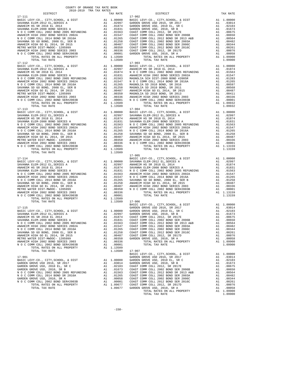|            | DISTRICT                                 |    | TAX RATE                                                                                                                                                                  |            |
|------------|------------------------------------------|----|---------------------------------------------------------------------------------------------------------------------------------------------------------------------------|------------|
| 17-111     |                                          |    |                                                                                                                                                                           | 17-902     |
|            |                                          |    |                                                                                                                                                                           |            |
|            |                                          |    |                                                                                                                                                                           |            |
|            |                                          |    |                                                                                                                                                                           |            |
|            |                                          |    |                                                                                                                                                                           |            |
|            |                                          |    |                                                                                                                                                                           |            |
|            |                                          |    |                                                                                                                                                                           |            |
|            |                                          |    |                                                                                                                                                                           |            |
|            |                                          |    |                                                                                                                                                                           |            |
|            |                                          |    |                                                                                                                                                                           |            |
|            |                                          |    |                                                                                                                                                                           |            |
|            |                                          |    |                                                                                                                                                                           |            |
|            |                                          |    |                                                                                                                                                                           |            |
|            |                                          |    |                                                                                                                                                                           |            |
|            |                                          |    |                                                                                                                                                                           |            |
|            |                                          |    |                                                                                                                                                                           |            |
|            |                                          |    |                                                                                                                                                                           |            |
|            | TOTAL TAX RATE                           |    | 1.13509                                                                                                                                                                   |            |
| $17 - 112$ |                                          |    |                                                                                                                                                                           | $17 - 903$ |
|            |                                          |    |                                                                                                                                                                           |            |
|            |                                          |    |                                                                                                                                                                           |            |
|            |                                          |    |                                                                                                                                                                           |            |
|            |                                          |    |                                                                                                                                                                           |            |
|            |                                          |    |                                                                                                                                                                           |            |
|            |                                          |    |                                                                                                                                                                           |            |
|            |                                          |    |                                                                                                                                                                           |            |
|            |                                          |    |                                                                                                                                                                           |            |
|            |                                          |    |                                                                                                                                                                           |            |
|            |                                          |    |                                                                                                                                                                           |            |
|            |                                          |    |                                                                                                                                                                           |            |
|            |                                          |    |                                                                                                                                                                           |            |
|            |                                          |    |                                                                                                                                                                           |            |
|            |                                          |    |                                                                                                                                                                           |            |
|            |                                          |    |                                                                                                                                                                           |            |
|            |                                          |    |                                                                                                                                                                           |            |
|            | TOTAL TAX RATE                           |    | 1.13509                                                                                                                                                                   |            |
|            |                                          |    |                                                                                                                                                                           |            |
| $17 - 113$ |                                          |    |                                                                                                                                                                           | 17-904     |
|            |                                          |    |                                                                                                                                                                           |            |
|            |                                          |    |                                                                                                                                                                           |            |
|            |                                          |    |                                                                                                                                                                           |            |
|            |                                          |    |                                                                                                                                                                           |            |
|            |                                          |    |                                                                                                                                                                           |            |
|            |                                          |    |                                                                                                                                                                           |            |
|            |                                          |    |                                                                                                                                                                           |            |
|            |                                          |    |                                                                                                                                                                           |            |
|            |                                          |    |                                                                                                                                                                           |            |
|            |                                          |    |                                                                                                                                                                           |            |
|            |                                          |    |                                                                                                                                                                           |            |
|            |                                          |    |                                                                                                                                                                           |            |
|            |                                          |    |                                                                                                                                                                           |            |
|            |                                          |    |                                                                                                                                                                           |            |
|            |                                          |    |                                                                                                                                                                           |            |
|            |                                          |    |                                                                                                                                                                           |            |
|            | TOTAL TAX RATE                           |    | 1.13509                                                                                                                                                                   |            |
|            |                                          |    |                                                                                                                                                                           | $17 - 905$ |
| 17-114     |                                          |    |                                                                                                                                                                           |            |
|            |                                          |    |                                                                                                                                                                           | BASIC L    |
|            |                                          |    |                                                                                                                                                                           |            |
|            |                                          |    |                                                                                                                                                                           |            |
|            |                                          |    |                                                                                                                                                                           |            |
|            |                                          |    |                                                                                                                                                                           |            |
|            |                                          |    |                                                                                                                                                                           |            |
|            |                                          |    |                                                                                                                                                                           |            |
|            |                                          |    |                                                                                                                                                                           |            |
|            |                                          |    |                                                                                                                                                                           |            |
|            |                                          |    |                                                                                                                                                                           |            |
|            |                                          |    |                                                                                                                                                                           |            |
|            |                                          |    |                                                                                                                                                                           |            |
|            |                                          |    |                                                                                                                                                                           |            |
|            |                                          |    |                                                                                                                                                                           |            |
|            |                                          |    |                                                                                                                                                                           |            |
|            |                                          |    |                                                                                                                                                                           |            |
|            |                                          |    |                                                                                                                                                                           |            |
|            | TOTAL TAX RATE                           |    | 1.13509                                                                                                                                                                   | $17 - 906$ |
|            |                                          |    |                                                                                                                                                                           | BASIC L    |
|            |                                          |    |                                                                                                                                                                           |            |
|            |                                          |    |                                                                                                                                                                           |            |
|            |                                          |    |                                                                                                                                                                           |            |
|            |                                          |    |                                                                                                                                                                           |            |
|            |                                          |    |                                                                                                                                                                           |            |
|            |                                          |    |                                                                                                                                                                           |            |
|            |                                          |    |                                                                                                                                                                           |            |
|            |                                          |    |                                                                                                                                                                           |            |
|            |                                          |    |                                                                                                                                                                           |            |
|            |                                          |    | .01265                                                                                                                                                                    | COAST C    |
|            | SAVANNA SD GO BOND, 2008 EL, SER B       |    | A1.01258                                                                                                                                                                  | COAST C    |
|            | ANAHEIM HIGH GO EL 2014, SR 2015         |    | A1.00487                                                                                                                                                                  | COAST C    |
|            | METRO WATER DIST-MWDOC- 1205999          | A1 | .00350                                                                                                                                                                    | GARDEN     |
|            |                                          |    |                                                                                                                                                                           |            |
|            | ANAHEIM HIGH 2002 BOND SERIES 2003       | A1 | .00336                                                                                                                                                                    |            |
|            | N O C COMM COLL 2002 BOND SER#2003B      | A1 | .00001                                                                                                                                                                    |            |
|            | TOTAL RATES ON ALL PROPERTY              |    | A1 1.13509                                                                                                                                                                |            |
|            | TOTAL TAX RATE                           |    | 1.13509                                                                                                                                                                   | $17 - 907$ |
|            |                                          |    |                                                                                                                                                                           |            |
|            |                                          |    |                                                                                                                                                                           | BASIC L    |
| 17-901     |                                          |    |                                                                                                                                                                           | GARDEN     |
|            | BASIC LEVY-CO., CITY, SCHOOL, & DIST     |    | A1 1.00000                                                                                                                                                                | GARDEN     |
|            |                                          |    |                                                                                                                                                                           |            |
|            | GARDEN GROVE USD 2016, SR 2017           |    |                                                                                                                                                                           |            |
|            | GARDEN GROVE USD, 2010 EL, SR C          |    |                                                                                                                                                                           |            |
|            | GARDEN GROVE USD, 2010, SR B             |    |                                                                                                                                                                           |            |
|            | N O C COMM COLL 2002 BOND 2005 REFUNDING |    |                                                                                                                                                                           |            |
|            | N O C COMM COLL 2014 BOND SR 2016A       |    |                                                                                                                                                                           |            |
|            |                                          |    |                                                                                                                                                                           |            |
|            | GARDEN GROVE USD, 2010, SR A             |    |                                                                                                                                                                           |            |
|            | N O C COMM COLL 2002 BOND SER#2003B      |    | Al<br>Al .03014<br>Al .02103 COAST C<br>Al .01563 COAST C<br>Al .01563 COAST C<br>Al .01565 COAST C<br>Al .00058 COAST C<br>Al .00058 COAST C<br>00001 COAST C<br>^^AST C |            |
|            | TOTAL RATES ON ALL PROPERTY              |    | A1 1.09677 COAST C                                                                                                                                                        |            |
|            |                                          |    |                                                                                                                                                                           |            |

| COUNTY OF ORANGE TAX RATE BOOK<br>$\begin{minipage}{.03\linewidth} \begin{tabular}{lcccccc} \textbf{1.4} & \textbf{1.4} & \textbf{1.4} & \textbf{1.4} & \textbf{1.4} & \textbf{1.4} & \textbf{1.5} & \textbf{1.5} & \textbf{1.6} & \textbf{1.6} & \textbf{1.7} & \textbf{1.7} & \textbf{1.7} & \textbf{1.7} & \textbf{1.7} & \textbf{1.7} & \textbf{1.7} & \textbf{1.7} & \textbf{1.7} & \textbf{1.7} & \textbf{1.7} & \textbf{1.7}$ |          |                          |          |  |  |  |
|--------------------------------------------------------------------------------------------------------------------------------------------------------------------------------------------------------------------------------------------------------------------------------------------------------------------------------------------------------------------------------------------------------------------------------------|----------|--------------------------|----------|--|--|--|
|                                                                                                                                                                                                                                                                                                                                                                                                                                      | TAX RATE | DISTRICT                 | TAX RATE |  |  |  |
| $17 - 111$                                                                                                                                                                                                                                                                                                                                                                                                                           |          | $17 - 902$               |          |  |  |  |
| $17 - 113$                                                                                                                                                                                                                                                                                                                                                                                                                           |          | $17 - 903$<br>$17 - 904$ |          |  |  |  |
|                                                                                                                                                                                                                                                                                                                                                                                                                                      |          |                          |          |  |  |  |
| $\begin{tabular}{cccc} 17-114 & 11.13159 \\ \text{BASE} & 17-905 & 17-905 \\ \text{BASEU REVY-CO., CITY, SEHODL, & DIST & RAI & 1.03159 \\ \text{BASEU REVY-CO., CITY, SEHODL, & DIST & 11.13159 \\ \text{RANREIM EIS R} & \text{A1} & 1.00000 \\ \text{SANANAR LEM-2012 EL, SERTES A} & \text{A1} & 0.02997 \\ \text{RANREIM EIS R} & \text{A1} & 0.02997 \\ \text{RANARIM EIS R} &$                                                |          |                          |          |  |  |  |
|                                                                                                                                                                                                                                                                                                                                                                                                                                      |          |                          |          |  |  |  |
|                                                                                                                                                                                                                                                                                                                                                                                                                                      |          |                          |          |  |  |  |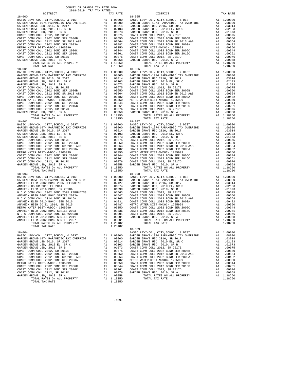| COUNTY OF ORANGE TAX RATE BOOK<br>2018-2019 TRA TAX RATES                                                                                                                                                                                                                                                                                                                                                              |          |                                                                                                                                                                                                                                                                                                                                                                                                               |            |
|------------------------------------------------------------------------------------------------------------------------------------------------------------------------------------------------------------------------------------------------------------------------------------------------------------------------------------------------------------------------------------------------------------------------|----------|---------------------------------------------------------------------------------------------------------------------------------------------------------------------------------------------------------------------------------------------------------------------------------------------------------------------------------------------------------------------------------------------------------------|------------|
| DISTRICT                                                                                                                                                                                                                                                                                                                                                                                                               |          | TAX RATE                                                                                                                                                                                                                                                                                                                                                                                                      |            |
| $18 - 000$                                                                                                                                                                                                                                                                                                                                                                                                             |          |                                                                                                                                                                                                                                                                                                                                                                                                               | $18 - 005$ |
|                                                                                                                                                                                                                                                                                                                                                                                                                        |          |                                                                                                                                                                                                                                                                                                                                                                                                               |            |
|                                                                                                                                                                                                                                                                                                                                                                                                                        |          |                                                                                                                                                                                                                                                                                                                                                                                                               |            |
|                                                                                                                                                                                                                                                                                                                                                                                                                        |          |                                                                                                                                                                                                                                                                                                                                                                                                               |            |
|                                                                                                                                                                                                                                                                                                                                                                                                                        |          |                                                                                                                                                                                                                                                                                                                                                                                                               |            |
|                                                                                                                                                                                                                                                                                                                                                                                                                        |          |                                                                                                                                                                                                                                                                                                                                                                                                               |            |
|                                                                                                                                                                                                                                                                                                                                                                                                                        |          |                                                                                                                                                                                                                                                                                                                                                                                                               |            |
|                                                                                                                                                                                                                                                                                                                                                                                                                        |          |                                                                                                                                                                                                                                                                                                                                                                                                               |            |
|                                                                                                                                                                                                                                                                                                                                                                                                                        |          |                                                                                                                                                                                                                                                                                                                                                                                                               |            |
|                                                                                                                                                                                                                                                                                                                                                                                                                        |          |                                                                                                                                                                                                                                                                                                                                                                                                               |            |
|                                                                                                                                                                                                                                                                                                                                                                                                                        |          |                                                                                                                                                                                                                                                                                                                                                                                                               |            |
|                                                                                                                                                                                                                                                                                                                                                                                                                        |          |                                                                                                                                                                                                                                                                                                                                                                                                               |            |
|                                                                                                                                                                                                                                                                                                                                                                                                                        |          |                                                                                                                                                                                                                                                                                                                                                                                                               |            |
|                                                                                                                                                                                                                                                                                                                                                                                                                        |          |                                                                                                                                                                                                                                                                                                                                                                                                               |            |
|                                                                                                                                                                                                                                                                                                                                                                                                                        |          |                                                                                                                                                                                                                                                                                                                                                                                                               |            |
| TOTAL RATES ON ALL PROPERTY                                                                                                                                                                                                                                                                                                                                                                                            |          | A1 1.18250                                                                                                                                                                                                                                                                                                                                                                                                    |            |
| TOTAL TAX RATE                                                                                                                                                                                                                                                                                                                                                                                                         |          | 1.18250                                                                                                                                                                                                                                                                                                                                                                                                       |            |
| $18 - 001$                                                                                                                                                                                                                                                                                                                                                                                                             |          |                                                                                                                                                                                                                                                                                                                                                                                                               | $18 - 006$ |
|                                                                                                                                                                                                                                                                                                                                                                                                                        |          |                                                                                                                                                                                                                                                                                                                                                                                                               |            |
|                                                                                                                                                                                                                                                                                                                                                                                                                        |          |                                                                                                                                                                                                                                                                                                                                                                                                               |            |
|                                                                                                                                                                                                                                                                                                                                                                                                                        |          |                                                                                                                                                                                                                                                                                                                                                                                                               |            |
|                                                                                                                                                                                                                                                                                                                                                                                                                        |          |                                                                                                                                                                                                                                                                                                                                                                                                               |            |
|                                                                                                                                                                                                                                                                                                                                                                                                                        |          |                                                                                                                                                                                                                                                                                                                                                                                                               |            |
|                                                                                                                                                                                                                                                                                                                                                                                                                        |          |                                                                                                                                                                                                                                                                                                                                                                                                               |            |
|                                                                                                                                                                                                                                                                                                                                                                                                                        |          |                                                                                                                                                                                                                                                                                                                                                                                                               |            |
|                                                                                                                                                                                                                                                                                                                                                                                                                        |          |                                                                                                                                                                                                                                                                                                                                                                                                               |            |
|                                                                                                                                                                                                                                                                                                                                                                                                                        |          |                                                                                                                                                                                                                                                                                                                                                                                                               |            |
|                                                                                                                                                                                                                                                                                                                                                                                                                        |          |                                                                                                                                                                                                                                                                                                                                                                                                               |            |
|                                                                                                                                                                                                                                                                                                                                                                                                                        |          |                                                                                                                                                                                                                                                                                                                                                                                                               |            |
|                                                                                                                                                                                                                                                                                                                                                                                                                        |          |                                                                                                                                                                                                                                                                                                                                                                                                               |            |
|                                                                                                                                                                                                                                                                                                                                                                                                                        |          |                                                                                                                                                                                                                                                                                                                                                                                                               |            |
|                                                                                                                                                                                                                                                                                                                                                                                                                        |          |                                                                                                                                                                                                                                                                                                                                                                                                               |            |
|                                                                                                                                                                                                                                                                                                                                                                                                                        |          |                                                                                                                                                                                                                                                                                                                                                                                                               |            |
| TOTAL RATES ON ALL PROPERTY                                                                                                                                                                                                                                                                                                                                                                                            |          | A1 1.18250                                                                                                                                                                                                                                                                                                                                                                                                    |            |
| TOTAL TAX RATE                                                                                                                                                                                                                                                                                                                                                                                                         |          | 1.18250                                                                                                                                                                                                                                                                                                                                                                                                       |            |
| $18 - 002$                                                                                                                                                                                                                                                                                                                                                                                                             |          |                                                                                                                                                                                                                                                                                                                                                                                                               | $18 - 007$ |
|                                                                                                                                                                                                                                                                                                                                                                                                                        |          |                                                                                                                                                                                                                                                                                                                                                                                                               |            |
|                                                                                                                                                                                                                                                                                                                                                                                                                        |          |                                                                                                                                                                                                                                                                                                                                                                                                               |            |
|                                                                                                                                                                                                                                                                                                                                                                                                                        |          |                                                                                                                                                                                                                                                                                                                                                                                                               |            |
|                                                                                                                                                                                                                                                                                                                                                                                                                        |          |                                                                                                                                                                                                                                                                                                                                                                                                               |            |
|                                                                                                                                                                                                                                                                                                                                                                                                                        |          |                                                                                                                                                                                                                                                                                                                                                                                                               |            |
|                                                                                                                                                                                                                                                                                                                                                                                                                        |          |                                                                                                                                                                                                                                                                                                                                                                                                               |            |
|                                                                                                                                                                                                                                                                                                                                                                                                                        |          |                                                                                                                                                                                                                                                                                                                                                                                                               |            |
|                                                                                                                                                                                                                                                                                                                                                                                                                        |          |                                                                                                                                                                                                                                                                                                                                                                                                               |            |
|                                                                                                                                                                                                                                                                                                                                                                                                                        |          |                                                                                                                                                                                                                                                                                                                                                                                                               |            |
|                                                                                                                                                                                                                                                                                                                                                                                                                        |          |                                                                                                                                                                                                                                                                                                                                                                                                               |            |
|                                                                                                                                                                                                                                                                                                                                                                                                                        |          |                                                                                                                                                                                                                                                                                                                                                                                                               |            |
|                                                                                                                                                                                                                                                                                                                                                                                                                        |          |                                                                                                                                                                                                                                                                                                                                                                                                               |            |
|                                                                                                                                                                                                                                                                                                                                                                                                                        |          |                                                                                                                                                                                                                                                                                                                                                                                                               |            |
|                                                                                                                                                                                                                                                                                                                                                                                                                        |          |                                                                                                                                                                                                                                                                                                                                                                                                               |            |
|                                                                                                                                                                                                                                                                                                                                                                                                                        |          |                                                                                                                                                                                                                                                                                                                                                                                                               |            |
| TOTAL TAX RATE                                                                                                                                                                                                                                                                                                                                                                                                         |          | 1.18250                                                                                                                                                                                                                                                                                                                                                                                                       |            |
| $18 - 003$<br>$\begin{tabular}{l c c c c} \hline 18-003 & 18-008 \\ \hline \texttt{BASIC LEVY-CO.}, & \texttt{CTTY}, \texttt{SCHOOL}, & \& \texttt{DIST} & \texttt{A1} & 1.00000 & \texttt{BASIC} & 18-008 \\ \texttt{GARDEN GROVE-1974 } \texttt{PARAMENTC TAX OVERIDE} & \texttt{A1} & .08000 & \texttt{GARDEN} \\ \texttt{ANAEIEM ELEM 2002 BOND 2005 REFUNDING} & \texttt{A1} & .02427 & \texttt{GARDEN} \\ \text$ |          |                                                                                                                                                                                                                                                                                                                                                                                                               | $18 - 008$ |
|                                                                                                                                                                                                                                                                                                                                                                                                                        |          |                                                                                                                                                                                                                                                                                                                                                                                                               |            |
|                                                                                                                                                                                                                                                                                                                                                                                                                        |          |                                                                                                                                                                                                                                                                                                                                                                                                               |            |
|                                                                                                                                                                                                                                                                                                                                                                                                                        |          |                                                                                                                                                                                                                                                                                                                                                                                                               |            |
|                                                                                                                                                                                                                                                                                                                                                                                                                        |          |                                                                                                                                                                                                                                                                                                                                                                                                               |            |
|                                                                                                                                                                                                                                                                                                                                                                                                                        |          |                                                                                                                                                                                                                                                                                                                                                                                                               |            |
|                                                                                                                                                                                                                                                                                                                                                                                                                        |          |                                                                                                                                                                                                                                                                                                                                                                                                               |            |
|                                                                                                                                                                                                                                                                                                                                                                                                                        |          |                                                                                                                                                                                                                                                                                                                                                                                                               |            |
|                                                                                                                                                                                                                                                                                                                                                                                                                        |          |                                                                                                                                                                                                                                                                                                                                                                                                               |            |
|                                                                                                                                                                                                                                                                                                                                                                                                                        |          |                                                                                                                                                                                                                                                                                                                                                                                                               |            |
|                                                                                                                                                                                                                                                                                                                                                                                                                        |          |                                                                                                                                                                                                                                                                                                                                                                                                               |            |
|                                                                                                                                                                                                                                                                                                                                                                                                                        |          |                                                                                                                                                                                                                                                                                                                                                                                                               |            |
|                                                                                                                                                                                                                                                                                                                                                                                                                        |          |                                                                                                                                                                                                                                                                                                                                                                                                               |            |
|                                                                                                                                                                                                                                                                                                                                                                                                                        |          |                                                                                                                                                                                                                                                                                                                                                                                                               |            |
|                                                                                                                                                                                                                                                                                                                                                                                                                        |          |                                                                                                                                                                                                                                                                                                                                                                                                               |            |
|                                                                                                                                                                                                                                                                                                                                                                                                                        |          |                                                                                                                                                                                                                                                                                                                                                                                                               |            |
|                                                                                                                                                                                                                                                                                                                                                                                                                        |          |                                                                                                                                                                                                                                                                                                                                                                                                               |            |
| TOTAL RATES ON ALL PROPERTY                                                                                                                                                                                                                                                                                                                                                                                            | $A1$ $1$ | 1.20482                                                                                                                                                                                                                                                                                                                                                                                                       |            |
| TOTAL TAX RATE                                                                                                                                                                                                                                                                                                                                                                                                         |          | 1.20482                                                                                                                                                                                                                                                                                                                                                                                                       |            |
|                                                                                                                                                                                                                                                                                                                                                                                                                        |          |                                                                                                                                                                                                                                                                                                                                                                                                               | $18 - 009$ |
| $18 - 004$                                                                                                                                                                                                                                                                                                                                                                                                             |          |                                                                                                                                                                                                                                                                                                                                                                                                               | BASIC L    |
| BASIC LEVY-CO., CITY, SCHOOL, & DIST                                                                                                                                                                                                                                                                                                                                                                                   |          | $\begin{tabular}{c cccc} \text{A1} & 1.00000 & \text{GARDEN} \\ \text{A1} & .08000 & \text{GARDEN} \\ \text{A1} & .03014 & \text{GARDEN} \\ \text{A1} & .02103 & \text{GARDEN} \\ \end{tabular}$                                                                                                                                                                                                              |            |
| GARDEN GROVE-1974 PARAMEDIC TAX OVERRIDE                                                                                                                                                                                                                                                                                                                                                                               |          |                                                                                                                                                                                                                                                                                                                                                                                                               |            |
| GARDEN GROVE USD 2016, SR 2017                                                                                                                                                                                                                                                                                                                                                                                         |          |                                                                                                                                                                                                                                                                                                                                                                                                               |            |
| GARDEN GROVE USD, 2010 EL, SR C                                                                                                                                                                                                                                                                                                                                                                                        |          |                                                                                                                                                                                                                                                                                                                                                                                                               |            |
| GARDEN GROVE USD, 2010, SR B                                                                                                                                                                                                                                                                                                                                                                                           |          |                                                                                                                                                                                                                                                                                                                                                                                                               |            |
| COAST COMM COLL 2012, SR 2017E                                                                                                                                                                                                                                                                                                                                                                                         |          |                                                                                                                                                                                                                                                                                                                                                                                                               |            |
| COAST COMM COLL 2002 BOND SER 2006B                                                                                                                                                                                                                                                                                                                                                                                    |          |                                                                                                                                                                                                                                                                                                                                                                                                               |            |
| COAST COMM COLL 2012 BOND SR 2013 A&B                                                                                                                                                                                                                                                                                                                                                                                  |          |                                                                                                                                                                                                                                                                                                                                                                                                               |            |
| COAST COMM COLL 2002 BOND SER 2003A                                                                                                                                                                                                                                                                                                                                                                                    |          |                                                                                                                                                                                                                                                                                                                                                                                                               |            |
| METRO WATER DIST-MWDOC- 1205999                                                                                                                                                                                                                                                                                                                                                                                        |          |                                                                                                                                                                                                                                                                                                                                                                                                               |            |
| COAST COMM COLL 2002 BOND SER 2006C                                                                                                                                                                                                                                                                                                                                                                                    |          |                                                                                                                                                                                                                                                                                                                                                                                                               |            |
| COAST COMM COLL 2012 BOND SER 2016C                                                                                                                                                                                                                                                                                                                                                                                    |          |                                                                                                                                                                                                                                                                                                                                                                                                               |            |
| COAST COMM COLL 2012, SR 2017D                                                                                                                                                                                                                                                                                                                                                                                         |          |                                                                                                                                                                                                                                                                                                                                                                                                               |            |
|                                                                                                                                                                                                                                                                                                                                                                                                                        |          |                                                                                                                                                                                                                                                                                                                                                                                                               |            |
| GARDEN GROVE USD, 2010, SR A                                                                                                                                                                                                                                                                                                                                                                                           |          | $\begin{tabular}{ll} $\tt A1$ & .02103 & GARDEN \\ $\tt A1$ & .01673 & COAST C \\ $\tt A1$ & .00675 & COAST C \\ $\tt A1$ & .00650 & COAST C \\ $\tt A1$ & .00564 & COAST C \\ $\tt A1$ & .00482 & METTO W \\ $\tt A1$ & .00350 & COAST C \\ $\tt A1$ & .00244 & COAST C \\ $\tt A1$ & .00056 & GARDEN \\ $\tt A1$ & .00076 & GARDEN \\ $\tt A1$ & .00076 & GARDEN \\ $\tt A1$ & .00058 & .00058 \\ $\tt A1$$ |            |
| TOTAL RATES ON ALL PROPERTY                                                                                                                                                                                                                                                                                                                                                                                            |          | A1 1.18250                                                                                                                                                                                                                                                                                                                                                                                                    |            |
| TOTAL TAX RATE                                                                                                                                                                                                                                                                                                                                                                                                         |          | 1.18250                                                                                                                                                                                                                                                                                                                                                                                                       |            |

| 2018-2019 TRA TAX RATES |          |                                                                                                                                                                                                                                                                  |          |
|-------------------------|----------|------------------------------------------------------------------------------------------------------------------------------------------------------------------------------------------------------------------------------------------------------------------|----------|
| DISTRICT                | TAX RATE | DISTRICT                                                                                                                                                                                                                                                         | TAX RATE |
|                         |          |                                                                                                                                                                                                                                                                  |          |
|                         |          |                                                                                                                                                                                                                                                                  |          |
|                         |          |                                                                                                                                                                                                                                                                  |          |
|                         |          |                                                                                                                                                                                                                                                                  |          |
|                         |          |                                                                                                                                                                                                                                                                  |          |
|                         |          |                                                                                                                                                                                                                                                                  |          |
|                         |          |                                                                                                                                                                                                                                                                  |          |
|                         |          |                                                                                                                                                                                                                                                                  |          |
|                         |          |                                                                                                                                                                                                                                                                  |          |
|                         |          |                                                                                                                                                                                                                                                                  |          |
|                         |          |                                                                                                                                                                                                                                                                  |          |
|                         |          |                                                                                                                                                                                                                                                                  |          |
|                         |          |                                                                                                                                                                                                                                                                  |          |
|                         |          |                                                                                                                                                                                                                                                                  |          |
|                         |          |                                                                                                                                                                                                                                                                  |          |
|                         |          |                                                                                                                                                                                                                                                                  |          |
|                         |          |                                                                                                                                                                                                                                                                  |          |
|                         |          |                                                                                                                                                                                                                                                                  |          |
|                         |          |                                                                                                                                                                                                                                                                  |          |
|                         |          |                                                                                                                                                                                                                                                                  |          |
|                         |          |                                                                                                                                                                                                                                                                  |          |
|                         |          |                                                                                                                                                                                                                                                                  |          |
|                         |          |                                                                                                                                                                                                                                                                  |          |
|                         |          |                                                                                                                                                                                                                                                                  |          |
|                         |          |                                                                                                                                                                                                                                                                  |          |
|                         |          |                                                                                                                                                                                                                                                                  |          |
|                         |          |                                                                                                                                                                                                                                                                  |          |
|                         |          |                                                                                                                                                                                                                                                                  |          |
|                         |          |                                                                                                                                                                                                                                                                  |          |
|                         |          |                                                                                                                                                                                                                                                                  |          |
|                         |          |                                                                                                                                                                                                                                                                  |          |
|                         |          |                                                                                                                                                                                                                                                                  |          |
|                         |          |                                                                                                                                                                                                                                                                  |          |
|                         |          |                                                                                                                                                                                                                                                                  |          |
|                         |          |                                                                                                                                                                                                                                                                  |          |
|                         |          |                                                                                                                                                                                                                                                                  |          |
|                         |          |                                                                                                                                                                                                                                                                  |          |
|                         |          |                                                                                                                                                                                                                                                                  |          |
|                         |          |                                                                                                                                                                                                                                                                  |          |
|                         |          |                                                                                                                                                                                                                                                                  |          |
|                         |          |                                                                                                                                                                                                                                                                  |          |
|                         |          |                                                                                                                                                                                                                                                                  |          |
|                         |          |                                                                                                                                                                                                                                                                  |          |
|                         |          |                                                                                                                                                                                                                                                                  |          |
|                         |          |                                                                                                                                                                                                                                                                  |          |
|                         |          |                                                                                                                                                                                                                                                                  |          |
|                         |          |                                                                                                                                                                                                                                                                  |          |
|                         |          |                                                                                                                                                                                                                                                                  |          |
|                         |          |                                                                                                                                                                                                                                                                  |          |
|                         |          |                                                                                                                                                                                                                                                                  |          |
|                         |          |                                                                                                                                                                                                                                                                  |          |
|                         |          |                                                                                                                                                                                                                                                                  |          |
|                         |          |                                                                                                                                                                                                                                                                  |          |
|                         |          |                                                                                                                                                                                                                                                                  |          |
|                         |          |                                                                                                                                                                                                                                                                  |          |
|                         |          |                                                                                                                                                                                                                                                                  |          |
|                         |          |                                                                                                                                                                                                                                                                  |          |
|                         |          |                                                                                                                                                                                                                                                                  |          |
|                         |          |                                                                                                                                                                                                                                                                  |          |
|                         |          |                                                                                                                                                                                                                                                                  |          |
|                         |          |                                                                                                                                                                                                                                                                  |          |
|                         |          |                                                                                                                                                                                                                                                                  |          |
|                         |          | $\begin{tabular}{cccc} 18-003 & 14.16250 & 14.16250 & 14.16250 & 14.16250 & 14.16250 & 14.16250 & 14.16250 & 14.16250 & 14.16250 & 14.16250 & 14.16250 & 14.16250 & 14.16250 & 14.16250 & 14.16250 & 14.16250 & 14.16250 & 14.16250 & 14.16250 & 14.16250 & 14.$ |          |
|                         |          |                                                                                                                                                                                                                                                                  |          |
|                         |          |                                                                                                                                                                                                                                                                  |          |
|                         |          |                                                                                                                                                                                                                                                                  |          |
|                         |          |                                                                                                                                                                                                                                                                  |          |
|                         |          |                                                                                                                                                                                                                                                                  |          |
|                         |          |                                                                                                                                                                                                                                                                  |          |
|                         |          |                                                                                                                                                                                                                                                                  |          |
|                         |          |                                                                                                                                                                                                                                                                  |          |
|                         |          |                                                                                                                                                                                                                                                                  |          |
|                         |          |                                                                                                                                                                                                                                                                  |          |
|                         |          |                                                                                                                                                                                                                                                                  |          |
|                         |          |                                                                                                                                                                                                                                                                  |          |
|                         |          |                                                                                                                                                                                                                                                                  |          |
|                         |          |                                                                                                                                                                                                                                                                  |          |
|                         |          |                                                                                                                                                                                                                                                                  |          |
|                         |          |                                                                                                                                                                                                                                                                  |          |
|                         |          |                                                                                                                                                                                                                                                                  |          |
|                         |          |                                                                                                                                                                                                                                                                  |          |
|                         |          |                                                                                                                                                                                                                                                                  |          |
|                         |          |                                                                                                                                                                                                                                                                  |          |
|                         |          |                                                                                                                                                                                                                                                                  |          |
|                         |          |                                                                                                                                                                                                                                                                  |          |
|                         |          |                                                                                                                                                                                                                                                                  |          |
|                         |          |                                                                                                                                                                                                                                                                  |          |

-159-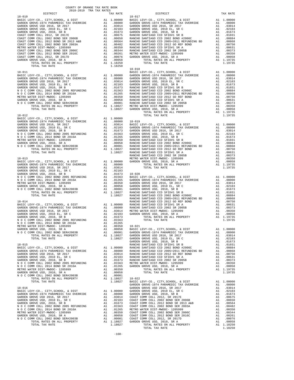|            |  | $18 - 018$     |         |
|------------|--|----------------|---------|
|            |  |                |         |
|            |  |                |         |
|            |  |                |         |
|            |  |                |         |
|            |  |                |         |
|            |  |                |         |
|            |  |                |         |
|            |  |                |         |
|            |  |                |         |
|            |  |                |         |
|            |  |                |         |
|            |  |                |         |
|            |  |                |         |
| $18 - 012$ |  | TOTAL TAX RATE | 1.19735 |
|            |  |                |         |
|            |  |                |         |
|            |  |                |         |
|            |  |                |         |
|            |  |                |         |
|            |  |                |         |
|            |  |                |         |
|            |  |                |         |
|            |  |                |         |
|            |  |                |         |
|            |  |                |         |
|            |  |                |         |
|            |  |                |         |
|            |  |                |         |
|            |  |                |         |
|            |  |                |         |
|            |  |                |         |
|            |  |                |         |
|            |  |                |         |
|            |  |                |         |
|            |  |                |         |
|            |  |                |         |
|            |  |                |         |
|            |  |                |         |
|            |  |                |         |
|            |  |                |         |
|            |  |                |         |
|            |  |                |         |
|            |  |                |         |
|            |  |                |         |
|            |  |                |         |
|            |  |                |         |
|            |  |                |         |
|            |  |                |         |
|            |  |                |         |
|            |  |                |         |
|            |  |                |         |
|            |  |                |         |
|            |  |                |         |
|            |  |                |         |
|            |  |                |         |
|            |  |                |         |
|            |  |                |         |
|            |  |                |         |
|            |  |                |         |
|            |  |                |         |
|            |  |                |         |
|            |  |                |         |
|            |  |                |         |
|            |  |                |         |
|            |  |                |         |
|            |  |                |         |
|            |  |                |         |
|            |  |                |         |
|            |  |                |         |
|            |  |                |         |
|            |  |                |         |
|            |  |                |         |
|            |  |                |         |
|            |  |                |         |
|            |  |                |         |
|            |  |                |         |
|            |  |                |         |
|            |  |                |         |
|            |  |                |         |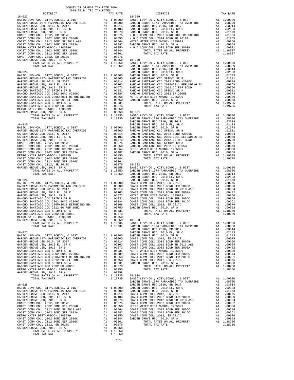| COUNTY OF ORANGE TAX RATE BOOK<br>2018-2019 TRA TAX RATES |          |            |
|-----------------------------------------------------------|----------|------------|
| DISTRICT<br>$18 - 023$                                    | TAX RATE | $18 - 029$ |
|                                                           |          |            |
|                                                           |          |            |
|                                                           |          |            |
|                                                           |          |            |
|                                                           |          |            |
|                                                           |          |            |
|                                                           |          |            |
|                                                           |          |            |
|                                                           |          |            |
|                                                           |          |            |
|                                                           |          |            |
|                                                           |          |            |
|                                                           |          |            |
|                                                           |          | GARDEN     |
|                                                           |          |            |
|                                                           |          |            |
|                                                           |          |            |
|                                                           |          |            |
|                                                           |          |            |
|                                                           |          |            |
|                                                           |          |            |
|                                                           |          |            |
|                                                           |          |            |
|                                                           |          |            |
|                                                           |          |            |
|                                                           |          |            |
|                                                           |          |            |
|                                                           |          | GARDEN     |
| $18 - 025$                                                |          | GARDEN     |
|                                                           |          |            |
|                                                           |          |            |
|                                                           |          |            |
|                                                           |          |            |
|                                                           |          |            |
|                                                           |          |            |
|                                                           |          |            |
|                                                           |          |            |
|                                                           |          |            |
|                                                           |          |            |
|                                                           |          |            |
|                                                           |          |            |
|                                                           |          |            |
|                                                           |          |            |
| $18 - 026$                                                |          | GARDEN     |
|                                                           |          |            |
|                                                           |          |            |
|                                                           |          |            |
|                                                           |          |            |
|                                                           |          |            |
|                                                           |          |            |
|                                                           |          |            |
|                                                           |          |            |
|                                                           |          |            |
|                                                           |          |            |
| A1 .00055 -5<br>A1 1.19735 BASIC L<br>1.19735 GARDEN      |          |            |
| TOTAL RATES ON ALL PROPERTY                               |          |            |
| TOTAL TAX RATE                                            |          | GARDEN     |
|                                                           |          |            |
|                                                           |          |            |
|                                                           |          |            |
|                                                           |          |            |
|                                                           |          |            |
|                                                           |          |            |
|                                                           |          |            |
|                                                           |          |            |
|                                                           |          |            |
|                                                           |          |            |
|                                                           |          |            |
|                                                           |          |            |
|                                                           |          |            |
|                                                           |          | GARDEN     |
|                                                           |          |            |
|                                                           |          |            |
|                                                           |          |            |
|                                                           |          |            |
|                                                           |          |            |
|                                                           |          |            |
|                                                           |          |            |
|                                                           |          |            |
|                                                           |          |            |
|                                                           |          |            |
|                                                           |          |            |
|                                                           |          |            |
|                                                           |          |            |
|                                                           |          |            |
|                                                           |          |            |

| 2018-2019 TRA TAX RATES<br>DISTRICT | TAX RATE | DISTRICT | TAX RATE |
|-------------------------------------|----------|----------|----------|
|                                     |          |          |          |
|                                     |          |          |          |
|                                     |          |          |          |
|                                     |          |          |          |
|                                     |          |          |          |
|                                     |          |          |          |
|                                     |          |          |          |
|                                     |          |          |          |
|                                     |          |          |          |
|                                     |          |          |          |
|                                     |          |          |          |
|                                     |          |          |          |
|                                     |          |          |          |
|                                     |          |          |          |
|                                     |          |          |          |
|                                     |          |          |          |
|                                     |          |          |          |
|                                     |          |          |          |
|                                     |          |          |          |
|                                     |          |          |          |
|                                     |          |          |          |
|                                     |          |          |          |
|                                     |          |          |          |
|                                     |          |          |          |
|                                     |          |          |          |
|                                     |          |          |          |
|                                     |          |          |          |
|                                     |          |          |          |
|                                     |          |          |          |
|                                     |          |          |          |
|                                     |          |          |          |
|                                     |          |          |          |
|                                     |          |          |          |
|                                     |          |          |          |
|                                     |          |          |          |
|                                     |          |          |          |
|                                     |          |          |          |
|                                     |          |          |          |
|                                     |          |          |          |
|                                     |          |          |          |
|                                     |          |          |          |
|                                     |          |          |          |
|                                     |          |          |          |
|                                     |          |          |          |
|                                     |          |          |          |
|                                     |          |          |          |
|                                     |          |          |          |
|                                     |          |          |          |
|                                     |          |          |          |
|                                     |          |          |          |
|                                     |          |          |          |
|                                     |          |          |          |
|                                     |          |          |          |
|                                     |          |          |          |
|                                     |          |          |          |
|                                     |          |          |          |
|                                     |          |          |          |
|                                     |          |          |          |
|                                     |          |          |          |
|                                     |          |          |          |
|                                     |          |          |          |
|                                     |          |          |          |
|                                     |          |          |          |
|                                     |          |          |          |
|                                     |          |          |          |
|                                     |          |          |          |
|                                     |          |          |          |
|                                     |          |          |          |
|                                     |          |          |          |
|                                     |          |          |          |
|                                     |          |          |          |
|                                     |          |          |          |
|                                     |          |          |          |
|                                     |          |          |          |
|                                     |          |          |          |
|                                     |          |          |          |
|                                     |          |          |          |
|                                     |          |          |          |
|                                     |          |          |          |
|                                     |          |          |          |
|                                     |          |          |          |
|                                     |          |          |          |
|                                     |          |          |          |
|                                     |          |          |          |
|                                     |          |          |          |
|                                     |          |          |          |
|                                     |          |          |          |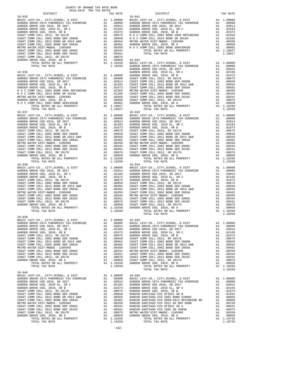| COUNTY OF ORANGE TAX RATE BOOK<br>2018-2019 TRA TAX RATES |          |                 |          |
|-----------------------------------------------------------|----------|-----------------|----------|
| DISTRICT                                                  | TAX RATE | <b>DISTRICT</b> | TAX RATE |
| $18 - 035$                                                |          | $18 - 041$      |          |
|                                                           |          |                 |          |
|                                                           |          |                 |          |
|                                                           |          |                 |          |
|                                                           |          |                 |          |
|                                                           |          |                 |          |
|                                                           |          |                 |          |
|                                                           |          |                 |          |
|                                                           |          |                 |          |
|                                                           |          |                 |          |
|                                                           |          |                 |          |
|                                                           |          |                 |          |
|                                                           |          |                 |          |
|                                                           |          |                 |          |
|                                                           |          |                 |          |
|                                                           |          |                 |          |
|                                                           |          |                 |          |
|                                                           |          |                 |          |
|                                                           |          |                 |          |
|                                                           |          |                 |          |
|                                                           |          |                 |          |
|                                                           |          |                 |          |
|                                                           |          |                 |          |
|                                                           |          |                 |          |
|                                                           |          |                 |          |
|                                                           |          |                 |          |
|                                                           |          |                 |          |
|                                                           |          |                 |          |
|                                                           |          |                 |          |
|                                                           |          |                 |          |
|                                                           |          |                 |          |
|                                                           |          |                 |          |
|                                                           |          |                 |          |
|                                                           |          |                 |          |
|                                                           |          |                 |          |
|                                                           |          |                 |          |
|                                                           |          |                 |          |
|                                                           |          |                 |          |
|                                                           |          |                 |          |
|                                                           |          |                 |          |
|                                                           |          |                 |          |
|                                                           |          |                 |          |
|                                                           |          |                 |          |
|                                                           |          |                 |          |
|                                                           |          |                 |          |
| $18 - 039$                                                |          |                 |          |
| BASIC LEVY-CO., CITY, SCHOOL, & DIST A1 1.00000 18-045    |          |                 |          |
|                                                           |          |                 |          |
|                                                           |          |                 |          |
|                                                           |          |                 |          |
|                                                           |          |                 |          |
|                                                           |          |                 |          |
|                                                           |          |                 |          |
|                                                           |          |                 |          |
|                                                           |          |                 |          |
|                                                           |          |                 |          |
|                                                           |          |                 |          |
|                                                           |          |                 |          |
| $18 - 040$                                                |          |                 |          |
|                                                           |          |                 |          |
|                                                           |          |                 |          |
|                                                           |          |                 |          |
|                                                           |          |                 |          |
|                                                           |          |                 |          |
|                                                           |          |                 |          |
|                                                           |          |                 |          |
|                                                           |          |                 |          |
|                                                           |          |                 |          |
|                                                           |          |                 |          |
|                                                           |          |                 |          |
|                                                           |          |                 |          |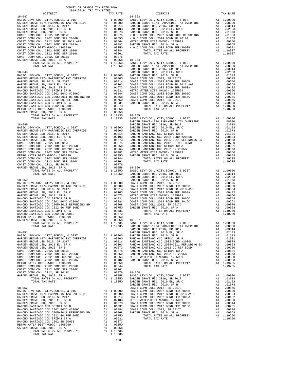| COUNTY OF ORANGE TAX RATE BOOK<br>2018-2019 TRA TAX RATES |          |                                    |
|-----------------------------------------------------------|----------|------------------------------------|
| DISTRICT<br>$18 - 047$                                    | TAX RATE | $18 - 053$                         |
|                                                           |          |                                    |
|                                                           |          |                                    |
|                                                           |          |                                    |
|                                                           |          |                                    |
|                                                           |          |                                    |
|                                                           |          |                                    |
|                                                           |          |                                    |
|                                                           |          |                                    |
|                                                           |          |                                    |
|                                                           |          |                                    |
|                                                           |          |                                    |
|                                                           |          |                                    |
|                                                           |          | GARDEN                             |
|                                                           |          |                                    |
|                                                           |          |                                    |
|                                                           |          |                                    |
|                                                           |          |                                    |
|                                                           |          |                                    |
|                                                           |          |                                    |
|                                                           |          |                                    |
|                                                           |          |                                    |
|                                                           |          |                                    |
|                                                           |          |                                    |
|                                                           |          |                                    |
|                                                           |          |                                    |
|                                                           |          |                                    |
|                                                           |          | GARDEN                             |
| $18 - 049$                                                |          | GARDEN                             |
|                                                           |          |                                    |
|                                                           |          |                                    |
|                                                           |          |                                    |
|                                                           |          |                                    |
|                                                           |          |                                    |
|                                                           |          |                                    |
|                                                           |          |                                    |
|                                                           |          |                                    |
|                                                           |          |                                    |
|                                                           |          |                                    |
|                                                           |          |                                    |
|                                                           |          |                                    |
| $18 - 050$                                                |          | GARDEN                             |
|                                                           |          |                                    |
|                                                           |          |                                    |
|                                                           |          |                                    |
|                                                           |          |                                    |
|                                                           |          |                                    |
|                                                           |          |                                    |
|                                                           |          |                                    |
|                                                           |          |                                    |
|                                                           |          |                                    |
|                                                           |          |                                    |
|                                                           |          |                                    |
| $\overline{A1}$ 1<br>TOTAL RATES ON ALL PROPERTY          |          | 1.19735 BASIC L<br>1.19735 BASIC L |
| TOTAL TAX RATE                                            |          | GARDEN                             |
|                                                           |          |                                    |
|                                                           |          |                                    |
|                                                           |          |                                    |
|                                                           |          |                                    |
|                                                           |          |                                    |
|                                                           |          |                                    |
|                                                           |          |                                    |
|                                                           |          |                                    |
|                                                           |          |                                    |
|                                                           |          |                                    |
|                                                           |          |                                    |
|                                                           |          |                                    |
|                                                           |          |                                    |
|                                                           |          |                                    |
|                                                           |          | GARDEN                             |
| $18 - 052$                                                |          | COAST C                            |
|                                                           |          |                                    |
|                                                           |          |                                    |
|                                                           |          |                                    |
|                                                           |          |                                    |
|                                                           |          |                                    |
|                                                           |          |                                    |
|                                                           |          |                                    |
|                                                           |          |                                    |
|                                                           |          |                                    |
|                                                           |          |                                    |
|                                                           |          |                                    |
|                                                           |          |                                    |
|                                                           |          |                                    |

-163-

| 2018-2019 TRA TAX RATES<br>DISTRICT | TAX RATE | DISTRICT | TAX RATE |
|-------------------------------------|----------|----------|----------|
|                                     |          |          |          |
|                                     |          |          |          |
|                                     |          |          |          |
|                                     |          |          |          |
|                                     |          |          |          |
|                                     |          |          |          |
|                                     |          |          |          |
|                                     |          |          |          |
|                                     |          |          |          |
|                                     |          |          |          |
|                                     |          |          |          |
|                                     |          |          |          |
|                                     |          |          |          |
|                                     |          |          |          |
|                                     |          |          |          |
|                                     |          |          |          |
|                                     |          |          |          |
|                                     |          |          |          |
|                                     |          |          |          |
|                                     |          |          |          |
|                                     |          |          |          |
|                                     |          |          |          |
|                                     |          |          |          |
|                                     |          |          |          |
|                                     |          |          |          |
|                                     |          |          |          |
|                                     |          |          |          |
|                                     |          |          |          |
|                                     |          |          |          |
|                                     |          |          |          |
|                                     |          |          |          |
|                                     |          |          |          |
|                                     |          |          |          |
|                                     |          |          |          |
|                                     |          |          |          |
|                                     |          |          |          |
|                                     |          |          |          |
|                                     |          |          |          |
|                                     |          |          |          |
|                                     |          |          |          |
|                                     |          |          |          |
|                                     |          |          |          |
|                                     |          |          |          |
|                                     |          |          |          |
|                                     |          |          |          |
|                                     |          |          |          |
|                                     |          |          |          |
|                                     |          |          |          |
|                                     |          |          |          |
|                                     |          |          |          |
|                                     |          |          |          |
|                                     |          |          |          |
|                                     |          |          |          |
|                                     |          |          |          |
|                                     |          |          |          |
|                                     |          |          |          |
|                                     |          |          |          |
|                                     |          |          |          |
|                                     |          |          |          |
|                                     |          |          |          |
|                                     |          |          |          |
|                                     |          |          |          |
|                                     |          |          |          |
|                                     |          |          |          |
|                                     |          |          |          |
|                                     |          |          |          |
|                                     |          |          |          |
|                                     |          |          |          |
|                                     |          |          |          |
|                                     |          |          |          |
|                                     |          |          |          |
|                                     |          |          |          |
|                                     |          |          |          |
|                                     |          |          |          |
|                                     |          |          |          |
|                                     |          |          |          |
|                                     |          |          |          |
|                                     |          |          |          |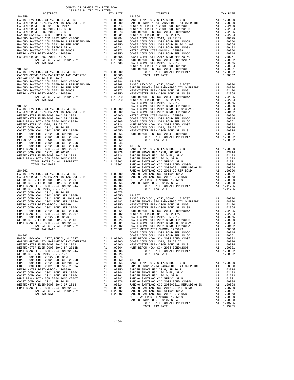| GARDEN GROVE-1974 PARAMENDE TAX OVERKIDE AL 08000 GARDEN GROVE USD 2016, SR 2017 al 0.03014 WESTMINGARDEN GROVE USD 2016 SR 2017 al 0.03014 WESTMINGARDEN GROVE USD 2010 SR B and 0.02103 WESTMINGARDEN GROVE USD 2010 SR B a |          |                                                 |            |
|-------------------------------------------------------------------------------------------------------------------------------------------------------------------------------------------------------------------------------|----------|-------------------------------------------------|------------|
|                                                                                                                                                                                                                               |          |                                                 |            |
|                                                                                                                                                                                                                               |          |                                                 |            |
|                                                                                                                                                                                                                               |          |                                                 |            |
|                                                                                                                                                                                                                               |          |                                                 |            |
|                                                                                                                                                                                                                               |          |                                                 |            |
|                                                                                                                                                                                                                               |          |                                                 |            |
|                                                                                                                                                                                                                               |          |                                                 |            |
|                                                                                                                                                                                                                               |          |                                                 |            |
|                                                                                                                                                                                                                               |          |                                                 |            |
|                                                                                                                                                                                                                               |          |                                                 |            |
|                                                                                                                                                                                                                               |          |                                                 |            |
|                                                                                                                                                                                                                               |          |                                                 |            |
|                                                                                                                                                                                                                               |          |                                                 | WESTMIN    |
|                                                                                                                                                                                                                               |          |                                                 |            |
|                                                                                                                                                                                                                               |          |                                                 |            |
|                                                                                                                                                                                                                               |          |                                                 |            |
|                                                                                                                                                                                                                               |          |                                                 |            |
|                                                                                                                                                                                                                               |          |                                                 |            |
|                                                                                                                                                                                                                               |          |                                                 |            |
|                                                                                                                                                                                                                               |          |                                                 |            |
|                                                                                                                                                                                                                               |          |                                                 |            |
|                                                                                                                                                                                                                               |          |                                                 |            |
|                                                                                                                                                                                                                               |          |                                                 |            |
|                                                                                                                                                                                                                               |          |                                                 |            |
| $18 - 061$                                                                                                                                                                                                                    |          |                                                 | COAST C    |
|                                                                                                                                                                                                                               |          |                                                 | COAST C    |
|                                                                                                                                                                                                                               |          |                                                 |            |
|                                                                                                                                                                                                                               |          |                                                 |            |
|                                                                                                                                                                                                                               |          |                                                 |            |
|                                                                                                                                                                                                                               |          |                                                 |            |
|                                                                                                                                                                                                                               |          |                                                 |            |
|                                                                                                                                                                                                                               |          |                                                 |            |
|                                                                                                                                                                                                                               |          |                                                 |            |
|                                                                                                                                                                                                                               |          |                                                 |            |
|                                                                                                                                                                                                                               |          |                                                 |            |
|                                                                                                                                                                                                                               |          |                                                 |            |
|                                                                                                                                                                                                                               |          |                                                 |            |
|                                                                                                                                                                                                                               |          |                                                 |            |
|                                                                                                                                                                                                                               |          |                                                 |            |
|                                                                                                                                                                                                                               |          |                                                 |            |
|                                                                                                                                                                                                                               |          |                                                 |            |
|                                                                                                                                                                                                                               |          |                                                 |            |
|                                                                                                                                                                                                                               |          |                                                 |            |
|                                                                                                                                                                                                                               |          |                                                 |            |
|                                                                                                                                                                                                                               |          |                                                 |            |
|                                                                                                                                                                                                                               |          |                                                 |            |
|                                                                                                                                                                                                                               |          |                                                 |            |
|                                                                                                                                                                                                                               |          |                                                 |            |
|                                                                                                                                                                                                                               |          |                                                 |            |
|                                                                                                                                                                                                                               |          |                                                 |            |
|                                                                                                                                                                                                                               |          |                                                 |            |
|                                                                                                                                                                                                                               |          |                                                 |            |
|                                                                                                                                                                                                                               |          |                                                 |            |
|                                                                                                                                                                                                                               |          |                                                 |            |
|                                                                                                                                                                                                                               |          |                                                 |            |
|                                                                                                                                                                                                                               |          |                                                 |            |
|                                                                                                                                                                                                                               |          |                                                 |            |
|                                                                                                                                                                                                                               |          |                                                 |            |
|                                                                                                                                                                                                                               |          |                                                 |            |
|                                                                                                                                                                                                                               |          |                                                 |            |
|                                                                                                                                                                                                                               |          |                                                 |            |
|                                                                                                                                                                                                                               |          |                                                 |            |
|                                                                                                                                                                                                                               |          |                                                 |            |
|                                                                                                                                                                                                                               |          |                                                 |            |
|                                                                                                                                                                                                                               |          |                                                 |            |
|                                                                                                                                                                                                                               |          |                                                 |            |
| BASIC LEVY-CO., CITY, SCHOOL, & DIST                                                                                                                                                                                          |          | A1 1.00000                                      | HUNT BE    |
| GARDEN GROVE-1974 PARAMEDIC TAX OVERRIDE                                                                                                                                                                                      |          | A1 .08000                                       | COAST C    |
| WESTMINSTER ELEM-2008 BOND SR 2009                                                                                                                                                                                            | A1       | .02400                                          | WESTMIN    |
| WESTMINSTER ELEM-2008 BOND SR 2013B                                                                                                                                                                                           | A1       | .02364                                          | HUNT BE    |
| HUNT BEACH HIGH SCH 2004 BOND#2004A                                                                                                                                                                                           | A1       | .02305                                          |            |
| WESTMINSTER SD 2016, SR 2017A                                                                                                                                                                                                 | A1       | .02224                                          |            |
| COAST COMM COLL 2012, SR 2017E                                                                                                                                                                                                | A1       | .00675                                          |            |
| COAST COMM COLL 2002 BOND SER 2006B                                                                                                                                                                                           |          | A1 .00650                                       | $18 - 068$ |
| COAST COMM COLL 2012 BOND SR 2013 A&B                                                                                                                                                                                         |          | A1.00564                                        | BASIC L    |
| COAST COMM COLL 2002 BOND SER 2003A<br>METRO WATER DIST-MWDOC- 1205999                                                                                                                                                        |          | A1.00482                                        | GARDEN     |
|                                                                                                                                                                                                                               | A1       | .00350                                          | GARDEN     |
| COAST COMM COLL 2002 BOND SER 2006C<br>COAST COMM COLL 2012 BOND SER 2016C                                                                                                                                                    | A1       | .00344                                          | GARDEN     |
| HUNT BEACH HIGH SCH 2004 BOND #2007                                                                                                                                                                                           | A1<br>A1 | .00261 GARDEN<br>.00082 RANCHO<br>.00076 RANCHO |            |
| COAST COMM COLL 2012, SR 2017D                                                                                                                                                                                                | A1       |                                                 |            |
| WESTMINSTER ELEM-2008 BOND SR 2013                                                                                                                                                                                            |          | A1 .00024                                       | RANCHO     |
| HUNT BEACH HIGH SCH 2004 BOND#2005                                                                                                                                                                                            |          | A1.00001                                        | RANCHO     |
| TOTAL RATES ON ALL PROPERTY                                                                                                                                                                                                   |          | A1 1.20802                                      | RANCHO     |
| TOTAL TAX RATE                                                                                                                                                                                                                |          | 1.20802                                         | RANCHO     |
|                                                                                                                                                                                                                               |          |                                                 |            |

| TAX RATE<br>DISTRICT | TAX RATE |
|----------------------|----------|
|                      |          |
|                      |          |
|                      |          |
|                      |          |
|                      |          |
|                      |          |
|                      |          |
|                      |          |
|                      |          |
|                      |          |
|                      |          |
|                      |          |
|                      |          |
|                      |          |
|                      |          |
|                      |          |
|                      |          |
|                      |          |
|                      |          |
|                      |          |
|                      |          |
|                      |          |
|                      |          |
|                      |          |
|                      |          |
|                      |          |
|                      |          |
|                      |          |
|                      |          |
|                      |          |
|                      |          |
|                      |          |
|                      |          |
|                      |          |
|                      |          |
|                      |          |
|                      |          |
|                      |          |
|                      |          |
|                      |          |
|                      |          |
|                      |          |
|                      |          |
|                      |          |
|                      |          |
|                      |          |
|                      |          |
|                      |          |
|                      |          |
|                      |          |
|                      |          |
|                      |          |
|                      |          |
|                      |          |
|                      |          |
|                      |          |
|                      |          |
|                      |          |
|                      |          |
|                      |          |
|                      |          |
|                      |          |
|                      |          |
|                      |          |
|                      |          |
|                      |          |
|                      |          |
|                      |          |
|                      |          |
|                      |          |
|                      |          |
|                      |          |
|                      |          |
|                      |          |
|                      |          |
|                      |          |
|                      |          |
|                      |          |
|                      |          |
|                      |          |
|                      |          |
|                      |          |
|                      |          |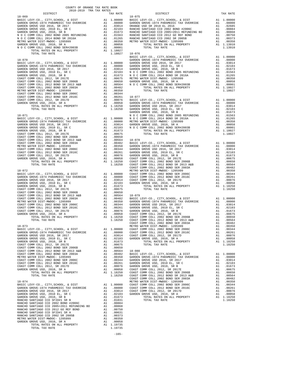| $18 - 069$                                                      |                                                                                           | $18 - 075$        |
|-----------------------------------------------------------------|-------------------------------------------------------------------------------------------|-------------------|
|                                                                 |                                                                                           |                   |
|                                                                 |                                                                                           |                   |
|                                                                 |                                                                                           |                   |
|                                                                 |                                                                                           |                   |
|                                                                 |                                                                                           |                   |
|                                                                 |                                                                                           |                   |
|                                                                 |                                                                                           |                   |
|                                                                 | 1.18027 18-076<br>BASIC L                                                                 |                   |
|                                                                 |                                                                                           |                   |
|                                                                 |                                                                                           |                   |
|                                                                 |                                                                                           |                   |
|                                                                 |                                                                                           |                   |
|                                                                 |                                                                                           |                   |
|                                                                 |                                                                                           |                   |
|                                                                 |                                                                                           |                   |
|                                                                 |                                                                                           |                   |
|                                                                 |                                                                                           |                   |
|                                                                 |                                                                                           |                   |
|                                                                 |                                                                                           |                   |
|                                                                 |                                                                                           |                   |
|                                                                 |                                                                                           | GARDEN            |
|                                                                 |                                                                                           |                   |
|                                                                 |                                                                                           |                   |
|                                                                 |                                                                                           |                   |
|                                                                 |                                                                                           |                   |
|                                                                 |                                                                                           |                   |
|                                                                 |                                                                                           |                   |
|                                                                 |                                                                                           |                   |
|                                                                 |                                                                                           |                   |
|                                                                 |                                                                                           |                   |
|                                                                 |                                                                                           |                   |
|                                                                 |                                                                                           |                   |
|                                                                 |                                                                                           |                   |
|                                                                 |                                                                                           |                   |
|                                                                 |                                                                                           |                   |
|                                                                 |                                                                                           |                   |
|                                                                 |                                                                                           |                   |
|                                                                 |                                                                                           |                   |
|                                                                 |                                                                                           |                   |
|                                                                 |                                                                                           |                   |
|                                                                 |                                                                                           |                   |
|                                                                 |                                                                                           |                   |
|                                                                 |                                                                                           |                   |
|                                                                 |                                                                                           |                   |
|                                                                 |                                                                                           |                   |
|                                                                 |                                                                                           |                   |
|                                                                 |                                                                                           | COAST C           |
| $18 - 073$<br>BASIC LEVY-CO., CITY, SCHOOL, & DIST              | $\begin{tabular}{ll} \bf METRO & \tt W \\ \bf A1 & 1.00000 & \tt COAST & C \end{tabular}$ |                   |
| GARDEN GROVE -1974 PARAMEDIC TAX OVERRIDE A 1 .00000 COADT C    |                                                                                           |                   |
| GARDEN GROVE USD 2016, SR 2017                                  | A1 .03014                                                                                 | COAST C<br>GARDEN |
| GARDEN GROVE USD, 2010 EL, SR C<br>GARDEN GROVE USD, 2010, SR B | A1 .02103<br>A1.01673                                                                     |                   |
|                                                                 |                                                                                           |                   |
|                                                                 |                                                                                           |                   |
|                                                                 |                                                                                           |                   |
|                                                                 |                                                                                           |                   |
|                                                                 |                                                                                           |                   |
|                                                                 |                                                                                           |                   |
|                                                                 |                                                                                           |                   |
|                                                                 |                                                                                           |                   |
|                                                                 |                                                                                           | COAST C           |
|                                                                 |                                                                                           |                   |
|                                                                 |                                                                                           |                   |
|                                                                 |                                                                                           |                   |
|                                                                 |                                                                                           |                   |
|                                                                 |                                                                                           |                   |
|                                                                 |                                                                                           |                   |
|                                                                 |                                                                                           |                   |
|                                                                 |                                                                                           |                   |
|                                                                 |                                                                                           |                   |
|                                                                 |                                                                                           |                   |
|                                                                 |                                                                                           |                   |
|                                                                 |                                                                                           |                   |

-165-

| 2018-2019 TRA TAX RATES<br>DISTRICT | TAX RATE | DISTRICT   | TAX RATE |
|-------------------------------------|----------|------------|----------|
| $18 - 069$                          |          | $18 - 075$ |          |
|                                     |          |            |          |
|                                     |          |            |          |
|                                     |          |            |          |
|                                     |          |            |          |
|                                     |          |            |          |
|                                     |          |            |          |
|                                     |          |            |          |
|                                     |          |            |          |
|                                     |          |            |          |
|                                     |          |            |          |
|                                     |          |            |          |
|                                     |          |            |          |
|                                     |          |            |          |
|                                     |          |            |          |
|                                     |          |            |          |
|                                     |          |            |          |
|                                     |          |            |          |
|                                     |          |            |          |
|                                     |          |            |          |
|                                     |          |            |          |
|                                     |          |            |          |
|                                     |          |            |          |
|                                     |          |            |          |
|                                     |          |            |          |
|                                     |          |            |          |
|                                     |          |            |          |
|                                     |          |            |          |
|                                     |          |            |          |
|                                     |          |            |          |
|                                     |          |            |          |
|                                     |          |            |          |
|                                     |          |            |          |
|                                     |          |            |          |
|                                     |          |            |          |
|                                     |          |            |          |
|                                     |          |            |          |
|                                     |          |            |          |
|                                     |          |            |          |
|                                     |          |            |          |
|                                     |          |            |          |
|                                     |          |            |          |
|                                     |          |            |          |
|                                     |          |            |          |
|                                     |          |            |          |
|                                     |          |            |          |
|                                     |          |            |          |
|                                     |          |            |          |
|                                     |          |            |          |
|                                     |          |            |          |
|                                     |          |            |          |
|                                     |          |            |          |
|                                     |          |            |          |
|                                     |          |            |          |
|                                     |          |            |          |
|                                     |          |            |          |
|                                     |          |            |          |
|                                     |          |            |          |
|                                     |          |            |          |
|                                     |          |            |          |
|                                     |          |            |          |
|                                     |          |            |          |
|                                     |          |            |          |
|                                     |          |            |          |
|                                     |          |            |          |
|                                     |          |            |          |
|                                     |          |            |          |
|                                     |          |            |          |
|                                     |          |            |          |
|                                     |          |            |          |
|                                     |          |            |          |
|                                     |          |            |          |
|                                     |          |            |          |
|                                     |          |            |          |
|                                     |          |            |          |
|                                     |          |            |          |
|                                     |          |            |          |
|                                     |          |            |          |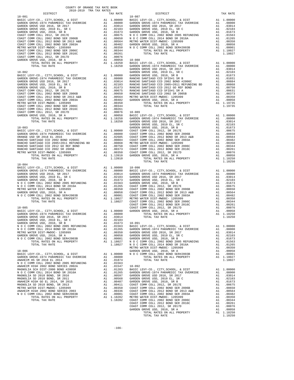| COUNTY OF ORANGE TAX RATE BOOK<br>2018-2019 TRA TAX RATES<br>2018-2019 TRA TAX RATES |          |          |          |
|--------------------------------------------------------------------------------------|----------|----------|----------|
| DISTRICT                                                                             | TAX RATE | DISTRICT | TAX RATE |
|                                                                                      |          |          |          |
|                                                                                      |          |          |          |
|                                                                                      |          |          |          |
|                                                                                      |          |          |          |
|                                                                                      |          |          |          |
|                                                                                      |          |          |          |
|                                                                                      |          |          |          |
|                                                                                      |          |          |          |
|                                                                                      |          |          |          |
|                                                                                      |          |          |          |
|                                                                                      |          |          |          |
|                                                                                      |          |          |          |
|                                                                                      |          |          |          |
|                                                                                      |          |          |          |
|                                                                                      |          |          |          |
|                                                                                      |          |          |          |
|                                                                                      |          |          |          |
|                                                                                      |          |          |          |
|                                                                                      |          |          |          |
|                                                                                      |          |          |          |
|                                                                                      |          |          |          |
|                                                                                      |          |          |          |
|                                                                                      |          |          |          |
|                                                                                      |          |          |          |
|                                                                                      |          |          |          |
|                                                                                      |          |          |          |
|                                                                                      |          |          |          |
|                                                                                      |          |          |          |
|                                                                                      |          |          |          |
|                                                                                      |          |          |          |
|                                                                                      |          |          |          |
|                                                                                      |          |          |          |
|                                                                                      |          |          |          |
|                                                                                      |          |          |          |
|                                                                                      |          |          |          |
|                                                                                      |          |          |          |
|                                                                                      |          |          |          |
|                                                                                      |          |          |          |
|                                                                                      |          |          |          |
|                                                                                      |          |          |          |
|                                                                                      |          |          |          |
|                                                                                      |          |          |          |
| $18 - 084$                                                                           |          |          |          |
|                                                                                      |          |          |          |
|                                                                                      |          |          |          |
|                                                                                      |          |          |          |
|                                                                                      |          |          |          |
|                                                                                      |          |          |          |
|                                                                                      |          |          |          |
|                                                                                      |          |          |          |
|                                                                                      |          |          |          |
|                                                                                      |          |          |          |
|                                                                                      |          |          |          |
|                                                                                      |          |          |          |
|                                                                                      |          |          |          |
|                                                                                      |          |          |          |
|                                                                                      |          |          |          |
|                                                                                      |          |          |          |
|                                                                                      |          |          |          |
|                                                                                      |          |          |          |
|                                                                                      |          |          |          |
|                                                                                      |          |          |          |
|                                                                                      |          |          |          |
|                                                                                      |          |          |          |
|                                                                                      |          |          |          |
|                                                                                      |          |          |          |
|                                                                                      |          |          |          |
|                                                                                      |          |          |          |
|                                                                                      |          |          |          |
|                                                                                      |          |          |          |
|                                                                                      |          |          |          |
|                                                                                      |          |          |          |
|                                                                                      |          |          |          |
|                                                                                      |          |          |          |
|                                                                                      |          |          |          |
|                                                                                      |          |          |          |
|                                                                                      |          |          |          |
|                                                                                      |          |          |          |
|                                                                                      |          |          |          |
|                                                                                      |          |          |          |
|                                                                                      |          |          |          |
|                                                                                      |          |          |          |
|                                                                                      |          |          |          |
|                                                                                      |          |          |          |
|                                                                                      |          |          |          |
|                                                                                      |          |          |          |
|                                                                                      |          |          |          |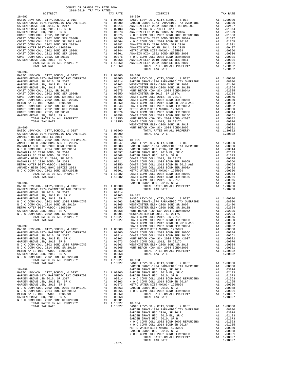| COUNTY OF ORANGE TAX RATE BOOK<br>2018-2019 TRA TAX RATES |          |                                                                                                                                                                                                                                                                                                                                                                                                              |          |
|-----------------------------------------------------------|----------|--------------------------------------------------------------------------------------------------------------------------------------------------------------------------------------------------------------------------------------------------------------------------------------------------------------------------------------------------------------------------------------------------------------|----------|
|                                                           | TAX RATE | DISTRICT<br>$\begin{tabular}{cccc} 18-093 & DISTRICT & TAX RATE \\ \hline \texttt{BASIC LEVY-CO}, CITT, SCH OOL, & DISTRICT & TAX RATE \\ \hline \texttt{BASIC LEVY-CO}, CITT, SCH OOL, & DISTR TCP \\ \hline \texttt{AARDERW GROVE 1974 PRARMEIDER} & A1 1.00000 & CALDEM-2014 PARMERUDE TAX RATEB\nGRABEN GROVE 1974 PARAMEDE TAX RATEB & A1 0.08000 & CARDBW GROVE 1974 PARMMEDE 1974 PARMMEDE 1874 PARM$ | TAX RATE |
|                                                           |          |                                                                                                                                                                                                                                                                                                                                                                                                              |          |
|                                                           |          |                                                                                                                                                                                                                                                                                                                                                                                                              |          |
|                                                           |          |                                                                                                                                                                                                                                                                                                                                                                                                              |          |
|                                                           |          |                                                                                                                                                                                                                                                                                                                                                                                                              |          |
|                                                           |          |                                                                                                                                                                                                                                                                                                                                                                                                              |          |
|                                                           |          |                                                                                                                                                                                                                                                                                                                                                                                                              |          |
|                                                           |          |                                                                                                                                                                                                                                                                                                                                                                                                              |          |
|                                                           |          |                                                                                                                                                                                                                                                                                                                                                                                                              |          |
|                                                           |          |                                                                                                                                                                                                                                                                                                                                                                                                              |          |
|                                                           |          |                                                                                                                                                                                                                                                                                                                                                                                                              |          |
|                                                           |          |                                                                                                                                                                                                                                                                                                                                                                                                              |          |
|                                                           |          |                                                                                                                                                                                                                                                                                                                                                                                                              |          |
|                                                           |          |                                                                                                                                                                                                                                                                                                                                                                                                              |          |
| $18 - 094$                                                |          | TOTAL TAX RATE<br>14.1992<br>14.1992<br>14.1992<br>14.1992<br>14.1992<br>14.1992<br>14.1992<br>14.1992<br>14.1992<br>14.1992<br>14.1992<br>2000210 1000210 2000210 2000212<br>2000210 2000210 2000210 2000212<br>2000210 2000210 2000210 2000212<br>2000210 2000210 2000210                                                                                                                                  | 1.20482  |
|                                                           |          |                                                                                                                                                                                                                                                                                                                                                                                                              |          |
|                                                           |          |                                                                                                                                                                                                                                                                                                                                                                                                              |          |
|                                                           |          |                                                                                                                                                                                                                                                                                                                                                                                                              |          |
|                                                           |          |                                                                                                                                                                                                                                                                                                                                                                                                              |          |
|                                                           |          |                                                                                                                                                                                                                                                                                                                                                                                                              |          |
|                                                           |          |                                                                                                                                                                                                                                                                                                                                                                                                              |          |
|                                                           |          |                                                                                                                                                                                                                                                                                                                                                                                                              |          |
|                                                           |          |                                                                                                                                                                                                                                                                                                                                                                                                              |          |
|                                                           |          |                                                                                                                                                                                                                                                                                                                                                                                                              |          |
|                                                           |          |                                                                                                                                                                                                                                                                                                                                                                                                              |          |
|                                                           |          |                                                                                                                                                                                                                                                                                                                                                                                                              |          |
|                                                           |          |                                                                                                                                                                                                                                                                                                                                                                                                              |          |
|                                                           |          |                                                                                                                                                                                                                                                                                                                                                                                                              |          |
|                                                           |          |                                                                                                                                                                                                                                                                                                                                                                                                              |          |
|                                                           |          |                                                                                                                                                                                                                                                                                                                                                                                                              |          |
|                                                           |          |                                                                                                                                                                                                                                                                                                                                                                                                              |          |
|                                                           |          |                                                                                                                                                                                                                                                                                                                                                                                                              |          |
|                                                           |          |                                                                                                                                                                                                                                                                                                                                                                                                              |          |
|                                                           |          |                                                                                                                                                                                                                                                                                                                                                                                                              |          |
|                                                           |          |                                                                                                                                                                                                                                                                                                                                                                                                              |          |
|                                                           |          |                                                                                                                                                                                                                                                                                                                                                                                                              |          |
|                                                           |          |                                                                                                                                                                                                                                                                                                                                                                                                              |          |
|                                                           |          |                                                                                                                                                                                                                                                                                                                                                                                                              |          |
|                                                           |          |                                                                                                                                                                                                                                                                                                                                                                                                              |          |
|                                                           |          |                                                                                                                                                                                                                                                                                                                                                                                                              |          |
|                                                           |          |                                                                                                                                                                                                                                                                                                                                                                                                              |          |
|                                                           |          |                                                                                                                                                                                                                                                                                                                                                                                                              |          |
|                                                           |          |                                                                                                                                                                                                                                                                                                                                                                                                              |          |
|                                                           |          |                                                                                                                                                                                                                                                                                                                                                                                                              |          |
|                                                           |          |                                                                                                                                                                                                                                                                                                                                                                                                              |          |
|                                                           |          |                                                                                                                                                                                                                                                                                                                                                                                                              |          |
|                                                           |          |                                                                                                                                                                                                                                                                                                                                                                                                              |          |
|                                                           |          |                                                                                                                                                                                                                                                                                                                                                                                                              |          |
|                                                           |          |                                                                                                                                                                                                                                                                                                                                                                                                              |          |
|                                                           |          |                                                                                                                                                                                                                                                                                                                                                                                                              |          |
|                                                           |          |                                                                                                                                                                                                                                                                                                                                                                                                              |          |
|                                                           |          |                                                                                                                                                                                                                                                                                                                                                                                                              |          |
|                                                           |          |                                                                                                                                                                                                                                                                                                                                                                                                              |          |
|                                                           |          |                                                                                                                                                                                                                                                                                                                                                                                                              |          |
|                                                           |          |                                                                                                                                                                                                                                                                                                                                                                                                              |          |
|                                                           |          |                                                                                                                                                                                                                                                                                                                                                                                                              |          |
|                                                           |          |                                                                                                                                                                                                                                                                                                                                                                                                              |          |
|                                                           |          |                                                                                                                                                                                                                                                                                                                                                                                                              |          |
|                                                           |          |                                                                                                                                                                                                                                                                                                                                                                                                              |          |
|                                                           |          |                                                                                                                                                                                                                                                                                                                                                                                                              |          |
|                                                           |          |                                                                                                                                                                                                                                                                                                                                                                                                              |          |
|                                                           |          |                                                                                                                                                                                                                                                                                                                                                                                                              |          |
|                                                           |          |                                                                                                                                                                                                                                                                                                                                                                                                              |          |
|                                                           |          |                                                                                                                                                                                                                                                                                                                                                                                                              |          |
|                                                           |          |                                                                                                                                                                                                                                                                                                                                                                                                              |          |
|                                                           |          |                                                                                                                                                                                                                                                                                                                                                                                                              |          |
|                                                           |          |                                                                                                                                                                                                                                                                                                                                                                                                              |          |
|                                                           |          |                                                                                                                                                                                                                                                                                                                                                                                                              |          |
|                                                           |          |                                                                                                                                                                                                                                                                                                                                                                                                              |          |
|                                                           |          |                                                                                                                                                                                                                                                                                                                                                                                                              |          |
|                                                           |          |                                                                                                                                                                                                                                                                                                                                                                                                              |          |
|                                                           |          |                                                                                                                                                                                                                                                                                                                                                                                                              |          |
|                                                           |          |                                                                                                                                                                                                                                                                                                                                                                                                              |          |
|                                                           |          |                                                                                                                                                                                                                                                                                                                                                                                                              |          |
|                                                           |          |                                                                                                                                                                                                                                                                                                                                                                                                              |          |
|                                                           |          |                                                                                                                                                                                                                                                                                                                                                                                                              |          |
|                                                           |          |                                                                                                                                                                                                                                                                                                                                                                                                              |          |
|                                                           |          |                                                                                                                                                                                                                                                                                                                                                                                                              |          |
|                                                           |          |                                                                                                                                                                                                                                                                                                                                                                                                              |          |
|                                                           |          |                                                                                                                                                                                                                                                                                                                                                                                                              |          |
|                                                           |          |                                                                                                                                                                                                                                                                                                                                                                                                              |          |
|                                                           |          |                                                                                                                                                                                                                                                                                                                                                                                                              |          |
|                                                           |          |                                                                                                                                                                                                                                                                                                                                                                                                              |          |
|                                                           |          |                                                                                                                                                                                                                                                                                                                                                                                                              |          |
|                                                           |          |                                                                                                                                                                                                                                                                                                                                                                                                              |          |
|                                                           |          |                                                                                                                                                                                                                                                                                                                                                                                                              |          |

-167-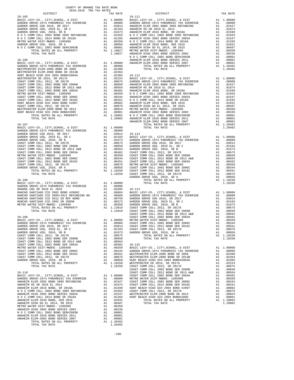| 2018-2019 TRA TAX RATES<br>DISTRICT | TAX RATE | DISTRICT | TAX RATE |
|-------------------------------------|----------|----------|----------|
|                                     |          |          |          |
|                                     |          |          |          |
|                                     |          |          |          |
|                                     |          |          |          |
|                                     |          |          |          |
|                                     |          |          |          |
|                                     |          |          |          |
|                                     |          |          |          |
|                                     |          |          |          |
|                                     |          |          |          |
|                                     |          |          |          |
|                                     |          |          |          |
|                                     |          |          |          |
|                                     |          |          |          |
|                                     |          |          |          |
|                                     |          |          |          |
|                                     |          |          |          |
|                                     |          |          |          |
|                                     |          |          |          |
|                                     |          |          |          |
|                                     |          |          |          |
|                                     |          |          |          |
|                                     |          |          |          |
|                                     |          |          |          |
|                                     |          |          |          |
|                                     |          |          |          |
|                                     |          |          |          |
|                                     |          |          |          |
|                                     |          |          |          |
|                                     |          |          |          |
|                                     |          |          |          |
|                                     |          |          |          |
|                                     |          |          |          |
|                                     |          |          |          |
|                                     |          |          |          |
|                                     |          |          |          |
|                                     |          |          |          |
|                                     |          |          |          |
|                                     |          |          |          |
|                                     |          |          |          |
|                                     |          |          |          |
|                                     |          |          |          |
|                                     |          |          |          |
|                                     |          |          |          |
|                                     |          |          |          |
|                                     |          |          |          |
|                                     |          |          |          |
|                                     |          |          |          |
|                                     |          |          |          |
|                                     |          |          |          |
|                                     |          |          |          |
|                                     |          |          |          |
|                                     |          |          |          |
|                                     |          |          |          |
|                                     |          |          |          |
|                                     |          |          |          |
|                                     |          |          |          |
|                                     |          |          |          |
|                                     |          |          |          |
|                                     |          |          |          |
|                                     |          |          |          |
|                                     |          |          |          |
|                                     |          |          |          |
|                                     |          |          |          |
|                                     |          |          |          |
|                                     |          |          |          |
|                                     |          |          |          |
|                                     |          |          |          |
|                                     |          |          |          |
|                                     |          |          |          |
|                                     |          |          |          |
|                                     |          |          |          |
|                                     |          |          |          |
|                                     |          |          |          |
|                                     |          |          |          |
|                                     |          |          |          |
|                                     |          |          |          |
|                                     |          |          |          |
|                                     |          |          |          |
|                                     |          |          |          |
|                                     |          |          |          |
|                                     |          |          |          |
|                                     |          |          |          |

-168-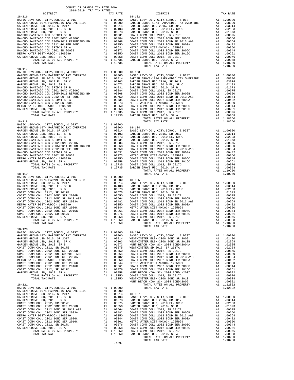| COUNTY OF ORANGE TAX RATE BOOK<br>2018-2019 TRA TAX RATES |          |                        |          |
|-----------------------------------------------------------|----------|------------------------|----------|
| DISTRICT<br>$18 - 116$                                    | TAX RATE | DISTRICT<br>$18 - 122$ | TAX RATE |
|                                                           |          |                        |          |
|                                                           |          |                        |          |
|                                                           |          |                        |          |
|                                                           |          |                        |          |
|                                                           |          |                        |          |
|                                                           |          |                        |          |
|                                                           |          |                        |          |
|                                                           |          |                        |          |
|                                                           |          |                        |          |
|                                                           |          |                        |          |
|                                                           |          |                        |          |
| $18 - 117$                                                |          |                        |          |
|                                                           |          |                        |          |
|                                                           |          |                        |          |
|                                                           |          |                        |          |
|                                                           |          |                        |          |
|                                                           |          |                        |          |
|                                                           |          |                        |          |
|                                                           |          |                        |          |
|                                                           |          |                        |          |
|                                                           |          |                        |          |
|                                                           |          |                        |          |
|                                                           |          |                        |          |
|                                                           |          |                        |          |
|                                                           |          |                        |          |
|                                                           |          |                        |          |
|                                                           |          |                        |          |
|                                                           |          |                        |          |
|                                                           |          |                        |          |
|                                                           |          |                        |          |
|                                                           |          |                        |          |
|                                                           |          |                        |          |
|                                                           |          |                        |          |
|                                                           |          |                        |          |
|                                                           |          |                        |          |
|                                                           |          |                        |          |
|                                                           |          |                        |          |
|                                                           |          |                        |          |
|                                                           |          |                        |          |
|                                                           |          |                        |          |
|                                                           |          |                        |          |
|                                                           |          |                        |          |
|                                                           |          |                        |          |
|                                                           |          |                        |          |
|                                                           |          |                        |          |
|                                                           |          | TOTAL TAX RATE         | 1.10250  |
| $18 - 120$                                                |          |                        |          |
|                                                           |          |                        |          |
|                                                           |          |                        |          |
|                                                           |          |                        |          |
|                                                           |          |                        |          |
|                                                           |          |                        |          |
|                                                           |          |                        |          |
|                                                           |          |                        |          |
|                                                           |          |                        |          |
|                                                           |          |                        |          |
|                                                           |          |                        |          |
|                                                           |          |                        |          |
|                                                           |          |                        |          |
|                                                           |          |                        |          |
|                                                           |          |                        |          |
|                                                           |          |                        |          |
|                                                           |          |                        |          |
|                                                           |          |                        |          |
|                                                           |          |                        |          |
|                                                           |          |                        |          |
|                                                           |          |                        |          |
|                                                           |          |                        |          |
|                                                           |          |                        |          |
|                                                           |          |                        |          |
|                                                           |          |                        |          |
|                                                           | $-169-$  |                        |          |
|                                                           |          |                        |          |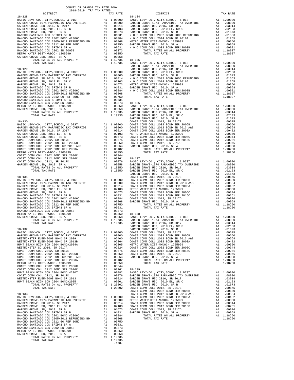| DISTRICT | TAX RATE | DISTRICT | TAX RATE |
|----------|----------|----------|----------|
|          |          |          |          |
|          |          |          |          |
|          |          |          |          |
|          |          |          |          |
|          |          |          |          |
|          |          |          |          |
|          |          |          |          |
|          |          |          |          |
|          |          |          |          |
|          |          |          |          |
|          |          |          |          |
|          |          |          |          |
|          |          |          |          |
|          |          |          |          |
|          |          |          |          |
|          |          |          |          |
|          |          |          |          |
|          |          |          |          |
|          |          |          |          |
|          |          |          |          |
|          |          |          |          |
|          |          |          |          |
|          |          |          |          |
|          |          |          |          |
|          |          |          |          |
|          |          |          |          |
|          |          |          |          |
|          |          |          |          |
|          |          |          |          |
|          |          |          |          |
|          |          |          |          |
|          |          |          |          |
|          |          |          |          |
|          |          |          |          |
|          |          |          |          |
|          |          |          |          |
|          |          |          |          |
|          |          |          |          |
|          |          |          |          |
|          |          |          |          |
|          |          |          |          |
|          |          |          |          |
|          |          |          |          |
|          |          |          |          |
|          |          |          |          |
|          |          |          |          |
|          |          |          |          |
|          |          |          |          |
|          |          |          |          |
|          |          |          |          |
|          |          |          |          |
|          |          |          |          |
|          |          |          |          |
|          |          |          |          |
|          |          |          |          |
|          |          |          |          |
|          |          |          |          |
|          |          |          |          |
|          |          |          |          |
|          |          |          |          |
|          |          |          |          |
|          |          |          |          |
|          |          |          |          |
|          |          |          |          |
|          |          |          |          |
|          |          |          |          |
|          |          |          |          |
|          |          |          |          |
|          |          |          |          |
|          |          |          |          |
|          |          |          |          |
|          |          |          |          |
|          |          |          |          |
|          |          |          |          |
|          |          |          |          |
|          |          |          |          |
|          |          |          |          |
|          |          |          |          |
|          |          |          |          |
|          |          |          |          |
|          |          |          |          |
|          |          |          |          |
|          |          |          |          |
|          |          |          |          |
|          |          |          |          |
|          |          |          |          |
|          |          |          |          |
|          |          |          |          |
|          |          |          |          |
|          |          |          |          |
|          |          |          |          |
|          |          |          |          |
|          |          |          |          |
|          |          |          |          |
|          |          |          |          |
|          |          |          |          |
|          |          |          |          |
|          |          |          |          |
|          |          |          |          |
|          |          |          |          |
|          |          |          |          |
|          |          |          |          |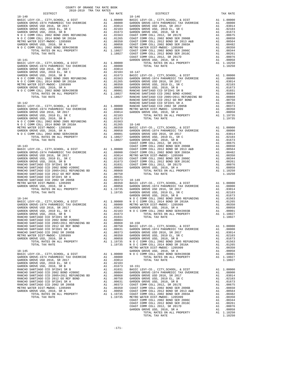| DISTRICT<br>DISTRICT<br>TAX RATE |
|----------------------------------|
|                                  |
|                                  |
|                                  |
|                                  |
|                                  |
|                                  |
|                                  |
|                                  |
|                                  |
|                                  |
|                                  |
|                                  |
|                                  |
|                                  |
|                                  |
|                                  |
|                                  |
|                                  |
|                                  |
|                                  |
|                                  |
|                                  |
|                                  |
|                                  |
|                                  |
|                                  |
|                                  |
|                                  |
|                                  |
|                                  |
|                                  |
|                                  |
|                                  |
|                                  |
|                                  |
|                                  |
|                                  |
|                                  |
|                                  |
|                                  |
|                                  |
|                                  |
|                                  |
|                                  |
|                                  |
|                                  |
|                                  |
|                                  |
|                                  |
|                                  |
|                                  |
|                                  |
|                                  |
|                                  |
|                                  |
|                                  |
|                                  |
|                                  |
|                                  |
|                                  |
|                                  |
|                                  |
|                                  |
|                                  |
|                                  |
|                                  |
|                                  |
|                                  |
|                                  |
|                                  |
|                                  |
|                                  |
|                                  |
|                                  |
|                                  |
|                                  |
|                                  |
|                                  |
|                                  |
|                                  |
|                                  |
|                                  |
|                                  |
|                                  |
|                                  |
|                                  |
|                                  |
|                                  |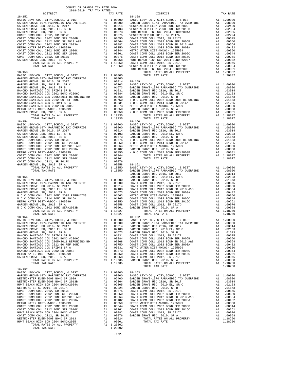| DISTRICT | TAX RATE | DISTRICT | TAX RATE |
|----------|----------|----------|----------|
|          |          |          |          |
|          |          |          |          |
|          |          |          |          |
|          |          |          |          |
|          |          |          |          |
|          |          |          |          |
|          |          |          |          |
|          |          |          |          |
|          |          |          |          |
|          |          |          |          |
|          |          |          |          |
|          |          |          |          |
|          |          |          |          |
|          |          |          |          |
|          |          |          |          |
|          |          |          |          |
|          |          |          |          |
|          |          |          |          |
|          |          |          |          |
|          |          |          |          |
|          |          |          |          |
|          |          |          |          |
|          |          |          |          |
|          |          |          |          |
|          |          |          |          |
|          |          |          |          |
|          |          |          |          |
|          |          |          |          |
|          |          |          |          |
|          |          |          |          |
|          |          |          |          |
|          |          |          |          |
|          |          |          |          |
|          |          |          |          |
|          |          |          |          |
|          |          |          |          |
|          |          |          |          |
|          |          |          |          |
|          |          |          |          |
|          |          |          |          |
|          |          |          |          |
|          |          |          |          |
|          |          |          |          |
|          |          |          |          |
|          |          |          |          |
|          |          |          |          |
|          |          |          |          |
|          |          |          |          |
|          |          |          |          |
|          |          |          |          |
|          |          |          |          |
|          |          |          |          |
|          |          |          |          |
|          |          |          |          |
|          |          |          |          |
|          |          |          |          |
|          |          |          |          |
|          |          |          |          |
|          |          |          |          |
|          |          |          |          |
|          |          |          |          |
|          |          |          |          |
|          |          |          |          |
|          |          |          |          |
|          |          |          |          |
|          |          |          |          |
|          |          |          |          |
|          |          |          |          |
|          |          |          |          |
|          |          |          |          |
|          |          |          |          |
|          |          |          |          |
|          |          |          |          |
|          |          |          |          |
|          |          |          |          |
|          |          |          |          |
|          |          |          |          |
|          |          |          |          |
|          |          |          |          |
|          |          |          |          |
|          |          |          |          |
|          |          |          |          |
|          |          |          |          |
|          |          |          |          |
|          |          |          |          |
|          |          |          |          |
|          |          |          |          |
|          |          |          |          |
|          |          |          |          |
|          |          |          |          |
|          |          |          |          |
|          |          |          |          |
|          |          |          |          |
|          |          |          |          |
|          |          |          |          |
|          |          |          |          |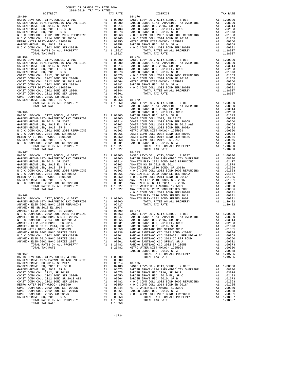| DISTRICT                                                                   |    | TAX RATE                                                                                                                                                                                                                                        |            |
|----------------------------------------------------------------------------|----|-------------------------------------------------------------------------------------------------------------------------------------------------------------------------------------------------------------------------------------------------|------------|
| $18 - 164$                                                                 |    |                                                                                                                                                                                                                                                 |            |
|                                                                            |    |                                                                                                                                                                                                                                                 |            |
|                                                                            |    |                                                                                                                                                                                                                                                 |            |
|                                                                            |    |                                                                                                                                                                                                                                                 |            |
|                                                                            |    |                                                                                                                                                                                                                                                 |            |
|                                                                            |    |                                                                                                                                                                                                                                                 |            |
|                                                                            |    |                                                                                                                                                                                                                                                 |            |
|                                                                            |    |                                                                                                                                                                                                                                                 |            |
|                                                                            |    |                                                                                                                                                                                                                                                 |            |
|                                                                            |    |                                                                                                                                                                                                                                                 |            |
|                                                                            |    |                                                                                                                                                                                                                                                 |            |
|                                                                            |    |                                                                                                                                                                                                                                                 |            |
| $18 - 165$                                                                 |    |                                                                                                                                                                                                                                                 | $18 - 171$ |
|                                                                            |    |                                                                                                                                                                                                                                                 |            |
|                                                                            |    |                                                                                                                                                                                                                                                 |            |
|                                                                            |    |                                                                                                                                                                                                                                                 |            |
|                                                                            |    |                                                                                                                                                                                                                                                 |            |
|                                                                            |    |                                                                                                                                                                                                                                                 |            |
|                                                                            |    |                                                                                                                                                                                                                                                 |            |
|                                                                            |    |                                                                                                                                                                                                                                                 |            |
|                                                                            |    |                                                                                                                                                                                                                                                 |            |
|                                                                            |    |                                                                                                                                                                                                                                                 |            |
|                                                                            |    |                                                                                                                                                                                                                                                 |            |
|                                                                            |    |                                                                                                                                                                                                                                                 |            |
|                                                                            |    |                                                                                                                                                                                                                                                 |            |
|                                                                            |    |                                                                                                                                                                                                                                                 |            |
|                                                                            |    |                                                                                                                                                                                                                                                 |            |
|                                                                            |    |                                                                                                                                                                                                                                                 |            |
|                                                                            |    |                                                                                                                                                                                                                                                 | GARDEN     |
|                                                                            |    |                                                                                                                                                                                                                                                 |            |
|                                                                            |    |                                                                                                                                                                                                                                                 |            |
|                                                                            |    |                                                                                                                                                                                                                                                 |            |
|                                                                            |    |                                                                                                                                                                                                                                                 |            |
|                                                                            |    |                                                                                                                                                                                                                                                 |            |
|                                                                            |    |                                                                                                                                                                                                                                                 |            |
|                                                                            |    |                                                                                                                                                                                                                                                 |            |
|                                                                            |    |                                                                                                                                                                                                                                                 |            |
|                                                                            |    |                                                                                                                                                                                                                                                 |            |
|                                                                            |    |                                                                                                                                                                                                                                                 |            |
|                                                                            |    |                                                                                                                                                                                                                                                 |            |
|                                                                            |    |                                                                                                                                                                                                                                                 |            |
|                                                                            |    |                                                                                                                                                                                                                                                 |            |
|                                                                            |    |                                                                                                                                                                                                                                                 |            |
|                                                                            |    |                                                                                                                                                                                                                                                 |            |
|                                                                            |    |                                                                                                                                                                                                                                                 |            |
|                                                                            |    |                                                                                                                                                                                                                                                 |            |
|                                                                            |    |                                                                                                                                                                                                                                                 |            |
|                                                                            |    |                                                                                                                                                                                                                                                 |            |
|                                                                            |    |                                                                                                                                                                                                                                                 |            |
|                                                                            |    |                                                                                                                                                                                                                                                 |            |
|                                                                            |    |                                                                                                                                                                                                                                                 |            |
|                                                                            |    |                                                                                                                                                                                                                                                 |            |
|                                                                            |    |                                                                                                                                                                                                                                                 |            |
|                                                                            |    |                                                                                                                                                                                                                                                 | N O C C    |
|                                                                            |    |                                                                                                                                                                                                                                                 |            |
|                                                                            |    |                                                                                                                                                                                                                                                 |            |
|                                                                            |    |                                                                                                                                                                                                                                                 |            |
|                                                                            |    |                                                                                                                                                                                                                                                 |            |
|                                                                            |    |                                                                                                                                                                                                                                                 |            |
|                                                                            |    |                                                                                                                                                                                                                                                 |            |
|                                                                            |    |                                                                                                                                                                                                                                                 |            |
|                                                                            |    |                                                                                                                                                                                                                                                 |            |
|                                                                            |    |                                                                                                                                                                                                                                                 |            |
|                                                                            |    |                                                                                                                                                                                                                                                 |            |
|                                                                            |    |                                                                                                                                                                                                                                                 |            |
| METRO WATER DIST-MWDOC- 1205999                                            |    | A1 .00350                                                                                                                                                                                                                                       | RANCHO     |
| ANAHEIM HIGH 2002 BOND SERIES 2003<br>N O C COMM COLL 2002 BOND SER#2003B  |    |                                                                                                                                                                                                                                                 |            |
| ANAHEIM ELEM 2010 BOND SERIES 2011                                         |    | A1 .00336 RANCHO<br>A1 .00001 RANCHO<br>A1 .00001 RANCHO<br>A1 .00001 RANCHO<br>A1 1.20482 RANCHO                                                                                                                                               |            |
| ANAHEIM ELEM-2002 BOND SERIES 2007                                         |    |                                                                                                                                                                                                                                                 |            |
| TOTAL RATES ON ALL PROPERTY                                                |    |                                                                                                                                                                                                                                                 |            |
| TOTAL TAX RATE                                                             |    | 1.20482 METRO W                                                                                                                                                                                                                                 |            |
|                                                                            |    |                                                                                                                                                                                                                                                 | GARDEN     |
| $18 - 169$                                                                 |    |                                                                                                                                                                                                                                                 |            |
| BASIC LEVY-CO., CITY, SCHOOL, & DIST                                       |    | A1 1.00000                                                                                                                                                                                                                                      |            |
| GARDEN GROVE-1974 PARAMEDIC TAX OVERRIDE                                   |    | A1 .08000                                                                                                                                                                                                                                       |            |
| GARDEN GROVE USD 2016, SR 2017                                             |    |                                                                                                                                                                                                                                                 |            |
| GARDEN GROVE USD, 2010 EL, SR C                                            |    |                                                                                                                                                                                                                                                 |            |
| GARDEN GROVE USD, 2010, SR B                                               |    |                                                                                                                                                                                                                                                 |            |
| COAST COMM COLL 2012, SR 2017E                                             |    | A1 .03014 18-175<br>A1 .03104 18-175<br>A1 .01675 GARDEN<br>A1 .00675 GARDEN<br>A1 .00650 GARDEN<br>A1 .00650 GARDEN<br>A1 .0058 GARDEN<br>A1 .00344 METRO W<br>A1 .00344 METRO N<br>A1 .00344 METRO N<br>A1 .00361 GARDEN<br>A1 .00056 N O C C |            |
| COAST COMM COLL 2002 BOND SER 2006B                                        |    |                                                                                                                                                                                                                                                 |            |
| COAST COMM COLL 2012 BOND SR 2013 A&B                                      |    |                                                                                                                                                                                                                                                 |            |
| COAST COMM COLL 2002 BOND SER 2003A                                        |    |                                                                                                                                                                                                                                                 |            |
| METRO WATER DIST-MWDOC- 1205999                                            |    |                                                                                                                                                                                                                                                 |            |
| COAST COMM COLL 2002 BOND SER 2006C<br>COAST COMM COLL 2012 BOND SER 2016C |    |                                                                                                                                                                                                                                                 |            |
| COAST COMM COLL 2012, SR 2017D                                             |    |                                                                                                                                                                                                                                                 |            |
| GARDEN GROVE USD, 2010, SR A                                               | A1 | .00058                                                                                                                                                                                                                                          |            |
| TOTAL RATES ON ALL PROPERTY                                                |    | A1 1.18250                                                                                                                                                                                                                                      |            |
| TOTAL TAX RATE                                                             |    | 1.18250                                                                                                                                                                                                                                         |            |

| COUNTY OF ORANGE TAX RATE BOOK<br>2018-2019 TRA TAX RATES                                                                                                                                                                                 |          |            |          |
|-------------------------------------------------------------------------------------------------------------------------------------------------------------------------------------------------------------------------------------------|----------|------------|----------|
| DISTRICT                                                                                                                                                                                                                                  | TAX RATE | DISTRICT   | TAX RATE |
|                                                                                                                                                                                                                                           |          |            |          |
|                                                                                                                                                                                                                                           |          |            |          |
|                                                                                                                                                                                                                                           |          |            |          |
|                                                                                                                                                                                                                                           |          |            |          |
|                                                                                                                                                                                                                                           |          |            |          |
|                                                                                                                                                                                                                                           |          |            |          |
|                                                                                                                                                                                                                                           |          |            |          |
|                                                                                                                                                                                                                                           |          |            |          |
|                                                                                                                                                                                                                                           |          |            |          |
|                                                                                                                                                                                                                                           |          |            |          |
|                                                                                                                                                                                                                                           |          |            |          |
|                                                                                                                                                                                                                                           |          |            |          |
|                                                                                                                                                                                                                                           |          |            |          |
|                                                                                                                                                                                                                                           |          |            |          |
|                                                                                                                                                                                                                                           |          |            |          |
|                                                                                                                                                                                                                                           |          |            |          |
|                                                                                                                                                                                                                                           |          |            |          |
|                                                                                                                                                                                                                                           |          |            |          |
|                                                                                                                                                                                                                                           |          |            |          |
|                                                                                                                                                                                                                                           |          |            |          |
|                                                                                                                                                                                                                                           |          |            |          |
|                                                                                                                                                                                                                                           |          |            |          |
|                                                                                                                                                                                                                                           |          |            |          |
|                                                                                                                                                                                                                                           |          |            |          |
|                                                                                                                                                                                                                                           |          |            |          |
|                                                                                                                                                                                                                                           |          |            |          |
|                                                                                                                                                                                                                                           |          |            |          |
|                                                                                                                                                                                                                                           |          |            |          |
|                                                                                                                                                                                                                                           |          |            |          |
|                                                                                                                                                                                                                                           |          |            |          |
|                                                                                                                                                                                                                                           |          |            |          |
|                                                                                                                                                                                                                                           |          |            |          |
|                                                                                                                                                                                                                                           |          |            |          |
|                                                                                                                                                                                                                                           |          |            |          |
|                                                                                                                                                                                                                                           |          |            |          |
|                                                                                                                                                                                                                                           |          |            |          |
|                                                                                                                                                                                                                                           |          | $18 - 173$ |          |
|                                                                                                                                                                                                                                           |          |            |          |
|                                                                                                                                                                                                                                           |          |            |          |
|                                                                                                                                                                                                                                           |          |            |          |
|                                                                                                                                                                                                                                           |          |            |          |
|                                                                                                                                                                                                                                           |          |            |          |
|                                                                                                                                                                                                                                           |          |            |          |
|                                                                                                                                                                                                                                           |          |            |          |
|                                                                                                                                                                                                                                           |          |            |          |
|                                                                                                                                                                                                                                           |          |            |          |
|                                                                                                                                                                                                                                           |          |            |          |
|                                                                                                                                                                                                                                           |          |            |          |
|                                                                                                                                                                                                                                           |          |            |          |
|                                                                                                                                                                                                                                           |          |            |          |
|                                                                                                                                                                                                                                           |          |            |          |
|                                                                                                                                                                                                                                           |          |            |          |
|                                                                                                                                                                                                                                           |          |            |          |
|                                                                                                                                                                                                                                           |          |            |          |
|                                                                                                                                                                                                                                           |          |            |          |
|                                                                                                                                                                                                                                           |          |            |          |
|                                                                                                                                                                                                                                           |          |            |          |
|                                                                                                                                                                                                                                           |          |            |          |
|                                                                                                                                                                                                                                           |          |            |          |
|                                                                                                                                                                                                                                           |          |            |          |
|                                                                                                                                                                                                                                           |          |            |          |
|                                                                                                                                                                                                                                           |          |            |          |
|                                                                                                                                                                                                                                           |          |            |          |
|                                                                                                                                                                                                                                           |          |            |          |
|                                                                                                                                                                                                                                           |          |            |          |
|                                                                                                                                                                                                                                           |          |            |          |
|                                                                                                                                                                                                                                           |          |            |          |
|                                                                                                                                                                                                                                           |          |            |          |
|                                                                                                                                                                                                                                           |          |            |          |
|                                                                                                                                                                                                                                           |          |            |          |
|                                                                                                                                                                                                                                           |          |            |          |
|                                                                                                                                                                                                                                           |          |            |          |
|                                                                                                                                                                                                                                           |          |            |          |
|                                                                                                                                                                                                                                           |          |            |          |
|                                                                                                                                                                                                                                           |          |            |          |
|                                                                                                                                                                                                                                           |          |            |          |
| ARABEM HIGH 2002 BOMD SERIES 2002<br>ARABEM GROWN COLL 2014 FOND SR 2016<br>ARABEM GROWN COLL 2014 FOND SR 2016<br>ARABEM GROWN USD 2014 FOND SR 2016<br>ARABEM GROWN USD 2014 FOND SR 2015<br>ARABEM GROWN USD 2014 FOND SR 2015<br>ARAB |          |            |          |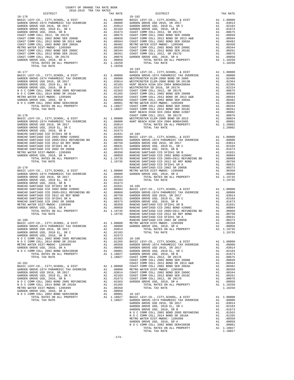| DISTRICT | TAX RATE | DISTRICT                                                                                                                                                                                                                                                                       | TAX RATE |
|----------|----------|--------------------------------------------------------------------------------------------------------------------------------------------------------------------------------------------------------------------------------------------------------------------------------|----------|
|          |          |                                                                                                                                                                                                                                                                                |          |
|          |          |                                                                                                                                                                                                                                                                                |          |
|          |          |                                                                                                                                                                                                                                                                                |          |
|          |          |                                                                                                                                                                                                                                                                                |          |
|          |          |                                                                                                                                                                                                                                                                                |          |
|          |          |                                                                                                                                                                                                                                                                                |          |
|          |          |                                                                                                                                                                                                                                                                                |          |
|          |          |                                                                                                                                                                                                                                                                                |          |
|          |          |                                                                                                                                                                                                                                                                                |          |
|          |          |                                                                                                                                                                                                                                                                                |          |
|          |          |                                                                                                                                                                                                                                                                                |          |
|          |          |                                                                                                                                                                                                                                                                                |          |
|          |          | $\begin{smallmatrix} 10011 & 0014 & 0014 & 0014 & 0014 & 0014 & 0014 & 0014 & 0014 & 0014 & 0014 & 0014 & 0014 & 0014 & 0014 & 0014 & 0014 & 0014 & 0014 & 0014 & 0014 & 0014 & 0014 & 0014 & 0014 & 0014 & 0014 & 0014 & 0014 & 0014 & 0014 & 0014 & 0014 & 0014 & 0014 & 00$ |          |
|          |          | 18-183                                                                                                                                                                                                                                                                         |          |
|          |          |                                                                                                                                                                                                                                                                                |          |
|          |          |                                                                                                                                                                                                                                                                                |          |
|          |          |                                                                                                                                                                                                                                                                                |          |
|          |          |                                                                                                                                                                                                                                                                                |          |
|          |          |                                                                                                                                                                                                                                                                                |          |
|          |          |                                                                                                                                                                                                                                                                                |          |
|          |          |                                                                                                                                                                                                                                                                                |          |
|          |          |                                                                                                                                                                                                                                                                                |          |
|          |          |                                                                                                                                                                                                                                                                                |          |
|          |          |                                                                                                                                                                                                                                                                                |          |
|          |          |                                                                                                                                                                                                                                                                                |          |
|          |          |                                                                                                                                                                                                                                                                                |          |
|          |          |                                                                                                                                                                                                                                                                                |          |
|          |          |                                                                                                                                                                                                                                                                                |          |
|          |          |                                                                                                                                                                                                                                                                                |          |
|          |          |                                                                                                                                                                                                                                                                                |          |
|          |          |                                                                                                                                                                                                                                                                                |          |
|          |          |                                                                                                                                                                                                                                                                                |          |
|          |          |                                                                                                                                                                                                                                                                                |          |
|          |          |                                                                                                                                                                                                                                                                                |          |
|          |          |                                                                                                                                                                                                                                                                                |          |
|          |          |                                                                                                                                                                                                                                                                                |          |
|          |          |                                                                                                                                                                                                                                                                                |          |
|          |          |                                                                                                                                                                                                                                                                                |          |
|          |          |                                                                                                                                                                                                                                                                                |          |
|          |          |                                                                                                                                                                                                                                                                                |          |
|          |          |                                                                                                                                                                                                                                                                                |          |
|          |          |                                                                                                                                                                                                                                                                                |          |
|          |          |                                                                                                                                                                                                                                                                                |          |
|          |          |                                                                                                                                                                                                                                                                                |          |
|          |          |                                                                                                                                                                                                                                                                                |          |
|          |          |                                                                                                                                                                                                                                                                                |          |
|          |          |                                                                                                                                                                                                                                                                                |          |
|          |          |                                                                                                                                                                                                                                                                                |          |
|          |          |                                                                                                                                                                                                                                                                                |          |
|          |          |                                                                                                                                                                                                                                                                                |          |
|          |          |                                                                                                                                                                                                                                                                                |          |
|          |          |                                                                                                                                                                                                                                                                                |          |
|          |          |                                                                                                                                                                                                                                                                                |          |
|          |          |                                                                                                                                                                                                                                                                                |          |
|          |          |                                                                                                                                                                                                                                                                                |          |
|          |          |                                                                                                                                                                                                                                                                                |          |
|          |          |                                                                                                                                                                                                                                                                                |          |
|          |          |                                                                                                                                                                                                                                                                                |          |
|          |          |                                                                                                                                                                                                                                                                                |          |
|          |          |                                                                                                                                                                                                                                                                                |          |
|          |          |                                                                                                                                                                                                                                                                                |          |
|          |          |                                                                                                                                                                                                                                                                                |          |
|          |          |                                                                                                                                                                                                                                                                                |          |
|          |          |                                                                                                                                                                                                                                                                                |          |
|          |          |                                                                                                                                                                                                                                                                                |          |
|          |          |                                                                                                                                                                                                                                                                                |          |
|          |          |                                                                                                                                                                                                                                                                                |          |
|          |          |                                                                                                                                                                                                                                                                                |          |
|          |          |                                                                                                                                                                                                                                                                                |          |
|          |          |                                                                                                                                                                                                                                                                                |          |
|          |          |                                                                                                                                                                                                                                                                                |          |
|          |          |                                                                                                                                                                                                                                                                                |          |
|          |          |                                                                                                                                                                                                                                                                                |          |
|          |          |                                                                                                                                                                                                                                                                                |          |
|          |          |                                                                                                                                                                                                                                                                                |          |
|          |          |                                                                                                                                                                                                                                                                                |          |
|          |          |                                                                                                                                                                                                                                                                                |          |
|          |          |                                                                                                                                                                                                                                                                                |          |
|          |          |                                                                                                                                                                                                                                                                                |          |
|          |          |                                                                                                                                                                                                                                                                                |          |
|          |          |                                                                                                                                                                                                                                                                                |          |
|          |          |                                                                                                                                                                                                                                                                                |          |
|          |          |                                                                                                                                                                                                                                                                                |          |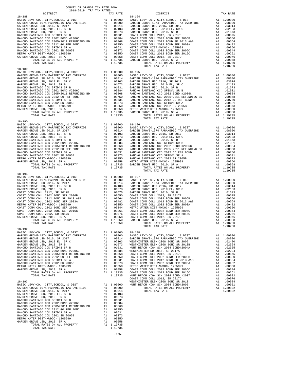|            | COUNTY OF ORANGE TAX RATE BOOK<br>2018-2019 TRA TAX RATES |          |                |          |
|------------|-----------------------------------------------------------|----------|----------------|----------|
|            | DISTRICT                                                  | TAX RATE | DISTRICT       | TAX RATE |
| $18 - 188$ |                                                           |          | $18 - 194$     |          |
|            |                                                           |          |                |          |
|            |                                                           |          |                |          |
|            |                                                           |          |                |          |
|            |                                                           |          |                |          |
|            |                                                           |          |                |          |
|            |                                                           |          |                |          |
|            |                                                           |          |                |          |
|            |                                                           |          |                |          |
|            |                                                           |          |                |          |
|            |                                                           |          |                |          |
|            |                                                           |          |                |          |
|            |                                                           |          |                |          |
|            |                                                           |          |                |          |
|            |                                                           |          |                |          |
|            |                                                           |          |                |          |
|            |                                                           |          |                |          |
| $18 - 191$ |                                                           |          | TOTAL TAX RATE | 1.19735  |
|            |                                                           |          |                |          |
|            |                                                           |          |                |          |
|            |                                                           |          |                |          |
|            |                                                           |          |                |          |
|            |                                                           |          |                |          |
|            |                                                           |          |                |          |
|            |                                                           |          |                |          |
|            |                                                           |          |                |          |
|            |                                                           |          |                |          |
|            |                                                           |          | TOTAL TAX RATE | 1.18250  |
| $18 - 192$ |                                                           |          |                |          |
|            |                                                           |          |                |          |
|            |                                                           |          |                |          |
|            |                                                           |          |                |          |
|            |                                                           |          |                |          |
|            |                                                           |          |                |          |
|            |                                                           |          |                |          |
|            |                                                           |          |                |          |
|            |                                                           |          |                |          |
|            |                                                           |          |                |          |
|            |                                                           |          |                |          |
|            |                                                           |          |                |          |
|            |                                                           |          |                |          |
|            |                                                           |          |                |          |
|            |                                                           |          |                |          |
|            |                                                           |          |                |          |
|            |                                                           |          |                |          |
|            |                                                           |          |                |          |
|            |                                                           |          |                |          |

-175-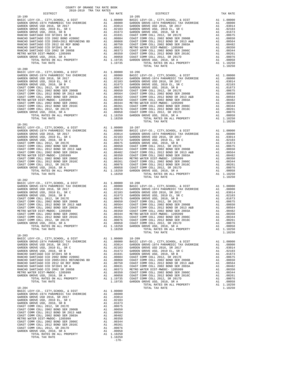| COUNTY OF ORANGE TAX RATE BOOK<br>2018-2019 TRA TAX RATES |                    |                                                                                                                                                                                                                                         |          |
|-----------------------------------------------------------|--------------------|-----------------------------------------------------------------------------------------------------------------------------------------------------------------------------------------------------------------------------------------|----------|
| DISTRICT                                                  | TAX RATE           | DISTRICT                                                                                                                                                                                                                                | TAX RATE |
| $18 - 199$                                                |                    | $18 - 205$                                                                                                                                                                                                                              |          |
|                                                           |                    |                                                                                                                                                                                                                                         |          |
|                                                           |                    |                                                                                                                                                                                                                                         |          |
|                                                           |                    |                                                                                                                                                                                                                                         |          |
|                                                           |                    |                                                                                                                                                                                                                                         |          |
|                                                           |                    |                                                                                                                                                                                                                                         |          |
|                                                           |                    |                                                                                                                                                                                                                                         |          |
|                                                           |                    |                                                                                                                                                                                                                                         |          |
|                                                           |                    |                                                                                                                                                                                                                                         |          |
|                                                           |                    |                                                                                                                                                                                                                                         |          |
|                                                           |                    |                                                                                                                                                                                                                                         |          |
|                                                           |                    |                                                                                                                                                                                                                                         |          |
|                                                           |                    |                                                                                                                                                                                                                                         |          |
|                                                           |                    |                                                                                                                                                                                                                                         |          |
|                                                           |                    |                                                                                                                                                                                                                                         |          |
|                                                           |                    |                                                                                                                                                                                                                                         |          |
|                                                           |                    |                                                                                                                                                                                                                                         |          |
|                                                           |                    |                                                                                                                                                                                                                                         |          |
|                                                           |                    |                                                                                                                                                                                                                                         |          |
|                                                           |                    |                                                                                                                                                                                                                                         |          |
|                                                           |                    |                                                                                                                                                                                                                                         |          |
|                                                           |                    |                                                                                                                                                                                                                                         |          |
|                                                           |                    |                                                                                                                                                                                                                                         |          |
|                                                           |                    |                                                                                                                                                                                                                                         |          |
|                                                           |                    |                                                                                                                                                                                                                                         |          |
|                                                           |                    |                                                                                                                                                                                                                                         |          |
|                                                           |                    |                                                                                                                                                                                                                                         |          |
| $18 - 201$                                                |                    |                                                                                                                                                                                                                                         |          |
|                                                           |                    |                                                                                                                                                                                                                                         |          |
|                                                           |                    |                                                                                                                                                                                                                                         |          |
|                                                           |                    |                                                                                                                                                                                                                                         |          |
|                                                           |                    |                                                                                                                                                                                                                                         |          |
|                                                           |                    |                                                                                                                                                                                                                                         |          |
|                                                           |                    |                                                                                                                                                                                                                                         |          |
|                                                           |                    |                                                                                                                                                                                                                                         |          |
|                                                           |                    |                                                                                                                                                                                                                                         |          |
|                                                           |                    |                                                                                                                                                                                                                                         |          |
|                                                           |                    |                                                                                                                                                                                                                                         |          |
|                                                           |                    |                                                                                                                                                                                                                                         |          |
|                                                           |                    |                                                                                                                                                                                                                                         |          |
|                                                           |                    |                                                                                                                                                                                                                                         |          |
|                                                           |                    | TOTAL TAX RATE                                                                                                                                                                                                                          | 1.18250  |
| $18 - 202$                                                |                    |                                                                                                                                                                                                                                         |          |
|                                                           |                    |                                                                                                                                                                                                                                         |          |
|                                                           |                    |                                                                                                                                                                                                                                         |          |
|                                                           |                    |                                                                                                                                                                                                                                         |          |
|                                                           |                    |                                                                                                                                                                                                                                         |          |
|                                                           |                    |                                                                                                                                                                                                                                         |          |
|                                                           |                    |                                                                                                                                                                                                                                         |          |
|                                                           |                    |                                                                                                                                                                                                                                         |          |
|                                                           |                    |                                                                                                                                                                                                                                         |          |
|                                                           |                    |                                                                                                                                                                                                                                         |          |
|                                                           |                    |                                                                                                                                                                                                                                         |          |
|                                                           |                    |                                                                                                                                                                                                                                         |          |
|                                                           |                    | 00058 COAST COMM COLL 2012, SR 2017<br>GARDEN GROVE USD, 2010, SR A 20176<br>TOTAL RATES ON ALL PROPERTY A 1 .18250 GARDEN GROVE USD, 2010, SR A 20176<br>TOTAL TAX RATE 1.18250 TOTAL TAX RATE 1.18250 TOTAL TAX RATE 1.18250 TOTAL TA |          |
|                                                           |                    | TOTAL TAX RATE                                                                                                                                                                                                                          | 1.18250  |
| $18 - 203$                                                |                    |                                                                                                                                                                                                                                         |          |
|                                                           |                    |                                                                                                                                                                                                                                         |          |
|                                                           |                    |                                                                                                                                                                                                                                         |          |
|                                                           |                    |                                                                                                                                                                                                                                         |          |
|                                                           |                    |                                                                                                                                                                                                                                         |          |
|                                                           |                    |                                                                                                                                                                                                                                         |          |
|                                                           |                    |                                                                                                                                                                                                                                         |          |
|                                                           |                    |                                                                                                                                                                                                                                         |          |
|                                                           |                    |                                                                                                                                                                                                                                         |          |
|                                                           |                    |                                                                                                                                                                                                                                         |          |
|                                                           |                    |                                                                                                                                                                                                                                         |          |
|                                                           |                    |                                                                                                                                                                                                                                         |          |
|                                                           |                    |                                                                                                                                                                                                                                         |          |
|                                                           |                    |                                                                                                                                                                                                                                         |          |
|                                                           |                    |                                                                                                                                                                                                                                         |          |
|                                                           |                    |                                                                                                                                                                                                                                         |          |
|                                                           |                    |                                                                                                                                                                                                                                         |          |
|                                                           |                    |                                                                                                                                                                                                                                         |          |
|                                                           |                    |                                                                                                                                                                                                                                         |          |
|                                                           |                    |                                                                                                                                                                                                                                         |          |
|                                                           |                    |                                                                                                                                                                                                                                         |          |
|                                                           |                    |                                                                                                                                                                                                                                         |          |
|                                                           |                    |                                                                                                                                                                                                                                         |          |
|                                                           |                    |                                                                                                                                                                                                                                         |          |
|                                                           |                    |                                                                                                                                                                                                                                         |          |
|                                                           |                    |                                                                                                                                                                                                                                         |          |
|                                                           | $1.18250$<br>-176- |                                                                                                                                                                                                                                         |          |
|                                                           |                    |                                                                                                                                                                                                                                         |          |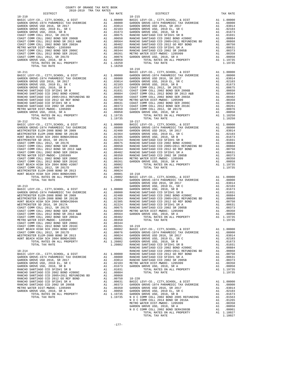| COUNTY OF ORANGE TAX RATE BOOK<br>2018-2019 TRA TAX RATES |          |                                                                                                                                                                                                                               |          |
|-----------------------------------------------------------|----------|-------------------------------------------------------------------------------------------------------------------------------------------------------------------------------------------------------------------------------|----------|
| DISTRICT                                                  | TAX RATE | DISTRICT                                                                                                                                                                                                                      | TAX RATE |
| $18 - 210$                                                |          | $18 - 215$                                                                                                                                                                                                                    |          |
|                                                           |          |                                                                                                                                                                                                                               |          |
|                                                           |          |                                                                                                                                                                                                                               |          |
|                                                           |          |                                                                                                                                                                                                                               |          |
|                                                           |          |                                                                                                                                                                                                                               |          |
|                                                           |          |                                                                                                                                                                                                                               |          |
|                                                           |          |                                                                                                                                                                                                                               |          |
|                                                           |          |                                                                                                                                                                                                                               |          |
|                                                           |          |                                                                                                                                                                                                                               |          |
|                                                           |          |                                                                                                                                                                                                                               |          |
|                                                           |          |                                                                                                                                                                                                                               |          |
|                                                           |          |                                                                                                                                                                                                                               |          |
|                                                           |          |                                                                                                                                                                                                                               |          |
| TOTAL TAX RATE                                            | 1.18250  |                                                                                                                                                                                                                               |          |
|                                                           |          | $18 - 216$                                                                                                                                                                                                                    |          |
|                                                           |          |                                                                                                                                                                                                                               |          |
|                                                           |          |                                                                                                                                                                                                                               |          |
|                                                           |          |                                                                                                                                                                                                                               |          |
|                                                           |          |                                                                                                                                                                                                                               |          |
|                                                           |          |                                                                                                                                                                                                                               |          |
|                                                           |          |                                                                                                                                                                                                                               |          |
|                                                           |          |                                                                                                                                                                                                                               |          |
|                                                           |          |                                                                                                                                                                                                                               |          |
|                                                           |          |                                                                                                                                                                                                                               |          |
|                                                           |          |                                                                                                                                                                                                                               |          |
|                                                           |          |                                                                                                                                                                                                                               |          |
|                                                           |          |                                                                                                                                                                                                                               |          |
|                                                           |          |                                                                                                                                                                                                                               |          |
|                                                           |          |                                                                                                                                                                                                                               |          |
|                                                           |          |                                                                                                                                                                                                                               |          |
|                                                           |          |                                                                                                                                                                                                                               |          |
|                                                           |          |                                                                                                                                                                                                                               |          |
|                                                           |          |                                                                                                                                                                                                                               |          |
|                                                           |          |                                                                                                                                                                                                                               |          |
|                                                           |          |                                                                                                                                                                                                                               |          |
|                                                           |          |                                                                                                                                                                                                                               |          |
|                                                           |          |                                                                                                                                                                                                                               |          |
|                                                           |          |                                                                                                                                                                                                                               |          |
|                                                           |          |                                                                                                                                                                                                                               |          |
|                                                           |          |                                                                                                                                                                                                                               |          |
|                                                           |          |                                                                                                                                                                                                                               |          |
|                                                           |          |                                                                                                                                                                                                                               |          |
|                                                           |          |                                                                                                                                                                                                                               |          |
|                                                           |          |                                                                                                                                                                                                                               |          |
|                                                           |          |                                                                                                                                                                                                                               |          |
|                                                           |          |                                                                                                                                                                                                                               |          |
|                                                           |          |                                                                                                                                                                                                                               |          |
|                                                           |          |                                                                                                                                                                                                                               |          |
|                                                           |          |                                                                                                                                                                                                                               |          |
|                                                           |          |                                                                                                                                                                                                                               |          |
|                                                           |          |                                                                                                                                                                                                                               |          |
|                                                           |          |                                                                                                                                                                                                                               |          |
|                                                           |          |                                                                                                                                                                                                                               |          |
|                                                           |          |                                                                                                                                                                                                                               |          |
|                                                           |          |                                                                                                                                                                                                                               |          |
|                                                           |          |                                                                                                                                                                                                                               |          |
|                                                           |          |                                                                                                                                                                                                                               |          |
|                                                           |          |                                                                                                                                                                                                                               |          |
|                                                           |          |                                                                                                                                                                                                                               |          |
|                                                           |          |                                                                                                                                                                                                                               |          |
|                                                           |          |                                                                                                                                                                                                                               |          |
|                                                           |          |                                                                                                                                                                                                                               |          |
|                                                           |          |                                                                                                                                                                                                                               |          |
|                                                           |          | CONFIGURE COMPUTER UNIT AND RESIDENT ON A 1.00000 MATHAM COMPUTER (1971) AND RESIDENT ON A 1.00000 MATHAM CONFIGURE 120 AND RESIDENT ON A 1.00000 MATHAM COMPUTER ELECT-THE COMPUTER COMPUTER COMPUTER COMPUTER COMPUTER COMP |          |
|                                                           |          |                                                                                                                                                                                                                               |          |
|                                                           |          |                                                                                                                                                                                                                               |          |
|                                                           |          |                                                                                                                                                                                                                               |          |
|                                                           |          |                                                                                                                                                                                                                               |          |
|                                                           |          |                                                                                                                                                                                                                               |          |
|                                                           |          |                                                                                                                                                                                                                               |          |
|                                                           |          |                                                                                                                                                                                                                               |          |
|                                                           |          |                                                                                                                                                                                                                               |          |
|                                                           |          |                                                                                                                                                                                                                               |          |
|                                                           |          |                                                                                                                                                                                                                               |          |
|                                                           |          |                                                                                                                                                                                                                               |          |
|                                                           |          |                                                                                                                                                                                                                               |          |
|                                                           |          |                                                                                                                                                                                                                               |          |
|                                                           |          |                                                                                                                                                                                                                               |          |
|                                                           |          |                                                                                                                                                                                                                               |          |
|                                                           |          |                                                                                                                                                                                                                               |          |
|                                                           |          |                                                                                                                                                                                                                               |          |
|                                                           |          |                                                                                                                                                                                                                               |          |
|                                                           |          |                                                                                                                                                                                                                               |          |
|                                                           |          |                                                                                                                                                                                                                               |          |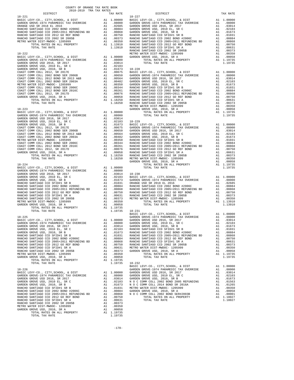| COUNTY OF ORANGE TAX RATE BOOK<br>2018-2019 TPA TAY PATES<br>2018-2019 TRA TAX RATES<br>DISTRICT | TAX RATE | DISTRICT                                                                                                                                                                                                                 | TAX RATE |
|--------------------------------------------------------------------------------------------------|----------|--------------------------------------------------------------------------------------------------------------------------------------------------------------------------------------------------------------------------|----------|
|                                                                                                  |          |                                                                                                                                                                                                                          |          |
|                                                                                                  |          |                                                                                                                                                                                                                          |          |
|                                                                                                  |          |                                                                                                                                                                                                                          |          |
|                                                                                                  |          |                                                                                                                                                                                                                          |          |
|                                                                                                  |          |                                                                                                                                                                                                                          |          |
|                                                                                                  |          |                                                                                                                                                                                                                          |          |
|                                                                                                  |          |                                                                                                                                                                                                                          |          |
|                                                                                                  |          |                                                                                                                                                                                                                          |          |
|                                                                                                  |          |                                                                                                                                                                                                                          |          |
|                                                                                                  |          |                                                                                                                                                                                                                          |          |
|                                                                                                  |          |                                                                                                                                                                                                                          |          |
|                                                                                                  |          |                                                                                                                                                                                                                          |          |
|                                                                                                  |          |                                                                                                                                                                                                                          |          |
|                                                                                                  |          |                                                                                                                                                                                                                          |          |
|                                                                                                  |          |                                                                                                                                                                                                                          |          |
|                                                                                                  |          |                                                                                                                                                                                                                          |          |
|                                                                                                  |          |                                                                                                                                                                                                                          |          |
|                                                                                                  |          |                                                                                                                                                                                                                          |          |
|                                                                                                  |          |                                                                                                                                                                                                                          |          |
|                                                                                                  |          |                                                                                                                                                                                                                          |          |
|                                                                                                  |          |                                                                                                                                                                                                                          |          |
|                                                                                                  |          |                                                                                                                                                                                                                          |          |
|                                                                                                  |          |                                                                                                                                                                                                                          |          |
|                                                                                                  |          |                                                                                                                                                                                                                          |          |
|                                                                                                  |          |                                                                                                                                                                                                                          |          |
|                                                                                                  |          |                                                                                                                                                                                                                          |          |
|                                                                                                  |          |                                                                                                                                                                                                                          |          |
|                                                                                                  |          |                                                                                                                                                                                                                          |          |
|                                                                                                  |          |                                                                                                                                                                                                                          |          |
|                                                                                                  |          |                                                                                                                                                                                                                          |          |
|                                                                                                  |          |                                                                                                                                                                                                                          |          |
|                                                                                                  |          |                                                                                                                                                                                                                          |          |
|                                                                                                  |          |                                                                                                                                                                                                                          |          |
|                                                                                                  |          |                                                                                                                                                                                                                          |          |
|                                                                                                  |          |                                                                                                                                                                                                                          |          |
|                                                                                                  |          |                                                                                                                                                                                                                          |          |
|                                                                                                  |          |                                                                                                                                                                                                                          |          |
|                                                                                                  |          |                                                                                                                                                                                                                          |          |
|                                                                                                  |          |                                                                                                                                                                                                                          |          |
|                                                                                                  |          |                                                                                                                                                                                                                          |          |
|                                                                                                  |          |                                                                                                                                                                                                                          |          |
|                                                                                                  |          |                                                                                                                                                                                                                          |          |
|                                                                                                  |          |                                                                                                                                                                                                                          |          |
|                                                                                                  |          |                                                                                                                                                                                                                          |          |
|                                                                                                  |          |                                                                                                                                                                                                                          |          |
|                                                                                                  |          |                                                                                                                                                                                                                          |          |
|                                                                                                  |          |                                                                                                                                                                                                                          |          |
|                                                                                                  |          |                                                                                                                                                                                                                          |          |
|                                                                                                  |          |                                                                                                                                                                                                                          |          |
|                                                                                                  |          |                                                                                                                                                                                                                          |          |
|                                                                                                  |          |                                                                                                                                                                                                                          |          |
|                                                                                                  |          |                                                                                                                                                                                                                          |          |
|                                                                                                  |          |                                                                                                                                                                                                                          |          |
|                                                                                                  |          | 20000 EASIC LEVY-CO., CITY, SCHOOL, & DIST Al 1.00000<br>18–225 GARDEN GROVE-1974 PARAMEDIC TAX OVERRIDE Al .00000<br>BASIC LEVY-CO., CITY, SCHOOL, & DIST Al 1.00000 GARDEN GROVE-1974 PARAMEDIC TAX OVERRIDE Al .08000 |          |
|                                                                                                  |          |                                                                                                                                                                                                                          |          |
|                                                                                                  |          |                                                                                                                                                                                                                          |          |
|                                                                                                  |          |                                                                                                                                                                                                                          |          |
|                                                                                                  |          |                                                                                                                                                                                                                          |          |
|                                                                                                  |          |                                                                                                                                                                                                                          |          |
|                                                                                                  |          |                                                                                                                                                                                                                          |          |
|                                                                                                  |          |                                                                                                                                                                                                                          |          |
|                                                                                                  |          |                                                                                                                                                                                                                          |          |
|                                                                                                  |          |                                                                                                                                                                                                                          |          |
|                                                                                                  |          |                                                                                                                                                                                                                          |          |
|                                                                                                  |          |                                                                                                                                                                                                                          |          |
|                                                                                                  |          |                                                                                                                                                                                                                          |          |
|                                                                                                  |          |                                                                                                                                                                                                                          |          |
|                                                                                                  |          |                                                                                                                                                                                                                          |          |
|                                                                                                  |          |                                                                                                                                                                                                                          |          |
|                                                                                                  |          |                                                                                                                                                                                                                          |          |
|                                                                                                  |          |                                                                                                                                                                                                                          |          |
|                                                                                                  |          |                                                                                                                                                                                                                          |          |
|                                                                                                  |          |                                                                                                                                                                                                                          |          |
|                                                                                                  |          |                                                                                                                                                                                                                          |          |
|                                                                                                  |          |                                                                                                                                                                                                                          |          |
|                                                                                                  |          |                                                                                                                                                                                                                          |          |
|                                                                                                  |          |                                                                                                                                                                                                                          |          |
|                                                                                                  |          |                                                                                                                                                                                                                          |          |
|                                                                                                  |          |                                                                                                                                                                                                                          |          |
|                                                                                                  |          |                                                                                                                                                                                                                          |          |
|                                                                                                  |          |                                                                                                                                                                                                                          |          |
|                                                                                                  |          |                                                                                                                                                                                                                          |          |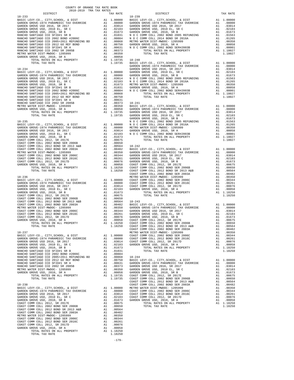| COUNTY OF ORANGE TAX RATE BOOK<br>2018-2019 TRA TAX RATES |          |            |          |
|-----------------------------------------------------------|----------|------------|----------|
| DISTRICT                                                  | TAX RATE | DISTRICT   | TAX RATE |
| $18 - 233$                                                |          | $18 - 239$ |          |
|                                                           |          |            |          |
|                                                           |          |            |          |
|                                                           |          |            |          |
|                                                           |          |            |          |
|                                                           |          |            |          |
|                                                           |          |            |          |
|                                                           |          |            |          |
|                                                           |          |            |          |
|                                                           |          |            |          |
|                                                           |          |            |          |
|                                                           |          |            |          |
|                                                           |          |            |          |
|                                                           |          |            |          |
|                                                           |          |            |          |
|                                                           |          |            |          |
|                                                           |          |            |          |
|                                                           |          |            |          |
|                                                           |          |            |          |
|                                                           |          |            |          |
|                                                           |          |            |          |
|                                                           |          |            |          |
|                                                           |          |            |          |
|                                                           |          |            |          |
|                                                           |          |            |          |
|                                                           |          |            |          |
|                                                           |          |            |          |
|                                                           |          |            |          |
|                                                           |          |            |          |
|                                                           |          |            |          |
|                                                           |          |            |          |
|                                                           |          |            |          |
|                                                           |          |            |          |
|                                                           |          |            |          |
|                                                           |          |            |          |
|                                                           |          |            |          |
|                                                           |          |            |          |
|                                                           |          |            |          |
|                                                           |          |            |          |
|                                                           |          |            |          |
|                                                           |          |            |          |
|                                                           |          |            |          |
|                                                           |          |            |          |
|                                                           |          |            |          |
|                                                           |          |            |          |
|                                                           |          |            |          |
|                                                           |          |            |          |
|                                                           |          |            |          |
|                                                           |          |            |          |
|                                                           |          |            |          |
|                                                           |          |            |          |
|                                                           |          |            |          |
|                                                           |          |            |          |
|                                                           |          |            |          |
|                                                           |          |            |          |
|                                                           |          |            |          |
|                                                           |          |            |          |
|                                                           |          |            |          |
|                                                           |          |            |          |
|                                                           |          |            |          |
|                                                           |          |            |          |
|                                                           |          |            |          |
|                                                           |          |            |          |
|                                                           |          |            |          |
|                                                           |          |            |          |
|                                                           |          |            |          |
|                                                           |          |            |          |
|                                                           |          |            |          |
|                                                           |          |            |          |
|                                                           |          |            |          |
|                                                           |          |            |          |
|                                                           |          |            |          |
|                                                           |          |            |          |
|                                                           |          |            |          |
|                                                           |          |            |          |
|                                                           |          |            |          |
|                                                           |          |            |          |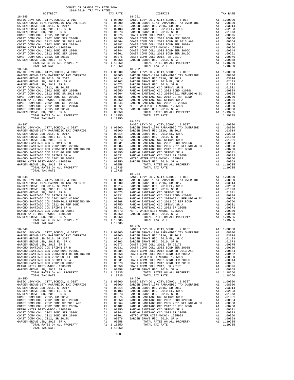| COUNTY OF ORANGE TAX RATE BOOK<br>2018-2019 TRA TAX RATES                                                                                                                                                                                                                                                       |          |            |          |
|-----------------------------------------------------------------------------------------------------------------------------------------------------------------------------------------------------------------------------------------------------------------------------------------------------------------|----------|------------|----------|
| DISTRICT                                                                                                                                                                                                                                                                                                        | TAX RATE | DISTRICT   | TAX RATE |
| $18 - 245$                                                                                                                                                                                                                                                                                                      |          | $18 - 251$ |          |
|                                                                                                                                                                                                                                                                                                                 |          |            |          |
|                                                                                                                                                                                                                                                                                                                 |          |            |          |
|                                                                                                                                                                                                                                                                                                                 |          |            |          |
|                                                                                                                                                                                                                                                                                                                 |          |            |          |
|                                                                                                                                                                                                                                                                                                                 |          |            |          |
|                                                                                                                                                                                                                                                                                                                 |          |            |          |
|                                                                                                                                                                                                                                                                                                                 |          |            |          |
|                                                                                                                                                                                                                                                                                                                 |          |            |          |
|                                                                                                                                                                                                                                                                                                                 |          |            |          |
|                                                                                                                                                                                                                                                                                                                 |          |            |          |
|                                                                                                                                                                                                                                                                                                                 |          |            |          |
|                                                                                                                                                                                                                                                                                                                 |          |            |          |
|                                                                                                                                                                                                                                                                                                                 |          |            |          |
|                                                                                                                                                                                                                                                                                                                 |          |            |          |
|                                                                                                                                                                                                                                                                                                                 |          |            |          |
|                                                                                                                                                                                                                                                                                                                 |          |            |          |
|                                                                                                                                                                                                                                                                                                                 |          |            |          |
|                                                                                                                                                                                                                                                                                                                 |          |            |          |
|                                                                                                                                                                                                                                                                                                                 |          |            |          |
|                                                                                                                                                                                                                                                                                                                 |          |            |          |
|                                                                                                                                                                                                                                                                                                                 |          |            |          |
|                                                                                                                                                                                                                                                                                                                 |          |            |          |
|                                                                                                                                                                                                                                                                                                                 |          |            |          |
|                                                                                                                                                                                                                                                                                                                 |          |            |          |
|                                                                                                                                                                                                                                                                                                                 |          |            |          |
|                                                                                                                                                                                                                                                                                                                 |          |            |          |
|                                                                                                                                                                                                                                                                                                                 |          |            |          |
|                                                                                                                                                                                                                                                                                                                 |          |            |          |
|                                                                                                                                                                                                                                                                                                                 |          |            |          |
|                                                                                                                                                                                                                                                                                                                 |          |            |          |
|                                                                                                                                                                                                                                                                                                                 |          |            |          |
|                                                                                                                                                                                                                                                                                                                 |          |            |          |
|                                                                                                                                                                                                                                                                                                                 |          |            |          |
|                                                                                                                                                                                                                                                                                                                 |          |            |          |
|                                                                                                                                                                                                                                                                                                                 |          |            |          |
|                                                                                                                                                                                                                                                                                                                 |          | $18 - 254$ |          |
|                                                                                                                                                                                                                                                                                                                 |          |            |          |
|                                                                                                                                                                                                                                                                                                                 |          |            |          |
|                                                                                                                                                                                                                                                                                                                 |          |            |          |
|                                                                                                                                                                                                                                                                                                                 |          |            |          |
|                                                                                                                                                                                                                                                                                                                 |          |            |          |
|                                                                                                                                                                                                                                                                                                                 |          |            |          |
|                                                                                                                                                                                                                                                                                                                 |          |            |          |
|                                                                                                                                                                                                                                                                                                                 |          |            |          |
|                                                                                                                                                                                                                                                                                                                 |          |            |          |
|                                                                                                                                                                                                                                                                                                                 |          |            |          |
|                                                                                                                                                                                                                                                                                                                 |          |            |          |
| $\frac{1}{2}$ and $\frac{1}{2}$ and $\frac{1}{2}$ and $\frac{1}{2}$ and $\frac{1}{2}$ and $\frac{1}{2}$ and $\frac{1}{2}$ and $\frac{1}{2}$ and $\frac{1}{2}$ and $\frac{1}{2}$ and $\frac{1}{2}$ and $\frac{1}{2}$ and $\frac{1}{2}$ and $\frac{1}{2}$ and $\frac{1}{2}$ and $\frac{1}{2}$ a<br>TOTAL TAX RATE | 1.19735  |            |          |
|                                                                                                                                                                                                                                                                                                                 |          | $18 - 255$ |          |
|                                                                                                                                                                                                                                                                                                                 |          |            |          |
|                                                                                                                                                                                                                                                                                                                 |          |            |          |
|                                                                                                                                                                                                                                                                                                                 |          |            |          |
|                                                                                                                                                                                                                                                                                                                 |          |            |          |
|                                                                                                                                                                                                                                                                                                                 |          |            |          |
|                                                                                                                                                                                                                                                                                                                 |          |            |          |
|                                                                                                                                                                                                                                                                                                                 |          |            |          |
|                                                                                                                                                                                                                                                                                                                 |          |            |          |
|                                                                                                                                                                                                                                                                                                                 |          |            |          |
|                                                                                                                                                                                                                                                                                                                 |          |            |          |
|                                                                                                                                                                                                                                                                                                                 |          |            |          |
|                                                                                                                                                                                                                                                                                                                 |          |            |          |
|                                                                                                                                                                                                                                                                                                                 |          |            |          |
|                                                                                                                                                                                                                                                                                                                 |          |            |          |
|                                                                                                                                                                                                                                                                                                                 |          |            |          |
|                                                                                                                                                                                                                                                                                                                 |          |            |          |
|                                                                                                                                                                                                                                                                                                                 |          |            |          |
|                                                                                                                                                                                                                                                                                                                 |          |            |          |
|                                                                                                                                                                                                                                                                                                                 |          |            |          |
|                                                                                                                                                                                                                                                                                                                 |          |            |          |
|                                                                                                                                                                                                                                                                                                                 |          |            |          |
|                                                                                                                                                                                                                                                                                                                 |          |            |          |
|                                                                                                                                                                                                                                                                                                                 |          |            |          |

-180-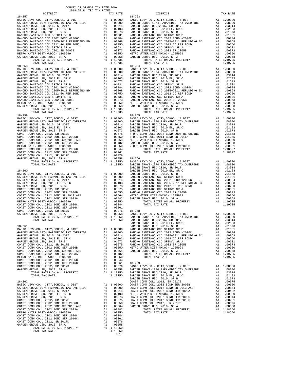| 1.19735<br>TOTAL TAX RATE<br>$18 - 258$<br>$18 - 264$<br>GARDEN<br>GARDEN<br>$18 - 261$<br>A1 1.00000 RANCHO<br>BASIC LEVY-CO., CITY, SCHOOL, & DIST<br>GARDEN<br>COAST C<br>GARDEN GROVE USD, 2010, SR A<br>$\mathop{\rm A}\nolimits1$<br>.00058<br>GROVE USD, 2010, SR A<br>TOTAL RATES ON ALL PROPERTY<br>A1 1.18250<br>TOTAL TAX RATE<br>1.18250 | $18 - 257$ |         | $18 - 263$ |
|------------------------------------------------------------------------------------------------------------------------------------------------------------------------------------------------------------------------------------------------------------------------------------------------------------------------------------------------------|------------|---------|------------|
|                                                                                                                                                                                                                                                                                                                                                      |            |         |            |
|                                                                                                                                                                                                                                                                                                                                                      |            |         |            |
|                                                                                                                                                                                                                                                                                                                                                      |            |         |            |
|                                                                                                                                                                                                                                                                                                                                                      |            |         |            |
|                                                                                                                                                                                                                                                                                                                                                      |            |         |            |
|                                                                                                                                                                                                                                                                                                                                                      |            |         |            |
|                                                                                                                                                                                                                                                                                                                                                      |            |         |            |
|                                                                                                                                                                                                                                                                                                                                                      |            |         |            |
|                                                                                                                                                                                                                                                                                                                                                      |            |         |            |
|                                                                                                                                                                                                                                                                                                                                                      |            |         |            |
|                                                                                                                                                                                                                                                                                                                                                      |            |         |            |
|                                                                                                                                                                                                                                                                                                                                                      |            |         |            |
|                                                                                                                                                                                                                                                                                                                                                      |            |         |            |
|                                                                                                                                                                                                                                                                                                                                                      |            |         |            |
|                                                                                                                                                                                                                                                                                                                                                      |            |         |            |
|                                                                                                                                                                                                                                                                                                                                                      |            |         |            |
|                                                                                                                                                                                                                                                                                                                                                      |            |         |            |
|                                                                                                                                                                                                                                                                                                                                                      |            |         |            |
|                                                                                                                                                                                                                                                                                                                                                      |            |         |            |
|                                                                                                                                                                                                                                                                                                                                                      |            |         |            |
|                                                                                                                                                                                                                                                                                                                                                      |            |         |            |
|                                                                                                                                                                                                                                                                                                                                                      |            |         |            |
|                                                                                                                                                                                                                                                                                                                                                      |            |         |            |
|                                                                                                                                                                                                                                                                                                                                                      |            |         |            |
|                                                                                                                                                                                                                                                                                                                                                      |            |         |            |
|                                                                                                                                                                                                                                                                                                                                                      |            |         |            |
|                                                                                                                                                                                                                                                                                                                                                      |            |         |            |
|                                                                                                                                                                                                                                                                                                                                                      |            |         |            |
|                                                                                                                                                                                                                                                                                                                                                      |            |         |            |
|                                                                                                                                                                                                                                                                                                                                                      |            |         |            |
|                                                                                                                                                                                                                                                                                                                                                      |            |         |            |
|                                                                                                                                                                                                                                                                                                                                                      |            |         |            |
|                                                                                                                                                                                                                                                                                                                                                      |            |         |            |
|                                                                                                                                                                                                                                                                                                                                                      |            |         |            |
|                                                                                                                                                                                                                                                                                                                                                      |            |         |            |
|                                                                                                                                                                                                                                                                                                                                                      |            |         |            |
|                                                                                                                                                                                                                                                                                                                                                      |            |         |            |
|                                                                                                                                                                                                                                                                                                                                                      |            |         |            |
|                                                                                                                                                                                                                                                                                                                                                      |            |         |            |
|                                                                                                                                                                                                                                                                                                                                                      |            |         |            |
|                                                                                                                                                                                                                                                                                                                                                      |            |         |            |
|                                                                                                                                                                                                                                                                                                                                                      |            |         |            |
|                                                                                                                                                                                                                                                                                                                                                      |            |         |            |
|                                                                                                                                                                                                                                                                                                                                                      |            |         |            |
|                                                                                                                                                                                                                                                                                                                                                      |            |         |            |
|                                                                                                                                                                                                                                                                                                                                                      |            |         |            |
|                                                                                                                                                                                                                                                                                                                                                      |            |         |            |
|                                                                                                                                                                                                                                                                                                                                                      |            |         |            |
|                                                                                                                                                                                                                                                                                                                                                      |            |         |            |
|                                                                                                                                                                                                                                                                                                                                                      |            |         |            |
|                                                                                                                                                                                                                                                                                                                                                      |            |         |            |
|                                                                                                                                                                                                                                                                                                                                                      |            |         |            |
|                                                                                                                                                                                                                                                                                                                                                      |            |         |            |
|                                                                                                                                                                                                                                                                                                                                                      |            |         |            |
|                                                                                                                                                                                                                                                                                                                                                      |            |         |            |
|                                                                                                                                                                                                                                                                                                                                                      |            |         |            |
|                                                                                                                                                                                                                                                                                                                                                      |            |         |            |
|                                                                                                                                                                                                                                                                                                                                                      |            |         |            |
|                                                                                                                                                                                                                                                                                                                                                      |            |         |            |
|                                                                                                                                                                                                                                                                                                                                                      |            |         |            |
|                                                                                                                                                                                                                                                                                                                                                      |            |         |            |
|                                                                                                                                                                                                                                                                                                                                                      |            |         |            |
|                                                                                                                                                                                                                                                                                                                                                      |            |         |            |
|                                                                                                                                                                                                                                                                                                                                                      |            |         |            |
|                                                                                                                                                                                                                                                                                                                                                      |            |         |            |
|                                                                                                                                                                                                                                                                                                                                                      |            |         |            |
|                                                                                                                                                                                                                                                                                                                                                      |            |         |            |
|                                                                                                                                                                                                                                                                                                                                                      |            |         |            |
|                                                                                                                                                                                                                                                                                                                                                      |            |         |            |
|                                                                                                                                                                                                                                                                                                                                                      |            |         |            |
|                                                                                                                                                                                                                                                                                                                                                      |            |         |            |
|                                                                                                                                                                                                                                                                                                                                                      |            |         |            |
|                                                                                                                                                                                                                                                                                                                                                      |            |         |            |
|                                                                                                                                                                                                                                                                                                                                                      |            |         |            |
|                                                                                                                                                                                                                                                                                                                                                      |            | $-181-$ |            |

| COUNTY OF ORANGE TAX RATE BOOK<br>2018-2019 TRA TAX RATES<br>DISTRICT | TAX RATE | DISTRICT   | TAX RATE |
|-----------------------------------------------------------------------|----------|------------|----------|
| $18 - 257$                                                            |          | $18 - 263$ |          |
|                                                                       |          |            |          |
|                                                                       |          |            |          |
|                                                                       |          |            |          |
|                                                                       |          |            |          |
|                                                                       |          |            |          |
|                                                                       |          |            |          |
|                                                                       |          |            |          |
|                                                                       |          |            |          |
|                                                                       |          |            |          |
|                                                                       |          |            |          |
|                                                                       |          |            |          |
|                                                                       |          |            |          |
| $18 - 258$                                                            |          | $18 - 264$ |          |
|                                                                       |          |            |          |
|                                                                       |          |            |          |
|                                                                       |          |            |          |
|                                                                       |          |            |          |
|                                                                       |          |            |          |
|                                                                       |          |            |          |
|                                                                       |          |            |          |
|                                                                       |          |            |          |
|                                                                       |          |            |          |
|                                                                       |          |            |          |
|                                                                       |          |            |          |
|                                                                       |          |            |          |
|                                                                       |          |            |          |
|                                                                       |          |            |          |
|                                                                       |          |            |          |
|                                                                       |          |            |          |
|                                                                       |          |            |          |
|                                                                       |          |            |          |
|                                                                       |          |            |          |
|                                                                       |          |            |          |
|                                                                       |          |            |          |
|                                                                       |          |            |          |
|                                                                       |          |            |          |
|                                                                       |          |            |          |
|                                                                       |          |            |          |
|                                                                       |          |            |          |
|                                                                       |          |            |          |
|                                                                       |          |            |          |
|                                                                       |          |            |          |
|                                                                       |          |            |          |
|                                                                       |          |            |          |
|                                                                       |          |            |          |
|                                                                       |          |            |          |
|                                                                       |          |            |          |
|                                                                       |          |            |          |
|                                                                       |          |            |          |
|                                                                       |          |            |          |
|                                                                       |          |            |          |
|                                                                       |          |            |          |
|                                                                       |          |            |          |
|                                                                       |          |            |          |
|                                                                       |          |            |          |
|                                                                       |          |            |          |
|                                                                       |          |            |          |
|                                                                       |          |            |          |
|                                                                       |          |            |          |
|                                                                       |          |            |          |
|                                                                       |          |            |          |
|                                                                       |          |            |          |
|                                                                       |          |            |          |
|                                                                       |          |            |          |
|                                                                       |          |            |          |
|                                                                       |          |            |          |
|                                                                       |          |            |          |
|                                                                       |          |            |          |
|                                                                       |          |            |          |
|                                                                       |          |            |          |
|                                                                       |          |            |          |
|                                                                       |          |            |          |
|                                                                       |          |            |          |
|                                                                       |          |            |          |
|                                                                       |          |            |          |
|                                                                       |          |            |          |
|                                                                       |          |            |          |
|                                                                       |          |            |          |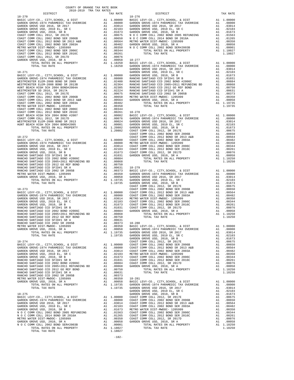| COUNTY OF ORANGE TAX RATE BOOK<br>2018-2019 TRA TAX RATES<br>2018-2019 TRA TAX RATES |          |                                                                                                                                                                                                                                     |          |
|--------------------------------------------------------------------------------------|----------|-------------------------------------------------------------------------------------------------------------------------------------------------------------------------------------------------------------------------------------|----------|
| DISTRICT                                                                             | TAX RATE | DISTRICT                                                                                                                                                                                                                            | TAX RATE |
|                                                                                      |          |                                                                                                                                                                                                                                     |          |
|                                                                                      |          |                                                                                                                                                                                                                                     |          |
|                                                                                      |          |                                                                                                                                                                                                                                     |          |
|                                                                                      |          |                                                                                                                                                                                                                                     |          |
|                                                                                      |          |                                                                                                                                                                                                                                     |          |
|                                                                                      |          |                                                                                                                                                                                                                                     |          |
|                                                                                      |          |                                                                                                                                                                                                                                     |          |
|                                                                                      |          |                                                                                                                                                                                                                                     |          |
|                                                                                      |          |                                                                                                                                                                                                                                     |          |
|                                                                                      |          |                                                                                                                                                                                                                                     |          |
|                                                                                      |          |                                                                                                                                                                                                                                     |          |
|                                                                                      |          |                                                                                                                                                                                                                                     |          |
|                                                                                      |          |                                                                                                                                                                                                                                     |          |
|                                                                                      |          |                                                                                                                                                                                                                                     |          |
|                                                                                      |          |                                                                                                                                                                                                                                     |          |
|                                                                                      |          |                                                                                                                                                                                                                                     |          |
|                                                                                      |          |                                                                                                                                                                                                                                     |          |
|                                                                                      |          |                                                                                                                                                                                                                                     |          |
|                                                                                      |          |                                                                                                                                                                                                                                     |          |
|                                                                                      |          |                                                                                                                                                                                                                                     |          |
|                                                                                      |          |                                                                                                                                                                                                                                     |          |
|                                                                                      |          |                                                                                                                                                                                                                                     |          |
|                                                                                      |          |                                                                                                                                                                                                                                     |          |
|                                                                                      |          |                                                                                                                                                                                                                                     |          |
|                                                                                      |          |                                                                                                                                                                                                                                     |          |
|                                                                                      |          |                                                                                                                                                                                                                                     |          |
|                                                                                      |          |                                                                                                                                                                                                                                     |          |
|                                                                                      |          |                                                                                                                                                                                                                                     |          |
|                                                                                      |          |                                                                                                                                                                                                                                     |          |
|                                                                                      |          |                                                                                                                                                                                                                                     |          |
|                                                                                      |          |                                                                                                                                                                                                                                     |          |
|                                                                                      |          |                                                                                                                                                                                                                                     |          |
|                                                                                      |          |                                                                                                                                                                                                                                     |          |
|                                                                                      |          |                                                                                                                                                                                                                                     |          |
|                                                                                      |          |                                                                                                                                                                                                                                     |          |
|                                                                                      |          |                                                                                                                                                                                                                                     |          |
|                                                                                      |          |                                                                                                                                                                                                                                     |          |
|                                                                                      |          |                                                                                                                                                                                                                                     |          |
|                                                                                      |          |                                                                                                                                                                                                                                     |          |
|                                                                                      |          |                                                                                                                                                                                                                                     |          |
|                                                                                      |          |                                                                                                                                                                                                                                     |          |
|                                                                                      |          |                                                                                                                                                                                                                                     |          |
|                                                                                      |          |                                                                                                                                                                                                                                     |          |
|                                                                                      |          |                                                                                                                                                                                                                                     |          |
|                                                                                      |          |                                                                                                                                                                                                                                     |          |
|                                                                                      |          |                                                                                                                                                                                                                                     |          |
|                                                                                      |          |                                                                                                                                                                                                                                     |          |
|                                                                                      |          |                                                                                                                                                                                                                                     |          |
|                                                                                      |          |                                                                                                                                                                                                                                     |          |
|                                                                                      |          |                                                                                                                                                                                                                                     |          |
|                                                                                      |          |                                                                                                                                                                                                                                     |          |
|                                                                                      |          |                                                                                                                                                                                                                                     |          |
|                                                                                      |          |                                                                                                                                                                                                                                     |          |
|                                                                                      |          |                                                                                                                                                                                                                                     |          |
|                                                                                      |          |                                                                                                                                                                                                                                     |          |
|                                                                                      |          |                                                                                                                                                                                                                                     |          |
|                                                                                      |          |                                                                                                                                                                                                                                     |          |
|                                                                                      |          |                                                                                                                                                                                                                                     |          |
|                                                                                      |          |                                                                                                                                                                                                                                     |          |
|                                                                                      |          |                                                                                                                                                                                                                                     |          |
|                                                                                      |          |                                                                                                                                                                                                                                     |          |
|                                                                                      |          |                                                                                                                                                                                                                                     |          |
|                                                                                      |          |                                                                                                                                                                                                                                     |          |
|                                                                                      |          |                                                                                                                                                                                                                                     |          |
|                                                                                      |          | <b>PARISH SANTIAGO COLUMBA PRODUCE AL 19950 19971 12, 2000 19971 12, 2000 19972 12, 2000 19972 12, 2000 19972 12, 2000 19972 12, 2000 19972 12, 2000 19972 12, 2000 19972 12, 2000 19972 12, 2000 19972 12, 2000 19972 12, 2000</b> |          |
|                                                                                      |          |                                                                                                                                                                                                                                     |          |
|                                                                                      |          |                                                                                                                                                                                                                                     |          |
|                                                                                      |          |                                                                                                                                                                                                                                     |          |
|                                                                                      |          |                                                                                                                                                                                                                                     |          |
|                                                                                      |          |                                                                                                                                                                                                                                     |          |
|                                                                                      |          |                                                                                                                                                                                                                                     |          |
|                                                                                      |          |                                                                                                                                                                                                                                     |          |
|                                                                                      |          |                                                                                                                                                                                                                                     |          |
|                                                                                      |          |                                                                                                                                                                                                                                     |          |
|                                                                                      |          |                                                                                                                                                                                                                                     |          |
|                                                                                      |          |                                                                                                                                                                                                                                     |          |
|                                                                                      |          |                                                                                                                                                                                                                                     |          |

-182-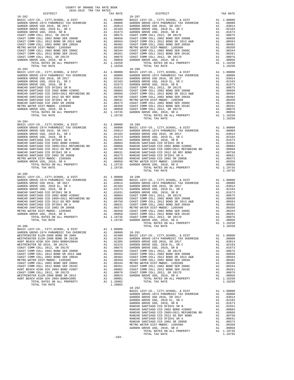| DISTRICT                                                                                                                                                                                                                                           | TAX RATE | DISTRICT   | TAX RATE |
|----------------------------------------------------------------------------------------------------------------------------------------------------------------------------------------------------------------------------------------------------|----------|------------|----------|
| 18-282<br>14-19 10 10<br>10.0000 10.0000 14-27 100000 14-28 2017 100000 14-28 2017 100000 14-28 2017 100000 14-28 2017<br>0.00000 11-29 2017 100000 14-28 2017<br>0.00000 14-28 2017 100000 14-28 2017<br>0.00000 14-28 2017 100000 14-28 2017<br> |          | 18-287     |          |
|                                                                                                                                                                                                                                                    |          |            |          |
|                                                                                                                                                                                                                                                    |          |            |          |
|                                                                                                                                                                                                                                                    |          |            |          |
|                                                                                                                                                                                                                                                    |          |            |          |
|                                                                                                                                                                                                                                                    |          |            |          |
|                                                                                                                                                                                                                                                    |          |            |          |
|                                                                                                                                                                                                                                                    |          |            |          |
|                                                                                                                                                                                                                                                    |          |            |          |
|                                                                                                                                                                                                                                                    |          |            |          |
|                                                                                                                                                                                                                                                    |          |            |          |
|                                                                                                                                                                                                                                                    |          |            |          |
|                                                                                                                                                                                                                                                    |          |            |          |
|                                                                                                                                                                                                                                                    |          |            |          |
|                                                                                                                                                                                                                                                    |          |            |          |
|                                                                                                                                                                                                                                                    |          |            |          |
|                                                                                                                                                                                                                                                    |          |            |          |
|                                                                                                                                                                                                                                                    |          |            |          |
|                                                                                                                                                                                                                                                    |          |            |          |
|                                                                                                                                                                                                                                                    |          |            |          |
|                                                                                                                                                                                                                                                    |          |            |          |
|                                                                                                                                                                                                                                                    |          |            |          |
|                                                                                                                                                                                                                                                    |          |            |          |
|                                                                                                                                                                                                                                                    |          |            |          |
|                                                                                                                                                                                                                                                    |          |            |          |
|                                                                                                                                                                                                                                                    |          |            |          |
|                                                                                                                                                                                                                                                    |          |            |          |
|                                                                                                                                                                                                                                                    |          |            |          |
|                                                                                                                                                                                                                                                    |          |            |          |
|                                                                                                                                                                                                                                                    |          |            |          |
|                                                                                                                                                                                                                                                    |          |            |          |
|                                                                                                                                                                                                                                                    |          |            |          |
| $18 - 284$                                                                                                                                                                                                                                         |          |            |          |
|                                                                                                                                                                                                                                                    |          |            |          |
|                                                                                                                                                                                                                                                    |          |            |          |
|                                                                                                                                                                                                                                                    |          |            |          |
|                                                                                                                                                                                                                                                    |          |            |          |
|                                                                                                                                                                                                                                                    |          |            |          |
|                                                                                                                                                                                                                                                    |          |            |          |
|                                                                                                                                                                                                                                                    |          |            |          |
|                                                                                                                                                                                                                                                    |          |            |          |
|                                                                                                                                                                                                                                                    |          |            |          |
|                                                                                                                                                                                                                                                    |          |            |          |
|                                                                                                                                                                                                                                                    |          |            |          |
|                                                                                                                                                                                                                                                    |          |            |          |
|                                                                                                                                                                                                                                                    |          |            |          |
|                                                                                                                                                                                                                                                    |          |            |          |
|                                                                                                                                                                                                                                                    |          |            |          |
|                                                                                                                                                                                                                                                    |          |            |          |
|                                                                                                                                                                                                                                                    |          |            |          |
|                                                                                                                                                                                                                                                    |          |            |          |
|                                                                                                                                                                                                                                                    |          |            |          |
|                                                                                                                                                                                                                                                    |          |            |          |
|                                                                                                                                                                                                                                                    |          |            |          |
|                                                                                                                                                                                                                                                    |          |            |          |
|                                                                                                                                                                                                                                                    |          |            |          |
|                                                                                                                                                                                                                                                    |          |            |          |
|                                                                                                                                                                                                                                                    |          |            |          |
|                                                                                                                                                                                                                                                    |          |            |          |
|                                                                                                                                                                                                                                                    |          |            |          |
|                                                                                                                                                                                                                                                    |          |            |          |
|                                                                                                                                                                                                                                                    |          |            |          |
|                                                                                                                                                                                                                                                    |          |            |          |
|                                                                                                                                                                                                                                                    |          |            |          |
|                                                                                                                                                                                                                                                    |          |            |          |
|                                                                                                                                                                                                                                                    |          |            |          |
|                                                                                                                                                                                                                                                    |          |            |          |
|                                                                                                                                                                                                                                                    |          |            |          |
|                                                                                                                                                                                                                                                    |          |            |          |
|                                                                                                                                                                                                                                                    |          |            |          |
|                                                                                                                                                                                                                                                    |          |            |          |
|                                                                                                                                                                                                                                                    |          |            |          |
|                                                                                                                                                                                                                                                    |          |            |          |
|                                                                                                                                                                                                                                                    |          |            |          |
|                                                                                                                                                                                                                                                    |          |            |          |
|                                                                                                                                                                                                                                                    |          |            |          |
|                                                                                                                                                                                                                                                    |          |            |          |
|                                                                                                                                                                                                                                                    |          |            |          |
|                                                                                                                                                                                                                                                    |          |            |          |
|                                                                                                                                                                                                                                                    |          |            |          |
|                                                                                                                                                                                                                                                    |          |            |          |
|                                                                                                                                                                                                                                                    |          |            |          |
|                                                                                                                                                                                                                                                    |          |            |          |
|                                                                                                                                                                                                                                                    |          |            |          |
|                                                                                                                                                                                                                                                    |          | $18 - 292$ |          |
|                                                                                                                                                                                                                                                    |          |            |          |
|                                                                                                                                                                                                                                                    |          |            |          |
|                                                                                                                                                                                                                                                    |          |            |          |
|                                                                                                                                                                                                                                                    |          |            |          |
|                                                                                                                                                                                                                                                    |          |            |          |
|                                                                                                                                                                                                                                                    |          |            |          |
|                                                                                                                                                                                                                                                    |          |            |          |
|                                                                                                                                                                                                                                                    |          |            |          |
|                                                                                                                                                                                                                                                    |          |            |          |
|                                                                                                                                                                                                                                                    |          |            |          |
|                                                                                                                                                                                                                                                    |          |            |          |
|                                                                                                                                                                                                                                                    |          |            |          |
|                                                                                                                                                                                                                                                    |          |            |          |
|                                                                                                                                                                                                                                                    |          |            |          |
|                                                                                                                                                                                                                                                    |          |            |          |
|                                                                                                                                                                                                                                                    | $-183-$  |            |          |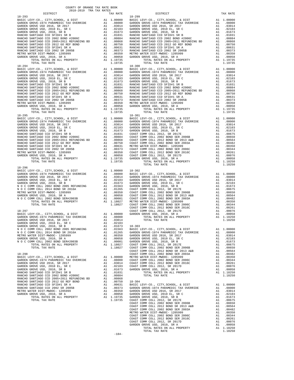| COUNTY OF ORANGE TAX RATE BOOK<br>2018-2019 TPA TAY PATES<br>2018-2019 TRA TAX RATES |          |            |          |
|--------------------------------------------------------------------------------------|----------|------------|----------|
| DISTRICT                                                                             | TAX RATE | DISTRICT   | TAX RATE |
| $18 - 293$                                                                           |          | $18 - 299$ |          |
|                                                                                      |          |            |          |
|                                                                                      |          |            |          |
|                                                                                      |          |            |          |
|                                                                                      |          |            |          |
|                                                                                      |          |            |          |
|                                                                                      |          |            |          |
|                                                                                      |          |            |          |
|                                                                                      |          |            |          |
|                                                                                      |          |            |          |
|                                                                                      |          |            |          |
| $18 - 294$                                                                           |          | $18 - 300$ |          |
|                                                                                      |          |            |          |
|                                                                                      |          |            |          |
|                                                                                      |          |            |          |
|                                                                                      |          |            |          |
|                                                                                      |          |            |          |
|                                                                                      |          |            |          |
|                                                                                      |          |            |          |
|                                                                                      |          |            |          |
|                                                                                      |          |            |          |
|                                                                                      |          |            |          |
|                                                                                      |          |            |          |
|                                                                                      |          |            |          |
|                                                                                      |          |            |          |
|                                                                                      |          |            |          |
|                                                                                      |          |            |          |
|                                                                                      |          |            |          |
|                                                                                      |          |            |          |
|                                                                                      |          |            |          |
|                                                                                      |          |            |          |
|                                                                                      |          |            |          |
|                                                                                      |          |            |          |
|                                                                                      |          |            |          |
|                                                                                      |          |            |          |
|                                                                                      |          |            |          |
| $18 - 296$                                                                           |          |            |          |
|                                                                                      |          |            |          |
|                                                                                      |          |            |          |
|                                                                                      |          |            |          |
|                                                                                      |          |            |          |
|                                                                                      |          |            |          |
|                                                                                      |          |            |          |
|                                                                                      |          |            |          |
|                                                                                      |          |            |          |
|                                                                                      |          |            |          |
|                                                                                      |          |            |          |
|                                                                                      |          |            |          |
|                                                                                      |          |            |          |
|                                                                                      |          |            |          |
|                                                                                      |          |            |          |
|                                                                                      |          |            |          |
|                                                                                      |          |            |          |
|                                                                                      |          |            |          |
|                                                                                      |          |            |          |
|                                                                                      |          |            |          |
|                                                                                      |          |            |          |
|                                                                                      |          |            |          |
|                                                                                      |          |            |          |
|                                                                                      |          |            |          |
|                                                                                      |          |            |          |
|                                                                                      |          |            |          |
|                                                                                      |          |            |          |
|                                                                                      |          |            |          |
|                                                                                      |          |            |          |
|                                                                                      |          |            |          |
|                                                                                      |          |            |          |
|                                                                                      |          |            |          |
|                                                                                      |          |            |          |
|                                                                                      |          |            |          |
|                                                                                      |          |            |          |
|                                                                                      |          |            |          |
|                                                                                      |          |            |          |
|                                                                                      |          |            |          |
|                                                                                      |          |            |          |
|                                                                                      |          |            |          |
|                                                                                      |          |            |          |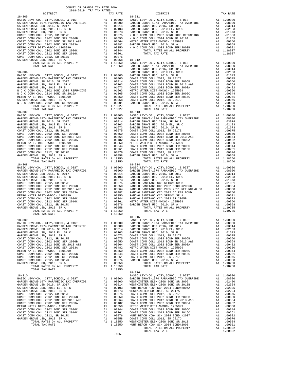| DISTRICT                                                                                                                                                                                                                                                                                                                                              | TAX RATE | DISTRICT   | TAX RATE |
|-------------------------------------------------------------------------------------------------------------------------------------------------------------------------------------------------------------------------------------------------------------------------------------------------------------------------------------------------------|----------|------------|----------|
| $18 - 305$                                                                                                                                                                                                                                                                                                                                            |          | 18-311     |          |
|                                                                                                                                                                                                                                                                                                                                                       |          |            |          |
|                                                                                                                                                                                                                                                                                                                                                       |          |            |          |
|                                                                                                                                                                                                                                                                                                                                                       |          |            |          |
|                                                                                                                                                                                                                                                                                                                                                       |          |            |          |
|                                                                                                                                                                                                                                                                                                                                                       |          |            |          |
|                                                                                                                                                                                                                                                                                                                                                       |          |            |          |
|                                                                                                                                                                                                                                                                                                                                                       |          |            |          |
|                                                                                                                                                                                                                                                                                                                                                       |          |            |          |
|                                                                                                                                                                                                                                                                                                                                                       |          |            |          |
|                                                                                                                                                                                                                                                                                                                                                       |          |            |          |
|                                                                                                                                                                                                                                                                                                                                                       |          |            |          |
|                                                                                                                                                                                                                                                                                                                                                       |          |            |          |
|                                                                                                                                                                                                                                                                                                                                                       |          |            |          |
|                                                                                                                                                                                                                                                                                                                                                       |          |            |          |
|                                                                                                                                                                                                                                                                                                                                                       |          |            |          |
|                                                                                                                                                                                                                                                                                                                                                       |          |            |          |
|                                                                                                                                                                                                                                                                                                                                                       |          |            |          |
|                                                                                                                                                                                                                                                                                                                                                       |          |            |          |
|                                                                                                                                                                                                                                                                                                                                                       |          |            |          |
|                                                                                                                                                                                                                                                                                                                                                       |          |            |          |
|                                                                                                                                                                                                                                                                                                                                                       |          |            |          |
|                                                                                                                                                                                                                                                                                                                                                       |          |            |          |
|                                                                                                                                                                                                                                                                                                                                                       |          |            |          |
|                                                                                                                                                                                                                                                                                                                                                       |          |            |          |
|                                                                                                                                                                                                                                                                                                                                                       |          |            |          |
|                                                                                                                                                                                                                                                                                                                                                       |          |            |          |
|                                                                                                                                                                                                                                                                                                                                                       |          |            |          |
| $18 - 307$                                                                                                                                                                                                                                                                                                                                            |          | $18 - 313$ |          |
|                                                                                                                                                                                                                                                                                                                                                       |          |            |          |
|                                                                                                                                                                                                                                                                                                                                                       |          |            |          |
|                                                                                                                                                                                                                                                                                                                                                       |          |            |          |
|                                                                                                                                                                                                                                                                                                                                                       |          |            |          |
|                                                                                                                                                                                                                                                                                                                                                       |          |            |          |
|                                                                                                                                                                                                                                                                                                                                                       |          |            |          |
|                                                                                                                                                                                                                                                                                                                                                       |          |            |          |
|                                                                                                                                                                                                                                                                                                                                                       |          |            |          |
|                                                                                                                                                                                                                                                                                                                                                       |          |            |          |
|                                                                                                                                                                                                                                                                                                                                                       |          |            |          |
|                                                                                                                                                                                                                                                                                                                                                       |          |            |          |
|                                                                                                                                                                                                                                                                                                                                                       |          |            |          |
|                                                                                                                                                                                                                                                                                                                                                       |          |            |          |
|                                                                                                                                                                                                                                                                                                                                                       |          |            |          |
|                                                                                                                                                                                                                                                                                                                                                       |          |            |          |
|                                                                                                                                                                                                                                                                                                                                                       |          |            |          |
|                                                                                                                                                                                                                                                                                                                                                       |          |            |          |
|                                                                                                                                                                                                                                                                                                                                                       |          |            |          |
|                                                                                                                                                                                                                                                                                                                                                       |          |            |          |
|                                                                                                                                                                                                                                                                                                                                                       |          |            |          |
|                                                                                                                                                                                                                                                                                                                                                       |          |            |          |
|                                                                                                                                                                                                                                                                                                                                                       |          |            |          |
|                                                                                                                                                                                                                                                                                                                                                       |          |            |          |
|                                                                                                                                                                                                                                                                                                                                                       |          |            |          |
|                                                                                                                                                                                                                                                                                                                                                       |          |            |          |
|                                                                                                                                                                                                                                                                                                                                                       |          |            |          |
|                                                                                                                                                                                                                                                                                                                                                       |          |            |          |
|                                                                                                                                                                                                                                                                                                                                                       |          |            |          |
|                                                                                                                                                                                                                                                                                                                                                       |          |            |          |
|                                                                                                                                                                                                                                                                                                                                                       |          |            |          |
|                                                                                                                                                                                                                                                                                                                                                       |          |            |          |
|                                                                                                                                                                                                                                                                                                                                                       |          |            |          |
|                                                                                                                                                                                                                                                                                                                                                       |          |            |          |
|                                                                                                                                                                                                                                                                                                                                                       |          |            |          |
|                                                                                                                                                                                                                                                                                                                                                       |          |            |          |
|                                                                                                                                                                                                                                                                                                                                                       |          |            |          |
|                                                                                                                                                                                                                                                                                                                                                       |          |            |          |
|                                                                                                                                                                                                                                                                                                                                                       |          |            |          |
|                                                                                                                                                                                                                                                                                                                                                       |          |            |          |
|                                                                                                                                                                                                                                                                                                                                                       |          |            |          |
|                                                                                                                                                                                                                                                                                                                                                       |          |            |          |
|                                                                                                                                                                                                                                                                                                                                                       |          |            |          |
|                                                                                                                                                                                                                                                                                                                                                       |          |            |          |
| $\begin{tabular}{cccccccc} \multicolumn{4}{c}{\begin{tabular}{0.95\textwidth} \begin{tabular}{0.95\textwidth} {\bf 18-309} \end{tabular} \begin{tabular}{cccccccc} $18-309$ & $11.9775$ & $11.9775$ & $11.9775$ & $11.9775$ & $11.9775$ & $11.9775$ & $11.9775$ & $11.9775$ & $11.9775$ & $11.9775$ & $11.9775$ & $11.9775$ & $11.900000 & $11.9775$$ |          |            |          |
|                                                                                                                                                                                                                                                                                                                                                       |          |            |          |
|                                                                                                                                                                                                                                                                                                                                                       |          |            |          |
|                                                                                                                                                                                                                                                                                                                                                       |          |            |          |
|                                                                                                                                                                                                                                                                                                                                                       |          |            |          |
|                                                                                                                                                                                                                                                                                                                                                       |          |            |          |
|                                                                                                                                                                                                                                                                                                                                                       |          |            |          |
|                                                                                                                                                                                                                                                                                                                                                       |          |            |          |
|                                                                                                                                                                                                                                                                                                                                                       |          |            |          |
|                                                                                                                                                                                                                                                                                                                                                       |          |            |          |
|                                                                                                                                                                                                                                                                                                                                                       |          |            |          |
|                                                                                                                                                                                                                                                                                                                                                       |          |            |          |
|                                                                                                                                                                                                                                                                                                                                                       |          |            |          |
|                                                                                                                                                                                                                                                                                                                                                       |          |            |          |
|                                                                                                                                                                                                                                                                                                                                                       |          |            |          |
|                                                                                                                                                                                                                                                                                                                                                       |          |            |          |
|                                                                                                                                                                                                                                                                                                                                                       |          |            |          |
|                                                                                                                                                                                                                                                                                                                                                       |          |            |          |
|                                                                                                                                                                                                                                                                                                                                                       |          |            |          |
|                                                                                                                                                                                                                                                                                                                                                       |          |            |          |
|                                                                                                                                                                                                                                                                                                                                                       |          |            |          |
|                                                                                                                                                                                                                                                                                                                                                       |          |            |          |
|                                                                                                                                                                                                                                                                                                                                                       | $-185-$  |            |          |
|                                                                                                                                                                                                                                                                                                                                                       |          |            |          |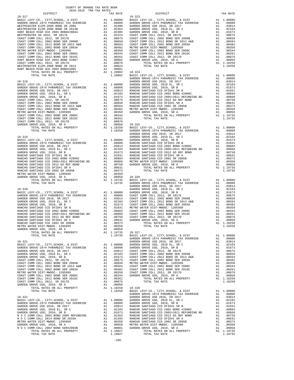| COUNTY OF ORANGE TAX RATE BOOK<br>2018-2019 TRA TAX RATES |          |            |          |
|-----------------------------------------------------------|----------|------------|----------|
| DISTRICT                                                  | TAX RATE | DISTRICT   | TAX RATE |
| $18 - 317$                                                |          | $18 - 323$ |          |
|                                                           |          |            |          |
|                                                           |          |            |          |
|                                                           |          |            |          |
|                                                           |          |            |          |
|                                                           |          |            |          |
|                                                           |          |            |          |
|                                                           |          |            |          |
|                                                           |          |            |          |
|                                                           |          |            |          |
|                                                           |          |            |          |
|                                                           |          |            |          |
|                                                           |          |            |          |
|                                                           |          |            |          |
|                                                           |          |            |          |
|                                                           |          |            |          |
|                                                           |          |            |          |
|                                                           |          |            |          |
|                                                           |          |            |          |
|                                                           |          |            |          |
|                                                           |          |            |          |
|                                                           |          |            |          |
|                                                           |          |            |          |
|                                                           |          |            |          |
|                                                           |          |            |          |
|                                                           |          |            |          |
|                                                           |          |            |          |
|                                                           |          |            |          |
|                                                           |          |            |          |
|                                                           |          |            |          |
|                                                           |          |            |          |
|                                                           |          |            |          |
|                                                           |          |            |          |
|                                                           |          |            |          |
|                                                           |          |            |          |
|                                                           |          |            |          |
|                                                           |          |            |          |
|                                                           |          |            |          |
|                                                           |          |            |          |
|                                                           |          |            |          |
|                                                           |          |            |          |
|                                                           |          |            |          |
|                                                           |          |            |          |
|                                                           |          |            |          |
|                                                           |          |            |          |
|                                                           |          |            |          |
|                                                           |          |            |          |
|                                                           |          |            |          |
|                                                           |          |            |          |
|                                                           |          |            |          |
|                                                           |          |            |          |
|                                                           |          |            |          |
|                                                           |          |            |          |
|                                                           |          |            |          |
|                                                           |          |            |          |
|                                                           |          |            |          |
|                                                           |          |            |          |
|                                                           |          |            |          |
|                                                           |          |            |          |
|                                                           |          |            |          |
|                                                           |          |            |          |
|                                                           |          |            |          |
|                                                           |          |            |          |
|                                                           |          |            |          |
|                                                           |          |            |          |
|                                                           |          |            |          |
|                                                           |          |            |          |
|                                                           |          |            |          |
|                                                           |          |            |          |
|                                                           |          |            |          |
|                                                           |          |            |          |
|                                                           |          |            |          |
|                                                           |          |            |          |
|                                                           |          |            |          |
|                                                           |          |            |          |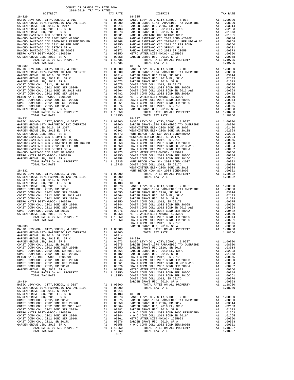| $18 - 329$                                         |                       | $18 - 335$ |
|----------------------------------------------------|-----------------------|------------|
|                                                    |                       |            |
|                                                    |                       |            |
|                                                    |                       |            |
|                                                    |                       |            |
|                                                    |                       |            |
|                                                    |                       |            |
|                                                    |                       |            |
|                                                    |                       |            |
|                                                    |                       |            |
| TOTAL TAX RATE                                     | 1.19735               |            |
| $18 - 330$                                         |                       | $18 - 336$ |
|                                                    |                       |            |
|                                                    |                       |            |
|                                                    |                       |            |
|                                                    |                       |            |
|                                                    |                       |            |
|                                                    |                       |            |
|                                                    |                       |            |
|                                                    |                       |            |
|                                                    |                       |            |
| TOTAL TAX RATE                                     | 1.18250               |            |
| $18 - 331$                                         |                       | 18-337     |
|                                                    |                       |            |
|                                                    |                       |            |
|                                                    |                       |            |
|                                                    |                       |            |
|                                                    |                       |            |
|                                                    |                       |            |
|                                                    |                       |            |
|                                                    |                       |            |
|                                                    |                       |            |
|                                                    |                       |            |
|                                                    |                       | WESTMIN    |
| 18-332                                             |                       | HUNT BE    |
|                                                    |                       |            |
| GARDEN GROVE USD 2016, SR 2017                     | A1 .03014             |            |
|                                                    |                       |            |
|                                                    |                       |            |
|                                                    |                       |            |
|                                                    |                       |            |
|                                                    |                       |            |
|                                                    |                       |            |
|                                                    |                       |            |
|                                                    |                       |            |
|                                                    |                       | COAST C    |
| $18 - 333$<br>BASIC LEVY-CO., CITY, SCHOOL, & DIST | A1 1.00000            | GARDEN     |
|                                                    |                       |            |
|                                                    | .03014<br>.02103      | $18 - 339$ |
|                                                    |                       |            |
|                                                    |                       |            |
|                                                    |                       |            |
|                                                    |                       |            |
|                                                    |                       |            |
|                                                    |                       |            |
|                                                    |                       |            |
|                                                    |                       |            |
|                                                    |                       | COAST C    |
| $18 - 334$                                         |                       | GARDEN     |
|                                                    |                       |            |
|                                                    |                       |            |
|                                                    |                       |            |
|                                                    |                       |            |
|                                                    |                       |            |
|                                                    |                       |            |
|                                                    |                       |            |
|                                                    |                       |            |
|                                                    |                       |            |
| TOTAL RATES ON ALL PROPERTY<br>TOTAL TAY RATE      | A1 1.18250<br>1.18250 |            |
|                                                    |                       |            |

| COUNTY OF ORANGE TAX RATE BOOK<br>2018-2019 TRA TAX RATES |          |            |          |
|-----------------------------------------------------------|----------|------------|----------|
| DISTRICT                                                  | TAX RATE | DISTRICT   | TAX RATE |
| $18 - 329$                                                |          | $18 - 335$ |          |
|                                                           |          |            |          |
|                                                           |          |            |          |
|                                                           |          |            |          |
|                                                           |          |            |          |
|                                                           |          |            |          |
|                                                           |          |            |          |
|                                                           |          |            |          |
|                                                           |          |            |          |
|                                                           |          |            |          |
|                                                           |          |            |          |
|                                                           |          |            |          |
| $18 - 330$                                                |          | $18 - 336$ |          |
|                                                           |          |            |          |
|                                                           |          |            |          |
|                                                           |          |            |          |
|                                                           |          |            |          |
|                                                           |          |            |          |
|                                                           |          |            |          |
|                                                           |          |            |          |
|                                                           |          |            |          |
|                                                           |          |            |          |
|                                                           |          |            |          |
|                                                           |          |            |          |
|                                                           |          |            |          |
|                                                           |          |            |          |
|                                                           |          |            |          |
|                                                           |          |            |          |
|                                                           |          |            |          |
|                                                           |          |            |          |
|                                                           |          |            |          |
|                                                           |          |            |          |
|                                                           |          |            |          |
|                                                           |          |            |          |
|                                                           |          |            |          |
|                                                           |          |            |          |
|                                                           |          |            |          |
|                                                           |          |            |          |
|                                                           |          |            |          |
|                                                           |          |            |          |
|                                                           |          |            |          |
|                                                           |          |            |          |
|                                                           |          |            |          |
|                                                           |          |            |          |
|                                                           |          |            |          |
|                                                           |          |            |          |
|                                                           |          |            |          |
|                                                           |          |            |          |
|                                                           |          |            |          |
|                                                           |          |            |          |
|                                                           |          |            |          |
|                                                           |          |            |          |
|                                                           |          |            |          |
|                                                           |          |            |          |
|                                                           |          |            |          |
|                                                           |          |            |          |
|                                                           |          |            |          |
|                                                           |          |            |          |
|                                                           |          |            |          |
|                                                           |          |            |          |
|                                                           |          |            |          |
|                                                           |          |            |          |
|                                                           |          |            |          |
|                                                           |          |            |          |
|                                                           |          |            |          |
|                                                           |          |            |          |
|                                                           |          |            |          |
|                                                           |          |            |          |
|                                                           |          |            |          |
|                                                           |          |            |          |
|                                                           |          |            |          |
|                                                           |          |            |          |
|                                                           |          |            |          |
|                                                           |          |            |          |
|                                                           |          |            |          |
|                                                           |          |            |          |
|                                                           |          |            |          |
|                                                           |          |            |          |
|                                                           |          |            |          |
|                                                           |          |            |          |
|                                                           |          |            |          |
|                                                           |          |            |          |
|                                                           |          |            |          |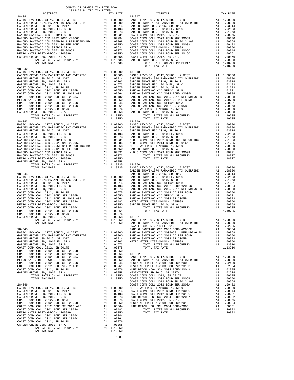| COUNTY OF ORANGE TAX RATE BOOK<br>2018-2019 TRA TAX RATES |          |            |          |
|-----------------------------------------------------------|----------|------------|----------|
| DISTRICT                                                  | TAX RATE | DISTRICT   | TAX RATE |
| $18 - 341$                                                |          | $18 - 347$ |          |
|                                                           |          |            |          |
|                                                           |          |            |          |
|                                                           |          |            |          |
|                                                           |          |            |          |
|                                                           |          |            |          |
|                                                           |          |            |          |
|                                                           |          |            |          |
|                                                           |          |            |          |
|                                                           |          |            |          |
|                                                           |          |            |          |
|                                                           |          |            |          |
| 18-342                                                    |          |            |          |
|                                                           |          |            |          |
|                                                           |          |            |          |
|                                                           |          |            |          |
|                                                           |          |            |          |
|                                                           |          |            |          |
|                                                           |          |            |          |
|                                                           |          |            |          |
|                                                           |          |            |          |
|                                                           |          |            |          |
|                                                           |          |            |          |
|                                                           |          |            |          |
|                                                           |          |            |          |
|                                                           |          |            |          |
|                                                           |          |            |          |
|                                                           |          |            |          |
|                                                           |          |            |          |
|                                                           |          |            |          |
|                                                           |          |            |          |
|                                                           |          |            |          |
|                                                           |          |            |          |
|                                                           |          |            |          |
|                                                           |          |            |          |
|                                                           |          |            |          |
|                                                           |          |            |          |
|                                                           |          |            |          |
|                                                           |          |            |          |
|                                                           |          |            |          |
|                                                           |          |            |          |
|                                                           |          |            |          |
|                                                           |          |            |          |
|                                                           |          |            |          |
|                                                           |          |            |          |
|                                                           |          |            |          |
|                                                           |          |            |          |
|                                                           |          |            |          |
|                                                           |          |            |          |
|                                                           |          |            |          |
|                                                           |          |            |          |
|                                                           |          |            |          |
|                                                           |          |            |          |
|                                                           |          |            |          |
|                                                           |          |            |          |
|                                                           |          |            |          |
|                                                           |          |            |          |
|                                                           |          |            |          |
|                                                           |          |            |          |
|                                                           |          |            |          |
|                                                           |          |            |          |
|                                                           |          |            |          |
|                                                           |          |            |          |
|                                                           |          |            |          |
|                                                           |          |            |          |
|                                                           |          |            |          |
|                                                           |          |            |          |
|                                                           |          |            |          |
|                                                           |          |            |          |
|                                                           |          |            |          |
|                                                           |          |            |          |
|                                                           |          |            |          |
|                                                           |          |            |          |
|                                                           |          |            |          |

-188-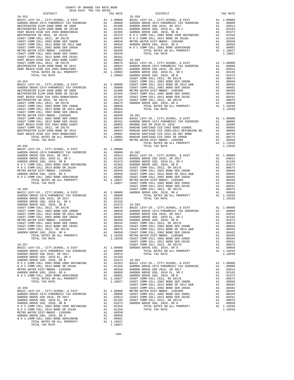| COUNTY OF ORANGE TAX RATE BOOK<br>2018-2019 TRA TAX RATES |          |          |          |
|-----------------------------------------------------------|----------|----------|----------|
| DISTRICT                                                  | TAX RATE | DISTRICT | TAX RATE |
|                                                           |          |          |          |
|                                                           |          |          |          |
|                                                           |          |          |          |
|                                                           |          |          |          |
|                                                           |          |          |          |
|                                                           |          |          |          |
|                                                           |          |          |          |
|                                                           |          |          |          |
|                                                           |          |          |          |
|                                                           |          |          |          |
|                                                           |          |          |          |
|                                                           |          |          |          |
|                                                           |          |          |          |
|                                                           |          |          |          |
|                                                           |          |          |          |
|                                                           |          |          |          |
|                                                           |          |          |          |
|                                                           |          |          |          |
|                                                           |          |          |          |
|                                                           |          |          |          |
|                                                           |          |          |          |
|                                                           |          |          |          |
|                                                           |          |          |          |
|                                                           |          |          |          |
|                                                           |          |          |          |
|                                                           |          |          |          |
|                                                           |          |          |          |
|                                                           |          |          |          |
|                                                           |          |          |          |
|                                                           |          |          |          |
|                                                           |          |          |          |
|                                                           |          |          |          |
|                                                           |          |          |          |
|                                                           |          |          |          |
|                                                           |          |          |          |
|                                                           |          |          |          |
|                                                           |          |          |          |
|                                                           |          |          |          |
|                                                           |          |          |          |
|                                                           |          |          |          |
|                                                           |          |          |          |
|                                                           |          |          |          |
|                                                           |          |          |          |
|                                                           |          |          |          |
|                                                           |          |          |          |
|                                                           |          |          |          |
|                                                           |          |          |          |
|                                                           |          |          |          |
|                                                           |          |          |          |
|                                                           |          |          |          |
|                                                           |          |          |          |
|                                                           |          |          |          |
|                                                           |          |          |          |
|                                                           |          |          |          |
|                                                           |          |          |          |
|                                                           |          |          |          |
|                                                           |          |          |          |
|                                                           |          |          |          |
|                                                           |          |          |          |
|                                                           |          |          |          |
|                                                           |          |          |          |
|                                                           |          |          |          |
|                                                           |          |          |          |
|                                                           |          |          |          |
|                                                           |          |          |          |
|                                                           |          |          |          |

-189-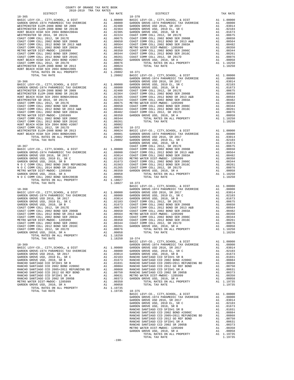| COUNTY OF ORANGE TAX RATE BOOK<br>2018-2019 TRA TAX RATES |  |                                                                                                                                                                                                                                                                                                                                                                                                                                                                    |          |
|-----------------------------------------------------------|--|--------------------------------------------------------------------------------------------------------------------------------------------------------------------------------------------------------------------------------------------------------------------------------------------------------------------------------------------------------------------------------------------------------------------------------------------------------------------|----------|
| DISTRICT                                                  |  | TAX RATES<br>TAX RATE<br>DISTRICT<br>$18 - 370$                                                                                                                                                                                                                                                                                                                                                                                                                    | TAX RATE |
|                                                           |  |                                                                                                                                                                                                                                                                                                                                                                                                                                                                    |          |
|                                                           |  |                                                                                                                                                                                                                                                                                                                                                                                                                                                                    |          |
|                                                           |  |                                                                                                                                                                                                                                                                                                                                                                                                                                                                    |          |
|                                                           |  |                                                                                                                                                                                                                                                                                                                                                                                                                                                                    |          |
|                                                           |  |                                                                                                                                                                                                                                                                                                                                                                                                                                                                    |          |
|                                                           |  |                                                                                                                                                                                                                                                                                                                                                                                                                                                                    |          |
|                                                           |  |                                                                                                                                                                                                                                                                                                                                                                                                                                                                    |          |
|                                                           |  |                                                                                                                                                                                                                                                                                                                                                                                                                                                                    |          |
|                                                           |  |                                                                                                                                                                                                                                                                                                                                                                                                                                                                    |          |
|                                                           |  |                                                                                                                                                                                                                                                                                                                                                                                                                                                                    |          |
|                                                           |  |                                                                                                                                                                                                                                                                                                                                                                                                                                                                    |          |
|                                                           |  |                                                                                                                                                                                                                                                                                                                                                                                                                                                                    |          |
|                                                           |  |                                                                                                                                                                                                                                                                                                                                                                                                                                                                    |          |
|                                                           |  |                                                                                                                                                                                                                                                                                                                                                                                                                                                                    |          |
|                                                           |  |                                                                                                                                                                                                                                                                                                                                                                                                                                                                    |          |
|                                                           |  |                                                                                                                                                                                                                                                                                                                                                                                                                                                                    |          |
|                                                           |  |                                                                                                                                                                                                                                                                                                                                                                                                                                                                    |          |
|                                                           |  |                                                                                                                                                                                                                                                                                                                                                                                                                                                                    |          |
|                                                           |  |                                                                                                                                                                                                                                                                                                                                                                                                                                                                    |          |
|                                                           |  |                                                                                                                                                                                                                                                                                                                                                                                                                                                                    |          |
|                                                           |  |                                                                                                                                                                                                                                                                                                                                                                                                                                                                    |          |
|                                                           |  |                                                                                                                                                                                                                                                                                                                                                                                                                                                                    |          |
|                                                           |  |                                                                                                                                                                                                                                                                                                                                                                                                                                                                    |          |
|                                                           |  |                                                                                                                                                                                                                                                                                                                                                                                                                                                                    |          |
|                                                           |  |                                                                                                                                                                                                                                                                                                                                                                                                                                                                    |          |
|                                                           |  |                                                                                                                                                                                                                                                                                                                                                                                                                                                                    |          |
|                                                           |  |                                                                                                                                                                                                                                                                                                                                                                                                                                                                    |          |
|                                                           |  |                                                                                                                                                                                                                                                                                                                                                                                                                                                                    |          |
|                                                           |  |                                                                                                                                                                                                                                                                                                                                                                                                                                                                    |          |
|                                                           |  |                                                                                                                                                                                                                                                                                                                                                                                                                                                                    |          |
|                                                           |  |                                                                                                                                                                                                                                                                                                                                                                                                                                                                    |          |
|                                                           |  |                                                                                                                                                                                                                                                                                                                                                                                                                                                                    |          |
|                                                           |  |                                                                                                                                                                                                                                                                                                                                                                                                                                                                    |          |
|                                                           |  |                                                                                                                                                                                                                                                                                                                                                                                                                                                                    |          |
|                                                           |  |                                                                                                                                                                                                                                                                                                                                                                                                                                                                    |          |
|                                                           |  |                                                                                                                                                                                                                                                                                                                                                                                                                                                                    |          |
|                                                           |  |                                                                                                                                                                                                                                                                                                                                                                                                                                                                    |          |
|                                                           |  |                                                                                                                                                                                                                                                                                                                                                                                                                                                                    |          |
|                                                           |  |                                                                                                                                                                                                                                                                                                                                                                                                                                                                    |          |
|                                                           |  |                                                                                                                                                                                                                                                                                                                                                                                                                                                                    |          |
|                                                           |  |                                                                                                                                                                                                                                                                                                                                                                                                                                                                    |          |
|                                                           |  |                                                                                                                                                                                                                                                                                                                                                                                                                                                                    |          |
|                                                           |  |                                                                                                                                                                                                                                                                                                                                                                                                                                                                    |          |
|                                                           |  |                                                                                                                                                                                                                                                                                                                                                                                                                                                                    |          |
|                                                           |  |                                                                                                                                                                                                                                                                                                                                                                                                                                                                    |          |
|                                                           |  |                                                                                                                                                                                                                                                                                                                                                                                                                                                                    |          |
|                                                           |  |                                                                                                                                                                                                                                                                                                                                                                                                                                                                    |          |
|                                                           |  |                                                                                                                                                                                                                                                                                                                                                                                                                                                                    |          |
|                                                           |  |                                                                                                                                                                                                                                                                                                                                                                                                                                                                    |          |
|                                                           |  |                                                                                                                                                                                                                                                                                                                                                                                                                                                                    |          |
|                                                           |  | $\begin{tabular}{l c c c c c} \multicolumn{1}{c}{\textbf{METRO}} & \multicolumn{1}{c}{\textbf{METRO}} & \multicolumn{1}{c}{\textbf{METRO}} & \multicolumn{1}{c}{\textbf{METRO}} & \multicolumn{1}{c}{\textbf{METRO}} & \multicolumn{1}{c}{\textbf{MICRO}} & \multicolumn{1}{c}{\textbf{MICRO}} & \multicolumn{1}{c}{\textbf{MICRO}} & \multicolumn{1}{c}{\textbf{MICRO}} & \multicolumn{1}{c}{\textbf{MICRO}} & \multicolumn{1}{c}{\textbf{MICRO}} & \multicolumn$ |          |
|                                                           |  |                                                                                                                                                                                                                                                                                                                                                                                                                                                                    |          |
|                                                           |  |                                                                                                                                                                                                                                                                                                                                                                                                                                                                    |          |
|                                                           |  |                                                                                                                                                                                                                                                                                                                                                                                                                                                                    |          |
|                                                           |  |                                                                                                                                                                                                                                                                                                                                                                                                                                                                    |          |
|                                                           |  |                                                                                                                                                                                                                                                                                                                                                                                                                                                                    |          |
|                                                           |  |                                                                                                                                                                                                                                                                                                                                                                                                                                                                    |          |
|                                                           |  |                                                                                                                                                                                                                                                                                                                                                                                                                                                                    |          |
|                                                           |  |                                                                                                                                                                                                                                                                                                                                                                                                                                                                    |          |
|                                                           |  |                                                                                                                                                                                                                                                                                                                                                                                                                                                                    |          |
|                                                           |  |                                                                                                                                                                                                                                                                                                                                                                                                                                                                    |          |
|                                                           |  |                                                                                                                                                                                                                                                                                                                                                                                                                                                                    |          |
|                                                           |  |                                                                                                                                                                                                                                                                                                                                                                                                                                                                    |          |
|                                                           |  |                                                                                                                                                                                                                                                                                                                                                                                                                                                                    |          |
|                                                           |  |                                                                                                                                                                                                                                                                                                                                                                                                                                                                    |          |
|                                                           |  |                                                                                                                                                                                                                                                                                                                                                                                                                                                                    |          |
|                                                           |  |                                                                                                                                                                                                                                                                                                                                                                                                                                                                    |          |
|                                                           |  |                                                                                                                                                                                                                                                                                                                                                                                                                                                                    |          |
|                                                           |  |                                                                                                                                                                                                                                                                                                                                                                                                                                                                    |          |
|                                                           |  |                                                                                                                                                                                                                                                                                                                                                                                                                                                                    |          |
|                                                           |  |                                                                                                                                                                                                                                                                                                                                                                                                                                                                    |          |
|                                                           |  |                                                                                                                                                                                                                                                                                                                                                                                                                                                                    |          |
|                                                           |  |                                                                                                                                                                                                                                                                                                                                                                                                                                                                    |          |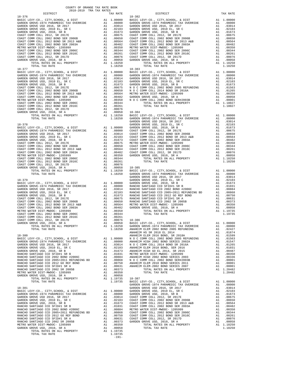| 2018-2019 TRA TAX RATES     |                                      |                |
|-----------------------------|--------------------------------------|----------------|
| DISTRICT                    | TAX RATE                             |                |
|                             |                                      |                |
|                             |                                      |                |
|                             |                                      |                |
|                             |                                      |                |
|                             |                                      |                |
|                             |                                      |                |
|                             |                                      |                |
|                             |                                      |                |
|                             |                                      |                |
|                             |                                      |                |
|                             |                                      |                |
|                             |                                      |                |
|                             |                                      |                |
|                             |                                      |                |
| $18 - 377$                  |                                      | $18 - 383$     |
|                             |                                      |                |
|                             |                                      |                |
|                             |                                      |                |
|                             |                                      |                |
|                             |                                      |                |
|                             |                                      |                |
|                             |                                      |                |
|                             |                                      |                |
|                             |                                      |                |
|                             |                                      |                |
|                             |                                      |                |
|                             |                                      |                |
|                             |                                      |                |
|                             |                                      |                |
|                             |                                      | GARDEN         |
|                             |                                      |                |
|                             |                                      |                |
|                             |                                      |                |
|                             |                                      |                |
|                             |                                      |                |
|                             |                                      |                |
|                             |                                      |                |
|                             |                                      |                |
|                             |                                      |                |
|                             |                                      |                |
|                             |                                      |                |
|                             |                                      |                |
|                             |                                      |                |
|                             |                                      |                |
|                             |                                      |                |
|                             |                                      |                |
|                             |                                      | GARDEN         |
| $18 - 379$                  |                                      | GARDEN         |
|                             |                                      |                |
|                             |                                      |                |
|                             |                                      |                |
|                             |                                      |                |
|                             |                                      |                |
|                             |                                      |                |
|                             |                                      |                |
|                             |                                      |                |
|                             |                                      |                |
|                             |                                      |                |
|                             |                                      |                |
|                             |                                      |                |
| TOTAL RATES ON ALL PROPERTY |                                      |                |
| TOTAL TAX RATE              | A1 1.18250 GARDEN<br>1.18250 ANAHEIM |                |
|                             |                                      | ANAHEIM        |
| $18 - 380$                  |                                      | <b>ANAHEIM</b> |
|                             |                                      |                |
|                             |                                      |                |
|                             |                                      |                |
|                             |                                      |                |
|                             |                                      |                |
|                             |                                      |                |
|                             |                                      |                |
|                             |                                      |                |
|                             |                                      |                |
|                             |                                      |                |
|                             |                                      |                |
|                             |                                      |                |
|                             |                                      |                |
|                             |                                      | GARDEN         |
|                             |                                      |                |
|                             |                                      |                |
|                             |                                      |                |
|                             |                                      |                |
|                             |                                      |                |
|                             |                                      |                |
|                             |                                      |                |
|                             |                                      |                |
|                             |                                      |                |
|                             |                                      |                |
|                             |                                      |                |
|                             |                                      |                |
|                             |                                      |                |
|                             |                                      |                |
|                             |                                      |                |

| COUNTY OF ORANGE TAX RATE BOOK<br>2018-2019 TRA TAX RATES |          |         |            |          |
|-----------------------------------------------------------|----------|---------|------------|----------|
| DISTRICT                                                  | TAX RATE |         | DISTRICT   | TAX RATE |
| $18 - 376$                                                |          |         | $18 - 382$ |          |
|                                                           |          |         |            |          |
|                                                           |          |         |            |          |
|                                                           |          |         |            |          |
|                                                           |          |         |            |          |
|                                                           |          |         |            |          |
|                                                           |          |         |            |          |
|                                                           |          |         |            |          |
|                                                           |          |         |            |          |
|                                                           |          |         |            |          |
|                                                           |          |         |            |          |
|                                                           |          |         |            |          |
|                                                           |          |         |            |          |
|                                                           |          |         |            |          |
|                                                           |          |         |            |          |
|                                                           |          |         |            |          |
|                                                           |          |         |            |          |
|                                                           |          |         |            |          |
|                                                           |          |         |            |          |
|                                                           |          |         |            |          |
|                                                           |          |         |            |          |
|                                                           |          |         |            |          |
|                                                           |          |         |            |          |
|                                                           |          |         |            |          |
|                                                           |          |         |            |          |
|                                                           |          |         |            |          |
|                                                           |          |         |            |          |
|                                                           |          |         |            |          |
|                                                           |          |         |            |          |
|                                                           |          |         |            |          |
|                                                           |          |         |            |          |
|                                                           |          |         |            |          |
|                                                           |          |         |            |          |
|                                                           |          |         |            |          |
|                                                           |          |         |            |          |
|                                                           |          |         |            |          |
|                                                           |          |         |            |          |
|                                                           |          |         |            |          |
|                                                           |          |         |            |          |
|                                                           |          |         |            |          |
|                                                           |          |         |            |          |
|                                                           |          |         |            |          |
|                                                           |          |         |            |          |
|                                                           |          |         |            |          |
|                                                           |          |         |            |          |
|                                                           |          |         |            |          |
|                                                           |          |         |            |          |
|                                                           |          |         |            |          |
|                                                           |          |         |            |          |
|                                                           |          |         |            |          |
|                                                           |          |         |            |          |
|                                                           |          |         |            |          |
|                                                           |          |         |            |          |
|                                                           |          |         |            |          |
|                                                           |          |         |            |          |
|                                                           |          |         |            |          |
|                                                           |          |         |            |          |
|                                                           |          |         |            |          |
|                                                           |          |         |            |          |
|                                                           |          |         |            |          |
|                                                           |          |         |            |          |
|                                                           |          |         |            |          |
|                                                           |          |         |            |          |
|                                                           |          |         |            |          |
|                                                           |          |         |            |          |
|                                                           |          |         |            |          |
|                                                           |          |         |            |          |
|                                                           |          |         |            |          |
|                                                           |          |         |            |          |
|                                                           |          |         |            |          |
|                                                           |          |         |            |          |
|                                                           |          |         |            |          |
|                                                           |          |         |            |          |
|                                                           |          |         |            |          |
|                                                           |          |         |            |          |
|                                                           |          |         |            |          |
|                                                           |          |         |            |          |
|                                                           |          |         |            |          |
|                                                           |          |         |            |          |
|                                                           |          |         |            |          |
|                                                           |          | $-191-$ |            |          |
|                                                           |          |         |            |          |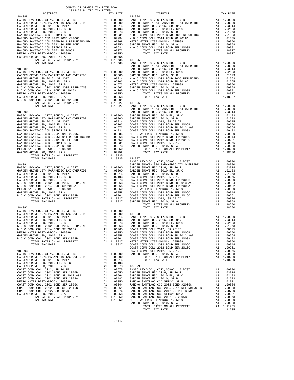| 2018-2019 TRA TAX RATES<br>DISTRICT | TAX RATE       | DISTRICT                                                                                                                                                                                                                                | TAX RATE |
|-------------------------------------|----------------|-----------------------------------------------------------------------------------------------------------------------------------------------------------------------------------------------------------------------------------------|----------|
| $18 - 388$                          |                | $18 - 394$                                                                                                                                                                                                                              |          |
|                                     |                |                                                                                                                                                                                                                                         |          |
|                                     |                |                                                                                                                                                                                                                                         |          |
|                                     |                |                                                                                                                                                                                                                                         |          |
|                                     |                |                                                                                                                                                                                                                                         |          |
|                                     |                |                                                                                                                                                                                                                                         |          |
|                                     |                |                                                                                                                                                                                                                                         |          |
|                                     |                |                                                                                                                                                                                                                                         |          |
|                                     |                |                                                                                                                                                                                                                                         |          |
|                                     |                |                                                                                                                                                                                                                                         |          |
|                                     |                |                                                                                                                                                                                                                                         |          |
|                                     |                |                                                                                                                                                                                                                                         |          |
|                                     |                |                                                                                                                                                                                                                                         |          |
|                                     |                |                                                                                                                                                                                                                                         |          |
|                                     |                |                                                                                                                                                                                                                                         |          |
|                                     |                |                                                                                                                                                                                                                                         |          |
|                                     |                |                                                                                                                                                                                                                                         |          |
|                                     |                |                                                                                                                                                                                                                                         |          |
|                                     |                |                                                                                                                                                                                                                                         |          |
|                                     |                |                                                                                                                                                                                                                                         |          |
|                                     |                |                                                                                                                                                                                                                                         |          |
|                                     |                |                                                                                                                                                                                                                                         |          |
|                                     |                |                                                                                                                                                                                                                                         |          |
|                                     |                |                                                                                                                                                                                                                                         |          |
|                                     |                |                                                                                                                                                                                                                                         |          |
|                                     |                |                                                                                                                                                                                                                                         |          |
|                                     |                |                                                                                                                                                                                                                                         |          |
|                                     |                |                                                                                                                                                                                                                                         |          |
|                                     |                |                                                                                                                                                                                                                                         |          |
|                                     |                |                                                                                                                                                                                                                                         |          |
| TOTAL TAX RATE                      | 1.19735 18-397 |                                                                                                                                                                                                                                         |          |
|                                     |                |                                                                                                                                                                                                                                         |          |
|                                     |                |                                                                                                                                                                                                                                         |          |
|                                     |                |                                                                                                                                                                                                                                         |          |
|                                     |                |                                                                                                                                                                                                                                         |          |
|                                     |                |                                                                                                                                                                                                                                         |          |
|                                     |                |                                                                                                                                                                                                                                         |          |
|                                     |                |                                                                                                                                                                                                                                         |          |
|                                     |                |                                                                                                                                                                                                                                         |          |
|                                     |                |                                                                                                                                                                                                                                         |          |
|                                     |                |                                                                                                                                                                                                                                         |          |
| $18 - 392$                          |                | TOTAL TAX RATE                                                                                                                                                                                                                          | 1.18250  |
|                                     |                |                                                                                                                                                                                                                                         |          |
|                                     |                |                                                                                                                                                                                                                                         |          |
|                                     |                | 19-392<br>RABDEN GROVE-1974 PARAMEDIC TAX OVERRIDE<br>GARDEN GROVE USD 16, SR 2017 A1 1.00000<br>GARDEN GROVE USD 2016, SR 2017 A1 1.00000<br>GARDEN GROVE USD, 2010 EL, SR C A1 .03314<br>A1 .032103 GARDEN GROVE USD 2016, SR 2017 A1 |          |
|                                     |                |                                                                                                                                                                                                                                         |          |
|                                     |                |                                                                                                                                                                                                                                         |          |
|                                     |                |                                                                                                                                                                                                                                         |          |
|                                     |                |                                                                                                                                                                                                                                         |          |
|                                     |                |                                                                                                                                                                                                                                         |          |
|                                     |                |                                                                                                                                                                                                                                         |          |
|                                     |                |                                                                                                                                                                                                                                         |          |
|                                     |                |                                                                                                                                                                                                                                         |          |
|                                     |                |                                                                                                                                                                                                                                         |          |
|                                     |                |                                                                                                                                                                                                                                         |          |
|                                     |                |                                                                                                                                                                                                                                         |          |
|                                     |                |                                                                                                                                                                                                                                         |          |
|                                     |                |                                                                                                                                                                                                                                         |          |
|                                     |                |                                                                                                                                                                                                                                         |          |
|                                     |                |                                                                                                                                                                                                                                         |          |
|                                     |                |                                                                                                                                                                                                                                         |          |
|                                     |                |                                                                                                                                                                                                                                         |          |
|                                     |                |                                                                                                                                                                                                                                         |          |
|                                     |                |                                                                                                                                                                                                                                         |          |
|                                     |                |                                                                                                                                                                                                                                         |          |

COUNTY OF ORANGE TAX RATE BOOK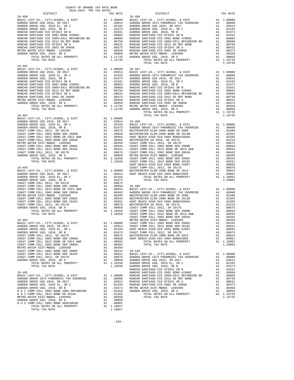| COUNTY OF ORANGE TAX RATE BOOK<br>2018-2019 TRA TAX RATES |          |                                                                                                                                                                                                                                                     |          |  |
|-----------------------------------------------------------|----------|-----------------------------------------------------------------------------------------------------------------------------------------------------------------------------------------------------------------------------------------------------|----------|--|
| DISTRICT                                                  | TAX RATE | DISTRICT                                                                                                                                                                                                                                            | TAX RATE |  |
| $18 - 400$                                                |          | $18 - 406$                                                                                                                                                                                                                                          |          |  |
|                                                           |          |                                                                                                                                                                                                                                                     |          |  |
|                                                           |          |                                                                                                                                                                                                                                                     |          |  |
|                                                           |          |                                                                                                                                                                                                                                                     |          |  |
|                                                           |          |                                                                                                                                                                                                                                                     |          |  |
|                                                           |          |                                                                                                                                                                                                                                                     |          |  |
|                                                           |          |                                                                                                                                                                                                                                                     |          |  |
|                                                           |          |                                                                                                                                                                                                                                                     |          |  |
|                                                           |          |                                                                                                                                                                                                                                                     |          |  |
|                                                           |          | TOTAL TAX RATE                                                                                                                                                                                                                                      | 1.19735  |  |
| $18 - 401$                                                |          |                                                                                                                                                                                                                                                     |          |  |
|                                                           |          |                                                                                                                                                                                                                                                     |          |  |
|                                                           |          |                                                                                                                                                                                                                                                     |          |  |
|                                                           |          |                                                                                                                                                                                                                                                     |          |  |
|                                                           |          |                                                                                                                                                                                                                                                     |          |  |
|                                                           |          |                                                                                                                                                                                                                                                     |          |  |
|                                                           |          |                                                                                                                                                                                                                                                     |          |  |
|                                                           |          |                                                                                                                                                                                                                                                     |          |  |
|                                                           |          |                                                                                                                                                                                                                                                     |          |  |
|                                                           |          |                                                                                                                                                                                                                                                     |          |  |
|                                                           |          | 13.123<br>13.123<br>13.123<br>13.123<br>13.123<br>13.123<br>13.123<br>13.123<br>13.123<br>13.123<br>13.123<br>23.123  23.123  23.123  23.123  23.123  23.123  23.123  23.123  23.123  23.123  23.123  23.123  23.123  23.123  23.123  23.123  23.12 |          |  |
|                                                           |          |                                                                                                                                                                                                                                                     |          |  |
|                                                           |          |                                                                                                                                                                                                                                                     |          |  |
|                                                           |          |                                                                                                                                                                                                                                                     |          |  |
|                                                           |          |                                                                                                                                                                                                                                                     |          |  |
|                                                           |          |                                                                                                                                                                                                                                                     |          |  |
|                                                           |          |                                                                                                                                                                                                                                                     |          |  |
|                                                           |          |                                                                                                                                                                                                                                                     |          |  |
|                                                           |          |                                                                                                                                                                                                                                                     |          |  |
|                                                           |          |                                                                                                                                                                                                                                                     |          |  |
|                                                           |          |                                                                                                                                                                                                                                                     |          |  |
|                                                           |          |                                                                                                                                                                                                                                                     |          |  |
|                                                           |          |                                                                                                                                                                                                                                                     |          |  |
|                                                           |          |                                                                                                                                                                                                                                                     |          |  |
|                                                           |          |                                                                                                                                                                                                                                                     |          |  |
|                                                           |          |                                                                                                                                                                                                                                                     |          |  |
|                                                           |          |                                                                                                                                                                                                                                                     |          |  |
|                                                           |          |                                                                                                                                                                                                                                                     |          |  |
|                                                           |          |                                                                                                                                                                                                                                                     |          |  |
|                                                           |          |                                                                                                                                                                                                                                                     |          |  |
|                                                           |          |                                                                                                                                                                                                                                                     |          |  |
|                                                           |          |                                                                                                                                                                                                                                                     |          |  |
|                                                           |          |                                                                                                                                                                                                                                                     |          |  |
|                                                           |          |                                                                                                                                                                                                                                                     |          |  |
|                                                           |          |                                                                                                                                                                                                                                                     |          |  |
|                                                           |          |                                                                                                                                                                                                                                                     |          |  |
|                                                           |          |                                                                                                                                                                                                                                                     |          |  |
|                                                           |          |                                                                                                                                                                                                                                                     |          |  |
|                                                           |          |                                                                                                                                                                                                                                                     |          |  |
|                                                           |          |                                                                                                                                                                                                                                                     |          |  |
|                                                           |          |                                                                                                                                                                                                                                                     |          |  |
|                                                           |          |                                                                                                                                                                                                                                                     |          |  |
|                                                           |          |                                                                                                                                                                                                                                                     |          |  |
|                                                           |          |                                                                                                                                                                                                                                                     |          |  |
|                                                           |          |                                                                                                                                                                                                                                                     |          |  |
|                                                           |          |                                                                                                                                                                                                                                                     |          |  |
|                                                           |          |                                                                                                                                                                                                                                                     |          |  |
|                                                           |          |                                                                                                                                                                                                                                                     |          |  |
|                                                           |          |                                                                                                                                                                                                                                                     |          |  |
|                                                           |          |                                                                                                                                                                                                                                                     |          |  |
|                                                           |          |                                                                                                                                                                                                                                                     |          |  |
|                                                           |          |                                                                                                                                                                                                                                                     |          |  |
|                                                           |          |                                                                                                                                                                                                                                                     |          |  |
|                                                           |          |                                                                                                                                                                                                                                                     |          |  |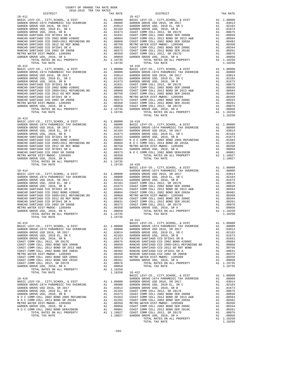| COUNTY OF ORANGE TAX RATE BOOK<br>2018-2019 TPA TAY PATES<br>2018-2019 TRA TAX RATES |          |                        |          |
|--------------------------------------------------------------------------------------|----------|------------------------|----------|
| DISTRICT<br>$18 - 411$                                                               | TAX RATE | DISTRICT<br>$18 - 417$ | TAX RATE |
|                                                                                      |          |                        |          |
|                                                                                      |          |                        |          |
|                                                                                      |          |                        |          |
|                                                                                      |          |                        |          |
|                                                                                      |          |                        |          |
|                                                                                      |          |                        |          |
|                                                                                      |          |                        |          |
|                                                                                      |          |                        |          |
|                                                                                      |          |                        |          |
|                                                                                      |          |                        |          |
|                                                                                      |          |                        |          |
|                                                                                      |          |                        |          |
| $18 - 412$                                                                           |          | $18 - 418$             |          |
|                                                                                      |          |                        |          |
|                                                                                      |          |                        |          |
|                                                                                      |          |                        |          |
|                                                                                      |          |                        |          |
|                                                                                      |          |                        |          |
|                                                                                      |          |                        |          |
|                                                                                      |          |                        |          |
|                                                                                      |          |                        |          |
|                                                                                      |          |                        |          |
|                                                                                      |          |                        |          |
|                                                                                      |          |                        |          |
|                                                                                      |          |                        |          |
|                                                                                      |          | TOTAL TAX RATE         | 1.18250  |
| $18 - 413$                                                                           |          |                        |          |
|                                                                                      |          |                        |          |
|                                                                                      |          |                        |          |
|                                                                                      |          |                        |          |
|                                                                                      |          |                        |          |
|                                                                                      |          |                        |          |
|                                                                                      |          |                        |          |
|                                                                                      |          |                        |          |
|                                                                                      |          |                        |          |
|                                                                                      |          |                        |          |
|                                                                                      |          |                        |          |
|                                                                                      |          |                        |          |
|                                                                                      |          | $18 - 420$             |          |
|                                                                                      |          |                        |          |
|                                                                                      |          |                        |          |
|                                                                                      |          |                        |          |
|                                                                                      |          |                        |          |
|                                                                                      |          |                        |          |
|                                                                                      |          |                        |          |
|                                                                                      |          |                        |          |
|                                                                                      |          |                        |          |
|                                                                                      |          |                        |          |
|                                                                                      |          |                        |          |
|                                                                                      |          |                        |          |
|                                                                                      |          |                        |          |
|                                                                                      |          |                        |          |
|                                                                                      |          | $18 - 421$             |          |
|                                                                                      |          |                        |          |
|                                                                                      |          |                        |          |
|                                                                                      |          |                        |          |
|                                                                                      |          |                        |          |
|                                                                                      |          |                        |          |
|                                                                                      |          |                        |          |
|                                                                                      |          |                        |          |
|                                                                                      |          |                        |          |
|                                                                                      |          |                        |          |
|                                                                                      |          |                        |          |
|                                                                                      |          |                        |          |
|                                                                                      |          |                        |          |
|                                                                                      |          |                        |          |
|                                                                                      |          |                        |          |
|                                                                                      |          |                        |          |
|                                                                                      |          |                        |          |
|                                                                                      |          |                        |          |
|                                                                                      |          |                        |          |
|                                                                                      |          |                        |          |
|                                                                                      |          |                        |          |
|                                                                                      |          |                        |          |
|                                                                                      |          |                        |          |
|                                                                                      |          |                        |          |
|                                                                                      |          |                        |          |
|                                                                                      |          |                        |          |
|                                                                                      |          |                        |          |
|                                                                                      |          |                        |          |
|                                                                                      |          |                        |          |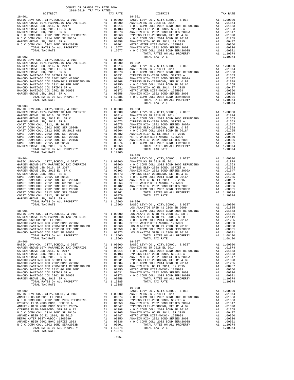| COUNTY OF ORANGE TAX RATE BOOK<br>2018-2019 TRA TAX RATES<br>ינס בסוראות בינסו באבר בארצות בינס ב-2018–2019 הייראות DISTRICT $$\tt 2018-2019$$ TRA TAX RATES |          |                                                                                                                                                                                                                                                                                 |          |
|--------------------------------------------------------------------------------------------------------------------------------------------------------------|----------|---------------------------------------------------------------------------------------------------------------------------------------------------------------------------------------------------------------------------------------------------------------------------------|----------|
|                                                                                                                                                              | TAX RATE | DISTRICT                                                                                                                                                                                                                                                                        | TAX RATE |
|                                                                                                                                                              |          |                                                                                                                                                                                                                                                                                 |          |
|                                                                                                                                                              |          |                                                                                                                                                                                                                                                                                 |          |
|                                                                                                                                                              |          |                                                                                                                                                                                                                                                                                 |          |
|                                                                                                                                                              |          |                                                                                                                                                                                                                                                                                 |          |
|                                                                                                                                                              |          |                                                                                                                                                                                                                                                                                 |          |
|                                                                                                                                                              |          |                                                                                                                                                                                                                                                                                 |          |
|                                                                                                                                                              |          |                                                                                                                                                                                                                                                                                 |          |
|                                                                                                                                                              |          |                                                                                                                                                                                                                                                                                 |          |
|                                                                                                                                                              |          |                                                                                                                                                                                                                                                                                 |          |
|                                                                                                                                                              |          |                                                                                                                                                                                                                                                                                 |          |
|                                                                                                                                                              |          |                                                                                                                                                                                                                                                                                 |          |
|                                                                                                                                                              |          |                                                                                                                                                                                                                                                                                 |          |
|                                                                                                                                                              |          |                                                                                                                                                                                                                                                                                 |          |
|                                                                                                                                                              |          |                                                                                                                                                                                                                                                                                 |          |
|                                                                                                                                                              |          |                                                                                                                                                                                                                                                                                 |          |
|                                                                                                                                                              |          |                                                                                                                                                                                                                                                                                 |          |
|                                                                                                                                                              |          |                                                                                                                                                                                                                                                                                 |          |
|                                                                                                                                                              |          |                                                                                                                                                                                                                                                                                 |          |
|                                                                                                                                                              |          |                                                                                                                                                                                                                                                                                 |          |
|                                                                                                                                                              |          |                                                                                                                                                                                                                                                                                 |          |
| $18 - 903$                                                                                                                                                   |          |                                                                                                                                                                                                                                                                                 |          |
|                                                                                                                                                              |          |                                                                                                                                                                                                                                                                                 |          |
|                                                                                                                                                              |          |                                                                                                                                                                                                                                                                                 |          |
|                                                                                                                                                              |          |                                                                                                                                                                                                                                                                                 |          |
|                                                                                                                                                              |          |                                                                                                                                                                                                                                                                                 |          |
|                                                                                                                                                              |          |                                                                                                                                                                                                                                                                                 |          |
|                                                                                                                                                              |          |                                                                                                                                                                                                                                                                                 |          |
|                                                                                                                                                              |          |                                                                                                                                                                                                                                                                                 |          |
|                                                                                                                                                              |          |                                                                                                                                                                                                                                                                                 |          |
|                                                                                                                                                              |          |                                                                                                                                                                                                                                                                                 |          |
|                                                                                                                                                              | 1.17900  | $19 - 005$                                                                                                                                                                                                                                                                      |          |
|                                                                                                                                                              |          |                                                                                                                                                                                                                                                                                 |          |
|                                                                                                                                                              |          |                                                                                                                                                                                                                                                                                 |          |
|                                                                                                                                                              |          |                                                                                                                                                                                                                                                                                 |          |
|                                                                                                                                                              |          |                                                                                                                                                                                                                                                                                 |          |
|                                                                                                                                                              |          |                                                                                                                                                                                                                                                                                 |          |
|                                                                                                                                                              |          |                                                                                                                                                                                                                                                                                 |          |
|                                                                                                                                                              |          |                                                                                                                                                                                                                                                                                 |          |
|                                                                                                                                                              |          |                                                                                                                                                                                                                                                                                 |          |
|                                                                                                                                                              |          |                                                                                                                                                                                                                                                                                 |          |
|                                                                                                                                                              |          |                                                                                                                                                                                                                                                                                 |          |
|                                                                                                                                                              |          |                                                                                                                                                                                                                                                                                 |          |
|                                                                                                                                                              |          |                                                                                                                                                                                                                                                                                 |          |
|                                                                                                                                                              |          |                                                                                                                                                                                                                                                                                 |          |
|                                                                                                                                                              |          |                                                                                                                                                                                                                                                                                 |          |
|                                                                                                                                                              |          | $\begin{tabular}{cccccccc} 18-904 & 10+0.0000 & 10-0.0000 & 10-0.0000 & 10-0.0000 & 10-0.0000 & 10-0.0000 \\ \hline 18-8045 & 10-0.00000 & 10-0.00000 & 10-0.00000 & 10-0.0000 \\ \hline 18-8040000 & 10-0.00000 & 10-0.00000 & 10-0.00000 \\ \hline 18-8040000 & 10-0.00000 &$ |          |
|                                                                                                                                                              |          |                                                                                                                                                                                                                                                                                 |          |
|                                                                                                                                                              |          |                                                                                                                                                                                                                                                                                 |          |
|                                                                                                                                                              |          |                                                                                                                                                                                                                                                                                 |          |
|                                                                                                                                                              |          |                                                                                                                                                                                                                                                                                 |          |
|                                                                                                                                                              |          |                                                                                                                                                                                                                                                                                 |          |
|                                                                                                                                                              |          |                                                                                                                                                                                                                                                                                 |          |
|                                                                                                                                                              |          |                                                                                                                                                                                                                                                                                 |          |
|                                                                                                                                                              |          |                                                                                                                                                                                                                                                                                 |          |
|                                                                                                                                                              |          |                                                                                                                                                                                                                                                                                 |          |
|                                                                                                                                                              |          |                                                                                                                                                                                                                                                                                 |          |
|                                                                                                                                                              |          |                                                                                                                                                                                                                                                                                 |          |
|                                                                                                                                                              |          |                                                                                                                                                                                                                                                                                 |          |
|                                                                                                                                                              |          |                                                                                                                                                                                                                                                                                 |          |
|                                                                                                                                                              |          |                                                                                                                                                                                                                                                                                 |          |
|                                                                                                                                                              |          |                                                                                                                                                                                                                                                                                 |          |
|                                                                                                                                                              |          |                                                                                                                                                                                                                                                                                 |          |
|                                                                                                                                                              |          |                                                                                                                                                                                                                                                                                 |          |
|                                                                                                                                                              |          |                                                                                                                                                                                                                                                                                 |          |
|                                                                                                                                                              |          |                                                                                                                                                                                                                                                                                 |          |
|                                                                                                                                                              |          |                                                                                                                                                                                                                                                                                 |          |
|                                                                                                                                                              |          |                                                                                                                                                                                                                                                                                 |          |
|                                                                                                                                                              |          |                                                                                                                                                                                                                                                                                 |          |
|                                                                                                                                                              |          |                                                                                                                                                                                                                                                                                 |          |
|                                                                                                                                                              |          |                                                                                                                                                                                                                                                                                 |          |
|                                                                                                                                                              |          |                                                                                                                                                                                                                                                                                 |          |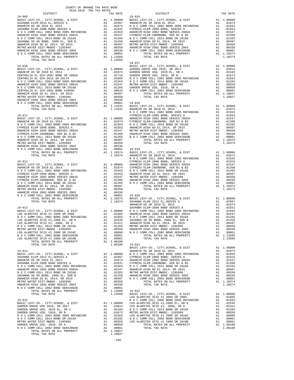| <b>The contract of the contract of the contract of the contract of the contract of the contract of the contract of the contract of the contract of the contract of the contract of the contract of the contract of the contract</b>                                                                                                                                                            |  |
|------------------------------------------------------------------------------------------------------------------------------------------------------------------------------------------------------------------------------------------------------------------------------------------------------------------------------------------------------------------------------------------------|--|
|                                                                                                                                                                                                                                                                                                                                                                                                |  |
|                                                                                                                                                                                                                                                                                                                                                                                                |  |
|                                                                                                                                                                                                                                                                                                                                                                                                |  |
|                                                                                                                                                                                                                                                                                                                                                                                                |  |
|                                                                                                                                                                                                                                                                                                                                                                                                |  |
|                                                                                                                                                                                                                                                                                                                                                                                                |  |
|                                                                                                                                                                                                                                                                                                                                                                                                |  |
|                                                                                                                                                                                                                                                                                                                                                                                                |  |
|                                                                                                                                                                                                                                                                                                                                                                                                |  |
|                                                                                                                                                                                                                                                                                                                                                                                                |  |
|                                                                                                                                                                                                                                                                                                                                                                                                |  |
|                                                                                                                                                                                                                                                                                                                                                                                                |  |
|                                                                                                                                                                                                                                                                                                                                                                                                |  |
|                                                                                                                                                                                                                                                                                                                                                                                                |  |
|                                                                                                                                                                                                                                                                                                                                                                                                |  |
|                                                                                                                                                                                                                                                                                                                                                                                                |  |
|                                                                                                                                                                                                                                                                                                                                                                                                |  |
|                                                                                                                                                                                                                                                                                                                                                                                                |  |
|                                                                                                                                                                                                                                                                                                                                                                                                |  |
|                                                                                                                                                                                                                                                                                                                                                                                                |  |
| $\begin{tabular}{l c c c c c} \hline \texttt{TCTL} & \texttt{RTRS} & \texttt{NRL} & \texttt{PROBERT} & \texttt{A1} & 1.13509 & 19-022 & \texttt{MSE} & \texttt{LEVY-C0.}, \texttt{CITY}, \texttt{SCHOOL}, & \texttt{E DIST} & \texttt{A1} & 1.00000 & \texttt{DSS RAMNTOS SFD} & \texttt{H1} & 2008 S\texttt{R} & 2019 & \texttt{A1} & .01885 & \texttt{DSS RUMDTS} & \texttt{SFD} & \texttt{$ |  |

-196-

|                  | $19 - 016$                                                                                                                                                                                                                                                                                                                                                                                                              |          |                                                    |
|------------------|-------------------------------------------------------------------------------------------------------------------------------------------------------------------------------------------------------------------------------------------------------------------------------------------------------------------------------------------------------------------------------------------------------------------------|----------|----------------------------------------------------|
|                  | 00000 BASIC LEVY-CO., CITY, SCHOOL, & DIST<br>.020000 BASIC LEVY-CO., CITY, SCHOOL, & DIST<br>.02997 ANAHEIM HS SR 2018 EL 2014<br>.01831 CYPRESS ELEM-2008 BOND, SERIES A<br>.01563 ANAHEIM HIGH 2002 BOND SERIES 2002A<br>.01563 AN                                                                                                                                                                                   | A1<br>A1 | 1.0000                                             |
|                  |                                                                                                                                                                                                                                                                                                                                                                                                                         | A1       | .0187<br>.0156                                     |
|                  |                                                                                                                                                                                                                                                                                                                                                                                                                         | A1       | .0155                                              |
|                  |                                                                                                                                                                                                                                                                                                                                                                                                                         | A1       | .0154                                              |
|                  |                                                                                                                                                                                                                                                                                                                                                                                                                         | A1       | .0139                                              |
|                  |                                                                                                                                                                                                                                                                                                                                                                                                                         |          | 0126 A1<br>0048 A1<br>0035 A1                      |
|                  |                                                                                                                                                                                                                                                                                                                                                                                                                         |          | .0035                                              |
|                  |                                                                                                                                                                                                                                                                                                                                                                                                                         |          | A1 .0033<br>A1 .0000                               |
| .00001           | TOTAL RATES ON ALL PROPERTY                                                                                                                                                                                                                                                                                                                                                                                             | A1       | 1.1037                                             |
| 13509            | TOTAL TAX RATE                                                                                                                                                                                                                                                                                                                                                                                                          |          | 1.1037                                             |
| 13509            | $19 - 017$                                                                                                                                                                                                                                                                                                                                                                                                              |          |                                                    |
|                  | BASIC LEVY-CO., CITY, SCHOOL, & DIST                                                                                                                                                                                                                                                                                                                                                                                    | A1       | 1.0000                                             |
|                  |                                                                                                                                                                                                                                                                                                                                                                                                                         |          | .0301                                              |
|                  |                                                                                                                                                                                                                                                                                                                                                                                                                         |          | .0210                                              |
|                  |                                                                                                                                                                                                                                                                                                                                                                                                                         |          | .0167<br>.0156                                     |
|                  |                                                                                                                                                                                                                                                                                                                                                                                                                         |          | .0126                                              |
|                  |                                                                                                                                                                                                                                                                                                                                                                                                                         |          | 11.0035<br>0005.14.1<br>0000.11.                   |
|                  |                                                                                                                                                                                                                                                                                                                                                                                                                         |          |                                                    |
|                  |                                                                                                                                                                                                                                                                                                                                                                                                                         |          | A1 1.1002                                          |
|                  |                                                                                                                                                                                                                                                                                                                                                                                                                         |          | 1.1002                                             |
| .00336<br>.00001 | $19 - 018$                                                                                                                                                                                                                                                                                                                                                                                                              |          |                                                    |
|                  | 00001 PASIC LEVY-CO., CITY, SCHOOL, & DIST<br>11631 ANAHEIM HS SR 2018 EL 2014<br>N O C COMM COLL 2002 BOND 2005 REFUNDING<br>N O COMM COLL 2002 DOND CERTER A                                                                                                                                                                                                                                                          | A1       | 1.0000                                             |
|                  |                                                                                                                                                                                                                                                                                                                                                                                                                         | A1       | .0187                                              |
|                  |                                                                                                                                                                                                                                                                                                                                                                                                                         | A1       | .0156                                              |
|                  | CYPRESS ELEM-2008 BOND, SERIES A                                                                                                                                                                                                                                                                                                                                                                                        | A1<br>A1 | .0155<br>.0154                                     |
|                  | 00000 ANAHEIM HIGH 2002 BOND, SERIES 2002A<br>.010000 ANAHEIM HIGH 2002 BOND SERIES 2002A<br>.01874 CYPRESS ELEM-2008BOND, SER B1 & B2<br>.01563 NOC COMM COLL 2014 BOND SR 2015A<br>.01553 NAMEIM HIGH GO EL 2014, SR 2015<br>.01547                                                                                                                                                                                   | A1       | .0139                                              |
|                  |                                                                                                                                                                                                                                                                                                                                                                                                                         | A1       | .0126                                              |
|                  |                                                                                                                                                                                                                                                                                                                                                                                                                         | A1       | 0048.<br>0035.<br>0035.                            |
|                  |                                                                                                                                                                                                                                                                                                                                                                                                                         |          | A1 .0035<br>A1 .0035<br>A1 .0000<br>A1 1.1037      |
|                  |                                                                                                                                                                                                                                                                                                                                                                                                                         |          |                                                    |
|                  |                                                                                                                                                                                                                                                                                                                                                                                                                         |          | 1.1037                                             |
| .00336           |                                                                                                                                                                                                                                                                                                                                                                                                                         |          |                                                    |
| .00001           | $19 - 019$                                                                                                                                                                                                                                                                                                                                                                                                              |          |                                                    |
|                  | $\begin{tabular}{c c c c} \multicolumn{2}{c}{\begin{tabular}{c} $N$ O $C$ & $,$ $\alpha$ & $\omega$ 138 E1 $2014$ \\ \hline $N$ O $C$ & $COMM$ & $CDLL$ & $2002$ BOND $2005$ & REFUNDING \\ \hline CYPRESS{ ELEM$ & $2003$ BOND, SERIES $2$ \\ .01874 & $CYPRESS{ ELEM$ & $2002BOND, SER IS $\& $B2$ \\ .01874 & $CYPRESS{ EEM$ & $2008BOND, SER IS $\& $B2$ \\ .01874 & $C$ & $COMM$ & $C$                             | A1       | 1.0000                                             |
|                  |                                                                                                                                                                                                                                                                                                                                                                                                                         | A1<br>A1 | .0187<br>.0156                                     |
|                  |                                                                                                                                                                                                                                                                                                                                                                                                                         | A1       | .0155                                              |
|                  |                                                                                                                                                                                                                                                                                                                                                                                                                         | A1       | .0154                                              |
|                  |                                                                                                                                                                                                                                                                                                                                                                                                                         | A1       | .0139                                              |
|                  |                                                                                                                                                                                                                                                                                                                                                                                                                         |          | 1.0126<br>0.0126<br>A1.0035<br>A1.0035<br>A1.11000 |
|                  |                                                                                                                                                                                                                                                                                                                                                                                                                         |          |                                                    |
|                  |                                                                                                                                                                                                                                                                                                                                                                                                                         |          |                                                    |
|                  |                                                                                                                                                                                                                                                                                                                                                                                                                         |          | A1 1.1037                                          |
|                  |                                                                                                                                                                                                                                                                                                                                                                                                                         |          | 1.1037                                             |
| .00336           |                                                                                                                                                                                                                                                                                                                                                                                                                         |          |                                                    |
| .00001           | $19 - 020$                                                                                                                                                                                                                                                                                                                                                                                                              | A1       | 1.0000                                             |
|                  | 00001 19-020<br>10374 BASIC LEVY-CO., CITY, SCHOOL, & DIST<br>10374 SAVANNA ELEM-2012 EL, SERIES A<br>ANAHEIM HS SR 2018 EL 2014                                                                                                                                                                                                                                                                                        | A1       | .0299                                              |
|                  | ANAHEIM HS SR 2018 EL 2014                                                                                                                                                                                                                                                                                                                                                                                              | A1       | .0187                                              |
|                  | SAVANNA ELEM-2008 BOND SERIES A                                                                                                                                                                                                                                                                                                                                                                                         | A1<br>A1 | .0183<br>.0156                                     |
|                  |                                                                                                                                                                                                                                                                                                                                                                                                                         | A1       | .0154                                              |
|                  |                                                                                                                                                                                                                                                                                                                                                                                                                         | A1       | .0126                                              |
|                  | 00000 NOC COMM ELEM-2008 BOND SERTES A<br>00000 NOC COMM COLL 2002 BOND 2005 REFUNDING<br>.01885 NNAHEIM HIGH 2002 BOND SERIES 2002A<br>.01536 SAVANNA SD GO BOND, 2008 EL, SER B<br>.01536 SAVANNA SD GO BOND, 2008 EL, SER B<br>.0                                                                                                                                                                                    | A1<br>A1 | .0125                                              |
|                  |                                                                                                                                                                                                                                                                                                                                                                                                                         | A1       | 0048.<br>0035.                                     |
|                  | .00350 ANAHEIM HIGH 2002 BOND SERIES 2003<br>.00088 NOCCOMM COLL 2002 BOND SER#2003B                                                                                                                                                                                                                                                                                                                                    |          | A1 .0033                                           |
|                  |                                                                                                                                                                                                                                                                                                                                                                                                                         |          | A1 .0000                                           |
| .00001<br>.00001 | TOTAL RATES ON ALL PROPERTY<br>TOTAL TAX RATE                                                                                                                                                                                                                                                                                                                                                                           |          | A1 1.1350<br>1.1350                                |
| 08100            |                                                                                                                                                                                                                                                                                                                                                                                                                         |          |                                                    |
| 08100            | $19 - 021$                                                                                                                                                                                                                                                                                                                                                                                                              |          |                                                    |
|                  | BASIC LEVY-CO., CITY, SCHOOL, & DIST<br>ANAHEIM HS SR 2018 EL 2014                                                                                                                                                                                                                                                                                                                                                      | A1<br>A1 | 1.0000<br>.0187                                    |
|                  |                                                                                                                                                                                                                                                                                                                                                                                                                         | A1       | .0156                                              |
|                  |                                                                                                                                                                                                                                                                                                                                                                                                                         | A1       | .0155                                              |
|                  | $\begin{tabular}{ c c c c} \multicolumn{2}{c}{\textbf{ANAEEM HIS S R 2018 EL 2012 2001 2005 REFUNDING}} \\ \multicolumn{2}{c}{\textbf{10000}} & \multicolumn{2}{c}{\textbf{N O C C oMM CO}}\textbf{COL 1 2002 BOND 2005 REFUNDING} \\ \multicolumn{2}{c}{\textbf{10874}} & \multicolumn{2}{c}{\textbf{NINRE I S R L EM-2008 BOND SERIES 2002A}} \\ \multicolumn{2}{c}{\textbf{10831}} & \multicolumn{2}{c}{\textbf{NIN$ | A1<br>A1 | .0154<br>.0139                                     |
|                  |                                                                                                                                                                                                                                                                                                                                                                                                                         | A1       | .0126                                              |
|                  |                                                                                                                                                                                                                                                                                                                                                                                                                         | A1       | .0048                                              |
|                  |                                                                                                                                                                                                                                                                                                                                                                                                                         | A1       | .0035                                              |
|                  |                                                                                                                                                                                                                                                                                                                                                                                                                         | A1<br>A1 | .0033<br>.0000                                     |
| .00350           | TOTAL RATES ON ALL PROPERTY                                                                                                                                                                                                                                                                                                                                                                                             |          | A1 1.1037                                          |
| .00336           | TOTAL TAX RATE                                                                                                                                                                                                                                                                                                                                                                                                          |          | 1.1037                                             |
| .00001           | $19 - 022$                                                                                                                                                                                                                                                                                                                                                                                                              |          |                                                    |
| 13509<br>13509   | BASIC LEVY-CO., CITY, SCHOOL, & DIST                                                                                                                                                                                                                                                                                                                                                                                    | A1       | 1.0000                                             |
|                  | LOS ALAMITOS SFID #1 2008 SR 2009                                                                                                                                                                                                                                                                                                                                                                                       | A1       | .0188                                              |
|                  | N O C COMM COLL 2002 BOND 2005 REFUNDING                                                                                                                                                                                                                                                                                                                                                                                | A1       | .0156                                              |
|                  |                                                                                                                                                                                                                                                                                                                                                                                                                         | A1<br>A1 | .0153<br>.0141                                     |
|                  |                                                                                                                                                                                                                                                                                                                                                                                                                         | A1       | .0126                                              |
|                  |                                                                                                                                                                                                                                                                                                                                                                                                                         | A1       | .0035                                              |
|                  |                                                                                                                                                                                                                                                                                                                                                                                                                         | A1       | .0008                                              |
|                  | 00000 NOS ALAMITOS STID #1, 2008 EL, SR E<br>00000 NOS ALAMITOS STID #1, 2008 EL, SR E<br>.021014 NO C COMM COLL 2014 BOND SR 2016A<br>.01673 METRO WATER DIST-MWDOC- 1205999<br>.01563 NOS ALAMITOS STID #1 2008 SR 2010C<br>.0156                                                                                                                                                                                     | A1<br>A1 | .0000<br>.0000                                     |
| $.00058$ .       | TOTAL RATES ON ALL PROPERTY                                                                                                                                                                                                                                                                                                                                                                                             |          | A1 1.0810                                          |
|                  | TOTAL TAX RATE                                                                                                                                                                                                                                                                                                                                                                                                          |          | 1 0810                                             |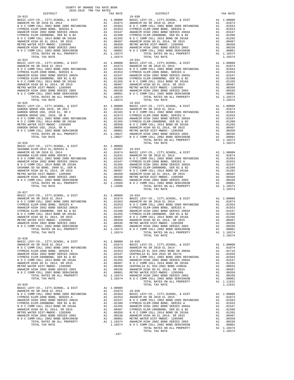| $19 - 023$                                                                                                                                                                                                                                                                                                                                                                                                                               |         | $19 - 030$ |
|------------------------------------------------------------------------------------------------------------------------------------------------------------------------------------------------------------------------------------------------------------------------------------------------------------------------------------------------------------------------------------------------------------------------------------------|---------|------------|
|                                                                                                                                                                                                                                                                                                                                                                                                                                          |         |            |
|                                                                                                                                                                                                                                                                                                                                                                                                                                          |         |            |
|                                                                                                                                                                                                                                                                                                                                                                                                                                          |         |            |
|                                                                                                                                                                                                                                                                                                                                                                                                                                          |         |            |
|                                                                                                                                                                                                                                                                                                                                                                                                                                          |         |            |
|                                                                                                                                                                                                                                                                                                                                                                                                                                          |         |            |
|                                                                                                                                                                                                                                                                                                                                                                                                                                          |         |            |
|                                                                                                                                                                                                                                                                                                                                                                                                                                          |         |            |
| TOTAL TAX RATE                                                                                                                                                                                                                                                                                                                                                                                                                           | 1.10374 |            |
| $19 - 024$                                                                                                                                                                                                                                                                                                                                                                                                                               |         | 19-031     |
|                                                                                                                                                                                                                                                                                                                                                                                                                                          |         |            |
|                                                                                                                                                                                                                                                                                                                                                                                                                                          |         |            |
|                                                                                                                                                                                                                                                                                                                                                                                                                                          |         |            |
|                                                                                                                                                                                                                                                                                                                                                                                                                                          |         |            |
|                                                                                                                                                                                                                                                                                                                                                                                                                                          |         |            |
|                                                                                                                                                                                                                                                                                                                                                                                                                                          |         |            |
|                                                                                                                                                                                                                                                                                                                                                                                                                                          |         |            |
|                                                                                                                                                                                                                                                                                                                                                                                                                                          |         |            |
|                                                                                                                                                                                                                                                                                                                                                                                                                                          |         |            |
| TOTAL TAX RATE<br>$19 - 025$                                                                                                                                                                                                                                                                                                                                                                                                             | 1.10374 | $19 - 032$ |
|                                                                                                                                                                                                                                                                                                                                                                                                                                          |         |            |
|                                                                                                                                                                                                                                                                                                                                                                                                                                          |         |            |
|                                                                                                                                                                                                                                                                                                                                                                                                                                          |         |            |
|                                                                                                                                                                                                                                                                                                                                                                                                                                          |         |            |
|                                                                                                                                                                                                                                                                                                                                                                                                                                          |         |            |
|                                                                                                                                                                                                                                                                                                                                                                                                                                          |         |            |
|                                                                                                                                                                                                                                                                                                                                                                                                                                          |         |            |
|                                                                                                                                                                                                                                                                                                                                                                                                                                          |         |            |
|                                                                                                                                                                                                                                                                                                                                                                                                                                          |         |            |
| $19 - 026$                                                                                                                                                                                                                                                                                                                                                                                                                               |         |            |
|                                                                                                                                                                                                                                                                                                                                                                                                                                          |         |            |
|                                                                                                                                                                                                                                                                                                                                                                                                                                          |         |            |
|                                                                                                                                                                                                                                                                                                                                                                                                                                          |         |            |
|                                                                                                                                                                                                                                                                                                                                                                                                                                          |         |            |
|                                                                                                                                                                                                                                                                                                                                                                                                                                          |         |            |
|                                                                                                                                                                                                                                                                                                                                                                                                                                          |         |            |
|                                                                                                                                                                                                                                                                                                                                                                                                                                          |         |            |
|                                                                                                                                                                                                                                                                                                                                                                                                                                          |         |            |
|                                                                                                                                                                                                                                                                                                                                                                                                                                          |         |            |
| TOTAL TAX RATE                                                                                                                                                                                                                                                                                                                                                                                                                           | 1.13509 |            |
| $19 - 027$                                                                                                                                                                                                                                                                                                                                                                                                                               |         |            |
|                                                                                                                                                                                                                                                                                                                                                                                                                                          |         |            |
|                                                                                                                                                                                                                                                                                                                                                                                                                                          |         |            |
|                                                                                                                                                                                                                                                                                                                                                                                                                                          |         |            |
|                                                                                                                                                                                                                                                                                                                                                                                                                                          |         |            |
|                                                                                                                                                                                                                                                                                                                                                                                                                                          |         |            |
|                                                                                                                                                                                                                                                                                                                                                                                                                                          |         |            |
|                                                                                                                                                                                                                                                                                                                                                                                                                                          |         |            |
|                                                                                                                                                                                                                                                                                                                                                                                                                                          |         |            |
|                                                                                                                                                                                                                                                                                                                                                                                                                                          |         |            |
| $\begin{tabular}{l c c c c} \multicolumn{1}{c}{\textbf{BASIC LEVY-CO. , CITY, SCHOOL, $\&$ DIST$} & \multicolumn{1}{c}{\textbf{A1}} & 1.00000} & 19-034 \\ \multicolumn{1}{c}{\textbf{ANARIEN HS SR 2018 EL 2014 }} & \multicolumn{1}{c}{\textbf{A1}} & .01874} & \multicolumn{1}{c}{\textbf{BASIC L}} \\ \multicolumn{1}{c}{\textbf{N O C COMM COLL 2008 BOND SROIS RETEA}} & \multicolumn{1}{c}{\textbf{A1}} & .018$<br>TOTAL TAX RATE | 1.10374 |            |
| $19 - 028$                                                                                                                                                                                                                                                                                                                                                                                                                               |         |            |
|                                                                                                                                                                                                                                                                                                                                                                                                                                          |         |            |
|                                                                                                                                                                                                                                                                                                                                                                                                                                          |         |            |
|                                                                                                                                                                                                                                                                                                                                                                                                                                          |         |            |
|                                                                                                                                                                                                                                                                                                                                                                                                                                          |         |            |
|                                                                                                                                                                                                                                                                                                                                                                                                                                          |         |            |
|                                                                                                                                                                                                                                                                                                                                                                                                                                          |         |            |
|                                                                                                                                                                                                                                                                                                                                                                                                                                          |         |            |
|                                                                                                                                                                                                                                                                                                                                                                                                                                          |         |            |
|                                                                                                                                                                                                                                                                                                                                                                                                                                          |         |            |
|                                                                                                                                                                                                                                                                                                                                                                                                                                          |         |            |
|                                                                                                                                                                                                                                                                                                                                                                                                                                          |         |            |
| $19 - 029$                                                                                                                                                                                                                                                                                                                                                                                                                               |         |            |
|                                                                                                                                                                                                                                                                                                                                                                                                                                          |         |            |
|                                                                                                                                                                                                                                                                                                                                                                                                                                          |         |            |
|                                                                                                                                                                                                                                                                                                                                                                                                                                          |         |            |
|                                                                                                                                                                                                                                                                                                                                                                                                                                          |         |            |
|                                                                                                                                                                                                                                                                                                                                                                                                                                          |         |            |
|                                                                                                                                                                                                                                                                                                                                                                                                                                          |         |            |
|                                                                                                                                                                                                                                                                                                                                                                                                                                          |         |            |
|                                                                                                                                                                                                                                                                                                                                                                                                                                          |         |            |
|                                                                                                                                                                                                                                                                                                                                                                                                                                          |         |            |
|                                                                                                                                                                                                                                                                                                                                                                                                                                          |         |            |

| DISTRICT   | AUIU-AUIS INA IAA NAIBU | TAX RATE | TE<br>19-030<br>DISTRICT                                                                                                                                                                                                                                                                                                                                                                                                   | TAX RATE |
|------------|-------------------------|----------|----------------------------------------------------------------------------------------------------------------------------------------------------------------------------------------------------------------------------------------------------------------------------------------------------------------------------------------------------------------------------------------------------------------------------|----------|
| $19 - 023$ |                         |          |                                                                                                                                                                                                                                                                                                                                                                                                                            |          |
|            |                         |          |                                                                                                                                                                                                                                                                                                                                                                                                                            |          |
|            |                         |          | $\begin{tabular}{cccccccc} 19-023 & 19-023 & 19-023 & 19-020 & 19-020 & 19-020 & 19-020 & 19-020 & 19-020 & 19-020 & 19-020 & 19-020 & 19-020 & 19-020 & 19-020 & 19-020 & 19-020 & 19-020 & 19-020 & 19-020 & 19-020 & 19-020 & 19-020 & 19-020 & 19-020 & 19-020 & 19$                                                                                                                                                   |          |
|            |                         |          |                                                                                                                                                                                                                                                                                                                                                                                                                            |          |
|            |                         |          |                                                                                                                                                                                                                                                                                                                                                                                                                            |          |
|            |                         |          | A COMM COLL 2002 BOND SER#2003B A 1 .00001 ANAHEIM HIGH 2002 BOND SERIES 2003<br>TOTAL RATES ON ALL PROPERTY A 1 .10374 N O C COMM COLL 2002 BOND SER#2003B A 1 .00001<br>TOTAL TAX RATE 1.10374 N O C COMM COLL 2002 BOND SERIES ON                                                                                                                                                                                       |          |
| $19 - 028$ |                         |          |                                                                                                                                                                                                                                                                                                                                                                                                                            |          |
|            |                         |          | $\begin{tabular}{l c c c} \multicolumn{4}{c}{\textbf{19--029}} & \multicolumn{4}{c}{\textbf{19--020}} & \multicolumn{4}{c}{\textbf{19--020}} & \multicolumn{4}{c}{\textbf{19--036}} & \multicolumn{4}{c}{\textbf{10--036}} & \multicolumn{4}{c}{\textbf{10--036}} & \multicolumn{4}{c}{\textbf{10--036}} & \multicolumn{4}{c}{\textbf{10--036}} & \multicolumn{4}{c}{\textbf{10--036}} & \multicolumn{4}{c}{\textbf{10--0$ |          |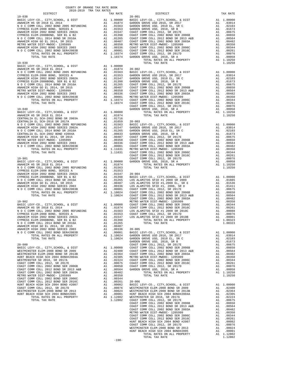| COUNTY OF ORANGE TAX RATE BOOK<br>2018-2019 TRA TAX RATES                                                                                                                                                                                                                                                          |          |                |          |
|--------------------------------------------------------------------------------------------------------------------------------------------------------------------------------------------------------------------------------------------------------------------------------------------------------------------|----------|----------------|----------|
|                                                                                                                                                                                                                                                                                                                    | TAX RATE | DISTRICT       | TAX RATE |
| $19 - 038$                                                                                                                                                                                                                                                                                                         |          | $20 - 001$     |          |
|                                                                                                                                                                                                                                                                                                                    |          |                |          |
|                                                                                                                                                                                                                                                                                                                    |          |                |          |
|                                                                                                                                                                                                                                                                                                                    |          |                |          |
|                                                                                                                                                                                                                                                                                                                    |          |                |          |
|                                                                                                                                                                                                                                                                                                                    |          |                |          |
|                                                                                                                                                                                                                                                                                                                    |          |                |          |
|                                                                                                                                                                                                                                                                                                                    |          |                |          |
|                                                                                                                                                                                                                                                                                                                    |          |                |          |
|                                                                                                                                                                                                                                                                                                                    |          |                |          |
|                                                                                                                                                                                                                                                                                                                    |          |                |          |
| $19 - 039$                                                                                                                                                                                                                                                                                                         |          | TOTAL TAX RATE | 1.10250  |
|                                                                                                                                                                                                                                                                                                                    |          |                |          |
|                                                                                                                                                                                                                                                                                                                    |          |                |          |
|                                                                                                                                                                                                                                                                                                                    |          |                |          |
|                                                                                                                                                                                                                                                                                                                    |          |                |          |
|                                                                                                                                                                                                                                                                                                                    |          |                |          |
|                                                                                                                                                                                                                                                                                                                    |          |                |          |
|                                                                                                                                                                                                                                                                                                                    |          |                |          |
|                                                                                                                                                                                                                                                                                                                    |          |                |          |
|                                                                                                                                                                                                                                                                                                                    |          |                |          |
|                                                                                                                                                                                                                                                                                                                    |          |                |          |
|                                                                                                                                                                                                                                                                                                                    |          |                |          |
|                                                                                                                                                                                                                                                                                                                    |          |                |          |
|                                                                                                                                                                                                                                                                                                                    |          |                |          |
|                                                                                                                                                                                                                                                                                                                    |          |                |          |
|                                                                                                                                                                                                                                                                                                                    |          |                |          |
|                                                                                                                                                                                                                                                                                                                    |          |                |          |
|                                                                                                                                                                                                                                                                                                                    |          |                |          |
|                                                                                                                                                                                                                                                                                                                    |          |                |          |
|                                                                                                                                                                                                                                                                                                                    |          |                |          |
|                                                                                                                                                                                                                                                                                                                    |          |                |          |
|                                                                                                                                                                                                                                                                                                                    |          |                |          |
|                                                                                                                                                                                                                                                                                                                    |          |                |          |
|                                                                                                                                                                                                                                                                                                                    |          |                |          |
|                                                                                                                                                                                                                                                                                                                    |          |                |          |
|                                                                                                                                                                                                                                                                                                                    |          |                |          |
|                                                                                                                                                                                                                                                                                                                    |          |                |          |
|                                                                                                                                                                                                                                                                                                                    |          |                |          |
|                                                                                                                                                                                                                                                                                                                    |          |                |          |
|                                                                                                                                                                                                                                                                                                                    |          |                |          |
|                                                                                                                                                                                                                                                                                                                    |          |                |          |
|                                                                                                                                                                                                                                                                                                                    |          |                |          |
|                                                                                                                                                                                                                                                                                                                    |          |                |          |
|                                                                                                                                                                                                                                                                                                                    |          |                |          |
|                                                                                                                                                                                                                                                                                                                    |          |                |          |
|                                                                                                                                                                                                                                                                                                                    |          |                |          |
|                                                                                                                                                                                                                                                                                                                    |          |                |          |
|                                                                                                                                                                                                                                                                                                                    |          |                |          |
| $\begin{tabular}{ c  c  c } \hline & $1119 & $1119 & $1119 & $1119 & $1119 & $1119 & $1119 & $1119 & $1119 & $1119 & $1119 & $1119 & $1119 & $1119 & $1119 & $1119 & $1119 & $1119 & $1119 & $1119 & $1119 & $1119 & $1119 & $1119 & $1119 & $1119 & $1119 & $1119 & $1119 & $1119 & $1119 & $1119 & $1119 & $111$ |          |                |          |
|                                                                                                                                                                                                                                                                                                                    |          |                |          |
|                                                                                                                                                                                                                                                                                                                    |          |                |          |
|                                                                                                                                                                                                                                                                                                                    |          |                |          |
|                                                                                                                                                                                                                                                                                                                    |          |                |          |
|                                                                                                                                                                                                                                                                                                                    |          |                |          |
|                                                                                                                                                                                                                                                                                                                    |          |                |          |
|                                                                                                                                                                                                                                                                                                                    |          |                |          |
|                                                                                                                                                                                                                                                                                                                    |          |                |          |
|                                                                                                                                                                                                                                                                                                                    |          |                |          |
|                                                                                                                                                                                                                                                                                                                    |          |                |          |
|                                                                                                                                                                                                                                                                                                                    |          |                |          |
|                                                                                                                                                                                                                                                                                                                    |          |                |          |
|                                                                                                                                                                                                                                                                                                                    |          |                |          |
|                                                                                                                                                                                                                                                                                                                    |          |                |          |
|                                                                                                                                                                                                                                                                                                                    |          |                |          |
|                                                                                                                                                                                                                                                                                                                    |          |                |          |
|                                                                                                                                                                                                                                                                                                                    |          |                |          |
|                                                                                                                                                                                                                                                                                                                    |          |                |          |
|                                                                                                                                                                                                                                                                                                                    |          |                |          |
|                                                                                                                                                                                                                                                                                                                    |          |                |          |
|                                                                                                                                                                                                                                                                                                                    |          |                |          |
|                                                                                                                                                                                                                                                                                                                    |          |                |          |
|                                                                                                                                                                                                                                                                                                                    |          |                |          |
|                                                                                                                                                                                                                                                                                                                    |          |                |          |
|                                                                                                                                                                                                                                                                                                                    |          |                |          |
|                                                                                                                                                                                                                                                                                                                    |          |                |          |
|                                                                                                                                                                                                                                                                                                                    |          |                |          |

-198-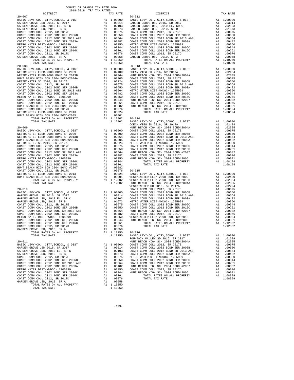| ---------<br>$20 - 007$                                                                                             |                | <b>TAN WATER</b>                                                                                                                                                                                                                                                         | $20 - 012$         |
|---------------------------------------------------------------------------------------------------------------------|----------------|--------------------------------------------------------------------------------------------------------------------------------------------------------------------------------------------------------------------------------------------------------------------------|--------------------|
|                                                                                                                     |                |                                                                                                                                                                                                                                                                          |                    |
|                                                                                                                     |                |                                                                                                                                                                                                                                                                          |                    |
|                                                                                                                     |                |                                                                                                                                                                                                                                                                          |                    |
|                                                                                                                     |                |                                                                                                                                                                                                                                                                          |                    |
|                                                                                                                     |                |                                                                                                                                                                                                                                                                          |                    |
|                                                                                                                     |                |                                                                                                                                                                                                                                                                          |                    |
|                                                                                                                     |                |                                                                                                                                                                                                                                                                          |                    |
|                                                                                                                     |                |                                                                                                                                                                                                                                                                          |                    |
|                                                                                                                     |                |                                                                                                                                                                                                                                                                          |                    |
|                                                                                                                     |                |                                                                                                                                                                                                                                                                          |                    |
|                                                                                                                     |                |                                                                                                                                                                                                                                                                          |                    |
|                                                                                                                     |                |                                                                                                                                                                                                                                                                          |                    |
| TOTAL RATES ON ALL PROPERTY                                                                                         |                | A1 1.10250                                                                                                                                                                                                                                                               |                    |
| TOTAL TAX RATE                                                                                                      |                | 1.10250                                                                                                                                                                                                                                                                  |                    |
| $20 - 008$                                                                                                          |                |                                                                                                                                                                                                                                                                          | $20 - 013$         |
|                                                                                                                     |                |                                                                                                                                                                                                                                                                          |                    |
|                                                                                                                     |                |                                                                                                                                                                                                                                                                          |                    |
|                                                                                                                     |                |                                                                                                                                                                                                                                                                          |                    |
|                                                                                                                     |                |                                                                                                                                                                                                                                                                          |                    |
|                                                                                                                     |                |                                                                                                                                                                                                                                                                          |                    |
|                                                                                                                     |                |                                                                                                                                                                                                                                                                          |                    |
|                                                                                                                     |                |                                                                                                                                                                                                                                                                          |                    |
|                                                                                                                     |                |                                                                                                                                                                                                                                                                          |                    |
|                                                                                                                     |                |                                                                                                                                                                                                                                                                          |                    |
|                                                                                                                     |                |                                                                                                                                                                                                                                                                          |                    |
|                                                                                                                     |                |                                                                                                                                                                                                                                                                          |                    |
|                                                                                                                     |                |                                                                                                                                                                                                                                                                          |                    |
|                                                                                                                     |                |                                                                                                                                                                                                                                                                          |                    |
|                                                                                                                     |                |                                                                                                                                                                                                                                                                          |                    |
|                                                                                                                     |                |                                                                                                                                                                                                                                                                          |                    |
|                                                                                                                     |                |                                                                                                                                                                                                                                                                          |                    |
|                                                                                                                     |                |                                                                                                                                                                                                                                                                          | OCEAN V            |
| $20 - 009$<br>BASIC LEVY-CO., CITY, SCHOOL, & DIST                                                                  |                |                                                                                                                                                                                                                                                                          |                    |
| WESTMINSTER ELEM-2008 BOND SR 2009                                                                                  |                |                                                                                                                                                                                                                                                                          |                    |
|                                                                                                                     |                |                                                                                                                                                                                                                                                                          |                    |
|                                                                                                                     |                |                                                                                                                                                                                                                                                                          |                    |
|                                                                                                                     |                |                                                                                                                                                                                                                                                                          |                    |
| COAST COMM COLL 2012, SR 2017E                                                                                      |                |                                                                                                                                                                                                                                                                          |                    |
| COAST COMM COLL 2002 BOND SER 2006B<br>COAST COMM COLL 2012 BOND SR 2013 A&B<br>COAST COMM COLL 2002 BOND SER 2003A |                |                                                                                                                                                                                                                                                                          |                    |
|                                                                                                                     |                |                                                                                                                                                                                                                                                                          |                    |
| METRO WATER DIST-MWDOC- 1205999                                                                                     |                |                                                                                                                                                                                                                                                                          |                    |
| COAST COMM COLL 2002 BOND SER 2006C                                                                                 |                |                                                                                                                                                                                                                                                                          |                    |
| COAST COMM COLL 2012 BOND SER 2016C                                                                                 |                |                                                                                                                                                                                                                                                                          |                    |
| HUNT BEACH HIGH SCH 2004 BOND #2007                                                                                 |                |                                                                                                                                                                                                                                                                          |                    |
| COAST COMM COLL 2012, SR 2017D                                                                                      |                |                                                                                                                                                                                                                                                                          |                    |
|                                                                                                                     |                |                                                                                                                                                                                                                                                                          |                    |
| WESTMINSTER ELEM-2008 BOND SR 2013<br>HUNT BEACH HIGH SCH 2004 BOND #2005<br>TOTAL RATES ON ALL PROPERTY            |                | CEAN V<br>CEAN V<br>CEAN V<br>A1 1.00000 COAST C<br>A1 .02306 COAST C<br>A1 .02305 COAST C<br>A1 .02305 COAST C<br>A1 .00650 COAST C<br>A1 .00656 COAST C<br>A1 .00564 HUNT BE<br>A1 .00564 HUNT BE<br>A1 .00344 HUNT BE<br>A1 .00344 A1 .00082<br>A1 .00082<br>A1 .0008 |                    |
| TOTAL RATES ON ALL PROPERTY                                                                                         |                |                                                                                                                                                                                                                                                                          |                    |
| TOTAL TAX RATE                                                                                                      |                |                                                                                                                                                                                                                                                                          | WESTMIN            |
| $20 - 010$                                                                                                          |                |                                                                                                                                                                                                                                                                          | COAST C            |
|                                                                                                                     |                |                                                                                                                                                                                                                                                                          |                    |
|                                                                                                                     |                |                                                                                                                                                                                                                                                                          |                    |
|                                                                                                                     |                |                                                                                                                                                                                                                                                                          |                    |
|                                                                                                                     |                |                                                                                                                                                                                                                                                                          |                    |
|                                                                                                                     |                |                                                                                                                                                                                                                                                                          |                    |
|                                                                                                                     |                |                                                                                                                                                                                                                                                                          |                    |
|                                                                                                                     |                |                                                                                                                                                                                                                                                                          |                    |
|                                                                                                                     |                |                                                                                                                                                                                                                                                                          |                    |
|                                                                                                                     |                |                                                                                                                                                                                                                                                                          |                    |
|                                                                                                                     |                |                                                                                                                                                                                                                                                                          |                    |
|                                                                                                                     |                |                                                                                                                                                                                                                                                                          |                    |
| GARDEN GROVE USD, 2010, SR A                                                                                        | $\mathbb{A}$ 1 | .00058                                                                                                                                                                                                                                                                   |                    |
| TOTAL RATES ON ALL PROPERTY                                                                                         |                | A1 1.10250                                                                                                                                                                                                                                                               | $20 - 016$         |
| TOTAL TAX RATE                                                                                                      |                | 1.10250                                                                                                                                                                                                                                                                  | BASIC L            |
|                                                                                                                     |                |                                                                                                                                                                                                                                                                          | FOUNTAI            |
| $20 - 011$<br>BASIC LEVY-CO., CITY, SCHOOL, & DIST                                                                  |                | A1 1.00000                                                                                                                                                                                                                                                               | HUNT BE<br>COAST C |
| GARDEN GROVE USD 2016, SR 2017                                                                                      |                |                                                                                                                                                                                                                                                                          |                    |
| GARDEN GROVE USD, 2010 EL, SR C                                                                                     |                |                                                                                                                                                                                                                                                                          |                    |
| GARDEN GROVE USD, 2010, SR B                                                                                        |                |                                                                                                                                                                                                                                                                          |                    |
| COAST COMM COLL 2012, SR 2017E                                                                                      |                |                                                                                                                                                                                                                                                                          |                    |
| COAST COMM COLL 2002 BOND SER 2006B                                                                                 |                | A1 1.00000 COAST C<br>A1 .02103 COAST C<br>A1 .02103 COAST C<br>A1 .01673 COAST C<br>A1 .00675 METRO M<br>A1 .00650 COAST C<br>A1 .00564 COAST C<br>A1 .00482 HUNT BE                                                                                                    |                    |
| COAST COMM COLL 2012 BOND SR 2013 A&B                                                                               |                |                                                                                                                                                                                                                                                                          |                    |
| COAST COMM COLL 2002 BOND SER 2003A                                                                                 |                |                                                                                                                                                                                                                                                                          |                    |
| METRO WATER DIST-MWDOC- 1205999                                                                                     |                | A1.00350                                                                                                                                                                                                                                                                 | COAST C            |
| COAST COMM COLL 2002 BOND SER 2006C<br>COAST COMM COLL 2012 BOND SER 2016C                                          | A1<br>A1       | .00344<br>.00261                                                                                                                                                                                                                                                         | HUNT BE            |
| COAST COMM COLL 2012, SR 2017D                                                                                      | A1             | .00076                                                                                                                                                                                                                                                                   |                    |
| GARDEN GROVE USD, 2010, SR A                                                                                        | A1             | .00058                                                                                                                                                                                                                                                                   |                    |
| TOTAL RATES ON ALL PROPERTY                                                                                         |                | A1 1.10250                                                                                                                                                                                                                                                               |                    |
| TOTAL TAX RATE                                                                                                      |                | 1.10250                                                                                                                                                                                                                                                                  |                    |

| COUNTY OF ORANGE TAX RATE BOOK<br>2018-2019 TRA TAX RATES |          |            |          |
|-----------------------------------------------------------|----------|------------|----------|
| DISTRICT                                                  | TAX RATE | DISTRICT   | TAX RATE |
| $20 - 007$                                                |          | $20 - 012$ |          |
|                                                           |          |            |          |
|                                                           |          |            |          |
|                                                           |          |            |          |
|                                                           |          |            |          |
|                                                           |          |            |          |
|                                                           |          |            |          |
|                                                           |          |            |          |
|                                                           |          |            |          |
|                                                           |          |            |          |
|                                                           |          |            |          |
|                                                           |          |            |          |
|                                                           |          |            |          |
|                                                           |          | $20 - 013$ |          |
|                                                           |          |            |          |
|                                                           |          |            |          |
|                                                           |          |            |          |
|                                                           |          |            |          |
|                                                           |          |            |          |
|                                                           |          |            |          |
|                                                           |          |            |          |
|                                                           |          |            |          |
|                                                           |          |            |          |
|                                                           |          |            |          |
|                                                           |          |            |          |
|                                                           |          |            |          |
|                                                           |          |            |          |
|                                                           |          |            |          |
|                                                           |          |            |          |
|                                                           |          |            |          |
|                                                           |          |            |          |
|                                                           |          |            |          |
|                                                           |          |            |          |
|                                                           |          |            |          |
|                                                           |          |            |          |
|                                                           |          |            |          |
|                                                           |          |            |          |
|                                                           |          |            |          |
|                                                           |          |            |          |
|                                                           |          |            |          |
|                                                           |          |            |          |
|                                                           |          |            |          |
|                                                           |          |            |          |
|                                                           |          |            |          |
|                                                           |          |            |          |
|                                                           |          |            |          |
|                                                           |          |            |          |
|                                                           |          |            |          |
|                                                           |          |            |          |
|                                                           |          |            |          |
|                                                           |          |            |          |
|                                                           |          |            |          |
|                                                           |          |            |          |
|                                                           |          |            |          |
|                                                           |          |            |          |
|                                                           |          |            |          |
|                                                           |          |            |          |
|                                                           |          |            |          |
|                                                           |          |            |          |
|                                                           |          |            |          |
|                                                           |          |            |          |
|                                                           |          |            |          |
|                                                           |          |            |          |
|                                                           |          |            |          |
|                                                           |          |            |          |
|                                                           |          |            |          |
|                                                           |          |            |          |
|                                                           |          |            |          |
|                                                           |          |            |          |
|                                                           |          |            |          |
|                                                           |          |            |          |
|                                                           |          |            |          |
|                                                           |          |            |          |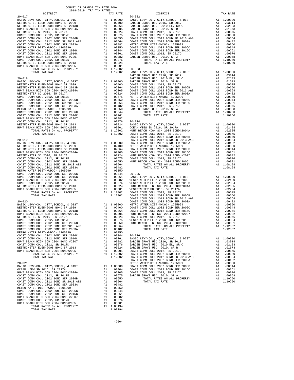|                                                                              |          |                                                             | GARDEN             |
|------------------------------------------------------------------------------|----------|-------------------------------------------------------------|--------------------|
|                                                                              |          |                                                             |                    |
|                                                                              |          |                                                             |                    |
|                                                                              |          |                                                             |                    |
|                                                                              |          |                                                             |                    |
|                                                                              |          |                                                             |                    |
|                                                                              |          |                                                             |                    |
|                                                                              |          |                                                             |                    |
|                                                                              |          |                                                             |                    |
|                                                                              |          |                                                             |                    |
|                                                                              |          |                                                             |                    |
|                                                                              |          |                                                             |                    |
|                                                                              |          |                                                             |                    |
|                                                                              |          |                                                             |                    |
|                                                                              |          |                                                             |                    |
|                                                                              |          |                                                             |                    |
|                                                                              |          |                                                             | COAST C            |
|                                                                              |          |                                                             |                    |
|                                                                              |          |                                                             |                    |
|                                                                              |          |                                                             |                    |
|                                                                              |          |                                                             |                    |
|                                                                              |          |                                                             |                    |
|                                                                              |          |                                                             |                    |
|                                                                              |          |                                                             |                    |
|                                                                              |          |                                                             |                    |
|                                                                              |          |                                                             |                    |
|                                                                              |          |                                                             |                    |
|                                                                              |          |                                                             |                    |
|                                                                              |          |                                                             |                    |
|                                                                              |          |                                                             |                    |
|                                                                              |          |                                                             |                    |
|                                                                              |          |                                                             |                    |
|                                                                              |          |                                                             |                    |
|                                                                              |          |                                                             |                    |
|                                                                              |          |                                                             |                    |
|                                                                              |          |                                                             |                    |
|                                                                              |          |                                                             |                    |
|                                                                              |          |                                                             |                    |
|                                                                              |          |                                                             |                    |
|                                                                              |          |                                                             |                    |
|                                                                              |          |                                                             |                    |
|                                                                              |          |                                                             |                    |
|                                                                              |          |                                                             |                    |
| COAST COMM COLL 2012 BOND SER 2016C                                          |          | A1 .00261                                                   | BASIC L            |
| HUNT BEACH HIGH SCH 2004 BOND #2007                                          | A1       | .00082                                                      | GARDEN             |
| COAST COMM COLL 2012, SR 2017D                                               | A1       | .00076                                                      | ${\tt GARDEN}$     |
| WESTMINSTER ELEM-2008 BOND SR 2013<br>HUNT BEACH HIGH SCH 2004 BOND#2005     |          | A1 .00024 GARDEN<br>A1 .00001 COAST C<br>A1 1.12802 COAST C |                    |
| TOTAL RATES ON ALL PROPERTY                                                  |          |                                                             |                    |
| TOTAL TAX RATE                                                               |          | 1.12802                                                     | COAST C            |
|                                                                              |          |                                                             | COAST C            |
| $20 - 021$<br>BASIC LEVY-CO., CITY, SCHOOL, & DIST                           |          | A1 1.00000                                                  | METRO W<br>COAST C |
| OCEAN VIEW SD 2016, SR 2017A                                                 | A1       |                                                             |                    |
| HUNT BEACH HIGH SCH 2004 BOND#2004A                                          | A1       | .02404 COAST C<br>.02305 COAST C<br>.00675 GARDEN           |                    |
| COAST COMM COLL 2012, SR 2017E                                               | A1       |                                                             |                    |
| COAST COMM COLL 2002 BOND SER 2006B<br>COAST COMM COLL 2012 BOND SR 2013 A&B | A1<br>A1 | .00650                                                      |                    |
| COAST COMM COLL 2002 BOND SER 2003A                                          | A1       | .00564<br>.00482                                            |                    |
| METRO WATER DIST-MWDOC- 1205999                                              |          |                                                             |                    |
| COAST COMM COLL 2002 BOND SER 2006C                                          |          | A1 .00350<br>A1 .00344<br>A1 .00261                         |                    |
| COAST COMM COLL 2012 BOND SER 2016C                                          |          |                                                             |                    |
| HUNT BEACH HIGH SCH 2004 BOND #2007<br>COAST COMM COLL 2012, SR 2017D        |          | A1 .00082<br>A1 .00076                                      |                    |
| HUNT BEACH HIGH SCH 2004 BOND#2005                                           | A1       | .00001                                                      |                    |
| TOTAL RATES ON ALL PROPERTY                                                  |          | A1 1.08194                                                  |                    |
| TOTAL TAX RATE                                                               |          | 1.08194                                                     |                    |

| DISTRICT                                                                                                                 | TAX RATE | DISTRICT   | TAX RATE |
|--------------------------------------------------------------------------------------------------------------------------|----------|------------|----------|
| $20 - 017$                                                                                                               |          | $20 - 022$ |          |
|                                                                                                                          |          |            |          |
|                                                                                                                          |          |            |          |
|                                                                                                                          |          |            |          |
|                                                                                                                          |          |            |          |
|                                                                                                                          |          |            |          |
|                                                                                                                          |          |            |          |
|                                                                                                                          |          |            |          |
|                                                                                                                          |          |            |          |
|                                                                                                                          |          |            |          |
|                                                                                                                          |          |            |          |
|                                                                                                                          |          |            |          |
|                                                                                                                          |          |            |          |
|                                                                                                                          |          |            |          |
|                                                                                                                          |          |            |          |
|                                                                                                                          |          |            |          |
|                                                                                                                          |          |            |          |
|                                                                                                                          |          |            |          |
|                                                                                                                          |          |            |          |
|                                                                                                                          |          |            |          |
|                                                                                                                          |          |            |          |
|                                                                                                                          |          |            |          |
|                                                                                                                          |          |            |          |
|                                                                                                                          |          |            |          |
|                                                                                                                          |          |            |          |
|                                                                                                                          |          |            |          |
|                                                                                                                          |          |            |          |
|                                                                                                                          |          |            |          |
|                                                                                                                          |          |            |          |
|                                                                                                                          |          |            |          |
|                                                                                                                          |          |            |          |
|                                                                                                                          |          |            |          |
|                                                                                                                          |          |            |          |
|                                                                                                                          |          |            |          |
|                                                                                                                          |          |            |          |
|                                                                                                                          |          |            |          |
|                                                                                                                          |          |            |          |
|                                                                                                                          |          |            |          |
|                                                                                                                          |          |            |          |
|                                                                                                                          |          |            |          |
|                                                                                                                          |          |            |          |
|                                                                                                                          |          |            |          |
|                                                                                                                          |          |            |          |
|                                                                                                                          |          |            |          |
|                                                                                                                          |          |            |          |
|                                                                                                                          |          |            |          |
|                                                                                                                          |          |            |          |
|                                                                                                                          |          |            |          |
|                                                                                                                          |          |            |          |
|                                                                                                                          |          |            |          |
|                                                                                                                          |          |            |          |
|                                                                                                                          |          |            |          |
|                                                                                                                          |          |            |          |
|                                                                                                                          |          |            |          |
|                                                                                                                          |          |            |          |
|                                                                                                                          |          |            |          |
|                                                                                                                          |          |            |          |
|                                                                                                                          |          |            |          |
|                                                                                                                          |          |            |          |
|                                                                                                                          |          |            |          |
|                                                                                                                          |          |            |          |
|                                                                                                                          |          |            |          |
|                                                                                                                          |          |            |          |
|                                                                                                                          |          |            |          |
|                                                                                                                          |          |            |          |
|                                                                                                                          |          |            |          |
|                                                                                                                          |          |            |          |
|                                                                                                                          |          |            |          |
|                                                                                                                          |          |            |          |
|                                                                                                                          |          |            |          |
|                                                                                                                          |          |            |          |
|                                                                                                                          |          |            |          |
|                                                                                                                          |          |            |          |
|                                                                                                                          |          |            |          |
|                                                                                                                          |          |            |          |
|                                                                                                                          |          |            |          |
|                                                                                                                          |          |            |          |
|                                                                                                                          |          |            |          |
|                                                                                                                          |          |            |          |
|                                                                                                                          |          |            |          |
|                                                                                                                          |          |            |          |
|                                                                                                                          |          |            |          |
|                                                                                                                          |          |            |          |
|                                                                                                                          |          |            |          |
|                                                                                                                          |          |            |          |
|                                                                                                                          |          |            |          |
|                                                                                                                          |          |            |          |
| $\frac{1}{202000}$ $\frac{1}{20101}$ $\frac{1}{2010}$ $\frac{1}{2010}$ $\frac{1}{2010}$ $\frac{1}{2010}$ $\frac{1}{201}$ | 00251    |            |          |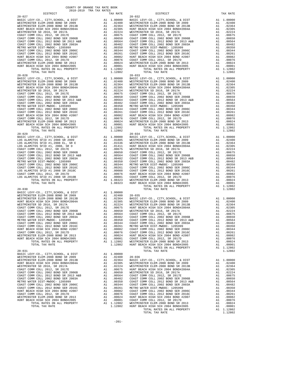|  |                         | COUNTY OF ORANGE TAX RATE BOOK |  |
|--|-------------------------|--------------------------------|--|
|  | 2018-2019 TRA TAX RATES |                                |  |
|  |                         |                                |  |

| DISTRICT   | $1010$ $1017$ $1011$ $1011$ $10111$ | TAX RATE | DISTRICT   | TAX RATE |
|------------|-------------------------------------|----------|------------|----------|
| $20 - 027$ |                                     |          | $20 - 032$ |          |
|            |                                     |          |            |          |
|            |                                     |          |            |          |
|            |                                     |          |            |          |
|            |                                     |          |            |          |
|            |                                     |          |            |          |
|            |                                     |          |            |          |
|            |                                     |          |            |          |
|            |                                     |          |            |          |
|            |                                     |          |            |          |
|            |                                     |          |            |          |
|            |                                     |          |            |          |
|            |                                     |          |            |          |
|            |                                     |          |            |          |
|            |                                     |          |            |          |
|            |                                     |          |            |          |
|            |                                     |          |            |          |
|            |                                     |          |            |          |
|            |                                     |          |            |          |
|            |                                     |          |            |          |
|            |                                     |          |            |          |
|            |                                     |          |            |          |
|            |                                     |          |            |          |
|            |                                     |          |            |          |
|            |                                     |          |            |          |
|            |                                     |          |            |          |
|            |                                     |          |            |          |
|            |                                     |          |            |          |
|            |                                     |          |            |          |
|            |                                     |          |            |          |
| $20 - 029$ |                                     |          | $20 - 034$ |          |
|            |                                     |          |            |          |
|            |                                     |          |            |          |
|            |                                     |          |            |          |
|            |                                     |          |            |          |
|            |                                     |          |            |          |
|            |                                     |          |            |          |
|            |                                     |          |            |          |
|            |                                     |          |            |          |
|            |                                     |          |            |          |
|            |                                     |          |            |          |
|            |                                     |          |            |          |
|            |                                     |          |            |          |
|            |                                     |          |            |          |
|            |                                     |          |            |          |
|            |                                     |          |            |          |
|            |                                     |          |            |          |
|            |                                     |          |            |          |
|            |                                     |          |            |          |
|            |                                     |          |            |          |
|            |                                     |          |            |          |
|            |                                     |          |            |          |
|            |                                     |          |            |          |
|            |                                     |          |            |          |
|            |                                     |          |            |          |
|            |                                     |          |            |          |
|            |                                     |          |            |          |
|            |                                     |          |            |          |
|            |                                     |          |            |          |
|            |                                     |          |            |          |
|            |                                     |          |            |          |
|            |                                     |          |            |          |
|            |                                     |          |            |          |
|            |                                     |          |            |          |
|            |                                     |          |            |          |
|            |                                     |          |            |          |
|            |                                     |          |            |          |
|            |                                     |          |            |          |
|            |                                     |          |            |          |
|            |                                     |          |            |          |
|            |                                     |          |            |          |
|            |                                     |          |            |          |
|            |                                     |          |            |          |
|            |                                     |          |            |          |
|            |                                     |          |            |          |
|            |                                     |          |            |          |
|            |                                     |          |            |          |
|            |                                     |          |            |          |
|            |                                     |          |            |          |

-201-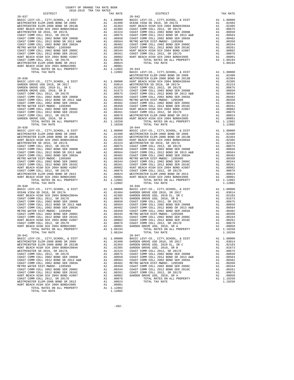| NUNI BEACH HIGH SCH ZUUT BUND#ZUUTA<br>WESTMINSTER SD 2016, SR 2017A           |                                                                                                                                                                                                                                                                                                                                                                                                                                                                                                                                                                                                                                                       |                                                                                  |                         |
|--------------------------------------------------------------------------------|-------------------------------------------------------------------------------------------------------------------------------------------------------------------------------------------------------------------------------------------------------------------------------------------------------------------------------------------------------------------------------------------------------------------------------------------------------------------------------------------------------------------------------------------------------------------------------------------------------------------------------------------------------|----------------------------------------------------------------------------------|-------------------------|
| COAST COMM COLL 2012, SR 2017E                                                 |                                                                                                                                                                                                                                                                                                                                                                                                                                                                                                                                                                                                                                                       |                                                                                  |                         |
| COAST COMM COLL 2002 BOND SER 2006B                                            |                                                                                                                                                                                                                                                                                                                                                                                                                                                                                                                                                                                                                                                       |                                                                                  |                         |
| COAST COMM COLL 2012 BOND SR 2013 A&B                                          |                                                                                                                                                                                                                                                                                                                                                                                                                                                                                                                                                                                                                                                       |                                                                                  |                         |
| COAST COMM COLL 2002 BOND SER 2003A<br>METRO WATER DIST-MWDOC- 1205999         |                                                                                                                                                                                                                                                                                                                                                                                                                                                                                                                                                                                                                                                       |                                                                                  |                         |
| COAST COMM COLL 2002 BOND SER 2006C                                            |                                                                                                                                                                                                                                                                                                                                                                                                                                                                                                                                                                                                                                                       |                                                                                  |                         |
| COAST COMM COLL 2012 BOND SER 2016C                                            |                                                                                                                                                                                                                                                                                                                                                                                                                                                                                                                                                                                                                                                       |                                                                                  |                         |
| HUNT BEACH HIGH SCH 2004 BOND #2007                                            |                                                                                                                                                                                                                                                                                                                                                                                                                                                                                                                                                                                                                                                       |                                                                                  |                         |
| COAST COMM COLL 2012, SR 2017D                                                 |                                                                                                                                                                                                                                                                                                                                                                                                                                                                                                                                                                                                                                                       |                                                                                  |                         |
| WESTMINSTER ELEM-2008 BOND SR 2013                                             |                                                                                                                                                                                                                                                                                                                                                                                                                                                                                                                                                                                                                                                       |                                                                                  |                         |
| HUNT BEACH HIGH SCH 2004 BOND#2005<br>TOTAL RATES ON ALL PROPERTY              |                                                                                                                                                                                                                                                                                                                                                                                                                                                                                                                                                                                                                                                       |                                                                                  |                         |
| TOTAL TAX RATE                                                                 | A1 .02224 COAST COAST COAST COAST COAST COAST COAST COAST COAST COAST COAST COAST COAST COAST COAST COAST COAST COAST COAST COAST CAN 1 .00076 COAST CAN 1 .00076 COAST CAN 1 .00076 COAST CAN 1 .00076 COAST CAN 1 .00076 2 .                                                                                                                                                                                                                                                                                                                                                                                                                        | $\begin{tabular}{ll} 1.12802 & 20-043 \\ 1.12802 & \text{BASIC L} \end{tabular}$ |                         |
|                                                                                |                                                                                                                                                                                                                                                                                                                                                                                                                                                                                                                                                                                                                                                       |                                                                                  | WESTMIN                 |
| $20 - 038$                                                                     |                                                                                                                                                                                                                                                                                                                                                                                                                                                                                                                                                                                                                                                       |                                                                                  | WESTMIN                 |
| 20-038<br>BASIC LEVY-CO., CITY, SCHOOL, & DIST                                 | WESTMIN WESTMIN<br>A1 .03014 WESTMIN<br>A1 .02103 COAST C<br>A1 .01673 COAST C<br>A1 .00675 COAST C<br>A1 .00675 COAST C<br>A1 .00656 METRO W<br>A1 .00364 METRO W<br>A1 .00380 COAST C<br>A1 .00364 GUATT BE<br>A1 .00261 COAST C<br>A1 .00264 WEST                                                                                                                                                                                                                                                                                                                                                                                                  |                                                                                  |                         |
| GARDEN GROVE USD 2016, SR 2017<br>GARDEN GROVE USD, 2010 EL, SR C              |                                                                                                                                                                                                                                                                                                                                                                                                                                                                                                                                                                                                                                                       |                                                                                  |                         |
| GARDEN GROVE USD, 2010, SR B                                                   |                                                                                                                                                                                                                                                                                                                                                                                                                                                                                                                                                                                                                                                       |                                                                                  |                         |
| COAST COMM COLL 2012, SR 2017E                                                 |                                                                                                                                                                                                                                                                                                                                                                                                                                                                                                                                                                                                                                                       |                                                                                  |                         |
| COAST COMM COLL 2002 BOND SER 2006B                                            |                                                                                                                                                                                                                                                                                                                                                                                                                                                                                                                                                                                                                                                       |                                                                                  |                         |
| COAST COMM COLL 2012 BOND SR 2013 A&B                                          |                                                                                                                                                                                                                                                                                                                                                                                                                                                                                                                                                                                                                                                       |                                                                                  |                         |
| COAST COMM COLL 2002 BOND SER 2003A                                            |                                                                                                                                                                                                                                                                                                                                                                                                                                                                                                                                                                                                                                                       |                                                                                  |                         |
| METRO WATER DIST-MWDOC- 1205999<br>COAST COMM COLL 2002 BOND SER 2006C         |                                                                                                                                                                                                                                                                                                                                                                                                                                                                                                                                                                                                                                                       |                                                                                  |                         |
| COAST COMM COLL 2012 BOND SER 2016C                                            |                                                                                                                                                                                                                                                                                                                                                                                                                                                                                                                                                                                                                                                       |                                                                                  |                         |
| COAST COMM COLL 2012, SR 2017D                                                 |                                                                                                                                                                                                                                                                                                                                                                                                                                                                                                                                                                                                                                                       |                                                                                  |                         |
| GARDEN GROVE USD, 2010, SR A                                                   |                                                                                                                                                                                                                                                                                                                                                                                                                                                                                                                                                                                                                                                       |                                                                                  |                         |
| TOTAL RATES ON ALL PROPERTY                                                    |                                                                                                                                                                                                                                                                                                                                                                                                                                                                                                                                                                                                                                                       |                                                                                  |                         |
| TOTAL TAX RATE                                                                 |                                                                                                                                                                                                                                                                                                                                                                                                                                                                                                                                                                                                                                                       | 1.10250                                                                          |                         |
| $20 - 039$<br>BASIC LEVY-CO., CITY, SCHOOL, & DIST                             |                                                                                                                                                                                                                                                                                                                                                                                                                                                                                                                                                                                                                                                       |                                                                                  | $20 - 044$              |
| WESTMINSTER ELEM-2008 BOND SR 2009                                             |                                                                                                                                                                                                                                                                                                                                                                                                                                                                                                                                                                                                                                                       |                                                                                  |                         |
| WESTMINSTER ELEM-2008 BOND SR 2013B                                            |                                                                                                                                                                                                                                                                                                                                                                                                                                                                                                                                                                                                                                                       |                                                                                  |                         |
| HUNT BEACH HIGH SCH 2004 BOND#2004A                                            |                                                                                                                                                                                                                                                                                                                                                                                                                                                                                                                                                                                                                                                       |                                                                                  |                         |
| WESTMINSTER SD 2016, SR 2017A                                                  |                                                                                                                                                                                                                                                                                                                                                                                                                                                                                                                                                                                                                                                       |                                                                                  |                         |
| COAST COMM COLL 2012, SR 2017E                                                 |                                                                                                                                                                                                                                                                                                                                                                                                                                                                                                                                                                                                                                                       |                                                                                  |                         |
| COAST COMM COLL 2002 BOND SER 2006B                                            |                                                                                                                                                                                                                                                                                                                                                                                                                                                                                                                                                                                                                                                       |                                                                                  |                         |
| COAST COMM COLL 2012 BOND SR 2013 A&B<br>COAST COMM COLL 2002 BOND SER 2003A   |                                                                                                                                                                                                                                                                                                                                                                                                                                                                                                                                                                                                                                                       |                                                                                  |                         |
| METRO WATER DIST-MWDOC- 1205999                                                |                                                                                                                                                                                                                                                                                                                                                                                                                                                                                                                                                                                                                                                       |                                                                                  |                         |
| COAST COMM COLL 2002 BOND SER 2006C                                            |                                                                                                                                                                                                                                                                                                                                                                                                                                                                                                                                                                                                                                                       |                                                                                  |                         |
| COAST COMM COLL 2012 BOND SER 2016C                                            |                                                                                                                                                                                                                                                                                                                                                                                                                                                                                                                                                                                                                                                       |                                                                                  |                         |
| HUNT BEACH HIGH SCH 2004 BOND #2007                                            |                                                                                                                                                                                                                                                                                                                                                                                                                                                                                                                                                                                                                                                       |                                                                                  |                         |
| COAST COMM COLL 2012, SR 2017D                                                 |                                                                                                                                                                                                                                                                                                                                                                                                                                                                                                                                                                                                                                                       |                                                                                  |                         |
| WESTMINSTER ELEM-2008 BOND SR 2013                                             |                                                                                                                                                                                                                                                                                                                                                                                                                                                                                                                                                                                                                                                       |                                                                                  |                         |
| HUNT BEACH HIGH SCH 2004 BOND#2005<br>TOTAL RATES ON ALL PROPERTY              |                                                                                                                                                                                                                                                                                                                                                                                                                                                                                                                                                                                                                                                       |                                                                                  |                         |
| TOTAL TAX RATE                                                                 | 20-044<br>Al 1.00000 BASIC L<br>Al 0.02400 BASIC L<br>Al 0.2364 WESTMIN<br>Al 0.2364 WESTMIN<br>Al 0.2324 HUNT BE<br>Al 0.0675 COAST C<br>Al 0.0656 COAST C<br>Al 0.00564 COAST C<br>Al 0.00344 COAST C<br>Al 0.00261 COAST C<br>Al 0.00261 COAST C<br><br>$\begin{tabular}{cc} 1.12802 & 20-046 \\ \text{Al} & 1.00000 & \text{BASIC L} \\ \text{Al} & 0.2404 & \text{GARDEN} \\ \text{Al} & 0.2305 & \text{GARDEN} \\ \text{Al} & 0.0650 & \text{GABEN} \\ \text{Al} & 0.0650 & \text{COAST C} \\ \text{Al} & 0.0564 & \text{COAST C} \\ \text{Al} & 0.0482 & \text{COAST C} \\ \text{Al} & 0.0350 & \text{COAST C} \\ \text{Al} & 0.0350 & \text{$ | 1.12802                                                                          |                         |
| $20 - 040$                                                                     |                                                                                                                                                                                                                                                                                                                                                                                                                                                                                                                                                                                                                                                       |                                                                                  |                         |
| BASIC LEVY-CO., CITY, SCHOOL, & DIST                                           |                                                                                                                                                                                                                                                                                                                                                                                                                                                                                                                                                                                                                                                       |                                                                                  |                         |
| OCEAN VIEW SD 2016, SR 2017A                                                   |                                                                                                                                                                                                                                                                                                                                                                                                                                                                                                                                                                                                                                                       |                                                                                  |                         |
| HUNT BEACH HIGH SCH 2004 BOND#2004A<br>COAST COMM COLL 2012, SR 2017E          |                                                                                                                                                                                                                                                                                                                                                                                                                                                                                                                                                                                                                                                       |                                                                                  |                         |
| COAST COMM COLL 2002 BOND SER 2006B                                            |                                                                                                                                                                                                                                                                                                                                                                                                                                                                                                                                                                                                                                                       |                                                                                  |                         |
| COAST COMM COLL 2012 BOND SR 2013 A&B<br>COAST COMM COLL 2012 BOND SR 2013 A&B |                                                                                                                                                                                                                                                                                                                                                                                                                                                                                                                                                                                                                                                       |                                                                                  |                         |
| COAST COMM COLL 2002 BOND SER 2003A                                            |                                                                                                                                                                                                                                                                                                                                                                                                                                                                                                                                                                                                                                                       |                                                                                  |                         |
| METRO WATER DIST-MWDOC- 1205999                                                |                                                                                                                                                                                                                                                                                                                                                                                                                                                                                                                                                                                                                                                       |                                                                                  |                         |
| COAST COMM COLL 2002 BOND SER 2006C                                            |                                                                                                                                                                                                                                                                                                                                                                                                                                                                                                                                                                                                                                                       |                                                                                  |                         |
| COAST COMM COLL 2012 BOND SER 2016C                                            |                                                                                                                                                                                                                                                                                                                                                                                                                                                                                                                                                                                                                                                       |                                                                                  |                         |
| HUNT BEACH HIGH SCH 2004 BOND #2007                                            |                                                                                                                                                                                                                                                                                                                                                                                                                                                                                                                                                                                                                                                       |                                                                                  |                         |
| COAST COMM COLL 2012, SR 2017D<br>HUNT BEACH HIGH SCH 2004 BOND#2005           |                                                                                                                                                                                                                                                                                                                                                                                                                                                                                                                                                                                                                                                       |                                                                                  |                         |
| TOTAL RATES ON ALL PROPERTY                                                    |                                                                                                                                                                                                                                                                                                                                                                                                                                                                                                                                                                                                                                                       |                                                                                  |                         |
| TOTAL TAX RATE                                                                 |                                                                                                                                                                                                                                                                                                                                                                                                                                                                                                                                                                                                                                                       |                                                                                  |                         |
| $20 - 041$                                                                     |                                                                                                                                                                                                                                                                                                                                                                                                                                                                                                                                                                                                                                                       |                                                                                  | $20 - 047$              |
| BASIC LEVY-CO., CITY, SCHOOL, & DIST                                           | $20-0+7$<br>A1 .00000 BASIC L<br>A1 .02400 GARDEN                                                                                                                                                                                                                                                                                                                                                                                                                                                                                                                                                                                                     |                                                                                  |                         |
| WESTMINSTER ELEM-2008 BOND SR 2009<br>WESTMINSTER ELEM-2008 BOND SR 2013B      |                                                                                                                                                                                                                                                                                                                                                                                                                                                                                                                                                                                                                                                       |                                                                                  |                         |
| HUNT BEACH HIGH SCH 2004 BOND#2004A                                            | A1<br>A1                                                                                                                                                                                                                                                                                                                                                                                                                                                                                                                                                                                                                                              | .02305                                                                           | .02364 GARDEN<br>GARDEN |
| WESTMINSTER SD 2016, SR 2017A                                                  |                                                                                                                                                                                                                                                                                                                                                                                                                                                                                                                                                                                                                                                       | A1 .02224                                                                        | COAST C                 |
| COAST COMM COLL 2012, SR 2017E                                                 | A1                                                                                                                                                                                                                                                                                                                                                                                                                                                                                                                                                                                                                                                    | .00675                                                                           | COAST C                 |
| COAST COMM COLL 2002 BOND SER 2006B                                            | A1                                                                                                                                                                                                                                                                                                                                                                                                                                                                                                                                                                                                                                                    | .00650                                                                           | COAST C                 |
| COAST COMM COLL 2012 BOND SR 2013 A&B                                          | A1                                                                                                                                                                                                                                                                                                                                                                                                                                                                                                                                                                                                                                                    | .00564                                                                           | COAST C                 |
| COAST COMM COLL 2002 BOND SER 2003A                                            | A1                                                                                                                                                                                                                                                                                                                                                                                                                                                                                                                                                                                                                                                    | .00482                                                                           | METRO W                 |
| METRO WATER DIST-MWDOC- 1205999                                                | A1                                                                                                                                                                                                                                                                                                                                                                                                                                                                                                                                                                                                                                                    | .00350                                                                           | COAST C                 |
| COAST COMM COLL 2002 BOND SER 2006C<br>COAST COMM COLL 2012 BOND SER 2016C     | A1<br>A1                                                                                                                                                                                                                                                                                                                                                                                                                                                                                                                                                                                                                                              | .00344<br>.00261                                                                 | COAST C<br>COAST C      |
| HUNT BEACH HIGH SCH 2004 BOND #2007                                            |                                                                                                                                                                                                                                                                                                                                                                                                                                                                                                                                                                                                                                                       | A1 .00082                                                                        | GARDEN                  |
| COAST COMM COLL 2012, SR 2017D                                                 | A1                                                                                                                                                                                                                                                                                                                                                                                                                                                                                                                                                                                                                                                    | .00076                                                                           |                         |
| WESTMINSTER ELEM-2008 BOND SR 2013                                             | A1                                                                                                                                                                                                                                                                                                                                                                                                                                                                                                                                                                                                                                                    | .00024                                                                           |                         |
| HUNT BEACH HIGH SCH 2004 BOND#2005                                             | A1                                                                                                                                                                                                                                                                                                                                                                                                                                                                                                                                                                                                                                                    | .00001                                                                           |                         |
| TOTAL RATES ON ALL PROPERTY                                                    |                                                                                                                                                                                                                                                                                                                                                                                                                                                                                                                                                                                                                                                       | A1 1.12802                                                                       |                         |

TOTAL TAX RATE  $1.12802$ 

 COUNTY OF ORANGE TAX RATE BOOK 2018-2019 TRA TAX RATES DISTRICT TAX RATE DISTRICT TAX RATE 20-037 20-042  $\begin{tabular}{lcccc} BASIC LEVY-CO., CITY, SCHOOL, & DIST & A1 & 1.00000 & BASIC LEVY-CO., CITY, SCHOOL, & DIST & A1 & 1.00000 \\ \hline \texttt{WESTMINSTER ELEM}-2008 BOND SR & 2009 & BX & 1.02400 & 0CERN VIEW SD & 2017A & 0.02000 \\ \texttt{WESTMINSTER ELEM}-2008 BOND SR & 2009 & 1.02364 & HUNT BEACH HIGH SCH 2017A & 1.02305 \\ \texttt{HUNT BEACH HIGH ECEM} & 1.02$  COAST COMM COLL 2012, SR 2017E A1 .00675 COAST COMM COLL 2012 BOND SR 2013 A&B A1 .00564 COAST COMM COLL 2002 BOND SER 2006B A1 .00650 COAST COMM COLL 2002 BOND SER 2003A A1 .00482 OOAST COMM COLL 2012 BOND SR 2013 A&B A1 .00564 METRO WATER DIST-MWDOC- 1205999 A1 .00350<br>COAST COMM COLL 2002 BOND SER 2003A A1 .00482 COAST COMM COLL 2002 BOND SER 2006C A1 .00344 METRO WATER DIST-MWDOC- 1205999 A1 .00350 COAST COMM COLL 2012 BOND SER 2016C A1<br>COAST COMM COLL 2002 BOND SER 2006C A1 .00344 HUNT BEACH HIGH SCH 2004 BOND #2007 00051 COAST COMM COLL 2012 BOND SER 2016C<br>HUNT BEACH HIGH SCH 2004 LOOOL AND 192001 A1 20002 AUNT BEACH HIGH SCH 2004 BOND#2005<br>COAST COMM COLL 2012, SR 2017D A1 2007 A1 20076 TOTAL RATES ON ALL PROPERTY A1 1.08194 WESTMINSTER ELEM-2008 BOND SR 2013 A1 .00024 TOTAL TAX RATE 1.08194 1.12802 20-043<br>1.12802 BASIC LEVY-CO., CITY, SCHOOL, & DIST A1 1.00000<br>WESTMINSTER ELEM-2008 BOND SR 2009 A1 .02400<br>MESTMINSTER ELEM-2008 BOND SR 2013B A1 .02364 0201. WESTMINSTER ELEM-2008 BOND SR 2009<br>10236. A1 .02408 A1 .02400 A1 .0000 WESTMINSTER ELEM-2008 BOND SR 20-0364<br>20236. A1 .02305 A1 .02304 A1 .00000 HUNT BEACH HIGH SCH 2004 AOND#2004A GROVE USD 2016, SR 2017A A1 .03014 WESTMINSTER SD 2016, SR 2017A A1 .02224<br>A1 .02103 COAST COMM COLL 2012, SR 2017E A1 .00675  $\begin{tabular}{l|c|c|c|c|c} \multicolumn{4}{c}{\textbf{GADEN RROVE ISD, 2010 E}, 2010 E, S R} & \multicolumn{4}{c}{\textbf{A1}} & .02103 & COAST COMM COLL 2012, SNRT COMM COLL 2012, SMRDEN GROST COMM COLL 2012, SRR 2017E & \multicolumn{4}{c}{\textbf{A1}} & .00675 & COAST COMM COLL 2012 BOND SER 2006B \\ \multicolumn{4}{c}{\textbf{CoAST COMM COLL 2012 BOND SER 2006B}} & \multicolumn{$ A1 1.00000 BASIC LEVY-CO., CITY,SCHOOL, & DIST A1 1.00000<br>A1 .02400 WESTMINSTER ELEM-2008 BOND SR 2009 A1 .02400<br>A1 .02364 WESTMINSTER ELEM-2008 BOND SR 2013B A1 .02364 WESTMINSTER ELEM-2008 BOND SR 2009 A1 .02400 WESTMINSTER ELEM-2008 BOND SR 2009 A1 .02400 WESTMINSTER ELEM-2008 BOND SR 2013B A1 .02364 WESTMINSTER ELEM-2008 BOND SR 2013B A1 .02364 HUNT BEACH HIGH SCH 2004 BOND#2004A A1 .02305 HUNT BEACH HIGH SCH 2004 BOND#2004A A1 .02305 WESTMINSTER SD 2016, SR 2017A A1 .02224 WESTMINSTER SD 2016, SR 2017A A1 .02224 COAST COMM COLL 2012, SR 2017E A1 .00675 COAST COMM COLL 2012, SR 2017E A1 .00675 COAST COMM COLL 2002 BOND SER 2006B A1 .00650 COAST COMM COLL 2002 BOND SER 2006B A1 .00650 COAST COMM COLL 2012 BOND SR 2013 A&B A1 .00564 COAST COMM COLL 2012 BOND SR 2013 A&B A1 .00564 COAST COMM COLL 2002 BOND SER 2003A A1 .00482 COAST COMM COLL 2002 BOND SER 2003A A1 .00482 METRO WATER DIST-MWDOC- 1205999 A1 .00350 METRO WATER DIST-MWDOC- 1205999 A1 .00350<br>A1 .00344 COAST COMM COLL 2002 BOND SER 2006C A1 .00364<br>A1 .00261 COAST COMM COLL 2012 BOND SER 2016C A1 .00261 COAST COMM COLL 2002 BOND SER 2006C A1 .00344 COAST COMM COLL 2002 BOND SER 2006C A1 .00344 COAST COMM COLL 2012 BOND SER 2016C A1 .00261 COAST COMM COLL 2012 BOND SER 2016C A1 .00261 HUNT BEACH HIGH SCH 2004 BOND #2007 A1 .00082 HUNT BEACH HIGH SCH 2004 BOND #2007 A1 .00082 COAST COMM COLL 2012, SR 2017D A1 .00076 COAST COMM COLL 2012, SR 2017D A1 .00076 WESTMINSTER ELEM-2008 BOND SR 2013 A1 .00024 WESTMINSTER ELEM-2008 BOND SR 2013 A1 .00024 HUNT BEACH HIGH SCH 2004 BOND#2005 A1 .00001 HUNT BEACH HIGH SCH 2004 BOND#2005 A1 .00001<br>A1 1.12802 TOTAL RATES ON ALL PROPERTY A1 1.12802 TOTAL RATES ON ALL PROPERTY A1 1.12802  $1.12802$  TOTAL RATES ON ALL ENVERSIAL 1.12802<br>1.12802 TOTAL TAX RATE 1.12802  $\begin{tabular}{lcccc} BASIC LEVY-CO., CITY, SCHOOL, &E DIST & & & & & & \\ OCEM VIEVC & & & & & & & & \\ OCEM VIEW SD & & & & & & & & \\ OZHUP & & & & & & & & & \\ EUVT BERCH HIGH SD & & & & & & & & \\ EUVT BERCH HIGH SD & & & & & & & \\ EUVT BERCH HIGH SCH DIGH SD & & & & & & \\ EUVT DERCH HIGH SCH SD & & & & & & \\ EUVT DERCH LLOL & & & & & & & \\ EUVT DERCH LLOL & & & & & & & \\ EUVT DER & & & & & & & & \\ EUVT DER & & & & & & & & \\$  COAST COMM COLL 2012 BOND SR 2013 A&B A1 .00564 COAST COMM COLL 2002 BOND SER 2006B A1 .00650 COAST COMM COLL 2002 BOND SER 2003A A1 .00482 COAST COMM COLL 2012 BOND SR 2013 A&B A1 .00564 METRO WATER DIST-MWDOC- 1205999 A1 .00350 COAST COMM COLL 2002 BOND SER 2003A A1 .00482 COAST COMM COLL 2002 BOND SER 2006C A1 .00344 METRO WATER DIST-MWDOC- 1205999 A1 .00350 COAST COMM COLL 2012 BOND SER 2016C A1 .00261 COAST COMM COLL 2002 BOND SER 2006C A1 .00344 HUNT BEACH HIGH SCH 2004 BOND #2007 A1 .00082 COAST COMM COLL 2012 BOND SER 2016C A1 .00261 COAST COMM COLL 2012, SR 2017D A1 .00076 COAST COMM COLL 2012, SR 2017D A1 .00076 HUNT BEACH HIGH SCH 2004 BOND#2005 A1 .00001 GARDEN GROVE USD, 2010, SR A A1 .00058 TOTAL RATES ON ALL PROPERTY A1 1.08194 TOTAL RATES ON ALL PROPERTY A1 1.10250 TOTAL TAX RATE 1.08194 TOTAL TAX RATE 1.10250 20-041 20-047 BASIC LEVY-CO., CITY,SCHOOL, & DIST A1 1.00000 BASIC LEVY-CO., CITY,SCHOOL, & DIST A1 1.00000 WESTMINSTER ELEM-2008 BOND SR 2009 MANUSTRIC ALL 02400 GARDEN GROVE USD 2016, SR 2017 MANUSTER ELEM-2008 BOND SR 2013B<br>WESTMINSTER ELEM-2008 BOND SR 2013B MANUSTRIC ALL 023054 GARDEN GROVE USD, 2010 EL, SR C MANUSTRICH HIG COAST COMM COLL 2012, SR 2017E A1 .00675 COAST COMM COLL 2002 BOND SER 2006B A1 .00650 COAST COMM COLL 2002 BOND SER 2006B A1 .00650 COAST COMM COLL 2012 BOND SR 2013 A&B A1 .00564 COAST COMM COLL 2012 BOND SR 2013 A&B A1 .00564 COAST COMM COLL 2002 BOND SER 2003A A1 .00482 COAST COMM COLL 2002 BOND SER 2003A A1 .00482 METRO WATER DIST-MWDOC- 1205999 A1 .00350 METRO WATER DIST-MWDOC- 1205999 A1 .00350 COAST COMM COLL 2002 BOND SER 2006C A1 .00344 COAST COMM COLL 2002 BOND SER 2006C A1 .00344 COAST COMM COLL 2012 BOND SER 2016C A1 .00261 COAST COMM COLL 2012 BOND SER 2016C A1 .00261 COAST COMM COLL 2012, SR 2017D A1 .00076 HUNT BEACH HIGH SCH 2004 BOND #2007 A1 .00082 GARDEN GROVE USD, 2010, SR A A1 .00058 COAST COMM COLL 2012, SR 2017D A1 .00076 TOTAL RATES ON ALL PROPERTY A1 1.10250 WESTMINSTER ELEM-2008 BOND SR 2013 A1 .00024 TOTAL TAX RATE 1.10250

-202-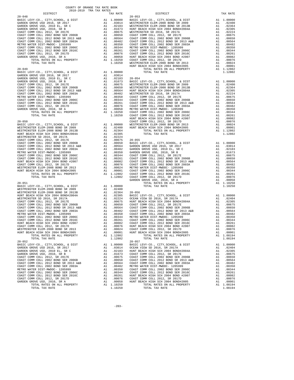| BASIC LEVY-CO., CITY, SCHOOL, & DIST<br>GARDEN GROVE USD 2016, SR 2017<br>GARDEN GROVE USD, 2010 EL, SR C                                                                                                                                                                                                                                                                                                            | A1 1.00000 BASIC L<br>A1 .03014 WESTMIN<br>A1 .02103 WESTMIN<br>A1 .02103 WESTMIN<br>A1 .06675 WESTMIN<br>A1 .00675 WESTMIN<br>A1 .00675 WESTMIN<br>A1 .00660 COAST C<br>A1 .00344 METRO W<br>A1 .00261 COAST C<br>A1 .00261 COAST C<br>A1 .00261 CO |                                                                                  |                    |
|----------------------------------------------------------------------------------------------------------------------------------------------------------------------------------------------------------------------------------------------------------------------------------------------------------------------------------------------------------------------------------------------------------------------|------------------------------------------------------------------------------------------------------------------------------------------------------------------------------------------------------------------------------------------------------|----------------------------------------------------------------------------------|--------------------|
| GARDEN GROVE USD, 2010, SR B                                                                                                                                                                                                                                                                                                                                                                                         |                                                                                                                                                                                                                                                      |                                                                                  |                    |
| COAST COMM COLL 2012, SR 2017E<br>COAST COMM COLL 2002 BOND SER 2006B                                                                                                                                                                                                                                                                                                                                                |                                                                                                                                                                                                                                                      |                                                                                  |                    |
| COAST COMM COLL 2012 BOND SR 2013 A&B                                                                                                                                                                                                                                                                                                                                                                                |                                                                                                                                                                                                                                                      |                                                                                  |                    |
| COAST COMM COLL 2002 BOND SER 2003A                                                                                                                                                                                                                                                                                                                                                                                  |                                                                                                                                                                                                                                                      |                                                                                  |                    |
| METRO WATER DIST-MWDOC- 1205999                                                                                                                                                                                                                                                                                                                                                                                      |                                                                                                                                                                                                                                                      |                                                                                  |                    |
| COAST COMM COLL 2002 BOND SER 2006C<br>COAST COMM COLL 2012 BOND SER 2016C                                                                                                                                                                                                                                                                                                                                           |                                                                                                                                                                                                                                                      |                                                                                  |                    |
| COAST COMM COLL 2012, SR 2017D                                                                                                                                                                                                                                                                                                                                                                                       |                                                                                                                                                                                                                                                      |                                                                                  |                    |
| GARDEN GROVE USD, 2010, SR A                                                                                                                                                                                                                                                                                                                                                                                         |                                                                                                                                                                                                                                                      |                                                                                  |                    |
| TOTAL RATES ON ALL PROPERTY<br>TOTAL TAX RATE                                                                                                                                                                                                                                                                                                                                                                        |                                                                                                                                                                                                                                                      |                                                                                  |                    |
|                                                                                                                                                                                                                                                                                                                                                                                                                      |                                                                                                                                                                                                                                                      |                                                                                  | HUNT BE            |
| $20 - 049$<br>BASIC LEVY-CO., CITY, SCHOOL, & DIST                                                                                                                                                                                                                                                                                                                                                                   |                                                                                                                                                                                                                                                      |                                                                                  |                    |
| GARDEN GROVE USD 2016, SR 2017                                                                                                                                                                                                                                                                                                                                                                                       | A1 1.00000<br>A1 .03014                                                                                                                                                                                                                              |                                                                                  |                    |
|                                                                                                                                                                                                                                                                                                                                                                                                                      |                                                                                                                                                                                                                                                      |                                                                                  |                    |
|                                                                                                                                                                                                                                                                                                                                                                                                                      |                                                                                                                                                                                                                                                      |                                                                                  |                    |
|                                                                                                                                                                                                                                                                                                                                                                                                                      |                                                                                                                                                                                                                                                      |                                                                                  |                    |
|                                                                                                                                                                                                                                                                                                                                                                                                                      |                                                                                                                                                                                                                                                      |                                                                                  |                    |
|                                                                                                                                                                                                                                                                                                                                                                                                                      |                                                                                                                                                                                                                                                      |                                                                                  |                    |
|                                                                                                                                                                                                                                                                                                                                                                                                                      |                                                                                                                                                                                                                                                      |                                                                                  |                    |
|                                                                                                                                                                                                                                                                                                                                                                                                                      |                                                                                                                                                                                                                                                      |                                                                                  |                    |
|                                                                                                                                                                                                                                                                                                                                                                                                                      |                                                                                                                                                                                                                                                      |                                                                                  |                    |
|                                                                                                                                                                                                                                                                                                                                                                                                                      |                                                                                                                                                                                                                                                      |                                                                                  |                    |
|                                                                                                                                                                                                                                                                                                                                                                                                                      |                                                                                                                                                                                                                                                      |                                                                                  |                    |
| $20 - 050$                                                                                                                                                                                                                                                                                                                                                                                                           | WHE BE<br>COAST CONSTRINE<br>A1 .02400 HUNT BE<br>A1 .02364<br>A1 .02305                                                                                                                                                                             |                                                                                  | HUNT BE            |
| BASIC LEVY-CO., CITY, SCHOOL, & DIST                                                                                                                                                                                                                                                                                                                                                                                 |                                                                                                                                                                                                                                                      |                                                                                  |                    |
| WESTMINSTER ELEM-2008 BOND SR 2009                                                                                                                                                                                                                                                                                                                                                                                   |                                                                                                                                                                                                                                                      |                                                                                  |                    |
|                                                                                                                                                                                                                                                                                                                                                                                                                      |                                                                                                                                                                                                                                                      |                                                                                  |                    |
|                                                                                                                                                                                                                                                                                                                                                                                                                      |                                                                                                                                                                                                                                                      |                                                                                  |                    |
|                                                                                                                                                                                                                                                                                                                                                                                                                      |                                                                                                                                                                                                                                                      |                                                                                  |                    |
|                                                                                                                                                                                                                                                                                                                                                                                                                      |                                                                                                                                                                                                                                                      |                                                                                  |                    |
|                                                                                                                                                                                                                                                                                                                                                                                                                      |                                                                                                                                                                                                                                                      |                                                                                  |                    |
|                                                                                                                                                                                                                                                                                                                                                                                                                      |                                                                                                                                                                                                                                                      |                                                                                  |                    |
|                                                                                                                                                                                                                                                                                                                                                                                                                      |                                                                                                                                                                                                                                                      |                                                                                  |                    |
|                                                                                                                                                                                                                                                                                                                                                                                                                      |                                                                                                                                                                                                                                                      |                                                                                  |                    |
|                                                                                                                                                                                                                                                                                                                                                                                                                      |                                                                                                                                                                                                                                                      |                                                                                  |                    |
|                                                                                                                                                                                                                                                                                                                                                                                                                      |                                                                                                                                                                                                                                                      |                                                                                  |                    |
|                                                                                                                                                                                                                                                                                                                                                                                                                      |                                                                                                                                                                                                                                                      |                                                                                  |                    |
| $\begin{tabular}{l c c c c} \hline \texttt{WESTMISTER} \quad ELEM-2008 \quad \texttt{BOD} & \texttt{SR-2013B} & \texttt{A1} & .02305 \\ \hline \texttt{HUNT} \quad EEGH & HCHS \quad \texttt{SCH} \quad 2008 \quad \texttt{BOD} & \texttt{SR} \quad 2017A & \texttt{A1} & .02324 \\ \hline \texttt{WESTMISTER} \quad \texttt{SD} \quad 2016, \quad \texttt{SR} \quad 2017A & \texttt{A1} & .02224 \\ \texttt{COSAT}$ |                                                                                                                                                                                                                                                      |                                                                                  | GARDEN             |
| $20 - 051$                                                                                                                                                                                                                                                                                                                                                                                                           |                                                                                                                                                                                                                                                      |                                                                                  |                    |
|                                                                                                                                                                                                                                                                                                                                                                                                                      |                                                                                                                                                                                                                                                      |                                                                                  |                    |
|                                                                                                                                                                                                                                                                                                                                                                                                                      |                                                                                                                                                                                                                                                      |                                                                                  |                    |
|                                                                                                                                                                                                                                                                                                                                                                                                                      |                                                                                                                                                                                                                                                      |                                                                                  |                    |
|                                                                                                                                                                                                                                                                                                                                                                                                                      |                                                                                                                                                                                                                                                      |                                                                                  |                    |
|                                                                                                                                                                                                                                                                                                                                                                                                                      |                                                                                                                                                                                                                                                      |                                                                                  |                    |
|                                                                                                                                                                                                                                                                                                                                                                                                                      |                                                                                                                                                                                                                                                      |                                                                                  |                    |
|                                                                                                                                                                                                                                                                                                                                                                                                                      |                                                                                                                                                                                                                                                      |                                                                                  |                    |
|                                                                                                                                                                                                                                                                                                                                                                                                                      |                                                                                                                                                                                                                                                      |                                                                                  |                    |
|                                                                                                                                                                                                                                                                                                                                                                                                                      |                                                                                                                                                                                                                                                      |                                                                                  |                    |
|                                                                                                                                                                                                                                                                                                                                                                                                                      |                                                                                                                                                                                                                                                      |                                                                                  |                    |
|                                                                                                                                                                                                                                                                                                                                                                                                                      |                                                                                                                                                                                                                                                      |                                                                                  |                    |
|                                                                                                                                                                                                                                                                                                                                                                                                                      |                                                                                                                                                                                                                                                      |                                                                                  |                    |
| TOTAL RATES ON ALL PROPERTY<br>TOTAL TAX RATE                                                                                                                                                                                                                                                                                                                                                                        |                                                                                                                                                                                                                                                      | A1 1.12802<br>1.12802                                                            |                    |
| $20 - 052$                                                                                                                                                                                                                                                                                                                                                                                                           |                                                                                                                                                                                                                                                      |                                                                                  | $20 - 057$         |
| BASIC LEVY-CO., CITY, SCHOOL, & DIST                                                                                                                                                                                                                                                                                                                                                                                 | A1                                                                                                                                                                                                                                                   | 1.00000                                                                          | BASIC L            |
| GARDEN GROVE USD 2016, SR 2017                                                                                                                                                                                                                                                                                                                                                                                       |                                                                                                                                                                                                                                                      | .03014<br>.02103                                                                 |                    |
| GARDEN GROVE USD, 2010 EL, SR C<br>GARDEN GROVE USD, 2010, SR B                                                                                                                                                                                                                                                                                                                                                      |                                                                                                                                                                                                                                                      | A1 .03014 OCEAN V<br>A1 .02103 HUNT BE<br>A1 .01673 COAST C                      |                    |
| COAST COMM COLL 2012, SR 2017E                                                                                                                                                                                                                                                                                                                                                                                       |                                                                                                                                                                                                                                                      | A1.00675                                                                         | COAST C            |
| COAST COMM COLL 2002 BOND SER 2006B<br>COAST COMM COLL 2012 BOND SR 2013 A&B                                                                                                                                                                                                                                                                                                                                         | A1                                                                                                                                                                                                                                                   | A1 .00650<br>.00564                                                              | COAST C<br>COAST C |
| COAST COMM COLL 2002 BOND SER 2003A                                                                                                                                                                                                                                                                                                                                                                                  | A1                                                                                                                                                                                                                                                   | .00482                                                                           | METRO W            |
| METRO WATER DIST-MWDOC- 1205999                                                                                                                                                                                                                                                                                                                                                                                      | A1                                                                                                                                                                                                                                                   | .00350                                                                           | COAST C            |
| COAST COMM COLL 2002 BOND SER 2006C                                                                                                                                                                                                                                                                                                                                                                                  |                                                                                                                                                                                                                                                      |                                                                                  |                    |
| COAST COMM COLL 2012 BOND SER 2016C<br>COAST COMM COLL 2012, SR 2017D                                                                                                                                                                                                                                                                                                                                                |                                                                                                                                                                                                                                                      |                                                                                  |                    |
| GARDEN GROVE USD, 2010, SR A                                                                                                                                                                                                                                                                                                                                                                                         |                                                                                                                                                                                                                                                      | A1 .00344 COAST C<br>A1 .00261 HUNT BE<br>A1 .00076 COAST C<br>A1 .00058 HUNT BE |                    |
| TOTAL RATES ON ALL PROPERTY                                                                                                                                                                                                                                                                                                                                                                                          |                                                                                                                                                                                                                                                      | A1 1.10250                                                                       |                    |
| TOTAL TAX RATE                                                                                                                                                                                                                                                                                                                                                                                                       |                                                                                                                                                                                                                                                      | 1.10250                                                                          |                    |

| COUNTY OF ORANGE TAX RATE BOOK |          |          |          |
|--------------------------------|----------|----------|----------|
|                                | TAX RATE | DISTRICT | TAX RATE |
|                                |          |          |          |
|                                |          |          |          |
|                                |          |          |          |
|                                |          |          |          |
|                                |          |          |          |
|                                |          |          |          |
|                                |          |          |          |
|                                |          |          |          |
|                                |          |          |          |
|                                |          |          |          |
|                                |          |          |          |
|                                |          |          |          |
|                                |          |          |          |
|                                |          |          |          |
|                                |          |          |          |
|                                |          |          |          |
|                                |          |          |          |
|                                |          |          |          |
|                                |          |          |          |
|                                |          |          |          |
|                                |          |          |          |
|                                |          |          |          |
|                                |          |          |          |
|                                |          |          |          |
|                                |          |          |          |
|                                |          |          |          |
|                                |          |          |          |
|                                |          |          |          |
|                                |          |          |          |
|                                |          |          |          |
|                                |          |          |          |
|                                |          |          |          |
|                                |          |          |          |
|                                |          |          |          |
|                                |          |          |          |
|                                |          |          |          |
|                                |          |          |          |
|                                |          |          |          |
|                                |          |          |          |
|                                |          |          |          |
|                                |          |          |          |
|                                |          |          |          |
|                                |          |          |          |
|                                |          |          |          |
|                                |          |          |          |
|                                |          |          |          |
|                                |          |          |          |
|                                |          |          |          |
|                                |          |          |          |
|                                |          |          |          |
|                                |          |          |          |
|                                |          |          |          |
|                                |          |          |          |
|                                |          |          |          |
|                                |          |          |          |
|                                |          |          |          |
|                                |          |          |          |
|                                |          |          |          |
|                                |          |          |          |
|                                |          |          |          |
|                                |          |          |          |
|                                |          |          |          |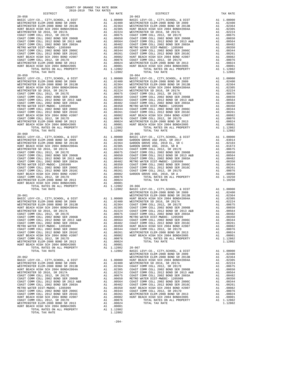| HUNT BEACH HIGH SCH 2004 BOND #2007   | A1                                                                                                                                                                                                                            | .00082     |
|---------------------------------------|-------------------------------------------------------------------------------------------------------------------------------------------------------------------------------------------------------------------------------|------------|
| COAST COMM COLL 2012, SR 2017D        | A1                                                                                                                                                                                                                            | .00076     |
| WESTMINSTER ELEM-2008 BOND SR 2013    | A1                                                                                                                                                                                                                            | .00024     |
| HUNT BEACH HIGH SCH 2004 BOND#2005    | A1                                                                                                                                                                                                                            | .00001     |
| TOTAL RATES ON ALL PROPERTY           |                                                                                                                                                                                                                               | A1 1.12802 |
| TOTAL TAX RATE                        |                                                                                                                                                                                                                               | 1.12802    |
|                                       |                                                                                                                                                                                                                               |            |
| $20 - 062$                            |                                                                                                                                                                                                                               |            |
| BASIC LEVY-CO., CITY, SCHOOL, & DIST  | A1                                                                                                                                                                                                                            | 1,00000    |
| WESTMINSTER ELEM-2008 BOND SR 2009    | A1                                                                                                                                                                                                                            | .02400     |
| WESTMINSTER ELEM-2008 BOND SR 2013B   | A1                                                                                                                                                                                                                            | .02364     |
| HUNT BEACH HIGH SCH 2004 BOND#2004A   | A1                                                                                                                                                                                                                            | .02305     |
| WESTMINSTER SD 2016, SR 2017A         | A1                                                                                                                                                                                                                            | .02224     |
| COAST COMM COLL 2012, SR 2017E        | A1                                                                                                                                                                                                                            | .00675     |
| COAST COMM COLL 2002 BOND SER 2006B   | A1                                                                                                                                                                                                                            | .00650     |
| COAST COMM COLL 2012 BOND SR 2013 A&B | A1 and a set of the set of the set of the set of the set of the set of the set of the set of the set of the set of the set of the set of the set of the set of the set of the set of the set of the set of the set of the set | .00564     |
| COAST COMM COLL 2002 BOND SER 2003A   | A1                                                                                                                                                                                                                            | .00482     |
| METRO WATER DIST-MWDOC- 1205999       | A1 —                                                                                                                                                                                                                          | .00350     |
| COAST COMM COLL 2002 BOND SER 2006C   | A1                                                                                                                                                                                                                            | .00344     |
| COAST COMM COLL 2012 BOND SER 2016C   | A1                                                                                                                                                                                                                            | .00261     |
| HUNT BEACH HIGH SCH 2004 BOND #2007   | A1                                                                                                                                                                                                                            | .00082     |
| COAST COMM COLL 2012, SR 2017D        | A1                                                                                                                                                                                                                            | .00076     |
| WESTMINSTER ELEM-2008 BOND SR 2013    | A1                                                                                                                                                                                                                            | .00024     |
| HUNT BEACH HIGH SCH 2004 BOND#2005    | A1                                                                                                                                                                                                                            | .00001     |
| TOTAL RATES ON ALL PROPERTY           | A1                                                                                                                                                                                                                            | 1.12802    |
| TOTAL TAX RATE                        |                                                                                                                                                                                                                               | 1.12802    |
|                                       |                                                                                                                                                                                                                               |            |

| DISTRICT                              |    | TAX RATE   |                |
|---------------------------------------|----|------------|----------------|
| $20 - 058$                            |    |            | $20 - 063$     |
| BASIC LEVY-CO., CITY, SCHOOL, & DIST  |    | A1 1.00000 | <b>BASIC L</b> |
| WESTMINSTER ELEM-2008 BOND SR 2009    | A1 | .02400     | WESTMIN        |
| WESTMINSTER ELEM-2008 BOND SR 2013B   | A1 | .02364     | WESTMIN        |
| HUNT BEACH HIGH SCH 2004 BOND#2004A   | A1 | .02305     | HUNT BE        |
| WESTMINSTER SD 2016, SR 2017A         | A1 | .02224     | WESTMIN        |
| COAST COMM COLL 2012, SR 2017E        | A1 | .00675     | COAST C        |
| COAST COMM COLL 2002 BOND SER 2006B   | A1 | .00650     | COAST C        |
| COAST COMM COLL 2012 BOND SR 2013 A&B | A1 | .00564     | COAST C        |
| COAST COMM COLL 2002 BOND SER 2003A   | A1 | .00482     | COAST C        |
| METRO WATER DIST-MWDOC- 1205999       | A1 | .00350     | METRO W        |
| COAST COMM COLL 2002 BOND SER 2006C   | A1 | .00344     | COAST C        |
| COAST COMM COLL 2012 BOND SER 2016C   | A1 | .00261     | COAST C        |
| HUNT BEACH HIGH SCH 2004 BOND #2007   | A1 | .00082     | HUNT BE        |
| COAST COMM COLL 2012, SR 2017D        | A1 | .00076     | COAST C        |
| WESTMINSTER ELEM-2008 BOND SR 2013    | A1 | .00024     | WESTMIN        |
| HUNT BEACH HIGH SCH 2004 BOND#2005    | A1 | .00001     | HUNT BE        |
| TOTAL RATES ON ALL PROPERTY           | A1 | 1.12802    |                |
| TOTAL TAX RATE                        |    | 1.12802    |                |
|                                       |    |            |                |

| DISTRICT | TAX RATE | DISTRICT   | TAX RATE |
|----------|----------|------------|----------|
|          |          | $20 - 063$ |          |
|          |          |            |          |
|          |          |            |          |
|          |          |            |          |
|          |          |            |          |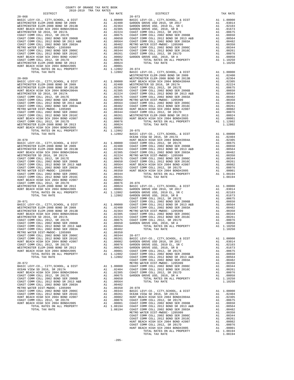| THE MILIT MADE ON THE MANUSCHER COMPANY CONST COMM COLL 2002 BOND SER 2006C<br>COAST COMM COLL 2012 BOND SER 2016C<br>HUNT BEACH HIGH SCH 2004 BOND #2007<br>COAST COMM COLL 2012, SR 2017D<br>MESTMINSTER ELEM-2008 BOND \$72013<br>HUNT |          |                      |                                 |
|-------------------------------------------------------------------------------------------------------------------------------------------------------------------------------------------------------------------------------------------|----------|----------------------|---------------------------------|
|                                                                                                                                                                                                                                           |          |                      |                                 |
|                                                                                                                                                                                                                                           |          |                      | WESTMIN                         |
|                                                                                                                                                                                                                                           |          |                      |                                 |
|                                                                                                                                                                                                                                           |          |                      |                                 |
|                                                                                                                                                                                                                                           |          |                      |                                 |
|                                                                                                                                                                                                                                           |          |                      |                                 |
|                                                                                                                                                                                                                                           |          |                      |                                 |
|                                                                                                                                                                                                                                           |          |                      |                                 |
|                                                                                                                                                                                                                                           |          |                      |                                 |
|                                                                                                                                                                                                                                           |          |                      |                                 |
|                                                                                                                                                                                                                                           |          |                      |                                 |
|                                                                                                                                                                                                                                           |          |                      |                                 |
|                                                                                                                                                                                                                                           |          |                      |                                 |
|                                                                                                                                                                                                                                           |          |                      |                                 |
| NOW COLL 2012, SR 2017D<br>WESTMINSTER ELEM-2008 BOND SR 2013<br>HUNT BEACH HIGH SCH 2004 BOND#2005 A1 .00001<br>HUNT BEACH HIGH SCH 2004 BOND#2005 A1 1.12802 20-075<br>TOTAL RATES ON ALL PROPERTY A1 1.12802 20-075<br>TOTAL RATES ON  |          |                      |                                 |
|                                                                                                                                                                                                                                           |          |                      |                                 |
|                                                                                                                                                                                                                                           |          |                      |                                 |
|                                                                                                                                                                                                                                           |          |                      |                                 |
|                                                                                                                                                                                                                                           |          |                      | OCEAN V                         |
|                                                                                                                                                                                                                                           |          |                      |                                 |
|                                                                                                                                                                                                                                           |          |                      |                                 |
|                                                                                                                                                                                                                                           |          |                      |                                 |
|                                                                                                                                                                                                                                           |          |                      |                                 |
|                                                                                                                                                                                                                                           |          |                      |                                 |
|                                                                                                                                                                                                                                           |          |                      |                                 |
|                                                                                                                                                                                                                                           |          |                      |                                 |
|                                                                                                                                                                                                                                           |          |                      |                                 |
|                                                                                                                                                                                                                                           |          |                      |                                 |
|                                                                                                                                                                                                                                           |          |                      |                                 |
|                                                                                                                                                                                                                                           |          |                      |                                 |
|                                                                                                                                                                                                                                           |          |                      |                                 |
|                                                                                                                                                                                                                                           |          |                      |                                 |
|                                                                                                                                                                                                                                           |          |                      |                                 |
|                                                                                                                                                                                                                                           |          |                      |                                 |
|                                                                                                                                                                                                                                           |          |                      |                                 |
|                                                                                                                                                                                                                                           |          |                      |                                 |
|                                                                                                                                                                                                                                           |          |                      |                                 |
|                                                                                                                                                                                                                                           |          |                      |                                 |
|                                                                                                                                                                                                                                           |          |                      |                                 |
|                                                                                                                                                                                                                                           |          |                      |                                 |
|                                                                                                                                                                                                                                           |          |                      |                                 |
|                                                                                                                                                                                                                                           |          |                      |                                 |
|                                                                                                                                                                                                                                           |          |                      |                                 |
|                                                                                                                                                                                                                                           |          |                      |                                 |
|                                                                                                                                                                                                                                           |          |                      |                                 |
|                                                                                                                                                                                                                                           |          |                      |                                 |
|                                                                                                                                                                                                                                           |          |                      |                                 |
|                                                                                                                                                                                                                                           |          |                      |                                 |
| COAST COMM COLL 2012, SR 2017D                                                                                                                                                                                                            |          | A1 .00076            | GARDEN                          |
| WESTMINSTER ELEM-2008 BOND SR 2013                                                                                                                                                                                                        | A1       | .00024               | GARDEN                          |
| HUNT BEACH HIGH SCH 2004 BOND#2005<br>TOTAL RATES ON ALL PROPERTY                                                                                                                                                                         | A1       | .00001<br>A1 1.12802 | COAST C<br>COAST C              |
| TOTAL TAX RATE                                                                                                                                                                                                                            |          | 1.12802              | COAST C                         |
|                                                                                                                                                                                                                                           |          |                      | COAST C                         |
| $20 - 072$                                                                                                                                                                                                                                |          |                      | METRO W                         |
| BASIC LEVY-CO., CITY, SCHOOL, & DIST                                                                                                                                                                                                      | A1       | 1.00000              | COAST C                         |
| OCEAN VIEW SD 2016, SR 2017A                                                                                                                                                                                                              | A1       | .02404               | COAST C                         |
| HUNT BEACH HIGH SCH 2004 BOND#2004A                                                                                                                                                                                                       | A1       |                      | .02305 COAST C<br>.00675 GARDEN |
| COAST COMM COLL 2012, SR 2017E                                                                                                                                                                                                            | A1       |                      |                                 |
| COAST COMM COLL 2002 BOND SER 2006B<br>COAST COMM COLL 2012 BOND SR 2013 A&B                                                                                                                                                              | A1<br>A1 | .00650<br>.00564     |                                 |
| COAST COMM COLL 2002 BOND SER 2003A                                                                                                                                                                                                       | A1       | .00482               |                                 |
| METRO WATER DIST-MWDOC- 1205999                                                                                                                                                                                                           |          | A1 .00350 20-078     |                                 |

| AST COMM COLL 2012 BOND SER  |                        |  |  |
|------------------------------|------------------------|--|--|
| NT BEACH HIGH SCH 2004 BOND  |                        |  |  |
| AST COMM COLL 2012, SR 2017I |                        |  |  |
| NT BEACH HIGH SCH 2004 BOND# |                        |  |  |
|                              | TOTAL RATES ON ALL PRO |  |  |
|                              |                        |  |  |

| DISTRICT   | SATO-RATA TEW THY KWIFP | TAX RATE | DISTRICT                                                                                                                                                                                                                                                                                                                                                                                                                                 | TAX RATE |
|------------|-------------------------|----------|------------------------------------------------------------------------------------------------------------------------------------------------------------------------------------------------------------------------------------------------------------------------------------------------------------------------------------------------------------------------------------------------------------------------------------------|----------|
| $20 - 068$ |                         |          | $20 - 073$                                                                                                                                                                                                                                                                                                                                                                                                                               |          |
|            |                         |          |                                                                                                                                                                                                                                                                                                                                                                                                                                          |          |
|            |                         |          |                                                                                                                                                                                                                                                                                                                                                                                                                                          |          |
|            |                         |          |                                                                                                                                                                                                                                                                                                                                                                                                                                          |          |
|            |                         |          |                                                                                                                                                                                                                                                                                                                                                                                                                                          |          |
|            |                         |          |                                                                                                                                                                                                                                                                                                                                                                                                                                          |          |
|            |                         |          |                                                                                                                                                                                                                                                                                                                                                                                                                                          |          |
|            |                         |          |                                                                                                                                                                                                                                                                                                                                                                                                                                          |          |
|            |                         |          |                                                                                                                                                                                                                                                                                                                                                                                                                                          |          |
|            |                         |          |                                                                                                                                                                                                                                                                                                                                                                                                                                          |          |
|            |                         |          |                                                                                                                                                                                                                                                                                                                                                                                                                                          |          |
|            |                         |          |                                                                                                                                                                                                                                                                                                                                                                                                                                          |          |
|            |                         |          |                                                                                                                                                                                                                                                                                                                                                                                                                                          |          |
|            |                         |          |                                                                                                                                                                                                                                                                                                                                                                                                                                          |          |
|            |                         |          |                                                                                                                                                                                                                                                                                                                                                                                                                                          |          |
|            |                         |          |                                                                                                                                                                                                                                                                                                                                                                                                                                          |          |
|            |                         |          |                                                                                                                                                                                                                                                                                                                                                                                                                                          |          |
|            |                         |          |                                                                                                                                                                                                                                                                                                                                                                                                                                          |          |
|            |                         |          |                                                                                                                                                                                                                                                                                                                                                                                                                                          |          |
|            |                         |          |                                                                                                                                                                                                                                                                                                                                                                                                                                          |          |
|            |                         |          |                                                                                                                                                                                                                                                                                                                                                                                                                                          |          |
|            |                         |          |                                                                                                                                                                                                                                                                                                                                                                                                                                          |          |
|            |                         |          |                                                                                                                                                                                                                                                                                                                                                                                                                                          |          |
|            |                         |          |                                                                                                                                                                                                                                                                                                                                                                                                                                          |          |
|            |                         |          |                                                                                                                                                                                                                                                                                                                                                                                                                                          |          |
|            |                         |          |                                                                                                                                                                                                                                                                                                                                                                                                                                          |          |
|            |                         |          |                                                                                                                                                                                                                                                                                                                                                                                                                                          |          |
|            |                         |          |                                                                                                                                                                                                                                                                                                                                                                                                                                          |          |
|            |                         |          |                                                                                                                                                                                                                                                                                                                                                                                                                                          |          |
|            |                         |          |                                                                                                                                                                                                                                                                                                                                                                                                                                          |          |
|            |                         |          |                                                                                                                                                                                                                                                                                                                                                                                                                                          |          |
|            |                         |          |                                                                                                                                                                                                                                                                                                                                                                                                                                          |          |
|            |                         |          | $\begin{tabular}{l cccccccc} \textbf{HMT} \textbf{ RRC} & \textbf{RMC} & \textbf{RMC} & \textbf{RMC} & \textbf{RMC} & \textbf{RMC} & \textbf{RMC} & \textbf{RMC} & \textbf{RMC} & \textbf{RMC} & \textbf{RMC} & \textbf{RMC} & \textbf{RMC} & \textbf{RMC} & \textbf{RMC} & \textbf{RMC} & \textbf{RMC} & \textbf{RMC} & \textbf{RMC} & \textbf{RMC} & \textbf{RMC} & \textbf{RMC} & \textbf{RMC} & \textbf{RMC} & \textbf{RMC} & \text$ |          |
|            |                         |          |                                                                                                                                                                                                                                                                                                                                                                                                                                          |          |
|            |                         |          |                                                                                                                                                                                                                                                                                                                                                                                                                                          |          |
|            |                         |          |                                                                                                                                                                                                                                                                                                                                                                                                                                          |          |
|            |                         |          |                                                                                                                                                                                                                                                                                                                                                                                                                                          |          |
|            |                         |          |                                                                                                                                                                                                                                                                                                                                                                                                                                          |          |
|            |                         |          |                                                                                                                                                                                                                                                                                                                                                                                                                                          |          |
|            |                         |          |                                                                                                                                                                                                                                                                                                                                                                                                                                          |          |
|            |                         |          |                                                                                                                                                                                                                                                                                                                                                                                                                                          |          |
|            |                         |          |                                                                                                                                                                                                                                                                                                                                                                                                                                          |          |
|            |                         |          |                                                                                                                                                                                                                                                                                                                                                                                                                                          |          |
|            |                         |          |                                                                                                                                                                                                                                                                                                                                                                                                                                          |          |
|            |                         |          |                                                                                                                                                                                                                                                                                                                                                                                                                                          |          |
|            |                         |          |                                                                                                                                                                                                                                                                                                                                                                                                                                          |          |
|            |                         |          |                                                                                                                                                                                                                                                                                                                                                                                                                                          |          |
|            |                         |          |                                                                                                                                                                                                                                                                                                                                                                                                                                          |          |
|            |                         |          |                                                                                                                                                                                                                                                                                                                                                                                                                                          |          |
|            |                         |          |                                                                                                                                                                                                                                                                                                                                                                                                                                          |          |
|            |                         |          |                                                                                                                                                                                                                                                                                                                                                                                                                                          |          |
|            |                         |          |                                                                                                                                                                                                                                                                                                                                                                                                                                          |          |
|            |                         |          |                                                                                                                                                                                                                                                                                                                                                                                                                                          |          |
|            |                         |          |                                                                                                                                                                                                                                                                                                                                                                                                                                          |          |
|            |                         |          |                                                                                                                                                                                                                                                                                                                                                                                                                                          |          |
|            |                         |          |                                                                                                                                                                                                                                                                                                                                                                                                                                          |          |
|            |                         |          |                                                                                                                                                                                                                                                                                                                                                                                                                                          |          |
|            |                         |          |                                                                                                                                                                                                                                                                                                                                                                                                                                          |          |
|            |                         |          |                                                                                                                                                                                                                                                                                                                                                                                                                                          |          |
|            |                         |          |                                                                                                                                                                                                                                                                                                                                                                                                                                          |          |
|            |                         |          |                                                                                                                                                                                                                                                                                                                                                                                                                                          |          |
|            |                         |          |                                                                                                                                                                                                                                                                                                                                                                                                                                          |          |
|            |                         |          |                                                                                                                                                                                                                                                                                                                                                                                                                                          |          |
|            |                         |          |                                                                                                                                                                                                                                                                                                                                                                                                                                          |          |
|            |                         |          |                                                                                                                                                                                                                                                                                                                                                                                                                                          |          |
|            |                         |          |                                                                                                                                                                                                                                                                                                                                                                                                                                          |          |
|            |                         |          |                                                                                                                                                                                                                                                                                                                                                                                                                                          |          |
|            |                         |          |                                                                                                                                                                                                                                                                                                                                                                                                                                          |          |
|            |                         |          |                                                                                                                                                                                                                                                                                                                                                                                                                                          |          |
|            |                         |          |                                                                                                                                                                                                                                                                                                                                                                                                                                          |          |
|            |                         |          |                                                                                                                                                                                                                                                                                                                                                                                                                                          |          |
|            |                         |          |                                                                                                                                                                                                                                                                                                                                                                                                                                          |          |
|            |                         |          |                                                                                                                                                                                                                                                                                                                                                                                                                                          |          |
|            |                         |          |                                                                                                                                                                                                                                                                                                                                                                                                                                          |          |
|            |                         |          |                                                                                                                                                                                                                                                                                                                                                                                                                                          |          |
|            |                         |          |                                                                                                                                                                                                                                                                                                                                                                                                                                          |          |
|            |                         |          |                                                                                                                                                                                                                                                                                                                                                                                                                                          |          |
|            |                         |          |                                                                                                                                                                                                                                                                                                                                                                                                                                          |          |
|            |                         |          |                                                                                                                                                                                                                                                                                                                                                                                                                                          |          |
|            |                         |          |                                                                                                                                                                                                                                                                                                                                                                                                                                          |          |
|            |                         |          |                                                                                                                                                                                                                                                                                                                                                                                                                                          |          |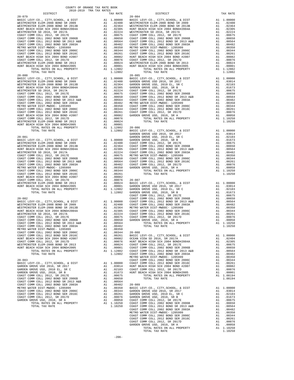|                                                                                | COUNTY OF ORANGE TAX RATE BOOK<br>2018-2019 TRA TAX RATES |                             |                                                                                                                                                                                                                                                                  |
|--------------------------------------------------------------------------------|-----------------------------------------------------------|-----------------------------|------------------------------------------------------------------------------------------------------------------------------------------------------------------------------------------------------------------------------------------------------------------|
| DISTRICT                                                                       |                                                           | TAX RATE                    |                                                                                                                                                                                                                                                                  |
| $20 - 079$                                                                     |                                                           |                             | $20 - 084$                                                                                                                                                                                                                                                       |
|                                                                                |                                                           |                             |                                                                                                                                                                                                                                                                  |
|                                                                                |                                                           |                             |                                                                                                                                                                                                                                                                  |
|                                                                                |                                                           |                             |                                                                                                                                                                                                                                                                  |
|                                                                                |                                                           |                             |                                                                                                                                                                                                                                                                  |
|                                                                                |                                                           |                             |                                                                                                                                                                                                                                                                  |
|                                                                                |                                                           |                             |                                                                                                                                                                                                                                                                  |
|                                                                                |                                                           |                             |                                                                                                                                                                                                                                                                  |
|                                                                                |                                                           |                             |                                                                                                                                                                                                                                                                  |
|                                                                                |                                                           |                             |                                                                                                                                                                                                                                                                  |
|                                                                                |                                                           |                             |                                                                                                                                                                                                                                                                  |
|                                                                                |                                                           |                             |                                                                                                                                                                                                                                                                  |
|                                                                                |                                                           |                             |                                                                                                                                                                                                                                                                  |
|                                                                                |                                                           |                             |                                                                                                                                                                                                                                                                  |
|                                                                                |                                                           |                             |                                                                                                                                                                                                                                                                  |
|                                                                                |                                                           |                             |                                                                                                                                                                                                                                                                  |
|                                                                                |                                                           | 1.12802                     |                                                                                                                                                                                                                                                                  |
| $20 - 080$                                                                     |                                                           |                             | $20 - 085$                                                                                                                                                                                                                                                       |
|                                                                                |                                                           |                             |                                                                                                                                                                                                                                                                  |
|                                                                                |                                                           |                             |                                                                                                                                                                                                                                                                  |
|                                                                                |                                                           |                             |                                                                                                                                                                                                                                                                  |
|                                                                                |                                                           |                             |                                                                                                                                                                                                                                                                  |
|                                                                                |                                                           |                             |                                                                                                                                                                                                                                                                  |
|                                                                                |                                                           |                             |                                                                                                                                                                                                                                                                  |
|                                                                                |                                                           |                             |                                                                                                                                                                                                                                                                  |
|                                                                                |                                                           |                             |                                                                                                                                                                                                                                                                  |
|                                                                                |                                                           |                             |                                                                                                                                                                                                                                                                  |
|                                                                                |                                                           |                             |                                                                                                                                                                                                                                                                  |
|                                                                                |                                                           |                             |                                                                                                                                                                                                                                                                  |
|                                                                                |                                                           |                             |                                                                                                                                                                                                                                                                  |
|                                                                                |                                                           |                             |                                                                                                                                                                                                                                                                  |
|                                                                                |                                                           |                             |                                                                                                                                                                                                                                                                  |
|                                                                                |                                                           |                             |                                                                                                                                                                                                                                                                  |
|                                                                                |                                                           |                             |                                                                                                                                                                                                                                                                  |
|                                                                                |                                                           |                             | GARDEN                                                                                                                                                                                                                                                           |
| $20 - 081$                                                                     |                                                           |                             | GARDEN<br>GARDEN<br>A1 1.00000 GARDEN<br>A1 .02400 COAST C<br>A1 .02364 COAST C<br>A1 .02235 COAST C<br>A1 .02224 COAST C<br>A1 .00675 METRO W<br>A1 .00656 COAST C<br>A1 .00482 COAST C<br>A1 .00482 COAST C<br>A1 .00482 COAST C<br>A1 .00482 COAST C<br>A1 .0 |
| BASIC LEVY-CO., CITY, SCHOOL, & DIST<br>WESTMINSTER ELEM-2008 BOND SR 2009     |                                                           |                             |                                                                                                                                                                                                                                                                  |
| WESTMINSTER ELEM-2008 BOND SR 2013B                                            |                                                           |                             |                                                                                                                                                                                                                                                                  |
| HUNT BEACH HIGH SCH 2004 BOND#2004A                                            |                                                           |                             |                                                                                                                                                                                                                                                                  |
| WESTMINSTER SD 2016, SR 2017A                                                  |                                                           |                             |                                                                                                                                                                                                                                                                  |
| COAST COMM COLL 2012, SR 2017E                                                 |                                                           |                             |                                                                                                                                                                                                                                                                  |
| COAST COMM COLL 2002 BOND SER 2006B                                            |                                                           |                             |                                                                                                                                                                                                                                                                  |
| COAST COMM COLL 2012 BOND SR 2013 A&B<br>COAST COMM COLL 2012 BOND SR 2013 A&B |                                                           |                             |                                                                                                                                                                                                                                                                  |
| COAST COMM COLL 2002 BOND SER 2003A                                            |                                                           |                             |                                                                                                                                                                                                                                                                  |
| METRO WATER DIST-MWDOC- 1205999                                                |                                                           |                             | A1 .00350<br>A1 .00344<br>A1 .00081<br>A1 .00082<br>A1 .00076 20-087<br>A1 .00004 BASIC L<br>A1 .00001 GARDEN<br>A1 1.12802 GARDEN<br>1.12802 GARDEN                                                                                                             |
|                                                                                |                                                           |                             |                                                                                                                                                                                                                                                                  |
|                                                                                |                                                           |                             |                                                                                                                                                                                                                                                                  |
|                                                                                |                                                           |                             |                                                                                                                                                                                                                                                                  |
|                                                                                |                                                           |                             |                                                                                                                                                                                                                                                                  |
| HUNT BEACH HIGH SCH 2004 BOND#2005                                             |                                                           |                             |                                                                                                                                                                                                                                                                  |
| TOTAL RATES ON ALL PROPERTY                                                    |                                                           |                             |                                                                                                                                                                                                                                                                  |
| TOTAL TAX RATE                                                                 |                                                           |                             |                                                                                                                                                                                                                                                                  |
|                                                                                |                                                           |                             | COAST C                                                                                                                                                                                                                                                          |
| $20 - 082$                                                                     |                                                           |                             | COAST C                                                                                                                                                                                                                                                          |
| BASIC LEVY-CO., CITY, SCHOOL, & DIST<br>WESTMINSTER ELEM-2008 BOND SR 2009     |                                                           |                             |                                                                                                                                                                                                                                                                  |
| WESTMINSTER ELEM-2008 BOND SR 2013B                                            |                                                           |                             |                                                                                                                                                                                                                                                                  |
| HUNT BEACH HIGH SCH 2004 BOND#2004A                                            |                                                           |                             |                                                                                                                                                                                                                                                                  |
| WESTMINSTER SD 2016, SR 2017A                                                  |                                                           |                             |                                                                                                                                                                                                                                                                  |
| COAST COMM COLL 2012, SR 2017E                                                 |                                                           |                             | A1 1.00000 COAST COAST COAST C<br>A1 .02400 COAST C<br>A1 .02305 COAST C<br>A1 .02305 COAST C<br>A1 .02324 COAST C<br>A1 .00659 COAST C<br>A1 .00659 GARDEN                                                                                                      |
| COAST COMM COLL 2002 BOND SER 2006B                                            |                                                           |                             |                                                                                                                                                                                                                                                                  |
| COAST COMM COLL 2012 BOND SR 2013 A&B                                          |                                                           | A1.00564                    |                                                                                                                                                                                                                                                                  |
| COAST COMM COLL 2002 BOND SER 2003A                                            |                                                           | A1 .00482<br>A1 .00350      |                                                                                                                                                                                                                                                                  |
| METRO WATER DIST-MWDOC- 1205999                                                |                                                           |                             |                                                                                                                                                                                                                                                                  |
| COAST COMM COLL 2002 BOND SER 2006C                                            |                                                           | A1.00344                    | $20 - 088$                                                                                                                                                                                                                                                       |
| COAST COMM COLL 2012 BOND SER 2016C<br>HUNT BEACH HIGH SCH 2004 BOND #2007     |                                                           | A1.00261                    | A1 .00261 BASIC L<br>A1 .00082 OCEAN V<br>A1 .00076 HUNT BE<br>A1 .00024 COAST C                                                                                                                                                                                 |
| COAST COMM COLL 2012, SR 2017D                                                 |                                                           |                             |                                                                                                                                                                                                                                                                  |
| WESTMINSTER ELEM-2008 BOND SR 2013                                             |                                                           |                             |                                                                                                                                                                                                                                                                  |
| HUNT BEACH HIGH SCH 2004 BOND#2005                                             |                                                           |                             |                                                                                                                                                                                                                                                                  |
| TOTAL RATES ON ALL PROPERTY                                                    |                                                           |                             |                                                                                                                                                                                                                                                                  |
| TOTAL TAX RATE                                                                 |                                                           |                             | A1 .00001 COAST C<br>A1 .12802 COAST C<br>1.12802 COAST C                                                                                                                                                                                                        |
|                                                                                |                                                           |                             | METRO W                                                                                                                                                                                                                                                          |
| $20 - 083$                                                                     |                                                           |                             | COAST C                                                                                                                                                                                                                                                          |
| BASIC LEVY-CO., CITY, SCHOOL, & DIST                                           |                                                           |                             |                                                                                                                                                                                                                                                                  |
| GARDEN GROVE USD 2016, SR 2017<br>GARDEN GROVE USD, 2010 EL, SR C              |                                                           |                             |                                                                                                                                                                                                                                                                  |
| GARDEN GROVE USD, 2010, SR B                                                   |                                                           |                             | A1 1.00000 COAST C<br>A1 .03014 HUNT BE<br>A1 .02103 COAST C<br>A1 .01673 HUNT BE                                                                                                                                                                                |
| COAST COMM COLL 2012, SR 2017E                                                 |                                                           | A1.00675                    |                                                                                                                                                                                                                                                                  |
| COAST COMM COLL 2002 BOND SER 2006B                                            |                                                           | A1 .00650                   |                                                                                                                                                                                                                                                                  |
| COAST COMM COLL 2012 BOND SR 2013 A&B                                          |                                                           | 00550. .<br>41.00564.<br>*^ |                                                                                                                                                                                                                                                                  |
| COAST COMM COLL 2002 BOND SER 2003A                                            |                                                           | A1 .00482                   | $20 - 089$                                                                                                                                                                                                                                                       |
| METRO WATER DIST-MWDOC- 1205999                                                |                                                           |                             | A1 .00402 20-009<br>A1 .00350 BASIC L<br>A1 .00344 GARDEN                                                                                                                                                                                                        |
| COAST COMM COLL 2002 BOND SER 2006C                                            |                                                           |                             |                                                                                                                                                                                                                                                                  |

| DISTRICT   | SATO-RATA TEW THY KWIFP | TAX RATE | DISTRICT                                                                                                                                                                                                                      | TAX RATE |
|------------|-------------------------|----------|-------------------------------------------------------------------------------------------------------------------------------------------------------------------------------------------------------------------------------|----------|
| $20 - 079$ |                         |          | $20 - 084$                                                                                                                                                                                                                    |          |
|            |                         |          |                                                                                                                                                                                                                               |          |
|            |                         |          |                                                                                                                                                                                                                               |          |
|            |                         |          | HENT BEACH HOST SCRIPT OF ALLOWING THE CORRECT CHANGE 100011 CORRECT CHANGE 100011 CORRECT CHANGE 100011 CORRECT CHANGE 100012 CORRECT CHANGE 100012 CORRECT CHANGE 100012 CORRECT CHANGE 100012 CORRECT CHANGE 100012 CORREC |          |
|            |                         |          |                                                                                                                                                                                                                               |          |
|            |                         |          |                                                                                                                                                                                                                               |          |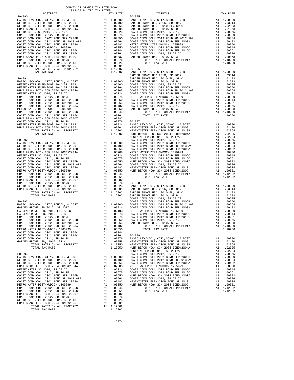| $20 - 091$                                                                   |    |                                                                                                                                                                                                                                                                                                                                                   | GARDEN<br>GARDEN   |
|------------------------------------------------------------------------------|----|---------------------------------------------------------------------------------------------------------------------------------------------------------------------------------------------------------------------------------------------------------------------------------------------------------------------------------------------------|--------------------|
|                                                                              |    |                                                                                                                                                                                                                                                                                                                                                   |                    |
|                                                                              |    |                                                                                                                                                                                                                                                                                                                                                   |                    |
|                                                                              |    |                                                                                                                                                                                                                                                                                                                                                   |                    |
|                                                                              |    |                                                                                                                                                                                                                                                                                                                                                   |                    |
|                                                                              |    |                                                                                                                                                                                                                                                                                                                                                   |                    |
|                                                                              |    |                                                                                                                                                                                                                                                                                                                                                   |                    |
|                                                                              |    |                                                                                                                                                                                                                                                                                                                                                   |                    |
|                                                                              |    |                                                                                                                                                                                                                                                                                                                                                   |                    |
|                                                                              |    |                                                                                                                                                                                                                                                                                                                                                   |                    |
|                                                                              |    |                                                                                                                                                                                                                                                                                                                                                   |                    |
|                                                                              |    |                                                                                                                                                                                                                                                                                                                                                   |                    |
|                                                                              |    |                                                                                                                                                                                                                                                                                                                                                   |                    |
|                                                                              |    |                                                                                                                                                                                                                                                                                                                                                   |                    |
|                                                                              |    |                                                                                                                                                                                                                                                                                                                                                   |                    |
|                                                                              |    |                                                                                                                                                                                                                                                                                                                                                   |                    |
| $20 - 092$                                                                   |    |                                                                                                                                                                                                                                                                                                                                                   | WESTMIN<br>COAST C |
|                                                                              |    |                                                                                                                                                                                                                                                                                                                                                   |                    |
|                                                                              |    |                                                                                                                                                                                                                                                                                                                                                   |                    |
|                                                                              |    |                                                                                                                                                                                                                                                                                                                                                   |                    |
|                                                                              |    |                                                                                                                                                                                                                                                                                                                                                   |                    |
|                                                                              |    |                                                                                                                                                                                                                                                                                                                                                   |                    |
|                                                                              |    |                                                                                                                                                                                                                                                                                                                                                   |                    |
|                                                                              |    |                                                                                                                                                                                                                                                                                                                                                   |                    |
|                                                                              |    |                                                                                                                                                                                                                                                                                                                                                   |                    |
|                                                                              |    |                                                                                                                                                                                                                                                                                                                                                   |                    |
|                                                                              |    |                                                                                                                                                                                                                                                                                                                                                   |                    |
|                                                                              |    |                                                                                                                                                                                                                                                                                                                                                   |                    |
|                                                                              |    |                                                                                                                                                                                                                                                                                                                                                   |                    |
|                                                                              |    |                                                                                                                                                                                                                                                                                                                                                   |                    |
|                                                                              |    |                                                                                                                                                                                                                                                                                                                                                   |                    |
|                                                                              |    |                                                                                                                                                                                                                                                                                                                                                   | COAST C            |
|                                                                              |    |                                                                                                                                                                                                                                                                                                                                                   |                    |
|                                                                              |    |                                                                                                                                                                                                                                                                                                                                                   |                    |
|                                                                              |    |                                                                                                                                                                                                                                                                                                                                                   |                    |
|                                                                              |    |                                                                                                                                                                                                                                                                                                                                                   |                    |
|                                                                              |    |                                                                                                                                                                                                                                                                                                                                                   |                    |
|                                                                              |    |                                                                                                                                                                                                                                                                                                                                                   |                    |
|                                                                              |    |                                                                                                                                                                                                                                                                                                                                                   |                    |
|                                                                              |    |                                                                                                                                                                                                                                                                                                                                                   |                    |
|                                                                              |    |                                                                                                                                                                                                                                                                                                                                                   |                    |
|                                                                              |    |                                                                                                                                                                                                                                                                                                                                                   |                    |
|                                                                              |    |                                                                                                                                                                                                                                                                                                                                                   |                    |
|                                                                              |    |                                                                                                                                                                                                                                                                                                                                                   |                    |
|                                                                              |    |                                                                                                                                                                                                                                                                                                                                                   |                    |
|                                                                              |    |                                                                                                                                                                                                                                                                                                                                                   |                    |
| BASIC LEVY-CO., CITY, SCHOOL, & DIST                                         |    | A1 1.00000                                                                                                                                                                                                                                                                                                                                        | COAST C            |
| WESTMINSTER ELEM-2008 BOND SR 2009                                           |    | A1 .02400                                                                                                                                                                                                                                                                                                                                         | COAST C            |
| WESTMINSTER ELEM-2008 BOND SR 2013B                                          |    |                                                                                                                                                                                                                                                                                                                                                   |                    |
| HUNT BEACH HIGH SCH 2004 BOND#2004A                                          |    | $\begin{tabular}{ccccc} A1 & .02364 & COAST C \\ A1 & .02364 & COAST C \\ A1 & .02224 & COAST C \\ A1 & .00675 & COAST C \\ A1 & .00650 & HUNT BE \\ A1 & .00564 & .00857 & .00857 \\ A2 & .00650 & .00857 & .00857 \\ .00850 & .00857 & .00857 & .00857 \\ .00850 & .00857 & .00857 & .00857 \\ .00850 & .00857 & .00857 & .00857 \\ .00850 & .$ |                    |
| WESTMINSTER SD 2016, SR 2017A                                                |    |                                                                                                                                                                                                                                                                                                                                                   |                    |
| COAST COMM COLL 2012, SR 2017E                                               |    |                                                                                                                                                                                                                                                                                                                                                   |                    |
| COAST COMM COLL 2002 BOND SER 2006B<br>COAST COMM COLL 2012 BOND SR 2013 A&B | A1 |                                                                                                                                                                                                                                                                                                                                                   | .00564 COAST C     |
| COAST COMM COLL 2002 BOND SER 2003A                                          | A1 | .00482                                                                                                                                                                                                                                                                                                                                            | WESTMIN            |
| METRO WATER DIST-MWDOC- 1205999                                              |    | A1 .00462 WESIMIN<br>A1 .00350 HUNT_BE                                                                                                                                                                                                                                                                                                            |                    |

 HUNT BEACH HIGH SCH 2004 BOND #2007 A1 .00082 COAST COMM COLL 2012, SR 2017D A1 .00076 WESTMINSTER ELEM-2008 BOND SR 2013 A1 .00024 HUNT BEACH HIGH SCH 2004 BOND#2005 A1 .00001 TOTAL RATES ON ALL PROPERTY A1 1.12802 TOTAL TAX RATE 1.12802

 DISTRICT TAX RATE DISTRICT TAX RATE 20-090 20-095<br>
BASIC LEVY-CO., CITY, SCHOOL, & DIST 20-095<br>
MESTMINSTER ELEM-2008 BOND SR 2009 201 20200 6ASIC LEVY-CO. EXPLORED AT 20200 6ASIC INTERNATION WESTMINSTER ELEM-2008 BOND SR 2013B BASIC LEVY-CO., CITY,SCHOOL, & DIST A1 1.00000 BASIC LEVY-CO., CITY,SCHOOL, & DIST A1 1.00000 WESTMINSTER ELEM-2008 BOND SR 2009 A1 .02400 GARDEN GROVE USD 2016, SR 2017 A1 .03014 WESTMINSTER ELEM-2008 BOND SR 2013B A1 .02364 GARDEN GROVE USD, 2010 EL, SR C A1 .02103 HUNT BEACH HIGH SCH 2004 BOND#2004A A1 .02305 GARDEN GROVE USD, 2010, SR B A1 .01673 WESTMINSTER SD 2016, SR 2017A A1 .02224 COAST COMM COLL 2012, SR 2017E A1 .00675 COAST COMM COLL 2012, SR 2017E A1 .00675 COAST COMM COLL 2002 BOND SER 2006B A1 .00650 COAST COMM COLL 2002 BOND SER 2006B A1 .00650 COAST COMM COLL 2012 BOND SR 2013 A&B A1 .00564 COAST COMM COLL 2012 BOND SR 2013 A&B A1 .00564 COAST COMM COLL 2002 BOND SER 2003A A1 .00482 COAST COMM COLL 2002 BOND SER 2003A A1 .00482 METRO WATER DIST-MWDOC- 1205999 A1 .00350 METRO WATER DIST-MWDOC- 1205999 A1 .00350 COAST COMM COLL 2002 BOND SER 2006C A1 .00344 COAST COMM COLL 2002 BOND SER 2006C A1 .00344 COAST COMM COLL 2012 BOND SER 2016C A1 .00261 COAST COMM COLL 2012 BOND SER 2016C A1 .00261 COAST COMM COLL 2012, SR 2017D A1 .00076 HUNT BEACH HIGH SCH 2004 BOND #2007 A1 .00082 GARDEN GROVE USD, 2010, SR A A1 .00058 COAST COMM COLL 2012, SR 2017D A1 .00076 TOTAL RATES ON ALL PROPERTY A1 1.10250 WESTMINSTER ELEM-2008 BOND SR 2013 A1 .00024 TOTAL TAX RATE 1.10250 TOTAL TAX RATE 1.12802 20-096<br>
1.12802 BASIC LEVY-CO., CITY, SCHOOL, & DIST A1 1.00000<br>
GARDEN GROVE USD. 2010 FL. SR C A1 .03014<br>
A1 .02103 GARDEN GROVE USD 2016, SR 2017 A1 .03014 20-091 GARDEN GROVE USD, 2010 EL, SR C A1 .02103  $\begin{tabular}{l|c|c|c|c|c} \multicolumn{4}{c}{BASTC LEVY-OO.}, & CTTY, SCHOOL}, & & DIST & & & & & & 11 & 00000 & & & & & & 0000 & & & & & & 0000 \\ \multicolumn{4}{c}{WESTMINSTRRE ELEM-2008 BOND SR R 2009} & & & & & & 102400 & & & & 00450 & & & & 00450 \\ \multicolumn{4}{c}{WESTMINSTRRE ELEM-2008 BOND SR R 2009} & & & & & 102400 & & & 00450 & & & 0050$ ... . .00076 20-097<br>
A1 .00076 BASIC LEVY-CO., CITY, SCHOOL, & DIST A1 1.00000<br>
A1 .00001 WESTMINSTER ELEM-2008 BOND SR 2009 A1 .02400 0021. HUNT BEACH HIGH SCH 2004 BOND#2005 A1 .00001 WESTMINSTER ELEM-2008 BOND SR 2009 A1<br>02364. A1 1.12802 WESTMINSTER ELEM-2008 BOND SR 2013B TOTAL RATES ON ALL PROPERTY TOUGH THE TAX RATES IN THE SCH 2008 BOND SR 2013B<br>1.12802 HUNT BEACH HIGH SCH 2004 BOND#2004A A1 .02305<br>WESTMINSTER ELEM-2008 BOND SR 2017A A1 .02324<br>COAST COMM COLL 2002 BOND SER 2006B A1 .00675<br>1.00000 COAST COMM COLL 20 WESTMINSTER SD 2016, SR 2017A A1 .02224 20-092 COAST COMM COLL 2012, SR 2017E A1 .00675 BASIC LEVY-CO., CITY,SCHOOL, & DIST A1 1.00000 COAST COMM COLL 2002 BOND SER 2006B A1 .00650 WESTMINSTER ELEM-2008 BOND SR 2009 A1 .02400 COAST COMM COLL 2012 BOND SR 2013 A&B A1 .00564 WESTMINSTER ELEM-2008 BOND SR 2013B A1 .02364 COAST COMM COLL 2002 BOND SER 2003A A1 .00482 HUNT BEACH HIGH SCH 2004 BOND#2004A A1 .02305 METRO WATER DIST-MWDOC- 1205999 A1 .00350 WESTMINSTER SD 2016, SR 2017A A1 .02224 COAST COMM COLL 2002 BOND SER 2006C A1 .00344 COAST COMM COLL 2012, SR 2017E A1 .00675 COAST COMM COLL 2012 BOND SER 2016C A1 .00261 COAST COMM COLL 2002 BOND SER 2006B A1 .00650 HUNT BEACH HIGH SCH 2004 BOND #2007 A1 .00082 COAST COMM COLL 2012 BOND SR 2013 A&B A1 .00564 COAST COMM COLL 2012, SR 2017D A1 .00076 COAST COMM COLL 2002 BOND SER 2003A A1 .00482 WESTMINSTER ELEM-2008 BOND SR 2013 A1 .00024 METRO WATER DIST-MWDOC- 1205999 A1 .00350 HUNT BEACH HIGH SCH 2004 BOND#2005 A1 .00001 COAST COMM COLL 2002 BOND SER 2006C A1 .00344 TOTAL RATES ON ALL PROPERTY A1 1.12802 COAST COMM COLL 2012 BOND SER 2016C A1 .00261 TOTAL TAX RATE 1.12802 COAST COMM COLL 2012, SR 2017D A1 .00076 20-098 WESTMINSTER ELEM-2008 BOND SR 2013 A1 .00024 BASIC LEVY-CO., CITY,SCHOOL, & DIST A1 1.00000 HUNT BEACH HIGH SCH 2004 BOND#2005 A1 .00001 GARDEN GROVE USD 2016, SR 2017 A1 .03014 TOTAL RATES ON ALL PROPERTY A1 1.12802 GARDEN GROVE USD, 2010 EL, SR C A1 .02103 TOTAL TAX RATE 1.12802 GARDEN GROVE USD, 2010, SR B A1 .01673 COAST COMM COLL 2012, SR 2017E A1 .00675 20-093 COAST COMM COLL 2002 BOND SER 2006B A1 .00650 BASIC LEVY-CO., CITY,SCHOOL, & DIST A1 1.00000 COAST COMM COLL 2012 BOND SR 2013 A&B A1 .00564 GARDEN GROVE USD 2016, SR 2017 A1 .03014 COAST COMM COLL 2002 BOND SER 2003A A1 .00482 GARDEN GROVE USD, 2010 EL, SR C A1 .02103 METRO WATER DIST-MWDOC- 1205999 A1 .00350 GARDEN GROVE USD, 2010, SR B A1 .01673 COAST COMM COLL 2002 BOND SER 2006C A1 .00344 COAST COMM COLL 2012, SR 2017E A1 .00675 COAST COMM COLL 2012 BOND SER 2016C A1 .00261 COAST COMM COLL 2002 BOND SER 2006B A1 .00650 COAST COMM COLL 2012, SR 2017D A1 .00076 COAST COMM COLL 2012 BOND SR 2013 A&B A1 .00564 GARDEN GROVE USD, 2010, SR A A1 .00058 COAST COMM COLL 2002 BOND SER 2003A A1 .00482 TOTAL RATES ON ALL PROPERTY A1 1.10250 METRO WATER DIST-MWDOC- 1205999 A1 .00350 TOTAL TAX RATE 1.10250 A1 .00076 BASIC LEVY-CO., CITY, SCHOOL, & DIST A1 1.00000<br>COOST WESTWINSTER ELEM-2008 BOND SR 2013B A1 .02400<br>A1 .10250 WESTWINSTER ELEM-2008 BOND SR 2013B 02400. GARDEN GROVE USD, 2010, SR A Ann and COOS8 WESTMINSTER ELEM-2008 BOND SR 2009<br>102364. A1 1.10250 WESTMINSTER ELEM-2008 BOND SR 2013B TOTAL RATES ON ALL PROPERTY  $\begin{tabular}{lllllllllll} \textbf{1.10250} & \textbf{HUNT BEACH HIGH SCH 2004 BOND#2004A} & \textbf{A1} & .02305 \\ & \textbf{WESTMIMISTER SD 2016, SR 2017A} & \textbf{A1} & .02224 \\ \textbf{COAST COMM COLL 2012 BOND SER 2006B} & \textbf{A1} & .00675 \\ \textbf{1.00000} & \textbf{COAST COMM COLL 2002 BOND SER 2006B} & \textbf{A1} & .00650 \\ \end{tabular}$  $\begin{tabular}{l|c|c|c|c} \multicolumn{1}{c}{\textbf{0.045}}\hline 20-094 & \multicolumn{1}{c}{\textbf{WESTMINTSTER ELEM-2008 BODD SR 2015}} & \multicolumn{1}{c}{\textbf{0.045}}\hline 1.0224 & \multicolumn{1}{c}{\textbf{0.045}}\hline 204 & \multicolumn{1}{c}{\textbf{0.045}}\hline 1.0224 & \multicolumn{1}{c}{\textbf{0.045}}\hline 204 & \multicolumn{1}{c}{\textbf{0.045}}\hline$ A1 .00350 HUNT BEACH HIGH SCH 2006 BOND SA 2013 A1 .00031<br>
A1 .00344 HUNT BEACH HIGH SCH 2004 BOND#2005 A1 .00001<br>
A1 .12802 TOTAL TAX RATE 1.12802<br>
A1 .00261 TOTAL TAX RATE 1.12802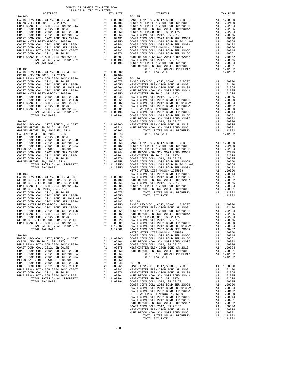| COUNTY OF ORANGE TAX RATE BOOK<br>2018-2019 TRA TAX RATES |          |            |          |
|-----------------------------------------------------------|----------|------------|----------|
| DISTRICT                                                  | TAX RATE | DISTRICT   | TAX RATE |
|                                                           |          | $20 - 105$ |          |
|                                                           |          |            |          |
|                                                           |          |            |          |
|                                                           |          |            |          |
|                                                           |          |            |          |
|                                                           |          |            |          |
|                                                           |          |            |          |
|                                                           |          |            |          |
|                                                           |          |            |          |
|                                                           |          |            |          |
|                                                           |          |            |          |
|                                                           |          |            |          |
|                                                           |          |            |          |
|                                                           |          |            |          |
|                                                           |          |            |          |
|                                                           |          |            |          |
|                                                           |          |            |          |
|                                                           |          |            |          |
|                                                           |          |            |          |
|                                                           |          |            |          |
|                                                           |          |            |          |
|                                                           |          |            |          |
|                                                           |          |            |          |
|                                                           |          |            |          |
|                                                           |          |            |          |
|                                                           |          |            |          |
|                                                           |          |            |          |
|                                                           |          |            |          |
|                                                           |          |            |          |
|                                                           |          |            |          |
|                                                           |          |            |          |
|                                                           |          |            |          |
|                                                           |          |            |          |
|                                                           |          |            |          |
|                                                           |          |            |          |
|                                                           |          |            |          |
|                                                           |          |            |          |
|                                                           |          |            |          |
|                                                           |          |            |          |
|                                                           |          |            |          |
|                                                           |          |            |          |
|                                                           |          |            |          |
|                                                           |          |            |          |
|                                                           |          |            |          |
|                                                           |          |            |          |
|                                                           |          |            |          |
|                                                           |          |            |          |
|                                                           |          |            |          |
|                                                           |          |            |          |
|                                                           |          |            |          |
|                                                           |          |            |          |
|                                                           |          |            |          |
|                                                           |          |            |          |
|                                                           |          |            |          |
|                                                           |          |            |          |
|                                                           |          |            |          |
|                                                           |          |            |          |
|                                                           |          |            |          |
|                                                           |          |            |          |
|                                                           |          |            |          |
|                                                           |          |            |          |
|                                                           |          |            |          |
|                                                           |          |            |          |
|                                                           |          |            |          |
|                                                           |          |            |          |
|                                                           |          |            |          |
|                                                           |          |            |          |
|                                                           |          |            |          |
|                                                           |          |            |          |
|                                                           |          |            |          |
|                                                           |          |            |          |
|                                                           |          |            |          |

| DISTRICT                                                                                                                                                                                                                                                                                                                                                                 | TAX RATE | DISTRICT   | TAX RATE |
|--------------------------------------------------------------------------------------------------------------------------------------------------------------------------------------------------------------------------------------------------------------------------------------------------------------------------------------------------------------------------|----------|------------|----------|
| $20 - 100$                                                                                                                                                                                                                                                                                                                                                               |          | $20 - 105$ |          |
|                                                                                                                                                                                                                                                                                                                                                                          |          |            |          |
|                                                                                                                                                                                                                                                                                                                                                                          |          |            |          |
|                                                                                                                                                                                                                                                                                                                                                                          |          |            |          |
|                                                                                                                                                                                                                                                                                                                                                                          |          |            |          |
|                                                                                                                                                                                                                                                                                                                                                                          |          |            |          |
|                                                                                                                                                                                                                                                                                                                                                                          |          |            |          |
|                                                                                                                                                                                                                                                                                                                                                                          |          |            |          |
|                                                                                                                                                                                                                                                                                                                                                                          |          |            |          |
|                                                                                                                                                                                                                                                                                                                                                                          |          |            |          |
|                                                                                                                                                                                                                                                                                                                                                                          |          |            |          |
|                                                                                                                                                                                                                                                                                                                                                                          |          |            |          |
|                                                                                                                                                                                                                                                                                                                                                                          |          |            |          |
|                                                                                                                                                                                                                                                                                                                                                                          |          |            |          |
|                                                                                                                                                                                                                                                                                                                                                                          |          |            |          |
|                                                                                                                                                                                                                                                                                                                                                                          |          |            |          |
|                                                                                                                                                                                                                                                                                                                                                                          |          |            |          |
|                                                                                                                                                                                                                                                                                                                                                                          |          |            |          |
|                                                                                                                                                                                                                                                                                                                                                                          |          |            |          |
|                                                                                                                                                                                                                                                                                                                                                                          |          |            |          |
|                                                                                                                                                                                                                                                                                                                                                                          |          |            |          |
|                                                                                                                                                                                                                                                                                                                                                                          |          |            |          |
|                                                                                                                                                                                                                                                                                                                                                                          |          |            |          |
|                                                                                                                                                                                                                                                                                                                                                                          |          |            |          |
|                                                                                                                                                                                                                                                                                                                                                                          |          |            |          |
|                                                                                                                                                                                                                                                                                                                                                                          |          |            |          |
|                                                                                                                                                                                                                                                                                                                                                                          |          |            |          |
|                                                                                                                                                                                                                                                                                                                                                                          |          |            |          |
|                                                                                                                                                                                                                                                                                                                                                                          |          |            |          |
|                                                                                                                                                                                                                                                                                                                                                                          |          |            |          |
|                                                                                                                                                                                                                                                                                                                                                                          |          |            |          |
|                                                                                                                                                                                                                                                                                                                                                                          |          |            |          |
|                                                                                                                                                                                                                                                                                                                                                                          |          |            |          |
|                                                                                                                                                                                                                                                                                                                                                                          |          |            |          |
|                                                                                                                                                                                                                                                                                                                                                                          |          |            |          |
|                                                                                                                                                                                                                                                                                                                                                                          |          |            |          |
|                                                                                                                                                                                                                                                                                                                                                                          |          |            |          |
|                                                                                                                                                                                                                                                                                                                                                                          |          |            |          |
|                                                                                                                                                                                                                                                                                                                                                                          |          |            |          |
|                                                                                                                                                                                                                                                                                                                                                                          |          |            |          |
|                                                                                                                                                                                                                                                                                                                                                                          |          |            |          |
|                                                                                                                                                                                                                                                                                                                                                                          |          |            |          |
|                                                                                                                                                                                                                                                                                                                                                                          |          |            |          |
|                                                                                                                                                                                                                                                                                                                                                                          |          |            |          |
|                                                                                                                                                                                                                                                                                                                                                                          |          |            |          |
|                                                                                                                                                                                                                                                                                                                                                                          |          |            |          |
|                                                                                                                                                                                                                                                                                                                                                                          |          |            |          |
|                                                                                                                                                                                                                                                                                                                                                                          |          |            |          |
|                                                                                                                                                                                                                                                                                                                                                                          |          |            |          |
|                                                                                                                                                                                                                                                                                                                                                                          |          |            |          |
|                                                                                                                                                                                                                                                                                                                                                                          |          |            |          |
|                                                                                                                                                                                                                                                                                                                                                                          |          |            |          |
|                                                                                                                                                                                                                                                                                                                                                                          |          |            |          |
|                                                                                                                                                                                                                                                                                                                                                                          |          |            |          |
|                                                                                                                                                                                                                                                                                                                                                                          |          |            |          |
|                                                                                                                                                                                                                                                                                                                                                                          |          |            |          |
|                                                                                                                                                                                                                                                                                                                                                                          |          |            |          |
|                                                                                                                                                                                                                                                                                                                                                                          |          |            |          |
|                                                                                                                                                                                                                                                                                                                                                                          |          |            |          |
|                                                                                                                                                                                                                                                                                                                                                                          |          |            |          |
|                                                                                                                                                                                                                                                                                                                                                                          |          |            |          |
|                                                                                                                                                                                                                                                                                                                                                                          |          |            |          |
|                                                                                                                                                                                                                                                                                                                                                                          |          |            |          |
|                                                                                                                                                                                                                                                                                                                                                                          |          |            |          |
|                                                                                                                                                                                                                                                                                                                                                                          |          |            |          |
| 20.2 (1997). CTF, 20020, 4 DTF (1990)<br>20.2 (1997). CTF, 20020, 4 DTF (1990)<br>20.2 (1997). TTF (1990). 4 DTF (1990)<br>20.2 (1997). 2003 (1991). 2003 (1992). 2003 (1992). 2003 (1992). 2003 (1993). 2003 (1993). 2003 (1993).                                                                                                                                       |          |            |          |
|                                                                                                                                                                                                                                                                                                                                                                          |          |            |          |
|                                                                                                                                                                                                                                                                                                                                                                          |          |            |          |
|                                                                                                                                                                                                                                                                                                                                                                          |          |            |          |
|                                                                                                                                                                                                                                                                                                                                                                          |          |            |          |
|                                                                                                                                                                                                                                                                                                                                                                          |          |            |          |
|                                                                                                                                                                                                                                                                                                                                                                          |          |            |          |
|                                                                                                                                                                                                                                                                                                                                                                          |          |            |          |
|                                                                                                                                                                                                                                                                                                                                                                          |          |            |          |
|                                                                                                                                                                                                                                                                                                                                                                          |          |            |          |
|                                                                                                                                                                                                                                                                                                                                                                          |          |            |          |
|                                                                                                                                                                                                                                                                                                                                                                          |          |            |          |
|                                                                                                                                                                                                                                                                                                                                                                          |          |            |          |
|                                                                                                                                                                                                                                                                                                                                                                          |          |            |          |
|                                                                                                                                                                                                                                                                                                                                                                          |          |            |          |
|                                                                                                                                                                                                                                                                                                                                                                          |          |            |          |
|                                                                                                                                                                                                                                                                                                                                                                          |          |            |          |
|                                                                                                                                                                                                                                                                                                                                                                          |          |            |          |
|                                                                                                                                                                                                                                                                                                                                                                          |          |            |          |
|                                                                                                                                                                                                                                                                                                                                                                          |          |            |          |
|                                                                                                                                                                                                                                                                                                                                                                          |          |            |          |
|                                                                                                                                                                                                                                                                                                                                                                          |          |            |          |
|                                                                                                                                                                                                                                                                                                                                                                          |          |            |          |
|                                                                                                                                                                                                                                                                                                                                                                          |          |            |          |
|                                                                                                                                                                                                                                                                                                                                                                          |          |            |          |
|                                                                                                                                                                                                                                                                                                                                                                          |          |            |          |
|                                                                                                                                                                                                                                                                                                                                                                          |          |            |          |
|                                                                                                                                                                                                                                                                                                                                                                          |          |            |          |
| $\begin{tabular}{cccccccc} \textbf{RINR} & \textbf{BRAC} & \textbf{DMSR} & \textbf{A1} & \textbf{0.0051} & \textbf{0.0042} & \textbf{0.004} & \textbf{0.004} & \textbf{0.004} & \textbf{0.004} & \textbf{0.004} & \textbf{0.004} & \textbf{0.004} & \textbf{0.004} & \textbf{0.004} & \textbf{0.004} & \textbf{0.004} & \textbf{0.004} & \textbf{0.004} & \textbf{0.004$ |          |            |          |
|                                                                                                                                                                                                                                                                                                                                                                          |          |            |          |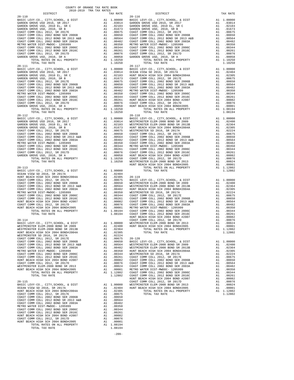| COUNTY OF ORANGE TAX RATE BOOK<br>2018-2019 TRA TAX RATES                                                   |                                           |            |
|-------------------------------------------------------------------------------------------------------------|-------------------------------------------|------------|
| DISTRICT<br>$20 - 110$                                                                                      | TAX RATE                                  | $20 - 116$ |
|                                                                                                             |                                           |            |
|                                                                                                             |                                           |            |
|                                                                                                             |                                           |            |
|                                                                                                             |                                           |            |
|                                                                                                             |                                           |            |
|                                                                                                             |                                           |            |
|                                                                                                             |                                           |            |
|                                                                                                             |                                           |            |
|                                                                                                             |                                           |            |
| TOTAL RATES ON ALL PROPERTY                                                                                 |                                           |            |
| TOTAL TAX RATE                                                                                              | A1 1.10250<br>1.10250                     |            |
|                                                                                                             |                                           | $20 - 117$ |
| 20-111<br>BASIC LEVY-CO., CITY, SCHOOL, & DIST<br>GARDEN GROVE USD 2016, SR 2017<br>The Month 2010 EL. SR C |                                           |            |
|                                                                                                             |                                           |            |
|                                                                                                             |                                           |            |
|                                                                                                             |                                           |            |
|                                                                                                             |                                           |            |
|                                                                                                             |                                           |            |
|                                                                                                             |                                           |            |
|                                                                                                             |                                           |            |
|                                                                                                             |                                           |            |
| TOTAL RATES ON ALL PROPERTY                                                                                 | A1 1.10250                                |            |
| TOTAL TAX RATE                                                                                              | 1.10250                                   |            |
| $20 - 112$                                                                                                  |                                           | $20 - 118$ |
|                                                                                                             |                                           |            |
|                                                                                                             |                                           |            |
|                                                                                                             |                                           |            |
|                                                                                                             |                                           |            |
|                                                                                                             |                                           |            |
|                                                                                                             |                                           |            |
|                                                                                                             |                                           |            |
|                                                                                                             |                                           |            |
|                                                                                                             |                                           |            |
|                                                                                                             |                                           |            |
|                                                                                                             |                                           |            |
| $20 - 113$                                                                                                  |                                           | HUNT BE    |
| BASIC LEVY-CO., CITY, SCHOOL, & DIST                                                                        | 1.00000 A1<br>02404 A1.02404<br>02305 A1. |            |
| OCEAN VIEW SD 2016, SR 2017A                                                                                |                                           |            |
|                                                                                                             |                                           |            |
|                                                                                                             |                                           |            |
|                                                                                                             |                                           |            |
|                                                                                                             |                                           |            |
|                                                                                                             |                                           |            |
|                                                                                                             |                                           |            |
|                                                                                                             |                                           |            |
|                                                                                                             |                                           |            |
|                                                                                                             |                                           |            |
|                                                                                                             |                                           | HUNT BE    |
| $20 - 114$                                                                                                  |                                           | COAST C    |
|                                                                                                             | A1 1.00000 WESTMIN                        | HUNT BE    |
|                                                                                                             |                                           |            |
| WESTMINSTER SD 2016, SR 2017A                                                                               |                                           |            |
|                                                                                                             |                                           |            |
|                                                                                                             |                                           |            |
|                                                                                                             |                                           |            |
|                                                                                                             |                                           |            |
|                                                                                                             |                                           |            |
|                                                                                                             |                                           |            |
|                                                                                                             |                                           |            |
|                                                                                                             |                                           |            |
|                                                                                                             |                                           |            |
|                                                                                                             |                                           |            |
|                                                                                                             |                                           | HUNT BE    |
|                                                                                                             |                                           | COAST C    |
|                                                                                                             | A1 1.00000 WESTMIN<br>A1 .02404 HUNT BE   |            |
|                                                                                                             |                                           |            |
|                                                                                                             |                                           |            |
|                                                                                                             |                                           |            |
|                                                                                                             |                                           |            |
|                                                                                                             |                                           |            |
|                                                                                                             |                                           |            |
|                                                                                                             |                                           |            |
| COAST COMM COLL 2012, SR 2017D<br>HUNT BEACH HIGH SCH 2004 BOND#2005                                        |                                           |            |
|                                                                                                             | A1 1.08194                                |            |
| TOTAL TAX RATE                                                                                              | 1.08194                                   |            |

-209-

| DISTRICT   | ANTR-ANTA IKH IHY KHIRP | TAX RATE | DISTRICT   | TAX RATE |
|------------|-------------------------|----------|------------|----------|
| $20 - 110$ |                         |          | $20 - 116$ |          |
|            |                         |          |            |          |
|            |                         |          |            |          |
|            |                         |          |            |          |
|            |                         |          |            |          |
|            |                         |          |            |          |
|            |                         |          |            |          |
|            |                         |          |            |          |
|            |                         |          |            |          |
|            |                         |          |            |          |
|            |                         |          |            |          |
|            |                         |          |            |          |
|            |                         |          |            |          |
|            |                         |          |            |          |
|            |                         |          |            |          |
|            |                         |          |            |          |
|            |                         |          |            |          |
|            |                         |          |            |          |
|            |                         |          |            |          |
|            |                         |          |            |          |
|            |                         |          |            |          |
|            |                         |          |            |          |
|            |                         |          |            |          |
|            |                         |          |            |          |
|            |                         |          |            |          |
|            |                         |          |            |          |
|            |                         |          |            |          |
|            |                         |          |            |          |
|            |                         |          |            |          |
|            |                         |          |            |          |
|            |                         |          |            |          |
|            |                         |          |            |          |
|            |                         |          |            |          |
|            |                         |          |            |          |
|            |                         |          |            |          |
|            |                         |          |            |          |
|            |                         |          |            |          |
|            |                         |          |            |          |
|            |                         |          |            |          |
|            |                         |          |            |          |
|            |                         |          |            |          |
|            |                         |          |            |          |
|            |                         |          |            |          |
|            |                         |          |            |          |
|            |                         |          |            |          |
|            |                         |          |            |          |
|            |                         |          |            |          |
|            |                         |          |            |          |
|            |                         |          |            |          |
|            |                         |          |            |          |
|            |                         |          |            |          |
|            |                         |          |            |          |
|            |                         |          |            |          |
|            |                         |          |            |          |
|            |                         |          |            |          |
|            |                         |          |            |          |
|            |                         |          |            |          |
|            |                         |          |            |          |
|            |                         |          |            |          |
|            |                         |          |            |          |
|            |                         |          |            |          |
|            |                         |          |            |          |
|            |                         |          |            |          |
|            |                         |          |            |          |
|            |                         |          |            |          |
|            |                         |          |            |          |
|            |                         |          |            |          |
|            |                         |          |            |          |
|            |                         |          |            |          |
|            |                         |          |            |          |
|            |                         |          |            |          |
|            |                         |          |            |          |
|            |                         |          |            |          |
|            |                         |          |            |          |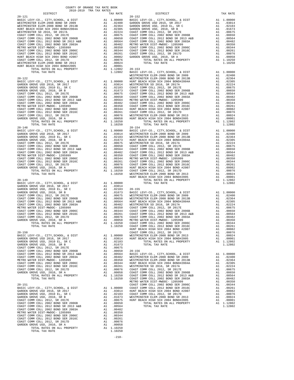| $20 - 121$                                                      |    |                                                                                              | $20 - 152$         |
|-----------------------------------------------------------------|----|----------------------------------------------------------------------------------------------|--------------------|
|                                                                 |    |                                                                                              |                    |
|                                                                 |    |                                                                                              |                    |
|                                                                 |    |                                                                                              |                    |
|                                                                 |    |                                                                                              |                    |
|                                                                 |    |                                                                                              |                    |
|                                                                 |    |                                                                                              |                    |
|                                                                 |    |                                                                                              |                    |
|                                                                 |    |                                                                                              |                    |
|                                                                 |    |                                                                                              |                    |
|                                                                 |    |                                                                                              |                    |
|                                                                 |    |                                                                                              |                    |
|                                                                 |    |                                                                                              |                    |
|                                                                 |    |                                                                                              |                    |
|                                                                 |    |                                                                                              |                    |
| $20 - 122$                                                      |    |                                                                                              | WESTMIN<br>WESTMIN |
|                                                                 |    |                                                                                              |                    |
|                                                                 |    |                                                                                              |                    |
|                                                                 |    |                                                                                              |                    |
|                                                                 |    |                                                                                              |                    |
|                                                                 |    |                                                                                              |                    |
|                                                                 |    |                                                                                              |                    |
|                                                                 |    |                                                                                              |                    |
|                                                                 |    |                                                                                              |                    |
|                                                                 |    |                                                                                              |                    |
|                                                                 |    |                                                                                              |                    |
|                                                                 |    |                                                                                              |                    |
| TOTAL TAX RATE                                                  |    | 1.10250                                                                                      |                    |
|                                                                 |    |                                                                                              |                    |
|                                                                 |    |                                                                                              |                    |
|                                                                 |    |                                                                                              |                    |
|                                                                 |    |                                                                                              |                    |
|                                                                 |    |                                                                                              |                    |
|                                                                 |    |                                                                                              |                    |
|                                                                 |    |                                                                                              |                    |
|                                                                 |    |                                                                                              |                    |
|                                                                 |    |                                                                                              |                    |
|                                                                 |    |                                                                                              |                    |
|                                                                 |    |                                                                                              |                    |
|                                                                 |    |                                                                                              |                    |
|                                                                 |    |                                                                                              | HUNT BE            |
| $20 - 149$                                                      |    |                                                                                              |                    |
|                                                                 |    |                                                                                              |                    |
|                                                                 |    |                                                                                              |                    |
|                                                                 |    |                                                                                              |                    |
|                                                                 |    |                                                                                              |                    |
|                                                                 |    |                                                                                              |                    |
|                                                                 |    |                                                                                              |                    |
|                                                                 |    |                                                                                              |                    |
|                                                                 |    |                                                                                              |                    |
|                                                                 |    |                                                                                              |                    |
|                                                                 |    |                                                                                              |                    |
|                                                                 |    |                                                                                              |                    |
|                                                                 |    |                                                                                              |                    |
| $20 - 150$                                                      |    |                                                                                              | COAST C            |
| BASIC LEVY-CO., CITY, SCHOOL, & DIST                            | A1 | 1.00000                                                                                      | WESTMIN            |
| GARDEN GROVE USD 2016, SR 2017                                  |    | A1 .03014 HUNT BE<br>A1 .02103 HUNT BE<br>A1 .02103                                          |                    |
| GARDEN GROVE USD, 2010 EL, SR C<br>GARDEN GROVE USD, 2010, SR B | A1 | A1 .01673                                                                                    |                    |
|                                                                 |    |                                                                                              |                    |
|                                                                 |    |                                                                                              |                    |
|                                                                 |    |                                                                                              |                    |
|                                                                 |    |                                                                                              |                    |
|                                                                 |    |                                                                                              |                    |
|                                                                 |    |                                                                                              |                    |
|                                                                 |    |                                                                                              |                    |
|                                                                 |    |                                                                                              |                    |
|                                                                 |    |                                                                                              |                    |
|                                                                 |    |                                                                                              | METRO W            |
| $20 - 151$<br>BASIC LEVY-CO., CITY, SCHOOL, & DIST              |    | COAST C<br>A1 1.00000 COAST C<br>A1 .03014 HUNT BE<br>A1 .02103 COAST C<br>A1 .01673 WESTMIN |                    |
| GARDEN GROVE USD 2016, SR 2017                                  |    |                                                                                              |                    |
| GARDEN GROVE USD, 2010 EL, SR C                                 |    |                                                                                              |                    |
| GARDEN GROVE USD, 2010, SR B                                    |    |                                                                                              |                    |
| COAST COMM COLL 2012, SR 2017E                                  | A1 | .00650                                                                                       | .00675 HUNT BE     |
|                                                                 |    |                                                                                              |                    |
|                                                                 |    |                                                                                              |                    |
|                                                                 |    |                                                                                              |                    |
|                                                                 |    |                                                                                              |                    |
| COAST COMM COLL 2012, SR 2017D                                  | A1 | .00076                                                                                       |                    |
| GARDEN GROVE USD, 2010, SR A                                    | A1 | .00058                                                                                       |                    |
| TOTAL RATES ON ALL PROPERTY<br>TOTAL TAX RATE                   |    | A1 1.10250<br>1.10250                                                                        |                    |
|                                                                 |    |                                                                                              |                    |

-210-

| DISTRICT   | TAX RATE | DISTRICT   | TAX RATE |
|------------|----------|------------|----------|
| $20 - 121$ |          | $20 - 152$ |          |
|            |          |            |          |
|            |          |            |          |
|            |          |            |          |
|            |          |            |          |
|            |          |            |          |
|            |          |            |          |
|            |          |            |          |
|            |          |            |          |
|            |          |            |          |
|            |          |            |          |
|            |          |            |          |
|            |          |            |          |
|            |          |            |          |
|            |          |            |          |
|            |          |            |          |
|            |          |            |          |
|            |          |            |          |
|            |          |            |          |
|            |          |            |          |
|            |          |            |          |
|            |          |            |          |
|            |          |            |          |
|            |          |            |          |
|            |          |            |          |
|            |          |            |          |
|            |          |            |          |
|            |          |            |          |
|            |          |            |          |
|            |          |            |          |
|            |          |            |          |
|            |          |            |          |
|            |          |            |          |
|            |          |            |          |
|            |          |            |          |
|            |          |            |          |
|            |          |            |          |
|            |          |            |          |
|            |          |            |          |
|            |          |            |          |
|            |          |            |          |
|            |          |            |          |
|            |          |            |          |
|            |          |            |          |
|            |          |            |          |
|            |          |            |          |
|            |          |            |          |
|            |          |            |          |
|            |          |            |          |
|            |          |            |          |
|            |          |            |          |
|            |          |            |          |
|            |          |            |          |
|            |          |            |          |
|            |          |            |          |
|            |          |            |          |
|            |          |            |          |
|            |          |            |          |
|            |          |            |          |
|            |          |            |          |
|            |          |            |          |
|            |          |            |          |
|            |          |            |          |
|            |          |            |          |
|            |          |            |          |
|            |          |            |          |
|            |          |            |          |
|            |          |            |          |
|            |          |            |          |
|            |          |            |          |
|            |          |            |          |
|            |          |            |          |
|            |          |            |          |
|            |          |            |          |
|            |          |            |          |
|            |          |            |          |
|            |          |            |          |
|            |          |            |          |
|            |          |            |          |
|            |          |            |          |
|            |          |            |          |
|            |          |            |          |
|            |          |            |          |
|            |          |            |          |
|            |          |            |          |
|            |          |            |          |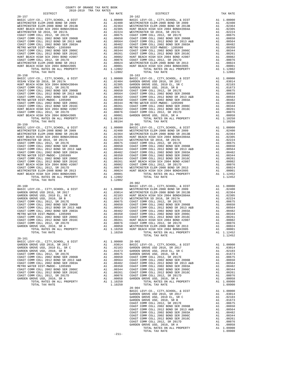| TOTAL RATES ON ALL PROPERTY<br>TOTAL TAX RATE                                                                         |          | A1 1.12802<br>1.12802 |                    |
|-----------------------------------------------------------------------------------------------------------------------|----------|-----------------------|--------------------|
| $20 - 158$                                                                                                            |          |                       | $20 - 163$         |
|                                                                                                                       |          |                       |                    |
|                                                                                                                       |          |                       |                    |
|                                                                                                                       |          |                       |                    |
|                                                                                                                       |          |                       |                    |
|                                                                                                                       |          |                       |                    |
|                                                                                                                       |          |                       |                    |
|                                                                                                                       |          |                       |                    |
|                                                                                                                       |          |                       |                    |
|                                                                                                                       |          |                       |                    |
|                                                                                                                       |          |                       |                    |
|                                                                                                                       |          |                       |                    |
|                                                                                                                       |          |                       |                    |
| $20 - 159$                                                                                                            |          |                       | $20 - 901$         |
|                                                                                                                       |          |                       |                    |
|                                                                                                                       |          |                       |                    |
|                                                                                                                       |          |                       |                    |
|                                                                                                                       |          |                       |                    |
|                                                                                                                       |          |                       |                    |
|                                                                                                                       |          |                       |                    |
|                                                                                                                       |          |                       |                    |
|                                                                                                                       |          |                       |                    |
|                                                                                                                       |          |                       |                    |
|                                                                                                                       |          |                       |                    |
|                                                                                                                       |          |                       |                    |
|                                                                                                                       |          |                       |                    |
|                                                                                                                       |          |                       |                    |
|                                                                                                                       |          |                       |                    |
| TOTAL TAX RATE                                                                                                        |          | 1.12802               |                    |
|                                                                                                                       |          |                       | $20 - 902$         |
| $20 - 160$                                                                                                            |          |                       | BASIC L            |
| BASIC LEVY-CO., CITY, SCHOOL, & DIST<br>GARDEN GROVE USD 2016, SR 2017                                                |          |                       |                    |
| GARDEN GROVE USD, 2010 EL, SR C                                                                                       |          |                       |                    |
| GARDEN GROVE USD, 2010, SR B                                                                                          |          |                       |                    |
| COAST COMM COLL 2012, SR 2017E                                                                                        |          |                       |                    |
| COAST COMM COLL 2002 BOND SER 2006B<br>COAST COMM COLL 2012 BOND SR 2013 A&B<br>COAST COMM COLL 2002 BOND SR 2013 A&B |          |                       |                    |
| COAST COMM COLL 2002 BOND SER 2003A                                                                                   |          |                       |                    |
| METRO WATER DIST-MWDOC- 1205999                                                                                       |          |                       |                    |
| COAST COMM COLL 2002 BOND SER 2006C                                                                                   |          |                       |                    |
| COAST COMM COLL 2012 BOND SER 2016C                                                                                   |          |                       |                    |
| COAST COMM COLL 2012, SR 2017D                                                                                        |          |                       |                    |
| GARDEN GROVE USD, 2010, SR A<br>TOTAL RATES ON ALL PROPERTY                                                           |          |                       |                    |
| TOTAL TAX RATE                                                                                                        |          |                       |                    |
|                                                                                                                       |          |                       |                    |
| $20 - 161$                                                                                                            |          |                       |                    |
| BASIC LEVY-CO., CITY, SCHOOL, & DIST                                                                                  |          | A1 1.00000            | $20 - 903$         |
| GARDEN GROVE USD 2016, SR 2017                                                                                        | A1<br>A1 | .03014<br>.02103      | BASIC L<br>GARDEN  |
| GARDEN GROVE USD, 2010 EL, SR C<br>GARDEN GROVE USD, 2010, SR B                                                       | A1       | .01673                | GARDEN             |
| COAST COMM COLL 2012, SR 2017E                                                                                        | A1       | .00675                | GARDEN             |
| COAST COMM COLL 2002 BOND SER 2006B                                                                                   | A1       | .00650                | COAST C            |
| COAST COMM COLL 2012 BOND SR 2013 A&B                                                                                 | A1       | .00564                | COAST C            |
| COAST COMM COLL 2002 BOND SER 2003A<br>METRO WATER DIST-MWDOC- 1205999                                                | A1<br>A1 | .00482<br>.00350      | COAST C<br>COAST C |
| COAST COMM COLL 2002 BOND SER 2006C                                                                                   | A1       | .00344                | COAST C            |
| COAST COMM COLL 2012 BOND SER 2016C                                                                                   | A1       | .00261                | COAST C            |
| COAST COMM COLL 2012, SR 2017D                                                                                        | A1       | .00076                | COAST C            |
| GARDEN GROVE USD, 2010, SR A                                                                                          | A1       | .00058                | GARDEN             |
| TOTAL RATES ON ALL PROPERTY<br>TOTAL TAX RATE                                                                         |          | A1 1.10250<br>1.10250 |                    |
|                                                                                                                       |          |                       |                    |

| TOTAL TAX RATE |                                                                                                                                                                                                                                                                                                                                                                                 |         |
|----------------|---------------------------------------------------------------------------------------------------------------------------------------------------------------------------------------------------------------------------------------------------------------------------------------------------------------------------------------------------------------------------------|---------|
|                | $1.10250 \hspace{3.3cm} \text{TOTAL RATES ON ALL PROPERTY} \hspace{2.3cm} \text{AI} \hspace{2.3cm} 1.12452 \\ \text{TOTAL TAX RATE} \hspace{2.3cm} \text{DATE} \hspace{2.3cm} 1.12452 \\ \text{I.12452} \hspace{2.3cm} 1.12452 \\ \text{I.12453} \hspace{2.3cm} 1.12452 \\ \text{I.12454} \hspace{2.3cm} 1.12452 \\ \text{I.12455} \hspace{2.3cm} 1.12452 \\$<br>TOTAL TAX RATE | 1.12452 |
| $20 - 161$     |                                                                                                                                                                                                                                                                                                                                                                                 |         |
|                |                                                                                                                                                                                                                                                                                                                                                                                 |         |
|                |                                                                                                                                                                                                                                                                                                                                                                                 |         |
|                |                                                                                                                                                                                                                                                                                                                                                                                 |         |
|                |                                                                                                                                                                                                                                                                                                                                                                                 |         |
|                |                                                                                                                                                                                                                                                                                                                                                                                 |         |
|                |                                                                                                                                                                                                                                                                                                                                                                                 |         |
|                |                                                                                                                                                                                                                                                                                                                                                                                 |         |
|                |                                                                                                                                                                                                                                                                                                                                                                                 |         |
|                |                                                                                                                                                                                                                                                                                                                                                                                 |         |
|                |                                                                                                                                                                                                                                                                                                                                                                                 |         |
|                |                                                                                                                                                                                                                                                                                                                                                                                 |         |
|                |                                                                                                                                                                                                                                                                                                                                                                                 |         |
|                |                                                                                                                                                                                                                                                                                                                                                                                 |         |
|                |                                                                                                                                                                                                                                                                                                                                                                                 |         |
|                |                                                                                                                                                                                                                                                                                                                                                                                 |         |
|                |                                                                                                                                                                                                                                                                                                                                                                                 |         |
|                |                                                                                                                                                                                                                                                                                                                                                                                 |         |
|                |                                                                                                                                                                                                                                                                                                                                                                                 |         |
|                |                                                                                                                                                                                                                                                                                                                                                                                 |         |
|                |                                                                                                                                                                                                                                                                                                                                                                                 |         |
|                |                                                                                                                                                                                                                                                                                                                                                                                 |         |
|                |                                                                                                                                                                                                                                                                                                                                                                                 |         |
|                |                                                                                                                                                                                                                                                                                                                                                                                 |         |
|                |                                                                                                                                                                                                                                                                                                                                                                                 |         |
|                |                                                                                                                                                                                                                                                                                                                                                                                 |         |
|                |                                                                                                                                                                                                                                                                                                                                                                                 |         |
|                |                                                                                                                                                                                                                                                                                                                                                                                 |         |
|                |                                                                                                                                                                                                                                                                                                                                                                                 |         |
|                |                                                                                                                                                                                                                                                                                                                                                                                 |         |
|                |                                                                                                                                                                                                                                                                                                                                                                                 |         |
|                |                                                                                                                                                                                                                                                                                                                                                                                 |         |
|                |                                                                                                                                                                                                                                                                                                                                                                                 |         |
|                |                                                                                                                                                                                                                                                                                                                                                                                 |         |
|                |                                                                                                                                                                                                                                                                                                                                                                                 |         |
|                |                                                                                                                                                                                                                                                                                                                                                                                 |         |
|                |                                                                                                                                                                                                                                                                                                                                                                                 |         |
|                |                                                                                                                                                                                                                                                                                                                                                                                 |         |
|                |                                                                                                                                                                                                                                                                                                                                                                                 |         |

COUNTY OF ORANGE TAX RATE BOOK (2018-2019)<br>2018-2019 TRA TAX RATES TAX RATE DISTRICT DISTRICT DISTRICT 20-157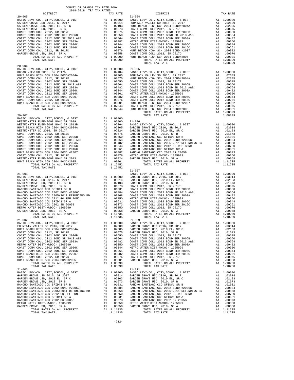| TAX RATE<br>DISTRICT     | DISTRICT   | TAX RATE |
|--------------------------|------------|----------|
| $20 - 905$<br>$20 - 906$ | $21 - 004$ |          |
|                          |            |          |
|                          |            |          |
|                          |            |          |
|                          |            |          |
|                          |            |          |

COUNTY OF ORANGE TAX RATE BOOK 2018-2019 TRA TAX RATES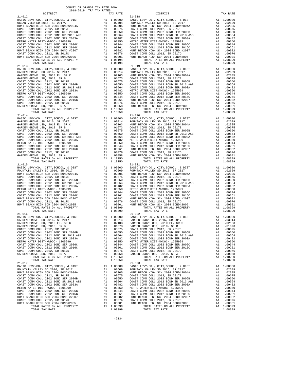| $21 - 012$<br>BASIC LEVY-CO., CITY, SCHOOL, & DIST                                                                                                                                                                                               | $\begin{tabular}{cc} & 21-018 \\ \text{A1} & 1.00000 & \text{BASIC L} \\ \text{A1} & 0.2404 & \text{FOUNTATE} \\ \text{A1} & 0.2305 & \text{HUNT BE} \\ \text{A1} & 0.0655 & \text{COAST C} \\ \text{A1} & 0.0654 & \text{COAST C} \\ \text{A1} & 0.0544 & \text{COAST C} \\ \text{A1} & 0.0350 & \text{METRO W} \\ \text{A1} & 0.0350 & \text{METRO W} \\ \text{A1} & 0.003$                   |                                                                                  | $21 - 018$ |
|--------------------------------------------------------------------------------------------------------------------------------------------------------------------------------------------------------------------------------------------------|-------------------------------------------------------------------------------------------------------------------------------------------------------------------------------------------------------------------------------------------------------------------------------------------------------------------------------------------------------------------------------------------------|----------------------------------------------------------------------------------|------------|
| OCEAN VIEW SD 2016, SR 2017A                                                                                                                                                                                                                     |                                                                                                                                                                                                                                                                                                                                                                                                 |                                                                                  |            |
| OCEAN VIEW SD 2016, SR 2017A<br>HUNT BEACH HIGH SCH 2004 BOND#2004A                                                                                                                                                                              |                                                                                                                                                                                                                                                                                                                                                                                                 |                                                                                  |            |
| COAST COMM COLL 2012, SR 2017E                                                                                                                                                                                                                   |                                                                                                                                                                                                                                                                                                                                                                                                 |                                                                                  |            |
| COAST COMM COLL 2002 BOND SER 2006B<br>COAST COMM COLL 20012 BOND SR 2013 A&B<br>COAST COMM COLL 2012 BOND SR 2013 A&B                                                                                                                           |                                                                                                                                                                                                                                                                                                                                                                                                 |                                                                                  |            |
| COAST COMM COLL 2002 BOND SER 2003A                                                                                                                                                                                                              |                                                                                                                                                                                                                                                                                                                                                                                                 |                                                                                  |            |
| METRO WATER DIST-MWDOC- 1205999                                                                                                                                                                                                                  |                                                                                                                                                                                                                                                                                                                                                                                                 |                                                                                  |            |
| COAST COMM COLL 2002 BOND SER 2006C                                                                                                                                                                                                              |                                                                                                                                                                                                                                                                                                                                                                                                 |                                                                                  |            |
| COAST COMM COLL 2012 BOND SER 2016C<br>HUNT BEACH HIGH SCH 2004 BOND #2007                                                                                                                                                                       |                                                                                                                                                                                                                                                                                                                                                                                                 |                                                                                  |            |
| COAST COMM COLL 2012, SR 2017D                                                                                                                                                                                                                   |                                                                                                                                                                                                                                                                                                                                                                                                 |                                                                                  |            |
| EUNT BEACH HIGH SCH 2004 BOND#2005                                                                                                                                                                                                               |                                                                                                                                                                                                                                                                                                                                                                                                 |                                                                                  |            |
| TOTAL RATES ON ALL PROPERTY                                                                                                                                                                                                                      |                                                                                                                                                                                                                                                                                                                                                                                                 |                                                                                  |            |
| TOTAL TAX RATE<br>$21 - 013$                                                                                                                                                                                                                     |                                                                                                                                                                                                                                                                                                                                                                                                 | 1.08194                                                                          | $21 - 019$ |
| BASIC LEVY-CO., CITY, SCHOOL, & DIST                                                                                                                                                                                                             | $\begin{tabular}{cc} & 21-019 \\ \text{Al} & 1.00000 & \text{BASIC L} \\ \text{Al} & 0.3014 & \text{FOUNTAH} \\ \text{Al} & 0.2103 & \text{HUNT BE} \\ \text{Al} & 0.1673 & \text{COAST C} \\ \text{Al} & 0.0675 & \text{COAST C} \\ \text{Al} & 0.06564 & \text{COAST C} \\ \text{Al} & 0.00564 & \text{COAST C} \\ \text{Al} & 0.00482 & \text{METRO W} \\ \text{Al} & 0.00482 & \text{METTO$ |                                                                                  |            |
| GARDEN GROVE USD 2016, SR 2017                                                                                                                                                                                                                   |                                                                                                                                                                                                                                                                                                                                                                                                 |                                                                                  |            |
| GARDEN GROVE USD, 2010 EL, SR C<br>GARDEN GROVE USD, 2010, SR B                                                                                                                                                                                  |                                                                                                                                                                                                                                                                                                                                                                                                 |                                                                                  |            |
| COAST COMM COLL 2012, SR 2017E                                                                                                                                                                                                                   |                                                                                                                                                                                                                                                                                                                                                                                                 |                                                                                  |            |
| COAST COMM COLL 2002 BOND SER 2006B                                                                                                                                                                                                              |                                                                                                                                                                                                                                                                                                                                                                                                 |                                                                                  |            |
| COAST COMM COLL 2012 BOND SR 2013 A&B<br>COAST COMM COLL 2002 BOND SER 2003A                                                                                                                                                                     |                                                                                                                                                                                                                                                                                                                                                                                                 |                                                                                  |            |
|                                                                                                                                                                                                                                                  |                                                                                                                                                                                                                                                                                                                                                                                                 |                                                                                  |            |
| METRO WATER DIST-MWDOC- 1205999                                                                                                                                                                                                                  |                                                                                                                                                                                                                                                                                                                                                                                                 |                                                                                  |            |
| COAST COMM COLL 2002 BOND SER 2006C<br>COAST COMM COLL 2012 BOND SER 2016C                                                                                                                                                                       |                                                                                                                                                                                                                                                                                                                                                                                                 |                                                                                  |            |
| COAST COMM COLL 2012, SR 2017D                                                                                                                                                                                                                   |                                                                                                                                                                                                                                                                                                                                                                                                 |                                                                                  |            |
| GARDEN GROVE USD, 2010, SR A                                                                                                                                                                                                                     |                                                                                                                                                                                                                                                                                                                                                                                                 |                                                                                  |            |
| TOTAL RATES ON ALL PROPERTY                                                                                                                                                                                                                      |                                                                                                                                                                                                                                                                                                                                                                                                 |                                                                                  |            |
| TOTAL TAX RATE<br>$21 - 014$                                                                                                                                                                                                                     |                                                                                                                                                                                                                                                                                                                                                                                                 | 1.10250                                                                          | $21 - 020$ |
| 21-014<br>BASIC LEVY-CO., CITY, SCHOOL, & DIST<br>The case of the case 2017                                                                                                                                                                      | 21-020<br>Al 1.0000 BASIC L<br>Al 0.0000 BASIC L<br>Al 0.0104 FOUNTAI<br>Al 0.02103 HUNT BE<br>Al 0.0675 COAST C<br>Al 0.0656 COAST C<br>Al 0.0656 COAST C<br>Al 0.0350 COAST C<br>Al 0.0350 COAST C<br>Al 0.0350 COAST C<br>Al 0.0264 HUNT BE<br>Al 0                                                                                                                                          |                                                                                  |            |
| GARDEN GROVE USD 2016, SR 2017                                                                                                                                                                                                                   |                                                                                                                                                                                                                                                                                                                                                                                                 |                                                                                  |            |
| GARDEN GROVE USD, 2010 EL, SR C                                                                                                                                                                                                                  |                                                                                                                                                                                                                                                                                                                                                                                                 |                                                                                  |            |
| GARDEN GROVE USD, 2010, SR B<br>COAST COMM COLL 2012, SR 2017E                                                                                                                                                                                   |                                                                                                                                                                                                                                                                                                                                                                                                 |                                                                                  |            |
| COAST COMM COLL 2002 BOND SER 2006B                                                                                                                                                                                                              |                                                                                                                                                                                                                                                                                                                                                                                                 |                                                                                  |            |
| COAST COMM COLL 2012 BOND SR 2013 A&B                                                                                                                                                                                                            |                                                                                                                                                                                                                                                                                                                                                                                                 |                                                                                  |            |
| COAST COMM COLL 2002 BOND SER 2003A                                                                                                                                                                                                              |                                                                                                                                                                                                                                                                                                                                                                                                 |                                                                                  |            |
| METRO WATER DIST-MWDOC- 1205999<br>METRO WALER DISI-PUBLIC SERVICE 2006C<br>COAST COMM COLL 2002 BOND SER 2006C<br>COAST COMM COLL 2012 BOND SER 2016C                                                                                           |                                                                                                                                                                                                                                                                                                                                                                                                 |                                                                                  |            |
| COAST COMM COLL 2012 BOND SER 2016C                                                                                                                                                                                                              |                                                                                                                                                                                                                                                                                                                                                                                                 |                                                                                  |            |
| COAST COMM COLL 2012, SR 2017D                                                                                                                                                                                                                   |                                                                                                                                                                                                                                                                                                                                                                                                 |                                                                                  |            |
| GARDEN GROVE USD, 2010, SR A                                                                                                                                                                                                                     |                                                                                                                                                                                                                                                                                                                                                                                                 |                                                                                  |            |
| TOTAL RATES ON ALL PROPERTY<br>TOTAL TAX RATE                                                                                                                                                                                                    |                                                                                                                                                                                                                                                                                                                                                                                                 | A1 1.10250<br>1.10250                                                            |            |
| $21 - 015$                                                                                                                                                                                                                                       |                                                                                                                                                                                                                                                                                                                                                                                                 |                                                                                  | $21 - 021$ |
| BASIC LEVY-CO., CITY, SCHOOL, & DIST                                                                                                                                                                                                             |                                                                                                                                                                                                                                                                                                                                                                                                 |                                                                                  |            |
| FOUNTAIN VALLEY SD 2016, SR 2017                                                                                                                                                                                                                 |                                                                                                                                                                                                                                                                                                                                                                                                 |                                                                                  |            |
| HUNT BEACH HIGH SCH 2004 BOND#2004A<br>COAST COMM COLL 2012, SR 2017E                                                                                                                                                                            |                                                                                                                                                                                                                                                                                                                                                                                                 |                                                                                  |            |
| COAST COMM COLL 2002 BOND SER 2006B                                                                                                                                                                                                              |                                                                                                                                                                                                                                                                                                                                                                                                 |                                                                                  |            |
| COAST COMM COLL 2012 BOND SR 2013 A&B                                                                                                                                                                                                            |                                                                                                                                                                                                                                                                                                                                                                                                 |                                                                                  |            |
| COAST COMM COLL 2002 BOND SER 2003A                                                                                                                                                                                                              |                                                                                                                                                                                                                                                                                                                                                                                                 |                                                                                  |            |
| METRO WATER DIST-MWDOC- 1205999<br>COAST COMM COLL 2002 BOND SER 2006C                                                                                                                                                                           |                                                                                                                                                                                                                                                                                                                                                                                                 |                                                                                  |            |
| COAST COMM COLL 2012 BOND SER 2016C                                                                                                                                                                                                              |                                                                                                                                                                                                                                                                                                                                                                                                 |                                                                                  |            |
| HUNT BEACH HIGH SCH 2004 BOND #2007                                                                                                                                                                                                              |                                                                                                                                                                                                                                                                                                                                                                                                 |                                                                                  |            |
| COAST COMM COLL 2012, SR 2017D                                                                                                                                                                                                                   |                                                                                                                                                                                                                                                                                                                                                                                                 |                                                                                  |            |
| HUNT BEACH HIGH SCH 2004 BOND#2005<br>TOTAL RATES ON ALL PROPERTY                                                                                                                                                                                |                                                                                                                                                                                                                                                                                                                                                                                                 | A1 1.08399                                                                       |            |
| TOTAL TAX RATE                                                                                                                                                                                                                                   |                                                                                                                                                                                                                                                                                                                                                                                                 | 1.08399                                                                          |            |
|                                                                                                                                                                                                                                                  |                                                                                                                                                                                                                                                                                                                                                                                                 |                                                                                  |            |
|                                                                                                                                                                                                                                                  |                                                                                                                                                                                                                                                                                                                                                                                                 |                                                                                  |            |
|                                                                                                                                                                                                                                                  |                                                                                                                                                                                                                                                                                                                                                                                                 |                                                                                  |            |
|                                                                                                                                                                                                                                                  |                                                                                                                                                                                                                                                                                                                                                                                                 |                                                                                  |            |
|                                                                                                                                                                                                                                                  |                                                                                                                                                                                                                                                                                                                                                                                                 | .00675 COAST C<br>.00650 COAST C                                                 |            |
|                                                                                                                                                                                                                                                  |                                                                                                                                                                                                                                                                                                                                                                                                 |                                                                                  |            |
| COAST COMM COLL 2012 BOND SR 2013 A&B<br>COAST COMM COLL 2002 BOND SER 2003A                                                                                                                                                                     |                                                                                                                                                                                                                                                                                                                                                                                                 |                                                                                  |            |
| METRO WATER DIST-MWDOC- 1205999                                                                                                                                                                                                                  |                                                                                                                                                                                                                                                                                                                                                                                                 | A1 .00564 COAST C<br>A1 .00482 COAST C<br>A1 .00350 METRO W<br>A1 .00344 COAST C |            |
| COAST COMM COLL 2002 BOND SER 2006C                                                                                                                                                                                                              |                                                                                                                                                                                                                                                                                                                                                                                                 |                                                                                  |            |
| COAST COMM COLL 2012 BOND SER 2016C                                                                                                                                                                                                              |                                                                                                                                                                                                                                                                                                                                                                                                 | A1 .00261 COAST C<br>A1 .00076 COAST C<br>A1 .00058 GARDEN<br>A1 1.10250         |            |
| COAST COMM COLL 2012, SR 2017D<br>GARDEN GROVE USD, 2010, SR A                                                                                                                                                                                   |                                                                                                                                                                                                                                                                                                                                                                                                 |                                                                                  |            |
| TOTAL RATES ON ALL PROPERTY                                                                                                                                                                                                                      |                                                                                                                                                                                                                                                                                                                                                                                                 | A1 1.10250                                                                       |            |
| TOTAL TAX RATE                                                                                                                                                                                                                                   |                                                                                                                                                                                                                                                                                                                                                                                                 | 1.10250                                                                          |            |
| $21 - 017$                                                                                                                                                                                                                                       |                                                                                                                                                                                                                                                                                                                                                                                                 |                                                                                  | $21 - 023$ |
| BASIC LEVY-CO., CITY, SCHOOL, & DIST<br>FOUNTAIN VALLEY SD 2016, SR 2017                                                                                                                                                                         |                                                                                                                                                                                                                                                                                                                                                                                                 |                                                                                  |            |
| HUNT BEACH HIGH SCH 2004 BOND#2004A                                                                                                                                                                                                              |                                                                                                                                                                                                                                                                                                                                                                                                 |                                                                                  |            |
| COAST COMM COLL 2012, SR 2017E                                                                                                                                                                                                                   |                                                                                                                                                                                                                                                                                                                                                                                                 |                                                                                  |            |
| COAST COMM COLL 2002 SOND SER 2006B<br>COAST COMM COLL 2002 BOND SER 2006B<br>COAST COMM COLL 2002 BOND SER 2003A<br>COAST COMM COLL 2002 BOND SER 2003A<br>METRO WATER DIST-MWDOC- 1205999<br>COAST COMM COLL 2012 BOND SER 2016C<br>HUNT BEACH |                                                                                                                                                                                                                                                                                                                                                                                                 |                                                                                  |            |
|                                                                                                                                                                                                                                                  |                                                                                                                                                                                                                                                                                                                                                                                                 |                                                                                  |            |
|                                                                                                                                                                                                                                                  |                                                                                                                                                                                                                                                                                                                                                                                                 |                                                                                  |            |
|                                                                                                                                                                                                                                                  |                                                                                                                                                                                                                                                                                                                                                                                                 |                                                                                  |            |
|                                                                                                                                                                                                                                                  |                                                                                                                                                                                                                                                                                                                                                                                                 |                                                                                  |            |
|                                                                                                                                                                                                                                                  |                                                                                                                                                                                                                                                                                                                                                                                                 |                                                                                  |            |
| COAST COMM COLL 2012, SR 2017D<br>HUNT BEACH HIGH SCH 2004 BOND#2005                                                                                                                                                                             |                                                                                                                                                                                                                                                                                                                                                                                                 |                                                                                  |            |
|                                                                                                                                                                                                                                                  |                                                                                                                                                                                                                                                                                                                                                                                                 |                                                                                  |            |

| COUNTY OF ORANGE TAX RATE BOOK<br>2018-2019 TRA TAX RATES |          |            |          |
|-----------------------------------------------------------|----------|------------|----------|
| DISTRICT                                                  | TAX RATE | DISTRICT   | TAX RATE |
| $21 - 012$                                                |          | $21 - 018$ |          |
|                                                           |          |            |          |
|                                                           |          |            |          |
|                                                           |          |            |          |
|                                                           |          |            |          |
|                                                           |          |            |          |
|                                                           |          |            |          |
|                                                           |          |            |          |
|                                                           |          |            |          |
|                                                           |          |            |          |
| $21 - 013$                                                |          | $21 - 019$ |          |
|                                                           |          |            |          |
|                                                           |          |            |          |
|                                                           |          |            |          |
|                                                           |          |            |          |
|                                                           |          |            |          |
|                                                           |          |            |          |
|                                                           |          |            |          |
|                                                           |          |            |          |
|                                                           |          |            |          |
|                                                           |          |            |          |
|                                                           |          |            |          |
|                                                           |          |            |          |
|                                                           |          |            |          |
|                                                           |          |            |          |
|                                                           |          |            |          |
|                                                           |          |            |          |
|                                                           |          |            |          |
|                                                           |          |            |          |
|                                                           |          |            |          |
|                                                           |          |            |          |
|                                                           |          |            |          |
|                                                           |          |            |          |
|                                                           |          |            |          |
|                                                           |          |            |          |
|                                                           |          |            |          |
|                                                           |          |            |          |
|                                                           |          |            |          |
|                                                           |          |            |          |
|                                                           |          |            |          |
|                                                           |          |            |          |
|                                                           |          |            |          |
|                                                           |          |            |          |
|                                                           |          |            |          |
|                                                           |          |            |          |
|                                                           |          |            |          |
|                                                           |          |            |          |
|                                                           |          |            |          |
|                                                           |          |            |          |
|                                                           |          |            |          |
|                                                           |          |            |          |
|                                                           |          |            |          |
|                                                           |          |            |          |
|                                                           |          |            |          |
|                                                           |          |            |          |
|                                                           |          |            |          |
|                                                           |          |            |          |
|                                                           |          |            |          |
|                                                           |          |            |          |
|                                                           |          |            |          |
|                                                           |          |            |          |
|                                                           |          |            |          |
|                                                           |          |            |          |
|                                                           |          |            |          |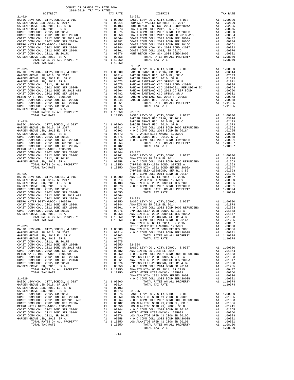| COUNTY OF ORANGE TAX RATE BOOK<br>2018-2019 TRA TAX RATES                                                                                                                                                                                                                       |    |                                                                                                                                                                                        |                 |
|---------------------------------------------------------------------------------------------------------------------------------------------------------------------------------------------------------------------------------------------------------------------------------|----|----------------------------------------------------------------------------------------------------------------------------------------------------------------------------------------|-----------------|
| DISTRICT<br>$21 - 024$                                                                                                                                                                                                                                                          |    | TAX RATE                                                                                                                                                                               | $21 - 901$      |
|                                                                                                                                                                                                                                                                                 |    |                                                                                                                                                                                        |                 |
|                                                                                                                                                                                                                                                                                 |    |                                                                                                                                                                                        |                 |
|                                                                                                                                                                                                                                                                                 |    |                                                                                                                                                                                        |                 |
|                                                                                                                                                                                                                                                                                 |    |                                                                                                                                                                                        |                 |
|                                                                                                                                                                                                                                                                                 |    |                                                                                                                                                                                        |                 |
|                                                                                                                                                                                                                                                                                 |    |                                                                                                                                                                                        |                 |
|                                                                                                                                                                                                                                                                                 |    |                                                                                                                                                                                        |                 |
|                                                                                                                                                                                                                                                                                 |    |                                                                                                                                                                                        |                 |
|                                                                                                                                                                                                                                                                                 |    |                                                                                                                                                                                        |                 |
|                                                                                                                                                                                                                                                                                 |    |                                                                                                                                                                                        |                 |
|                                                                                                                                                                                                                                                                                 |    |                                                                                                                                                                                        |                 |
|                                                                                                                                                                                                                                                                                 |    |                                                                                                                                                                                        |                 |
| TOTAL TAX RATE                                                                                                                                                                                                                                                                  |    | 1.10250                                                                                                                                                                                | $21 - 902$      |
| $21 - 025$                                                                                                                                                                                                                                                                      |    |                                                                                                                                                                                        | BASIC L         |
|                                                                                                                                                                                                                                                                                 |    |                                                                                                                                                                                        |                 |
|                                                                                                                                                                                                                                                                                 |    |                                                                                                                                                                                        |                 |
|                                                                                                                                                                                                                                                                                 |    |                                                                                                                                                                                        |                 |
|                                                                                                                                                                                                                                                                                 |    |                                                                                                                                                                                        |                 |
|                                                                                                                                                                                                                                                                                 |    |                                                                                                                                                                                        |                 |
|                                                                                                                                                                                                                                                                                 |    |                                                                                                                                                                                        |                 |
|                                                                                                                                                                                                                                                                                 |    |                                                                                                                                                                                        |                 |
|                                                                                                                                                                                                                                                                                 |    |                                                                                                                                                                                        |                 |
|                                                                                                                                                                                                                                                                                 |    |                                                                                                                                                                                        |                 |
|                                                                                                                                                                                                                                                                                 |    |                                                                                                                                                                                        |                 |
|                                                                                                                                                                                                                                                                                 |    |                                                                                                                                                                                        |                 |
| VELOCAT COMM COLL 2012 BOND SER 2006C<br>COAST COMM COLL 2012 BOND SER 2016C<br>COAST COMM COLL 2012 BOND SER 2016C<br>COAST COMM COLL 2012 BOND SER 2016C<br>COAST COMM COLL 2012 BOND SER 2016C<br>A1 .00076<br>SARDEN GROUE USD, 2010,                                       |    |                                                                                                                                                                                        | $22 - 001$      |
| TOTAL TAX RATE                                                                                                                                                                                                                                                                  |    | $1.10250$ BASIC L                                                                                                                                                                      |                 |
|                                                                                                                                                                                                                                                                                 |    |                                                                                                                                                                                        | GARDEN          |
| $21 - 026$<br>BASIC LEVY-CO., CITY, SCHOOL, & DIST                                                                                                                                                                                                                              |    | GARDEN<br>A1 1.00000 GARDEN<br>A1 .03014 NOCC<br>A1 .02103 NOCC<br>A1 .01673 METROW<br>A1 .00655 GARDEN<br>A1 .00656 NOCC<br>A1 .00650 NOCC<br>A1 .00664<br>A1 .00656                  | GARDEN          |
| GARDEN GROVE USD 2016, SR 2017                                                                                                                                                                                                                                                  |    |                                                                                                                                                                                        |                 |
| GARDEN GROVE USD, 2010 EL, SR C                                                                                                                                                                                                                                                 |    |                                                                                                                                                                                        |                 |
| GARDEN GROVE USD, 2010, SR B                                                                                                                                                                                                                                                    |    |                                                                                                                                                                                        |                 |
| COAST COMM COLL 2012, SR 2017E<br>COAST COMM COLL 2002 BOND SER 2006B<br>COAST COMM COLL 2012 BOND SER 2003 A&B<br>COAST COMM COLL 2002 BOND SER 2003A<br>METRO WATER DIET METRO 10025 BOND SER 2003A                                                                           |    |                                                                                                                                                                                        |                 |
|                                                                                                                                                                                                                                                                                 |    |                                                                                                                                                                                        |                 |
|                                                                                                                                                                                                                                                                                 |    |                                                                                                                                                                                        |                 |
| METRO WATER DIST-MWDOC- 1205999                                                                                                                                                                                                                                                 |    |                                                                                                                                                                                        |                 |
|                                                                                                                                                                                                                                                                                 |    |                                                                                                                                                                                        |                 |
| METRO WATER DIST-MWDUC- 1200377<br>COAST COMM COLL 2002 BOND SER 2006C<br>COAST COMM COLL 2012 BOND SER 2016C<br>COAST COMM COLL 2012, SR 2017D<br>GARDEN GROVE USD, 2010, SR A<br>TOTAL RATES ON ALL PROPERTY                                                                  |    | A1 .00042<br>A1 .00482<br>A1 .00350<br>A1 .00350<br>A1 .00261 BASIC L<br>A1 .00076 ANAHEIM<br>A1 .00076 NORCEN<br>A1 .00076 NORCEN<br>A1 1.10250 CYPRESS<br>1.10250 ANAHEIM<br>CYPRESS |                 |
|                                                                                                                                                                                                                                                                                 |    |                                                                                                                                                                                        |                 |
|                                                                                                                                                                                                                                                                                 |    |                                                                                                                                                                                        |                 |
| TOTAL TAX RATE                                                                                                                                                                                                                                                                  |    |                                                                                                                                                                                        |                 |
|                                                                                                                                                                                                                                                                                 |    |                                                                                                                                                                                        | CYPRESS         |
| $21 - 027$                                                                                                                                                                                                                                                                      |    |                                                                                                                                                                                        | NOCC            |
| BASIC LEVY-CO., CITY, SCHOOL, & DIST                                                                                                                                                                                                                                            |    | A1 1.00000 ANAHEIM<br>A1 .03014 METRO W<br>A1 .02103 ANAHEIM<br>A1 .01673 NOCC                                                                                                         |                 |
| GARDEN GROVE USD 2016, SR 2017                                                                                                                                                                                                                                                  |    |                                                                                                                                                                                        |                 |
| GARDEN GROVE USD, 2010 EL, SR C<br>GARDEN GROVE USD, 2010, SR B                                                                                                                                                                                                                 |    |                                                                                                                                                                                        |                 |
| COAST COMM COLL 2012, SR 2017E                                                                                                                                                                                                                                                  |    | A1 .00675                                                                                                                                                                              |                 |
| COAST COMM COLL 2012, SOND SER 2006B<br>COAST COMM COLL 2012 BOND SR 2013 A&B<br>COAST COMM COLL 2012 BOND SR 2013 A&B<br>COAST COMM COLL 2002 BOND SER 2003A                                                                                                                   |    | A1 .00650                                                                                                                                                                              |                 |
| COAST COMM COLL 2002 BOND SER 2003A                                                                                                                                                                                                                                             |    | A1 .00564                                                                                                                                                                              |                 |
|                                                                                                                                                                                                                                                                                 | A1 |                                                                                                                                                                                        | $.00482 22-003$ |
|                                                                                                                                                                                                                                                                                 |    |                                                                                                                                                                                        |                 |
|                                                                                                                                                                                                                                                                                 |    |                                                                                                                                                                                        |                 |
|                                                                                                                                                                                                                                                                                 |    |                                                                                                                                                                                        |                 |
|                                                                                                                                                                                                                                                                                 |    |                                                                                                                                                                                        |                 |
|                                                                                                                                                                                                                                                                                 |    |                                                                                                                                                                                        |                 |
|                                                                                                                                                                                                                                                                                 |    |                                                                                                                                                                                        | ANAHEIM         |
| $21 - 028$                                                                                                                                                                                                                                                                      |    |                                                                                                                                                                                        | METRO W         |
| BASIC LEVY-CO., CITY, SCHOOL, & DIST                                                                                                                                                                                                                                            |    | A1 1.00000 ANAHEIM<br>A1 .03014 NOCC                                                                                                                                                   |                 |
| GARDEN GROVE USD 2016, SR 2017                                                                                                                                                                                                                                                  |    |                                                                                                                                                                                        |                 |
| GARDEN GROVE USD, 2010 EL, SR C<br>GARDEN GROVE USD, 2010, SR B                                                                                                                                                                                                                 | A1 | .02103                                                                                                                                                                                 |                 |
| COAST COMM COLL 2012, SR 2017E                                                                                                                                                                                                                                                  | A1 | .01673                                                                                                                                                                                 |                 |
| COAST COMM COLL 2002 BOND SER 2006B                                                                                                                                                                                                                                             |    |                                                                                                                                                                                        |                 |
| COAST COMM COLL 2012 BOND SR 2013 A&B<br>COAST COMM COLL 2002 BOND SER 2003A                                                                                                                                                                                                    |    |                                                                                                                                                                                        |                 |
|                                                                                                                                                                                                                                                                                 |    |                                                                                                                                                                                        |                 |
| METRO WATER DIST-MWDOC- 1205999                                                                                                                                                                                                                                                 |    |                                                                                                                                                                                        |                 |
| COAST COMM COLL 2002 BOND SER 2006C<br>COAST COMM COLL 2012 BOND SER 2016C                                                                                                                                                                                                      |    |                                                                                                                                                                                        |                 |
| COAST COMM COLL 2012, SR 2017D                                                                                                                                                                                                                                                  |    |                                                                                                                                                                                        |                 |
| GARDEN GROVE USD, 2010, SR A                                                                                                                                                                                                                                                    |    |                                                                                                                                                                                        |                 |
| TOTAL RATES ON ALL PROPERTY                                                                                                                                                                                                                                                     |    |                                                                                                                                                                                        |                 |
| TOTAL TAX RATE                                                                                                                                                                                                                                                                  |    |                                                                                                                                                                                        |                 |
| A1 .00650 22-004<br>A1 .00650 BASIC L<br>A1 .00482 ANAHEIM<br>A1 .00482 ANAHEIM<br>A1 .00350 N O C C<br>A1 .00364 CYPRESS<br>A1 .00076 CYPRESS<br>A1 .00076 CYPRESS<br>A1 .00076 CYPRESS<br>A1 .00076 N O C C<br>A1 .110250 ANAHEIM<br>1.10250 METRO W<br>1.00258<br>$21 - 029$ |    |                                                                                                                                                                                        | NOCC            |
| BASIC LEVY-CO., CITY, SCHOOL, & DIST                                                                                                                                                                                                                                            |    | A1 1.00000                                                                                                                                                                             |                 |
| GARDEN GROVE USD 2016, SR 2017                                                                                                                                                                                                                                                  |    | A1 .03014                                                                                                                                                                              |                 |
| GARDEN GROVE USD, 2010 EL, SR C                                                                                                                                                                                                                                                 | A1 | .02103                                                                                                                                                                                 |                 |
| GARDEN GROVE USD, 2010, SR B                                                                                                                                                                                                                                                    | A1 | .01673                                                                                                                                                                                 | $22 - 005$      |
| COAST COMM COLL 2012, SR 2017E<br>COAST COMM COLL 2002 BOND SER 2006B                                                                                                                                                                                                           |    |                                                                                                                                                                                        |                 |
|                                                                                                                                                                                                                                                                                 |    |                                                                                                                                                                                        |                 |
| COAST COMM COLL 2012 BOND SR 2013 A&B<br>COAST COMM COLL 2002 BOND SER 2003A                                                                                                                                                                                                    |    |                                                                                                                                                                                        |                 |
| METRO WATER DIST-MWDOC- 1205999                                                                                                                                                                                                                                                 |    |                                                                                                                                                                                        |                 |
| COAST COMM COLL 2002 BOND SER 2006C                                                                                                                                                                                                                                             |    |                                                                                                                                                                                        |                 |
| COAST COMM COLL 2012 BOND SER 2016C<br>COAST COMM COLL 2012, SR 2017D                                                                                                                                                                                                           |    |                                                                                                                                                                                        |                 |
| A1 .01673 22-005<br>A1 .00650 DOS ALACTES<br>A1 .00650 DOS ALACTES<br>A1 .00650 DOS ALACTES<br>A1 .00482 DOS ALACTES<br>A1 .00344 MOCCO<br>A1 .00261 METRO W<br>A1 .00056 MOCCO<br>A1 .00056 MOCCO<br>A1 .00058 MOCCO<br>GARDEN GROVE USD, 2010, SR A                           |    |                                                                                                                                                                                        |                 |
| TOTAL RATES ON ALL PROPERTY                                                                                                                                                                                                                                                     |    |                                                                                                                                                                                        |                 |
| TOTAL TAX RATE                                                                                                                                                                                                                                                                  |    | 1.10250                                                                                                                                                                                |                 |

| DISTRICT   | 2018-2019 TRA TAX RATES | TAX RATE | DISTRICT   | TAX RATE |
|------------|-------------------------|----------|------------|----------|
| $21 - 024$ |                         |          | $21 - 901$ |          |
|            |                         |          |            |          |
|            |                         |          |            |          |
|            |                         |          |            |          |
|            |                         |          |            |          |
|            |                         |          |            |          |
|            |                         |          |            |          |
|            |                         |          |            |          |
|            |                         |          |            |          |
|            |                         |          |            |          |
|            |                         |          |            |          |
|            |                         |          |            |          |
|            |                         |          |            |          |
|            |                         |          |            |          |
|            |                         |          |            |          |
|            |                         |          |            |          |
|            |                         |          |            |          |
|            |                         |          |            |          |
|            |                         |          |            |          |
|            |                         |          |            |          |
|            |                         |          |            |          |
|            |                         |          |            |          |
|            |                         |          |            |          |
|            |                         |          |            |          |
|            |                         |          |            |          |
|            |                         |          |            |          |
|            |                         |          |            |          |
|            |                         |          |            |          |
|            |                         |          |            |          |
|            |                         |          |            |          |
|            |                         |          |            |          |
|            |                         |          |            |          |
|            |                         |          |            |          |
|            |                         |          |            |          |
|            |                         |          |            |          |
|            |                         |          |            |          |
|            |                         |          |            |          |
|            |                         |          |            |          |
|            |                         |          |            |          |
|            |                         |          |            |          |
|            |                         |          |            |          |
|            |                         |          |            |          |
|            |                         |          |            |          |
|            |                         |          |            |          |
|            |                         |          |            |          |
|            |                         |          |            |          |
|            |                         |          |            |          |
|            |                         |          |            |          |
|            |                         |          |            |          |
|            |                         |          |            |          |
|            |                         |          |            |          |
|            |                         |          |            |          |
|            |                         |          |            |          |
|            |                         |          |            |          |
|            |                         |          |            |          |
|            |                         |          |            |          |
|            |                         |          |            |          |
|            |                         |          |            |          |
|            |                         |          |            |          |
|            |                         |          |            |          |
|            |                         |          |            |          |
|            |                         |          |            |          |
|            |                         |          |            |          |
|            |                         |          |            |          |
|            |                         |          |            |          |
|            |                         |          |            |          |
|            |                         |          |            |          |
|            |                         |          |            |          |
|            |                         |          |            |          |
|            |                         |          |            |          |
|            |                         |          |            |          |
|            |                         |          |            |          |
|            |                         |          |            |          |
|            |                         |          |            |          |
|            |                         |          |            |          |
|            |                         |          |            |          |
|            |                         |          |            |          |
|            |                         |          |            |          |
|            |                         |          |            |          |
|            |                         |          |            |          |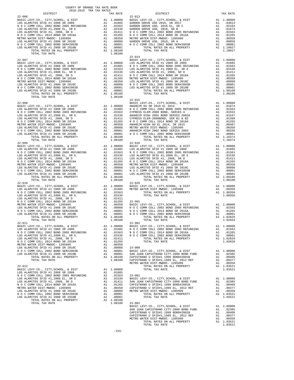| $\begin{tabular}{l c c c c} \multicolumn{1}{c}{\textbf{22-006}} & \multicolumn{1}{c}{\textbf{22-006}} & \multicolumn{1}{c}{\textbf{22-006}} & \multicolumn{1}{c}{\textbf{22-006}} & \multicolumn{1}{c}{\textbf{22-007}} & \multicolumn{1}{c}{\textbf{22-013}} & \multicolumn{1}{c}{\textbf{22-013}} & \multicolumn{1}{c}{\textbf{22-013}} & \multicolumn{1}{c}{\textbf{22-013}} & \multicolumn{1}{c}{\textbf{22$ |                                                                                                                                                                                                |  |
|------------------------------------------------------------------------------------------------------------------------------------------------------------------------------------------------------------------------------------------------------------------------------------------------------------------------------------------------------------------------------------------------------------------|------------------------------------------------------------------------------------------------------------------------------------------------------------------------------------------------|--|
|                                                                                                                                                                                                                                                                                                                                                                                                                  |                                                                                                                                                                                                |  |
|                                                                                                                                                                                                                                                                                                                                                                                                                  |                                                                                                                                                                                                |  |
|                                                                                                                                                                                                                                                                                                                                                                                                                  |                                                                                                                                                                                                |  |
|                                                                                                                                                                                                                                                                                                                                                                                                                  |                                                                                                                                                                                                |  |
|                                                                                                                                                                                                                                                                                                                                                                                                                  |                                                                                                                                                                                                |  |
|                                                                                                                                                                                                                                                                                                                                                                                                                  |                                                                                                                                                                                                |  |
|                                                                                                                                                                                                                                                                                                                                                                                                                  |                                                                                                                                                                                                |  |
|                                                                                                                                                                                                                                                                                                                                                                                                                  |                                                                                                                                                                                                |  |
|                                                                                                                                                                                                                                                                                                                                                                                                                  |                                                                                                                                                                                                |  |
|                                                                                                                                                                                                                                                                                                                                                                                                                  |                                                                                                                                                                                                |  |
|                                                                                                                                                                                                                                                                                                                                                                                                                  |                                                                                                                                                                                                |  |
|                                                                                                                                                                                                                                                                                                                                                                                                                  |                                                                                                                                                                                                |  |
|                                                                                                                                                                                                                                                                                                                                                                                                                  |                                                                                                                                                                                                |  |
|                                                                                                                                                                                                                                                                                                                                                                                                                  |                                                                                                                                                                                                |  |
|                                                                                                                                                                                                                                                                                                                                                                                                                  |                                                                                                                                                                                                |  |
|                                                                                                                                                                                                                                                                                                                                                                                                                  |                                                                                                                                                                                                |  |
|                                                                                                                                                                                                                                                                                                                                                                                                                  |                                                                                                                                                                                                |  |
|                                                                                                                                                                                                                                                                                                                                                                                                                  |                                                                                                                                                                                                |  |
|                                                                                                                                                                                                                                                                                                                                                                                                                  |                                                                                                                                                                                                |  |
|                                                                                                                                                                                                                                                                                                                                                                                                                  |                                                                                                                                                                                                |  |
|                                                                                                                                                                                                                                                                                                                                                                                                                  |                                                                                                                                                                                                |  |
|                                                                                                                                                                                                                                                                                                                                                                                                                  |                                                                                                                                                                                                |  |
|                                                                                                                                                                                                                                                                                                                                                                                                                  |                                                                                                                                                                                                |  |
|                                                                                                                                                                                                                                                                                                                                                                                                                  |                                                                                                                                                                                                |  |
|                                                                                                                                                                                                                                                                                                                                                                                                                  |                                                                                                                                                                                                |  |
|                                                                                                                                                                                                                                                                                                                                                                                                                  |                                                                                                                                                                                                |  |
|                                                                                                                                                                                                                                                                                                                                                                                                                  |                                                                                                                                                                                                |  |
|                                                                                                                                                                                                                                                                                                                                                                                                                  |                                                                                                                                                                                                |  |
|                                                                                                                                                                                                                                                                                                                                                                                                                  |                                                                                                                                                                                                |  |
|                                                                                                                                                                                                                                                                                                                                                                                                                  |                                                                                                                                                                                                |  |
|                                                                                                                                                                                                                                                                                                                                                                                                                  |                                                                                                                                                                                                |  |
|                                                                                                                                                                                                                                                                                                                                                                                                                  |                                                                                                                                                                                                |  |
|                                                                                                                                                                                                                                                                                                                                                                                                                  |                                                                                                                                                                                                |  |
|                                                                                                                                                                                                                                                                                                                                                                                                                  |                                                                                                                                                                                                |  |
|                                                                                                                                                                                                                                                                                                                                                                                                                  |                                                                                                                                                                                                |  |
|                                                                                                                                                                                                                                                                                                                                                                                                                  |                                                                                                                                                                                                |  |
|                                                                                                                                                                                                                                                                                                                                                                                                                  |                                                                                                                                                                                                |  |
|                                                                                                                                                                                                                                                                                                                                                                                                                  |                                                                                                                                                                                                |  |
|                                                                                                                                                                                                                                                                                                                                                                                                                  |                                                                                                                                                                                                |  |
|                                                                                                                                                                                                                                                                                                                                                                                                                  |                                                                                                                                                                                                |  |
|                                                                                                                                                                                                                                                                                                                                                                                                                  |                                                                                                                                                                                                |  |
|                                                                                                                                                                                                                                                                                                                                                                                                                  |                                                                                                                                                                                                |  |
|                                                                                                                                                                                                                                                                                                                                                                                                                  |                                                                                                                                                                                                |  |
|                                                                                                                                                                                                                                                                                                                                                                                                                  |                                                                                                                                                                                                |  |
|                                                                                                                                                                                                                                                                                                                                                                                                                  |                                                                                                                                                                                                |  |
|                                                                                                                                                                                                                                                                                                                                                                                                                  |                                                                                                                                                                                                |  |
|                                                                                                                                                                                                                                                                                                                                                                                                                  |                                                                                                                                                                                                |  |
|                                                                                                                                                                                                                                                                                                                                                                                                                  |                                                                                                                                                                                                |  |
|                                                                                                                                                                                                                                                                                                                                                                                                                  |                                                                                                                                                                                                |  |
|                                                                                                                                                                                                                                                                                                                                                                                                                  |                                                                                                                                                                                                |  |
|                                                                                                                                                                                                                                                                                                                                                                                                                  |                                                                                                                                                                                                |  |
|                                                                                                                                                                                                                                                                                                                                                                                                                  |                                                                                                                                                                                                |  |
|                                                                                                                                                                                                                                                                                                                                                                                                                  |                                                                                                                                                                                                |  |
|                                                                                                                                                                                                                                                                                                                                                                                                                  |                                                                                                                                                                                                |  |
|                                                                                                                                                                                                                                                                                                                                                                                                                  |                                                                                                                                                                                                |  |
|                                                                                                                                                                                                                                                                                                                                                                                                                  |                                                                                                                                                                                                |  |
|                                                                                                                                                                                                                                                                                                                                                                                                                  |                                                                                                                                                                                                |  |
|                                                                                                                                                                                                                                                                                                                                                                                                                  |                                                                                                                                                                                                |  |
|                                                                                                                                                                                                                                                                                                                                                                                                                  |                                                                                                                                                                                                |  |
|                                                                                                                                                                                                                                                                                                                                                                                                                  |                                                                                                                                                                                                |  |
|                                                                                                                                                                                                                                                                                                                                                                                                                  |                                                                                                                                                                                                |  |
|                                                                                                                                                                                                                                                                                                                                                                                                                  |                                                                                                                                                                                                |  |
|                                                                                                                                                                                                                                                                                                                                                                                                                  |                                                                                                                                                                                                |  |
|                                                                                                                                                                                                                                                                                                                                                                                                                  |                                                                                                                                                                                                |  |
|                                                                                                                                                                                                                                                                                                                                                                                                                  |                                                                                                                                                                                                |  |
|                                                                                                                                                                                                                                                                                                                                                                                                                  |                                                                                                                                                                                                |  |
|                                                                                                                                                                                                                                                                                                                                                                                                                  |                                                                                                                                                                                                |  |
|                                                                                                                                                                                                                                                                                                                                                                                                                  |                                                                                                                                                                                                |  |
|                                                                                                                                                                                                                                                                                                                                                                                                                  |                                                                                                                                                                                                |  |
|                                                                                                                                                                                                                                                                                                                                                                                                                  |                                                                                                                                                                                                |  |
|                                                                                                                                                                                                                                                                                                                                                                                                                  |                                                                                                                                                                                                |  |
|                                                                                                                                                                                                                                                                                                                                                                                                                  |                                                                                                                                                                                                |  |
|                                                                                                                                                                                                                                                                                                                                                                                                                  | BASIC LEVY-CO., CITY, SCHOOL, & DIST<br>SAN JUAN CAPISTRANO CITY-2008 BOND FUND A1 .02385<br>CAPISTRANO U SFID#1 1999 EL. 2012 REF A1 .00409<br>APISTRANO U SFID#1.1999 EL. 2012 REF A1 .00377 |  |
|                                                                                                                                                                                                                                                                                                                                                                                                                  |                                                                                                                                                                                                |  |
|                                                                                                                                                                                                                                                                                                                                                                                                                  |                                                                                                                                                                                                |  |

|            | N O COMM COLL 2014 BOND SR 2016A<br>M O COMM COLL 2014 BOND SR 2016A<br>M O COMM COLL 2014 BOND SR 2016A<br>M O COMM COLL 2014 BOND SR 2016A<br>M O COMM COLL 2014 BOND SR 2016A<br>M O COMM COLL 2014 BOND SR 2016A<br>M O COMM COLL 2014 |         |
|------------|--------------------------------------------------------------------------------------------------------------------------------------------------------------------------------------------------------------------------------------------|---------|
|            | $22 - 015$                                                                                                                                                                                                                                 |         |
|            |                                                                                                                                                                                                                                            |         |
|            |                                                                                                                                                                                                                                            |         |
| $22 - 011$ | $22 - 902$                                                                                                                                                                                                                                 |         |
|            |                                                                                                                                                                                                                                            |         |
|            |                                                                                                                                                                                                                                            |         |
|            | TOTAL TAX RATE                                                                                                                                                                                                                             | 1.03521 |

-215-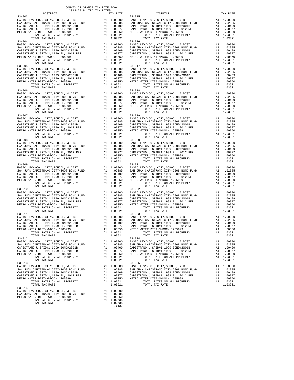|                                                                                                                                                                                                                                                                                                                                                                                                                                                                             |         | $23 - 021$                                                                                                                                                                                                                                                                                                                                                                                                            |         |
|-----------------------------------------------------------------------------------------------------------------------------------------------------------------------------------------------------------------------------------------------------------------------------------------------------------------------------------------------------------------------------------------------------------------------------------------------------------------------------|---------|-----------------------------------------------------------------------------------------------------------------------------------------------------------------------------------------------------------------------------------------------------------------------------------------------------------------------------------------------------------------------------------------------------------------------|---------|
|                                                                                                                                                                                                                                                                                                                                                                                                                                                                             |         |                                                                                                                                                                                                                                                                                                                                                                                                                       |         |
|                                                                                                                                                                                                                                                                                                                                                                                                                                                                             |         |                                                                                                                                                                                                                                                                                                                                                                                                                       |         |
|                                                                                                                                                                                                                                                                                                                                                                                                                                                                             |         |                                                                                                                                                                                                                                                                                                                                                                                                                       |         |
|                                                                                                                                                                                                                                                                                                                                                                                                                                                                             |         |                                                                                                                                                                                                                                                                                                                                                                                                                       |         |
|                                                                                                                                                                                                                                                                                                                                                                                                                                                                             |         |                                                                                                                                                                                                                                                                                                                                                                                                                       |         |
|                                                                                                                                                                                                                                                                                                                                                                                                                                                                             |         |                                                                                                                                                                                                                                                                                                                                                                                                                       |         |
|                                                                                                                                                                                                                                                                                                                                                                                                                                                                             |         |                                                                                                                                                                                                                                                                                                                                                                                                                       |         |
|                                                                                                                                                                                                                                                                                                                                                                                                                                                                             |         |                                                                                                                                                                                                                                                                                                                                                                                                                       |         |
|                                                                                                                                                                                                                                                                                                                                                                                                                                                                             |         |                                                                                                                                                                                                                                                                                                                                                                                                                       |         |
|                                                                                                                                                                                                                                                                                                                                                                                                                                                                             |         |                                                                                                                                                                                                                                                                                                                                                                                                                       |         |
|                                                                                                                                                                                                                                                                                                                                                                                                                                                                             |         |                                                                                                                                                                                                                                                                                                                                                                                                                       |         |
|                                                                                                                                                                                                                                                                                                                                                                                                                                                                             |         | 23-009 TOTAL TAX RATE<br>23-009 TOTAL TAX RATE<br>23-009 TOTAL TAX RATE<br>23-009 TOTAL TAX RATE<br>23-009 TOTAL TAX RATE<br>23-009 TOTAL TAX RATE<br>23-009 TOTAL TAX RATE<br>23-009 TOTAL TAX RATE<br>23-009 TOTAL TAX RATE<br>23-009 TOTAL                                                                                                                                                                         |         |
|                                                                                                                                                                                                                                                                                                                                                                                                                                                                             |         | $\begin{tabular}{c c c c c} \multicolumn{1}{c}{\textbf{707AL}}{\textbf{TAZ RATE}} & \multicolumn{1}{c}{\textbf{1.03521}} & \multicolumn{1}{c}{\textbf{707AL}}{\textbf{TAZ RATE}} & \multicolumn{1}{c}{\textbf{1.03521}} & \multicolumn{1}{c}{\textbf{1.03521}} & \multicolumn{1}{c}{\textbf{1.03521}} & \multicolumn{1}{c}{\textbf{1.03521}} & \multicolumn{1}{c}{\textbf{1.03521}} & \multicolumn{1}{c}{\textbf{23-$ |         |
|                                                                                                                                                                                                                                                                                                                                                                                                                                                                             |         |                                                                                                                                                                                                                                                                                                                                                                                                                       |         |
|                                                                                                                                                                                                                                                                                                                                                                                                                                                                             |         |                                                                                                                                                                                                                                                                                                                                                                                                                       |         |
|                                                                                                                                                                                                                                                                                                                                                                                                                                                                             |         |                                                                                                                                                                                                                                                                                                                                                                                                                       |         |
|                                                                                                                                                                                                                                                                                                                                                                                                                                                                             |         |                                                                                                                                                                                                                                                                                                                                                                                                                       |         |
|                                                                                                                                                                                                                                                                                                                                                                                                                                                                             |         |                                                                                                                                                                                                                                                                                                                                                                                                                       |         |
|                                                                                                                                                                                                                                                                                                                                                                                                                                                                             |         |                                                                                                                                                                                                                                                                                                                                                                                                                       |         |
|                                                                                                                                                                                                                                                                                                                                                                                                                                                                             |         |                                                                                                                                                                                                                                                                                                                                                                                                                       |         |
| TOTAL TAX RATE                                                                                                                                                                                                                                                                                                                                                                                                                                                              | 1.03521 | TOTAL TAX RATE                                                                                                                                                                                                                                                                                                                                                                                                        | 1.03521 |
| $\begin{tabular}{lllllllllll} 23-014 & \multicolumn{3}{c}{\multicolumn{2}{c}{\multicolumn{2}{c}{\multicolumn{2}{c}{\multicolumn{2}{c}{\multicolumn{2}{c}{\multicolumn{2}{c}{\multicolumn{2}{c}{\multicolumn{2}{c}{\multicolumn{2}{c}{\multicolumn{2}{c}{\multicolumn{2}{c}{\multicolumn{2}{c}{\multicolumn{2}{c}{\multicolumn{2}{c}{\multicolumn{2}{c}{\multicolumn{2}{c}{\multicolumn{2}{c}{\multicolumn{2}{c}{\multicolumn{2}{c}{\multicolumn{2}{c}{\multicolumn{2}{c}{\$ |         |                                                                                                                                                                                                                                                                                                                                                                                                                       |         |
|                                                                                                                                                                                                                                                                                                                                                                                                                                                                             |         |                                                                                                                                                                                                                                                                                                                                                                                                                       |         |
| TOTAL TAX RATE                                                                                                                                                                                                                                                                                                                                                                                                                                                              | 1.02735 |                                                                                                                                                                                                                                                                                                                                                                                                                       |         |

-216-

| $23 - 010$                                                                     |            | $23 - 022$                                                                                                                                                     |                        |
|--------------------------------------------------------------------------------|------------|----------------------------------------------------------------------------------------------------------------------------------------------------------------|------------------------|
|                                                                                |            |                                                                                                                                                                |                        |
|                                                                                |            |                                                                                                                                                                |                        |
|                                                                                |            |                                                                                                                                                                |                        |
|                                                                                |            |                                                                                                                                                                |                        |
|                                                                                |            |                                                                                                                                                                |                        |
|                                                                                |            |                                                                                                                                                                |                        |
|                                                                                |            |                                                                                                                                                                |                        |
|                                                                                |            |                                                                                                                                                                |                        |
|                                                                                |            |                                                                                                                                                                |                        |
|                                                                                |            |                                                                                                                                                                |                        |
|                                                                                |            |                                                                                                                                                                |                        |
|                                                                                |            |                                                                                                                                                                |                        |
|                                                                                |            |                                                                                                                                                                |                        |
| TOTAL RATES ON ALL PROPERTY                                                    | A1 1.03521 | TOTAL RATES ON ALL PROPERTY                                                                                                                                    | A1 1.03521             |
| TOTAL TAX RATE<br>$23 - 012$                                                   | 1.03521    | TOTAL TAX RATE                                                                                                                                                 | 1.03521                |
|                                                                                |            | $23 - 024$<br>BASIC LEVY-CO., CITY,SCHOOL, & DIST                                                                                                              | A1 1.00000             |
|                                                                                | A1 .02385  |                                                                                                                                                                |                        |
| SAN JUAN CAPISTRANO CITY-2008 BOND FUND<br>CAPISTRANO U SFID#1 1999 BOND#2001B |            | SAN JUAN CAPISTRANO CITY-2008 BOND FUND<br>CAPISTRANO U SFID#1 1999 BOND#2001B                                                                                 | A1 .02385              |
|                                                                                |            |                                                                                                                                                                | A1 .00409<br>A1 .00377 |
|                                                                                |            |                                                                                                                                                                | A1 .00350              |
|                                                                                |            | CAPISTRANO U SPID#1,1999 EL, 2012 REF<br>METRO WATER DIST-MWDOC- 1205999<br>METRO WATER DIST-MWDOC- 1205999<br>TOTAL RATES ON ALL PROPERTY                     | A1 1.03521             |
|                                                                                |            | TOTAL TAX RATE                                                                                                                                                 | 1.03521                |
| $23 - 013$                                                                     |            | $23 - 025$                                                                                                                                                     |                        |
|                                                                                |            |                                                                                                                                                                | A1 1.00000             |
|                                                                                |            | BASIC LEVY-CO., CITY, SCHOOL, & DIST<br>SAN JUAN CAPISTRANO CITY-2008 BOND FUND                                                                                | A1.02385               |
| CAPISTRANO U SFID#1 1999 BOND#2001B                                            | A1 .00409  | CAPISTRANO U SFID#1 1999 BOND#2001B                                                                                                                            | A1 .00409              |
| CAPISTRANO U SFID#1,1999 EL, 2012 REF                                          |            | A1 .00377 CAPISTRANO U SFID#1,1999 EL, 2012 REF                                                                                                                | A1 .00377              |
| METRO WATER DIST-MWDOC- 1205999                                                |            |                                                                                                                                                                | A1 .00350              |
| TOTAL RATES ON ALL PROPERTY                                                    |            | A1 .00350 WETRO WATER DIST-MWDOC- 1205999<br>A1 .00350 METRO WATER DIST-MWDOC- 1205999<br>A1 1.03521 TOTAL RATES ON ALL PRODUCT<br>TOTAL RATES ON ALL PROPERTY | A1 1.03521             |
| TOTAL TAX RATE                                                                 | 1.03521    | TOTAL TAX RATE                                                                                                                                                 | 1.03521                |
| $23 - 014$                                                                     |            |                                                                                                                                                                |                        |
|                                                                                |            |                                                                                                                                                                |                        |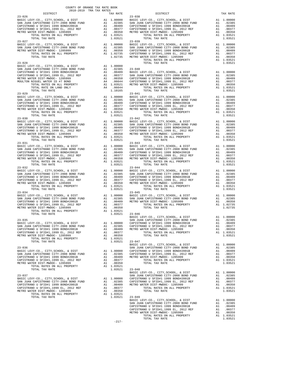|            | COUNTY OF ORANGE TAX RATE BOOK<br>2018-2019 TRA TAX RATES |                                                                                                      |          |
|------------|-----------------------------------------------------------|------------------------------------------------------------------------------------------------------|----------|
| $23 - 026$ |                                                           | TAX RATE DISTRICT<br>$23 - 038$                                                                      | TAX RATE |
|            |                                                           |                                                                                                      |          |
|            |                                                           |                                                                                                      |          |
|            |                                                           |                                                                                                      |          |
|            |                                                           |                                                                                                      |          |
|            |                                                           |                                                                                                      |          |
|            |                                                           |                                                                                                      |          |
|            |                                                           |                                                                                                      |          |
|            |                                                           |                                                                                                      |          |
|            |                                                           |                                                                                                      |          |
|            |                                                           |                                                                                                      |          |
|            |                                                           |                                                                                                      |          |
|            |                                                           |                                                                                                      |          |
|            |                                                           |                                                                                                      |          |
|            |                                                           |                                                                                                      |          |
|            |                                                           |                                                                                                      |          |
|            |                                                           |                                                                                                      |          |
|            |                                                           |                                                                                                      |          |
|            |                                                           |                                                                                                      |          |
|            |                                                           |                                                                                                      |          |
|            |                                                           |                                                                                                      |          |
|            |                                                           |                                                                                                      |          |
|            |                                                           |                                                                                                      |          |
|            |                                                           |                                                                                                      |          |
|            |                                                           |                                                                                                      |          |
|            |                                                           |                                                                                                      |          |
|            |                                                           |                                                                                                      |          |
|            |                                                           |                                                                                                      |          |
|            |                                                           |                                                                                                      |          |
|            |                                                           |                                                                                                      |          |
|            |                                                           |                                                                                                      |          |
|            |                                                           |                                                                                                      |          |
|            |                                                           |                                                                                                      |          |
|            |                                                           |                                                                                                      |          |
|            |                                                           |                                                                                                      |          |
|            |                                                           |                                                                                                      |          |
|            |                                                           |                                                                                                      |          |
|            |                                                           |                                                                                                      |          |
|            |                                                           |                                                                                                      |          |
|            |                                                           |                                                                                                      |          |
|            |                                                           |                                                                                                      |          |
|            |                                                           |                                                                                                      |          |
|            |                                                           |                                                                                                      |          |
|            |                                                           |                                                                                                      |          |
|            |                                                           |                                                                                                      |          |
|            |                                                           |                                                                                                      |          |
|            |                                                           |                                                                                                      |          |
|            |                                                           |                                                                                                      |          |
| $23 - 035$ |                                                           | EXERCILEVY-CO., CITY, SCHOOL, & DIST AL 1.00000<br>SAN JUAN CAPISTRANO CITY-2008 BOND FUND A1 .02385 |          |
|            |                                                           |                                                                                                      |          |
|            |                                                           |                                                                                                      |          |
|            |                                                           |                                                                                                      |          |
|            |                                                           |                                                                                                      |          |
|            |                                                           |                                                                                                      |          |
|            |                                                           |                                                                                                      |          |
|            |                                                           |                                                                                                      |          |
|            |                                                           |                                                                                                      |          |
|            |                                                           |                                                                                                      |          |
|            |                                                           |                                                                                                      |          |
|            |                                                           |                                                                                                      |          |
|            |                                                           |                                                                                                      |          |
|            |                                                           |                                                                                                      |          |
|            |                                                           |                                                                                                      |          |
|            |                                                           |                                                                                                      |          |
|            |                                                           |                                                                                                      |          |
|            |                                                           |                                                                                                      |          |
|            |                                                           |                                                                                                      |          |
|            |                                                           |                                                                                                      |          |
|            |                                                           |                                                                                                      |          |
|            |                                                           |                                                                                                      |          |
|            |                                                           |                                                                                                      |          |
|            |                                                           |                                                                                                      |          |
|            |                                                           |                                                                                                      |          |
|            |                                                           |                                                                                                      |          |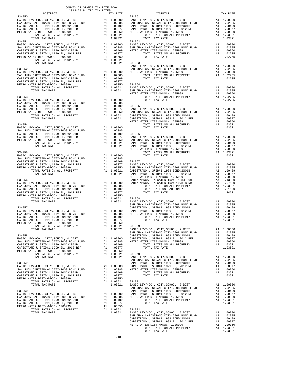| COUNTY OF ORANGE TAX RATE BOOK 2018–2019 TRA TAX RATES DISTRICT TAX RJ |  |  |
|------------------------------------------------------------------------|--|--|
|                                                                        |  |  |
|                                                                        |  |  |
|                                                                        |  |  |
|                                                                        |  |  |
|                                                                        |  |  |
|                                                                        |  |  |
|                                                                        |  |  |
|                                                                        |  |  |
|                                                                        |  |  |
|                                                                        |  |  |
|                                                                        |  |  |
|                                                                        |  |  |
|                                                                        |  |  |
|                                                                        |  |  |
|                                                                        |  |  |
|                                                                        |  |  |
|                                                                        |  |  |
|                                                                        |  |  |
|                                                                        |  |  |
|                                                                        |  |  |
|                                                                        |  |  |
|                                                                        |  |  |
|                                                                        |  |  |
|                                                                        |  |  |
|                                                                        |  |  |
|                                                                        |  |  |
|                                                                        |  |  |
|                                                                        |  |  |
|                                                                        |  |  |
|                                                                        |  |  |
|                                                                        |  |  |
|                                                                        |  |  |
|                                                                        |  |  |
|                                                                        |  |  |
|                                                                        |  |  |
|                                                                        |  |  |
|                                                                        |  |  |
|                                                                        |  |  |
|                                                                        |  |  |
|                                                                        |  |  |
|                                                                        |  |  |
|                                                                        |  |  |
|                                                                        |  |  |
|                                                                        |  |  |
|                                                                        |  |  |
|                                                                        |  |  |
|                                                                        |  |  |
|                                                                        |  |  |
|                                                                        |  |  |
|                                                                        |  |  |
|                                                                        |  |  |
|                                                                        |  |  |
|                                                                        |  |  |
|                                                                        |  |  |
|                                                                        |  |  |
|                                                                        |  |  |
|                                                                        |  |  |
|                                                                        |  |  |
|                                                                        |  |  |
|                                                                        |  |  |
|                                                                        |  |  |
|                                                                        |  |  |
|                                                                        |  |  |
|                                                                        |  |  |
|                                                                        |  |  |
|                                                                        |  |  |
|                                                                        |  |  |
|                                                                        |  |  |
|                                                                        |  |  |
|                                                                        |  |  |
|                                                                        |  |  |
|                                                                        |  |  |
|                                                                        |  |  |
|                                                                        |  |  |
|                                                                        |  |  |
|                                                                        |  |  |
|                                                                        |  |  |
|                                                                        |  |  |
|                                                                        |  |  |
|                                                                        |  |  |
|                                                                        |  |  |
|                                                                        |  |  |
|                                                                        |  |  |
|                                                                        |  |  |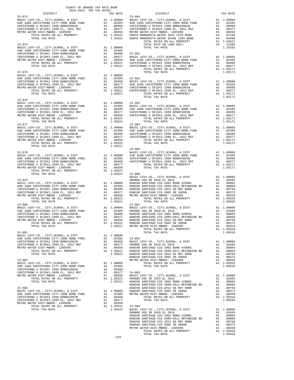| $2018-2019 \begin{tabular}{lllllllllllll} \bf{TRA} & \bf{RATE} & \bf{B} \\ 2018-2019 & \bf{TRA} & \bf{TAX} & \bf{RATES} \\ \end{tabular}$                                                                                                                                      | COUNTY OF ORANGE TAX RATE BOOK<br>2018-2019 TRA TAX RATES | TAX RATE | DISTRICT                                                                                                                                                                                                                                                                                                                                                                                                 | TAX RATE |
|--------------------------------------------------------------------------------------------------------------------------------------------------------------------------------------------------------------------------------------------------------------------------------|-----------------------------------------------------------|----------|----------------------------------------------------------------------------------------------------------------------------------------------------------------------------------------------------------------------------------------------------------------------------------------------------------------------------------------------------------------------------------------------------------|----------|
|                                                                                                                                                                                                                                                                                |                                                           |          | $23 - 084$                                                                                                                                                                                                                                                                                                                                                                                               |          |
|                                                                                                                                                                                                                                                                                |                                                           |          |                                                                                                                                                                                                                                                                                                                                                                                                          |          |
|                                                                                                                                                                                                                                                                                |                                                           |          |                                                                                                                                                                                                                                                                                                                                                                                                          |          |
|                                                                                                                                                                                                                                                                                |                                                           |          |                                                                                                                                                                                                                                                                                                                                                                                                          |          |
|                                                                                                                                                                                                                                                                                |                                                           |          |                                                                                                                                                                                                                                                                                                                                                                                                          |          |
|                                                                                                                                                                                                                                                                                |                                                           |          |                                                                                                                                                                                                                                                                                                                                                                                                          |          |
|                                                                                                                                                                                                                                                                                |                                                           |          |                                                                                                                                                                                                                                                                                                                                                                                                          |          |
|                                                                                                                                                                                                                                                                                |                                                           |          |                                                                                                                                                                                                                                                                                                                                                                                                          |          |
|                                                                                                                                                                                                                                                                                |                                                           |          |                                                                                                                                                                                                                                                                                                                                                                                                          |          |
|                                                                                                                                                                                                                                                                                |                                                           |          |                                                                                                                                                                                                                                                                                                                                                                                                          |          |
|                                                                                                                                                                                                                                                                                |                                                           |          |                                                                                                                                                                                                                                                                                                                                                                                                          |          |
|                                                                                                                                                                                                                                                                                |                                                           |          |                                                                                                                                                                                                                                                                                                                                                                                                          |          |
|                                                                                                                                                                                                                                                                                |                                                           |          |                                                                                                                                                                                                                                                                                                                                                                                                          |          |
|                                                                                                                                                                                                                                                                                |                                                           |          |                                                                                                                                                                                                                                                                                                                                                                                                          |          |
|                                                                                                                                                                                                                                                                                |                                                           |          |                                                                                                                                                                                                                                                                                                                                                                                                          |          |
|                                                                                                                                                                                                                                                                                |                                                           |          |                                                                                                                                                                                                                                                                                                                                                                                                          |          |
|                                                                                                                                                                                                                                                                                |                                                           |          |                                                                                                                                                                                                                                                                                                                                                                                                          |          |
|                                                                                                                                                                                                                                                                                |                                                           |          |                                                                                                                                                                                                                                                                                                                                                                                                          |          |
|                                                                                                                                                                                                                                                                                |                                                           |          |                                                                                                                                                                                                                                                                                                                                                                                                          |          |
|                                                                                                                                                                                                                                                                                |                                                           |          |                                                                                                                                                                                                                                                                                                                                                                                                          |          |
|                                                                                                                                                                                                                                                                                |                                                           |          |                                                                                                                                                                                                                                                                                                                                                                                                          |          |
| $23 - 076$                                                                                                                                                                                                                                                                     |                                                           |          |                                                                                                                                                                                                                                                                                                                                                                                                          |          |
|                                                                                                                                                                                                                                                                                |                                                           |          |                                                                                                                                                                                                                                                                                                                                                                                                          |          |
|                                                                                                                                                                                                                                                                                |                                                           |          |                                                                                                                                                                                                                                                                                                                                                                                                          |          |
|                                                                                                                                                                                                                                                                                |                                                           |          |                                                                                                                                                                                                                                                                                                                                                                                                          |          |
|                                                                                                                                                                                                                                                                                |                                                           |          |                                                                                                                                                                                                                                                                                                                                                                                                          |          |
|                                                                                                                                                                                                                                                                                |                                                           |          |                                                                                                                                                                                                                                                                                                                                                                                                          |          |
|                                                                                                                                                                                                                                                                                |                                                           |          | $\begin{tabular}{l c c c c} \multicolumn{4}{c}{\textbf{0.0000}} & $\mathbf{23-907} & $\mathbf{A1} & 1.00000 & 23-903 & $\mathbf{23-907} & $\mathbf{A1}$ & $1.00000 & $23-903 & $\mathbf{E100000} & $\mathbf{23-903} & $\mathbf{23-907} & $\mathbf{23-907} & $\mathbf{240000} & $\mathbf{25-908}$ & $\mathbf{2600000} & $\mathbf{280000} & $\mathbf{280000}$                                              |          |
|                                                                                                                                                                                                                                                                                |                                                           |          |                                                                                                                                                                                                                                                                                                                                                                                                          |          |
|                                                                                                                                                                                                                                                                                |                                                           |          |                                                                                                                                                                                                                                                                                                                                                                                                          |          |
|                                                                                                                                                                                                                                                                                |                                                           |          |                                                                                                                                                                                                                                                                                                                                                                                                          |          |
|                                                                                                                                                                                                                                                                                |                                                           |          |                                                                                                                                                                                                                                                                                                                                                                                                          |          |
|                                                                                                                                                                                                                                                                                |                                                           |          |                                                                                                                                                                                                                                                                                                                                                                                                          |          |
|                                                                                                                                                                                                                                                                                |                                                           |          | $\begin{tabular}{c c c c c} \multicolumn{4}{c c c c} \multicolumn{4}{c c c} \multicolumn{4}{c c c} \multicolumn{4}{c c c} \multicolumn{4}{c c c} \multicolumn{4}{c c c} \multicolumn{4}{c c c} \multicolumn{4}{c c c} \multicolumn{4}{c c c} \multicolumn{4}{c c c} \multicolumn{4}{c c c} \multicolumn{4}{c c c} \multicolumn{4}{c c c} \multicolumn{4}{c c c} \multicolumn{4}{c c c} \multicolumn{4}{$ |          |
|                                                                                                                                                                                                                                                                                |                                                           |          |                                                                                                                                                                                                                                                                                                                                                                                                          |          |
|                                                                                                                                                                                                                                                                                |                                                           |          |                                                                                                                                                                                                                                                                                                                                                                                                          |          |
|                                                                                                                                                                                                                                                                                |                                                           |          |                                                                                                                                                                                                                                                                                                                                                                                                          |          |
|                                                                                                                                                                                                                                                                                |                                                           |          |                                                                                                                                                                                                                                                                                                                                                                                                          |          |
|                                                                                                                                                                                                                                                                                |                                                           |          |                                                                                                                                                                                                                                                                                                                                                                                                          |          |
|                                                                                                                                                                                                                                                                                |                                                           |          |                                                                                                                                                                                                                                                                                                                                                                                                          |          |
|                                                                                                                                                                                                                                                                                |                                                           |          |                                                                                                                                                                                                                                                                                                                                                                                                          |          |
|                                                                                                                                                                                                                                                                                |                                                           |          |                                                                                                                                                                                                                                                                                                                                                                                                          |          |
|                                                                                                                                                                                                                                                                                |                                                           |          |                                                                                                                                                                                                                                                                                                                                                                                                          |          |
|                                                                                                                                                                                                                                                                                |                                                           |          |                                                                                                                                                                                                                                                                                                                                                                                                          |          |
|                                                                                                                                                                                                                                                                                |                                                           |          |                                                                                                                                                                                                                                                                                                                                                                                                          |          |
|                                                                                                                                                                                                                                                                                |                                                           |          |                                                                                                                                                                                                                                                                                                                                                                                                          |          |
|                                                                                                                                                                                                                                                                                |                                                           |          |                                                                                                                                                                                                                                                                                                                                                                                                          |          |
|                                                                                                                                                                                                                                                                                |                                                           |          |                                                                                                                                                                                                                                                                                                                                                                                                          |          |
|                                                                                                                                                                                                                                                                                |                                                           |          |                                                                                                                                                                                                                                                                                                                                                                                                          |          |
|                                                                                                                                                                                                                                                                                |                                                           |          |                                                                                                                                                                                                                                                                                                                                                                                                          |          |
|                                                                                                                                                                                                                                                                                |                                                           |          |                                                                                                                                                                                                                                                                                                                                                                                                          |          |
|                                                                                                                                                                                                                                                                                |                                                           |          |                                                                                                                                                                                                                                                                                                                                                                                                          |          |
|                                                                                                                                                                                                                                                                                |                                                           |          |                                                                                                                                                                                                                                                                                                                                                                                                          |          |
|                                                                                                                                                                                                                                                                                |                                                           |          |                                                                                                                                                                                                                                                                                                                                                                                                          |          |
|                                                                                                                                                                                                                                                                                |                                                           |          |                                                                                                                                                                                                                                                                                                                                                                                                          |          |
|                                                                                                                                                                                                                                                                                |                                                           |          |                                                                                                                                                                                                                                                                                                                                                                                                          |          |
|                                                                                                                                                                                                                                                                                |                                                           |          |                                                                                                                                                                                                                                                                                                                                                                                                          |          |
| $\begin{tabular}{@{}c@{}}\hline & $1.0000\\ 23-079\\ 24-079\\ 25-078\\ 1.0000\\ 268 \\ 27-07\\ 27-07\\ 28-08\\ 1.0000\\ 288 \\ 29-07\\ 29-08\\ 20-08\\ 20-08\\ 21-08\\ 22-08\\ 20-08\\ 21-08\\ 22-08\\ 23-08\\ 24-08\\ 25-08\\ 268\\ 27-08\\ 28-08\\ 27-08\\ 28-08\\ 29-08\\ $ |                                                           |          |                                                                                                                                                                                                                                                                                                                                                                                                          |          |
|                                                                                                                                                                                                                                                                                |                                                           |          |                                                                                                                                                                                                                                                                                                                                                                                                          |          |
|                                                                                                                                                                                                                                                                                |                                                           |          |                                                                                                                                                                                                                                                                                                                                                                                                          |          |
|                                                                                                                                                                                                                                                                                |                                                           |          |                                                                                                                                                                                                                                                                                                                                                                                                          |          |
|                                                                                                                                                                                                                                                                                |                                                           |          |                                                                                                                                                                                                                                                                                                                                                                                                          |          |
|                                                                                                                                                                                                                                                                                |                                                           |          |                                                                                                                                                                                                                                                                                                                                                                                                          |          |
|                                                                                                                                                                                                                                                                                |                                                           |          |                                                                                                                                                                                                                                                                                                                                                                                                          |          |
|                                                                                                                                                                                                                                                                                |                                                           |          |                                                                                                                                                                                                                                                                                                                                                                                                          |          |
|                                                                                                                                                                                                                                                                                |                                                           |          |                                                                                                                                                                                                                                                                                                                                                                                                          |          |
|                                                                                                                                                                                                                                                                                |                                                           |          |                                                                                                                                                                                                                                                                                                                                                                                                          |          |
|                                                                                                                                                                                                                                                                                |                                                           |          |                                                                                                                                                                                                                                                                                                                                                                                                          |          |
|                                                                                                                                                                                                                                                                                |                                                           |          |                                                                                                                                                                                                                                                                                                                                                                                                          |          |
|                                                                                                                                                                                                                                                                                |                                                           |          |                                                                                                                                                                                                                                                                                                                                                                                                          |          |
|                                                                                                                                                                                                                                                                                |                                                           |          |                                                                                                                                                                                                                                                                                                                                                                                                          |          |
|                                                                                                                                                                                                                                                                                |                                                           |          |                                                                                                                                                                                                                                                                                                                                                                                                          |          |
|                                                                                                                                                                                                                                                                                |                                                           |          |                                                                                                                                                                                                                                                                                                                                                                                                          |          |
|                                                                                                                                                                                                                                                                                |                                                           |          |                                                                                                                                                                                                                                                                                                                                                                                                          |          |
|                                                                                                                                                                                                                                                                                |                                                           |          |                                                                                                                                                                                                                                                                                                                                                                                                          |          |
|                                                                                                                                                                                                                                                                                |                                                           |          |                                                                                                                                                                                                                                                                                                                                                                                                          |          |
|                                                                                                                                                                                                                                                                                |                                                           |          |                                                                                                                                                                                                                                                                                                                                                                                                          |          |
|                                                                                                                                                                                                                                                                                |                                                           |          |                                                                                                                                                                                                                                                                                                                                                                                                          |          |
|                                                                                                                                                                                                                                                                                |                                                           |          |                                                                                                                                                                                                                                                                                                                                                                                                          |          |
|                                                                                                                                                                                                                                                                                |                                                           |          |                                                                                                                                                                                                                                                                                                                                                                                                          |          |
|                                                                                                                                                                                                                                                                                |                                                           |          |                                                                                                                                                                                                                                                                                                                                                                                                          |          |
|                                                                                                                                                                                                                                                                                |                                                           |          |                                                                                                                                                                                                                                                                                                                                                                                                          |          |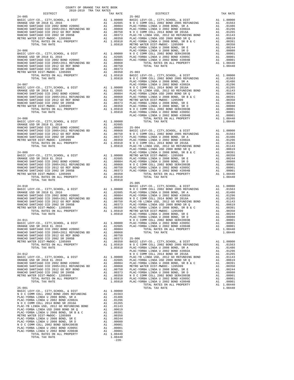| COUNTY OF ORANGE TAX RATE BOOK<br>2018-2019 TRA TAX RATES<br>$2018-2019\begin{tabular}{lllllllllllll} \textbf{1-AX} \textbf{ RATE} & \textbf{B} \textbf{C} \\ \textbf{DISTRICT} \end{tabular}$ |                    |            |          |
|------------------------------------------------------------------------------------------------------------------------------------------------------------------------------------------------|--------------------|------------|----------|
|                                                                                                                                                                                                | TAX RATE           | DISTRICT   | TAX RATE |
|                                                                                                                                                                                                |                    |            |          |
|                                                                                                                                                                                                |                    |            |          |
|                                                                                                                                                                                                |                    |            |          |
|                                                                                                                                                                                                |                    |            |          |
|                                                                                                                                                                                                |                    |            |          |
|                                                                                                                                                                                                |                    |            |          |
|                                                                                                                                                                                                |                    |            |          |
|                                                                                                                                                                                                |                    |            |          |
|                                                                                                                                                                                                |                    |            |          |
|                                                                                                                                                                                                |                    |            |          |
|                                                                                                                                                                                                |                    |            |          |
|                                                                                                                                                                                                |                    |            |          |
|                                                                                                                                                                                                |                    |            |          |
|                                                                                                                                                                                                |                    |            |          |
|                                                                                                                                                                                                |                    |            |          |
|                                                                                                                                                                                                |                    |            |          |
|                                                                                                                                                                                                |                    |            |          |
|                                                                                                                                                                                                |                    |            |          |
|                                                                                                                                                                                                |                    |            |          |
|                                                                                                                                                                                                |                    |            |          |
|                                                                                                                                                                                                |                    |            |          |
|                                                                                                                                                                                                |                    |            |          |
|                                                                                                                                                                                                |                    |            |          |
|                                                                                                                                                                                                |                    |            |          |
|                                                                                                                                                                                                |                    |            |          |
|                                                                                                                                                                                                |                    |            |          |
|                                                                                                                                                                                                |                    |            |          |
|                                                                                                                                                                                                |                    |            |          |
|                                                                                                                                                                                                |                    |            |          |
|                                                                                                                                                                                                |                    |            |          |
|                                                                                                                                                                                                |                    |            |          |
|                                                                                                                                                                                                |                    |            |          |
|                                                                                                                                                                                                |                    |            |          |
|                                                                                                                                                                                                |                    |            |          |
|                                                                                                                                                                                                |                    |            |          |
|                                                                                                                                                                                                |                    |            |          |
|                                                                                                                                                                                                |                    |            |          |
|                                                                                                                                                                                                |                    |            |          |
|                                                                                                                                                                                                |                    | $25 - 005$ |          |
|                                                                                                                                                                                                |                    |            |          |
|                                                                                                                                                                                                |                    |            |          |
|                                                                                                                                                                                                |                    |            |          |
|                                                                                                                                                                                                |                    |            |          |
|                                                                                                                                                                                                |                    |            |          |
|                                                                                                                                                                                                |                    |            |          |
|                                                                                                                                                                                                |                    |            |          |
|                                                                                                                                                                                                |                    |            |          |
|                                                                                                                                                                                                |                    |            |          |
|                                                                                                                                                                                                |                    |            |          |
|                                                                                                                                                                                                |                    |            |          |
|                                                                                                                                                                                                |                    |            |          |
|                                                                                                                                                                                                |                    |            |          |
|                                                                                                                                                                                                |                    |            |          |
|                                                                                                                                                                                                |                    |            |          |
|                                                                                                                                                                                                |                    |            |          |
|                                                                                                                                                                                                |                    |            |          |
|                                                                                                                                                                                                |                    |            |          |
|                                                                                                                                                                                                |                    |            |          |
|                                                                                                                                                                                                |                    |            |          |
|                                                                                                                                                                                                |                    |            |          |
|                                                                                                                                                                                                |                    |            |          |
|                                                                                                                                                                                                |                    |            |          |
|                                                                                                                                                                                                |                    |            |          |
|                                                                                                                                                                                                |                    |            |          |
|                                                                                                                                                                                                |                    |            |          |
|                                                                                                                                                                                                |                    |            |          |
|                                                                                                                                                                                                |                    |            |          |
|                                                                                                                                                                                                |                    |            |          |
|                                                                                                                                                                                                |                    |            |          |
|                                                                                                                                                                                                |                    |            |          |
|                                                                                                                                                                                                |                    |            |          |
|                                                                                                                                                                                                |                    |            |          |
|                                                                                                                                                                                                |                    |            |          |
|                                                                                                                                                                                                |                    |            |          |
| TOTAL TAX RATE                                                                                                                                                                                 | 1.08440<br>$-220-$ |            |          |
|                                                                                                                                                                                                |                    |            |          |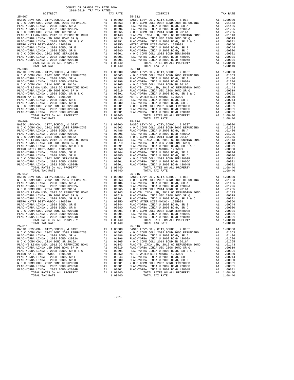| TOTAL TAX RATE               | 1.08440 |            |
|------------------------------|---------|------------|
| $25 - 008$                   |         | $25 - 013$ |
|                              |         |            |
|                              |         |            |
|                              |         |            |
|                              |         |            |
|                              |         |            |
|                              |         |            |
|                              |         |            |
|                              |         |            |
|                              |         |            |
|                              |         |            |
|                              |         |            |
|                              |         |            |
|                              |         |            |
|                              |         |            |
| TOTAL TAX RATE               | 1.08440 |            |
| $25 - 009$                   |         | $25 - 014$ |
|                              |         |            |
|                              |         |            |
|                              |         |            |
|                              |         |            |
|                              |         |            |
|                              |         |            |
|                              |         |            |
|                              |         |            |
|                              |         |            |
|                              |         |            |
|                              |         |            |
|                              |         |            |
|                              |         |            |
|                              |         |            |
|                              |         |            |
| TOTAL TAX RATE<br>$25 - 010$ | 1.08440 | $25 - 015$ |
|                              |         |            |
|                              |         |            |
|                              |         |            |
|                              |         |            |
|                              |         |            |
|                              |         |            |
|                              |         |            |
|                              |         |            |
|                              |         |            |
|                              |         |            |
|                              |         |            |
|                              |         |            |
|                              |         |            |
|                              |         |            |
|                              |         |            |
| TOTAL TAX RATE               | 1.08440 |            |
| $25 - 011$                   |         | $25 - 016$ |
|                              |         |            |
|                              |         |            |
|                              |         |            |
|                              |         |            |
|                              |         |            |
|                              |         |            |
|                              |         |            |
|                              |         |            |
|                              |         |            |
|                              |         |            |
|                              |         |            |
|                              |         |            |
|                              |         |            |
|                              |         |            |
|                              |         |            |

| . . | ------- |  |
|-----|---------|--|
|     |         |  |
|     |         |  |
|     |         |  |
|     |         |  |
|     |         |  |

 COUNTY OF ORANGE TAX RATE BOOK 2018-2019 TRA TAX RATES DISTRICT TAX RATE DISTRICT TAX RATE 25-007 25-012 BASIC LEVY-CO., CITY,SCHOOL, & DIST A1 1.00000 BASIC LEVY-CO., CITY,SCHOOL, & DIST A1 1.00000<br>101563 N O C COMM COLL 2005 REFUNDING PLAC-YORBA LINDA U 2008 BOND, SR A A1 .01486 PLAC-YORBA LINDA U 2008 BOND, SR A A1 .01486 PLAC-YORBA LINDA U 2002 BOND #2002A A1 .01296 PLAC-YORBA LINDA U 2002 BOND #2002A A1 .01296  $\begin{tabular}{l|c|c|c|c|c|c|c} \multicolumn{4}{c}{\textbf{N} & $\mathcal{O}$ & $\mathcal{O}$ & $\mathcal{O}$ \\ \multicolumn{4}{c}{\textbf{PLAC}-YORBA LINDA USD} & $\mathcal{O}$ & $\mathcal{O}$ & $\mathcal{O}$ \\ \multicolumn{4}{c}{\textbf{PLAC}-YORBA LINDA USD} & $\mathcal{O}$ & $\mathcal{O}$ & $\mathcal{O}$ \\ \multicolumn{4}{c}{\textbf{PLAC}-YORBA LINDA USD} & $\mathcal{O}$ & $\mathcal{O}$ & $\mathcal{O}$ \\ \multicolumn{4}{c}{\textbf{PLAC}-$ TOTAL RATES ON ALL PROPERTY 1.08440 TOTAL TAX RATE 1.08440 1.08440 TOTAL TAX RATE BASIC LEVY-CO., CITY,SCHOOL, & DIST A1 1.00000 BASIC LEVY-CO., CITY,SCHOOL, & DIST A1 1.00000<br>101563 N O C COMM COLL 2005 REFUNDING PLAC-YORBA LINDA U 2008 BOND, SR A A1 .01486 PLAC-YORBA LINDA U 2008 BOND, SR A A1 .01486 PLAC-YORBA LINDA U 2002 BOND #2002A A1 .01296 PLAC-YORBA LINDA U 2002 BOND #2002A A1 .01296  $\begin{tabular}{l|c|c|c|c|c|c} \multicolumn{4}{c}{\textbf{N} & $\mathcal{O}$ & $\mathcal{COMM}$ & $\mathcal{O}$ & $\mathcal{O}$ & $\mathcal{O}$ \\ \multicolumn{4}{c}{\textbf{PIAC-YORBA LINDA US D}} & $\mathcal{O}$ & $\mathcal{O}$ & $\mathcal{O}$ \\ \multicolumn{4}{c}{\textbf{PIAC-YORBA LINDA US D}} & $\mathcal{O}$ & $\mathcal{O}$ & $\mathcal{O}$ \\ \multicolumn{4}{c}{\textbf{PIAC-YORBA LINDA US D}} & $\mathcal{O}$ & $\mathcal{O}$ & $\mathcal{O}$ \\ \multicolumn{4}{$ BASIC LEVY-CO., CITY, SCHOOL, & DIST<br>NOC COMM COLL 2002 BOND 2005 REFUNDING A1 1.00000 BASIC LEVY-CO., CITY, SCHOOL, 2002 BOND 2005 REFUNDING A1<br>PLAC-YORBA LINDA U 2008 BOND, SRA A1 .01486 PLAC-YORBA LINDA U 2008 BOND, SRA  $\begin{tabular}{l|c|c|c|c|c|c|c} \multicolumn{4}{c}{\textbf{N} & $\mathcal{O}$ & $\mathcal{O}$ & $\mathcal{O}$ \\ \multicolumn{4}{c}{\textbf{PLAC}-YORBA LINDA USD} & $\mathcal{O}$ & $\mathcal{O}$ & $\mathcal{O}$ \\ \multicolumn{4}{c}{\textbf{PLAC}-YORBA LINDA USD} & $\mathcal{O}$ & $\mathcal{O}$ & $\mathcal{O}$ \\ \multicolumn{4}{c}{\textbf{PLAC}-YORBA LINDA USD} & $\mathcal{O}$ & $\mathcal{O}$ & $\mathcal{O}$ \\ \multicolumn{4}{c}{\textbf{PLAC}-$  TOTAL TAX RATE 1.08440 TOTAL TAX RATE 1.08440 BASIC LEVY-CO., CITY, SCHOOL, & DIST<br>NOC COMM COLL 2002 BOND 2005 REFUNDING A1 1.00000 BASIC LEVY-CO., CITY, SCHOOL, 2002 BOND 2005 REFUNDING A1<br>PLAC-YORBA LINDA U 2008 BOND, SRA A1 .01486 PLAC-YORBA LINDA U 2008 BOND, SRA  $\begin{tabular}{l|c|c|c|c|c|c} \multicolumn{4}{c}{\textbf{N} & $\mathcal{O}$ & $\mathcal{COMM}$ & $\mathcal{O}$ & $\mathcal{O}$ & $\mathcal{O}$ \\ \multicolumn{4}{c}{\textbf{PIAC-YORBA LINDA US D}} & $\mathcal{O}$ & $\mathcal{O}$ & $\mathcal{O}$ \\ \multicolumn{4}{c}{\textbf{PIAC-YORBA LINDA US D}} & $\mathcal{O}$ & $\mathcal{O}$ & $\mathcal{O}$ \\ \multicolumn{4}{c}{\textbf{PIAC-YORBA LINDA US D}} & $\mathcal{O}$ & $\mathcal{O}$ & $\mathcal{O}$ \\ \multicolumn{4}{$ BASIC LEVY-CO., CITY,SCHOOL, & DIST A1 1.00000 BASIC LEVY-CO., CITY,SCHOOL, & DIST A1 1.00000<br>101563 N O C COMM COLL 2005 REFUNDING 10.1486 PLAC-YORBA LINDA U 2002 BOND #2002 BOND #2002 BOND #2002 BOND #2002 BOND #2002 BOND #2002 BOND #2002 BOND #2002 A1 .01486<br>PLAC-YORBA LINDA U 2002 BOND #2002 A1 .01296 PLAC-YORBA LINDA U 2002 BOND #2002A A1 .01296<br>N PLAC-YORBA LINDA U 2008 BOND, SR B & C A1 .00391 PLAC-YORBA LINDA U 2008 BOND, SR B & C A1 .00391<br>METRO WATER DIST-MWDOC-1205999 A1 .00350 METRO WATER DIST-MWDOC-1205999 A1 .00350 PLAC-YORBA LINDA U 2008 BOND, SR E A1 .00244 PLAC-YORBA LINDA U 2008 BOND, SR E A1 .00244 PLAC-YORBA LINDA U 2008 BOND, SR D A1 .00080 PLAC-YORBA LINDA U 2008 BOND, SR D A1 .00080 N O COMM COLL 2002 BOND SER#2003B AI 00001 N O COMM COLL 2002 BOND SER#2003B AI 00001 PLAC-YORBA LINDA U 2002<br>PLAC-YORBA LINDA U 2002 BOND #2005C AI 00001 PLAC-YORBA LINDA U 2002 BOND #2005C AI 00001<br>PLAC-YORBA LINDA U 200

-221-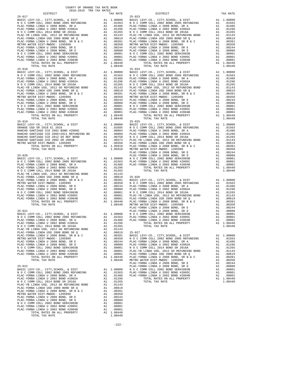| $\begin{tabular}{l c c c c} \multicolumn{1}{c}{\textbf{PLAC-YB}} & LIMDA & USD, & 2012 & GO REFUNDING BOND & A1 & .01143 & PLAC-YB \\ \multicolumn{1}{c}{\textbf{PLAC-YORBA LINDA U 2008 BOND S } & A1 & .00691 & PLAC-YO \\ \multicolumn{1}{c}{\textbf{PLAC-YORBA LINDA U 2008 BOND S } & A1 & .00691 & PLAC-YO \\ \multicolumn{1}{c}{\textbf{MLAC-YORBA LINDA U 2008 BOND, S R B }} & A1 & .00391 & PLAC-YO \\ \multicolumn$          |    |                        |                    |
|-----------------------------------------------------------------------------------------------------------------------------------------------------------------------------------------------------------------------------------------------------------------------------------------------------------------------------------------------------------------------------------------------------------------------------------------|----|------------------------|--------------------|
|                                                                                                                                                                                                                                                                                                                                                                                                                                         |    |                        |                    |
|                                                                                                                                                                                                                                                                                                                                                                                                                                         |    |                        |                    |
|                                                                                                                                                                                                                                                                                                                                                                                                                                         |    |                        |                    |
|                                                                                                                                                                                                                                                                                                                                                                                                                                         |    |                        |                    |
|                                                                                                                                                                                                                                                                                                                                                                                                                                         |    |                        |                    |
|                                                                                                                                                                                                                                                                                                                                                                                                                                         |    |                        |                    |
|                                                                                                                                                                                                                                                                                                                                                                                                                                         |    |                        |                    |
| TOTAL TAX RATE                                                                                                                                                                                                                                                                                                                                                                                                                          |    | 1.08440                |                    |
|                                                                                                                                                                                                                                                                                                                                                                                                                                         |    |                        |                    |
|                                                                                                                                                                                                                                                                                                                                                                                                                                         |    |                        |                    |
|                                                                                                                                                                                                                                                                                                                                                                                                                                         |    |                        |                    |
|                                                                                                                                                                                                                                                                                                                                                                                                                                         |    |                        |                    |
|                                                                                                                                                                                                                                                                                                                                                                                                                                         |    |                        |                    |
|                                                                                                                                                                                                                                                                                                                                                                                                                                         |    |                        |                    |
|                                                                                                                                                                                                                                                                                                                                                                                                                                         |    |                        |                    |
|                                                                                                                                                                                                                                                                                                                                                                                                                                         |    |                        |                    |
|                                                                                                                                                                                                                                                                                                                                                                                                                                         |    |                        |                    |
|                                                                                                                                                                                                                                                                                                                                                                                                                                         |    |                        |                    |
|                                                                                                                                                                                                                                                                                                                                                                                                                                         |    |                        |                    |
|                                                                                                                                                                                                                                                                                                                                                                                                                                         |    |                        |                    |
|                                                                                                                                                                                                                                                                                                                                                                                                                                         |    |                        |                    |
|                                                                                                                                                                                                                                                                                                                                                                                                                                         |    |                        |                    |
| $\begin{tabular}{c c c} \multicolumn{4}{c}{\textbf{25-UL8}} & \multicolumn{4}{c}{\textbf{25-OL4}} \\ \multicolumn{4}{c}{\textbf{BASIC LEVY-CO.}}, & \textbf{CTTY}, \textbf{SCHOOL}, & \textbf{$E\text{ DIST}$} \\ \multicolumn{4}{c}{\textbf{R1 O C COM M COLL 2002 BOND 2005 REFUNDING}} & \textbf{A1} & 1.00000} & \textbf{BASIC L} \\ \multicolumn{4}{c}{\textbf{PLAC-YOREA LINDA U 2008 BOND, SR R} \\ \multicolumn{4}{c}{\textbf{$ |    |                        |                    |
|                                                                                                                                                                                                                                                                                                                                                                                                                                         |    |                        |                    |
|                                                                                                                                                                                                                                                                                                                                                                                                                                         |    |                        |                    |
|                                                                                                                                                                                                                                                                                                                                                                                                                                         |    |                        |                    |
|                                                                                                                                                                                                                                                                                                                                                                                                                                         |    |                        |                    |
|                                                                                                                                                                                                                                                                                                                                                                                                                                         |    |                        |                    |
|                                                                                                                                                                                                                                                                                                                                                                                                                                         |    |                        |                    |
|                                                                                                                                                                                                                                                                                                                                                                                                                                         |    |                        |                    |
|                                                                                                                                                                                                                                                                                                                                                                                                                                         |    |                        |                    |
|                                                                                                                                                                                                                                                                                                                                                                                                                                         |    |                        |                    |
|                                                                                                                                                                                                                                                                                                                                                                                                                                         |    |                        |                    |
|                                                                                                                                                                                                                                                                                                                                                                                                                                         |    |                        |                    |
|                                                                                                                                                                                                                                                                                                                                                                                                                                         |    |                        |                    |
|                                                                                                                                                                                                                                                                                                                                                                                                                                         |    |                        |                    |
|                                                                                                                                                                                                                                                                                                                                                                                                                                         |    |                        |                    |
|                                                                                                                                                                                                                                                                                                                                                                                                                                         |    |                        |                    |
|                                                                                                                                                                                                                                                                                                                                                                                                                                         |    |                        |                    |
|                                                                                                                                                                                                                                                                                                                                                                                                                                         |    |                        |                    |
|                                                                                                                                                                                                                                                                                                                                                                                                                                         |    |                        |                    |
|                                                                                                                                                                                                                                                                                                                                                                                                                                         |    |                        |                    |
|                                                                                                                                                                                                                                                                                                                                                                                                                                         |    |                        |                    |
|                                                                                                                                                                                                                                                                                                                                                                                                                                         |    |                        |                    |
|                                                                                                                                                                                                                                                                                                                                                                                                                                         |    |                        |                    |
| $\begin{tabular}{l c c c c} \multicolumn{1}{c}{\textbf{PLAC}-YORBA LINDA U 2002 BOND} & \multicolumn{1}{c}{\textbf{ADAC}} & \multicolumn{1}{c}{\textbf{A1}} & .01296 \\ \multicolumn{1}{c}{\textbf{PLAC}-YORBA LINDA U 2014 BONDS R 2016A} & \multicolumn{1}{c}{\textbf{A1}} & .01246 \\ \multicolumn{1}{c}{\textbf{PLAC}-YORBA LINDA U 2018 BONDS R Q} & \multicolumn{1}{c}{\textbf{A1}} & .01265 \\ \multicolumn{1}{$                 |    |                        |                    |
|                                                                                                                                                                                                                                                                                                                                                                                                                                         |    |                        | PLAC-YO            |
|                                                                                                                                                                                                                                                                                                                                                                                                                                         |    |                        |                    |
|                                                                                                                                                                                                                                                                                                                                                                                                                                         |    |                        |                    |
|                                                                                                                                                                                                                                                                                                                                                                                                                                         |    |                        |                    |
|                                                                                                                                                                                                                                                                                                                                                                                                                                         |    |                        |                    |
|                                                                                                                                                                                                                                                                                                                                                                                                                                         |    |                        |                    |
|                                                                                                                                                                                                                                                                                                                                                                                                                                         |    |                        |                    |
|                                                                                                                                                                                                                                                                                                                                                                                                                                         |    |                        |                    |
|                                                                                                                                                                                                                                                                                                                                                                                                                                         |    |                        |                    |
|                                                                                                                                                                                                                                                                                                                                                                                                                                         |    |                        |                    |
|                                                                                                                                                                                                                                                                                                                                                                                                                                         |    |                        |                    |
|                                                                                                                                                                                                                                                                                                                                                                                                                                         |    |                        |                    |
|                                                                                                                                                                                                                                                                                                                                                                                                                                         |    |                        |                    |
| PLAC-YORBA LINDA U 2002 BOND #2004B                                                                                                                                                                                                                                                                                                                                                                                                     | A1 | .00001                 | PLAC-YO            |
| TOTAL RATES ON ALL PROPERTY<br>TOTAL TAX RATE                                                                                                                                                                                                                                                                                                                                                                                           |    | A1 1.08440<br>1.08440  | PLAC-YO<br>METRO W |
|                                                                                                                                                                                                                                                                                                                                                                                                                                         |    |                        | PLAC-YO            |
| $25 - 022$                                                                                                                                                                                                                                                                                                                                                                                                                              |    |                        | PLAC-YO            |
|                                                                                                                                                                                                                                                                                                                                                                                                                                         |    |                        | NOCC               |
|                                                                                                                                                                                                                                                                                                                                                                                                                                         |    |                        | PLAC-YO            |
| PLAC-YORBA LINDA U 2002 BOND #2002A                                                                                                                                                                                                                                                                                                                                                                                                     | A1 | .01296                 | PLAC-YO            |
| N O C COMM COLL 2014 BOND SR 2016A                                                                                                                                                                                                                                                                                                                                                                                                      | A1 | .01265                 |                    |
| PLAC-YB LINDA USD, 2012 GO REFUNDING BOND A1                                                                                                                                                                                                                                                                                                                                                                                            |    | .01143                 |                    |
| PLAC-YORBA LINDA USD 2008 BOND SR O                                                                                                                                                                                                                                                                                                                                                                                                     | A1 | .00619                 |                    |
| PLAC-YORBA LINDA U 2008 BOND, SR B & C                                                                                                                                                                                                                                                                                                                                                                                                  |    | A1 .00391              |                    |
| METRO WATER DIST-MWDOC- 1205999<br>PLAC-YORBA LINDA U 2008 BOND, SR E                                                                                                                                                                                                                                                                                                                                                                   |    | A1 .00350<br>A1 .00244 |                    |
| PLAC-YORBA LINDA U 2008 BOND, SR D                                                                                                                                                                                                                                                                                                                                                                                                      | A1 | .00080                 |                    |
| N O C COMM COLL 2002 BOND SER#2003B                                                                                                                                                                                                                                                                                                                                                                                                     | A1 | .00001                 |                    |
| PLAC-YORBA LINDA U 2002 BOND #2005C                                                                                                                                                                                                                                                                                                                                                                                                     | A1 | .00001                 |                    |
| PLAC-YORBA LINDA U 2002 BOND #2004B                                                                                                                                                                                                                                                                                                                                                                                                     | A1 | .00001                 |                    |
| TOTAL RATES ON ALL PROPERTY                                                                                                                                                                                                                                                                                                                                                                                                             |    | A1 1.08440             |                    |
| TOTAL TAX RATE                                                                                                                                                                                                                                                                                                                                                                                                                          |    | 1.08440                |                    |

| COUNTY OF ORANGE TAX RATE BOOK<br>$2018-2019 \begin{tabular}{lllllllllllll} \textbf{TAX RATE} & \textbf{B} & \textbf{S} & \textbf{S} & \textbf{S} & \textbf{S} \\ \textbf{DISTRICT} & \textbf{S} & \textbf{S} & \textbf{S} & \textbf{S} & \textbf{S} & \textbf{S} \\ \textbf{DISTRICT} & \textbf{S} & \textbf{S} & \textbf{S} & \textbf{S} & \textbf{S} & \textbf{S} & \textbf{S} & \textbf{S} & \textbf{S} \\ \textbf{DISTRICT} & \textbf{S} & \textbf{S} & \textbf$ |           |                        |                                                                                  |                           |
|-----------------------------------------------------------------------------------------------------------------------------------------------------------------------------------------------------------------------------------------------------------------------------------------------------------------------------------------------------------------------------------------------------------------------------------------------------------------------|-----------|------------------------|----------------------------------------------------------------------------------|---------------------------|
|                                                                                                                                                                                                                                                                                                                                                                                                                                                                       |           |                        | TAX RATE DISTRICT<br>25-023                                                      | TAX RATE                  |
|                                                                                                                                                                                                                                                                                                                                                                                                                                                                       |           |                        |                                                                                  |                           |
|                                                                                                                                                                                                                                                                                                                                                                                                                                                                       |           |                        |                                                                                  |                           |
|                                                                                                                                                                                                                                                                                                                                                                                                                                                                       |           |                        |                                                                                  |                           |
|                                                                                                                                                                                                                                                                                                                                                                                                                                                                       |           |                        |                                                                                  |                           |
|                                                                                                                                                                                                                                                                                                                                                                                                                                                                       |           |                        |                                                                                  |                           |
|                                                                                                                                                                                                                                                                                                                                                                                                                                                                       |           |                        |                                                                                  |                           |
|                                                                                                                                                                                                                                                                                                                                                                                                                                                                       |           |                        |                                                                                  |                           |
|                                                                                                                                                                                                                                                                                                                                                                                                                                                                       |           |                        |                                                                                  |                           |
|                                                                                                                                                                                                                                                                                                                                                                                                                                                                       |           |                        |                                                                                  |                           |
|                                                                                                                                                                                                                                                                                                                                                                                                                                                                       |           |                        |                                                                                  |                           |
|                                                                                                                                                                                                                                                                                                                                                                                                                                                                       |           |                        |                                                                                  |                           |
|                                                                                                                                                                                                                                                                                                                                                                                                                                                                       |           |                        |                                                                                  |                           |
|                                                                                                                                                                                                                                                                                                                                                                                                                                                                       |           |                        |                                                                                  |                           |
|                                                                                                                                                                                                                                                                                                                                                                                                                                                                       |           |                        |                                                                                  |                           |
|                                                                                                                                                                                                                                                                                                                                                                                                                                                                       |           |                        |                                                                                  |                           |
|                                                                                                                                                                                                                                                                                                                                                                                                                                                                       |           |                        |                                                                                  |                           |
|                                                                                                                                                                                                                                                                                                                                                                                                                                                                       |           |                        |                                                                                  |                           |
|                                                                                                                                                                                                                                                                                                                                                                                                                                                                       |           |                        |                                                                                  |                           |
|                                                                                                                                                                                                                                                                                                                                                                                                                                                                       |           |                        |                                                                                  |                           |
|                                                                                                                                                                                                                                                                                                                                                                                                                                                                       |           |                        |                                                                                  |                           |
|                                                                                                                                                                                                                                                                                                                                                                                                                                                                       |           |                        |                                                                                  |                           |
|                                                                                                                                                                                                                                                                                                                                                                                                                                                                       |           |                        |                                                                                  |                           |
|                                                                                                                                                                                                                                                                                                                                                                                                                                                                       |           |                        |                                                                                  |                           |
|                                                                                                                                                                                                                                                                                                                                                                                                                                                                       |           |                        |                                                                                  |                           |
|                                                                                                                                                                                                                                                                                                                                                                                                                                                                       |           |                        |                                                                                  |                           |
|                                                                                                                                                                                                                                                                                                                                                                                                                                                                       |           |                        |                                                                                  |                           |
|                                                                                                                                                                                                                                                                                                                                                                                                                                                                       |           |                        |                                                                                  |                           |
|                                                                                                                                                                                                                                                                                                                                                                                                                                                                       |           |                        |                                                                                  |                           |
|                                                                                                                                                                                                                                                                                                                                                                                                                                                                       |           |                        |                                                                                  |                           |
|                                                                                                                                                                                                                                                                                                                                                                                                                                                                       |           |                        |                                                                                  |                           |
|                                                                                                                                                                                                                                                                                                                                                                                                                                                                       |           |                        |                                                                                  |                           |
|                                                                                                                                                                                                                                                                                                                                                                                                                                                                       |           |                        |                                                                                  |                           |
|                                                                                                                                                                                                                                                                                                                                                                                                                                                                       |           |                        |                                                                                  |                           |
|                                                                                                                                                                                                                                                                                                                                                                                                                                                                       |           |                        |                                                                                  |                           |
|                                                                                                                                                                                                                                                                                                                                                                                                                                                                       |           |                        |                                                                                  |                           |
|                                                                                                                                                                                                                                                                                                                                                                                                                                                                       |           |                        |                                                                                  |                           |
|                                                                                                                                                                                                                                                                                                                                                                                                                                                                       |           |                        |                                                                                  |                           |
|                                                                                                                                                                                                                                                                                                                                                                                                                                                                       |           |                        |                                                                                  |                           |
|                                                                                                                                                                                                                                                                                                                                                                                                                                                                       |           |                        |                                                                                  |                           |
|                                                                                                                                                                                                                                                                                                                                                                                                                                                                       |           |                        |                                                                                  |                           |
|                                                                                                                                                                                                                                                                                                                                                                                                                                                                       |           |                        |                                                                                  |                           |
|                                                                                                                                                                                                                                                                                                                                                                                                                                                                       |           |                        |                                                                                  |                           |
|                                                                                                                                                                                                                                                                                                                                                                                                                                                                       |           |                        |                                                                                  |                           |
|                                                                                                                                                                                                                                                                                                                                                                                                                                                                       |           |                        |                                                                                  |                           |
|                                                                                                                                                                                                                                                                                                                                                                                                                                                                       |           |                        |                                                                                  |                           |
|                                                                                                                                                                                                                                                                                                                                                                                                                                                                       |           |                        |                                                                                  |                           |
|                                                                                                                                                                                                                                                                                                                                                                                                                                                                       |           |                        |                                                                                  |                           |
|                                                                                                                                                                                                                                                                                                                                                                                                                                                                       |           |                        |                                                                                  |                           |
|                                                                                                                                                                                                                                                                                                                                                                                                                                                                       |           |                        |                                                                                  |                           |
|                                                                                                                                                                                                                                                                                                                                                                                                                                                                       |           |                        |                                                                                  |                           |
|                                                                                                                                                                                                                                                                                                                                                                                                                                                                       |           |                        |                                                                                  |                           |
|                                                                                                                                                                                                                                                                                                                                                                                                                                                                       |           |                        |                                                                                  |                           |
| N O C COMM COLL 2014 BOND SR 2016A                                                                                                                                                                                                                                                                                                                                                                                                                                    | A1        | .01265                 | TOTAL TAX RATE                                                                   | 1.08440                   |
| PLAC-YB LINDA USD, 2012 GO REFUNDING BOND                                                                                                                                                                                                                                                                                                                                                                                                                             | A1        | .01143                 |                                                                                  |                           |
| PLAC-YORBA LINDA USD 2008 BOND SR Q                                                                                                                                                                                                                                                                                                                                                                                                                                   |           | A1 .00619              | $25 - 027$                                                                       |                           |
| PLAC-YORBA LINDA U 2008 BOND, SR B & C                                                                                                                                                                                                                                                                                                                                                                                                                                |           | A1 .00391              | BASIC LEVY-CO., CITY, SCHOOL, & DIST                                             | A1 1.00000<br>A1 .01563   |
|                                                                                                                                                                                                                                                                                                                                                                                                                                                                       |           |                        | N O C COMM COLL 2002 BOND 2005 REFUNDING<br>PLAC-YORBA LINDA U 2008 BOND, SR A   | A1 .01486                 |
|                                                                                                                                                                                                                                                                                                                                                                                                                                                                       |           |                        | PLAC-YORBA LINDA U 2002 BOND #2002A                                              | A1 .01296                 |
|                                                                                                                                                                                                                                                                                                                                                                                                                                                                       |           |                        | N O C COMM COLL 2014 BOND SR 2016A                                               | A1 .01265                 |
|                                                                                                                                                                                                                                                                                                                                                                                                                                                                       |           |                        | PLAC-YB LINDA USD. 2012 GO REFUNDING BOND<br>PLAC-YORBA LINDA USD 2008 BOND SR Q | A1<br>.01143<br>A1 .00619 |
|                                                                                                                                                                                                                                                                                                                                                                                                                                                                       |           |                        | PLAC-YORBA LINDA U 2008 BOND, SR B & C                                           | A1 .00391                 |
|                                                                                                                                                                                                                                                                                                                                                                                                                                                                       |           |                        | METRO WATER DIST-MWDOC- 1205999                                                  | A1 .00350                 |
|                                                                                                                                                                                                                                                                                                                                                                                                                                                                       |           |                        | PLAC-YORBA LINDA U 2008 BOND, SR E<br>PLAC-YORBA LINDA U 2008 BOND, SR D         | A1 .00244                 |
| $25 - 022$<br>BASIC LEVY-CO., CITY, SCHOOL, & DIST                                                                                                                                                                                                                                                                                                                                                                                                                    |           | A1 1.00000             | N O C COMM COLL 2002 BOND SER#2003B                                              | A1 .00080<br>A1 .00001    |
| N O C COMM COLL 2002 BOND 2005 REFUNDING                                                                                                                                                                                                                                                                                                                                                                                                                              |           | A1 .01563              | PLAC-YORBA LINDA U 2002 BOND #2005C                                              | A1 .00001                 |
| PLAC-YORBA LINDA U 2008 BOND, SR A                                                                                                                                                                                                                                                                                                                                                                                                                                    |           | A1.01486               | PLAC-YORBA LINDA U 2002 BOND #2004B                                              | A1 .00001                 |
| PLAC-YORBA LINDA U 2002 BOND #2002A<br>N O C COMM COLL 2014 BOND SR 2016A                                                                                                                                                                                                                                                                                                                                                                                             |           | A1 .01296<br>A1 .01265 | TOTAL RATES ON ALL PROPERTY<br>TOTAL TAX RATE                                    | A1 1.08440<br>1.08440     |
| PLAC-YB LINDA USD, 2012 GO REFUNDING BOND                                                                                                                                                                                                                                                                                                                                                                                                                             |           | A1 .01143              |                                                                                  |                           |
| PLAC-YORBA LINDA USD 2008 BOND SR Q                                                                                                                                                                                                                                                                                                                                                                                                                                   |           | A1 .00619              |                                                                                  |                           |
| PLAC-YORBA LINDA U 2008 BOND, SR B & C<br>M                                                                                                                                                                                                                                                                                                                                                                                                                           | $\n  n$ 1 | A1 .00391<br>00350     |                                                                                  |                           |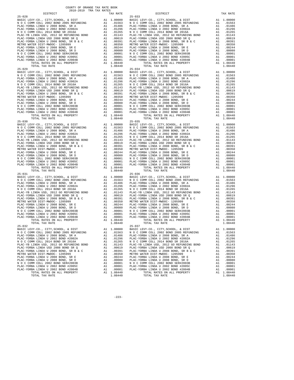| $\begin{tabular}{l c c c c} \multicolumn{1}{c}{\textbf{N O C COMM COLL 2002 BOND 2005 REFUNDING}} & \multicolumn{1}{c}{\textbf{A1}} & .01563 & \multicolumn{1}{c}{\textbf{N O C C COMM COLL 2008 BOND 2005 REFUNDING}} \\ \multicolumn{1}{c}{\textbf{PLAC-YORBA LINDA U 2008 BOND 5R 2016A}} & \multicolumn{1}{c}{\textbf{A1}} & .01246 & \multicolumn{1}{c}{\textbf{PLAC-YORA LINDA U 2008 BOND 5R 2016A}}$ |          |                  |                    |
|--------------------------------------------------------------------------------------------------------------------------------------------------------------------------------------------------------------------------------------------------------------------------------------------------------------------------------------------------------------------------------------------------------------|----------|------------------|--------------------|
|                                                                                                                                                                                                                                                                                                                                                                                                              |          |                  |                    |
|                                                                                                                                                                                                                                                                                                                                                                                                              |          |                  |                    |
|                                                                                                                                                                                                                                                                                                                                                                                                              |          |                  |                    |
|                                                                                                                                                                                                                                                                                                                                                                                                              |          |                  |                    |
|                                                                                                                                                                                                                                                                                                                                                                                                              |          |                  |                    |
|                                                                                                                                                                                                                                                                                                                                                                                                              |          |                  |                    |
|                                                                                                                                                                                                                                                                                                                                                                                                              |          |                  |                    |
|                                                                                                                                                                                                                                                                                                                                                                                                              |          |                  |                    |
|                                                                                                                                                                                                                                                                                                                                                                                                              |          |                  |                    |
|                                                                                                                                                                                                                                                                                                                                                                                                              |          |                  |                    |
|                                                                                                                                                                                                                                                                                                                                                                                                              |          |                  |                    |
|                                                                                                                                                                                                                                                                                                                                                                                                              |          |                  |                    |
| TOTAL TAX RATE                                                                                                                                                                                                                                                                                                                                                                                               |          | 1.08440          |                    |
| $25 - 029$                                                                                                                                                                                                                                                                                                                                                                                                   |          |                  | $25 - 034$         |
|                                                                                                                                                                                                                                                                                                                                                                                                              |          |                  |                    |
|                                                                                                                                                                                                                                                                                                                                                                                                              |          |                  |                    |
|                                                                                                                                                                                                                                                                                                                                                                                                              |          |                  |                    |
|                                                                                                                                                                                                                                                                                                                                                                                                              |          |                  |                    |
|                                                                                                                                                                                                                                                                                                                                                                                                              |          |                  |                    |
|                                                                                                                                                                                                                                                                                                                                                                                                              |          |                  |                    |
|                                                                                                                                                                                                                                                                                                                                                                                                              |          |                  |                    |
|                                                                                                                                                                                                                                                                                                                                                                                                              |          |                  |                    |
|                                                                                                                                                                                                                                                                                                                                                                                                              |          |                  |                    |
|                                                                                                                                                                                                                                                                                                                                                                                                              |          |                  |                    |
|                                                                                                                                                                                                                                                                                                                                                                                                              |          |                  |                    |
|                                                                                                                                                                                                                                                                                                                                                                                                              |          |                  |                    |
|                                                                                                                                                                                                                                                                                                                                                                                                              |          |                  |                    |
|                                                                                                                                                                                                                                                                                                                                                                                                              |          |                  |                    |
|                                                                                                                                                                                                                                                                                                                                                                                                              |          |                  |                    |
| $25 - 030$                                                                                                                                                                                                                                                                                                                                                                                                   |          |                  | $25 - 035$         |
|                                                                                                                                                                                                                                                                                                                                                                                                              |          |                  |                    |
|                                                                                                                                                                                                                                                                                                                                                                                                              |          |                  |                    |
|                                                                                                                                                                                                                                                                                                                                                                                                              |          |                  |                    |
|                                                                                                                                                                                                                                                                                                                                                                                                              |          |                  |                    |
|                                                                                                                                                                                                                                                                                                                                                                                                              |          |                  |                    |
|                                                                                                                                                                                                                                                                                                                                                                                                              |          |                  |                    |
|                                                                                                                                                                                                                                                                                                                                                                                                              |          |                  |                    |
|                                                                                                                                                                                                                                                                                                                                                                                                              |          |                  |                    |
|                                                                                                                                                                                                                                                                                                                                                                                                              |          |                  |                    |
|                                                                                                                                                                                                                                                                                                                                                                                                              |          |                  |                    |
|                                                                                                                                                                                                                                                                                                                                                                                                              |          |                  |                    |
|                                                                                                                                                                                                                                                                                                                                                                                                              |          |                  |                    |
|                                                                                                                                                                                                                                                                                                                                                                                                              |          |                  |                    |
|                                                                                                                                                                                                                                                                                                                                                                                                              |          |                  |                    |
| TOTAL TAX RATE                                                                                                                                                                                                                                                                                                                                                                                               |          | 1.08440          |                    |
| $25 - 031$                                                                                                                                                                                                                                                                                                                                                                                                   |          |                  | $25 - 036$         |
|                                                                                                                                                                                                                                                                                                                                                                                                              |          |                  |                    |
|                                                                                                                                                                                                                                                                                                                                                                                                              |          |                  |                    |
|                                                                                                                                                                                                                                                                                                                                                                                                              |          |                  |                    |
|                                                                                                                                                                                                                                                                                                                                                                                                              |          |                  |                    |
|                                                                                                                                                                                                                                                                                                                                                                                                              |          |                  |                    |
|                                                                                                                                                                                                                                                                                                                                                                                                              |          |                  |                    |
|                                                                                                                                                                                                                                                                                                                                                                                                              |          |                  |                    |
|                                                                                                                                                                                                                                                                                                                                                                                                              |          |                  |                    |
|                                                                                                                                                                                                                                                                                                                                                                                                              |          |                  |                    |
|                                                                                                                                                                                                                                                                                                                                                                                                              |          |                  |                    |
|                                                                                                                                                                                                                                                                                                                                                                                                              |          |                  |                    |
|                                                                                                                                                                                                                                                                                                                                                                                                              |          |                  |                    |
|                                                                                                                                                                                                                                                                                                                                                                                                              |          |                  |                    |
|                                                                                                                                                                                                                                                                                                                                                                                                              |          |                  |                    |
| TOTAL TAX RATE                                                                                                                                                                                                                                                                                                                                                                                               |          | 1.08440          |                    |
| $25 - 032$                                                                                                                                                                                                                                                                                                                                                                                                   |          |                  | $25 - 037$         |
|                                                                                                                                                                                                                                                                                                                                                                                                              |          |                  |                    |
|                                                                                                                                                                                                                                                                                                                                                                                                              |          |                  |                    |
| PLAC-YORBA LINDA U 2008 BOND, SR A Al 01486 PLAC-YO                                                                                                                                                                                                                                                                                                                                                          |          |                  |                    |
| PLAC-YORBA LINDA U 2002 BOND #2002A                                                                                                                                                                                                                                                                                                                                                                          | A1       | .01296           | PLAC-YO            |
| N O C COMM COLL 2014 BOND SR 2016A                                                                                                                                                                                                                                                                                                                                                                           | A1       | .01265           | NOCC               |
| PLAC-YB LINDA USD, 2012 GO REFUNDING BOND                                                                                                                                                                                                                                                                                                                                                                    | A1       | .01143           | PLAC-YB            |
| PLAC-YORBA LINDA USD 2008 BOND SR Q                                                                                                                                                                                                                                                                                                                                                                          | A1       | .00619           | PLAC-YO            |
| PLAC-YORBA LINDA U 2008 BOND, SR B & C                                                                                                                                                                                                                                                                                                                                                                       | A1       | .00391           | PLAC-YO            |
| METRO WATER DIST-MWDOC- 1205999                                                                                                                                                                                                                                                                                                                                                                              | A1<br>A1 | .00350           | METRO W            |
| PLAC-YORBA LINDA U 2008 BOND, SR E<br>PLAC-YORBA LINDA U 2008 BOND, SR D                                                                                                                                                                                                                                                                                                                                     | A1       | .00244<br>.00080 | PLAC-YO<br>PLAC-YO |
| N O C COMM COLL 2002 BOND SER#2003B                                                                                                                                                                                                                                                                                                                                                                          | A1       | .00001           | NOCC               |
| PLAC-YORBA LINDA U 2002 BOND #2005C                                                                                                                                                                                                                                                                                                                                                                          | A1       | .00001           | PLAC-YO            |
| PLAC-YORBA LINDA U 2002 BOND #2004B                                                                                                                                                                                                                                                                                                                                                                          | A1       | .00001           | PLAC-YO            |
| TOTAL RATES ON ALL PROPERTY                                                                                                                                                                                                                                                                                                                                                                                  |          | A1 1.08440       |                    |
|                                                                                                                                                                                                                                                                                                                                                                                                              |          |                  |                    |

COUNTY OF ORANGE TAX RATE BOOK 2018-2019 TRA TAX RATES

 DISTRICT TAX RATE DISTRICT TAX RATE 25-028 25-033 BASIC LEVY-CO., CITY,SCHOOL, & DIST A1 1.00000 BASIC LEVY-CO., CITY,SCHOOL, & DIST A1 1.00000<br>101563 N O C COMM COLL 2005 REFUNDING PLAC-YORBA LINDA U 2008 BOND, SR A A1 .01486 PLAC-YORBA LINDA U 2008 BOND, SR A A1 .01486 PLAC-YORBA LINDA U 2002 BOND #2002A A1 .01296 PLAC-YORBA LINDA U 2002 BOND #2002A A1 .01296  $\begin{tabular}{l|c|c|c|c|c|c|c} \multicolumn{4}{c}{\textbf{N} & $\mathcal{O}$ & $\mathcal{O}$ & $\mathcal{O}$ \\ \multicolumn{4}{c}{\textbf{PLAC}-YORBA LINDA USD} & $\mathcal{O}$ & $\mathcal{O}$ & $\mathcal{O}$ \\ \multicolumn{4}{c}{\textbf{PLAC}-YORBA LINDA USD} & $\mathcal{O}$ & $\mathcal{O}$ & $\mathcal{O}$ \\ \multicolumn{4}{c}{\textbf{PLAC}-YORBA LINDA USD} & $\mathcal{O}$ & $\mathcal{O}$ & $\mathcal{O}$ \\ \multicolumn{4}{c}{\textbf{PLAC}-$ TOTAL RATES ON ALL PROPERTY 1.08440 TOTAL TAX RATE 1.08440 1.08440 TOTAL TAX RATE BASIC LEVY-CO., CITY,SCHOOL, & DIST A1 1.00000 BASIC LEVY-CO., CITY,SCHOOL, & DIST A1 1.00000<br>101563 N O C COMM COLL 2005 REFUNDING PLAC-YORBA LINDA U 2008 BOND, SR A A1 .01486 PLAC-YORBA LINDA U 2008 BOND, SR A A1 .01486 PLAC-YORBA LINDA U 2002 BOND #2002A A1 .01296 PLAC-YORBA LINDA U 2002 BOND #2002A A1 .01296  $\begin{tabular}{l|c|c|c|c|c|c|c} \multicolumn{4}{c}{\textbf{N} & $\mathcal{O}$ & $\mathcal{O}$ & $\mathcal{O}$ \\ \multicolumn{4}{c}{\textbf{PLAC}-YORBA LINDA USD} & $\mathcal{O}$ & $\mathcal{O}$ & $\mathcal{O}$ \\ \multicolumn{4}{c}{\textbf{PLAC}-YORBA LINDA USD} & $\mathcal{O}$ & $\mathcal{O}$ & $\mathcal{O}$ \\ \multicolumn{4}{c}{\textbf{PLAC}-YORBA LINDA USD} & $\mathcal{O}$ & $\mathcal{O}$ & $\mathcal{O}$ \\ \multicolumn{4}{c}{\textbf{PLAC}-$  TOTAL TAX RATE 1.08440 TOTAL TAX RATE 1.08440 BASIC LEVY-CO., CITY,SCHOOL, & DIST A1 1.00000 BASIC LEVY-CO., CITY,SCHOOL, & DIST A1 1.00000 N O C COMM COLL 2002 BOND 2005 REFUNDING A1 .01563 N O C COMM COLL 2002 BOND 2005 REFUNDING A1 .01563 PLAC-YORBA LINDA U 2008 BOND, SR A A1 .01486 PLAC-YORBA LINDA U 2008 BOND, SR A A1 .01486 PLAC-YORBA LINDA U 2002 BOND #2002A A1 .01296 PLAC-YORBA LINDA U 2002 BOND #2002A A1 .01296 N O C COMM COLL 2014 BOND SR 2016A A1 .01265 N O C COMM COLL 2014 BOND SR 2016A A1 .01265 PLAC-YB LINDA USD, 2012 GO REFUNDING BOND A1 .01143 PLAC-YB LINDA USD, 2012 GO REFUNDING BOND A1 .01143 PLAC-YORBA LINDA USD 2008 BOND SR Q A1 .00619 PLAC-YORBA LINDA USD 2008 BOND SR Q A1 .00619 PLAC-YORBA LINDA U 2008 BOND, SR B & C A1 .00391 PLAC-YORBA LINDA U 2008 BOND, SR B & C A1 .00391 METRO WATER DIST-MWDOC- 1205999 A1 .00350 METRO WATER DIST-MWDOC- 1205999 A1 .00350 PLAC-YORBA LINDA U 2008 BOND, SR E A1 .00244 PLAC-YORBA LINDA U 2008 BOND, SR E A1 .00244 PLAC-YORBA LINDA U 2008 BOND, SR D A1 .00080 PLAC-YORBA LINDA U 2008 BOND, SR D A1 .00080 N O C COMM COLL 2002 BOND SER#2003B A1 .00001 N O C COMM COLL 2002 BOND SER#2003B A1 .00001 PLAC-YORBA LINDA U 2002 BOND #2005C A1 .00001 PLAC-YORBA LINDA U 2002 BOND #2005C A1 .00001 PLAC-YORBA LINDA U 2002 BOND #2004B A1 .00001 PLAC-YORBA LINDA U 2002 BOND #2004B A1 .00001 TOTAL RATES ON ALL PROPERTY A1 1.08440 TOTAL RATES ON ALL PROPERTY A1 1.08440 1.08440 TOTAL RATES ON ALL PROPERTY A1 1.08440 TOTAL TAX RATE 1.08440  $25-036$  BASIC LEVY-CO., CITY,SCHOOL, & DIST A1 1.00000 BASIC LEVY-CO., CITY,SCHOOL, & DIST A1 1.00000 N O C COMM COLL 2002 BOND 2005 REFUNDING A1 .01563 N O C COMM COLL 2002 BOND 2005 REFUNDING A1 .01563 PLAC-YORBA LINDA U 2008 BOND, SR A A1 .01486 PLAC-YORBA LINDA U 2008 BOND, SR A A1 .01486 PLAC-YORBA LINDA U 2002 BOND #2002A A1 .01296 PLAC-YORBA LINDA U 2002 BOND #2002A A1 .01296 N O C COMM COLL 2014 BOND SR 2016A A1 .01265 N O C COMM COLL 2014 BOND SR 2016A A1 .01265 PLAC-YB LINDA USD, 2012 GO REFUNDING BOND A1 .01143 PLAC-YB LINDA USD, 2012 GO REFUNDING BOND A1 .01143 PLAC-YORBA LINDA USD 2008 BOND SR Q A1 .00619 PLAC-YORBA LINDA USD 2008 BOND SR Q A1 .00619 PLAC-YORBA LINDA U 2008 BOND, SR B & C A1 .00391 PLAC-YORBA LINDA U 2008 BOND, SR B & C A1 .00391 METRO WATER DIST-MWDOC- 1205999 A1 .00350 METRO WATER DIST-MWDOC- 1205999 A1 .00350 PLAC-YORBA LINDA U 2008 BOND, SR E A1 .00244 PLAC-YORBA LINDA U 2008 BOND, SR E A1 .00244 PLAC-YORBA LINDA U 2008 BOND, SR D A1 .00080 PLAC-YORBA LINDA U 2008 BOND, SR D A1 .00080 N O C COMM COLL 2002 BOND SER#2003B A1 .00001 N O C COMM COLL 2002 BOND SER#2003B A1 .00001 PLAC-YORBA LINDA U 2002 BOND #2005C A1 .00001 PLAC-YORBA LINDA U 2002 BOND #2005C A1 .00001 PLAC-YORBA LINDA U 2002 BOND #2004B A1 .00001 PLAC-YORBA LINDA U 2002 BOND #2004B A1 .00001 TOTAL RATES ON ALL PROPERTY A1 1.08440 TOTAL RATES ON ALL PROPERTY A1 1.08440 TOTAL TAX RATE 1.08440 TOTAL TAX RATE 1.08440 BASIC LEVY-CO., CITY,SCHOOL, & DIST A1 1.00000 BASIC LEVY-CO., CITY,SCHOOL, & DIST A1 1.00000  $\begin{tabular}{l|c|c|c|c|c|c|c|c} \multicolumn{4}{c}{A1} & .01563 & N O C COM M COLL 2002 BOND 2005 REFUNDING & A1 & .01563 \\ \hline \multicolumn{4}{c}{PIAC-YORBA LINDN U 2008 BOND 42005 REFUNDING} & A1 & .01563 & N O C COM M COLL 2002 BOND 2005 REFUNDING & A1 & .01563 \\ \hline \multicolumn{4}{c}{PIAC-YORBA LINDN U 2008 BOND 42002A} & A1 & .01486 & PLAC-YORBA LINDN U$ PLAC-YORBA LINDA U 2008 BOND, SR B & C A1 .00391 PLAC-YORBA LINDA U 2008 BOND, SR B & C A1 .00391<br>METRO WATER DIST-MWDOC-1205999 A1 .00350 METRO WATER DIST-MWDOC-1205999 A1 .00350 PLAC-YORBA LINDA U 2008 BOND, SR E A1 .00244 PLAC-YORBA LINDA U 2008 BOND, SR E A1 .00244 PLAC-YORBA LINDA U 2008 BOND, SR D A1 .00080 PLAC-YORBA LINDA U 2008 BOND, SR D A1 .00080 N O COMM COLL 2002 BOND SER#2003B AI 00001 N O COMM COLL 2002 BOND SER#2003B AI 00001 PLAC-YORBA LINDA U 2002<br>PLAC-YORBA LINDA U 2002 BOND #2005C AI 00001 PLAC-YORBA LINDA U 2002 BOND #2005C AI 00001<br>PLAC-YORBA LINDA U 200

-223-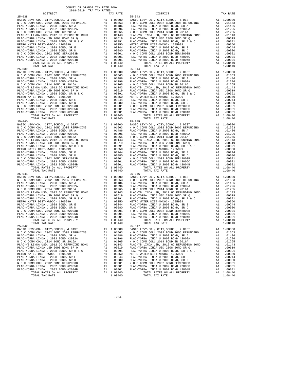|            | TOTAL TAX RATE                            |    | 1.08440    |                |
|------------|-------------------------------------------|----|------------|----------------|
|            |                                           |    |            |                |
|            |                                           |    |            |                |
|            |                                           |    |            |                |
|            |                                           |    |            |                |
|            |                                           |    |            |                |
|            |                                           |    |            |                |
|            |                                           |    |            |                |
|            |                                           |    |            |                |
|            |                                           |    |            |                |
|            |                                           |    |            |                |
|            |                                           |    |            |                |
|            |                                           |    |            |                |
|            |                                           |    |            |                |
|            |                                           |    |            |                |
|            |                                           |    |            |                |
|            |                                           |    |            |                |
|            |                                           |    |            |                |
|            |                                           |    |            |                |
|            |                                           |    |            |                |
|            |                                           |    |            |                |
|            |                                           |    |            |                |
|            |                                           |    |            |                |
|            |                                           |    |            |                |
|            |                                           |    |            |                |
|            |                                           |    |            |                |
|            |                                           |    |            |                |
|            |                                           |    |            |                |
|            |                                           |    |            |                |
|            |                                           |    |            |                |
|            |                                           |    |            |                |
|            |                                           |    |            |                |
|            |                                           |    |            |                |
|            | TOTAL TAX RATE                            |    | 1.08440    |                |
| $25 - 041$ |                                           |    |            | $25 - 046$     |
|            |                                           |    |            |                |
|            |                                           |    |            |                |
|            |                                           |    |            |                |
|            |                                           |    |            |                |
|            |                                           |    |            |                |
|            |                                           |    |            |                |
|            |                                           |    |            |                |
|            |                                           |    |            |                |
|            |                                           |    |            |                |
|            |                                           |    |            |                |
|            |                                           |    |            |                |
|            |                                           |    |            |                |
|            |                                           |    |            |                |
|            |                                           |    |            |                |
|            | TOTAL TAX RATE                            |    | 1.08440    |                |
| $25 - 042$ |                                           |    |            | $25 - 047$     |
|            |                                           |    |            |                |
|            |                                           |    |            |                |
|            | PLAC-YORBA LINDA U 2008 BOND. SR A Al Al  |    |            | .01486 PLAC-YO |
|            | PLAC-YORBA LINDA U 2002 BOND #2002A       | A1 | .01296     | PLAC-YO        |
|            | N O C COMM COLL 2014 BOND SR 2016A        | A1 | .01265     | NOCC           |
|            | PLAC-YB LINDA USD, 2012 GO REFUNDING BOND | A1 | .01143     | PLAC-YB        |
|            | PLAC-YORBA LINDA USD 2008 BOND SR Q       | A1 | .00619     | PLAC-YO        |
|            | PLAC-YORBA LINDA U 2008 BOND, SR B & C    | A1 | .00391     | PLAC-YO        |
|            | METRO WATER DIST-MWDOC- 1205999           | A1 | .00350     | METRO W        |
|            | PLAC-YORBA LINDA U 2008 BOND, SR E        | A1 | .00244     | PLAC-YO        |
|            | PLAC-YORBA LINDA U 2008 BOND, SR D        | A1 | .00080     | PLAC-YO        |
|            | N O C COMM COLL 2002 BOND SER#2003B       | A1 | .00001     | NOCC           |
|            | PLAC-YORBA LINDA U 2002 BOND #2005C       | A1 | .00001     | PLAC-YO        |
|            | PLAC-YORBA LINDA U 2002 BOND #2004B       | A1 | .00001     | PLAC-YO        |
|            | TOTAL RATES ON ALL PROPERTY               |    | A1 1.08440 |                |

| COUNTY OF ORANGE TAX RATE BOOK<br>2018-2019 TRA TAX RATES                                                                                            |          |                                                                                                                                                                                                       |    |                        |
|------------------------------------------------------------------------------------------------------------------------------------------------------|----------|-------------------------------------------------------------------------------------------------------------------------------------------------------------------------------------------------------|----|------------------------|
| DISTRICT                                                                                                                                             | TAX RATE | DISTRICT                                                                                                                                                                                              |    | TAX RATE               |
|                                                                                                                                                      |          |                                                                                                                                                                                                       |    |                        |
|                                                                                                                                                      |          |                                                                                                                                                                                                       |    |                        |
|                                                                                                                                                      |          |                                                                                                                                                                                                       |    |                        |
|                                                                                                                                                      |          |                                                                                                                                                                                                       |    |                        |
|                                                                                                                                                      |          |                                                                                                                                                                                                       |    |                        |
|                                                                                                                                                      |          |                                                                                                                                                                                                       |    |                        |
|                                                                                                                                                      |          |                                                                                                                                                                                                       |    |                        |
|                                                                                                                                                      |          |                                                                                                                                                                                                       |    |                        |
|                                                                                                                                                      |          |                                                                                                                                                                                                       |    |                        |
|                                                                                                                                                      |          |                                                                                                                                                                                                       |    |                        |
|                                                                                                                                                      |          |                                                                                                                                                                                                       |    |                        |
|                                                                                                                                                      |          |                                                                                                                                                                                                       |    |                        |
|                                                                                                                                                      |          |                                                                                                                                                                                                       |    |                        |
|                                                                                                                                                      |          |                                                                                                                                                                                                       |    |                        |
|                                                                                                                                                      |          |                                                                                                                                                                                                       |    |                        |
|                                                                                                                                                      |          |                                                                                                                                                                                                       |    |                        |
|                                                                                                                                                      |          |                                                                                                                                                                                                       |    |                        |
|                                                                                                                                                      |          |                                                                                                                                                                                                       |    |                        |
|                                                                                                                                                      |          |                                                                                                                                                                                                       |    |                        |
|                                                                                                                                                      |          |                                                                                                                                                                                                       |    |                        |
|                                                                                                                                                      |          |                                                                                                                                                                                                       |    |                        |
|                                                                                                                                                      |          |                                                                                                                                                                                                       |    |                        |
|                                                                                                                                                      |          |                                                                                                                                                                                                       |    |                        |
|                                                                                                                                                      |          |                                                                                                                                                                                                       |    |                        |
|                                                                                                                                                      |          |                                                                                                                                                                                                       |    |                        |
|                                                                                                                                                      |          |                                                                                                                                                                                                       |    |                        |
|                                                                                                                                                      |          |                                                                                                                                                                                                       |    |                        |
|                                                                                                                                                      |          |                                                                                                                                                                                                       |    |                        |
|                                                                                                                                                      |          |                                                                                                                                                                                                       |    |                        |
|                                                                                                                                                      |          |                                                                                                                                                                                                       |    |                        |
|                                                                                                                                                      |          |                                                                                                                                                                                                       |    |                        |
|                                                                                                                                                      |          |                                                                                                                                                                                                       |    |                        |
|                                                                                                                                                      |          |                                                                                                                                                                                                       |    |                        |
|                                                                                                                                                      |          |                                                                                                                                                                                                       |    |                        |
|                                                                                                                                                      |          |                                                                                                                                                                                                       |    |                        |
|                                                                                                                                                      |          |                                                                                                                                                                                                       |    |                        |
|                                                                                                                                                      |          |                                                                                                                                                                                                       |    |                        |
|                                                                                                                                                      |          |                                                                                                                                                                                                       |    |                        |
|                                                                                                                                                      |          |                                                                                                                                                                                                       |    |                        |
|                                                                                                                                                      |          |                                                                                                                                                                                                       |    |                        |
|                                                                                                                                                      |          |                                                                                                                                                                                                       |    |                        |
|                                                                                                                                                      |          |                                                                                                                                                                                                       |    |                        |
|                                                                                                                                                      |          |                                                                                                                                                                                                       |    |                        |
|                                                                                                                                                      |          |                                                                                                                                                                                                       |    |                        |
|                                                                                                                                                      |          |                                                                                                                                                                                                       |    |                        |
|                                                                                                                                                      |          |                                                                                                                                                                                                       |    |                        |
|                                                                                                                                                      |          |                                                                                                                                                                                                       |    |                        |
|                                                                                                                                                      |          |                                                                                                                                                                                                       |    |                        |
|                                                                                                                                                      |          |                                                                                                                                                                                                       |    |                        |
|                                                                                                                                                      |          |                                                                                                                                                                                                       |    |                        |
|                                                                                                                                                      |          |                                                                                                                                                                                                       |    |                        |
|                                                                                                                                                      |          |                                                                                                                                                                                                       |    |                        |
|                                                                                                                                                      |          |                                                                                                                                                                                                       |    |                        |
|                                                                                                                                                      |          |                                                                                                                                                                                                       |    |                        |
|                                                                                                                                                      |          |                                                                                                                                                                                                       |    |                        |
|                                                                                                                                                      |          |                                                                                                                                                                                                       |    |                        |
|                                                                                                                                                      |          |                                                                                                                                                                                                       |    |                        |
|                                                                                                                                                      |          |                                                                                                                                                                                                       |    |                        |
|                                                                                                                                                      |          |                                                                                                                                                                                                       |    |                        |
|                                                                                                                                                      |          |                                                                                                                                                                                                       |    |                        |
| TOTAL TAX RATE                                                                                                                                       | 1.08440  | TOTAL TAX RATE                                                                                                                                                                                        |    | 1.08440                |
| $25 - 042$                                                                                                                                           |          | $25 - 047$                                                                                                                                                                                            |    |                        |
| EXECUTE AT 1.00000 BASIC LEVY-CO., CITY, SCHOOL, & DIST<br>NO C COMM COLL 2002 BOND 2005 REFUNDING A1 .01553 NO C COMM COLL 2002 BOND 2005 REFUNDING |          | BASIC LEVY-CO., CITY, SCHOOL, & DIST                                                                                                                                                                  |    | A1 1.00000             |
|                                                                                                                                                      |          |                                                                                                                                                                                                       |    | A1 .01563              |
| PLAC-YORBA LINDA U 2008 BOND, SR A                                                                                                                   |          | A1 .01486 PLAC-YORBA LINDA U 2008 BOND, SR A                                                                                                                                                          |    | A1 .01486              |
| PLAC-YORBA LINDA U 2002 BOND #2002A<br>N O C COMM COLL 2014 BOND SR 2016A                                                                            |          | A1 .01296 PLAC-YORBA LINDA U 2002 BOND #2002A<br>A1 .01265 NOCCOMM COLL 2014 BOND SR 2016A                                                                                                            |    | A1 .01296<br>A1 .01265 |
| PLAC-YB LINDA USD, 2012 GO REFUNDING BOND                                                                                                            |          | A1 .01143 PLAC-YB LINDA USD, 2012 GO REFUNDING BOND<br>A1 .00619 PLAC-YBRBA LINDA USD 2008 BOND SR Q<br>A1 .00391 PLAC-YORBA LINDA U 2008 BOND, SR B & C<br>A1 .00350 METRO WATER DIST-MWDOC- 1205999 |    | A1 .01143              |
| PLAC-YORBA LINDA USD 2008 BOND SR Q                                                                                                                  |          |                                                                                                                                                                                                       |    | A1 .00619              |
|                                                                                                                                                      |          |                                                                                                                                                                                                       |    | A1 .00391              |
|                                                                                                                                                      |          |                                                                                                                                                                                                       | A1 | .00350                 |
|                                                                                                                                                      |          |                                                                                                                                                                                                       |    | A1 .00244              |
|                                                                                                                                                      |          |                                                                                                                                                                                                       |    | A1 .00080              |
|                                                                                                                                                      |          |                                                                                                                                                                                                       |    | A1 .00001              |
|                                                                                                                                                      |          |                                                                                                                                                                                                       |    | A1 .00001<br>A1 .00001 |
|                                                                                                                                                      |          | TOTAL RATES ON ALL PROPERTY                                                                                                                                                                           |    | A1 1.08440             |
|                                                                                                                                                      |          |                                                                                                                                                                                                       |    | 1.08440                |
|                                                                                                                                                      |          |                                                                                                                                                                                                       |    |                        |

-224-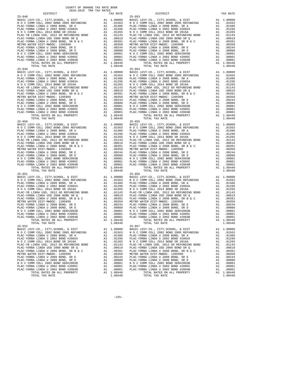| $\begin{tabular}{l c c c c} \multicolumn{1}{c}{\textbf{N O C COMM COLL 2002 BOND 2005 REFUNDING}} & \multicolumn{1}{c}{\textbf{A1}} & .01563 & \multicolumn{1}{c}{\textbf{N O C C COMM COLL 2008 BOND 2005 REFUNDING}} \\ \multicolumn{1}{c}{\textbf{PLAC-YORBA LINDA U 2008 BOND 5R 2016A}} & \multicolumn{1}{c}{\textbf{A1}} & .01246 & \multicolumn{1}{c}{\textbf{PLAC-YORA LINDA U 2008 BOND 5R 2016A}}$ |          |                  |                    |
|--------------------------------------------------------------------------------------------------------------------------------------------------------------------------------------------------------------------------------------------------------------------------------------------------------------------------------------------------------------------------------------------------------------|----------|------------------|--------------------|
|                                                                                                                                                                                                                                                                                                                                                                                                              |          |                  |                    |
|                                                                                                                                                                                                                                                                                                                                                                                                              |          |                  |                    |
|                                                                                                                                                                                                                                                                                                                                                                                                              |          |                  |                    |
|                                                                                                                                                                                                                                                                                                                                                                                                              |          |                  |                    |
|                                                                                                                                                                                                                                                                                                                                                                                                              |          |                  |                    |
|                                                                                                                                                                                                                                                                                                                                                                                                              |          |                  |                    |
|                                                                                                                                                                                                                                                                                                                                                                                                              |          |                  |                    |
|                                                                                                                                                                                                                                                                                                                                                                                                              |          |                  |                    |
|                                                                                                                                                                                                                                                                                                                                                                                                              |          |                  |                    |
|                                                                                                                                                                                                                                                                                                                                                                                                              |          |                  |                    |
|                                                                                                                                                                                                                                                                                                                                                                                                              |          |                  |                    |
|                                                                                                                                                                                                                                                                                                                                                                                                              |          |                  |                    |
| TOTAL TAX RATE                                                                                                                                                                                                                                                                                                                                                                                               |          | 1.08440          |                    |
| $25 - 049$                                                                                                                                                                                                                                                                                                                                                                                                   |          |                  | $25 - 054$         |
|                                                                                                                                                                                                                                                                                                                                                                                                              |          |                  |                    |
|                                                                                                                                                                                                                                                                                                                                                                                                              |          |                  |                    |
|                                                                                                                                                                                                                                                                                                                                                                                                              |          |                  |                    |
|                                                                                                                                                                                                                                                                                                                                                                                                              |          |                  |                    |
|                                                                                                                                                                                                                                                                                                                                                                                                              |          |                  |                    |
|                                                                                                                                                                                                                                                                                                                                                                                                              |          |                  |                    |
|                                                                                                                                                                                                                                                                                                                                                                                                              |          |                  |                    |
|                                                                                                                                                                                                                                                                                                                                                                                                              |          |                  |                    |
|                                                                                                                                                                                                                                                                                                                                                                                                              |          |                  |                    |
|                                                                                                                                                                                                                                                                                                                                                                                                              |          |                  |                    |
|                                                                                                                                                                                                                                                                                                                                                                                                              |          |                  |                    |
|                                                                                                                                                                                                                                                                                                                                                                                                              |          |                  |                    |
|                                                                                                                                                                                                                                                                                                                                                                                                              |          |                  |                    |
|                                                                                                                                                                                                                                                                                                                                                                                                              |          |                  |                    |
|                                                                                                                                                                                                                                                                                                                                                                                                              |          |                  |                    |
| $25 - 050$                                                                                                                                                                                                                                                                                                                                                                                                   |          |                  | $25 - 055$         |
|                                                                                                                                                                                                                                                                                                                                                                                                              |          |                  |                    |
|                                                                                                                                                                                                                                                                                                                                                                                                              |          |                  |                    |
|                                                                                                                                                                                                                                                                                                                                                                                                              |          |                  |                    |
|                                                                                                                                                                                                                                                                                                                                                                                                              |          |                  |                    |
|                                                                                                                                                                                                                                                                                                                                                                                                              |          |                  |                    |
|                                                                                                                                                                                                                                                                                                                                                                                                              |          |                  |                    |
|                                                                                                                                                                                                                                                                                                                                                                                                              |          |                  |                    |
|                                                                                                                                                                                                                                                                                                                                                                                                              |          |                  |                    |
|                                                                                                                                                                                                                                                                                                                                                                                                              |          |                  |                    |
|                                                                                                                                                                                                                                                                                                                                                                                                              |          |                  |                    |
|                                                                                                                                                                                                                                                                                                                                                                                                              |          |                  |                    |
|                                                                                                                                                                                                                                                                                                                                                                                                              |          |                  |                    |
|                                                                                                                                                                                                                                                                                                                                                                                                              |          | A1 1.08440       |                    |
| TOTAL TAX RATE                                                                                                                                                                                                                                                                                                                                                                                               |          | 1.08440          |                    |
| $25 - 051$                                                                                                                                                                                                                                                                                                                                                                                                   |          |                  | $25 - 056$         |
|                                                                                                                                                                                                                                                                                                                                                                                                              |          |                  |                    |
|                                                                                                                                                                                                                                                                                                                                                                                                              |          |                  |                    |
|                                                                                                                                                                                                                                                                                                                                                                                                              |          |                  |                    |
|                                                                                                                                                                                                                                                                                                                                                                                                              |          |                  |                    |
|                                                                                                                                                                                                                                                                                                                                                                                                              |          |                  |                    |
|                                                                                                                                                                                                                                                                                                                                                                                                              |          |                  |                    |
|                                                                                                                                                                                                                                                                                                                                                                                                              |          |                  |                    |
|                                                                                                                                                                                                                                                                                                                                                                                                              |          |                  |                    |
|                                                                                                                                                                                                                                                                                                                                                                                                              |          |                  |                    |
|                                                                                                                                                                                                                                                                                                                                                                                                              |          |                  |                    |
|                                                                                                                                                                                                                                                                                                                                                                                                              |          |                  |                    |
|                                                                                                                                                                                                                                                                                                                                                                                                              |          |                  |                    |
|                                                                                                                                                                                                                                                                                                                                                                                                              |          |                  |                    |
|                                                                                                                                                                                                                                                                                                                                                                                                              |          |                  |                    |
| TOTAL TAX RATE                                                                                                                                                                                                                                                                                                                                                                                               |          | 1.08440          |                    |
| $25 - 052$                                                                                                                                                                                                                                                                                                                                                                                                   |          |                  | $25 - 057$         |
|                                                                                                                                                                                                                                                                                                                                                                                                              |          |                  |                    |
|                                                                                                                                                                                                                                                                                                                                                                                                              |          |                  |                    |
| PLAC-YORBA LINDA U 2008 BOND, SR A Al 01486 PLAC-YO                                                                                                                                                                                                                                                                                                                                                          |          |                  |                    |
| PLAC-YORBA LINDA U 2002 BOND #2002A                                                                                                                                                                                                                                                                                                                                                                          | A1       | .01296           | PLAC-YO            |
| N O C COMM COLL 2014 BOND SR 2016A                                                                                                                                                                                                                                                                                                                                                                           | A1       | .01265           | NOCC               |
| PLAC-YB LINDA USD, 2012 GO REFUNDING BOND                                                                                                                                                                                                                                                                                                                                                                    | A1<br>A1 | .01143           | PLAC-YB<br>PLAC-YO |
| PLAC-YORBA LINDA USD 2008 BOND SR Q<br>PLAC-YORBA LINDA U 2008 BOND, SR B & C                                                                                                                                                                                                                                                                                                                                | A1       | .00619<br>.00391 | PLAC-YO            |
| METRO WATER DIST-MWDOC- 1205999                                                                                                                                                                                                                                                                                                                                                                              | A1       | .00350           | METRO W            |
| PLAC-YORBA LINDA U 2008 BOND, SR E                                                                                                                                                                                                                                                                                                                                                                           | A1       | .00244           | PLAC-YO            |
| PLAC-YORBA LINDA U 2008 BOND, SR D                                                                                                                                                                                                                                                                                                                                                                           | A1       | .00080           | PLAC-YO            |
| N O C COMM COLL 2002 BOND SER#2003B                                                                                                                                                                                                                                                                                                                                                                          | A1       | .00001           | NOCC               |
| PLAC-YORBA LINDA U 2002 BOND #2005C                                                                                                                                                                                                                                                                                                                                                                          | A1       | .00001           | PLAC-YO            |
| PLAC-YORBA LINDA U 2002 BOND #2004B                                                                                                                                                                                                                                                                                                                                                                          | A1       | .00001           | PLAC-YO            |
| TOTAL RATES ON ALL PROPERTY                                                                                                                                                                                                                                                                                                                                                                                  |          | A1 1.08440       |                    |

| COUNTY OF ORANGE TAX RATE BOOK<br>2018-2019 TRA TAX RATES                                                                                                                       |          |                                                                                                                                                |    |                        |
|---------------------------------------------------------------------------------------------------------------------------------------------------------------------------------|----------|------------------------------------------------------------------------------------------------------------------------------------------------|----|------------------------|
| DISTRICT                                                                                                                                                                        | TAX RATE | DISTRICT                                                                                                                                       |    | TAX RATE               |
|                                                                                                                                                                                 |          |                                                                                                                                                |    |                        |
|                                                                                                                                                                                 |          |                                                                                                                                                |    |                        |
|                                                                                                                                                                                 |          |                                                                                                                                                |    |                        |
|                                                                                                                                                                                 |          |                                                                                                                                                |    |                        |
|                                                                                                                                                                                 |          |                                                                                                                                                |    |                        |
|                                                                                                                                                                                 |          |                                                                                                                                                |    |                        |
|                                                                                                                                                                                 |          |                                                                                                                                                |    |                        |
|                                                                                                                                                                                 |          |                                                                                                                                                |    |                        |
|                                                                                                                                                                                 |          |                                                                                                                                                |    |                        |
|                                                                                                                                                                                 |          |                                                                                                                                                |    |                        |
|                                                                                                                                                                                 |          |                                                                                                                                                |    |                        |
|                                                                                                                                                                                 |          |                                                                                                                                                |    |                        |
|                                                                                                                                                                                 |          |                                                                                                                                                |    |                        |
|                                                                                                                                                                                 |          |                                                                                                                                                |    |                        |
|                                                                                                                                                                                 |          |                                                                                                                                                |    |                        |
|                                                                                                                                                                                 |          |                                                                                                                                                |    |                        |
|                                                                                                                                                                                 |          |                                                                                                                                                |    |                        |
|                                                                                                                                                                                 |          |                                                                                                                                                |    |                        |
|                                                                                                                                                                                 |          |                                                                                                                                                |    |                        |
|                                                                                                                                                                                 |          |                                                                                                                                                |    |                        |
|                                                                                                                                                                                 |          |                                                                                                                                                |    |                        |
|                                                                                                                                                                                 |          |                                                                                                                                                |    |                        |
|                                                                                                                                                                                 |          |                                                                                                                                                |    |                        |
|                                                                                                                                                                                 |          |                                                                                                                                                |    |                        |
|                                                                                                                                                                                 |          |                                                                                                                                                |    |                        |
|                                                                                                                                                                                 |          |                                                                                                                                                |    |                        |
|                                                                                                                                                                                 |          |                                                                                                                                                |    |                        |
|                                                                                                                                                                                 |          |                                                                                                                                                |    |                        |
|                                                                                                                                                                                 |          |                                                                                                                                                |    |                        |
|                                                                                                                                                                                 |          |                                                                                                                                                |    |                        |
|                                                                                                                                                                                 |          |                                                                                                                                                |    |                        |
|                                                                                                                                                                                 |          |                                                                                                                                                |    |                        |
|                                                                                                                                                                                 |          |                                                                                                                                                |    |                        |
|                                                                                                                                                                                 |          |                                                                                                                                                |    |                        |
|                                                                                                                                                                                 |          |                                                                                                                                                |    |                        |
|                                                                                                                                                                                 |          |                                                                                                                                                |    |                        |
|                                                                                                                                                                                 |          |                                                                                                                                                |    |                        |
|                                                                                                                                                                                 |          |                                                                                                                                                |    |                        |
|                                                                                                                                                                                 |          |                                                                                                                                                |    |                        |
|                                                                                                                                                                                 |          |                                                                                                                                                |    |                        |
|                                                                                                                                                                                 |          |                                                                                                                                                |    |                        |
|                                                                                                                                                                                 |          |                                                                                                                                                |    |                        |
|                                                                                                                                                                                 |          |                                                                                                                                                |    |                        |
|                                                                                                                                                                                 |          |                                                                                                                                                |    |                        |
|                                                                                                                                                                                 |          |                                                                                                                                                |    |                        |
|                                                                                                                                                                                 |          |                                                                                                                                                |    |                        |
|                                                                                                                                                                                 |          |                                                                                                                                                |    |                        |
|                                                                                                                                                                                 |          |                                                                                                                                                |    |                        |
|                                                                                                                                                                                 |          |                                                                                                                                                |    |                        |
|                                                                                                                                                                                 |          |                                                                                                                                                |    |                        |
|                                                                                                                                                                                 |          |                                                                                                                                                |    |                        |
|                                                                                                                                                                                 |          |                                                                                                                                                |    |                        |
|                                                                                                                                                                                 |          |                                                                                                                                                |    |                        |
|                                                                                                                                                                                 |          |                                                                                                                                                |    |                        |
|                                                                                                                                                                                 |          |                                                                                                                                                |    |                        |
|                                                                                                                                                                                 |          |                                                                                                                                                |    |                        |
|                                                                                                                                                                                 |          |                                                                                                                                                |    |                        |
|                                                                                                                                                                                 |          |                                                                                                                                                |    |                        |
|                                                                                                                                                                                 |          |                                                                                                                                                |    |                        |
|                                                                                                                                                                                 |          |                                                                                                                                                |    |                        |
|                                                                                                                                                                                 |          |                                                                                                                                                |    |                        |
| TOTAL TAX RATE                                                                                                                                                                  | 1.08440  | TOTAL TAX RATE                                                                                                                                 |    | 1.08440                |
| $25 - 052$                                                                                                                                                                      |          | $25 - 057$                                                                                                                                     |    |                        |
|                                                                                                                                                                                 |          | BASIC LEVY-CO., CITY, SCHOOL, & DIST                                                                                                           |    | A1 1.00000             |
| BASIC LEVY-CO., CITY, SCHOOL, & DIST<br>NO C COMM COLL 2002 BOND 2005 REFUNDING<br>NO C COMM COLL 2002 BOND 2005 REFUNDING<br>A1 .01563 NO C COMM COLL 2002 BOND 2005 REFUNDING |          |                                                                                                                                                |    | A1 .01563              |
| PLAC-YORBA LINDA U 2008 BOND, SR A                                                                                                                                              |          | A1 .01486 PLAC-YORBA LINDA U 2008 BOND, SR A                                                                                                   |    | A1 .01486              |
| PLAC-YORBA LINDA U 2002 BOND #2002A                                                                                                                                             |          | A1 .01296 PLAC-YORBA LINDA U 2002 BOND #2002A                                                                                                  |    | A1 .01296              |
| N O C COMM COLL 2014 BOND SR 2016A                                                                                                                                              |          | A1 .01265 NOCCOMM COLL 2014 BOND SR 2016A                                                                                                      |    | A1 .01265              |
| PLAC-YB LINDA USD, 2012 GO REFUNDING BOND<br>PLAC-YORBA LINDA USD 2008 BOND SR Q                                                                                                |          | A1 .01143 PLAC-YB LINDA USD, 2012 GO REFUNDING BOND                                                                                            |    | A1 .01143<br>A1 .00619 |
| PLAC-YORBA LINDA U 2008 BOND, SR B & C                                                                                                                                          |          | A1 .00619 PLAC-YORBA LINDA USD 2008 BOND SR Q<br>A1 .00391 PLAC-YORBA LINDA U 2008 BOND, SR B & C<br>A1 .00350 METRO WATER DIST-MWDOC- 1205999 | A1 | .00391                 |
|                                                                                                                                                                                 |          |                                                                                                                                                | A1 | .00350                 |
|                                                                                                                                                                                 |          |                                                                                                                                                |    | A1 .00244              |
|                                                                                                                                                                                 |          |                                                                                                                                                |    | A1 .00080              |
|                                                                                                                                                                                 |          |                                                                                                                                                |    | A1 .00001              |
|                                                                                                                                                                                 |          |                                                                                                                                                |    | A1 .00001              |
|                                                                                                                                                                                 |          |                                                                                                                                                |    | A1 .00001              |
|                                                                                                                                                                                 |          | TOTAL RATES ON ALL PROPERTY                                                                                                                    |    | A1 1.08440             |
|                                                                                                                                                                                 |          |                                                                                                                                                |    | 1.08440                |

-225-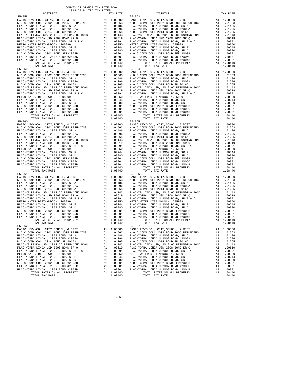| TOTAL TAX RATE                                       |    | 1.08440    |            |
|------------------------------------------------------|----|------------|------------|
| $25 - 059$                                           |    |            | $25 - 064$ |
|                                                      |    |            |            |
|                                                      |    |            |            |
|                                                      |    |            |            |
|                                                      |    |            |            |
|                                                      |    |            |            |
|                                                      |    |            |            |
|                                                      |    |            |            |
|                                                      |    |            |            |
|                                                      |    |            |            |
|                                                      |    |            |            |
|                                                      |    |            |            |
|                                                      |    |            |            |
|                                                      |    |            |            |
|                                                      |    |            |            |
|                                                      |    |            |            |
|                                                      |    |            |            |
|                                                      |    |            |            |
| TOTAL TAX RATE                                       |    | 1.08440    |            |
|                                                      |    |            |            |
|                                                      |    |            |            |
|                                                      |    |            |            |
|                                                      |    |            |            |
|                                                      |    |            |            |
|                                                      |    |            |            |
|                                                      |    |            |            |
|                                                      |    |            |            |
|                                                      |    |            |            |
|                                                      |    |            |            |
|                                                      |    |            |            |
|                                                      |    |            |            |
|                                                      |    |            |            |
|                                                      |    |            |            |
|                                                      |    |            |            |
|                                                      |    |            |            |
|                                                      |    |            |            |
|                                                      |    |            |            |
| $25 - 061$                                           |    |            | $25 - 066$ |
|                                                      |    |            |            |
|                                                      |    |            |            |
|                                                      |    |            |            |
|                                                      |    |            |            |
|                                                      |    |            |            |
|                                                      |    |            |            |
|                                                      |    |            |            |
|                                                      |    |            |            |
|                                                      |    |            |            |
|                                                      |    |            |            |
|                                                      |    |            |            |
|                                                      |    |            |            |
|                                                      |    |            |            |
|                                                      |    |            |            |
|                                                      |    |            |            |
|                                                      |    |            |            |
| TOTAL RATES ON ALL PROPERTY                          |    | A1 1.08440 |            |
| TOTAL TAX RATE                                       |    | 1,08440    |            |
| $25 - 062$                                           |    |            | $25 - 067$ |
|                                                      |    |            |            |
|                                                      |    |            |            |
| PLAC-YORBA LINDA U 2008 BOND, SR A Al .01486 PLAC-YO |    |            |            |
| PLAC-YORBA LINDA U 2002 BOND #2002A                  | A1 | .01296     | PLAC-YO    |
| N O C COMM COLL 2014 BOND SR 2016A                   | A1 | .01265     | NOCC       |
| PLAC-YB LINDA USD, 2012 GO REFUNDING BOND            | A1 | .01143     |            |
|                                                      |    |            | PLAC-YB    |
| PLAC-YORBA LINDA USD 2008 BOND SR Q                  | A1 | .00619     | PLAC-YO    |
| PLAC-YORBA LINDA U 2008 BOND, SR B & C               | A1 | .00391     | PLAC-YO    |
| METRO WATER DIST-MWDOC- 1205999                      | A1 | .00350     | METRO W    |
| PLAC-YORBA LINDA U 2008 BOND, SR E                   | A1 | .00244     | PLAC-YO    |
| PLAC-YORBA LINDA U 2008 BOND, SR D                   | A1 | .00080     | PLAC-YO    |
| N O C COMM COLL 2002 BOND SER#2003B                  | A1 | .00001     | N O C C    |
| PLAC-YORBA LINDA U 2002 BOND #2005C                  | A1 | .00001     | PLAC-YO    |
| PLAC-YORBA LINDA U 2002 BOND #2004B                  | A1 | .00001     | PLAC-YO    |
| TOTAL RATES ON ALL PROPERTY                          | A1 | 1.08440    |            |
|                                                      |    |            |            |

| COUNTY OF ORANGE TAX RATE BOOK<br>2018-2019 TRA TAX RATES |          |                                                                                                                                                                                                                               |    |                         |
|-----------------------------------------------------------|----------|-------------------------------------------------------------------------------------------------------------------------------------------------------------------------------------------------------------------------------|----|-------------------------|
| DISTRICT                                                  | TAX RATE | DISTRICT                                                                                                                                                                                                                      |    | TAX RATE                |
|                                                           |          |                                                                                                                                                                                                                               |    |                         |
|                                                           |          |                                                                                                                                                                                                                               |    |                         |
|                                                           |          |                                                                                                                                                                                                                               |    |                         |
|                                                           |          |                                                                                                                                                                                                                               |    |                         |
|                                                           |          |                                                                                                                                                                                                                               |    |                         |
|                                                           |          |                                                                                                                                                                                                                               |    |                         |
|                                                           |          |                                                                                                                                                                                                                               |    |                         |
|                                                           |          |                                                                                                                                                                                                                               |    |                         |
|                                                           |          |                                                                                                                                                                                                                               |    |                         |
|                                                           |          |                                                                                                                                                                                                                               |    |                         |
|                                                           |          |                                                                                                                                                                                                                               |    |                         |
|                                                           |          |                                                                                                                                                                                                                               |    |                         |
|                                                           |          |                                                                                                                                                                                                                               |    |                         |
|                                                           |          |                                                                                                                                                                                                                               |    |                         |
|                                                           |          |                                                                                                                                                                                                                               |    |                         |
|                                                           |          |                                                                                                                                                                                                                               |    |                         |
|                                                           |          |                                                                                                                                                                                                                               |    |                         |
|                                                           |          |                                                                                                                                                                                                                               |    |                         |
|                                                           |          |                                                                                                                                                                                                                               |    |                         |
|                                                           |          |                                                                                                                                                                                                                               |    |                         |
|                                                           |          |                                                                                                                                                                                                                               |    |                         |
|                                                           |          |                                                                                                                                                                                                                               |    |                         |
|                                                           |          |                                                                                                                                                                                                                               |    |                         |
|                                                           |          |                                                                                                                                                                                                                               |    |                         |
|                                                           |          |                                                                                                                                                                                                                               |    |                         |
|                                                           |          |                                                                                                                                                                                                                               |    |                         |
|                                                           |          |                                                                                                                                                                                                                               |    |                         |
|                                                           |          |                                                                                                                                                                                                                               |    |                         |
|                                                           |          |                                                                                                                                                                                                                               |    |                         |
|                                                           |          |                                                                                                                                                                                                                               |    |                         |
|                                                           |          |                                                                                                                                                                                                                               |    |                         |
|                                                           |          |                                                                                                                                                                                                                               |    |                         |
|                                                           |          |                                                                                                                                                                                                                               |    |                         |
|                                                           |          |                                                                                                                                                                                                                               |    |                         |
|                                                           |          |                                                                                                                                                                                                                               |    |                         |
|                                                           |          |                                                                                                                                                                                                                               |    |                         |
|                                                           |          |                                                                                                                                                                                                                               |    |                         |
|                                                           |          |                                                                                                                                                                                                                               |    |                         |
|                                                           |          |                                                                                                                                                                                                                               |    |                         |
|                                                           |          |                                                                                                                                                                                                                               |    |                         |
|                                                           |          |                                                                                                                                                                                                                               |    |                         |
|                                                           |          |                                                                                                                                                                                                                               |    |                         |
|                                                           |          |                                                                                                                                                                                                                               |    |                         |
|                                                           |          |                                                                                                                                                                                                                               |    |                         |
|                                                           |          |                                                                                                                                                                                                                               |    |                         |
|                                                           |          |                                                                                                                                                                                                                               |    |                         |
|                                                           |          |                                                                                                                                                                                                                               |    |                         |
|                                                           |          |                                                                                                                                                                                                                               |    |                         |
|                                                           |          |                                                                                                                                                                                                                               |    |                         |
|                                                           |          |                                                                                                                                                                                                                               |    |                         |
|                                                           |          |                                                                                                                                                                                                                               |    |                         |
|                                                           |          |                                                                                                                                                                                                                               |    |                         |
|                                                           |          |                                                                                                                                                                                                                               |    |                         |
|                                                           |          |                                                                                                                                                                                                                               |    |                         |
|                                                           |          |                                                                                                                                                                                                                               |    |                         |
|                                                           |          |                                                                                                                                                                                                                               |    |                         |
|                                                           |          |                                                                                                                                                                                                                               |    |                         |
|                                                           |          |                                                                                                                                                                                                                               |    |                         |
|                                                           |          |                                                                                                                                                                                                                               |    |                         |
|                                                           |          |                                                                                                                                                                                                                               |    |                         |
|                                                           |          |                                                                                                                                                                                                                               |    |                         |
| TOTAL TAX RATE                                            | 1.08440  | TOTAL TAX RATE                                                                                                                                                                                                                |    | 1.08440                 |
| $25 - 062$                                                |          | $25 - 067$                                                                                                                                                                                                                    |    |                         |
|                                                           |          | BASIC LEVY-CO., CITY, SCHOOL, & DIST A1 1.00000 BASIC LEVY-CO., CITY, SCHOOL, & DIST A1 1.00000 BASIC LEVY-CO., CITY, SCHOOL, & DIST A1 1.00000 BASIC LEVY-CO., CITY, SCHOOL, & DIST A1 1.00000 BASIC LEVY-CO., CITY, SCHOOL, |    |                         |
|                                                           |          |                                                                                                                                                                                                                               |    |                         |
| PLAC-YORBA LINDA U 2008 BOND, SR A                        |          | A1 .01486 PLAC-YORBA LINDA U 2008 BOND, SR A                                                                                                                                                                                  |    | A1 .01486               |
|                                                           |          |                                                                                                                                                                                                                               |    | A1 .01296<br>A1 .01265  |
|                                                           |          |                                                                                                                                                                                                                               |    | A1 .01143               |
|                                                           |          |                                                                                                                                                                                                                               |    | A1 .00619               |
|                                                           |          |                                                                                                                                                                                                                               |    | A1 .00391               |
|                                                           |          |                                                                                                                                                                                                                               | A1 | .00350                  |
|                                                           |          |                                                                                                                                                                                                                               |    | A1 .00244               |
|                                                           |          |                                                                                                                                                                                                                               |    | A1 .00080               |
|                                                           |          |                                                                                                                                                                                                                               |    | A1 .00001               |
|                                                           |          |                                                                                                                                                                                                                               |    | A1 .00001               |
|                                                           |          | TOTAL RATES ON ALL PROPERTY                                                                                                                                                                                                   |    | A1 .00001<br>A1 1.08440 |
|                                                           |          |                                                                                                                                                                                                                               |    | 1.08440                 |
|                                                           |          |                                                                                                                                                                                                                               |    |                         |

-226-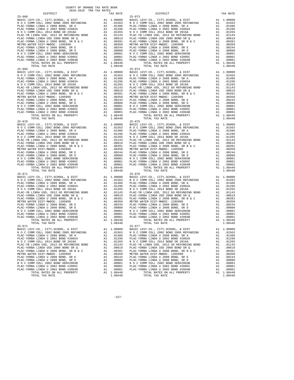| $\begin{tabular}{l c c c c} \multicolumn{1}{c}{\textbf{N O C COMM COLL 2002 BOND 2005 REFUNDING}} & \multicolumn{1}{c}{\textbf{A1}} & .01563 & \multicolumn{1}{c}{\textbf{N O C C COMM COLL 2008 BOND 2005 REFUNDING}} \\ \multicolumn{1}{c}{\textbf{PLAC-YORBA LINDA U 2008 BOND 5R 2016A}} & \multicolumn{1}{c}{\textbf{A1}} & .01246 & \multicolumn{1}{c}{\textbf{PLAC-YORA LINDA U 2008 BOND 5R 2016A}}$ |    |            |            |
|--------------------------------------------------------------------------------------------------------------------------------------------------------------------------------------------------------------------------------------------------------------------------------------------------------------------------------------------------------------------------------------------------------------|----|------------|------------|
|                                                                                                                                                                                                                                                                                                                                                                                                              |    |            |            |
|                                                                                                                                                                                                                                                                                                                                                                                                              |    |            |            |
|                                                                                                                                                                                                                                                                                                                                                                                                              |    |            |            |
|                                                                                                                                                                                                                                                                                                                                                                                                              |    |            |            |
|                                                                                                                                                                                                                                                                                                                                                                                                              |    |            |            |
|                                                                                                                                                                                                                                                                                                                                                                                                              |    |            |            |
|                                                                                                                                                                                                                                                                                                                                                                                                              |    |            |            |
|                                                                                                                                                                                                                                                                                                                                                                                                              |    |            |            |
|                                                                                                                                                                                                                                                                                                                                                                                                              |    |            |            |
|                                                                                                                                                                                                                                                                                                                                                                                                              |    |            |            |
|                                                                                                                                                                                                                                                                                                                                                                                                              |    |            |            |
|                                                                                                                                                                                                                                                                                                                                                                                                              |    |            |            |
| TOTAL TAX RATE                                                                                                                                                                                                                                                                                                                                                                                               |    | 1.08440    |            |
| $25 - 069$                                                                                                                                                                                                                                                                                                                                                                                                   |    |            | $25 - 074$ |
|                                                                                                                                                                                                                                                                                                                                                                                                              |    |            |            |
|                                                                                                                                                                                                                                                                                                                                                                                                              |    |            |            |
|                                                                                                                                                                                                                                                                                                                                                                                                              |    |            |            |
|                                                                                                                                                                                                                                                                                                                                                                                                              |    |            |            |
|                                                                                                                                                                                                                                                                                                                                                                                                              |    |            |            |
|                                                                                                                                                                                                                                                                                                                                                                                                              |    |            |            |
|                                                                                                                                                                                                                                                                                                                                                                                                              |    |            |            |
|                                                                                                                                                                                                                                                                                                                                                                                                              |    |            |            |
|                                                                                                                                                                                                                                                                                                                                                                                                              |    |            |            |
|                                                                                                                                                                                                                                                                                                                                                                                                              |    |            |            |
|                                                                                                                                                                                                                                                                                                                                                                                                              |    |            |            |
|                                                                                                                                                                                                                                                                                                                                                                                                              |    |            |            |
|                                                                                                                                                                                                                                                                                                                                                                                                              |    |            |            |
|                                                                                                                                                                                                                                                                                                                                                                                                              |    |            |            |
|                                                                                                                                                                                                                                                                                                                                                                                                              |    |            |            |
| $25 - 070$                                                                                                                                                                                                                                                                                                                                                                                                   |    |            | $25 - 075$ |
|                                                                                                                                                                                                                                                                                                                                                                                                              |    |            |            |
|                                                                                                                                                                                                                                                                                                                                                                                                              |    |            |            |
|                                                                                                                                                                                                                                                                                                                                                                                                              |    |            |            |
|                                                                                                                                                                                                                                                                                                                                                                                                              |    |            |            |
|                                                                                                                                                                                                                                                                                                                                                                                                              |    |            |            |
|                                                                                                                                                                                                                                                                                                                                                                                                              |    |            |            |
|                                                                                                                                                                                                                                                                                                                                                                                                              |    |            |            |
|                                                                                                                                                                                                                                                                                                                                                                                                              |    |            |            |
|                                                                                                                                                                                                                                                                                                                                                                                                              |    |            |            |
|                                                                                                                                                                                                                                                                                                                                                                                                              |    |            |            |
|                                                                                                                                                                                                                                                                                                                                                                                                              |    |            |            |
|                                                                                                                                                                                                                                                                                                                                                                                                              |    |            |            |
|                                                                                                                                                                                                                                                                                                                                                                                                              |    |            |            |
|                                                                                                                                                                                                                                                                                                                                                                                                              |    | A1 1.08440 |            |
| TOTAL TAX RATE                                                                                                                                                                                                                                                                                                                                                                                               |    | 1.08440    |            |
| $25 - 071$                                                                                                                                                                                                                                                                                                                                                                                                   |    |            | $25 - 076$ |
|                                                                                                                                                                                                                                                                                                                                                                                                              |    |            |            |
|                                                                                                                                                                                                                                                                                                                                                                                                              |    |            |            |
|                                                                                                                                                                                                                                                                                                                                                                                                              |    |            |            |
|                                                                                                                                                                                                                                                                                                                                                                                                              |    |            |            |
|                                                                                                                                                                                                                                                                                                                                                                                                              |    |            |            |
|                                                                                                                                                                                                                                                                                                                                                                                                              |    |            |            |
|                                                                                                                                                                                                                                                                                                                                                                                                              |    |            |            |
|                                                                                                                                                                                                                                                                                                                                                                                                              |    |            |            |
|                                                                                                                                                                                                                                                                                                                                                                                                              |    |            |            |
|                                                                                                                                                                                                                                                                                                                                                                                                              |    |            |            |
|                                                                                                                                                                                                                                                                                                                                                                                                              |    |            |            |
|                                                                                                                                                                                                                                                                                                                                                                                                              |    |            |            |
|                                                                                                                                                                                                                                                                                                                                                                                                              |    |            |            |
|                                                                                                                                                                                                                                                                                                                                                                                                              |    |            |            |
|                                                                                                                                                                                                                                                                                                                                                                                                              |    |            |            |
| TOTAL TAX RATE                                                                                                                                                                                                                                                                                                                                                                                               |    | 1.08440    |            |
| $25 - 072$                                                                                                                                                                                                                                                                                                                                                                                                   |    |            | $25 - 077$ |
|                                                                                                                                                                                                                                                                                                                                                                                                              |    |            |            |
| PLAC-YORBA LINDA U 2008 BOND, SR A Al 01486 PLAC-YO                                                                                                                                                                                                                                                                                                                                                          |    |            |            |
| PLAC-YORBA LINDA U 2002 BOND #2002A                                                                                                                                                                                                                                                                                                                                                                          | A1 | .01296     | PLAC-YO    |
| N O C COMM COLL 2014 BOND SR 2016A                                                                                                                                                                                                                                                                                                                                                                           | A1 | .01265     | NOCC       |
| PLAC-YB LINDA USD, 2012 GO REFUNDING BOND                                                                                                                                                                                                                                                                                                                                                                    | A1 | .01143     | PLAC-YB    |
| PLAC-YORBA LINDA USD 2008 BOND SR Q                                                                                                                                                                                                                                                                                                                                                                          | A1 | .00619     | PLAC-YO    |
| PLAC-YORBA LINDA U 2008 BOND, SR B & C                                                                                                                                                                                                                                                                                                                                                                       | A1 | .00391     | PLAC-YO    |
| METRO WATER DIST-MWDOC- 1205999                                                                                                                                                                                                                                                                                                                                                                              | A1 | .00350     | METRO W    |
| PLAC-YORBA LINDA U 2008 BOND, SR E                                                                                                                                                                                                                                                                                                                                                                           | A1 | .00244     | PLAC-YO    |
| PLAC-YORBA LINDA U 2008 BOND, SR D                                                                                                                                                                                                                                                                                                                                                                           | A1 | .00080     | PLAC-YO    |
| N O C COMM COLL 2002 BOND SER#2003B                                                                                                                                                                                                                                                                                                                                                                          | A1 | .00001     | NOCC       |
| PLAC-YORBA LINDA U 2002 BOND #2005C                                                                                                                                                                                                                                                                                                                                                                          | A1 | .00001     | PLAC-YO    |
| PLAC-YORBA LINDA U 2002 BOND #2004B                                                                                                                                                                                                                                                                                                                                                                          | A1 | .00001     | PLAC-YO    |
| TOTAL RATES ON ALL PROPERTY                                                                                                                                                                                                                                                                                                                                                                                  |    | A1 1.08440 |            |

| COUNTY OF ORANGE TAX RATE BOOK<br>2018-2019 TRA TAX RATES |          |                                                                                                                                                                                                                                                                                                                                                                                      |    |                        |
|-----------------------------------------------------------|----------|--------------------------------------------------------------------------------------------------------------------------------------------------------------------------------------------------------------------------------------------------------------------------------------------------------------------------------------------------------------------------------------|----|------------------------|
| DISTRICT                                                  | TAX RATE | DISTRICT                                                                                                                                                                                                                                                                                                                                                                             |    | TAX RATE               |
|                                                           |          |                                                                                                                                                                                                                                                                                                                                                                                      |    |                        |
|                                                           |          |                                                                                                                                                                                                                                                                                                                                                                                      |    |                        |
|                                                           |          |                                                                                                                                                                                                                                                                                                                                                                                      |    |                        |
|                                                           |          |                                                                                                                                                                                                                                                                                                                                                                                      |    |                        |
|                                                           |          |                                                                                                                                                                                                                                                                                                                                                                                      |    |                        |
|                                                           |          |                                                                                                                                                                                                                                                                                                                                                                                      |    |                        |
|                                                           |          |                                                                                                                                                                                                                                                                                                                                                                                      |    |                        |
|                                                           |          |                                                                                                                                                                                                                                                                                                                                                                                      |    |                        |
|                                                           |          |                                                                                                                                                                                                                                                                                                                                                                                      |    |                        |
|                                                           |          |                                                                                                                                                                                                                                                                                                                                                                                      |    |                        |
|                                                           |          |                                                                                                                                                                                                                                                                                                                                                                                      |    |                        |
|                                                           |          |                                                                                                                                                                                                                                                                                                                                                                                      |    |                        |
|                                                           |          |                                                                                                                                                                                                                                                                                                                                                                                      |    |                        |
|                                                           |          |                                                                                                                                                                                                                                                                                                                                                                                      |    |                        |
|                                                           |          |                                                                                                                                                                                                                                                                                                                                                                                      |    |                        |
|                                                           |          |                                                                                                                                                                                                                                                                                                                                                                                      |    |                        |
|                                                           |          |                                                                                                                                                                                                                                                                                                                                                                                      |    |                        |
|                                                           |          |                                                                                                                                                                                                                                                                                                                                                                                      |    |                        |
|                                                           |          |                                                                                                                                                                                                                                                                                                                                                                                      |    |                        |
|                                                           |          |                                                                                                                                                                                                                                                                                                                                                                                      |    |                        |
|                                                           |          |                                                                                                                                                                                                                                                                                                                                                                                      |    |                        |
|                                                           |          |                                                                                                                                                                                                                                                                                                                                                                                      |    |                        |
|                                                           |          |                                                                                                                                                                                                                                                                                                                                                                                      |    |                        |
|                                                           |          |                                                                                                                                                                                                                                                                                                                                                                                      |    |                        |
|                                                           |          |                                                                                                                                                                                                                                                                                                                                                                                      |    |                        |
|                                                           |          |                                                                                                                                                                                                                                                                                                                                                                                      |    |                        |
|                                                           |          |                                                                                                                                                                                                                                                                                                                                                                                      |    |                        |
|                                                           |          |                                                                                                                                                                                                                                                                                                                                                                                      |    |                        |
|                                                           |          |                                                                                                                                                                                                                                                                                                                                                                                      |    |                        |
|                                                           |          |                                                                                                                                                                                                                                                                                                                                                                                      |    |                        |
|                                                           |          |                                                                                                                                                                                                                                                                                                                                                                                      |    |                        |
|                                                           |          |                                                                                                                                                                                                                                                                                                                                                                                      |    |                        |
|                                                           |          |                                                                                                                                                                                                                                                                                                                                                                                      |    |                        |
|                                                           |          |                                                                                                                                                                                                                                                                                                                                                                                      |    |                        |
|                                                           |          |                                                                                                                                                                                                                                                                                                                                                                                      |    |                        |
|                                                           |          |                                                                                                                                                                                                                                                                                                                                                                                      |    |                        |
|                                                           |          |                                                                                                                                                                                                                                                                                                                                                                                      |    |                        |
|                                                           |          |                                                                                                                                                                                                                                                                                                                                                                                      |    |                        |
|                                                           |          |                                                                                                                                                                                                                                                                                                                                                                                      |    |                        |
|                                                           |          |                                                                                                                                                                                                                                                                                                                                                                                      |    |                        |
|                                                           |          |                                                                                                                                                                                                                                                                                                                                                                                      |    |                        |
|                                                           |          |                                                                                                                                                                                                                                                                                                                                                                                      |    |                        |
|                                                           |          |                                                                                                                                                                                                                                                                                                                                                                                      |    |                        |
|                                                           |          |                                                                                                                                                                                                                                                                                                                                                                                      |    |                        |
|                                                           |          |                                                                                                                                                                                                                                                                                                                                                                                      |    |                        |
|                                                           |          |                                                                                                                                                                                                                                                                                                                                                                                      |    |                        |
|                                                           |          |                                                                                                                                                                                                                                                                                                                                                                                      |    |                        |
|                                                           |          |                                                                                                                                                                                                                                                                                                                                                                                      |    |                        |
|                                                           |          |                                                                                                                                                                                                                                                                                                                                                                                      |    |                        |
|                                                           |          |                                                                                                                                                                                                                                                                                                                                                                                      |    |                        |
|                                                           |          |                                                                                                                                                                                                                                                                                                                                                                                      |    |                        |
|                                                           |          |                                                                                                                                                                                                                                                                                                                                                                                      |    |                        |
|                                                           |          |                                                                                                                                                                                                                                                                                                                                                                                      |    |                        |
|                                                           |          |                                                                                                                                                                                                                                                                                                                                                                                      |    |                        |
|                                                           |          |                                                                                                                                                                                                                                                                                                                                                                                      |    |                        |
|                                                           |          |                                                                                                                                                                                                                                                                                                                                                                                      |    |                        |
|                                                           |          |                                                                                                                                                                                                                                                                                                                                                                                      |    |                        |
| TOTAL TAX RATE                                            | 1.08440  | TOTAL TAX RATE                                                                                                                                                                                                                                                                                                                                                                       |    | 1.08440                |
| $25 - 072$                                                |          | $25 - 077$                                                                                                                                                                                                                                                                                                                                                                           |    |                        |
|                                                           |          | EXECUTE AT 1.00000 BASIC LEVY-CO., CITY, SCHOOL, & DIST<br>NO C COMM COLL 2002 BOND 2005 REFUNDING A1 .01553 NO C COMM COLL 2002 BOND 2005 REFUNDING<br>BASIC LEVY-CO., CITY, SCHOOL, & DIST A1 1.00000                                                                                                                                                                              |    |                        |
|                                                           |          |                                                                                                                                                                                                                                                                                                                                                                                      |    | A1 .01563              |
| PLAC-YORBA LINDA U 2008 BOND, SR A                        |          | A1 .01486 PLAC-YORBA LINDA U 2008 BOND, SR A                                                                                                                                                                                                                                                                                                                                         |    | A1 .01486              |
|                                                           |          |                                                                                                                                                                                                                                                                                                                                                                                      |    | A1 .01296<br>A1 .01265 |
|                                                           |          |                                                                                                                                                                                                                                                                                                                                                                                      |    | A1 .01143              |
|                                                           |          |                                                                                                                                                                                                                                                                                                                                                                                      |    | A1 .00619              |
|                                                           |          |                                                                                                                                                                                                                                                                                                                                                                                      |    | A1 .00391              |
|                                                           |          |                                                                                                                                                                                                                                                                                                                                                                                      | A1 | .00350                 |
|                                                           |          |                                                                                                                                                                                                                                                                                                                                                                                      |    | A1 .00244<br>A1 .00080 |
|                                                           |          |                                                                                                                                                                                                                                                                                                                                                                                      |    | A1 .00001              |
|                                                           |          |                                                                                                                                                                                                                                                                                                                                                                                      |    | A1 .00001              |
|                                                           |          |                                                                                                                                                                                                                                                                                                                                                                                      |    | A1 .00001              |
|                                                           |          | $\begin{tabular}{l c c c c c} \multicolumn{4}{c}{\textbf{N O C COMM COLL 2014 EODD S R 2016A}} & \multicolumn{4}{c}{\textbf{N O C COMM COLL 2012 BOND 42002 BOND 42002 BOND 42002 BOND 42002 BOND 42002 BOND 42002 BOND 42002 BOND 42002 BOND 4202 BARD 4202 BARD 4202 BARD 4202 BARD 4202 BARD 4202 BARD 4202 BARD 4202 BARD 4202 BARD 4202 BARD 42$<br>TOTAL RATES ON ALL PROPERTY |    | A1 1.08440             |
|                                                           |          |                                                                                                                                                                                                                                                                                                                                                                                      |    | 1.08440                |

-227-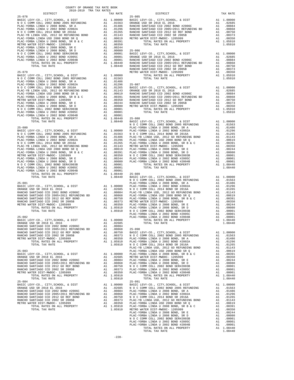| COUNTY OF ORANGE TAX RATE BOOK<br>2018-2019 TRA TAX RATES                                                                                                    |    |                                      |            |
|--------------------------------------------------------------------------------------------------------------------------------------------------------------|----|--------------------------------------|------------|
| DISTRICT                                                                                                                                                     |    | TAX RATE                             |            |
|                                                                                                                                                              |    |                                      |            |
|                                                                                                                                                              |    |                                      |            |
|                                                                                                                                                              |    |                                      |            |
|                                                                                                                                                              |    |                                      |            |
|                                                                                                                                                              |    |                                      |            |
|                                                                                                                                                              |    |                                      |            |
|                                                                                                                                                              |    |                                      |            |
|                                                                                                                                                              |    |                                      |            |
|                                                                                                                                                              |    |                                      |            |
|                                                                                                                                                              |    |                                      |            |
|                                                                                                                                                              |    |                                      |            |
|                                                                                                                                                              |    |                                      |            |
|                                                                                                                                                              |    |                                      |            |
|                                                                                                                                                              |    |                                      |            |
|                                                                                                                                                              |    |                                      |            |
|                                                                                                                                                              |    |                                      | RANCHO     |
|                                                                                                                                                              |    |                                      |            |
|                                                                                                                                                              |    |                                      |            |
|                                                                                                                                                              |    |                                      |            |
|                                                                                                                                                              |    |                                      |            |
|                                                                                                                                                              |    |                                      |            |
|                                                                                                                                                              |    |                                      |            |
|                                                                                                                                                              |    |                                      |            |
|                                                                                                                                                              |    |                                      |            |
|                                                                                                                                                              |    |                                      |            |
|                                                                                                                                                              |    |                                      |            |
|                                                                                                                                                              |    |                                      |            |
|                                                                                                                                                              |    |                                      |            |
|                                                                                                                                                              |    |                                      |            |
|                                                                                                                                                              |    |                                      |            |
|                                                                                                                                                              |    |                                      |            |
|                                                                                                                                                              |    |                                      |            |
|                                                                                                                                                              |    |                                      |            |
| $25 - 080$                                                                                                                                                   |    |                                      | PLAC-YO    |
|                                                                                                                                                              |    |                                      |            |
|                                                                                                                                                              |    |                                      |            |
|                                                                                                                                                              |    |                                      |            |
|                                                                                                                                                              |    |                                      |            |
|                                                                                                                                                              |    |                                      |            |
|                                                                                                                                                              |    |                                      |            |
|                                                                                                                                                              |    |                                      |            |
|                                                                                                                                                              |    |                                      |            |
|                                                                                                                                                              |    |                                      |            |
|                                                                                                                                                              |    |                                      |            |
|                                                                                                                                                              |    |                                      |            |
|                                                                                                                                                              |    |                                      |            |
|                                                                                                                                                              |    |                                      |            |
|                                                                                                                                                              |    |                                      |            |
|                                                                                                                                                              |    |                                      |            |
|                                                                                                                                                              |    |                                      | NOCC       |
|                                                                                                                                                              |    |                                      |            |
|                                                                                                                                                              |    |                                      |            |
|                                                                                                                                                              |    |                                      |            |
|                                                                                                                                                              |    |                                      |            |
|                                                                                                                                                              |    |                                      |            |
|                                                                                                                                                              |    |                                      |            |
|                                                                                                                                                              |    |                                      |            |
|                                                                                                                                                              |    |                                      |            |
|                                                                                                                                                              |    |                                      |            |
|                                                                                                                                                              |    |                                      |            |
|                                                                                                                                                              |    |                                      | PLAC-YO    |
|                                                                                                                                                              |    |                                      |            |
| BASIC LEVY-CO., CITY, SCHOOL, & DIST Al 1.00000 PLAC-YO<br>ORANGE USD SR 2018 RL 2016<br>ORANGE USD SR 2018 EL 2016                                          |    | A1 .02685                            |            |
|                                                                                                                                                              |    |                                      |            |
| ORANGE USD SR 2018 EL 2016 (ANGER USD SR 2018 EL 2016 (ANGER OCD 2002 BOND #2006C ) A1 .00864 (ANGER OCD 20051-2011 REFORD DR 2016 (ANGER OCD 20061 ) .00864 |    |                                      | $25 - 090$ |
| RANCHO SANTIAGO CCD 2012 GO REF BOND<br>$N\omega$ .                                                                                                          |    | A1 .00750                            | BASIC L    |
| RANCHO SANTIAGO CCD 2002 SR 2005B                                                                                                                            |    |                                      |            |
| METRO WATER DIST-MWDOC- 1205999                                                                                                                              | A1 | A1 .00373 NOCC<br>A1 .00350 PLAC-YO  |            |
| TOTAL RATES ON ALL PROPERTY                                                                                                                                  |    | A1 1.05910                           | PLAC-YO    |
| TOTAL TAX RATE                                                                                                                                               |    | 1.05910                              | N O C C    |
|                                                                                                                                                              |    |                                      | PLAC-YB    |
| $25 - 083$                                                                                                                                                   |    |                                      | PLAC-YO    |
|                                                                                                                                                              |    |                                      |            |
|                                                                                                                                                              |    |                                      |            |
|                                                                                                                                                              |    |                                      |            |
|                                                                                                                                                              |    |                                      |            |
|                                                                                                                                                              |    |                                      |            |
|                                                                                                                                                              |    |                                      |            |
| TOTAL RATES ON ALL PROPERTY                                                                                                                                  |    | A1 1.05910                           |            |
| TOTAL TAX RATE                                                                                                                                               |    | 1.05910                              |            |
| $25 - 084$                                                                                                                                                   |    |                                      | 25-091     |
|                                                                                                                                                              |    | A1 1.00000 BASIC L<br>A1 .02685 NOCC |            |
|                                                                                                                                                              |    |                                      |            |
|                                                                                                                                                              |    |                                      |            |
|                                                                                                                                                              |    |                                      |            |
|                                                                                                                                                              |    |                                      |            |
|                                                                                                                                                              |    |                                      |            |
|                                                                                                                                                              |    |                                      |            |
|                                                                                                                                                              |    |                                      |            |

| $\sim$ $\sim$ $\sim$ $\sim$ $\sim$<br>$-11111$ | $- - - -$ |  |  |
|------------------------------------------------|-----------|--|--|
|                                                |           |  |  |
|                                                |           |  |  |
|                                                |           |  |  |
|                                                |           |  |  |
|                                                |           |  |  |
|                                                |           |  |  |
|                                                |           |  |  |
|                                                |           |  |  |
|                                                |           |  |  |
|                                                |           |  |  |
|                                                |           |  |  |
|                                                |           |  |  |
|                                                |           |  |  |
|                                                |           |  |  |
|                                                |           |  |  |
|                                                |           |  |  |
|                                                |           |  |  |
|                                                |           |  |  |
|                                                |           |  |  |
|                                                |           |  |  |
|                                                |           |  |  |
|                                                |           |  |  |
|                                                |           |  |  |
|                                                |           |  |  |
|                                                |           |  |  |
|                                                |           |  |  |
|                                                |           |  |  |
|                                                |           |  |  |
|                                                |           |  |  |
|                                                |           |  |  |
|                                                |           |  |  |
|                                                |           |  |  |
|                                                |           |  |  |
|                                                |           |  |  |
|                                                |           |  |  |
|                                                |           |  |  |
|                                                |           |  |  |
|                                                |           |  |  |
|                                                |           |  |  |
|                                                |           |  |  |
|                                                |           |  |  |
|                                                |           |  |  |
|                                                |           |  |  |
|                                                |           |  |  |
|                                                |           |  |  |
|                                                |           |  |  |
|                                                |           |  |  |
|                                                |           |  |  |
|                                                |           |  |  |
|                                                |           |  |  |
|                                                |           |  |  |
|                                                |           |  |  |
|                                                |           |  |  |
|                                                |           |  |  |
|                                                |           |  |  |
|                                                |           |  |  |
|                                                |           |  |  |
|                                                |           |  |  |
|                                                |           |  |  |
|                                                |           |  |  |
|                                                |           |  |  |
|                                                |           |  |  |
|                                                |           |  |  |
|                                                |           |  |  |
|                                                |           |  |  |
|                                                |           |  |  |
|                                                |           |  |  |
|                                                |           |  |  |
|                                                |           |  |  |
|                                                |           |  |  |
|                                                |           |  |  |
|                                                |           |  |  |
|                                                |           |  |  |
|                                                |           |  |  |
|                                                |           |  |  |
|                                                |           |  |  |
|                                                |           |  |  |
|                                                |           |  |  |
|                                                |           |  |  |
|                                                |           |  |  |
|                                                |           |  |  |
|                                                |           |  |  |
|                                                |           |  |  |
|                                                |           |  |  |
|                                                |           |  |  |
|                                                |           |  |  |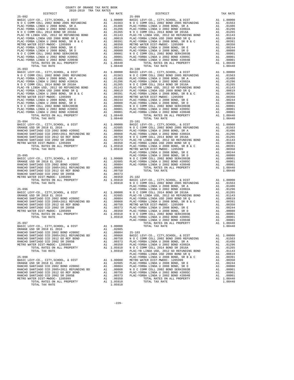| YД.<br> |
|---------|

|                                                                                    |                         |                  | PLAC-YO            |
|------------------------------------------------------------------------------------|-------------------------|------------------|--------------------|
|                                                                                    |                         |                  |                    |
|                                                                                    |                         |                  |                    |
|                                                                                    |                         |                  |                    |
|                                                                                    |                         |                  |                    |
|                                                                                    |                         |                  |                    |
|                                                                                    |                         |                  |                    |
|                                                                                    |                         |                  |                    |
|                                                                                    |                         |                  |                    |
| $25 - 096$                                                                         |                         |                  | PLAC-YO            |
|                                                                                    |                         |                  |                    |
|                                                                                    |                         |                  |                    |
|                                                                                    |                         |                  |                    |
|                                                                                    |                         |                  |                    |
|                                                                                    |                         |                  |                    |
|                                                                                    |                         |                  |                    |
|                                                                                    |                         |                  |                    |
|                                                                                    |                         |                  |                    |
| $25 - 097$                                                                         |                         |                  | PLAC-YO            |
| BASIC LEVY-CO., CITY, SCHOOL, & DIST                                               |                         |                  |                    |
| ORANGE USD SR 2018 EL 2016                                                         | A1 1.00000<br>A1 .02685 |                  |                    |
| RANCHO SANTIAGO CCD 2002 BOND #2006C                                               | A1                      | .00884           | $25 - 103$         |
| RANCHO SANTIAGO CCD 2005+2011 REFUNDING BD<br>RANCHO SANTIAGO CCD 2012 GO REF BOND | A1                      | .00868           | BASIC L            |
| RANCHO SANTIAGO CCD 2002 SR 2005B                                                  | A1<br>A1                | .00750<br>.00373 | NOCC<br>PLAC-YO    |
| METRO WATER DIST-MWDOC- 1205999                                                    | A1                      | .00350           | PLAC-YO            |
| TOTAL RATES ON ALL PROPERTY                                                        |                         | A1 1.05910       | NOCC               |
| TOTAL TAX RATE                                                                     |                         | 1.05910          | PLAC-YB            |
| $25 - 098$                                                                         |                         |                  | PLAC-YO            |
| BASIC LEVY-CO., CITY, SCHOOL, & DIST                                               | A1                      | 1.00000          | PLAC-YO<br>METRO W |
| ORANGE USD SR 2018 EL 2016                                                         | A1                      | .02685           |                    |
| RANCHO SANTIAGO CCD 2002 BOND #2006C                                               | A1                      | .00884           | PLAC-YO<br>PLAC-YO |
| RANCHO SANTIAGO CCD 2005+2011 REFUNDING BD                                         | A1                      | .00868           | N O C C            |
| RANCHO SANTIAGO CCD 2012 GO REF BOND<br>RANCHO SANTIAGO CCD 2002 SR 2005B          | A1<br>A1                | .00750<br>.00373 | PLAC-YO<br>PLAC-YO |
| METRO WATER DIST-MWDOC- 1205999                                                    | A1                      | .00350           |                    |
| TOTAL RATES ON ALL PROPERTY                                                        |                         | A1 1.05910       |                    |
| TOTAL TAX RATE                                                                     |                         | 1.05910          |                    |
|                                                                                    |                         |                  |                    |

|                                      | A1 .00884 | $25 - 103$ |  |
|--------------------------------------|-----------|------------|--|
| RANCHO SANTIAGO CCD 2002 BOND #2006C |           |            |  |
|                                      |           |            |  |
|                                      |           |            |  |
|                                      |           |            |  |
|                                      |           |            |  |
|                                      |           |            |  |
|                                      |           |            |  |
|                                      |           |            |  |
|                                      |           |            |  |
|                                      |           |            |  |
|                                      |           |            |  |
|                                      |           |            |  |
|                                      |           |            |  |
|                                      |           |            |  |
|                                      |           |            |  |
|                                      |           |            |  |
| TOTAL TAX RATE                       | 1.05910   |            |  |

-229-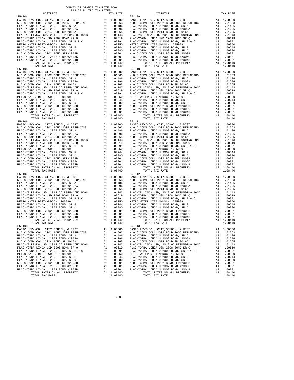| TOTAL TAX RATE                                                                                                                                                                        |    | 1.08440              |            |
|---------------------------------------------------------------------------------------------------------------------------------------------------------------------------------------|----|----------------------|------------|
|                                                                                                                                                                                       |    |                      |            |
|                                                                                                                                                                                       |    |                      |            |
|                                                                                                                                                                                       |    |                      |            |
|                                                                                                                                                                                       |    |                      |            |
|                                                                                                                                                                                       |    |                      |            |
|                                                                                                                                                                                       |    |                      |            |
|                                                                                                                                                                                       |    |                      |            |
|                                                                                                                                                                                       |    |                      |            |
|                                                                                                                                                                                       |    |                      |            |
|                                                                                                                                                                                       |    |                      |            |
|                                                                                                                                                                                       |    |                      |            |
|                                                                                                                                                                                       |    |                      |            |
|                                                                                                                                                                                       |    |                      |            |
|                                                                                                                                                                                       |    |                      |            |
|                                                                                                                                                                                       |    |                      |            |
|                                                                                                                                                                                       |    |                      |            |
|                                                                                                                                                                                       |    |                      |            |
|                                                                                                                                                                                       |    |                      |            |
|                                                                                                                                                                                       |    |                      |            |
|                                                                                                                                                                                       |    |                      |            |
|                                                                                                                                                                                       |    |                      |            |
|                                                                                                                                                                                       |    |                      |            |
|                                                                                                                                                                                       |    |                      |            |
|                                                                                                                                                                                       |    |                      |            |
|                                                                                                                                                                                       |    |                      |            |
|                                                                                                                                                                                       |    |                      |            |
|                                                                                                                                                                                       |    |                      |            |
|                                                                                                                                                                                       |    |                      |            |
|                                                                                                                                                                                       |    |                      |            |
|                                                                                                                                                                                       |    |                      |            |
|                                                                                                                                                                                       |    |                      |            |
|                                                                                                                                                                                       |    |                      |            |
|                                                                                                                                                                                       |    |                      |            |
|                                                                                                                                                                                       |    |                      |            |
|                                                                                                                                                                                       |    |                      |            |
|                                                                                                                                                                                       |    |                      |            |
|                                                                                                                                                                                       |    |                      |            |
|                                                                                                                                                                                       |    |                      |            |
|                                                                                                                                                                                       |    |                      |            |
|                                                                                                                                                                                       |    |                      |            |
|                                                                                                                                                                                       |    |                      |            |
|                                                                                                                                                                                       |    |                      |            |
|                                                                                                                                                                                       |    |                      |            |
|                                                                                                                                                                                       |    |                      |            |
|                                                                                                                                                                                       |    |                      |            |
|                                                                                                                                                                                       |    |                      |            |
| $25 - 107$                                                                                                                                                                            |    |                      | $25 - 112$ |
|                                                                                                                                                                                       |    |                      |            |
|                                                                                                                                                                                       |    |                      |            |
|                                                                                                                                                                                       |    |                      |            |
|                                                                                                                                                                                       |    |                      |            |
|                                                                                                                                                                                       |    |                      |            |
|                                                                                                                                                                                       |    |                      |            |
|                                                                                                                                                                                       |    |                      |            |
|                                                                                                                                                                                       |    |                      |            |
|                                                                                                                                                                                       |    |                      |            |
|                                                                                                                                                                                       |    |                      |            |
|                                                                                                                                                                                       |    |                      |            |
|                                                                                                                                                                                       |    |                      |            |
|                                                                                                                                                                                       |    |                      |            |
|                                                                                                                                                                                       |    |                      |            |
|                                                                                                                                                                                       |    |                      |            |
|                                                                                                                                                                                       |    |                      |            |
|                                                                                                                                                                                       |    |                      |            |
|                                                                                                                                                                                       |    |                      |            |
|                                                                                                                                                                                       |    |                      |            |
| TOTAL RATES ON ALL PROPERTY                                                                                                                                                           |    | A1 1.08440           |            |
|                                                                                                                                                                                       |    | 1,08440              |            |
| TOTAL TAX RATE                                                                                                                                                                        |    |                      |            |
| $25 - 108$                                                                                                                                                                            |    |                      | $25 - 113$ |
|                                                                                                                                                                                       |    |                      |            |
|                                                                                                                                                                                       |    |                      |            |
|                                                                                                                                                                                       |    |                      |            |
| BASIC LEVY-CO., CITY, SCHOOL, & DIST<br>NOC COMM COLL 2002 BOND 2005 REFUNDING<br>PLAC-YORBA LINDA U 2008 BOND, SR A A 1 .01486 PLAC-YORBA LINDA U 2008 BOND, SR A A 1 .01486 PLAC-YO |    |                      |            |
| PLAC-YORBA LINDA U 2002 BOND #2002A                                                                                                                                                   | A1 | .01296               | PLAC-YO    |
|                                                                                                                                                                                       |    |                      |            |
| N O C COMM COLL 2014 BOND SR 2016A                                                                                                                                                    | A1 | .01265               | NOCC       |
| PLAC-YB LINDA USD, 2012 GO REFUNDING BOND                                                                                                                                             |    | .01143               | PLAC-YB    |
|                                                                                                                                                                                       | A1 |                      | PLAC-YO    |
|                                                                                                                                                                                       |    |                      |            |
| PLAC-YORBA LINDA USD 2008 BOND SR Q                                                                                                                                                   | A1 | .00619               |            |
| PLAC-YORBA LINDA U 2008 BOND, SR B & C                                                                                                                                                | A1 | .00391               | PLAC-YO    |
| METRO WATER DIST-MWDOC- 1205999                                                                                                                                                       | A1 | .00350               | METRO W    |
|                                                                                                                                                                                       |    |                      |            |
| PLAC-YORBA LINDA U 2008 BOND, SR E                                                                                                                                                    | A1 | .00244               | PLAC-YO    |
| PLAC-YORBA LINDA U 2008 BOND, SR D                                                                                                                                                    | A1 | .00080               | PLAC-YO    |
| N O C COMM COLL 2002 BOND SER#2003B                                                                                                                                                   | A1 |                      | NOCC       |
|                                                                                                                                                                                       |    | .00001               |            |
| PLAC-YORBA LINDA U 2002 BOND #2005C                                                                                                                                                   | A1 | .00001               | PLAC-YO    |
| PLAC-YORBA LINDA U 2002 BOND #2004B<br>TOTAL RATES ON ALL PROPERTY                                                                                                                    | A1 | .00001<br>A1 1.08440 | PLAC-YO    |

|            | COUNTY OF ORANGE TAX RATE BOOK<br>2018-2019 TRA TAX RATES                                             |            |                                                                                                                                                                                                                                                                                                                                                                                                                                                                      |    |                        |
|------------|-------------------------------------------------------------------------------------------------------|------------|----------------------------------------------------------------------------------------------------------------------------------------------------------------------------------------------------------------------------------------------------------------------------------------------------------------------------------------------------------------------------------------------------------------------------------------------------------------------|----|------------------------|
|            | DISTRICT                                                                                              | TAX RATE   | DISTRICT                                                                                                                                                                                                                                                                                                                                                                                                                                                             |    | TAX RATE               |
|            |                                                                                                       |            |                                                                                                                                                                                                                                                                                                                                                                                                                                                                      |    |                        |
|            |                                                                                                       |            |                                                                                                                                                                                                                                                                                                                                                                                                                                                                      |    |                        |
|            |                                                                                                       |            |                                                                                                                                                                                                                                                                                                                                                                                                                                                                      |    |                        |
|            |                                                                                                       |            |                                                                                                                                                                                                                                                                                                                                                                                                                                                                      |    |                        |
|            |                                                                                                       |            |                                                                                                                                                                                                                                                                                                                                                                                                                                                                      |    |                        |
|            |                                                                                                       |            |                                                                                                                                                                                                                                                                                                                                                                                                                                                                      |    |                        |
|            |                                                                                                       |            |                                                                                                                                                                                                                                                                                                                                                                                                                                                                      |    |                        |
|            |                                                                                                       |            |                                                                                                                                                                                                                                                                                                                                                                                                                                                                      |    |                        |
|            |                                                                                                       |            |                                                                                                                                                                                                                                                                                                                                                                                                                                                                      |    |                        |
|            |                                                                                                       |            |                                                                                                                                                                                                                                                                                                                                                                                                                                                                      |    |                        |
|            |                                                                                                       |            |                                                                                                                                                                                                                                                                                                                                                                                                                                                                      |    |                        |
|            |                                                                                                       |            |                                                                                                                                                                                                                                                                                                                                                                                                                                                                      |    |                        |
|            |                                                                                                       |            |                                                                                                                                                                                                                                                                                                                                                                                                                                                                      |    |                        |
|            |                                                                                                       |            |                                                                                                                                                                                                                                                                                                                                                                                                                                                                      |    |                        |
|            |                                                                                                       |            |                                                                                                                                                                                                                                                                                                                                                                                                                                                                      |    |                        |
|            |                                                                                                       |            |                                                                                                                                                                                                                                                                                                                                                                                                                                                                      |    |                        |
|            |                                                                                                       |            |                                                                                                                                                                                                                                                                                                                                                                                                                                                                      |    |                        |
|            |                                                                                                       |            |                                                                                                                                                                                                                                                                                                                                                                                                                                                                      |    |                        |
|            |                                                                                                       |            |                                                                                                                                                                                                                                                                                                                                                                                                                                                                      |    |                        |
|            |                                                                                                       |            |                                                                                                                                                                                                                                                                                                                                                                                                                                                                      |    |                        |
|            |                                                                                                       |            |                                                                                                                                                                                                                                                                                                                                                                                                                                                                      |    |                        |
|            |                                                                                                       |            |                                                                                                                                                                                                                                                                                                                                                                                                                                                                      |    |                        |
|            |                                                                                                       |            |                                                                                                                                                                                                                                                                                                                                                                                                                                                                      |    |                        |
|            |                                                                                                       |            |                                                                                                                                                                                                                                                                                                                                                                                                                                                                      |    |                        |
|            |                                                                                                       |            |                                                                                                                                                                                                                                                                                                                                                                                                                                                                      |    |                        |
|            |                                                                                                       |            |                                                                                                                                                                                                                                                                                                                                                                                                                                                                      |    |                        |
|            |                                                                                                       |            |                                                                                                                                                                                                                                                                                                                                                                                                                                                                      |    |                        |
|            |                                                                                                       |            |                                                                                                                                                                                                                                                                                                                                                                                                                                                                      |    |                        |
|            |                                                                                                       |            |                                                                                                                                                                                                                                                                                                                                                                                                                                                                      |    |                        |
|            |                                                                                                       |            |                                                                                                                                                                                                                                                                                                                                                                                                                                                                      |    |                        |
|            |                                                                                                       |            |                                                                                                                                                                                                                                                                                                                                                                                                                                                                      |    |                        |
|            |                                                                                                       |            |                                                                                                                                                                                                                                                                                                                                                                                                                                                                      |    |                        |
|            |                                                                                                       |            |                                                                                                                                                                                                                                                                                                                                                                                                                                                                      |    |                        |
|            |                                                                                                       |            |                                                                                                                                                                                                                                                                                                                                                                                                                                                                      |    |                        |
|            |                                                                                                       |            |                                                                                                                                                                                                                                                                                                                                                                                                                                                                      |    |                        |
|            |                                                                                                       |            |                                                                                                                                                                                                                                                                                                                                                                                                                                                                      |    |                        |
|            |                                                                                                       |            |                                                                                                                                                                                                                                                                                                                                                                                                                                                                      |    |                        |
|            |                                                                                                       |            |                                                                                                                                                                                                                                                                                                                                                                                                                                                                      |    |                        |
|            |                                                                                                       |            |                                                                                                                                                                                                                                                                                                                                                                                                                                                                      |    |                        |
|            |                                                                                                       |            |                                                                                                                                                                                                                                                                                                                                                                                                                                                                      |    |                        |
|            |                                                                                                       |            |                                                                                                                                                                                                                                                                                                                                                                                                                                                                      |    |                        |
|            |                                                                                                       |            |                                                                                                                                                                                                                                                                                                                                                                                                                                                                      |    |                        |
|            |                                                                                                       |            |                                                                                                                                                                                                                                                                                                                                                                                                                                                                      |    |                        |
|            |                                                                                                       |            |                                                                                                                                                                                                                                                                                                                                                                                                                                                                      |    |                        |
|            |                                                                                                       |            |                                                                                                                                                                                                                                                                                                                                                                                                                                                                      |    |                        |
|            |                                                                                                       |            |                                                                                                                                                                                                                                                                                                                                                                                                                                                                      |    |                        |
|            |                                                                                                       |            |                                                                                                                                                                                                                                                                                                                                                                                                                                                                      |    |                        |
|            |                                                                                                       |            |                                                                                                                                                                                                                                                                                                                                                                                                                                                                      |    |                        |
|            |                                                                                                       |            |                                                                                                                                                                                                                                                                                                                                                                                                                                                                      |    |                        |
|            |                                                                                                       |            |                                                                                                                                                                                                                                                                                                                                                                                                                                                                      |    |                        |
|            |                                                                                                       |            |                                                                                                                                                                                                                                                                                                                                                                                                                                                                      |    |                        |
|            |                                                                                                       |            |                                                                                                                                                                                                                                                                                                                                                                                                                                                                      |    |                        |
|            |                                                                                                       |            |                                                                                                                                                                                                                                                                                                                                                                                                                                                                      |    |                        |
|            |                                                                                                       |            |                                                                                                                                                                                                                                                                                                                                                                                                                                                                      |    |                        |
|            |                                                                                                       |            |                                                                                                                                                                                                                                                                                                                                                                                                                                                                      |    |                        |
|            |                                                                                                       |            |                                                                                                                                                                                                                                                                                                                                                                                                                                                                      |    |                        |
|            |                                                                                                       |            |                                                                                                                                                                                                                                                                                                                                                                                                                                                                      |    |                        |
|            |                                                                                                       |            |                                                                                                                                                                                                                                                                                                                                                                                                                                                                      |    |                        |
|            |                                                                                                       |            |                                                                                                                                                                                                                                                                                                                                                                                                                                                                      |    |                        |
|            |                                                                                                       |            |                                                                                                                                                                                                                                                                                                                                                                                                                                                                      |    |                        |
|            |                                                                                                       |            |                                                                                                                                                                                                                                                                                                                                                                                                                                                                      |    |                        |
|            | TOTAL TAX RATE                                                                                        | 1.08440    | TOTAL TAX RATE                                                                                                                                                                                                                                                                                                                                                                                                                                                       |    | 1.08440                |
| $25 - 108$ |                                                                                                       |            | $25 - 113$                                                                                                                                                                                                                                                                                                                                                                                                                                                           |    |                        |
|            | BASIC LEVY-CO., CITY, SCHOOL, & DIST A1 1.00000<br>N O C COMM COLL 2002 BOND 2005 REFUNDING A1 .01563 |            | BASIC LEVY-CO., CITY, SCHOOL, & DIST                                                                                                                                                                                                                                                                                                                                                                                                                                 |    | A1 1.00000             |
|            | PLAC-YORBA LINDA U 2008 BOND, SR A                                                                    |            | N O C COMM COLL 2002 BOND 2005 REFUNDING<br>A1 .01486 PLAC-YORBA LINDA U 2008 BOND, SR A                                                                                                                                                                                                                                                                                                                                                                             |    | A1 .01563<br>A1 .01486 |
|            | PLAC-YORBA LINDA U 2002 BOND #2002A                                                                   |            | A1 .01296 PLAC-YORBA LINDA U 2002 BOND #2002A                                                                                                                                                                                                                                                                                                                                                                                                                        |    | A1 .01296              |
|            | N O C COMM COLL 2014 BOND SR 2016A                                                                    |            | A1 .01265 NOCCOMM COLL 2014 BOND SR 2016A                                                                                                                                                                                                                                                                                                                                                                                                                            |    | A1 .01265              |
|            | PLAC-YB LINDA USD, 2012 GO REFUNDING BOND                                                             |            | A1 .01143 PLAC-YB LINDA USD, 2012 GO REFUNDING BOND                                                                                                                                                                                                                                                                                                                                                                                                                  |    | A1 .01143              |
|            | PLAC-YORBA LINDA USD 2008 BOND SR Q                                                                   |            |                                                                                                                                                                                                                                                                                                                                                                                                                                                                      |    | A1 .00619              |
|            | PLAC-YORBA LINDA U 2008 BOND, SR B & C                                                                |            | A1 .00619 PLAC-YORBA LINDA USD 2008 BOND SR Q<br>A1 .00391 PLAC-YORBA LINDA U 2008 BOND, SR B & C<br>A1 .00350 METRO WATER DIST-MWDOC- 1205999                                                                                                                                                                                                                                                                                                                       | A1 | .00391                 |
|            | METRO WATER DIST-MWDOC- 1205999                                                                       |            |                                                                                                                                                                                                                                                                                                                                                                                                                                                                      | A1 | .00350                 |
|            |                                                                                                       |            |                                                                                                                                                                                                                                                                                                                                                                                                                                                                      |    | A1 .00244              |
|            |                                                                                                       |            |                                                                                                                                                                                                                                                                                                                                                                                                                                                                      |    | A1 .00080              |
|            |                                                                                                       |            |                                                                                                                                                                                                                                                                                                                                                                                                                                                                      |    | A1 .00001              |
|            |                                                                                                       |            | $\begin{tabular}{l c c c c c c c c} \hline \texttt{PLAC-YORBA LINDA U 2008 BOND, SRE E} & $\bullet$ & $\bullet$ & $0.00244$ & $\texttt{PLAC-YORBA LINDA U 2008 BOND, SRE E} \\ \hline \texttt{PLAC-YORBA LINDA U 2008 BOND, SRE B} & $\bullet$ & $\bullet$ & $0.00244$ & $\texttt{PLAC-YORBA LINDA U 2008 BOND, SRE E} \\ \hline \texttt{N O C COMM COLL 2002 BOND SER#2003B} & $\bullet$ & $1.00001$ & $\texttt{N$<br>A1 .00001 PLAC-YORBA LINDA U 2002 BOND #2004B |    | A1 .00001<br>A1 .00001 |
|            | PLAC-YORBA LINDA U 2002 BOND #2004B<br>TOTAL RATES ON ALL PROPERTY                                    | A1 1.08440 | TOTAL RATES ON ALL PROPERTY                                                                                                                                                                                                                                                                                                                                                                                                                                          |    | A1 1.08440             |
|            | TOTAL TAX RATE                                                                                        | 1.08440    | TOTAL TAX RATE                                                                                                                                                                                                                                                                                                                                                                                                                                                       |    | 1.08440                |
|            |                                                                                                       |            |                                                                                                                                                                                                                                                                                                                                                                                                                                                                      |    |                        |

-230-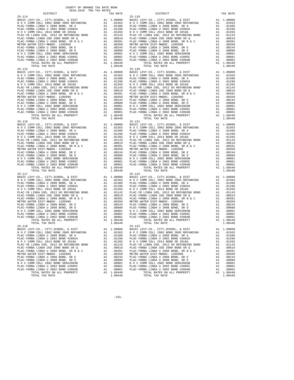| TOTAL TAX RATE                            |    | 1.08440    |                |
|-------------------------------------------|----|------------|----------------|
|                                           |    |            |                |
|                                           |    |            |                |
|                                           |    |            |                |
|                                           |    |            |                |
|                                           |    |            |                |
|                                           |    |            |                |
|                                           |    |            |                |
|                                           |    |            |                |
|                                           |    |            |                |
|                                           |    |            |                |
|                                           |    |            |                |
|                                           |    |            |                |
|                                           |    |            |                |
|                                           |    |            |                |
|                                           |    |            |                |
|                                           |    |            |                |
|                                           |    |            |                |
|                                           |    |            |                |
|                                           |    |            |                |
|                                           |    |            |                |
|                                           |    |            |                |
|                                           |    |            |                |
|                                           |    |            |                |
|                                           |    |            |                |
|                                           |    |            |                |
|                                           |    |            |                |
|                                           |    |            |                |
|                                           |    |            |                |
|                                           |    |            |                |
|                                           |    |            |                |
|                                           |    |            |                |
|                                           |    |            |                |
| TOTAL TAX RATE                            |    | 1.08440    |                |
| $25 - 117$                                |    |            | $25 - 122$     |
|                                           |    |            |                |
|                                           |    |            |                |
|                                           |    |            |                |
|                                           |    |            |                |
|                                           |    |            |                |
|                                           |    |            |                |
|                                           |    |            |                |
|                                           |    |            |                |
|                                           |    |            |                |
|                                           |    |            |                |
|                                           |    |            |                |
|                                           |    |            |                |
|                                           |    |            |                |
|                                           |    |            |                |
| TOTAL TAX RATE                            |    | 1.08440    |                |
| $25 - 118$                                |    |            | $25 - 123$     |
|                                           |    |            |                |
|                                           |    |            |                |
| PLAC-YORBA LINDA U 2008 BOND. SR A Al Al  |    |            | .01486 PLAC-YO |
| PLAC-YORBA LINDA U 2002 BOND #2002A       | A1 | .01296     | PLAC-YO        |
| N O C COMM COLL 2014 BOND SR 2016A        | A1 | .01265     | NOCC           |
| PLAC-YB LINDA USD, 2012 GO REFUNDING BOND | A1 | .01143     | PLAC-YB        |
| PLAC-YORBA LINDA USD 2008 BOND SR Q       | A1 | .00619     | PLAC-YO        |
| PLAC-YORBA LINDA U 2008 BOND, SR B & C    | A1 | .00391     | PLAC-YO        |
| METRO WATER DIST-MWDOC- 1205999           | A1 | .00350     | METRO W        |
| PLAC-YORBA LINDA U 2008 BOND. SR E        | A1 | .00244     | PLAC-YO        |
| PLAC-YORBA LINDA U 2008 BOND, SR D        | A1 | .00080     | PLAC-YO        |
| N O C COMM COLL 2002 BOND SER#2003B       | A1 | .00001     | NOCC           |
| PLAC-YORBA LINDA U 2002 BOND #2005C       | A1 | .00001     | PLAC-YO        |
| PLAC-YORBA LINDA U 2002 BOND #2004B       | A1 | .00001     | PLAC-YO        |
| TOTAL RATES ON ALL PROPERTY               |    | A1 1.08440 |                |

| COUNTY OF ORANGE TAX RATE BOOK<br>2018-2019 TRA TAX RATES |          |                                                                                                                                                                                                                                                                           |    |                        |
|-----------------------------------------------------------|----------|---------------------------------------------------------------------------------------------------------------------------------------------------------------------------------------------------------------------------------------------------------------------------|----|------------------------|
| DISTRICT                                                  | TAX RATE | DISTRICT                                                                                                                                                                                                                                                                  |    | TAX RATE               |
|                                                           |          |                                                                                                                                                                                                                                                                           |    |                        |
|                                                           |          |                                                                                                                                                                                                                                                                           |    |                        |
|                                                           |          |                                                                                                                                                                                                                                                                           |    |                        |
|                                                           |          |                                                                                                                                                                                                                                                                           |    |                        |
|                                                           |          |                                                                                                                                                                                                                                                                           |    |                        |
|                                                           |          |                                                                                                                                                                                                                                                                           |    |                        |
|                                                           |          |                                                                                                                                                                                                                                                                           |    |                        |
|                                                           |          |                                                                                                                                                                                                                                                                           |    |                        |
|                                                           |          |                                                                                                                                                                                                                                                                           |    |                        |
|                                                           |          |                                                                                                                                                                                                                                                                           |    |                        |
|                                                           |          |                                                                                                                                                                                                                                                                           |    |                        |
|                                                           |          |                                                                                                                                                                                                                                                                           |    |                        |
|                                                           |          |                                                                                                                                                                                                                                                                           |    |                        |
|                                                           |          |                                                                                                                                                                                                                                                                           |    |                        |
|                                                           |          |                                                                                                                                                                                                                                                                           |    |                        |
|                                                           |          |                                                                                                                                                                                                                                                                           |    |                        |
|                                                           |          |                                                                                                                                                                                                                                                                           |    |                        |
|                                                           |          |                                                                                                                                                                                                                                                                           |    |                        |
|                                                           |          |                                                                                                                                                                                                                                                                           |    |                        |
|                                                           |          |                                                                                                                                                                                                                                                                           |    |                        |
|                                                           |          |                                                                                                                                                                                                                                                                           |    |                        |
|                                                           |          |                                                                                                                                                                                                                                                                           |    |                        |
|                                                           |          |                                                                                                                                                                                                                                                                           |    |                        |
|                                                           |          |                                                                                                                                                                                                                                                                           |    |                        |
|                                                           |          |                                                                                                                                                                                                                                                                           |    |                        |
|                                                           |          |                                                                                                                                                                                                                                                                           |    |                        |
|                                                           |          |                                                                                                                                                                                                                                                                           |    |                        |
|                                                           |          |                                                                                                                                                                                                                                                                           |    |                        |
|                                                           |          |                                                                                                                                                                                                                                                                           |    |                        |
|                                                           |          |                                                                                                                                                                                                                                                                           |    |                        |
|                                                           |          |                                                                                                                                                                                                                                                                           |    |                        |
|                                                           |          |                                                                                                                                                                                                                                                                           |    |                        |
|                                                           |          |                                                                                                                                                                                                                                                                           |    |                        |
|                                                           |          |                                                                                                                                                                                                                                                                           |    |                        |
|                                                           |          |                                                                                                                                                                                                                                                                           |    |                        |
|                                                           |          |                                                                                                                                                                                                                                                                           |    |                        |
|                                                           |          |                                                                                                                                                                                                                                                                           |    |                        |
|                                                           |          |                                                                                                                                                                                                                                                                           |    |                        |
|                                                           |          |                                                                                                                                                                                                                                                                           |    |                        |
|                                                           |          |                                                                                                                                                                                                                                                                           |    |                        |
|                                                           |          |                                                                                                                                                                                                                                                                           |    |                        |
|                                                           |          |                                                                                                                                                                                                                                                                           |    |                        |
|                                                           |          |                                                                                                                                                                                                                                                                           |    |                        |
|                                                           |          |                                                                                                                                                                                                                                                                           |    |                        |
|                                                           |          |                                                                                                                                                                                                                                                                           |    |                        |
|                                                           |          |                                                                                                                                                                                                                                                                           |    |                        |
|                                                           |          |                                                                                                                                                                                                                                                                           |    |                        |
|                                                           |          |                                                                                                                                                                                                                                                                           |    |                        |
|                                                           |          |                                                                                                                                                                                                                                                                           |    |                        |
|                                                           |          |                                                                                                                                                                                                                                                                           |    |                        |
|                                                           |          |                                                                                                                                                                                                                                                                           |    |                        |
|                                                           |          |                                                                                                                                                                                                                                                                           |    |                        |
|                                                           |          |                                                                                                                                                                                                                                                                           |    |                        |
|                                                           |          |                                                                                                                                                                                                                                                                           |    |                        |
|                                                           |          |                                                                                                                                                                                                                                                                           |    |                        |
|                                                           |          |                                                                                                                                                                                                                                                                           |    |                        |
|                                                           |          |                                                                                                                                                                                                                                                                           |    |                        |
|                                                           |          |                                                                                                                                                                                                                                                                           |    |                        |
|                                                           |          |                                                                                                                                                                                                                                                                           |    |                        |
|                                                           |          |                                                                                                                                                                                                                                                                           |    |                        |
| TOTAL TAX RATE                                            | 1.08440  | TOTAL TAX RATE                                                                                                                                                                                                                                                            |    | 1.08440                |
| 25-118                                                    |          | $25 - 123$                                                                                                                                                                                                                                                                |    |                        |
|                                                           |          | EXECUTE DEVI-CO., CITY, SCHOOL, & DIST<br>NASIC LEVY-CO., CITY, SCHOOL, & DIST<br>NOC COMM COLL 2002 BOND 2005 REFUNDING<br>NOC COMM COLL 2002 BOND 2005 REFUNDING<br>A1 .01553 NOC COMM COLL 2002 BOND 2005 REFUNDING<br>BASIC LEVY-CO., CITY, SCHOOL, & DIST A1 1.00000 |    |                        |
|                                                           |          |                                                                                                                                                                                                                                                                           |    | A1 .01563              |
| PLAC-YORBA LINDA U 2008 BOND, SR A                        |          | A1 .01486 PLAC-YORBA LINDA U 2008 BOND, SR A                                                                                                                                                                                                                              |    | A1 .01486              |
| PLAC-YORBA LINDA U 2002 BOND #2002A                       |          | A1 .01296 PLAC-YORBA LINDA U 2002 BOND #2002A                                                                                                                                                                                                                             |    | A1 .01296              |
| N O C COMM COLL 2014 BOND SR 2016A                        |          | A1 .01265 NOCCOMM COLL 2014 BOND SR 2016A                                                                                                                                                                                                                                 |    | A1 .01265              |
| PLAC-YB LINDA USD, 2012 GO REFUNDING BOND                 |          | A1 .01243 PLAC-YB LINDA USD, 2012 GO REFUNDING BOND<br>A1 .00619 PLAC-YORBA LINDA USD 2008 BOND SR Q<br>A1 .00391 PLAC-YORBA LINDA U 2008 BOND, SR B & C<br>A1 .00350 METRO WATER DIST-MWDOC- 1205999                                                                     |    | A1 .01143              |
| PLAC-YORBA LINDA USD 2008 BOND SR Q                       |          |                                                                                                                                                                                                                                                                           |    | A1 .00619<br>A1 .00391 |
|                                                           |          |                                                                                                                                                                                                                                                                           | A1 | .00350                 |
|                                                           |          |                                                                                                                                                                                                                                                                           |    | A1 .00244              |
|                                                           |          |                                                                                                                                                                                                                                                                           |    | A1 .00080              |
|                                                           |          |                                                                                                                                                                                                                                                                           |    | A1 .00001              |
|                                                           |          |                                                                                                                                                                                                                                                                           |    | A1 .00001              |
|                                                           |          |                                                                                                                                                                                                                                                                           |    | A1 .00001              |
|                                                           |          | TOTAL RATES ON ALL PROPERTY                                                                                                                                                                                                                                               |    | A1 1.08440             |
|                                                           |          |                                                                                                                                                                                                                                                                           |    | 1.08440                |

-231-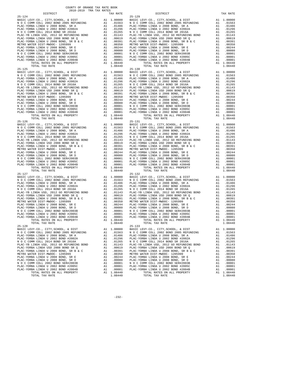| TOTAL TAX RATE                            |    | 1.08440    |                |
|-------------------------------------------|----|------------|----------------|
|                                           |    |            |                |
|                                           |    |            |                |
|                                           |    |            |                |
|                                           |    |            |                |
|                                           |    |            |                |
|                                           |    |            |                |
|                                           |    |            |                |
|                                           |    |            |                |
|                                           |    |            |                |
|                                           |    |            |                |
|                                           |    |            |                |
|                                           |    |            |                |
|                                           |    |            |                |
|                                           |    |            |                |
|                                           |    |            |                |
|                                           |    |            |                |
|                                           |    |            |                |
| $25 - 126$                                |    |            | $25 - 131$     |
|                                           |    |            |                |
|                                           |    |            |                |
|                                           |    |            |                |
|                                           |    |            |                |
|                                           |    |            |                |
|                                           |    |            |                |
|                                           |    |            |                |
|                                           |    |            |                |
|                                           |    |            |                |
|                                           |    |            |                |
|                                           |    |            |                |
|                                           |    |            |                |
|                                           |    |            |                |
|                                           |    |            |                |
| TOTAL TAX RATE                            |    | 1.08440    |                |
| $25 - 127$                                |    |            | $25 - 132$     |
|                                           |    |            |                |
|                                           |    |            |                |
|                                           |    |            |                |
|                                           |    |            |                |
|                                           |    |            |                |
|                                           |    |            |                |
|                                           |    |            |                |
|                                           |    |            |                |
|                                           |    |            |                |
|                                           |    |            |                |
|                                           |    |            |                |
|                                           |    |            |                |
|                                           |    |            |                |
|                                           |    |            |                |
| TOTAL TAX RATE                            |    | 1.08440    |                |
| $25 - 128$                                |    |            | $25 - 133$     |
|                                           |    |            |                |
|                                           |    |            |                |
| PLAC-YORBA LINDA U 2008 BOND. SR A Al Al  |    |            | .01486 PLAC-YO |
| PLAC-YORBA LINDA U 2002 BOND #2002A       | A1 | .01296     | PLAC-YO        |
| N O C COMM COLL 2014 BOND SR 2016A        | A1 | .01265     | NOCC           |
| PLAC-YB LINDA USD, 2012 GO REFUNDING BOND | A1 | .01143     | PLAC-YB        |
| PLAC-YORBA LINDA USD 2008 BOND SR Q       | A1 | .00619     | PLAC-YO        |
| PLAC-YORBA LINDA U 2008 BOND, SR B & C    | A1 | .00391     | PLAC-YO        |
| METRO WATER DIST-MWDOC- 1205999           | A1 | .00350     | METRO W        |
| PLAC-YORBA LINDA U 2008 BOND. SR E        | A1 | .00244     | PLAC-YO        |
| PLAC-YORBA LINDA U 2008 BOND, SR D        | A1 | .00080     | PLAC-YO        |
| N O C COMM COLL 2002 BOND SER#2003B       | A1 | .00001     | NOCC           |
| PLAC-YORBA LINDA U 2002 BOND #2005C       | A1 | .00001     | PLAC-YO        |
| PLAC-YORBA LINDA U 2002 BOND #2004B       | A1 | .00001     | PLAC-YO        |
| TOTAL RATES ON ALL PROPERTY               |    | A1 1.08440 |                |

| COUNTY OF ORANGE TAX RATE BOOK<br>2018-2019 TRA TAX RATES                                                                                                                                                  |            |                                                                                                                                                |    |                        |
|------------------------------------------------------------------------------------------------------------------------------------------------------------------------------------------------------------|------------|------------------------------------------------------------------------------------------------------------------------------------------------|----|------------------------|
| DISTRICT                                                                                                                                                                                                   | TAX RATE   | DISTRICT                                                                                                                                       |    | TAX RATE               |
|                                                                                                                                                                                                            |            |                                                                                                                                                |    |                        |
|                                                                                                                                                                                                            |            |                                                                                                                                                |    |                        |
|                                                                                                                                                                                                            |            |                                                                                                                                                |    |                        |
|                                                                                                                                                                                                            |            |                                                                                                                                                |    |                        |
|                                                                                                                                                                                                            |            |                                                                                                                                                |    |                        |
|                                                                                                                                                                                                            |            |                                                                                                                                                |    |                        |
|                                                                                                                                                                                                            |            |                                                                                                                                                |    |                        |
|                                                                                                                                                                                                            |            |                                                                                                                                                |    |                        |
|                                                                                                                                                                                                            |            |                                                                                                                                                |    |                        |
|                                                                                                                                                                                                            |            |                                                                                                                                                |    |                        |
|                                                                                                                                                                                                            |            |                                                                                                                                                |    |                        |
|                                                                                                                                                                                                            |            |                                                                                                                                                |    |                        |
|                                                                                                                                                                                                            |            |                                                                                                                                                |    |                        |
|                                                                                                                                                                                                            |            |                                                                                                                                                |    |                        |
|                                                                                                                                                                                                            |            |                                                                                                                                                |    |                        |
|                                                                                                                                                                                                            |            |                                                                                                                                                |    |                        |
|                                                                                                                                                                                                            |            |                                                                                                                                                |    |                        |
|                                                                                                                                                                                                            |            |                                                                                                                                                |    |                        |
|                                                                                                                                                                                                            |            |                                                                                                                                                |    |                        |
|                                                                                                                                                                                                            |            |                                                                                                                                                |    |                        |
|                                                                                                                                                                                                            |            |                                                                                                                                                |    |                        |
|                                                                                                                                                                                                            |            |                                                                                                                                                |    |                        |
|                                                                                                                                                                                                            |            |                                                                                                                                                |    |                        |
|                                                                                                                                                                                                            |            |                                                                                                                                                |    |                        |
|                                                                                                                                                                                                            |            |                                                                                                                                                |    |                        |
|                                                                                                                                                                                                            |            |                                                                                                                                                |    |                        |
|                                                                                                                                                                                                            |            |                                                                                                                                                |    |                        |
|                                                                                                                                                                                                            |            |                                                                                                                                                |    |                        |
|                                                                                                                                                                                                            |            |                                                                                                                                                |    |                        |
|                                                                                                                                                                                                            |            |                                                                                                                                                |    |                        |
|                                                                                                                                                                                                            |            |                                                                                                                                                |    |                        |
|                                                                                                                                                                                                            |            |                                                                                                                                                |    |                        |
|                                                                                                                                                                                                            |            |                                                                                                                                                |    |                        |
|                                                                                                                                                                                                            |            |                                                                                                                                                |    |                        |
|                                                                                                                                                                                                            |            |                                                                                                                                                |    |                        |
|                                                                                                                                                                                                            |            |                                                                                                                                                |    |                        |
|                                                                                                                                                                                                            |            |                                                                                                                                                |    |                        |
|                                                                                                                                                                                                            |            |                                                                                                                                                |    |                        |
|                                                                                                                                                                                                            |            |                                                                                                                                                |    |                        |
|                                                                                                                                                                                                            |            |                                                                                                                                                |    |                        |
|                                                                                                                                                                                                            |            |                                                                                                                                                |    |                        |
|                                                                                                                                                                                                            |            |                                                                                                                                                |    |                        |
|                                                                                                                                                                                                            |            |                                                                                                                                                |    |                        |
|                                                                                                                                                                                                            |            |                                                                                                                                                |    |                        |
|                                                                                                                                                                                                            |            |                                                                                                                                                |    |                        |
|                                                                                                                                                                                                            |            |                                                                                                                                                |    |                        |
|                                                                                                                                                                                                            |            |                                                                                                                                                |    |                        |
|                                                                                                                                                                                                            |            |                                                                                                                                                |    |                        |
|                                                                                                                                                                                                            |            |                                                                                                                                                |    |                        |
|                                                                                                                                                                                                            |            |                                                                                                                                                |    |                        |
|                                                                                                                                                                                                            |            |                                                                                                                                                |    |                        |
|                                                                                                                                                                                                            |            |                                                                                                                                                |    |                        |
|                                                                                                                                                                                                            |            |                                                                                                                                                |    |                        |
|                                                                                                                                                                                                            |            |                                                                                                                                                |    |                        |
|                                                                                                                                                                                                            |            |                                                                                                                                                |    |                        |
|                                                                                                                                                                                                            |            |                                                                                                                                                |    |                        |
|                                                                                                                                                                                                            |            |                                                                                                                                                |    |                        |
|                                                                                                                                                                                                            |            |                                                                                                                                                |    |                        |
|                                                                                                                                                                                                            |            |                                                                                                                                                |    |                        |
|                                                                                                                                                                                                            |            |                                                                                                                                                |    |                        |
| TOTAL TAX RATE                                                                                                                                                                                             | 1.08440    | TOTAL TAX RATE                                                                                                                                 |    | 1.08440                |
| 25-128                                                                                                                                                                                                     |            | $25 - 133$                                                                                                                                     |    |                        |
| EXECUTE DEVICION ON THE CONTROLL AND THE CONTROLL SERVICE DEVICION OF THE RESIDENCE OF THE RESIDENCE OF THE REGION OF COMM COLL 2002 BOND 2005 REFUNDING AT .01563 NO C COMM COLL 2002 BOND 2005 REFUNDING |            | BASIC LEVY-CO., CITY, SCHOOL, & DIST                                                                                                           |    | A1 1.00000             |
|                                                                                                                                                                                                            |            |                                                                                                                                                |    | A1 .01563              |
| PLAC-YORBA LINDA U 2008 BOND, SR A                                                                                                                                                                         |            | A1 .01486 PLAC-YORBA LINDA U 2008 BOND, SR A                                                                                                   |    | A1 .01486              |
| PLAC-YORBA LINDA U 2002 BOND #2002A                                                                                                                                                                        |            | A1 .01296 PLAC-YORBA LINDA U 2002 BOND #2002A                                                                                                  |    | A1 .01296              |
| N O C COMM COLL 2014 BOND SR 2016A<br>PLAC-YB LINDA USD, 2012 GO REFUNDING BOND                                                                                                                            |            | A1 .01265 NOCCOMM COLL 2014 BOND SR 2016A<br>A1 .01143 PLAC-YB LINDA USD, 2012 GO REFUNDING BOND                                               |    | A1 .01265<br>A1 .01143 |
| PLAC-YORBA LINDA USD 2008 BOND SR Q                                                                                                                                                                        |            |                                                                                                                                                |    | A1 .00619              |
| PLAC-YORBA LINDA U 2008 BOND, SR B & C                                                                                                                                                                     |            | A1 .00619 PLAC-YORBA LINDA USD 2008 BOND SR Q<br>A1 .00391 PLAC-YORBA LINDA U 2008 BOND, SR B & C<br>A1 .00350 METRO WATER DIST-MWDOC- 1205999 | A1 | .00391                 |
| METRO WATER DIST-MWDOC- 1205999                                                                                                                                                                            |            |                                                                                                                                                | A1 | .00350                 |
|                                                                                                                                                                                                            |            |                                                                                                                                                |    | A1 .00244              |
|                                                                                                                                                                                                            |            |                                                                                                                                                |    | A1 .00080              |
|                                                                                                                                                                                                            |            |                                                                                                                                                |    | A1 .00001              |
|                                                                                                                                                                                                            |            |                                                                                                                                                |    | A1 .00001              |
|                                                                                                                                                                                                            | A1 1.08440 |                                                                                                                                                |    | A1 .00001              |
| TOTAL RATES ON ALL PROPERTY<br>TOTAL TAX RATE                                                                                                                                                              | 1.08440    | TOTAL RATES ON ALL PROPERTY<br>TOTAL TAX RATE                                                                                                  |    | A1 1.08440<br>1.08440  |
|                                                                                                                                                                                                            |            |                                                                                                                                                |    |                        |

-232-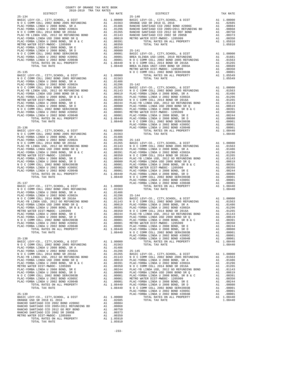| COUNTY OF ORANGE TAX RATE BOOK<br>2018-2019 TRA TAX RATES                                                                                 |          |                    |
|-------------------------------------------------------------------------------------------------------------------------------------------|----------|--------------------|
| DISTRICT                                                                                                                                  | TAX RATE |                    |
|                                                                                                                                           |          |                    |
|                                                                                                                                           |          |                    |
|                                                                                                                                           |          |                    |
|                                                                                                                                           |          |                    |
|                                                                                                                                           |          |                    |
|                                                                                                                                           |          |                    |
|                                                                                                                                           |          |                    |
|                                                                                                                                           |          |                    |
|                                                                                                                                           |          |                    |
|                                                                                                                                           |          |                    |
|                                                                                                                                           |          |                    |
|                                                                                                                                           |          |                    |
|                                                                                                                                           |          |                    |
|                                                                                                                                           |          |                    |
|                                                                                                                                           |          | METRO W            |
|                                                                                                                                           |          |                    |
|                                                                                                                                           |          |                    |
|                                                                                                                                           |          |                    |
|                                                                                                                                           |          |                    |
|                                                                                                                                           |          |                    |
|                                                                                                                                           |          |                    |
|                                                                                                                                           |          |                    |
|                                                                                                                                           |          |                    |
|                                                                                                                                           |          |                    |
|                                                                                                                                           |          |                    |
|                                                                                                                                           |          |                    |
|                                                                                                                                           |          |                    |
|                                                                                                                                           |          |                    |
|                                                                                                                                           |          |                    |
|                                                                                                                                           |          | PLAC-YO            |
| $25 - 136$                                                                                                                                |          | PLAC-YO            |
|                                                                                                                                           |          |                    |
|                                                                                                                                           |          |                    |
|                                                                                                                                           |          |                    |
|                                                                                                                                           |          |                    |
|                                                                                                                                           |          |                    |
|                                                                                                                                           |          |                    |
|                                                                                                                                           |          |                    |
|                                                                                                                                           |          |                    |
|                                                                                                                                           |          |                    |
|                                                                                                                                           |          |                    |
|                                                                                                                                           |          |                    |
|                                                                                                                                           |          |                    |
|                                                                                                                                           |          |                    |
|                                                                                                                                           |          | PLAC-YO            |
| $25 - 137$                                                                                                                                |          | PLAC-YO            |
|                                                                                                                                           |          |                    |
|                                                                                                                                           |          |                    |
|                                                                                                                                           |          |                    |
|                                                                                                                                           |          |                    |
|                                                                                                                                           |          |                    |
|                                                                                                                                           |          |                    |
|                                                                                                                                           |          |                    |
|                                                                                                                                           |          |                    |
|                                                                                                                                           |          |                    |
| PLAC-YORBA LINDA U 2002 BOND #2005C                                                                                                       |          |                    |
| A1 .00001 PLAC-10<br>A1 .00001 PLAC-YO<br>A1 .00001 PLAC-YO<br>A1 1.08440 PLAC-YO<br>1.08440 N O C<br>PLAC-YORBA LINDA U 2002 BOND #2004B |          |                    |
| TOTAL RATES ON ALL PROPERTY                                                                                                               |          |                    |
| TOTAL TAX RATE                                                                                                                            |          |                    |
| $25 - 138$                                                                                                                                |          | PLAC-YO<br>PLAC-YO |
|                                                                                                                                           |          |                    |
|                                                                                                                                           |          |                    |
|                                                                                                                                           |          |                    |
|                                                                                                                                           |          |                    |
|                                                                                                                                           |          |                    |
|                                                                                                                                           |          |                    |
|                                                                                                                                           |          |                    |
|                                                                                                                                           |          |                    |
|                                                                                                                                           |          |                    |
|                                                                                                                                           |          |                    |
|                                                                                                                                           |          |                    |
|                                                                                                                                           |          |                    |
|                                                                                                                                           |          |                    |
|                                                                                                                                           |          |                    |
|                                                                                                                                           |          | PLAC-YO            |
| $25 - 139$                                                                                                                                |          | PLAC-YO            |
|                                                                                                                                           |          |                    |
|                                                                                                                                           |          |                    |
|                                                                                                                                           |          |                    |
|                                                                                                                                           |          |                    |
|                                                                                                                                           |          |                    |
|                                                                                                                                           |          |                    |
| TOTAL TAX RATE                                                                                                                            | 1.05910  |                    |

-233-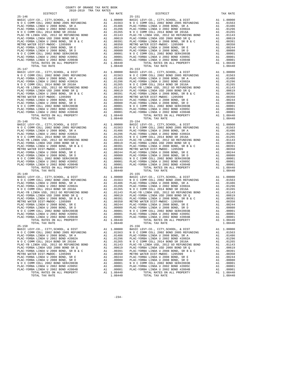| TOTAL TAX RATE                                                                                                        |    | 1.08440    |            |
|-----------------------------------------------------------------------------------------------------------------------|----|------------|------------|
|                                                                                                                       |    |            |            |
| $25 - 147$                                                                                                            |    |            | $25 - 153$ |
|                                                                                                                       |    |            |            |
|                                                                                                                       |    |            |            |
|                                                                                                                       |    |            |            |
|                                                                                                                       |    |            |            |
|                                                                                                                       |    |            |            |
|                                                                                                                       |    |            |            |
|                                                                                                                       |    |            |            |
|                                                                                                                       |    |            |            |
|                                                                                                                       |    |            |            |
|                                                                                                                       |    |            |            |
|                                                                                                                       |    |            |            |
|                                                                                                                       |    |            |            |
|                                                                                                                       |    |            |            |
|                                                                                                                       |    |            |            |
|                                                                                                                       |    |            |            |
|                                                                                                                       |    |            |            |
| TOTAL TAX RATE                                                                                                        |    | 1.08440    |            |
| $25 - 148$                                                                                                            |    |            | $25 - 154$ |
|                                                                                                                       |    |            |            |
|                                                                                                                       |    |            |            |
|                                                                                                                       |    |            |            |
|                                                                                                                       |    |            |            |
|                                                                                                                       |    |            |            |
|                                                                                                                       |    |            |            |
|                                                                                                                       |    |            |            |
|                                                                                                                       |    |            |            |
|                                                                                                                       |    |            |            |
|                                                                                                                       |    |            |            |
|                                                                                                                       |    |            |            |
|                                                                                                                       |    |            |            |
|                                                                                                                       |    |            |            |
|                                                                                                                       |    |            |            |
|                                                                                                                       |    |            |            |
|                                                                                                                       |    |            |            |
| TOTAL TAX RATE                                                                                                        |    | 1.08440    |            |
|                                                                                                                       |    |            |            |
|                                                                                                                       |    |            |            |
|                                                                                                                       |    |            |            |
|                                                                                                                       |    |            |            |
|                                                                                                                       |    |            |            |
|                                                                                                                       |    |            |            |
|                                                                                                                       |    |            |            |
|                                                                                                                       |    |            |            |
|                                                                                                                       |    |            |            |
|                                                                                                                       |    |            |            |
|                                                                                                                       |    |            |            |
|                                                                                                                       |    |            |            |
|                                                                                                                       |    |            |            |
|                                                                                                                       |    |            |            |
|                                                                                                                       |    |            |            |
|                                                                                                                       |    |            |            |
|                                                                                                                       |    |            |            |
|                                                                                                                       |    |            |            |
| $25 - 150$                                                                                                            |    |            | $25 - 156$ |
|                                                                                                                       |    |            |            |
| BASIC LEVY-CO., CITY, SCHOOL, & DIST A1 1.00000 BASIC L<br>N O C COMM COLL 2002 BOND 2008 RETUNDING A1 .01563 N O C C |    |            |            |
| PLAC-YORBA LINDA U 2008 BOND, SR A                                                                                    | A1 | .01486     | PLAC-YO    |
| PLAC-YORBA LINDA U 2002 BOND #2002A                                                                                   | A1 | .01296     | PLAC-YO    |
| N O C COMM COLL 2014 BOND SR 2016A                                                                                    | A1 | .01265     | NOCC       |
| PLAC-YB LINDA USD, 2012 GO REFUNDING BOND                                                                             | A1 | .01143     | PLAC-YB    |
| PLAC-YORBA LINDA USD 2008 BOND SR Q                                                                                   | A1 | .00619     | PLAC-YO    |
| PLAC-YORBA LINDA U 2008 BOND, SR B & C                                                                                | A1 | .00391     | PLAC-YO    |
| METRO WATER DIST-MWDOC- 1205999                                                                                       | A1 | .00350     | METRO W    |
| PLAC-YORBA LINDA U 2008 BOND, SR E                                                                                    | A1 | .00244     | PLAC-YO    |
| PLAC-YORBA LINDA U 2008 BOND, SR D                                                                                    | A1 | .00080     | PLAC-YO    |
| N O C COMM COLL 2002 BOND SER#2003B                                                                                   | A1 | .00001     | NOCC       |
| PLAC-YORBA LINDA U 2002 BOND #2005C                                                                                   | A1 | .00001     | PLAC-YO    |
| PLAC-YORBA LINDA U 2002 BOND #2004B                                                                                   | A1 | .00001     | PLAC-YO    |
|                                                                                                                       |    | A1 1.08440 |            |
| TOTAL RATES ON ALL PROPERTY                                                                                           |    |            |            |

| COUNTY OF ORANGE TAX RATE BOOK<br>2018-2019 TRA TAX RATES |          |                                                                                                                                                                                                                                                                             |          |                         |
|-----------------------------------------------------------|----------|-----------------------------------------------------------------------------------------------------------------------------------------------------------------------------------------------------------------------------------------------------------------------------|----------|-------------------------|
| DISTRICT                                                  | TAX RATE | DISTRICT                                                                                                                                                                                                                                                                    |          | TAX RATE                |
|                                                           |          |                                                                                                                                                                                                                                                                             |          |                         |
|                                                           |          |                                                                                                                                                                                                                                                                             |          |                         |
|                                                           |          |                                                                                                                                                                                                                                                                             |          |                         |
|                                                           |          |                                                                                                                                                                                                                                                                             |          |                         |
|                                                           |          |                                                                                                                                                                                                                                                                             |          |                         |
|                                                           |          |                                                                                                                                                                                                                                                                             |          |                         |
|                                                           |          |                                                                                                                                                                                                                                                                             |          |                         |
|                                                           |          |                                                                                                                                                                                                                                                                             |          |                         |
|                                                           |          |                                                                                                                                                                                                                                                                             |          |                         |
|                                                           |          |                                                                                                                                                                                                                                                                             |          |                         |
|                                                           |          |                                                                                                                                                                                                                                                                             |          |                         |
|                                                           |          |                                                                                                                                                                                                                                                                             |          |                         |
|                                                           |          |                                                                                                                                                                                                                                                                             |          |                         |
|                                                           |          |                                                                                                                                                                                                                                                                             |          |                         |
|                                                           |          |                                                                                                                                                                                                                                                                             |          |                         |
|                                                           |          |                                                                                                                                                                                                                                                                             |          |                         |
|                                                           |          |                                                                                                                                                                                                                                                                             |          |                         |
|                                                           |          |                                                                                                                                                                                                                                                                             |          |                         |
|                                                           |          |                                                                                                                                                                                                                                                                             |          |                         |
|                                                           |          |                                                                                                                                                                                                                                                                             |          |                         |
|                                                           |          |                                                                                                                                                                                                                                                                             |          |                         |
|                                                           |          |                                                                                                                                                                                                                                                                             |          |                         |
|                                                           |          |                                                                                                                                                                                                                                                                             |          |                         |
|                                                           |          |                                                                                                                                                                                                                                                                             |          |                         |
|                                                           |          |                                                                                                                                                                                                                                                                             |          |                         |
|                                                           |          |                                                                                                                                                                                                                                                                             |          |                         |
|                                                           |          |                                                                                                                                                                                                                                                                             |          |                         |
|                                                           |          |                                                                                                                                                                                                                                                                             |          |                         |
|                                                           |          |                                                                                                                                                                                                                                                                             |          |                         |
|                                                           |          |                                                                                                                                                                                                                                                                             |          |                         |
|                                                           |          |                                                                                                                                                                                                                                                                             |          |                         |
|                                                           |          |                                                                                                                                                                                                                                                                             |          |                         |
|                                                           |          |                                                                                                                                                                                                                                                                             |          |                         |
|                                                           |          |                                                                                                                                                                                                                                                                             |          |                         |
|                                                           |          |                                                                                                                                                                                                                                                                             |          |                         |
|                                                           |          |                                                                                                                                                                                                                                                                             |          |                         |
|                                                           |          |                                                                                                                                                                                                                                                                             |          |                         |
|                                                           |          |                                                                                                                                                                                                                                                                             |          |                         |
|                                                           |          |                                                                                                                                                                                                                                                                             |          |                         |
|                                                           |          |                                                                                                                                                                                                                                                                             |          |                         |
|                                                           |          |                                                                                                                                                                                                                                                                             |          |                         |
|                                                           |          |                                                                                                                                                                                                                                                                             |          |                         |
|                                                           |          |                                                                                                                                                                                                                                                                             |          |                         |
|                                                           |          |                                                                                                                                                                                                                                                                             |          |                         |
|                                                           |          |                                                                                                                                                                                                                                                                             |          |                         |
|                                                           |          |                                                                                                                                                                                                                                                                             |          |                         |
|                                                           |          |                                                                                                                                                                                                                                                                             |          |                         |
|                                                           |          |                                                                                                                                                                                                                                                                             |          |                         |
|                                                           |          |                                                                                                                                                                                                                                                                             |          |                         |
|                                                           |          |                                                                                                                                                                                                                                                                             |          |                         |
|                                                           |          |                                                                                                                                                                                                                                                                             |          |                         |
|                                                           |          |                                                                                                                                                                                                                                                                             |          |                         |
|                                                           |          |                                                                                                                                                                                                                                                                             |          |                         |
|                                                           |          |                                                                                                                                                                                                                                                                             |          |                         |
|                                                           |          |                                                                                                                                                                                                                                                                             |          |                         |
|                                                           |          |                                                                                                                                                                                                                                                                             |          |                         |
|                                                           |          |                                                                                                                                                                                                                                                                             |          |                         |
| TOTAL TAX RATE                                            | 1.08440  | TOTAL TAX RATE                                                                                                                                                                                                                                                              |          | 1.08440                 |
| $25 - 150$                                                |          | $25 - 156$                                                                                                                                                                                                                                                                  |          |                         |
|                                                           |          | 25-150<br>BASIC LEVY-CO., CITY, SCHOOL, & DIST<br>NOC COMM COLL 2002 BOND 2005 REFUNDING A1 .01563 NOC COMM COLL 2002 BOND 2005 REFUNDING<br>NOC COMM COLL 2002 BOND 2005 REFUNDING A1 .01563 NOC COMM COLL 2002 BOND SOND SPAND SP<br>BASIC LEVY-CO., CITY, SCHOOL, & DIST |          | A1 1.00000              |
| PLAC-YORBA LINDA U 2008 BOND, SR A                        |          | A1 .01486 PLAC-YORBA LINDA U 2008 BOND, SR A                                                                                                                                                                                                                                |          | A1 .01563<br>A1 .01486  |
| PLAC-YORBA LINDA U 2002 BOND #2002A                       |          | A1 .01296 PLAC-YORBA LINDA U 2002 BOND #2002A                                                                                                                                                                                                                               |          | A1 .01296               |
| N O C COMM COLL 2014 BOND SR 2016A                        |          | A1 .01265 NOCCOMM COLL 2014 BOND SR 2016A                                                                                                                                                                                                                                   |          | A1 .01265               |
| PLAC-YB LINDA USD, 2012 GO REFUNDING BOND                 |          | A1 .01143 PLAC-YB LINDA USD, 2012 GO REFUNDING BOND                                                                                                                                                                                                                         |          | A1 .01143               |
| PLAC-YORBA LINDA USD 2008 BOND SR Q                       |          | A1 .00619 PLAC-YORBA LINDA USD 2008 BOND SR Q<br>A1 .00391 PLAC-YORBA LINDA U 2008 BOND, SR B & C<br>A1 .00350 METRO WATER DIST-MWDOC- 1205999                                                                                                                              |          | A1 .00619               |
|                                                           |          |                                                                                                                                                                                                                                                                             | A1<br>A1 | .00391<br>.00350        |
|                                                           |          |                                                                                                                                                                                                                                                                             |          | A1 .00244               |
|                                                           |          |                                                                                                                                                                                                                                                                             |          | A1 .00080               |
|                                                           |          |                                                                                                                                                                                                                                                                             |          | A1 .00001               |
|                                                           |          |                                                                                                                                                                                                                                                                             |          | A1 .00001               |
|                                                           |          | TOTAL RATES ON ALL PROPERTY                                                                                                                                                                                                                                                 |          | A1 .00001<br>A1 1.08440 |
|                                                           |          |                                                                                                                                                                                                                                                                             |          | 1.08440                 |
|                                                           |          |                                                                                                                                                                                                                                                                             |          |                         |

-234-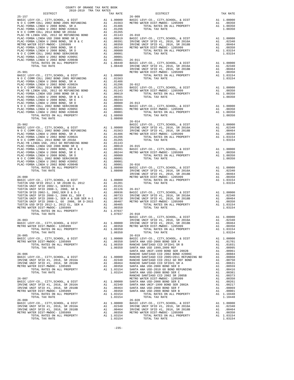| COUNTY OF ORANGE TAX RATE BOOK<br>2018-2019 TRA TAX RATES                  |    |                                                                                                                                           |                    |
|----------------------------------------------------------------------------|----|-------------------------------------------------------------------------------------------------------------------------------------------|--------------------|
| DISTRICT                                                                   |    | TAX RATE                                                                                                                                  |                    |
|                                                                            |    |                                                                                                                                           |                    |
|                                                                            |    |                                                                                                                                           |                    |
|                                                                            |    |                                                                                                                                           |                    |
|                                                                            |    |                                                                                                                                           |                    |
|                                                                            |    |                                                                                                                                           |                    |
|                                                                            |    |                                                                                                                                           |                    |
|                                                                            |    |                                                                                                                                           |                    |
|                                                                            |    |                                                                                                                                           |                    |
|                                                                            |    |                                                                                                                                           |                    |
|                                                                            |    |                                                                                                                                           |                    |
|                                                                            |    |                                                                                                                                           |                    |
|                                                                            |    |                                                                                                                                           |                    |
| $25 - 901$                                                                 |    |                                                                                                                                           | IRVINE<br>METRO W  |
|                                                                            |    |                                                                                                                                           |                    |
|                                                                            |    |                                                                                                                                           |                    |
|                                                                            |    |                                                                                                                                           |                    |
|                                                                            |    |                                                                                                                                           |                    |
|                                                                            |    |                                                                                                                                           |                    |
|                                                                            |    |                                                                                                                                           |                    |
|                                                                            |    |                                                                                                                                           |                    |
|                                                                            |    |                                                                                                                                           |                    |
|                                                                            |    |                                                                                                                                           |                    |
|                                                                            |    |                                                                                                                                           |                    |
|                                                                            |    |                                                                                                                                           |                    |
|                                                                            |    |                                                                                                                                           |                    |
|                                                                            |    |                                                                                                                                           | $26 - 014$         |
| $25 - 902$                                                                 |    |                                                                                                                                           | BASIC L            |
|                                                                            |    |                                                                                                                                           |                    |
|                                                                            |    |                                                                                                                                           |                    |
|                                                                            |    |                                                                                                                                           |                    |
|                                                                            |    |                                                                                                                                           |                    |
|                                                                            |    |                                                                                                                                           |                    |
|                                                                            |    |                                                                                                                                           |                    |
|                                                                            |    |                                                                                                                                           |                    |
|                                                                            |    |                                                                                                                                           |                    |
|                                                                            |    |                                                                                                                                           |                    |
|                                                                            |    |                                                                                                                                           |                    |
|                                                                            |    |                                                                                                                                           | IRVINE             |
|                                                                            |    |                                                                                                                                           |                    |
|                                                                            |    |                                                                                                                                           |                    |
|                                                                            |    |                                                                                                                                           |                    |
|                                                                            |    |                                                                                                                                           |                    |
|                                                                            |    |                                                                                                                                           |                    |
|                                                                            |    |                                                                                                                                           |                    |
|                                                                            |    |                                                                                                                                           |                    |
|                                                                            |    |                                                                                                                                           |                    |
|                                                                            |    |                                                                                                                                           |                    |
| TOTAL TAX RATE                                                             |    | $1.07037$ $26-018$                                                                                                                        |                    |
| $26 - 003$                                                                 |    |                                                                                                                                           | BASIC L            |
| BASIC LEVY-CO., CITY, SCHOOL, & DIST                                       |    | A1  1.00000  IRVINE                                                                                                                       | IRVINE             |
| METRO WATER DIST-MWDOC- 1205999                                            | A1 | .00350                                                                                                                                    | METRO W            |
| TOTAL RATES ON ALL PROPERTY                                                |    | A1 1.00350                                                                                                                                |                    |
| TOTAL TAX RATE<br>$26 - 005$                                               |    | 1.00350                                                                                                                                   | $26 - 019$         |
| BASIC LEVY-CO., CITY, SCHOOL, & DIST                                       |    | A1 1.00000 BASIC L                                                                                                                        |                    |
| METRO WATER DIST-MWDOC- 1205999                                            |    | A1 .00350                                                                                                                                 | SANTA A            |
| TOTAL RATES ON ALL PROPERTY                                                |    | A1 1.00350                                                                                                                                | RANCHO             |
| TOTAL TAX RATE                                                             |    | 1.00350                                                                                                                                   | SANTA A<br>SANTA A |
| $26 - 006$                                                                 |    |                                                                                                                                           | RANCHO             |
| BASIC LEVY-CO., CITY, SCHOOL, & DIST                                       |    |                                                                                                                                           |                    |
| IRVINE UNIF SFID #1, 2016, SR 2016A                                        |    |                                                                                                                                           |                    |
| IRVINE UNIF SFID #1, 2016, SR 2018B<br>METRO WATER DIST-MWDOC- 1205999     |    |                                                                                                                                           |                    |
| TOTAL RATES ON ALL PROPERTY                                                |    |                                                                                                                                           |                    |
| TOTAL TAX RATE                                                             |    | A1 1.00000 RANCHO<br>A1 .02340 RANCHO<br>A1 .00350 RANCHO<br>A1 .00350 SANTA A<br>A1 1.03154 SANTA A<br>1.03154 SANTA A<br>203154 SANTA A |                    |
| $26 - 007$                                                                 |    |                                                                                                                                           | RANCHO<br>METRO W  |
| BASIC LEVY-CO., CITY, SCHOOL, & DIST                                       |    |                                                                                                                                           |                    |
| IRVINE UNIF SFID #1, 2016, SR 2016A                                        |    | A1 1.00000 SANTA A<br>A1 .02340 SANTA A<br>A1 .00464 SANTA A<br>A1 .00350 SANTA A                                                         |                    |
| IRVINE UNIF SFID #1, 2016, SR 2018B                                        |    |                                                                                                                                           |                    |
| METRO WATER DIST-MWDOC- 1205999<br>TOTAL RATES ON ALL PROPERTY             |    | A1 1.03154                                                                                                                                |                    |
| TOTAL TAX RATE                                                             |    | 1.03154                                                                                                                                   |                    |
| $26 - 008$                                                                 |    |                                                                                                                                           | $26 - 020$         |
| BASIC LEVY-CO., CITY, SCHOOL, & DIST                                       |    | A1 1.00000 BASIC L<br>A1 .02340 IRVINE<br>A1 .00464 IRVINE<br>A1 .00350 METROW                                                            |                    |
| IRVINE UNIF SFID #1, 2016, SR 2016A<br>IRVINE UNIF SFID #1, 2016, SR 2018B |    |                                                                                                                                           |                    |
| METRO WATER DIST-MWDOC- 1205999                                            |    |                                                                                                                                           |                    |
| TOTAL RATES ON ALL PROPERTY                                                |    | A1 1.03154                                                                                                                                |                    |

| DIST      | A1             | 1.00 |
|-----------|----------------|------|
| REFUNDING | A <sub>1</sub> | .01  |
| SR A      | A1             | .01  |
| 2002A     |                | . 01 |

| $\begin{array}{cccccc} 26-0.95 & 0.707 \text{A}, \text{ TAP R} & 1.00350 & 0.707 \text{A}, \text{ DSP R} & 1.03154 \\ 0.816 & 0.816 & 0.816 & 0.816 & 0.816 & 0.816 & 0.816 & 0.816 & 0.816 & 0.816 & 0.816 & 0.816 & 0.816 & 0.816 & 0.816 & 0.816 & 0.816 & 0.816 & 0.816 & 0.816 & 0.816 &$ |  |  |  |
|------------------------------------------------------------------------------------------------------------------------------------------------------------------------------------------------------------------------------------------------------------------------------------------------|--|--|--|
|                                                                                                                                                                                                                                                                                                |  |  |  |
|                                                                                                                                                                                                                                                                                                |  |  |  |
|                                                                                                                                                                                                                                                                                                |  |  |  |
|                                                                                                                                                                                                                                                                                                |  |  |  |
|                                                                                                                                                                                                                                                                                                |  |  |  |
|                                                                                                                                                                                                                                                                                                |  |  |  |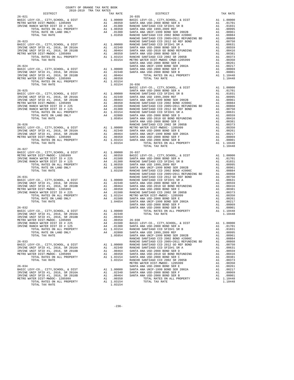| $\begin{minipage}{0.5\textwidth} \begin{tabular}{@{}c@{}} \hline \textbf{1} & \textbf{1} & \textbf{1} & \textbf{1} \\ \textbf{2} & \textbf{1} & \textbf{2} & \textbf{1} & \textbf{1} \\ \textbf{2} & \textbf{2} & \textbf{2} & \textbf{2} & \textbf{2} \\ \textbf{2} & \textbf{2} & \textbf{2} & \textbf{2} & \textbf{2} \\ \textbf{2} & \textbf{2} & \textbf{2} & \textbf{2} & \textbf{2} \\ \textbf{2} & \textbf{2} & \textbf{2} & \text$ |  |                | TAX RATE DISTRICT<br>TAX RATE 26-035                                                                                                                                                                                                                                                                             | TAX RATE |
|---------------------------------------------------------------------------------------------------------------------------------------------------------------------------------------------------------------------------------------------------------------------------------------------------------------------------------------------------------------------------------------------------------------------------------------------|--|----------------|------------------------------------------------------------------------------------------------------------------------------------------------------------------------------------------------------------------------------------------------------------------------------------------------------------------|----------|
| $26 - 021$                                                                                                                                                                                                                                                                                                                                                                                                                                  |  |                | $\begin{array}{cccccc} 26-021 & 24-014 \\ \text{METRO WRTRR DIST-MMDOGL} & 205999 & 24 & 0.03550 & 804078 & 0.03500 & 804078 & 80407 & 80407 \\ \text{METRO WRTRR DIST-MMDOGL} & 205999 & 80407 & 80407 & 80407 & 80407 & 80407 & 80407 \\ \text{RNTR RARTR DIST-MMDOGL} & 205999 & 80407 & 80407 & 80407 & 804$ |          |
|                                                                                                                                                                                                                                                                                                                                                                                                                                             |  |                |                                                                                                                                                                                                                                                                                                                  |          |
|                                                                                                                                                                                                                                                                                                                                                                                                                                             |  |                |                                                                                                                                                                                                                                                                                                                  |          |
|                                                                                                                                                                                                                                                                                                                                                                                                                                             |  |                |                                                                                                                                                                                                                                                                                                                  |          |
|                                                                                                                                                                                                                                                                                                                                                                                                                                             |  |                |                                                                                                                                                                                                                                                                                                                  |          |
|                                                                                                                                                                                                                                                                                                                                                                                                                                             |  |                |                                                                                                                                                                                                                                                                                                                  |          |
|                                                                                                                                                                                                                                                                                                                                                                                                                                             |  |                |                                                                                                                                                                                                                                                                                                                  |          |
|                                                                                                                                                                                                                                                                                                                                                                                                                                             |  |                |                                                                                                                                                                                                                                                                                                                  |          |
|                                                                                                                                                                                                                                                                                                                                                                                                                                             |  |                |                                                                                                                                                                                                                                                                                                                  |          |
|                                                                                                                                                                                                                                                                                                                                                                                                                                             |  |                |                                                                                                                                                                                                                                                                                                                  |          |
|                                                                                                                                                                                                                                                                                                                                                                                                                                             |  |                |                                                                                                                                                                                                                                                                                                                  |          |
|                                                                                                                                                                                                                                                                                                                                                                                                                                             |  |                |                                                                                                                                                                                                                                                                                                                  |          |
|                                                                                                                                                                                                                                                                                                                                                                                                                                             |  |                |                                                                                                                                                                                                                                                                                                                  |          |
|                                                                                                                                                                                                                                                                                                                                                                                                                                             |  |                |                                                                                                                                                                                                                                                                                                                  |          |
|                                                                                                                                                                                                                                                                                                                                                                                                                                             |  |                |                                                                                                                                                                                                                                                                                                                  |          |
|                                                                                                                                                                                                                                                                                                                                                                                                                                             |  |                |                                                                                                                                                                                                                                                                                                                  |          |
|                                                                                                                                                                                                                                                                                                                                                                                                                                             |  |                |                                                                                                                                                                                                                                                                                                                  |          |
|                                                                                                                                                                                                                                                                                                                                                                                                                                             |  |                |                                                                                                                                                                                                                                                                                                                  |          |
| TOTAL TAX RATE                                                                                                                                                                                                                                                                                                                                                                                                                              |  | 1.03154 26-036 |                                                                                                                                                                                                                                                                                                                  |          |
|                                                                                                                                                                                                                                                                                                                                                                                                                                             |  |                |                                                                                                                                                                                                                                                                                                                  |          |
|                                                                                                                                                                                                                                                                                                                                                                                                                                             |  |                |                                                                                                                                                                                                                                                                                                                  |          |
|                                                                                                                                                                                                                                                                                                                                                                                                                                             |  |                |                                                                                                                                                                                                                                                                                                                  |          |
|                                                                                                                                                                                                                                                                                                                                                                                                                                             |  |                |                                                                                                                                                                                                                                                                                                                  |          |
|                                                                                                                                                                                                                                                                                                                                                                                                                                             |  |                |                                                                                                                                                                                                                                                                                                                  |          |
|                                                                                                                                                                                                                                                                                                                                                                                                                                             |  |                |                                                                                                                                                                                                                                                                                                                  |          |
|                                                                                                                                                                                                                                                                                                                                                                                                                                             |  |                |                                                                                                                                                                                                                                                                                                                  |          |
|                                                                                                                                                                                                                                                                                                                                                                                                                                             |  |                |                                                                                                                                                                                                                                                                                                                  |          |
|                                                                                                                                                                                                                                                                                                                                                                                                                                             |  |                |                                                                                                                                                                                                                                                                                                                  |          |
|                                                                                                                                                                                                                                                                                                                                                                                                                                             |  |                |                                                                                                                                                                                                                                                                                                                  |          |
|                                                                                                                                                                                                                                                                                                                                                                                                                                             |  |                |                                                                                                                                                                                                                                                                                                                  |          |
|                                                                                                                                                                                                                                                                                                                                                                                                                                             |  |                |                                                                                                                                                                                                                                                                                                                  |          |
|                                                                                                                                                                                                                                                                                                                                                                                                                                             |  |                |                                                                                                                                                                                                                                                                                                                  |          |
|                                                                                                                                                                                                                                                                                                                                                                                                                                             |  |                |                                                                                                                                                                                                                                                                                                                  |          |
|                                                                                                                                                                                                                                                                                                                                                                                                                                             |  |                |                                                                                                                                                                                                                                                                                                                  |          |
|                                                                                                                                                                                                                                                                                                                                                                                                                                             |  |                |                                                                                                                                                                                                                                                                                                                  |          |
|                                                                                                                                                                                                                                                                                                                                                                                                                                             |  |                |                                                                                                                                                                                                                                                                                                                  |          |
| $26 - 027$                                                                                                                                                                                                                                                                                                                                                                                                                                  |  |                | $\begin{array}{cccccc} 26-027 & 11.0448 & 11.0000 & 26-037 & 11.0448 & 11.0040 & 26-037 & 11.0448 & 11.0000 & 26-037 & 11.0448 & 11.0000 & 26-037 & 11.0000 & 26-037 & 11.0000 & 26-037 & 11.0000 & 26-037 & 11.0000 & 26-037 & 11.0000 & 26-037 & 11.0000 & 26-03$                                              |          |
|                                                                                                                                                                                                                                                                                                                                                                                                                                             |  |                |                                                                                                                                                                                                                                                                                                                  |          |
|                                                                                                                                                                                                                                                                                                                                                                                                                                             |  |                |                                                                                                                                                                                                                                                                                                                  |          |
|                                                                                                                                                                                                                                                                                                                                                                                                                                             |  |                |                                                                                                                                                                                                                                                                                                                  |          |
|                                                                                                                                                                                                                                                                                                                                                                                                                                             |  |                |                                                                                                                                                                                                                                                                                                                  |          |
|                                                                                                                                                                                                                                                                                                                                                                                                                                             |  |                |                                                                                                                                                                                                                                                                                                                  |          |
|                                                                                                                                                                                                                                                                                                                                                                                                                                             |  |                |                                                                                                                                                                                                                                                                                                                  |          |
|                                                                                                                                                                                                                                                                                                                                                                                                                                             |  |                |                                                                                                                                                                                                                                                                                                                  |          |
|                                                                                                                                                                                                                                                                                                                                                                                                                                             |  |                |                                                                                                                                                                                                                                                                                                                  |          |
|                                                                                                                                                                                                                                                                                                                                                                                                                                             |  |                |                                                                                                                                                                                                                                                                                                                  |          |
|                                                                                                                                                                                                                                                                                                                                                                                                                                             |  |                |                                                                                                                                                                                                                                                                                                                  |          |
|                                                                                                                                                                                                                                                                                                                                                                                                                                             |  |                |                                                                                                                                                                                                                                                                                                                  |          |
|                                                                                                                                                                                                                                                                                                                                                                                                                                             |  |                |                                                                                                                                                                                                                                                                                                                  |          |
|                                                                                                                                                                                                                                                                                                                                                                                                                                             |  |                |                                                                                                                                                                                                                                                                                                                  |          |
|                                                                                                                                                                                                                                                                                                                                                                                                                                             |  |                |                                                                                                                                                                                                                                                                                                                  |          |
|                                                                                                                                                                                                                                                                                                                                                                                                                                             |  |                |                                                                                                                                                                                                                                                                                                                  |          |
|                                                                                                                                                                                                                                                                                                                                                                                                                                             |  |                |                                                                                                                                                                                                                                                                                                                  |          |
|                                                                                                                                                                                                                                                                                                                                                                                                                                             |  |                |                                                                                                                                                                                                                                                                                                                  |          |
|                                                                                                                                                                                                                                                                                                                                                                                                                                             |  |                |                                                                                                                                                                                                                                                                                                                  |          |
|                                                                                                                                                                                                                                                                                                                                                                                                                                             |  |                |                                                                                                                                                                                                                                                                                                                  |          |
|                                                                                                                                                                                                                                                                                                                                                                                                                                             |  |                |                                                                                                                                                                                                                                                                                                                  |          |
|                                                                                                                                                                                                                                                                                                                                                                                                                                             |  |                |                                                                                                                                                                                                                                                                                                                  |          |
|                                                                                                                                                                                                                                                                                                                                                                                                                                             |  |                |                                                                                                                                                                                                                                                                                                                  |          |
|                                                                                                                                                                                                                                                                                                                                                                                                                                             |  |                |                                                                                                                                                                                                                                                                                                                  |          |
|                                                                                                                                                                                                                                                                                                                                                                                                                                             |  |                |                                                                                                                                                                                                                                                                                                                  |          |
|                                                                                                                                                                                                                                                                                                                                                                                                                                             |  |                |                                                                                                                                                                                                                                                                                                                  |          |
|                                                                                                                                                                                                                                                                                                                                                                                                                                             |  |                |                                                                                                                                                                                                                                                                                                                  |          |
|                                                                                                                                                                                                                                                                                                                                                                                                                                             |  |                |                                                                                                                                                                                                                                                                                                                  |          |
|                                                                                                                                                                                                                                                                                                                                                                                                                                             |  |                |                                                                                                                                                                                                                                                                                                                  |          |
|                                                                                                                                                                                                                                                                                                                                                                                                                                             |  |                |                                                                                                                                                                                                                                                                                                                  |          |
|                                                                                                                                                                                                                                                                                                                                                                                                                                             |  |                |                                                                                                                                                                                                                                                                                                                  |          |
|                                                                                                                                                                                                                                                                                                                                                                                                                                             |  |                |                                                                                                                                                                                                                                                                                                                  |          |
|                                                                                                                                                                                                                                                                                                                                                                                                                                             |  |                |                                                                                                                                                                                                                                                                                                                  |          |
|                                                                                                                                                                                                                                                                                                                                                                                                                                             |  |                |                                                                                                                                                                                                                                                                                                                  |          |
|                                                                                                                                                                                                                                                                                                                                                                                                                                             |  |                |                                                                                                                                                                                                                                                                                                                  |          |
|                                                                                                                                                                                                                                                                                                                                                                                                                                             |  |                |                                                                                                                                                                                                                                                                                                                  |          |
|                                                                                                                                                                                                                                                                                                                                                                                                                                             |  |                |                                                                                                                                                                                                                                                                                                                  |          |
|                                                                                                                                                                                                                                                                                                                                                                                                                                             |  |                |                                                                                                                                                                                                                                                                                                                  |          |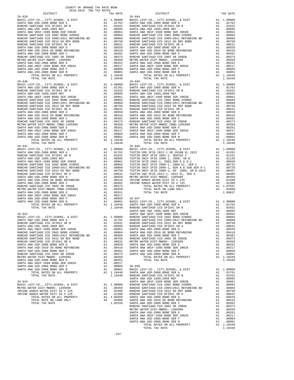| $26 - 039$ | TAX RATE | DISTRICT<br>$26 - 044$ | TAX RATE |
|------------|----------|------------------------|----------|
|            |          |                        |          |
|            |          |                        |          |
|            |          |                        |          |
|            |          |                        |          |
|            |          |                        |          |
|            |          |                        |          |
|            |          |                        |          |
|            |          |                        |          |
|            |          |                        |          |
|            |          |                        |          |
|            |          |                        |          |
|            |          |                        |          |
|            |          |                        |          |
|            |          |                        |          |
|            |          |                        |          |
|            |          |                        |          |
|            |          |                        |          |
|            |          |                        |          |
|            |          |                        |          |
|            |          |                        |          |
|            |          |                        |          |
|            |          |                        |          |
|            |          |                        |          |
|            |          |                        |          |
|            |          |                        |          |
|            |          |                        |          |
|            |          |                        |          |
|            |          |                        |          |
|            |          |                        |          |
|            |          |                        |          |
|            |          |                        |          |
|            |          |                        |          |
|            |          |                        |          |
|            |          |                        |          |
|            |          |                        |          |
|            |          |                        |          |
|            |          |                        |          |
|            |          |                        |          |
|            |          |                        |          |
|            |          |                        |          |
|            |          |                        |          |
|            |          |                        |          |
|            |          |                        |          |
|            |          |                        |          |
|            |          |                        |          |
|            |          |                        |          |
|            |          |                        |          |
|            |          |                        |          |
|            |          |                        |          |
|            |          |                        |          |
|            |          |                        |          |
|            |          |                        |          |
|            |          |                        |          |
|            |          |                        |          |
|            |          |                        |          |
|            |          |                        |          |
|            |          |                        |          |
|            |          |                        |          |
|            |          |                        |          |
|            |          |                        |          |
|            |          |                        |          |
|            |          |                        |          |
|            |          |                        |          |
|            |          |                        |          |
|            |          |                        |          |
|            |          |                        |          |
|            |          |                        |          |
|            |          |                        |          |
|            |          |                        |          |
|            |          |                        |          |
|            |          |                        |          |
|            |          |                        |          |
|            |          |                        |          |
|            |          |                        |          |
|            |          |                        |          |
|            |          |                        |          |
|            |          |                        |          |
|            |          |                        |          |
|            |          |                        |          |
|            |          |                        |          |
|            |          |                        |          |
|            |          |                        |          |
|            |          |                        |          |
|            |          |                        |          |
|            |          |                        |          |
|            |          |                        |          |
|            |          |                        |          |
|            |          |                        |          |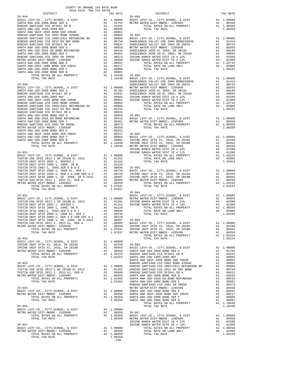| DISTRICT | 2018-2019 TRA TAX RATES | TAX RATE | DISTRICT   | TAX RATE |
|----------|-------------------------|----------|------------|----------|
|          |                         |          |            |          |
|          |                         |          |            |          |
|          |                         |          |            |          |
|          |                         |          |            |          |
|          |                         |          |            |          |
|          |                         |          |            |          |
|          |                         |          |            |          |
|          |                         |          |            |          |
|          |                         |          |            |          |
|          |                         |          |            |          |
|          |                         |          |            |          |
|          |                         |          |            |          |
|          |                         |          |            |          |
|          |                         |          |            |          |
|          |                         |          |            |          |
|          |                         |          |            |          |
|          |                         |          |            |          |
|          |                         |          |            |          |
|          |                         |          |            |          |
|          |                         |          |            |          |
|          |                         |          |            |          |
|          |                         |          |            |          |
|          |                         |          |            |          |
|          |                         |          |            |          |
|          |                         |          |            |          |
|          |                         |          |            |          |
|          |                         |          |            |          |
|          |                         |          |            |          |
|          |                         |          |            |          |
|          |                         |          |            |          |
|          |                         |          |            |          |
|          |                         |          |            |          |
|          |                         |          |            |          |
|          |                         |          |            |          |
|          |                         |          |            |          |
|          |                         |          |            |          |
|          |                         |          |            |          |
|          |                         |          |            |          |
|          |                         |          |            |          |
|          |                         |          | $26 - 064$ |          |
|          |                         |          |            |          |
|          |                         |          |            |          |
|          |                         |          |            |          |
|          |                         |          |            |          |
|          |                         |          |            |          |
|          |                         |          |            |          |
|          |                         |          |            |          |
|          |                         |          |            |          |
|          |                         |          |            |          |
|          |                         |          |            |          |
|          |                         |          |            |          |
|          |                         |          |            |          |
|          |                         |          |            |          |
|          |                         |          |            |          |
|          |                         |          |            |          |
|          |                         |          |            |          |
|          |                         |          |            |          |
|          |                         |          |            |          |
|          |                         |          |            |          |
|          |                         |          |            |          |
|          |                         |          |            |          |
|          |                         |          |            |          |
|          |                         |          |            |          |
|          |                         |          |            |          |
|          |                         |          |            |          |
|          |                         |          |            |          |
|          |                         |          |            |          |
|          |                         |          |            |          |
|          |                         |          |            |          |
|          |                         |          |            |          |
|          |                         |          |            |          |
|          |                         |          |            |          |
|          |                         |          |            |          |

COUNTY OF ORANGE TAX RATE BOOK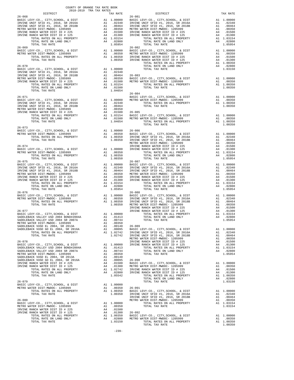| COUNTY OF ORANGE TAX RATE BOOK<br>2018-2019 TRA TAX RATES |                 |                                                                                                                                                                                                                                                                                                                                                                                                                                                      |          |
|-----------------------------------------------------------|-----------------|------------------------------------------------------------------------------------------------------------------------------------------------------------------------------------------------------------------------------------------------------------------------------------------------------------------------------------------------------------------------------------------------------------------------------------------------------|----------|
| $26 - 068$                                                | TAX RATE 26-081 | DISTRICT                                                                                                                                                                                                                                                                                                                                                                                                                                             | TAX RATE |
|                                                           |                 |                                                                                                                                                                                                                                                                                                                                                                                                                                                      |          |
|                                                           |                 |                                                                                                                                                                                                                                                                                                                                                                                                                                                      |          |
|                                                           |                 |                                                                                                                                                                                                                                                                                                                                                                                                                                                      |          |
|                                                           |                 |                                                                                                                                                                                                                                                                                                                                                                                                                                                      |          |
|                                                           |                 |                                                                                                                                                                                                                                                                                                                                                                                                                                                      |          |
|                                                           |                 |                                                                                                                                                                                                                                                                                                                                                                                                                                                      |          |
|                                                           |                 |                                                                                                                                                                                                                                                                                                                                                                                                                                                      |          |
|                                                           |                 |                                                                                                                                                                                                                                                                                                                                                                                                                                                      |          |
|                                                           |                 |                                                                                                                                                                                                                                                                                                                                                                                                                                                      |          |
|                                                           |                 |                                                                                                                                                                                                                                                                                                                                                                                                                                                      |          |
|                                                           |                 |                                                                                                                                                                                                                                                                                                                                                                                                                                                      |          |
|                                                           |                 |                                                                                                                                                                                                                                                                                                                                                                                                                                                      |          |
|                                                           |                 |                                                                                                                                                                                                                                                                                                                                                                                                                                                      |          |
|                                                           |                 |                                                                                                                                                                                                                                                                                                                                                                                                                                                      |          |
|                                                           |                 | $\begin{tabular}{l c c c c c} \multicolumn{4}{c}{\textbf{26}-0701}} & \multicolumn{4}{c}{\textbf{1}} & \multicolumn{4}{c}{\textbf{1}} & \multicolumn{4}{c}{\textbf{26}-0701}} & \multicolumn{4}{c}{\textbf{1}} & \multicolumn{4}{c}{\textbf{1}} & \multicolumn{4}{c}{\textbf{1}} & \multicolumn{4}{c}{\textbf{1}} & \multicolumn{4}{c}{\textbf{1}} & \multicolumn{4}{c}{\textbf{20}} & \multicolumn{4}{c}{\textbf{20}} & \multicolumn{4}{c}{\textbf$ |          |
|                                                           |                 |                                                                                                                                                                                                                                                                                                                                                                                                                                                      |          |
|                                                           |                 |                                                                                                                                                                                                                                                                                                                                                                                                                                                      |          |
|                                                           |                 |                                                                                                                                                                                                                                                                                                                                                                                                                                                      |          |
|                                                           |                 |                                                                                                                                                                                                                                                                                                                                                                                                                                                      |          |
|                                                           |                 |                                                                                                                                                                                                                                                                                                                                                                                                                                                      |          |
|                                                           |                 |                                                                                                                                                                                                                                                                                                                                                                                                                                                      |          |
|                                                           |                 |                                                                                                                                                                                                                                                                                                                                                                                                                                                      |          |
| $26 - 073$                                                |                 |                                                                                                                                                                                                                                                                                                                                                                                                                                                      |          |
|                                                           |                 |                                                                                                                                                                                                                                                                                                                                                                                                                                                      |          |
|                                                           |                 |                                                                                                                                                                                                                                                                                                                                                                                                                                                      |          |
|                                                           |                 |                                                                                                                                                                                                                                                                                                                                                                                                                                                      |          |
|                                                           |                 |                                                                                                                                                                                                                                                                                                                                                                                                                                                      |          |
|                                                           |                 |                                                                                                                                                                                                                                                                                                                                                                                                                                                      |          |
|                                                           |                 |                                                                                                                                                                                                                                                                                                                                                                                                                                                      |          |
|                                                           |                 |                                                                                                                                                                                                                                                                                                                                                                                                                                                      |          |
|                                                           |                 |                                                                                                                                                                                                                                                                                                                                                                                                                                                      |          |
|                                                           |                 |                                                                                                                                                                                                                                                                                                                                                                                                                                                      |          |
|                                                           |                 |                                                                                                                                                                                                                                                                                                                                                                                                                                                      |          |
|                                                           |                 |                                                                                                                                                                                                                                                                                                                                                                                                                                                      |          |
|                                                           |                 |                                                                                                                                                                                                                                                                                                                                                                                                                                                      |          |
| $26 - 076$                                                |                 | $26 - 088$                                                                                                                                                                                                                                                                                                                                                                                                                                           |          |
|                                                           |                 |                                                                                                                                                                                                                                                                                                                                                                                                                                                      |          |
|                                                           |                 |                                                                                                                                                                                                                                                                                                                                                                                                                                                      |          |
|                                                           |                 |                                                                                                                                                                                                                                                                                                                                                                                                                                                      |          |
|                                                           |                 |                                                                                                                                                                                                                                                                                                                                                                                                                                                      |          |
|                                                           |                 | $\begin{tabular}{@{}c@{}}\textbf{26--076} & \textbf{26--088} & \textbf{26--088} & \textbf{26--088} & \textbf{26--088} & \textbf{26--088} & \textbf{26--088} & \textbf{26--088} & \textbf{26--088} & \textbf{26--088} & \textbf{26--088} & \textbf{26--088} & \textbf{26--088} & \textbf{26--088} & \textbf{26--088} & \textbf{26--088} & \textbf{26--088} & \textbf{$                                                                                |          |
|                                                           |                 |                                                                                                                                                                                                                                                                                                                                                                                                                                                      |          |
|                                                           |                 |                                                                                                                                                                                                                                                                                                                                                                                                                                                      |          |
|                                                           |                 |                                                                                                                                                                                                                                                                                                                                                                                                                                                      |          |
|                                                           |                 |                                                                                                                                                                                                                                                                                                                                                                                                                                                      |          |
|                                                           |                 |                                                                                                                                                                                                                                                                                                                                                                                                                                                      |          |
|                                                           |                 |                                                                                                                                                                                                                                                                                                                                                                                                                                                      |          |
|                                                           |                 |                                                                                                                                                                                                                                                                                                                                                                                                                                                      |          |
|                                                           |                 |                                                                                                                                                                                                                                                                                                                                                                                                                                                      |          |
|                                                           |                 |                                                                                                                                                                                                                                                                                                                                                                                                                                                      |          |
|                                                           |                 |                                                                                                                                                                                                                                                                                                                                                                                                                                                      |          |
|                                                           |                 |                                                                                                                                                                                                                                                                                                                                                                                                                                                      |          |
|                                                           |                 |                                                                                                                                                                                                                                                                                                                                                                                                                                                      |          |
|                                                           |                 |                                                                                                                                                                                                                                                                                                                                                                                                                                                      |          |
|                                                           |                 |                                                                                                                                                                                                                                                                                                                                                                                                                                                      |          |
|                                                           |                 |                                                                                                                                                                                                                                                                                                                                                                                                                                                      |          |
|                                                           |                 |                                                                                                                                                                                                                                                                                                                                                                                                                                                      |          |
|                                                           |                 |                                                                                                                                                                                                                                                                                                                                                                                                                                                      |          |
|                                                           |                 |                                                                                                                                                                                                                                                                                                                                                                                                                                                      |          |
|                                                           |                 |                                                                                                                                                                                                                                                                                                                                                                                                                                                      |          |
|                                                           |                 |                                                                                                                                                                                                                                                                                                                                                                                                                                                      |          |
|                                                           |                 |                                                                                                                                                                                                                                                                                                                                                                                                                                                      |          |
|                                                           |                 |                                                                                                                                                                                                                                                                                                                                                                                                                                                      |          |
|                                                           |                 | $\begin{tabular}{l c c c c c} \multicolumn{4}{c}{26-079} & \multicolumn{4}{c}{\textbf{TOTAL RATE}} & \multicolumn{4}{c}{1.00000} & \multicolumn{4}{c}{\textbf{TOTAL RATE}} & \multicolumn{4}{c}{1.00000} & \multicolumn{4}{c}{\textbf{TOTAL RATE}} & \multicolumn{4}{c}{1.00000} & \multicolumn{4}{c}{\textbf{70TAL RATE}} & \multicolumn{4}{c}{1.00000} & \multicolumn{4}{c}{\textbf{26-091}} & \multicolumn{4}{$                                   |          |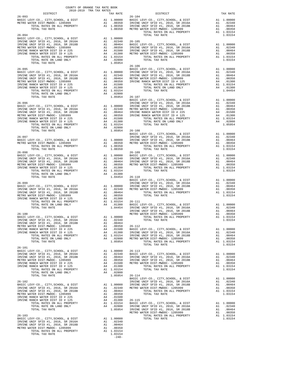|                                                                                                                                                                                                                                                                                                                                                                                                                                                                            | COUNTY OF ORANGE TAX RATE BOOK |                                                                                                                                                                                                                                                                                                                                                                                                                           |          |
|----------------------------------------------------------------------------------------------------------------------------------------------------------------------------------------------------------------------------------------------------------------------------------------------------------------------------------------------------------------------------------------------------------------------------------------------------------------------------|--------------------------------|---------------------------------------------------------------------------------------------------------------------------------------------------------------------------------------------------------------------------------------------------------------------------------------------------------------------------------------------------------------------------------------------------------------------------|----------|
| $2018-2019 \begin{tabular}{lllllllllllll} \multicolumn{2}{l}{{\bf{TRA} TAX RATE B}} \\ \multicolumn{2}{l}{\bf{DISTRICT}} \\ \multicolumn{2}{l}{\bf{DISTRICT}} \\ \multicolumn{2}{l}{\bf{DISTRICT}} \\ \multicolumn{2}{l}{\bf{DISTRICT}} \\ \multicolumn{2}{l}{\bf{DISTRICT}} \\ \multicolumn{2}{l}{\bf{DISTRICT}} \\ \multicolumn{2}{l}{\bf{DISTRICT}} \\ \multicolumn{2}{l}{\bf{DISTRICT}} \\ \multicolumn{2}{l}{\bf{DISTRICT}} \\ \multicolumn{2}{l}{\bf{$<br>$26 - 093$ | TAX RATE $26-104$              | DISTRICT                                                                                                                                                                                                                                                                                                                                                                                                                  | TAX RATE |
|                                                                                                                                                                                                                                                                                                                                                                                                                                                                            |                                |                                                                                                                                                                                                                                                                                                                                                                                                                           |          |
|                                                                                                                                                                                                                                                                                                                                                                                                                                                                            |                                |                                                                                                                                                                                                                                                                                                                                                                                                                           |          |
|                                                                                                                                                                                                                                                                                                                                                                                                                                                                            |                                |                                                                                                                                                                                                                                                                                                                                                                                                                           |          |
|                                                                                                                                                                                                                                                                                                                                                                                                                                                                            |                                |                                                                                                                                                                                                                                                                                                                                                                                                                           |          |
|                                                                                                                                                                                                                                                                                                                                                                                                                                                                            |                                |                                                                                                                                                                                                                                                                                                                                                                                                                           |          |
|                                                                                                                                                                                                                                                                                                                                                                                                                                                                            |                                |                                                                                                                                                                                                                                                                                                                                                                                                                           |          |
|                                                                                                                                                                                                                                                                                                                                                                                                                                                                            |                                |                                                                                                                                                                                                                                                                                                                                                                                                                           |          |
|                                                                                                                                                                                                                                                                                                                                                                                                                                                                            |                                | $26 - 106$                                                                                                                                                                                                                                                                                                                                                                                                                |          |
|                                                                                                                                                                                                                                                                                                                                                                                                                                                                            |                                |                                                                                                                                                                                                                                                                                                                                                                                                                           |          |
|                                                                                                                                                                                                                                                                                                                                                                                                                                                                            |                                |                                                                                                                                                                                                                                                                                                                                                                                                                           |          |
|                                                                                                                                                                                                                                                                                                                                                                                                                                                                            |                                |                                                                                                                                                                                                                                                                                                                                                                                                                           |          |
|                                                                                                                                                                                                                                                                                                                                                                                                                                                                            |                                |                                                                                                                                                                                                                                                                                                                                                                                                                           |          |
|                                                                                                                                                                                                                                                                                                                                                                                                                                                                            |                                |                                                                                                                                                                                                                                                                                                                                                                                                                           |          |
|                                                                                                                                                                                                                                                                                                                                                                                                                                                                            |                                |                                                                                                                                                                                                                                                                                                                                                                                                                           |          |
|                                                                                                                                                                                                                                                                                                                                                                                                                                                                            |                                |                                                                                                                                                                                                                                                                                                                                                                                                                           |          |
|                                                                                                                                                                                                                                                                                                                                                                                                                                                                            |                                |                                                                                                                                                                                                                                                                                                                                                                                                                           |          |
|                                                                                                                                                                                                                                                                                                                                                                                                                                                                            |                                |                                                                                                                                                                                                                                                                                                                                                                                                                           |          |
|                                                                                                                                                                                                                                                                                                                                                                                                                                                                            |                                |                                                                                                                                                                                                                                                                                                                                                                                                                           |          |
|                                                                                                                                                                                                                                                                                                                                                                                                                                                                            |                                |                                                                                                                                                                                                                                                                                                                                                                                                                           |          |
|                                                                                                                                                                                                                                                                                                                                                                                                                                                                            |                                |                                                                                                                                                                                                                                                                                                                                                                                                                           |          |
|                                                                                                                                                                                                                                                                                                                                                                                                                                                                            |                                | $\begin{tabular}{c c c c c} \multicolumn{4}{c}{\textbf{26--096}} & \multicolumn{4}{c}{\textbf{26--096}} & \multicolumn{4}{c}{\textbf{26--096}} & \multicolumn{4}{c}{\textbf{26--096}} & \multicolumn{4}{c}{\textbf{26--096}} & \multicolumn{4}{c}{\textbf{26--096}} & \multicolumn{4}{c}{\textbf{26--096}} & \multicolumn{4}{c}{\textbf{26--096}} & \multicolumn{4}{c}{\textbf{26--096}} & \multicolumn{4}{c}{\textbf{26$ |          |
|                                                                                                                                                                                                                                                                                                                                                                                                                                                                            |                                |                                                                                                                                                                                                                                                                                                                                                                                                                           |          |
|                                                                                                                                                                                                                                                                                                                                                                                                                                                                            |                                |                                                                                                                                                                                                                                                                                                                                                                                                                           |          |
|                                                                                                                                                                                                                                                                                                                                                                                                                                                                            |                                | 26-097<br>26-097<br>BASIC LEVY-CO., CITY, SCHOOL, & DIST<br>BASIC LEVY-CO., CITY, SCHOOL, & DIST<br>27 1.00000<br>271 1.00000<br>271 1.00000<br>271 1.00000<br>281 1.00000<br>281 1.00000<br>281 1.00000<br>281 1.00000<br>281 1.00000<br>281 1.00000<br>2                                                                                                                                                                |          |
| $26 - 098$                                                                                                                                                                                                                                                                                                                                                                                                                                                                 |                                | $26 - 109$                                                                                                                                                                                                                                                                                                                                                                                                                |          |
|                                                                                                                                                                                                                                                                                                                                                                                                                                                                            |                                |                                                                                                                                                                                                                                                                                                                                                                                                                           |          |
|                                                                                                                                                                                                                                                                                                                                                                                                                                                                            |                                |                                                                                                                                                                                                                                                                                                                                                                                                                           |          |
|                                                                                                                                                                                                                                                                                                                                                                                                                                                                            |                                |                                                                                                                                                                                                                                                                                                                                                                                                                           |          |
|                                                                                                                                                                                                                                                                                                                                                                                                                                                                            |                                |                                                                                                                                                                                                                                                                                                                                                                                                                           |          |
|                                                                                                                                                                                                                                                                                                                                                                                                                                                                            |                                |                                                                                                                                                                                                                                                                                                                                                                                                                           |          |
|                                                                                                                                                                                                                                                                                                                                                                                                                                                                            |                                |                                                                                                                                                                                                                                                                                                                                                                                                                           |          |
|                                                                                                                                                                                                                                                                                                                                                                                                                                                                            |                                |                                                                                                                                                                                                                                                                                                                                                                                                                           |          |
|                                                                                                                                                                                                                                                                                                                                                                                                                                                                            |                                |                                                                                                                                                                                                                                                                                                                                                                                                                           |          |
|                                                                                                                                                                                                                                                                                                                                                                                                                                                                            |                                |                                                                                                                                                                                                                                                                                                                                                                                                                           |          |
|                                                                                                                                                                                                                                                                                                                                                                                                                                                                            |                                |                                                                                                                                                                                                                                                                                                                                                                                                                           |          |
|                                                                                                                                                                                                                                                                                                                                                                                                                                                                            |                                |                                                                                                                                                                                                                                                                                                                                                                                                                           |          |
|                                                                                                                                                                                                                                                                                                                                                                                                                                                                            |                                |                                                                                                                                                                                                                                                                                                                                                                                                                           |          |
|                                                                                                                                                                                                                                                                                                                                                                                                                                                                            |                                |                                                                                                                                                                                                                                                                                                                                                                                                                           |          |
|                                                                                                                                                                                                                                                                                                                                                                                                                                                                            |                                |                                                                                                                                                                                                                                                                                                                                                                                                                           |          |
|                                                                                                                                                                                                                                                                                                                                                                                                                                                                            |                                |                                                                                                                                                                                                                                                                                                                                                                                                                           |          |
|                                                                                                                                                                                                                                                                                                                                                                                                                                                                            |                                |                                                                                                                                                                                                                                                                                                                                                                                                                           |          |
|                                                                                                                                                                                                                                                                                                                                                                                                                                                                            |                                |                                                                                                                                                                                                                                                                                                                                                                                                                           |          |
| $26 - 101$                                                                                                                                                                                                                                                                                                                                                                                                                                                                 |                                |                                                                                                                                                                                                                                                                                                                                                                                                                           |          |
|                                                                                                                                                                                                                                                                                                                                                                                                                                                                            |                                |                                                                                                                                                                                                                                                                                                                                                                                                                           |          |
|                                                                                                                                                                                                                                                                                                                                                                                                                                                                            |                                |                                                                                                                                                                                                                                                                                                                                                                                                                           |          |
|                                                                                                                                                                                                                                                                                                                                                                                                                                                                            |                                |                                                                                                                                                                                                                                                                                                                                                                                                                           |          |
|                                                                                                                                                                                                                                                                                                                                                                                                                                                                            |                                |                                                                                                                                                                                                                                                                                                                                                                                                                           |          |
|                                                                                                                                                                                                                                                                                                                                                                                                                                                                            |                                |                                                                                                                                                                                                                                                                                                                                                                                                                           |          |
|                                                                                                                                                                                                                                                                                                                                                                                                                                                                            |                                |                                                                                                                                                                                                                                                                                                                                                                                                                           |          |
|                                                                                                                                                                                                                                                                                                                                                                                                                                                                            |                                |                                                                                                                                                                                                                                                                                                                                                                                                                           |          |
|                                                                                                                                                                                                                                                                                                                                                                                                                                                                            |                                |                                                                                                                                                                                                                                                                                                                                                                                                                           |          |
|                                                                                                                                                                                                                                                                                                                                                                                                                                                                            |                                |                                                                                                                                                                                                                                                                                                                                                                                                                           |          |
|                                                                                                                                                                                                                                                                                                                                                                                                                                                                            |                                |                                                                                                                                                                                                                                                                                                                                                                                                                           |          |
|                                                                                                                                                                                                                                                                                                                                                                                                                                                                            |                                |                                                                                                                                                                                                                                                                                                                                                                                                                           |          |
|                                                                                                                                                                                                                                                                                                                                                                                                                                                                            |                                |                                                                                                                                                                                                                                                                                                                                                                                                                           |          |
|                                                                                                                                                                                                                                                                                                                                                                                                                                                                            |                                | $\begin{tabular}{@{}c@{}}\hline & $1071L$ & TAX RATE & 100000 \\ \hline 1071L$ & TAX RATE & 100000 \\ \hline 1071L$ & TAX RATE & 100000 \\ \hline 1071L$ & TAX RATE & 100000 \\ \hline 1071L$ & TAX RATE & 1015, 5 \& 2016, 5 \& 2016, 5 \& 2016, 5 \& 2016, 5 \& 2016, 5 \& 2016, 5 \& 2016, 5 \& 2016, 5 \& 2016$                                                                                                       |          |
|                                                                                                                                                                                                                                                                                                                                                                                                                                                                            |                                |                                                                                                                                                                                                                                                                                                                                                                                                                           |          |
|                                                                                                                                                                                                                                                                                                                                                                                                                                                                            |                                |                                                                                                                                                                                                                                                                                                                                                                                                                           |          |
|                                                                                                                                                                                                                                                                                                                                                                                                                                                                            |                                |                                                                                                                                                                                                                                                                                                                                                                                                                           |          |
|                                                                                                                                                                                                                                                                                                                                                                                                                                                                            |                                |                                                                                                                                                                                                                                                                                                                                                                                                                           |          |

 $-240-$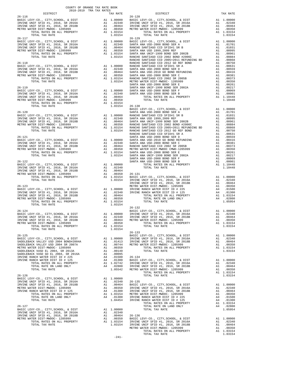| DISTRICT                                                                                                                                             |                                                                                                            | TAX RATE                                                                                                                                                     |            |
|------------------------------------------------------------------------------------------------------------------------------------------------------|------------------------------------------------------------------------------------------------------------|--------------------------------------------------------------------------------------------------------------------------------------------------------------|------------|
| $26 - 116$                                                                                                                                           |                                                                                                            |                                                                                                                                                              | 26-128     |
|                                                                                                                                                      |                                                                                                            |                                                                                                                                                              |            |
|                                                                                                                                                      |                                                                                                            |                                                                                                                                                              |            |
|                                                                                                                                                      |                                                                                                            |                                                                                                                                                              |            |
|                                                                                                                                                      |                                                                                                            |                                                                                                                                                              |            |
| $26 - 117$                                                                                                                                           |                                                                                                            |                                                                                                                                                              | $26 - 129$ |
| BASIC LEVY-CO., CITY, SCHOOL, & DIST                                                                                                                 |                                                                                                            | A1 1.00000 BASIC L<br>A1 .02340 SANTA A<br>A1 .00350 SANTA A<br>A1 .00350 SANTA A<br>A1 1.03154 SANTA A<br>1.03154 RANCHO                                    |            |
| BASIC LEVI-CO., CIII,SCROOL, & DISI<br>IRVINE UNIF SFID #1, 2016, SR 2016A<br>IRVINE UNIF SFID #1, 2016, SR 2018B<br>METRO WATER DIST-MWDOC- 1205999 |                                                                                                            |                                                                                                                                                              |            |
|                                                                                                                                                      |                                                                                                            |                                                                                                                                                              |            |
| METRO WATER DIST-MWDOC- 1205999<br>TOTAL RATES ON ALL PROPERTY                                                                                       |                                                                                                            |                                                                                                                                                              |            |
| TOTAL TAX RATE                                                                                                                                       |                                                                                                            |                                                                                                                                                              |            |
|                                                                                                                                                      |                                                                                                            |                                                                                                                                                              | RANCHO     |
| $26 - 118$                                                                                                                                           |                                                                                                            |                                                                                                                                                              | RANCHO     |
|                                                                                                                                                      |                                                                                                            |                                                                                                                                                              |            |
|                                                                                                                                                      |                                                                                                            |                                                                                                                                                              |            |
|                                                                                                                                                      |                                                                                                            |                                                                                                                                                              |            |
|                                                                                                                                                      |                                                                                                            |                                                                                                                                                              |            |
|                                                                                                                                                      |                                                                                                            |                                                                                                                                                              | SANTA A    |
| $26 - 119$                                                                                                                                           |                                                                                                            |                                                                                                                                                              | SANTA A    |
|                                                                                                                                                      |                                                                                                            |                                                                                                                                                              |            |
|                                                                                                                                                      |                                                                                                            |                                                                                                                                                              |            |
|                                                                                                                                                      |                                                                                                            |                                                                                                                                                              |            |
|                                                                                                                                                      |                                                                                                            |                                                                                                                                                              |            |
|                                                                                                                                                      |                                                                                                            |                                                                                                                                                              | BASIC L    |
|                                                                                                                                                      |                                                                                                            |                                                                                                                                                              |            |
|                                                                                                                                                      |                                                                                                            |                                                                                                                                                              |            |
|                                                                                                                                                      |                                                                                                            |                                                                                                                                                              |            |
|                                                                                                                                                      |                                                                                                            |                                                                                                                                                              |            |
|                                                                                                                                                      |                                                                                                            |                                                                                                                                                              |            |
|                                                                                                                                                      |                                                                                                            |                                                                                                                                                              |            |
|                                                                                                                                                      |                                                                                                            |                                                                                                                                                              |            |
|                                                                                                                                                      |                                                                                                            | A1 1.00000 SANTA A<br>A1 .02340 SANTA A<br>A1 .00364 RANCHO<br>A1 .00350 METRO W<br>A1 1.03154 SANTA A<br>1.03154 SANTA A<br>1.03154 SANTA A                 |            |
|                                                                                                                                                      |                                                                                                            |                                                                                                                                                              |            |
|                                                                                                                                                      |                                                                                                            |                                                                                                                                                              |            |
| TOTAL RATES ON ALL PROPERTY                                                                                                                          |                                                                                                            |                                                                                                                                                              |            |
| TOTAL TAX RATE                                                                                                                                       |                                                                                                            |                                                                                                                                                              |            |
|                                                                                                                                                      |                                                                                                            |                                                                                                                                                              | SANTA A    |
|                                                                                                                                                      |                                                                                                            |                                                                                                                                                              |            |
|                                                                                                                                                      |                                                                                                            |                                                                                                                                                              |            |
|                                                                                                                                                      |                                                                                                            |                                                                                                                                                              |            |
|                                                                                                                                                      |                                                                                                            |                                                                                                                                                              |            |
|                                                                                                                                                      |                                                                                                            |                                                                                                                                                              |            |
|                                                                                                                                                      |                                                                                                            |                                                                                                                                                              | IRVINE     |
|                                                                                                                                                      |                                                                                                            |                                                                                                                                                              |            |
|                                                                                                                                                      |                                                                                                            |                                                                                                                                                              |            |
|                                                                                                                                                      |                                                                                                            |                                                                                                                                                              |            |
| TOTAL RATES ON ALL PROPERTY                                                                                                                          |                                                                                                            | A1 1.03154                                                                                                                                                   |            |
| TOTAL TAX RATE                                                                                                                                       |                                                                                                            | 1.03154                                                                                                                                                      |            |
|                                                                                                                                                      |                                                                                                            |                                                                                                                                                              | $26 - 132$ |
| $26 - 124$<br>BASIC LEVY-CO., CITY, SCHOOL, & DIST                                                                                                   | A1 1.00000 EASIC<br>A1 .02340 IRVINE<br>A1 .02340 IRVINE<br>A1 .00454<br>METROW<br>A1 .00350<br>A1 1.03154 |                                                                                                                                                              | BASIC L    |
| IRVINE UNIF SFID #1, 2016, SR 2016A<br>IRVINE UNIF SFID #1, 2016, SR 2016A<br>METRO WATER DITE #1, 2016, SR 2018B                                    |                                                                                                            |                                                                                                                                                              |            |
|                                                                                                                                                      |                                                                                                            |                                                                                                                                                              |            |
| METRO WATER DIST-MWDOC- 1205999                                                                                                                      |                                                                                                            |                                                                                                                                                              |            |
| TOTAL RATES ON ALL PROPERTY<br>TOTAL TAX RATE                                                                                                        |                                                                                                            | 1.03154                                                                                                                                                      |            |
|                                                                                                                                                      |                                                                                                            |                                                                                                                                                              | $26 - 133$ |
| $26 - 125$                                                                                                                                           |                                                                                                            |                                                                                                                                                              | BASIC L    |
| BASIC LEVY-CO., CITY, SCHOOL, & DIST<br>SADDLEBACK VALLEY USD 2004 BOND#2004A                                                                        |                                                                                                            |                                                                                                                                                              |            |
| SADDLEBACK VALLEY USD 2004 SR 2007A                                                                                                                  |                                                                                                            | A1  1.00000   IRVINE<br>A1  .01413   IRVINE<br>A1  .00744   METRO   W                                                                                        |            |
| METRO WATER DIST-MWDOC- 1205999                                                                                                                      |                                                                                                            | A1 .00350                                                                                                                                                    |            |
| SADDLEBACK VUSD EL 2004, SR 2013A<br>SADDLEBACK VUSD GO EL 2004, SR 2016A                                                                            |                                                                                                            | A1 .00140                                                                                                                                                    |            |
| IRVINE RANCH WATER DIST ID # 225                                                                                                                     |                                                                                                            | A1 .00095<br>A4 .01500                                                                                                                                       | $26 - 134$ |
| IRVINE RANCH WATER DIST ID # 125                                                                                                                     |                                                                                                            |                                                                                                                                                              |            |
| TOTAL RATES ON ALL PROPERTY                                                                                                                          |                                                                                                            | A4 .01300 BASIC L<br>A1 1.02742 IRVINE<br>A1 .02800 IRVINE<br>1.05542 METRO W                                                                                |            |
| TOTAL RATE ON LAND ONLY<br>TOTAL TAX RATE                                                                                                            |                                                                                                            |                                                                                                                                                              |            |
|                                                                                                                                                      |                                                                                                            |                                                                                                                                                              |            |
| $26 - 126$                                                                                                                                           |                                                                                                            |                                                                                                                                                              |            |
| BASIC LEVY-CO., CITY, SCHOOL, & DIST<br>IRVINE UNIF SFID #1, 2016, SR 2016A                                                                          |                                                                                                            | A1 1.00000                                                                                                                                                   |            |
| IRVINE UNIF SFID #1, 2016, SR 2018B                                                                                                                  |                                                                                                            |                                                                                                                                                              |            |
| METRO WATER DIST-MWDOC- 1205999                                                                                                                      |                                                                                                            |                                                                                                                                                              |            |
| IRVINE RANCH WATER DIST ID # 125                                                                                                                     |                                                                                                            |                                                                                                                                                              |            |
| TOTAL RATES ON ALL PROPERTY<br>TOTAL RATE ON LAND ONLY                                                                                               |                                                                                                            |                                                                                                                                                              |            |
| TOTAL TAX RATE                                                                                                                                       |                                                                                                            | A1 .02340 26-135<br>A1 .02340 26-135<br>A1 .00464 BASIC L<br>A1 .00350 IRVINE<br>A4 .01300 IRVINE<br>A4 1.03130 IRVINE<br>A4 .01300 IRVINE<br>1.04454 IRVINE |            |
|                                                                                                                                                      |                                                                                                            |                                                                                                                                                              |            |
| $26 - 127$<br>BASIC LEVY-CO., CITY, SCHOOL, & DIST                                                                                                   |                                                                                                            | A1 $1.00000$                                                                                                                                                 |            |
| IRVINE UNIF SFID #1, 2016, SR 2016A                                                                                                                  |                                                                                                            | A1.02340                                                                                                                                                     |            |
| IRVINE UNIF SFID #1, 2016, SR 2018B<br>METRO WATER DIST-MWDOC- 1205999                                                                               |                                                                                                            | A1 .00464 26-136<br>A1 .00350 BASIC L<br>A1 1.03154 IRVINE                                                                                                   |            |
| TOTAL RATES ON ALL PROPERTY                                                                                                                          |                                                                                                            |                                                                                                                                                              |            |
| TOTAL TAX RATE                                                                                                                                       |                                                                                                            | 1.03154 IRVINE                                                                                                                                               |            |

| COUNTY OF ORANGE TAX RATE BOOK<br>2018-2019 TRA TAX RATES |          |                                                                                                                                                                                                                                                                                                                                                                                                                 |          |
|-----------------------------------------------------------|----------|-----------------------------------------------------------------------------------------------------------------------------------------------------------------------------------------------------------------------------------------------------------------------------------------------------------------------------------------------------------------------------------------------------------------|----------|
| $26 - 116$                                                | TAX RATE | DISTRICT<br>$26 - 128$                                                                                                                                                                                                                                                                                                                                                                                          | TAX RATE |
|                                                           |          | $\begin{tabular}{@{}c@{\hspace{1cm}}c@{\hspace{1cm}}c@{\hspace{1cm}}c@{\hspace{1cm}}c@{\hspace{1cm}}c@{\hspace{1cm}}c@{\hspace{1cm}}c@{\hspace{1cm}}c@{\hspace{1cm}}c@{\hspace{1cm}}c@{\hspace{1cm}}c@{\hspace{1cm}}c@{\hspace{1cm}}c@{\hspace{1cm}}c@{\hspace{1cm}}c@{\hspace{1cm}}c@{\hspace{1cm}}c@{\hspace{1cm}}c@{\hspace{1cm}}c@{\hspace{1cm}}c@{\hspace{1cm}}c@{\hspace{1cm}}c@{\hspace{1cm}}c@{\hspace$ |          |
|                                                           |          |                                                                                                                                                                                                                                                                                                                                                                                                                 |          |
|                                                           |          |                                                                                                                                                                                                                                                                                                                                                                                                                 |          |
|                                                           |          |                                                                                                                                                                                                                                                                                                                                                                                                                 |          |
|                                                           |          | TOTAL RATES OR ALL PROPERTY $\begin{tabular}{  c   c   c   c   c  } \hline \text{UTAL R-K 908, 0.011 & 0.0154 & 0.0154 & 0.0154 & 0.0154 & 0.0154 & 0.0154 & 0.0154 & 0.0154 & 0.0154 & 0.0154 & 0.0154 & 0.0154 & 0.0154 & 0.0154 & 0.0154 & 0.0154 & 0.0154 & 0.0154 & 0.0154$                                                                                                                                |          |
|                                                           |          |                                                                                                                                                                                                                                                                                                                                                                                                                 |          |
|                                                           |          |                                                                                                                                                                                                                                                                                                                                                                                                                 |          |
|                                                           |          |                                                                                                                                                                                                                                                                                                                                                                                                                 |          |
|                                                           |          | $\begin{tabular}{lllllllllllllllllllll} \textbf{26--132} & \textbf{26--132} & \textbf{26--132} & \textbf{26--132} & \textbf{26--132} & \textbf{26--132} & \textbf{26--132} & \textbf{26--132} & \textbf{26--132} & \textbf{26--132} & \textbf{26--132} & \textbf{26--132} & \textbf{26--132} & \textbf{26--132} & \textbf{26--132} & \textbf{26--132} & \textbf{26--132$                                        |          |
|                                                           |          |                                                                                                                                                                                                                                                                                                                                                                                                                 |          |
|                                                           |          |                                                                                                                                                                                                                                                                                                                                                                                                                 |          |
|                                                           |          |                                                                                                                                                                                                                                                                                                                                                                                                                 |          |
|                                                           |          |                                                                                                                                                                                                                                                                                                                                                                                                                 |          |
|                                                           | $-241-$  |                                                                                                                                                                                                                                                                                                                                                                                                                 |          |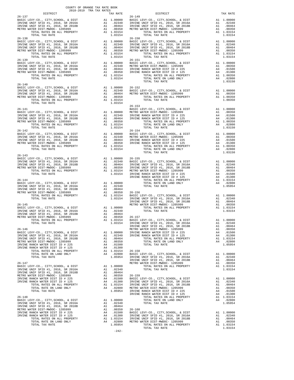| DISTRICT                                                                                                                                                  | TAX RATE                                                                                                              |                       |
|-----------------------------------------------------------------------------------------------------------------------------------------------------------|-----------------------------------------------------------------------------------------------------------------------|-----------------------|
| $26 - 137$<br>BASIC LEVY-CO., CITY, SCHOOL, & DIST                                                                                                        |                                                                                                                       | $26 - 149$            |
| IRVINE UNIF SFID #1, 2016, SR 2016A                                                                                                                       | 26-149<br>A1 1.00000 BASIC L<br>A1 .02340 IRVINE<br>A1 .00464 IRVINE<br>A1 .00350 METROW<br>A1 1.03154                |                       |
| IRVINE UNIF SFID #1, 2010, SR 2016A<br>METRO WATER DIE TIERT IN THE SR 2018B                                                                              |                                                                                                                       |                       |
| METRO WATER DIST-MWDOC- 1205999<br>TOTAL RATES ON ALL PROPERTY                                                                                            | A1 1.03154                                                                                                            |                       |
| TOTAL TAX RATE                                                                                                                                            | 1.03154                                                                                                               |                       |
| $26 - 138$                                                                                                                                                |                                                                                                                       | $26 - 150$            |
|                                                                                                                                                           |                                                                                                                       |                       |
|                                                                                                                                                           |                                                                                                                       |                       |
|                                                                                                                                                           |                                                                                                                       |                       |
| TOTAL TAX RATE                                                                                                                                            | 1.03154                                                                                                               |                       |
| $26 - 139$<br>BASIC LEVY-CO., CITY, SCHOOL, & DIST                                                                                                        | 26-151<br>A1 1.00000 BASIC L<br>A1 .02340 METRO W<br>A1 .00464 IRVINE<br>A1 .00350 IRVINE<br>A1 1.03154               | $26 - 151$            |
| IRVINE UNIF SFID #1, 2016, SR 2016A                                                                                                                       |                                                                                                                       |                       |
| IRVINE UNIF SFID #1, 2016, SR 2018B<br>METRO WATER DIST-MWDOC- 1205999                                                                                    |                                                                                                                       |                       |
| TOTAL RATES ON ALL PROPERTY                                                                                                                               |                                                                                                                       |                       |
| TOTAL TAX RATE                                                                                                                                            | 1.03154                                                                                                               |                       |
| $26 - 140$                                                                                                                                                |                                                                                                                       |                       |
| BASIC LEVY-CO., CITY, SCHOOL, & DIST<br>IRVINE UNIF SFID #1, 2016, SR 2016A<br>IRVINE UNIF SFID #1, 2016, SR 2018B                                        |                                                                                                                       |                       |
|                                                                                                                                                           |                                                                                                                       |                       |
| METRO WATER DIST-MWDOC- 1205999                                                                                                                           |                                                                                                                       |                       |
| TOTAL TAX RATE                                                                                                                                            | 1.03154                                                                                                               |                       |
|                                                                                                                                                           |                                                                                                                       | $26 - 153$            |
| $26 - 141$<br>BASIC LEVY-CO., CITY, SCHOOL, & DIST                                                                                                        | BASIC L<br>A1 1.00000 METRO M<br>A1 .02340 IRVINE<br>A1 .00464 IRVINE<br>A1 .00350<br>A1 0.0350<br>A1 0.0350          |                       |
|                                                                                                                                                           |                                                                                                                       |                       |
|                                                                                                                                                           |                                                                                                                       |                       |
| A DIST (A DIST) WILF SFID #1, 2016, SR 2016<br>IRVINE UNIF SFID #1, 2016, SR 2018B<br>METRO WATER DIST-MWDOC- 1205999<br>TOTAL PATT                       | A1 1.03154                                                                                                            |                       |
| TOTAL TAX RATE<br>$26 - 142$                                                                                                                              | 1.03154                                                                                                               | $26 - 154$            |
| BASIC LEVY-CO., CITY, SCHOOL, & DIST                                                                                                                      |                                                                                                                       |                       |
| BASIC LEVY-CO., CITY, SCHOOL, & DIST<br>IRVINE UNIF SFID #1, 2016, SR 2016A<br>IRVINE UNIF SFID #1, 2016, SR 2018B<br>TRVINE UNIF SFID #1, 2016, SR 2018B |                                                                                                                       |                       |
| METRO WATER DIST-MWDOC- 1205999                                                                                                                           |                                                                                                                       |                       |
|                                                                                                                                                           |                                                                                                                       |                       |
| TOTAL TAX RATE                                                                                                                                            | 1.03154                                                                                                               |                       |
| $26 - 143$                                                                                                                                                |                                                                                                                       |                       |
| BASIC LEVY-CO., CITY, SCHOOL, & DIST                                                                                                                      |                                                                                                                       |                       |
| IRVINE UNIF SFID #1, 2016, SR 2016A<br>IRVINE UNIF SFID #1, 2016, SR 2018B                                                                                |                                                                                                                       |                       |
| METRO WATER DIST-MWDOC- 1205999<br>TOTAL RATES ON ALL PROPERTY                                                                                            |                                                                                                                       |                       |
| TOTAL TAX RATE                                                                                                                                            | A1 1.00000 26-155<br>A1 .02340 BASIC L<br>A1 .00464 IRVINE<br>A1 .00350 IRVINE<br>A1 1.03154 METROW<br>1.03154 INVINE |                       |
| $26 - 144$                                                                                                                                                |                                                                                                                       | IRVINE                |
|                                                                                                                                                           |                                                                                                                       |                       |
|                                                                                                                                                           | .00464                                                                                                                |                       |
|                                                                                                                                                           |                                                                                                                       | A1 .00350 26-156      |
| TOTAL RATES ON ALL PROPERTY                                                                                                                               | A1 1.03154                                                                                                            | BASIC L               |
| TOTAL TAX RATE                                                                                                                                            | 1.03154                                                                                                               | IRVINE<br>IRVINE      |
| $26 - 145$                                                                                                                                                |                                                                                                                       |                       |
| BASIC LEVY-CO., CITY, SCHOOL, & DIST<br>TRUINE UNIF SFID #1, 2016, SR 2016A<br>IRVINE UNIF SFID #1, 2016, SR 2016A<br>METRO WATER DIST-MWDOC- 1205999     |                                                                                                                       |                       |
|                                                                                                                                                           |                                                                                                                       |                       |
|                                                                                                                                                           |                                                                                                                       |                       |
|                                                                                                                                                           |                                                                                                                       |                       |
| $26 - 146$                                                                                                                                                |                                                                                                                       | IRVINE<br>METRO W     |
| BASIC LEVY-CO., CITY, SCHOOL, & DIST                                                                                                                      | A1<br>1.00000                                                                                                         | IRVINE                |
| IRVINE UNIF SFID #1, 2016, SR 2016A<br>IRVINE UNIF SFID #1, 2016, SR 2018B                                                                                | A1 .02340<br>.00464<br>A1                                                                                             | IRVINE                |
| METRO WATER DIST-MWDOC- 1205999                                                                                                                           | A1<br>.00350                                                                                                          |                       |
| IRVINE RANCH WATER DIST ID # 225                                                                                                                          | A4<br>.01500                                                                                                          |                       |
| IRVINE RANCH WATER DIST ID # 125<br>TOTAL RATES ON ALL PROPERTY                                                                                           | A4<br>.01300<br>A1 1.03154                                                                                            | $26 - 158$            |
| TOTAL RATE ON LAND ONLY                                                                                                                                   | A1 1.03154<br>A4 .02800                                                                                               | BASIC L               |
| TOTAL TAX RATE                                                                                                                                            | 1.05954                                                                                                               | IRVINE<br>IRVINE      |
| $26 - 147$                                                                                                                                                |                                                                                                                       | METRO W               |
| BASIC LEVY-CO., CITY, SCHOOL, & DIST<br>IRVINE UNIF SFID #1, 2016, SR 2016A                                                                               | A1<br>1.00000<br>A1 .02340                                                                                            |                       |
| IRVINE UNIF SFID #1, 2016, SR 2018B                                                                                                                       | A1<br>.00464                                                                                                          |                       |
| METRO WATER DIST-MWDOC- 1205999<br>IRVINE RANCH WATER DIST ID # 225                                                                                       | A1<br>.00350<br>A4 .01500                                                                                             | $26 - 159$<br>BASIC L |
| IRVINE RANCH WATER DIST ID # 125                                                                                                                          | A4                                                                                                                    | .01300<br>IRVINE      |
| TOTAL RATES ON ALL PROPERTY<br>TOTAL RATE ON LAND ONLY                                                                                                    | A1 1.03154<br>A4 .02800                                                                                               | IRVINE<br>METRO W     |
| TOTAL TAX RATE                                                                                                                                            | 1.05954                                                                                                               | IRVINE                |
|                                                                                                                                                           |                                                                                                                       | IRVINE                |
| $26 - 148$<br>BASIC LEVY-CO., CITY, SCHOOL, & DIST                                                                                                        | 1.00000<br>A1                                                                                                         |                       |
| IRVINE UNIF SFID #1, 2016, SR 2016A                                                                                                                       | A1.02340                                                                                                              |                       |
| IRVINE UNIF SFID #1, 2016, SR 2018B<br>METRO WATER DIST-MWDOC- 1205999                                                                                    | A1<br>.00464<br>A1                                                                                                    | .00350<br>$26 - 160$  |
| IRVINE RANCH WATER DIST ID # 225                                                                                                                          | A4                                                                                                                    | .01500<br>BASIC L     |
| IRVINE RANCH WATER DIST ID # 125<br>TOTAL RATES ON ALL PROPERTY                                                                                           | A4<br>.01300<br>A1 1.03154                                                                                            | IRVINE<br>IRVINE      |
| TOTAL RATE ON LAND ONLY                                                                                                                                   | A4 .02800                                                                                                             | METRO W               |
| TOTAL TAX RATE                                                                                                                                            | 1.05954                                                                                                               |                       |

| $26 - 140$                                                                                                                                                                                                                                                                                                                                                                                                                             |  |  |  |
|----------------------------------------------------------------------------------------------------------------------------------------------------------------------------------------------------------------------------------------------------------------------------------------------------------------------------------------------------------------------------------------------------------------------------------------|--|--|--|
| 26-140<br>26-152<br>IRVINE UNIF SFID #1, 2016, SR 2016A<br>IRVINE UNIF SFID #1, 2016, SR 2016A<br>IRVINE UNIF SFID #1, 2016, SR 2018B<br>IRVINE UNIF SFID #1, 2016, SR 2018B<br>20350<br>21 .00350<br>21 .00350<br>21 .00350<br>26-153<br>26-153<br>26                                                                                                                                                                                 |  |  |  |
|                                                                                                                                                                                                                                                                                                                                                                                                                                        |  |  |  |
|                                                                                                                                                                                                                                                                                                                                                                                                                                        |  |  |  |
|                                                                                                                                                                                                                                                                                                                                                                                                                                        |  |  |  |
|                                                                                                                                                                                                                                                                                                                                                                                                                                        |  |  |  |
|                                                                                                                                                                                                                                                                                                                                                                                                                                        |  |  |  |
|                                                                                                                                                                                                                                                                                                                                                                                                                                        |  |  |  |
|                                                                                                                                                                                                                                                                                                                                                                                                                                        |  |  |  |
|                                                                                                                                                                                                                                                                                                                                                                                                                                        |  |  |  |
|                                                                                                                                                                                                                                                                                                                                                                                                                                        |  |  |  |
|                                                                                                                                                                                                                                                                                                                                                                                                                                        |  |  |  |
|                                                                                                                                                                                                                                                                                                                                                                                                                                        |  |  |  |
|                                                                                                                                                                                                                                                                                                                                                                                                                                        |  |  |  |
|                                                                                                                                                                                                                                                                                                                                                                                                                                        |  |  |  |
|                                                                                                                                                                                                                                                                                                                                                                                                                                        |  |  |  |
| $\begin{tabular}{c c c c} \multicolumn{4}{c}{\textbf{51.61} }\hline \multicolumn{4}{c}{\textbf{52.63} }\hline \multicolumn{4}{c}{\textbf{53.63} }\hline \multicolumn{4}{c}{\textbf{54.63} }\hline \multicolumn{4}{c}{\textbf{55.63} }\hline \multicolumn{4}{c}{\textbf{56.63} }\hline \multicolumn{4}{c}{\textbf{57.63} }\hline \multicolumn{4}{c}{\textbf{58.63} }\hline \multicolumn{4}{c}{\textbf{59.63} }\hline \multicolumn{4}{c$ |  |  |  |
|                                                                                                                                                                                                                                                                                                                                                                                                                                        |  |  |  |
|                                                                                                                                                                                                                                                                                                                                                                                                                                        |  |  |  |
|                                                                                                                                                                                                                                                                                                                                                                                                                                        |  |  |  |
|                                                                                                                                                                                                                                                                                                                                                                                                                                        |  |  |  |
|                                                                                                                                                                                                                                                                                                                                                                                                                                        |  |  |  |
|                                                                                                                                                                                                                                                                                                                                                                                                                                        |  |  |  |
|                                                                                                                                                                                                                                                                                                                                                                                                                                        |  |  |  |
|                                                                                                                                                                                                                                                                                                                                                                                                                                        |  |  |  |
|                                                                                                                                                                                                                                                                                                                                                                                                                                        |  |  |  |
|                                                                                                                                                                                                                                                                                                                                                                                                                                        |  |  |  |
|                                                                                                                                                                                                                                                                                                                                                                                                                                        |  |  |  |
|                                                                                                                                                                                                                                                                                                                                                                                                                                        |  |  |  |
|                                                                                                                                                                                                                                                                                                                                                                                                                                        |  |  |  |
|                                                                                                                                                                                                                                                                                                                                                                                                                                        |  |  |  |
|                                                                                                                                                                                                                                                                                                                                                                                                                                        |  |  |  |
|                                                                                                                                                                                                                                                                                                                                                                                                                                        |  |  |  |
|                                                                                                                                                                                                                                                                                                                                                                                                                                        |  |  |  |
|                                                                                                                                                                                                                                                                                                                                                                                                                                        |  |  |  |
|                                                                                                                                                                                                                                                                                                                                                                                                                                        |  |  |  |
|                                                                                                                                                                                                                                                                                                                                                                                                                                        |  |  |  |
|                                                                                                                                                                                                                                                                                                                                                                                                                                        |  |  |  |
|                                                                                                                                                                                                                                                                                                                                                                                                                                        |  |  |  |
|                                                                                                                                                                                                                                                                                                                                                                                                                                        |  |  |  |
|                                                                                                                                                                                                                                                                                                                                                                                                                                        |  |  |  |
|                                                                                                                                                                                                                                                                                                                                                                                                                                        |  |  |  |
|                                                                                                                                                                                                                                                                                                                                                                                                                                        |  |  |  |
|                                                                                                                                                                                                                                                                                                                                                                                                                                        |  |  |  |
|                                                                                                                                                                                                                                                                                                                                                                                                                                        |  |  |  |
|                                                                                                                                                                                                                                                                                                                                                                                                                                        |  |  |  |
|                                                                                                                                                                                                                                                                                                                                                                                                                                        |  |  |  |
|                                                                                                                                                                                                                                                                                                                                                                                                                                        |  |  |  |
|                                                                                                                                                                                                                                                                                                                                                                                                                                        |  |  |  |
|                                                                                                                                                                                                                                                                                                                                                                                                                                        |  |  |  |
|                                                                                                                                                                                                                                                                                                                                                                                                                                        |  |  |  |
|                                                                                                                                                                                                                                                                                                                                                                                                                                        |  |  |  |
|                                                                                                                                                                                                                                                                                                                                                                                                                                        |  |  |  |
|                                                                                                                                                                                                                                                                                                                                                                                                                                        |  |  |  |
|                                                                                                                                                                                                                                                                                                                                                                                                                                        |  |  |  |
|                                                                                                                                                                                                                                                                                                                                                                                                                                        |  |  |  |
| $\begin{bmatrix} 124 & 0.000 & 0.000 & 0.000 & 0.000 & 0.000 & 0.000 & 0.000 & 0.000 & 0.000 & 0.000 & 0.000 & 0.000 & 0.000 & 0.000 & 0.000 & 0.000 & 0.000 & 0.000 & 0.000 & 0.000 & 0.000 & 0.000 & 0.000 & 0.000 & 0.000 & 0.000 & 0.000 & 0.000 & 0.000 & 0.000$                                                                                                                                                                  |  |  |  |
|                                                                                                                                                                                                                                                                                                                                                                                                                                        |  |  |  |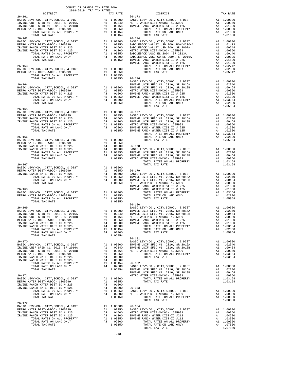| $\begin{minipage}{.03\linewidth} \begin{tabular}{lcccccc} & & & & & & \\ & & & & & & \\ \hline 2018-2019 & TRA TAX RATES \\ \end{tabular} \end{minipage}$ |                |                                                                                                                                                                                                                                                          |          |
|-----------------------------------------------------------------------------------------------------------------------------------------------------------|----------------|----------------------------------------------------------------------------------------------------------------------------------------------------------------------------------------------------------------------------------------------------------|----------|
| $26 - 161$                                                                                                                                                |                | TAX RATE DISTRICT<br>$26 - 173$                                                                                                                                                                                                                          | TAX RATE |
|                                                                                                                                                           |                |                                                                                                                                                                                                                                                          |          |
|                                                                                                                                                           |                |                                                                                                                                                                                                                                                          |          |
|                                                                                                                                                           |                |                                                                                                                                                                                                                                                          |          |
|                                                                                                                                                           |                |                                                                                                                                                                                                                                                          |          |
|                                                                                                                                                           |                |                                                                                                                                                                                                                                                          |          |
|                                                                                                                                                           |                |                                                                                                                                                                                                                                                          |          |
|                                                                                                                                                           |                |                                                                                                                                                                                                                                                          |          |
|                                                                                                                                                           |                |                                                                                                                                                                                                                                                          |          |
|                                                                                                                                                           |                |                                                                                                                                                                                                                                                          |          |
|                                                                                                                                                           |                |                                                                                                                                                                                                                                                          |          |
|                                                                                                                                                           |                |                                                                                                                                                                                                                                                          |          |
|                                                                                                                                                           |                |                                                                                                                                                                                                                                                          |          |
| TOTAL TAX RATE                                                                                                                                            | 1.00350 26-176 |                                                                                                                                                                                                                                                          |          |
|                                                                                                                                                           |                |                                                                                                                                                                                                                                                          |          |
|                                                                                                                                                           |                |                                                                                                                                                                                                                                                          |          |
|                                                                                                                                                           |                |                                                                                                                                                                                                                                                          |          |
|                                                                                                                                                           |                |                                                                                                                                                                                                                                                          |          |
|                                                                                                                                                           |                |                                                                                                                                                                                                                                                          |          |
|                                                                                                                                                           |                |                                                                                                                                                                                                                                                          |          |
| $26 - 165$                                                                                                                                                |                |                                                                                                                                                                                                                                                          |          |
|                                                                                                                                                           |                |                                                                                                                                                                                                                                                          |          |
|                                                                                                                                                           |                |                                                                                                                                                                                                                                                          |          |
|                                                                                                                                                           |                |                                                                                                                                                                                                                                                          |          |
|                                                                                                                                                           |                |                                                                                                                                                                                                                                                          |          |
|                                                                                                                                                           |                |                                                                                                                                                                                                                                                          |          |
|                                                                                                                                                           |                |                                                                                                                                                                                                                                                          |          |
|                                                                                                                                                           |                |                                                                                                                                                                                                                                                          |          |
|                                                                                                                                                           |                |                                                                                                                                                                                                                                                          |          |
|                                                                                                                                                           |                |                                                                                                                                                                                                                                                          |          |
|                                                                                                                                                           |                |                                                                                                                                                                                                                                                          |          |
| $26 - 167$                                                                                                                                                |                | TOTAL TAX RATE                                                                                                                                                                                                                                           | 1.03154  |
|                                                                                                                                                           |                |                                                                                                                                                                                                                                                          |          |
|                                                                                                                                                           |                |                                                                                                                                                                                                                                                          |          |
|                                                                                                                                                           |                |                                                                                                                                                                                                                                                          |          |
|                                                                                                                                                           |                |                                                                                                                                                                                                                                                          |          |
|                                                                                                                                                           |                |                                                                                                                                                                                                                                                          |          |
|                                                                                                                                                           |                |                                                                                                                                                                                                                                                          |          |
|                                                                                                                                                           |                |                                                                                                                                                                                                                                                          |          |
| TOTAL TAX RATE                                                                                                                                            | 1.00350        | $26 - 180$                                                                                                                                                                                                                                               |          |
|                                                                                                                                                           |                |                                                                                                                                                                                                                                                          |          |
|                                                                                                                                                           |                |                                                                                                                                                                                                                                                          |          |
|                                                                                                                                                           |                |                                                                                                                                                                                                                                                          |          |
|                                                                                                                                                           |                |                                                                                                                                                                                                                                                          |          |
|                                                                                                                                                           |                |                                                                                                                                                                                                                                                          |          |
|                                                                                                                                                           |                |                                                                                                                                                                                                                                                          |          |
|                                                                                                                                                           |                | 1.00350 IRVINE RANCH WATER DIST ID # 225<br>IRVINE RANCH WATER DIST ID # 225<br>IRVINE RANCH WATER DIST ID # 225<br>IRVINE RANCH WATER DIST ID # 225<br>IRVINE RANCH WATER DIST ID # 225<br>IRVINE RANCH WATER DIST ID # 225<br>IRVINE RAN<br>$26 - 181$ |          |
|                                                                                                                                                           |                |                                                                                                                                                                                                                                                          |          |
|                                                                                                                                                           |                |                                                                                                                                                                                                                                                          |          |
|                                                                                                                                                           |                |                                                                                                                                                                                                                                                          |          |
|                                                                                                                                                           |                |                                                                                                                                                                                                                                                          |          |
|                                                                                                                                                           |                |                                                                                                                                                                                                                                                          |          |
|                                                                                                                                                           |                |                                                                                                                                                                                                                                                          |          |
|                                                                                                                                                           |                |                                                                                                                                                                                                                                                          |          |
|                                                                                                                                                           |                |                                                                                                                                                                                                                                                          |          |
|                                                                                                                                                           |                |                                                                                                                                                                                                                                                          |          |
|                                                                                                                                                           |                |                                                                                                                                                                                                                                                          |          |
|                                                                                                                                                           |                |                                                                                                                                                                                                                                                          |          |
|                                                                                                                                                           |                |                                                                                                                                                                                                                                                          |          |
|                                                                                                                                                           |                |                                                                                                                                                                                                                                                          | 1.00350  |
|                                                                                                                                                           |                | TOTAL TAX RATE                                                                                                                                                                                                                                           |          |
|                                                                                                                                                           |                |                                                                                                                                                                                                                                                          |          |
|                                                                                                                                                           |                |                                                                                                                                                                                                                                                          |          |
|                                                                                                                                                           |                |                                                                                                                                                                                                                                                          |          |
|                                                                                                                                                           |                |                                                                                                                                                                                                                                                          |          |
|                                                                                                                                                           |                |                                                                                                                                                                                                                                                          |          |
|                                                                                                                                                           |                |                                                                                                                                                                                                                                                          |          |

 $-243-$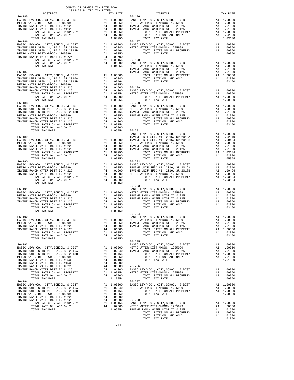|            |                                                                                                                                                                                                                                                                                                                                                                                                                                                                        | COUNTY OF ORANGE TAX RATE BOOK<br>2018-2019 TRA TAX RATES |    |                                       |                       |
|------------|------------------------------------------------------------------------------------------------------------------------------------------------------------------------------------------------------------------------------------------------------------------------------------------------------------------------------------------------------------------------------------------------------------------------------------------------------------------------|-----------------------------------------------------------|----|---------------------------------------|-----------------------|
| $26 - 185$ | DISTRICT                                                                                                                                                                                                                                                                                                                                                                                                                                                               |                                                           |    | TAX RATE                              | $26 - 196$            |
|            | BASIC LEVY-CO., CITY, SCHOOL, & DIST                                                                                                                                                                                                                                                                                                                                                                                                                                   |                                                           |    |                                       |                       |
|            | METRO WATER DIST-MWDOC- 1205999                                                                                                                                                                                                                                                                                                                                                                                                                                        |                                                           |    |                                       |                       |
|            | IRVINE RANCH WATER DIST-ID #212                                                                                                                                                                                                                                                                                                                                                                                                                                        |                                                           |    |                                       |                       |
|            | IRVINE RANCH WATER DIST-ID #112                                                                                                                                                                                                                                                                                                                                                                                                                                        |                                                           |    |                                       |                       |
|            |                                                                                                                                                                                                                                                                                                                                                                                                                                                                        |                                                           |    |                                       |                       |
|            | TOTAL TAX RATE                                                                                                                                                                                                                                                                                                                                                                                                                                                         |                                                           |    | 1.07850                               |                       |
| $26 - 186$ |                                                                                                                                                                                                                                                                                                                                                                                                                                                                        |                                                           |    |                                       | 26-197                |
|            |                                                                                                                                                                                                                                                                                                                                                                                                                                                                        |                                                           |    |                                       |                       |
|            |                                                                                                                                                                                                                                                                                                                                                                                                                                                                        |                                                           |    |                                       |                       |
|            |                                                                                                                                                                                                                                                                                                                                                                                                                                                                        |                                                           |    |                                       |                       |
|            | IRVINE RANCH WATER DIST ID # 225                                                                                                                                                                                                                                                                                                                                                                                                                                       |                                                           |    |                                       |                       |
|            |                                                                                                                                                                                                                                                                                                                                                                                                                                                                        |                                                           |    |                                       |                       |
|            |                                                                                                                                                                                                                                                                                                                                                                                                                                                                        |                                                           |    |                                       |                       |
|            |                                                                                                                                                                                                                                                                                                                                                                                                                                                                        |                                                           |    |                                       |                       |
| $26 - 187$ |                                                                                                                                                                                                                                                                                                                                                                                                                                                                        |                                                           |    |                                       | IRVINE<br>IRVINE      |
|            |                                                                                                                                                                                                                                                                                                                                                                                                                                                                        |                                                           |    |                                       |                       |
|            |                                                                                                                                                                                                                                                                                                                                                                                                                                                                        |                                                           |    |                                       |                       |
|            |                                                                                                                                                                                                                                                                                                                                                                                                                                                                        |                                                           |    |                                       |                       |
|            |                                                                                                                                                                                                                                                                                                                                                                                                                                                                        |                                                           |    |                                       |                       |
|            |                                                                                                                                                                                                                                                                                                                                                                                                                                                                        |                                                           |    |                                       |                       |
|            |                                                                                                                                                                                                                                                                                                                                                                                                                                                                        |                                                           |    |                                       |                       |
|            |                                                                                                                                                                                                                                                                                                                                                                                                                                                                        |                                                           |    |                                       |                       |
|            | TOTAL TAX RATE                                                                                                                                                                                                                                                                                                                                                                                                                                                         |                                                           |    | 1.05954                               |                       |
|            | $\begin{tabular}{l c c c c} \multicolumn{1}{c}{\textbf{RSTC }} \multicolumn{1}{c}{\textbf{BASTC }} \multicolumn{1}{c}{\textbf{BASTC }} \multicolumn{1}{c}{\textbf{BASTC }} \multicolumn{1}{c}{\textbf{BASTC }} \multicolumn{1}{c}{\textbf{DSTC }} \multicolumn{1}{c}{\textbf{DSTC }} \multicolumn{1}{c}{\textbf{DSTC }} \multicolumn{1}{c}{\textbf{BASTC }} \multicolumn{1}{c}{\textbf{DSTC }} \multicolumn{1}{c}{\textbf{DSTC }} \multicolumn{1}{c}{\textbf{BASTC }}$ |                                                           |    |                                       |                       |
|            |                                                                                                                                                                                                                                                                                                                                                                                                                                                                        |                                                           |    |                                       |                       |
|            |                                                                                                                                                                                                                                                                                                                                                                                                                                                                        |                                                           |    |                                       |                       |
|            |                                                                                                                                                                                                                                                                                                                                                                                                                                                                        |                                                           |    |                                       |                       |
|            |                                                                                                                                                                                                                                                                                                                                                                                                                                                                        |                                                           |    |                                       |                       |
|            |                                                                                                                                                                                                                                                                                                                                                                                                                                                                        |                                                           |    |                                       |                       |
|            |                                                                                                                                                                                                                                                                                                                                                                                                                                                                        |                                                           |    |                                       |                       |
|            |                                                                                                                                                                                                                                                                                                                                                                                                                                                                        |                                                           |    |                                       |                       |
|            |                                                                                                                                                                                                                                                                                                                                                                                                                                                                        |                                                           |    |                                       |                       |
|            |                                                                                                                                                                                                                                                                                                                                                                                                                                                                        |                                                           |    |                                       |                       |
|            |                                                                                                                                                                                                                                                                                                                                                                                                                                                                        |                                                           |    |                                       |                       |
|            |                                                                                                                                                                                                                                                                                                                                                                                                                                                                        |                                                           |    |                                       |                       |
|            |                                                                                                                                                                                                                                                                                                                                                                                                                                                                        |                                                           |    |                                       |                       |
|            |                                                                                                                                                                                                                                                                                                                                                                                                                                                                        |                                                           |    |                                       |                       |
|            |                                                                                                                                                                                                                                                                                                                                                                                                                                                                        |                                                           |    |                                       |                       |
|            |                                                                                                                                                                                                                                                                                                                                                                                                                                                                        |                                                           |    |                                       |                       |
| $26 - 190$ |                                                                                                                                                                                                                                                                                                                                                                                                                                                                        |                                                           |    |                                       | $26 - 202$            |
|            |                                                                                                                                                                                                                                                                                                                                                                                                                                                                        |                                                           |    |                                       |                       |
|            |                                                                                                                                                                                                                                                                                                                                                                                                                                                                        |                                                           |    |                                       |                       |
|            |                                                                                                                                                                                                                                                                                                                                                                                                                                                                        |                                                           |    |                                       |                       |
|            |                                                                                                                                                                                                                                                                                                                                                                                                                                                                        |                                                           |    |                                       |                       |
|            |                                                                                                                                                                                                                                                                                                                                                                                                                                                                        |                                                           |    |                                       |                       |
|            | TOTAL TAX RATE                                                                                                                                                                                                                                                                                                                                                                                                                                                         |                                                           |    | 1.03150                               |                       |
|            |                                                                                                                                                                                                                                                                                                                                                                                                                                                                        |                                                           |    |                                       | $26 - 203$            |
| $26 - 191$ |                                                                                                                                                                                                                                                                                                                                                                                                                                                                        |                                                           |    |                                       | BASIC L               |
|            |                                                                                                                                                                                                                                                                                                                                                                                                                                                                        |                                                           |    |                                       |                       |
|            |                                                                                                                                                                                                                                                                                                                                                                                                                                                                        |                                                           |    |                                       |                       |
|            |                                                                                                                                                                                                                                                                                                                                                                                                                                                                        |                                                           |    |                                       |                       |
|            |                                                                                                                                                                                                                                                                                                                                                                                                                                                                        |                                                           |    |                                       |                       |
|            |                                                                                                                                                                                                                                                                                                                                                                                                                                                                        |                                                           |    |                                       |                       |
|            | TOTAL TAX RATE                                                                                                                                                                                                                                                                                                                                                                                                                                                         |                                                           |    | 1.03150                               |                       |
|            |                                                                                                                                                                                                                                                                                                                                                                                                                                                                        |                                                           |    |                                       | $26 - 204$            |
| $26 - 192$ | BASIC LEVY-CO., CITY, SCHOOL, & DIST                                                                                                                                                                                                                                                                                                                                                                                                                                   |                                                           |    | BASIC<br>A1 1.00000 METROW            | BASIC L               |
|            | METRO WATER DIST-MWDOC- 1205999                                                                                                                                                                                                                                                                                                                                                                                                                                        |                                                           | A1 | .00350                                | IRVINE                |
|            | IRVINE RANCH WATER DIST ID # 225                                                                                                                                                                                                                                                                                                                                                                                                                                       |                                                           | A4 | .01500                                | IRVINE                |
|            | IRVINE RANCH WATER DIST ID # 125                                                                                                                                                                                                                                                                                                                                                                                                                                       |                                                           | A4 | .01300                                |                       |
|            | TOTAL RATES ON ALL PROPERTY                                                                                                                                                                                                                                                                                                                                                                                                                                            |                                                           |    | A1 1.00350                            |                       |
|            | TOTAL RATE ON LAND ONLY<br>TOTAL TAX RATE                                                                                                                                                                                                                                                                                                                                                                                                                              |                                                           |    | A4 .02800<br>1.03150                  |                       |
|            |                                                                                                                                                                                                                                                                                                                                                                                                                                                                        |                                                           |    |                                       | $26 - 205$            |
| $26 - 193$ |                                                                                                                                                                                                                                                                                                                                                                                                                                                                        |                                                           |    |                                       | BASIC L               |
|            | BASIC LEVY-CO., CITY, SCHOOL, & DIST                                                                                                                                                                                                                                                                                                                                                                                                                                   |                                                           |    | A1 1.00000 METROW<br>A1 .02340 IRVINE |                       |
|            | IRVINE UNIF SFID #1, 2016, SR 2016A                                                                                                                                                                                                                                                                                                                                                                                                                                    |                                                           |    |                                       |                       |
|            | IRVINE UNIF SFID #1, 2016, SR 2018B                                                                                                                                                                                                                                                                                                                                                                                                                                    |                                                           |    | A1.00464                              |                       |
|            | METRO WATER DIST-MWDOC- 1205999<br>IRVINE RANCH WATER DIST-ID #253                                                                                                                                                                                                                                                                                                                                                                                                     |                                                           |    | A1 .00350<br>A4 .02100                |                       |
|            | IRVINE RANCH WATER DIST-ID #153                                                                                                                                                                                                                                                                                                                                                                                                                                        |                                                           | A4 | .02000                                |                       |
|            | IRVINE RANCH WATER DIST ID # 225                                                                                                                                                                                                                                                                                                                                                                                                                                       |                                                           | A4 | .01500                                | $26 - 206$            |
|            | IRVINE RANCH WATER DIST ID # 125                                                                                                                                                                                                                                                                                                                                                                                                                                       |                                                           | A4 | .01300                                | BASIC L               |
|            | TOTAL RATES ON ALL PROPERTY                                                                                                                                                                                                                                                                                                                                                                                                                                            |                                                           |    | A1 1.03154 METRO W                    |                       |
|            | TOTAL RATE ON LAND ONLY                                                                                                                                                                                                                                                                                                                                                                                                                                                |                                                           |    | A4 .06900                             |                       |
|            | TOTAL TAX RATE                                                                                                                                                                                                                                                                                                                                                                                                                                                         |                                                           |    | 1.10054                               |                       |
| $26 - 194$ | BASIC LEVY-CO., CITY, SCHOOL, & DIST                                                                                                                                                                                                                                                                                                                                                                                                                                   |                                                           |    | A1 1.00000                            | $26 - 207$<br>BASIC L |
|            | IRVINE UNIF SFID #1, 2016, SR 2016A                                                                                                                                                                                                                                                                                                                                                                                                                                    |                                                           |    | A1 .02340                             | METRO W               |
|            | IRVINE UNIF SFID #1, 2016, SR 2018B                                                                                                                                                                                                                                                                                                                                                                                                                                    |                                                           | A1 | .00464                                |                       |
|            | METRO WATER DIST-MWDOC- 1205999                                                                                                                                                                                                                                                                                                                                                                                                                                        |                                                           | A1 | .00350                                |                       |
|            | IRVINE RANCH WATER DIST ID # 225                                                                                                                                                                                                                                                                                                                                                                                                                                       |                                                           |    | A4 .01500                             |                       |
|            | IRVINE RANCH WATER DIST ID # 125                                                                                                                                                                                                                                                                                                                                                                                                                                       |                                                           |    | A4 .01300                             | 26-208<br>BASIC L     |
|            | TOTAL RATES ON ALL PROPERTY<br>TOTAL RATE ON LAND ONLY                                                                                                                                                                                                                                                                                                                                                                                                                 |                                                           |    | A1 1.03154<br>A4 .02800               |                       |
|            | TOTAL TAX RATE                                                                                                                                                                                                                                                                                                                                                                                                                                                         |                                                           |    | 1.05954                               | METRO W<br>IRVINE     |
|            |                                                                                                                                                                                                                                                                                                                                                                                                                                                                        |                                                           |    |                                       |                       |

| DISTRICT   | 2018-2019 TRA TAX RATES<br>TAX RATE | DISTRICT                                                                                                                                                                                                                                                                                                                                                                                                      | TAX RATE |
|------------|-------------------------------------|---------------------------------------------------------------------------------------------------------------------------------------------------------------------------------------------------------------------------------------------------------------------------------------------------------------------------------------------------------------------------------------------------------------|----------|
| $26 - 185$ |                                     | $26 - 196$                                                                                                                                                                                                                                                                                                                                                                                                    |          |
|            |                                     |                                                                                                                                                                                                                                                                                                                                                                                                               |          |
|            |                                     |                                                                                                                                                                                                                                                                                                                                                                                                               |          |
|            |                                     |                                                                                                                                                                                                                                                                                                                                                                                                               |          |
|            |                                     |                                                                                                                                                                                                                                                                                                                                                                                                               |          |
|            |                                     |                                                                                                                                                                                                                                                                                                                                                                                                               |          |
|            |                                     |                                                                                                                                                                                                                                                                                                                                                                                                               |          |
|            |                                     |                                                                                                                                                                                                                                                                                                                                                                                                               |          |
|            |                                     |                                                                                                                                                                                                                                                                                                                                                                                                               |          |
|            |                                     |                                                                                                                                                                                                                                                                                                                                                                                                               |          |
|            |                                     |                                                                                                                                                                                                                                                                                                                                                                                                               |          |
|            |                                     |                                                                                                                                                                                                                                                                                                                                                                                                               |          |
|            |                                     |                                                                                                                                                                                                                                                                                                                                                                                                               |          |
|            |                                     |                                                                                                                                                                                                                                                                                                                                                                                                               |          |
|            |                                     |                                                                                                                                                                                                                                                                                                                                                                                                               |          |
|            |                                     |                                                                                                                                                                                                                                                                                                                                                                                                               |          |
|            |                                     |                                                                                                                                                                                                                                                                                                                                                                                                               |          |
|            |                                     |                                                                                                                                                                                                                                                                                                                                                                                                               |          |
|            |                                     |                                                                                                                                                                                                                                                                                                                                                                                                               |          |
|            |                                     |                                                                                                                                                                                                                                                                                                                                                                                                               |          |
|            |                                     |                                                                                                                                                                                                                                                                                                                                                                                                               |          |
|            |                                     |                                                                                                                                                                                                                                                                                                                                                                                                               |          |
|            |                                     |                                                                                                                                                                                                                                                                                                                                                                                                               |          |
|            |                                     |                                                                                                                                                                                                                                                                                                                                                                                                               |          |
|            |                                     |                                                                                                                                                                                                                                                                                                                                                                                                               |          |
|            |                                     |                                                                                                                                                                                                                                                                                                                                                                                                               |          |
|            |                                     |                                                                                                                                                                                                                                                                                                                                                                                                               |          |
|            |                                     |                                                                                                                                                                                                                                                                                                                                                                                                               |          |
|            |                                     |                                                                                                                                                                                                                                                                                                                                                                                                               |          |
|            |                                     |                                                                                                                                                                                                                                                                                                                                                                                                               |          |
|            |                                     |                                                                                                                                                                                                                                                                                                                                                                                                               |          |
|            |                                     |                                                                                                                                                                                                                                                                                                                                                                                                               |          |
|            |                                     |                                                                                                                                                                                                                                                                                                                                                                                                               |          |
|            |                                     |                                                                                                                                                                                                                                                                                                                                                                                                               |          |
|            |                                     | $\begin{tabular}{@{}c@{}}\textbf{26-199} & \textbf{109954} & \textbf{26-200}, & \textbf{CTTY}, \textbf{SCHOOL}, & \textbf{6} \text{ DIST} & \textbf{A1} & 1.00000\\ \textbf{BASE} & \textbf{BASIC LEVY-CO}, & \textbf{CTTY}, \textbf{SCHOOL}, & \textbf{DIST} & \textbf{A1} & 1.00000\\ \textbf{BASIC LEVY-CO}, & \textbf{CTTY}, \textbf{SCHOOL}, & \textbf{DIST} & \textbf{A1} & 1.00000\\ \textbf{RSTIC LE$ |          |
|            |                                     |                                                                                                                                                                                                                                                                                                                                                                                                               |          |
|            |                                     |                                                                                                                                                                                                                                                                                                                                                                                                               |          |
|            |                                     |                                                                                                                                                                                                                                                                                                                                                                                                               |          |
|            |                                     |                                                                                                                                                                                                                                                                                                                                                                                                               |          |
|            |                                     |                                                                                                                                                                                                                                                                                                                                                                                                               |          |
|            |                                     | $\begin{tabular}{c c c c c} \multicolumn{3}{c c c} \multicolumn{3}{c c c} \multicolumn{3}{c c c} \multicolumn{3}{c c c} \multicolumn{3}{c c c} \multicolumn{3}{c c c} \multicolumn{3}{c c c} \multicolumn{3}{c c c} \multicolumn{3}{c c c} \multicolumn{3}{c c c} \multicolumn{3}{c c c} \multicolumn{3}{c c c} \multicolumn{3}{c c c} \multicolumn{3}{c c c} \multicolumn{3}{c c c} \multicolumn{3}{c $      |          |
|            |                                     |                                                                                                                                                                                                                                                                                                                                                                                                               |          |
|            |                                     |                                                                                                                                                                                                                                                                                                                                                                                                               |          |
|            |                                     |                                                                                                                                                                                                                                                                                                                                                                                                               |          |
|            |                                     |                                                                                                                                                                                                                                                                                                                                                                                                               |          |
|            |                                     |                                                                                                                                                                                                                                                                                                                                                                                                               |          |
|            |                                     |                                                                                                                                                                                                                                                                                                                                                                                                               |          |
|            |                                     | 26-204<br>26-192 METRO MATER DIST (26-192 METRO MATER DIST) ALL 1.00000<br>26-192 METRO MATER DIST (20000 METRO MATER DIST-MWDOC-1205999 A1 1.00000 METRO WATER DIST-MWDOC-1205999 A1 00350<br>250 METRO WATER DIST (20000 METRO MATER                                                                                                                                                                        |          |
|            |                                     |                                                                                                                                                                                                                                                                                                                                                                                                               |          |
|            |                                     |                                                                                                                                                                                                                                                                                                                                                                                                               |          |
|            |                                     |                                                                                                                                                                                                                                                                                                                                                                                                               |          |
|            |                                     |                                                                                                                                                                                                                                                                                                                                                                                                               |          |
|            |                                     |                                                                                                                                                                                                                                                                                                                                                                                                               |          |
|            |                                     |                                                                                                                                                                                                                                                                                                                                                                                                               |          |
|            |                                     |                                                                                                                                                                                                                                                                                                                                                                                                               |          |
|            |                                     |                                                                                                                                                                                                                                                                                                                                                                                                               |          |
|            |                                     |                                                                                                                                                                                                                                                                                                                                                                                                               |          |
|            |                                     |                                                                                                                                                                                                                                                                                                                                                                                                               |          |
|            |                                     |                                                                                                                                                                                                                                                                                                                                                                                                               |          |
|            |                                     |                                                                                                                                                                                                                                                                                                                                                                                                               |          |
|            |                                     |                                                                                                                                                                                                                                                                                                                                                                                                               |          |
|            |                                     |                                                                                                                                                                                                                                                                                                                                                                                                               |          |
|            |                                     |                                                                                                                                                                                                                                                                                                                                                                                                               |          |
|            |                                     |                                                                                                                                                                                                                                                                                                                                                                                                               |          |
|            |                                     |                                                                                                                                                                                                                                                                                                                                                                                                               |          |
|            |                                     |                                                                                                                                                                                                                                                                                                                                                                                                               |          |
|            |                                     |                                                                                                                                                                                                                                                                                                                                                                                                               |          |
|            |                                     |                                                                                                                                                                                                                                                                                                                                                                                                               |          |
|            |                                     |                                                                                                                                                                                                                                                                                                                                                                                                               |          |
|            |                                     |                                                                                                                                                                                                                                                                                                                                                                                                               |          |
|            |                                     |                                                                                                                                                                                                                                                                                                                                                                                                               |          |
|            |                                     |                                                                                                                                                                                                                                                                                                                                                                                                               |          |
|            |                                     |                                                                                                                                                                                                                                                                                                                                                                                                               |          |
|            |                                     |                                                                                                                                                                                                                                                                                                                                                                                                               |          |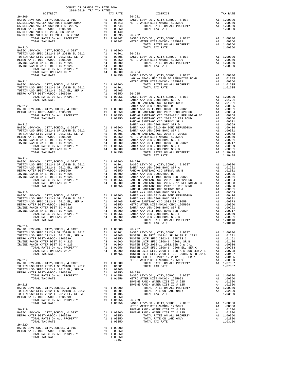| DISTRICT                                                                                                                                                                  | 2018-2019 TRA TAX RATES<br>TAX RATE |         | $\begin{minipage}{0.9\linewidth} \begin{tabular}{cc} \multicolumn{2}{c} \multicolumn{2}{c}{} & \multicolumn{2}{c}{} \\ \multicolumn{2}{c} \multicolumn{2}{c}{} & \multicolumn{2}{c}{} \\ \multicolumn{2}{c} \multicolumn{2}{c}{} & \multicolumn{2}{c}{} \\ \multicolumn{2}{c} \multicolumn{2}{c}{} & \multicolumn{2}{c}{} \\ \multicolumn{2}{c} \multicolumn{2}{c}{} & \multicolumn{2}{c}{} \\ \multicolumn{2}{c} \multicolumn{2}{c}{} & \multicolumn{2}{c}{} \\ \multicolumn{2}{c} \multicolumn$ | TAX RATE |
|---------------------------------------------------------------------------------------------------------------------------------------------------------------------------|-------------------------------------|---------|---------------------------------------------------------------------------------------------------------------------------------------------------------------------------------------------------------------------------------------------------------------------------------------------------------------------------------------------------------------------------------------------------------------------------------------------------------------------------------------------------|----------|
|                                                                                                                                                                           |                                     |         |                                                                                                                                                                                                                                                                                                                                                                                                                                                                                                   |          |
|                                                                                                                                                                           |                                     |         |                                                                                                                                                                                                                                                                                                                                                                                                                                                                                                   |          |
|                                                                                                                                                                           |                                     |         |                                                                                                                                                                                                                                                                                                                                                                                                                                                                                                   |          |
|                                                                                                                                                                           |                                     |         |                                                                                                                                                                                                                                                                                                                                                                                                                                                                                                   |          |
|                                                                                                                                                                           |                                     |         |                                                                                                                                                                                                                                                                                                                                                                                                                                                                                                   |          |
|                                                                                                                                                                           |                                     |         |                                                                                                                                                                                                                                                                                                                                                                                                                                                                                                   |          |
|                                                                                                                                                                           |                                     |         |                                                                                                                                                                                                                                                                                                                                                                                                                                                                                                   |          |
|                                                                                                                                                                           |                                     |         |                                                                                                                                                                                                                                                                                                                                                                                                                                                                                                   |          |
|                                                                                                                                                                           |                                     |         |                                                                                                                                                                                                                                                                                                                                                                                                                                                                                                   |          |
|                                                                                                                                                                           |                                     |         |                                                                                                                                                                                                                                                                                                                                                                                                                                                                                                   |          |
|                                                                                                                                                                           |                                     |         |                                                                                                                                                                                                                                                                                                                                                                                                                                                                                                   |          |
|                                                                                                                                                                           |                                     |         |                                                                                                                                                                                                                                                                                                                                                                                                                                                                                                   |          |
|                                                                                                                                                                           |                                     |         |                                                                                                                                                                                                                                                                                                                                                                                                                                                                                                   |          |
|                                                                                                                                                                           |                                     |         |                                                                                                                                                                                                                                                                                                                                                                                                                                                                                                   |          |
|                                                                                                                                                                           |                                     |         |                                                                                                                                                                                                                                                                                                                                                                                                                                                                                                   |          |
|                                                                                                                                                                           |                                     |         |                                                                                                                                                                                                                                                                                                                                                                                                                                                                                                   |          |
|                                                                                                                                                                           |                                     |         |                                                                                                                                                                                                                                                                                                                                                                                                                                                                                                   |          |
|                                                                                                                                                                           |                                     |         |                                                                                                                                                                                                                                                                                                                                                                                                                                                                                                   |          |
|                                                                                                                                                                           |                                     |         |                                                                                                                                                                                                                                                                                                                                                                                                                                                                                                   |          |
|                                                                                                                                                                           |                                     |         |                                                                                                                                                                                                                                                                                                                                                                                                                                                                                                   |          |
|                                                                                                                                                                           |                                     |         |                                                                                                                                                                                                                                                                                                                                                                                                                                                                                                   |          |
|                                                                                                                                                                           |                                     |         |                                                                                                                                                                                                                                                                                                                                                                                                                                                                                                   |          |
|                                                                                                                                                                           |                                     |         |                                                                                                                                                                                                                                                                                                                                                                                                                                                                                                   |          |
|                                                                                                                                                                           |                                     |         |                                                                                                                                                                                                                                                                                                                                                                                                                                                                                                   |          |
|                                                                                                                                                                           |                                     |         |                                                                                                                                                                                                                                                                                                                                                                                                                                                                                                   |          |
|                                                                                                                                                                           |                                     |         |                                                                                                                                                                                                                                                                                                                                                                                                                                                                                                   |          |
|                                                                                                                                                                           |                                     |         |                                                                                                                                                                                                                                                                                                                                                                                                                                                                                                   |          |
|                                                                                                                                                                           |                                     |         |                                                                                                                                                                                                                                                                                                                                                                                                                                                                                                   |          |
|                                                                                                                                                                           |                                     |         |                                                                                                                                                                                                                                                                                                                                                                                                                                                                                                   |          |
|                                                                                                                                                                           |                                     |         |                                                                                                                                                                                                                                                                                                                                                                                                                                                                                                   |          |
|                                                                                                                                                                           |                                     |         |                                                                                                                                                                                                                                                                                                                                                                                                                                                                                                   |          |
|                                                                                                                                                                           |                                     |         |                                                                                                                                                                                                                                                                                                                                                                                                                                                                                                   |          |
|                                                                                                                                                                           |                                     |         |                                                                                                                                                                                                                                                                                                                                                                                                                                                                                                   |          |
| $26 - 214$                                                                                                                                                                |                                     |         |                                                                                                                                                                                                                                                                                                                                                                                                                                                                                                   |          |
|                                                                                                                                                                           |                                     |         |                                                                                                                                                                                                                                                                                                                                                                                                                                                                                                   |          |
|                                                                                                                                                                           |                                     |         |                                                                                                                                                                                                                                                                                                                                                                                                                                                                                                   |          |
|                                                                                                                                                                           |                                     |         |                                                                                                                                                                                                                                                                                                                                                                                                                                                                                                   |          |
|                                                                                                                                                                           |                                     |         |                                                                                                                                                                                                                                                                                                                                                                                                                                                                                                   |          |
|                                                                                                                                                                           |                                     |         |                                                                                                                                                                                                                                                                                                                                                                                                                                                                                                   |          |
|                                                                                                                                                                           |                                     |         |                                                                                                                                                                                                                                                                                                                                                                                                                                                                                                   |          |
|                                                                                                                                                                           |                                     |         |                                                                                                                                                                                                                                                                                                                                                                                                                                                                                                   |          |
|                                                                                                                                                                           |                                     |         |                                                                                                                                                                                                                                                                                                                                                                                                                                                                                                   |          |
|                                                                                                                                                                           |                                     |         |                                                                                                                                                                                                                                                                                                                                                                                                                                                                                                   |          |
|                                                                                                                                                                           |                                     |         |                                                                                                                                                                                                                                                                                                                                                                                                                                                                                                   |          |
|                                                                                                                                                                           |                                     |         |                                                                                                                                                                                                                                                                                                                                                                                                                                                                                                   |          |
|                                                                                                                                                                           |                                     |         |                                                                                                                                                                                                                                                                                                                                                                                                                                                                                                   |          |
|                                                                                                                                                                           |                                     |         |                                                                                                                                                                                                                                                                                                                                                                                                                                                                                                   |          |
|                                                                                                                                                                           |                                     |         |                                                                                                                                                                                                                                                                                                                                                                                                                                                                                                   |          |
|                                                                                                                                                                           |                                     |         |                                                                                                                                                                                                                                                                                                                                                                                                                                                                                                   |          |
| $26 - 216$                                                                                                                                                                |                                     |         |                                                                                                                                                                                                                                                                                                                                                                                                                                                                                                   |          |
|                                                                                                                                                                           |                                     |         |                                                                                                                                                                                                                                                                                                                                                                                                                                                                                                   |          |
|                                                                                                                                                                           |                                     |         |                                                                                                                                                                                                                                                                                                                                                                                                                                                                                                   |          |
|                                                                                                                                                                           |                                     |         |                                                                                                                                                                                                                                                                                                                                                                                                                                                                                                   |          |
|                                                                                                                                                                           |                                     |         |                                                                                                                                                                                                                                                                                                                                                                                                                                                                                                   |          |
|                                                                                                                                                                           |                                     |         |                                                                                                                                                                                                                                                                                                                                                                                                                                                                                                   |          |
|                                                                                                                                                                           |                                     |         |                                                                                                                                                                                                                                                                                                                                                                                                                                                                                                   |          |
|                                                                                                                                                                           |                                     |         |                                                                                                                                                                                                                                                                                                                                                                                                                                                                                                   |          |
|                                                                                                                                                                           |                                     |         |                                                                                                                                                                                                                                                                                                                                                                                                                                                                                                   |          |
|                                                                                                                                                                           |                                     |         |                                                                                                                                                                                                                                                                                                                                                                                                                                                                                                   |          |
|                                                                                                                                                                           |                                     |         |                                                                                                                                                                                                                                                                                                                                                                                                                                                                                                   |          |
|                                                                                                                                                                           |                                     |         |                                                                                                                                                                                                                                                                                                                                                                                                                                                                                                   |          |
|                                                                                                                                                                           |                                     |         |                                                                                                                                                                                                                                                                                                                                                                                                                                                                                                   |          |
|                                                                                                                                                                           |                                     |         |                                                                                                                                                                                                                                                                                                                                                                                                                                                                                                   |          |
|                                                                                                                                                                           |                                     |         |                                                                                                                                                                                                                                                                                                                                                                                                                                                                                                   |          |
|                                                                                                                                                                           |                                     |         |                                                                                                                                                                                                                                                                                                                                                                                                                                                                                                   |          |
|                                                                                                                                                                           |                                     |         |                                                                                                                                                                                                                                                                                                                                                                                                                                                                                                   |          |
|                                                                                                                                                                           |                                     |         |                                                                                                                                                                                                                                                                                                                                                                                                                                                                                                   |          |
|                                                                                                                                                                           |                                     |         |                                                                                                                                                                                                                                                                                                                                                                                                                                                                                                   |          |
|                                                                                                                                                                           |                                     |         |                                                                                                                                                                                                                                                                                                                                                                                                                                                                                                   |          |
|                                                                                                                                                                           |                                     |         |                                                                                                                                                                                                                                                                                                                                                                                                                                                                                                   |          |
|                                                                                                                                                                           |                                     |         |                                                                                                                                                                                                                                                                                                                                                                                                                                                                                                   |          |
|                                                                                                                                                                           |                                     |         |                                                                                                                                                                                                                                                                                                                                                                                                                                                                                                   |          |
| $26 - 220$                                                                                                                                                                |                                     |         | $\begin{array}{cccccccc} 26-216 & 270 & 7075.778 & 7075.778 & 11.10448 & 1.104000 & 26-227 & 11.10448 & 11.10448 & 11.104000 & 26-227 & 11.10448 & 11.104000 & 26-227 & 11.10448 & 11.104000 & 26-227 & 11.10448 & 11.104000 & 26-227 & 11.10448 & 11.104000 & 26-$                                                                                                                                                                                                                               |          |
| 20–220<br>BASIC LEVY-CO., CITY, SCHOOL, & DIST A1 1.00000<br>METRO WATER DIST-MWDOC- 1205999 A1 .00350<br>TOTAL RATES ON ALL PROPERTY A1 1.00350<br>TOTAL TAX RATE 100350 |                                     |         |                                                                                                                                                                                                                                                                                                                                                                                                                                                                                                   |          |
|                                                                                                                                                                           |                                     |         |                                                                                                                                                                                                                                                                                                                                                                                                                                                                                                   |          |
|                                                                                                                                                                           |                                     | $-245-$ |                                                                                                                                                                                                                                                                                                                                                                                                                                                                                                   |          |
|                                                                                                                                                                           |                                     |         |                                                                                                                                                                                                                                                                                                                                                                                                                                                                                                   |          |

COUNTY OF ORANGE TAX RATE BOOK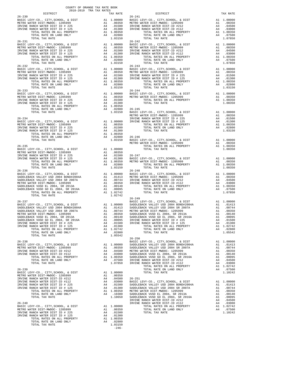| COUNTY OF ORANGE TAX RATE BOOK                                                       |          |                                                                                                                                                                                                                                                                                                                                                                                                                                   |          |
|--------------------------------------------------------------------------------------|----------|-----------------------------------------------------------------------------------------------------------------------------------------------------------------------------------------------------------------------------------------------------------------------------------------------------------------------------------------------------------------------------------------------------------------------------------|----------|
| $2018-2019 \quad \text{TRA} \quad \text{TAX RATES}$ DISTRICT 2018–2019 TRA TAX RATES | TAX RATE | DISTRICT                                                                                                                                                                                                                                                                                                                                                                                                                          | TAX RATE |
| $26 - 230$                                                                           |          | $26 - 241$<br>$\begin{tabular}{l c c c c c} \multicolumn{1}{c}{\textbf{BASTC LEVY-CO., CITY, SCHOOL, & DIST} & \multicolumn{1}{c}{\textbf{A1}} & 1.00000 & \multicolumn{1}{c}{\textbf{BASTC LEVY-CO., CITY, SCHOOL, & DIST} & \multicolumn{1}{c}{\textbf{A1}} & 1.00000 \\ \multicolumn{1}{c}{\textbf{BASTC LEVY-CO., CITY, SCHOOL, & D10030} & \multicolumn{1}{c}{\textbf{AA1}} & 1.00000 & \multicolumn{1}{c}{\textbf{AA2}} & $ |          |
| $26 - 231$                                                                           |          | $26 - 242$                                                                                                                                                                                                                                                                                                                                                                                                                        |          |
|                                                                                      |          |                                                                                                                                                                                                                                                                                                                                                                                                                                   |          |
|                                                                                      |          |                                                                                                                                                                                                                                                                                                                                                                                                                                   |          |
|                                                                                      |          |                                                                                                                                                                                                                                                                                                                                                                                                                                   |          |
|                                                                                      |          |                                                                                                                                                                                                                                                                                                                                                                                                                                   |          |
|                                                                                      |          |                                                                                                                                                                                                                                                                                                                                                                                                                                   |          |
|                                                                                      |          |                                                                                                                                                                                                                                                                                                                                                                                                                                   |          |
|                                                                                      |          |                                                                                                                                                                                                                                                                                                                                                                                                                                   |          |
|                                                                                      |          |                                                                                                                                                                                                                                                                                                                                                                                                                                   |          |
|                                                                                      |          |                                                                                                                                                                                                                                                                                                                                                                                                                                   |          |
|                                                                                      |          |                                                                                                                                                                                                                                                                                                                                                                                                                                   |          |
|                                                                                      |          |                                                                                                                                                                                                                                                                                                                                                                                                                                   |          |
|                                                                                      |          |                                                                                                                                                                                                                                                                                                                                                                                                                                   |          |
|                                                                                      |          |                                                                                                                                                                                                                                                                                                                                                                                                                                   |          |
|                                                                                      |          |                                                                                                                                                                                                                                                                                                                                                                                                                                   |          |
|                                                                                      |          |                                                                                                                                                                                                                                                                                                                                                                                                                                   |          |
|                                                                                      |          |                                                                                                                                                                                                                                                                                                                                                                                                                                   |          |
|                                                                                      |          |                                                                                                                                                                                                                                                                                                                                                                                                                                   |          |
|                                                                                      |          |                                                                                                                                                                                                                                                                                                                                                                                                                                   |          |
|                                                                                      |          |                                                                                                                                                                                                                                                                                                                                                                                                                                   |          |
| $26 - 236$                                                                           |          | $26 - 248$                                                                                                                                                                                                                                                                                                                                                                                                                        |          |
|                                                                                      |          |                                                                                                                                                                                                                                                                                                                                                                                                                                   |          |
|                                                                                      |          |                                                                                                                                                                                                                                                                                                                                                                                                                                   |          |
|                                                                                      |          |                                                                                                                                                                                                                                                                                                                                                                                                                                   |          |
| TOTAL TAX RATE                                                                       | 1.02742  |                                                                                                                                                                                                                                                                                                                                                                                                                                   |          |
|                                                                                      |          |                                                                                                                                                                                                                                                                                                                                                                                                                                   |          |
|                                                                                      |          |                                                                                                                                                                                                                                                                                                                                                                                                                                   |          |
|                                                                                      |          |                                                                                                                                                                                                                                                                                                                                                                                                                                   |          |
|                                                                                      |          |                                                                                                                                                                                                                                                                                                                                                                                                                                   |          |
|                                                                                      |          |                                                                                                                                                                                                                                                                                                                                                                                                                                   |          |
|                                                                                      |          |                                                                                                                                                                                                                                                                                                                                                                                                                                   |          |
|                                                                                      |          | $\begin{tabular}{l c c c c c c} \texttt{SADDEBACK VUSD GOL E12.004, SE 2015A} & \texttt{A1} & .00095 & IRVINE RANGE DIST ID & \texttt{2004, SE 2016A} & \texttt{A1} & .00095 & IRVINE RANCE WATER DIST ID & \texttt{A25} & \texttt{A4} & .01500 \\ \texttt{IRVINE RANCE WATER DIST ID & \texttt{125} & \texttt{A4} & .01500 & IRVINE RANCE WATER DIST ID & \texttt{125} & \texttt{A4} & .01500 \\ \texttt{$                       |          |
|                                                                                      |          | $26 - 250$                                                                                                                                                                                                                                                                                                                                                                                                                        |          |
|                                                                                      |          |                                                                                                                                                                                                                                                                                                                                                                                                                                   |          |
|                                                                                      |          |                                                                                                                                                                                                                                                                                                                                                                                                                                   |          |
|                                                                                      |          |                                                                                                                                                                                                                                                                                                                                                                                                                                   |          |
|                                                                                      |          |                                                                                                                                                                                                                                                                                                                                                                                                                                   |          |
|                                                                                      |          |                                                                                                                                                                                                                                                                                                                                                                                                                                   |          |
|                                                                                      |          |                                                                                                                                                                                                                                                                                                                                                                                                                                   |          |
|                                                                                      |          |                                                                                                                                                                                                                                                                                                                                                                                                                                   |          |
|                                                                                      |          |                                                                                                                                                                                                                                                                                                                                                                                                                                   |          |
|                                                                                      |          |                                                                                                                                                                                                                                                                                                                                                                                                                                   |          |
|                                                                                      |          |                                                                                                                                                                                                                                                                                                                                                                                                                                   |          |
|                                                                                      |          |                                                                                                                                                                                                                                                                                                                                                                                                                                   |          |
|                                                                                      |          |                                                                                                                                                                                                                                                                                                                                                                                                                                   |          |
|                                                                                      |          |                                                                                                                                                                                                                                                                                                                                                                                                                                   |          |
|                                                                                      |          |                                                                                                                                                                                                                                                                                                                                                                                                                                   |          |
|                                                                                      |          |                                                                                                                                                                                                                                                                                                                                                                                                                                   |          |
|                                                                                      |          |                                                                                                                                                                                                                                                                                                                                                                                                                                   |          |
|                                                                                      |          |                                                                                                                                                                                                                                                                                                                                                                                                                                   |          |
|                                                                                      |          |                                                                                                                                                                                                                                                                                                                                                                                                                                   |          |

| TRICT                                                                                                                                                                                                 |                                                          | TAX RA                                                                                                                         |
|-------------------------------------------------------------------------------------------------------------------------------------------------------------------------------------------------------|----------------------------------------------------------|--------------------------------------------------------------------------------------------------------------------------------|
| TY, SCHOOL, & DIST<br>WDOC- 1205999<br>DIST-ID #212<br>DIST-ID #112<br>S ON ALL PROPERTY<br>ON LAND ONLY<br>RATE                                                                                      |                                                          | Al<br>Al<br>A4 .04<br>A4 .030<br>A1 1.003<br>A4 .075<br>1.078<br>0                                                             |
| TY, SCHOOL, & DIST<br>WDOC- 1205999<br>DIST-ID #212<br>DIST-ID #112<br>S ON ALL PROPERTY<br>ON LAND ONLY<br>RATE                                                                                      |                                                          | A1 1.000<br>A1 .003<br>A4 .045<br>A4 .030<br>A1 1.003!<br>A4 .075!<br>1.078!<br>1.078                                          |
| TY, SCHOOL, & DIST<br>WDOC- 1205999<br>DIST ID # 225<br>DIST ID # 125<br>S ON ALL PROPERTY<br>ON LAND ONLY<br>RATE                                                                                    |                                                          | A1 1.000<br>A1 .003<br>A4 .015<br>A4 .013<br>A1 1.003<br>A4 .028<br>1.031                                                      |
| TY, SCHOOL, & DIST<br>WDOC- 1205999<br>S ON ALL PROPERTY<br>RATE                                                                                                                                      | A1<br>A1                                                 | A1 1.000<br>.003<br>1.003<br>1.003                                                                                             |
| TY, SCHOOL, & DIST<br>WDOC- 1205999<br>DIST ID # 225<br>DIST ID # 125<br>S ON ALL PROPERTY<br>ON LAND ONLY<br>RATE                                                                                    |                                                          | A1 1.000<br>A1 .003<br>A4 .015<br>A4 .013<br>A1 1.003<br>A4 .028<br>1.031                                                      |
| TY, SCHOOL, & DIST<br>WDOC- 1205999<br>S ON ALL PROPERTY<br>RATE                                                                                                                                      | A1<br>A1                                                 | A1 1.000<br>.003<br>1.003<br>1.003                                                                                             |
| TY, SCHOOL, & DIST<br>WDOC- 1205999<br>S ON ALL PROPERTY<br>RATE                                                                                                                                      | A1                                                       | A1 1.000<br>A1 .003<br>1.003<br>1.003                                                                                          |
| TY, SCHOOL, & DIST<br>WDOC- 1205999<br>DIST-ID #212<br>DIST-ID #112<br>S ON ALL PROPERTY<br>ON LAND ONLY<br>RATE                                                                                      | A4                                                       | A1 1.000<br>A1 .003<br>A4 .045<br>A4 .030<br>A1 1.003<br>.075<br>1.078                                                         |
| TY, SCHOOL, & DIST<br>USD 2004 BOND#2004A<br>USD 2004 SR 2007A<br>WDOC- 1205999<br>2004, SR 2013A<br>EL 2004, SR 2016A<br>DIST ID # 225<br>DIST ID # 125<br>S ON ALL PROPERTY<br>ON LAND ONLY<br>RATE | A4                                                       | Al 1.000<br>Al .014<br>Al .007<br>Al .003<br>Al .001<br>Al .000<br>A4 .013<br>Al .013<br>Al 1.027<br>A1 1.027<br>.028<br>1.055 |
| TY, SCHOOL, & DIST<br>USD 2004 BOND#2004A<br>USD 2004 SR 2007A<br>WDOC- 1205999<br>2004, SR 2013A<br>EL 2004, SR 2016A<br>DIST-ID #212<br>DIST-ID #112<br>S ON ALL PROPERTY<br>ON LAND ONLY<br>RATE   | A1<br>A1<br>A1<br>A1<br>A1<br>A1<br>A4<br>A4<br>A1<br>A4 | 1.000<br>.014<br>.007<br>.003<br>.001<br>.000<br>.045<br>$.030$<br>1.027<br>.075<br>1.102                                      |
| TY, SCHOOL, & DIST<br>USD 2004 BOND#2004A<br>USD 2004 SR 2007A<br>WDOC- 1205999<br>2004, SR 2013A<br>EL 2004, SR 2016A<br>DIST-ID #212<br>DIST-ID #112<br>S ON ALL PROPERTY<br>ON LAND ONLY<br>RATE   | A1<br>Α1<br>A1<br>A1<br>A1<br>A1<br>A4<br>A4<br>A1<br>A4 | 1.000<br>.014<br>.007<br>.003<br>.001<br>.000<br>.045<br>.030<br>1.027<br>.075<br>1.102                                        |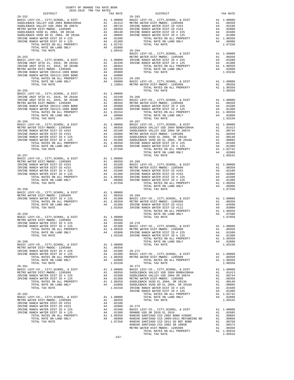| COUNTY OF ORANGE TAX RATE BOOK<br>2018-2019 TRA TAX RATES<br>DISTRICT TAX R. |  |                                                                                                                                                                                                                               |  |
|------------------------------------------------------------------------------|--|-------------------------------------------------------------------------------------------------------------------------------------------------------------------------------------------------------------------------------|--|
|                                                                              |  |                                                                                                                                                                                                                               |  |
|                                                                              |  |                                                                                                                                                                                                                               |  |
|                                                                              |  |                                                                                                                                                                                                                               |  |
|                                                                              |  |                                                                                                                                                                                                                               |  |
|                                                                              |  |                                                                                                                                                                                                                               |  |
|                                                                              |  |                                                                                                                                                                                                                               |  |
|                                                                              |  |                                                                                                                                                                                                                               |  |
|                                                                              |  |                                                                                                                                                                                                                               |  |
|                                                                              |  |                                                                                                                                                                                                                               |  |
|                                                                              |  |                                                                                                                                                                                                                               |  |
|                                                                              |  |                                                                                                                                                                                                                               |  |
|                                                                              |  |                                                                                                                                                                                                                               |  |
|                                                                              |  |                                                                                                                                                                                                                               |  |
|                                                                              |  |                                                                                                                                                                                                                               |  |
|                                                                              |  |                                                                                                                                                                                                                               |  |
|                                                                              |  |                                                                                                                                                                                                                               |  |
|                                                                              |  |                                                                                                                                                                                                                               |  |
|                                                                              |  |                                                                                                                                                                                                                               |  |
|                                                                              |  |                                                                                                                                                                                                                               |  |
|                                                                              |  |                                                                                                                                                                                                                               |  |
|                                                                              |  |                                                                                                                                                                                                                               |  |
|                                                                              |  |                                                                                                                                                                                                                               |  |
|                                                                              |  |                                                                                                                                                                                                                               |  |
|                                                                              |  |                                                                                                                                                                                                                               |  |
|                                                                              |  |                                                                                                                                                                                                                               |  |
|                                                                              |  |                                                                                                                                                                                                                               |  |
|                                                                              |  |                                                                                                                                                                                                                               |  |
|                                                                              |  |                                                                                                                                                                                                                               |  |
|                                                                              |  |                                                                                                                                                                                                                               |  |
|                                                                              |  |                                                                                                                                                                                                                               |  |
|                                                                              |  |                                                                                                                                                                                                                               |  |
|                                                                              |  |                                                                                                                                                                                                                               |  |
|                                                                              |  |                                                                                                                                                                                                                               |  |
|                                                                              |  |                                                                                                                                                                                                                               |  |
|                                                                              |  |                                                                                                                                                                                                                               |  |
|                                                                              |  |                                                                                                                                                                                                                               |  |
|                                                                              |  |                                                                                                                                                                                                                               |  |
|                                                                              |  |                                                                                                                                                                                                                               |  |
|                                                                              |  |                                                                                                                                                                                                                               |  |
|                                                                              |  |                                                                                                                                                                                                                               |  |
|                                                                              |  |                                                                                                                                                                                                                               |  |
|                                                                              |  |                                                                                                                                                                                                                               |  |
|                                                                              |  |                                                                                                                                                                                                                               |  |
|                                                                              |  |                                                                                                                                                                                                                               |  |
|                                                                              |  |                                                                                                                                                                                                                               |  |
|                                                                              |  |                                                                                                                                                                                                                               |  |
|                                                                              |  |                                                                                                                                                                                                                               |  |
|                                                                              |  |                                                                                                                                                                                                                               |  |
|                                                                              |  |                                                                                                                                                                                                                               |  |
|                                                                              |  |                                                                                                                                                                                                                               |  |
|                                                                              |  |                                                                                                                                                                                                                               |  |
|                                                                              |  |                                                                                                                                                                                                                               |  |
|                                                                              |  |                                                                                                                                                                                                                               |  |
|                                                                              |  |                                                                                                                                                                                                                               |  |
|                                                                              |  |                                                                                                                                                                                                                               |  |
|                                                                              |  |                                                                                                                                                                                                                               |  |
|                                                                              |  |                                                                                                                                                                                                                               |  |
|                                                                              |  |                                                                                                                                                                                                                               |  |
|                                                                              |  | The state of the first state of the state of the state of the state of the state of the state of the state of the state of the state of the state of the state of the state of the state of the state of the state of the sta |  |
|                                                                              |  |                                                                                                                                                                                                                               |  |
|                                                                              |  |                                                                                                                                                                                                                               |  |
|                                                                              |  |                                                                                                                                                                                                                               |  |
|                                                                              |  |                                                                                                                                                                                                                               |  |
|                                                                              |  |                                                                                                                                                                                                                               |  |
|                                                                              |  |                                                                                                                                                                                                                               |  |
|                                                                              |  |                                                                                                                                                                                                                               |  |
|                                                                              |  |                                                                                                                                                                                                                               |  |
|                                                                              |  |                                                                                                                                                                                                                               |  |
|                                                                              |  |                                                                                                                                                                                                                               |  |
|                                                                              |  |                                                                                                                                                                                                                               |  |
|                                                                              |  |                                                                                                                                                                                                                               |  |
|                                                                              |  |                                                                                                                                                                                                                               |  |
|                                                                              |  |                                                                                                                                                                                                                               |  |
|                                                                              |  |                                                                                                                                                                                                                               |  |
|                                                                              |  |                                                                                                                                                                                                                               |  |
|                                                                              |  |                                                                                                                                                                                                                               |  |
|                                                                              |  |                                                                                                                                                                                                                               |  |
|                                                                              |  |                                                                                                                                                                                                                               |  |
|                                                                              |  |                                                                                                                                                                                                                               |  |
|                                                                              |  |                                                                                                                                                                                                                               |  |
|                                                                              |  |                                                                                                                                                                                                                               |  |
|                                                                              |  |                                                                                                                                                                                                                               |  |
|                                                                              |  |                                                                                                                                                                                                                               |  |
|                                                                              |  |                                                                                                                                                                                                                               |  |

 $-247-$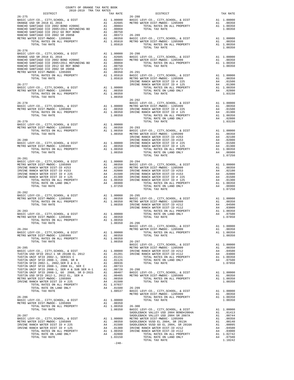| COUNTY OF ORANGE TAX RATE BOOK<br>2018–2019 TRA TAX RATES<br>DISTRICT TAX RA<br>$\begin{tabular}{l c c c c c} & \multicolumn{1}{c }{DISTRICT} & \multicolumn{1}{c }{DISTRICT} & \multicolumn{1}{c }{\begin{tabular}{l c c c} \multicolumn{1}{c }{\multicolumn{1}{c }{\multicolumn{1}{c }{\multicolumn{1}{c }{\multicolumn{1}{c }{\multicolumn{1}{c }{\multicolumn{1}{c }{\multicolumn{1}{c }{\multicolumn{1}{c }{\multicolumn{1}{c }{\multicolumn{1}{c }{\multicolumn{1}{c }{\multicolumn{1}{c }{\multicolumn{1}{c }{\multicolumn{$ |  |  |
|-------------------------------------------------------------------------------------------------------------------------------------------------------------------------------------------------------------------------------------------------------------------------------------------------------------------------------------------------------------------------------------------------------------------------------------------------------------------------------------------------------------------------------------|--|--|
|                                                                                                                                                                                                                                                                                                                                                                                                                                                                                                                                     |  |  |
|                                                                                                                                                                                                                                                                                                                                                                                                                                                                                                                                     |  |  |
|                                                                                                                                                                                                                                                                                                                                                                                                                                                                                                                                     |  |  |
|                                                                                                                                                                                                                                                                                                                                                                                                                                                                                                                                     |  |  |
|                                                                                                                                                                                                                                                                                                                                                                                                                                                                                                                                     |  |  |
|                                                                                                                                                                                                                                                                                                                                                                                                                                                                                                                                     |  |  |
|                                                                                                                                                                                                                                                                                                                                                                                                                                                                                                                                     |  |  |
|                                                                                                                                                                                                                                                                                                                                                                                                                                                                                                                                     |  |  |
|                                                                                                                                                                                                                                                                                                                                                                                                                                                                                                                                     |  |  |
|                                                                                                                                                                                                                                                                                                                                                                                                                                                                                                                                     |  |  |
|                                                                                                                                                                                                                                                                                                                                                                                                                                                                                                                                     |  |  |
|                                                                                                                                                                                                                                                                                                                                                                                                                                                                                                                                     |  |  |
|                                                                                                                                                                                                                                                                                                                                                                                                                                                                                                                                     |  |  |
|                                                                                                                                                                                                                                                                                                                                                                                                                                                                                                                                     |  |  |
|                                                                                                                                                                                                                                                                                                                                                                                                                                                                                                                                     |  |  |
|                                                                                                                                                                                                                                                                                                                                                                                                                                                                                                                                     |  |  |
|                                                                                                                                                                                                                                                                                                                                                                                                                                                                                                                                     |  |  |
|                                                                                                                                                                                                                                                                                                                                                                                                                                                                                                                                     |  |  |
| $\begin{tabular}{l cccc} TOTAL RATES ON ALL PROPERTIES26-278RSET LEVY-CO, CITY, SCHOOL, & DISTRSET CO. LUTY, SCHOOL, & DISTRIST-MWDOC-1205999METRO WATES ONIT-MWDOC-120599926-27926-27026-27026-27026-271270TA, RATES ON ALL PROPERTY271A, TAX RATE26-27126-27226-27326-274271A, TAX RATE26-$                                                                                                                                                                                                                                       |  |  |
|                                                                                                                                                                                                                                                                                                                                                                                                                                                                                                                                     |  |  |
|                                                                                                                                                                                                                                                                                                                                                                                                                                                                                                                                     |  |  |
|                                                                                                                                                                                                                                                                                                                                                                                                                                                                                                                                     |  |  |
|                                                                                                                                                                                                                                                                                                                                                                                                                                                                                                                                     |  |  |
|                                                                                                                                                                                                                                                                                                                                                                                                                                                                                                                                     |  |  |
|                                                                                                                                                                                                                                                                                                                                                                                                                                                                                                                                     |  |  |
|                                                                                                                                                                                                                                                                                                                                                                                                                                                                                                                                     |  |  |
|                                                                                                                                                                                                                                                                                                                                                                                                                                                                                                                                     |  |  |
|                                                                                                                                                                                                                                                                                                                                                                                                                                                                                                                                     |  |  |
|                                                                                                                                                                                                                                                                                                                                                                                                                                                                                                                                     |  |  |
|                                                                                                                                                                                                                                                                                                                                                                                                                                                                                                                                     |  |  |
|                                                                                                                                                                                                                                                                                                                                                                                                                                                                                                                                     |  |  |
|                                                                                                                                                                                                                                                                                                                                                                                                                                                                                                                                     |  |  |
|                                                                                                                                                                                                                                                                                                                                                                                                                                                                                                                                     |  |  |
|                                                                                                                                                                                                                                                                                                                                                                                                                                                                                                                                     |  |  |
|                                                                                                                                                                                                                                                                                                                                                                                                                                                                                                                                     |  |  |
|                                                                                                                                                                                                                                                                                                                                                                                                                                                                                                                                     |  |  |
|                                                                                                                                                                                                                                                                                                                                                                                                                                                                                                                                     |  |  |
|                                                                                                                                                                                                                                                                                                                                                                                                                                                                                                                                     |  |  |
|                                                                                                                                                                                                                                                                                                                                                                                                                                                                                                                                     |  |  |
| $\begin{tabular}{l c c c c c} \multicolumn{4}{c}{\textbf{26--281}} & \multicolumn{4}{c}{\textbf{26--281}} & \multicolumn{4}{c}{\textbf{26--281}} & \multicolumn{4}{c}{\textbf{26--281}} & \multicolumn{4}{c}{\textbf{26--281}} & \multicolumn{4}{c}{\textbf{26--281}} & \multicolumn{4}{c}{\textbf{26--281}} & \multicolumn{4}{c}{\textbf{26--281}} & \multicolumn{4}{c}{\textbf{26--281}} & \multicolumn{4}{c}{\textbf{$                                                                                                           |  |  |
|                                                                                                                                                                                                                                                                                                                                                                                                                                                                                                                                     |  |  |
|                                                                                                                                                                                                                                                                                                                                                                                                                                                                                                                                     |  |  |
|                                                                                                                                                                                                                                                                                                                                                                                                                                                                                                                                     |  |  |
|                                                                                                                                                                                                                                                                                                                                                                                                                                                                                                                                     |  |  |
|                                                                                                                                                                                                                                                                                                                                                                                                                                                                                                                                     |  |  |
|                                                                                                                                                                                                                                                                                                                                                                                                                                                                                                                                     |  |  |
|                                                                                                                                                                                                                                                                                                                                                                                                                                                                                                                                     |  |  |
|                                                                                                                                                                                                                                                                                                                                                                                                                                                                                                                                     |  |  |
|                                                                                                                                                                                                                                                                                                                                                                                                                                                                                                                                     |  |  |
|                                                                                                                                                                                                                                                                                                                                                                                                                                                                                                                                     |  |  |
| $\begin{tabular}{cccccccc} 26-285 & 1.00350 & 26-297 & 1.00350 & 26-297 & 1.00350 & 26-297 & 1.00350 & 26-297 & 1.00000 & 1.00000 & 1.00000 & 1.00000 & 1.00000 & 1.00000 & 1.00000 & 1.00000 & 1.00000 & 1.00000 & 1.00000 & 1.00000 & 1.00000 & 1.00000 & 1.00000 &$                                                                                                                                                                                                                                                              |  |  |
|                                                                                                                                                                                                                                                                                                                                                                                                                                                                                                                                     |  |  |
|                                                                                                                                                                                                                                                                                                                                                                                                                                                                                                                                     |  |  |
|                                                                                                                                                                                                                                                                                                                                                                                                                                                                                                                                     |  |  |
|                                                                                                                                                                                                                                                                                                                                                                                                                                                                                                                                     |  |  |
|                                                                                                                                                                                                                                                                                                                                                                                                                                                                                                                                     |  |  |
|                                                                                                                                                                                                                                                                                                                                                                                                                                                                                                                                     |  |  |
|                                                                                                                                                                                                                                                                                                                                                                                                                                                                                                                                     |  |  |
|                                                                                                                                                                                                                                                                                                                                                                                                                                                                                                                                     |  |  |
|                                                                                                                                                                                                                                                                                                                                                                                                                                                                                                                                     |  |  |
|                                                                                                                                                                                                                                                                                                                                                                                                                                                                                                                                     |  |  |
|                                                                                                                                                                                                                                                                                                                                                                                                                                                                                                                                     |  |  |
|                                                                                                                                                                                                                                                                                                                                                                                                                                                                                                                                     |  |  |
|                                                                                                                                                                                                                                                                                                                                                                                                                                                                                                                                     |  |  |
|                                                                                                                                                                                                                                                                                                                                                                                                                                                                                                                                     |  |  |
|                                                                                                                                                                                                                                                                                                                                                                                                                                                                                                                                     |  |  |
|                                                                                                                                                                                                                                                                                                                                                                                                                                                                                                                                     |  |  |
|                                                                                                                                                                                                                                                                                                                                                                                                                                                                                                                                     |  |  |
|                                                                                                                                                                                                                                                                                                                                                                                                                                                                                                                                     |  |  |
| $\begin{tabular}{l c c c c c} \hline\hline\text{TOTAL RATES ON ALL PROBERTY} & \text{A1 } 1.00350 & 26-300 & \text{BASIC LEVY-CO.}, \text{ CITY, SCHOOL, & \text{D IST} & \text{A1 } 1.00000 \\ \hline\text{26-287} & 1.00350 & 8\text{ABIC LEVY-CO.}, \text{ CITY, SCHOOL, & \text{DIST} & \text{A1 } 1.00000 \\ \hline\text{BASIC LEVY-CO.}, \text{ CITY, SCHOOL, & \text{DIST} & \text{A1 } 1.0$                                                                                                                                 |  |  |
|                                                                                                                                                                                                                                                                                                                                                                                                                                                                                                                                     |  |  |
|                                                                                                                                                                                                                                                                                                                                                                                                                                                                                                                                     |  |  |
|                                                                                                                                                                                                                                                                                                                                                                                                                                                                                                                                     |  |  |
|                                                                                                                                                                                                                                                                                                                                                                                                                                                                                                                                     |  |  |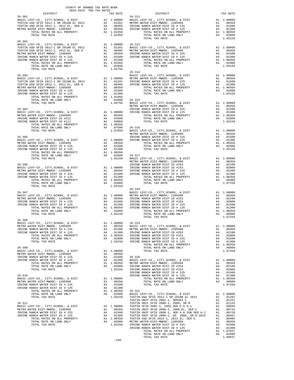| $\begin{tabular}{ccccc} & $\textsc{0.0mmSE}$ TRX RATE BOK \\ & 2018-2019 & TRA TAX RATES \\ \end{tabular}$<br>DISTRICT |         |                                                                                                                                                                                                                                                                                               |          |
|------------------------------------------------------------------------------------------------------------------------|---------|-----------------------------------------------------------------------------------------------------------------------------------------------------------------------------------------------------------------------------------------------------------------------------------------------|----------|
|                                                                                                                        |         | TAX RATE DISTRICT                                                                                                                                                                                                                                                                             | TAX RATE |
| $26 - 301$                                                                                                             |         |                                                                                                                                                                                                                                                                                               |          |
|                                                                                                                        |         |                                                                                                                                                                                                                                                                                               |          |
|                                                                                                                        |         |                                                                                                                                                                                                                                                                                               |          |
|                                                                                                                        |         |                                                                                                                                                                                                                                                                                               |          |
|                                                                                                                        |         |                                                                                                                                                                                                                                                                                               |          |
| $26 - 302$                                                                                                             |         |                                                                                                                                                                                                                                                                                               |          |
|                                                                                                                        |         |                                                                                                                                                                                                                                                                                               |          |
|                                                                                                                        |         |                                                                                                                                                                                                                                                                                               |          |
|                                                                                                                        |         |                                                                                                                                                                                                                                                                                               |          |
|                                                                                                                        |         |                                                                                                                                                                                                                                                                                               |          |
|                                                                                                                        |         |                                                                                                                                                                                                                                                                                               |          |
|                                                                                                                        |         |                                                                                                                                                                                                                                                                                               |          |
|                                                                                                                        |         | $26 - 314$<br>$\begin{array}{ccccccccc} 20731.734 & 2081 & 1040 & 4040 & 4040 & 4040 & 4040 & 4040 & 4040 & 4040 & 4040 & 4040 & 4040 & 4040 & 4040 & 4040 & 4040 & 4040 & 4040 & 4040 & 4040 & 4040 & 4040 & 4040 & 4040 & 4040 & 4040 & 4040 & 4040 & 4040 & 4040 & 4040 & 4040 & 4040 & 4$ |          |
|                                                                                                                        |         |                                                                                                                                                                                                                                                                                               |          |
|                                                                                                                        |         |                                                                                                                                                                                                                                                                                               |          |
|                                                                                                                        |         |                                                                                                                                                                                                                                                                                               |          |
|                                                                                                                        |         |                                                                                                                                                                                                                                                                                               |          |
|                                                                                                                        |         |                                                                                                                                                                                                                                                                                               |          |
|                                                                                                                        |         |                                                                                                                                                                                                                                                                                               |          |
|                                                                                                                        |         |                                                                                                                                                                                                                                                                                               |          |
|                                                                                                                        |         |                                                                                                                                                                                                                                                                                               |          |
|                                                                                                                        |         |                                                                                                                                                                                                                                                                                               |          |
|                                                                                                                        |         |                                                                                                                                                                                                                                                                                               |          |
|                                                                                                                        |         |                                                                                                                                                                                                                                                                                               |          |
|                                                                                                                        |         |                                                                                                                                                                                                                                                                                               |          |
|                                                                                                                        |         |                                                                                                                                                                                                                                                                                               |          |
|                                                                                                                        |         |                                                                                                                                                                                                                                                                                               |          |
|                                                                                                                        |         |                                                                                                                                                                                                                                                                                               |          |
|                                                                                                                        |         |                                                                                                                                                                                                                                                                                               |          |
|                                                                                                                        |         |                                                                                                                                                                                                                                                                                               |          |
|                                                                                                                        |         |                                                                                                                                                                                                                                                                                               |          |
|                                                                                                                        |         |                                                                                                                                                                                                                                                                                               |          |
|                                                                                                                        |         |                                                                                                                                                                                                                                                                                               |          |
|                                                                                                                        |         |                                                                                                                                                                                                                                                                                               |          |
|                                                                                                                        |         |                                                                                                                                                                                                                                                                                               |          |
|                                                                                                                        |         |                                                                                                                                                                                                                                                                                               |          |
|                                                                                                                        |         |                                                                                                                                                                                                                                                                                               |          |
|                                                                                                                        |         |                                                                                                                                                                                                                                                                                               |          |
|                                                                                                                        |         |                                                                                                                                                                                                                                                                                               |          |
|                                                                                                                        |         |                                                                                                                                                                                                                                                                                               |          |
|                                                                                                                        |         |                                                                                                                                                                                                                                                                                               |          |
|                                                                                                                        |         |                                                                                                                                                                                                                                                                                               |          |
|                                                                                                                        |         |                                                                                                                                                                                                                                                                                               |          |
|                                                                                                                        |         |                                                                                                                                                                                                                                                                                               |          |
|                                                                                                                        |         | TOTAL TAX RATE                                                                                                                                                                                                                                                                                | 1.07250  |
| $26 - 308$                                                                                                             |         |                                                                                                                                                                                                                                                                                               |          |
|                                                                                                                        |         |                                                                                                                                                                                                                                                                                               |          |
|                                                                                                                        |         |                                                                                                                                                                                                                                                                                               |          |
|                                                                                                                        |         |                                                                                                                                                                                                                                                                                               |          |
|                                                                                                                        |         |                                                                                                                                                                                                                                                                                               |          |
|                                                                                                                        |         |                                                                                                                                                                                                                                                                                               |          |
|                                                                                                                        |         |                                                                                                                                                                                                                                                                                               |          |
|                                                                                                                        |         |                                                                                                                                                                                                                                                                                               |          |
|                                                                                                                        |         |                                                                                                                                                                                                                                                                                               |          |
|                                                                                                                        |         |                                                                                                                                                                                                                                                                                               |          |
|                                                                                                                        |         |                                                                                                                                                                                                                                                                                               |          |
|                                                                                                                        |         |                                                                                                                                                                                                                                                                                               |          |
|                                                                                                                        |         |                                                                                                                                                                                                                                                                                               |          |
|                                                                                                                        |         |                                                                                                                                                                                                                                                                                               |          |
|                                                                                                                        |         |                                                                                                                                                                                                                                                                                               |          |
|                                                                                                                        |         |                                                                                                                                                                                                                                                                                               |          |
|                                                                                                                        |         |                                                                                                                                                                                                                                                                                               |          |
|                                                                                                                        |         |                                                                                                                                                                                                                                                                                               |          |
|                                                                                                                        |         |                                                                                                                                                                                                                                                                                               |          |
|                                                                                                                        |         |                                                                                                                                                                                                                                                                                               |          |
|                                                                                                                        |         |                                                                                                                                                                                                                                                                                               |          |
|                                                                                                                        |         |                                                                                                                                                                                                                                                                                               |          |
|                                                                                                                        |         |                                                                                                                                                                                                                                                                                               |          |
|                                                                                                                        |         |                                                                                                                                                                                                                                                                                               |          |
|                                                                                                                        |         |                                                                                                                                                                                                                                                                                               |          |
|                                                                                                                        |         |                                                                                                                                                                                                                                                                                               |          |
|                                                                                                                        |         |                                                                                                                                                                                                                                                                                               |          |
|                                                                                                                        |         |                                                                                                                                                                                                                                                                                               |          |
|                                                                                                                        | $-249-$ |                                                                                                                                                                                                                                                                                               |          |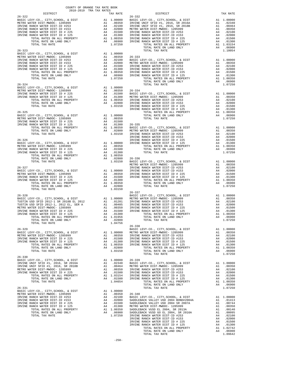| $\begin{tabular}{lllllllll} & $\textsc{--}\xspace$ & $\textsc{--}\xspace$ & $\textsc{--}\xspace$ & $\textsc{--}\xspace$ & $\textsc{--}\xspace$ & $\textsc{--}\xspace$ & $\textsc{--}\xspace$ & $\textsc{--}\xspace$ & $\textsc{--}\xspace$ & $\textsc{--}\xspace$ & $\textsc{--}\xspace$ & $\textsc{--}\xspace$ & $\textsc{--}\xspace$ & $\textsc{--}\xspace$ & $\textsc{--}\xspace$ & $\textsc{--}\xspace$ & $\textsc{--}\xspace$ & $\textsc{--}\xspace$ & $\textsc{--}\xspace$ & $\textsc{--}\xspace$ & $\textsc{--}\x$ |          |                                                                                                                                                                                                                                                                                                                                                                                                            |          |
|---------------------------------------------------------------------------------------------------------------------------------------------------------------------------------------------------------------------------------------------------------------------------------------------------------------------------------------------------------------------------------------------------------------------------------------------------------------------------------------------------------------------------|----------|------------------------------------------------------------------------------------------------------------------------------------------------------------------------------------------------------------------------------------------------------------------------------------------------------------------------------------------------------------------------------------------------------------|----------|
| $26 - 322$                                                                                                                                                                                                                                                                                                                                                                                                                                                                                                                | TAX RATE | DISTRICT<br>$26 - 332$                                                                                                                                                                                                                                                                                                                                                                                     | TAX RATE |
|                                                                                                                                                                                                                                                                                                                                                                                                                                                                                                                           |          |                                                                                                                                                                                                                                                                                                                                                                                                            |          |
|                                                                                                                                                                                                                                                                                                                                                                                                                                                                                                                           |          |                                                                                                                                                                                                                                                                                                                                                                                                            |          |
|                                                                                                                                                                                                                                                                                                                                                                                                                                                                                                                           |          |                                                                                                                                                                                                                                                                                                                                                                                                            |          |
|                                                                                                                                                                                                                                                                                                                                                                                                                                                                                                                           |          |                                                                                                                                                                                                                                                                                                                                                                                                            |          |
|                                                                                                                                                                                                                                                                                                                                                                                                                                                                                                                           |          |                                                                                                                                                                                                                                                                                                                                                                                                            |          |
|                                                                                                                                                                                                                                                                                                                                                                                                                                                                                                                           |          |                                                                                                                                                                                                                                                                                                                                                                                                            |          |
|                                                                                                                                                                                                                                                                                                                                                                                                                                                                                                                           |          |                                                                                                                                                                                                                                                                                                                                                                                                            |          |
|                                                                                                                                                                                                                                                                                                                                                                                                                                                                                                                           |          |                                                                                                                                                                                                                                                                                                                                                                                                            |          |
|                                                                                                                                                                                                                                                                                                                                                                                                                                                                                                                           |          |                                                                                                                                                                                                                                                                                                                                                                                                            |          |
|                                                                                                                                                                                                                                                                                                                                                                                                                                                                                                                           |          |                                                                                                                                                                                                                                                                                                                                                                                                            |          |
|                                                                                                                                                                                                                                                                                                                                                                                                                                                                                                                           |          |                                                                                                                                                                                                                                                                                                                                                                                                            |          |
|                                                                                                                                                                                                                                                                                                                                                                                                                                                                                                                           |          |                                                                                                                                                                                                                                                                                                                                                                                                            |          |
|                                                                                                                                                                                                                                                                                                                                                                                                                                                                                                                           |          |                                                                                                                                                                                                                                                                                                                                                                                                            |          |
|                                                                                                                                                                                                                                                                                                                                                                                                                                                                                                                           |          | 1797 (272), 2017 (273) (373) (373) (373) (373) (373) (373) (373) (373) (373) (373) (373) (373) (374) (374) (374) (374) (374) (374) (374) (374) (374) (374) (374) (374) (374) (374) (374) (374) (374) (374) (374) (374) (374)                                                                                                                                                                               |          |
|                                                                                                                                                                                                                                                                                                                                                                                                                                                                                                                           |          |                                                                                                                                                                                                                                                                                                                                                                                                            |          |
|                                                                                                                                                                                                                                                                                                                                                                                                                                                                                                                           |          |                                                                                                                                                                                                                                                                                                                                                                                                            |          |
|                                                                                                                                                                                                                                                                                                                                                                                                                                                                                                                           |          |                                                                                                                                                                                                                                                                                                                                                                                                            |          |
|                                                                                                                                                                                                                                                                                                                                                                                                                                                                                                                           |          |                                                                                                                                                                                                                                                                                                                                                                                                            |          |
|                                                                                                                                                                                                                                                                                                                                                                                                                                                                                                                           |          |                                                                                                                                                                                                                                                                                                                                                                                                            |          |
|                                                                                                                                                                                                                                                                                                                                                                                                                                                                                                                           |          |                                                                                                                                                                                                                                                                                                                                                                                                            |          |
|                                                                                                                                                                                                                                                                                                                                                                                                                                                                                                                           |          |                                                                                                                                                                                                                                                                                                                                                                                                            |          |
|                                                                                                                                                                                                                                                                                                                                                                                                                                                                                                                           |          |                                                                                                                                                                                                                                                                                                                                                                                                            |          |
|                                                                                                                                                                                                                                                                                                                                                                                                                                                                                                                           |          |                                                                                                                                                                                                                                                                                                                                                                                                            |          |
|                                                                                                                                                                                                                                                                                                                                                                                                                                                                                                                           |          |                                                                                                                                                                                                                                                                                                                                                                                                            |          |
|                                                                                                                                                                                                                                                                                                                                                                                                                                                                                                                           |          |                                                                                                                                                                                                                                                                                                                                                                                                            |          |
|                                                                                                                                                                                                                                                                                                                                                                                                                                                                                                                           |          |                                                                                                                                                                                                                                                                                                                                                                                                            |          |
|                                                                                                                                                                                                                                                                                                                                                                                                                                                                                                                           |          |                                                                                                                                                                                                                                                                                                                                                                                                            |          |
|                                                                                                                                                                                                                                                                                                                                                                                                                                                                                                                           |          |                                                                                                                                                                                                                                                                                                                                                                                                            |          |
|                                                                                                                                                                                                                                                                                                                                                                                                                                                                                                                           |          |                                                                                                                                                                                                                                                                                                                                                                                                            |          |
|                                                                                                                                                                                                                                                                                                                                                                                                                                                                                                                           |          |                                                                                                                                                                                                                                                                                                                                                                                                            |          |
|                                                                                                                                                                                                                                                                                                                                                                                                                                                                                                                           |          |                                                                                                                                                                                                                                                                                                                                                                                                            |          |
|                                                                                                                                                                                                                                                                                                                                                                                                                                                                                                                           |          |                                                                                                                                                                                                                                                                                                                                                                                                            |          |
|                                                                                                                                                                                                                                                                                                                                                                                                                                                                                                                           |          |                                                                                                                                                                                                                                                                                                                                                                                                            |          |
|                                                                                                                                                                                                                                                                                                                                                                                                                                                                                                                           |          |                                                                                                                                                                                                                                                                                                                                                                                                            |          |
|                                                                                                                                                                                                                                                                                                                                                                                                                                                                                                                           |          |                                                                                                                                                                                                                                                                                                                                                                                                            |          |
|                                                                                                                                                                                                                                                                                                                                                                                                                                                                                                                           |          |                                                                                                                                                                                                                                                                                                                                                                                                            |          |
|                                                                                                                                                                                                                                                                                                                                                                                                                                                                                                                           |          |                                                                                                                                                                                                                                                                                                                                                                                                            |          |
|                                                                                                                                                                                                                                                                                                                                                                                                                                                                                                                           |          |                                                                                                                                                                                                                                                                                                                                                                                                            |          |
|                                                                                                                                                                                                                                                                                                                                                                                                                                                                                                                           |          |                                                                                                                                                                                                                                                                                                                                                                                                            |          |
|                                                                                                                                                                                                                                                                                                                                                                                                                                                                                                                           |          |                                                                                                                                                                                                                                                                                                                                                                                                            |          |
|                                                                                                                                                                                                                                                                                                                                                                                                                                                                                                                           |          |                                                                                                                                                                                                                                                                                                                                                                                                            |          |
|                                                                                                                                                                                                                                                                                                                                                                                                                                                                                                                           |          |                                                                                                                                                                                                                                                                                                                                                                                                            |          |
|                                                                                                                                                                                                                                                                                                                                                                                                                                                                                                                           |          |                                                                                                                                                                                                                                                                                                                                                                                                            |          |
|                                                                                                                                                                                                                                                                                                                                                                                                                                                                                                                           |          |                                                                                                                                                                                                                                                                                                                                                                                                            |          |
|                                                                                                                                                                                                                                                                                                                                                                                                                                                                                                                           |          |                                                                                                                                                                                                                                                                                                                                                                                                            |          |
|                                                                                                                                                                                                                                                                                                                                                                                                                                                                                                                           |          |                                                                                                                                                                                                                                                                                                                                                                                                            |          |
| TOTAL RATE ON LAND ONLY $\begin{array}{ccc} & A4 & .02800 & & \text{TOTAL TAX RATE} \\ 1.04756 & & & \end{array}$                                                                                                                                                                                                                                                                                                                                                                                                         |          |                                                                                                                                                                                                                                                                                                                                                                                                            | 1.07250  |
| TOTAL TAX RATE                                                                                                                                                                                                                                                                                                                                                                                                                                                                                                            | 1.04756  | 26-338                                                                                                                                                                                                                                                                                                                                                                                                     |          |
|                                                                                                                                                                                                                                                                                                                                                                                                                                                                                                                           |          |                                                                                                                                                                                                                                                                                                                                                                                                            |          |
|                                                                                                                                                                                                                                                                                                                                                                                                                                                                                                                           |          |                                                                                                                                                                                                                                                                                                                                                                                                            |          |
|                                                                                                                                                                                                                                                                                                                                                                                                                                                                                                                           |          |                                                                                                                                                                                                                                                                                                                                                                                                            |          |
|                                                                                                                                                                                                                                                                                                                                                                                                                                                                                                                           |          |                                                                                                                                                                                                                                                                                                                                                                                                            |          |
|                                                                                                                                                                                                                                                                                                                                                                                                                                                                                                                           |          |                                                                                                                                                                                                                                                                                                                                                                                                            |          |
|                                                                                                                                                                                                                                                                                                                                                                                                                                                                                                                           |          |                                                                                                                                                                                                                                                                                                                                                                                                            |          |
|                                                                                                                                                                                                                                                                                                                                                                                                                                                                                                                           |          | $\begin{tabular}{l ll} TCTAL TAX RAYE \\ 26-320 \\ \hline \textbf{RAN}C B. BAYC = 0, & CTTY, SCIOOL, & E DISTT \\ \hline \textbf{RAN}C B. BAYD = 0, & CTTY, SCIOOL, & CITY, SCIOOL, & CITY, SCIOOL, & CITY, SCIOOL, & CITY, SCIOOL, & CITY, SCIOOL, & CITY, SCIOOL, & CITY, SCIOOL, & CITY, SCIOOL, & CITY, SCIOOL, & CITY, SCIOOL, & CITY, SCIOOL, & CITY, SCIOOL, & CITY, SCIOOL, & CITY, SCIOOL, & CIT$ |          |
|                                                                                                                                                                                                                                                                                                                                                                                                                                                                                                                           |          |                                                                                                                                                                                                                                                                                                                                                                                                            |          |
|                                                                                                                                                                                                                                                                                                                                                                                                                                                                                                                           |          |                                                                                                                                                                                                                                                                                                                                                                                                            |          |
|                                                                                                                                                                                                                                                                                                                                                                                                                                                                                                                           |          |                                                                                                                                                                                                                                                                                                                                                                                                            |          |
|                                                                                                                                                                                                                                                                                                                                                                                                                                                                                                                           |          |                                                                                                                                                                                                                                                                                                                                                                                                            |          |
|                                                                                                                                                                                                                                                                                                                                                                                                                                                                                                                           |          |                                                                                                                                                                                                                                                                                                                                                                                                            |          |
|                                                                                                                                                                                                                                                                                                                                                                                                                                                                                                                           |          |                                                                                                                                                                                                                                                                                                                                                                                                            |          |
|                                                                                                                                                                                                                                                                                                                                                                                                                                                                                                                           |          |                                                                                                                                                                                                                                                                                                                                                                                                            |          |
|                                                                                                                                                                                                                                                                                                                                                                                                                                                                                                                           |          |                                                                                                                                                                                                                                                                                                                                                                                                            |          |
|                                                                                                                                                                                                                                                                                                                                                                                                                                                                                                                           |          |                                                                                                                                                                                                                                                                                                                                                                                                            |          |
|                                                                                                                                                                                                                                                                                                                                                                                                                                                                                                                           |          |                                                                                                                                                                                                                                                                                                                                                                                                            |          |
|                                                                                                                                                                                                                                                                                                                                                                                                                                                                                                                           |          |                                                                                                                                                                                                                                                                                                                                                                                                            |          |
|                                                                                                                                                                                                                                                                                                                                                                                                                                                                                                                           |          |                                                                                                                                                                                                                                                                                                                                                                                                            |          |
|                                                                                                                                                                                                                                                                                                                                                                                                                                                                                                                           |          |                                                                                                                                                                                                                                                                                                                                                                                                            |          |
|                                                                                                                                                                                                                                                                                                                                                                                                                                                                                                                           |          |                                                                                                                                                                                                                                                                                                                                                                                                            |          |
|                                                                                                                                                                                                                                                                                                                                                                                                                                                                                                                           |          |                                                                                                                                                                                                                                                                                                                                                                                                            |          |
|                                                                                                                                                                                                                                                                                                                                                                                                                                                                                                                           |          |                                                                                                                                                                                                                                                                                                                                                                                                            |          |
|                                                                                                                                                                                                                                                                                                                                                                                                                                                                                                                           |          |                                                                                                                                                                                                                                                                                                                                                                                                            |          |
|                                                                                                                                                                                                                                                                                                                                                                                                                                                                                                                           |          |                                                                                                                                                                                                                                                                                                                                                                                                            |          |
|                                                                                                                                                                                                                                                                                                                                                                                                                                                                                                                           |          |                                                                                                                                                                                                                                                                                                                                                                                                            |          |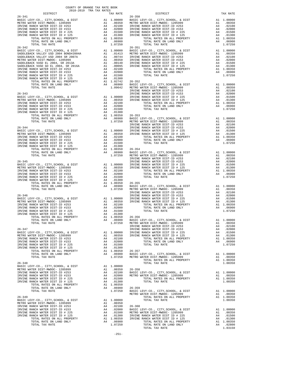| COUNTY OF ORANGE TAX RATE BOOK |  |                      |          |
|--------------------------------|--|----------------------|----------|
|                                |  | TAX RATE<br>DISTRICT | TAX RATE |
| $26 - 341$                     |  | $26 - 350$           |          |
|                                |  |                      |          |
|                                |  |                      |          |
|                                |  |                      |          |
|                                |  |                      |          |
|                                |  |                      |          |
|                                |  |                      |          |
|                                |  |                      |          |
|                                |  |                      |          |
|                                |  |                      |          |
|                                |  |                      |          |
|                                |  |                      |          |
|                                |  |                      |          |
|                                |  |                      |          |
|                                |  |                      |          |
|                                |  |                      |          |
|                                |  |                      |          |
|                                |  |                      |          |
|                                |  |                      |          |
|                                |  |                      |          |
|                                |  |                      |          |
|                                |  |                      |          |
|                                |  |                      |          |
|                                |  |                      |          |
|                                |  |                      |          |
|                                |  |                      |          |
|                                |  |                      |          |
|                                |  |                      |          |
|                                |  |                      |          |
|                                |  |                      |          |
|                                |  |                      |          |
|                                |  |                      |          |
|                                |  |                      |          |
|                                |  |                      |          |
|                                |  |                      |          |
|                                |  |                      |          |
|                                |  |                      |          |
|                                |  |                      |          |
|                                |  |                      |          |
|                                |  |                      |          |
|                                |  |                      |          |
|                                |  |                      |          |
|                                |  |                      |          |
|                                |  |                      |          |
|                                |  |                      |          |
|                                |  |                      |          |
|                                |  |                      |          |
|                                |  |                      |          |
|                                |  |                      |          |
|                                |  |                      |          |
|                                |  |                      |          |
|                                |  |                      |          |
|                                |  |                      |          |
|                                |  |                      |          |
|                                |  |                      |          |
|                                |  |                      |          |
|                                |  |                      |          |
|                                |  |                      |          |
|                                |  |                      |          |
|                                |  |                      |          |
|                                |  |                      |          |
|                                |  |                      |          |
|                                |  |                      |          |
|                                |  |                      |          |
|                                |  |                      |          |
|                                |  |                      |          |
|                                |  |                      |          |
|                                |  |                      |          |
|                                |  |                      |          |
|                                |  |                      |          |
|                                |  |                      |          |
|                                |  |                      |          |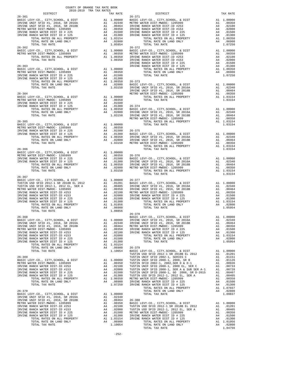| COUNTY OF ORANGE TAX RATE BOOK<br>2018-2019 TRA TAX RATES |          |                                                                                                                                                                                                                                                                                                     |          |
|-----------------------------------------------------------|----------|-----------------------------------------------------------------------------------------------------------------------------------------------------------------------------------------------------------------------------------------------------------------------------------------------------|----------|
|                                                           | TAX RATE | DISTRICT                                                                                                                                                                                                                                                                                            | TAX RATE |
| $26 - 361$                                                |          | $26 - 371$                                                                                                                                                                                                                                                                                          |          |
|                                                           |          |                                                                                                                                                                                                                                                                                                     |          |
|                                                           |          |                                                                                                                                                                                                                                                                                                     |          |
|                                                           |          |                                                                                                                                                                                                                                                                                                     |          |
|                                                           |          |                                                                                                                                                                                                                                                                                                     |          |
|                                                           |          |                                                                                                                                                                                                                                                                                                     |          |
|                                                           |          |                                                                                                                                                                                                                                                                                                     |          |
|                                                           |          | $\begin{tabular}{cccccccc} $16$ & $10711$ & $10818$ & $10911$ & $10818$ & $10911$ & $10818$ & $10911$ & $10818$ & $10911$ & $10818$ & $10911$ & $10918$ & $10911$ & $10918$ & $10911$ & $10918$ & $10918$ & $10918$ & $10918$ & $10918$ & $10918$ & $10918$ & $10918$ & $10918$ & $10918$ & $10918$ |          |
|                                                           |          |                                                                                                                                                                                                                                                                                                     |          |
|                                                           |          |                                                                                                                                                                                                                                                                                                     |          |
|                                                           |          |                                                                                                                                                                                                                                                                                                     |          |
|                                                           |          |                                                                                                                                                                                                                                                                                                     |          |
|                                                           |          |                                                                                                                                                                                                                                                                                                     |          |
|                                                           |          |                                                                                                                                                                                                                                                                                                     |          |
|                                                           |          |                                                                                                                                                                                                                                                                                                     |          |
|                                                           |          |                                                                                                                                                                                                                                                                                                     |          |
|                                                           |          |                                                                                                                                                                                                                                                                                                     |          |
|                                                           |          |                                                                                                                                                                                                                                                                                                     |          |
|                                                           |          |                                                                                                                                                                                                                                                                                                     |          |
|                                                           |          |                                                                                                                                                                                                                                                                                                     |          |
|                                                           |          |                                                                                                                                                                                                                                                                                                     |          |
|                                                           |          |                                                                                                                                                                                                                                                                                                     |          |
|                                                           |          |                                                                                                                                                                                                                                                                                                     |          |
|                                                           |          |                                                                                                                                                                                                                                                                                                     |          |
|                                                           |          |                                                                                                                                                                                                                                                                                                     |          |
|                                                           |          |                                                                                                                                                                                                                                                                                                     |          |
|                                                           |          |                                                                                                                                                                                                                                                                                                     |          |
|                                                           |          |                                                                                                                                                                                                                                                                                                     |          |
|                                                           |          |                                                                                                                                                                                                                                                                                                     |          |
|                                                           |          |                                                                                                                                                                                                                                                                                                     |          |
|                                                           |          |                                                                                                                                                                                                                                                                                                     |          |
|                                                           |          |                                                                                                                                                                                                                                                                                                     |          |
|                                                           |          |                                                                                                                                                                                                                                                                                                     |          |
|                                                           |          |                                                                                                                                                                                                                                                                                                     |          |
|                                                           |          |                                                                                                                                                                                                                                                                                                     |          |
|                                                           |          |                                                                                                                                                                                                                                                                                                     |          |
|                                                           |          |                                                                                                                                                                                                                                                                                                     |          |
|                                                           |          |                                                                                                                                                                                                                                                                                                     |          |
| $26 - 367$                                                |          |                                                                                                                                                                                                                                                                                                     |          |
|                                                           |          |                                                                                                                                                                                                                                                                                                     |          |
|                                                           |          |                                                                                                                                                                                                                                                                                                     |          |
|                                                           |          |                                                                                                                                                                                                                                                                                                     |          |
|                                                           |          |                                                                                                                                                                                                                                                                                                     |          |
|                                                           |          |                                                                                                                                                                                                                                                                                                     |          |
|                                                           |          |                                                                                                                                                                                                                                                                                                     |          |
|                                                           |          |                                                                                                                                                                                                                                                                                                     |          |
|                                                           |          |                                                                                                                                                                                                                                                                                                     |          |
|                                                           |          | $26 - 378$                                                                                                                                                                                                                                                                                          |          |
|                                                           |          |                                                                                                                                                                                                                                                                                                     |          |
|                                                           |          |                                                                                                                                                                                                                                                                                                     |          |
|                                                           |          |                                                                                                                                                                                                                                                                                                     |          |
|                                                           |          |                                                                                                                                                                                                                                                                                                     |          |
|                                                           |          |                                                                                                                                                                                                                                                                                                     |          |
|                                                           |          |                                                                                                                                                                                                                                                                                                     |          |
|                                                           |          |                                                                                                                                                                                                                                                                                                     |          |
|                                                           |          |                                                                                                                                                                                                                                                                                                     |          |
|                                                           |          |                                                                                                                                                                                                                                                                                                     |          |
|                                                           |          |                                                                                                                                                                                                                                                                                                     |          |
|                                                           |          |                                                                                                                                                                                                                                                                                                     |          |
|                                                           |          |                                                                                                                                                                                                                                                                                                     |          |
|                                                           |          |                                                                                                                                                                                                                                                                                                     |          |
|                                                           |          |                                                                                                                                                                                                                                                                                                     |          |
|                                                           |          |                                                                                                                                                                                                                                                                                                     |          |
|                                                           |          |                                                                                                                                                                                                                                                                                                     |          |
|                                                           |          |                                                                                                                                                                                                                                                                                                     |          |
|                                                           |          |                                                                                                                                                                                                                                                                                                     |          |
|                                                           |          |                                                                                                                                                                                                                                                                                                     |          |
|                                                           |          |                                                                                                                                                                                                                                                                                                     |          |
|                                                           |          |                                                                                                                                                                                                                                                                                                     |          |
|                                                           |          |                                                                                                                                                                                                                                                                                                     |          |
|                                                           |          |                                                                                                                                                                                                                                                                                                     |          |
|                                                           |          |                                                                                                                                                                                                                                                                                                     |          |
|                                                           |          |                                                                                                                                                                                                                                                                                                     |          |
|                                                           |          |                                                                                                                                                                                                                                                                                                     |          |
|                                                           |          |                                                                                                                                                                                                                                                                                                     |          |
|                                                           |          |                                                                                                                                                                                                                                                                                                     |          |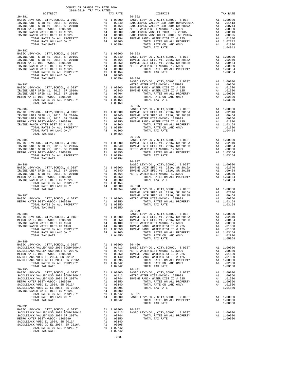| 26–382 ERVINE UNIF SFID #1, 2016, SR 2016A<br>IRVINE UNIF SFID #1, 2016, SR 2016A<br>IRVINE UNIF SFID #1, 2016, SR 2016A<br>IRVINE UNIF SFID #1, 2016, SR 2018B<br>IRVINE UNIF SFID #1, 2016, SR 2018B<br>IRVINE RANCH WATER DIST ID #22                                                                                                                                                                                  |  |  |
|---------------------------------------------------------------------------------------------------------------------------------------------------------------------------------------------------------------------------------------------------------------------------------------------------------------------------------------------------------------------------------------------------------------------------|--|--|
|                                                                                                                                                                                                                                                                                                                                                                                                                           |  |  |
|                                                                                                                                                                                                                                                                                                                                                                                                                           |  |  |
|                                                                                                                                                                                                                                                                                                                                                                                                                           |  |  |
|                                                                                                                                                                                                                                                                                                                                                                                                                           |  |  |
| $\begin{tabular}{lllllllllllllllllll} \multicolumn{3}{c}{\textbf{26-383}} & \multicolumn{3}{c}{\textbf{26-383}} & \multicolumn{3}{c}{\textbf{26-383}} & \multicolumn{3}{c}{\textbf{26-383}} & \multicolumn{3}{c}{\textbf{26-383}} & \multicolumn{3}{c}{\textbf{26-383}} & \multicolumn{3}{c}{\textbf{26-383}} & \multicolumn{3}{c}{\textbf{26-383}} & \multicolumn{3}{c}{\textbf{26-383}} & \multicolumn{3}{c}{\textbf{2$ |  |  |
|                                                                                                                                                                                                                                                                                                                                                                                                                           |  |  |
|                                                                                                                                                                                                                                                                                                                                                                                                                           |  |  |
|                                                                                                                                                                                                                                                                                                                                                                                                                           |  |  |
|                                                                                                                                                                                                                                                                                                                                                                                                                           |  |  |
|                                                                                                                                                                                                                                                                                                                                                                                                                           |  |  |
|                                                                                                                                                                                                                                                                                                                                                                                                                           |  |  |
|                                                                                                                                                                                                                                                                                                                                                                                                                           |  |  |
|                                                                                                                                                                                                                                                                                                                                                                                                                           |  |  |
|                                                                                                                                                                                                                                                                                                                                                                                                                           |  |  |
|                                                                                                                                                                                                                                                                                                                                                                                                                           |  |  |
|                                                                                                                                                                                                                                                                                                                                                                                                                           |  |  |
|                                                                                                                                                                                                                                                                                                                                                                                                                           |  |  |
|                                                                                                                                                                                                                                                                                                                                                                                                                           |  |  |
|                                                                                                                                                                                                                                                                                                                                                                                                                           |  |  |
|                                                                                                                                                                                                                                                                                                                                                                                                                           |  |  |
|                                                                                                                                                                                                                                                                                                                                                                                                                           |  |  |
|                                                                                                                                                                                                                                                                                                                                                                                                                           |  |  |
|                                                                                                                                                                                                                                                                                                                                                                                                                           |  |  |
|                                                                                                                                                                                                                                                                                                                                                                                                                           |  |  |
|                                                                                                                                                                                                                                                                                                                                                                                                                           |  |  |
|                                                                                                                                                                                                                                                                                                                                                                                                                           |  |  |
|                                                                                                                                                                                                                                                                                                                                                                                                                           |  |  |
|                                                                                                                                                                                                                                                                                                                                                                                                                           |  |  |
|                                                                                                                                                                                                                                                                                                                                                                                                                           |  |  |
|                                                                                                                                                                                                                                                                                                                                                                                                                           |  |  |
|                                                                                                                                                                                                                                                                                                                                                                                                                           |  |  |
|                                                                                                                                                                                                                                                                                                                                                                                                                           |  |  |
|                                                                                                                                                                                                                                                                                                                                                                                                                           |  |  |
|                                                                                                                                                                                                                                                                                                                                                                                                                           |  |  |
|                                                                                                                                                                                                                                                                                                                                                                                                                           |  |  |
| $26 - 389$                                                                                                                                                                                                                                                                                                                                                                                                                |  |  |
|                                                                                                                                                                                                                                                                                                                                                                                                                           |  |  |
|                                                                                                                                                                                                                                                                                                                                                                                                                           |  |  |
|                                                                                                                                                                                                                                                                                                                                                                                                                           |  |  |
|                                                                                                                                                                                                                                                                                                                                                                                                                           |  |  |
|                                                                                                                                                                                                                                                                                                                                                                                                                           |  |  |
|                                                                                                                                                                                                                                                                                                                                                                                                                           |  |  |
|                                                                                                                                                                                                                                                                                                                                                                                                                           |  |  |
|                                                                                                                                                                                                                                                                                                                                                                                                                           |  |  |
|                                                                                                                                                                                                                                                                                                                                                                                                                           |  |  |
|                                                                                                                                                                                                                                                                                                                                                                                                                           |  |  |
|                                                                                                                                                                                                                                                                                                                                                                                                                           |  |  |
| $26 - 391$                                                                                                                                                                                                                                                                                                                                                                                                                |  |  |
|                                                                                                                                                                                                                                                                                                                                                                                                                           |  |  |
|                                                                                                                                                                                                                                                                                                                                                                                                                           |  |  |
|                                                                                                                                                                                                                                                                                                                                                                                                                           |  |  |
|                                                                                                                                                                                                                                                                                                                                                                                                                           |  |  |
|                                                                                                                                                                                                                                                                                                                                                                                                                           |  |  |

-253-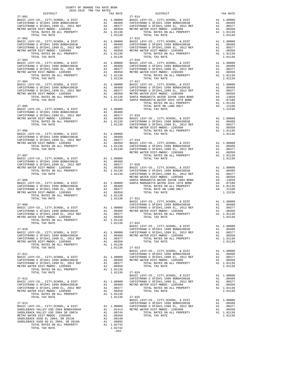| COUNTY OF ORANGE TAX RATE BOOK<br>2018-2019 TRA TAX RATES                                                                                                                                                        |          |                                         |                       |
|------------------------------------------------------------------------------------------------------------------------------------------------------------------------------------------------------------------|----------|-----------------------------------------|-----------------------|
| DISTRICT                                                                                                                                                                                                         |          | TAX RATE                                |                       |
|                                                                                                                                                                                                                  |          |                                         |                       |
|                                                                                                                                                                                                                  |          |                                         |                       |
|                                                                                                                                                                                                                  |          |                                         |                       |
|                                                                                                                                                                                                                  |          |                                         |                       |
| $27 - 002$                                                                                                                                                                                                       |          |                                         | $27 - 015$            |
|                                                                                                                                                                                                                  |          |                                         |                       |
|                                                                                                                                                                                                                  |          |                                         |                       |
|                                                                                                                                                                                                                  |          |                                         |                       |
|                                                                                                                                                                                                                  |          |                                         |                       |
| $27 - 003$                                                                                                                                                                                                       |          |                                         | $27 - 016$            |
|                                                                                                                                                                                                                  |          |                                         |                       |
|                                                                                                                                                                                                                  |          |                                         |                       |
|                                                                                                                                                                                                                  |          |                                         |                       |
|                                                                                                                                                                                                                  |          |                                         |                       |
| $27 - 004$                                                                                                                                                                                                       |          |                                         | $27 - 017$            |
|                                                                                                                                                                                                                  |          |                                         |                       |
|                                                                                                                                                                                                                  |          |                                         |                       |
|                                                                                                                                                                                                                  |          |                                         |                       |
|                                                                                                                                                                                                                  |          |                                         |                       |
|                                                                                                                                                                                                                  |          |                                         |                       |
|                                                                                                                                                                                                                  |          |                                         |                       |
|                                                                                                                                                                                                                  |          |                                         |                       |
|                                                                                                                                                                                                                  |          |                                         |                       |
|                                                                                                                                                                                                                  |          |                                         |                       |
|                                                                                                                                                                                                                  |          |                                         | METRO W               |
|                                                                                                                                                                                                                  |          |                                         |                       |
|                                                                                                                                                                                                                  |          |                                         |                       |
|                                                                                                                                                                                                                  |          |                                         |                       |
|                                                                                                                                                                                                                  |          |                                         |                       |
|                                                                                                                                                                                                                  |          |                                         |                       |
|                                                                                                                                                                                                                  |          |                                         |                       |
|                                                                                                                                                                                                                  |          |                                         |                       |
|                                                                                                                                                                                                                  |          |                                         |                       |
|                                                                                                                                                                                                                  |          |                                         |                       |
|                                                                                                                                                                                                                  |          |                                         |                       |
|                                                                                                                                                                                                                  |          |                                         |                       |
| $27 - 008$                                                                                                                                                                                                       |          |                                         | METRO W               |
|                                                                                                                                                                                                                  |          |                                         | SANTA M               |
|                                                                                                                                                                                                                  |          |                                         |                       |
| MADIC MEVI-CO., CITY, SCHOOL, & DIST Al 1.00000 SANTA M<br>CAPISTRANO U SFID#1 1999 BOND#2001B A1 .00409 SANTA M<br>CAPISTRANO U SFID#1, 1999 BL, 2012 REF A1 .00377<br>METRO WATER DIST-MWDOC-1205999 A1 .00377 |          |                                         |                       |
| TOTAL RATES ON ALL PROPERTY                                                                                                                                                                                      |          | A1 .00350<br>A1 1.01136                 |                       |
| TOTAL TAX RATE                                                                                                                                                                                                   |          | 1.01136                                 | $27 - 021$<br>BASIC L |
| $27 - 009$                                                                                                                                                                                                       |          |                                         | CAPISTR               |
|                                                                                                                                                                                                                  |          |                                         |                       |
|                                                                                                                                                                                                                  |          |                                         |                       |
|                                                                                                                                                                                                                  |          |                                         |                       |
| TOTAL TAX RATE                                                                                                                                                                                                   |          | 1.01136                                 | $27 - 022$            |
|                                                                                                                                                                                                                  |          |                                         | BASIC L               |
| $27 - 010$                                                                                                                                                                                                       |          |                                         | CAPISTR               |
| BASIC LEVY-CO., CITY, SCHOOL, & DIST<br>CAPISTRANO U SFID#1 1999 BOND#2001B                                                                                                                                      |          | A1 1.00000 CAPISTR<br>A1 .00409 METROW  |                       |
| CAPISIRANO O SFID#1 1999 BOND#2001B<br>CAPISTRANO U SFID#1,1999 EL, 2012 REF                                                                                                                                     | A1       | .00377                                  |                       |
| METRO WATER DIST-MWDOC- 1205999<br>TOTAL RATES ON ALL PROPERTY                                                                                                                                                   | A1       | .00350<br>A1 1.01136                    |                       |
| TOTAL TAX RATE                                                                                                                                                                                                   |          | 1.01136                                 | $27 - 023$            |
| $27 - 011$                                                                                                                                                                                                       |          |                                         | BASIC L<br>CAPISTR    |
| BASIC LEVY-CO., CITY, SCHOOL, & DIST                                                                                                                                                                             |          |                                         |                       |
| CAPISTRANO U SFID#1 1999 BOND#2001B                                                                                                                                                                              |          | A1 1.00000 CAPISTR<br>A1 .00409 METROW  |                       |
| CAPISTRANO U SFID#1,1999 EL, 2012 REF<br>METRO WATER DIST-MWDOC- 1205999                                                                                                                                         | A1<br>A1 | .00377<br>.00350                        |                       |
| TOTAL RATES ON ALL PROPERTY                                                                                                                                                                                      |          | A1 1.01136                              |                       |
| TOTAL TAX RATE                                                                                                                                                                                                   |          | 1.01136                                 | $27 - 024$<br>BASIC L |
| $27 - 012$                                                                                                                                                                                                       |          |                                         | CAPISTR               |
| BASIC LEVY-CO., CITY, SCHOOL, & DIST                                                                                                                                                                             |          | A1 1.00000 CAPISTR<br>A1 .00409 METRO W |                       |
| CAPISTRANO U SFID#1 1999 BOND#2001B<br>CAPISIRANO O SPID#1 1999 BOND#2001B<br>CAPISTRANO U SFID#1,1999 EL, 2012 REF                                                                                              | A1       | .00377                                  |                       |
| METRO WATER DIST-MWDOC- 1205999                                                                                                                                                                                  | A1       | .00350                                  |                       |
| TOTAL RATES ON ALL PROPERTY<br>TOTAL TAX RATE                                                                                                                                                                    |          | A1 1.01136<br>1.01136                   | $27 - 025$            |
|                                                                                                                                                                                                                  |          |                                         | BASIC L               |
| $27 - 013$                                                                                                                                                                                                       |          |                                         | CAPISTR               |
| BASIC LEVY-CO., CITY, SCHOOL, & DIST<br>SADDLEBACK VALLEY USD 2004 BOND#2004A                                                                                                                                    |          | A1 1.00000 CAPISTR<br>A1 .01413 METROW  |                       |
| SADDLEBACK VALLEY USD 2004 SR 2007A                                                                                                                                                                              | A1       | .00744                                  |                       |
| METRO WATER DIST-MWDOC- 1205999<br>SADDLEBACK VUSD EL 2004, SR 2013A                                                                                                                                             | A1       | .00350<br>A1 .00140                     |                       |
| SADDLEBACK VUSD GO EL 2004, SR 2016A                                                                                                                                                                             | A1       | .00095                                  |                       |
| TOTAL RATES ON ALL PROPERTY<br>TOTAL TAX RATE                                                                                                                                                                    |          | A1 1.02742<br>1.02742                   |                       |
|                                                                                                                                                                                                                  |          | $-254-$                                 |                       |

|  | $\begin{small} &\frac{1}{2} & \frac{1}{2} & \frac{1}{2} & \frac{1}{2} & \frac{1}{2} & \frac{1}{2} & \frac{1}{2} & \frac{1}{2} & \frac{1}{2} & \frac{1}{2} & \frac{1}{2} & \frac{1}{2} & \frac{1}{2} & \frac{1}{2} & \frac{1}{2} & \frac{1}{2} & \frac{1}{2} & \frac{1}{2} & \frac{1}{2} & \frac{1}{2} & \frac{1}{2} & \frac{1}{2} & \frac{1}{2} & \frac{1}{2} & \frac{1}{2} & \frac{1}{2} & \frac{1}{2$  |  |
|--|----------------------------------------------------------------------------------------------------------------------------------------------------------------------------------------------------------------------------------------------------------------------------------------------------------------------------------------------------------------------------------------------------------|--|
|  |                                                                                                                                                                                                                                                                                                                                                                                                          |  |
|  |                                                                                                                                                                                                                                                                                                                                                                                                          |  |
|  |                                                                                                                                                                                                                                                                                                                                                                                                          |  |
|  |                                                                                                                                                                                                                                                                                                                                                                                                          |  |
|  |                                                                                                                                                                                                                                                                                                                                                                                                          |  |
|  |                                                                                                                                                                                                                                                                                                                                                                                                          |  |
|  |                                                                                                                                                                                                                                                                                                                                                                                                          |  |
|  |                                                                                                                                                                                                                                                                                                                                                                                                          |  |
|  |                                                                                                                                                                                                                                                                                                                                                                                                          |  |
|  |                                                                                                                                                                                                                                                                                                                                                                                                          |  |
|  |                                                                                                                                                                                                                                                                                                                                                                                                          |  |
|  |                                                                                                                                                                                                                                                                                                                                                                                                          |  |
|  |                                                                                                                                                                                                                                                                                                                                                                                                          |  |
|  |                                                                                                                                                                                                                                                                                                                                                                                                          |  |
|  |                                                                                                                                                                                                                                                                                                                                                                                                          |  |
|  |                                                                                                                                                                                                                                                                                                                                                                                                          |  |
|  |                                                                                                                                                                                                                                                                                                                                                                                                          |  |
|  |                                                                                                                                                                                                                                                                                                                                                                                                          |  |
|  |                                                                                                                                                                                                                                                                                                                                                                                                          |  |
|  |                                                                                                                                                                                                                                                                                                                                                                                                          |  |
|  |                                                                                                                                                                                                                                                                                                                                                                                                          |  |
|  |                                                                                                                                                                                                                                                                                                                                                                                                          |  |
|  |                                                                                                                                                                                                                                                                                                                                                                                                          |  |
|  |                                                                                                                                                                                                                                                                                                                                                                                                          |  |
|  |                                                                                                                                                                                                                                                                                                                                                                                                          |  |
|  |                                                                                                                                                                                                                                                                                                                                                                                                          |  |
|  | $\begin{tabular}{c c c c c} \multicolumn{4}{c c c} \multicolumn{4}{c c c} \multicolumn{4}{c c c} \multicolumn{4}{c c c} \multicolumn{4}{c c c} \multicolumn{4}{c c c} \multicolumn{4}{c c c} \multicolumn{4}{c c c} \multicolumn{4}{c c c} \multicolumn{4}{c c c} \multicolumn{4}{c c c} \multicolumn{4}{c c c} \multicolumn{4}{c c c} \multicolumn{4}{c c c} \multicolumn{4}{c c c} \multicolumn{4}{c $ |  |
|  |                                                                                                                                                                                                                                                                                                                                                                                                          |  |
|  |                                                                                                                                                                                                                                                                                                                                                                                                          |  |
|  |                                                                                                                                                                                                                                                                                                                                                                                                          |  |
|  |                                                                                                                                                                                                                                                                                                                                                                                                          |  |
|  |                                                                                                                                                                                                                                                                                                                                                                                                          |  |
|  |                                                                                                                                                                                                                                                                                                                                                                                                          |  |
|  |                                                                                                                                                                                                                                                                                                                                                                                                          |  |
|  |                                                                                                                                                                                                                                                                                                                                                                                                          |  |
|  |                                                                                                                                                                                                                                                                                                                                                                                                          |  |
|  |                                                                                                                                                                                                                                                                                                                                                                                                          |  |
|  |                                                                                                                                                                                                                                                                                                                                                                                                          |  |
|  | $\begin{tabular}{l c c c c c c c c} \multicolumn{3}{c c c c} \multicolumn{3}{c c c} \multicolumn{3}{c c c} \multicolumn{3}{c c c} \multicolumn{3}{c c c} \multicolumn{3}{c c c} \multicolumn{3}{c c c} \multicolumn{3}{c c c} \multicolumn{3}{c c c} \multicolumn{3}{c c c} \multicolumn{3}{c c c} \multicolumn{3}{c c c} \multicolumn{3}{c c c} \multicolumn{3}{c c c} \multicolumn{3}{c c c$           |  |
|  | $\begin{tabular}{c c c c c} \multicolumn{4}{c c c} \multicolumn{4}{c c c} \multicolumn{4}{c c c} \multicolumn{4}{c c c} \multicolumn{4}{c c c} \multicolumn{4}{c c c} \multicolumn{4}{c c c} \multicolumn{4}{c c c} \multicolumn{4}{c c c} \multicolumn{4}{c c c} \multicolumn{4}{c c c} \multicolumn{4}{c c c} \multicolumn{4}{c c c} \multicolumn{4}{c c c} \multicolumn{4}{c c c} \multicolumn{4}{c $ |  |
|  |                                                                                                                                                                                                                                                                                                                                                                                                          |  |
|  |                                                                                                                                                                                                                                                                                                                                                                                                          |  |
|  |                                                                                                                                                                                                                                                                                                                                                                                                          |  |
|  |                                                                                                                                                                                                                                                                                                                                                                                                          |  |
|  |                                                                                                                                                                                                                                                                                                                                                                                                          |  |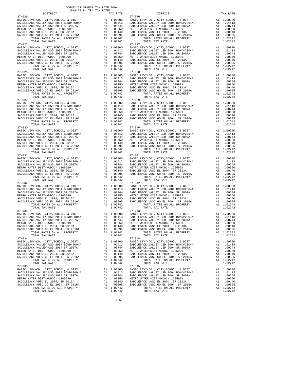| $27 - 026$                                                                                                                                    |          |                                                                                                                                                  | $27 - 036$         |
|-----------------------------------------------------------------------------------------------------------------------------------------------|----------|--------------------------------------------------------------------------------------------------------------------------------------------------|--------------------|
|                                                                                                                                               |          |                                                                                                                                                  |                    |
|                                                                                                                                               |          |                                                                                                                                                  |                    |
|                                                                                                                                               |          |                                                                                                                                                  |                    |
|                                                                                                                                               |          |                                                                                                                                                  |                    |
|                                                                                                                                               |          |                                                                                                                                                  |                    |
|                                                                                                                                               |          |                                                                                                                                                  |                    |
| TOTAL TAX RATE                                                                                                                                |          | 1.02742                                                                                                                                          |                    |
| $27 - 027$                                                                                                                                    |          |                                                                                                                                                  | $27 - 037$         |
| BASIC LEVY-CO., CITY, SCHOOL, & DIST                                                                                                          |          |                                                                                                                                                  |                    |
| SADDLEBACK VALLEY USD 2004 BOND#2004A<br>SADDLEBACK VALLEY USD 2004 SR 2007A                                                                  |          |                                                                                                                                                  |                    |
|                                                                                                                                               |          |                                                                                                                                                  |                    |
| METRO WATER DIST-MWDOC- 1205999                                                                                                               |          |                                                                                                                                                  |                    |
| SADDLEBACK VUSD EL 2004, SR 2013A<br>SADDLEBACK VUSD EL 2004, SR 2013A<br>SADDLEBACK VUSD GO EL 2004, SR 2016A                                |          | A1 1.00000 BASIC L<br>A1 .01413 SADDLEB<br>A1 .00744 SADDLEB<br>A1 .00350 METRO M<br>A1 .00350 METRO M<br>A1 .00095 SADDLEB<br>A1 .00095 SADDLEB |                    |
|                                                                                                                                               |          | A1 1.02742                                                                                                                                       |                    |
| TOTAL RATES ON ALL PROPERTY<br>TOTAL TAX RATE                                                                                                 |          | 1.02742                                                                                                                                          |                    |
| $27 - 028$                                                                                                                                    |          |                                                                                                                                                  | $27 - 038$         |
| BASIC LEVY-CO., CITY, SCHOOL, & DIST                                                                                                          |          | A1 1.00000 BASIC L<br>A1 .01413 SADDLEB<br>A1 .00744 SADDLEB<br>A1 .00350 METRO W<br>A1 .00140 SADDLEB<br>A1 .00095 SADDLEB<br>A1 .00095 SADDLEB |                    |
| SADDLEBACK VALLEY USD 2004 BOND#2004A<br>SADDLEBACK VALLEY USD 2004 SR 2007A                                                                  |          |                                                                                                                                                  |                    |
|                                                                                                                                               |          |                                                                                                                                                  |                    |
| METRO WATER DIST-MWDOC- 1205999                                                                                                               |          |                                                                                                                                                  |                    |
| SADDLEBACK VUSD EL 2004, SR 2013A<br>SADDLEBACK VUSD EL 2004, SR 2013A<br>SADDLEBACK VUSD GO EL 2004, SR 2016A<br>TOTAL RATES ON ALL PROPERTY |          |                                                                                                                                                  |                    |
|                                                                                                                                               |          |                                                                                                                                                  |                    |
| TOTAL RATES ON ALL PROPERTY                                                                                                                   |          | A1 1.02742                                                                                                                                       |                    |
| TOTAL TAX RATE<br>$27 - 029$                                                                                                                  |          | 1.02742                                                                                                                                          | $27 - 039$         |
|                                                                                                                                               |          |                                                                                                                                                  |                    |
|                                                                                                                                               |          |                                                                                                                                                  |                    |
|                                                                                                                                               |          |                                                                                                                                                  |                    |
|                                                                                                                                               |          |                                                                                                                                                  |                    |
|                                                                                                                                               |          |                                                                                                                                                  |                    |
|                                                                                                                                               |          |                                                                                                                                                  |                    |
|                                                                                                                                               |          |                                                                                                                                                  |                    |
|                                                                                                                                               |          |                                                                                                                                                  |                    |
| $27 - 030$                                                                                                                                    |          |                                                                                                                                                  | $27 - 040$         |
|                                                                                                                                               |          |                                                                                                                                                  |                    |
|                                                                                                                                               |          |                                                                                                                                                  |                    |
|                                                                                                                                               |          |                                                                                                                                                  |                    |
|                                                                                                                                               |          |                                                                                                                                                  |                    |
|                                                                                                                                               |          |                                                                                                                                                  |                    |
|                                                                                                                                               |          |                                                                                                                                                  |                    |
| TOTAL TAX RATE                                                                                                                                |          | 1.02742                                                                                                                                          |                    |
| $27 - 031$                                                                                                                                    |          |                                                                                                                                                  | $27 - 041$         |
|                                                                                                                                               |          |                                                                                                                                                  |                    |
|                                                                                                                                               |          |                                                                                                                                                  |                    |
|                                                                                                                                               |          |                                                                                                                                                  |                    |
|                                                                                                                                               |          |                                                                                                                                                  |                    |
|                                                                                                                                               |          |                                                                                                                                                  |                    |
|                                                                                                                                               |          |                                                                                                                                                  |                    |
| TOTAL TAX RATE                                                                                                                                |          | 1.02742                                                                                                                                          |                    |
| $27 - 032$                                                                                                                                    |          |                                                                                                                                                  | $27 - 042$         |
|                                                                                                                                               |          |                                                                                                                                                  |                    |
|                                                                                                                                               |          |                                                                                                                                                  |                    |
|                                                                                                                                               |          |                                                                                                                                                  |                    |
|                                                                                                                                               |          |                                                                                                                                                  |                    |
|                                                                                                                                               |          |                                                                                                                                                  |                    |
|                                                                                                                                               |          |                                                                                                                                                  |                    |
|                                                                                                                                               |          |                                                                                                                                                  |                    |
| $27 - 033$                                                                                                                                    |          |                                                                                                                                                  | $27 - 043$         |
|                                                                                                                                               |          |                                                                                                                                                  |                    |
|                                                                                                                                               |          |                                                                                                                                                  |                    |
|                                                                                                                                               |          |                                                                                                                                                  |                    |
|                                                                                                                                               |          |                                                                                                                                                  |                    |
|                                                                                                                                               |          |                                                                                                                                                  |                    |
| TOTAL RATES ON ALL PROPERTY                                                                                                                   |          | A1 1.02742                                                                                                                                       |                    |
| TOTAL TAX RATE                                                                                                                                |          | 1.02742                                                                                                                                          |                    |
| $27 - 034$                                                                                                                                    |          |                                                                                                                                                  | $27 - 044$         |
| BASIC LEVY-CO., CITY, SCHOOL, & DIST                                                                                                          |          | A1 1.00000                                                                                                                                       | BASIC L            |
| SADDLEBACK VALLEY USD 2004 BOND#2004A                                                                                                         | A1       | .01413                                                                                                                                           | SADDLEB            |
| SADDLEBACK VALLEY USD 2004 SR 2007A                                                                                                           | A1       | .00744                                                                                                                                           | SADDLEB            |
| METRO WATER DIST-MWDOC- 1205999<br>SADDLEBACK VUSD EL 2004, SR 2013A                                                                          | A1<br>A1 | .00350<br>.00140                                                                                                                                 | METRO W<br>SADDLEB |
| SADDLEBACK VUSD GO EL 2004, SR 2016A                                                                                                          | A1       | .00095                                                                                                                                           | SADDLEB            |
| TOTAL RATES ON ALL PROPERTY                                                                                                                   |          | A1 1.02742                                                                                                                                       |                    |
| TOTAL TAX RATE                                                                                                                                |          | 1.02742                                                                                                                                          |                    |
| $27 - 035$                                                                                                                                    |          |                                                                                                                                                  | $27 - 045$         |
| BASIC LEVY-CO., CITY, SCHOOL, & DIST                                                                                                          | A1       | 1.00000                                                                                                                                          | BASIC L            |
| SADDLEBACK VALLEY USD 2004 BOND#2004A                                                                                                         |          | A1 .01413                                                                                                                                        | SADDLEB            |
| SADDLEBACK VALLEY USD 2004 SR 2007A                                                                                                           | A1       | .00744                                                                                                                                           | SADDLEB            |
| METRO WATER DIST-MWDOC- 1205999                                                                                                               | A1       | .00350                                                                                                                                           | METRO W            |
| SADDLEBACK VUSD EL 2004, SR 2013A                                                                                                             | A1<br>A1 | .00140<br>.00095                                                                                                                                 | SADDLEB            |
| SADDLEBACK VUSD GO EL 2004, SR 2016A<br>TOTAL RATES ON ALL DRODERTY                                                                           |          | 51 1 02742                                                                                                                                       | SADDLEB            |

| COUNTY OF ORANGE TAX RATE BOOK<br>2018-2019 TRA TAX RATES<br>$2018-2019 \begin{tabular}{lllllllllllll} \multicolumn{2}{l}{{\bf{TRA} R} R} \multicolumn{2}{c}{\bf{RATE} B} \end{tabular}$ DISTRICT |          |         |                                                                                                                                                                                                                                                                                                                                                                                                                                                                                                                                   |          |
|---------------------------------------------------------------------------------------------------------------------------------------------------------------------------------------------------|----------|---------|-----------------------------------------------------------------------------------------------------------------------------------------------------------------------------------------------------------------------------------------------------------------------------------------------------------------------------------------------------------------------------------------------------------------------------------------------------------------------------------------------------------------------------------|----------|
|                                                                                                                                                                                                   | TAX RATE |         | DISTRICT                                                                                                                                                                                                                                                                                                                                                                                                                                                                                                                          | TAX RATE |
| $27 - 026$                                                                                                                                                                                        |          |         | $27 - 036$                                                                                                                                                                                                                                                                                                                                                                                                                                                                                                                        |          |
| $27 - 027$                                                                                                                                                                                        |          |         | $27 - 037$                                                                                                                                                                                                                                                                                                                                                                                                                                                                                                                        |          |
|                                                                                                                                                                                                   |          |         | $\begin{tabular}{@{}c@{}}\hline 27-027 & $1.91 & $1.00000$ & $27-037 & $1.00000$ & $27-037 & $1.00000$ & $1.00000$ & $27-037 & $1.00000$ \\ \hline \texttt{BADEDLEACK VALEY USD 2004 BONDEBACK VALEY USD 2004 BONDEBACK VALEY USD 2004 BONDEBACK VALEY USD 2004 BNDLEBACK VALEY USD 2004 BNDLEBACK VALEY USD 2004 BNDLEBACK VALEY USD 2004 BNDLEBACK V$                                                                                                                                                                           |          |
|                                                                                                                                                                                                   |          |         |                                                                                                                                                                                                                                                                                                                                                                                                                                                                                                                                   |          |
|                                                                                                                                                                                                   |          |         |                                                                                                                                                                                                                                                                                                                                                                                                                                                                                                                                   |          |
|                                                                                                                                                                                                   |          |         |                                                                                                                                                                                                                                                                                                                                                                                                                                                                                                                                   |          |
|                                                                                                                                                                                                   |          |         |                                                                                                                                                                                                                                                                                                                                                                                                                                                                                                                                   |          |
|                                                                                                                                                                                                   |          |         |                                                                                                                                                                                                                                                                                                                                                                                                                                                                                                                                   |          |
|                                                                                                                                                                                                   |          |         |                                                                                                                                                                                                                                                                                                                                                                                                                                                                                                                                   |          |
|                                                                                                                                                                                                   |          |         | $\begin{tabular}{@{}c@{}}\hline\textbf{27--029}&\textbf{1.02742}&\textbf{1.02742}&\textbf{1.02742}&\textbf{1.02742}&\textbf{1.02742}&\textbf{1.02742}&\textbf{1.02742}&\textbf{1.02742}&\textbf{1.02742}&\textbf{1.02742}&\textbf{1.02742}&\textbf{1.02742}&\textbf{1.02742}&\textbf{1.02742}&\textbf{1.02742}&\textbf{1.02742}&\text$                                                                                                                                                                                            |          |
|                                                                                                                                                                                                   |          |         |                                                                                                                                                                                                                                                                                                                                                                                                                                                                                                                                   |          |
|                                                                                                                                                                                                   |          |         |                                                                                                                                                                                                                                                                                                                                                                                                                                                                                                                                   |          |
|                                                                                                                                                                                                   |          |         |                                                                                                                                                                                                                                                                                                                                                                                                                                                                                                                                   |          |
|                                                                                                                                                                                                   |          |         |                                                                                                                                                                                                                                                                                                                                                                                                                                                                                                                                   |          |
|                                                                                                                                                                                                   |          |         |                                                                                                                                                                                                                                                                                                                                                                                                                                                                                                                                   |          |
|                                                                                                                                                                                                   |          |         |                                                                                                                                                                                                                                                                                                                                                                                                                                                                                                                                   |          |
|                                                                                                                                                                                                   |          |         |                                                                                                                                                                                                                                                                                                                                                                                                                                                                                                                                   |          |
|                                                                                                                                                                                                   |          |         |                                                                                                                                                                                                                                                                                                                                                                                                                                                                                                                                   |          |
|                                                                                                                                                                                                   |          |         |                                                                                                                                                                                                                                                                                                                                                                                                                                                                                                                                   |          |
|                                                                                                                                                                                                   |          |         |                                                                                                                                                                                                                                                                                                                                                                                                                                                                                                                                   |          |
|                                                                                                                                                                                                   |          |         | $\begin{tabular}{@{}c@{\thinspace}c@{\thinspace}c@{\thinspace}c@{\thinspace}c@{\thinspace}c@{\thinspace}c@{\thinspace}c@{\thinspace}c@{\thinspace}c@{\thinspace}c@{\thinspace}c@{\thinspace}c@{\thinspace}c@{\thinspace}c@{\thinspace}c@{\thinspace}c@{\thinspace}c@{\thinspace}c@{\thinspace}c@{\thinspace}c@{\thinspace}c@{\thinspace}c@{\thinspace}c@{\thinspace}c@{\thinspace}c@{\thinspace}c@{\thinspace}c@{\thinspace}c@{\thinspace}c@{\thinspace}c@{\thinspace}c@{\thinspace}c@{\thinspace}c@{\thinspace}c@{\thinspace}c@$ |          |
|                                                                                                                                                                                                   |          |         |                                                                                                                                                                                                                                                                                                                                                                                                                                                                                                                                   |          |
|                                                                                                                                                                                                   |          |         |                                                                                                                                                                                                                                                                                                                                                                                                                                                                                                                                   |          |
|                                                                                                                                                                                                   |          |         |                                                                                                                                                                                                                                                                                                                                                                                                                                                                                                                                   |          |
|                                                                                                                                                                                                   |          |         |                                                                                                                                                                                                                                                                                                                                                                                                                                                                                                                                   |          |
|                                                                                                                                                                                                   |          |         |                                                                                                                                                                                                                                                                                                                                                                                                                                                                                                                                   |          |
|                                                                                                                                                                                                   |          |         |                                                                                                                                                                                                                                                                                                                                                                                                                                                                                                                                   |          |
|                                                                                                                                                                                                   |          |         |                                                                                                                                                                                                                                                                                                                                                                                                                                                                                                                                   |          |
|                                                                                                                                                                                                   |          |         |                                                                                                                                                                                                                                                                                                                                                                                                                                                                                                                                   |          |
|                                                                                                                                                                                                   |          |         |                                                                                                                                                                                                                                                                                                                                                                                                                                                                                                                                   |          |
|                                                                                                                                                                                                   |          |         |                                                                                                                                                                                                                                                                                                                                                                                                                                                                                                                                   |          |
|                                                                                                                                                                                                   |          |         |                                                                                                                                                                                                                                                                                                                                                                                                                                                                                                                                   |          |
|                                                                                                                                                                                                   |          |         |                                                                                                                                                                                                                                                                                                                                                                                                                                                                                                                                   |          |
|                                                                                                                                                                                                   |          |         |                                                                                                                                                                                                                                                                                                                                                                                                                                                                                                                                   |          |
|                                                                                                                                                                                                   |          |         |                                                                                                                                                                                                                                                                                                                                                                                                                                                                                                                                   |          |
|                                                                                                                                                                                                   |          |         |                                                                                                                                                                                                                                                                                                                                                                                                                                                                                                                                   |          |
|                                                                                                                                                                                                   |          |         |                                                                                                                                                                                                                                                                                                                                                                                                                                                                                                                                   |          |
|                                                                                                                                                                                                   |          |         |                                                                                                                                                                                                                                                                                                                                                                                                                                                                                                                                   |          |
|                                                                                                                                                                                                   |          |         |                                                                                                                                                                                                                                                                                                                                                                                                                                                                                                                                   |          |
| TOTAL TAX RATE                                                                                                                                                                                    |          | 1.02742 | TOTAL TAX RATE                                                                                                                                                                                                                                                                                                                                                                                                                                                                                                                    | 1.02742  |
| $27 - 034$                                                                                                                                                                                        |          |         | $27 - 044$                                                                                                                                                                                                                                                                                                                                                                                                                                                                                                                        |          |
|                                                                                                                                                                                                   |          |         |                                                                                                                                                                                                                                                                                                                                                                                                                                                                                                                                   |          |
|                                                                                                                                                                                                   |          |         |                                                                                                                                                                                                                                                                                                                                                                                                                                                                                                                                   |          |
|                                                                                                                                                                                                   |          |         |                                                                                                                                                                                                                                                                                                                                                                                                                                                                                                                                   |          |
|                                                                                                                                                                                                   |          |         |                                                                                                                                                                                                                                                                                                                                                                                                                                                                                                                                   |          |
| TOTAL TAX RATE                                                                                                                                                                                    |          | 1.02742 | TOTAL TAX RATE                                                                                                                                                                                                                                                                                                                                                                                                                                                                                                                    | 1.02742  |
| $27 - 035$                                                                                                                                                                                        |          |         | $27 - 045$                                                                                                                                                                                                                                                                                                                                                                                                                                                                                                                        |          |
|                                                                                                                                                                                                   |          |         |                                                                                                                                                                                                                                                                                                                                                                                                                                                                                                                                   |          |
|                                                                                                                                                                                                   |          |         |                                                                                                                                                                                                                                                                                                                                                                                                                                                                                                                                   |          |
|                                                                                                                                                                                                   |          |         |                                                                                                                                                                                                                                                                                                                                                                                                                                                                                                                                   |          |
|                                                                                                                                                                                                   |          |         |                                                                                                                                                                                                                                                                                                                                                                                                                                                                                                                                   |          |
|                                                                                                                                                                                                   |          |         |                                                                                                                                                                                                                                                                                                                                                                                                                                                                                                                                   |          |
| TOTAL TAX RATE                                                                                                                                                                                    |          | 1.02742 | TOTAL TAX RATE                                                                                                                                                                                                                                                                                                                                                                                                                                                                                                                    | 1.02742  |

-255-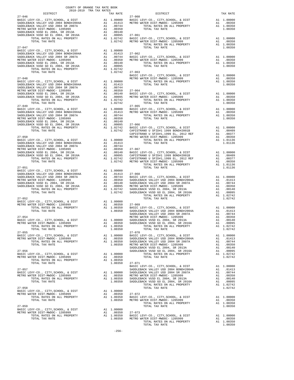|                                                                                                                                                                                                                                                                                                                                                                                                                                                                                                                                                                                                                                                                                                 | 2018-2019 TRA TAX RATES | $\begin{array}{ccc}\n \text{TAX} & \text{RATE} \\  27-060\n \end{array}$ | DISTRICT                                                                                                                                                                                                                                                                                                                                                                                             |         | TAX RATE |
|-------------------------------------------------------------------------------------------------------------------------------------------------------------------------------------------------------------------------------------------------------------------------------------------------------------------------------------------------------------------------------------------------------------------------------------------------------------------------------------------------------------------------------------------------------------------------------------------------------------------------------------------------------------------------------------------------|-------------------------|--------------------------------------------------------------------------|------------------------------------------------------------------------------------------------------------------------------------------------------------------------------------------------------------------------------------------------------------------------------------------------------------------------------------------------------------------------------------------------------|---------|----------|
|                                                                                                                                                                                                                                                                                                                                                                                                                                                                                                                                                                                                                                                                                                 |                         |                                                                          |                                                                                                                                                                                                                                                                                                                                                                                                      |         |          |
|                                                                                                                                                                                                                                                                                                                                                                                                                                                                                                                                                                                                                                                                                                 |                         |                                                                          |                                                                                                                                                                                                                                                                                                                                                                                                      |         |          |
|                                                                                                                                                                                                                                                                                                                                                                                                                                                                                                                                                                                                                                                                                                 |                         |                                                                          |                                                                                                                                                                                                                                                                                                                                                                                                      |         |          |
|                                                                                                                                                                                                                                                                                                                                                                                                                                                                                                                                                                                                                                                                                                 |                         |                                                                          |                                                                                                                                                                                                                                                                                                                                                                                                      |         |          |
|                                                                                                                                                                                                                                                                                                                                                                                                                                                                                                                                                                                                                                                                                                 |                         |                                                                          |                                                                                                                                                                                                                                                                                                                                                                                                      |         |          |
|                                                                                                                                                                                                                                                                                                                                                                                                                                                                                                                                                                                                                                                                                                 |                         |                                                                          |                                                                                                                                                                                                                                                                                                                                                                                                      |         |          |
|                                                                                                                                                                                                                                                                                                                                                                                                                                                                                                                                                                                                                                                                                                 |                         |                                                                          |                                                                                                                                                                                                                                                                                                                                                                                                      |         |          |
|                                                                                                                                                                                                                                                                                                                                                                                                                                                                                                                                                                                                                                                                                                 |                         |                                                                          |                                                                                                                                                                                                                                                                                                                                                                                                      |         |          |
| $27 - 047$                                                                                                                                                                                                                                                                                                                                                                                                                                                                                                                                                                                                                                                                                      |                         |                                                                          | TOTAL TAX RATE                                                                                                                                                                                                                                                                                                                                                                                       | 1.00350 |          |
|                                                                                                                                                                                                                                                                                                                                                                                                                                                                                                                                                                                                                                                                                                 |                         |                                                                          | ${\small \begin{tabular}{l c c c c c c c} \multicolumn{3}{c c c c} \multicolumn{3}{c c c} \multicolumn{3}{c c c} \multicolumn{3}{c c c} \multicolumn{3}{c c c} \multicolumn{3}{c c c} \multicolumn{3}{c c c} \multicolumn{3}{c c c} \multicolumn{3}{c c c} \multicolumn{3}{c c c} \multicolumn{3}{c c c} \multicolumn{3}{c c c} \multicolumn{3}{c c c} \multicolumn{3}{c c c} \multicolumn{3}{c c c$ |         |          |
|                                                                                                                                                                                                                                                                                                                                                                                                                                                                                                                                                                                                                                                                                                 |                         |                                                                          |                                                                                                                                                                                                                                                                                                                                                                                                      |         |          |
|                                                                                                                                                                                                                                                                                                                                                                                                                                                                                                                                                                                                                                                                                                 |                         |                                                                          |                                                                                                                                                                                                                                                                                                                                                                                                      |         |          |
|                                                                                                                                                                                                                                                                                                                                                                                                                                                                                                                                                                                                                                                                                                 |                         |                                                                          |                                                                                                                                                                                                                                                                                                                                                                                                      |         |          |
|                                                                                                                                                                                                                                                                                                                                                                                                                                                                                                                                                                                                                                                                                                 |                         |                                                                          |                                                                                                                                                                                                                                                                                                                                                                                                      |         |          |
|                                                                                                                                                                                                                                                                                                                                                                                                                                                                                                                                                                                                                                                                                                 |                         |                                                                          |                                                                                                                                                                                                                                                                                                                                                                                                      |         |          |
|                                                                                                                                                                                                                                                                                                                                                                                                                                                                                                                                                                                                                                                                                                 |                         |                                                                          |                                                                                                                                                                                                                                                                                                                                                                                                      |         |          |
|                                                                                                                                                                                                                                                                                                                                                                                                                                                                                                                                                                                                                                                                                                 |                         |                                                                          |                                                                                                                                                                                                                                                                                                                                                                                                      |         |          |
|                                                                                                                                                                                                                                                                                                                                                                                                                                                                                                                                                                                                                                                                                                 |                         |                                                                          |                                                                                                                                                                                                                                                                                                                                                                                                      |         |          |
|                                                                                                                                                                                                                                                                                                                                                                                                                                                                                                                                                                                                                                                                                                 |                         |                                                                          |                                                                                                                                                                                                                                                                                                                                                                                                      |         |          |
|                                                                                                                                                                                                                                                                                                                                                                                                                                                                                                                                                                                                                                                                                                 |                         |                                                                          |                                                                                                                                                                                                                                                                                                                                                                                                      |         |          |
|                                                                                                                                                                                                                                                                                                                                                                                                                                                                                                                                                                                                                                                                                                 |                         |                                                                          |                                                                                                                                                                                                                                                                                                                                                                                                      |         |          |
|                                                                                                                                                                                                                                                                                                                                                                                                                                                                                                                                                                                                                                                                                                 |                         |                                                                          |                                                                                                                                                                                                                                                                                                                                                                                                      |         |          |
|                                                                                                                                                                                                                                                                                                                                                                                                                                                                                                                                                                                                                                                                                                 |                         |                                                                          |                                                                                                                                                                                                                                                                                                                                                                                                      |         |          |
|                                                                                                                                                                                                                                                                                                                                                                                                                                                                                                                                                                                                                                                                                                 |                         |                                                                          |                                                                                                                                                                                                                                                                                                                                                                                                      |         |          |
|                                                                                                                                                                                                                                                                                                                                                                                                                                                                                                                                                                                                                                                                                                 |                         |                                                                          |                                                                                                                                                                                                                                                                                                                                                                                                      |         |          |
|                                                                                                                                                                                                                                                                                                                                                                                                                                                                                                                                                                                                                                                                                                 |                         |                                                                          |                                                                                                                                                                                                                                                                                                                                                                                                      |         |          |
|                                                                                                                                                                                                                                                                                                                                                                                                                                                                                                                                                                                                                                                                                                 |                         |                                                                          |                                                                                                                                                                                                                                                                                                                                                                                                      |         |          |
|                                                                                                                                                                                                                                                                                                                                                                                                                                                                                                                                                                                                                                                                                                 |                         |                                                                          |                                                                                                                                                                                                                                                                                                                                                                                                      |         |          |
|                                                                                                                                                                                                                                                                                                                                                                                                                                                                                                                                                                                                                                                                                                 |                         |                                                                          |                                                                                                                                                                                                                                                                                                                                                                                                      |         |          |
|                                                                                                                                                                                                                                                                                                                                                                                                                                                                                                                                                                                                                                                                                                 |                         |                                                                          |                                                                                                                                                                                                                                                                                                                                                                                                      |         |          |
|                                                                                                                                                                                                                                                                                                                                                                                                                                                                                                                                                                                                                                                                                                 |                         |                                                                          |                                                                                                                                                                                                                                                                                                                                                                                                      |         |          |
|                                                                                                                                                                                                                                                                                                                                                                                                                                                                                                                                                                                                                                                                                                 |                         |                                                                          |                                                                                                                                                                                                                                                                                                                                                                                                      |         |          |
|                                                                                                                                                                                                                                                                                                                                                                                                                                                                                                                                                                                                                                                                                                 |                         |                                                                          |                                                                                                                                                                                                                                                                                                                                                                                                      |         |          |
|                                                                                                                                                                                                                                                                                                                                                                                                                                                                                                                                                                                                                                                                                                 |                         |                                                                          |                                                                                                                                                                                                                                                                                                                                                                                                      |         |          |
|                                                                                                                                                                                                                                                                                                                                                                                                                                                                                                                                                                                                                                                                                                 |                         |                                                                          |                                                                                                                                                                                                                                                                                                                                                                                                      |         |          |
|                                                                                                                                                                                                                                                                                                                                                                                                                                                                                                                                                                                                                                                                                                 |                         |                                                                          |                                                                                                                                                                                                                                                                                                                                                                                                      |         |          |
|                                                                                                                                                                                                                                                                                                                                                                                                                                                                                                                                                                                                                                                                                                 |                         |                                                                          |                                                                                                                                                                                                                                                                                                                                                                                                      |         |          |
|                                                                                                                                                                                                                                                                                                                                                                                                                                                                                                                                                                                                                                                                                                 |                         |                                                                          |                                                                                                                                                                                                                                                                                                                                                                                                      |         |          |
|                                                                                                                                                                                                                                                                                                                                                                                                                                                                                                                                                                                                                                                                                                 |                         |                                                                          |                                                                                                                                                                                                                                                                                                                                                                                                      |         |          |
|                                                                                                                                                                                                                                                                                                                                                                                                                                                                                                                                                                                                                                                                                                 |                         |                                                                          |                                                                                                                                                                                                                                                                                                                                                                                                      |         |          |
|                                                                                                                                                                                                                                                                                                                                                                                                                                                                                                                                                                                                                                                                                                 |                         |                                                                          |                                                                                                                                                                                                                                                                                                                                                                                                      |         |          |
|                                                                                                                                                                                                                                                                                                                                                                                                                                                                                                                                                                                                                                                                                                 |                         |                                                                          |                                                                                                                                                                                                                                                                                                                                                                                                      |         |          |
|                                                                                                                                                                                                                                                                                                                                                                                                                                                                                                                                                                                                                                                                                                 |                         |                                                                          |                                                                                                                                                                                                                                                                                                                                                                                                      |         |          |
|                                                                                                                                                                                                                                                                                                                                                                                                                                                                                                                                                                                                                                                                                                 |                         |                                                                          |                                                                                                                                                                                                                                                                                                                                                                                                      |         |          |
|                                                                                                                                                                                                                                                                                                                                                                                                                                                                                                                                                                                                                                                                                                 |                         |                                                                          |                                                                                                                                                                                                                                                                                                                                                                                                      |         |          |
|                                                                                                                                                                                                                                                                                                                                                                                                                                                                                                                                                                                                                                                                                                 |                         |                                                                          |                                                                                                                                                                                                                                                                                                                                                                                                      |         |          |
|                                                                                                                                                                                                                                                                                                                                                                                                                                                                                                                                                                                                                                                                                                 |                         |                                                                          |                                                                                                                                                                                                                                                                                                                                                                                                      |         |          |
|                                                                                                                                                                                                                                                                                                                                                                                                                                                                                                                                                                                                                                                                                                 |                         |                                                                          |                                                                                                                                                                                                                                                                                                                                                                                                      |         |          |
|                                                                                                                                                                                                                                                                                                                                                                                                                                                                                                                                                                                                                                                                                                 |                         |                                                                          |                                                                                                                                                                                                                                                                                                                                                                                                      |         |          |
|                                                                                                                                                                                                                                                                                                                                                                                                                                                                                                                                                                                                                                                                                                 |                         |                                                                          |                                                                                                                                                                                                                                                                                                                                                                                                      |         |          |
| $27 - 052$                                                                                                                                                                                                                                                                                                                                                                                                                                                                                                                                                                                                                                                                                      |                         |                                                                          | TOTAL TAX RATE                                                                                                                                                                                                                                                                                                                                                                                       |         | 1.02742  |
|                                                                                                                                                                                                                                                                                                                                                                                                                                                                                                                                                                                                                                                                                                 |                         |                                                                          |                                                                                                                                                                                                                                                                                                                                                                                                      |         |          |
|                                                                                                                                                                                                                                                                                                                                                                                                                                                                                                                                                                                                                                                                                                 |                         |                                                                          |                                                                                                                                                                                                                                                                                                                                                                                                      |         |          |
|                                                                                                                                                                                                                                                                                                                                                                                                                                                                                                                                                                                                                                                                                                 |                         |                                                                          |                                                                                                                                                                                                                                                                                                                                                                                                      |         |          |
|                                                                                                                                                                                                                                                                                                                                                                                                                                                                                                                                                                                                                                                                                                 |                         |                                                                          |                                                                                                                                                                                                                                                                                                                                                                                                      |         |          |
|                                                                                                                                                                                                                                                                                                                                                                                                                                                                                                                                                                                                                                                                                                 |                         |                                                                          |                                                                                                                                                                                                                                                                                                                                                                                                      |         |          |
|                                                                                                                                                                                                                                                                                                                                                                                                                                                                                                                                                                                                                                                                                                 |                         |                                                                          |                                                                                                                                                                                                                                                                                                                                                                                                      |         |          |
|                                                                                                                                                                                                                                                                                                                                                                                                                                                                                                                                                                                                                                                                                                 |                         |                                                                          |                                                                                                                                                                                                                                                                                                                                                                                                      |         |          |
|                                                                                                                                                                                                                                                                                                                                                                                                                                                                                                                                                                                                                                                                                                 |                         |                                                                          |                                                                                                                                                                                                                                                                                                                                                                                                      |         |          |
|                                                                                                                                                                                                                                                                                                                                                                                                                                                                                                                                                                                                                                                                                                 |                         |                                                                          | BASIC LEVY-CO., CITY, SCHOOL, & DIST<br>METRO WATER DIST-MWDOC- 1205999 M2 1.00000 SADDLEBACK VUSD EL 2004, SR 2013A A1 .00140<br>METRO WATER DISTRIBUTION CORE 2004, SR 2016A A1 .002550 TOTAL RATES ON ALL PROPERTY A1 1.02742<br>TOT                                                                                                                                                              |         |          |
|                                                                                                                                                                                                                                                                                                                                                                                                                                                                                                                                                                                                                                                                                                 |                         |                                                                          |                                                                                                                                                                                                                                                                                                                                                                                                      |         |          |
|                                                                                                                                                                                                                                                                                                                                                                                                                                                                                                                                                                                                                                                                                                 |                         |                                                                          |                                                                                                                                                                                                                                                                                                                                                                                                      |         |          |
|                                                                                                                                                                                                                                                                                                                                                                                                                                                                                                                                                                                                                                                                                                 |                         |                                                                          |                                                                                                                                                                                                                                                                                                                                                                                                      |         |          |
|                                                                                                                                                                                                                                                                                                                                                                                                                                                                                                                                                                                                                                                                                                 |                         |                                                                          |                                                                                                                                                                                                                                                                                                                                                                                                      |         |          |
|                                                                                                                                                                                                                                                                                                                                                                                                                                                                                                                                                                                                                                                                                                 |                         |                                                                          |                                                                                                                                                                                                                                                                                                                                                                                                      |         |          |
|                                                                                                                                                                                                                                                                                                                                                                                                                                                                                                                                                                                                                                                                                                 |                         |                                                                          |                                                                                                                                                                                                                                                                                                                                                                                                      |         |          |
|                                                                                                                                                                                                                                                                                                                                                                                                                                                                                                                                                                                                                                                                                                 |                         |                                                                          |                                                                                                                                                                                                                                                                                                                                                                                                      |         |          |
|                                                                                                                                                                                                                                                                                                                                                                                                                                                                                                                                                                                                                                                                                                 |                         |                                                                          |                                                                                                                                                                                                                                                                                                                                                                                                      |         |          |
|                                                                                                                                                                                                                                                                                                                                                                                                                                                                                                                                                                                                                                                                                                 |                         |                                                                          |                                                                                                                                                                                                                                                                                                                                                                                                      |         |          |
|                                                                                                                                                                                                                                                                                                                                                                                                                                                                                                                                                                                                                                                                                                 |                         |                                                                          |                                                                                                                                                                                                                                                                                                                                                                                                      |         |          |
|                                                                                                                                                                                                                                                                                                                                                                                                                                                                                                                                                                                                                                                                                                 |                         |                                                                          |                                                                                                                                                                                                                                                                                                                                                                                                      |         |          |
|                                                                                                                                                                                                                                                                                                                                                                                                                                                                                                                                                                                                                                                                                                 |                         |                                                                          |                                                                                                                                                                                                                                                                                                                                                                                                      |         |          |
|                                                                                                                                                                                                                                                                                                                                                                                                                                                                                                                                                                                                                                                                                                 |                         |                                                                          |                                                                                                                                                                                                                                                                                                                                                                                                      |         |          |
|                                                                                                                                                                                                                                                                                                                                                                                                                                                                                                                                                                                                                                                                                                 |                         |                                                                          |                                                                                                                                                                                                                                                                                                                                                                                                      |         |          |
|                                                                                                                                                                                                                                                                                                                                                                                                                                                                                                                                                                                                                                                                                                 |                         |                                                                          |                                                                                                                                                                                                                                                                                                                                                                                                      |         |          |
|                                                                                                                                                                                                                                                                                                                                                                                                                                                                                                                                                                                                                                                                                                 |                         |                                                                          |                                                                                                                                                                                                                                                                                                                                                                                                      |         |          |
|                                                                                                                                                                                                                                                                                                                                                                                                                                                                                                                                                                                                                                                                                                 |                         |                                                                          |                                                                                                                                                                                                                                                                                                                                                                                                      |         |          |
|                                                                                                                                                                                                                                                                                                                                                                                                                                                                                                                                                                                                                                                                                                 |                         |                                                                          |                                                                                                                                                                                                                                                                                                                                                                                                      |         |          |
|                                                                                                                                                                                                                                                                                                                                                                                                                                                                                                                                                                                                                                                                                                 |                         |                                                                          |                                                                                                                                                                                                                                                                                                                                                                                                      |         |          |
|                                                                                                                                                                                                                                                                                                                                                                                                                                                                                                                                                                                                                                                                                                 |                         |                                                                          |                                                                                                                                                                                                                                                                                                                                                                                                      |         |          |
|                                                                                                                                                                                                                                                                                                                                                                                                                                                                                                                                                                                                                                                                                                 |                         |                                                                          |                                                                                                                                                                                                                                                                                                                                                                                                      |         |          |
|                                                                                                                                                                                                                                                                                                                                                                                                                                                                                                                                                                                                                                                                                                 |                         |                                                                          |                                                                                                                                                                                                                                                                                                                                                                                                      |         |          |
|                                                                                                                                                                                                                                                                                                                                                                                                                                                                                                                                                                                                                                                                                                 |                         |                                                                          |                                                                                                                                                                                                                                                                                                                                                                                                      |         |          |
|                                                                                                                                                                                                                                                                                                                                                                                                                                                                                                                                                                                                                                                                                                 |                         |                                                                          |                                                                                                                                                                                                                                                                                                                                                                                                      |         |          |
|                                                                                                                                                                                                                                                                                                                                                                                                                                                                                                                                                                                                                                                                                                 |                         |                                                                          |                                                                                                                                                                                                                                                                                                                                                                                                      |         |          |
|                                                                                                                                                                                                                                                                                                                                                                                                                                                                                                                                                                                                                                                                                                 |                         |                                                                          |                                                                                                                                                                                                                                                                                                                                                                                                      |         |          |
| $\begin{tabular}{l c c c c c} \multicolumn{4}{c c c c} \multicolumn{4}{c c c} \multicolumn{4}{c c c} \multicolumn{4}{c c c} \multicolumn{4}{c c c} \multicolumn{4}{c c c} \multicolumn{4}{c c c} \multicolumn{4}{c c c} \multicolumn{4}{c c c} \multicolumn{4}{c c c} \multicolumn{4}{c c c} \multicolumn{4}{c c c} \multicolumn{4}{c c c} \multicolumn{4}{c c c} \multicolumn{4}{c c c} \multicolumn{$<br>$\begin{tabular}{c c c c c c} \hline \texttt{TOTAL TAX RATE} & 1.00350 & 27-071 & 1.00350 & 2014 & 1.00000 & 2014 & 20144 & 20144 & 20144 & 20144 & 20144 & 20144 & 20144 & 20144 & 20144 & 20144 & 20144 & 20144 & 20144 & 20144 & 20144 & 20144 & 20144 & 20144 & 20144 & 20144 &$ |                         |                                                                          |                                                                                                                                                                                                                                                                                                                                                                                                      |         |          |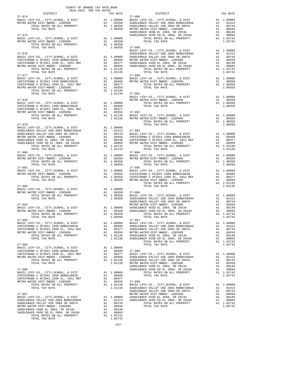| COUNTY OF ORANGE TAX RATE BOOK<br>2018-2019 TRA TAX RATES<br>DISTRICT | TAX RATE | DISTRICT                                                                                                                                                                                                                                                                                                                                                                                                              | TAX RATE |
|-----------------------------------------------------------------------|----------|-----------------------------------------------------------------------------------------------------------------------------------------------------------------------------------------------------------------------------------------------------------------------------------------------------------------------------------------------------------------------------------------------------------------------|----------|
| $27 - 074$                                                            |          | $27 - 088$<br>$\begin{tabular}{l c c c c c} \multicolumn{3}{c c c c} \multicolumn{3}{c c c} \multicolumn{3}{c c c} \multicolumn{3}{c c c} \multicolumn{3}{c c c} \multicolumn{3}{c c c} \multicolumn{3}{c c c} \multicolumn{3}{c c c} \multicolumn{3}{c c c} \multicolumn{3}{c c c} \multicolumn{3}{c c c} \multicolumn{3}{c c c} \multicolumn{3}{c c c} \multicolumn{3}{c c c} \multicolumn{3}{c c c} \multicolumn{$ |          |
|                                                                       |          |                                                                                                                                                                                                                                                                                                                                                                                                                       |          |
|                                                                       |          |                                                                                                                                                                                                                                                                                                                                                                                                                       |          |
|                                                                       |          |                                                                                                                                                                                                                                                                                                                                                                                                                       |          |
|                                                                       |          |                                                                                                                                                                                                                                                                                                                                                                                                                       |          |
|                                                                       |          |                                                                                                                                                                                                                                                                                                                                                                                                                       |          |
|                                                                       |          |                                                                                                                                                                                                                                                                                                                                                                                                                       |          |
|                                                                       |          |                                                                                                                                                                                                                                                                                                                                                                                                                       |          |
|                                                                       |          |                                                                                                                                                                                                                                                                                                                                                                                                                       |          |
|                                                                       |          |                                                                                                                                                                                                                                                                                                                                                                                                                       |          |
|                                                                       |          |                                                                                                                                                                                                                                                                                                                                                                                                                       |          |
|                                                                       |          |                                                                                                                                                                                                                                                                                                                                                                                                                       |          |
|                                                                       |          |                                                                                                                                                                                                                                                                                                                                                                                                                       |          |
|                                                                       |          |                                                                                                                                                                                                                                                                                                                                                                                                                       |          |
|                                                                       |          |                                                                                                                                                                                                                                                                                                                                                                                                                       |          |
|                                                                       |          |                                                                                                                                                                                                                                                                                                                                                                                                                       |          |
|                                                                       |          |                                                                                                                                                                                                                                                                                                                                                                                                                       |          |
|                                                                       |          |                                                                                                                                                                                                                                                                                                                                                                                                                       |          |
|                                                                       |          |                                                                                                                                                                                                                                                                                                                                                                                                                       |          |
|                                                                       |          |                                                                                                                                                                                                                                                                                                                                                                                                                       |          |
|                                                                       |          |                                                                                                                                                                                                                                                                                                                                                                                                                       |          |
|                                                                       |          |                                                                                                                                                                                                                                                                                                                                                                                                                       |          |
|                                                                       |          |                                                                                                                                                                                                                                                                                                                                                                                                                       |          |
|                                                                       |          |                                                                                                                                                                                                                                                                                                                                                                                                                       |          |
|                                                                       |          |                                                                                                                                                                                                                                                                                                                                                                                                                       |          |
|                                                                       |          | $\begin{tabular}{cccc} 27-078 & 27-079 \\ \hline \textbf{23-501} & 27-079 \\ \textbf{24-079} & 27-079 \\ \textbf{25-079} & 27-079 \\ \textbf{26-08} & 20350 \\ \textbf{27-079} & 210000 \\ \textbf{28-08} & 20350 \\ \textbf{27-079} & 210000 \\ \textbf{28-08} & 20350 \\ \textbf{27-079} & 210000 \\ \textbf{28-08} & 20000 \\ \$                                                                                   |          |
|                                                                       |          |                                                                                                                                                                                                                                                                                                                                                                                                                       |          |
|                                                                       |          |                                                                                                                                                                                                                                                                                                                                                                                                                       |          |
|                                                                       |          |                                                                                                                                                                                                                                                                                                                                                                                                                       |          |
|                                                                       |          |                                                                                                                                                                                                                                                                                                                                                                                                                       |          |
|                                                                       |          |                                                                                                                                                                                                                                                                                                                                                                                                                       |          |
|                                                                       |          |                                                                                                                                                                                                                                                                                                                                                                                                                       |          |
|                                                                       |          |                                                                                                                                                                                                                                                                                                                                                                                                                       |          |
|                                                                       |          |                                                                                                                                                                                                                                                                                                                                                                                                                       |          |
|                                                                       |          |                                                                                                                                                                                                                                                                                                                                                                                                                       |          |
|                                                                       |          | $\begin{array}{cccccccccccc} 27-080 & 27-094 & 27-094 & 27-080 & 27-094 & 27-080 & 27-080 & 27-080 & 27-080 & 27-080 & 27-080 & 27-080 & 27-080 & 27-080 & 27-080 & 27-080 & 27-080 & 27-080 & 27-080 & 27-080 & 27-080 & 27-080 & 27-080 & 27-080 & 27-081 & 27-081 & 27$                                                                                                                                            |          |
|                                                                       |          |                                                                                                                                                                                                                                                                                                                                                                                                                       |          |
|                                                                       |          |                                                                                                                                                                                                                                                                                                                                                                                                                       |          |
|                                                                       |          |                                                                                                                                                                                                                                                                                                                                                                                                                       |          |
|                                                                       |          |                                                                                                                                                                                                                                                                                                                                                                                                                       |          |
|                                                                       |          |                                                                                                                                                                                                                                                                                                                                                                                                                       |          |
|                                                                       |          |                                                                                                                                                                                                                                                                                                                                                                                                                       |          |
|                                                                       |          |                                                                                                                                                                                                                                                                                                                                                                                                                       |          |
|                                                                       |          |                                                                                                                                                                                                                                                                                                                                                                                                                       |          |
|                                                                       |          |                                                                                                                                                                                                                                                                                                                                                                                                                       |          |
|                                                                       |          |                                                                                                                                                                                                                                                                                                                                                                                                                       |          |
|                                                                       |          |                                                                                                                                                                                                                                                                                                                                                                                                                       |          |
|                                                                       |          |                                                                                                                                                                                                                                                                                                                                                                                                                       |          |
| $27 - 084$                                                            |          | $27 - 097$                                                                                                                                                                                                                                                                                                                                                                                                            |          |
|                                                                       |          |                                                                                                                                                                                                                                                                                                                                                                                                                       |          |
|                                                                       |          |                                                                                                                                                                                                                                                                                                                                                                                                                       |          |
|                                                                       |          |                                                                                                                                                                                                                                                                                                                                                                                                                       |          |
|                                                                       |          |                                                                                                                                                                                                                                                                                                                                                                                                                       |          |
|                                                                       |          |                                                                                                                                                                                                                                                                                                                                                                                                                       |          |
| $27 - 085$                                                            |          | TOTAL TAX RATE                                                                                                                                                                                                                                                                                                                                                                                                        | 1.02742  |
|                                                                       |          |                                                                                                                                                                                                                                                                                                                                                                                                                       |          |
|                                                                       |          |                                                                                                                                                                                                                                                                                                                                                                                                                       |          |
|                                                                       |          |                                                                                                                                                                                                                                                                                                                                                                                                                       |          |
|                                                                       |          |                                                                                                                                                                                                                                                                                                                                                                                                                       |          |
|                                                                       |          |                                                                                                                                                                                                                                                                                                                                                                                                                       |          |
|                                                                       |          |                                                                                                                                                                                                                                                                                                                                                                                                                       |          |
|                                                                       |          |                                                                                                                                                                                                                                                                                                                                                                                                                       |          |
|                                                                       |          |                                                                                                                                                                                                                                                                                                                                                                                                                       |          |
|                                                                       |          |                                                                                                                                                                                                                                                                                                                                                                                                                       |          |
|                                                                       |          |                                                                                                                                                                                                                                                                                                                                                                                                                       |          |
|                                                                       |          |                                                                                                                                                                                                                                                                                                                                                                                                                       |          |
|                                                                       |          |                                                                                                                                                                                                                                                                                                                                                                                                                       |          |
|                                                                       |          |                                                                                                                                                                                                                                                                                                                                                                                                                       |          |
|                                                                       |          |                                                                                                                                                                                                                                                                                                                                                                                                                       |          |
|                                                                       |          |                                                                                                                                                                                                                                                                                                                                                                                                                       |          |
|                                                                       |          |                                                                                                                                                                                                                                                                                                                                                                                                                       |          |
|                                                                       |          |                                                                                                                                                                                                                                                                                                                                                                                                                       |          |
|                                                                       | 1.02742  |                                                                                                                                                                                                                                                                                                                                                                                                                       |          |
|                                                                       |          |                                                                                                                                                                                                                                                                                                                                                                                                                       |          |

| , & $DIST$<br>BOND#2004A<br>SR 2007A<br>5999<br>2013A<br>SR 2016A<br>PROPERTY                |                                        | $\begin{tabular}{ll} \texttt{A1} & 1.00000 \\ \texttt{A1} & .01413 \\ \texttt{A1} & .00744 \\ \texttt{A1} & .00350 \\ \texttt{A1} & .00140 \\ \texttt{A1} & .00095 \\ \texttt{A1} & .002742 \\ \texttt{A1} & 0.2742 \\ \end{tabular}$<br>1.02742 |
|----------------------------------------------------------------------------------------------|----------------------------------------|--------------------------------------------------------------------------------------------------------------------------------------------------------------------------------------------------------------------------------------------------|
| , & DIST<br>BOND#2004A<br>SR 2007A<br>5999<br>2013A<br>SR 2016A<br>PROPERTY                  |                                        | $\begin{tabular}{ll} \texttt{A1} & 1.00000 \\ \texttt{A1} & .01413 \\ \texttt{A1} & .00744 \\ \texttt{A1} & .00350 \\ \texttt{A1} & .00140 \\ \texttt{A1} & .00095 \\ \texttt{A1} & 1.02742 \\ \end{tabular}$<br>1.02742                         |
| , & DIST<br>5999<br>PROPERTY                                                                 |                                        | A1 1.00000<br>A1 .00350<br>A1 1.00350<br>1.00350                                                                                                                                                                                                 |
| , & DIST<br>5999<br>PROPERTY                                                                 |                                        | A1 1.00000<br>A1 .00350<br>A1 1.00350<br>1 00350<br>1.00350                                                                                                                                                                                      |
| , & DIST<br>5999<br>PROPERTY                                                                 |                                        | A1 1.00000<br>A1 .00350<br>A1 1.00350<br>1.00350                                                                                                                                                                                                 |
| , & ${\tt DIST}$<br>ND#2001B<br>, 2012 REF<br>5999<br>PROPERTY                               |                                        | A1 1.00000<br>A1 .00409<br>A1 .00377<br>A1 .00350<br>A1 1.01136<br>1.01136<br>1.01136                                                                                                                                                            |
| , $\&$ DIST<br>5999<br>PROPERTY                                                              |                                        | A1 1.00000<br>A1 .00350<br>A1 1.00350<br>1 00350<br>1.00350                                                                                                                                                                                      |
| , & DIST<br>ND#2001B<br>, 2012 REF<br>5999<br>PROPERTY                                       |                                        | A1 1.00000<br>A1 .00409<br>A1 .00377<br>A1 .00350<br>A1 1.01136<br>101136<br>1.01136                                                                                                                                                             |
| , & ${\tt DIST}$<br>BOND#2004A<br>SR 2007A<br>5999<br>2013A<br>2013A<br>SR 2016A<br>PROPERTY |                                        | $\begin{tabular}{ll} \texttt{A1} & 1.00000 \\ \texttt{A1} & .01413 \\ \texttt{A1} & .00744 \\ \texttt{A1} & .00350 \\ \texttt{A1} & .00140 \\ \texttt{A1} & .00095 \\ \texttt{A1} & 1.02742 \\ \end{tabular}$<br>1.02742                         |
| , & DIST<br>BOND#2004A<br>SR 2007A<br>5999<br>2013A<br>SR 2016A<br>PROPERTY                  | A1<br>A1<br>A1<br>Α1                   | A1 1.00000<br>A1 .01413<br>A1 .00744<br>.00350<br>.00140<br>.00095<br>1.02742<br>1.02742                                                                                                                                                         |
| & DIST<br>BOND#2004A<br>SR 2007A<br>5999<br>2013A<br>SR 2016A<br>PROPERTY                    | A1<br>A1<br>A1<br>A1<br>A1<br>A1<br>A1 | 1.00000<br>.01413<br>.00744<br>.00350<br>.00140<br>.00095<br>1.02742<br>1.02742                                                                                                                                                                  |

-257-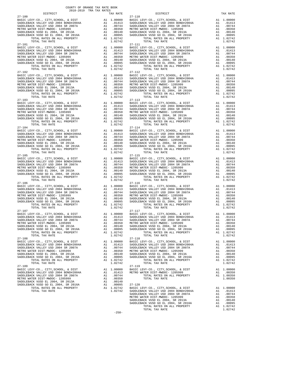| $27 - 100$                                                                                                       |                                                                                                                                                                                                                                                                                                                                           |                                                                                                                                             | $27 - 110$         |
|------------------------------------------------------------------------------------------------------------------|-------------------------------------------------------------------------------------------------------------------------------------------------------------------------------------------------------------------------------------------------------------------------------------------------------------------------------------------|---------------------------------------------------------------------------------------------------------------------------------------------|--------------------|
|                                                                                                                  |                                                                                                                                                                                                                                                                                                                                           |                                                                                                                                             |                    |
|                                                                                                                  |                                                                                                                                                                                                                                                                                                                                           |                                                                                                                                             |                    |
|                                                                                                                  |                                                                                                                                                                                                                                                                                                                                           |                                                                                                                                             |                    |
|                                                                                                                  |                                                                                                                                                                                                                                                                                                                                           |                                                                                                                                             |                    |
|                                                                                                                  |                                                                                                                                                                                                                                                                                                                                           | A1 1.02742                                                                                                                                  |                    |
| TOTAL RATES ON ALL PROPERTY<br>TOTAL TAX RATE                                                                    |                                                                                                                                                                                                                                                                                                                                           | 1.02742                                                                                                                                     |                    |
| $27 - 101$                                                                                                       |                                                                                                                                                                                                                                                                                                                                           |                                                                                                                                             | 27-111             |
| BASIC LEVY-CO., CITY, SCHOOL, & DIST                                                                             |                                                                                                                                                                                                                                                                                                                                           |                                                                                                                                             |                    |
| SADDLEBACK VALLEY USD 2004 BOND#2004A<br>SADDLEBACK VALLEY USD 2004 SR 2007A                                     |                                                                                                                                                                                                                                                                                                                                           |                                                                                                                                             |                    |
| METRO WATER DIST-MWDOC- 1205999                                                                                  |                                                                                                                                                                                                                                                                                                                                           |                                                                                                                                             |                    |
| SADDLEBACK VUSD EL 2004, SR 2013A                                                                                |                                                                                                                                                                                                                                                                                                                                           |                                                                                                                                             |                    |
| SADDLEBACK VUSD GO EL 2004, SR 2016A                                                                             |                                                                                                                                                                                                                                                                                                                                           | A1 1.02742                                                                                                                                  |                    |
| TOTAL RATES ON ALL PROPERTY<br>TOTAL TAX RATE                                                                    |                                                                                                                                                                                                                                                                                                                                           | 1.02742                                                                                                                                     |                    |
| $27 - 102$                                                                                                       |                                                                                                                                                                                                                                                                                                                                           |                                                                                                                                             | 27-112             |
| BASIC LEVY-CO., CITY, SCHOOL, & DIST                                                                             |                                                                                                                                                                                                                                                                                                                                           |                                                                                                                                             |                    |
| SADDLEBACK VALLEY USD 2004 BOND#2004A<br>SADDLEBACK VALLEY USD 2004 SR 2007A                                     |                                                                                                                                                                                                                                                                                                                                           |                                                                                                                                             |                    |
| METRO WATER DIST-MWDOC- 1205999                                                                                  |                                                                                                                                                                                                                                                                                                                                           |                                                                                                                                             |                    |
| SADDLEBACK VUSD EL 2004, SR 2013A                                                                                |                                                                                                                                                                                                                                                                                                                                           | A1 1.00000 BASIC L<br>A1 .01413 SADDLEB<br>A1 .00744 SADDLEB<br>A1 .00350 METRO W<br>A1 .00140 SADDLEB<br>A1 .00095<br>SADDLEB<br>A1 .00095 |                    |
| SADDLEBACK VUSD EL 2004, SR 2013A<br>SADDLEBACK VUSD GO EL 2004, SR 2016A<br>TARIA TATLE DI STRI CO 11 - SR 2017 |                                                                                                                                                                                                                                                                                                                                           |                                                                                                                                             |                    |
| TOTAL RATES ON ALL PROPERTY<br>TOTAL TAX RATE                                                                    |                                                                                                                                                                                                                                                                                                                                           | A1 1.02742<br>1.02742                                                                                                                       |                    |
| $27 - 103$                                                                                                       |                                                                                                                                                                                                                                                                                                                                           |                                                                                                                                             | 27-113             |
| BASIC LEVY-CO., CITY, SCHOOL, & DIST                                                                             |                                                                                                                                                                                                                                                                                                                                           |                                                                                                                                             |                    |
| SADDLEBACK VALLEY USD 2004 BOND#2004A<br>SADDLEBACK VALLEY USD 2004 SR 2007A                                     |                                                                                                                                                                                                                                                                                                                                           |                                                                                                                                             |                    |
| METRO WATER DIST-MWDOC- 1205999                                                                                  |                                                                                                                                                                                                                                                                                                                                           |                                                                                                                                             |                    |
| SADDLEBACK VUSD EL 2004, SR 2013A                                                                                |                                                                                                                                                                                                                                                                                                                                           |                                                                                                                                             |                    |
| SADDLEBACK VUSD GO EL 2004, SR 2016A                                                                             |                                                                                                                                                                                                                                                                                                                                           |                                                                                                                                             |                    |
| TOTAL RATES ON ALL PROPERTY<br>TOTAL TAX RATE                                                                    |                                                                                                                                                                                                                                                                                                                                           | A1 1.02742<br>1.02742                                                                                                                       |                    |
| $27 - 104$                                                                                                       |                                                                                                                                                                                                                                                                                                                                           |                                                                                                                                             | $27 - 114$         |
|                                                                                                                  |                                                                                                                                                                                                                                                                                                                                           |                                                                                                                                             |                    |
|                                                                                                                  |                                                                                                                                                                                                                                                                                                                                           |                                                                                                                                             |                    |
|                                                                                                                  |                                                                                                                                                                                                                                                                                                                                           |                                                                                                                                             |                    |
|                                                                                                                  |                                                                                                                                                                                                                                                                                                                                           |                                                                                                                                             |                    |
|                                                                                                                  |                                                                                                                                                                                                                                                                                                                                           |                                                                                                                                             |                    |
|                                                                                                                  |                                                                                                                                                                                                                                                                                                                                           | 1.02742                                                                                                                                     |                    |
| TOTAL TAX RATE<br>$27 - 105$                                                                                     |                                                                                                                                                                                                                                                                                                                                           |                                                                                                                                             | $27 - 115$         |
| BASIC LEVY-CO., CITY, SCHOOL, & DIST                                                                             | A1 1.00000 BASIC L<br>A1 .01413 SADDLEB<br>A1 .00744 SADDLEB<br>A1 .00744 SADDLEB<br>A1 .00140 SADDLEB<br>A1 .00140 SADDLEB<br>A1 .00095 SADDLEB<br>A1 .02742                                                                                                                                                                             |                                                                                                                                             |                    |
| SADDLEBACK VALLEY USD 2004 BOND#2004A<br>SADDLEBACK VALLEY USD 2004 SDDD#2004A                                   |                                                                                                                                                                                                                                                                                                                                           |                                                                                                                                             |                    |
| SADDLEBACK VALLEY USD 2004 SR 2007A<br>METRO WATER DIST-MWDOC- 1205999                                           |                                                                                                                                                                                                                                                                                                                                           |                                                                                                                                             |                    |
| SADDLEBACK VUSD EL 2004, SR 2013A                                                                                |                                                                                                                                                                                                                                                                                                                                           |                                                                                                                                             |                    |
| SADDLEBACK VUSD GO EL 2004, SR 2016A                                                                             |                                                                                                                                                                                                                                                                                                                                           |                                                                                                                                             |                    |
| TOTAL RATES ON ALL PROPERTY                                                                                      |                                                                                                                                                                                                                                                                                                                                           |                                                                                                                                             |                    |
| TOTAL TAX RATE<br>$27 - 106$                                                                                     |                                                                                                                                                                                                                                                                                                                                           | 1.02742                                                                                                                                     | 27-116             |
|                                                                                                                  |                                                                                                                                                                                                                                                                                                                                           |                                                                                                                                             |                    |
|                                                                                                                  |                                                                                                                                                                                                                                                                                                                                           |                                                                                                                                             |                    |
|                                                                                                                  |                                                                                                                                                                                                                                                                                                                                           |                                                                                                                                             |                    |
|                                                                                                                  |                                                                                                                                                                                                                                                                                                                                           |                                                                                                                                             |                    |
|                                                                                                                  |                                                                                                                                                                                                                                                                                                                                           |                                                                                                                                             |                    |
|                                                                                                                  |                                                                                                                                                                                                                                                                                                                                           |                                                                                                                                             |                    |
| $27 - 107$                                                                                                       |                                                                                                                                                                                                                                                                                                                                           |                                                                                                                                             | 27-117             |
| BASIC LEVY-CO., CITY, SCHOOL, & DIST                                                                             | $\begin{tabular}{cc} & 27-117 \\ \texttt{A1} & 1.00000 & \texttt{BASIC L} \\ \texttt{A1} & .01413 & \texttt{SADDLEB} \\ \texttt{A1} & .00744 & \texttt{SADDLEB} \\ \texttt{A1} & .00350 & \texttt{METDCEB} \\ \texttt{A1} & .00140 & \texttt{SADDLEB} \\ \texttt{A1} & .00140 & .00140 \\ \texttt{A1} & .00046 & .00140 \\ \end{tabular}$ |                                                                                                                                             |                    |
| SADDLEBACK VALLEY USD 2004 BOND#2004A                                                                            |                                                                                                                                                                                                                                                                                                                                           |                                                                                                                                             |                    |
| SADDLEBACK VALLEY USD 2004 SR 2007A                                                                              |                                                                                                                                                                                                                                                                                                                                           |                                                                                                                                             |                    |
| METRO WATER DIST-MWDOC- 1205999<br>SADDLEBACK VUSD EL 2004, SR 2013A                                             |                                                                                                                                                                                                                                                                                                                                           |                                                                                                                                             |                    |
| SADDLEBACK VUSD GO EL 2004, SR 2016A Al .00095 SADDLEB                                                           |                                                                                                                                                                                                                                                                                                                                           |                                                                                                                                             |                    |
| TOTAL RATES ON ALL PROPERTY                                                                                      |                                                                                                                                                                                                                                                                                                                                           | A1 1.02742                                                                                                                                  |                    |
| TOTAL TAX RATE<br>$27 - 108$                                                                                     |                                                                                                                                                                                                                                                                                                                                           | 1.02742                                                                                                                                     | $27 - 118$         |
| BASIC LEVY-CO., CITY, SCHOOL, & DIST                                                                             |                                                                                                                                                                                                                                                                                                                                           | A1 1.00000                                                                                                                                  | BASIC L            |
| SADDLEBACK VALLEY USD 2004 BOND#2004A                                                                            |                                                                                                                                                                                                                                                                                                                                           | A1 .01413                                                                                                                                   | SADDLEB            |
| SADDLEBACK VALLEY USD 2004 SR 2007A                                                                              | A1                                                                                                                                                                                                                                                                                                                                        | .00744                                                                                                                                      | SADDLEB            |
| METRO WATER DIST-MWDOC- 1205999<br>SADDLEBACK VUSD EL 2004, SR 2013A                                             | A1<br>A1                                                                                                                                                                                                                                                                                                                                  | .00350<br>.00140                                                                                                                            | METRO W<br>SADDLEB |
| SADDLEBACK VUSD GO EL 2004, SR 2016A                                                                             | A1                                                                                                                                                                                                                                                                                                                                        | .00095                                                                                                                                      | SADDLEB            |
| TOTAL RATES ON ALL PROPERTY                                                                                      |                                                                                                                                                                                                                                                                                                                                           | A1 1.02742                                                                                                                                  |                    |
| TOTAL TAX RATE                                                                                                   |                                                                                                                                                                                                                                                                                                                                           | 1.02742                                                                                                                                     |                    |
| $27 - 109$<br>BASIC LEVY-CO., CITY, SCHOOL, & DIST                                                               | A1                                                                                                                                                                                                                                                                                                                                        | 1.00000                                                                                                                                     | $27 - 119$         |
| SADDLEBACK VALLEY USD 2004 BOND#2004A                                                                            |                                                                                                                                                                                                                                                                                                                                           | A1 .01413                                                                                                                                   | BASIC L<br>METRO W |
| SADDLEBACK VALLEY USD 2004 SR 2007A                                                                              | A1                                                                                                                                                                                                                                                                                                                                        | .00744                                                                                                                                      |                    |
| METRO WATER DIST-MWDOC- 1205999                                                                                  | A1                                                                                                                                                                                                                                                                                                                                        | .00350                                                                                                                                      |                    |
| SADDLEBACK VUSD EL 2004, SR 2013A<br>SADDLEBACK VUSD GO EL 2004, SR 2016A                                        | A1<br>A1                                                                                                                                                                                                                                                                                                                                  | .00140<br>.00095                                                                                                                            | 27-120             |
| TOTAL RATES ON ALL PROPERTY                                                                                      |                                                                                                                                                                                                                                                                                                                                           | A1 1.02742                                                                                                                                  | BASIC L            |
|                                                                                                                  |                                                                                                                                                                                                                                                                                                                                           | 0.00000                                                                                                                                     |                    |

| COUNTY OF ORANGE TAX RATE BOOK<br>2018-2019 TRA TAX RATES<br>$2018-2019 \begin{tabular}{lllllllllllll} \multicolumn{2}{l}{{\bf{TRA} R} R} \multicolumn{2}{c}{\bf{RATE} B} \end{tabular}$ DISTRICT                                                                                                                                                                                                                                                                                                                                 |          |            |          |
|-----------------------------------------------------------------------------------------------------------------------------------------------------------------------------------------------------------------------------------------------------------------------------------------------------------------------------------------------------------------------------------------------------------------------------------------------------------------------------------------------------------------------------------|----------|------------|----------|
|                                                                                                                                                                                                                                                                                                                                                                                                                                                                                                                                   | TAX RATE | DISTRICT   | TAX RATE |
| $27 - 100$<br>$\begin{tabular}{l c c c c c} \multicolumn{4}{c}{27-100} & $\begin{array}{l} 27-100 \\ \text{BASTC LEVY-CO.} & \text{CITY}, \text{SCHOOL} & \& \text{DIST} \\ \text{BADLEBACK VALLEY USD 2004 BONDH2004A} & \text{A1} & 1.00000 \\ \text{SADDLEBACK VALLEY USD 2004 BONDH2004A} & \text{A1} & .01413 \\ \text{SADDLEBACK VALLEY USD 2004 SADDEBACK VALLEY USD 2004 SRDDEBACK VALLEY USD 20$                                                                                                                         |          | $27 - 110$ |          |
|                                                                                                                                                                                                                                                                                                                                                                                                                                                                                                                                   |          |            |          |
|                                                                                                                                                                                                                                                                                                                                                                                                                                                                                                                                   |          |            |          |
|                                                                                                                                                                                                                                                                                                                                                                                                                                                                                                                                   |          |            |          |
|                                                                                                                                                                                                                                                                                                                                                                                                                                                                                                                                   |          |            |          |
|                                                                                                                                                                                                                                                                                                                                                                                                                                                                                                                                   |          |            |          |
| $27 - 101$                                                                                                                                                                                                                                                                                                                                                                                                                                                                                                                        |          | $27 - 111$ |          |
|                                                                                                                                                                                                                                                                                                                                                                                                                                                                                                                                   |          |            |          |
|                                                                                                                                                                                                                                                                                                                                                                                                                                                                                                                                   |          |            |          |
|                                                                                                                                                                                                                                                                                                                                                                                                                                                                                                                                   |          |            |          |
|                                                                                                                                                                                                                                                                                                                                                                                                                                                                                                                                   |          |            |          |
|                                                                                                                                                                                                                                                                                                                                                                                                                                                                                                                                   |          |            |          |
|                                                                                                                                                                                                                                                                                                                                                                                                                                                                                                                                   |          |            |          |
|                                                                                                                                                                                                                                                                                                                                                                                                                                                                                                                                   |          |            |          |
|                                                                                                                                                                                                                                                                                                                                                                                                                                                                                                                                   |          |            |          |
|                                                                                                                                                                                                                                                                                                                                                                                                                                                                                                                                   |          |            |          |
|                                                                                                                                                                                                                                                                                                                                                                                                                                                                                                                                   |          |            |          |
|                                                                                                                                                                                                                                                                                                                                                                                                                                                                                                                                   |          |            |          |
|                                                                                                                                                                                                                                                                                                                                                                                                                                                                                                                                   |          |            |          |
|                                                                                                                                                                                                                                                                                                                                                                                                                                                                                                                                   |          |            |          |
|                                                                                                                                                                                                                                                                                                                                                                                                                                                                                                                                   |          |            |          |
|                                                                                                                                                                                                                                                                                                                                                                                                                                                                                                                                   |          |            |          |
|                                                                                                                                                                                                                                                                                                                                                                                                                                                                                                                                   |          |            |          |
|                                                                                                                                                                                                                                                                                                                                                                                                                                                                                                                                   |          |            |          |
|                                                                                                                                                                                                                                                                                                                                                                                                                                                                                                                                   |          |            |          |
|                                                                                                                                                                                                                                                                                                                                                                                                                                                                                                                                   |          |            |          |
|                                                                                                                                                                                                                                                                                                                                                                                                                                                                                                                                   |          |            |          |
| $\begin{tabular}{@{}c@{\thinspace}c@{\thinspace}c@{\thinspace}c@{\thinspace}c@{\thinspace}c@{\thinspace}c@{\thinspace}c@{\thinspace}c@{\thinspace}c@{\thinspace}c@{\thinspace}c@{\thinspace}c@{\thinspace}c@{\thinspace}c@{\thinspace}c@{\thinspace}c@{\thinspace}c@{\thinspace}c@{\thinspace}c@{\thinspace}c@{\thinspace}c@{\thinspace}c@{\thinspace}c@{\thinspace}c@{\thinspace}c@{\thinspace}c@{\thinspace}c@{\thinspace}c@{\thinspace}c@{\thinspace}c@{\thinspace}c@{\thinspace}c@{\thinspace}c@{\thinspace}c@{\thinspace}c@$ |          |            |          |
|                                                                                                                                                                                                                                                                                                                                                                                                                                                                                                                                   |          |            |          |
|                                                                                                                                                                                                                                                                                                                                                                                                                                                                                                                                   |          |            |          |
|                                                                                                                                                                                                                                                                                                                                                                                                                                                                                                                                   |          |            |          |
|                                                                                                                                                                                                                                                                                                                                                                                                                                                                                                                                   |          |            |          |
|                                                                                                                                                                                                                                                                                                                                                                                                                                                                                                                                   |          |            |          |
|                                                                                                                                                                                                                                                                                                                                                                                                                                                                                                                                   |          |            |          |
|                                                                                                                                                                                                                                                                                                                                                                                                                                                                                                                                   |          |            |          |
|                                                                                                                                                                                                                                                                                                                                                                                                                                                                                                                                   |          |            |          |
|                                                                                                                                                                                                                                                                                                                                                                                                                                                                                                                                   |          |            |          |
|                                                                                                                                                                                                                                                                                                                                                                                                                                                                                                                                   |          |            |          |
|                                                                                                                                                                                                                                                                                                                                                                                                                                                                                                                                   |          |            |          |
|                                                                                                                                                                                                                                                                                                                                                                                                                                                                                                                                   |          |            |          |
|                                                                                                                                                                                                                                                                                                                                                                                                                                                                                                                                   |          |            |          |
|                                                                                                                                                                                                                                                                                                                                                                                                                                                                                                                                   |          |            |          |
|                                                                                                                                                                                                                                                                                                                                                                                                                                                                                                                                   |          |            |          |
|                                                                                                                                                                                                                                                                                                                                                                                                                                                                                                                                   |          |            |          |
|                                                                                                                                                                                                                                                                                                                                                                                                                                                                                                                                   |          |            |          |
|                                                                                                                                                                                                                                                                                                                                                                                                                                                                                                                                   |          |            |          |
|                                                                                                                                                                                                                                                                                                                                                                                                                                                                                                                                   |          |            |          |
|                                                                                                                                                                                                                                                                                                                                                                                                                                                                                                                                   |          |            |          |
|                                                                                                                                                                                                                                                                                                                                                                                                                                                                                                                                   |          |            |          |
|                                                                                                                                                                                                                                                                                                                                                                                                                                                                                                                                   |          |            |          |
| NETRO WATER DIST MUDES AND LUGARIZED AT 1.00144 METRO WATER USD 2004 SADDLEBACK VUSD EL 2004, SR 201599 A1 0.00350 METRO WATER DIST MUDES AND LONGED AT 1.00350 AND LONGED AT 2014 CONSIDER A CONSIDER A CONSIDER A CONSIDER A                                                                                                                                                                                                                                                                                                    |          |            |          |
|                                                                                                                                                                                                                                                                                                                                                                                                                                                                                                                                   |          |            |          |
|                                                                                                                                                                                                                                                                                                                                                                                                                                                                                                                                   |          |            |          |
| $27 - 108$                                                                                                                                                                                                                                                                                                                                                                                                                                                                                                                        |          | $27 - 118$ |          |
|                                                                                                                                                                                                                                                                                                                                                                                                                                                                                                                                   |          |            |          |
|                                                                                                                                                                                                                                                                                                                                                                                                                                                                                                                                   |          |            |          |
|                                                                                                                                                                                                                                                                                                                                                                                                                                                                                                                                   |          |            |          |
|                                                                                                                                                                                                                                                                                                                                                                                                                                                                                                                                   |          |            |          |
|                                                                                                                                                                                                                                                                                                                                                                                                                                                                                                                                   |          |            |          |
|                                                                                                                                                                                                                                                                                                                                                                                                                                                                                                                                   |          |            |          |
|                                                                                                                                                                                                                                                                                                                                                                                                                                                                                                                                   |          |            |          |
|                                                                                                                                                                                                                                                                                                                                                                                                                                                                                                                                   |          |            |          |
|                                                                                                                                                                                                                                                                                                                                                                                                                                                                                                                                   |          |            |          |
|                                                                                                                                                                                                                                                                                                                                                                                                                                                                                                                                   |          |            |          |
|                                                                                                                                                                                                                                                                                                                                                                                                                                                                                                                                   |          |            |          |
|                                                                                                                                                                                                                                                                                                                                                                                                                                                                                                                                   |          |            |          |
|                                                                                                                                                                                                                                                                                                                                                                                                                                                                                                                                   |          |            |          |
|                                                                                                                                                                                                                                                                                                                                                                                                                                                                                                                                   |          |            |          |
|                                                                                                                                                                                                                                                                                                                                                                                                                                                                                                                                   |          |            |          |
|                                                                                                                                                                                                                                                                                                                                                                                                                                                                                                                                   |          |            |          |
| $\begin{tabular}{@{}c@{}}\textbf{1} & \textbf{1} & \textbf{1} & \textbf{1} & \textbf{1} & \textbf{1} & \textbf{1} & \textbf{1} & \textbf{1} & \textbf{1} & \textbf{1} & \textbf{1} & \textbf{1} & \textbf{1} & \textbf{1} & \textbf{1} & \textbf{1} & \textbf{1} & \textbf{1} & \textbf{1} & \textbf{1} & \textbf{1} & \textbf{1} & \textbf{1} & \textbf{1} & \textbf{1} & \textbf{1} & \textbf{1} & \textbf{1} & \textbf{1$                                                                                                      | $-258-$  |            |          |
|                                                                                                                                                                                                                                                                                                                                                                                                                                                                                                                                   |          |            |          |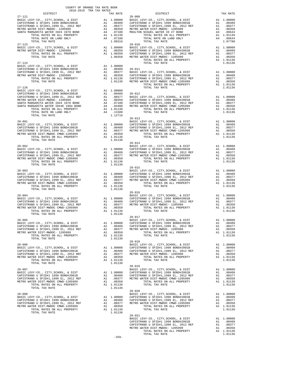| COUNTY OF ORANGE TAX RATE BOOK<br>2018-2019 TRA TAX RATES                                                                                                                                                                                                                                                                                                                                  |          |                                      |            |
|--------------------------------------------------------------------------------------------------------------------------------------------------------------------------------------------------------------------------------------------------------------------------------------------------------------------------------------------------------------------------------------------|----------|--------------------------------------|------------|
| $2018-2019 \text{ TRA} \text{ TAX RATES}$ DISTRICT 2018–2019 TRA TAX RATES<br>$27 - 121$                                                                                                                                                                                                                                                                                                   | TAX RATE | DISTRICT<br>$28 - 009$               | TAX RATE   |
|                                                                                                                                                                                                                                                                                                                                                                                            |          |                                      |            |
| $27 - 123$<br>$\begin{array}{cccccccc} 27-123 & 28-010 & 28-010 & 28-010 & 28-010 & 28-010 & 28-010 & 28-010 & 28-010 & 28-010 & 28-010 & 28-010 & 28-010 & 28-010 & 28-010 & 28-010 & 28-010 & 28-010 & 28-010 & 28-010 & 28-010 & 28-010 & 28-010 & 28-010 & 28-010 & 28-010 & 28-$<br>$27 - 124$                                                                                        |          | $28 - 010$<br>TOTAL TAX RATE         | 1.01136    |
|                                                                                                                                                                                                                                                                                                                                                                                            |          |                                      |            |
|                                                                                                                                                                                                                                                                                                                                                                                            |          |                                      |            |
|                                                                                                                                                                                                                                                                                                                                                                                            |          |                                      |            |
| $\begin{tabular}{lllllllllllllllllllll} & $\alpha_0$-u_1$ & $\alpha_0$-u_2$ & $\alpha_0$-u_3$ & $\mbox{BASTC LEVY-CO., CITY, SCHOOL, & $\mbox{E}}$ DIST & $\mbox{A1}$ & 1.00000 & $\mbox{BASTC LEVY-CO., CITY, SCHOOL, & $\mbox{E}}$ & $\mbox{A1}$ & 1.00000 & $\mbox{BASTC LEVY-CO., CITY, SCHOOL, & $\mbox{EDTSTRANO U SFID} & $\mbox{A1}$ & 1.00000 & $\mbox{A1}$ & 1.00000 & $\mbox{A$ |          |                                      |            |
|                                                                                                                                                                                                                                                                                                                                                                                            |          |                                      |            |
|                                                                                                                                                                                                                                                                                                                                                                                            |          |                                      |            |
| $28 - 005$<br>TOTAL TAX RATE                                                                                                                                                                                                                                                                                                                                                               | 1.01136  | BASIC LEVY-CO., CITY, SCHOOL, & DIST | A1 1,00000 |
|                                                                                                                                                                                                                                                                                                                                                                                            |          |                                      |            |
|                                                                                                                                                                                                                                                                                                                                                                                            |          |                                      |            |
|                                                                                                                                                                                                                                                                                                                                                                                            |          |                                      |            |
|                                                                                                                                                                                                                                                                                                                                                                                            | $-259-$  | $28 - 021$                           |            |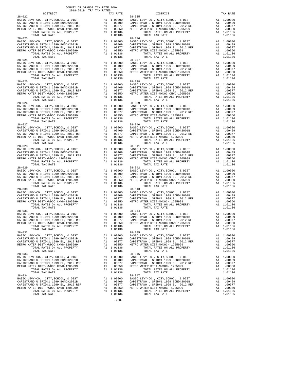| nteiwich                                                                                                                                          |     | IAA RAIL                                                                                               |                    |
|---------------------------------------------------------------------------------------------------------------------------------------------------|-----|--------------------------------------------------------------------------------------------------------|--------------------|
| $28 - 022$                                                                                                                                        |     |                                                                                                        | $28 - 035$         |
|                                                                                                                                                   |     |                                                                                                        |                    |
|                                                                                                                                                   |     |                                                                                                        |                    |
|                                                                                                                                                   |     |                                                                                                        |                    |
|                                                                                                                                                   |     |                                                                                                        |                    |
|                                                                                                                                                   |     |                                                                                                        |                    |
| TOTAL TAX RATE                                                                                                                                    |     | 1.01136                                                                                                |                    |
| $28 - 023$                                                                                                                                        |     |                                                                                                        | $28 - 036$         |
|                                                                                                                                                   |     |                                                                                                        |                    |
|                                                                                                                                                   |     |                                                                                                        |                    |
|                                                                                                                                                   |     |                                                                                                        |                    |
|                                                                                                                                                   |     |                                                                                                        |                    |
|                                                                                                                                                   |     |                                                                                                        |                    |
| TOTAL TAX RATE                                                                                                                                    |     | 1.01136                                                                                                |                    |
| $28 - 024$                                                                                                                                        |     |                                                                                                        | $28 - 037$         |
|                                                                                                                                                   |     |                                                                                                        |                    |
|                                                                                                                                                   |     |                                                                                                        |                    |
|                                                                                                                                                   |     |                                                                                                        |                    |
|                                                                                                                                                   |     |                                                                                                        |                    |
|                                                                                                                                                   |     |                                                                                                        |                    |
|                                                                                                                                                   |     |                                                                                                        |                    |
| $28 - 025$                                                                                                                                        |     |                                                                                                        | $28 - 038$         |
| BASIC LEVY-CO., CITY, SCHOOL, & DIST                                                                                                              |     | 28-038<br>A1 1.00000 BASIC<br>A1 .00409 CAPISTR<br>A1 .00350 CAPISTR<br>A1 .00350 METROW<br>A1 1.01136 |                    |
|                                                                                                                                                   |     |                                                                                                        |                    |
| THE CAPISTRANO U SFID#1 1999 BOND#2001B AL CAPISTRANO U SFID#1,1999 EL, 2012 REF Al Al AL PERO WATER DIST-1205999 AL AL PROPERTY ALL PROPERTY ALL |     |                                                                                                        |                    |
|                                                                                                                                                   |     |                                                                                                        |                    |
|                                                                                                                                                   |     |                                                                                                        |                    |
|                                                                                                                                                   |     | A1 1.01136                                                                                             |                    |
| TOTAL TAX RATE                                                                                                                                    |     | 1.01136                                                                                                |                    |
|                                                                                                                                                   |     |                                                                                                        |                    |
|                                                                                                                                                   |     |                                                                                                        |                    |
|                                                                                                                                                   |     |                                                                                                        |                    |
|                                                                                                                                                   |     |                                                                                                        |                    |
|                                                                                                                                                   |     |                                                                                                        |                    |
|                                                                                                                                                   |     |                                                                                                        |                    |
|                                                                                                                                                   |     |                                                                                                        |                    |
| $28 - 027$                                                                                                                                        |     |                                                                                                        | $28 - 040$         |
|                                                                                                                                                   |     |                                                                                                        |                    |
|                                                                                                                                                   |     |                                                                                                        |                    |
|                                                                                                                                                   |     |                                                                                                        |                    |
|                                                                                                                                                   |     |                                                                                                        |                    |
|                                                                                                                                                   |     |                                                                                                        |                    |
|                                                                                                                                                   |     |                                                                                                        |                    |
| $28 - 028$                                                                                                                                        |     |                                                                                                        | $28 - 041$         |
|                                                                                                                                                   |     |                                                                                                        |                    |
|                                                                                                                                                   |     |                                                                                                        |                    |
|                                                                                                                                                   |     |                                                                                                        |                    |
|                                                                                                                                                   |     |                                                                                                        |                    |
| TOTAL RATES ON ALL PROPERTY                                                                                                                       |     | A1 1.01136                                                                                             |                    |
|                                                                                                                                                   |     |                                                                                                        |                    |
| TOTAL TAX RATE<br>$28 - 029$                                                                                                                      |     | 1.01136                                                                                                | $28 - 042$         |
|                                                                                                                                                   |     |                                                                                                        |                    |
|                                                                                                                                                   |     |                                                                                                        |                    |
|                                                                                                                                                   |     |                                                                                                        |                    |
|                                                                                                                                                   |     |                                                                                                        |                    |
|                                                                                                                                                   |     |                                                                                                        |                    |
|                                                                                                                                                   |     |                                                                                                        |                    |
|                                                                                                                                                   |     |                                                                                                        |                    |
|                                                                                                                                                   |     |                                                                                                        |                    |
|                                                                                                                                                   |     |                                                                                                        |                    |
|                                                                                                                                                   |     |                                                                                                        |                    |
|                                                                                                                                                   |     |                                                                                                        |                    |
|                                                                                                                                                   |     |                                                                                                        |                    |
|                                                                                                                                                   |     |                                                                                                        |                    |
|                                                                                                                                                   |     |                                                                                                        |                    |
|                                                                                                                                                   |     |                                                                                                        |                    |
|                                                                                                                                                   |     |                                                                                                        |                    |
|                                                                                                                                                   |     |                                                                                                        |                    |
|                                                                                                                                                   |     |                                                                                                        |                    |
|                                                                                                                                                   |     |                                                                                                        |                    |
|                                                                                                                                                   |     |                                                                                                        |                    |
|                                                                                                                                                   |     |                                                                                                        |                    |
| $28 - 032$                                                                                                                                        |     |                                                                                                        | $28 - 045$         |
| BASIC LEVY-CO., CITY, SCHOOL, & DIST                                                                                                              | A1  | 1.00000                                                                                                | BASIC L            |
| CAPISTRANO U SFID#1 1999 BOND#2001B                                                                                                               |     | A1 .00409                                                                                              | CAPISTR            |
| CAPISTRANO U SFID#1,1999 EL, 2012 REF                                                                                                             | A1  |                                                                                                        |                    |
| METRO WATER DIST-MWDOC CMWD-1205999                                                                                                               | A1  | .00377<br>.00350                                                                                       | CAPISTR<br>METRO W |
|                                                                                                                                                   |     |                                                                                                        |                    |
| TOTAL RATES ON ALL PROPERTY                                                                                                                       |     | A1 1.01136                                                                                             |                    |
| TOTAL TAX RATE                                                                                                                                    |     | 1.01136                                                                                                |                    |
| $28 - 033$                                                                                                                                        |     |                                                                                                        | $28 - 046$         |
| BASIC LEVY-CO., CITY, SCHOOL, & DIST                                                                                                              | A1  | 1.00000                                                                                                | BASIC L            |
| CAPISTRANO U SFID#1 1999 BOND#2001B                                                                                                               |     | A1.00409                                                                                               | CAPISTR            |
| CAPISTRANO U SFID#1,1999 EL, 2012 REF                                                                                                             | A1  | .00377                                                                                                 | CAPISTR            |
| METRO WATER DIST-MWDOC CMWD-1205999                                                                                                               | A1  | .00350                                                                                                 | METRO W            |
| TOTAL RATES ON ALL PROPERTY                                                                                                                       |     | A1 1.01136                                                                                             |                    |
| TOTAL TAX RATE                                                                                                                                    |     | 1.01136                                                                                                |                    |
| $28 - 034$                                                                                                                                        |     |                                                                                                        | $28 - 047$         |
| BASIC LEVY-CO., CITY, SCHOOL, & DIST                                                                                                              | A1  | 1.00000                                                                                                | BASIC L            |
| CAPISTRANO U SFID#1 1999 BOND#2001B                                                                                                               | A1  | .00409                                                                                                 | CAPISTR            |
| CAPISTRANO U SFID#1,1999 EL, 2012 REF                                                                                                             |     | A1 .00377 CAPISTR                                                                                      |                    |
| MOOD DARD BIOD MADOG GMAD                                                                                                                         | 2.1 | $\mathbf{a} \mathbf{a} \mathbf{a} \mathbf{b} \mathbf{b}$                                               | $nmm0$             |

 COUNTY OF ORANGE TAX RATE BOOK 2018-2019 TRA TAX RATES DISTRICT TAX RATE DISTRICT TAX RATE BASIC LEVY-CO., CITY,SCHOOL, & DIST A1 1.00000 BASIC LEVY-CO., CITY,SCHOOL, & DIST A1 1.00000 CAPISTRANO U SFID#1 1999 BOND#2001B A1 .00409 CAPISTRANO U SFID#1 1999 BOND#2001B A1 .00409 CAPISTRANO U SFID#1,1999 EL, 2012 REF A1 .00377 CAPISTRANO U SFID#1,1999 EL, 2012 REF A1 .00377 METRO WATER DIST-MWDOC CMWD-1205999 A1 .00350 METRO WATER DIST-MWDOC CMWD-1205999 A1 .00350 TOTAL RATES ON ALL PROPERTY A1 1.01136 TOTAL RATES ON ALL PROPERTY A1 1.01136 TOTAL TAX RATE 1.01136 TOTAL TAX RATE 1.01136 28-023 28-036 A1  $1.00000$  BASIC LEVY-CO., CITY, SCHOOL, & DIST and  $0.00409$  CAPISTRANO U SFID#1 1999 BOND#2001B a1  $0.00409$  a1  $0.00377$  CAPISTRANO U SFID#1, 1999 EL, 2012 REF a1  $0.0377$ CAPISTRANO U SFID#1 1999 BOND#2001B A1 .00409 CAPISTRANO U SFID#1 1999 BOND#2001B A1 .00409 CAPISTRANO U SFID#1<br>CAPISTRANO U SFID#1,1999 EL, 2012 REF A1 .00377 CAPISTRANO U SFID#1,1999 EL, 2012 REF A1 .00377<br>METRO WATER DI BASIC LEVY-CO., CITY,SCHOOL, & DIST A1 1.00000 BASIC LEVY-CO., CITY,SCHOOL, & DIST A1 1.00000 CAPISTRANO U SFID#1 1999 BOND#2001B A1 .00409 CAPISTRANO U SFID#1 1999 BOND#2001B A1 .00409 CAPISTRANO U SFID#1,1999 EL, 2012 REF A1 .00377 CAPISTRANO U SFID#1,1999 EL, 2012 REF A1 .00377 METRO WATER DIST-MWDOC CMWD-1205999 A1 .00350 METRO WATER DIST-MWDOC CMWD-1205999 A1 .00350 TOTAL RATES ON ALL PROPERTY A1 1.01136 TOTAL RATES ON ALL PROPERTY A1 1.01136 TOTAL TAX RATE 1.01136 TOTAL TAX RATE 1.01136 BASIC LEVY-CO., CITY,SCHOOL, & DIST A1 1.00000 BASIC LEVY-CO., CITY,SCHOOL, & DIST A1 1.00000 CAPISTRANO U SFID#1 1999 BOND#2001B A1 .00409 CAPISTRANO U SFID#1 1999 BOND#2001B A1 .00409 CAPISTRANO U SFID#1,1999 EL, 2012 REF A1 .00377 CAPISTRANO U SFID#1,1999 EL, 2012 REF A1 .00377 METRO WATER DIST-MWDOC CMWD-1205999 A1 .00350 METRO WATER DIST-MWDOC CMWD-1205999 A1 .00350 TOTAL RATES ON ALL PROPERTY A1 1.01136 TOTAL RATES ON ALL PROPERTY A1 1.01136 TOTAL TAX RATE 1.01136 TOTAL TAX RATE 1.01136 BASIC LEVY-CO., CITY,SCHOOL, & DIST A1 1.00000 BASIC LEVY-CO., CITY,SCHOOL, & DIST A1 1.00000 CAPISTRANO U SFID#1 1999 BOND#2001B A1 .00409 CAPISTRANO U SFID#1 1999 BOND#2001B A1 .00409 CAPISTRANO U SFID#1,1999 EL, 2012 REF A1 .00377 CAPISTRANO U SFID#1,1999 EL, 2012 REF A1 .00377 METRO WATER DIST-MWDOC CMWD-1205999 A1 .00350 METRO WATER DIST-MWDOC- 1205999 A1 .00350 TOTAL RATES ON ALL PROPERTY A1 1.01136 TOTAL RATES ON ALL PROPERTY A1 1.01136 TOTAL TAX RATE 1.01136 TOTAL TAX RATE 1.01136 BASIC LEVY-CO., CITY,SCHOOL, & DIST A1 1.00000 BASIC LEVY-CO., CITY,SCHOOL, & DIST A1 1.00000 CAPISTRANO U SFID#1 1999 BOND#2001B A1 .00409 CAPISTRANO U SFID#1 1999 BOND#2001B A1 .00409 CAPISTRANO U SFID#1,1999 EL, 2012 REF A1 .00377 CAPISTRANO U SFID#1,1999 EL, 2012 REF A1 .00377 METRO WATER DIST-MWDOC CMWD-1205999 A1 .00350 METRO WATER DIST-MWDOC- 1205999 A1 .00350 TOTAL RATES ON ALL PROPERTY A1 1.01136 TOTAL RATES ON ALL PROPERTY A1 1.01136 TOTAL TAX RATE 1.01136 TOTAL TAX RATE 1.01136 BASIC LEVY-CO., CITY,SCHOOL, & DIST A1 1.00000 BASIC LEVY-CO., CITY,SCHOOL, & DIST A1 1.00000 CAPISTRANO U SFID#1 1999 BOND#2001B A1 .00409 CAPISTRANO U SFID#1 1999 BOND#2001B A1 .00409 CAPISTRANO U SFID#1,1999 EL, 2012 REF A1 .00377 CAPISTRANO U SFID#1,1999 EL, 2012 REF A1 .00377 METRO WATER DIST-MWDOC- 1205999 A1 .00350 METRO WATER DIST-MWDOC CMWD-1205999 A1 .00350 TOTAL RATES ON ALL PROPERTY A1 1.01136 TOTAL RATES ON ALL PROPERTY A1 1.01136 TOTAL TAX RATE 1.01136 TOTAL TAX RATE 1.01136 BASIC LEVY-CO., CITY,SCHOOL, & DIST A1 1.00000 BASIC LEVY-CO., CITY,SCHOOL, & DIST A1 1.00000 CAPISTRANO U SFID#1 1999 BOND#2001B A1 .00409 CAPISTRANO U SFID#1 1999 BOND#2001B A1 .00409 CAPISTRANO U SFID#1,1999 EL, 2012 REF A1 .00377 CAPISTRANO U SFID#1,1999 EL, 2012 REF A1 .00377 METRO WATER DIST-MWDOC CMWD-1205999 A1 .00350 METRO WATER DIST-MWDOC CMWD-1205999 A1 .00350 TOTAL RATES ON ALL PROPERTY A1 1.01136 TOTAL RATES ON ALL PROPERTY A1 1.01136 TOTAL TAX RATE 1.01136 TOTAL TAX RATE 1.01136 BASIC LEVY-CO., CITY, SCHOOL, & DIST<br>CAPISTRANO U SFID#1 1999 BOMD#2001B CAPISTRANO U SFID#1 1999 BD, 2012 REF<br>CAPISTRANO U SFID#1,1999 BL, 2012 REF A1 .00409 CAPISTRANO U SFID#1,1999 BD, 2012 REF A1 .00409 CAPISTRANO U SF 28-031 28-044 BASIC LEVY-CO., CITY,SCHOOL, & DIST A1 1.00000 BASIC LEVY-CO., CITY,SCHOOL, & DIST A1 1.00000 CAPISTRANO U SFID#1 1999 BOND#2001B A1 .00409 CAPISTRANO U SFID#1 1999 BOND#2001B A1 .00409 CAPISTRANO U SFID#1,1999 EL, 2012 REF A1 .00377 CAPISTRANO U SFID#1,1999 EL, 2012 REF A1 .00377 METRO WATER DIST-MWDOC CMWD-1205999 A1 .00350 METRO WATER DIST-MWDOC CMWD-1205999 A1 .00350 TOTAL RATES ON ALL PROPERTY A1 1.01136 TOTAL RATES ON ALL PROPERTY A1 1.01136 TOTAL TAX RATE 1.01136 TOTAL TAX RATE 1.01136 28-032 28-045 BASIC LEVY-CO., CITY,SCHOOL, & DIST A1 1.00000 BASIC LEVY-CO., CITY,SCHOOL, & DIST A1 1.00000 CAPISTRANO U SFID#1 1999 BOND#2001B A1 .00409 CAPISTRANO U SFID#1 1999 BOND#2001B A1 .00409 CAPISTRANO U SFID#1,1999 EL, 2012 REF A1 .00377 CAPISTRANO U SFID#1,1999 EL, 2012 REF A1 .00377 METRO WATER DIST-MWDOC CMWD-1205999 A1 .00350 METRO WATER DIST-MWDOC- 1205999 A1 .00350 TOTAL RATES ON ALL PROPERTY A1 1.01136 TOTAL RATES ON ALL PROPERTY A1 1.01136 TOTAL TAX RATE 1.01136 TOTAL TAX RATE 1.01136 28-033 28-046 BASIC LEVY-CO., CITY,SCHOOL, & DIST A1 1.00000 BASIC LEVY-CO., CITY,SCHOOL, & DIST A1 1.00000 CAPISTRANO U SFID#1 1999 BOND#2001B A1 .00409 CAPISTRANO U SFID#1 1999 BOND#2001B A1 .00409 CAPISTRANO U SFID#1,1999 EL, 2012 REF A1 .00377 CAPISTRANO U SFID#1,1999 EL, 2012 REF A1 .00377 METRO WATER DIST-MWDOC CMWD-1205999 A1 .00350 METRO WATER DIST-MWDOC- 1205999 A1 .00350 TOTAL RATES ON ALL PROPERTY A1 1.01136 TOTAL RATES ON ALL PROPERTY A1 1.01136 TOTAL TAX RATE 1.01136 TOTAL TAX RATE 1.01136 BASIC LEVY-CO., CITY,SCHOOL, & DIST A1 1.00000 BASIC LEVY-CO., CITY,SCHOOL, & DIST A1 1.00000 CAPISTRANO U SFID#1 1999 BOND#2001B A1 .00409 CAPISTRANO U SFID#1 1999 BOND#2001B A1 .00409 CAPISTRANO U SFID#1,1999 EL, 2012 REF A1 .00377 CAPISTRANO U SFID#1,1999 EL, 2012 REF A1 .00377 METRO WATER DIST-MWDOC CMWD-1205999 A1 .00350 METRO WATER DIST-MWDOC- 1205999 A1 .00350 TOTAL RATES ON ALL PROPERTY A1 1.01136 TOTAL RATES ON ALL PROPERTY A1 1.01136 TOTAL TAX RATE 1.01136 TOTAL TAX RATE 1.01136

-260-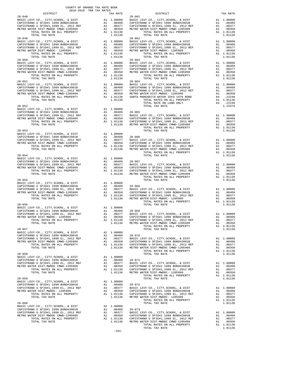| DISTRICT                                                                                                                                                                                                                                | COUNTY OF ORANGE TAX RATE BOOK<br>2018-2019 TRA TAX RATES | TAX RATE                                                                                            |                    |
|-----------------------------------------------------------------------------------------------------------------------------------------------------------------------------------------------------------------------------------------|-----------------------------------------------------------|-----------------------------------------------------------------------------------------------------|--------------------|
|                                                                                                                                                                                                                                         |                                                           |                                                                                                     |                    |
|                                                                                                                                                                                                                                         |                                                           |                                                                                                     |                    |
|                                                                                                                                                                                                                                         |                                                           |                                                                                                     |                    |
|                                                                                                                                                                                                                                         |                                                           |                                                                                                     |                    |
|                                                                                                                                                                                                                                         |                                                           |                                                                                                     |                    |
|                                                                                                                                                                                                                                         |                                                           |                                                                                                     |                    |
|                                                                                                                                                                                                                                         |                                                           |                                                                                                     |                    |
|                                                                                                                                                                                                                                         |                                                           |                                                                                                     |                    |
|                                                                                                                                                                                                                                         |                                                           |                                                                                                     |                    |
|                                                                                                                                                                                                                                         |                                                           |                                                                                                     |                    |
|                                                                                                                                                                                                                                         |                                                           |                                                                                                     |                    |
|                                                                                                                                                                                                                                         |                                                           |                                                                                                     |                    |
|                                                                                                                                                                                                                                         |                                                           |                                                                                                     |                    |
|                                                                                                                                                                                                                                         |                                                           |                                                                                                     |                    |
|                                                                                                                                                                                                                                         |                                                           |                                                                                                     |                    |
| $28 - 051$                                                                                                                                                                                                                              |                                                           |                                                                                                     | $28 - 064$         |
|                                                                                                                                                                                                                                         |                                                           |                                                                                                     |                    |
|                                                                                                                                                                                                                                         |                                                           |                                                                                                     |                    |
|                                                                                                                                                                                                                                         |                                                           |                                                                                                     |                    |
| TOTAL TAX RATE                                                                                                                                                                                                                          |                                                           | 1.01136                                                                                             |                    |
|                                                                                                                                                                                                                                         |                                                           |                                                                                                     |                    |
|                                                                                                                                                                                                                                         |                                                           |                                                                                                     |                    |
|                                                                                                                                                                                                                                         |                                                           |                                                                                                     |                    |
|                                                                                                                                                                                                                                         |                                                           |                                                                                                     |                    |
|                                                                                                                                                                                                                                         |                                                           |                                                                                                     |                    |
|                                                                                                                                                                                                                                         |                                                           |                                                                                                     |                    |
| $28 - 053$                                                                                                                                                                                                                              |                                                           |                                                                                                     |                    |
|                                                                                                                                                                                                                                         |                                                           |                                                                                                     |                    |
|                                                                                                                                                                                                                                         |                                                           |                                                                                                     |                    |
|                                                                                                                                                                                                                                         |                                                           |                                                                                                     |                    |
|                                                                                                                                                                                                                                         |                                                           |                                                                                                     |                    |
|                                                                                                                                                                                                                                         |                                                           |                                                                                                     |                    |
|                                                                                                                                                                                                                                         |                                                           |                                                                                                     |                    |
|                                                                                                                                                                                                                                         |                                                           |                                                                                                     |                    |
|                                                                                                                                                                                                                                         |                                                           |                                                                                                     |                    |
|                                                                                                                                                                                                                                         |                                                           |                                                                                                     |                    |
|                                                                                                                                                                                                                                         |                                                           |                                                                                                     |                    |
| $28 - 055$                                                                                                                                                                                                                              |                                                           |                                                                                                     |                    |
|                                                                                                                                                                                                                                         |                                                           |                                                                                                     |                    |
|                                                                                                                                                                                                                                         |                                                           |                                                                                                     |                    |
|                                                                                                                                                                                                                                         |                                                           |                                                                                                     |                    |
|                                                                                                                                                                                                                                         |                                                           |                                                                                                     |                    |
|                                                                                                                                                                                                                                         |                                                           |                                                                                                     |                    |
| $28 - 056$                                                                                                                                                                                                                              |                                                           |                                                                                                     |                    |
| ERIC LEVY-CO., CITY, SCHOOL, & DIST<br>CAPISTRANO U SFID#1 1999 BOND#2001B<br>CAPISTRANO U SFID#1 1999 BDND#2001B<br>CAPISTRANO U SFID#1,1999 BD. 2012 REF<br>METRO WATER DIST-MWDOC- 1205999<br>TOTAL RATES ON ALL PROPERTY A1 1.01136 |                                                           |                                                                                                     |                    |
|                                                                                                                                                                                                                                         |                                                           |                                                                                                     |                    |
|                                                                                                                                                                                                                                         |                                                           |                                                                                                     |                    |
| TOTAL TAX RATE                                                                                                                                                                                                                          |                                                           |                                                                                                     | 1.01136 METRO W    |
|                                                                                                                                                                                                                                         |                                                           |                                                                                                     |                    |
| $28 - 057$<br>BASIC LEVY-CO., CITY, SCHOOL, & DIST                                                                                                                                                                                      | A1                                                        | 1.00000                                                                                             |                    |
| CAPISTRANO U SFID#1 1999 BOND#2001B                                                                                                                                                                                                     |                                                           | A1 .00409 28-070                                                                                    |                    |
| CAPISIRANO U SFID#1 1999 BOND#2001B<br>CAPISTRANO U SFID#1,1999 EL, 2012 REF<br>METRO WATER DIST-MWDOC CMWD-1205999                                                                                                                     |                                                           | A1 .00377<br>A1<br>.00350                                                                           | BASIC L<br>CAPISTR |
| TOTAL RATES ON ALL PROPERTY                                                                                                                                                                                                             |                                                           |                                                                                                     |                    |
| TOTAL TAX RATE                                                                                                                                                                                                                          |                                                           | A1 1.01136 CAPISTR<br>1.01136 METRO W                                                               |                    |
| $28 - 058$                                                                                                                                                                                                                              |                                                           |                                                                                                     |                    |
| BASIC LEVY-CO., CITY, SCHOOL, & DIST                                                                                                                                                                                                    |                                                           | A1 1.00000                                                                                          |                    |
| CAPISTRANO U SFID#1 1999 BOND#2001B<br>CAPISTRANO O SEIDHI 1999 EL, 2012 REF<br>CAPISTRANO U SFIDH1,1999 EL, 2012 REF                                                                                                                   |                                                           |                                                                                                     |                    |
| METRO WATER DIST-MWDOC CMWD-1205999                                                                                                                                                                                                     |                                                           |                                                                                                     |                    |
| TOTAL RATES ON ALL PROPERTY                                                                                                                                                                                                             |                                                           | A1 .00409 28-071<br>A1 .00377 BASIC L<br>A1 .00377 BASIC L<br>A1 1.01136 CAPISTR<br>1.01136 METRO W |                    |
| TOTAL TAX RATE                                                                                                                                                                                                                          |                                                           |                                                                                                     |                    |
| $28 - 059$                                                                                                                                                                                                                              |                                                           |                                                                                                     |                    |
| BASIC LEVY-CO., CITY, SCHOOL, & DIST<br>CAPISTRANO U SFID#1 1999 BOND#2001B                                                                                                                                                             |                                                           | A1 1.00000<br>A1 .00409 28-072                                                                      |                    |
| CAPISTRANO U SFID#1 1999 BOND#2001B<br>CAPISTRANO U SFID#1,1999 EL, 2012 REF                                                                                                                                                            | A1                                                        | .00377                                                                                              | BASIC L            |
| METRO WATER DIST-MWDOC- 1205999                                                                                                                                                                                                         |                                                           |                                                                                                     |                    |
| TOTAL RATES ON ALL PROPERTY<br>TOTAL TAX RATE                                                                                                                                                                                           |                                                           | A1 .00350 CAPISTR<br>A1 1.01136 CAPISTR<br>1.01136 METROW                                           |                    |
|                                                                                                                                                                                                                                         |                                                           |                                                                                                     |                    |
| $28 - 060$<br>BASIC LEVY-CO., CITY, SCHOOL, & DIST                                                                                                                                                                                      |                                                           | $A1 \quad 1.00000$                                                                                  |                    |
| CAPISTRANO U SFID#1 1999 BOND#2001B                                                                                                                                                                                                     |                                                           |                                                                                                     |                    |
| CAPISTRANO U SFID#1,1999 EL, 2012 REF<br>METRO WATER DIST-MWDOC CMWD-1205999                                                                                                                                                            |                                                           | A1 .00409 28-073<br>A1 .00377 BASIC L<br>A1 .00350 CAPISTR                                          |                    |
| TOTAL RATES ON ALL PROPERTY                                                                                                                                                                                                             |                                                           | A1 1.01136                                                                                          | CAPISTR            |
| TOTAL TAX RATE                                                                                                                                                                                                                          |                                                           |                                                                                                     | 1.01136 METRO W    |

-261-

|  | TOTAL RATES ON ALL PROPERTY A1 1.01136 |  |
|--|----------------------------------------|--|
|  |                                        |  |
|  |                                        |  |
|  |                                        |  |
|  |                                        |  |
|  |                                        |  |
|  |                                        |  |
|  |                                        |  |
|  |                                        |  |
|  |                                        |  |
|  |                                        |  |
|  |                                        |  |
|  |                                        |  |
|  |                                        |  |
|  |                                        |  |
|  |                                        |  |
|  |                                        |  |
|  |                                        |  |
|  |                                        |  |
|  |                                        |  |
|  |                                        |  |
|  |                                        |  |
|  |                                        |  |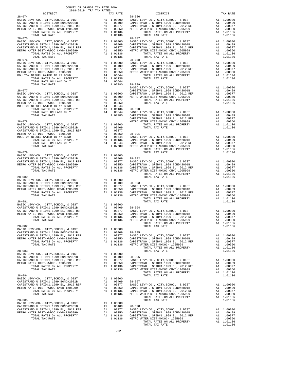| 2018-2019 TRA TAX RATES<br>DISTRICT |  |                                                                                                                                                                                                                                                                                                                                                                                                                                                                                                                                                                                                                                                                                                                                                                                                                                                                                                          |          |
|-------------------------------------|--|----------------------------------------------------------------------------------------------------------------------------------------------------------------------------------------------------------------------------------------------------------------------------------------------------------------------------------------------------------------------------------------------------------------------------------------------------------------------------------------------------------------------------------------------------------------------------------------------------------------------------------------------------------------------------------------------------------------------------------------------------------------------------------------------------------------------------------------------------------------------------------------------------------|----------|
| $28 - 074$                          |  | TAX RATE DISTRICT<br>28-086                                                                                                                                                                                                                                                                                                                                                                                                                                                                                                                                                                                                                                                                                                                                                                                                                                                                              | TAX RATE |
|                                     |  |                                                                                                                                                                                                                                                                                                                                                                                                                                                                                                                                                                                                                                                                                                                                                                                                                                                                                                          |          |
|                                     |  |                                                                                                                                                                                                                                                                                                                                                                                                                                                                                                                                                                                                                                                                                                                                                                                                                                                                                                          |          |
|                                     |  |                                                                                                                                                                                                                                                                                                                                                                                                                                                                                                                                                                                                                                                                                                                                                                                                                                                                                                          |          |
|                                     |  |                                                                                                                                                                                                                                                                                                                                                                                                                                                                                                                                                                                                                                                                                                                                                                                                                                                                                                          |          |
|                                     |  |                                                                                                                                                                                                                                                                                                                                                                                                                                                                                                                                                                                                                                                                                                                                                                                                                                                                                                          |          |
|                                     |  |                                                                                                                                                                                                                                                                                                                                                                                                                                                                                                                                                                                                                                                                                                                                                                                                                                                                                                          |          |
|                                     |  |                                                                                                                                                                                                                                                                                                                                                                                                                                                                                                                                                                                                                                                                                                                                                                                                                                                                                                          |          |
|                                     |  |                                                                                                                                                                                                                                                                                                                                                                                                                                                                                                                                                                                                                                                                                                                                                                                                                                                                                                          |          |
|                                     |  |                                                                                                                                                                                                                                                                                                                                                                                                                                                                                                                                                                                                                                                                                                                                                                                                                                                                                                          |          |
|                                     |  |                                                                                                                                                                                                                                                                                                                                                                                                                                                                                                                                                                                                                                                                                                                                                                                                                                                                                                          |          |
|                                     |  |                                                                                                                                                                                                                                                                                                                                                                                                                                                                                                                                                                                                                                                                                                                                                                                                                                                                                                          |          |
|                                     |  |                                                                                                                                                                                                                                                                                                                                                                                                                                                                                                                                                                                                                                                                                                                                                                                                                                                                                                          |          |
|                                     |  |                                                                                                                                                                                                                                                                                                                                                                                                                                                                                                                                                                                                                                                                                                                                                                                                                                                                                                          |          |
|                                     |  |                                                                                                                                                                                                                                                                                                                                                                                                                                                                                                                                                                                                                                                                                                                                                                                                                                                                                                          |          |
|                                     |  |                                                                                                                                                                                                                                                                                                                                                                                                                                                                                                                                                                                                                                                                                                                                                                                                                                                                                                          |          |
|                                     |  |                                                                                                                                                                                                                                                                                                                                                                                                                                                                                                                                                                                                                                                                                                                                                                                                                                                                                                          |          |
|                                     |  |                                                                                                                                                                                                                                                                                                                                                                                                                                                                                                                                                                                                                                                                                                                                                                                                                                                                                                          |          |
|                                     |  |                                                                                                                                                                                                                                                                                                                                                                                                                                                                                                                                                                                                                                                                                                                                                                                                                                                                                                          |          |
|                                     |  |                                                                                                                                                                                                                                                                                                                                                                                                                                                                                                                                                                                                                                                                                                                                                                                                                                                                                                          |          |
|                                     |  |                                                                                                                                                                                                                                                                                                                                                                                                                                                                                                                                                                                                                                                                                                                                                                                                                                                                                                          |          |
|                                     |  |                                                                                                                                                                                                                                                                                                                                                                                                                                                                                                                                                                                                                                                                                                                                                                                                                                                                                                          |          |
|                                     |  |                                                                                                                                                                                                                                                                                                                                                                                                                                                                                                                                                                                                                                                                                                                                                                                                                                                                                                          |          |
|                                     |  |                                                                                                                                                                                                                                                                                                                                                                                                                                                                                                                                                                                                                                                                                                                                                                                                                                                                                                          |          |
|                                     |  |                                                                                                                                                                                                                                                                                                                                                                                                                                                                                                                                                                                                                                                                                                                                                                                                                                                                                                          |          |
|                                     |  |                                                                                                                                                                                                                                                                                                                                                                                                                                                                                                                                                                                                                                                                                                                                                                                                                                                                                                          |          |
|                                     |  |                                                                                                                                                                                                                                                                                                                                                                                                                                                                                                                                                                                                                                                                                                                                                                                                                                                                                                          |          |
|                                     |  |                                                                                                                                                                                                                                                                                                                                                                                                                                                                                                                                                                                                                                                                                                                                                                                                                                                                                                          |          |
|                                     |  |                                                                                                                                                                                                                                                                                                                                                                                                                                                                                                                                                                                                                                                                                                                                                                                                                                                                                                          |          |
|                                     |  |                                                                                                                                                                                                                                                                                                                                                                                                                                                                                                                                                                                                                                                                                                                                                                                                                                                                                                          |          |
|                                     |  |                                                                                                                                                                                                                                                                                                                                                                                                                                                                                                                                                                                                                                                                                                                                                                                                                                                                                                          |          |
|                                     |  |                                                                                                                                                                                                                                                                                                                                                                                                                                                                                                                                                                                                                                                                                                                                                                                                                                                                                                          |          |
|                                     |  |                                                                                                                                                                                                                                                                                                                                                                                                                                                                                                                                                                                                                                                                                                                                                                                                                                                                                                          |          |
|                                     |  |                                                                                                                                                                                                                                                                                                                                                                                                                                                                                                                                                                                                                                                                                                                                                                                                                                                                                                          |          |
|                                     |  |                                                                                                                                                                                                                                                                                                                                                                                                                                                                                                                                                                                                                                                                                                                                                                                                                                                                                                          |          |
|                                     |  |                                                                                                                                                                                                                                                                                                                                                                                                                                                                                                                                                                                                                                                                                                                                                                                                                                                                                                          |          |
|                                     |  |                                                                                                                                                                                                                                                                                                                                                                                                                                                                                                                                                                                                                                                                                                                                                                                                                                                                                                          |          |
|                                     |  |                                                                                                                                                                                                                                                                                                                                                                                                                                                                                                                                                                                                                                                                                                                                                                                                                                                                                                          |          |
|                                     |  |                                                                                                                                                                                                                                                                                                                                                                                                                                                                                                                                                                                                                                                                                                                                                                                                                                                                                                          |          |
|                                     |  |                                                                                                                                                                                                                                                                                                                                                                                                                                                                                                                                                                                                                                                                                                                                                                                                                                                                                                          |          |
|                                     |  |                                                                                                                                                                                                                                                                                                                                                                                                                                                                                                                                                                                                                                                                                                                                                                                                                                                                                                          |          |
|                                     |  |                                                                                                                                                                                                                                                                                                                                                                                                                                                                                                                                                                                                                                                                                                                                                                                                                                                                                                          |          |
|                                     |  |                                                                                                                                                                                                                                                                                                                                                                                                                                                                                                                                                                                                                                                                                                                                                                                                                                                                                                          |          |
|                                     |  |                                                                                                                                                                                                                                                                                                                                                                                                                                                                                                                                                                                                                                                                                                                                                                                                                                                                                                          |          |
|                                     |  |                                                                                                                                                                                                                                                                                                                                                                                                                                                                                                                                                                                                                                                                                                                                                                                                                                                                                                          |          |
|                                     |  |                                                                                                                                                                                                                                                                                                                                                                                                                                                                                                                                                                                                                                                                                                                                                                                                                                                                                                          |          |
|                                     |  |                                                                                                                                                                                                                                                                                                                                                                                                                                                                                                                                                                                                                                                                                                                                                                                                                                                                                                          |          |
|                                     |  | $\begin{tabular}{lllllllllllllllllllll} \multicolumn{4}{c }{\begin{tabular}{c} \multicolumn{4}{c}{\begin{tabular}{c} \multicolumn{4}{c}{\begin{tabular}{c} \multicolumn{4}{c}{\begin{tabular}{c} \multicolumn{4}{c}{\begin{tabular}{c} \multicolumn{4}{c}{\begin{tabular}{c} \multicolumn{4}{c}{\begin{tabular}{c} \multicolumn{4}{c}{\begin{tabular}{c} \multicolumn{4}{c}{\begin{tabular}{c} \multicolumn{4}{c}{\begin{tabular}{c} \multicolumn{4}{c}{\begin{tabular}{c} \multicolumn{4}{c}{\begin{tabular$                                                                                                                                                                                                                                                                                                                                                                                            |          |
|                                     |  |                                                                                                                                                                                                                                                                                                                                                                                                                                                                                                                                                                                                                                                                                                                                                                                                                                                                                                          |          |
|                                     |  |                                                                                                                                                                                                                                                                                                                                                                                                                                                                                                                                                                                                                                                                                                                                                                                                                                                                                                          |          |
|                                     |  |                                                                                                                                                                                                                                                                                                                                                                                                                                                                                                                                                                                                                                                                                                                                                                                                                                                                                                          |          |
|                                     |  |                                                                                                                                                                                                                                                                                                                                                                                                                                                                                                                                                                                                                                                                                                                                                                                                                                                                                                          |          |
|                                     |  |                                                                                                                                                                                                                                                                                                                                                                                                                                                                                                                                                                                                                                                                                                                                                                                                                                                                                                          |          |
|                                     |  |                                                                                                                                                                                                                                                                                                                                                                                                                                                                                                                                                                                                                                                                                                                                                                                                                                                                                                          |          |
|                                     |  | TOTAL TAX RATE COMPOSITION IN THE RESISTENTIAL PROPERTY AND METRO WATER DIST-MWDOC CMWD-1205999 A1 .00350                                                                                                                                                                                                                                                                                                                                                                                                                                                                                                                                                                                                                                                                                                                                                                                                |          |
|                                     |  |                                                                                                                                                                                                                                                                                                                                                                                                                                                                                                                                                                                                                                                                                                                                                                                                                                                                                                          |          |
|                                     |  |                                                                                                                                                                                                                                                                                                                                                                                                                                                                                                                                                                                                                                                                                                                                                                                                                                                                                                          |          |
|                                     |  |                                                                                                                                                                                                                                                                                                                                                                                                                                                                                                                                                                                                                                                                                                                                                                                                                                                                                                          |          |
|                                     |  |                                                                                                                                                                                                                                                                                                                                                                                                                                                                                                                                                                                                                                                                                                                                                                                                                                                                                                          |          |
|                                     |  |                                                                                                                                                                                                                                                                                                                                                                                                                                                                                                                                                                                                                                                                                                                                                                                                                                                                                                          |          |
|                                     |  |                                                                                                                                                                                                                                                                                                                                                                                                                                                                                                                                                                                                                                                                                                                                                                                                                                                                                                          |          |
|                                     |  |                                                                                                                                                                                                                                                                                                                                                                                                                                                                                                                                                                                                                                                                                                                                                                                                                                                                                                          |          |
|                                     |  |                                                                                                                                                                                                                                                                                                                                                                                                                                                                                                                                                                                                                                                                                                                                                                                                                                                                                                          |          |
|                                     |  |                                                                                                                                                                                                                                                                                                                                                                                                                                                                                                                                                                                                                                                                                                                                                                                                                                                                                                          |          |
|                                     |  |                                                                                                                                                                                                                                                                                                                                                                                                                                                                                                                                                                                                                                                                                                                                                                                                                                                                                                          |          |
|                                     |  |                                                                                                                                                                                                                                                                                                                                                                                                                                                                                                                                                                                                                                                                                                                                                                                                                                                                                                          |          |
|                                     |  |                                                                                                                                                                                                                                                                                                                                                                                                                                                                                                                                                                                                                                                                                                                                                                                                                                                                                                          |          |
|                                     |  |                                                                                                                                                                                                                                                                                                                                                                                                                                                                                                                                                                                                                                                                                                                                                                                                                                                                                                          |          |
|                                     |  |                                                                                                                                                                                                                                                                                                                                                                                                                                                                                                                                                                                                                                                                                                                                                                                                                                                                                                          |          |
|                                     |  |                                                                                                                                                                                                                                                                                                                                                                                                                                                                                                                                                                                                                                                                                                                                                                                                                                                                                                          |          |
|                                     |  |                                                                                                                                                                                                                                                                                                                                                                                                                                                                                                                                                                                                                                                                                                                                                                                                                                                                                                          |          |
|                                     |  |                                                                                                                                                                                                                                                                                                                                                                                                                                                                                                                                                                                                                                                                                                                                                                                                                                                                                                          |          |
|                                     |  |                                                                                                                                                                                                                                                                                                                                                                                                                                                                                                                                                                                                                                                                                                                                                                                                                                                                                                          |          |
|                                     |  |                                                                                                                                                                                                                                                                                                                                                                                                                                                                                                                                                                                                                                                                                                                                                                                                                                                                                                          |          |
|                                     |  | $\begin{tabular}{lllllllllllll} \multicolumn{4.5cm}{0.0337} \multicolumn{4.5cm}{0.0337} \multicolumn{4.5cm}{0.0337} \multicolumn{4.5cm}{0.0337} \multicolumn{4.5cm}{0.0337} \multicolumn{4.5cm}{0.0337} \multicolumn{4.5cm}{0.0337} \multicolumn{4.5cm}{0.0337} \multicolumn{4.5cm}{0.0337} \multicolumn{4.5cm}{0.0337} \multicolumn{4.5cm}{0.0337} \multicolumn{4.5cm}{0.0337} \mult$<br>$\begin{tabular}{lllllllllllll} \multicolumn{4}{c}{\begin{tabular}{l} \multicolumn{4}{c}{\begin{tabular}{l} \multicolumn{4}{c}{\begin{tabular}{l} \multicolumn{4}{c}{\begin{tabular}{l} \multicolumn{4}{c}{\begin{tabular}{l} \multicolumn{4}{c}{\begin{tabular}{l} \multicolumn{4}{c}{\begin{tabular}{l} \multicolumn{4}{c}{\begin{tabular}{l} \multicolumn{4}{c}{\begin{tabular}{l} \multicolumn{4}{c}{\begin{tabular}{l} \multicolumn{4}{c}{\begin{tabular}{l} \multicolumn{4}{c}{\begin{tabular}{l} \mult$ |          |
|                                     |  |                                                                                                                                                                                                                                                                                                                                                                                                                                                                                                                                                                                                                                                                                                                                                                                                                                                                                                          |          |
|                                     |  |                                                                                                                                                                                                                                                                                                                                                                                                                                                                                                                                                                                                                                                                                                                                                                                                                                                                                                          |          |
|                                     |  |                                                                                                                                                                                                                                                                                                                                                                                                                                                                                                                                                                                                                                                                                                                                                                                                                                                                                                          |          |
|                                     |  |                                                                                                                                                                                                                                                                                                                                                                                                                                                                                                                                                                                                                                                                                                                                                                                                                                                                                                          |          |
|                                     |  |                                                                                                                                                                                                                                                                                                                                                                                                                                                                                                                                                                                                                                                                                                                                                                                                                                                                                                          |          |
|                                     |  |                                                                                                                                                                                                                                                                                                                                                                                                                                                                                                                                                                                                                                                                                                                                                                                                                                                                                                          |          |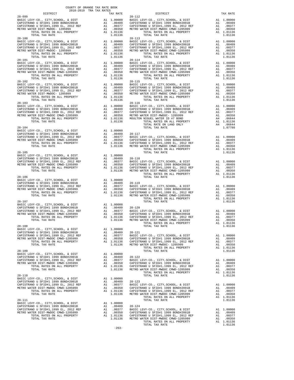| DISTRICT                                                                                                                                                                                                                                             | THE THE RETTIN | TAX RATE                                                                                    |                                                        |
|------------------------------------------------------------------------------------------------------------------------------------------------------------------------------------------------------------------------------------------------------|----------------|---------------------------------------------------------------------------------------------|--------------------------------------------------------|
|                                                                                                                                                                                                                                                      |                |                                                                                             |                                                        |
| TOTAL TAX RATE<br>$28 - 100$                                                                                                                                                                                                                         |                |                                                                                             | $28 - 113$                                             |
| TOTAL TAX RATE                                                                                                                                                                                                                                       |                | 1.01136                                                                                     |                                                        |
| $28 - 102$<br>TOTAL TAX RATE                                                                                                                                                                                                                         |                | 1.01136                                                                                     | $28 - 115$                                             |
| $28 - 103$<br>TOTAL TAX RATE                                                                                                                                                                                                                         |                | 1.01136                                                                                     | $28 - 116$                                             |
| $28 - 104$                                                                                                                                                                                                                                           |                |                                                                                             |                                                        |
| $28 - 105$                                                                                                                                                                                                                                           |                |                                                                                             |                                                        |
| $28 - 106$                                                                                                                                                                                                                                           |                |                                                                                             |                                                        |
| $28 - 107$<br>EXAIN THE EVIT CO., CITY, SCHOOL, & DIST Al 1.00000<br>CAPISTRANO U SFID#1 1999 BOND#2001B A1 .00409 28-120<br>CAPISTRANO U SFID#1, 1999 BL, 2012 REF A1 .00377 BASIC L<br>METRO WATER DIST-MWDOC CMWD-1205999 A1 .00370 CAPISTR<br>ME |                |                                                                                             |                                                        |
| $28 - 108$<br>BASIC LEVY-CO., CITY, SCHOOL, & DIST<br>CAPISTRANO U SFID#1 1999 BOND#2001B<br>CAPISTRANO U SFID#1,1999 EL, 2012 REF<br>METRO WATER DIST-MWDOC CMWD-1205999<br>TOTAL RATES ON ALL PROPERTY<br>TOTAL TAX RATE                           | A1<br>A1       | A1 1.00000<br>.00409<br>.00377<br>A1 .00350 CAPISTR<br>A1 1.01136 CAPISTR<br>1.01136 METROW | $28 - 121$<br>BASIC L                                  |
| $28 - 109$<br>BASIC LEVY-CO., CITY, SCHOOL, & DIST<br>CAPISTRANO U SFID#1 1999 BOND#2001B<br>CAPISTRANO U SFID#1,1999 EL, 2012 REF<br>METRO WATER DIST-MWDOC CMWD-1205999<br>TOTAL RATES ON ALL PROPERTY<br>TOTAL TAX RATE                           | A1<br>A1<br>A1 | 1.00000<br>A1 .00409<br>.00377<br>.00350<br>A1 1.01136<br>1.01136                           | $28 - 122$<br>BASIC L<br>CAPISTR<br>CAPISTR<br>METRO W |
| $28 - 110$<br>BASIC LEVY-CO., CITY, SCHOOL, & DIST<br>CAPISTRANO U SFID#1 1999 BOND#2001B<br>CAPISTRANO U SFID#1,1999 EL, 2012 REF<br>METRO WATER DIST-MWDOC CMWD-1205999<br>TOTAL RATES ON ALL PROPERTY<br>TOTAL TAX RATE                           |                | A1 1.00000<br>A1.00409<br>A1 .00377<br>A1.00350<br>A1 1.01136 CAPISTR<br>1.01136 METRO W    | $28 - 123$<br>BASIC L<br>CAPISTR                       |
| $28 - 111$<br>BASIC LEVY-CO., CITY, SCHOOL, & DIST<br>CAPISTRANO U SFID#1 1999 BOND#2001B<br>CAPISTRANO U SFID#1,1999 EL, 2012 REF<br>METRO WATER DIST-MWDOC CMWD-1205999<br>TOTAL RATES ON ALL PROPERTY<br>TOTAL TAX RATE                           | A1<br>A1       | A1 1.00000<br>A1 .00409 28-124<br>.00377<br>.00350<br>A1 1.01136<br>1.01136 METRO W         | BASIC L<br>CAPISTR<br>CAPISTR                          |

|         | $\begin{tabular}{lllllllllllllllllllll} \multicolumn{4}{c}{\begin{tabular}{l} \multicolumn{4}{c}{\begin{tabular}{l} \multicolumn{4}{c}{\begin{tabular}{l} \multicolumn{4}{c}{\begin{tabular}{l} \multicolumn{4}{c}{\begin{tabular}{l} \multicolumn{4}{c}{\begin{tabular}{l} \multicolumn{4}{c}{\begin{tabular}{l} \multicolumn{4}{c}{\begin{tabular}{l} \multicolumn{4}{c}{\begin{tabular}{l} \multicolumn{4}{c}{\begin{tabular}{l} \multicolumn{4}{c}{\begin{tabular}{l} \multicolumn{4}{c}{\begin{tabular}{$ |  |
|---------|----------------------------------------------------------------------------------------------------------------------------------------------------------------------------------------------------------------------------------------------------------------------------------------------------------------------------------------------------------------------------------------------------------------------------------------------------------------------------------------------------------------|--|
|         |                                                                                                                                                                                                                                                                                                                                                                                                                                                                                                                |  |
|         |                                                                                                                                                                                                                                                                                                                                                                                                                                                                                                                |  |
|         |                                                                                                                                                                                                                                                                                                                                                                                                                                                                                                                |  |
|         |                                                                                                                                                                                                                                                                                                                                                                                                                                                                                                                |  |
|         |                                                                                                                                                                                                                                                                                                                                                                                                                                                                                                                |  |
|         |                                                                                                                                                                                                                                                                                                                                                                                                                                                                                                                |  |
|         |                                                                                                                                                                                                                                                                                                                                                                                                                                                                                                                |  |
|         |                                                                                                                                                                                                                                                                                                                                                                                                                                                                                                                |  |
|         |                                                                                                                                                                                                                                                                                                                                                                                                                                                                                                                |  |
| $-263-$ |                                                                                                                                                                                                                                                                                                                                                                                                                                                                                                                |  |
|         |                                                                                                                                                                                                                                                                                                                                                                                                                                                                                                                |  |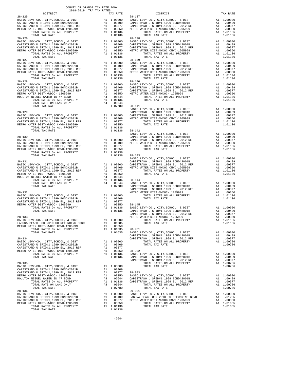|                                                                             | COUNTY OF ORANGE TAX RATE BOOK<br>2018-2019 TRA TAX RATES |                                |
|-----------------------------------------------------------------------------|-----------------------------------------------------------|--------------------------------|
| DISTRICT                                                                    | TAX RATE                                                  |                                |
|                                                                             |                                                           |                                |
|                                                                             |                                                           |                                |
|                                                                             |                                                           |                                |
|                                                                             |                                                           |                                |
|                                                                             |                                                           |                                |
|                                                                             |                                                           |                                |
|                                                                             |                                                           |                                |
|                                                                             |                                                           |                                |
|                                                                             |                                                           |                                |
|                                                                             |                                                           |                                |
| $28 - 127$                                                                  |                                                           |                                |
|                                                                             |                                                           | $28 - 139$                     |
|                                                                             |                                                           |                                |
|                                                                             |                                                           |                                |
|                                                                             |                                                           |                                |
|                                                                             |                                                           |                                |
| $28 - 128$                                                                  |                                                           | $28 - 140$                     |
|                                                                             |                                                           |                                |
|                                                                             |                                                           |                                |
|                                                                             |                                                           |                                |
|                                                                             |                                                           |                                |
|                                                                             |                                                           |                                |
|                                                                             |                                                           |                                |
| TOTAL TAX RATE                                                              |                                                           | 1.07780 28-141                 |
| $28 - 129$                                                                  |                                                           | BASIC L<br>CAPISTR             |
|                                                                             |                                                           |                                |
|                                                                             |                                                           |                                |
|                                                                             |                                                           |                                |
|                                                                             |                                                           |                                |
| TOTAL TAX RATE                                                              |                                                           |                                |
|                                                                             |                                                           | 1.01136 28-142<br>BASIC L      |
| $28 - 130$                                                                  |                                                           | CAPISTR                        |
|                                                                             |                                                           |                                |
|                                                                             |                                                           |                                |
|                                                                             |                                                           |                                |
|                                                                             |                                                           |                                |
| TOTAL TAX RATE                                                              |                                                           | 1.01136 28-143                 |
| $28 - 131$                                                                  |                                                           | BASIC L<br>CAPISTR             |
|                                                                             |                                                           |                                |
|                                                                             |                                                           |                                |
|                                                                             |                                                           |                                |
|                                                                             |                                                           |                                |
| MOULTON NIGUEL WATER ID #7 BOND                                             |                                                           |                                |
|                                                                             |                                                           |                                |
|                                                                             |                                                           |                                |
|                                                                             |                                                           | CAPISTR                        |
| $28 - 132$                                                                  |                                                           | METRO W                        |
|                                                                             |                                                           |                                |
|                                                                             |                                                           |                                |
|                                                                             |                                                           |                                |
|                                                                             |                                                           |                                |
|                                                                             |                                                           | CAPISTR                        |
| $28 - 133$                                                                  |                                                           | METRO W                        |
| BASIC LEVY-CO., CITY, SCHOOL, & DIST                                        | A1 1.00000                                                |                                |
| LAGUNA BEACH USD 2010 GO REFUNDING BOND                                     | A1 .01285                                                 |                                |
| METRO WATER DIST-MWDOC CMWD-1205999<br>TOTAL RATES ON ALL PROPERTY          | A1<br>.00350<br>A1 1.01635                                | $28 - 901$                     |
| TOTAL TAX RATE                                                              | 1.01635                                                   | BASIC L                        |
|                                                                             |                                                           | CAPISTR                        |
| $28 - 134$                                                                  |                                                           | CAPISTR                        |
| BASIC LEVY-CO., CITY, SCHOOL, & DIST<br>CAPISTRANO U SFID#1 1999 BOND#2001B | A1 1.00000<br>A1 .00409                                   |                                |
| CAPISTRANO U SFID#1,1999 EL, 2012 REF                                       | A1<br>.00377                                              |                                |
| METRO WATER DIST-MWDOC CMWD-1205999                                         | A1<br>.00350                                              | $28 - 902$                     |
| TOTAL RATES ON ALL PROPERTY                                                 | A1 1.01136                                                | BASIC L                        |
| TOTAL TAX RATE                                                              | 1.01136                                                   | CAPISTR                        |
| $28 - 135$                                                                  |                                                           | CAPISTR                        |
| BASIC LEVY-CO., CITY, SCHOOL, & DIST                                        | A1<br>1.00000                                             |                                |
| CAPISTRANO U SFID#1 1999 BOND#2001B                                         | A1 .00409                                                 |                                |
| CAPISTRANO U SFID#1,1999 EL, 2012 REF                                       | A1<br>.00377                                              | $28 - 903$                     |
| METRO WATER DIST-MWDOC- 1205999<br>MOULTON NIGUEL WATER ID #7 BOND          | A1 .00350<br>A4<br>.06644                                 | BASIC L<br>CAPISTR             |
| TOTAL RATES ON ALL PROPERTY                                                 | A1 1.01136                                                | CAPISTR                        |
| TOTAL RATE ON LAND ONLY                                                     | A4 .06644                                                 |                                |
| TOTAL TAX RATE                                                              | 1.07780                                                   |                                |
| 28-136                                                                      |                                                           | $29 - 001$                     |
| BASIC LEVY-CO., CITY, SCHOOL, & DIST<br>CAPISTRANO U SFID#1 1999 BOND#2001B | A1 1.00000<br>A1                                          | BASIC L                        |
| CAPISTRANO U SFID#1,1999 EL, 2012 REF                                       | A1                                                        | .00409 LAGUNA<br>.00377 METROW |
| METRO WATER DIST-MWDOC CMWD-1205999                                         | A1<br>.00350                                              |                                |
| TOTAL RATES ON ALL PROPERTY                                                 | A1 1.01136                                                |                                |
| TOTAL TAX RATE                                                              | 1.01136                                                   |                                |

| COUNTI OF ORANGE TAX RAIE BOOM<br>2018-2019 TRA TAX RATES                                                                                                                                                                                                                                                                                                                                                                                                      |          |                                                                   |          |
|----------------------------------------------------------------------------------------------------------------------------------------------------------------------------------------------------------------------------------------------------------------------------------------------------------------------------------------------------------------------------------------------------------------------------------------------------------------|----------|-------------------------------------------------------------------|----------|
| DISTRICT                                                                                                                                                                                                                                                                                                                                                                                                                                                       | TAX RATE | ${\small \tt{RATE}} {\small \tt{DISTRICT}}$ ${\small \tt 28-137}$ | TAX RATE |
| $28 - 125$                                                                                                                                                                                                                                                                                                                                                                                                                                                     |          |                                                                   |          |
|                                                                                                                                                                                                                                                                                                                                                                                                                                                                |          |                                                                   |          |
|                                                                                                                                                                                                                                                                                                                                                                                                                                                                |          |                                                                   |          |
|                                                                                                                                                                                                                                                                                                                                                                                                                                                                |          |                                                                   |          |
|                                                                                                                                                                                                                                                                                                                                                                                                                                                                |          |                                                                   |          |
| $28 - 126$                                                                                                                                                                                                                                                                                                                                                                                                                                                     |          | $28 - 138$                                                        |          |
|                                                                                                                                                                                                                                                                                                                                                                                                                                                                |          |                                                                   |          |
|                                                                                                                                                                                                                                                                                                                                                                                                                                                                |          |                                                                   |          |
|                                                                                                                                                                                                                                                                                                                                                                                                                                                                |          |                                                                   |          |
|                                                                                                                                                                                                                                                                                                                                                                                                                                                                |          |                                                                   |          |
|                                                                                                                                                                                                                                                                                                                                                                                                                                                                |          |                                                                   |          |
|                                                                                                                                                                                                                                                                                                                                                                                                                                                                |          |                                                                   |          |
|                                                                                                                                                                                                                                                                                                                                                                                                                                                                |          |                                                                   |          |
|                                                                                                                                                                                                                                                                                                                                                                                                                                                                |          |                                                                   |          |
|                                                                                                                                                                                                                                                                                                                                                                                                                                                                |          |                                                                   |          |
|                                                                                                                                                                                                                                                                                                                                                                                                                                                                |          |                                                                   |          |
| $28 - 128$                                                                                                                                                                                                                                                                                                                                                                                                                                                     |          | $28 - 140$                                                        |          |
|                                                                                                                                                                                                                                                                                                                                                                                                                                                                |          |                                                                   |          |
|                                                                                                                                                                                                                                                                                                                                                                                                                                                                |          |                                                                   |          |
|                                                                                                                                                                                                                                                                                                                                                                                                                                                                |          |                                                                   |          |
|                                                                                                                                                                                                                                                                                                                                                                                                                                                                |          |                                                                   |          |
|                                                                                                                                                                                                                                                                                                                                                                                                                                                                |          |                                                                   |          |
|                                                                                                                                                                                                                                                                                                                                                                                                                                                                |          |                                                                   |          |
|                                                                                                                                                                                                                                                                                                                                                                                                                                                                |          |                                                                   |          |
|                                                                                                                                                                                                                                                                                                                                                                                                                                                                |          |                                                                   |          |
|                                                                                                                                                                                                                                                                                                                                                                                                                                                                |          |                                                                   |          |
|                                                                                                                                                                                                                                                                                                                                                                                                                                                                |          |                                                                   |          |
|                                                                                                                                                                                                                                                                                                                                                                                                                                                                |          |                                                                   |          |
|                                                                                                                                                                                                                                                                                                                                                                                                                                                                |          |                                                                   |          |
|                                                                                                                                                                                                                                                                                                                                                                                                                                                                |          |                                                                   |          |
|                                                                                                                                                                                                                                                                                                                                                                                                                                                                |          |                                                                   |          |
|                                                                                                                                                                                                                                                                                                                                                                                                                                                                |          |                                                                   |          |
|                                                                                                                                                                                                                                                                                                                                                                                                                                                                |          |                                                                   |          |
|                                                                                                                                                                                                                                                                                                                                                                                                                                                                |          |                                                                   |          |
|                                                                                                                                                                                                                                                                                                                                                                                                                                                                |          |                                                                   |          |
|                                                                                                                                                                                                                                                                                                                                                                                                                                                                |          |                                                                   |          |
|                                                                                                                                                                                                                                                                                                                                                                                                                                                                |          |                                                                   |          |
|                                                                                                                                                                                                                                                                                                                                                                                                                                                                |          |                                                                   |          |
|                                                                                                                                                                                                                                                                                                                                                                                                                                                                |          |                                                                   |          |
|                                                                                                                                                                                                                                                                                                                                                                                                                                                                |          |                                                                   |          |
|                                                                                                                                                                                                                                                                                                                                                                                                                                                                |          |                                                                   |          |
|                                                                                                                                                                                                                                                                                                                                                                                                                                                                |          |                                                                   |          |
|                                                                                                                                                                                                                                                                                                                                                                                                                                                                |          |                                                                   |          |
|                                                                                                                                                                                                                                                                                                                                                                                                                                                                |          |                                                                   |          |
|                                                                                                                                                                                                                                                                                                                                                                                                                                                                |          |                                                                   |          |
|                                                                                                                                                                                                                                                                                                                                                                                                                                                                |          |                                                                   |          |
|                                                                                                                                                                                                                                                                                                                                                                                                                                                                |          |                                                                   |          |
|                                                                                                                                                                                                                                                                                                                                                                                                                                                                |          |                                                                   |          |
|                                                                                                                                                                                                                                                                                                                                                                                                                                                                |          |                                                                   |          |
|                                                                                                                                                                                                                                                                                                                                                                                                                                                                |          |                                                                   |          |
|                                                                                                                                                                                                                                                                                                                                                                                                                                                                |          |                                                                   |          |
| $\begin{tabular}{l c c c c c} \multicolumn{4}{c c c} \multicolumn{4}{c}{\textbf{28-133}} & \multicolumn{4}{c}{\textbf{28-133}} & \multicolumn{4}{c}{\textbf{28-133}} & \multicolumn{4}{c}{\textbf{28-133}} & \multicolumn{4}{c}{\textbf{28-133}} & \multicolumn{4}{c}{\textbf{28-133}} & \multicolumn{4}{c}{\textbf{28-133}} & \multicolumn{4}{c}{\textbf{28-133}} & \multicolumn{4}{c}{\textbf{28-133}} &$                                                    |          |                                                                   |          |
|                                                                                                                                                                                                                                                                                                                                                                                                                                                                |          |                                                                   |          |
|                                                                                                                                                                                                                                                                                                                                                                                                                                                                |          |                                                                   |          |
|                                                                                                                                                                                                                                                                                                                                                                                                                                                                |          |                                                                   |          |
|                                                                                                                                                                                                                                                                                                                                                                                                                                                                |          |                                                                   |          |
|                                                                                                                                                                                                                                                                                                                                                                                                                                                                |          |                                                                   |          |
| $\begin{tabular}{c cccc} \multicolumn{4}{c}{\begin{tabular}{@{}}c@{}}\hline\multicolumn{4}{c}{\begin{tabular}{@{}}c@{}}\hline\multicolumn{4}{c}{\begin{tabular}{@{}}c@{}}\hline\multicolumn{4}{c}{\begin{tabular}{@{}}c@{}}\hline\multicolumn{4}{c}{\begin{tabular}{@{}}c@{}}\hline\multicolumn{4}{c}{\begin{tabular}{@{}}c@{}}\hline\multicolumn{4}{c}{\begin{tabular}{@{}}c@{}}\hline\multicolumn{4}{c}{\begin{tabular}{@{}}c@{}}\hline\multicolumn{4}{c}{\$ |          |                                                                   |          |
|                                                                                                                                                                                                                                                                                                                                                                                                                                                                |          |                                                                   |          |
|                                                                                                                                                                                                                                                                                                                                                                                                                                                                |          |                                                                   |          |
|                                                                                                                                                                                                                                                                                                                                                                                                                                                                |          |                                                                   |          |
|                                                                                                                                                                                                                                                                                                                                                                                                                                                                |          |                                                                   |          |
|                                                                                                                                                                                                                                                                                                                                                                                                                                                                |          |                                                                   |          |
|                                                                                                                                                                                                                                                                                                                                                                                                                                                                |          |                                                                   |          |
|                                                                                                                                                                                                                                                                                                                                                                                                                                                                |          |                                                                   |          |
|                                                                                                                                                                                                                                                                                                                                                                                                                                                                |          |                                                                   |          |
|                                                                                                                                                                                                                                                                                                                                                                                                                                                                |          |                                                                   |          |
|                                                                                                                                                                                                                                                                                                                                                                                                                                                                |          |                                                                   |          |
|                                                                                                                                                                                                                                                                                                                                                                                                                                                                |          |                                                                   |          |
|                                                                                                                                                                                                                                                                                                                                                                                                                                                                |          |                                                                   |          |
|                                                                                                                                                                                                                                                                                                                                                                                                                                                                |          |                                                                   |          |
|                                                                                                                                                                                                                                                                                                                                                                                                                                                                |          |                                                                   |          |
|                                                                                                                                                                                                                                                                                                                                                                                                                                                                |          |                                                                   |          |
|                                                                                                                                                                                                                                                                                                                                                                                                                                                                |          |                                                                   |          |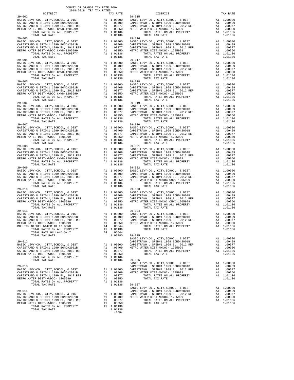| DISTRICT                                                                                                     |    | TAX RATE                                                                                                             |                       |
|--------------------------------------------------------------------------------------------------------------|----|----------------------------------------------------------------------------------------------------------------------|-----------------------|
| $29 - 002$                                                                                                   |    |                                                                                                                      | $29 - 015$            |
|                                                                                                              |    |                                                                                                                      |                       |
|                                                                                                              |    |                                                                                                                      |                       |
|                                                                                                              |    |                                                                                                                      |                       |
|                                                                                                              |    |                                                                                                                      |                       |
| $29 - 003$<br>BASIC LEVY-CO., CITY, SCHOOL, & DIST                                                           |    | 29-016<br>A1 1.00000 BASIC L<br>A1 .00409 CAPISTR<br>A1 .00377 CAPISTR<br>A1 .00350 METROW<br>A1 1.01136             | $29 - 016$            |
| CAPISTRANO U SFID#1 1999 BOND#2001B                                                                          |    |                                                                                                                      |                       |
| CAPISTRANO U SFID#1,1999 EL, 2012 REF                                                                        |    |                                                                                                                      |                       |
| METRO WATER DIST-MWDOC CMWD-1205999<br>TOTAL RATES ON ALL PROPERTY                                           |    |                                                                                                                      |                       |
| TOTAL TAX RATE                                                                                               |    | 1.01136                                                                                                              |                       |
| $29 - 004$<br>BASIC LEVY-CO., CITY, SCHOOL, & DIST                                                           |    |                                                                                                                      | $29 - 017$            |
| CAPISTRANO U SFID#1 1999 BOND#2001B                                                                          |    | A1 1.00000 BASIC L<br>A1 .00409 CAPISTR<br>A1 .00377 CAPISTR<br>A1 .00350 METRO W<br>A1 1.01136                      |                       |
| CAPISTRANO U SFID#1,1999 EL, 2012 REF<br>METRO WATER DIST-MWDOC CMWD-1205999                                 |    |                                                                                                                      |                       |
| TOTAL RATES ON ALL PROPERTY                                                                                  |    |                                                                                                                      |                       |
| TOTAL TAX RATE                                                                                               |    | 1.01136                                                                                                              |                       |
| $29 - 005$<br>BASIC LEVY-CO., CITY, SCHOOL, & DIST                                                           |    | 29-018<br>A1 1.00000 BASIC L<br>A1 .00409 CAPISTR<br>A1 .00377 CAPISTR<br>A1 .00350 METRO W<br>A1 1.01136<br>1.01136 | $29 - 018$            |
| CAPISTRANO U SFID#1 1999 BOND#2001B                                                                          |    |                                                                                                                      |                       |
| CAPISTRANO U SFID#1,1999 EL, 2012 REF<br>METRO WATER DIST-MWDOC CMWD-1205999<br>TOTAL BATER ON ALL PRODUCTER |    |                                                                                                                      |                       |
| TOTAL RATES ON ALL PROPERTY                                                                                  |    |                                                                                                                      |                       |
| TOTAL TAX RATE<br>$29 - 006$                                                                                 |    | 1.01136                                                                                                              | $29 - 019$            |
|                                                                                                              |    |                                                                                                                      |                       |
|                                                                                                              |    |                                                                                                                      |                       |
|                                                                                                              |    |                                                                                                                      |                       |
|                                                                                                              |    |                                                                                                                      |                       |
|                                                                                                              |    |                                                                                                                      |                       |
|                                                                                                              |    |                                                                                                                      |                       |
|                                                                                                              |    |                                                                                                                      |                       |
|                                                                                                              |    |                                                                                                                      |                       |
|                                                                                                              |    |                                                                                                                      |                       |
|                                                                                                              |    |                                                                                                                      |                       |
|                                                                                                              |    |                                                                                                                      |                       |
|                                                                                                              |    |                                                                                                                      |                       |
|                                                                                                              |    |                                                                                                                      |                       |
|                                                                                                              |    |                                                                                                                      |                       |
| TOTAL TAX RATE<br>$29 - 009$                                                                                 |    | 1.01136                                                                                                              | 29-022                |
|                                                                                                              |    |                                                                                                                      |                       |
|                                                                                                              |    |                                                                                                                      |                       |
|                                                                                                              |    |                                                                                                                      |                       |
|                                                                                                              |    |                                                                                                                      |                       |
| $29 - 010$                                                                                                   |    |                                                                                                                      | $29 - 023$            |
| BASIC LEVY-CO., CITY, SCHOOL, & DIST<br>CAPISTRANO U SFID#1 1999 BOND#2001B                                  |    | Al 1.00000 BASIC L<br>Al .00409 CAPISTR<br>Al .00409 CAPISTR<br>Al .00350 METRO W<br>Al 1.01136<br>Al 1.01136        |                       |
| CAPISINANO U SFID#1 1999 BOND#2001B<br>CAPISTRANO U SFID#1,1999 EL, 2012 REF                                 |    |                                                                                                                      |                       |
| METRO WATER DIST-MWDOC- 1205999                                                                              |    |                                                                                                                      |                       |
| TOTAL RATES ON ALL PROPERTY<br>TOTAL TAX RATE                                                                |    | 1.01136                                                                                                              |                       |
| $29 - 011$                                                                                                   |    |                                                                                                                      | $29 - 024$            |
|                                                                                                              |    |                                                                                                                      |                       |
|                                                                                                              |    |                                                                                                                      |                       |
|                                                                                                              |    |                                                                                                                      |                       |
|                                                                                                              |    |                                                                                                                      |                       |
| TOTAL RATE ON LAND ONLY                                                                                      |    | A4.06644                                                                                                             |                       |
| TOTAL TAX RATE                                                                                               |    | 1.07780                                                                                                              | $29 - 025$<br>BASIC L |
| $29 - 012$                                                                                                   |    |                                                                                                                      | CAPISTR               |
| BASIC LEVY-CO., CITY, SCHOOL, & DIST<br>CAPISTRANO U SFID#1 1999 BOND#2001B                                  | A1 | 1.00000<br>A1 .00409                                                                                                 | CAPISTR<br>METRO W    |
| CAPISTRANO U SFID#1,1999 EL, 2012 REF                                                                        |    | A1 .00377                                                                                                            |                       |
| METRO WATER DIST-MWDOC- 1205999<br>TOTAL RATES ON ALL PROPERTY                                               | A1 | .00350<br>A1 1.01136                                                                                                 |                       |
| TOTAL TAX RATE                                                                                               |    | 1.01136                                                                                                              | $29 - 026$            |
|                                                                                                              |    |                                                                                                                      | BASIC L               |
| $29 - 013$<br>BASIC LEVY-CO., CITY, SCHOOL, & DIST                                                           |    | A1 1.00000                                                                                                           | CAPISTR<br>CAPISTR    |
| CAPISTRANO U SFID#1 1999 BOND#2001B                                                                          |    | A1 .00409                                                                                                            | METRO W               |
| CAPISTRANO U SFID#1,1999 EL, 2012 REF<br>METRO WATER DIST-MWDOC- 1205999                                     | A1 | A1 .00377<br>.00350                                                                                                  |                       |
| TOTAL RATES ON ALL PROPERTY                                                                                  |    | A1 1.01136                                                                                                           |                       |
| TOTAL TAX RATE                                                                                               |    | 1.01136                                                                                                              | $29 - 027$<br>BASIC L |
| $29 - 014$                                                                                                   |    |                                                                                                                      | CAPISTR               |
| BASIC LEVY-CO., CITY, SCHOOL, & DIST                                                                         |    | A1 1.00000 CAPISTR<br>A1 .00409 METRO W                                                                              |                       |
| CAPISTRANO U SFID#1 1999 BOND#2001B<br>CAPISTRANO U SFID#1.1999 EL. 2012 REF                                 |    | A1 .00377                                                                                                            |                       |

| COUNTY OF ORANGE TAX RATE BOOK<br>2018-2019 TRA TAX RATES                                                                                                                                                                                                                                                                                                                                                                                                                                                     |          |                                                                                                                                      |          |
|---------------------------------------------------------------------------------------------------------------------------------------------------------------------------------------------------------------------------------------------------------------------------------------------------------------------------------------------------------------------------------------------------------------------------------------------------------------------------------------------------------------|----------|--------------------------------------------------------------------------------------------------------------------------------------|----------|
|                                                                                                                                                                                                                                                                                                                                                                                                                                                                                                               | TAX RATE | DISTRICT                                                                                                                             | TAX RATE |
| $29 - 002$                                                                                                                                                                                                                                                                                                                                                                                                                                                                                                    |          | $29 - 015$                                                                                                                           |          |
|                                                                                                                                                                                                                                                                                                                                                                                                                                                                                                               |          |                                                                                                                                      |          |
|                                                                                                                                                                                                                                                                                                                                                                                                                                                                                                               |          |                                                                                                                                      |          |
|                                                                                                                                                                                                                                                                                                                                                                                                                                                                                                               |          |                                                                                                                                      |          |
|                                                                                                                                                                                                                                                                                                                                                                                                                                                                                                               |          |                                                                                                                                      |          |
|                                                                                                                                                                                                                                                                                                                                                                                                                                                                                                               |          |                                                                                                                                      |          |
|                                                                                                                                                                                                                                                                                                                                                                                                                                                                                                               |          |                                                                                                                                      |          |
|                                                                                                                                                                                                                                                                                                                                                                                                                                                                                                               |          |                                                                                                                                      |          |
|                                                                                                                                                                                                                                                                                                                                                                                                                                                                                                               |          |                                                                                                                                      |          |
| $29 - 004$                                                                                                                                                                                                                                                                                                                                                                                                                                                                                                    |          | $29 - 017$                                                                                                                           |          |
|                                                                                                                                                                                                                                                                                                                                                                                                                                                                                                               |          |                                                                                                                                      |          |
|                                                                                                                                                                                                                                                                                                                                                                                                                                                                                                               |          |                                                                                                                                      |          |
|                                                                                                                                                                                                                                                                                                                                                                                                                                                                                                               |          |                                                                                                                                      |          |
|                                                                                                                                                                                                                                                                                                                                                                                                                                                                                                               |          |                                                                                                                                      |          |
|                                                                                                                                                                                                                                                                                                                                                                                                                                                                                                               |          |                                                                                                                                      |          |
|                                                                                                                                                                                                                                                                                                                                                                                                                                                                                                               |          |                                                                                                                                      |          |
|                                                                                                                                                                                                                                                                                                                                                                                                                                                                                                               |          |                                                                                                                                      |          |
|                                                                                                                                                                                                                                                                                                                                                                                                                                                                                                               |          |                                                                                                                                      |          |
|                                                                                                                                                                                                                                                                                                                                                                                                                                                                                                               |          |                                                                                                                                      |          |
| $29 - 006$                                                                                                                                                                                                                                                                                                                                                                                                                                                                                                    |          | $29 - 019$                                                                                                                           |          |
|                                                                                                                                                                                                                                                                                                                                                                                                                                                                                                               |          |                                                                                                                                      |          |
| $\begin{tabular}{@{}c@{}}\textbf{29-006} & \textbf{10144} & \textbf{1044} & \textbf{1044} & \textbf{1044} & \textbf{1044} & \textbf{1044} & \textbf{1044} & \textbf{1044} & \textbf{1044} & \textbf{1044} & \textbf{1044} & \textbf{1044} & \textbf{1044} & \textbf{1044} & \textbf{1044} & \textbf{1044} & \textbf{1044} & \textbf{1044} & \textbf{1044} & \textbf{1$                                                                                                                                        |          |                                                                                                                                      |          |
|                                                                                                                                                                                                                                                                                                                                                                                                                                                                                                               |          |                                                                                                                                      |          |
|                                                                                                                                                                                                                                                                                                                                                                                                                                                                                                               |          |                                                                                                                                      |          |
|                                                                                                                                                                                                                                                                                                                                                                                                                                                                                                               |          |                                                                                                                                      |          |
|                                                                                                                                                                                                                                                                                                                                                                                                                                                                                                               |          |                                                                                                                                      |          |
|                                                                                                                                                                                                                                                                                                                                                                                                                                                                                                               |          |                                                                                                                                      |          |
|                                                                                                                                                                                                                                                                                                                                                                                                                                                                                                               |          |                                                                                                                                      |          |
|                                                                                                                                                                                                                                                                                                                                                                                                                                                                                                               |          |                                                                                                                                      |          |
| $29 - 008$                                                                                                                                                                                                                                                                                                                                                                                                                                                                                                    |          | $29 - 021$                                                                                                                           |          |
|                                                                                                                                                                                                                                                                                                                                                                                                                                                                                                               |          |                                                                                                                                      |          |
|                                                                                                                                                                                                                                                                                                                                                                                                                                                                                                               |          |                                                                                                                                      |          |
|                                                                                                                                                                                                                                                                                                                                                                                                                                                                                                               |          |                                                                                                                                      |          |
|                                                                                                                                                                                                                                                                                                                                                                                                                                                                                                               |          |                                                                                                                                      |          |
|                                                                                                                                                                                                                                                                                                                                                                                                                                                                                                               |          |                                                                                                                                      |          |
|                                                                                                                                                                                                                                                                                                                                                                                                                                                                                                               |          |                                                                                                                                      |          |
|                                                                                                                                                                                                                                                                                                                                                                                                                                                                                                               |          |                                                                                                                                      |          |
|                                                                                                                                                                                                                                                                                                                                                                                                                                                                                                               |          |                                                                                                                                      |          |
| $29 - 010$                                                                                                                                                                                                                                                                                                                                                                                                                                                                                                    |          | $29 - 023$                                                                                                                           |          |
|                                                                                                                                                                                                                                                                                                                                                                                                                                                                                                               |          |                                                                                                                                      |          |
|                                                                                                                                                                                                                                                                                                                                                                                                                                                                                                               |          |                                                                                                                                      |          |
|                                                                                                                                                                                                                                                                                                                                                                                                                                                                                                               |          |                                                                                                                                      |          |
|                                                                                                                                                                                                                                                                                                                                                                                                                                                                                                               |          |                                                                                                                                      |          |
|                                                                                                                                                                                                                                                                                                                                                                                                                                                                                                               |          |                                                                                                                                      |          |
|                                                                                                                                                                                                                                                                                                                                                                                                                                                                                                               |          |                                                                                                                                      |          |
|                                                                                                                                                                                                                                                                                                                                                                                                                                                                                                               |          |                                                                                                                                      |          |
|                                                                                                                                                                                                                                                                                                                                                                                                                                                                                                               |          |                                                                                                                                      |          |
|                                                                                                                                                                                                                                                                                                                                                                                                                                                                                                               |          | METRO WATER DIST-MWDOC-1205999<br>METRO WATER DIST-MWDOC-1205999<br>TOTAL RATES ON ALL PROPERTY A1 1.01136<br>TOTAL TAX RATE 1.01136 |          |
|                                                                                                                                                                                                                                                                                                                                                                                                                                                                                                               |          |                                                                                                                                      |          |
| $\begin{tabular}{lllllllllllllllllllll} \multicolumn{4}{c }{\begin{tabular}{l} \multicolumn{4}{c}{\begin{tabular}{l} \multicolumn{4}{c}{\begin{tabular}{l} \multicolumn{4}{c}{\begin{tabular}{l} \multicolumn{4}{c}{\begin{tabular}{l} \multicolumn{4}{c}{\begin{tabular}{l} \multicolumn{4}{c}{\begin{tabular}{c} \multicolumn{4}{c}{\begin{tabular}{c} \multicolumn{4}{c}{\begin{tabular}{c} \multicolumn{4}{c}{\begin{tabular}{c} \multicolumn{4}{c}{\begin{tabular}{c} \multicolumn{4}{c}{\begin{tabular$ |          |                                                                                                                                      |          |
|                                                                                                                                                                                                                                                                                                                                                                                                                                                                                                               |          |                                                                                                                                      |          |
|                                                                                                                                                                                                                                                                                                                                                                                                                                                                                                               |          |                                                                                                                                      |          |
|                                                                                                                                                                                                                                                                                                                                                                                                                                                                                                               |          |                                                                                                                                      |          |
|                                                                                                                                                                                                                                                                                                                                                                                                                                                                                                               |          |                                                                                                                                      |          |
|                                                                                                                                                                                                                                                                                                                                                                                                                                                                                                               |          |                                                                                                                                      |          |
|                                                                                                                                                                                                                                                                                                                                                                                                                                                                                                               |          |                                                                                                                                      |          |
|                                                                                                                                                                                                                                                                                                                                                                                                                                                                                                               |          |                                                                                                                                      |          |
|                                                                                                                                                                                                                                                                                                                                                                                                                                                                                                               |          |                                                                                                                                      |          |
|                                                                                                                                                                                                                                                                                                                                                                                                                                                                                                               |          |                                                                                                                                      |          |
|                                                                                                                                                                                                                                                                                                                                                                                                                                                                                                               |          |                                                                                                                                      |          |
|                                                                                                                                                                                                                                                                                                                                                                                                                                                                                                               |          |                                                                                                                                      |          |
|                                                                                                                                                                                                                                                                                                                                                                                                                                                                                                               |          |                                                                                                                                      |          |
|                                                                                                                                                                                                                                                                                                                                                                                                                                                                                                               |          |                                                                                                                                      |          |
|                                                                                                                                                                                                                                                                                                                                                                                                                                                                                                               |          |                                                                                                                                      |          |
|                                                                                                                                                                                                                                                                                                                                                                                                                                                                                                               |          |                                                                                                                                      |          |
|                                                                                                                                                                                                                                                                                                                                                                                                                                                                                                               |          |                                                                                                                                      |          |
|                                                                                                                                                                                                                                                                                                                                                                                                                                                                                                               |          |                                                                                                                                      |          |
|                                                                                                                                                                                                                                                                                                                                                                                                                                                                                                               |          |                                                                                                                                      |          |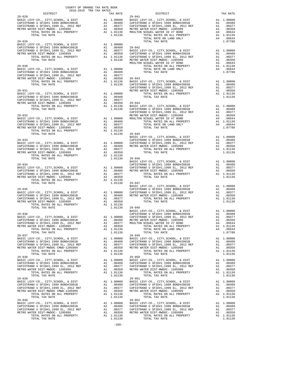| DISTRICT   | COUNTY OF ORDER FOR SALE 2018–2019 TRA TAX RATE $29-041$                                                                                                                                                                                                                                                                                                                                                 | TAX RATE |
|------------|----------------------------------------------------------------------------------------------------------------------------------------------------------------------------------------------------------------------------------------------------------------------------------------------------------------------------------------------------------------------------------------------------------|----------|
| $29 - 028$ |                                                                                                                                                                                                                                                                                                                                                                                                          |          |
|            |                                                                                                                                                                                                                                                                                                                                                                                                          |          |
|            | $\begin{tabular}{@{}c c c c} \multicolumn{1}{c}{\textbf{29-023}} & $\textbf{107141} & $\textbf{121366}$ & $\textbf{107148} & $\textbf{107148} & $\textbf{107148} & $\textbf{107148} \\ \textbf{29-022} & $\textbf{107148} & $\textbf{107148} & $\textbf{107148} \\ \textbf{20812} & $\textbf{107148} & $\textbf{107148} & $\textbf{107148} \\ \textbf{20812} & $\textbf{1$                               |          |
|            |                                                                                                                                                                                                                                                                                                                                                                                                          |          |
|            |                                                                                                                                                                                                                                                                                                                                                                                                          |          |
|            |                                                                                                                                                                                                                                                                                                                                                                                                          |          |
|            |                                                                                                                                                                                                                                                                                                                                                                                                          |          |
|            |                                                                                                                                                                                                                                                                                                                                                                                                          |          |
|            |                                                                                                                                                                                                                                                                                                                                                                                                          |          |
|            |                                                                                                                                                                                                                                                                                                                                                                                                          |          |
|            | $\begin{tabular}{c c c c c} \multicolumn{4}{c c c c} \multicolumn{4}{c c c} \multicolumn{4}{c c c} \multicolumn{4}{c c c} \multicolumn{4}{c c c} \multicolumn{4}{c c c} \multicolumn{4}{c c c} \multicolumn{4}{c c c} \multicolumn{4}{c c c} \multicolumn{4}{c c c} \multicolumn{4}{c c c} \multicolumn{4}{c c c} \multicolumn{4}{c c c} \multicolumn{4}{c c c} \multicolumn{4}{c c c} \multicolumn{4}{$ |          |
|            |                                                                                                                                                                                                                                                                                                                                                                                                          |          |
|            |                                                                                                                                                                                                                                                                                                                                                                                                          |          |
|            |                                                                                                                                                                                                                                                                                                                                                                                                          |          |
|            |                                                                                                                                                                                                                                                                                                                                                                                                          |          |
|            | 29-036<br>29-036<br>29-036<br>29-036<br>29-036<br>29-036<br>29-036<br>29-036<br>29-036<br>29-036<br>2012 REF Al 1.00000<br>2012 REF AL 1.00000<br>2012 REF AL 1.00000<br>2012 REF AL 1.00000<br>2012 REF AL 1.00000<br>2012 REF AL 1.00000<br>2012 REF AL 1.00                                                                                                                                           |          |
| $29 - 037$ | AND CAPISTRANO U SFID#1 1999 BOND#2001B<br>ARETRO WATER DIST-MWDOC - 1205999<br>CAPISTRANO U SFID#1 1999 BOND#2001B<br>METRO WATER DIST-MWDOC - 1205999<br>METRO WATER DIST-MWDOC - 1205999<br>ARETRO WATER DIST-MWDOC - 1205999<br>ARETRO<br>$29 - 049$                                                                                                                                                 |          |
|            |                                                                                                                                                                                                                                                                                                                                                                                                          |          |
| $29 - 038$ | $29 - 050$                                                                                                                                                                                                                                                                                                                                                                                               |          |
|            |                                                                                                                                                                                                                                                                                                                                                                                                          |          |
|            | $\begin{tabular}{l c c c c c c} \multicolumn{4}{c c c c} \multicolumn{4}{c c c} \multicolumn{4}{c c c} \multicolumn{4}{c c c} \multicolumn{4}{c c c} \multicolumn{4}{c c c} \multicolumn{4}{c c c} \multicolumn{4}{c c c} \multicolumn{4}{c c c} \multicolumn{4}{c c c} \multicolumn{4}{c c c} \multicolumn{4}{c c c} \multicolumn{4}{c c c} \multicolumn{4}{c c c} \multicolumn{4}{c c c} \multic$      |          |
| $29 - 040$ | $29 - 052$                                                                                                                                                                                                                                                                                                                                                                                               |          |

-266-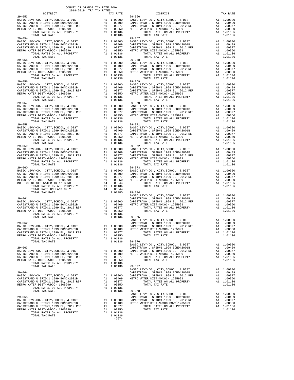| DISTRICT<br>TAX RATE                                                                                                     |            |
|--------------------------------------------------------------------------------------------------------------------------|------------|
| $29 - 053$                                                                                                               | $29 - 066$ |
|                                                                                                                          |            |
|                                                                                                                          |            |
|                                                                                                                          |            |
|                                                                                                                          |            |
|                                                                                                                          |            |
|                                                                                                                          |            |
| $29 - 054$                                                                                                               | $29 - 067$ |
|                                                                                                                          |            |
|                                                                                                                          |            |
|                                                                                                                          |            |
|                                                                                                                          |            |
|                                                                                                                          |            |
|                                                                                                                          |            |
|                                                                                                                          |            |
|                                                                                                                          |            |
|                                                                                                                          |            |
|                                                                                                                          |            |
| A1 1.01136<br>TOTAL RATES ON ALL PROPERTY                                                                                |            |
| 1.01136<br>TOTAL TAX RATE                                                                                                |            |
| $29 - 056$                                                                                                               | $29 - 069$ |
|                                                                                                                          |            |
|                                                                                                                          |            |
|                                                                                                                          |            |
|                                                                                                                          |            |
|                                                                                                                          |            |
|                                                                                                                          |            |
| $29 - 057$                                                                                                               | $29 - 070$ |
|                                                                                                                          |            |
|                                                                                                                          |            |
|                                                                                                                          |            |
|                                                                                                                          |            |
| A1 1.01136<br>TOTAL RATES ON ALL PROPERTY                                                                                |            |
| TOTAL TAX RATE<br>1.01136                                                                                                |            |
|                                                                                                                          |            |
|                                                                                                                          |            |
|                                                                                                                          |            |
|                                                                                                                          |            |
|                                                                                                                          |            |
|                                                                                                                          |            |
|                                                                                                                          |            |
|                                                                                                                          |            |
|                                                                                                                          |            |
|                                                                                                                          |            |
|                                                                                                                          |            |
|                                                                                                                          |            |
|                                                                                                                          |            |
|                                                                                                                          |            |
| $29 - 060$                                                                                                               | $29 - 073$ |
|                                                                                                                          |            |
|                                                                                                                          |            |
|                                                                                                                          |            |
|                                                                                                                          |            |
|                                                                                                                          |            |
|                                                                                                                          |            |
|                                                                                                                          |            |
|                                                                                                                          | BASIC L    |
| $29 - 061$                                                                                                               | CAPISTR    |
|                                                                                                                          |            |
|                                                                                                                          |            |
|                                                                                                                          |            |
| METRO WATER DIST-MWDOC- 1205999                                                                                          |            |
| A1 .00350<br>A1 1.01136<br>TOTAL RATES ON ALL PROPERTY                                                                   |            |
| TOTAL TAX RATE<br>1.01136                                                                                                | $29 - 075$ |
|                                                                                                                          | BASIC L    |
| $29 - 062$                                                                                                               | CAPISTR    |
| BASIC LEVY-CO., CITY, SCHOOL, & DIST Al 1.00000 CAPISTR                                                                  |            |
| CAPISTRANO U SFID#1 1999 BOND#2001B<br>A1 .00409                                                                         | METRO W    |
| CAPISTRANO U SFID#1,1999 EL, 2012 REF<br>A1<br>.00377                                                                    |            |
| A1 .00350<br>METRO WATER DIST-MWDOC- 1205999                                                                             |            |
| A1 1.01136<br>TOTAL RATES ON ALL PROPERTY                                                                                |            |
| TOTAL TAX RATE<br>1.01136                                                                                                | $29 - 076$ |
|                                                                                                                          | BASIC L    |
| $29 - 063$                                                                                                               | CAPISTR    |
|                                                                                                                          |            |
| BASIC LEVY-CO., CITY, SCHOOL, & DIST                                                                                     |            |
| A1 1.00000 CAPISTR<br>A1 .00409 METROW<br>CAPISTRANO U SFID#1 1999 BOND#2001B                                            |            |
| CAPISTRANO U SFID#1,1999 EL, 2012 REF<br>A1<br>.00377                                                                    |            |
| METRO WATER DIST-MWDOC- 1205999<br>A1<br>.00350                                                                          |            |
| A1 1.01136<br>TOTAL RATES ON ALL PROPERTY                                                                                |            |
| 1.01136<br>TOTAL TAX RATE                                                                                                | $29 - 077$ |
|                                                                                                                          | BASIC L    |
| $29 - 064$                                                                                                               | CAPISTR    |
| A1 1.00000<br>BASIC LEVY-CO., CITY, SCHOOL, & DIST                                                                       | CAPISTR    |
| A1 .00409<br>CAPISTRANO U SFID#1 1999 BOND#2001B                                                                         | METRO W    |
| CAPISTRANO U SFID#1,1999 EL, 2012 REF<br>A1<br>.00377                                                                    |            |
| A1<br>METRO WATER DIST-MWDOC- 1205999<br>.00350                                                                          |            |
| A1 1.01136<br>TOTAL RATES ON ALL PROPERTY                                                                                |            |
| TOTAL TAX RATE<br>1.01136                                                                                                | $29 - 078$ |
|                                                                                                                          | BASIC L    |
| $29 - 065$                                                                                                               | CAPISTR    |
| BASIC LEVY-CO., CITY, SCHOOL, & DIST<br>A1 1.00000                                                                       | CAPISTR    |
| CAPISTRANO U SFID#1 1999 BOND#2001B<br>A1 .00409<br>CAPISTRANO U SFID#1,1999 EL, 2012 REF<br>A1<br>$\frac{1}{21}$ .00377 | METRO W    |

| COUNTY OF ORANGE TAX RATE BOOK<br>2018-2019 TRA TAX RATES                                                                                                                                                                                                                                                                                                                                                  |          |                        |          |
|------------------------------------------------------------------------------------------------------------------------------------------------------------------------------------------------------------------------------------------------------------------------------------------------------------------------------------------------------------------------------------------------------------|----------|------------------------|----------|
| $29 - 053$                                                                                                                                                                                                                                                                                                                                                                                                 | TAX RATE | DISTRICT<br>$29 - 066$ | TAX RATE |
|                                                                                                                                                                                                                                                                                                                                                                                                            |          |                        |          |
|                                                                                                                                                                                                                                                                                                                                                                                                            |          |                        |          |
|                                                                                                                                                                                                                                                                                                                                                                                                            |          |                        |          |
|                                                                                                                                                                                                                                                                                                                                                                                                            |          |                        |          |
|                                                                                                                                                                                                                                                                                                                                                                                                            |          |                        |          |
| $29 - 055$                                                                                                                                                                                                                                                                                                                                                                                                 |          | $29 - 068$             |          |
|                                                                                                                                                                                                                                                                                                                                                                                                            |          |                        |          |
|                                                                                                                                                                                                                                                                                                                                                                                                            |          |                        |          |
|                                                                                                                                                                                                                                                                                                                                                                                                            |          |                        |          |
|                                                                                                                                                                                                                                                                                                                                                                                                            |          |                        |          |
|                                                                                                                                                                                                                                                                                                                                                                                                            |          |                        |          |
|                                                                                                                                                                                                                                                                                                                                                                                                            |          |                        |          |
| $29 - 057$                                                                                                                                                                                                                                                                                                                                                                                                 |          | $29 - 070$             |          |
|                                                                                                                                                                                                                                                                                                                                                                                                            |          |                        |          |
|                                                                                                                                                                                                                                                                                                                                                                                                            |          |                        |          |
|                                                                                                                                                                                                                                                                                                                                                                                                            |          |                        |          |
|                                                                                                                                                                                                                                                                                                                                                                                                            |          |                        |          |
|                                                                                                                                                                                                                                                                                                                                                                                                            |          |                        |          |
|                                                                                                                                                                                                                                                                                                                                                                                                            |          |                        |          |
|                                                                                                                                                                                                                                                                                                                                                                                                            |          |                        |          |
| $29 - 059$                                                                                                                                                                                                                                                                                                                                                                                                 |          | $29 - 072$             |          |
|                                                                                                                                                                                                                                                                                                                                                                                                            |          |                        |          |
|                                                                                                                                                                                                                                                                                                                                                                                                            |          |                        |          |
|                                                                                                                                                                                                                                                                                                                                                                                                            |          |                        |          |
|                                                                                                                                                                                                                                                                                                                                                                                                            |          |                        |          |
|                                                                                                                                                                                                                                                                                                                                                                                                            |          |                        |          |
|                                                                                                                                                                                                                                                                                                                                                                                                            |          |                        |          |
|                                                                                                                                                                                                                                                                                                                                                                                                            |          |                        |          |
|                                                                                                                                                                                                                                                                                                                                                                                                            |          |                        |          |
|                                                                                                                                                                                                                                                                                                                                                                                                            |          |                        |          |
|                                                                                                                                                                                                                                                                                                                                                                                                            |          |                        |          |
|                                                                                                                                                                                                                                                                                                                                                                                                            |          |                        |          |
|                                                                                                                                                                                                                                                                                                                                                                                                            |          |                        |          |
|                                                                                                                                                                                                                                                                                                                                                                                                            |          |                        |          |
|                                                                                                                                                                                                                                                                                                                                                                                                            |          |                        |          |
|                                                                                                                                                                                                                                                                                                                                                                                                            |          |                        |          |
|                                                                                                                                                                                                                                                                                                                                                                                                            |          |                        |          |
| $\begin{tabular}{c c c c c} \multicolumn{4}{c }{\textbf{29-063}} & \multicolumn{4}{c }{\textbf{29-063}} & \multicolumn{4}{c }{\textbf{29-063}} & \multicolumn{4}{c }{\textbf{29-063}} & \multicolumn{4}{c }{\textbf{29-063}} & \multicolumn{4}{c }{\textbf{29-063}} & \multicolumn{4}{c }{\textbf{29-063}} & \multicolumn{4}{c }{\textbf{29-064}} & \multicolumn{4}{c }{\textbf{29-076}} & \multicolumn{4$ |          |                        |          |
|                                                                                                                                                                                                                                                                                                                                                                                                            |          |                        |          |
|                                                                                                                                                                                                                                                                                                                                                                                                            |          |                        |          |
|                                                                                                                                                                                                                                                                                                                                                                                                            |          |                        |          |
|                                                                                                                                                                                                                                                                                                                                                                                                            |          |                        |          |
|                                                                                                                                                                                                                                                                                                                                                                                                            |          |                        |          |
|                                                                                                                                                                                                                                                                                                                                                                                                            |          |                        |          |
|                                                                                                                                                                                                                                                                                                                                                                                                            |          |                        |          |
|                                                                                                                                                                                                                                                                                                                                                                                                            |          |                        |          |
| $\begin{tabular}{c c c c c} \multicolumn{4}{c }{\textbf{29-064}} & \multicolumn{4}{c }{\textbf{1.01136}} & \multicolumn{4}{c }{\textbf{29-077}} & \multicolumn{4}{c }{\textbf{29-077}} & \multicolumn{4}{c }{\textbf{29-078}} & \multicolumn{4}{c }{\textbf{29-078}} & \multicolumn{4}{c }{\textbf{29-078}} & \multicolumn{4}{c }{\textbf{29-078}} & \multicolumn{4}{c }{\textbf{29-078}} & \multicolumn{$ |          |                        |          |
|                                                                                                                                                                                                                                                                                                                                                                                                            |          |                        |          |
|                                                                                                                                                                                                                                                                                                                                                                                                            |          |                        |          |
|                                                                                                                                                                                                                                                                                                                                                                                                            |          |                        |          |
|                                                                                                                                                                                                                                                                                                                                                                                                            |          |                        |          |
|                                                                                                                                                                                                                                                                                                                                                                                                            |          |                        |          |

 $1.01136$ <br>-267-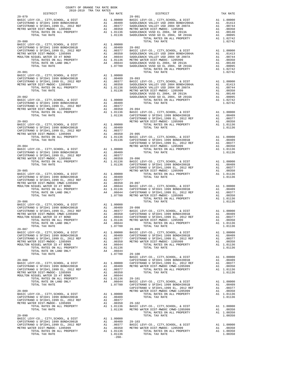| COUNTY OF ORANGE TAX RATE BOOK<br>2018-2019 TRA TAX RATES |          |         |                                                                                                                                                                                                                                                                                                                                                                                                                  |          |
|-----------------------------------------------------------|----------|---------|------------------------------------------------------------------------------------------------------------------------------------------------------------------------------------------------------------------------------------------------------------------------------------------------------------------------------------------------------------------------------------------------------------------|----------|
| DISTRICT 2018-2019 TRA TAX RATES                          | TAX RATE |         | DISTRICT                                                                                                                                                                                                                                                                                                                                                                                                         | TAX RATE |
|                                                           |          |         |                                                                                                                                                                                                                                                                                                                                                                                                                  |          |
|                                                           |          |         |                                                                                                                                                                                                                                                                                                                                                                                                                  |          |
|                                                           |          |         |                                                                                                                                                                                                                                                                                                                                                                                                                  |          |
|                                                           |          |         |                                                                                                                                                                                                                                                                                                                                                                                                                  |          |
|                                                           |          |         |                                                                                                                                                                                                                                                                                                                                                                                                                  |          |
|                                                           |          |         |                                                                                                                                                                                                                                                                                                                                                                                                                  |          |
|                                                           |          |         |                                                                                                                                                                                                                                                                                                                                                                                                                  |          |
|                                                           |          |         |                                                                                                                                                                                                                                                                                                                                                                                                                  |          |
|                                                           |          |         |                                                                                                                                                                                                                                                                                                                                                                                                                  |          |
|                                                           |          |         |                                                                                                                                                                                                                                                                                                                                                                                                                  |          |
|                                                           |          |         |                                                                                                                                                                                                                                                                                                                                                                                                                  |          |
|                                                           |          |         |                                                                                                                                                                                                                                                                                                                                                                                                                  |          |
|                                                           |          |         |                                                                                                                                                                                                                                                                                                                                                                                                                  |          |
|                                                           |          |         |                                                                                                                                                                                                                                                                                                                                                                                                                  |          |
|                                                           |          |         |                                                                                                                                                                                                                                                                                                                                                                                                                  |          |
|                                                           |          |         |                                                                                                                                                                                                                                                                                                                                                                                                                  |          |
|                                                           |          |         |                                                                                                                                                                                                                                                                                                                                                                                                                  |          |
|                                                           |          |         |                                                                                                                                                                                                                                                                                                                                                                                                                  |          |
|                                                           |          |         |                                                                                                                                                                                                                                                                                                                                                                                                                  |          |
|                                                           |          |         |                                                                                                                                                                                                                                                                                                                                                                                                                  |          |
|                                                           |          |         |                                                                                                                                                                                                                                                                                                                                                                                                                  |          |
|                                                           |          |         |                                                                                                                                                                                                                                                                                                                                                                                                                  |          |
|                                                           |          |         |                                                                                                                                                                                                                                                                                                                                                                                                                  |          |
|                                                           |          |         |                                                                                                                                                                                                                                                                                                                                                                                                                  |          |
|                                                           |          |         |                                                                                                                                                                                                                                                                                                                                                                                                                  |          |
|                                                           |          |         |                                                                                                                                                                                                                                                                                                                                                                                                                  |          |
|                                                           |          |         |                                                                                                                                                                                                                                                                                                                                                                                                                  |          |
|                                                           |          |         |                                                                                                                                                                                                                                                                                                                                                                                                                  |          |
|                                                           |          |         |                                                                                                                                                                                                                                                                                                                                                                                                                  |          |
|                                                           |          |         |                                                                                                                                                                                                                                                                                                                                                                                                                  |          |
|                                                           |          |         |                                                                                                                                                                                                                                                                                                                                                                                                                  |          |
|                                                           |          |         |                                                                                                                                                                                                                                                                                                                                                                                                                  |          |
|                                                           |          |         |                                                                                                                                                                                                                                                                                                                                                                                                                  |          |
|                                                           |          |         |                                                                                                                                                                                                                                                                                                                                                                                                                  |          |
|                                                           |          |         |                                                                                                                                                                                                                                                                                                                                                                                                                  |          |
|                                                           |          |         |                                                                                                                                                                                                                                                                                                                                                                                                                  |          |
|                                                           |          |         |                                                                                                                                                                                                                                                                                                                                                                                                                  |          |
|                                                           |          |         |                                                                                                                                                                                                                                                                                                                                                                                                                  |          |
|                                                           |          |         |                                                                                                                                                                                                                                                                                                                                                                                                                  |          |
|                                                           |          |         |                                                                                                                                                                                                                                                                                                                                                                                                                  |          |
|                                                           |          |         |                                                                                                                                                                                                                                                                                                                                                                                                                  |          |
|                                                           |          |         |                                                                                                                                                                                                                                                                                                                                                                                                                  |          |
|                                                           |          |         |                                                                                                                                                                                                                                                                                                                                                                                                                  |          |
|                                                           |          |         |                                                                                                                                                                                                                                                                                                                                                                                                                  |          |
|                                                           |          |         |                                                                                                                                                                                                                                                                                                                                                                                                                  |          |
|                                                           |          |         |                                                                                                                                                                                                                                                                                                                                                                                                                  |          |
|                                                           |          |         |                                                                                                                                                                                                                                                                                                                                                                                                                  |          |
|                                                           |          |         |                                                                                                                                                                                                                                                                                                                                                                                                                  |          |
|                                                           |          |         |                                                                                                                                                                                                                                                                                                                                                                                                                  |          |
|                                                           |          |         |                                                                                                                                                                                                                                                                                                                                                                                                                  |          |
|                                                           |          |         |                                                                                                                                                                                                                                                                                                                                                                                                                  |          |
|                                                           |          |         |                                                                                                                                                                                                                                                                                                                                                                                                                  |          |
|                                                           |          |         |                                                                                                                                                                                                                                                                                                                                                                                                                  |          |
|                                                           |          |         |                                                                                                                                                                                                                                                                                                                                                                                                                  |          |
|                                                           |          |         |                                                                                                                                                                                                                                                                                                                                                                                                                  |          |
|                                                           |          |         |                                                                                                                                                                                                                                                                                                                                                                                                                  |          |
|                                                           |          |         |                                                                                                                                                                                                                                                                                                                                                                                                                  |          |
|                                                           |          |         |                                                                                                                                                                                                                                                                                                                                                                                                                  |          |
|                                                           |          |         |                                                                                                                                                                                                                                                                                                                                                                                                                  |          |
|                                                           |          |         |                                                                                                                                                                                                                                                                                                                                                                                                                  |          |
|                                                           |          |         |                                                                                                                                                                                                                                                                                                                                                                                                                  |          |
|                                                           |          |         |                                                                                                                                                                                                                                                                                                                                                                                                                  |          |
|                                                           |          |         |                                                                                                                                                                                                                                                                                                                                                                                                                  |          |
|                                                           |          |         |                                                                                                                                                                                                                                                                                                                                                                                                                  |          |
|                                                           |          |         |                                                                                                                                                                                                                                                                                                                                                                                                                  |          |
|                                                           |          |         |                                                                                                                                                                                                                                                                                                                                                                                                                  |          |
|                                                           |          |         |                                                                                                                                                                                                                                                                                                                                                                                                                  |          |
|                                                           |          |         |                                                                                                                                                                                                                                                                                                                                                                                                                  |          |
|                                                           |          |         |                                                                                                                                                                                                                                                                                                                                                                                                                  |          |
|                                                           |          |         |                                                                                                                                                                                                                                                                                                                                                                                                                  |          |
|                                                           |          |         |                                                                                                                                                                                                                                                                                                                                                                                                                  |          |
|                                                           |          |         | $\begin{tabular}{c c c c c} \multicolumn{1}{c}{\textbf{29-090}} & \multicolumn{1}{c}{\textbf{707AL RATE}} & \multicolumn{1}{c}{\textbf{1.01130}} & \multicolumn{1}{c}{\textbf{1.01130}} & \multicolumn{1}{c}{\textbf{1.01130}} & \multicolumn{1}{c}{\textbf{1.01130}} & \multicolumn{1}{c}{\textbf{1.0120}} & \multicolumn{1}{c}{\textbf{1.0130}} & \multicolumn{1}{c}{\textbf{1.00350}} & \multicolumn{1}{c}{\$ |          |
|                                                           |          |         |                                                                                                                                                                                                                                                                                                                                                                                                                  |          |
|                                                           |          | $-268-$ |                                                                                                                                                                                                                                                                                                                                                                                                                  |          |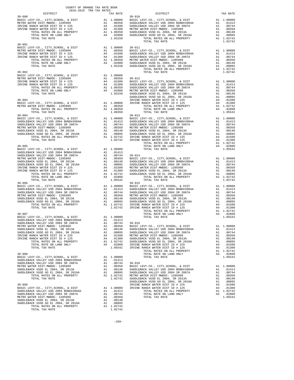| DISTRICT   | 2018-2019 TRA TAX RATES<br>TAX RATE | $\begin{array}{ccccc} & & & \text{DISTRICT} \end{array}$                                                                                                                                                                                                                                                                                                                                                                                          | TAX RATE |
|------------|-------------------------------------|---------------------------------------------------------------------------------------------------------------------------------------------------------------------------------------------------------------------------------------------------------------------------------------------------------------------------------------------------------------------------------------------------------------------------------------------------|----------|
|            |                                     | $\begin{tabular}{l c c c c c} \multicolumn{1}{c}{\textbf{20-000}} & \multicolumn{1}{c}{\textbf{DISTRICT}} & \multicolumn{1}{c}{\textbf{TAX RATE}} & \multicolumn{1}{c}{\textbf{DISTRICT}} & \multicolumn{1}{c}{\textbf{TAX RATE}} \\ \multicolumn{1}{c}{\textbf{RISTC LEVY-CO. , CITY, SCHOOL, & $\Phi$ DISTRICT-MISTC} & \multicolumn{1}{c}{\textbf{RISTC LEVY-CO. , CITY, SCHOOL, & $\Phi$ DISTR ICTM} & \multicolumn{1}{c}{\textbf{A1}} & 1.0$ |          |
|            |                                     |                                                                                                                                                                                                                                                                                                                                                                                                                                                   |          |
|            |                                     |                                                                                                                                                                                                                                                                                                                                                                                                                                                   |          |
|            |                                     |                                                                                                                                                                                                                                                                                                                                                                                                                                                   |          |
|            |                                     |                                                                                                                                                                                                                                                                                                                                                                                                                                                   |          |
|            |                                     |                                                                                                                                                                                                                                                                                                                                                                                                                                                   |          |
|            |                                     |                                                                                                                                                                                                                                                                                                                                                                                                                                                   |          |
| $30 - 001$ |                                     |                                                                                                                                                                                                                                                                                                                                                                                                                                                   |          |
|            |                                     |                                                                                                                                                                                                                                                                                                                                                                                                                                                   |          |
|            |                                     |                                                                                                                                                                                                                                                                                                                                                                                                                                                   |          |
|            |                                     |                                                                                                                                                                                                                                                                                                                                                                                                                                                   |          |
|            |                                     |                                                                                                                                                                                                                                                                                                                                                                                                                                                   |          |
|            |                                     |                                                                                                                                                                                                                                                                                                                                                                                                                                                   |          |
|            |                                     |                                                                                                                                                                                                                                                                                                                                                                                                                                                   |          |
|            |                                     |                                                                                                                                                                                                                                                                                                                                                                                                                                                   |          |
|            |                                     |                                                                                                                                                                                                                                                                                                                                                                                                                                                   |          |
|            |                                     |                                                                                                                                                                                                                                                                                                                                                                                                                                                   |          |
|            |                                     |                                                                                                                                                                                                                                                                                                                                                                                                                                                   |          |
|            |                                     |                                                                                                                                                                                                                                                                                                                                                                                                                                                   |          |
|            |                                     |                                                                                                                                                                                                                                                                                                                                                                                                                                                   |          |
|            |                                     |                                                                                                                                                                                                                                                                                                                                                                                                                                                   |          |
|            |                                     |                                                                                                                                                                                                                                                                                                                                                                                                                                                   |          |
|            |                                     |                                                                                                                                                                                                                                                                                                                                                                                                                                                   |          |
|            |                                     | $\begin{tabular}{cccc} $30-002$ & $707 \text{AL RATES ON ALL PROBERTY} & $ \text{A1} $1.02742$ \\ \text{BAST C LEVY-CO., CITY, SCHOOL, & $\&$ DIST$ \\ \text{IRVINE RANCE WATER DIST ID # 225} & $ \text{A1} $2.03150$ & $30-012$ \\ \text{IRVINE RANCE WATER DIST ID # 225} & $ \text{A1} $2.03150$ & $30-012$ \\ \text{IRVINE RANCE WATER DIST ID # 125} & $ \text{A2} $4$ & $01500$ & $30-012$ \\ \text{IR$                                    |          |
|            |                                     |                                                                                                                                                                                                                                                                                                                                                                                                                                                   |          |
|            |                                     |                                                                                                                                                                                                                                                                                                                                                                                                                                                   |          |
|            |                                     |                                                                                                                                                                                                                                                                                                                                                                                                                                                   |          |
|            |                                     |                                                                                                                                                                                                                                                                                                                                                                                                                                                   |          |
|            |                                     |                                                                                                                                                                                                                                                                                                                                                                                                                                                   |          |
|            |                                     |                                                                                                                                                                                                                                                                                                                                                                                                                                                   |          |
|            |                                     |                                                                                                                                                                                                                                                                                                                                                                                                                                                   |          |
|            |                                     |                                                                                                                                                                                                                                                                                                                                                                                                                                                   |          |
|            |                                     |                                                                                                                                                                                                                                                                                                                                                                                                                                                   |          |
|            |                                     |                                                                                                                                                                                                                                                                                                                                                                                                                                                   |          |
|            |                                     |                                                                                                                                                                                                                                                                                                                                                                                                                                                   |          |
|            |                                     |                                                                                                                                                                                                                                                                                                                                                                                                                                                   |          |
|            |                                     |                                                                                                                                                                                                                                                                                                                                                                                                                                                   |          |
|            |                                     |                                                                                                                                                                                                                                                                                                                                                                                                                                                   |          |
|            |                                     |                                                                                                                                                                                                                                                                                                                                                                                                                                                   |          |
|            |                                     |                                                                                                                                                                                                                                                                                                                                                                                                                                                   |          |
|            |                                     |                                                                                                                                                                                                                                                                                                                                                                                                                                                   |          |
|            |                                     |                                                                                                                                                                                                                                                                                                                                                                                                                                                   |          |
|            |                                     |                                                                                                                                                                                                                                                                                                                                                                                                                                                   |          |
|            |                                     |                                                                                                                                                                                                                                                                                                                                                                                                                                                   |          |
|            |                                     |                                                                                                                                                                                                                                                                                                                                                                                                                                                   |          |
|            |                                     |                                                                                                                                                                                                                                                                                                                                                                                                                                                   |          |
|            |                                     |                                                                                                                                                                                                                                                                                                                                                                                                                                                   |          |
|            |                                     |                                                                                                                                                                                                                                                                                                                                                                                                                                                   |          |
|            |                                     |                                                                                                                                                                                                                                                                                                                                                                                                                                                   |          |
|            |                                     |                                                                                                                                                                                                                                                                                                                                                                                                                                                   |          |
|            |                                     |                                                                                                                                                                                                                                                                                                                                                                                                                                                   |          |
|            |                                     |                                                                                                                                                                                                                                                                                                                                                                                                                                                   |          |
|            |                                     |                                                                                                                                                                                                                                                                                                                                                                                                                                                   |          |
|            |                                     |                                                                                                                                                                                                                                                                                                                                                                                                                                                   |          |
|            |                                     | $\begin{tabular}{l c c c c c} \multicolumn{4}{c}{\textbf{SADLEBACK} \text{VAL} & 1.00000 & 1.00000 & 1.00000 & 1.00000 & 1.00000 & 1.00000 & 1.00000 & 1.00000 & 1.00000 & 1.00000 & 1.00000 & 1.00000 & 1.00000 & 1.00000 & 1.00000 & 1.00000 & 1.00000 & 1.00000 & 1.00000 & 1.000$                                                                                                                                                             |          |
|            |                                     |                                                                                                                                                                                                                                                                                                                                                                                                                                                   |          |
|            |                                     |                                                                                                                                                                                                                                                                                                                                                                                                                                                   |          |
|            |                                     |                                                                                                                                                                                                                                                                                                                                                                                                                                                   |          |
|            |                                     |                                                                                                                                                                                                                                                                                                                                                                                                                                                   |          |
|            |                                     |                                                                                                                                                                                                                                                                                                                                                                                                                                                   |          |
|            |                                     |                                                                                                                                                                                                                                                                                                                                                                                                                                                   |          |
|            |                                     |                                                                                                                                                                                                                                                                                                                                                                                                                                                   |          |
|            |                                     |                                                                                                                                                                                                                                                                                                                                                                                                                                                   |          |
|            |                                     |                                                                                                                                                                                                                                                                                                                                                                                                                                                   |          |
|            |                                     |                                                                                                                                                                                                                                                                                                                                                                                                                                                   |          |
|            |                                     |                                                                                                                                                                                                                                                                                                                                                                                                                                                   |          |
|            |                                     |                                                                                                                                                                                                                                                                                                                                                                                                                                                   |          |
|            |                                     |                                                                                                                                                                                                                                                                                                                                                                                                                                                   |          |
|            |                                     |                                                                                                                                                                                                                                                                                                                                                                                                                                                   |          |
|            |                                     |                                                                                                                                                                                                                                                                                                                                                                                                                                                   |          |
|            |                                     |                                                                                                                                                                                                                                                                                                                                                                                                                                                   |          |

COUNTY OF ORANGE TAX RATE BOOK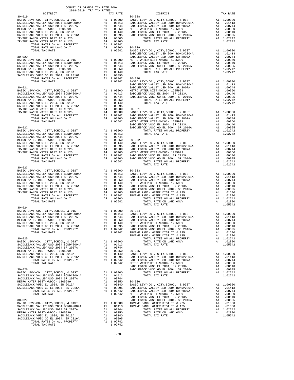|  | TRA TAX RATE<br>TAX RATE TAX RATE PRESENTED IN THE RESERVE OF A SOLUTION OF THE RESERVE OF A SOLUTION OF THE RESERVE OF A SECOND OF THE RESERVE OF A SECOND OF THE RESERVE OF A SECOND OF THE RESERVE OF A SECOND OF THE RESERVE | TAX RATE |
|--|----------------------------------------------------------------------------------------------------------------------------------------------------------------------------------------------------------------------------------|----------|
|  | $30 - 028$                                                                                                                                                                                                                       |          |
|  |                                                                                                                                                                                                                                  |          |
|  |                                                                                                                                                                                                                                  |          |
|  |                                                                                                                                                                                                                                  |          |
|  |                                                                                                                                                                                                                                  |          |
|  |                                                                                                                                                                                                                                  |          |
|  |                                                                                                                                                                                                                                  |          |
|  |                                                                                                                                                                                                                                  |          |
|  |                                                                                                                                                                                                                                  |          |
|  |                                                                                                                                                                                                                                  |          |
|  |                                                                                                                                                                                                                                  |          |
|  |                                                                                                                                                                                                                                  |          |
|  |                                                                                                                                                                                                                                  |          |
|  |                                                                                                                                                                                                                                  |          |
|  |                                                                                                                                                                                                                                  |          |
|  |                                                                                                                                                                                                                                  |          |
|  |                                                                                                                                                                                                                                  |          |
|  |                                                                                                                                                                                                                                  |          |
|  |                                                                                                                                                                                                                                  |          |
|  |                                                                                                                                                                                                                                  |          |
|  |                                                                                                                                                                                                                                  |          |
|  |                                                                                                                                                                                                                                  |          |
|  |                                                                                                                                                                                                                                  |          |
|  |                                                                                                                                                                                                                                  |          |
|  |                                                                                                                                                                                                                                  |          |
|  |                                                                                                                                                                                                                                  |          |
|  |                                                                                                                                                                                                                                  |          |
|  |                                                                                                                                                                                                                                  |          |
|  |                                                                                                                                                                                                                                  |          |
|  |                                                                                                                                                                                                                                  |          |
|  |                                                                                                                                                                                                                                  |          |
|  |                                                                                                                                                                                                                                  |          |
|  |                                                                                                                                                                                                                                  |          |
|  |                                                                                                                                                                                                                                  |          |
|  |                                                                                                                                                                                                                                  |          |
|  |                                                                                                                                                                                                                                  |          |
|  |                                                                                                                                                                                                                                  |          |
|  |                                                                                                                                                                                                                                  |          |
|  |                                                                                                                                                                                                                                  |          |
|  |                                                                                                                                                                                                                                  |          |
|  |                                                                                                                                                                                                                                  |          |
|  |                                                                                                                                                                                                                                  |          |
|  |                                                                                                                                                                                                                                  |          |
|  |                                                                                                                                                                                                                                  |          |
|  |                                                                                                                                                                                                                                  |          |
|  |                                                                                                                                                                                                                                  |          |
|  |                                                                                                                                                                                                                                  |          |
|  |                                                                                                                                                                                                                                  |          |
|  |                                                                                                                                                                                                                                  |          |
|  |                                                                                                                                                                                                                                  |          |
|  |                                                                                                                                                                                                                                  |          |
|  |                                                                                                                                                                                                                                  |          |
|  |                                                                                                                                                                                                                                  |          |
|  |                                                                                                                                                                                                                                  |          |
|  |                                                                                                                                                                                                                                  |          |
|  |                                                                                                                                                                                                                                  |          |
|  |                                                                                                                                                                                                                                  |          |
|  |                                                                                                                                                                                                                                  |          |
|  |                                                                                                                                                                                                                                  |          |
|  |                                                                                                                                                                                                                                  |          |
|  |                                                                                                                                                                                                                                  |          |
|  |                                                                                                                                                                                                                                  |          |
|  |                                                                                                                                                                                                                                  |          |
|  |                                                                                                                                                                                                                                  |          |
|  |                                                                                                                                                                                                                                  |          |
|  |                                                                                                                                                                                                                                  |          |
|  |                                                                                                                                                                                                                                  |          |
|  |                                                                                                                                                                                                                                  |          |
|  |                                                                                                                                                                                                                                  |          |
|  |                                                                                                                                                                                                                                  |          |
|  |                                                                                                                                                                                                                                  |          |
|  |                                                                                                                                                                                                                                  |          |
|  |                                                                                                                                                                                                                                  |          |
|  |                                                                                                                                                                                                                                  |          |
|  |                                                                                                                                                                                                                                  |          |
|  |                                                                                                                                                                                                                                  |          |
|  |                                                                                                                                                                                                                                  |          |
|  |                                                                                                                                                                                                                                  |          |
|  |                                                                                                                                                                                                                                  |          |
|  |                                                                                                                                                                                                                                  |          |
|  |                                                                                                                                                                                                                                  |          |
|  |                                                                                                                                                                                                                                  |          |

-270-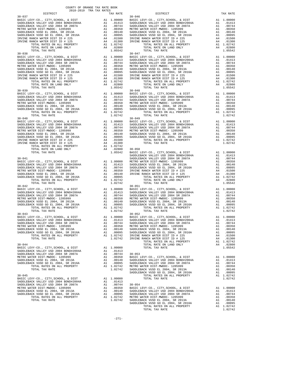| COUNTY OF ORANGE TAX RATE BOOK<br>2018-2019 TRA TAX RATES |          |                                                                                                                                                                                                                                                                                                                                                                                                 | TAX RATE |
|-----------------------------------------------------------|----------|-------------------------------------------------------------------------------------------------------------------------------------------------------------------------------------------------------------------------------------------------------------------------------------------------------------------------------------------------------------------------------------------------|----------|
| $30 - 037$                                                | TAX RATE | DISTRICT<br>$30 - 046$                                                                                                                                                                                                                                                                                                                                                                          |          |
|                                                           |          |                                                                                                                                                                                                                                                                                                                                                                                                 |          |
|                                                           |          |                                                                                                                                                                                                                                                                                                                                                                                                 |          |
|                                                           |          |                                                                                                                                                                                                                                                                                                                                                                                                 |          |
|                                                           |          |                                                                                                                                                                                                                                                                                                                                                                                                 |          |
|                                                           |          |                                                                                                                                                                                                                                                                                                                                                                                                 |          |
|                                                           |          |                                                                                                                                                                                                                                                                                                                                                                                                 |          |
|                                                           |          |                                                                                                                                                                                                                                                                                                                                                                                                 |          |
|                                                           |          |                                                                                                                                                                                                                                                                                                                                                                                                 |          |
|                                                           |          |                                                                                                                                                                                                                                                                                                                                                                                                 |          |
|                                                           |          |                                                                                                                                                                                                                                                                                                                                                                                                 |          |
|                                                           |          |                                                                                                                                                                                                                                                                                                                                                                                                 |          |
|                                                           |          |                                                                                                                                                                                                                                                                                                                                                                                                 |          |
|                                                           |          | $\begin{tabular}{l c c c c c c c} \multicolumn{1}{c c c c} \multicolumn{1}{c c c} \multicolumn{1}{c c c} \multicolumn{1}{c c c} \multicolumn{1}{c c c} \multicolumn{1}{c c c} \multicolumn{1}{c c c} \multicolumn{1}{c c c} \multicolumn{1}{c c c} \multicolumn{1}{c c c} \multicolumn{1}{c c c} \multicolumn{1}{c c c} \multicolumn{1}{c c c} \multicolumn{1}{c c c} \multicolumn{1}{c c c} \$ |          |
|                                                           |          |                                                                                                                                                                                                                                                                                                                                                                                                 |          |

 METRO WATER DIST-MWDOC- 1205999 A1 .00350 METRO WATER DIST-MWDOC- 1205999 A1 .00350 SADDLEBACK VUSD EL 2004, SR 2013A A1 .00140 SADDLEBACK VUSD EL 2004, SR 2013A A1 .00140 SADDLEBACK VUSD GO EL 2004, SR 2016A A1 .00095 SADDLEBACK VUSD GO EL 2004, SR 2016A A1 .00095 IRVINE RANCH WATER DIST ID # 225 A4 .01500 IRVINE RANCH WATER DIST ID # 225 A4 .01500 IRVINE RANCH WATER DIST ID # 125 A4 .01300 IRVINE RANCH WATER DIST ID # 125 A4 .01300 TOTAL RATES ON ALL PROPERTY A1 1.02742 TOTAL RATES ON ALL PROPERTY A1 1.02742 TOTAL RATE ON LAND ONLY A4 .02800 TOTAL RATE ON LAND ONLY A4 .02800 TOTAL TAX RATE 1.05542 TOTAL TAX RATE 1.05542 BASIC LEVY-CO., CITY,SCHOOL, & DIST A1 1.00000 BASIC LEVY-CO., CITY,SCHOOL, & DIST A1 1.00000 SADDLEBACK VALLEY USD 2004 BOND#2004A A1 .01413 SADDLEBACK VALLEY USD 2004 BOND#2004A A1 .01413 SADDLEBACK VALLEY USD 2004 SR 2007A A1 .00744 SADDLEBACK VALLEY USD 2004 SR 2007A A1 .00744 METRO WATER DIST-MWDOC- 1205999 A1 .00350 METRO WATER DIST-MWDOC- 1205999 A1 .00350 SADDLEBACK VUSD EL 2004, SR 2013A A1 .00140 SADDLEBACK VUSD EL 2004, SR 2013A A1 .00140 SADDLEBACK VUSD GO EL 2004, SR 2016A A1 .00095 SADDLEBACK VUSD GO EL 2004, SR 2016A A1 .00095 IRVINE RANCH WATER DIST ID # 225 A4 .01500 IRVINE RANCH WATER DIST ID # 225 A4 .01500 IRVINE RANCH WATER DIST ID # 125 A4 .01300 IRVINE RANCH WATER DIST ID # 125 A4 .01300 TOTAL RATES ON ALL PROPERTY A1 1.02742 TOTAL RATES ON ALL PROPERTY A1 1.02742 TOTAL RATE ON LAND ONLY A4 .02800 TOTAL RATE ON LAND ONLY A4 .02800 TOTAL TAX RATE 1.05542 TOTAL TAX RATE 1.05542 BASIC LEVY-CO., CITY,SCHOOL, & DIST A1 1.00000 BASIC LEVY-CO., CITY,SCHOOL, & DIST A1 1.00000 SADDLEBACK VALLEY USD 2004 BOND#2004A A1 .01413 SADDLEBACK VALLEY USD 2004 BOND#2004A A1 .01413 SADDLEBACK VALLEY USD 2004 SR 2007A A1 .00744 SADDLEBACK VALLEY USD 2004 SR 2007A A1 .00744 METRO WATER DIST-MWDOC- 1205999 A1 .00350 METRO WATER DIST-MWDOC- 1205999 A1 .00350 SADDLEBACK VUSD EL 2004, SR 2013A A1 .00140 SADDLEBACK VUSD EL 2004, SR 2013A A1 .00140 SADDLEBACK VUSD GO EL 2004, SR 2016A A1 .00095 SADDLEBACK VUSD GO EL 2004, SR 2016A A1 .00095 TOTAL RATES ON ALL PROPERTY A1 1.02742 TOTAL RATES ON ALL PROPERTY A1 1.02742 TOTAL TAX RATE 1.02742 TOTAL TAX RATE 1.02742 BASIC LEVY-CO., CITY,SCHOOL, & DIST A1 1.00000 BASIC LEVY-CO., CITY,SCHOOL, & DIST A1 1.00000 SADDLEBACK VALLEY USD 2004 BOND#2004A A1 .01413 SADDLEBACK VALLEY USD 2004 BOND#2004A A1 .01413 SADDLEBACK VALLEY USD 2004 SR 2007A A1 .00744 SADDLEBACK VALLEY USD 2004 SR 2007A A1 .00744 METRO WATER DIST-MWDOC- 1205999 A1 .00350 METRO WATER DIST-MWDOC- 1205999 A1 .00350 SADDLEBACK VUSD EL 2004, SR 2013A A1 .00140 SADDLEBACK VUSD EL 2004, SR 2013A A1 .00140 SADDLEBACK VUSD GO EL 2004, SR 2016A A1 .00095 SADDLEBACK VUSD GO EL 2004, SR 2016A A1 .00095 IRVINE RANCH WATER DIST ID # 225 A4 .01500 TOTAL RATES ON ALL PROPERTY A1 1.02742 IRVINE RANCH WATER DIST ID # 125 A4 .01300 TOTAL TAX RATE 1.02742 A1 1.02742<br>A4 .02800  $\begin{tabular}{c|c|c|c|c} \hline \texttt{TOTAL RATE} & \texttt{NATE} & \texttt{DAE} & \texttt{ADD} & \texttt{OML} & \texttt{AA} & \texttt{.02800} & \texttt{30-050} & \texttt{30-050} & \texttt{2004 EON} & \texttt{RIST} & \texttt{A1} & \texttt{1.00000} \\ \hline \texttt{TOTAL TAX RATE} & \texttt{1.03000}, \texttt{CUTY}, \texttt{SCHOOL}, \texttt{A} & \texttt{DIST} & \texttt{SADDLEBACK} & \texttt$  BASIC LEVY-CO., CITY,SCHOOL, & DIST A1 1.00000 BASIC LEVY-CO., CITY,SCHOOL, & DIST A1 1.00000 SADDLEBACK VALLEY USD 2004 BOND#2004A A1 .01413 SADDLEBACK VALLEY USD 2004 BOND#2004A A1 .01413 SADDLEBACK VALLEY USD 2004 SR 2007A A1 .00744 SADDLEBACK VALLEY USD 2004 SR 2007A A1 .00744 METRO WATER DIST-MWDOC- 1205999 A1 .00350 METRO WATER DIST-MWDOC- 1205999 A1 .00350 SADDLEBACK VUSD EL 2004, SR 2013A A1 .00140 SADDLEBACK VUSD EL 2004, SR 2013A A1 .00140 SADDLEBACK VUSD GO EL 2004, SR 2016A A1 .00095 SADDLEBACK VUSD GO EL 2004, SR 2016A A1 .00095 TOTAL RATES ON ALL PROPERTY A1 1.02742 TOTAL RATES ON ALL PROPERTY A1 1.02742 TOTAL TAX RATE 1.02742 TOTAL TAX RATE 1.02742  $\begin{tabular}{l|c|c|c|c|c} BASIC LEVY-CO., CITT, SEHOOL & DASTC LEVY-CO., CITT, SEHOOL & DASTC LEVY-CO., CITT, SEHOOL & DASTC LEVY-CO. & DISTT & A1 1.00000 \\ SADDLEBACK VALLEY USD 2004 BNDDEBACK VALLEY USD 2004 BNDLEBACK VALLEY USD 2004 BNDLEBACK VALLEY USD 2004 BNDLEBACK VALLEY USD 2004 BNDLEBACK VALLEY USD 2004 BNDLEBACK VALLEY USD 2004 BNDLEBACK VALLEY UD 2004 BNDLEBACK VALLEY UD$ METRO WAS ARRIG WATER DISTRICULT AN 1.00000 AT ALL 1.00000 AN ALL 1.00000<br>METRO WATER DISTRICT AN ALLEY USD 2004 AN ALL 1.00149 A1 1.00195 SADDLEBACK VALLEY USD 2004 SR 2007A  ${\small \hbox{SADDLEBACK}} \hbox{\small{CUDEBACK}} \hbox{\small{CUDB}} \hbox{\small{CUDB}} \hbox{\small{DUDB}} \hbox{\small{DUDB}} \hbox{\small{DUDB}} \hbox{\small{DUDB}} \hbox{\small{DUDB}} \hbox{\small{DUDB}} \hbox{\small{DUDB}} \hbox{\small{DUDB}} \hbox{\small{DUDB}} \hbox{\small{DUDB}} \hbox{\small{DUDB}} \hbox{\small{DUDB}} \hbox{\small{DUDB}} \hbox{\small{DUDB}} \hbox{\small{DUDB}} \hbox{\small{DUDB}} \hbox{\small{DUDB}} \hbox{\small$ BASIC LEVY-CO., CITY, SCHOOL, & DIST A1 1.00000 TOTAL TAX RATE 1.02742 METRO WATER DISTEMBLE DISTEMBLE DISTEMBLE DISTEMBLE DISTEMBLE DISTEMBLE DISTEMBLE DISTEMBLE DISTEMBLE DISTEMBL<br>METRO A1 00140 BADDLEBACK VALLEY USD 2004 BOND#2004A A1 01413 SADDLEBACK VUSD EL 2004, SR 2013A A1 .00140 SADDLEBACK VALLEY USD 2004 BOND#2004A A1 .01413 SADDLEBACK VUSD GO EL 2004, SR 2016A A1 .00095 SADDLEBACK VALLEY USD 2004 SR 2007A A1 .00744 TOTAL RATES ON ALL PROPERTY A1 1.02742 METRO WATER DIST-MWDOC- 1205999 A1 .00350 TOTAL TAX RATE 1.02742 SADDLEBACK VUSD EL 2004, SR 2013A A1 .00140 SADDLEBACK VUSD GO EL 2004, SR 2016A A1 .00095 TOTAL RATES ON ALL PROPERTY A1 1.02742<br>
TOTAL TAX RATE 1.02742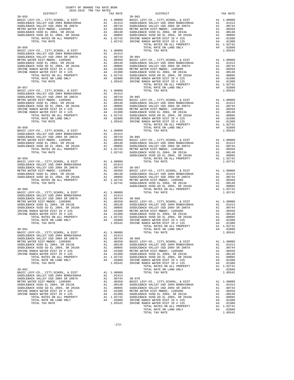| COUNTY OF ORANGE TAX RATE BOOK<br>2018-2019 TRA TAX RATES                                                                                                                                                                                                                                                                                                                                              |            |          |
|--------------------------------------------------------------------------------------------------------------------------------------------------------------------------------------------------------------------------------------------------------------------------------------------------------------------------------------------------------------------------------------------------------|------------|----------|
| DISTRICT<br>$30 - 055$                                                                                                                                                                                                                                                                                                                                                                                 | $30 - 063$ | TAX RATE |
|                                                                                                                                                                                                                                                                                                                                                                                                        |            |          |
|                                                                                                                                                                                                                                                                                                                                                                                                        |            |          |
|                                                                                                                                                                                                                                                                                                                                                                                                        |            |          |
| $\begin{tabular}{c cccc} {\bf 1.0574} & {\bf 1.0574} & {\bf 1.0574} & {\bf 1.0574} & {\bf 1.0574} & {\bf 1.0574} & {\bf 1.0574} & {\bf 1.0574} & {\bf 1.0574} & {\bf 1.0574} & {\bf 1.0574} & {\bf 1.0574} & {\bf 1.0574} & {\bf 1.0574} & {\bf 1.0574} & {\bf 1.0574} & {\bf 1.0574} & {\bf 1.0574} & {\bf 1.0574} & {\$                                                                              |            |          |
|                                                                                                                                                                                                                                                                                                                                                                                                        |            |          |
|                                                                                                                                                                                                                                                                                                                                                                                                        |            |          |
|                                                                                                                                                                                                                                                                                                                                                                                                        |            |          |
|                                                                                                                                                                                                                                                                                                                                                                                                        |            |          |
|                                                                                                                                                                                                                                                                                                                                                                                                        |            |          |
|                                                                                                                                                                                                                                                                                                                                                                                                        |            |          |
|                                                                                                                                                                                                                                                                                                                                                                                                        |            |          |
|                                                                                                                                                                                                                                                                                                                                                                                                        |            |          |
|                                                                                                                                                                                                                                                                                                                                                                                                        |            |          |
|                                                                                                                                                                                                                                                                                                                                                                                                        |            |          |
|                                                                                                                                                                                                                                                                                                                                                                                                        |            |          |
|                                                                                                                                                                                                                                                                                                                                                                                                        |            |          |
|                                                                                                                                                                                                                                                                                                                                                                                                        |            |          |
|                                                                                                                                                                                                                                                                                                                                                                                                        |            |          |
|                                                                                                                                                                                                                                                                                                                                                                                                        |            |          |
|                                                                                                                                                                                                                                                                                                                                                                                                        |            |          |
|                                                                                                                                                                                                                                                                                                                                                                                                        |            |          |
|                                                                                                                                                                                                                                                                                                                                                                                                        |            |          |
|                                                                                                                                                                                                                                                                                                                                                                                                        |            |          |
|                                                                                                                                                                                                                                                                                                                                                                                                        |            |          |
|                                                                                                                                                                                                                                                                                                                                                                                                        |            |          |
|                                                                                                                                                                                                                                                                                                                                                                                                        |            |          |
|                                                                                                                                                                                                                                                                                                                                                                                                        |            |          |
|                                                                                                                                                                                                                                                                                                                                                                                                        |            |          |
|                                                                                                                                                                                                                                                                                                                                                                                                        |            |          |
|                                                                                                                                                                                                                                                                                                                                                                                                        |            |          |
|                                                                                                                                                                                                                                                                                                                                                                                                        |            |          |
|                                                                                                                                                                                                                                                                                                                                                                                                        |            |          |
| $\begin{tabular}{l c c c c} \hline \text{TOTAL TAX RATE} & \text{1-01000} & \text{TOTAL RATE ON LAND ONLY} & \text{1-01000} \\ \hline \text{RADLEBACK VALLEY USD 2004B NDFL-BACK VUD D 2004 SADLEBACK VALLEY USD 2004 SNDLEBACK VALLEY USD 2004 SNDLEBACK VALLEY USD 2004 SNDLEBACK VALLEY USD 2004 SNDLEBACK VALLEY USD 2004 SNDLEBACK VALLEY USD 2004 SNDLEBACK VULEP USD 2004 SNDLEBACK VULEP USD $ |            |          |
|                                                                                                                                                                                                                                                                                                                                                                                                        |            |          |
|                                                                                                                                                                                                                                                                                                                                                                                                        |            |          |
|                                                                                                                                                                                                                                                                                                                                                                                                        |            |          |
|                                                                                                                                                                                                                                                                                                                                                                                                        |            |          |
|                                                                                                                                                                                                                                                                                                                                                                                                        |            |          |
|                                                                                                                                                                                                                                                                                                                                                                                                        |            |          |
|                                                                                                                                                                                                                                                                                                                                                                                                        |            |          |
|                                                                                                                                                                                                                                                                                                                                                                                                        |            |          |
|                                                                                                                                                                                                                                                                                                                                                                                                        |            |          |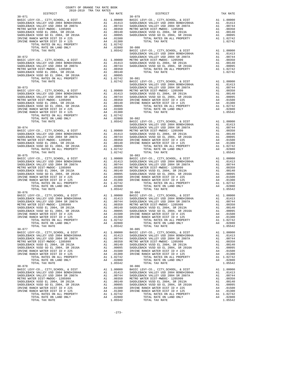| COUNTY OF ORANGE TAX RATE BOOK<br>2018-2019 TRA TAX RATES                                                                                                                                                                                                                                                                                                                                                                            |                                |          |
|--------------------------------------------------------------------------------------------------------------------------------------------------------------------------------------------------------------------------------------------------------------------------------------------------------------------------------------------------------------------------------------------------------------------------------------|--------------------------------|----------|
| DISTRICT                                                                                                                                                                                                                                                                                                                                                                                                                             | TAX RATES<br>TAX RATE DISTRICT | TAX RATE |
| $30 - 071$                                                                                                                                                                                                                                                                                                                                                                                                                           | $30 - 079$                     |          |
|                                                                                                                                                                                                                                                                                                                                                                                                                                      |                                |          |
|                                                                                                                                                                                                                                                                                                                                                                                                                                      |                                |          |
|                                                                                                                                                                                                                                                                                                                                                                                                                                      |                                |          |
|                                                                                                                                                                                                                                                                                                                                                                                                                                      |                                |          |
|                                                                                                                                                                                                                                                                                                                                                                                                                                      |                                |          |
|                                                                                                                                                                                                                                                                                                                                                                                                                                      |                                |          |
|                                                                                                                                                                                                                                                                                                                                                                                                                                      |                                |          |
|                                                                                                                                                                                                                                                                                                                                                                                                                                      |                                |          |
|                                                                                                                                                                                                                                                                                                                                                                                                                                      |                                |          |
| $30 - 076$                                                                                                                                                                                                                                                                                                                                                                                                                           | $30 - 084$                     |          |
| $\begin{tabular}{ c  c  c c c c c} \hline \textbf{IRVINE RANCI WATER DIST ID} & \textbf{RMCI WATER DIST ID} & \textbf{AA} & \textbf{.01300} & \textbf{IRVINE RANCI WATER DIST ID} & \textbf{A1} & \textbf{.01300} \\ \hline \textbf{TOVAL RATES ON LLL PRODEFTY} & \textbf{A1} & \textbf{.02742} & \textbf{TOVAL RATES ON LLD ROBERTY} & \textbf{A1} & \textbf{.02742} \\ \hline \textbf{TOVAL RATES ON LIL PRODEFTY} & \textbf{A1}$ |                                |          |
|                                                                                                                                                                                                                                                                                                                                                                                                                                      |                                |          |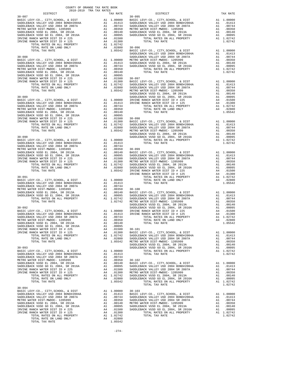| DISTRICT | 2018-2019 TRA TAX RATES | TAX RATE | DISTRICT | TAX RATE |
|----------|-------------------------|----------|----------|----------|
|          |                         |          |          |          |
|          |                         |          |          |          |
|          |                         |          |          |          |
|          |                         |          |          |          |
|          |                         |          |          |          |
|          |                         |          |          |          |
|          |                         |          |          |          |
|          |                         |          |          |          |
|          |                         |          |          |          |
|          |                         |          |          |          |
|          |                         |          |          |          |
|          |                         |          |          |          |
|          |                         |          |          |          |
|          |                         |          |          |          |
|          |                         |          |          |          |
|          |                         |          |          |          |
|          |                         |          |          |          |
|          |                         |          |          |          |
|          |                         |          |          |          |
|          |                         |          |          |          |
|          |                         |          |          |          |
|          |                         |          |          |          |
|          |                         |          |          |          |
|          |                         |          |          |          |
|          |                         |          |          |          |
|          |                         |          |          |          |
|          |                         |          |          |          |
|          |                         |          |          |          |
|          |                         |          |          |          |
|          |                         |          |          |          |
|          |                         |          |          |          |
|          |                         |          |          |          |
|          |                         |          |          |          |
|          |                         |          |          |          |
|          |                         |          |          |          |
|          |                         |          |          |          |
|          |                         |          |          |          |
|          |                         |          |          |          |
|          |                         |          |          |          |
|          |                         |          |          |          |
|          |                         |          |          |          |
|          |                         |          |          |          |
|          |                         |          |          |          |
|          |                         |          |          |          |
|          |                         |          |          |          |
|          |                         |          |          |          |
|          |                         |          |          |          |
|          |                         |          |          |          |
|          |                         |          |          |          |
|          |                         |          |          |          |
|          |                         |          |          |          |
|          |                         |          |          |          |
|          |                         |          |          |          |
|          |                         |          |          |          |
|          |                         |          |          |          |
|          |                         |          |          |          |
|          |                         |          |          |          |
|          |                         |          |          |          |
|          |                         |          |          |          |
|          |                         |          |          |          |
|          |                         |          |          |          |
|          |                         |          |          |          |
|          |                         |          |          |          |
|          |                         |          |          |          |
|          |                         |          |          |          |
|          |                         |          |          |          |
|          |                         |          |          |          |
|          |                         |          |          |          |
|          |                         |          |          |          |
|          |                         |          |          |          |
|          |                         |          |          |          |
|          |                         |          |          |          |
|          |                         |          |          |          |
|          |                         |          |          |          |
|          |                         |          |          |          |
|          |                         |          |          |          |
|          |                         |          |          |          |
|          |                         |          |          |          |
|          |                         |          |          |          |
|          |                         |          |          |          |
|          |                         |          |          |          |
|          |                         |          |          |          |
|          |                         |          |          |          |

COUNTY OF ORANGE TAX RATE BOOK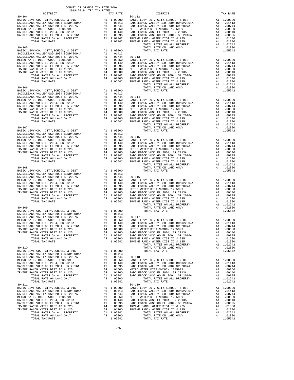| COUNTY OF ORANGE TAX RATE BOOK<br>2018-2019 TRA TAX RATES |  |  |
|-----------------------------------------------------------|--|--|
|                                                           |  |  |
|                                                           |  |  |
|                                                           |  |  |
|                                                           |  |  |
|                                                           |  |  |
|                                                           |  |  |
|                                                           |  |  |
|                                                           |  |  |
|                                                           |  |  |
|                                                           |  |  |
|                                                           |  |  |
|                                                           |  |  |
|                                                           |  |  |
|                                                           |  |  |
|                                                           |  |  |
|                                                           |  |  |
|                                                           |  |  |
|                                                           |  |  |
|                                                           |  |  |
|                                                           |  |  |
|                                                           |  |  |
|                                                           |  |  |
|                                                           |  |  |
|                                                           |  |  |
|                                                           |  |  |
|                                                           |  |  |
|                                                           |  |  |
|                                                           |  |  |
|                                                           |  |  |
|                                                           |  |  |
|                                                           |  |  |
|                                                           |  |  |
|                                                           |  |  |
|                                                           |  |  |
|                                                           |  |  |
|                                                           |  |  |
|                                                           |  |  |
|                                                           |  |  |
|                                                           |  |  |
|                                                           |  |  |
|                                                           |  |  |
|                                                           |  |  |
|                                                           |  |  |
|                                                           |  |  |
|                                                           |  |  |
|                                                           |  |  |
|                                                           |  |  |
|                                                           |  |  |
|                                                           |  |  |
|                                                           |  |  |
|                                                           |  |  |
|                                                           |  |  |
|                                                           |  |  |
|                                                           |  |  |
|                                                           |  |  |
|                                                           |  |  |
|                                                           |  |  |
|                                                           |  |  |
|                                                           |  |  |
|                                                           |  |  |
|                                                           |  |  |
|                                                           |  |  |
|                                                           |  |  |
|                                                           |  |  |
|                                                           |  |  |
|                                                           |  |  |
|                                                           |  |  |
|                                                           |  |  |
|                                                           |  |  |
|                                                           |  |  |
|                                                           |  |  |
|                                                           |  |  |
|                                                           |  |  |
|                                                           |  |  |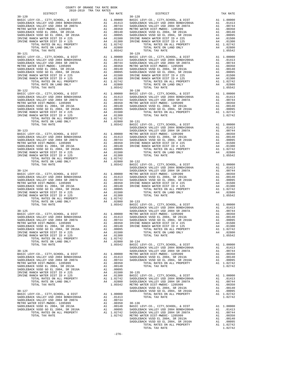| DISTRICT | CHINA ANI RAIDS-GIUS-GIUS<br>TAX RATE | DISTRICT | TAX RATE |
|----------|---------------------------------------|----------|----------|
|          |                                       |          |          |
|          |                                       |          |          |
|          |                                       |          |          |
|          |                                       |          |          |
|          |                                       |          |          |
|          |                                       |          |          |
|          |                                       |          |          |
|          |                                       |          |          |
|          |                                       |          |          |
|          |                                       |          |          |
|          |                                       |          |          |
|          |                                       |          |          |
|          |                                       |          |          |
|          |                                       |          |          |
|          |                                       |          |          |
|          |                                       |          |          |
|          |                                       |          |          |
|          |                                       |          |          |
|          |                                       |          |          |
|          |                                       |          |          |
|          |                                       |          |          |
|          |                                       |          |          |
|          |                                       |          |          |
|          |                                       |          |          |
|          |                                       |          |          |
|          |                                       |          |          |
|          |                                       |          |          |
|          |                                       |          |          |
|          |                                       |          |          |
|          |                                       |          |          |
|          |                                       |          |          |
|          |                                       |          |          |
|          |                                       |          |          |
|          |                                       |          |          |
|          |                                       |          |          |
|          |                                       |          |          |
|          |                                       |          |          |
|          |                                       |          |          |
|          |                                       |          |          |
|          |                                       |          |          |
|          |                                       |          |          |
|          |                                       |          |          |
|          |                                       |          |          |
|          |                                       |          |          |
|          |                                       |          |          |
|          |                                       |          |          |
|          |                                       |          |          |
|          |                                       |          |          |
|          |                                       |          |          |
|          |                                       |          |          |
|          |                                       |          |          |
|          |                                       |          |          |
|          |                                       |          |          |
|          |                                       |          |          |
|          |                                       |          |          |
|          |                                       |          |          |
|          |                                       |          |          |
|          |                                       |          |          |
|          |                                       |          |          |
|          |                                       |          |          |
|          |                                       |          |          |
|          |                                       |          |          |
|          |                                       |          |          |
|          |                                       |          |          |
|          |                                       |          |          |
|          |                                       |          |          |
|          |                                       |          |          |
|          |                                       |          |          |
|          |                                       |          |          |
|          |                                       |          |          |
|          |                                       |          |          |
|          |                                       |          |          |
|          |                                       |          |          |
|          |                                       |          |          |
|          |                                       |          |          |
|          |                                       |          |          |
|          |                                       |          |          |

| NETRO WALLEY USD 2004 SADDLEBACK VALLEY USD 2004 SADDLEBACK VALLEY USD 2004 SADDLEBACK VALLEY USD 2014 SADDLEBACK VALLEY USD 2014 SADDLEBACK VUSD EL 2004, SR 2013A<br>SADDLEBACK VUSD EL 2004, SR 2013A<br>SADDLEBACK VUSD EL 200 |         |                  |  |
|------------------------------------------------------------------------------------------------------------------------------------------------------------------------------------------------------------------------------------|---------|------------------|--|
|                                                                                                                                                                                                                                    |         |                  |  |
|                                                                                                                                                                                                                                    |         |                  |  |
|                                                                                                                                                                                                                                    |         |                  |  |
|                                                                                                                                                                                                                                    |         |                  |  |
|                                                                                                                                                                                                                                    |         |                  |  |
|                                                                                                                                                                                                                                    |         |                  |  |
|                                                                                                                                                                                                                                    |         |                  |  |
|                                                                                                                                                                                                                                    |         |                  |  |
|                                                                                                                                                                                                                                    |         |                  |  |
|                                                                                                                                                                                                                                    |         |                  |  |
|                                                                                                                                                                                                                                    |         |                  |  |
|                                                                                                                                                                                                                                    |         |                  |  |
|                                                                                                                                                                                                                                    |         |                  |  |
|                                                                                                                                                                                                                                    |         |                  |  |
|                                                                                                                                                                                                                                    |         |                  |  |
|                                                                                                                                                                                                                                    |         |                  |  |
|                                                                                                                                                                                                                                    |         |                  |  |
|                                                                                                                                                                                                                                    |         |                  |  |
|                                                                                                                                                                                                                                    |         |                  |  |
|                                                                                                                                                                                                                                    |         |                  |  |
|                                                                                                                                                                                                                                    |         |                  |  |
|                                                                                                                                                                                                                                    |         |                  |  |
|                                                                                                                                                                                                                                    |         |                  |  |
|                                                                                                                                                                                                                                    |         |                  |  |
|                                                                                                                                                                                                                                    |         |                  |  |
|                                                                                                                                                                                                                                    |         |                  |  |
|                                                                                                                                                                                                                                    |         |                  |  |
|                                                                                                                                                                                                                                    |         |                  |  |
|                                                                                                                                                                                                                                    |         |                  |  |
|                                                                                                                                                                                                                                    |         |                  |  |
|                                                                                                                                                                                                                                    |         |                  |  |
|                                                                                                                                                                                                                                    |         |                  |  |
|                                                                                                                                                                                                                                    |         |                  |  |
|                                                                                                                                                                                                                                    |         |                  |  |
|                                                                                                                                                                                                                                    |         |                  |  |
|                                                                                                                                                                                                                                    |         |                  |  |
|                                                                                                                                                                                                                                    |         |                  |  |
|                                                                                                                                                                                                                                    |         |                  |  |
|                                                                                                                                                                                                                                    |         |                  |  |
|                                                                                                                                                                                                                                    |         |                  |  |
|                                                                                                                                                                                                                                    |         |                  |  |
|                                                                                                                                                                                                                                    |         |                  |  |
|                                                                                                                                                                                                                                    |         |                  |  |
|                                                                                                                                                                                                                                    |         |                  |  |
|                                                                                                                                                                                                                                    |         |                  |  |
|                                                                                                                                                                                                                                    |         |                  |  |
|                                                                                                                                                                                                                                    |         |                  |  |
|                                                                                                                                                                                                                                    |         |                  |  |
|                                                                                                                                                                                                                                    |         |                  |  |
| TOTAL RATE ON LAND ONLY                                                                                                                                                                                                            |         | A4 .02800 30-134 |  |
|                                                                                                                                                                                                                                    |         |                  |  |
|                                                                                                                                                                                                                                    |         |                  |  |
|                                                                                                                                                                                                                                    |         |                  |  |
|                                                                                                                                                                                                                                    |         |                  |  |
|                                                                                                                                                                                                                                    |         |                  |  |
|                                                                                                                                                                                                                                    |         |                  |  |
|                                                                                                                                                                                                                                    |         |                  |  |
|                                                                                                                                                                                                                                    |         |                  |  |
|                                                                                                                                                                                                                                    |         |                  |  |
|                                                                                                                                                                                                                                    |         |                  |  |
|                                                                                                                                                                                                                                    |         |                  |  |
|                                                                                                                                                                                                                                    |         |                  |  |
|                                                                                                                                                                                                                                    |         |                  |  |
|                                                                                                                                                                                                                                    |         |                  |  |
|                                                                                                                                                                                                                                    |         |                  |  |
|                                                                                                                                                                                                                                    |         |                  |  |
|                                                                                                                                                                                                                                    |         |                  |  |
|                                                                                                                                                                                                                                    |         |                  |  |
|                                                                                                                                                                                                                                    |         |                  |  |
|                                                                                                                                                                                                                                    |         |                  |  |
|                                                                                                                                                                                                                                    |         |                  |  |
|                                                                                                                                                                                                                                    | $-276-$ |                  |  |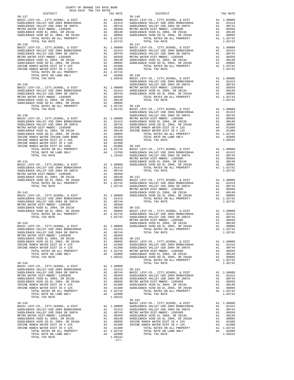| nterret                                                                                                                                                                                                                           |                                                                                                   | TWY LWID                                                                                                                                                                                       |            |
|-----------------------------------------------------------------------------------------------------------------------------------------------------------------------------------------------------------------------------------|---------------------------------------------------------------------------------------------------|------------------------------------------------------------------------------------------------------------------------------------------------------------------------------------------------|------------|
| $30 - 137$                                                                                                                                                                                                                        |                                                                                                   |                                                                                                                                                                                                | $30 - 146$ |
|                                                                                                                                                                                                                                   |                                                                                                   |                                                                                                                                                                                                |            |
|                                                                                                                                                                                                                                   |                                                                                                   |                                                                                                                                                                                                |            |
|                                                                                                                                                                                                                                   |                                                                                                   |                                                                                                                                                                                                |            |
|                                                                                                                                                                                                                                   |                                                                                                   |                                                                                                                                                                                                |            |
|                                                                                                                                                                                                                                   |                                                                                                   |                                                                                                                                                                                                |            |
|                                                                                                                                                                                                                                   |                                                                                                   |                                                                                                                                                                                                |            |
| $30 - 138$                                                                                                                                                                                                                        |                                                                                                   |                                                                                                                                                                                                | $30 - 147$ |
|                                                                                                                                                                                                                                   |                                                                                                   |                                                                                                                                                                                                |            |
|                                                                                                                                                                                                                                   |                                                                                                   |                                                                                                                                                                                                |            |
|                                                                                                                                                                                                                                   |                                                                                                   |                                                                                                                                                                                                |            |
|                                                                                                                                                                                                                                   |                                                                                                   |                                                                                                                                                                                                |            |
|                                                                                                                                                                                                                                   |                                                                                                   |                                                                                                                                                                                                |            |
|                                                                                                                                                                                                                                   |                                                                                                   |                                                                                                                                                                                                |            |
|                                                                                                                                                                                                                                   |                                                                                                   |                                                                                                                                                                                                |            |
|                                                                                                                                                                                                                                   |                                                                                                   |                                                                                                                                                                                                |            |
|                                                                                                                                                                                                                                   |                                                                                                   |                                                                                                                                                                                                | SADDLEB    |
|                                                                                                                                                                                                                                   |                                                                                                   |                                                                                                                                                                                                |            |
|                                                                                                                                                                                                                                   |                                                                                                   |                                                                                                                                                                                                |            |
|                                                                                                                                                                                                                                   |                                                                                                   |                                                                                                                                                                                                |            |
|                                                                                                                                                                                                                                   |                                                                                                   |                                                                                                                                                                                                |            |
|                                                                                                                                                                                                                                   |                                                                                                   |                                                                                                                                                                                                |            |
|                                                                                                                                                                                                                                   |                                                                                                   |                                                                                                                                                                                                |            |
|                                                                                                                                                                                                                                   |                                                                                                   |                                                                                                                                                                                                |            |
|                                                                                                                                                                                                                                   |                                                                                                   |                                                                                                                                                                                                | SADDLEB    |
| $30 - 140$                                                                                                                                                                                                                        |                                                                                                   |                                                                                                                                                                                                | SADDLEB    |
|                                                                                                                                                                                                                                   |                                                                                                   |                                                                                                                                                                                                |            |
|                                                                                                                                                                                                                                   |                                                                                                   |                                                                                                                                                                                                |            |
|                                                                                                                                                                                                                                   |                                                                                                   |                                                                                                                                                                                                |            |
|                                                                                                                                                                                                                                   |                                                                                                   |                                                                                                                                                                                                |            |
|                                                                                                                                                                                                                                   |                                                                                                   |                                                                                                                                                                                                |            |
|                                                                                                                                                                                                                                   |                                                                                                   |                                                                                                                                                                                                |            |
|                                                                                                                                                                                                                                   |                                                                                                   |                                                                                                                                                                                                |            |
|                                                                                                                                                                                                                                   |                                                                                                   |                                                                                                                                                                                                |            |
|                                                                                                                                                                                                                                   |                                                                                                   |                                                                                                                                                                                                |            |
|                                                                                                                                                                                                                                   |                                                                                                   |                                                                                                                                                                                                |            |
|                                                                                                                                                                                                                                   |                                                                                                   |                                                                                                                                                                                                | METRO W    |
| $30 - 141$                                                                                                                                                                                                                        |                                                                                                   |                                                                                                                                                                                                | SADDLEB    |
|                                                                                                                                                                                                                                   |                                                                                                   |                                                                                                                                                                                                |            |
|                                                                                                                                                                                                                                   |                                                                                                   |                                                                                                                                                                                                |            |
|                                                                                                                                                                                                                                   |                                                                                                   |                                                                                                                                                                                                |            |
|                                                                                                                                                                                                                                   |                                                                                                   |                                                                                                                                                                                                |            |
|                                                                                                                                                                                                                                   |                                                                                                   |                                                                                                                                                                                                |            |
|                                                                                                                                                                                                                                   |                                                                                                   |                                                                                                                                                                                                |            |
|                                                                                                                                                                                                                                   |                                                                                                   |                                                                                                                                                                                                | METRO W    |
| $30 - 142$                                                                                                                                                                                                                        |                                                                                                   |                                                                                                                                                                                                | SADDLEB    |
|                                                                                                                                                                                                                                   |                                                                                                   |                                                                                                                                                                                                |            |
|                                                                                                                                                                                                                                   |                                                                                                   |                                                                                                                                                                                                |            |
|                                                                                                                                                                                                                                   |                                                                                                   |                                                                                                                                                                                                |            |
|                                                                                                                                                                                                                                   |                                                                                                   |                                                                                                                                                                                                |            |
|                                                                                                                                                                                                                                   |                                                                                                   |                                                                                                                                                                                                |            |
|                                                                                                                                                                                                                                   |                                                                                                   |                                                                                                                                                                                                |            |
|                                                                                                                                                                                                                                   |                                                                                                   |                                                                                                                                                                                                | METRO W    |
| $30 - 143$                                                                                                                                                                                                                        |                                                                                                   |                                                                                                                                                                                                |            |
| BASIC LEVY-CO., CITY, SCHOOL, & DIST                                                                                                                                                                                              | $\begin{tabular}{ll} \bf{A1} & 1.00000 & SADDLEB \\ \bf{A1} & 1.00000 & SADDLEB \\ \end{tabular}$ |                                                                                                                                                                                                |            |
| SADDLEBACK VALLEY USD 2004 BOND#2004A                                                                                                                                                                                             | A1                                                                                                | .01413<br>A101413<br>A100744                                                                                                                                                                   |            |
| SADDLEBACK VALLEY USD 2004 SR 2007A                                                                                                                                                                                               |                                                                                                   | A1 .00350                                                                                                                                                                                      |            |
| SADDLEBACK VUSD EL 2004 2004<br>SADDLEBACK VUSD EL 2004, SR 2013A<br>SADDLEBACK VUSD EL 2004, SR 2013A<br>SADDLEBACK VUSD GO EL 2004, SR 2015A<br>TRUINE RANCH WATER DIST ID # 225                                                |                                                                                                   |                                                                                                                                                                                                |            |
|                                                                                                                                                                                                                                   |                                                                                                   |                                                                                                                                                                                                |            |
| IRVINE RANCH WATER DIST ID # 225                                                                                                                                                                                                  |                                                                                                   | A1 .00340<br>A1 .00140 30-153<br>A1 .00095 BASIC L<br>A4 .01500 SADDLEB<br>A4 .01300 SADDLEB<br>A1 1.02742 METRO M<br>A4 .02800 SADDLEB<br>A4 .02800 SADDLEB<br>1.05542 SADDLEB                |            |
| IRVINE RANCH WATER DIST ID # 125<br>TOTAL RATES ON ALL PROPERTY                                                                                                                                                                   |                                                                                                   |                                                                                                                                                                                                |            |
| TOTAL RATE ON LAND ONLY                                                                                                                                                                                                           |                                                                                                   |                                                                                                                                                                                                |            |
| TOTAL TAX RATE                                                                                                                                                                                                                    |                                                                                                   |                                                                                                                                                                                                |            |
|                                                                                                                                                                                                                                   |                                                                                                   |                                                                                                                                                                                                |            |
| $30 - 144$                                                                                                                                                                                                                        |                                                                                                   | A1 1.00000                                                                                                                                                                                     |            |
| Noter Transport CO., CITY, SCHOOL, & DIST Alassic LEVY-CO., CITY, SCHOOL & DIST Alassic PALLEY USD 2004 SR 2007A Alassic Premis Matthews (2007)<br>SADDLEBACK VALLEY USD 2004 SR 2007A Alassic PREMIS MATTRO WATER DIST-MWDOC- 12 |                                                                                                   |                                                                                                                                                                                                |            |
|                                                                                                                                                                                                                                   |                                                                                                   |                                                                                                                                                                                                |            |
| METRO WATER DIST-MWDOC- 1205999                                                                                                                                                                                                   |                                                                                                   |                                                                                                                                                                                                |            |
| SADDLEBACK VUSD EL 2004, SR 2013A<br>SADDLEBACK VUSD EL 2004, SK 2013A<br>SADDLEBACK VUSD GO EL 2004, SR 2016A<br>TEVINE PANCH WATER DIST ID # 225                                                                                |                                                                                                   |                                                                                                                                                                                                |            |
| IRVINE RANCH WATER DIST ID # 225                                                                                                                                                                                                  |                                                                                                   |                                                                                                                                                                                                |            |
| IRVINE RANCH WATER DIST ID # 125                                                                                                                                                                                                  |                                                                                                   | A1 .00000<br>A1 .00144<br>A1 .00744 BASIC L<br>A1 .00350 SADDLEB<br>A1 .00140 SADDLEB<br>A1 .00095 METRO W<br>A4 .01500 SADDLEB<br>A4 .01500 SADDLEB<br>A4 .01300 SADDLEB<br>A4 .01300 SADDLEB |            |
|                                                                                                                                                                                                                                   |                                                                                                   | A1 1.02742                                                                                                                                                                                     |            |
| --- "ALEN PIST ID # 125<br>TOTAL RATES ON ALL PROPERTY<br>TOTAL RATE ON LAND ONLY<br>TOTAL TAX RATE                                                                                                                               |                                                                                                   | A4 .02800<br>1.05542                                                                                                                                                                           |            |
|                                                                                                                                                                                                                                   |                                                                                                   |                                                                                                                                                                                                | $30 - 155$ |
| $30 - 145$                                                                                                                                                                                                                        |                                                                                                   |                                                                                                                                                                                                | BASIC L    |
| 30-1-3<br>BASIC LEVY-CO., CITY, SCHOOL, & DIST<br>SADDLEBACK VALLEY USD 2004 BOND#2004A<br>SADDLEBACK VALLEY USD 2004 SR 2007A<br>METRO WATER DIST-MWDOC- 1205999                                                                 |                                                                                                   | A1 1.00000 BANCL<br>A1 .01413 SADDLEB<br>A1 .00744 METRO W<br>A1 .00350 SADDLEB<br>A1 .00140 SADDLEB<br>A1 .00095 IRVINE<br>A4 .01500 IRVINE<br>A4 .01300 IRVINE                               |            |
|                                                                                                                                                                                                                                   |                                                                                                   |                                                                                                                                                                                                |            |
| METRO WATER DIST-MWDOC- 1205999                                                                                                                                                                                                   |                                                                                                   |                                                                                                                                                                                                |            |
| SADDLEBACK VUSD EL 2004, SR 2013A                                                                                                                                                                                                 |                                                                                                   |                                                                                                                                                                                                |            |
| SADDLEBACK VUSD EL 2004, SR 2013A<br>SADDLEBACK VUSD GO EL 2004, SR 2016A<br>TRVINE RANCH WATER DIST ID # 225                                                                                                                     |                                                                                                   |                                                                                                                                                                                                |            |
| IRVINE RANCH WATER DIST ID # 225<br>IRVINE RANCH WATER DIST ID # 125                                                                                                                                                              |                                                                                                   | A4 .01300                                                                                                                                                                                      |            |
| TOTAL RATES ON ALL PROPERTY                                                                                                                                                                                                       |                                                                                                   | A1 1.02742                                                                                                                                                                                     |            |
| TOTAL RATE ON LAND ONLY                                                                                                                                                                                                           |                                                                                                   | A4 .02800                                                                                                                                                                                      |            |
| TOTAL TAX RATE                                                                                                                                                                                                                    |                                                                                                   | 1.05542                                                                                                                                                                                        |            |
|                                                                                                                                                                                                                                   |                                                                                                   | $-277-$                                                                                                                                                                                        |            |

| COUNTY OF ORANGE TAX RATE BOOK<br>2018-2019 TRA TAX RATES |          |            |          |
|-----------------------------------------------------------|----------|------------|----------|
|                                                           | TAX RATE | DISTRICT   | TAX RATE |
| $30 - 137$                                                |          | $30 - 146$ |          |
|                                                           |          |            |          |
|                                                           |          |            |          |
|                                                           |          |            |          |
|                                                           |          |            |          |
|                                                           |          |            |          |
|                                                           |          |            |          |
|                                                           |          |            |          |
|                                                           |          |            |          |
|                                                           |          |            |          |
|                                                           |          |            |          |
|                                                           |          |            |          |
|                                                           |          |            |          |
|                                                           |          |            |          |
|                                                           |          |            |          |
|                                                           |          |            |          |
|                                                           |          |            |          |
|                                                           |          |            |          |
|                                                           |          |            |          |
|                                                           |          |            |          |
|                                                           |          |            |          |
|                                                           |          |            |          |
|                                                           |          |            |          |
|                                                           |          |            |          |
|                                                           |          |            |          |
|                                                           |          |            |          |
|                                                           |          |            |          |
|                                                           |          |            |          |
|                                                           |          |            |          |
|                                                           |          |            |          |
|                                                           |          |            |          |
|                                                           |          |            |          |
|                                                           |          |            |          |
|                                                           |          |            |          |
|                                                           |          |            |          |
|                                                           |          |            |          |
|                                                           |          |            |          |
|                                                           |          |            |          |
|                                                           |          |            |          |
|                                                           |          |            |          |
|                                                           |          |            |          |
|                                                           |          |            |          |
|                                                           |          |            |          |
|                                                           |          |            |          |
|                                                           |          |            |          |
|                                                           |          |            |          |
|                                                           |          |            |          |
|                                                           |          |            |          |
|                                                           |          |            |          |
|                                                           |          |            |          |
|                                                           |          |            |          |
|                                                           |          |            |          |
|                                                           |          |            |          |
|                                                           |          |            |          |
|                                                           |          |            |          |
|                                                           |          |            |          |
|                                                           |          |            |          |
|                                                           |          |            |          |
|                                                           |          |            |          |
|                                                           |          |            |          |
|                                                           |          |            |          |
|                                                           |          |            |          |
|                                                           |          |            |          |
|                                                           |          |            |          |
|                                                           |          |            |          |
|                                                           |          |            |          |
|                                                           |          |            |          |
|                                                           |          |            |          |
|                                                           |          |            |          |
|                                                           |          |            |          |
|                                                           |          |            |          |
|                                                           |          |            |          |
|                                                           |          |            |          |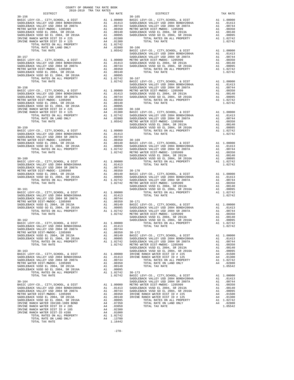| 2018-2019 TRA TAX RATES |  |                                         |          |
|-------------------------|--|-----------------------------------------|----------|
| DISTRICT                |  | RA TAX RATES<br>TAX RATE PARTE DISTRICT | TAX RATE |
|                         |  |                                         |          |
|                         |  |                                         |          |
|                         |  |                                         |          |
|                         |  |                                         |          |
|                         |  |                                         |          |
|                         |  |                                         |          |
|                         |  |                                         |          |
|                         |  |                                         |          |
|                         |  |                                         |          |
|                         |  |                                         |          |
|                         |  |                                         |          |
|                         |  |                                         |          |
|                         |  |                                         |          |
|                         |  |                                         |          |
|                         |  |                                         |          |
|                         |  |                                         |          |
|                         |  |                                         |          |
|                         |  |                                         |          |
|                         |  |                                         |          |
|                         |  |                                         |          |
|                         |  |                                         |          |
|                         |  |                                         |          |
|                         |  |                                         |          |
|                         |  |                                         |          |
|                         |  |                                         |          |
|                         |  |                                         |          |
|                         |  |                                         |          |
|                         |  |                                         |          |
|                         |  |                                         |          |
|                         |  |                                         |          |
|                         |  |                                         |          |
|                         |  |                                         |          |
|                         |  |                                         |          |
|                         |  |                                         |          |
|                         |  |                                         |          |
|                         |  |                                         |          |
|                         |  |                                         |          |
|                         |  |                                         |          |
|                         |  |                                         |          |
|                         |  |                                         |          |
|                         |  |                                         |          |
|                         |  |                                         |          |
|                         |  |                                         |          |
|                         |  |                                         |          |
|                         |  |                                         |          |
|                         |  |                                         |          |
|                         |  |                                         |          |
|                         |  |                                         |          |
|                         |  |                                         |          |
|                         |  |                                         |          |
|                         |  |                                         |          |
|                         |  |                                         |          |
|                         |  |                                         |          |
|                         |  |                                         |          |
|                         |  |                                         |          |
|                         |  |                                         |          |
|                         |  |                                         |          |
|                         |  |                                         |          |
|                         |  |                                         |          |
|                         |  |                                         |          |
|                         |  |                                         |          |
|                         |  |                                         |          |
|                         |  |                                         |          |
|                         |  |                                         |          |
|                         |  |                                         |          |
|                         |  |                                         |          |
|                         |  |                                         |          |
|                         |  |                                         |          |
|                         |  |                                         |          |
|                         |  |                                         |          |
|                         |  |                                         |          |
|                         |  |                                         |          |
|                         |  |                                         |          |
|                         |  |                                         |          |
|                         |  |                                         |          |
|                         |  |                                         |          |
|                         |  |                                         |          |
|                         |  |                                         |          |
|                         |  |                                         |          |
|                         |  |                                         |          |
|                         |  |                                         |          |
|                         |  |                                         |          |
|                         |  |                                         |          |
|                         |  |                                         |          |
|                         |  |                                         |          |
|                         |  |                                         |          |
|                         |  |                                         |          |
|                         |  |                                         |          |
|                         |  |                                         |          |
|                         |  |                                         |          |
|                         |  |                                         |          |
|                         |  |                                         |          |
|                         |  |                                         |          |
|                         |  |                                         |          |
|                         |  |                                         |          |
|                         |  |                                         |          |
|                         |  |                                         |          |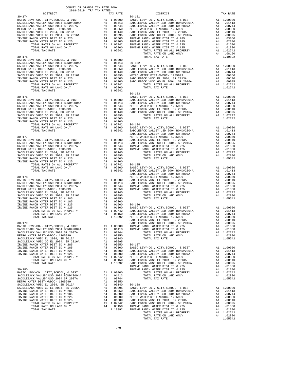| COUNTY OF ORANGE TAX RATE BOOK |                                                                                                                                                                                                                                         |          |
|--------------------------------|-----------------------------------------------------------------------------------------------------------------------------------------------------------------------------------------------------------------------------------------|----------|
| $30 - 174$                     |                                                                                                                                                                                                                                         | TAX RATE |
|                                |                                                                                                                                                                                                                                         |          |
|                                |                                                                                                                                                                                                                                         |          |
|                                |                                                                                                                                                                                                                                         |          |
|                                |                                                                                                                                                                                                                                         |          |
|                                |                                                                                                                                                                                                                                         |          |
|                                |                                                                                                                                                                                                                                         |          |
|                                |                                                                                                                                                                                                                                         |          |
|                                |                                                                                                                                                                                                                                         |          |
|                                |                                                                                                                                                                                                                                         |          |
|                                |                                                                                                                                                                                                                                         |          |
|                                |                                                                                                                                                                                                                                         |          |
|                                |                                                                                                                                                                                                                                         |          |
|                                |                                                                                                                                                                                                                                         |          |
|                                |                                                                                                                                                                                                                                         |          |
|                                |                                                                                                                                                                                                                                         |          |
|                                |                                                                                                                                                                                                                                         |          |
|                                |                                                                                                                                                                                                                                         |          |
|                                |                                                                                                                                                                                                                                         |          |
|                                |                                                                                                                                                                                                                                         |          |
|                                |                                                                                                                                                                                                                                         |          |
|                                |                                                                                                                                                                                                                                         |          |
|                                |                                                                                                                                                                                                                                         |          |
|                                |                                                                                                                                                                                                                                         |          |
|                                |                                                                                                                                                                                                                                         |          |
|                                |                                                                                                                                                                                                                                         |          |
|                                |                                                                                                                                                                                                                                         |          |
|                                |                                                                                                                                                                                                                                         |          |
|                                |                                                                                                                                                                                                                                         |          |
|                                |                                                                                                                                                                                                                                         |          |
|                                |                                                                                                                                                                                                                                         |          |
|                                |                                                                                                                                                                                                                                         |          |
|                                |                                                                                                                                                                                                                                         |          |
|                                |                                                                                                                                                                                                                                         |          |
|                                |                                                                                                                                                                                                                                         |          |
|                                |                                                                                                                                                                                                                                         |          |
|                                |                                                                                                                                                                                                                                         |          |
|                                |                                                                                                                                                                                                                                         |          |
|                                |                                                                                                                                                                                                                                         |          |
|                                |                                                                                                                                                                                                                                         |          |
|                                |                                                                                                                                                                                                                                         |          |
|                                |                                                                                                                                                                                                                                         |          |
|                                |                                                                                                                                                                                                                                         |          |
|                                |                                                                                                                                                                                                                                         |          |
|                                |                                                                                                                                                                                                                                         |          |
|                                |                                                                                                                                                                                                                                         |          |
|                                |                                                                                                                                                                                                                                         |          |
|                                |                                                                                                                                                                                                                                         |          |
|                                | TOTAL TAX BATE (1973) A 1.5850<br>TOTAL TAX BATE (1973) A 1.5850<br>TOTAL TAX BATE (1973) A 1.5850<br>NATURAL COMES CONTENERAT (1973) A 1.5950<br>MADILEARCH VALUE VIDEO CONTENERAT (1973) A 1.5950<br>MADILEARCH VALUE VIDEO CONTENERA |          |
|                                |                                                                                                                                                                                                                                         |          |
|                                |                                                                                                                                                                                                                                         |          |
|                                |                                                                                                                                                                                                                                         |          |
|                                |                                                                                                                                                                                                                                         |          |
|                                |                                                                                                                                                                                                                                         |          |
|                                |                                                                                                                                                                                                                                         |          |
|                                |                                                                                                                                                                                                                                         |          |
|                                |                                                                                                                                                                                                                                         |          |
|                                |                                                                                                                                                                                                                                         |          |
|                                |                                                                                                                                                                                                                                         |          |
|                                |                                                                                                                                                                                                                                         |          |
|                                |                                                                                                                                                                                                                                         |          |
|                                |                                                                                                                                                                                                                                         |          |
|                                |                                                                                                                                                                                                                                         |          |
|                                |                                                                                                                                                                                                                                         |          |
|                                |                                                                                                                                                                                                                                         |          |
|                                |                                                                                                                                                                                                                                         |          |
|                                |                                                                                                                                                                                                                                         |          |
|                                |                                                                                                                                                                                                                                         |          |
|                                |                                                                                                                                                                                                                                         |          |
|                                |                                                                                                                                                                                                                                         |          |
|                                |                                                                                                                                                                                                                                         |          |
|                                |                                                                                                                                                                                                                                         |          |
|                                |                                                                                                                                                                                                                                         |          |
|                                |                                                                                                                                                                                                                                         |          |
|                                |                                                                                                                                                                                                                                         |          |
|                                |                                                                                                                                                                                                                                         |          |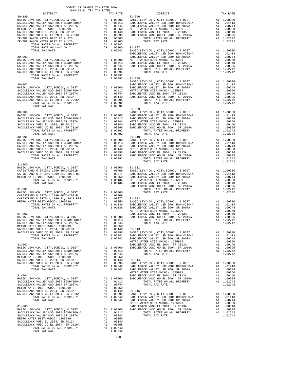| $31 - 000$ |  |                                                                                                                                                                                                                                                                        |  |
|------------|--|------------------------------------------------------------------------------------------------------------------------------------------------------------------------------------------------------------------------------------------------------------------------|--|
|            |  |                                                                                                                                                                                                                                                                        |  |
|            |  |                                                                                                                                                                                                                                                                        |  |
|            |  |                                                                                                                                                                                                                                                                        |  |
|            |  |                                                                                                                                                                                                                                                                        |  |
|            |  |                                                                                                                                                                                                                                                                        |  |
|            |  |                                                                                                                                                                                                                                                                        |  |
|            |  |                                                                                                                                                                                                                                                                        |  |
|            |  |                                                                                                                                                                                                                                                                        |  |
|            |  |                                                                                                                                                                                                                                                                        |  |
|            |  | $\begin{tabular}{cccccccc} 31-000 & 31-011 & 100000 & 31-011 & 100000 & 31-011 & 1000000 & 31-011 & 10000000 & 31-011 & 10000000 & 31-011 & 10000000 & 31-011 & 1000000 & 31-011 & 1000000 & 31-011 & 1000000 & 31-011 & 1000000 & 31-011 & 1000000 & 31-011 & 100000$ |  |
|            |  |                                                                                                                                                                                                                                                                        |  |
|            |  |                                                                                                                                                                                                                                                                        |  |
|            |  |                                                                                                                                                                                                                                                                        |  |
|            |  |                                                                                                                                                                                                                                                                        |  |
|            |  |                                                                                                                                                                                                                                                                        |  |
|            |  |                                                                                                                                                                                                                                                                        |  |
|            |  |                                                                                                                                                                                                                                                                        |  |
|            |  |                                                                                                                                                                                                                                                                        |  |
|            |  |                                                                                                                                                                                                                                                                        |  |
|            |  |                                                                                                                                                                                                                                                                        |  |
|            |  |                                                                                                                                                                                                                                                                        |  |
|            |  |                                                                                                                                                                                                                                                                        |  |
|            |  |                                                                                                                                                                                                                                                                        |  |
|            |  |                                                                                                                                                                                                                                                                        |  |
|            |  |                                                                                                                                                                                                                                                                        |  |
|            |  |                                                                                                                                                                                                                                                                        |  |
|            |  |                                                                                                                                                                                                                                                                        |  |
|            |  |                                                                                                                                                                                                                                                                        |  |
|            |  |                                                                                                                                                                                                                                                                        |  |
|            |  |                                                                                                                                                                                                                                                                        |  |
|            |  |                                                                                                                                                                                                                                                                        |  |
|            |  |                                                                                                                                                                                                                                                                        |  |
|            |  |                                                                                                                                                                                                                                                                        |  |
|            |  |                                                                                                                                                                                                                                                                        |  |
|            |  |                                                                                                                                                                                                                                                                        |  |
|            |  |                                                                                                                                                                                                                                                                        |  |
|            |  |                                                                                                                                                                                                                                                                        |  |
|            |  |                                                                                                                                                                                                                                                                        |  |
|            |  |                                                                                                                                                                                                                                                                        |  |
|            |  |                                                                                                                                                                                                                                                                        |  |
|            |  |                                                                                                                                                                                                                                                                        |  |
|            |  |                                                                                                                                                                                                                                                                        |  |
|            |  |                                                                                                                                                                                                                                                                        |  |
|            |  |                                                                                                                                                                                                                                                                        |  |

-280-

## COUNTY OF ORANGE TAX RATE BOOK 2018-2019 TRA TAX RATES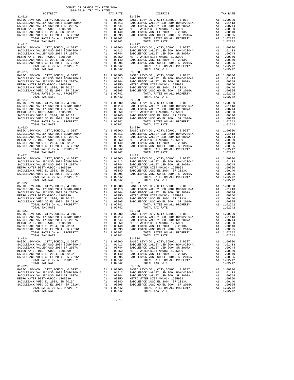| $31 - 016$                                                                                                                              |          |                                                                                                                                           | $31 - 026$         |
|-----------------------------------------------------------------------------------------------------------------------------------------|----------|-------------------------------------------------------------------------------------------------------------------------------------------|--------------------|
|                                                                                                                                         |          |                                                                                                                                           |                    |
|                                                                                                                                         |          |                                                                                                                                           |                    |
|                                                                                                                                         |          |                                                                                                                                           |                    |
|                                                                                                                                         |          |                                                                                                                                           |                    |
|                                                                                                                                         |          |                                                                                                                                           |                    |
|                                                                                                                                         |          |                                                                                                                                           |                    |
| TOTAL TAX RATE                                                                                                                          |          | 1.02742                                                                                                                                   |                    |
| $31 - 017$                                                                                                                              |          |                                                                                                                                           | $31 - 027$         |
| BASIC LEVY-CO., CITY, SCHOOL, & DIST                                                                                                    |          |                                                                                                                                           |                    |
|                                                                                                                                         |          |                                                                                                                                           |                    |
| SADDLEBACK VALLEY USD 2004 BOND#2004A<br>SADDLEBACK VALLEY USD 2004 SR 2007A                                                            |          |                                                                                                                                           |                    |
| METRO WATER DIST-MWDOC- 1205999                                                                                                         |          |                                                                                                                                           |                    |
| METRO WALER DIST-RWDGG SADDLEBACK VUSD EL 2004, SR 2013A<br>SADDLEBACK VUSD GO EL 2004, SR 2016A<br>ADDLEBACK VUSD GO EL 2004, SR 2016A |          |                                                                                                                                           |                    |
| TOTAL RATES ON ALL PROPERTY                                                                                                             |          | A1 1.02742                                                                                                                                |                    |
| TOTAL TAX RATE                                                                                                                          |          | 1.02742                                                                                                                                   |                    |
| $31 - 018$                                                                                                                              |          |                                                                                                                                           | $31 - 028$         |
| BASIC LEVY-CO., CITY, SCHOOL, & DIST                                                                                                    |          | A1 1.00000 BASIC L<br>A1 .01413 SADDLEB<br>A1 .00744 SADDLEB<br>A1 .00744 SADDLEB<br>A1 .00140 SADDLEB<br>A1 .00195 SADDLEB<br>A1 1.02742 |                    |
|                                                                                                                                         |          |                                                                                                                                           |                    |
| SADDLEBACK VALLEY USD 2004 BOND#2004A<br>SADDLEBACK VALLEY USD 2004 SR 2007A                                                            |          |                                                                                                                                           |                    |
| METRO WATER DIST-MWDOC- 1205999                                                                                                         |          |                                                                                                                                           |                    |
| SADDLEBACK VUSD EL 2004, SR 2013A<br>SADDLEBACK VUSD GO EL 2004, SR 2016A<br>TOTAL PATES ON ALL DEOEPTY                                 |          |                                                                                                                                           |                    |
|                                                                                                                                         |          |                                                                                                                                           |                    |
| TOTAL RATES ON ALL PROPERTY<br>TOTAL TAX RATE                                                                                           |          | 1.02742                                                                                                                                   |                    |
| $31 - 019$                                                                                                                              |          |                                                                                                                                           | $31 - 029$         |
|                                                                                                                                         |          |                                                                                                                                           |                    |
|                                                                                                                                         |          |                                                                                                                                           |                    |
|                                                                                                                                         |          |                                                                                                                                           |                    |
|                                                                                                                                         |          |                                                                                                                                           |                    |
|                                                                                                                                         |          |                                                                                                                                           |                    |
|                                                                                                                                         |          |                                                                                                                                           |                    |
|                                                                                                                                         |          |                                                                                                                                           |                    |
| $31 - 020$                                                                                                                              |          |                                                                                                                                           |                    |
|                                                                                                                                         |          |                                                                                                                                           | $31 - 030$         |
|                                                                                                                                         |          |                                                                                                                                           |                    |
|                                                                                                                                         |          |                                                                                                                                           |                    |
|                                                                                                                                         |          |                                                                                                                                           |                    |
|                                                                                                                                         |          |                                                                                                                                           |                    |
|                                                                                                                                         |          |                                                                                                                                           |                    |
|                                                                                                                                         |          |                                                                                                                                           |                    |
| $31 - 021$                                                                                                                              |          | 1.02742                                                                                                                                   | $31 - 031$         |
|                                                                                                                                         |          |                                                                                                                                           |                    |
|                                                                                                                                         |          |                                                                                                                                           |                    |
|                                                                                                                                         |          |                                                                                                                                           |                    |
|                                                                                                                                         |          |                                                                                                                                           |                    |
|                                                                                                                                         |          |                                                                                                                                           |                    |
|                                                                                                                                         |          |                                                                                                                                           |                    |
|                                                                                                                                         |          |                                                                                                                                           |                    |
| $31 - 022$                                                                                                                              |          |                                                                                                                                           |                    |
|                                                                                                                                         |          |                                                                                                                                           | $31 - 032$         |
|                                                                                                                                         |          |                                                                                                                                           |                    |
|                                                                                                                                         |          |                                                                                                                                           |                    |
|                                                                                                                                         |          |                                                                                                                                           |                    |
|                                                                                                                                         |          |                                                                                                                                           |                    |
|                                                                                                                                         |          |                                                                                                                                           |                    |
|                                                                                                                                         |          |                                                                                                                                           |                    |
| TOTAL TAX RATE                                                                                                                          |          | 1.02742                                                                                                                                   |                    |
| $31 - 023$                                                                                                                              |          |                                                                                                                                           | $31 - 033$         |
|                                                                                                                                         |          |                                                                                                                                           |                    |
|                                                                                                                                         |          |                                                                                                                                           |                    |
|                                                                                                                                         |          |                                                                                                                                           |                    |
|                                                                                                                                         |          |                                                                                                                                           |                    |
|                                                                                                                                         |          |                                                                                                                                           |                    |
| TOTAL RATES ON ALL PROPERTY                                                                                                             |          | A1 1.02742                                                                                                                                |                    |
| TOTAL TAX RATE                                                                                                                          |          | 1.02742                                                                                                                                   |                    |
| $31 - 024$                                                                                                                              |          |                                                                                                                                           | $31 - 034$         |
| BASIC LEVY-CO., CITY, SCHOOL, & DIST                                                                                                    |          | A1 1.00000                                                                                                                                | BASIC L            |
| SADDLEBACK VALLEY USD 2004 BOND#2004A                                                                                                   | A1       | .01413                                                                                                                                    | SADDLEB<br>SADDLEB |
| SADDLEBACK VALLEY USD 2004 SR 2007A<br>METRO WATER DIST-MWDOC- 1205999                                                                  | A1<br>A1 | .00744<br>.00350                                                                                                                          | METRO W            |
| SADDLEBACK VUSD EL 2004, SR 2013A                                                                                                       | A1       | .00140                                                                                                                                    | SADDLEB            |
| SADDLEBACK VUSD GO EL 2004, SR 2016A                                                                                                    | A1       | .00095                                                                                                                                    | SADDLEB            |
| TOTAL RATES ON ALL PROPERTY                                                                                                             |          | A1 1.02742                                                                                                                                |                    |
| TOTAL TAX RATE                                                                                                                          |          | 1.02742                                                                                                                                   |                    |
| $31 - 025$                                                                                                                              |          |                                                                                                                                           | $31 - 035$         |
| BASIC LEVY-CO., CITY, SCHOOL, & DIST                                                                                                    | A1       | 1.00000                                                                                                                                   | BASIC L            |
| SADDLEBACK VALLEY USD 2004 BOND#2004A                                                                                                   |          | A1 .01413                                                                                                                                 | SADDLEB            |
| SADDLEBACK VALLEY USD 2004 SR 2007A<br>METRO WATER DIST-MWDOC- 1205999                                                                  | A1<br>A1 | .00744<br>.00350                                                                                                                          | SADDLEB<br>METRO W |
| SADDLEBACK VUSD EL 2004, SR 2013A                                                                                                       | A1       | .00140                                                                                                                                    | SADDLEB            |
| SADDLEBACK VUSD GO EL 2004, SR 2016A                                                                                                    | A1       |                                                                                                                                           | $.00095$ SADDLEB   |
| TOTAL RATES ON ALL PROPERTY                                                                                                             |          | A1 1.02742                                                                                                                                |                    |

| COUNTY OF ORANGE TAX RATE BOOK<br>2018-2019 TRA TAX RATES |          |                                                                                                                                                                                                                                                                                                                                                                                                                                                                |          |
|-----------------------------------------------------------|----------|----------------------------------------------------------------------------------------------------------------------------------------------------------------------------------------------------------------------------------------------------------------------------------------------------------------------------------------------------------------------------------------------------------------------------------------------------------------|----------|
|                                                           | TAX RATE | DISTRICT                                                                                                                                                                                                                                                                                                                                                                                                                                                       | TAX RATE |
| $31 - 016$                                                |          | $31 - 026$<br>$\begin{tabular}{l c c c c c} 31-016 & 31-026 & 31-026 & 31-026 & 31-02742 \\ \hline BASIC LEVY-CO., CITY, SCHOOL, & E DIST & A1 & 1.00000 \\ \hline SADDLEBACK VALLEX & SDODLEBACK VALLEX & SDODLEBACK VALLEX & SDODLEBACK VALEX & 02004 & 80NDH2004A & A1 & .01413 \\ \hline SADDLEBACK VALLEX & SLOTA & A1 & .00744 & SADDLEBACK VALEX & 02004 & SRODLEBACK \\ \hline SADDLE$                                                                 |          |
| $31 - 017$                                                |          | $31 - 027$                                                                                                                                                                                                                                                                                                                                                                                                                                                     |          |
|                                                           |          |                                                                                                                                                                                                                                                                                                                                                                                                                                                                |          |
|                                                           |          |                                                                                                                                                                                                                                                                                                                                                                                                                                                                |          |
|                                                           |          |                                                                                                                                                                                                                                                                                                                                                                                                                                                                |          |
|                                                           |          |                                                                                                                                                                                                                                                                                                                                                                                                                                                                |          |
|                                                           |          |                                                                                                                                                                                                                                                                                                                                                                                                                                                                |          |
|                                                           |          |                                                                                                                                                                                                                                                                                                                                                                                                                                                                |          |
|                                                           |          |                                                                                                                                                                                                                                                                                                                                                                                                                                                                |          |
|                                                           |          | $\begin{tabular}{c c c c c} \multicolumn{1}{c}{\textbf{1-02742}} & \multicolumn{1}{c}{\textbf{1-02742}} & \multicolumn{1}{c}{\textbf{1-02742}} & \multicolumn{1}{c}{\textbf{1-02742}} & \multicolumn{1}{c}{\textbf{1-02742}} & \multicolumn{1}{c}{\textbf{1-02742}} & \multicolumn{1}{c}{\textbf{1-02742}} & \multicolumn{1}{c}{\textbf{1-02742}} & \multicolumn{1}{c}{\textbf{1-02742}} & \multicolumn{1$                                                     |          |
|                                                           |          |                                                                                                                                                                                                                                                                                                                                                                                                                                                                |          |
|                                                           |          |                                                                                                                                                                                                                                                                                                                                                                                                                                                                |          |
|                                                           |          |                                                                                                                                                                                                                                                                                                                                                                                                                                                                |          |
|                                                           |          |                                                                                                                                                                                                                                                                                                                                                                                                                                                                |          |
|                                                           |          |                                                                                                                                                                                                                                                                                                                                                                                                                                                                |          |
|                                                           |          |                                                                                                                                                                                                                                                                                                                                                                                                                                                                |          |
|                                                           |          |                                                                                                                                                                                                                                                                                                                                                                                                                                                                |          |
|                                                           |          |                                                                                                                                                                                                                                                                                                                                                                                                                                                                |          |
|                                                           |          |                                                                                                                                                                                                                                                                                                                                                                                                                                                                |          |
|                                                           |          | $\begin{tabular}{c c c c} 31-020 & 31-030 & 31-030 & 31-030 & 31-030 & 31-030 & 31-030 & 31-030 & 31-030 & 31-030 & 31-030 & 31-030 & 31-030 & 31-030 & 31-030 & 31-030 & 31-030 & 31-030 & 31-030 & 31-030 & 31-030 & 31-030 & 31-030 & 31-030 & 31-030 & 31-03$                                                                                                                                                                                              |          |
|                                                           |          |                                                                                                                                                                                                                                                                                                                                                                                                                                                                |          |
|                                                           |          |                                                                                                                                                                                                                                                                                                                                                                                                                                                                |          |
|                                                           |          |                                                                                                                                                                                                                                                                                                                                                                                                                                                                |          |
|                                                           |          |                                                                                                                                                                                                                                                                                                                                                                                                                                                                |          |
|                                                           |          |                                                                                                                                                                                                                                                                                                                                                                                                                                                                |          |
|                                                           |          |                                                                                                                                                                                                                                                                                                                                                                                                                                                                |          |
|                                                           |          |                                                                                                                                                                                                                                                                                                                                                                                                                                                                |          |
|                                                           |          |                                                                                                                                                                                                                                                                                                                                                                                                                                                                |          |
|                                                           |          |                                                                                                                                                                                                                                                                                                                                                                                                                                                                |          |
|                                                           |          |                                                                                                                                                                                                                                                                                                                                                                                                                                                                |          |
|                                                           |          |                                                                                                                                                                                                                                                                                                                                                                                                                                                                |          |
|                                                           |          |                                                                                                                                                                                                                                                                                                                                                                                                                                                                |          |
|                                                           |          |                                                                                                                                                                                                                                                                                                                                                                                                                                                                |          |
|                                                           |          |                                                                                                                                                                                                                                                                                                                                                                                                                                                                |          |
|                                                           |          |                                                                                                                                                                                                                                                                                                                                                                                                                                                                |          |
|                                                           |          |                                                                                                                                                                                                                                                                                                                                                                                                                                                                |          |
|                                                           |          |                                                                                                                                                                                                                                                                                                                                                                                                                                                                |          |
|                                                           |          | $\begin{tabular}{lcccc} SADDLEBACK & VULLEY & SADDLEBACK & VULLEY & SADDLEBACK & VULLEY & SADDLEBACK & VULLEY & SADDLEBACK & VULLEY & SADDLEBACK & VULLEY & SADDLEBACK & VULLEY & SADDLEBACK & VULLEY & SADDLEBACK & VULLEY & SADDLEBACK & VULLEY & SADDLEBACK & VULLEY & SADDLEBACK & VULLEY & SADDLEBACK & VULLEY & SADDLEBACK & VULLEY & SADDLEBACK & VULLEY & SADDLEBACK & VULLEY & SADDLEBACK & VULLEY & SADDLEBACK & VULLEY & SADDLEBACK & VULLEY & SAD$ |          |
| TOTAL TAX RATE<br>$31 - 024$                              | 1.02742  | TOTAL TAX RATE<br>$31 - 034$                                                                                                                                                                                                                                                                                                                                                                                                                                   | 1.02742  |
|                                                           |          |                                                                                                                                                                                                                                                                                                                                                                                                                                                                |          |
|                                                           |          |                                                                                                                                                                                                                                                                                                                                                                                                                                                                |          |
|                                                           |          |                                                                                                                                                                                                                                                                                                                                                                                                                                                                |          |
|                                                           |          |                                                                                                                                                                                                                                                                                                                                                                                                                                                                |          |
|                                                           |          |                                                                                                                                                                                                                                                                                                                                                                                                                                                                |          |
| TOTAL TAX RATE<br>$31 - 025$                              | 1.02742  | TOTAL TAX RATE<br>$31 - 035$                                                                                                                                                                                                                                                                                                                                                                                                                                   | 1.02742  |
|                                                           |          |                                                                                                                                                                                                                                                                                                                                                                                                                                                                |          |
|                                                           |          |                                                                                                                                                                                                                                                                                                                                                                                                                                                                |          |
|                                                           |          |                                                                                                                                                                                                                                                                                                                                                                                                                                                                |          |
|                                                           |          |                                                                                                                                                                                                                                                                                                                                                                                                                                                                |          |
|                                                           |          |                                                                                                                                                                                                                                                                                                                                                                                                                                                                |          |
| TOTAL TAX RATE                                            | 1.02742  | TOTAL TAX RATE                                                                                                                                                                                                                                                                                                                                                                                                                                                 | 1.02742  |

-281-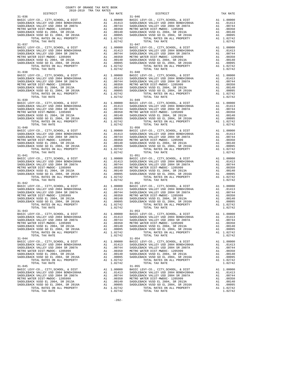| $31 - 036$                                                                                                     |          |                                                                                                                                                         | $31 - 046$         |
|----------------------------------------------------------------------------------------------------------------|----------|---------------------------------------------------------------------------------------------------------------------------------------------------------|--------------------|
|                                                                                                                |          |                                                                                                                                                         |                    |
|                                                                                                                |          |                                                                                                                                                         |                    |
|                                                                                                                |          |                                                                                                                                                         |                    |
|                                                                                                                |          |                                                                                                                                                         |                    |
|                                                                                                                |          |                                                                                                                                                         |                    |
|                                                                                                                |          |                                                                                                                                                         |                    |
| TOTAL TAX RATE                                                                                                 |          | 1.02742                                                                                                                                                 |                    |
| $31 - 037$                                                                                                     |          |                                                                                                                                                         | $31 - 047$         |
| BASIC LEVY-CO., CITY, SCHOOL, & DIST                                                                           |          |                                                                                                                                                         |                    |
|                                                                                                                |          |                                                                                                                                                         |                    |
| SADDLEBACK VALLEY USD 2004 BOND#2004A<br>SADDLEBACK VALLEY USD 2004 SR 2007A                                   |          |                                                                                                                                                         |                    |
| METRO WATER DIST-MWDOC- 1205999                                                                                |          |                                                                                                                                                         |                    |
| SADDLEBACK VUSD EL 2004, SR 2013A<br>SADDLEBACK VUSD GO EL 2004, SR 2016A<br>TOTAL TOTAL DATES ON ALL DRODERTY |          |                                                                                                                                                         |                    |
| TOTAL RATES ON ALL PROPERTY                                                                                    |          | A1 1.02742                                                                                                                                              |                    |
| TOTAL TAX RATE                                                                                                 |          | 1.02742                                                                                                                                                 |                    |
| $31 - 038$                                                                                                     |          |                                                                                                                                                         | $31 - 048$         |
| BASIC LEVY-CO., CITY, SCHOOL, & DIST                                                                           |          | A1 1.00000 BASIC L<br>A1 .01413 SADDLEB<br>A1 .00744 SADDLEB<br>A1 .00744 SADDLEB<br>A1 .00350 METRO W<br>A1 .00140 SADDLEB<br>A1 .007942<br>A1 1.02742 |                    |
|                                                                                                                |          |                                                                                                                                                         |                    |
| SADDLEBACK VALLEY USD 2004 BOND#2004A<br>SADDLEBACK VALLEY USD 2004 SR 2007A                                   |          |                                                                                                                                                         |                    |
| METRO WATER DIST-MWDOC- 1205999                                                                                |          |                                                                                                                                                         |                    |
|                                                                                                                |          |                                                                                                                                                         |                    |
| SADDLEBACK VUSD EL 2004, SR 2013A<br>SADDLEBACK VUSD GO EL 2004, SR 2016A<br>TOTAL PATES ON ALL DEOEPTY        |          |                                                                                                                                                         |                    |
| TOTAL RATES ON ALL PROPERTY                                                                                    |          |                                                                                                                                                         |                    |
| TOTAL TAX RATE<br>$31 - 039$                                                                                   |          | 1.02742                                                                                                                                                 | $31 - 049$         |
|                                                                                                                |          |                                                                                                                                                         |                    |
|                                                                                                                |          |                                                                                                                                                         |                    |
|                                                                                                                |          |                                                                                                                                                         |                    |
|                                                                                                                |          |                                                                                                                                                         |                    |
|                                                                                                                |          |                                                                                                                                                         |                    |
|                                                                                                                |          |                                                                                                                                                         |                    |
|                                                                                                                |          |                                                                                                                                                         |                    |
|                                                                                                                |          |                                                                                                                                                         |                    |
| $31 - 040$                                                                                                     |          |                                                                                                                                                         | $31 - 050$         |
|                                                                                                                |          |                                                                                                                                                         |                    |
|                                                                                                                |          |                                                                                                                                                         |                    |
|                                                                                                                |          |                                                                                                                                                         |                    |
|                                                                                                                |          |                                                                                                                                                         |                    |
|                                                                                                                |          |                                                                                                                                                         |                    |
|                                                                                                                |          |                                                                                                                                                         |                    |
| TOTAL TAX RATE                                                                                                 |          | 1.02742                                                                                                                                                 | $31 - 051$         |
| $31 - 041$                                                                                                     |          |                                                                                                                                                         |                    |
|                                                                                                                |          |                                                                                                                                                         |                    |
|                                                                                                                |          |                                                                                                                                                         |                    |
|                                                                                                                |          |                                                                                                                                                         |                    |
|                                                                                                                |          |                                                                                                                                                         |                    |
|                                                                                                                |          |                                                                                                                                                         |                    |
|                                                                                                                |          |                                                                                                                                                         |                    |
|                                                                                                                |          |                                                                                                                                                         |                    |
| $31 - 042$                                                                                                     |          |                                                                                                                                                         | $31 - 052$         |
|                                                                                                                |          |                                                                                                                                                         |                    |
|                                                                                                                |          |                                                                                                                                                         |                    |
|                                                                                                                |          |                                                                                                                                                         |                    |
|                                                                                                                |          |                                                                                                                                                         |                    |
|                                                                                                                |          |                                                                                                                                                         |                    |
|                                                                                                                |          |                                                                                                                                                         |                    |
| TOTAL TAX RATE                                                                                                 |          | 1.02742                                                                                                                                                 |                    |
| $31 - 043$                                                                                                     |          |                                                                                                                                                         | $31 - 053$         |
|                                                                                                                |          |                                                                                                                                                         |                    |
|                                                                                                                |          |                                                                                                                                                         |                    |
|                                                                                                                |          |                                                                                                                                                         |                    |
|                                                                                                                |          |                                                                                                                                                         |                    |
|                                                                                                                |          |                                                                                                                                                         |                    |
| TOTAL RATES ON ALL PROPERTY                                                                                    |          | A1 1.02742                                                                                                                                              |                    |
| TOTAL TAX RATE                                                                                                 |          | 1.02742                                                                                                                                                 |                    |
| $31 - 044$                                                                                                     |          |                                                                                                                                                         | $31 - 054$         |
| BASIC LEVY-CO., CITY, SCHOOL, & DIST                                                                           |          | A1 1.00000                                                                                                                                              | BASIC L            |
| SADDLEBACK VALLEY USD 2004 BOND#2004A                                                                          | A1       | .01413                                                                                                                                                  | SADDLEB            |
| SADDLEBACK VALLEY USD 2004 SR 2007A<br>METRO WATER DIST-MWDOC- 1205999                                         | A1<br>A1 | .00744<br>.00350                                                                                                                                        | SADDLEB<br>METRO W |
| SADDLEBACK VUSD EL 2004, SR 2013A                                                                              | A1       | .00140                                                                                                                                                  | SADDLEB            |
| SADDLEBACK VUSD GO EL 2004, SR 2016A                                                                           | A1       | .00095                                                                                                                                                  | SADDLEB            |
| TOTAL RATES ON ALL PROPERTY                                                                                    |          | A1 1.02742                                                                                                                                              |                    |
| TOTAL TAX RATE                                                                                                 |          | 1.02742                                                                                                                                                 |                    |
| $31 - 045$                                                                                                     |          |                                                                                                                                                         | $31 - 055$         |
| BASIC LEVY-CO., CITY, SCHOOL, & DIST                                                                           | A1       | 1.00000                                                                                                                                                 | BASIC L            |
| SADDLEBACK VALLEY USD 2004 BOND#2004A                                                                          |          | A1 .01413                                                                                                                                               | SADDLEB            |
| SADDLEBACK VALLEY USD 2004 SR 2007A                                                                            | A1       | .00744<br>.00350                                                                                                                                        | SADDLEB<br>METRO W |
| METRO WATER DIST-MWDOC- 1205999<br>SADDLEBACK VUSD EL 2004, SR 2013A                                           | A1<br>A1 | .00140                                                                                                                                                  | SADDLEB            |
| SADDLEBACK VUSD GO EL 2004, SR 2016A                                                                           | A1       | .00095                                                                                                                                                  | SADDLEB            |
| TOTAL RATES ON ALL PROPERTY                                                                                    |          | A1 1.02742                                                                                                                                              |                    |

COUNTY OF ORANGE TAX RATE BOOK 2018-2019 TRA TAX RATES

| $\begin{tabular}{c c c c} 31-037 & 31-047 \\ \texttt{BADLEBACK} \texttt{VALLEY} \texttt{CO}, \texttt{CITY}, \texttt{SCHOOL}, \texttt{& DIST} & \texttt{Al} & 1.00000 & \texttt{BASIC LEVY-CO}, \texttt{CITY}, \texttt{SCHOOL}, \texttt{& DIST} & \texttt{Al} & 1.00000 \\ \texttt{SADDEBACK} \texttt{VALLEY} \texttt{USD} \texttt{2004} & \texttt{BND} \texttt{LEDACK} \texttt{VALLEY} \texttt{USD} \texttt{2004}$ |         |                |         |
|--------------------------------------------------------------------------------------------------------------------------------------------------------------------------------------------------------------------------------------------------------------------------------------------------------------------------------------------------------------------------------------------------------------------|---------|----------------|---------|
|                                                                                                                                                                                                                                                                                                                                                                                                                    |         |                |         |
|                                                                                                                                                                                                                                                                                                                                                                                                                    |         |                |         |
|                                                                                                                                                                                                                                                                                                                                                                                                                    |         |                |         |
|                                                                                                                                                                                                                                                                                                                                                                                                                    |         |                |         |
|                                                                                                                                                                                                                                                                                                                                                                                                                    |         |                |         |
|                                                                                                                                                                                                                                                                                                                                                                                                                    |         |                |         |
|                                                                                                                                                                                                                                                                                                                                                                                                                    |         |                |         |
|                                                                                                                                                                                                                                                                                                                                                                                                                    |         |                |         |
|                                                                                                                                                                                                                                                                                                                                                                                                                    |         |                |         |
|                                                                                                                                                                                                                                                                                                                                                                                                                    |         |                |         |
|                                                                                                                                                                                                                                                                                                                                                                                                                    |         |                |         |
|                                                                                                                                                                                                                                                                                                                                                                                                                    |         |                |         |
|                                                                                                                                                                                                                                                                                                                                                                                                                    |         |                |         |
|                                                                                                                                                                                                                                                                                                                                                                                                                    |         |                |         |
|                                                                                                                                                                                                                                                                                                                                                                                                                    |         |                |         |
|                                                                                                                                                                                                                                                                                                                                                                                                                    |         |                |         |
| $\begin{tabular}{c c c c c} 31-038 \\ \texttt{BADLEBACK}\texttt{CEVY-CO}\,, \texttt{CITY}, \texttt{SCHOOL}, \texttt{&DIST} & \texttt{A1} & 1.00000 & \texttt{BADLEBACK}\texttt{VALLEY}\texttt{USD} & 2004\texttt{ BONDH}2004\texttt{A} & \texttt{A1} & 1.00000 \\ \texttt{SADDEBACK}\texttt{VALEY}\texttt{USD} & 2004\texttt{ BONDH}2004\texttt{A} & \texttt{A1} & .01413 & \texttt{SADDE$                         |         |                |         |
|                                                                                                                                                                                                                                                                                                                                                                                                                    |         |                |         |
|                                                                                                                                                                                                                                                                                                                                                                                                                    |         |                |         |
|                                                                                                                                                                                                                                                                                                                                                                                                                    |         |                |         |
|                                                                                                                                                                                                                                                                                                                                                                                                                    |         |                |         |
|                                                                                                                                                                                                                                                                                                                                                                                                                    |         |                |         |
|                                                                                                                                                                                                                                                                                                                                                                                                                    |         |                |         |
|                                                                                                                                                                                                                                                                                                                                                                                                                    |         |                |         |
|                                                                                                                                                                                                                                                                                                                                                                                                                    |         |                |         |
|                                                                                                                                                                                                                                                                                                                                                                                                                    |         |                |         |
|                                                                                                                                                                                                                                                                                                                                                                                                                    |         |                |         |
|                                                                                                                                                                                                                                                                                                                                                                                                                    |         |                |         |
|                                                                                                                                                                                                                                                                                                                                                                                                                    |         |                |         |
|                                                                                                                                                                                                                                                                                                                                                                                                                    |         |                |         |
|                                                                                                                                                                                                                                                                                                                                                                                                                    |         |                |         |
|                                                                                                                                                                                                                                                                                                                                                                                                                    |         |                |         |
|                                                                                                                                                                                                                                                                                                                                                                                                                    |         |                |         |
|                                                                                                                                                                                                                                                                                                                                                                                                                    |         |                |         |
|                                                                                                                                                                                                                                                                                                                                                                                                                    |         |                |         |
|                                                                                                                                                                                                                                                                                                                                                                                                                    |         |                |         |
|                                                                                                                                                                                                                                                                                                                                                                                                                    |         |                |         |
|                                                                                                                                                                                                                                                                                                                                                                                                                    |         |                |         |
|                                                                                                                                                                                                                                                                                                                                                                                                                    |         |                |         |
|                                                                                                                                                                                                                                                                                                                                                                                                                    |         |                |         |
|                                                                                                                                                                                                                                                                                                                                                                                                                    |         |                |         |
|                                                                                                                                                                                                                                                                                                                                                                                                                    |         |                |         |
|                                                                                                                                                                                                                                                                                                                                                                                                                    |         |                |         |
|                                                                                                                                                                                                                                                                                                                                                                                                                    |         |                |         |
|                                                                                                                                                                                                                                                                                                                                                                                                                    |         |                |         |
|                                                                                                                                                                                                                                                                                                                                                                                                                    |         |                |         |
|                                                                                                                                                                                                                                                                                                                                                                                                                    |         |                |         |
|                                                                                                                                                                                                                                                                                                                                                                                                                    |         |                |         |
|                                                                                                                                                                                                                                                                                                                                                                                                                    |         |                |         |
|                                                                                                                                                                                                                                                                                                                                                                                                                    |         |                |         |
|                                                                                                                                                                                                                                                                                                                                                                                                                    |         |                |         |
|                                                                                                                                                                                                                                                                                                                                                                                                                    |         |                |         |
|                                                                                                                                                                                                                                                                                                                                                                                                                    |         |                |         |
|                                                                                                                                                                                                                                                                                                                                                                                                                    |         |                |         |
|                                                                                                                                                                                                                                                                                                                                                                                                                    |         |                |         |
|                                                                                                                                                                                                                                                                                                                                                                                                                    |         |                |         |
|                                                                                                                                                                                                                                                                                                                                                                                                                    |         |                |         |
|                                                                                                                                                                                                                                                                                                                                                                                                                    |         |                |         |
|                                                                                                                                                                                                                                                                                                                                                                                                                    |         |                |         |
| $31 - 044$                                                                                                                                                                                                                                                                                                                                                                                                         |         | $31 - 054$     |         |
|                                                                                                                                                                                                                                                                                                                                                                                                                    |         |                |         |
|                                                                                                                                                                                                                                                                                                                                                                                                                    |         |                |         |
|                                                                                                                                                                                                                                                                                                                                                                                                                    |         |                |         |
|                                                                                                                                                                                                                                                                                                                                                                                                                    |         |                |         |
|                                                                                                                                                                                                                                                                                                                                                                                                                    |         |                |         |
|                                                                                                                                                                                                                                                                                                                                                                                                                    |         |                |         |
|                                                                                                                                                                                                                                                                                                                                                                                                                    |         |                |         |
| TOTAL TAX RATE                                                                                                                                                                                                                                                                                                                                                                                                     | 1.02742 | TOTAL TAX RATE | 1.02742 |
| $31 - 045$                                                                                                                                                                                                                                                                                                                                                                                                         |         | $31 - 055$     |         |
|                                                                                                                                                                                                                                                                                                                                                                                                                    |         |                |         |
|                                                                                                                                                                                                                                                                                                                                                                                                                    |         |                |         |
|                                                                                                                                                                                                                                                                                                                                                                                                                    |         |                |         |
|                                                                                                                                                                                                                                                                                                                                                                                                                    |         |                |         |
|                                                                                                                                                                                                                                                                                                                                                                                                                    |         |                |         |
| $\begin{tabular}{l c c c c c c} 31-049 & 31-049 & 31-0000 & 31-049 & 31-0000 & 31-049 & 31-0000 & 31-01000 & 31-01000 & 31-01000 & 31-01000 & 31-01000 & 31-01000 & 31-01000 & 31-01000 & 31-01000 & 31-01000 & 31-01000 & 31-01000 & 31-01000 & 31-01000 & $                                                                                                                                                      |         |                |         |
| TOTAL TAX RATE                                                                                                                                                                                                                                                                                                                                                                                                     | 1.02742 | TOTAL TAX RATE | 1.02742 |
|                                                                                                                                                                                                                                                                                                                                                                                                                    |         |                |         |

-282-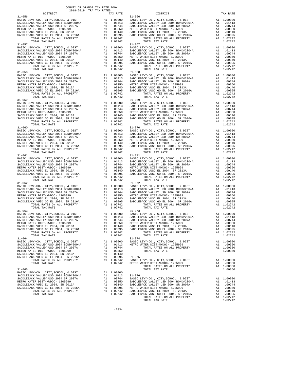| $31 - 056$                                                                                                     |          |                                                                                                                                                         | $31 - 066$         |
|----------------------------------------------------------------------------------------------------------------|----------|---------------------------------------------------------------------------------------------------------------------------------------------------------|--------------------|
|                                                                                                                |          |                                                                                                                                                         |                    |
|                                                                                                                |          |                                                                                                                                                         |                    |
|                                                                                                                |          |                                                                                                                                                         |                    |
|                                                                                                                |          |                                                                                                                                                         |                    |
|                                                                                                                |          |                                                                                                                                                         |                    |
|                                                                                                                |          |                                                                                                                                                         |                    |
| TOTAL TAX RATE                                                                                                 |          | 1.02742                                                                                                                                                 |                    |
| $31 - 057$                                                                                                     |          |                                                                                                                                                         | $31 - 067$         |
| BASIC LEVY-CO., CITY, SCHOOL, & DIST                                                                           |          |                                                                                                                                                         |                    |
| SADDLEBACK VALLEY USD 2004 BOND#2004A<br>SADDLEBACK VALLEY USD 2004 SR 2007A                                   |          |                                                                                                                                                         |                    |
| METRO WATER DIST-MWDOC- 1205999                                                                                |          |                                                                                                                                                         |                    |
| SADDLEBACK VUSD EL 2004, SR 2013A<br>SADDLEBACK VUSD GO EL 2004, SR 2016A<br>TOTAL TOTAL BATEC ON ALL DROBERTY |          |                                                                                                                                                         |                    |
|                                                                                                                |          |                                                                                                                                                         |                    |
| TOTAL RATES ON ALL PROPERTY<br>TOTAL TAX RATE                                                                  |          | A1 1.02742<br>1.02742                                                                                                                                   |                    |
| $31 - 058$                                                                                                     |          |                                                                                                                                                         | $31 - 068$         |
| BASIC LEVY-CO., CITY, SCHOOL, & DIST                                                                           |          | A1 1.00000 BASIC L<br>A1 .01413 SADDLEB<br>A1 .00744 SADDLEB<br>A1 .00744 SADDLEB<br>A1 .00350 METRO W<br>A1 .00140 SADDLEB<br>A1 .007942<br>A1 1.02742 |                    |
| SADDLEBACK VALLEY USD 2004 BOND#2004A<br>SADDLEBACK VALLEY USD 2004 SR 2007A                                   |          |                                                                                                                                                         |                    |
|                                                                                                                |          |                                                                                                                                                         |                    |
| METRO WATER DIST-MWDOC- 1205999                                                                                |          |                                                                                                                                                         |                    |
| SADDLEBACK VUSD EL 2004, SR 2013A<br>SADDLEBACK VUSD GO EL 2004, SR 2016A<br>TOTAL PATES ON ALL DEOEPTY        |          |                                                                                                                                                         |                    |
| TOTAL RATES ON ALL PROPERTY                                                                                    |          |                                                                                                                                                         |                    |
| TOTAL TAX RATE                                                                                                 |          | 1.02742                                                                                                                                                 |                    |
| $31 - 059$                                                                                                     |          |                                                                                                                                                         | $31 - 069$         |
|                                                                                                                |          |                                                                                                                                                         |                    |
|                                                                                                                |          |                                                                                                                                                         |                    |
|                                                                                                                |          |                                                                                                                                                         |                    |
|                                                                                                                |          |                                                                                                                                                         |                    |
|                                                                                                                |          |                                                                                                                                                         |                    |
|                                                                                                                |          |                                                                                                                                                         |                    |
|                                                                                                                |          |                                                                                                                                                         |                    |
| $31 - 060$                                                                                                     |          |                                                                                                                                                         | $31 - 070$         |
|                                                                                                                |          |                                                                                                                                                         |                    |
|                                                                                                                |          |                                                                                                                                                         |                    |
|                                                                                                                |          |                                                                                                                                                         |                    |
|                                                                                                                |          |                                                                                                                                                         |                    |
|                                                                                                                |          |                                                                                                                                                         |                    |
| TOTAL TAX RATE                                                                                                 |          | 1.02742                                                                                                                                                 |                    |
| $31 - 061$                                                                                                     |          |                                                                                                                                                         | $31 - 071$         |
|                                                                                                                |          |                                                                                                                                                         |                    |
|                                                                                                                |          |                                                                                                                                                         |                    |
|                                                                                                                |          |                                                                                                                                                         |                    |
|                                                                                                                |          |                                                                                                                                                         |                    |
|                                                                                                                |          |                                                                                                                                                         |                    |
|                                                                                                                |          |                                                                                                                                                         |                    |
|                                                                                                                |          |                                                                                                                                                         |                    |
| $31 - 062$                                                                                                     |          |                                                                                                                                                         | $31 - 072$         |
|                                                                                                                |          |                                                                                                                                                         |                    |
|                                                                                                                |          |                                                                                                                                                         |                    |
|                                                                                                                |          |                                                                                                                                                         |                    |
|                                                                                                                |          |                                                                                                                                                         |                    |
|                                                                                                                |          |                                                                                                                                                         |                    |
| TOTAL TAX RATE                                                                                                 |          | 1.02742                                                                                                                                                 |                    |
| $31 - 063$                                                                                                     |          |                                                                                                                                                         | $31 - 073$         |
|                                                                                                                |          |                                                                                                                                                         |                    |
|                                                                                                                |          |                                                                                                                                                         |                    |
|                                                                                                                |          |                                                                                                                                                         |                    |
|                                                                                                                |          |                                                                                                                                                         |                    |
|                                                                                                                |          |                                                                                                                                                         |                    |
| TOTAL RATES ON ALL PROPERTY                                                                                    |          | A1 1.02742                                                                                                                                              |                    |
| TOTAL TAX RATE                                                                                                 |          | 1.02742                                                                                                                                                 |                    |
| $31 - 064$                                                                                                     |          |                                                                                                                                                         | $31 - 074$         |
| BASIC LEVY-CO., CITY, SCHOOL, & DIST<br>SADDLEBACK VALLEY USD 2004 BOND#2004A                                  |          | A1 1.00000                                                                                                                                              | BASIC L<br>METRO W |
| SADDLEBACK VALLEY USD 2004 SR 2007A                                                                            | A1       | A1 .01413<br>.00744                                                                                                                                     |                    |
| METRO WATER DIST-MWDOC- 1205999                                                                                | A1       | .00350                                                                                                                                                  |                    |
| SADDLEBACK VUSD EL 2004, SR 2013A                                                                              |          | A1 .00140                                                                                                                                               |                    |
| SADDLEBACK VUSD GO EL 2004, SR 2016A                                                                           | A1       | .00095                                                                                                                                                  | $31 - 075$         |
| TOTAL RATES ON ALL PROPERTY                                                                                    |          | A1 1.02742                                                                                                                                              | BASIC L            |
| TOTAL TAX RATE                                                                                                 |          | 1.02742                                                                                                                                                 | METRO W            |
| $31 - 065$                                                                                                     |          |                                                                                                                                                         |                    |
| BASIC LEVY-CO., CITY, SCHOOL, & DIST                                                                           |          | A1 1.00000                                                                                                                                              |                    |
| SADDLEBACK VALLEY USD 2004 BOND#2004A                                                                          |          | A1 .01413                                                                                                                                               | $31 - 076$         |
| SADDLEBACK VALLEY USD 2004 SR 2007A                                                                            | A1       | .00744                                                                                                                                                  | BASIC L            |
| METRO WATER DIST-MWDOC- 1205999<br>SADDLEBACK VUSD EL 2004, SR 2013A                                           | A1<br>A1 | .00350<br>.00140                                                                                                                                        | SADDLEB<br>SADDLEB |
| SADDLEBACK VUSD GO EL 2004, SR 2016A                                                                           |          | A1 .00095                                                                                                                                               | METRO W            |
|                                                                                                                |          |                                                                                                                                                         |                    |

COUNTY OF ORANGE TAX RATE BOOK 2018-2019 TRA TAX RATES

 DISTRICT TAX RATE DISTRICT TAX RATE BASIC LEVY-CO., CITY,SCHOOL, & DIST A1 1.00000 BASIC LEVY-CO., CITY,SCHOOL, & DIST A1 1.00000 SADDLEBACK VALLEY USD 2004 BOND#2004A A1 .01413 SADDLEBACK VALLEY USD 2004 BOND#2004A A1 .01413 SADDLEBACK VALLEY USD 2004 SR 2007A A1 .00744 SADDLEBACK VALLEY USD 2004 SR 2007A A1 .00744 METRO WATER DIST-MWDOC- 1205999 A1 .00350 METRO WATER DIST-MWDOC- 1205999 A1 .00350 SADDLEBACK VUSD EL 2004, SR 2013A A1 .00140 SADDLEBACK VUSD EL 2004, SR 2013A A1 .00140 SADDLEBACK VUSD GO EL 2004, SR 2016A A1 .00095 SADDLEBACK VUSD GO EL 2004, SR 2016A A1 .00095 TOTAL RATES ON ALL PROPERTY A1 1.02742 TOTAL RATES ON ALL PROPERTY A1 1.02742  $1.02742$  TOTAL RATES ON ALL PROPERTY  $1.02742$  TOTAL TAX RATE  $1.02742$   $31-067$  BASIC LEVY-CO., CITY,SCHOOL, & DIST A1 1.00000 BASIC LEVY-CO., CITY,SCHOOL, & DIST A1 1.00000 SADDLEBACK VALLEY USD 2004 BOND#2004A A1 .01413 SADDLEBACK VALLEY USD 2004 BOND#2004A A1 .01413 SADDLEBACK VALLEY USD 2004 SR 2007A A1 .00744 SADDLEBACK VALLEY USD 2004 SR 2007A A1 .00744 METRO WATER DIST-MWDOC- 1205999 A1 .00350 METRO WATER DIST-MWDOC- 1205999 A1 .00350<br>SADDLEBACK VUSD EL 2004, SR 2013A A1 .00140 A1 .00140 SADDLEBACK VUSD EL 2004, SR 2013A A1 .00140<br>SADDLEBACK VUSD GO EL 2004, SR 2016A A1 1.02742 TOTAL TAX RATE  $31-068$  TOTAL TAX RATE A1 1.00000 BASIC LEVY-CO., CITY,SCHOOL, & DIST A1 1.00000<br>BAI .01413 SADDLEBACK VALLEY USD 2004 BAYD#2004A A1 .01413 SADDLEBACK VALLEY USD 2004 SR 2007A SADDLEBACK VALLEY USD 2004 BOND#2004A A1 .01413 SADDLEBACK VALLEY USD 2004 BOND#2004A A1 .01413 SADDLEBACK VALLEY USD 2004 SR 2007A A1 .00744 SADDLEBACK VALLEY USD 2004 SR 2007A A1 .00744 METRO WATER DIST-MWDOC- 1205999 A1 .00350 METRO WATER DIST-MWDOC- 1205999 A1 .00350 SADDLEBACK VUSD EL 2004, SR 2013A A1 .00140 SADDLEBACK VUSD EL 2004, SR 2013A A1 .00140 SADDLEBACK VUSD GO EL 2004, SR 2016A A1 .00095 SADDLEBACK VUSD GO EL 2004, SR 2016A A1 .00095 TOTAL RATES ON ALL PROPERTY A1 1.02742 TOTAL RATES ON ALL PROPERTY A1 1.02742 TOTAL TAX RATE  $1.02742$  TOTAL TAX RATE  $1.02742$ A1 1.00000 BASIC LEVY-CO., CITY, SCHOOL, & DIST A1 1.00000<br>A1 .01413 SADDLEBACK VALLEY USD 2004 BOND#2004A A1 .01413<br>A1 .00744 SADDLEBACK VALLEY USD 2004 SR 2007A A1 .00744 SADDLEBACK VALLEY USD 2004 BOND#2004A A1 .01413 SADDLEBACK VALLEY USD 2004 BOND#2004A A1 .01413 SADDLEBACK VALLEY USD 2004 SR 2007A A1 .00744 SADDLEBACK VALLEY USD 2004 SR 2007A A1 .00744 METRO WATER DIST-MWDOC- 1205999 A1 .00350 METRO WATER DIST-MWDOC- 1205999 A1 .00350<br>SADDLEBACK VUSD EL 2004, SR 2013A A1 .00140 SADDLEBACK VUSD EL 2004, SR 2013A A1 .00140<br>SADDLEBACK VUSD GO EL 2004, SR 2016A A1 .00095 SAD TOTAL TAX RATE  $1.02742$  TOTAL TAX RATE  $1.02742$ A1 1.00000 BASIC LEVY-CO., CITY,SCHOOL, & DIST A1 1.00000<br>A1 .01413 SADDLEBACK VALLEY USD 2004 BOND#2004A A1 .01413<br>A1 .00744 SADDLEBACK VALLEY USD 2004 SR 2007A A1 .00744 SADDLEBACK VALLEY USD 2004 BOND#2004A A1 .01413 SADDLEBACK VALLEY USD 2004 BOND#2004A A1 .01413 SADDLEBACK VALLEY USD 2004 SR 2007A A1 .00744 SADDLEBACK VALLEY USD 2004 SR 2007A A1 .00744 METRO WATER DIST-MWDOC- 1205999 A1 .00350 METRO WATER DIST-MWDOC- 1205999 A1 .00350 SADDLEBACK VUSD EL 2004, SR 2013A A1 .00140 SADDLEBACK VUSD EL 2004, SR 2013A A1 .00140 SADDLEBACK VUSD GO EL 2004, SR 2016A A1 .00095 SADDLEBACK VUSD GO EL 2004, SR 2016A A1 .00095 TOTAL RATES ON ALL PROPERTY A1 1.02742 TOTAL RATES ON ALL PROPERTY A1 1.02742 TOTAL TAX RATE 1.02742 TOTAL TAX RATE 1.02742 A1 1.00000 BASIC LEVY-CO., CITY,SCHOOL, & DIST A1 1.00000<br>A1 .01413 SADDLEBACK VALLEY USD 2004 BOND#2004A A1 .01413<br>A1 .00744 SADDLEBACK VALLEY USD 2004 SR 2007A A1 .00744 SADDLEBACK VALLEY USD 2004 BOND#2004A A1 .01413 SADDLEBACK VALLEY USD 2004 BOND#2004A A1 .01413 SADDLEBACK VALLEY USD 2004 SR 2007A A1 .00744 SADDLEBACK VALLEY USD 2004 SR 2007A A1 .00744 METRO WATER DIST-MWDOC- 1205999 A1 .00350 METRO WATER DIST-MWDOC- 1205999 A1 .00350<br>SADDLEBACK VUSD EL 2004, SR 2013A A1 .00140 SADDLEBACK VUSD EL 2004, SR 2013A A1 .00140<br>SADDLEBACK VUSD GO EL 2004, SR 2016A A1 .00095 SAD  $1.02742$  TOTAL TAX RATE  $1.02742$   $31-072$   $31-072$ A1 1.00000 BASIC LEVY-CO., CITY,SCHOOL, & DIST A1 1.00000<br>BAI .01413 SADDLEBACK VALLEY USD 2004 BOND#2004A A1 .00744<br>A1 .00744 SADDLEBACK VALLEY USD 2004 SR 2007A SADDLEBACK VALLEY USD 2004 BOND#2004A A1 .01413 SADDLEBACK VALLEY USD 2004 BOND#2004A A1 .01413 SADDLEBACK VALLEY USD 2004 SR 2007A A1 .00744 SADDLEBACK VALLEY USD 2004 SR 2007A A1 .00744 METRO WATER DIST-MWDOC- 1205999 A1 .00350 METRO WATER DIST-MWDOC- 1205999 A1 .00350<br>SADDLEBACK VUSD EL 2004, SR 2013A A1 .00140 SADDLEBACK VUSD EL 2004, SR 2013A A1 .00140<br>SADDLEBACK VUSD GO EL 2004, SR 2016A A1 .00095 SAD TOTAL TAX RATE  $1.02742$  TOTAL TAX RATE  $1.02742$ A1 1.00000 BASIC LEVY-CO., CITY,SCHOOL, & DIST A1 1.00000<br>BAI .01413 SADDLEBACK VALLEY USD 2004 BR 20074 A1 .00744<br>A1 .00744 SADDLEBACK VALLEY USD 2004 SR 2007A SADDLEBACK VALLEY USD 2004 BOND#2004A A1 .01413 SADDLEBACK VALLEY USD 2004 BOND#2004A A1 .01413 SADDLEBACK VALLEY USD 2004 SR 2007A A1 .00744 SADDLEBACK VALLEY USD 2004 SR 2007A A1 .00744 METRO WATER DIST-MWDOC- 1205999 A1 .00350 METRO WATER DIST-MWDOC- 1205999 A1 .00350<br>SADDLEBACK VUSD EL 2004, SR 2013A A1 .00140 SADDLEBACK VUSD EL 2004, SR 2013A A1 .00140<br>SADDLEBACK VUSD GO EL 2004, SR 2016A A1 .00095 SAD  $1.02742$  TOTAL TAX RATE  $1.02742$   $31-074$  BASIC LEVY-CO., CITY,SCHOOL, & DIST A1 1.00000 BASIC LEVY-CO., CITY,SCHOOL, & DIST A1 1.00000 SADDLEBACK VALLEY USD 2004 BOND#2004A A1 .01413 METRO WATER DIST-MWDOC- 1205999 A1 .00350 SADDLEBACK VALLEY USD 2004 SR 2007A A1 .00744 TOTAL RATES ON ALL PROPERTY A1 1.00350 METRO WATER DISTRIBUTION AND INSTITUTE AND ALL TRISPERSED AT 1.00350 TOTAL TAX RATE 1.00350 TOTAL RATES ON ALL PROPERTY A1 1.02742 BASIC LEVY-CO., CITY, SCHOOL, & DIST A1 1.00000<br>TOTAL TAX RATE 1.02742 HETRO WATER DIST-MINDOC- 1205999 A1 1.00350<br>TOTAL TAX RATE 100350 TOTAL RATES ON ALL PROPERTY A1 1.00350<br>TOTAL T A1 1.00000<br>A1 .01413 SADDLEBACK VALLEY USD 2004 SR 2007A A1 .00744 BASIC LEVY-CO., CITY,SCHOOL, & DIST A1 1.00000<br>METRO WALLEY USD SADDLEBACK VALLEY USD SADDER (ALLEY USD 2004 BOND#2004A SADDLEBACK VUSD GO EL 2004, SR 2016A A1 .00095 METRO WATER DIST-MWDOC- 1205999 A1 .00350 TOTAL RATES ON ALL PROPERTY A1 1.02742 SADDLEBACK VUSD EL 2004, SR 2013A A1 .00140 TOTAL TAX RATE 1.02742 SADDLEBACK VUSD GO EL 2004, SR 2016A A1 .00095 TOTAL RATES ON ALL PROPERTY A1 1.02742 TOTAL TAX RATE  $1.02742$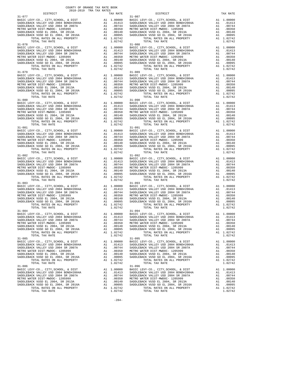| $31 - 077$                                                                                                     |          |                                                                                                                                                         | $31 - 087$         |
|----------------------------------------------------------------------------------------------------------------|----------|---------------------------------------------------------------------------------------------------------------------------------------------------------|--------------------|
|                                                                                                                |          |                                                                                                                                                         |                    |
|                                                                                                                |          |                                                                                                                                                         |                    |
|                                                                                                                |          |                                                                                                                                                         |                    |
|                                                                                                                |          |                                                                                                                                                         |                    |
|                                                                                                                |          |                                                                                                                                                         |                    |
|                                                                                                                |          |                                                                                                                                                         |                    |
| TOTAL TAX RATE                                                                                                 |          | 1.02742                                                                                                                                                 |                    |
| $31 - 078$                                                                                                     |          |                                                                                                                                                         | $31 - 088$         |
| BASIC LEVY-CO., CITY, SCHOOL, & DIST                                                                           |          |                                                                                                                                                         |                    |
| SADDLEBACK VALLEY USD 2004 BOND#2004A<br>SADDLEBACK VALLEY USD 2004 SR 2007A                                   |          |                                                                                                                                                         |                    |
|                                                                                                                |          |                                                                                                                                                         |                    |
| METRO WATER DIST-MWDOC- 1205999                                                                                |          |                                                                                                                                                         |                    |
| SADDLEBACK VUSD EL 2004, SR 2013A<br>SADDLEBACK VUSD GO EL 2004, SR 2016A<br>TOTAL TOTAL BATEC ON ALL DROBERTY |          |                                                                                                                                                         |                    |
| TOTAL RATES ON ALL PROPERTY                                                                                    |          | A1 1.02742                                                                                                                                              |                    |
| TOTAL TAX RATE                                                                                                 |          | 1.02742                                                                                                                                                 |                    |
| $31 - 079$                                                                                                     |          |                                                                                                                                                         | $31 - 089$         |
| BASIC LEVY-CO., CITY, SCHOOL, & DIST                                                                           |          | A1 1.00000 BASIC L<br>A1 .01413 SADDLEB<br>A1 .00744 SADDLEB<br>A1 .00744 SADDLEB<br>A1 .00350 METRO W<br>A1 .00140 SADDLEB<br>A1 .007942<br>A1 1.02742 |                    |
|                                                                                                                |          |                                                                                                                                                         |                    |
| SADDLEBACK VALLEY USD 2004 BOND#2004A<br>SADDLEBACK VALLEY USD 2004 SR 2007A                                   |          |                                                                                                                                                         |                    |
| METRO WATER DIST-MWDOC- 1205999                                                                                |          |                                                                                                                                                         |                    |
| SADDLEBACK VUSD EL 2004, SR 2013A<br>SADDLEBACK VUSD GO EL 2004, SR 2016A<br>TOTAL PATES ON ALL DEOEPTY        |          |                                                                                                                                                         |                    |
|                                                                                                                |          |                                                                                                                                                         |                    |
| TOTAL RATES ON ALL PROPERTY<br>TOTAL TAX RATE                                                                  |          | 1.02742                                                                                                                                                 |                    |
| $31 - 080$                                                                                                     |          |                                                                                                                                                         | $31 - 090$         |
|                                                                                                                |          |                                                                                                                                                         |                    |
|                                                                                                                |          |                                                                                                                                                         |                    |
|                                                                                                                |          |                                                                                                                                                         |                    |
|                                                                                                                |          |                                                                                                                                                         |                    |
|                                                                                                                |          |                                                                                                                                                         |                    |
|                                                                                                                |          |                                                                                                                                                         |                    |
|                                                                                                                |          |                                                                                                                                                         |                    |
|                                                                                                                |          |                                                                                                                                                         |                    |
| $31 - 081$                                                                                                     |          |                                                                                                                                                         | $31 - 091$         |
|                                                                                                                |          |                                                                                                                                                         |                    |
|                                                                                                                |          |                                                                                                                                                         |                    |
|                                                                                                                |          |                                                                                                                                                         |                    |
|                                                                                                                |          |                                                                                                                                                         |                    |
|                                                                                                                |          |                                                                                                                                                         |                    |
|                                                                                                                |          |                                                                                                                                                         |                    |
| TOTAL TAX RATE                                                                                                 |          | 1.02742                                                                                                                                                 |                    |
| $31 - 082$                                                                                                     |          |                                                                                                                                                         | $31 - 092$         |
|                                                                                                                |          |                                                                                                                                                         |                    |
|                                                                                                                |          |                                                                                                                                                         |                    |
|                                                                                                                |          |                                                                                                                                                         |                    |
|                                                                                                                |          |                                                                                                                                                         |                    |
|                                                                                                                |          |                                                                                                                                                         |                    |
|                                                                                                                |          |                                                                                                                                                         |                    |
|                                                                                                                |          |                                                                                                                                                         |                    |
| $31 - 083$                                                                                                     |          |                                                                                                                                                         | $31 - 093$         |
|                                                                                                                |          |                                                                                                                                                         |                    |
|                                                                                                                |          |                                                                                                                                                         |                    |
|                                                                                                                |          |                                                                                                                                                         |                    |
|                                                                                                                |          |                                                                                                                                                         |                    |
|                                                                                                                |          |                                                                                                                                                         |                    |
|                                                                                                                |          |                                                                                                                                                         |                    |
| TOTAL TAX RATE                                                                                                 |          | 1.02742                                                                                                                                                 |                    |
| $31 - 084$                                                                                                     |          |                                                                                                                                                         | $31 - 094$         |
|                                                                                                                |          |                                                                                                                                                         |                    |
|                                                                                                                |          |                                                                                                                                                         |                    |
|                                                                                                                |          |                                                                                                                                                         |                    |
|                                                                                                                |          |                                                                                                                                                         |                    |
|                                                                                                                |          |                                                                                                                                                         |                    |
| TOTAL RATES ON ALL PROPERTY                                                                                    |          | A1 1.02742                                                                                                                                              |                    |
| TOTAL TAX RATE                                                                                                 |          | 1.02742                                                                                                                                                 |                    |
| $31 - 085$                                                                                                     |          |                                                                                                                                                         | $31 - 095$         |
| BASIC LEVY-CO., CITY, SCHOOL, & DIST                                                                           |          | A1 1.00000                                                                                                                                              | BASIC L            |
| SADDLEBACK VALLEY USD 2004 BOND#2004A                                                                          | A1       | .01413                                                                                                                                                  | SADDLEB            |
| SADDLEBACK VALLEY USD 2004 SR 2007A<br>METRO WATER DIST-MWDOC- 1205999                                         | A1<br>A1 | .00744<br>.00350                                                                                                                                        | SADDLEB<br>METRO W |
| SADDLEBACK VUSD EL 2004, SR 2013A                                                                              | A1       | .00140                                                                                                                                                  | SADDLEB            |
| SADDLEBACK VUSD GO EL 2004, SR 2016A                                                                           | A1       | .00095                                                                                                                                                  | SADDLEB            |
| TOTAL RATES ON ALL PROPERTY                                                                                    |          | A1 1.02742                                                                                                                                              |                    |
| TOTAL TAX RATE                                                                                                 |          | 1.02742                                                                                                                                                 |                    |
| 31-086                                                                                                         |          |                                                                                                                                                         | $31 - 096$         |
| BASIC LEVY-CO., CITY, SCHOOL, & DIST                                                                           |          | A1 1.00000                                                                                                                                              | BASIC L            |
| SADDLEBACK VALLEY USD 2004 BOND#2004A                                                                          |          | A1 .01413                                                                                                                                               | SADDLEB            |
| SADDLEBACK VALLEY USD 2004 SR 2007A                                                                            | A1       | .00744                                                                                                                                                  | SADDLEB            |
| METRO WATER DIST-MWDOC- 1205999                                                                                | A1<br>A1 | .00350<br>.00140                                                                                                                                        | METRO W<br>SADDLEB |
| SADDLEBACK VUSD EL 2004, SR 2013A<br>SADDLEBACK VUSD GO EL 2004, SR 2016A                                      | A1       | .00095                                                                                                                                                  | SADDLEB            |
| TOTAL RATES ON ALL PROPERTY                                                                                    |          | A1 1.02742                                                                                                                                              |                    |

| COUNTY OF ORANGE TAX RATE BOOK<br>2018-2019 הפיד פומכ |          |                                                                                                                                                                                                                                                                                                                                                                                                            |          |
|-------------------------------------------------------|----------|------------------------------------------------------------------------------------------------------------------------------------------------------------------------------------------------------------------------------------------------------------------------------------------------------------------------------------------------------------------------------------------------------------|----------|
|                                                       | TAX RATE | DISTRICT                                                                                                                                                                                                                                                                                                                                                                                                   | TAX RATE |
| $31 - 077$                                            |          | $31 - 087$<br>$\begin{tabular}{l c c c c c} 31-077 & 31-081 & 1.00000 & 31-087 & 31-088 \\ \hline BASIC LEV-CO., CITY, SCHOOL, & E DIST & A1 & 1.00000 & 31-074 & 31-081 & 32004 & 30000 & 32004 & 30000 & 32004 & 32004 & 32004 & 32004 & 32004 & 32004 & 32004 & 32004 & 32004 & 32004 & 32004 & 32004$                                                                                                  |          |
| $31 - 078$                                            |          | $31 - 088$                                                                                                                                                                                                                                                                                                                                                                                                 |          |
|                                                       |          |                                                                                                                                                                                                                                                                                                                                                                                                            |          |
|                                                       |          |                                                                                                                                                                                                                                                                                                                                                                                                            |          |
|                                                       |          |                                                                                                                                                                                                                                                                                                                                                                                                            |          |
|                                                       |          |                                                                                                                                                                                                                                                                                                                                                                                                            |          |
|                                                       |          |                                                                                                                                                                                                                                                                                                                                                                                                            |          |
|                                                       |          |                                                                                                                                                                                                                                                                                                                                                                                                            |          |
|                                                       |          |                                                                                                                                                                                                                                                                                                                                                                                                            |          |
|                                                       |          |                                                                                                                                                                                                                                                                                                                                                                                                            |          |
|                                                       |          |                                                                                                                                                                                                                                                                                                                                                                                                            |          |
|                                                       |          |                                                                                                                                                                                                                                                                                                                                                                                                            |          |
|                                                       |          | $\begin{tabular}{c c c c c} \multicolumn{4}{c}{\textbf{1-02742}} & \multicolumn{4}{c}{\textbf{1-02742}} & \multicolumn{4}{c}{\textbf{1-02742}} & \multicolumn{4}{c}{\textbf{1-02742}} & \multicolumn{4}{c}{\textbf{1-02742}} & \multicolumn{4}{c}{\textbf{1-02742}} & \multicolumn{4}{c}{\textbf{1-02742}} & \multicolumn{4}{c}{\textbf{1-02742}} & \multicolumn{4}{c}{\textbf{1-02742}} & \multicolumn{4$ |          |
|                                                       |          |                                                                                                                                                                                                                                                                                                                                                                                                            |          |
|                                                       |          |                                                                                                                                                                                                                                                                                                                                                                                                            |          |
|                                                       |          |                                                                                                                                                                                                                                                                                                                                                                                                            |          |
|                                                       |          |                                                                                                                                                                                                                                                                                                                                                                                                            |          |
|                                                       |          |                                                                                                                                                                                                                                                                                                                                                                                                            |          |
|                                                       |          | $\begin{tabular}{c c c c} 31-081 & 31-081 & 1.00000 & 31-091 & 31-091 & 31-092 & 31-092 & 31-092 & 31-092 & 31-092 & 31-092 & 31-092 & 31-092 & 31-092 & 31-092 & 31-092 & 31-092 & 31-092 & 31-092 & 31-092 & 31-092 & 31-092 & 31-092 & 31-092 & 31-092 & 31-0$                                                                                                                                          |          |
|                                                       |          |                                                                                                                                                                                                                                                                                                                                                                                                            |          |
|                                                       |          |                                                                                                                                                                                                                                                                                                                                                                                                            |          |
|                                                       |          |                                                                                                                                                                                                                                                                                                                                                                                                            |          |
|                                                       |          |                                                                                                                                                                                                                                                                                                                                                                                                            |          |
|                                                       |          |                                                                                                                                                                                                                                                                                                                                                                                                            |          |
|                                                       |          |                                                                                                                                                                                                                                                                                                                                                                                                            |          |
|                                                       |          |                                                                                                                                                                                                                                                                                                                                                                                                            |          |
|                                                       |          |                                                                                                                                                                                                                                                                                                                                                                                                            |          |
|                                                       |          |                                                                                                                                                                                                                                                                                                                                                                                                            |          |
|                                                       |          |                                                                                                                                                                                                                                                                                                                                                                                                            |          |
|                                                       |          |                                                                                                                                                                                                                                                                                                                                                                                                            |          |
|                                                       |          |                                                                                                                                                                                                                                                                                                                                                                                                            |          |
|                                                       |          |                                                                                                                                                                                                                                                                                                                                                                                                            |          |
|                                                       |          |                                                                                                                                                                                                                                                                                                                                                                                                            |          |
|                                                       |          |                                                                                                                                                                                                                                                                                                                                                                                                            |          |
|                                                       |          | SADDLEBACK VALLEY USD ZOU AS ALLEY AND A MANULES ON A MANULES ON A MANULES ON A METRO WATER DIST -MIDOC - 120599<br>METRO WATER DIST -MIDOC - 120599 A1 000350 A1 000350 A1 000350 A1 00045 AT A MANULES ON A MANULES ON A MANUL                                                                                                                                                                           |          |
| TOTAL TAX RATE<br>$31 - 085$                          | 1.02742  | TOTAL TAX RATE<br>$31 - 095$                                                                                                                                                                                                                                                                                                                                                                               | 1.02742  |
|                                                       |          |                                                                                                                                                                                                                                                                                                                                                                                                            |          |
|                                                       |          |                                                                                                                                                                                                                                                                                                                                                                                                            |          |
|                                                       |          |                                                                                                                                                                                                                                                                                                                                                                                                            |          |
|                                                       |          |                                                                                                                                                                                                                                                                                                                                                                                                            |          |
| TOTAL TAX RATE                                        | 1.02742  | TOTAL TAX RATE                                                                                                                                                                                                                                                                                                                                                                                             | 1.02742  |
| $31 - 086$                                            |          | $31 - 096$                                                                                                                                                                                                                                                                                                                                                                                                 |          |
|                                                       |          |                                                                                                                                                                                                                                                                                                                                                                                                            |          |
|                                                       |          |                                                                                                                                                                                                                                                                                                                                                                                                            |          |
|                                                       |          |                                                                                                                                                                                                                                                                                                                                                                                                            |          |
|                                                       |          |                                                                                                                                                                                                                                                                                                                                                                                                            |          |
| TOTAL TAX RATE                                        | 1.02742  | TOTAL TAX RATE                                                                                                                                                                                                                                                                                                                                                                                             | 1.02742  |

-284-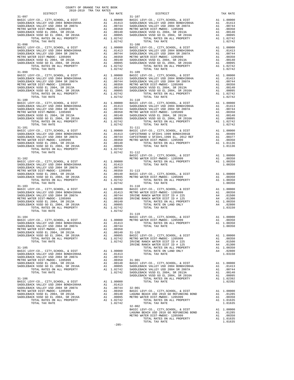|                                                                           | COUNTY OF ORANGE TAX RATE BOOK<br>2018-2019 TRA TAX RATES |                                         |                                                                         |
|---------------------------------------------------------------------------|-----------------------------------------------------------|-----------------------------------------|-------------------------------------------------------------------------|
| DISTRICT<br>$31 - 097$                                                    |                                                           | TAX RATE                                | $31 - 107$                                                              |
|                                                                           |                                                           |                                         |                                                                         |
|                                                                           |                                                           |                                         |                                                                         |
|                                                                           |                                                           |                                         |                                                                         |
|                                                                           |                                                           |                                         |                                                                         |
|                                                                           |                                                           |                                         |                                                                         |
|                                                                           |                                                           |                                         |                                                                         |
| TOTAL TAX RATE                                                            |                                                           | 1.02742                                 |                                                                         |
| $31 - 098$                                                                |                                                           |                                         | $31 - 108$                                                              |
|                                                                           |                                                           |                                         |                                                                         |
|                                                                           |                                                           |                                         |                                                                         |
|                                                                           |                                                           |                                         |                                                                         |
|                                                                           |                                                           |                                         |                                                                         |
|                                                                           |                                                           |                                         |                                                                         |
|                                                                           |                                                           |                                         |                                                                         |
| TOTAL TAX RATE                                                            |                                                           | 1.02742                                 |                                                                         |
|                                                                           |                                                           |                                         |                                                                         |
|                                                                           |                                                           |                                         |                                                                         |
|                                                                           |                                                           |                                         |                                                                         |
|                                                                           |                                                           |                                         |                                                                         |
|                                                                           |                                                           |                                         |                                                                         |
|                                                                           |                                                           |                                         |                                                                         |
|                                                                           |                                                           |                                         |                                                                         |
|                                                                           |                                                           |                                         |                                                                         |
|                                                                           |                                                           |                                         |                                                                         |
|                                                                           |                                                           |                                         |                                                                         |
|                                                                           |                                                           |                                         |                                                                         |
|                                                                           |                                                           |                                         |                                                                         |
|                                                                           |                                                           |                                         |                                                                         |
|                                                                           |                                                           |                                         |                                                                         |
|                                                                           |                                                           |                                         |                                                                         |
| TOTAL TAX RATE                                                            |                                                           | 1.02742                                 |                                                                         |
| $31 - 101$                                                                |                                                           |                                         | $31 - 111$                                                              |
|                                                                           |                                                           |                                         |                                                                         |
|                                                                           |                                                           |                                         |                                                                         |
|                                                                           |                                                           |                                         |                                                                         |
|                                                                           |                                                           |                                         |                                                                         |
|                                                                           |                                                           |                                         |                                                                         |
|                                                                           |                                                           |                                         |                                                                         |
| TOTAL TAX RATE                                                            |                                                           | 1.02742                                 | $31 - 112$                                                              |
|                                                                           |                                                           |                                         | BASIC L                                                                 |
| $31 - 102$                                                                |                                                           |                                         | METRO W                                                                 |
|                                                                           |                                                           |                                         |                                                                         |
|                                                                           |                                                           |                                         |                                                                         |
|                                                                           |                                                           |                                         |                                                                         |
|                                                                           |                                                           |                                         |                                                                         |
|                                                                           |                                                           |                                         |                                                                         |
|                                                                           |                                                           |                                         |                                                                         |
| TOTAL TAX RATE                                                            |                                                           | 1.02742                                 |                                                                         |
| $31 - 103$                                                                |                                                           |                                         | $31 - 118$                                                              |
|                                                                           |                                                           |                                         |                                                                         |
|                                                                           |                                                           |                                         |                                                                         |
|                                                                           |                                                           |                                         |                                                                         |
|                                                                           |                                                           |                                         |                                                                         |
|                                                                           |                                                           |                                         |                                                                         |
|                                                                           |                                                           |                                         |                                                                         |
| TOTAL TAX RATE                                                            |                                                           | 1.02742                                 | $31 - 119$                                                              |
| $31 - 104$                                                                |                                                           |                                         | BASIC L                                                                 |
| BASIC LEVY-CO., CITY, SCHOOL, & DIST Al 1.00000 METRO W                   |                                                           |                                         |                                                                         |
| SADDLEBACK VALLEY USD 2004 BOND#2004A                                     |                                                           |                                         |                                                                         |
| SADDLEBACK VALLEY USD 2004 SR 2007A                                       |                                                           |                                         |                                                                         |
| METRO WATER DIST-MWDOC- 1205999                                           |                                                           | A1 .01413<br>A1 .00744<br>A1 .00350     |                                                                         |
| SADDLEBACK VUSD EL 2004, SR 2013A                                         |                                                           | A1 .00140                               | $31 - 120$                                                              |
| SADDLEBACK VUSD GO EL 2004, SR 2016A                                      | A1                                                        | .00095                                  | BASIC L                                                                 |
| TOTAL RATES ON ALL PROPERTY<br>TOTAL TAX RATE                             |                                                           | A1 1.02742<br>1.02742                   | METRO W<br>IRVINE                                                       |
|                                                                           |                                                           |                                         | IRVINE                                                                  |
| $31 - 105$                                                                |                                                           |                                         |                                                                         |
| BASIC LEVY-CO., CITY, SCHOOL, & DIST                                      |                                                           | A1 1.00000                              |                                                                         |
| SADDLEBACK VALLEY USD 2004 BOND#2004A                                     |                                                           | A1 .01413                               |                                                                         |
| SADDLEBACK VALLEY USD 2004 SR 2007A                                       |                                                           | A1.00744                                |                                                                         |
| METRO WATER DIST-MWDOC- 1205999                                           |                                                           | A1 .00350                               | $31 - 901$<br>$\begin{array}{c}\n31 - 7 \\ \hline\n\end{array}$ BASIC L |
| SADDLEBACK VUSD EL 2004, SR 2013A<br>SADDLEBACK VUSD GO EL 2004, SR 2016A | A1                                                        | A1 .00140                               |                                                                         |
| TOTAL RATES ON ALL PROPERTY                                               |                                                           | A1 .00095 SADDLEB<br>A1 1.02742 SADDLEB |                                                                         |
| TOTAL TAX RATE                                                            |                                                           | 1.02742                                 | SADDLEB                                                                 |
|                                                                           |                                                           |                                         | SADDLEB                                                                 |
| $31 - 106$                                                                |                                                           |                                         |                                                                         |
| BASIC LEVY-CO., CITY, SCHOOL, & DIST                                      |                                                           | A1 1.00000                              |                                                                         |
| SADDLEBACK VALLEY USD 2004 BOND#2004A                                     |                                                           | A1 .01413                               |                                                                         |
| SADDLEBACK VALLEY USD 2004 SR 2007A                                       | A1                                                        | .00744                                  | $32 - 001$                                                              |
| METRO WATER DIST-MWDOC- 1205999<br>SADDLEBACK VUSD EL 2004, SR 2013A      | A1<br>A1                                                  | .00350                                  | BASIC L<br>LAGUNA                                                       |
| SADDLEBACK VUSD GO EL 2004, SR 2016A                                      | A1                                                        | .00140<br>.00095                        | METRO W                                                                 |
| TOTAL RATES ON ALL PROPERTY                                               |                                                           | A1 1.02742                              |                                                                         |
| TOTAL TAX RATE                                                            |                                                           | 1.02742                                 |                                                                         |

|  | $\begin{tabular}{cccccccc} 31-104 & .00000 & .00000 & .00000 & .00000 & .00000 & .00000 & .00000 & .00000 & .00000 & .00000 & .00000 & .00000 & .00000 & .00000 & .00000 & .00000 & .00000 & .00000 & .00000 & .00000 & .00000 & .00000 & .00000 & .00000 & .00000 & .00000 & .00000 & .00000 & .00000 &$ |  |
|--|-----------------------------------------------------------------------------------------------------------------------------------------------------------------------------------------------------------------------------------------------------------------------------------------------------------|--|
|  |                                                                                                                                                                                                                                                                                                           |  |
|  |                                                                                                                                                                                                                                                                                                           |  |
|  |                                                                                                                                                                                                                                                                                                           |  |
|  |                                                                                                                                                                                                                                                                                                           |  |
|  |                                                                                                                                                                                                                                                                                                           |  |
|  |                                                                                                                                                                                                                                                                                                           |  |
|  |                                                                                                                                                                                                                                                                                                           |  |
|  |                                                                                                                                                                                                                                                                                                           |  |
|  |                                                                                                                                                                                                                                                                                                           |  |
|  |                                                                                                                                                                                                                                                                                                           |  |
|  |                                                                                                                                                                                                                                                                                                           |  |
|  |                                                                                                                                                                                                                                                                                                           |  |
|  |                                                                                                                                                                                                                                                                                                           |  |
|  |                                                                                                                                                                                                                                                                                                           |  |
|  |                                                                                                                                                                                                                                                                                                           |  |
|  |                                                                                                                                                                                                                                                                                                           |  |
|  |                                                                                                                                                                                                                                                                                                           |  |
|  |                                                                                                                                                                                                                                                                                                           |  |
|  | $\begin{tabular}{l c c c c c} 31-106 & 32-1016 & 32-1016 & 32-1016 & 32-1016 & 32-1016 & 32-1016 & 32-1016 & 32-1016 & 32-1016 & 32-1016 & 32-1016 & 32-1016 & 32-1016 & 32-1016 & 32-1016 & 32-1016 & 32-1016 & 32-1016 & 32-1016 & 32-1016 & 32-1016 & 32-1$<br>$32 - 002$                              |  |
|  |                                                                                                                                                                                                                                                                                                           |  |
|  |                                                                                                                                                                                                                                                                                                           |  |
|  |                                                                                                                                                                                                                                                                                                           |  |
|  |                                                                                                                                                                                                                                                                                                           |  |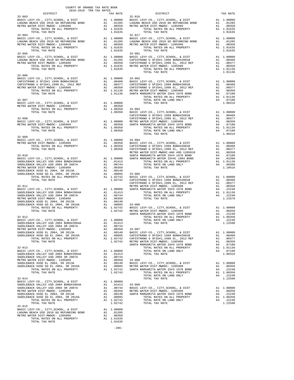| DISTRICT<br>2018-2019 TRA TAX RATES                                                                                                                                           | TAX RATE | $\frac{1}{2}$ DISTRICT<br>32-016                                                                                                                                                                                                                                                                                                                                                                                                                                     | TAX RATE |
|-------------------------------------------------------------------------------------------------------------------------------------------------------------------------------|----------|----------------------------------------------------------------------------------------------------------------------------------------------------------------------------------------------------------------------------------------------------------------------------------------------------------------------------------------------------------------------------------------------------------------------------------------------------------------------|----------|
| $32 - 003$                                                                                                                                                                    |          | $\begin{tabular}{cccc} 32-003 & \text{PISYALC1} & \text{PIX RATE} \\ \text{BAGIC LEVY-CO, CITY, SCHOOL, & DISTT & \text{A1 1.00000 BAGIC LEVY-CO, CITY, SCHOOL, & DISTT \\ \text{METRO WETRO WISTR DIST-MROC-L 120599} & \text{A1 1.010000 BAGIC LEVY-CO, CITY, SCHOOL, & DISTT \\ \text{METRO WETR DIST-MROC-L 120599} & \text{A1 1.01635} \\ \text{METRO WETR DIST-MROC-L 120599} & \$                                                                             |          |
|                                                                                                                                                                               |          |                                                                                                                                                                                                                                                                                                                                                                                                                                                                      |          |
|                                                                                                                                                                               |          |                                                                                                                                                                                                                                                                                                                                                                                                                                                                      |          |
|                                                                                                                                                                               |          |                                                                                                                                                                                                                                                                                                                                                                                                                                                                      |          |
|                                                                                                                                                                               |          |                                                                                                                                                                                                                                                                                                                                                                                                                                                                      |          |
|                                                                                                                                                                               |          |                                                                                                                                                                                                                                                                                                                                                                                                                                                                      |          |
|                                                                                                                                                                               |          |                                                                                                                                                                                                                                                                                                                                                                                                                                                                      |          |
|                                                                                                                                                                               |          |                                                                                                                                                                                                                                                                                                                                                                                                                                                                      |          |
|                                                                                                                                                                               |          |                                                                                                                                                                                                                                                                                                                                                                                                                                                                      |          |
|                                                                                                                                                                               |          |                                                                                                                                                                                                                                                                                                                                                                                                                                                                      |          |
|                                                                                                                                                                               |          |                                                                                                                                                                                                                                                                                                                                                                                                                                                                      |          |
|                                                                                                                                                                               |          |                                                                                                                                                                                                                                                                                                                                                                                                                                                                      |          |
|                                                                                                                                                                               |          |                                                                                                                                                                                                                                                                                                                                                                                                                                                                      |          |
| $32 - 006$                                                                                                                                                                    |          |                                                                                                                                                                                                                                                                                                                                                                                                                                                                      |          |
|                                                                                                                                                                               |          |                                                                                                                                                                                                                                                                                                                                                                                                                                                                      |          |
|                                                                                                                                                                               |          |                                                                                                                                                                                                                                                                                                                                                                                                                                                                      |          |
|                                                                                                                                                                               |          |                                                                                                                                                                                                                                                                                                                                                                                                                                                                      |          |
|                                                                                                                                                                               |          |                                                                                                                                                                                                                                                                                                                                                                                                                                                                      |          |
|                                                                                                                                                                               |          |                                                                                                                                                                                                                                                                                                                                                                                                                                                                      |          |
|                                                                                                                                                                               |          |                                                                                                                                                                                                                                                                                                                                                                                                                                                                      |          |
|                                                                                                                                                                               |          |                                                                                                                                                                                                                                                                                                                                                                                                                                                                      |          |
|                                                                                                                                                                               |          |                                                                                                                                                                                                                                                                                                                                                                                                                                                                      |          |
|                                                                                                                                                                               |          |                                                                                                                                                                                                                                                                                                                                                                                                                                                                      |          |
|                                                                                                                                                                               |          |                                                                                                                                                                                                                                                                                                                                                                                                                                                                      |          |
|                                                                                                                                                                               |          |                                                                                                                                                                                                                                                                                                                                                                                                                                                                      |          |
|                                                                                                                                                                               |          | $\begin{tabular}{c c c c c c} \multicolumn{4}{c c c} \multicolumn{4}{c c} \multicolumn{4}{c} \multicolumn{4}{c} \multicolumn{4}{c} \multicolumn{4}{c} \multicolumn{4}{c} \multicolumn{4}{c} \multicolumn{4}{c} \multicolumn{4}{c} \multicolumn{4}{c} \multicolumn{4}{c} \multicolumn{4}{c} \multicolumn{4}{c} \multicolumn{4}{c} \multicolumn{4}{c} \multicolumn{4}{c} \multicolumn{4}{c} \multicolumn{4}{c} \multicolumn{4}{c} \multicolumn{4}{c} \multicolumn{4}{$ |          |
|                                                                                                                                                                               |          |                                                                                                                                                                                                                                                                                                                                                                                                                                                                      |          |
|                                                                                                                                                                               |          |                                                                                                                                                                                                                                                                                                                                                                                                                                                                      |          |
|                                                                                                                                                                               |          |                                                                                                                                                                                                                                                                                                                                                                                                                                                                      |          |
|                                                                                                                                                                               |          |                                                                                                                                                                                                                                                                                                                                                                                                                                                                      |          |
|                                                                                                                                                                               |          |                                                                                                                                                                                                                                                                                                                                                                                                                                                                      |          |
|                                                                                                                                                                               |          |                                                                                                                                                                                                                                                                                                                                                                                                                                                                      |          |
|                                                                                                                                                                               |          |                                                                                                                                                                                                                                                                                                                                                                                                                                                                      |          |
|                                                                                                                                                                               |          |                                                                                                                                                                                                                                                                                                                                                                                                                                                                      |          |
|                                                                                                                                                                               |          |                                                                                                                                                                                                                                                                                                                                                                                                                                                                      |          |
|                                                                                                                                                                               |          |                                                                                                                                                                                                                                                                                                                                                                                                                                                                      |          |
|                                                                                                                                                                               |          |                                                                                                                                                                                                                                                                                                                                                                                                                                                                      |          |
|                                                                                                                                                                               |          |                                                                                                                                                                                                                                                                                                                                                                                                                                                                      |          |
|                                                                                                                                                                               |          |                                                                                                                                                                                                                                                                                                                                                                                                                                                                      |          |
|                                                                                                                                                                               |          |                                                                                                                                                                                                                                                                                                                                                                                                                                                                      |          |
|                                                                                                                                                                               |          |                                                                                                                                                                                                                                                                                                                                                                                                                                                                      |          |
|                                                                                                                                                                               |          |                                                                                                                                                                                                                                                                                                                                                                                                                                                                      |          |
|                                                                                                                                                                               |          |                                                                                                                                                                                                                                                                                                                                                                                                                                                                      |          |
|                                                                                                                                                                               |          |                                                                                                                                                                                                                                                                                                                                                                                                                                                                      |          |
|                                                                                                                                                                               |          |                                                                                                                                                                                                                                                                                                                                                                                                                                                                      |          |
|                                                                                                                                                                               |          |                                                                                                                                                                                                                                                                                                                                                                                                                                                                      |          |
|                                                                                                                                                                               |          |                                                                                                                                                                                                                                                                                                                                                                                                                                                                      |          |
|                                                                                                                                                                               |          |                                                                                                                                                                                                                                                                                                                                                                                                                                                                      |          |
|                                                                                                                                                                               |          |                                                                                                                                                                                                                                                                                                                                                                                                                                                                      |          |
|                                                                                                                                                                               |          |                                                                                                                                                                                                                                                                                                                                                                                                                                                                      |          |
|                                                                                                                                                                               |          |                                                                                                                                                                                                                                                                                                                                                                                                                                                                      |          |
|                                                                                                                                                                               |          |                                                                                                                                                                                                                                                                                                                                                                                                                                                                      |          |
|                                                                                                                                                                               |          |                                                                                                                                                                                                                                                                                                                                                                                                                                                                      |          |
|                                                                                                                                                                               |          |                                                                                                                                                                                                                                                                                                                                                                                                                                                                      |          |
|                                                                                                                                                                               |          |                                                                                                                                                                                                                                                                                                                                                                                                                                                                      |          |
|                                                                                                                                                                               |          |                                                                                                                                                                                                                                                                                                                                                                                                                                                                      |          |
|                                                                                                                                                                               |          |                                                                                                                                                                                                                                                                                                                                                                                                                                                                      |          |
|                                                                                                                                                                               |          |                                                                                                                                                                                                                                                                                                                                                                                                                                                                      |          |
|                                                                                                                                                                               |          | $\begin{tabular}{c c c c c} \multicolumn{4}{c}{\textbf{1.071b}} \multicolumn{4}{c}{\textbf{TA} \multicolumn{4}{c}{\textbf{TA} \multicolumn{4}{c}{\textbf{TA} \multicolumn{4}{c}{\textbf{TA} \multicolumn{4}{c}{\textbf{TA} \multicolumn{4}{c}{\textbf{TA} \multicolumn{4}{c}{\textbf{TA} \multicolumn{4}{c}{\textbf{TA} \multicolumn{4}{c}{\textbf{TA} \multicolumn{4}{c}{\textbf{TA} \multicolumn{4}{c}{\textbf{TA} \multicolumn{4}{c}{\textbf{TA} \multicolumn$    |          |
|                                                                                                                                                                               |          |                                                                                                                                                                                                                                                                                                                                                                                                                                                                      |          |
|                                                                                                                                                                               |          |                                                                                                                                                                                                                                                                                                                                                                                                                                                                      |          |
|                                                                                                                                                                               |          |                                                                                                                                                                                                                                                                                                                                                                                                                                                                      |          |
|                                                                                                                                                                               |          |                                                                                                                                                                                                                                                                                                                                                                                                                                                                      |          |
|                                                                                                                                                                               |          |                                                                                                                                                                                                                                                                                                                                                                                                                                                                      |          |
|                                                                                                                                                                               |          |                                                                                                                                                                                                                                                                                                                                                                                                                                                                      |          |
| BASIC LEVY-CO., CITY, SCHOOL, & DIST<br>DASIC LEVY-CO., CITY, SCHOOL, & DIST<br>DAGUNA BEACH USD 2010 GO REFUNDING BOND A1 .01285<br>METRO WATER DIST-MWDOC-1205999 A1 .00350 |          |                                                                                                                                                                                                                                                                                                                                                                                                                                                                      |          |
|                                                                                                                                                                               |          |                                                                                                                                                                                                                                                                                                                                                                                                                                                                      |          |

METRO WATER DIST-MWDOC- 1205999 A1 .00350<br>TOTAL RATES ON ALL PROPERTY A1 1.01635<br>TOTAL TAX RATE

-286-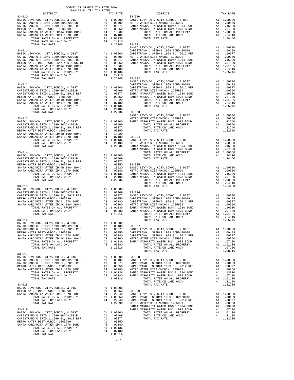| $\begin{minipage}{.4\linewidth} \begin{tabular}{lcccccc} . & . & . & . & . \\ . & . & . & . \\ . & . & . & . \\ . & . & . & . \\ \hline \end{tabular} \end{minipage}$ DISTRICT |  |                                          |          |  |  |
|--------------------------------------------------------------------------------------------------------------------------------------------------------------------------------|--|------------------------------------------|----------|--|--|
|                                                                                                                                                                                |  | TRA TAX RATES TAX RATE DISTRICT $33-020$ | TAX RATE |  |  |
| $33 - 010$                                                                                                                                                                     |  |                                          |          |  |  |
|                                                                                                                                                                                |  |                                          |          |  |  |
|                                                                                                                                                                                |  |                                          |          |  |  |
|                                                                                                                                                                                |  |                                          |          |  |  |
|                                                                                                                                                                                |  |                                          |          |  |  |
|                                                                                                                                                                                |  |                                          |          |  |  |
|                                                                                                                                                                                |  |                                          |          |  |  |
|                                                                                                                                                                                |  |                                          |          |  |  |
|                                                                                                                                                                                |  |                                          |          |  |  |
|                                                                                                                                                                                |  |                                          |          |  |  |
|                                                                                                                                                                                |  |                                          |          |  |  |
|                                                                                                                                                                                |  |                                          |          |  |  |
|                                                                                                                                                                                |  |                                          |          |  |  |
|                                                                                                                                                                                |  |                                          |          |  |  |
|                                                                                                                                                                                |  |                                          |          |  |  |
|                                                                                                                                                                                |  |                                          |          |  |  |
|                                                                                                                                                                                |  |                                          |          |  |  |
|                                                                                                                                                                                |  |                                          |          |  |  |
|                                                                                                                                                                                |  |                                          |          |  |  |
|                                                                                                                                                                                |  |                                          |          |  |  |
|                                                                                                                                                                                |  |                                          |          |  |  |
|                                                                                                                                                                                |  |                                          |          |  |  |
|                                                                                                                                                                                |  |                                          |          |  |  |
|                                                                                                                                                                                |  |                                          |          |  |  |
|                                                                                                                                                                                |  |                                          |          |  |  |
|                                                                                                                                                                                |  |                                          |          |  |  |
|                                                                                                                                                                                |  |                                          |          |  |  |
|                                                                                                                                                                                |  |                                          |          |  |  |
|                                                                                                                                                                                |  |                                          |          |  |  |
|                                                                                                                                                                                |  |                                          |          |  |  |
|                                                                                                                                                                                |  |                                          |          |  |  |
|                                                                                                                                                                                |  |                                          |          |  |  |
|                                                                                                                                                                                |  |                                          |          |  |  |
|                                                                                                                                                                                |  |                                          |          |  |  |
|                                                                                                                                                                                |  |                                          |          |  |  |
|                                                                                                                                                                                |  |                                          |          |  |  |
|                                                                                                                                                                                |  |                                          |          |  |  |
|                                                                                                                                                                                |  |                                          |          |  |  |
|                                                                                                                                                                                |  |                                          |          |  |  |
|                                                                                                                                                                                |  |                                          |          |  |  |
|                                                                                                                                                                                |  |                                          |          |  |  |
|                                                                                                                                                                                |  |                                          |          |  |  |
|                                                                                                                                                                                |  |                                          |          |  |  |
|                                                                                                                                                                                |  |                                          |          |  |  |
|                                                                                                                                                                                |  |                                          |          |  |  |
|                                                                                                                                                                                |  |                                          |          |  |  |
|                                                                                                                                                                                |  |                                          |          |  |  |
|                                                                                                                                                                                |  |                                          |          |  |  |
|                                                                                                                                                                                |  |                                          |          |  |  |
|                                                                                                                                                                                |  |                                          |          |  |  |
|                                                                                                                                                                                |  |                                          |          |  |  |
|                                                                                                                                                                                |  |                                          |          |  |  |
|                                                                                                                                                                                |  |                                          |          |  |  |
|                                                                                                                                                                                |  |                                          |          |  |  |
|                                                                                                                                                                                |  |                                          |          |  |  |
|                                                                                                                                                                                |  |                                          |          |  |  |
|                                                                                                                                                                                |  |                                          |          |  |  |
|                                                                                                                                                                                |  |                                          |          |  |  |
|                                                                                                                                                                                |  |                                          |          |  |  |
|                                                                                                                                                                                |  |                                          |          |  |  |
|                                                                                                                                                                                |  |                                          |          |  |  |
|                                                                                                                                                                                |  |                                          |          |  |  |
|                                                                                                                                                                                |  |                                          |          |  |  |
|                                                                                                                                                                                |  |                                          |          |  |  |
|                                                                                                                                                                                |  |                                          |          |  |  |
|                                                                                                                                                                                |  |                                          |          |  |  |
|                                                                                                                                                                                |  |                                          |          |  |  |
|                                                                                                                                                                                |  |                                          |          |  |  |
|                                                                                                                                                                                |  |                                          |          |  |  |
|                                                                                                                                                                                |  |                                          |          |  |  |
|                                                                                                                                                                                |  |                                          |          |  |  |
|                                                                                                                                                                                |  |                                          |          |  |  |
|                                                                                                                                                                                |  |                                          |          |  |  |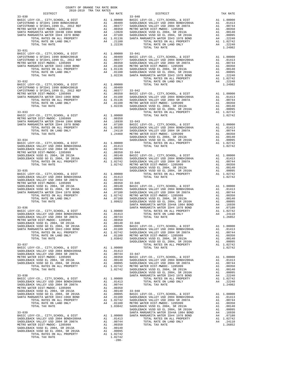| COUNTY OF ORANGE TAX RATE BOOK<br>2018-2019 TRA TAX RATES<br>DISTRICT TAX RJ |          |            |          |
|------------------------------------------------------------------------------|----------|------------|----------|
|                                                                              | TAX RATE | DISTRICT   | TAX RATE |
| $33 - 030$                                                                   |          | $33 - 040$ |          |
|                                                                              |          |            |          |
|                                                                              |          |            |          |
|                                                                              |          |            |          |
|                                                                              |          |            |          |
|                                                                              |          |            |          |
|                                                                              |          |            |          |
|                                                                              |          |            |          |
|                                                                              |          |            |          |
|                                                                              |          |            |          |
|                                                                              |          |            |          |
|                                                                              |          |            |          |
|                                                                              |          |            |          |
|                                                                              |          |            |          |
|                                                                              |          |            |          |
|                                                                              |          |            |          |
|                                                                              |          |            |          |
|                                                                              |          |            |          |
|                                                                              |          |            |          |
|                                                                              |          |            |          |
|                                                                              |          |            |          |
|                                                                              |          |            |          |
|                                                                              |          |            |          |
|                                                                              |          |            |          |
|                                                                              |          |            |          |
|                                                                              |          |            |          |
|                                                                              |          |            |          |
|                                                                              |          |            |          |
|                                                                              |          |            |          |
|                                                                              |          |            |          |
|                                                                              |          |            |          |
|                                                                              |          |            |          |
|                                                                              |          |            |          |
|                                                                              |          |            |          |
|                                                                              |          |            |          |
|                                                                              |          |            |          |
|                                                                              |          |            |          |
|                                                                              |          |            |          |
|                                                                              |          |            |          |
|                                                                              |          |            |          |
|                                                                              |          |            |          |
|                                                                              |          |            |          |
|                                                                              |          |            |          |
|                                                                              |          |            |          |
|                                                                              |          |            |          |
|                                                                              |          |            |          |
|                                                                              |          |            |          |
|                                                                              |          |            |          |
|                                                                              |          |            |          |
|                                                                              |          |            |          |
|                                                                              |          |            |          |
|                                                                              |          |            |          |
|                                                                              |          |            |          |
|                                                                              |          |            |          |
|                                                                              |          |            |          |
|                                                                              |          |            |          |
|                                                                              |          |            |          |
|                                                                              |          |            |          |
|                                                                              |          |            |          |
|                                                                              |          |            |          |
|                                                                              |          |            |          |
|                                                                              |          |            |          |
|                                                                              |          |            |          |
|                                                                              |          |            |          |
|                                                                              |          |            |          |
|                                                                              |          |            |          |
|                                                                              |          |            |          |
|                                                                              |          |            |          |
|                                                                              |          |            |          |
|                                                                              |          |            |          |
|                                                                              |          |            |          |
|                                                                              |          |            |          |
|                                                                              |          |            |          |
|                                                                              |          |            |          |
|                                                                              |          |            |          |
|                                                                              |          |            |          |
|                                                                              |          |            |          |
|                                                                              |          |            |          |
|                                                                              |          |            |          |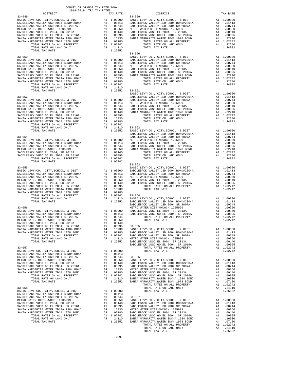| COUNTY OF ORANGE TAX RATE BOOK<br>2018–2019 הקבל המדי המוכש<br>$2018-2019 \begin{tabular}{lllllllllllll} \multicolumn{2}{l}{{\bf{TRA} R} R} \multicolumn{2}{c}{\bf{RATE} B} \end{tabular}$ DISTRICT |          |                                                                                                                                                                                                                                                                                                                                                                                                         |          |
|-----------------------------------------------------------------------------------------------------------------------------------------------------------------------------------------------------|----------|---------------------------------------------------------------------------------------------------------------------------------------------------------------------------------------------------------------------------------------------------------------------------------------------------------------------------------------------------------------------------------------------------------|----------|
|                                                                                                                                                                                                     | TAX RATE | DISTRICT                                                                                                                                                                                                                                                                                                                                                                                                | TAX RATE |
| $33 - 049$                                                                                                                                                                                          |          | $33 - 059$                                                                                                                                                                                                                                                                                                                                                                                              |          |
|                                                                                                                                                                                                     |          |                                                                                                                                                                                                                                                                                                                                                                                                         |          |
|                                                                                                                                                                                                     |          |                                                                                                                                                                                                                                                                                                                                                                                                         |          |
|                                                                                                                                                                                                     |          |                                                                                                                                                                                                                                                                                                                                                                                                         |          |
|                                                                                                                                                                                                     |          |                                                                                                                                                                                                                                                                                                                                                                                                         |          |
|                                                                                                                                                                                                     |          |                                                                                                                                                                                                                                                                                                                                                                                                         |          |
|                                                                                                                                                                                                     |          |                                                                                                                                                                                                                                                                                                                                                                                                         |          |
|                                                                                                                                                                                                     |          |                                                                                                                                                                                                                                                                                                                                                                                                         |          |
|                                                                                                                                                                                                     |          |                                                                                                                                                                                                                                                                                                                                                                                                         |          |
|                                                                                                                                                                                                     |          |                                                                                                                                                                                                                                                                                                                                                                                                         |          |
|                                                                                                                                                                                                     |          |                                                                                                                                                                                                                                                                                                                                                                                                         |          |
|                                                                                                                                                                                                     |          |                                                                                                                                                                                                                                                                                                                                                                                                         |          |
|                                                                                                                                                                                                     |          |                                                                                                                                                                                                                                                                                                                                                                                                         |          |
|                                                                                                                                                                                                     |          |                                                                                                                                                                                                                                                                                                                                                                                                         |          |
|                                                                                                                                                                                                     |          |                                                                                                                                                                                                                                                                                                                                                                                                         |          |
|                                                                                                                                                                                                     |          |                                                                                                                                                                                                                                                                                                                                                                                                         |          |
|                                                                                                                                                                                                     |          |                                                                                                                                                                                                                                                                                                                                                                                                         |          |
|                                                                                                                                                                                                     |          |                                                                                                                                                                                                                                                                                                                                                                                                         |          |
|                                                                                                                                                                                                     |          |                                                                                                                                                                                                                                                                                                                                                                                                         |          |
|                                                                                                                                                                                                     |          |                                                                                                                                                                                                                                                                                                                                                                                                         |          |
|                                                                                                                                                                                                     |          |                                                                                                                                                                                                                                                                                                                                                                                                         |          |
|                                                                                                                                                                                                     |          |                                                                                                                                                                                                                                                                                                                                                                                                         |          |
|                                                                                                                                                                                                     |          |                                                                                                                                                                                                                                                                                                                                                                                                         |          |
|                                                                                                                                                                                                     |          |                                                                                                                                                                                                                                                                                                                                                                                                         |          |
|                                                                                                                                                                                                     |          |                                                                                                                                                                                                                                                                                                                                                                                                         |          |
|                                                                                                                                                                                                     |          |                                                                                                                                                                                                                                                                                                                                                                                                         |          |
|                                                                                                                                                                                                     |          |                                                                                                                                                                                                                                                                                                                                                                                                         |          |
|                                                                                                                                                                                                     |          |                                                                                                                                                                                                                                                                                                                                                                                                         |          |
|                                                                                                                                                                                                     |          |                                                                                                                                                                                                                                                                                                                                                                                                         |          |
|                                                                                                                                                                                                     |          |                                                                                                                                                                                                                                                                                                                                                                                                         |          |
|                                                                                                                                                                                                     |          |                                                                                                                                                                                                                                                                                                                                                                                                         |          |
|                                                                                                                                                                                                     |          |                                                                                                                                                                                                                                                                                                                                                                                                         |          |
|                                                                                                                                                                                                     |          |                                                                                                                                                                                                                                                                                                                                                                                                         |          |
|                                                                                                                                                                                                     |          |                                                                                                                                                                                                                                                                                                                                                                                                         |          |
|                                                                                                                                                                                                     |          |                                                                                                                                                                                                                                                                                                                                                                                                         |          |
|                                                                                                                                                                                                     |          |                                                                                                                                                                                                                                                                                                                                                                                                         |          |
|                                                                                                                                                                                                     |          | $\begin{tabular}{cccc} \textbf{1.41} & \textbf{1.42} & \textbf{1.43} & \textbf{1.44} & \textbf{1.45} & \textbf{1.46} & \textbf{1.45} & \textbf{1.46} & \textbf{1.46} & \textbf{1.46} & \textbf{1.46} & \textbf{1.46} & \textbf{1.46} & \textbf{1.47} & \textbf{1.48} & \textbf{1.48} & \textbf{1.49} & \textbf{1.40} & \textbf{1.40} & \textbf{1.40} & \textbf{1.40} & \text$                           |          |
|                                                                                                                                                                                                     |          |                                                                                                                                                                                                                                                                                                                                                                                                         |          |
|                                                                                                                                                                                                     |          |                                                                                                                                                                                                                                                                                                                                                                                                         |          |
|                                                                                                                                                                                                     |          |                                                                                                                                                                                                                                                                                                                                                                                                         |          |
|                                                                                                                                                                                                     |          |                                                                                                                                                                                                                                                                                                                                                                                                         |          |
|                                                                                                                                                                                                     |          |                                                                                                                                                                                                                                                                                                                                                                                                         |          |
|                                                                                                                                                                                                     |          |                                                                                                                                                                                                                                                                                                                                                                                                         |          |
|                                                                                                                                                                                                     |          |                                                                                                                                                                                                                                                                                                                                                                                                         |          |
|                                                                                                                                                                                                     |          |                                                                                                                                                                                                                                                                                                                                                                                                         |          |
|                                                                                                                                                                                                     |          |                                                                                                                                                                                                                                                                                                                                                                                                         |          |
|                                                                                                                                                                                                     |          |                                                                                                                                                                                                                                                                                                                                                                                                         |          |
|                                                                                                                                                                                                     |          |                                                                                                                                                                                                                                                                                                                                                                                                         |          |
|                                                                                                                                                                                                     |          |                                                                                                                                                                                                                                                                                                                                                                                                         |          |
|                                                                                                                                                                                                     |          |                                                                                                                                                                                                                                                                                                                                                                                                         |          |
|                                                                                                                                                                                                     |          |                                                                                                                                                                                                                                                                                                                                                                                                         |          |
|                                                                                                                                                                                                     |          |                                                                                                                                                                                                                                                                                                                                                                                                         |          |
|                                                                                                                                                                                                     |          |                                                                                                                                                                                                                                                                                                                                                                                                         |          |
|                                                                                                                                                                                                     |          |                                                                                                                                                                                                                                                                                                                                                                                                         |          |
|                                                                                                                                                                                                     |          |                                                                                                                                                                                                                                                                                                                                                                                                         |          |
|                                                                                                                                                                                                     |          |                                                                                                                                                                                                                                                                                                                                                                                                         |          |
|                                                                                                                                                                                                     |          |                                                                                                                                                                                                                                                                                                                                                                                                         |          |
|                                                                                                                                                                                                     |          |                                                                                                                                                                                                                                                                                                                                                                                                         |          |
|                                                                                                                                                                                                     |          |                                                                                                                                                                                                                                                                                                                                                                                                         |          |
|                                                                                                                                                                                                     |          |                                                                                                                                                                                                                                                                                                                                                                                                         |          |
|                                                                                                                                                                                                     |          |                                                                                                                                                                                                                                                                                                                                                                                                         |          |
|                                                                                                                                                                                                     |          |                                                                                                                                                                                                                                                                                                                                                                                                         |          |
|                                                                                                                                                                                                     |          |                                                                                                                                                                                                                                                                                                                                                                                                         |          |
|                                                                                                                                                                                                     |          |                                                                                                                                                                                                                                                                                                                                                                                                         |          |
|                                                                                                                                                                                                     |          |                                                                                                                                                                                                                                                                                                                                                                                                         |          |
|                                                                                                                                                                                                     |          |                                                                                                                                                                                                                                                                                                                                                                                                         |          |
|                                                                                                                                                                                                     |          |                                                                                                                                                                                                                                                                                                                                                                                                         |          |
|                                                                                                                                                                                                     |          |                                                                                                                                                                                                                                                                                                                                                                                                         |          |
|                                                                                                                                                                                                     |          |                                                                                                                                                                                                                                                                                                                                                                                                         |          |
|                                                                                                                                                                                                     |          |                                                                                                                                                                                                                                                                                                                                                                                                         |          |
|                                                                                                                                                                                                     |          |                                                                                                                                                                                                                                                                                                                                                                                                         |          |
|                                                                                                                                                                                                     |          |                                                                                                                                                                                                                                                                                                                                                                                                         |          |
|                                                                                                                                                                                                     |          |                                                                                                                                                                                                                                                                                                                                                                                                         |          |
|                                                                                                                                                                                                     |          |                                                                                                                                                                                                                                                                                                                                                                                                         |          |
|                                                                                                                                                                                                     |          | $\begin{tabular}{c c c c} \multicolumn{4}{c}{\textbf{1.26652}} \multicolumn{4}{c}{\textbf{1.26652}} \multicolumn{4}{c}{\textbf{1.26652}} \multicolumn{4}{c}{\textbf{1.26652}} \multicolumn{4}{c}{\textbf{1.26652}} \multicolumn{4}{c}{\textbf{1.26652}} \multicolumn{4}{c}{\textbf{1.26652}} \multicolumn{4}{c}{\textbf{1.26652}} \multicolumn{4}{c}{\textbf{1.26652}} \multicolumn{4}{c}{\textbf{1.26$ |          |
|                                                                                                                                                                                                     |          |                                                                                                                                                                                                                                                                                                                                                                                                         |          |
|                                                                                                                                                                                                     |          |                                                                                                                                                                                                                                                                                                                                                                                                         |          |
|                                                                                                                                                                                                     |          |                                                                                                                                                                                                                                                                                                                                                                                                         |          |
|                                                                                                                                                                                                     |          |                                                                                                                                                                                                                                                                                                                                                                                                         |          |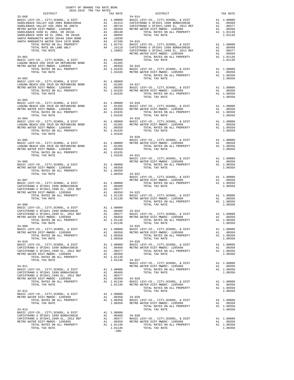| $2018-2019\quad\text{TRA TAX RATE B} \label{eq:2018-2019}$ DISTRICT $$\tt 2018-2019$$<br>TRA TAX RATES $\begin{tabular}{ll} \tt{TRA} \tt{TAX} \tt{ RATE} \end{tabular} \begin{tabular}{ll} \tt{DISTRICT} \end{tabular}$                                                                                                                                                                                                                                                                                   |  |  |                                  |          |  |
|-----------------------------------------------------------------------------------------------------------------------------------------------------------------------------------------------------------------------------------------------------------------------------------------------------------------------------------------------------------------------------------------------------------------------------------------------------------------------------------------------------------|--|--|----------------------------------|----------|--|
|                                                                                                                                                                                                                                                                                                                                                                                                                                                                                                           |  |  |                                  | TAX RATE |  |
| $\begin{tabular}{cccc} 33-066 & DISTRICT & TAX RATE \\ \end{tabular} \begin{tabular}{cccc} 33-066 & DISTRIC & TAX RATE \\ \end{tabular} \end{tabular} \begin{tabular}{cccc} 33-066 & DISTRIC & TAX RATE \\ \end{tabular} \begin{tabular}{cccc} 33-066 & DISTRIC & TAX RATE \\ \end{tabular} \end{tabular} \begin{tabular}{cccc} 33-066 & DISTRIC & TAX RATE \\ \end{tabular} \begin{tabular}{cccc} 33-066 & DISTRIC & TAX RATE \\ \end{tabular} \end{tabular} \begin{tabular}{cccc} 3$                    |  |  |                                  |          |  |
|                                                                                                                                                                                                                                                                                                                                                                                                                                                                                                           |  |  |                                  |          |  |
|                                                                                                                                                                                                                                                                                                                                                                                                                                                                                                           |  |  |                                  |          |  |
|                                                                                                                                                                                                                                                                                                                                                                                                                                                                                                           |  |  |                                  |          |  |
|                                                                                                                                                                                                                                                                                                                                                                                                                                                                                                           |  |  |                                  |          |  |
|                                                                                                                                                                                                                                                                                                                                                                                                                                                                                                           |  |  |                                  |          |  |
|                                                                                                                                                                                                                                                                                                                                                                                                                                                                                                           |  |  |                                  |          |  |
|                                                                                                                                                                                                                                                                                                                                                                                                                                                                                                           |  |  |                                  |          |  |
|                                                                                                                                                                                                                                                                                                                                                                                                                                                                                                           |  |  |                                  |          |  |
|                                                                                                                                                                                                                                                                                                                                                                                                                                                                                                           |  |  |                                  |          |  |
|                                                                                                                                                                                                                                                                                                                                                                                                                                                                                                           |  |  |                                  |          |  |
|                                                                                                                                                                                                                                                                                                                                                                                                                                                                                                           |  |  |                                  |          |  |
|                                                                                                                                                                                                                                                                                                                                                                                                                                                                                                           |  |  |                                  |          |  |
|                                                                                                                                                                                                                                                                                                                                                                                                                                                                                                           |  |  |                                  |          |  |
|                                                                                                                                                                                                                                                                                                                                                                                                                                                                                                           |  |  |                                  |          |  |
|                                                                                                                                                                                                                                                                                                                                                                                                                                                                                                           |  |  |                                  |          |  |
|                                                                                                                                                                                                                                                                                                                                                                                                                                                                                                           |  |  |                                  |          |  |
|                                                                                                                                                                                                                                                                                                                                                                                                                                                                                                           |  |  |                                  |          |  |
|                                                                                                                                                                                                                                                                                                                                                                                                                                                                                                           |  |  |                                  |          |  |
| $\begin{tabular}{lllllllllllllllllll} \begin{tabular}{l} \multicolumn{4}{c}{\multicolumn{4}{c}{\textbf{DTAL TAX RATE}}} \end{tabular} & \begin{tabular}{l} \multicolumn{4}{c}{\multicolumn{4}{c}{\textbf{DTAL TAX RATE}}} \end{tabular} & \begin{tabular}{l} \multicolumn{4}{c}{\multicolumn{4}{c}{\textbf{DTAL TAX RATE}}} \end{tabular} & \begin{tabular}{l} \multicolumn{4}{c}{\multicolumn{4}{c}{\textbf{DTAL TAX RATE}}} \end{tabular} & \begin{tabular}{l} \multicolumn{4}{c}{\multicolumn{4}{c}{\$ |  |  |                                  |          |  |
|                                                                                                                                                                                                                                                                                                                                                                                                                                                                                                           |  |  |                                  |          |  |
|                                                                                                                                                                                                                                                                                                                                                                                                                                                                                                           |  |  |                                  |          |  |
|                                                                                                                                                                                                                                                                                                                                                                                                                                                                                                           |  |  |                                  |          |  |
|                                                                                                                                                                                                                                                                                                                                                                                                                                                                                                           |  |  |                                  |          |  |
|                                                                                                                                                                                                                                                                                                                                                                                                                                                                                                           |  |  |                                  |          |  |
|                                                                                                                                                                                                                                                                                                                                                                                                                                                                                                           |  |  |                                  |          |  |
|                                                                                                                                                                                                                                                                                                                                                                                                                                                                                                           |  |  |                                  |          |  |
|                                                                                                                                                                                                                                                                                                                                                                                                                                                                                                           |  |  |                                  |          |  |
|                                                                                                                                                                                                                                                                                                                                                                                                                                                                                                           |  |  |                                  |          |  |
|                                                                                                                                                                                                                                                                                                                                                                                                                                                                                                           |  |  |                                  |          |  |
|                                                                                                                                                                                                                                                                                                                                                                                                                                                                                                           |  |  |                                  |          |  |
|                                                                                                                                                                                                                                                                                                                                                                                                                                                                                                           |  |  |                                  |          |  |
|                                                                                                                                                                                                                                                                                                                                                                                                                                                                                                           |  |  |                                  |          |  |
|                                                                                                                                                                                                                                                                                                                                                                                                                                                                                                           |  |  |                                  |          |  |
|                                                                                                                                                                                                                                                                                                                                                                                                                                                                                                           |  |  |                                  |          |  |
|                                                                                                                                                                                                                                                                                                                                                                                                                                                                                                           |  |  |                                  |          |  |
|                                                                                                                                                                                                                                                                                                                                                                                                                                                                                                           |  |  |                                  |          |  |
|                                                                                                                                                                                                                                                                                                                                                                                                                                                                                                           |  |  |                                  |          |  |
|                                                                                                                                                                                                                                                                                                                                                                                                                                                                                                           |  |  |                                  |          |  |
|                                                                                                                                                                                                                                                                                                                                                                                                                                                                                                           |  |  |                                  |          |  |
|                                                                                                                                                                                                                                                                                                                                                                                                                                                                                                           |  |  |                                  |          |  |
|                                                                                                                                                                                                                                                                                                                                                                                                                                                                                                           |  |  |                                  |          |  |
|                                                                                                                                                                                                                                                                                                                                                                                                                                                                                                           |  |  |                                  |          |  |
|                                                                                                                                                                                                                                                                                                                                                                                                                                                                                                           |  |  |                                  |          |  |
|                                                                                                                                                                                                                                                                                                                                                                                                                                                                                                           |  |  |                                  |          |  |
|                                                                                                                                                                                                                                                                                                                                                                                                                                                                                                           |  |  |                                  |          |  |
|                                                                                                                                                                                                                                                                                                                                                                                                                                                                                                           |  |  |                                  |          |  |
|                                                                                                                                                                                                                                                                                                                                                                                                                                                                                                           |  |  |                                  |          |  |
| $\begin{tabular}{c cccccc} \textbf{1} & 01136 & 01136 & 01136 & 01136 & 01136 & 01136 & 01136 & 01136 & 01136 & 01136 & 01136 & 01136 & 01136 & 01136 & 01136 & 01136 & 01136 & 01136 & 01136 & 01136 & 01136 & 01136 & 01136 & 01136 & 01136 & 01136 & 01136 & 01136 & 01136$                                                                                                                                                                                                                            |  |  |                                  |          |  |
|                                                                                                                                                                                                                                                                                                                                                                                                                                                                                                           |  |  |                                  |          |  |
|                                                                                                                                                                                                                                                                                                                                                                                                                                                                                                           |  |  |                                  |          |  |
|                                                                                                                                                                                                                                                                                                                                                                                                                                                                                                           |  |  |                                  |          |  |
|                                                                                                                                                                                                                                                                                                                                                                                                                                                                                                           |  |  |                                  |          |  |
|                                                                                                                                                                                                                                                                                                                                                                                                                                                                                                           |  |  |                                  |          |  |
|                                                                                                                                                                                                                                                                                                                                                                                                                                                                                                           |  |  |                                  |          |  |
|                                                                                                                                                                                                                                                                                                                                                                                                                                                                                                           |  |  |                                  |          |  |
|                                                                                                                                                                                                                                                                                                                                                                                                                                                                                                           |  |  |                                  |          |  |
|                                                                                                                                                                                                                                                                                                                                                                                                                                                                                                           |  |  |                                  |          |  |
|                                                                                                                                                                                                                                                                                                                                                                                                                                                                                                           |  |  |                                  |          |  |
|                                                                                                                                                                                                                                                                                                                                                                                                                                                                                                           |  |  |                                  |          |  |
|                                                                                                                                                                                                                                                                                                                                                                                                                                                                                                           |  |  |                                  |          |  |
|                                                                                                                                                                                                                                                                                                                                                                                                                                                                                                           |  |  |                                  |          |  |
|                                                                                                                                                                                                                                                                                                                                                                                                                                                                                                           |  |  |                                  |          |  |
|                                                                                                                                                                                                                                                                                                                                                                                                                                                                                                           |  |  |                                  |          |  |
| $\begin{tabular}{l c c c c c c} \hline\hline\text{TOTAL RATES ON ALI PROPERTIES} & \text{AL} & \text{L.01136} & 34-027 \\ \hline\text{TOTAL TAX RATE} & 1.01136 & 34-027 \\ \hline\text{BASIC LEVY-CO.}, \text{CITY}, \text{SCHOOL}, & \text{L DIST} & \text{AL} & 1.00000 \\ \hline\text{BASE LEVY-CO.}, \text{CITY}, \text{SCHOOL}, & \text{L DIST} & \text{AL} & 1.00350 \\ \hline\text{CAPISTRANO U SFID} & 1999$                                                                                     |  |  |                                  |          |  |
|                                                                                                                                                                                                                                                                                                                                                                                                                                                                                                           |  |  |                                  |          |  |
|                                                                                                                                                                                                                                                                                                                                                                                                                                                                                                           |  |  |                                  |          |  |
|                                                                                                                                                                                                                                                                                                                                                                                                                                                                                                           |  |  |                                  |          |  |
|                                                                                                                                                                                                                                                                                                                                                                                                                                                                                                           |  |  |                                  |          |  |
|                                                                                                                                                                                                                                                                                                                                                                                                                                                                                                           |  |  |                                  |          |  |
|                                                                                                                                                                                                                                                                                                                                                                                                                                                                                                           |  |  |                                  |          |  |
|                                                                                                                                                                                                                                                                                                                                                                                                                                                                                                           |  |  |                                  |          |  |
|                                                                                                                                                                                                                                                                                                                                                                                                                                                                                                           |  |  |                                  |          |  |
|                                                                                                                                                                                                                                                                                                                                                                                                                                                                                                           |  |  | $1.01136$ TOTAL TAX RATE $-290-$ |          |  |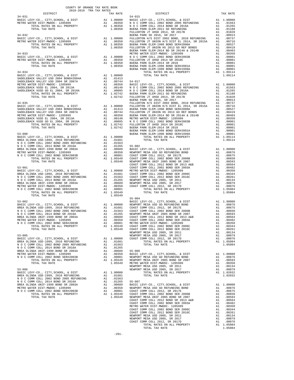|  | <b>1997</b> (1997) (1997 1997) (1997 1997) (1998) (1998) (1998) (1998) (1998) (1998) (1998) (1998) (1998) (1998) (1998) (1998) (1998) (1998) (1998) (1998) (1998) (1998) (1998) (1998) (1998) (1998) (1998) (1998) (1998) (1998) ( |  |
|--|------------------------------------------------------------------------------------------------------------------------------------------------------------------------------------------------------------------------------------|--|
|  |                                                                                                                                                                                                                                    |  |
|  |                                                                                                                                                                                                                                    |  |
|  |                                                                                                                                                                                                                                    |  |
|  |                                                                                                                                                                                                                                    |  |
|  |                                                                                                                                                                                                                                    |  |
|  |                                                                                                                                                                                                                                    |  |
|  |                                                                                                                                                                                                                                    |  |
|  |                                                                                                                                                                                                                                    |  |
|  |                                                                                                                                                                                                                                    |  |
|  |                                                                                                                                                                                                                                    |  |
|  |                                                                                                                                                                                                                                    |  |
|  |                                                                                                                                                                                                                                    |  |
|  |                                                                                                                                                                                                                                    |  |
|  |                                                                                                                                                                                                                                    |  |
|  |                                                                                                                                                                                                                                    |  |
|  |                                                                                                                                                                                                                                    |  |
|  |                                                                                                                                                                                                                                    |  |
|  |                                                                                                                                                                                                                                    |  |
|  |                                                                                                                                                                                                                                    |  |
|  |                                                                                                                                                                                                                                    |  |
|  |                                                                                                                                                                                                                                    |  |
|  |                                                                                                                                                                                                                                    |  |
|  |                                                                                                                                                                                                                                    |  |
|  |                                                                                                                                                                                                                                    |  |
|  |                                                                                                                                                                                                                                    |  |
|  |                                                                                                                                                                                                                                    |  |
|  |                                                                                                                                                                                                                                    |  |
|  |                                                                                                                                                                                                                                    |  |
|  |                                                                                                                                                                                                                                    |  |
|  |                                                                                                                                                                                                                                    |  |
|  |                                                                                                                                                                                                                                    |  |
|  |                                                                                                                                                                                                                                    |  |
|  |                                                                                                                                                                                                                                    |  |
|  |                                                                                                                                                                                                                                    |  |
|  |                                                                                                                                                                                                                                    |  |
|  |                                                                                                                                                                                                                                    |  |
|  |                                                                                                                                                                                                                                    |  |
|  |                                                                                                                                                                                                                                    |  |
|  |                                                                                                                                                                                                                                    |  |
|  |                                                                                                                                                                                                                                    |  |
|  |                                                                                                                                                                                                                                    |  |
|  |                                                                                                                                                                                                                                    |  |
|  | $55 - 004$                                                                                                                                                                                                                         |  |
|  |                                                                                                                                                                                                                                    |  |
|  |                                                                                                                                                                                                                                    |  |
|  |                                                                                                                                                                                                                                    |  |
|  |                                                                                                                                                                                                                                    |  |
|  |                                                                                                                                                                                                                                    |  |
|  |                                                                                                                                                                                                                                    |  |
|  |                                                                                                                                                                                                                                    |  |
|  |                                                                                                                                                                                                                                    |  |
|  |                                                                                                                                                                                                                                    |  |
|  |                                                                                                                                                                                                                                    |  |
|  |                                                                                                                                                                                                                                    |  |
|  |                                                                                                                                                                                                                                    |  |
|  |                                                                                                                                                                                                                                    |  |
|  |                                                                                                                                                                                                                                    |  |
|  |                                                                                                                                                                                                                                    |  |
|  |                                                                                                                                                                                                                                    |  |
|  |                                                                                                                                                                                                                                    |  |
|  |                                                                                                                                                                                                                                    |  |
|  |                                                                                                                                                                                                                                    |  |
|  |                                                                                                                                                                                                                                    |  |
|  |                                                                                                                                                                                                                                    |  |
|  |                                                                                                                                                                                                                                    |  |
|  |                                                                                                                                                                                                                                    |  |
|  |                                                                                                                                                                                                                                    |  |
|  |                                                                                                                                                                                                                                    |  |
|  |                                                                                                                                                                                                                                    |  |
|  |                                                                                                                                                                                                                                    |  |
|  |                                                                                                                                                                                                                                    |  |
|  |                                                                                                                                                                                                                                    |  |
|  |                                                                                                                                                                                                                                    |  |
|  |                                                                                                                                                                                                                                    |  |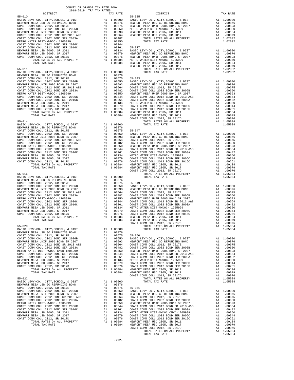| TOTAL RATES ON ALL PROPERTY<br>TOTAL TAX RATE                                | A1 1.05084 METRO W<br>1.05084 NEWPORT |                      | NEWPORT            |
|------------------------------------------------------------------------------|---------------------------------------|----------------------|--------------------|
| $55 - 011$<br>BASIC LEVY-CO., CITY, SCHOOL, & DIST                           | A1 1.00000                            |                      |                    |
|                                                                              |                                       |                      |                    |
|                                                                              |                                       |                      |                    |
|                                                                              |                                       |                      |                    |
|                                                                              |                                       |                      |                    |
|                                                                              |                                       |                      |                    |
|                                                                              |                                       |                      |                    |
|                                                                              |                                       |                      |                    |
|                                                                              |                                       |                      |                    |
|                                                                              |                                       |                      |                    |
|                                                                              |                                       |                      |                    |
|                                                                              |                                       |                      | COAST C            |
| $55 - 014$                                                                   |                                       |                      |                    |
|                                                                              |                                       |                      |                    |
|                                                                              |                                       |                      |                    |
|                                                                              |                                       |                      |                    |
|                                                                              |                                       |                      |                    |
|                                                                              |                                       |                      |                    |
|                                                                              |                                       |                      |                    |
|                                                                              |                                       |                      |                    |
|                                                                              |                                       |                      |                    |
|                                                                              |                                       |                      |                    |
|                                                                              |                                       |                      |                    |
|                                                                              |                                       |                      |                    |
|                                                                              |                                       |                      | COAST C            |
| $55 - 016$                                                                   |                                       |                      |                    |
|                                                                              |                                       |                      |                    |
|                                                                              |                                       |                      |                    |
|                                                                              |                                       |                      |                    |
|                                                                              |                                       |                      |                    |
|                                                                              |                                       |                      |                    |
|                                                                              |                                       |                      |                    |
|                                                                              |                                       |                      |                    |
|                                                                              |                                       |                      |                    |
|                                                                              |                                       |                      |                    |
|                                                                              |                                       |                      |                    |
|                                                                              |                                       |                      |                    |
|                                                                              |                                       |                      |                    |
|                                                                              |                                       |                      | COAST C            |
| $55 - 020$                                                                   |                                       |                      |                    |
|                                                                              |                                       |                      |                    |
|                                                                              |                                       |                      |                    |
|                                                                              |                                       |                      |                    |
|                                                                              |                                       |                      |                    |
|                                                                              |                                       |                      |                    |
|                                                                              |                                       |                      |                    |
|                                                                              |                                       |                      |                    |
|                                                                              |                                       |                      |                    |
|                                                                              |                                       |                      |                    |
|                                                                              |                                       |                      |                    |
|                                                                              |                                       |                      |                    |
|                                                                              |                                       |                      | COAST C            |
| $55 - 022$<br>BASIC LEVY-CO., CITY, SCHOOL, & DIST                           | A1                                    | 1.00000              |                    |
| NEWPORT MESA USD GO REFUNDING BOND                                           | A1                                    | .00876               |                    |
| COAST COMM COLL 2012, SR 2017E                                               | A1                                    | .00675               | $55 - 051$         |
| COAST COMM COLL 2002 BOND SER 2006B                                          | A1                                    | .00650               | BASIC L            |
| NEWPORT MESA UNIF 2005 BOND SR 2007<br>COAST COMM COLL 2012 BOND SR 2013 A&B | A1<br>A1                              | .00593<br>.00564     | NEWPORT            |
| COAST COMM COLL 2002 BOND SER 2003A                                          | A1                                    | .00482               | COAST C<br>COAST C |
| METRO WATER DIST-MWDOC- 1205999                                              | A1                                    | .00350               | NEWPORT            |
| COAST COMM COLL 2002 BOND SER 2006C                                          | A1                                    | .00344               | COAST C            |
| COAST COMM COLL 2012 BOND SER 2016C                                          | A1                                    | .00261               | COAST C            |
| NEWPORT MESA USD 2005, SR 2011                                               | A1                                    | .00134               | METRO W            |
| NEWPORT MESA USD 2005, SR 2017                                               | A1                                    | .00079               | COAST C            |
| COAST COMM COLL 2012, SR 2017D<br>TOTAL RATES ON ALL PROPERTY                | A1                                    | .00076<br>A1 1.05084 | COAST C<br>NEWPORT |
| TOTAL TAX RATE                                                               |                                       | 1.05084              | NEWPORT            |
|                                                                              |                                       |                      |                    |

| TAX RATE<br>DISTRICT |  | DISTRICT | TAX RATE |
|----------------------|--|----------|----------|
|                      |  |          |          |
|                      |  |          |          |
|                      |  |          |          |
|                      |  |          |          |
|                      |  |          |          |
|                      |  |          |          |
|                      |  |          |          |
|                      |  |          |          |
|                      |  |          |          |
|                      |  |          |          |
|                      |  |          |          |
|                      |  |          |          |
|                      |  |          |          |
|                      |  |          |          |
|                      |  |          |          |
|                      |  |          |          |
|                      |  |          |          |
|                      |  |          |          |
|                      |  |          |          |
|                      |  |          |          |
|                      |  |          |          |
|                      |  |          |          |
|                      |  |          |          |
|                      |  |          |          |
|                      |  |          |          |
|                      |  |          |          |
|                      |  |          |          |
|                      |  |          |          |
|                      |  |          |          |
|                      |  |          |          |
|                      |  |          |          |
|                      |  |          |          |
|                      |  |          |          |
|                      |  |          |          |
|                      |  |          |          |
|                      |  |          |          |
|                      |  |          |          |
|                      |  |          |          |
|                      |  |          |          |
|                      |  |          |          |
|                      |  |          |          |
|                      |  |          |          |
|                      |  |          |          |
|                      |  |          |          |
|                      |  |          |          |
|                      |  |          |          |
|                      |  |          |          |
|                      |  |          |          |
|                      |  |          |          |
|                      |  |          |          |
|                      |  |          |          |
|                      |  |          |          |
|                      |  |          |          |
|                      |  |          |          |
|                      |  |          |          |
|                      |  |          |          |
|                      |  |          |          |
|                      |  |          |          |
|                      |  |          |          |
|                      |  |          |          |
|                      |  |          |          |
|                      |  |          |          |
|                      |  |          |          |
|                      |  |          |          |
|                      |  |          |          |
|                      |  |          |          |
|                      |  |          |          |
|                      |  |          |          |
|                      |  |          |          |
|                      |  |          |          |
|                      |  |          |          |
|                      |  |          |          |
|                      |  |          |          |
|                      |  |          |          |
|                      |  |          |          |
|                      |  |          |          |
|                      |  |          |          |
|                      |  |          |          |
|                      |  |          |          |
|                      |  |          |          |
|                      |  |          |          |
|                      |  |          |          |
|                      |  |          |          |
|                      |  |          |          |
|                      |  |          |          |
|                      |  |          |          |
|                      |  |          |          |
|                      |  |          |          |
|                      |  |          |          |
|                      |  |          |          |
|                      |  |          |          |
|                      |  |          |          |
|                      |  |          |          |
|                      |  |          |          |
|                      |  |          |          |
|                      |  |          |          |
|                      |  |          |          |
|                      |  |          |          |
|                      |  |          |          |
|                      |  |          |          |
|                      |  |          |          |

TOTAL TAX RATE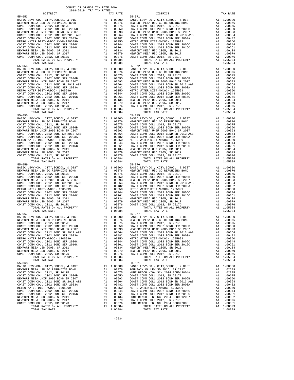| DISTRICT   | ANTR-YATA TER THY KUIFP | TAX RATE | DISTRICT                                                                                                                                                                                                                             | TAX RATE |
|------------|-------------------------|----------|--------------------------------------------------------------------------------------------------------------------------------------------------------------------------------------------------------------------------------------|----------|
| $55 - 053$ |                         |          | $55 - 071$                                                                                                                                                                                                                           |          |
|            |                         |          |                                                                                                                                                                                                                                      |          |
|            |                         |          |                                                                                                                                                                                                                                      |          |
|            |                         |          |                                                                                                                                                                                                                                      |          |
|            |                         |          |                                                                                                                                                                                                                                      |          |
|            |                         |          |                                                                                                                                                                                                                                      |          |
|            |                         |          |                                                                                                                                                                                                                                      |          |
|            |                         |          |                                                                                                                                                                                                                                      |          |
|            |                         |          |                                                                                                                                                                                                                                      |          |
|            |                         |          |                                                                                                                                                                                                                                      |          |
|            |                         |          |                                                                                                                                                                                                                                      |          |
|            |                         |          |                                                                                                                                                                                                                                      |          |
|            |                         |          |                                                                                                                                                                                                                                      |          |
|            |                         |          |                                                                                                                                                                                                                                      |          |
|            |                         |          |                                                                                                                                                                                                                                      |          |
|            |                         |          |                                                                                                                                                                                                                                      |          |
|            |                         |          |                                                                                                                                                                                                                                      |          |
|            |                         |          |                                                                                                                                                                                                                                      |          |
|            |                         |          |                                                                                                                                                                                                                                      |          |
|            |                         |          |                                                                                                                                                                                                                                      |          |
|            |                         |          |                                                                                                                                                                                                                                      |          |
|            |                         |          |                                                                                                                                                                                                                                      |          |
|            |                         |          |                                                                                                                                                                                                                                      |          |
|            |                         |          |                                                                                                                                                                                                                                      |          |
|            |                         |          |                                                                                                                                                                                                                                      |          |
|            |                         |          |                                                                                                                                                                                                                                      |          |
|            |                         |          |                                                                                                                                                                                                                                      |          |
|            |                         |          |                                                                                                                                                                                                                                      |          |
|            |                         |          |                                                                                                                                                                                                                                      |          |
|            |                         |          |                                                                                                                                                                                                                                      |          |
|            |                         |          |                                                                                                                                                                                                                                      |          |
|            |                         |          |                                                                                                                                                                                                                                      |          |
|            |                         |          |                                                                                                                                                                                                                                      |          |
|            |                         |          |                                                                                                                                                                                                                                      |          |
|            |                         |          |                                                                                                                                                                                                                                      |          |
|            |                         |          |                                                                                                                                                                                                                                      |          |
|            |                         |          |                                                                                                                                                                                                                                      |          |
|            |                         |          |                                                                                                                                                                                                                                      |          |
|            |                         |          |                                                                                                                                                                                                                                      |          |
|            |                         |          |                                                                                                                                                                                                                                      |          |
|            |                         |          |                                                                                                                                                                                                                                      |          |
|            |                         |          |                                                                                                                                                                                                                                      |          |
|            |                         |          |                                                                                                                                                                                                                                      |          |
|            |                         |          |                                                                                                                                                                                                                                      |          |
|            |                         |          |                                                                                                                                                                                                                                      |          |
|            |                         |          |                                                                                                                                                                                                                                      |          |
|            |                         |          |                                                                                                                                                                                                                                      |          |
|            |                         |          |                                                                                                                                                                                                                                      |          |
|            |                         |          |                                                                                                                                                                                                                                      |          |
|            |                         |          |                                                                                                                                                                                                                                      |          |
|            |                         |          |                                                                                                                                                                                                                                      |          |
|            |                         |          |                                                                                                                                                                                                                                      |          |
|            |                         |          |                                                                                                                                                                                                                                      |          |
|            |                         |          |                                                                                                                                                                                                                                      |          |
|            |                         |          |                                                                                                                                                                                                                                      |          |
|            |                         |          |                                                                                                                                                                                                                                      |          |
|            |                         |          |                                                                                                                                                                                                                                      |          |
|            |                         |          |                                                                                                                                                                                                                                      |          |
| $55 - 067$ |                         |          | $55 - 077$                                                                                                                                                                                                                           |          |
|            |                         |          | BASIC LEVY-CO., CITY, SCHOOL, & DIST<br>NEWPORT MESA USD GO REFUNDING BOND<br>NEWPORT MESA USD GO REFUNDING BOND A1 .00076 NEWPORT MESA USD GO REFUNDING BOND A1 .00076<br>COAST COMM COLL 2012, SR. 2017E A1 .00675 COAST COMM COLL |          |
|            |                         |          |                                                                                                                                                                                                                                      |          |
|            |                         |          |                                                                                                                                                                                                                                      |          |
|            |                         |          |                                                                                                                                                                                                                                      |          |
|            |                         |          |                                                                                                                                                                                                                                      |          |
|            |                         |          |                                                                                                                                                                                                                                      |          |
|            |                         |          |                                                                                                                                                                                                                                      |          |
|            |                         |          |                                                                                                                                                                                                                                      |          |
|            |                         |          |                                                                                                                                                                                                                                      |          |
|            |                         |          |                                                                                                                                                                                                                                      |          |
|            |                         |          |                                                                                                                                                                                                                                      |          |
|            |                         |          |                                                                                                                                                                                                                                      |          |
|            |                         |          |                                                                                                                                                                                                                                      |          |
| $55 - 068$ |                         |          | $60 - 001$                                                                                                                                                                                                                           |          |
|            |                         |          |                                                                                                                                                                                                                                      |          |
|            |                         |          |                                                                                                                                                                                                                                      |          |
|            |                         |          |                                                                                                                                                                                                                                      |          |
|            |                         |          |                                                                                                                                                                                                                                      |          |
|            |                         |          |                                                                                                                                                                                                                                      |          |
|            |                         |          |                                                                                                                                                                                                                                      |          |
|            |                         |          |                                                                                                                                                                                                                                      |          |
|            |                         |          |                                                                                                                                                                                                                                      |          |
|            |                         |          |                                                                                                                                                                                                                                      |          |
|            |                         |          |                                                                                                                                                                                                                                      |          |
|            |                         |          |                                                                                                                                                                                                                                      |          |
|            |                         |          |                                                                                                                                                                                                                                      |          |
|            |                         |          |                                                                                                                                                                                                                                      |          |
|            |                         |          |                                                                                                                                                                                                                                      |          |
|            |                         |          |                                                                                                                                                                                                                                      |          |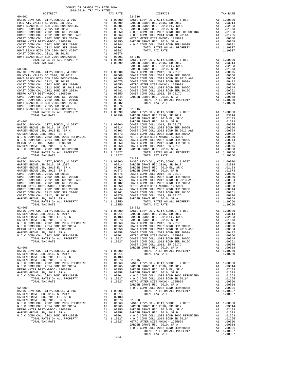| DISTRICT   | 2018-2019 TRA TAX RATES |  | TAX RATE | DISTRICT   | TAX RATE |
|------------|-------------------------|--|----------|------------|----------|
| $60 - 002$ |                         |  |          | $62 - 010$ |          |
|            |                         |  |          |            |          |
|            |                         |  |          |            |          |
|            |                         |  |          |            |          |
|            |                         |  |          |            |          |
|            |                         |  |          |            |          |
|            |                         |  |          |            |          |
|            |                         |  |          |            |          |
|            |                         |  |          |            |          |
|            |                         |  |          |            |          |
|            |                         |  |          |            |          |
|            |                         |  |          |            |          |
|            |                         |  |          |            |          |
|            |                         |  |          |            |          |
|            |                         |  |          |            |          |
|            |                         |  |          |            |          |
|            |                         |  |          |            |          |
|            |                         |  |          |            |          |
|            |                         |  |          |            |          |
|            |                         |  |          |            |          |
|            |                         |  |          |            |          |
|            |                         |  |          |            |          |
|            |                         |  |          |            |          |
|            |                         |  |          |            |          |
|            |                         |  |          |            |          |
|            |                         |  |          |            |          |
|            |                         |  |          |            |          |
|            |                         |  |          |            |          |
|            |                         |  |          |            |          |
|            |                         |  |          |            |          |
|            |                         |  |          |            |          |
|            |                         |  |          |            |          |
|            |                         |  |          |            |          |
|            |                         |  |          |            |          |
|            |                         |  |          |            |          |
|            |                         |  |          |            |          |
|            |                         |  |          |            |          |
|            |                         |  |          |            |          |
|            |                         |  |          |            |          |
|            |                         |  |          |            |          |
|            |                         |  |          |            |          |
|            |                         |  |          |            |          |
|            |                         |  |          |            |          |
|            |                         |  |          |            |          |
|            |                         |  |          |            |          |
|            |                         |  |          |            |          |
|            |                         |  |          |            |          |
|            |                         |  |          |            |          |
|            |                         |  |          |            |          |
|            |                         |  |          |            |          |
|            |                         |  |          |            |          |
|            |                         |  |          |            |          |
|            |                         |  |          |            |          |
|            |                         |  |          |            |          |
|            |                         |  |          |            |          |
|            |                         |  |          |            |          |
|            |                         |  |          |            |          |
|            |                         |  |          |            |          |
|            |                         |  |          |            |          |
|            |                         |  |          |            |          |
|            |                         |  |          |            |          |
|            |                         |  |          |            |          |
|            |                         |  |          |            |          |
|            |                         |  |          |            |          |
|            |                         |  |          |            |          |
|            |                         |  |          |            |          |
|            |                         |  |          |            |          |
|            |                         |  |          |            |          |
|            |                         |  |          |            |          |
|            |                         |  |          |            |          |
|            |                         |  |          |            |          |
|            |                         |  |          |            |          |
|            |                         |  |          |            |          |
|            |                         |  |          |            |          |
|            |                         |  |          |            |          |
|            |                         |  |          |            |          |
|            |                         |  | $-294-$  |            |          |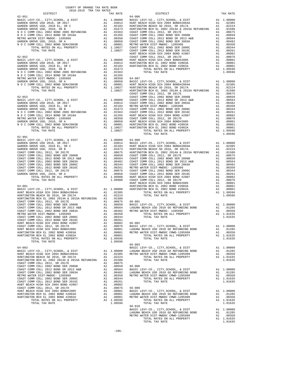| COUNTY OF ORANGE TAX RATE BOOK<br>2018-2019 TRA TAX RATES |          |                                                                                                                                                                                                                                                                                 |          |
|-----------------------------------------------------------|----------|---------------------------------------------------------------------------------------------------------------------------------------------------------------------------------------------------------------------------------------------------------------------------------|----------|
| $62 - 051$                                                | TAX RATE | <b>DISTRICT</b><br>$64 - 006$                                                                                                                                                                                                                                                   | TAX RATE |
|                                                           |          |                                                                                                                                                                                                                                                                                 |          |
|                                                           |          |                                                                                                                                                                                                                                                                                 |          |
|                                                           |          |                                                                                                                                                                                                                                                                                 |          |
|                                                           |          |                                                                                                                                                                                                                                                                                 |          |
|                                                           |          |                                                                                                                                                                                                                                                                                 |          |
|                                                           |          |                                                                                                                                                                                                                                                                                 |          |
|                                                           |          |                                                                                                                                                                                                                                                                                 |          |
|                                                           |          |                                                                                                                                                                                                                                                                                 |          |
|                                                           |          |                                                                                                                                                                                                                                                                                 |          |
|                                                           |          |                                                                                                                                                                                                                                                                                 |          |
|                                                           |          |                                                                                                                                                                                                                                                                                 |          |
|                                                           |          |                                                                                                                                                                                                                                                                                 |          |
|                                                           |          |                                                                                                                                                                                                                                                                                 |          |
|                                                           |          |                                                                                                                                                                                                                                                                                 |          |
|                                                           |          |                                                                                                                                                                                                                                                                                 |          |
|                                                           |          |                                                                                                                                                                                                                                                                                 |          |
|                                                           |          |                                                                                                                                                                                                                                                                                 |          |
|                                                           |          |                                                                                                                                                                                                                                                                                 |          |
|                                                           |          |                                                                                                                                                                                                                                                                                 |          |
|                                                           |          |                                                                                                                                                                                                                                                                                 |          |
|                                                           |          |                                                                                                                                                                                                                                                                                 |          |
|                                                           |          |                                                                                                                                                                                                                                                                                 |          |
|                                                           |          |                                                                                                                                                                                                                                                                                 |          |
|                                                           |          |                                                                                                                                                                                                                                                                                 |          |
|                                                           |          |                                                                                                                                                                                                                                                                                 |          |
|                                                           |          |                                                                                                                                                                                                                                                                                 |          |
|                                                           |          |                                                                                                                                                                                                                                                                                 |          |
|                                                           |          |                                                                                                                                                                                                                                                                                 |          |
|                                                           |          |                                                                                                                                                                                                                                                                                 |          |
|                                                           |          |                                                                                                                                                                                                                                                                                 |          |
| $62 - 901$                                                |          |                                                                                                                                                                                                                                                                                 |          |
|                                                           |          |                                                                                                                                                                                                                                                                                 |          |
|                                                           |          |                                                                                                                                                                                                                                                                                 |          |
|                                                           |          |                                                                                                                                                                                                                                                                                 |          |
|                                                           |          |                                                                                                                                                                                                                                                                                 |          |
|                                                           |          |                                                                                                                                                                                                                                                                                 |          |
|                                                           |          |                                                                                                                                                                                                                                                                                 |          |
|                                                           |          |                                                                                                                                                                                                                                                                                 |          |
|                                                           |          |                                                                                                                                                                                                                                                                                 |          |
|                                                           |          |                                                                                                                                                                                                                                                                                 |          |
|                                                           |          |                                                                                                                                                                                                                                                                                 |          |
|                                                           |          |                                                                                                                                                                                                                                                                                 |          |
|                                                           |          |                                                                                                                                                                                                                                                                                 |          |
|                                                           |          |                                                                                                                                                                                                                                                                                 |          |
|                                                           |          |                                                                                                                                                                                                                                                                                 |          |
|                                                           |          | $\begin{tabular}{l c c c c c c c} \hline HUNITION BACH & D & 2010 & SE1 & 1.09596 & 1.09596 & 1.09596 & 1.09596 & 1.09596 & 1.09596 & 1.09596 & 1.09596 & 1.09596 & 1.00000 & 1.00000 & 1.00000 & 1.00000 & 1.00000 & 1.00000 & 1.00000 & 1.00000 & 1.00000 & 1.00000 & 1.0000$ |          |
|                                                           |          |                                                                                                                                                                                                                                                                                 |          |
|                                                           |          |                                                                                                                                                                                                                                                                                 |          |
|                                                           |          |                                                                                                                                                                                                                                                                                 |          |
|                                                           |          |                                                                                                                                                                                                                                                                                 |          |
|                                                           |          |                                                                                                                                                                                                                                                                                 |          |
|                                                           |          |                                                                                                                                                                                                                                                                                 |          |
|                                                           |          |                                                                                                                                                                                                                                                                                 |          |
|                                                           |          |                                                                                                                                                                                                                                                                                 |          |
|                                                           |          |                                                                                                                                                                                                                                                                                 |          |
|                                                           |          |                                                                                                                                                                                                                                                                                 |          |
|                                                           |          |                                                                                                                                                                                                                                                                                 |          |
|                                                           |          | $66 - 003$                                                                                                                                                                                                                                                                      |          |
|                                                           |          |                                                                                                                                                                                                                                                                                 |          |
|                                                           |          |                                                                                                                                                                                                                                                                                 |          |
|                                                           |          |                                                                                                                                                                                                                                                                                 |          |
|                                                           |          |                                                                                                                                                                                                                                                                                 |          |
|                                                           |          |                                                                                                                                                                                                                                                                                 |          |
|                                                           |          |                                                                                                                                                                                                                                                                                 |          |
|                                                           |          |                                                                                                                                                                                                                                                                                 |          |
|                                                           |          |                                                                                                                                                                                                                                                                                 |          |
|                                                           |          |                                                                                                                                                                                                                                                                                 |          |
|                                                           |          |                                                                                                                                                                                                                                                                                 |          |
|                                                           |          |                                                                                                                                                                                                                                                                                 |          |
|                                                           |          |                                                                                                                                                                                                                                                                                 |          |
|                                                           |          |                                                                                                                                                                                                                                                                                 |          |
|                                                           |          |                                                                                                                                                                                                                                                                                 |          |
|                                                           |          |                                                                                                                                                                                                                                                                                 |          |
|                                                           |          | $66 - 010$                                                                                                                                                                                                                                                                      |          |
|                                                           |          |                                                                                                                                                                                                                                                                                 |          |
|                                                           |          |                                                                                                                                                                                                                                                                                 |          |
|                                                           |          |                                                                                                                                                                                                                                                                                 |          |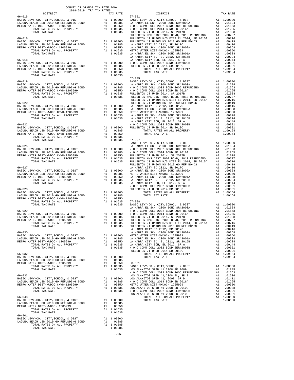| $2018-2019 \begin{array}{l} 2018-2019 \\ \text{TRA TAX RATES} \\ \text{TAY} \end{array}$ |         | TAX ARTE DISTRICT                                                                                                                                                                                                                                                                                                                                                                                 | TAX RATE |
|------------------------------------------------------------------------------------------|---------|---------------------------------------------------------------------------------------------------------------------------------------------------------------------------------------------------------------------------------------------------------------------------------------------------------------------------------------------------------------------------------------------------|----------|
|                                                                                          |         | $67 - 001$                                                                                                                                                                                                                                                                                                                                                                                        |          |
|                                                                                          |         |                                                                                                                                                                                                                                                                                                                                                                                                   |          |
|                                                                                          |         |                                                                                                                                                                                                                                                                                                                                                                                                   |          |
|                                                                                          |         |                                                                                                                                                                                                                                                                                                                                                                                                   |          |
|                                                                                          |         |                                                                                                                                                                                                                                                                                                                                                                                                   |          |
|                                                                                          |         |                                                                                                                                                                                                                                                                                                                                                                                                   |          |
|                                                                                          |         |                                                                                                                                                                                                                                                                                                                                                                                                   |          |
|                                                                                          |         |                                                                                                                                                                                                                                                                                                                                                                                                   |          |
|                                                                                          |         |                                                                                                                                                                                                                                                                                                                                                                                                   |          |
|                                                                                          |         |                                                                                                                                                                                                                                                                                                                                                                                                   |          |
|                                                                                          |         |                                                                                                                                                                                                                                                                                                                                                                                                   |          |
|                                                                                          |         |                                                                                                                                                                                                                                                                                                                                                                                                   |          |
|                                                                                          |         |                                                                                                                                                                                                                                                                                                                                                                                                   |          |
|                                                                                          |         |                                                                                                                                                                                                                                                                                                                                                                                                   |          |
|                                                                                          |         |                                                                                                                                                                                                                                                                                                                                                                                                   |          |
|                                                                                          |         |                                                                                                                                                                                                                                                                                                                                                                                                   |          |
|                                                                                          |         |                                                                                                                                                                                                                                                                                                                                                                                                   |          |
|                                                                                          |         |                                                                                                                                                                                                                                                                                                                                                                                                   |          |
|                                                                                          |         |                                                                                                                                                                                                                                                                                                                                                                                                   |          |
|                                                                                          |         |                                                                                                                                                                                                                                                                                                                                                                                                   |          |
|                                                                                          |         |                                                                                                                                                                                                                                                                                                                                                                                                   |          |
|                                                                                          |         |                                                                                                                                                                                                                                                                                                                                                                                                   |          |
|                                                                                          |         |                                                                                                                                                                                                                                                                                                                                                                                                   |          |
|                                                                                          |         |                                                                                                                                                                                                                                                                                                                                                                                                   |          |
|                                                                                          |         |                                                                                                                                                                                                                                                                                                                                                                                                   |          |
|                                                                                          |         |                                                                                                                                                                                                                                                                                                                                                                                                   |          |
|                                                                                          |         |                                                                                                                                                                                                                                                                                                                                                                                                   |          |
|                                                                                          |         |                                                                                                                                                                                                                                                                                                                                                                                                   |          |
|                                                                                          |         |                                                                                                                                                                                                                                                                                                                                                                                                   |          |
|                                                                                          |         |                                                                                                                                                                                                                                                                                                                                                                                                   |          |
|                                                                                          |         |                                                                                                                                                                                                                                                                                                                                                                                                   |          |
|                                                                                          |         |                                                                                                                                                                                                                                                                                                                                                                                                   |          |
|                                                                                          |         |                                                                                                                                                                                                                                                                                                                                                                                                   |          |
|                                                                                          |         |                                                                                                                                                                                                                                                                                                                                                                                                   |          |
|                                                                                          |         |                                                                                                                                                                                                                                                                                                                                                                                                   |          |
|                                                                                          |         |                                                                                                                                                                                                                                                                                                                                                                                                   |          |
|                                                                                          |         |                                                                                                                                                                                                                                                                                                                                                                                                   |          |
|                                                                                          |         |                                                                                                                                                                                                                                                                                                                                                                                                   |          |
|                                                                                          |         |                                                                                                                                                                                                                                                                                                                                                                                                   |          |
|                                                                                          |         |                                                                                                                                                                                                                                                                                                                                                                                                   |          |
|                                                                                          |         |                                                                                                                                                                                                                                                                                                                                                                                                   |          |
|                                                                                          |         |                                                                                                                                                                                                                                                                                                                                                                                                   |          |
|                                                                                          |         |                                                                                                                                                                                                                                                                                                                                                                                                   |          |
|                                                                                          |         |                                                                                                                                                                                                                                                                                                                                                                                                   |          |
|                                                                                          |         |                                                                                                                                                                                                                                                                                                                                                                                                   |          |
|                                                                                          |         |                                                                                                                                                                                                                                                                                                                                                                                                   |          |
|                                                                                          |         |                                                                                                                                                                                                                                                                                                                                                                                                   |          |
|                                                                                          |         |                                                                                                                                                                                                                                                                                                                                                                                                   |          |
|                                                                                          |         |                                                                                                                                                                                                                                                                                                                                                                                                   |          |
|                                                                                          |         |                                                                                                                                                                                                                                                                                                                                                                                                   |          |
|                                                                                          |         |                                                                                                                                                                                                                                                                                                                                                                                                   |          |
|                                                                                          |         |                                                                                                                                                                                                                                                                                                                                                                                                   |          |
|                                                                                          |         |                                                                                                                                                                                                                                                                                                                                                                                                   |          |
|                                                                                          |         |                                                                                                                                                                                                                                                                                                                                                                                                   |          |
|                                                                                          |         |                                                                                                                                                                                                                                                                                                                                                                                                   |          |
|                                                                                          |         |                                                                                                                                                                                                                                                                                                                                                                                                   |          |
|                                                                                          |         |                                                                                                                                                                                                                                                                                                                                                                                                   |          |
|                                                                                          |         |                                                                                                                                                                                                                                                                                                                                                                                                   |          |
|                                                                                          |         |                                                                                                                                                                                                                                                                                                                                                                                                   |          |
|                                                                                          |         |                                                                                                                                                                                                                                                                                                                                                                                                   |          |
|                                                                                          |         | $\begin{tabular}{c c c c c} \hline \texttt{1.0153} & \texttt{A1.00450} & \texttt{FULERTON H/S DIST 2002 BOND, 2010 REFUNDING} & \texttt{A1.00737} \\ \hline \texttt{TOTAL RATES ON IL PROBERTY} & \texttt{A1.01635} & \texttt{FULLERTON IT UNION H/S DIST 2012 BOND, 2017C} & \texttt{A1.00415} \\ \hline \texttt{1.01635} & \texttt{FULLERTON IT UNION H/S DIST 2012 BOND, 2017C} & \texttt{A1.$ |          |
|                                                                                          |         |                                                                                                                                                                                                                                                                                                                                                                                                   |          |
|                                                                                          |         |                                                                                                                                                                                                                                                                                                                                                                                                   |          |
|                                                                                          |         |                                                                                                                                                                                                                                                                                                                                                                                                   |          |
|                                                                                          |         |                                                                                                                                                                                                                                                                                                                                                                                                   |          |
|                                                                                          |         |                                                                                                                                                                                                                                                                                                                                                                                                   |          |
|                                                                                          |         |                                                                                                                                                                                                                                                                                                                                                                                                   |          |
|                                                                                          |         |                                                                                                                                                                                                                                                                                                                                                                                                   |          |
|                                                                                          |         |                                                                                                                                                                                                                                                                                                                                                                                                   |          |
|                                                                                          |         |                                                                                                                                                                                                                                                                                                                                                                                                   |          |
|                                                                                          |         |                                                                                                                                                                                                                                                                                                                                                                                                   |          |
|                                                                                          |         |                                                                                                                                                                                                                                                                                                                                                                                                   |          |
|                                                                                          |         |                                                                                                                                                                                                                                                                                                                                                                                                   |          |
|                                                                                          |         |                                                                                                                                                                                                                                                                                                                                                                                                   |          |
| TOTAL TAX RATE                                                                           | 1.01635 |                                                                                                                                                                                                                                                                                                                                                                                                   |          |
| 66-901                                                                                   |         |                                                                                                                                                                                                                                                                                                                                                                                                   |          |
| BASIC LEVY-CO., CITY, SCHOOL, & DIST A1 1.00000                                          |         |                                                                                                                                                                                                                                                                                                                                                                                                   |          |

BASIC LEVY-CO., CITY, SCHOOL, & DIST A1 1.00000<br>
LAGUNA BEACH USD 2010 GO REFUNDING BOND A1 .01285<br>
TOTAL RATES ON ALL PROPERTY A1 1.01285<br>
TOTAL TAX RATE

-296-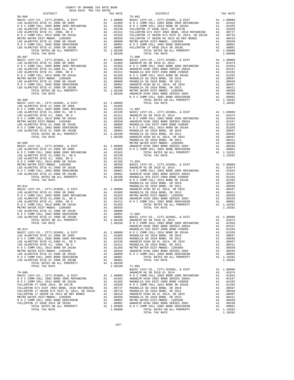| COUNTY OF ORANGE TAX RATE BOOK<br>2018-2019 TRA TAX RATES |          |                                                                                                                                                                                                                                                                                                                                                                                                                                                                                                                                       |          |
|-----------------------------------------------------------|----------|---------------------------------------------------------------------------------------------------------------------------------------------------------------------------------------------------------------------------------------------------------------------------------------------------------------------------------------------------------------------------------------------------------------------------------------------------------------------------------------------------------------------------------------|----------|
| DISTRICT                                                  | TAX RATE | $70 - 002$<br>DISTRICT                                                                                                                                                                                                                                                                                                                                                                                                                                                                                                                | TAX RATE |
| $68 - 006$                                                |          |                                                                                                                                                                                                                                                                                                                                                                                                                                                                                                                                       |          |
|                                                           |          |                                                                                                                                                                                                                                                                                                                                                                                                                                                                                                                                       |          |
|                                                           |          |                                                                                                                                                                                                                                                                                                                                                                                                                                                                                                                                       |          |
|                                                           |          |                                                                                                                                                                                                                                                                                                                                                                                                                                                                                                                                       |          |
|                                                           |          |                                                                                                                                                                                                                                                                                                                                                                                                                                                                                                                                       |          |
|                                                           |          |                                                                                                                                                                                                                                                                                                                                                                                                                                                                                                                                       |          |
|                                                           |          |                                                                                                                                                                                                                                                                                                                                                                                                                                                                                                                                       |          |
|                                                           |          |                                                                                                                                                                                                                                                                                                                                                                                                                                                                                                                                       |          |
|                                                           |          | $\begin{array}{cccccccccccc} \multicolumn{4}{c}{\bullet} & \multicolumn{4}{c}{\bullet} & \multicolumn{4}{c}{\bullet} & \multicolumn{4}{c}{\bullet} & \multicolumn{4}{c}{\bullet} & \multicolumn{4}{c}{\bullet} & \multicolumn{4}{c}{\bullet} & \multicolumn{4}{c}{\bullet} & \multicolumn{4}{c}{\bullet} & \multicolumn{4}{c}{\bullet} & \multicolumn{4}{c}{\bullet} & \multicolumn{4}{c}{\bullet} & \multicolumn{4}{c}{\bullet} & \multicolumn{4}{c}{\bullet} & \multicolumn{4}{c}{\bullet} & \multicolumn{4}{c}{\bullet} & \multic$ |          |
|                                                           |          |                                                                                                                                                                                                                                                                                                                                                                                                                                                                                                                                       |          |
|                                                           |          |                                                                                                                                                                                                                                                                                                                                                                                                                                                                                                                                       |          |

| ~ ∼<br>. . |  |  |
|------------|--|--|
|            |  |  |
|            |  |  |

-297-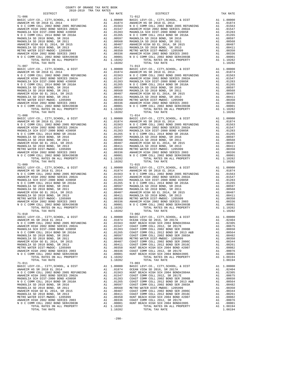$\begin{tabular}{cccccccc} \multicolumn{1}{c}{\begin{tabular}{c} \multicolumn{1}{c}{\begin{tabular}{c} \multicolumn{1}{c}{\begin{tabular}{c} \multicolumn{1}{c}{\begin{tabular}{c} \multicolumn{1}{c}{\begin{tabular}{c} \multicolumn{1}{c}{\begin{tabular}{c} \multicolumn{1}{c}{\begin{tabular}{c} \multicolumn{1}{c}{\begin{tabular}{c} \multicolumn{1}{c}{\begin{tabular}{c} \multicolumn{1}{c}{\begin{tabular}{c} \multicolumn{1}{c}{\begin{tabular}{c} \multicolumn{1}{c}{\begin{tabular}{c} \multicolumn{1}{$  N O C COMM COLL 2002 BOND 2005 REFUNDING A1 .01563 N O C COMM COLL 2002 BOND 2005 REFUNDING A1 .01563 ANAHEIM HIGH 2002 BOND SERIES 2002A A1 .01547 ANAHEIM HIGH 2002 BOND SERIES 2002A A1 .01547 MAGNOLIA SCH DIST-2000 BOND #2005R A1 .01283 MAGNOLIA SCH DIST-2000 BOND #2005R A1 .01283 N O C COMM COLL 2014 BOND SR 2016A A1 .01265 N O C COMM COLL 2014 BOND SR 2016A A1 .01265 MAGNOLIA SD 2010 BOND, SR 2016 A1 .00597 MAGNOLIA SD 2010 BOND, SR 2016 A1 .00597 MAGNOLIA SD 2010 BOND, SR 2011 A1 .00568 MAGNOLIA SD 2010 BOND, SR 2011 A1 .00568 ANAHEIM HIGH GO EL 2014, SR 2015 A1 .00487 ANAHEIM HIGH GO EL 2014, SR 2015 A1 .00487 MAGNOLIA SD 2010 BOND, SR 2013 A1 .00411 MAGNOLIA SD 2010 BOND, SR 2013 A1 .00411 METRO WATER DIST-MWDOC- 1205999 A1 .00350 METRO WATER DIST-MWDOC- 1205999 A1 .00350 ANAHEIM HIGH 2002 BOND SERIES 2003 A1 .00336 ANAHEIM HIGH 2002 BOND SERIES 2003 A1 .00336 N O C COMM COLL 2002 BOND SER#2003B A1 .00001 N O C COMM COLL 2002 BOND SER#2003B A1 .00001 TOTAL RATES ON ALL PROPERTY A1 1.10282 TOTAL RATES ON ALL PROPERTY A1 1.10282 TOTAL TAX RATE 1.10282 TOTAL TAX RATE 1.10282 71-008 71-014 BASIC LEVY-CO., CITY,SCHOOL, & DIST A1 1.00000 BASIC LEVY-CO., CITY,SCHOOL, & DIST A1 1.00000 ANAHEIM HS SR 2018 EL 2014 A1 .01874 ANAHEIM HS SR 2018 EL 2014 A1 .01874 N O C COMM COLL 2002 BOND 2005 REFUNDING A1 .01563 N O C COMM COLL 2002 BOND 2005 REFUNDING A1 .01563 ANAHEIM HIGH 2002 BOND SERIES 2002A A1 .01547 ANAHEIM HIGH 2002 BOND SERIES 2002A A1 .01547 MAGNOLIA SCH DIST-2000 BOND #2005R A1 .01283 MAGNOLIA SCH DIST-2000 BOND #2005R A1 .01283 N O C COMM COLL 2014 BOND SR 2016A A1 .01265 N O C COMM COLL 2014 BOND SR 2016A A1 .01265 MAGNOLIA SD 2010 BOND, SR 2016 A1 .00597 MAGNOLIA SD 2010 BOND, SR 2016 A1 .00597 MAGNOLIA SD 2010 BOND, SR 2011 A1 .00568 MAGNOLIA SD 2010 BOND, SR 2011 A1 .00568 ANAHEIM HIGH GO EL 2014, SR 2015 A1 .00487 ANAHEIM HIGH GO EL 2014, SR 2015 A1 .00487 00411 MAGNOLIA SD 2010 BOND, SR 2013 (00411 MAGNOLIA SD 2010 BOND, SR 2013<br>METRO WATER DIST-MWDOC-1205509 (00350 METRO WATER DIST-MUDOC-1205999 ANTER DISTO MATER DISTO MATER DISTO 12050<br>ANAHEIM HIGH 2002 BOND SERIES 2003 0 C COMM COLL 2002 BOND SER#2003B A1 .00001 N O C COMM COLL 2003 BOND SER#2003B A1 .00001<br>TOTAL RATES ON ALL PROPERTY A1 1.10282 TOTAL RATES ON ALL PROPERTY A1 1.10282 TOTAL TAX RATE 1.10282 TOTAL TAX RATE 1.10282 TOTAL TAX RATE 1.10282 71-015<br>BASIC LEVY-CO., CITY, SCHOOL, & DIST A1 1.00000 BASIC LEVY-CO., CITY, SCHOOL, & DIST A1 1.00000<br>ANAHEIM HS SR 2018 EL 2014 A1 .01874 ANAHEIM HS SR 2018 EL 2014 A1 .01874<br>NOC COMM COLL 2002 BOND 2005 REFUNDING A1 .01 ANAHEIM HIGH 2002 BOND SERIES 2002A A1 .01547 ANAHEIM HIGH 2002 BOND SERIES 2002A A1 .01547 MAGNOLIA SCH DIST-2000 BOND #2005R A1 .01283 MAGNOLIA SCH DIST-2000 BOND #2005R A1 .01283  $\begin{tabular}{l|c|c|c|c|c|c|c} \multicolumn{4}{c}{\textbf{N} & $\mathcal{O}$ $\subset$ \textbf{COMM} $\subset$ \textbf{COL} $&$ 01265$ \\ \multicolumn{4}{c}{\textbf{MAGNOLIA} $\to$ $2016$\,\textbf{M} $&$ 01265$ \\ \multicolumn{4}{c}{\textbf{MAGNOLIA} $\to$ $2010 $&$ 0010 $&$ 0010 $&$ 0010 $&$ 0010 $&$ 0010 $&$ 0010 $&$ 0010 $&$ 0010 $&$ 0100 $&$ 0 C COMM COLL 2002 BOND SER#2003B A1 .00001 N O C COMM COLL 2003 BOND SER#2003B A1 .00001<br>TOTAL RATES ON ALL PROPERTY A1 1.10282 TOTAL RATES ON ALL PROPERTY A1 1.10282 TOTAL TAX RATE 1.10282 TOTAL TAX RATE 1.10282 71-010 73-002 BASIC LEVY-CO., CITY,SCHOOL, & DIST A1 1.00000 BASIC LEVY-CO., CITY,SCHOOL, & DIST A1 1.00000 ANAHEIM HS SR 2018 EL 2014 A1 .01874 OCEAN VIEW SD 2016, SR 2017A A1 .02404 N O C COMM COLL 2002 BOND 2005 REFUNDING A1 .01563 HUNT BEACH HIGH SCH 2004 BOND#2004A A1 .02305 ANAHEIM HIGH 2002 BOND SERIES 2002A A1 .01547 COAST COMM COLL 2012, SR 2017E A1 .00675 MAGNOLIA SCH DIST-2000 BOND #2005R A1 .01283 COAST COMM COLL 2002 BOND SER 2006B A1 .00650 N O C COMM COLL 2014 BOND SR 2016A A1 .01265 COAST COMM COLL 2012 BOND SR 2013 A&B A1 .00564 MAGNOLIA SD 2010 BOND, SR 2016 A1 .00597 COAST COMM COLL 2002 BOND SER 2003A A1 .00482 MAGNOLIA SD 2010 BOND, SR 2011 A1 .00568 METRO WATER DIST-MWDOC- 1205999 A1 .00350 ANAHEIM HIGH GO EL 2014, SR 2015 A1 .00487 COAST COMM COLL 2002 BOND SER 2006C A1 .00344 MAGNOLIA SD 2010 BOND, SR 2013 A1 .00411 COAST COMM COLL 2012 BOND SER 2016C A1 .00261 MAGNOLLA SD 2010 BOND, SR 2011<br>
MAGNOLLA SD 2010 BOND, SR 2015<br>
MAGNOLLA SD 2010 BOND, SR 2013<br>
MAGNOLLA SD 2010 BOND, SR 2013<br>
MAGNOLLA SD 2010 BOND #2007 HUNT BEACH HIGH SCH 2012 BOND BER 2016C<br>
A1 .00411 COAST COMM COLL ANAHEIM HIGH 2002 BOND SERIES 2003 A1 .00336 COAST COMM COLL 2012, SR 2017D A1 .00076 N O C COMM COLL 2002 BOND SER#2003B A1 .00001 HUNT BEACH HIGH SCH 2004 BOND#2005 A1 .00001 TOTAL RATES ON ALL PROPERTY A1 1.10282 TOTAL RATES ON ALL PROPERTY A1 1.08194<br>TOTAL RATES ON ALL PROPERTY A1 1.10282 TOTAL TAX RATE TOTAL TAX RATE 1.10282 TOTAL TAX RATE 1.08194 71–011<br>BASIC LEVY-CO., CITY, SCHOOL, & DIST A1 1.00000 BASIC LEVY-CO., CITY, SCHOOL, & DIST A1 1.00000<br>ANAHEIM HS SR 2018 EL 2014 A1 .01874 OCEAN VIEW SD 2016, SR 2017A A1 .02404<br>NOC COMM COLL 2002 BOND 2005 REFUNDING A1 ANAHEIM HIGH 2002 BOND SERIES 2002A A1 .01547 COAST COMM COLL 2012, SR 2017E A1 .00675 MAGNOLIA SCH DIST-2000 BOND #2005R A1 .01283 COAST COMM COLL 2002 BOND SER 2006B A1 .00650 N O C COMM COLL 2014 BOND SR 2016A A1 .01265 COAST COMM COLL 2012 BOND SR 2013 A&B A1 .00564 MAGNOLIA SD 2010 BOND, SR 2016 A1 .00597 COAST COMM COLL 2002 BOND SER 2003A A1 .00482 MAGNOLIA SD 2010 BOND, SR 2016<br>
MAGNOLIA SD 2010 BOND, SR 2016<br>
MAGNOLIA SD 2010 BOND, SR 2011<br>
MAGNOLIA SD 2010 BOND, SR 2011<br>
MAGNOLIA SD 2010 BOND, SR 2011<br>
MAGNOLIA SD 2010 BOND, SR 2011<br>
MAGNOLIA SD 2010 BOND, SR 2011 100344 ANAHEIM HIGH GO EL 2014, SR 2015<br>MAGNOLIA SD 2010 DOND, SR 2013 All 00411 COAST COMM COLL 2012 BOND SER 2016C<br>METRO WATER DIST-MWDOC-1205999 All 00350 HUNT BEACH HIGH SCH 2004 BOND #2007 Al 00261 ANAHEIM HIGH 2002 BOND SERIES 2003 A1 .00336 COAST COMM COLL 2012, SR 2017D A1 .00076 N O C COMM COLL 2002 BOND SER#2003B A1 .00001 HUNT BEACH HIGH SCH 2004 BOND#2005 A1 .00001 TOTAL RATES ON ALL PROPERTY A1 1.10282 TOTAL RATES ON ALL PROPERTY A1 1.08194 TOTAL TAX RATE 1.10282 TOTAL TAX RATE 1.08194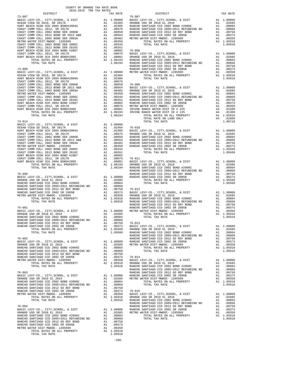| 2010 2019 This This Knipp<br>DISTRICT<br>$\begin{tabular}{cccccccc} $73-000$ & $107$ & $107$ & $107$ & $107$ & $107$ & $107$ & $107$ & $107$ & $107$ & $107$ & $107$ & $107$ & $107$ & $107$ & $107$ & $107$ & $107$ & $107$ & $107$ & $107$ & $107$ & $107$ & $107$ & $107$ & $107$ & $107$ & $107$ & $107$ & $107$ & $107$ & $107$ & $107$ & $107$ & $107$ | TAX RATE | DISTRICT   | TAX RATE |
|--------------------------------------------------------------------------------------------------------------------------------------------------------------------------------------------------------------------------------------------------------------------------------------------------------------------------------------------------------------|----------|------------|----------|
| $73 - 007$                                                                                                                                                                                                                                                                                                                                                   |          | $76 - 007$ |          |
|                                                                                                                                                                                                                                                                                                                                                              |          |            |          |
|                                                                                                                                                                                                                                                                                                                                                              |          |            |          |
|                                                                                                                                                                                                                                                                                                                                                              |          |            |          |
|                                                                                                                                                                                                                                                                                                                                                              |          |            |          |
|                                                                                                                                                                                                                                                                                                                                                              |          |            |          |
|                                                                                                                                                                                                                                                                                                                                                              |          |            |          |
|                                                                                                                                                                                                                                                                                                                                                              |          |            |          |
|                                                                                                                                                                                                                                                                                                                                                              |          |            |          |
|                                                                                                                                                                                                                                                                                                                                                              |          |            |          |
|                                                                                                                                                                                                                                                                                                                                                              |          |            |          |
|                                                                                                                                                                                                                                                                                                                                                              |          |            |          |
|                                                                                                                                                                                                                                                                                                                                                              |          |            |          |
|                                                                                                                                                                                                                                                                                                                                                              |          |            |          |
|                                                                                                                                                                                                                                                                                                                                                              |          |            |          |
|                                                                                                                                                                                                                                                                                                                                                              |          |            |          |
|                                                                                                                                                                                                                                                                                                                                                              |          |            |          |
|                                                                                                                                                                                                                                                                                                                                                              |          |            |          |
|                                                                                                                                                                                                                                                                                                                                                              |          |            |          |
|                                                                                                                                                                                                                                                                                                                                                              |          |            |          |
|                                                                                                                                                                                                                                                                                                                                                              |          |            |          |
|                                                                                                                                                                                                                                                                                                                                                              |          |            |          |
|                                                                                                                                                                                                                                                                                                                                                              |          |            |          |
|                                                                                                                                                                                                                                                                                                                                                              |          |            |          |
|                                                                                                                                                                                                                                                                                                                                                              |          |            |          |
|                                                                                                                                                                                                                                                                                                                                                              |          |            |          |
|                                                                                                                                                                                                                                                                                                                                                              |          |            |          |
|                                                                                                                                                                                                                                                                                                                                                              |          |            |          |
|                                                                                                                                                                                                                                                                                                                                                              |          |            |          |
|                                                                                                                                                                                                                                                                                                                                                              |          |            |          |
|                                                                                                                                                                                                                                                                                                                                                              |          |            |          |
|                                                                                                                                                                                                                                                                                                                                                              |          |            |          |
|                                                                                                                                                                                                                                                                                                                                                              |          |            |          |
|                                                                                                                                                                                                                                                                                                                                                              |          |            |          |
|                                                                                                                                                                                                                                                                                                                                                              |          |            |          |
|                                                                                                                                                                                                                                                                                                                                                              |          |            |          |
|                                                                                                                                                                                                                                                                                                                                                              |          |            |          |
|                                                                                                                                                                                                                                                                                                                                                              |          |            |          |
|                                                                                                                                                                                                                                                                                                                                                              |          |            |          |
|                                                                                                                                                                                                                                                                                                                                                              |          |            |          |
|                                                                                                                                                                                                                                                                                                                                                              |          |            |          |
|                                                                                                                                                                                                                                                                                                                                                              |          |            |          |
|                                                                                                                                                                                                                                                                                                                                                              |          |            |          |
|                                                                                                                                                                                                                                                                                                                                                              |          |            |          |
|                                                                                                                                                                                                                                                                                                                                                              |          |            |          |
|                                                                                                                                                                                                                                                                                                                                                              |          |            |          |
|                                                                                                                                                                                                                                                                                                                                                              |          |            |          |
|                                                                                                                                                                                                                                                                                                                                                              |          |            |          |
|                                                                                                                                                                                                                                                                                                                                                              |          |            |          |
|                                                                                                                                                                                                                                                                                                                                                              |          |            |          |
|                                                                                                                                                                                                                                                                                                                                                              |          |            |          |
|                                                                                                                                                                                                                                                                                                                                                              |          |            |          |
|                                                                                                                                                                                                                                                                                                                                                              |          |            |          |
|                                                                                                                                                                                                                                                                                                                                                              |          |            |          |
|                                                                                                                                                                                                                                                                                                                                                              |          |            |          |
|                                                                                                                                                                                                                                                                                                                                                              |          |            |          |
|                                                                                                                                                                                                                                                                                                                                                              |          |            |          |
|                                                                                                                                                                                                                                                                                                                                                              |          |            |          |
|                                                                                                                                                                                                                                                                                                                                                              |          |            |          |
|                                                                                                                                                                                                                                                                                                                                                              |          |            |          |
|                                                                                                                                                                                                                                                                                                                                                              |          |            |          |
|                                                                                                                                                                                                                                                                                                                                                              |          |            |          |
|                                                                                                                                                                                                                                                                                                                                                              |          |            |          |
|                                                                                                                                                                                                                                                                                                                                                              |          |            |          |
|                                                                                                                                                                                                                                                                                                                                                              |          |            |          |
|                                                                                                                                                                                                                                                                                                                                                              |          |            |          |
|                                                                                                                                                                                                                                                                                                                                                              |          |            |          |
|                                                                                                                                                                                                                                                                                                                                                              |          |            |          |
|                                                                                                                                                                                                                                                                                                                                                              |          |            |          |
|                                                                                                                                                                                                                                                                                                                                                              |          |            |          |
|                                                                                                                                                                                                                                                                                                                                                              |          |            |          |
|                                                                                                                                                                                                                                                                                                                                                              |          |            |          |
|                                                                                                                                                                                                                                                                                                                                                              |          |            |          |
|                                                                                                                                                                                                                                                                                                                                                              |          |            |          |
|                                                                                                                                                                                                                                                                                                                                                              |          |            |          |
|                                                                                                                                                                                                                                                                                                                                                              |          |            |          |
|                                                                                                                                                                                                                                                                                                                                                              |          |            |          |
|                                                                                                                                                                                                                                                                                                                                                              |          |            |          |
|                                                                                                                                                                                                                                                                                                                                                              |          |            |          |
|                                                                                                                                                                                                                                                                                                                                                              |          |            |          |
|                                                                                                                                                                                                                                                                                                                                                              |          |            |          |
|                                                                                                                                                                                                                                                                                                                                                              |          |            |          |
|                                                                                                                                                                                                                                                                                                                                                              |          |            |          |

-299-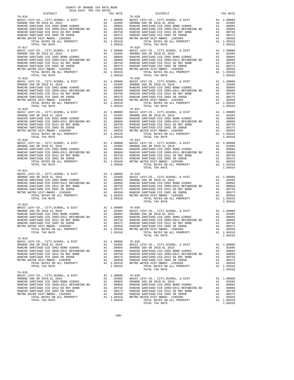| COUNTY OF ORANGE TAX RATE BOOK                                                                                                                                                                                                                                                                                                                                                                                                                               |          |                        |          |
|--------------------------------------------------------------------------------------------------------------------------------------------------------------------------------------------------------------------------------------------------------------------------------------------------------------------------------------------------------------------------------------------------------------------------------------------------------------|----------|------------------------|----------|
| $76 - 016$                                                                                                                                                                                                                                                                                                                                                                                                                                                   | TAX RATE | DISTRICT<br>$76 - 028$ | TAX RATE |
| $\begin{tabular}{l c c c c c} \hline 76-016 & 76-018 \\ \hline \text{BASTE LEVY-CO., CITY, SCHOOL, & \& DIST & \& & 10,0000 \\ \text{ORANGE USD SR 2018 EL 2016 & \& & 0.2685 \\ \text{RANCHO SANTIAGO CCD 2002 BOND  \#2006C & \& & 10,0864 \\ \text{RANCHO SANTIAGO CCD 2002 BOND  \#2006C & \& & 0.0884 \\ \text{RANCHO SANTIAGO CO 2002 BOND  \#2006C & \& & 0.0$                                                                                        |          |                        |          |
|                                                                                                                                                                                                                                                                                                                                                                                                                                                              |          |                        |          |
|                                                                                                                                                                                                                                                                                                                                                                                                                                                              |          |                        |          |
|                                                                                                                                                                                                                                                                                                                                                                                                                                                              |          |                        |          |
|                                                                                                                                                                                                                                                                                                                                                                                                                                                              |          |                        |          |
|                                                                                                                                                                                                                                                                                                                                                                                                                                                              |          |                        |          |
|                                                                                                                                                                                                                                                                                                                                                                                                                                                              |          |                        |          |
|                                                                                                                                                                                                                                                                                                                                                                                                                                                              |          |                        |          |
|                                                                                                                                                                                                                                                                                                                                                                                                                                                              |          |                        |          |
|                                                                                                                                                                                                                                                                                                                                                                                                                                                              |          |                        |          |
|                                                                                                                                                                                                                                                                                                                                                                                                                                                              |          |                        |          |
| $\begin{tabular}{l c c c c c} \multicolumn{1}{c}{\begin{tabular}{l c c c c} \multicolumn{1}{c}{\begin{tabular}{l c c c} \multicolumn{1}{c}{\begin{tabular}{l c c c} \multicolumn{1}{c}{\begin{tabular}{l c c} \multicolumn{1}{c}{\begin{tabular}{l c} \multicolumn{1}{c}{\begin{tabular}{l c} \multicolumn{1}{c}{\begin{tabular}{l c} \multicolumn{1}{c}{\begin{tabular}{l c} \multicolumn{1}{c}{\begin{tabular}{c}{\begin{tabular}{c}{\begin{tabular}{c}{\$ |          |                        |          |
|                                                                                                                                                                                                                                                                                                                                                                                                                                                              |          |                        |          |
|                                                                                                                                                                                                                                                                                                                                                                                                                                                              |          |                        |          |
|                                                                                                                                                                                                                                                                                                                                                                                                                                                              |          |                        |          |
|                                                                                                                                                                                                                                                                                                                                                                                                                                                              |          |                        |          |
|                                                                                                                                                                                                                                                                                                                                                                                                                                                              |          |                        |          |
|                                                                                                                                                                                                                                                                                                                                                                                                                                                              |          |                        |          |
| $76 - 021$                                                                                                                                                                                                                                                                                                                                                                                                                                                   |          | TOTAL TAX RATE         | 1.05910  |
|                                                                                                                                                                                                                                                                                                                                                                                                                                                              |          |                        |          |
|                                                                                                                                                                                                                                                                                                                                                                                                                                                              |          |                        |          |
|                                                                                                                                                                                                                                                                                                                                                                                                                                                              |          |                        |          |
|                                                                                                                                                                                                                                                                                                                                                                                                                                                              |          | TOTAL TAX RATE         | 1.05910  |
|                                                                                                                                                                                                                                                                                                                                                                                                                                                              |          |                        |          |
|                                                                                                                                                                                                                                                                                                                                                                                                                                                              |          |                        |          |
|                                                                                                                                                                                                                                                                                                                                                                                                                                                              |          |                        |          |
|                                                                                                                                                                                                                                                                                                                                                                                                                                                              |          |                        |          |
|                                                                                                                                                                                                                                                                                                                                                                                                                                                              |          |                        |          |
|                                                                                                                                                                                                                                                                                                                                                                                                                                                              |          |                        |          |
|                                                                                                                                                                                                                                                                                                                                                                                                                                                              |          |                        |          |
|                                                                                                                                                                                                                                                                                                                                                                                                                                                              |          |                        |          |
| $76 - 025$                                                                                                                                                                                                                                                                                                                                                                                                                                                   |          |                        |          |
|                                                                                                                                                                                                                                                                                                                                                                                                                                                              |          |                        |          |
|                                                                                                                                                                                                                                                                                                                                                                                                                                                              |          |                        |          |
|                                                                                                                                                                                                                                                                                                                                                                                                                                                              |          |                        |          |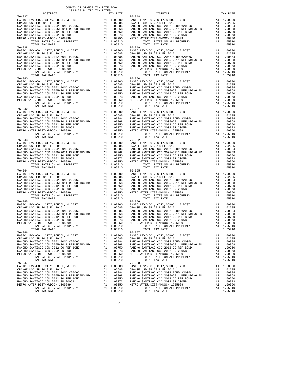| 2018-2019 TRA TAX RATES<br>DISTRICT | TAX RATE | DISTRICT                                                                                                                                                                                                                                                                                                                                                                      | TAX RATE |
|-------------------------------------|----------|-------------------------------------------------------------------------------------------------------------------------------------------------------------------------------------------------------------------------------------------------------------------------------------------------------------------------------------------------------------------------------|----------|
| $76 - 037$                          |          | $76 - 048$                                                                                                                                                                                                                                                                                                                                                                    |          |
| $76 - 038$                          |          | $76 - 049$                                                                                                                                                                                                                                                                                                                                                                    |          |
| $76 - 042$                          |          | $76 - 051$                                                                                                                                                                                                                                                                                                                                                                    |          |
|                                     |          | $\begin{tabular}{l c c c c c} \hline 76-042 & 76-051 \\ \hline \texttt{BASTE LEVY-CO., CITY, SCHOOL, & DIST & A1 1.00000 & \texttt{BASTC LEVY-CO., CITY, SCHOOL, & DIST & A1 1.00000 \\ \texttt{ORANGE USD SR 2018 EL 2016 & A1 02685 & ORANGE USD SR 2018 EL 2016 & A1 02685 \\ \texttt{RANCEO SANTIAGO CCD 2002 BOND  \#2006C & A1 00884 &$                                 |          |
|                                     |          |                                                                                                                                                                                                                                                                                                                                                                               |          |
|                                     |          | $\begin{tabular}{l c c c c c} \hline 76-044 & 76-055 \\ \hline \texttt{BARICE } UEV-CO, ~CITY, SCHOOL, ~&DIST & \texttt{A1} & 1.00000 & \texttt{BASTC LEVY-CO.}, ~CITY, SCHOOL, ~&DIST & \texttt{A1} & 1.00000 \\ \texttt{ORANGE } USD & SR & 2018 EL & 2016 & \texttt{A1} & .02685 \\ \texttt{RANCEO SANTIAGO } CCD & 20052 EODP & \texttt{H2006C} & \texttt{A1} & .00868 &$ |          |
| $76 - 045$                          |          | $76 - 056$<br>1.05910<br>TOTAL RATES ON ALL PROPERTY A1 1.05910<br>TOTAL TAX RATE 1.05910<br>$76 - 057$                                                                                                                                                                                                                                                                       |          |
| 76-046                              |          |                                                                                                                                                                                                                                                                                                                                                                               |          |
|                                     |          | $\begin{tabular}{l c c c c c} \hline\text{TOTA} \text{ TATA} \text{ RATE} & \text{1.00514} & \text{2.0514} & \text{3.0016} & \text{3.0174} & \text{4.00000} & \text{0.0174} & \text{5.016} & \text{6.018} & \text{76--058} & \text{0.018} & \text{1.00000} & \text{0.019} & \text{0.019} & \text{0.019} & \text{0.010} & \text{0.010} & \text{0.010}$                         |          |

-301-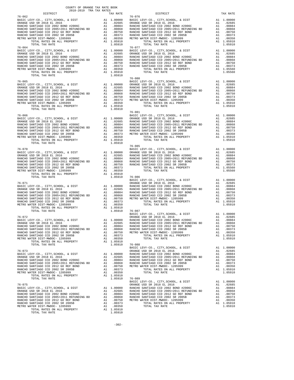| COUNTY OF ORANGE TAX RATE BOOK<br>2018-2019 TRA TAX RATES                                                                                                                                                                                                                                                                                                                                                |          |                        |          |
|----------------------------------------------------------------------------------------------------------------------------------------------------------------------------------------------------------------------------------------------------------------------------------------------------------------------------------------------------------------------------------------------------------|----------|------------------------|----------|
| DISTRICT                                                                                                                                                                                                                                                                                                                                                                                                 | TAX RATE | DISTRICT<br>$76 - 076$ | TAX RATE |
| $76 - 062$<br>$76 - 064$                                                                                                                                                                                                                                                                                                                                                                                 |          | $76 - 077$             |          |
|                                                                                                                                                                                                                                                                                                                                                                                                          |          |                        |          |
|                                                                                                                                                                                                                                                                                                                                                                                                          |          |                        |          |
| $\begin{tabular}{l c c c c c} \multicolumn{4}{c c c c} \multicolumn{4}{c c c} \multicolumn{4}{c c c} \multicolumn{4}{c c c} \multicolumn{4}{c c c} \multicolumn{4}{c c c} \multicolumn{4}{c c c} \multicolumn{4}{c c c} \multicolumn{4}{c c c} \multicolumn{4}{c c c} \multicolumn{4}{c c c} \multicolumn{4}{c c c} \multicolumn{4}{c c c} \multicolumn{4}{c c c} \multicolumn{4}{c c c} \multicolumn{$  |          |                        |          |
|                                                                                                                                                                                                                                                                                                                                                                                                          |          |                        |          |
|                                                                                                                                                                                                                                                                                                                                                                                                          |          |                        |          |
|                                                                                                                                                                                                                                                                                                                                                                                                          |          |                        |          |
| $\begin{tabular}{l c c c c c} \multicolumn{1}{c c c} \multicolumn{1}{c c c} \multicolumn{1}{c c c} \multicolumn{1}{c c c} \multicolumn{1}{c c c} \multicolumn{1}{c c c} \multicolumn{1}{c c c} \multicolumn{1}{c c c} \multicolumn{1}{c c c} \multicolumn{1}{c c c} \multicolumn{1}{c c c} \multicolumn{1}{c c c} \multicolumn{1}{c c c} \multicolumn{1}{c c c} \multicolumn{1}{c c c} \multicolumn{1}{$ |          |                        |          |
| $\begin{tabular}{cccc} \textbf{76--075} & \textbf{1.05910} & \textbf{76--089} & \textbf{1.05910} & \textbf{76--089} & \textbf{1.05910} \\ \textbf{BASE LEVY-CO.}, \text{ CITY, SCHOOL}, & \textbf{1.00000} & \textbf{DASIC LEVY-CO.}, \text{CITY, SCHOOL}, & \textbf{1.00000} \\ \textbf{DRANGE USD SR R 2018 EL 2016} & \textbf{A1} & .02685 \\ \textbf{ORANGE USD SR R 2018 EL 2016} & \text$          |          |                        |          |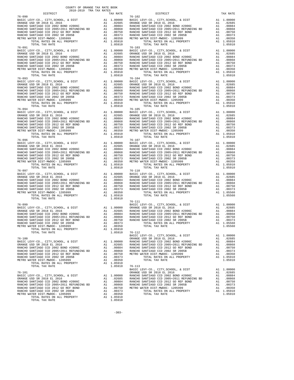| $76 - 090$                                                                                                                                                                                                                                                                                                                                                                                                   | TAX RATE | DISTRICT<br>$76 - 102$                          | TAX RATE |
|--------------------------------------------------------------------------------------------------------------------------------------------------------------------------------------------------------------------------------------------------------------------------------------------------------------------------------------------------------------------------------------------------------------|----------|-------------------------------------------------|----------|
|                                                                                                                                                                                                                                                                                                                                                                                                              |          |                                                 |          |
|                                                                                                                                                                                                                                                                                                                                                                                                              |          |                                                 |          |
|                                                                                                                                                                                                                                                                                                                                                                                                              |          |                                                 |          |
| $\begin{tabular}{l c c c c c} \hline 76-094 & 76-105 \\ \hline \text{BASIC EW--CO.}, & \text{CITY}, \text{SCHOOL}, & \& \text{ DIST} & \text{Al} & 1.00000 \\ \text{ORANGE USD S R} & 2018 \text{ EL } 2016 & \text{Al} & .02685 \\ \text{RANCE US D S R} & 2018 \text{ EL } 2016 & \text{Al} & .02685 \\ \text{RANCE US D S R} & 2018 \text{ EL } 2016 & \text{Al} & .02685 \\ \text{RANCE OS ANTHAGO CCD $ |          |                                                 |          |
|                                                                                                                                                                                                                                                                                                                                                                                                              |          |                                                 |          |
| TOTAL TAX RATE                                                                                                                                                                                                                                                                                                                                                                                               | 1.05910  |                                                 |          |
|                                                                                                                                                                                                                                                                                                                                                                                                              |          | $76 - 111$                                      |          |
| $\begin{tabular}{lcccc} 76-100 & \text{BASIC LEVY-CO.}, CITY, SCHOOL, & \& DIST & \text{RASIC LEVY-CO.}, CITY, SCHOOL, & \& DIST & \text{A1} & 1.00000 \\ \text{BASIC LEVY-CO.}, CITY, SCHOOL, & \& DIST & \text{A1} & 1.00000 \\ \text{BASIC LEVY-CO.}, CITY, SCHOOL, & \& DIST & \text{A1} & 1.00000 \\ \text{RANCE USD SR 2018 EL 2016 & \text{A1} & .00884 & RANCEO SANTIAGO CCD 2002 BOND 42006C$       |          | BASIC LEVY-CO., CITY, SCHOOL, & DIST A1 1.00000 |          |
|                                                                                                                                                                                                                                                                                                                                                                                                              |          |                                                 |          |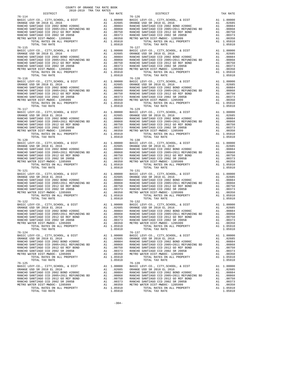| DISTRICT   | 2018-2019 TRA TAX RATES |  | TAX RATE | DISTRICT                                                                                                                                                                                                                                                                                                                                                                                                         | TAX RATE |
|------------|-------------------------|--|----------|------------------------------------------------------------------------------------------------------------------------------------------------------------------------------------------------------------------------------------------------------------------------------------------------------------------------------------------------------------------------------------------------------------------|----------|
| $76 - 114$ |                         |  |          | $76 - 126$<br>$\begin{tabular}{l c c c c c} \hline $76-114$ & $76-126$ & $76-126$ \\ \hline BASIC LEVY-C0., CITY, SCHOOL, & DIST & A1 1.00000 & BASIC LEVY-C0., CITY, SCHOOL, & DIST & A1 1.00000 \\ \hline \text{RANCE USD SR 2018 EL 2016 & A1 02685 & BASIC LEVY-C0., CITY, SCHOOL, & DIST & A1 1.00000 \\ \text{RANCE USD SR 2012 BEL 201D H 2006C & A1 00884 & RANCHO SANTIA$                               |          |
| $76 - 115$ |                         |  |          | $76 - 127$                                                                                                                                                                                                                                                                                                                                                                                                       |          |
|            |                         |  |          |                                                                                                                                                                                                                                                                                                                                                                                                                  |          |
| $76 - 117$ |                         |  |          | $\begin{tabular}{cccccc} $16-115$ & $10-10000$ & $8-10000$ & $8-100000$ & $8-100000$ & $8-100000$ & $8-100000$ & $8-100000$ & $8-100000$ & $8-100000$ & $8-100000$ & $100000$ & $100000$ & $100000$ \\ \hline \text{RAMCHO SANTIAOO CO} & 200000$ & 2001 & $8-100000$ & 201 & $100000$ & $100000$ &$<br>$76 - 129$                                                                                               |          |
|            |                         |  |          | $\begin{tabular}{l c c c c c} \hline 76-117 & 76-129 \\ \hline \texttt{BARCE} & \texttt{IEVY-CO} \,, & \texttt{CITY}, \texttt{SCHOOL} \,, & \texttt{EUST} & \texttt{A1} & 1.00000 \\ \texttt{ORANGE} & \texttt{ISST} & \texttt{A1} & 0.2685 \\ \texttt{RANCE} & \texttt{SAD} & \texttt{SR} & \texttt{A1} & 0.2685 \\ \texttt{RANCE} & \texttt{RANCE} & \texttt{BIN} & \texttt{A1} & 0.2685 \\ \texttt{$          |          |
|            |                         |  |          |                                                                                                                                                                                                                                                                                                                                                                                                                  |          |
|            |                         |  |          | $\begin{tabular}{l c c c c c} \hline 76-121 & 76-131 \\ \hline \texttt{BARIC EUV-CO} & , \texttt{CITY}, \texttt{SCHOOL}, & \texttt{EUST} & \texttt{A1} & 1.00000 & \texttt{BAISC LEVY-CO} & , \texttt{CITY}, \texttt{SCHOOL}, & \texttt{EUST} & \texttt{A1} & 1.00000 \\ \texttt{ORANGE USD SR 2018 EL 2016 & \texttt{A1} & .02685 & \texttt{ORANGE UEVY-CO} & , \texttt{CITY}, \texttt{SCHOOL}, & \texttt{EUST$ |          |
| 76-122     |                         |  |          | $76 - 132$<br>1.05910<br>TOTAL RATES ON ALL PROPERTY A1 1.05910<br>TOTAL TAX RATE 1.05910<br>$76 - 137$                                                                                                                                                                                                                                                                                                          |          |
| 76-124     |                         |  |          |                                                                                                                                                                                                                                                                                                                                                                                                                  |          |
|            |                         |  |          |                                                                                                                                                                                                                                                                                                                                                                                                                  |          |

-304-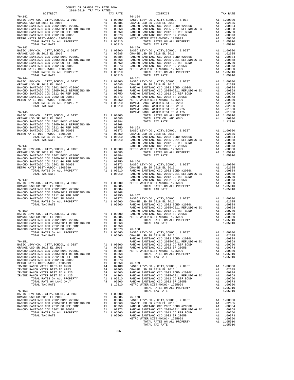|  | $\begin{tabular}{l c c c c c} & \multicolumn{1}{c}{D6-142} & \multicolumn{1}{c}{D5+142} & \multicolumn{1}{c}{D5+142} & \multicolumn{1}{c}{D6-154} & \multicolumn{1}{c}{D6-154} & \multicolumn{1}{c}{D6-154} & \multicolumn{1}{c}{D6-154} & \multicolumn{1}{c}{D6-154} & \multicolumn{1}{c}{D6-154} & \multicolumn{1}{c}{D6-154} & \multicolumn{1}{c}{D6-154} & \multicolumn{1}{c}{D6-15$ |  |
|--|------------------------------------------------------------------------------------------------------------------------------------------------------------------------------------------------------------------------------------------------------------------------------------------------------------------------------------------------------------------------------------------|--|
|  |                                                                                                                                                                                                                                                                                                                                                                                          |  |
|  |                                                                                                                                                                                                                                                                                                                                                                                          |  |
|  |                                                                                                                                                                                                                                                                                                                                                                                          |  |
|  |                                                                                                                                                                                                                                                                                                                                                                                          |  |
|  |                                                                                                                                                                                                                                                                                                                                                                                          |  |
|  |                                                                                                                                                                                                                                                                                                                                                                                          |  |
|  |                                                                                                                                                                                                                                                                                                                                                                                          |  |
|  |                                                                                                                                                                                                                                                                                                                                                                                          |  |
|  |                                                                                                                                                                                                                                                                                                                                                                                          |  |
|  |                                                                                                                                                                                                                                                                                                                                                                                          |  |
|  |                                                                                                                                                                                                                                                                                                                                                                                          |  |
|  |                                                                                                                                                                                                                                                                                                                                                                                          |  |
|  |                                                                                                                                                                                                                                                                                                                                                                                          |  |
|  |                                                                                                                                                                                                                                                                                                                                                                                          |  |
|  |                                                                                                                                                                                                                                                                                                                                                                                          |  |
|  |                                                                                                                                                                                                                                                                                                                                                                                          |  |
|  |                                                                                                                                                                                                                                                                                                                                                                                          |  |
|  |                                                                                                                                                                                                                                                                                                                                                                                          |  |
|  |                                                                                                                                                                                                                                                                                                                                                                                          |  |
|  |                                                                                                                                                                                                                                                                                                                                                                                          |  |
|  |                                                                                                                                                                                                                                                                                                                                                                                          |  |
|  |                                                                                                                                                                                                                                                                                                                                                                                          |  |
|  |                                                                                                                                                                                                                                                                                                                                                                                          |  |
|  |                                                                                                                                                                                                                                                                                                                                                                                          |  |
|  |                                                                                                                                                                                                                                                                                                                                                                                          |  |
|  |                                                                                                                                                                                                                                                                                                                                                                                          |  |
|  |                                                                                                                                                                                                                                                                                                                                                                                          |  |
|  |                                                                                                                                                                                                                                                                                                                                                                                          |  |
|  |                                                                                                                                                                                                                                                                                                                                                                                          |  |
|  |                                                                                                                                                                                                                                                                                                                                                                                          |  |
|  |                                                                                                                                                                                                                                                                                                                                                                                          |  |
|  |                                                                                                                                                                                                                                                                                                                                                                                          |  |
|  |                                                                                                                                                                                                                                                                                                                                                                                          |  |
|  |                                                                                                                                                                                                                                                                                                                                                                                          |  |
|  |                                                                                                                                                                                                                                                                                                                                                                                          |  |
|  |                                                                                                                                                                                                                                                                                                                                                                                          |  |
|  |                                                                                                                                                                                                                                                                                                                                                                                          |  |
|  |                                                                                                                                                                                                                                                                                                                                                                                          |  |
|  |                                                                                                                                                                                                                                                                                                                                                                                          |  |
|  |                                                                                                                                                                                                                                                                                                                                                                                          |  |
|  |                                                                                                                                                                                                                                                                                                                                                                                          |  |
|  |                                                                                                                                                                                                                                                                                                                                                                                          |  |
|  |                                                                                                                                                                                                                                                                                                                                                                                          |  |
|  |                                                                                                                                                                                                                                                                                                                                                                                          |  |
|  |                                                                                                                                                                                                                                                                                                                                                                                          |  |
|  |                                                                                                                                                                                                                                                                                                                                                                                          |  |
|  |                                                                                                                                                                                                                                                                                                                                                                                          |  |
|  |                                                                                                                                                                                                                                                                                                                                                                                          |  |
|  |                                                                                                                                                                                                                                                                                                                                                                                          |  |
|  |                                                                                                                                                                                                                                                                                                                                                                                          |  |
|  |                                                                                                                                                                                                                                                                                                                                                                                          |  |
|  |                                                                                                                                                                                                                                                                                                                                                                                          |  |
|  |                                                                                                                                                                                                                                                                                                                                                                                          |  |
|  |                                                                                                                                                                                                                                                                                                                                                                                          |  |
|  |                                                                                                                                                                                                                                                                                                                                                                                          |  |
|  |                                                                                                                                                                                                                                                                                                                                                                                          |  |
|  |                                                                                                                                                                                                                                                                                                                                                                                          |  |
|  |                                                                                                                                                                                                                                                                                                                                                                                          |  |
|  |                                                                                                                                                                                                                                                                                                                                                                                          |  |
|  |                                                                                                                                                                                                                                                                                                                                                                                          |  |
|  |                                                                                                                                                                                                                                                                                                                                                                                          |  |
|  |                                                                                                                                                                                                                                                                                                                                                                                          |  |
|  |                                                                                                                                                                                                                                                                                                                                                                                          |  |
|  |                                                                                                                                                                                                                                                                                                                                                                                          |  |
|  |                                                                                                                                                                                                                                                                                                                                                                                          |  |
|  |                                                                                                                                                                                                                                                                                                                                                                                          |  |
|  |                                                                                                                                                                                                                                                                                                                                                                                          |  |
|  |                                                                                                                                                                                                                                                                                                                                                                                          |  |
|  |                                                                                                                                                                                                                                                                                                                                                                                          |  |
|  |                                                                                                                                                                                                                                                                                                                                                                                          |  |
|  |                                                                                                                                                                                                                                                                                                                                                                                          |  |
|  |                                                                                                                                                                                                                                                                                                                                                                                          |  |
|  |                                                                                                                                                                                                                                                                                                                                                                                          |  |
|  |                                                                                                                                                                                                                                                                                                                                                                                          |  |
|  |                                                                                                                                                                                                                                                                                                                                                                                          |  |
|  |                                                                                                                                                                                                                                                                                                                                                                                          |  |
|  |                                                                                                                                                                                                                                                                                                                                                                                          |  |
|  |                                                                                                                                                                                                                                                                                                                                                                                          |  |
|  |                                                                                                                                                                                                                                                                                                                                                                                          |  |
|  |                                                                                                                                                                                                                                                                                                                                                                                          |  |
|  |                                                                                                                                                                                                                                                                                                                                                                                          |  |
|  |                                                                                                                                                                                                                                                                                                                                                                                          |  |
|  |                                                                                                                                                                                                                                                                                                                                                                                          |  |
|  |                                                                                                                                                                                                                                                                                                                                                                                          |  |
|  |                                                                                                                                                                                                                                                                                                                                                                                          |  |
|  |                                                                                                                                                                                                                                                                                                                                                                                          |  |
|  |                                                                                                                                                                                                                                                                                                                                                                                          |  |
|  |                                                                                                                                                                                                                                                                                                                                                                                          |  |
|  |                                                                                                                                                                                                                                                                                                                                                                                          |  |
|  |                                                                                                                                                                                                                                                                                                                                                                                          |  |
|  |                                                                                                                                                                                                                                                                                                                                                                                          |  |
|  |                                                                                                                                                                                                                                                                                                                                                                                          |  |
|  |                                                                                                                                                                                                                                                                                                                                                                                          |  |
|  |                                                                                                                                                                                                                                                                                                                                                                                          |  |
|  |                                                                                                                                                                                                                                                                                                                                                                                          |  |
|  |                                                                                                                                                                                                                                                                                                                                                                                          |  |
|  |                                                                                                                                                                                                                                                                                                                                                                                          |  |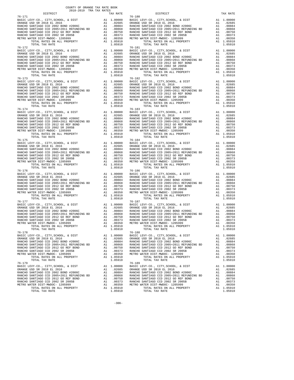| DISTRICT   | 2018-2019 TRA TAX RATES |  | TAX RATE | DISTRICT                                                                                                                                                                                                                                                                                                                                                                        | TAX RATE |
|------------|-------------------------|--|----------|---------------------------------------------------------------------------------------------------------------------------------------------------------------------------------------------------------------------------------------------------------------------------------------------------------------------------------------------------------------------------------|----------|
| $76 - 171$ |                         |  |          | $76 - 180$<br>$\begin{tabular}{l c c c c c} \hline $76-171$ & $76-180000$ & $76-180000$ & $76-180000$ & $76-180000$ & $76-180000$ & $76-180000$ & $76-180000$ & $76-180000$ & $76-180000$ & $76-180000$ & $76-180000$ & $76-180000$ & $76-180000$ & $76-180000$ & $76-180000$ & $76-180000$                                                                                     |          |
| 76-172     |                         |  |          | $76 - 181$                                                                                                                                                                                                                                                                                                                                                                      |          |
| $76 - 174$ |                         |  |          | $76 - 183$                                                                                                                                                                                                                                                                                                                                                                      |          |
|            |                         |  |          | $\begin{tabular}{l c c c c c} \hline 76-174 & 76-183 \\ \hline \texttt{BASTE LEVY-CO., CITY, SCHOOL, & DIST & A1 1.00000 & \texttt{BASTC LEVY-CO., CITY, SCHOOL, & DIST & A1 1.00000 \\ \texttt{ORANGE USD SR 2018 EL 2016 & A1 02685 & ORANGE USD SR 2018 EL 2016 & A1 02685 \\ \texttt{RANCEO SANTIAGO CCD 2002 BOND  \#2006C & A1 00884 &$                                   |          |
|            |                         |  |          | $\begin{tabular}{l c c c c c} \hline 76-175 & 76-184 \\ \hline \texttt{BASIC LEVY-CO.}, \hspace{0.5cm} CITY, \texttt{SCHOOL}, \hspace{0.5cm} & \texttt{DIST} & \texttt{A1} & 1.00000 \\ \hline \texttt{RANCEU SINTIAGO CCD 2002 BOND 42006C} & \texttt{A1} & .02685 & \texttt{ORANGE IEVY-CO.}, \hspace{0.5cm} CITY, \texttt{SCHOOL}, \hspace{0.5cm} & \texttt{AIST} & 1.00000$ |          |
| 76-177     |                         |  |          | $\begin{tabular}{l c c c c c} \hline 76-176 & 76-186 & 76-186 & 76-186 & 76-186 & 76-186 & 76-186 & 76-186 & 76-186 & 76-186 & 76-186 & 76-186 & 76-186 & 76-186 & 76-186 & 76-186 & 76-186 & 76-186 & 76-186 & 76-186 & 76-186 & 76-186 & 76-186 & 76-186 & 76-186$<br>$76 - 187$                                                                                              |          |
|            |                         |  |          | 1.05910<br>TOTAL RATES ON ALL PROPERTY A1 1.05910<br>TOTAL TAX RATE 1.05910<br>$76 - 188$                                                                                                                                                                                                                                                                                       |          |
| 76-178     |                         |  |          |                                                                                                                                                                                                                                                                                                                                                                                 |          |
|            |                         |  |          | $\begin{tabular}{l c c c c c} \hline\text{TCTAL TAX RATE} & \text{LUD9140} & \text{1014L IAA RATE} & \text{LUD9140} & \text{1014L IAA RATE} & \text{LUD9140} & \text{1014L IAA RATE} & \text{LUD9140} & \text{1014L IAA RATE} & \text{LUD9140} & \text{LUD9140} & \text{LUD9140} & \text{LUD9140} & \text{LUD9140} & \text{LUD9140} & \text{LUD9140} & \text{LUD9140}$          |          |

-306-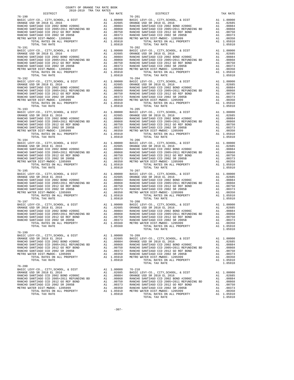| 2018-2019 TRA TAX RATES<br>DISTRICT                                                                                                                                                                                                                                                                                                                                                                      | TAX RATE | DISTRICT                                                                                                             | TAX RATE |
|----------------------------------------------------------------------------------------------------------------------------------------------------------------------------------------------------------------------------------------------------------------------------------------------------------------------------------------------------------------------------------------------------------|----------|----------------------------------------------------------------------------------------------------------------------|----------|
| $76 - 190$<br>$\begin{tabular}{l c c c c c} \hline $76-190$ & $76-2010$ & $76-2010$ & $76-2010$ & $76-2010$ & $76-2010$ \\ \hline BASIC LEVY-C0., CITY, SCHOOL, & DIST & A1 1.00000 & BASIC LEVY-C0., CITY, SCHOOL, & DIST & A1 1.00000 \\ \hline \text{RANCE USD SR 2018 EL 2016 & A1 02685 & A1 02685 & A1 02685 & A1 02685 & A1 02685 & A1 0268$<br>76-191                                            |          | $76 - 201$<br>$76 - 202$                                                                                             |          |
| $\begin{tabular}{l ll} 76-191 & $10-101$ & $10-101$ & $10-10000$ & $10-10000$ & $10-10000$ & $10-10000$ & $10-10000$ & $10-10000$ & $10-10000$ & $10-10000$ & $10-10000$ \\ \hline \texttt{RARCE 1EVP} & 201 & 201 & 60000$ & $20000$ & $20000$ & $20000$ & $20000$ & $10-10000$ & $10-1000$                                                                                                             |          |                                                                                                                      |          |
|                                                                                                                                                                                                                                                                                                                                                                                                          |          |                                                                                                                      |          |
| $76 - 193$<br>$\begin{tabular}{l c c c c c} \hline 76-193 & 76-205 \\ \hline \texttt{BART LEVY-CO.}, \hspace{0.5cm} CITY, \hspace{0.5cm} CITY, \hspace{0.5cm} CYYC, \hspace{0.5cm} CITY, \hspace{0.5cm} CYYC, \hspace{0.5cm} CITY, \hspace{0.5cm} CYYC, \hspace{0.5cm} CITY, \hspace{0.5cm} CYYC, \hspace{0.5cm} CITY, \hspace{0.5cm} CYYC, \hspace{0.5cm} CITY, \hspace{0.5cm} CYYC$                    |          | $76 - 205$                                                                                                           |          |
|                                                                                                                                                                                                                                                                                                                                                                                                          |          |                                                                                                                      |          |
| $\begin{tabular}{l c c c c c} \hline 76-195 & 76-207 \\ \hline \texttt{BARICE } \texttt{UEVY-C0} \,, \texttt{CITY}, \texttt{SCHOOL}, \texttt{& \texttt{DIST}} & \texttt{A1} & 1.00000 & \texttt{BARICE } \texttt{UEVY-C0} \,, \texttt{CITY}, \texttt{SCHOOL}, \texttt{& \texttt{DIST}} & \texttt{A1} & 1.00000 \\ \texttt{ORANGE } \texttt{USD} \texttt{SR} & 2018 \texttt{EL} & 2016 & \texttt{A1} & .$ |          | $76 - 208$                                                                                                           |          |
| 76-197<br>$\mathbf{r}$<br>TOTAL TAX RATE                                                                                                                                                                                                                                                                                                                                                                 | 1.05560  | TOTAL RATES ON ALL PROPERTY A1 1.05910<br>TOTAL RATES ON ALL PROPERTY A1 1.05910<br>TOTAL TAX RATE<br>TOTAL TAX RATE | 1.05910  |
|                                                                                                                                                                                                                                                                                                                                                                                                          |          |                                                                                                                      |          |
| $76 - 200$                                                                                                                                                                                                                                                                                                                                                                                               |          |                                                                                                                      |          |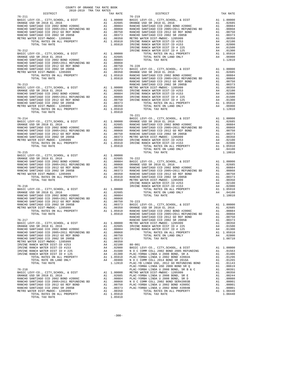| COUNTY OF ORANGE TAX RATE BOOK<br>2018-2019 TRA TAX RATES<br>2018-2019 TRA TAX RATES<br>DISTRICT | TAX RATE | DISTRICT                                                                                                                                                                                                                                                                               | TAX RATE |  |
|--------------------------------------------------------------------------------------------------|----------|----------------------------------------------------------------------------------------------------------------------------------------------------------------------------------------------------------------------------------------------------------------------------------------|----------|--|
| 76-211                                                                                           |          | $76 - 219$                                                                                                                                                                                                                                                                             |          |  |
|                                                                                                  |          |                                                                                                                                                                                                                                                                                        |          |  |
|                                                                                                  |          |                                                                                                                                                                                                                                                                                        |          |  |
|                                                                                                  |          |                                                                                                                                                                                                                                                                                        |          |  |
|                                                                                                  |          |                                                                                                                                                                                                                                                                                        |          |  |
|                                                                                                  |          |                                                                                                                                                                                                                                                                                        |          |  |
|                                                                                                  |          |                                                                                                                                                                                                                                                                                        |          |  |
|                                                                                                  |          |                                                                                                                                                                                                                                                                                        |          |  |
|                                                                                                  |          |                                                                                                                                                                                                                                                                                        |          |  |
|                                                                                                  |          |                                                                                                                                                                                                                                                                                        |          |  |
|                                                                                                  |          |                                                                                                                                                                                                                                                                                        |          |  |
|                                                                                                  |          |                                                                                                                                                                                                                                                                                        |          |  |
|                                                                                                  |          |                                                                                                                                                                                                                                                                                        |          |  |
|                                                                                                  |          |                                                                                                                                                                                                                                                                                        |          |  |
|                                                                                                  |          |                                                                                                                                                                                                                                                                                        |          |  |
|                                                                                                  |          |                                                                                                                                                                                                                                                                                        |          |  |
|                                                                                                  |          |                                                                                                                                                                                                                                                                                        |          |  |
|                                                                                                  |          |                                                                                                                                                                                                                                                                                        |          |  |
|                                                                                                  |          |                                                                                                                                                                                                                                                                                        |          |  |
|                                                                                                  |          |                                                                                                                                                                                                                                                                                        |          |  |
|                                                                                                  |          |                                                                                                                                                                                                                                                                                        |          |  |
|                                                                                                  |          |                                                                                                                                                                                                                                                                                        |          |  |
|                                                                                                  |          |                                                                                                                                                                                                                                                                                        |          |  |
|                                                                                                  |          |                                                                                                                                                                                                                                                                                        |          |  |
|                                                                                                  |          |                                                                                                                                                                                                                                                                                        |          |  |
|                                                                                                  |          | $76 - 221$                                                                                                                                                                                                                                                                             |          |  |
|                                                                                                  |          |                                                                                                                                                                                                                                                                                        |          |  |
|                                                                                                  |          |                                                                                                                                                                                                                                                                                        |          |  |
|                                                                                                  |          |                                                                                                                                                                                                                                                                                        |          |  |
|                                                                                                  |          |                                                                                                                                                                                                                                                                                        |          |  |
|                                                                                                  |          |                                                                                                                                                                                                                                                                                        |          |  |
|                                                                                                  |          |                                                                                                                                                                                                                                                                                        |          |  |
|                                                                                                  |          |                                                                                                                                                                                                                                                                                        |          |  |
|                                                                                                  |          |                                                                                                                                                                                                                                                                                        |          |  |
| $76 - 215$                                                                                       |          | $\begin{tabular}{l c c c c c} \hline 76-214 & 76-221 & 76-221 & 76-221 & 76-221 & 76-221 & 76-221 & 76-221 & 76-221 & 76-221 & 76-221 & 76-221 & 76-221 & 76-221 & 76-221 & 76-221 & 76-221 & 76-221 & 76-221 & 76-221 & 76-221 & 76-221 & 76-221 & 76-221 & 76-221$<br>TOTAL TAX RATE | 1.10010  |  |
|                                                                                                  |          |                                                                                                                                                                                                                                                                                        |          |  |
|                                                                                                  |          |                                                                                                                                                                                                                                                                                        |          |  |
|                                                                                                  |          |                                                                                                                                                                                                                                                                                        |          |  |
|                                                                                                  |          |                                                                                                                                                                                                                                                                                        |          |  |
|                                                                                                  |          |                                                                                                                                                                                                                                                                                        |          |  |
|                                                                                                  |          |                                                                                                                                                                                                                                                                                        |          |  |
|                                                                                                  |          |                                                                                                                                                                                                                                                                                        |          |  |
|                                                                                                  |          |                                                                                                                                                                                                                                                                                        |          |  |
|                                                                                                  |          |                                                                                                                                                                                                                                                                                        |          |  |
|                                                                                                  |          |                                                                                                                                                                                                                                                                                        |          |  |
|                                                                                                  |          |                                                                                                                                                                                                                                                                                        |          |  |
|                                                                                                  |          |                                                                                                                                                                                                                                                                                        |          |  |
|                                                                                                  |          |                                                                                                                                                                                                                                                                                        |          |  |
|                                                                                                  |          |                                                                                                                                                                                                                                                                                        |          |  |
|                                                                                                  |          |                                                                                                                                                                                                                                                                                        |          |  |
|                                                                                                  |          |                                                                                                                                                                                                                                                                                        |          |  |
|                                                                                                  |          |                                                                                                                                                                                                                                                                                        |          |  |
|                                                                                                  |          |                                                                                                                                                                                                                                                                                        |          |  |
|                                                                                                  |          |                                                                                                                                                                                                                                                                                        |          |  |
|                                                                                                  |          |                                                                                                                                                                                                                                                                                        |          |  |
|                                                                                                  |          |                                                                                                                                                                                                                                                                                        |          |  |
|                                                                                                  |          |                                                                                                                                                                                                                                                                                        |          |  |
|                                                                                                  |          |                                                                                                                                                                                                                                                                                        |          |  |
|                                                                                                  |          |                                                                                                                                                                                                                                                                                        |          |  |
|                                                                                                  |          |                                                                                                                                                                                                                                                                                        |          |  |
|                                                                                                  |          |                                                                                                                                                                                                                                                                                        |          |  |
|                                                                                                  |          | 776.31 17774. 754 5021<br>1.35910 17774. 754 521<br>1.35910 17774. 754 521<br>1.35910 17774. 754 521<br>1.35910 17774. 754 522<br>1.35910 17871. 255 52<br>1.3592<br>1.3592<br>1.3592<br>1.3592<br>1.3592<br>1.3592<br>1.3592<br>1.3592<br>1.3592<br>1.3592                            |          |  |
|                                                                                                  |          |                                                                                                                                                                                                                                                                                        |          |  |
|                                                                                                  |          |                                                                                                                                                                                                                                                                                        |          |  |
|                                                                                                  |          |                                                                                                                                                                                                                                                                                        |          |  |
|                                                                                                  |          |                                                                                                                                                                                                                                                                                        |          |  |
|                                                                                                  |          |                                                                                                                                                                                                                                                                                        |          |  |
|                                                                                                  |          |                                                                                                                                                                                                                                                                                        |          |  |
|                                                                                                  |          |                                                                                                                                                                                                                                                                                        |          |  |
|                                                                                                  |          |                                                                                                                                                                                                                                                                                        |          |  |
|                                                                                                  |          |                                                                                                                                                                                                                                                                                        |          |  |
|                                                                                                  |          |                                                                                                                                                                                                                                                                                        |          |  |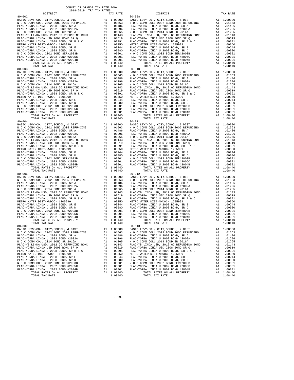| TOTAL TAX RATE                                                                                                                                                         |          | 1.08440    |                   |
|------------------------------------------------------------------------------------------------------------------------------------------------------------------------|----------|------------|-------------------|
|                                                                                                                                                                        |          |            |                   |
|                                                                                                                                                                        |          |            |                   |
|                                                                                                                                                                        |          |            |                   |
|                                                                                                                                                                        |          |            |                   |
|                                                                                                                                                                        |          |            |                   |
|                                                                                                                                                                        |          |            |                   |
|                                                                                                                                                                        |          |            |                   |
|                                                                                                                                                                        |          |            |                   |
|                                                                                                                                                                        |          |            |                   |
|                                                                                                                                                                        |          |            |                   |
|                                                                                                                                                                        |          |            |                   |
|                                                                                                                                                                        |          |            |                   |
|                                                                                                                                                                        |          |            |                   |
|                                                                                                                                                                        |          |            |                   |
|                                                                                                                                                                        |          |            |                   |
|                                                                                                                                                                        |          |            |                   |
|                                                                                                                                                                        |          |            |                   |
|                                                                                                                                                                        |          |            |                   |
|                                                                                                                                                                        |          |            |                   |
|                                                                                                                                                                        |          |            |                   |
|                                                                                                                                                                        |          |            |                   |
|                                                                                                                                                                        |          |            |                   |
|                                                                                                                                                                        |          |            |                   |
|                                                                                                                                                                        |          |            |                   |
|                                                                                                                                                                        |          |            |                   |
|                                                                                                                                                                        |          |            |                   |
|                                                                                                                                                                        |          |            |                   |
|                                                                                                                                                                        |          |            |                   |
|                                                                                                                                                                        |          |            |                   |
|                                                                                                                                                                        |          |            |                   |
|                                                                                                                                                                        |          |            |                   |
|                                                                                                                                                                        |          |            |                   |
|                                                                                                                                                                        |          |            |                   |
|                                                                                                                                                                        |          |            |                   |
|                                                                                                                                                                        |          |            |                   |
|                                                                                                                                                                        |          |            |                   |
|                                                                                                                                                                        |          |            |                   |
|                                                                                                                                                                        |          |            |                   |
|                                                                                                                                                                        |          |            |                   |
|                                                                                                                                                                        |          |            |                   |
|                                                                                                                                                                        |          |            |                   |
|                                                                                                                                                                        |          |            |                   |
|                                                                                                                                                                        |          |            |                   |
|                                                                                                                                                                        |          |            |                   |
|                                                                                                                                                                        |          |            |                   |
|                                                                                                                                                                        |          |            |                   |
|                                                                                                                                                                        |          |            |                   |
|                                                                                                                                                                        |          |            |                   |
|                                                                                                                                                                        |          |            |                   |
| TOTAL TAX RATE                                                                                                                                                         |          | 1.08440    |                   |
| $80 - 007$                                                                                                                                                             |          |            | $80 - 013$        |
| BASIC LEVY-CO., CITY, SCHOOL, & DIST<br>NOC COMM COLL 2002 BOND 2005 REFUNDING<br>PLAC-YORBA LINDA U 2008 BOND, SR ANDRESS 10.01486 PLAC-YORBA LINDA U 2008 BOND, SR A |          |            |                   |
|                                                                                                                                                                        |          |            |                   |
|                                                                                                                                                                        |          | .01296     |                   |
| PLAC-YORBA LINDA U 2002 BOND #2002A<br>N O C COMM COLL 2014 BOND SR 2016A                                                                                              | A1       | .01265     | $PLAC-YO$<br>NOCC |
| PLAC-YB LINDA USD, 2012 GO REFUNDING BOND                                                                                                                              | A1<br>A1 | .01143     | PLAC-YB           |
| PLAC-YORBA LINDA USD 2008 BOND SR Q                                                                                                                                    | A1       | .00619     | PLAC-YO           |
| PLAC-YORBA LINDA U 2008 BOND, SR B & C                                                                                                                                 | A1       | .00391     | PLAC-YO           |
| METRO WATER DIST-MWDOC- 1205999                                                                                                                                        | A1       | .00350     | METRO W           |
| PLAC-YORBA LINDA U 2008 BOND, SR E                                                                                                                                     | A1       | .00244     | PLAC-YO           |
| PLAC-YORBA LINDA U 2008 BOND, SR D                                                                                                                                     | A1       | .00080     | PLAC-YO           |
| N O C COMM COLL 2002 BOND SER#2003B                                                                                                                                    | A1       | .00001     | NOCC              |
| PLAC-YORBA LINDA U 2002 BOND #2005C                                                                                                                                    | A1       | .00001     | PLAC-YO           |
| PLAC-YORBA LINDA U 2002 BOND #2004B                                                                                                                                    | A1       | .00001     | PLAC-YO           |
| TOTAL RATES ON ALL PROPERTY                                                                                                                                            |          | A1 1.08440 |                   |
| TOTAL TAX RATE                                                                                                                                                         |          | 1.08440    |                   |
|                                                                                                                                                                        |          |            |                   |

| COUNTY OF ORANGE TAX RATE BOOK<br>2018-2019 TRA TAX RATES                                              |            |                                                                                                                                                |    |                        |
|--------------------------------------------------------------------------------------------------------|------------|------------------------------------------------------------------------------------------------------------------------------------------------|----|------------------------|
| <b>DISTRICT</b>                                                                                        | TAX RATE   | DISTRICT                                                                                                                                       |    | TAX RATE               |
|                                                                                                        |            |                                                                                                                                                |    |                        |
|                                                                                                        |            |                                                                                                                                                |    |                        |
|                                                                                                        |            |                                                                                                                                                |    |                        |
|                                                                                                        |            |                                                                                                                                                |    |                        |
|                                                                                                        |            |                                                                                                                                                |    |                        |
|                                                                                                        |            |                                                                                                                                                |    |                        |
|                                                                                                        |            |                                                                                                                                                |    |                        |
|                                                                                                        |            |                                                                                                                                                |    |                        |
|                                                                                                        |            |                                                                                                                                                |    |                        |
|                                                                                                        |            |                                                                                                                                                |    |                        |
|                                                                                                        |            |                                                                                                                                                |    |                        |
|                                                                                                        |            |                                                                                                                                                |    |                        |
|                                                                                                        |            |                                                                                                                                                |    |                        |
|                                                                                                        |            |                                                                                                                                                |    |                        |
|                                                                                                        |            |                                                                                                                                                |    |                        |
|                                                                                                        |            |                                                                                                                                                |    |                        |
|                                                                                                        |            |                                                                                                                                                |    |                        |
|                                                                                                        |            |                                                                                                                                                |    |                        |
|                                                                                                        |            |                                                                                                                                                |    |                        |
|                                                                                                        |            |                                                                                                                                                |    |                        |
|                                                                                                        |            |                                                                                                                                                |    |                        |
|                                                                                                        |            |                                                                                                                                                |    |                        |
|                                                                                                        |            |                                                                                                                                                |    |                        |
|                                                                                                        |            |                                                                                                                                                |    |                        |
|                                                                                                        |            |                                                                                                                                                |    |                        |
|                                                                                                        |            |                                                                                                                                                |    |                        |
|                                                                                                        |            |                                                                                                                                                |    |                        |
|                                                                                                        |            |                                                                                                                                                |    |                        |
|                                                                                                        |            |                                                                                                                                                |    |                        |
|                                                                                                        |            |                                                                                                                                                |    |                        |
|                                                                                                        |            |                                                                                                                                                |    |                        |
|                                                                                                        |            |                                                                                                                                                |    |                        |
|                                                                                                        |            |                                                                                                                                                |    |                        |
|                                                                                                        |            |                                                                                                                                                |    |                        |
|                                                                                                        |            |                                                                                                                                                |    |                        |
|                                                                                                        |            |                                                                                                                                                |    |                        |
|                                                                                                        |            |                                                                                                                                                |    |                        |
|                                                                                                        |            |                                                                                                                                                |    |                        |
|                                                                                                        |            |                                                                                                                                                |    |                        |
|                                                                                                        |            |                                                                                                                                                |    |                        |
|                                                                                                        |            |                                                                                                                                                |    |                        |
|                                                                                                        |            |                                                                                                                                                |    |                        |
|                                                                                                        |            |                                                                                                                                                |    |                        |
|                                                                                                        |            |                                                                                                                                                |    |                        |
|                                                                                                        |            |                                                                                                                                                |    |                        |
|                                                                                                        |            |                                                                                                                                                |    |                        |
|                                                                                                        |            |                                                                                                                                                |    |                        |
|                                                                                                        |            |                                                                                                                                                |    |                        |
|                                                                                                        |            |                                                                                                                                                |    |                        |
|                                                                                                        |            |                                                                                                                                                |    |                        |
|                                                                                                        |            |                                                                                                                                                |    |                        |
|                                                                                                        |            |                                                                                                                                                |    |                        |
|                                                                                                        |            |                                                                                                                                                |    |                        |
|                                                                                                        |            |                                                                                                                                                |    |                        |
|                                                                                                        |            |                                                                                                                                                |    |                        |
|                                                                                                        |            |                                                                                                                                                |    |                        |
|                                                                                                        |            |                                                                                                                                                |    |                        |
|                                                                                                        |            |                                                                                                                                                |    |                        |
|                                                                                                        |            |                                                                                                                                                |    |                        |
|                                                                                                        |            |                                                                                                                                                |    |                        |
|                                                                                                        |            |                                                                                                                                                |    |                        |
|                                                                                                        |            |                                                                                                                                                |    |                        |
|                                                                                                        |            |                                                                                                                                                |    |                        |
| TOTAL TAX RATE                                                                                         | 1.08440    | TOTAL TAX RATE                                                                                                                                 |    | 1.08440                |
| $80 - 007$                                                                                             |            | $80 - 013$                                                                                                                                     |    |                        |
| BASIC LEVY-CO., CITY, SCHOOL, & DIST A1 1.00000<br>BASIC LEVY-CO., CITY, SCHOOL, & DIST AND A1 1.00000 |            | BASIC LEVY-CO., CITY, SCHOOL, & DIST                                                                                                           |    | A1 1.00000             |
| N O C COMM COLL 2002 BOND 2005 REFUNDING                                                               | A1 .01563  | N O C COMM COLL 2002 BOND 2005 REFUNDING                                                                                                       |    | A1 .01563              |
| PLAC-YORBA LINDA U 2008 BOND, SR A                                                                     |            | A1 .01486 PLAC-YORBA LINDA U 2008 BOND, SR A                                                                                                   |    | A1 .01486              |
| PLAC-YORBA LINDA U 2002 BOND #2002A<br>N O C COMM COLL 2014 BOND SR 2016A                              |            | A1 .01296 PLAC-YORBA LINDA U 2002 BOND #2002A<br>A1 .01265 NOCCOMM COLL 2014 BOND SR 2016A                                                     |    | A1 .01296<br>A1 .01265 |
| PLAC-YB LINDA USD, 2012 GO REFUNDING BOND                                                              |            | A1 .01143 PLAC-YB LINDA USD, 2012 GO REFUNDING BOND                                                                                            |    | A1 .01143              |
| PLAC-YORBA LINDA USD 2008 BOND SR Q                                                                    |            |                                                                                                                                                |    | A1 .00619              |
| PLAC-YORBA LINDA U 2008 BOND, SR B & C                                                                 |            |                                                                                                                                                | A1 | .00391                 |
| METRO WATER DIST-MWDOC- 1205999                                                                        |            | A1 .00619 PLAC-YORBA LINDA USD 2008 BOND SR Q<br>A1 .00391 PLAC-YORBA LINDA U 2008 BOND, SR B & C<br>A1 .00350 METRO WATER DIST-MWDOC- 1205999 | A1 | .00350                 |
| PLAC-YORBA LINDA U 2008 BOND, SR E                                                                     |            | A1 .00244 PLAC-YORBA LINDA U 2008 BOND, SR E                                                                                                   |    | A1 .00244              |
| PLAC-YORBA LINDA U 2008 BOND, SR D                                                                     |            | A1 .00080 PLAC-YORBA LINDA U 2008 BOND, SR D                                                                                                   |    | A1 .00080              |
| N O C COMM COLL 2002 BOND SER#2003B                                                                    |            | A1 .00001 NOCCOMM COLL 2002 BOND SER#2003B                                                                                                     |    | A1 .00001              |
| PLAC-YORBA LINDA U 2002 BOND #2005C                                                                    |            | A1 .00001 PLAC-YORBA LINDA U 2002 BOND #2005C                                                                                                  |    | A1 .00001              |
| PLAC-YORBA LINDA U 2002 BOND #2004B                                                                    |            | A1 .00001 PLAC-YORBA LINDA U 2002 BOND #2004B                                                                                                  |    | A1 .00001              |
| TOTAL RATES ON ALL PROPERTY                                                                            | A1 1.08440 | TOTAL RATES ON ALL PROPERTY                                                                                                                    |    | A1 1.08440             |
| TOTAL TAX RATE                                                                                         | 1.08440    | TOTAL TAX RATE                                                                                                                                 |    | 1.08440                |

-309-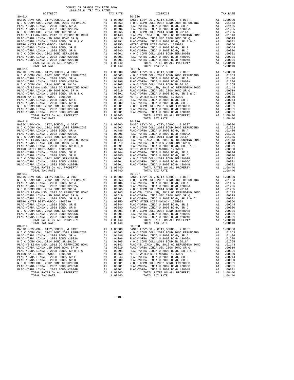| $\begin{tabular}{l c c c c} \multicolumn{1}{c}{\textbf{N O C COMM COLL 2002 BOND 2005 REFUNDING}} & \multicolumn{1}{c}{\textbf{A1}} & .01563 & \multicolumn{1}{c}{\textbf{N O C C COMM COLL 2008 BOND 2005 REFUNDING}} \\ \multicolumn{1}{c}{\textbf{PLAC-YORBA LINDA U 2008 BOND 5R 2016A}} & \multicolumn{1}{c}{\textbf{A1}} & .01246 & \multicolumn{1}{c}{\textbf{PLAC-YORA LINDA U 2008 BOND 5R 2016A}}$ |    |                      |            |
|--------------------------------------------------------------------------------------------------------------------------------------------------------------------------------------------------------------------------------------------------------------------------------------------------------------------------------------------------------------------------------------------------------------|----|----------------------|------------|
|                                                                                                                                                                                                                                                                                                                                                                                                              |    |                      |            |
|                                                                                                                                                                                                                                                                                                                                                                                                              |    |                      |            |
|                                                                                                                                                                                                                                                                                                                                                                                                              |    |                      |            |
|                                                                                                                                                                                                                                                                                                                                                                                                              |    |                      |            |
|                                                                                                                                                                                                                                                                                                                                                                                                              |    |                      |            |
|                                                                                                                                                                                                                                                                                                                                                                                                              |    |                      |            |
|                                                                                                                                                                                                                                                                                                                                                                                                              |    |                      |            |
|                                                                                                                                                                                                                                                                                                                                                                                                              |    |                      |            |
|                                                                                                                                                                                                                                                                                                                                                                                                              |    |                      |            |
|                                                                                                                                                                                                                                                                                                                                                                                                              |    |                      |            |
|                                                                                                                                                                                                                                                                                                                                                                                                              |    |                      |            |
| TOTAL TAX RATE                                                                                                                                                                                                                                                                                                                                                                                               |    | 1.08440              |            |
|                                                                                                                                                                                                                                                                                                                                                                                                              |    |                      |            |
|                                                                                                                                                                                                                                                                                                                                                                                                              |    |                      |            |
|                                                                                                                                                                                                                                                                                                                                                                                                              |    |                      |            |
|                                                                                                                                                                                                                                                                                                                                                                                                              |    |                      |            |
|                                                                                                                                                                                                                                                                                                                                                                                                              |    |                      |            |
|                                                                                                                                                                                                                                                                                                                                                                                                              |    |                      |            |
|                                                                                                                                                                                                                                                                                                                                                                                                              |    |                      |            |
|                                                                                                                                                                                                                                                                                                                                                                                                              |    |                      |            |
|                                                                                                                                                                                                                                                                                                                                                                                                              |    |                      |            |
|                                                                                                                                                                                                                                                                                                                                                                                                              |    |                      |            |
|                                                                                                                                                                                                                                                                                                                                                                                                              |    |                      |            |
|                                                                                                                                                                                                                                                                                                                                                                                                              |    |                      |            |
|                                                                                                                                                                                                                                                                                                                                                                                                              |    |                      |            |
|                                                                                                                                                                                                                                                                                                                                                                                                              |    |                      |            |
|                                                                                                                                                                                                                                                                                                                                                                                                              |    |                      |            |
|                                                                                                                                                                                                                                                                                                                                                                                                              |    |                      |            |
| $80 - 016$                                                                                                                                                                                                                                                                                                                                                                                                   |    |                      | $80 - 026$ |
|                                                                                                                                                                                                                                                                                                                                                                                                              |    |                      |            |
|                                                                                                                                                                                                                                                                                                                                                                                                              |    |                      |            |
|                                                                                                                                                                                                                                                                                                                                                                                                              |    |                      |            |
|                                                                                                                                                                                                                                                                                                                                                                                                              |    |                      |            |
|                                                                                                                                                                                                                                                                                                                                                                                                              |    |                      |            |
|                                                                                                                                                                                                                                                                                                                                                                                                              |    |                      |            |
|                                                                                                                                                                                                                                                                                                                                                                                                              |    |                      |            |
|                                                                                                                                                                                                                                                                                                                                                                                                              |    |                      |            |
|                                                                                                                                                                                                                                                                                                                                                                                                              |    |                      |            |
|                                                                                                                                                                                                                                                                                                                                                                                                              |    |                      |            |
|                                                                                                                                                                                                                                                                                                                                                                                                              |    |                      |            |
|                                                                                                                                                                                                                                                                                                                                                                                                              |    |                      |            |
|                                                                                                                                                                                                                                                                                                                                                                                                              |    | A1 1.08440           |            |
| TOTAL TAX RATE                                                                                                                                                                                                                                                                                                                                                                                               |    | 1.08440              |            |
| $80 - 017$                                                                                                                                                                                                                                                                                                                                                                                                   |    |                      | $80 - 027$ |
|                                                                                                                                                                                                                                                                                                                                                                                                              |    |                      |            |
|                                                                                                                                                                                                                                                                                                                                                                                                              |    |                      |            |
|                                                                                                                                                                                                                                                                                                                                                                                                              |    |                      |            |
|                                                                                                                                                                                                                                                                                                                                                                                                              |    |                      |            |
|                                                                                                                                                                                                                                                                                                                                                                                                              |    |                      |            |
|                                                                                                                                                                                                                                                                                                                                                                                                              |    |                      |            |
|                                                                                                                                                                                                                                                                                                                                                                                                              |    |                      |            |
|                                                                                                                                                                                                                                                                                                                                                                                                              |    |                      |            |
|                                                                                                                                                                                                                                                                                                                                                                                                              |    |                      |            |
|                                                                                                                                                                                                                                                                                                                                                                                                              |    |                      |            |
|                                                                                                                                                                                                                                                                                                                                                                                                              |    |                      |            |
|                                                                                                                                                                                                                                                                                                                                                                                                              |    |                      |            |
|                                                                                                                                                                                                                                                                                                                                                                                                              |    |                      |            |
|                                                                                                                                                                                                                                                                                                                                                                                                              |    |                      |            |
| TOTAL TAX RATE                                                                                                                                                                                                                                                                                                                                                                                               |    | 1.08440              |            |
| $80 - 019$                                                                                                                                                                                                                                                                                                                                                                                                   |    |                      | $80 - 028$ |
|                                                                                                                                                                                                                                                                                                                                                                                                              |    |                      |            |
| PLAC-YORBA LINDA U 2008 BOND, SR A Al 01486 PLAC-YO                                                                                                                                                                                                                                                                                                                                                          |    |                      |            |
| PLAC-YORBA LINDA U 2002 BOND #2002A                                                                                                                                                                                                                                                                                                                                                                          | A1 | .01296               | PLAC-YO    |
| N O C COMM COLL 2014 BOND SR 2016A                                                                                                                                                                                                                                                                                                                                                                           | A1 | .01265               | NOCC       |
| PLAC-YB LINDA USD, 2012 GO REFUNDING BOND                                                                                                                                                                                                                                                                                                                                                                    | A1 | .01143               | PLAC-YB    |
| PLAC-YORBA LINDA USD 2008 BOND SR Q                                                                                                                                                                                                                                                                                                                                                                          | A1 | .00619               | PLAC-YO    |
| PLAC-YORBA LINDA U 2008 BOND, SR B & C                                                                                                                                                                                                                                                                                                                                                                       | A1 | .00391               | PLAC-YO    |
| METRO WATER DIST-MWDOC- 1205999                                                                                                                                                                                                                                                                                                                                                                              | A1 | .00350               | METRO W    |
| PLAC-YORBA LINDA U 2008 BOND, SR E                                                                                                                                                                                                                                                                                                                                                                           | A1 | .00244               | PLAC-YO    |
| PLAC-YORBA LINDA U 2008 BOND, SR D                                                                                                                                                                                                                                                                                                                                                                           | A1 | .00080               | PLAC-YO    |
| N O C COMM COLL 2002 BOND SER#2003B                                                                                                                                                                                                                                                                                                                                                                          | A1 | .00001               | NOCC       |
| PLAC-YORBA LINDA U 2002 BOND #2005C                                                                                                                                                                                                                                                                                                                                                                          | A1 | .00001               | PLAC-YO    |
| PLAC-YORBA LINDA U 2002 BOND #2004B<br>TOTAL RATES ON ALL PROPERTY                                                                                                                                                                                                                                                                                                                                           | A1 | .00001<br>A1 1.08440 | PLAC-YO    |
|                                                                                                                                                                                                                                                                                                                                                                                                              |    |                      |            |

| COUNTY OF ORANGE TAX RATE BOOK<br>2018-2019 TRA TAX RATES                                             |          |                                                                                                                                                |    |                        |
|-------------------------------------------------------------------------------------------------------|----------|------------------------------------------------------------------------------------------------------------------------------------------------|----|------------------------|
| <b>DISTRICT</b>                                                                                       | TAX RATE | DISTRICT                                                                                                                                       |    | TAX RATE               |
|                                                                                                       |          |                                                                                                                                                |    |                        |
|                                                                                                       |          |                                                                                                                                                |    |                        |
|                                                                                                       |          |                                                                                                                                                |    |                        |
|                                                                                                       |          |                                                                                                                                                |    |                        |
|                                                                                                       |          |                                                                                                                                                |    |                        |
|                                                                                                       |          |                                                                                                                                                |    |                        |
|                                                                                                       |          |                                                                                                                                                |    |                        |
|                                                                                                       |          |                                                                                                                                                |    |                        |
|                                                                                                       |          |                                                                                                                                                |    |                        |
|                                                                                                       |          |                                                                                                                                                |    |                        |
|                                                                                                       |          |                                                                                                                                                |    |                        |
|                                                                                                       |          |                                                                                                                                                |    |                        |
|                                                                                                       |          |                                                                                                                                                |    |                        |
|                                                                                                       |          |                                                                                                                                                |    |                        |
|                                                                                                       |          |                                                                                                                                                |    |                        |
|                                                                                                       |          |                                                                                                                                                |    |                        |
|                                                                                                       |          |                                                                                                                                                |    |                        |
|                                                                                                       |          |                                                                                                                                                |    |                        |
|                                                                                                       |          |                                                                                                                                                |    |                        |
|                                                                                                       |          |                                                                                                                                                |    |                        |
|                                                                                                       |          |                                                                                                                                                |    |                        |
|                                                                                                       |          |                                                                                                                                                |    |                        |
|                                                                                                       |          |                                                                                                                                                |    |                        |
|                                                                                                       |          |                                                                                                                                                |    |                        |
|                                                                                                       |          |                                                                                                                                                |    |                        |
|                                                                                                       |          |                                                                                                                                                |    |                        |
|                                                                                                       |          |                                                                                                                                                |    |                        |
|                                                                                                       |          |                                                                                                                                                |    |                        |
|                                                                                                       |          |                                                                                                                                                |    |                        |
|                                                                                                       |          |                                                                                                                                                |    |                        |
|                                                                                                       |          |                                                                                                                                                |    |                        |
|                                                                                                       |          |                                                                                                                                                |    |                        |
|                                                                                                       |          |                                                                                                                                                |    |                        |
|                                                                                                       |          |                                                                                                                                                |    |                        |
|                                                                                                       |          |                                                                                                                                                |    |                        |
|                                                                                                       |          |                                                                                                                                                |    |                        |
|                                                                                                       |          |                                                                                                                                                |    |                        |
|                                                                                                       |          |                                                                                                                                                |    |                        |
|                                                                                                       |          |                                                                                                                                                |    |                        |
|                                                                                                       |          |                                                                                                                                                |    |                        |
|                                                                                                       |          |                                                                                                                                                |    |                        |
|                                                                                                       |          |                                                                                                                                                |    |                        |
|                                                                                                       |          |                                                                                                                                                |    |                        |
|                                                                                                       |          |                                                                                                                                                |    |                        |
|                                                                                                       |          |                                                                                                                                                |    |                        |
|                                                                                                       |          |                                                                                                                                                |    |                        |
|                                                                                                       |          |                                                                                                                                                |    |                        |
|                                                                                                       |          |                                                                                                                                                |    |                        |
|                                                                                                       |          |                                                                                                                                                |    |                        |
|                                                                                                       |          |                                                                                                                                                |    |                        |
|                                                                                                       |          |                                                                                                                                                |    |                        |
|                                                                                                       |          |                                                                                                                                                |    |                        |
|                                                                                                       |          |                                                                                                                                                |    |                        |
| TOTAL TAX RATE                                                                                        |          |                                                                                                                                                |    | 1.08440                |
| $80 - 019$                                                                                            | 1.08440  | TOTAL TAX RATE<br>$80 - 028$                                                                                                                   |    |                        |
| BASIC LEVY-CO., CITY, SCHOOL, & DIST A1 1.00000<br>N O C COMM COLL 2002 BOND 2005 REFUNDING A1 .01563 |          | BASIC LEVY-CO., CITY, SCHOOL, & DIST                                                                                                           |    | A1 1.00000             |
|                                                                                                       |          | N O C COMM COLL 2002 BOND 2005 REFUNDING                                                                                                       |    | A1 .01563              |
| PLAC-YORBA LINDA U 2008 BOND, SR A<br>PLAC-YORBA LINDA U 2002 BOND #2002A                             |          | A1 .01486 PLAC-YORBA LINDA U 2008 BOND, SR A<br>A1 .01296 PLAC-YORBA LINDA U 2002 BOND #2002A                                                  |    | A1 .01486<br>A1 .01296 |
| N O C COMM COLL 2014 BOND SR 2016A                                                                    |          | A1 .01265 NOCCOMM COLL 2014 BOND SR 2016A                                                                                                      |    | A1 .01265              |
| PLAC-YB LINDA USD, 2012 GO REFUNDING BOND                                                             |          | A1 .01143 PLAC-YB LINDA USD, 2012 GO REFUNDING BOND                                                                                            |    | A1 .01143              |
| PLAC-YORBA LINDA USD 2008 BOND SR Q<br>PLAC-YORBA LINDA U 2008 BOND, SR B & C                         |          | A1 .00619 PLAC-YORBA LINDA USD 2008 BOND SR Q<br>A1 .00391 PLAC-YORBA LINDA U 2008 BOND, SR B & C<br>A1 .00350 METRO WATER DIST-MWDOC- 1205999 | A1 | A1 .00619<br>.00391    |
|                                                                                                       |          |                                                                                                                                                | A1 | .00350                 |
|                                                                                                       |          |                                                                                                                                                |    | A1 .00244              |
|                                                                                                       |          |                                                                                                                                                |    | A1 .00080              |
|                                                                                                       |          |                                                                                                                                                |    | A1 .00001<br>A1 .00001 |
|                                                                                                       |          |                                                                                                                                                |    | A1 .00001              |
|                                                                                                       |          | TOTAL RATES ON ALL PROPERTY                                                                                                                    |    | A1 1.08440             |
|                                                                                                       |          |                                                                                                                                                |    | 1.08440                |

-310-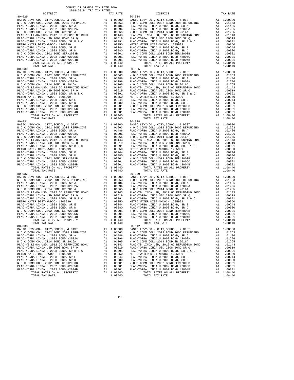| TOTAL TAX RATE                                                                                                                                                                                                                |    | 1.08440    |            |
|-------------------------------------------------------------------------------------------------------------------------------------------------------------------------------------------------------------------------------|----|------------|------------|
|                                                                                                                                                                                                                               |    |            |            |
|                                                                                                                                                                                                                               |    |            |            |
|                                                                                                                                                                                                                               |    |            |            |
|                                                                                                                                                                                                                               |    |            |            |
|                                                                                                                                                                                                                               |    |            |            |
|                                                                                                                                                                                                                               |    |            |            |
|                                                                                                                                                                                                                               |    |            |            |
|                                                                                                                                                                                                                               |    |            |            |
|                                                                                                                                                                                                                               |    |            |            |
|                                                                                                                                                                                                                               |    |            |            |
|                                                                                                                                                                                                                               |    |            |            |
|                                                                                                                                                                                                                               |    |            |            |
|                                                                                                                                                                                                                               |    |            |            |
|                                                                                                                                                                                                                               |    |            |            |
|                                                                                                                                                                                                                               |    |            |            |
|                                                                                                                                                                                                                               |    |            |            |
|                                                                                                                                                                                                                               |    |            |            |
|                                                                                                                                                                                                                               |    |            |            |
|                                                                                                                                                                                                                               |    |            |            |
|                                                                                                                                                                                                                               |    |            |            |
|                                                                                                                                                                                                                               |    |            |            |
|                                                                                                                                                                                                                               |    |            |            |
|                                                                                                                                                                                                                               |    |            |            |
|                                                                                                                                                                                                                               |    |            |            |
|                                                                                                                                                                                                                               |    |            |            |
|                                                                                                                                                                                                                               |    |            |            |
|                                                                                                                                                                                                                               |    |            |            |
|                                                                                                                                                                                                                               |    |            |            |
|                                                                                                                                                                                                                               |    |            |            |
|                                                                                                                                                                                                                               |    |            |            |
|                                                                                                                                                                                                                               |    |            |            |
|                                                                                                                                                                                                                               |    |            |            |
|                                                                                                                                                                                                                               |    |            |            |
|                                                                                                                                                                                                                               |    |            |            |
|                                                                                                                                                                                                                               |    |            |            |
|                                                                                                                                                                                                                               |    |            |            |
|                                                                                                                                                                                                                               |    |            |            |
|                                                                                                                                                                                                                               |    |            |            |
|                                                                                                                                                                                                                               |    |            |            |
|                                                                                                                                                                                                                               |    |            |            |
|                                                                                                                                                                                                                               |    |            |            |
|                                                                                                                                                                                                                               |    |            |            |
|                                                                                                                                                                                                                               |    |            |            |
|                                                                                                                                                                                                                               |    |            |            |
| TOTAL TAX RATE                                                                                                                                                                                                                |    | 1.08440    |            |
| $80 - 032$                                                                                                                                                                                                                    |    |            | $80 - 039$ |
|                                                                                                                                                                                                                               |    |            |            |
|                                                                                                                                                                                                                               |    |            |            |
|                                                                                                                                                                                                                               |    |            |            |
|                                                                                                                                                                                                                               |    |            |            |
|                                                                                                                                                                                                                               |    |            |            |
|                                                                                                                                                                                                                               |    |            |            |
|                                                                                                                                                                                                                               |    |            |            |
|                                                                                                                                                                                                                               |    |            |            |
|                                                                                                                                                                                                                               |    |            |            |
|                                                                                                                                                                                                                               |    |            |            |
|                                                                                                                                                                                                                               |    |            |            |
|                                                                                                                                                                                                                               |    |            |            |
|                                                                                                                                                                                                                               |    |            |            |
|                                                                                                                                                                                                                               |    |            |            |
|                                                                                                                                                                                                                               |    |            |            |
|                                                                                                                                                                                                                               |    |            |            |
|                                                                                                                                                                                                                               |    |            |            |
|                                                                                                                                                                                                                               |    |            |            |
| TOTAL RATES ON ALL PROPERTY                                                                                                                                                                                                   |    | A1 1.08440 |            |
|                                                                                                                                                                                                                               |    |            |            |
| TOTAL TAX RATE                                                                                                                                                                                                                |    | 1,08440    |            |
| $80 - 033$                                                                                                                                                                                                                    |    |            | $80 - 042$ |
|                                                                                                                                                                                                                               |    |            |            |
|                                                                                                                                                                                                                               |    |            |            |
|                                                                                                                                                                                                                               |    |            |            |
| BASIC LEVY-CO., CITY, SCHOOL, & DIST al 1.00000 BASIC LEVY-CO., CITY, SCHOOL, & DIST al 1.00000 BASIC L<br>N O C COMM COLL 2002 BOND 2005 REFUNDING Al .01563 N O C C<br>PLAC-YORBA LINDA U 2008 BOND, SR A al .01486 PLAC-YO |    |            |            |
| PLAC-YORBA LINDA U 2002 BOND #2002A                                                                                                                                                                                           | A1 | .01296     | PLAC-YO    |
|                                                                                                                                                                                                                               |    |            |            |
| N O C COMM COLL 2014 BOND SR 2016A                                                                                                                                                                                            | A1 | .01265     | NOCC       |
| PLAC-YB LINDA USD, 2012 GO REFUNDING BOND                                                                                                                                                                                     | A1 | .01143     | PLAC-YB    |
| PLAC-YORBA LINDA USD 2008 BOND SR Q                                                                                                                                                                                           | A1 | .00619     | PLAC-YO    |
|                                                                                                                                                                                                                               |    |            |            |
| PLAC-YORBA LINDA U 2008 BOND, SR B & C                                                                                                                                                                                        | A1 | .00391     | PLAC-YO    |
| METRO WATER DIST-MWDOC- 1205999                                                                                                                                                                                               | A1 | .00350     | METRO W    |
| PLAC-YORBA LINDA U 2008 BOND, SR E                                                                                                                                                                                            | A1 | .00244     | PLAC-YO    |
|                                                                                                                                                                                                                               |    |            |            |
| PLAC-YORBA LINDA U 2008 BOND, SR D                                                                                                                                                                                            | A1 | .00080     | PLAC-YO    |
| N O C COMM COLL 2002 BOND SER#2003B                                                                                                                                                                                           | A1 | .00001     | NOCC       |
| PLAC-YORBA LINDA U 2002 BOND #2005C                                                                                                                                                                                           | A1 | .00001     | PLAC-YO    |
| PLAC-YORBA LINDA U 2002 BOND #2004B                                                                                                                                                                                           | A1 | .00001     | PLAC-YO    |
|                                                                                                                                                                                                                               |    |            |            |
| TOTAL RATES ON ALL PROPERTY                                                                                                                                                                                                   |    | A1 1.08440 |            |

| COUNTY OF ORANGE TAX RATE BOOK<br>2018-2019 TRA TAX RATES                                                                                                                                                     |          |                                                                                                                                                |    |                        |
|---------------------------------------------------------------------------------------------------------------------------------------------------------------------------------------------------------------|----------|------------------------------------------------------------------------------------------------------------------------------------------------|----|------------------------|
| DISTRICT                                                                                                                                                                                                      | TAX RATE | DISTRICT                                                                                                                                       |    | TAX RATE               |
|                                                                                                                                                                                                               |          |                                                                                                                                                |    |                        |
|                                                                                                                                                                                                               |          |                                                                                                                                                |    |                        |
|                                                                                                                                                                                                               |          |                                                                                                                                                |    |                        |
|                                                                                                                                                                                                               |          |                                                                                                                                                |    |                        |
|                                                                                                                                                                                                               |          |                                                                                                                                                |    |                        |
|                                                                                                                                                                                                               |          |                                                                                                                                                |    |                        |
|                                                                                                                                                                                                               |          |                                                                                                                                                |    |                        |
|                                                                                                                                                                                                               |          |                                                                                                                                                |    |                        |
|                                                                                                                                                                                                               |          |                                                                                                                                                |    |                        |
|                                                                                                                                                                                                               |          |                                                                                                                                                |    |                        |
|                                                                                                                                                                                                               |          |                                                                                                                                                |    |                        |
|                                                                                                                                                                                                               |          |                                                                                                                                                |    |                        |
|                                                                                                                                                                                                               |          |                                                                                                                                                |    |                        |
|                                                                                                                                                                                                               |          |                                                                                                                                                |    |                        |
|                                                                                                                                                                                                               |          |                                                                                                                                                |    |                        |
|                                                                                                                                                                                                               |          |                                                                                                                                                |    |                        |
|                                                                                                                                                                                                               |          |                                                                                                                                                |    |                        |
|                                                                                                                                                                                                               |          |                                                                                                                                                |    |                        |
|                                                                                                                                                                                                               |          |                                                                                                                                                |    |                        |
|                                                                                                                                                                                                               |          |                                                                                                                                                |    |                        |
|                                                                                                                                                                                                               |          |                                                                                                                                                |    |                        |
|                                                                                                                                                                                                               |          |                                                                                                                                                |    |                        |
|                                                                                                                                                                                                               |          |                                                                                                                                                |    |                        |
|                                                                                                                                                                                                               |          |                                                                                                                                                |    |                        |
|                                                                                                                                                                                                               |          |                                                                                                                                                |    |                        |
|                                                                                                                                                                                                               |          |                                                                                                                                                |    |                        |
|                                                                                                                                                                                                               |          |                                                                                                                                                |    |                        |
|                                                                                                                                                                                                               |          |                                                                                                                                                |    |                        |
|                                                                                                                                                                                                               |          |                                                                                                                                                |    |                        |
|                                                                                                                                                                                                               |          |                                                                                                                                                |    |                        |
|                                                                                                                                                                                                               |          |                                                                                                                                                |    |                        |
|                                                                                                                                                                                                               |          |                                                                                                                                                |    |                        |
|                                                                                                                                                                                                               |          |                                                                                                                                                |    |                        |
|                                                                                                                                                                                                               |          |                                                                                                                                                |    |                        |
|                                                                                                                                                                                                               |          |                                                                                                                                                |    |                        |
|                                                                                                                                                                                                               |          |                                                                                                                                                |    |                        |
|                                                                                                                                                                                                               |          |                                                                                                                                                |    |                        |
|                                                                                                                                                                                                               |          |                                                                                                                                                |    |                        |
|                                                                                                                                                                                                               |          |                                                                                                                                                |    |                        |
|                                                                                                                                                                                                               |          |                                                                                                                                                |    |                        |
|                                                                                                                                                                                                               |          |                                                                                                                                                |    |                        |
|                                                                                                                                                                                                               |          |                                                                                                                                                |    |                        |
|                                                                                                                                                                                                               |          |                                                                                                                                                |    |                        |
|                                                                                                                                                                                                               |          |                                                                                                                                                |    |                        |
|                                                                                                                                                                                                               |          |                                                                                                                                                |    |                        |
|                                                                                                                                                                                                               |          |                                                                                                                                                |    |                        |
|                                                                                                                                                                                                               |          |                                                                                                                                                |    |                        |
|                                                                                                                                                                                                               |          |                                                                                                                                                |    |                        |
|                                                                                                                                                                                                               |          |                                                                                                                                                |    |                        |
|                                                                                                                                                                                                               |          |                                                                                                                                                |    |                        |
|                                                                                                                                                                                                               |          |                                                                                                                                                |    |                        |
|                                                                                                                                                                                                               |          |                                                                                                                                                |    |                        |
|                                                                                                                                                                                                               |          |                                                                                                                                                |    |                        |
|                                                                                                                                                                                                               |          |                                                                                                                                                |    |                        |
|                                                                                                                                                                                                               |          |                                                                                                                                                |    |                        |
|                                                                                                                                                                                                               |          |                                                                                                                                                |    |                        |
|                                                                                                                                                                                                               |          |                                                                                                                                                |    |                        |
|                                                                                                                                                                                                               |          |                                                                                                                                                |    |                        |
|                                                                                                                                                                                                               |          |                                                                                                                                                |    |                        |
|                                                                                                                                                                                                               |          |                                                                                                                                                |    |                        |
| TOTAL TAX RATE                                                                                                                                                                                                | 1.08440  | TOTAL TAX RATE                                                                                                                                 |    | 1.08440                |
| $80 - 033$                                                                                                                                                                                                    |          | $80 - 042$                                                                                                                                     |    |                        |
|                                                                                                                                                                                                               |          | BASIC LEVY-CO., CITY, SCHOOL, & DIST                                                                                                           |    | A1 1.00000             |
| BASIC LEVY-CO., CITY, SCHOOL, & DIST<br>BASIC LEVY-CO., CITY, SCHOOL, & DIST<br>NOC COMM COLL 2002 BOND 2005 REFUNDING A1 .01563 NOC COMM COLL 2002 BOND 2005 REFUNDING<br>PLAC-YORBA LINDA U 2008 BOND, SR A |          | A1 .01486 PLAC-YORBA LINDA U 2008 BOND, SR A                                                                                                   |    | A1 .01563<br>A1 .01486 |
| PLAC-YORBA LINDA U 2002 BOND #2002A                                                                                                                                                                           |          | A1 .01296 PLAC-YORBA LINDA U 2002 BOND #2002A                                                                                                  |    | A1 .01296              |
| N O C COMM COLL 2014 BOND SR 2016A                                                                                                                                                                            |          | A1 .01265 NOCCOMM COLL 2014 BOND SR 2016A                                                                                                      |    | A1 .01265              |
| PLAC-YB LINDA USD, 2012 GO REFUNDING BOND                                                                                                                                                                     |          | A1 .01143 PLAC-YB LINDA USD, 2012 GO REFUNDING BOND                                                                                            |    | A1 .01143              |
| PLAC-YORBA LINDA USD 2008 BOND SR Q                                                                                                                                                                           |          |                                                                                                                                                |    | A1 .00619              |
| PLAC-YORBA LINDA U 2008 BOND, SR B & C                                                                                                                                                                        |          | A1 .00619 PLAC-YORBA LINDA USD 2008 BOND SR Q<br>A1 .00391 PLAC-YORBA LINDA U 2008 BOND, SR B & C<br>A1 .00350 METRO WATER DIST-MWDOC- 1205999 | A1 | .00391                 |
| METRO WATER DIST-MWDOC- 1205999                                                                                                                                                                               |          |                                                                                                                                                | A1 | .00350                 |
| PLAC-YORBA LINDA U 2008 BOND, SR E                                                                                                                                                                            |          |                                                                                                                                                |    | A1 .00244              |
| PLAC-YORBA LINDA U 2008 BOND, SR D                                                                                                                                                                            |          |                                                                                                                                                |    | A1 .00080              |
| N O C COMM COLL 2002 BOND SER#2003B<br>PLAC-YORBA LINDA U 2002 BOND #2005C                                                                                                                                    |          |                                                                                                                                                |    | A1 .00001<br>A1 .00001 |
| PLAC-YORBA LINDA U 2002 BOND #2004B                                                                                                                                                                           |          |                                                                                                                                                |    | A1 .00001              |
| TOTAL RATES ON ALL PROPERTY                                                                                                                                                                                   |          | TOTAL RATES ON ALL PROPERTY<br>TOTAL RATES ON ALL PROPERTY                                                                                     |    | A1 1.08440             |
| TOTAL TAX RATE                                                                                                                                                                                                | 1.08440  | TOTAL TAX RATE                                                                                                                                 |    | 1.08440                |

-311-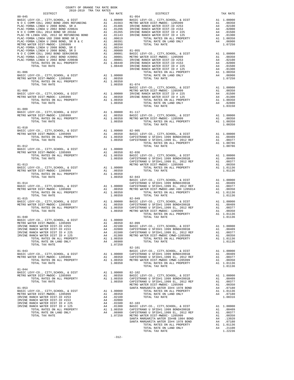| COUNTY OF ORANGE TAX RATE BOOK<br>2018–2019 TRA TAX RATES<br>DISTRICT TAX RJ |                    |                                                                                                                                                                                                                                                                                                                                                                                                                                                             |          |
|------------------------------------------------------------------------------|--------------------|-------------------------------------------------------------------------------------------------------------------------------------------------------------------------------------------------------------------------------------------------------------------------------------------------------------------------------------------------------------------------------------------------------------------------------------------------------------|----------|
|                                                                              |                    |                                                                                                                                                                                                                                                                                                                                                                                                                                                             | TAX RATE |
| $80 - 045$                                                                   |                    | $81 - 054$                                                                                                                                                                                                                                                                                                                                                                                                                                                  |          |
|                                                                              |                    |                                                                                                                                                                                                                                                                                                                                                                                                                                                             |          |
|                                                                              |                    |                                                                                                                                                                                                                                                                                                                                                                                                                                                             |          |
|                                                                              |                    |                                                                                                                                                                                                                                                                                                                                                                                                                                                             |          |
|                                                                              |                    |                                                                                                                                                                                                                                                                                                                                                                                                                                                             |          |
|                                                                              |                    |                                                                                                                                                                                                                                                                                                                                                                                                                                                             |          |
|                                                                              |                    |                                                                                                                                                                                                                                                                                                                                                                                                                                                             |          |
|                                                                              |                    |                                                                                                                                                                                                                                                                                                                                                                                                                                                             |          |
|                                                                              |                    |                                                                                                                                                                                                                                                                                                                                                                                                                                                             |          |
|                                                                              |                    |                                                                                                                                                                                                                                                                                                                                                                                                                                                             |          |
|                                                                              |                    |                                                                                                                                                                                                                                                                                                                                                                                                                                                             |          |
|                                                                              |                    |                                                                                                                                                                                                                                                                                                                                                                                                                                                             |          |
|                                                                              |                    |                                                                                                                                                                                                                                                                                                                                                                                                                                                             |          |
|                                                                              |                    |                                                                                                                                                                                                                                                                                                                                                                                                                                                             |          |
|                                                                              |                    |                                                                                                                                                                                                                                                                                                                                                                                                                                                             |          |
|                                                                              |                    |                                                                                                                                                                                                                                                                                                                                                                                                                                                             |          |
|                                                                              |                    |                                                                                                                                                                                                                                                                                                                                                                                                                                                             |          |
|                                                                              |                    |                                                                                                                                                                                                                                                                                                                                                                                                                                                             |          |
|                                                                              |                    |                                                                                                                                                                                                                                                                                                                                                                                                                                                             |          |
|                                                                              |                    |                                                                                                                                                                                                                                                                                                                                                                                                                                                             |          |
|                                                                              |                    |                                                                                                                                                                                                                                                                                                                                                                                                                                                             |          |
|                                                                              |                    |                                                                                                                                                                                                                                                                                                                                                                                                                                                             |          |
|                                                                              |                    |                                                                                                                                                                                                                                                                                                                                                                                                                                                             |          |
|                                                                              |                    |                                                                                                                                                                                                                                                                                                                                                                                                                                                             |          |
|                                                                              |                    |                                                                                                                                                                                                                                                                                                                                                                                                                                                             |          |
|                                                                              |                    |                                                                                                                                                                                                                                                                                                                                                                                                                                                             |          |
|                                                                              |                    |                                                                                                                                                                                                                                                                                                                                                                                                                                                             |          |
|                                                                              |                    | $\begin{tabular}{lllllllllllllllllllll} \multicolumn{4}{c}{81-009} & & & & & & \\ \multicolumn{4}{c}{\textbf{BASTC LEVY-CO. , CITY, SCHOOL, & E DIST} & & & \\ \multicolumn{4}{c}{\textbf{METRO WATER DIST-} \multicolumn{4}{c}{\textbf{METRO WATER DIST-} \multicolumn{4}{c}{\textbf{METRO WATER DIST-} \multicolumn{4}{c}{\textbf{METRO WATER DIST-} \multicolumn{4}{c}{\textbf{METRO WATER DIST-} \multicolumn{4}{c}{\textbf{METRO WATER DIST-} \multic$ |          |
|                                                                              |                    |                                                                                                                                                                                                                                                                                                                                                                                                                                                             |          |
|                                                                              |                    |                                                                                                                                                                                                                                                                                                                                                                                                                                                             |          |
|                                                                              |                    |                                                                                                                                                                                                                                                                                                                                                                                                                                                             |          |
|                                                                              |                    |                                                                                                                                                                                                                                                                                                                                                                                                                                                             |          |
|                                                                              |                    |                                                                                                                                                                                                                                                                                                                                                                                                                                                             |          |
|                                                                              |                    |                                                                                                                                                                                                                                                                                                                                                                                                                                                             |          |
|                                                                              |                    |                                                                                                                                                                                                                                                                                                                                                                                                                                                             |          |
|                                                                              |                    |                                                                                                                                                                                                                                                                                                                                                                                                                                                             |          |
|                                                                              |                    |                                                                                                                                                                                                                                                                                                                                                                                                                                                             |          |
|                                                                              |                    |                                                                                                                                                                                                                                                                                                                                                                                                                                                             |          |
|                                                                              |                    |                                                                                                                                                                                                                                                                                                                                                                                                                                                             |          |
|                                                                              |                    |                                                                                                                                                                                                                                                                                                                                                                                                                                                             |          |
|                                                                              | $1.00350$ $82-043$ |                                                                                                                                                                                                                                                                                                                                                                                                                                                             |          |
|                                                                              |                    |                                                                                                                                                                                                                                                                                                                                                                                                                                                             |          |
|                                                                              |                    |                                                                                                                                                                                                                                                                                                                                                                                                                                                             |          |
|                                                                              |                    |                                                                                                                                                                                                                                                                                                                                                                                                                                                             |          |
|                                                                              |                    |                                                                                                                                                                                                                                                                                                                                                                                                                                                             |          |
|                                                                              |                    |                                                                                                                                                                                                                                                                                                                                                                                                                                                             |          |
|                                                                              |                    |                                                                                                                                                                                                                                                                                                                                                                                                                                                             |          |
|                                                                              |                    |                                                                                                                                                                                                                                                                                                                                                                                                                                                             |          |
|                                                                              |                    |                                                                                                                                                                                                                                                                                                                                                                                                                                                             |          |
|                                                                              |                    |                                                                                                                                                                                                                                                                                                                                                                                                                                                             |          |
|                                                                              |                    |                                                                                                                                                                                                                                                                                                                                                                                                                                                             |          |
| BASIC LEVY-CO., CITY, SCHOOL, & DIST A1 1.00000                              |                    | $\begin{tabular}{c c c c} \multicolumn{4}{c}{\textbf{0.0350}} & $\text{82-043}$ & $\text{1.00350}$ & $\text{82-043}$ & $\text{1.00000}$ & $\text{RMEY} & $\text{0.0409}$ \\ \multicolumn{4}{c}{\textbf{0.0409}} & $\text{RMET0 WATER DIST-NNDOC-1205999}$ & $\text{A1} & 1.00000$ & $\text{CAPISTRANO U SFIDH1 1999 BCNDH2001B}$ & $\text{A1} & 0.0409$ \\ \multicolumn{4}{c}{\text$                                                                        |          |
|                                                                              |                    |                                                                                                                                                                                                                                                                                                                                                                                                                                                             |          |
|                                                                              |                    |                                                                                                                                                                                                                                                                                                                                                                                                                                                             |          |
|                                                                              |                    |                                                                                                                                                                                                                                                                                                                                                                                                                                                             |          |
|                                                                              |                    |                                                                                                                                                                                                                                                                                                                                                                                                                                                             |          |
|                                                                              |                    |                                                                                                                                                                                                                                                                                                                                                                                                                                                             |          |
|                                                                              |                    |                                                                                                                                                                                                                                                                                                                                                                                                                                                             |          |
|                                                                              |                    | $82 - 101$                                                                                                                                                                                                                                                                                                                                                                                                                                                  |          |
|                                                                              |                    |                                                                                                                                                                                                                                                                                                                                                                                                                                                             |          |
|                                                                              |                    |                                                                                                                                                                                                                                                                                                                                                                                                                                                             |          |
|                                                                              |                    |                                                                                                                                                                                                                                                                                                                                                                                                                                                             |          |
|                                                                              |                    |                                                                                                                                                                                                                                                                                                                                                                                                                                                             |          |
|                                                                              |                    | TOTAL TAX RATE                                                                                                                                                                                                                                                                                                                                                                                                                                              | 1.01136  |
|                                                                              |                    |                                                                                                                                                                                                                                                                                                                                                                                                                                                             |          |
|                                                                              |                    |                                                                                                                                                                                                                                                                                                                                                                                                                                                             |          |
|                                                                              |                    |                                                                                                                                                                                                                                                                                                                                                                                                                                                             |          |
|                                                                              |                    |                                                                                                                                                                                                                                                                                                                                                                                                                                                             |          |
|                                                                              |                    |                                                                                                                                                                                                                                                                                                                                                                                                                                                             |          |
|                                                                              |                    |                                                                                                                                                                                                                                                                                                                                                                                                                                                             |          |
|                                                                              |                    |                                                                                                                                                                                                                                                                                                                                                                                                                                                             |          |
|                                                                              |                    |                                                                                                                                                                                                                                                                                                                                                                                                                                                             |          |
|                                                                              |                    |                                                                                                                                                                                                                                                                                                                                                                                                                                                             |          |
|                                                                              |                    |                                                                                                                                                                                                                                                                                                                                                                                                                                                             |          |
|                                                                              |                    |                                                                                                                                                                                                                                                                                                                                                                                                                                                             |          |
|                                                                              |                    |                                                                                                                                                                                                                                                                                                                                                                                                                                                             |          |
|                                                                              |                    |                                                                                                                                                                                                                                                                                                                                                                                                                                                             |          |
|                                                                              |                    |                                                                                                                                                                                                                                                                                                                                                                                                                                                             |          |
|                                                                              |                    |                                                                                                                                                                                                                                                                                                                                                                                                                                                             |          |
|                                                                              |                    |                                                                                                                                                                                                                                                                                                                                                                                                                                                             |          |
|                                                                              |                    |                                                                                                                                                                                                                                                                                                                                                                                                                                                             |          |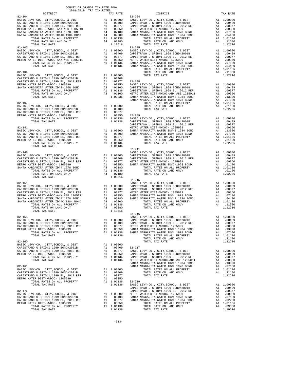| COUNTY OF ORANGE TAX RATE BOOK<br>2018-2019 TRA TAX RATES<br>$\begin{minipage}{.03\textwidth} \begin{tabular}{c} \multicolumn{2}{c}{\textwidth} \end{tabular} \end{minipage} \begin{minipage}{.45\textwidth} \begin{tabular}{c} \multicolumn{2}{c}{\textwidth} \end{tabular} \end{minipage} \begin{minipage}{.45\textwidth} \begin{tabular}{c} \multicolumn{2}{c}{\textwidth} \end{tabular} \end{minipage} \end{minipage} \begin{minipage}{.45\textwidth} \begin{tabular}{c} \multicolumn{2}{c}{\textwidth} \end{tabular} \end{minipage} \end{minipage} \begin{minipage}{.45\textwidth}$ | TAX RATE | DISTRICT                                                                                                                                                                                                                                                                                                                                                                                                   | TAX RATE |
|------------------------------------------------------------------------------------------------------------------------------------------------------------------------------------------------------------------------------------------------------------------------------------------------------------------------------------------------------------------------------------------------------------------------------------------------------------------------------------------------------------------------------------------------------------------------------------------|----------|------------------------------------------------------------------------------------------------------------------------------------------------------------------------------------------------------------------------------------------------------------------------------------------------------------------------------------------------------------------------------------------------------------|----------|
| $82 - 104$                                                                                                                                                                                                                                                                                                                                                                                                                                                                                                                                                                               |          | $82 - 204$                                                                                                                                                                                                                                                                                                                                                                                                 |          |
|                                                                                                                                                                                                                                                                                                                                                                                                                                                                                                                                                                                          |          |                                                                                                                                                                                                                                                                                                                                                                                                            |          |
|                                                                                                                                                                                                                                                                                                                                                                                                                                                                                                                                                                                          |          |                                                                                                                                                                                                                                                                                                                                                                                                            |          |
|                                                                                                                                                                                                                                                                                                                                                                                                                                                                                                                                                                                          |          |                                                                                                                                                                                                                                                                                                                                                                                                            |          |
|                                                                                                                                                                                                                                                                                                                                                                                                                                                                                                                                                                                          |          |                                                                                                                                                                                                                                                                                                                                                                                                            |          |
|                                                                                                                                                                                                                                                                                                                                                                                                                                                                                                                                                                                          |          |                                                                                                                                                                                                                                                                                                                                                                                                            |          |
|                                                                                                                                                                                                                                                                                                                                                                                                                                                                                                                                                                                          |          |                                                                                                                                                                                                                                                                                                                                                                                                            |          |
|                                                                                                                                                                                                                                                                                                                                                                                                                                                                                                                                                                                          |          |                                                                                                                                                                                                                                                                                                                                                                                                            |          |
|                                                                                                                                                                                                                                                                                                                                                                                                                                                                                                                                                                                          |          |                                                                                                                                                                                                                                                                                                                                                                                                            |          |
|                                                                                                                                                                                                                                                                                                                                                                                                                                                                                                                                                                                          |          |                                                                                                                                                                                                                                                                                                                                                                                                            |          |
|                                                                                                                                                                                                                                                                                                                                                                                                                                                                                                                                                                                          |          |                                                                                                                                                                                                                                                                                                                                                                                                            |          |
|                                                                                                                                                                                                                                                                                                                                                                                                                                                                                                                                                                                          |          |                                                                                                                                                                                                                                                                                                                                                                                                            |          |
|                                                                                                                                                                                                                                                                                                                                                                                                                                                                                                                                                                                          |          |                                                                                                                                                                                                                                                                                                                                                                                                            |          |
|                                                                                                                                                                                                                                                                                                                                                                                                                                                                                                                                                                                          |          |                                                                                                                                                                                                                                                                                                                                                                                                            |          |
|                                                                                                                                                                                                                                                                                                                                                                                                                                                                                                                                                                                          |          |                                                                                                                                                                                                                                                                                                                                                                                                            |          |
|                                                                                                                                                                                                                                                                                                                                                                                                                                                                                                                                                                                          |          |                                                                                                                                                                                                                                                                                                                                                                                                            |          |
|                                                                                                                                                                                                                                                                                                                                                                                                                                                                                                                                                                                          |          |                                                                                                                                                                                                                                                                                                                                                                                                            |          |
|                                                                                                                                                                                                                                                                                                                                                                                                                                                                                                                                                                                          |          |                                                                                                                                                                                                                                                                                                                                                                                                            |          |
|                                                                                                                                                                                                                                                                                                                                                                                                                                                                                                                                                                                          |          |                                                                                                                                                                                                                                                                                                                                                                                                            |          |
|                                                                                                                                                                                                                                                                                                                                                                                                                                                                                                                                                                                          |          |                                                                                                                                                                                                                                                                                                                                                                                                            |          |
|                                                                                                                                                                                                                                                                                                                                                                                                                                                                                                                                                                                          |          |                                                                                                                                                                                                                                                                                                                                                                                                            |          |
|                                                                                                                                                                                                                                                                                                                                                                                                                                                                                                                                                                                          |          |                                                                                                                                                                                                                                                                                                                                                                                                            |          |
|                                                                                                                                                                                                                                                                                                                                                                                                                                                                                                                                                                                          |          |                                                                                                                                                                                                                                                                                                                                                                                                            |          |
|                                                                                                                                                                                                                                                                                                                                                                                                                                                                                                                                                                                          |          |                                                                                                                                                                                                                                                                                                                                                                                                            |          |
|                                                                                                                                                                                                                                                                                                                                                                                                                                                                                                                                                                                          |          |                                                                                                                                                                                                                                                                                                                                                                                                            |          |
|                                                                                                                                                                                                                                                                                                                                                                                                                                                                                                                                                                                          |          |                                                                                                                                                                                                                                                                                                                                                                                                            |          |
|                                                                                                                                                                                                                                                                                                                                                                                                                                                                                                                                                                                          |          |                                                                                                                                                                                                                                                                                                                                                                                                            |          |
|                                                                                                                                                                                                                                                                                                                                                                                                                                                                                                                                                                                          |          |                                                                                                                                                                                                                                                                                                                                                                                                            |          |
|                                                                                                                                                                                                                                                                                                                                                                                                                                                                                                                                                                                          |          |                                                                                                                                                                                                                                                                                                                                                                                                            |          |
|                                                                                                                                                                                                                                                                                                                                                                                                                                                                                                                                                                                          |          |                                                                                                                                                                                                                                                                                                                                                                                                            |          |
|                                                                                                                                                                                                                                                                                                                                                                                                                                                                                                                                                                                          |          |                                                                                                                                                                                                                                                                                                                                                                                                            |          |
|                                                                                                                                                                                                                                                                                                                                                                                                                                                                                                                                                                                          |          |                                                                                                                                                                                                                                                                                                                                                                                                            |          |
|                                                                                                                                                                                                                                                                                                                                                                                                                                                                                                                                                                                          |          |                                                                                                                                                                                                                                                                                                                                                                                                            |          |
|                                                                                                                                                                                                                                                                                                                                                                                                                                                                                                                                                                                          |          |                                                                                                                                                                                                                                                                                                                                                                                                            |          |
|                                                                                                                                                                                                                                                                                                                                                                                                                                                                                                                                                                                          |          |                                                                                                                                                                                                                                                                                                                                                                                                            |          |
|                                                                                                                                                                                                                                                                                                                                                                                                                                                                                                                                                                                          |          |                                                                                                                                                                                                                                                                                                                                                                                                            |          |
|                                                                                                                                                                                                                                                                                                                                                                                                                                                                                                                                                                                          |          |                                                                                                                                                                                                                                                                                                                                                                                                            |          |
|                                                                                                                                                                                                                                                                                                                                                                                                                                                                                                                                                                                          |          |                                                                                                                                                                                                                                                                                                                                                                                                            |          |
|                                                                                                                                                                                                                                                                                                                                                                                                                                                                                                                                                                                          |          |                                                                                                                                                                                                                                                                                                                                                                                                            |          |
|                                                                                                                                                                                                                                                                                                                                                                                                                                                                                                                                                                                          |          |                                                                                                                                                                                                                                                                                                                                                                                                            |          |
|                                                                                                                                                                                                                                                                                                                                                                                                                                                                                                                                                                                          |          |                                                                                                                                                                                                                                                                                                                                                                                                            |          |
|                                                                                                                                                                                                                                                                                                                                                                                                                                                                                                                                                                                          |          |                                                                                                                                                                                                                                                                                                                                                                                                            |          |
|                                                                                                                                                                                                                                                                                                                                                                                                                                                                                                                                                                                          |          |                                                                                                                                                                                                                                                                                                                                                                                                            |          |
|                                                                                                                                                                                                                                                                                                                                                                                                                                                                                                                                                                                          |          |                                                                                                                                                                                                                                                                                                                                                                                                            |          |
|                                                                                                                                                                                                                                                                                                                                                                                                                                                                                                                                                                                          |          |                                                                                                                                                                                                                                                                                                                                                                                                            |          |
|                                                                                                                                                                                                                                                                                                                                                                                                                                                                                                                                                                                          |          |                                                                                                                                                                                                                                                                                                                                                                                                            |          |
|                                                                                                                                                                                                                                                                                                                                                                                                                                                                                                                                                                                          |          |                                                                                                                                                                                                                                                                                                                                                                                                            |          |
|                                                                                                                                                                                                                                                                                                                                                                                                                                                                                                                                                                                          |          |                                                                                                                                                                                                                                                                                                                                                                                                            |          |
|                                                                                                                                                                                                                                                                                                                                                                                                                                                                                                                                                                                          |          |                                                                                                                                                                                                                                                                                                                                                                                                            |          |
|                                                                                                                                                                                                                                                                                                                                                                                                                                                                                                                                                                                          |          |                                                                                                                                                                                                                                                                                                                                                                                                            |          |
|                                                                                                                                                                                                                                                                                                                                                                                                                                                                                                                                                                                          |          |                                                                                                                                                                                                                                                                                                                                                                                                            |          |
|                                                                                                                                                                                                                                                                                                                                                                                                                                                                                                                                                                                          |          |                                                                                                                                                                                                                                                                                                                                                                                                            |          |
|                                                                                                                                                                                                                                                                                                                                                                                                                                                                                                                                                                                          |          |                                                                                                                                                                                                                                                                                                                                                                                                            |          |
|                                                                                                                                                                                                                                                                                                                                                                                                                                                                                                                                                                                          |          |                                                                                                                                                                                                                                                                                                                                                                                                            |          |
|                                                                                                                                                                                                                                                                                                                                                                                                                                                                                                                                                                                          |          |                                                                                                                                                                                                                                                                                                                                                                                                            |          |
|                                                                                                                                                                                                                                                                                                                                                                                                                                                                                                                                                                                          |          |                                                                                                                                                                                                                                                                                                                                                                                                            |          |
|                                                                                                                                                                                                                                                                                                                                                                                                                                                                                                                                                                                          |          |                                                                                                                                                                                                                                                                                                                                                                                                            |          |
|                                                                                                                                                                                                                                                                                                                                                                                                                                                                                                                                                                                          |          |                                                                                                                                                                                                                                                                                                                                                                                                            |          |
|                                                                                                                                                                                                                                                                                                                                                                                                                                                                                                                                                                                          |          |                                                                                                                                                                                                                                                                                                                                                                                                            |          |
|                                                                                                                                                                                                                                                                                                                                                                                                                                                                                                                                                                                          |          |                                                                                                                                                                                                                                                                                                                                                                                                            |          |
|                                                                                                                                                                                                                                                                                                                                                                                                                                                                                                                                                                                          |          |                                                                                                                                                                                                                                                                                                                                                                                                            |          |
|                                                                                                                                                                                                                                                                                                                                                                                                                                                                                                                                                                                          |          |                                                                                                                                                                                                                                                                                                                                                                                                            |          |
|                                                                                                                                                                                                                                                                                                                                                                                                                                                                                                                                                                                          |          |                                                                                                                                                                                                                                                                                                                                                                                                            |          |
|                                                                                                                                                                                                                                                                                                                                                                                                                                                                                                                                                                                          |          |                                                                                                                                                                                                                                                                                                                                                                                                            |          |
|                                                                                                                                                                                                                                                                                                                                                                                                                                                                                                                                                                                          |          |                                                                                                                                                                                                                                                                                                                                                                                                            |          |
|                                                                                                                                                                                                                                                                                                                                                                                                                                                                                                                                                                                          |          |                                                                                                                                                                                                                                                                                                                                                                                                            |          |
|                                                                                                                                                                                                                                                                                                                                                                                                                                                                                                                                                                                          |          |                                                                                                                                                                                                                                                                                                                                                                                                            |          |
|                                                                                                                                                                                                                                                                                                                                                                                                                                                                                                                                                                                          |          |                                                                                                                                                                                                                                                                                                                                                                                                            |          |
|                                                                                                                                                                                                                                                                                                                                                                                                                                                                                                                                                                                          |          | $\begin{tabular}{c c c c c} TOTAL RATES ON ALL PROPERTIES \\\hline \texttt{TCTL RATES ON ALL PROBERTY} & \texttt{A1 1.01136} & 82-219 \\ \texttt{TCTL} & \texttt{TCTL} & \texttt{1.01136} & 82-219 \\ \texttt{TCTL} & \texttt{1.01136} & 82-219 \\ \texttt{BASTC LEVY-CO., CITY, SCHOOL, & \texttt{CAPTS} & \texttt{A1 1.00000} \\ \texttt{BASTC LEVY-CO., CITY, SCHOOL, & \texttt{DISTT} & \texttt{A1 1.$ |          |
|                                                                                                                                                                                                                                                                                                                                                                                                                                                                                                                                                                                          |          |                                                                                                                                                                                                                                                                                                                                                                                                            |          |
|                                                                                                                                                                                                                                                                                                                                                                                                                                                                                                                                                                                          |          |                                                                                                                                                                                                                                                                                                                                                                                                            |          |
|                                                                                                                                                                                                                                                                                                                                                                                                                                                                                                                                                                                          |          |                                                                                                                                                                                                                                                                                                                                                                                                            |          |
|                                                                                                                                                                                                                                                                                                                                                                                                                                                                                                                                                                                          |          |                                                                                                                                                                                                                                                                                                                                                                                                            |          |
|                                                                                                                                                                                                                                                                                                                                                                                                                                                                                                                                                                                          |          |                                                                                                                                                                                                                                                                                                                                                                                                            |          |
|                                                                                                                                                                                                                                                                                                                                                                                                                                                                                                                                                                                          |          |                                                                                                                                                                                                                                                                                                                                                                                                            |          |
|                                                                                                                                                                                                                                                                                                                                                                                                                                                                                                                                                                                          |          |                                                                                                                                                                                                                                                                                                                                                                                                            |          |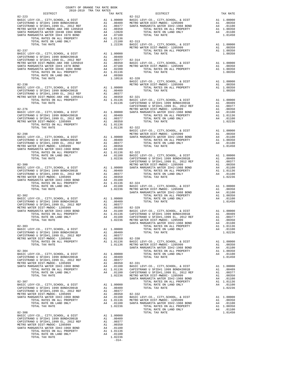| COUNTY OF ORANGE TAX RATE BOOK<br>2018-2019 TRA TAX RATES                                                                                                                                                                                                                                                                                                                                                                                  |                  |                                                                                                                   |                                  |
|--------------------------------------------------------------------------------------------------------------------------------------------------------------------------------------------------------------------------------------------------------------------------------------------------------------------------------------------------------------------------------------------------------------------------------------------|------------------|-------------------------------------------------------------------------------------------------------------------|----------------------------------|
| DISTRICT<br>$82 - 223$                                                                                                                                                                                                                                                                                                                                                                                                                     |                  | TAX RATE                                                                                                          | 82-312                           |
|                                                                                                                                                                                                                                                                                                                                                                                                                                            |                  |                                                                                                                   |                                  |
|                                                                                                                                                                                                                                                                                                                                                                                                                                            |                  |                                                                                                                   | METRO W                          |
| $82 - 237$<br>TOTAL TAX RATE                                                                                                                                                                                                                                                                                                                                                                                                               |                  | 1.10516 82-320                                                                                                    |                                  |
|                                                                                                                                                                                                                                                                                                                                                                                                                                            |                  |                                                                                                                   |                                  |
|                                                                                                                                                                                                                                                                                                                                                                                                                                            |                  |                                                                                                                   | CAPISTR                          |
| $82 - 276$<br>METRO WERO WERRO WERRO WERRO WERRO WERRO WAS TRANSPORTED AT 1.00000 SANTA M<br>CAPISTRANO U SFID#1.1999 BOND#2001B A1 .00409<br>CAPISTRANO U SFID#1.1999 EL, 2012 REF A1 .00377<br>METRO WATER DIST-MWDOC-1205999 A1 .00377<br>TOTAL RATES ON ALL PROPERTY<br>TOTAL RATES ON ALL PROPERTY<br>TOTAL TAX RATE                                                                                                                  |                  | A1 .00350<br>A1 1.01136<br>1.01136                                                                                | METRO W<br>82-322                |
| $82 - 298$                                                                                                                                                                                                                                                                                                                                                                                                                                 |                  |                                                                                                                   | BASIC L<br>METRO W               |
|                                                                                                                                                                                                                                                                                                                                                                                                                                            |                  |                                                                                                                   |                                  |
|                                                                                                                                                                                                                                                                                                                                                                                                                                            |                  |                                                                                                                   |                                  |
| $82 - 302$<br>$\begin{tabular}{l c c c c c} \texttt{METRO} & \texttt{MATER} & \texttt{DIST-MMDOC} & \texttt{120599} & \texttt{0.00350} & \texttt{0.00350} & \texttt{82-329} \\ \texttt{SANTA} & \texttt{MARGARTA} & \texttt{MATER} & \texttt{IDH2-1968} & \texttt{BOND} & \texttt{A4} & \texttt{.01100} & \texttt{BASIC L \\ & \texttt{TOTL} & \texttt{RTES} & \texttt{ON} & \texttt{LAND} & \texttt{ONLY} & \texttt{A1$<br>TOTAL TAX RATE |                  |                                                                                                                   | 1.02236 METRO W<br>SANTA M       |
| $82 - 303$<br>BASIC LEVY-CO., CITY, SCHOOL, & DIST<br>CAPISTRANO U SFID#1 1999 BOND#2001B<br>CAPISTRANO U SFID#1,1999 EL, 2012 REF<br>METRO WATER DIST-MWDOC- 1205999<br>TOTAL RATES ON ALL PROPERTY<br>TOTAL TAX RATE                                                                                                                                                                                                                     | A1               | A1 1.00000<br>A1 .00409<br>.00377<br>A1 .00350 82-330<br>A1 1.01136 BASIC L<br>1.01136 METROW                     | SANTA M                          |
| $82 - 304$<br>BASIC LEVY-CO., CITY, SCHOOL, & DIST<br>CAPISTRANO U SFID#1 1999 BOND#2001B<br>CAPISTRANO U SFID#1,1999 EL, 2012 REF<br>METRO WATER DIST-MWDOC- 1205999<br>SANTA MARGARITA WATER ID#2-1968 BOND<br>TOTAL RATES ON ALL PROPERTY<br>TOTAL RATE ON LAND ONLY<br>TOTAL TAX RATE                                                                                                                                                  | A1<br>A1<br>A4   | A1 1.00000<br>A1.00409<br>.00377<br>.00350<br>.01100<br>A1 1.01136 CAPISTR<br>A4 .01100 CAPISTR<br>1.02236 METROW | $82 - 331$<br>BASIC L<br>SANTA M |
| $82 - 307$<br>BASIC LEVY-CO., CITY, SCHOOL, & DIST<br>CAPISTRANO U SFID#1 1999 BOND#2001B<br>CAPISTRANO U SFID#1,1999 EL, 2012 REF<br>METRO WATER DIST-MWDOC- 1205999<br>SANTA MARGARITA WATER ID#2-1968 BOND<br>TOTAL RATES ON ALL PROPERTY<br>TOTAL RATE ON LAND ONLY<br>TOTAL TAX RATE                                                                                                                                                  | A1 1.00000<br>A1 | A1 .00409<br>.00377<br>Al .00350 82-332<br>A4 .01100 BASIC L<br>A1 1.01136 METROW<br>A4 .01100 SANTA M<br>1.02236 |                                  |
| $82 - 308$<br>82-300<br>BASIC LEVY-CO., CITY, SCHOOL, & DIST<br>CAPISTRANO U SFID#1 1999 BOND#2001B<br>CAPISTRANO U SFID#1,1999 BL, 2012<br>CAPISTRANO U SFID#1,1999 BL, 200000<br>METRO WATER DIST-MWDOC- 1205999<br>SANTA MARGARITA WATER ID#2-1968 BOND<br>TOTAL RATES ON ALL PROPERTY<br>TOTAL RATE ON LAND ONLY<br>TOTAL TAX RATE                                                                                                     | A1<br>A1<br>A4   | A1 1.00000<br>A1.00409<br>.00377<br>.00350<br>.01100<br>A1 1.01136<br>A4 .01100<br>1.02236<br>$-314-$             |                                  |

|                                                                                                                                                      |  | METRO WATER ULSE<br>TOTAL FAX RATE<br>TOTAL TAX RATE (EVITAGES ON LAL PROPERTY), SCHOOL, & DIST<br>CAPISTRANO U SFIDHI 1999 BCL, 2012 REF A1 0.0000 TOTAL TAX RATE ON LARU WALL<br>CAPISTRANO U SFIDHI 1999 BCL, 2012 REF A1 0 |  |
|------------------------------------------------------------------------------------------------------------------------------------------------------|--|--------------------------------------------------------------------------------------------------------------------------------------------------------------------------------------------------------------------------------|--|
|                                                                                                                                                      |  |                                                                                                                                                                                                                                |  |
|                                                                                                                                                      |  |                                                                                                                                                                                                                                |  |
|                                                                                                                                                      |  |                                                                                                                                                                                                                                |  |
|                                                                                                                                                      |  |                                                                                                                                                                                                                                |  |
|                                                                                                                                                      |  |                                                                                                                                                                                                                                |  |
|                                                                                                                                                      |  |                                                                                                                                                                                                                                |  |
|                                                                                                                                                      |  |                                                                                                                                                                                                                                |  |
|                                                                                                                                                      |  |                                                                                                                                                                                                                                |  |
| BASIC LEVY-CO., CITY, SCHOOL, & DIST A1 1.00000<br>CAPISTRANO U SFID#1 1999 BOND#2001B A1 .00409<br>CAPISTRANO U GETD#1 1998 BY 2019 BELL A1 .004097 |  |                                                                                                                                                                                                                                |  |
|                                                                                                                                                      |  |                                                                                                                                                                                                                                |  |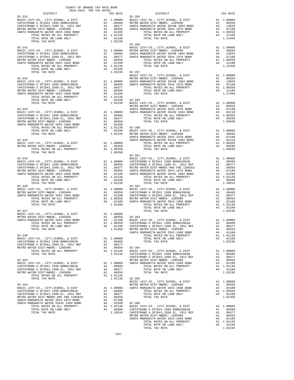| COUNTY OF ORANGE TAX RATE BOOK<br>2018-2019 TRA TAX RATES                            |          |                        |            |
|--------------------------------------------------------------------------------------|----------|------------------------|------------|
| DISTRICT<br>$82 - 333$                                                               | TAX RATE | $82 - 355$<br>DISTRICT | TAX RATE   |
|                                                                                      |          |                        |            |
|                                                                                      |          |                        |            |
|                                                                                      |          |                        |            |
|                                                                                      |          |                        |            |
|                                                                                      |          |                        |            |
|                                                                                      |          |                        |            |
|                                                                                      |          |                        |            |
|                                                                                      |          |                        |            |
|                                                                                      |          |                        |            |
|                                                                                      |          |                        |            |
|                                                                                      |          |                        |            |
|                                                                                      |          |                        |            |
|                                                                                      |          |                        |            |
|                                                                                      |          |                        |            |
|                                                                                      |          |                        |            |
|                                                                                      |          |                        |            |
|                                                                                      |          |                        |            |
|                                                                                      |          |                        |            |
|                                                                                      |          |                        |            |
|                                                                                      |          |                        |            |
|                                                                                      |          |                        |            |
|                                                                                      |          |                        |            |
|                                                                                      |          |                        |            |
|                                                                                      |          |                        |            |
|                                                                                      |          |                        |            |
|                                                                                      |          |                        |            |
|                                                                                      |          |                        |            |
|                                                                                      |          |                        |            |
|                                                                                      |          |                        |            |
|                                                                                      |          |                        |            |
|                                                                                      |          |                        |            |
|                                                                                      |          |                        |            |
|                                                                                      |          |                        |            |
|                                                                                      |          |                        |            |
|                                                                                      |          |                        |            |
|                                                                                      |          |                        |            |
|                                                                                      |          |                        |            |
|                                                                                      |          |                        |            |
|                                                                                      |          |                        |            |
|                                                                                      |          |                        |            |
|                                                                                      |          |                        |            |
|                                                                                      |          |                        |            |
|                                                                                      |          |                        |            |
|                                                                                      |          |                        |            |
|                                                                                      |          |                        |            |
|                                                                                      |          | $82 - 363$             |            |
| SANTA MARGARITA WATER ID#2-1968 BOND 6 A4 .01100 BASIC LEVY-CO., CITY.SCHOOL, & DIST |          |                        | A1 1.00000 |
|                                                                                      |          |                        |            |
|                                                                                      |          |                        |            |
|                                                                                      |          |                        |            |
|                                                                                      |          |                        |            |
|                                                                                      |          |                        |            |
|                                                                                      |          |                        |            |
|                                                                                      |          |                        |            |
|                                                                                      |          |                        |            |
|                                                                                      |          |                        |            |
|                                                                                      |          |                        |            |
|                                                                                      |          |                        |            |
|                                                                                      |          |                        |            |
|                                                                                      |          |                        |            |
|                                                                                      |          |                        |            |
|                                                                                      |          |                        |            |
|                                                                                      |          |                        |            |
|                                                                                      |          |                        |            |
|                                                                                      |          |                        |            |
|                                                                                      |          |                        |            |
|                                                                                      |          |                        |            |
|                                                                                      |          |                        |            |
|                                                                                      |          |                        |            |
|                                                                                      |          |                        |            |
|                                                                                      |          |                        |            |
|                                                                                      |          |                        |            |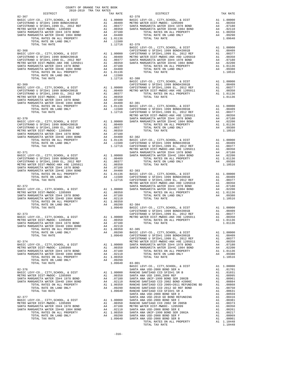|            | 2018-2019 TRA TAX RATES<br>DISTRICT |  | TRA TAX RATES<br>TAX RATE DISTRICT                                                                                                                                                                                                                                                                                                                                                                       | TAX RATE |
|------------|-------------------------------------|--|----------------------------------------------------------------------------------------------------------------------------------------------------------------------------------------------------------------------------------------------------------------------------------------------------------------------------------------------------------------------------------------------------------|----------|
| $82 - 367$ |                                     |  | $82 - 378$                                                                                                                                                                                                                                                                                                                                                                                               |          |
|            |                                     |  |                                                                                                                                                                                                                                                                                                                                                                                                          |          |
|            |                                     |  |                                                                                                                                                                                                                                                                                                                                                                                                          |          |
|            |                                     |  |                                                                                                                                                                                                                                                                                                                                                                                                          |          |
|            |                                     |  |                                                                                                                                                                                                                                                                                                                                                                                                          |          |
|            |                                     |  |                                                                                                                                                                                                                                                                                                                                                                                                          |          |
|            |                                     |  |                                                                                                                                                                                                                                                                                                                                                                                                          |          |
|            |                                     |  |                                                                                                                                                                                                                                                                                                                                                                                                          |          |
|            |                                     |  | $\begin{tabular}{l c c c c c} \multicolumn{4}{c c c} \multicolumn{4}{c c c} \multicolumn{4}{c c c} \multicolumn{4}{c c c} \multicolumn{4}{c c c} \multicolumn{4}{c c c} \multicolumn{4}{c c c} \multicolumn{4}{c c c} \multicolumn{4}{c c c} \multicolumn{4}{c c c} \multicolumn{4}{c c c} \multicolumn{4}{c c c} \multicolumn{4}{c c c} \multicolumn{4}{c c c} \multicolumn{4}{c c c} \multicolumn{4}{$ |          |
|            |                                     |  |                                                                                                                                                                                                                                                                                                                                                                                                          |          |
|            |                                     |  |                                                                                                                                                                                                                                                                                                                                                                                                          |          |
|            |                                     |  |                                                                                                                                                                                                                                                                                                                                                                                                          |          |
|            |                                     |  |                                                                                                                                                                                                                                                                                                                                                                                                          |          |
|            |                                     |  |                                                                                                                                                                                                                                                                                                                                                                                                          |          |
|            |                                     |  |                                                                                                                                                                                                                                                                                                                                                                                                          |          |
|            |                                     |  |                                                                                                                                                                                                                                                                                                                                                                                                          |          |
|            |                                     |  |                                                                                                                                                                                                                                                                                                                                                                                                          |          |
|            |                                     |  |                                                                                                                                                                                                                                                                                                                                                                                                          |          |
|            |                                     |  |                                                                                                                                                                                                                                                                                                                                                                                                          |          |
|            |                                     |  |                                                                                                                                                                                                                                                                                                                                                                                                          |          |
|            |                                     |  |                                                                                                                                                                                                                                                                                                                                                                                                          |          |
|            |                                     |  |                                                                                                                                                                                                                                                                                                                                                                                                          |          |
|            |                                     |  |                                                                                                                                                                                                                                                                                                                                                                                                          |          |
|            |                                     |  |                                                                                                                                                                                                                                                                                                                                                                                                          |          |
|            |                                     |  |                                                                                                                                                                                                                                                                                                                                                                                                          |          |
|            |                                     |  |                                                                                                                                                                                                                                                                                                                                                                                                          |          |
|            |                                     |  |                                                                                                                                                                                                                                                                                                                                                                                                          |          |
|            |                                     |  |                                                                                                                                                                                                                                                                                                                                                                                                          |          |
|            |                                     |  | 1700, APPE (1917), AND 1920, A 121, 1911 1920, A 121, 1911 1922, A 121, 1912 1922, A 121, 1912 1922, A 121, 1912 1922, A 121, 1912 1922, A 121, 1912 1922, A 121, 1912 1922, A 121, 1912 1922, A 121, 1912 1922, A 121, 1912                                                                                                                                                                             |          |
|            |                                     |  |                                                                                                                                                                                                                                                                                                                                                                                                          |          |
|            |                                     |  |                                                                                                                                                                                                                                                                                                                                                                                                          |          |
|            |                                     |  |                                                                                                                                                                                                                                                                                                                                                                                                          |          |
|            |                                     |  |                                                                                                                                                                                                                                                                                                                                                                                                          |          |
|            |                                     |  |                                                                                                                                                                                                                                                                                                                                                                                                          |          |
|            |                                     |  |                                                                                                                                                                                                                                                                                                                                                                                                          |          |
|            |                                     |  |                                                                                                                                                                                                                                                                                                                                                                                                          |          |
|            |                                     |  |                                                                                                                                                                                                                                                                                                                                                                                                          |          |
|            |                                     |  |                                                                                                                                                                                                                                                                                                                                                                                                          |          |
|            |                                     |  |                                                                                                                                                                                                                                                                                                                                                                                                          |          |
|            |                                     |  |                                                                                                                                                                                                                                                                                                                                                                                                          |          |
|            |                                     |  |                                                                                                                                                                                                                                                                                                                                                                                                          |          |
|            |                                     |  |                                                                                                                                                                                                                                                                                                                                                                                                          |          |
|            |                                     |  |                                                                                                                                                                                                                                                                                                                                                                                                          |          |
|            |                                     |  |                                                                                                                                                                                                                                                                                                                                                                                                          |          |
|            |                                     |  |                                                                                                                                                                                                                                                                                                                                                                                                          |          |
|            |                                     |  |                                                                                                                                                                                                                                                                                                                                                                                                          |          |
|            |                                     |  |                                                                                                                                                                                                                                                                                                                                                                                                          |          |
|            |                                     |  |                                                                                                                                                                                                                                                                                                                                                                                                          |          |
|            |                                     |  |                                                                                                                                                                                                                                                                                                                                                                                                          |          |
|            |                                     |  |                                                                                                                                                                                                                                                                                                                                                                                                          |          |
|            |                                     |  |                                                                                                                                                                                                                                                                                                                                                                                                          |          |
|            |                                     |  |                                                                                                                                                                                                                                                                                                                                                                                                          |          |
|            |                                     |  |                                                                                                                                                                                                                                                                                                                                                                                                          |          |
|            |                                     |  |                                                                                                                                                                                                                                                                                                                                                                                                          |          |
|            |                                     |  |                                                                                                                                                                                                                                                                                                                                                                                                          |          |
|            |                                     |  |                                                                                                                                                                                                                                                                                                                                                                                                          |          |
|            |                                     |  | $\begin{tabular}{l c c c c} \texttt{METRO} & \texttt{REST}-\texttt{WWPCO}, & \texttt{COTAL} & \texttt{RATE} & \texttt{DIST-MWDC-1205999} & \texttt{A1} & 0.00300 & \texttt{METRO} & \texttt{NETRO} & \texttt{NATE} & \texttt{DST-MWDC-1205999} & \texttt{A1} & 0.0350 & \texttt{TOTAL RATES} & \texttt{NALD} & \texttt{ROPERTY} & \texttt{A1} & 1.01136 & \texttt{SANTA MARGARTA NATER DIST-M$           |          |
|            |                                     |  |                                                                                                                                                                                                                                                                                                                                                                                                          |          |
|            |                                     |  |                                                                                                                                                                                                                                                                                                                                                                                                          |          |
|            |                                     |  |                                                                                                                                                                                                                                                                                                                                                                                                          |          |
|            |                                     |  |                                                                                                                                                                                                                                                                                                                                                                                                          |          |
|            |                                     |  |                                                                                                                                                                                                                                                                                                                                                                                                          |          |
|            |                                     |  |                                                                                                                                                                                                                                                                                                                                                                                                          |          |
|            |                                     |  |                                                                                                                                                                                                                                                                                                                                                                                                          |          |
|            |                                     |  |                                                                                                                                                                                                                                                                                                                                                                                                          |          |
|            |                                     |  |                                                                                                                                                                                                                                                                                                                                                                                                          |          |
|            |                                     |  |                                                                                                                                                                                                                                                                                                                                                                                                          |          |
|            |                                     |  |                                                                                                                                                                                                                                                                                                                                                                                                          |          |
|            |                                     |  |                                                                                                                                                                                                                                                                                                                                                                                                          |          |
|            |                                     |  | $\begin{tabular}{cccc} 10144&K145&60000&0.0000&0.00000&0.00000&0.00000&0.00000&0.00000&0.00000&0.00000&0.00000&0.00000&0.00000&0.00000&0.0000&0.0000&0.0000&0.0000&0.0000&0.0000&0.0000&0.0000&0.0000&0.0000&0.0000&0.0000&0.0000&0.0000&0$                                                                                                                                                              |          |
|            |                                     |  |                                                                                                                                                                                                                                                                                                                                                                                                          |          |
|            |                                     |  |                                                                                                                                                                                                                                                                                                                                                                                                          |          |
|            |                                     |  |                                                                                                                                                                                                                                                                                                                                                                                                          |          |
|            |                                     |  |                                                                                                                                                                                                                                                                                                                                                                                                          |          |
|            |                                     |  |                                                                                                                                                                                                                                                                                                                                                                                                          |          |
|            |                                     |  |                                                                                                                                                                                                                                                                                                                                                                                                          |          |
|            |                                     |  |                                                                                                                                                                                                                                                                                                                                                                                                          |          |
|            |                                     |  |                                                                                                                                                                                                                                                                                                                                                                                                          |          |
|            |                                     |  |                                                                                                                                                                                                                                                                                                                                                                                                          |          |
|            |                                     |  |                                                                                                                                                                                                                                                                                                                                                                                                          |          |
|            |                                     |  |                                                                                                                                                                                                                                                                                                                                                                                                          |          |
|            |                                     |  |                                                                                                                                                                                                                                                                                                                                                                                                          |          |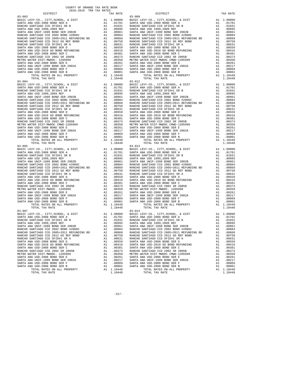| COUNTY OF ORANGE TAX RATE BOOK |          |                |          |
|--------------------------------|----------|----------------|----------|
|                                | TAX RATE | DISTRICT       | TAX RATE |
| $83 - 003$                     |          | $83 - 009$     |          |
|                                |          |                |          |
|                                |          |                |          |
|                                |          |                |          |
|                                |          |                |          |
|                                |          |                |          |
|                                |          |                |          |
|                                |          |                |          |
|                                |          |                |          |
|                                |          |                |          |
|                                |          |                |          |
|                                |          |                |          |
|                                |          |                |          |
|                                |          |                |          |
|                                |          |                |          |
|                                |          |                |          |
|                                |          |                |          |
|                                |          |                |          |
|                                |          |                |          |
|                                |          |                |          |
|                                |          |                |          |
|                                |          |                |          |
|                                |          |                |          |
|                                |          |                |          |
|                                |          |                |          |
|                                |          |                |          |
|                                |          |                |          |
|                                |          |                |          |
|                                |          |                |          |
|                                |          |                |          |
|                                |          |                |          |
|                                |          |                |          |
|                                |          |                |          |
|                                |          |                |          |
|                                |          |                |          |
|                                |          |                |          |
|                                |          |                |          |
|                                |          |                |          |
|                                |          |                |          |
|                                |          |                |          |
|                                |          |                |          |
|                                |          |                |          |
| $83 - 005$                     |          | $83 - 013$     |          |
|                                |          |                |          |
|                                |          |                |          |
|                                |          |                |          |
|                                |          |                |          |
|                                |          |                |          |
|                                |          |                |          |
|                                |          |                |          |
|                                |          |                |          |
|                                |          |                |          |
|                                |          |                |          |
|                                |          |                |          |
|                                |          |                |          |
|                                |          |                |          |
|                                |          |                |          |
|                                |          |                |          |
|                                |          |                |          |
|                                |          |                |          |
|                                |          |                |          |
|                                |          |                |          |
|                                |          |                |          |
|                                |          |                |          |
|                                |          |                |          |
|                                |          |                |          |
|                                |          |                |          |
|                                |          |                |          |
|                                |          |                |          |
|                                |          |                |          |
|                                |          |                |          |
|                                |          |                |          |
|                                |          |                |          |
|                                |          |                |          |
|                                |          |                |          |
|                                |          |                |          |
|                                |          |                |          |
|                                |          |                |          |
|                                |          |                |          |
|                                |          |                |          |
|                                |          |                |          |
|                                |          |                |          |
|                                |          |                |          |
|                                |          |                |          |
| TOTAL TAX RATE                 | 1.10448  | TOTAL TAX RATE |          |
|                                |          |                |          |

-317-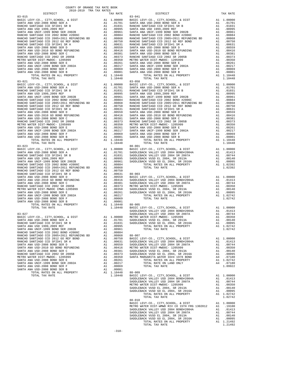|            | TAX RATE | DISTRICT                                                                                                                                              | TAX RATE |
|------------|----------|-------------------------------------------------------------------------------------------------------------------------------------------------------|----------|
| $83 - 015$ |          | $83 - 041$                                                                                                                                            |          |
|            |          |                                                                                                                                                       |          |
|            |          |                                                                                                                                                       |          |
|            |          |                                                                                                                                                       |          |
|            |          |                                                                                                                                                       |          |
|            |          |                                                                                                                                                       |          |
|            |          |                                                                                                                                                       |          |
|            |          |                                                                                                                                                       |          |
|            |          |                                                                                                                                                       |          |
|            |          |                                                                                                                                                       |          |
|            |          |                                                                                                                                                       |          |
|            |          |                                                                                                                                                       |          |
|            |          |                                                                                                                                                       |          |
|            |          |                                                                                                                                                       |          |
|            |          |                                                                                                                                                       |          |
|            |          |                                                                                                                                                       |          |
|            |          |                                                                                                                                                       |          |
|            |          |                                                                                                                                                       |          |
|            |          |                                                                                                                                                       |          |
|            |          |                                                                                                                                                       |          |
|            |          |                                                                                                                                                       |          |
|            |          |                                                                                                                                                       |          |
|            |          |                                                                                                                                                       |          |
|            |          |                                                                                                                                                       |          |
|            |          |                                                                                                                                                       |          |
|            |          |                                                                                                                                                       |          |
|            |          |                                                                                                                                                       |          |
|            |          |                                                                                                                                                       |          |
|            |          |                                                                                                                                                       |          |
|            |          |                                                                                                                                                       |          |
|            |          |                                                                                                                                                       |          |
|            |          |                                                                                                                                                       |          |
|            |          |                                                                                                                                                       |          |
|            |          | $88 - 001$                                                                                                                                            |          |
|            |          |                                                                                                                                                       |          |
|            |          |                                                                                                                                                       |          |
|            |          |                                                                                                                                                       |          |
|            |          |                                                                                                                                                       |          |
|            |          |                                                                                                                                                       |          |
|            |          |                                                                                                                                                       |          |
|            |          |                                                                                                                                                       |          |
|            |          |                                                                                                                                                       |          |
|            |          |                                                                                                                                                       |          |
|            |          |                                                                                                                                                       |          |
|            |          |                                                                                                                                                       |          |
|            |          |                                                                                                                                                       |          |
|            |          |                                                                                                                                                       |          |
|            |          |                                                                                                                                                       |          |
|            |          |                                                                                                                                                       |          |
|            |          |                                                                                                                                                       |          |
|            |          |                                                                                                                                                       |          |
|            |          |                                                                                                                                                       |          |
|            |          |                                                                                                                                                       |          |
|            |          |                                                                                                                                                       |          |
|            |          |                                                                                                                                                       |          |
|            |          |                                                                                                                                                       |          |
|            |          |                                                                                                                                                       |          |
|            |          |                                                                                                                                                       |          |
|            |          |                                                                                                                                                       |          |
|            |          |                                                                                                                                                       |          |
|            |          |                                                                                                                                                       |          |
|            |          |                                                                                                                                                       |          |
|            |          |                                                                                                                                                       |          |
|            |          |                                                                                                                                                       |          |
|            |          |                                                                                                                                                       |          |
|            |          |                                                                                                                                                       |          |
|            |          |                                                                                                                                                       |          |
|            |          |                                                                                                                                                       |          |
|            |          |                                                                                                                                                       |          |
|            |          |                                                                                                                                                       |          |
|            |          |                                                                                                                                                       |          |
|            |          |                                                                                                                                                       |          |
|            |          |                                                                                                                                                       |          |
|            |          |                                                                                                                                                       |          |
|            |          | $88 - 010$<br>BASIC LEVY-CO., CITY, SCHOOL, & DIST<br>MESIC LEVY-CO., CITY, SCHOOL, & DIST<br>METRO WATER DIST-WMWD RIV CO 15TH FRG 1302012 A1 .19100 |          |
|            |          |                                                                                                                                                       |          |
|            |          |                                                                                                                                                       |          |
|            |          |                                                                                                                                                       |          |
|            |          |                                                                                                                                                       |          |
|            |          |                                                                                                                                                       |          |
|            |          |                                                                                                                                                       |          |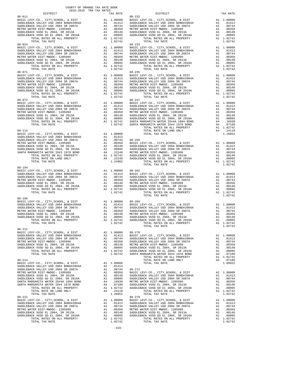| DISTRICT                                                                                                                                                                                                                                                                                                                                                                                                                                                                                                                                                                                                                                                                                                                              | COUNTY OF ORANGE TAX RATE BOOK<br>2018-2019 TRA TAX RATES |                                                                                                                                                            | TAX RATE                                                                                                                                                                                 |                                                                                                                                                                                                                                                                                                                                                                             |
|---------------------------------------------------------------------------------------------------------------------------------------------------------------------------------------------------------------------------------------------------------------------------------------------------------------------------------------------------------------------------------------------------------------------------------------------------------------------------------------------------------------------------------------------------------------------------------------------------------------------------------------------------------------------------------------------------------------------------------------|-----------------------------------------------------------|------------------------------------------------------------------------------------------------------------------------------------------------------------|------------------------------------------------------------------------------------------------------------------------------------------------------------------------------------------|-----------------------------------------------------------------------------------------------------------------------------------------------------------------------------------------------------------------------------------------------------------------------------------------------------------------------------------------------------------------------------|
|                                                                                                                                                                                                                                                                                                                                                                                                                                                                                                                                                                                                                                                                                                                                       |                                                           |                                                                                                                                                            |                                                                                                                                                                                          |                                                                                                                                                                                                                                                                                                                                                                             |
|                                                                                                                                                                                                                                                                                                                                                                                                                                                                                                                                                                                                                                                                                                                                       |                                                           |                                                                                                                                                            |                                                                                                                                                                                          |                                                                                                                                                                                                                                                                                                                                                                             |
| TOTAL TAX RATE                                                                                                                                                                                                                                                                                                                                                                                                                                                                                                                                                                                                                                                                                                                        |                                                           |                                                                                                                                                            | 1.02742                                                                                                                                                                                  |                                                                                                                                                                                                                                                                                                                                                                             |
|                                                                                                                                                                                                                                                                                                                                                                                                                                                                                                                                                                                                                                                                                                                                       |                                                           |                                                                                                                                                            |                                                                                                                                                                                          |                                                                                                                                                                                                                                                                                                                                                                             |
|                                                                                                                                                                                                                                                                                                                                                                                                                                                                                                                                                                                                                                                                                                                                       |                                                           |                                                                                                                                                            |                                                                                                                                                                                          |                                                                                                                                                                                                                                                                                                                                                                             |
| $88 - 114$<br>TOTAL TAX RATE                                                                                                                                                                                                                                                                                                                                                                                                                                                                                                                                                                                                                                                                                                          |                                                           |                                                                                                                                                            | 1.24982                                                                                                                                                                                  |                                                                                                                                                                                                                                                                                                                                                                             |
| $88 - 194$<br>TOTAL TAX RATE                                                                                                                                                                                                                                                                                                                                                                                                                                                                                                                                                                                                                                                                                                          |                                                           |                                                                                                                                                            | 1.02742                                                                                                                                                                                  |                                                                                                                                                                                                                                                                                                                                                                             |
| $88 - 195$<br>TOTAL TAX RATE                                                                                                                                                                                                                                                                                                                                                                                                                                                                                                                                                                                                                                                                                                          |                                                           |                                                                                                                                                            | 1.02742                                                                                                                                                                                  |                                                                                                                                                                                                                                                                                                                                                                             |
| $88 - 212$<br>BASIC LEVY-CO., CITY, SCHOOL, & DIST<br>SADDLEBACK VALLEY USD 2004 BOND#2004A<br>SADDLEBACK VALLEY USD 2004 SR 2007A<br>METRO WATER DIST-MWDOC- 1205999<br>SADDLEBACK VUSD EL 2004, SR 2013A<br>SADDLEBACK VUC $\leftarrow$ -- --<br>SADDLEBACK VUSD GO EL 2004, SR 2016A<br>TOTAL RATES ON ALL PROPERTY<br>TOTAL TAX RATE                                                                                                                                                                                                                                                                                                                                                                                              |                                                           | $A1$<br>$A1$                                                                                                                                               | A1 1.00000 88-270<br>A1 .01413 BASIC L<br>A1 .00744 SADDLEB<br>A1 .00350 SADDLEB<br>A1 .00140 METRO W<br>A1 .00095 SADDLEB<br>A1 .00095 SADDLEB<br>A1 1.02742 SADDLEB<br>1.02742 SANTA M |                                                                                                                                                                                                                                                                                                                                                                             |
| $88 - 214$<br>$\begin{tabular}{lllllllllll} \multicolumn{2}{c}{\textbf{SADDLEBACK}} & $\textbf{VALLEY} $\textbf{USD}$ & $\textbf{2004} $\textbf{ BONDH2004A}$ & $\textbf{A1}$ & $\textbf{1.00000}$ \\ SADDLEBACK $\textbf{VALLEY} $\textbf{USD}$ & $\textbf{2004} $\textbf{ SND142004A}$ & $\textbf{A1}$ & $\textbf{.01413}$ \\ \multicolumn{2}{c}{\textbf{SADDLEBACK}} $\textbf{VALLEY} $\textbf{USD}$ & $\textbf{2004} $\textbf{ SR}$ & $\textbf{2007$<br>METRO WATER DIST-MWDOC- 1205999<br>SADDLEBACK VUSD EL 2004, SR 2013A<br>SADDLEBACK VUSD GO EL 2004, SR 2016A<br>SANTA MARGARITA WATER ID#4A 1984 BOND<br>SANTA MARGARITA WATER ID#4 1978 BOND<br>TOTAL RATES ON ALL PROPERTY<br>TOTAL RATE ON LAND ONLY<br>TOTAL TAX RATE |                                                           |                                                                                                                                                            |                                                                                                                                                                                          | $\begin{tabular}{ll} \texttt{A1} & .0074 & 88-272 \\ \texttt{A1} & .00350 & \texttt{BASIC L} \\ \texttt{A1} & .00140 & \texttt{SADDLED} \\ \texttt{A1} & .00095 & \texttt{SADDLED} \\ \texttt{A4} & .16930 & \texttt{METRO N} \\ \texttt{A4} & .07180 & \texttt{SADDLED} \\ \texttt{A1} & 1.02742 & \texttt{SADDLED} \\ \texttt{A4} & .24110 \\ & 1.26852 \\ \end{tabular}$ |
| $88 - 221$<br>BASIC LEVY-CO., CITY, SCHOOL, & DIST<br>SADDLEBACK VALLEY USD 2004 BOND#2004A<br>SADDLEBACK VALLEY USD 2004 SR 2007A<br>METRO WATER DIST-MWDOC- 1205999<br>SADDLEBACK VUSD EL 2004, SR 2013A<br>SADDLEBACK VUSD GO EL 2004, SR 2016A<br>TOTAL RATES ON ALL PROPERTY<br>TOTAL TAX RATE                                                                                                                                                                                                                                                                                                                                                                                                                                   |                                                           | 00-2/17<br>A1 .01413 SADDLEB<br>A1 .01413 SADDLEB<br>A1 .00744 SADDLEB<br>A1 .00350 METRO W<br>A1 .00140 SADDLEB<br>A1 .00140 SADDLEB<br>A1 .00195 SADDLEB | A1 1.02742<br>1.02742                                                                                                                                                                    | $88 - 279$                                                                                                                                                                                                                                                                                                                                                                  |

-319-

| TAX RATE | DISTRICT | TAX RATE   |  |
|----------|----------|------------|--|
|          |          |            |  |
|          |          |            |  |
|          |          |            |  |
|          |          |            |  |
|          |          |            |  |
|          |          |            |  |
|          |          |            |  |
|          |          |            |  |
|          |          |            |  |
|          |          |            |  |
|          |          |            |  |
|          |          |            |  |
|          |          |            |  |
|          |          |            |  |
|          |          |            |  |
|          |          |            |  |
|          |          |            |  |
|          |          |            |  |
|          |          |            |  |
|          |          |            |  |
|          |          |            |  |
|          |          |            |  |
|          |          |            |  |
|          |          |            |  |
|          |          |            |  |
|          |          |            |  |
|          |          |            |  |
|          |          |            |  |
|          |          |            |  |
|          |          |            |  |
|          |          |            |  |
|          |          |            |  |
|          |          |            |  |
|          |          |            |  |
|          |          |            |  |
|          |          |            |  |
|          |          |            |  |
|          |          |            |  |
|          |          |            |  |
|          |          |            |  |
|          |          |            |  |
|          |          |            |  |
|          |          |            |  |
|          |          |            |  |
|          |          |            |  |
|          |          |            |  |
|          |          |            |  |
|          |          |            |  |
|          |          |            |  |
|          |          |            |  |
|          |          |            |  |
|          |          |            |  |
|          |          |            |  |
|          |          |            |  |
|          |          |            |  |
|          |          |            |  |
|          |          |            |  |
|          |          |            |  |
|          |          |            |  |
|          |          |            |  |
|          |          |            |  |
|          |          |            |  |
|          |          |            |  |
|          |          |            |  |
|          |          |            |  |
|          |          |            |  |
|          |          |            |  |
|          |          |            |  |
|          |          |            |  |
|          |          |            |  |
|          |          |            |  |
|          |          |            |  |
|          |          |            |  |
|          |          |            |  |
|          |          |            |  |
|          |          |            |  |
|          |          |            |  |
|          |          |            |  |
|          |          |            |  |
|          |          |            |  |
|          |          |            |  |
|          |          |            |  |
|          |          |            |  |
|          |          |            |  |
|          |          |            |  |
|          |          |            |  |
|          |          |            |  |
|          |          |            |  |
|          |          |            |  |
|          |          |            |  |
|          |          |            |  |
|          |          | $88 - 235$ |  |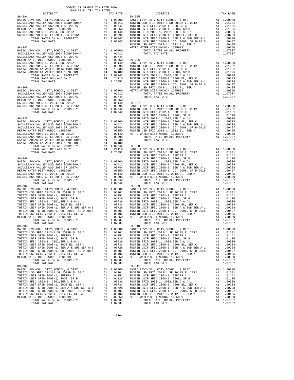| COUNTY OF ORANGE TAX RATE BOOK |          |                          |          |
|--------------------------------|----------|--------------------------|----------|
|                                | TAX RATE | DISTRICT                 | TAX RATE |
|                                |          |                          |          |
|                                |          |                          |          |
|                                |          |                          |          |
|                                |          |                          |          |
|                                |          |                          |          |
|                                |          |                          |          |
|                                |          |                          |          |
|                                |          |                          |          |
|                                |          |                          |          |
|                                |          |                          |          |
|                                |          |                          |          |
|                                |          |                          |          |
|                                |          |                          |          |
|                                |          |                          |          |
|                                |          |                          |          |
|                                |          |                          |          |
|                                |          |                          |          |
|                                |          |                          |          |
|                                |          |                          |          |
|                                |          |                          |          |
|                                |          |                          |          |
|                                |          |                          |          |
|                                |          |                          |          |
|                                |          |                          |          |
|                                |          |                          |          |
|                                |          |                          |          |
|                                |          |                          |          |
|                                |          |                          |          |
|                                |          |                          |          |
|                                |          |                          |          |
|                                |          |                          |          |
|                                |          |                          |          |
|                                |          |                          |          |
|                                |          |                          |          |
|                                |          |                          |          |
|                                |          |                          |          |
|                                |          |                          |          |
| TOTAL TAX RATE<br>89-003       | 1.07037  | TOTAL TAX RATE<br>89-010 | 1.07037  |
|                                |          |                          |          |
|                                |          |                          |          |
|                                |          |                          |          |
|                                |          |                          |          |
|                                |          |                          |          |
|                                |          |                          |          |
| $89 - 004$                     |          | $89 - 011$               |          |
|                                |          |                          |          |
|                                |          |                          |          |
|                                |          |                          |          |
|                                |          |                          |          |
|                                |          |                          |          |
|                                |          |                          |          |
|                                |          |                          |          |
|                                |          |                          |          |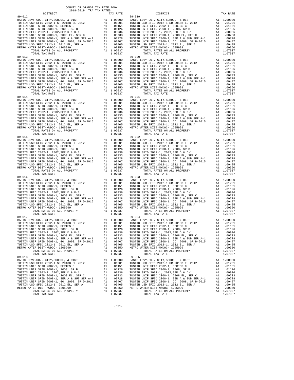89-017<br>
BASIC LEVY-CO., CITY, SCHOOL, & DIST A1 1.00000<br>
TUSTIN USD SFID 2012-1 SR 2018B EL 2012 A1 .01201<br>
TUSTIN UNIF SFID 2002-1, SRRIES AN .01151<br>
TUSTIN UNIF SFID 2008-1, 2008, SR B A1 .01126<br>
TUSTIN SFID 2002-1, 2002 89-018 89-025

 COUNTY OF ORANGE TAX RATE BOOK 2018-2019 TRA TAX RATES DISTRICT TAX RATE DISTRICT TAX RATE 89-012<br>
BASIC LEVY-CO., CITY, SCHOOL, & DIST<br>
TUSTIN USI SFID 2012 -1, 2018 BL 2012<br>
TUSTIN UNIF SFID 2002-1, SERIES C<br>
TUSTIN UNIF SFID 2002-1, 2002, SER D & D-1<br>
TUSTIN UNIF SFID 2002-1, 2002, SER D & D-1<br>
TUSTIN SFID 20 BASIC LEVY-CO., CITY,SCHOOL, & DIST A1 1.00000 BASIC LEVY-CO., CITY,SCHOOL, & DIST A1 1.00000 TUSTIN USD SFID 2012-1 SR 2018B EL 2012 A1 .01201 TUSTIN USD SFID 2012-1 SR 2018B EL 2012 A1 .01201 TUSTIN UNIF SFID 2002-1, SERIES C A1 .01151 TUSTIN UNIF SFID 2002-1, SERIES C A1 .01151 TUSTIN UNIF SFID 2008-1, 2008, SR B A1 .01126 TUSTIN UNIF SFID 2008-1, 2008, SR B A1 .01126 TUSTIN SFID 2002-1, 2002,SER D & D-1 A1 .00936 TUSTIN SFID 2002-1, 2002,SER D & D-1 A1 .00936 TUSTIN UNIF SFID 2008-1, 2008 EL, SER C A1 .00733 TUSTIN UNIF SFID 2008-1, 2008 EL, SER C A1 .00733 TUSTIN UNIF SFID 2008-1, SER A & SUB SER A-1 A1 .00728 TUSTIN UNIF SFID 2008-1, SER A & SUB SER A-1 A1 .00728 TUSTIN UNIF SFID 2008-1, GO 2008, SR D-2015 A1 .00407 TUSTIN UNIF SFID 2008-1, GO 2008, SR D-2015 A1 .00407 TUSTIN USD SFID 2012-1, 2012 EL, SER A A1 .00405 TUSTIN USD SFID 2012-1, 2012 EL, SER A A1 .00405 METRO WATER DIST-MWDOC- 1205999 A1 .00350 METRO WATER DIST-MWDOC- 1205999 A1 .00350 TOTAL RATES ON ALL PROPERTY A1 1.07037 TOTAL RATES ON ALL PROPERTY A1 1.07037 TOTAL TAX RATE 1.07037 TOTAL TAX RATE 1.07037 89-013<br>
BASIC LEVY-CO., CITY, SCHOOL, & DIST<br>
TUSTIN USD SFID 2012-1 SR 2018B EL 2012<br>
TUSTIN USD SFID 2002-1, SERIES C<br>
TUSTIN UNIF SFID 2002-1, SERIES C<br>
TUSTIN UNIF SFID 2002-1, 2008, SR B<br>
TUSTIN USD SFID 2002-1, 2008, TUSTIN UNIF SFID 2008-1, SER A & SUB SER A-1 A1 .00728 TUSTIN UNIF SFID 2008-1, SER A & SUB SER A-1 A1 .00728 TUSTIN UNIF SFID 2008-1, GO 2008, SR D-2015 A1 .00407 TUSTIN UNIF SFID 2008-1, GO 2008, SR D-2015 A1 .00407 TUSTIN UNIF SFID 2008-1, 2008 BL, SER D A1 .00330 TUSTIN UNIF SFID 2008-1, 2008 EL, SER A A SUB SER A-1 .00733 TUSTIN UNIF SFID 2008-1, SER A A SUB SER A-1 .00733 TUSTIN UNIF SFID 2008-1, SER A A SUB SER A-1 .00728 TUSTIN METRO METRO WAT UNIVERSION AND CONSUMER DISTINUISH ON A MATER DISTLE 2012-1, 2012 EL, SER A<br>A1 .00350 METRO WATER DIST-MWDOC- 1205999 A1 .00350 METRO WATER DIST-MWDOC- 1205999 A1 .00350<br>TOTAL RATES ON ALL PROPERTY A1 1.070 TOTAL RATES ON ALL PROPERTY A1 1.07037 TOTAL RATES ON ALL PROPERTY A1 1.07037 TOTAL TAX RATE 1.07037 TOTAL TAX RATE 1.07037 89-014 89-021 BASIC LEVY-CO., CITY,SCHOOL, & DIST A1 1.00000 BASIC LEVY-CO., CITY,SCHOOL, & DIST A1 1.00000 TUSTIN USD SFID 2012-1 SR 2018B EL 2012 A1 .01201 TUSTIN USD SFID 2012-1 SR 2018B EL 2012 A1 .01201 TUSTIN UNIF SFID 2002-1, SERIES C A1 .01151 TUSTIN UNIF SFID 2002-1, SERIES C A1 .01151 TUSTIN UNIF SFID 2008-1, 2008, SR B A1 .01126 TUSTIN UNIF SFID 2008-1, 2008, SR B A1 .01126 TUSTIN SFID 2002-1, 2002,SER D & D-1 A1 .00936 TUSTIN SFID 2002-1, 2002,SER D & D-1 A1 .00936 TUSTIN UNIF SFID 2008-1, 2008 EL, SER C A1 .00733 TUSTIN UNIF SFID 2008-1, 2008 EL, SER C A1 .00733 TUSTIN UNIF SFID 2008-1, SER A & SUB SER A-1 A1 .00728 TUSTIN UNIF SFID 2008-1, SER A & SUB SER A-1 A1 .00728 TUSTIN UNIF SFID 2008-1, GO 2008, SR D-2015 A1 .00407 TUSTIN UNIF SFID 2008-1, GO 2008, SR D-2015 A1 .00407 TUSTIN USD SFID 2012-1, 2012 EL, SER A A1 .00405 TUSTIN USD SFID 2012-1, 2012 EL, SER A A1 .00405 METRO WATER DIST-MWDOC- 1205999 A1 .00350 METRO WATER DIST-MWDOC- 1205999 A1 .00350 TOTAL RATES ON ALL PROPERTY A1 1.07037 TOTAL RATES ON ALL PROPERTY A1 1.07037 TUSTIN UNIF SFID 2008-1, SER A & SUB SER A-1  $1.07037$ <br>
TUSTIN UNIF SFID 2008-1, SER A & SUB SER A-1 A1 .00728 TUSTIN UNIF SFID 2008-1, SER A & SUB SER A-1 A1 .00723<br>
TUSTIN UNIF SFID 2008-1, 2009-1, 2009-1, 2009-1, 2009- 89-015 89-022 BASIC LEVY-CO., CITY,SCHOOL, & DIST A1 1.00000 BASIC LEVY-CO., CITY,SCHOOL, & DIST A1 1.00000  $\begin{tabular}{l|c|c|c|c|c|c} \hline \texttt{TUSTIN USD SFD 2012-1 SR 2018B EL 2012} & \texttt{A1} & .01201 & \texttt{TUSTIN USD SFD 2012-1 SR 2018B EL 2012} & \texttt{A1} & .01201 \\ \hline \texttt{TUSTIN UNIF SFD 2002-1, SERRES C} & \texttt{A1} & .01151 & \texttt{TUSTIN UNIF SFD 2002-1, SERRES C} & \texttt{A1} & .01151 \\ \hline \texttt{TUSTIN SUPI FSTD 2002-1,$  89-016 89-023 BASIC LEVY-CO., CITY,SCHOOL, & DIST A1 1.00000 BASIC LEVY-CO., CITY,SCHOOL, & DIST A1 1.00000 TUSTIN USD SFID 2012-1 SR 2018B EL 2012 A1 .01201 TUSTIN USD SFID 2012-1 SR 2018B EL 2012 A1 .01201 TUSTIN UNIF SFID 2002-1, SERIES C A1 .01151 TUSTIN UNIF SFID 2002-1, SERIES C A1 .01151 TUSTIN UNIF SFID 2008-1, 2008, SR B A1 .01126 TUSTIN UNIF SFID 2008-1, 2008, SR B A1 .01126 TUSTIN SFID 2002-1, 2002,SER D & D-1 A1 .00936 TUSTIN SFID 2002-1, 2002,SER D & D-1 A1 .00936 TUSTIN UNIF SFID 2008-1, 2008 EL, SER C A1 .00733 TUSTIN UNIF SFID 2008-1, 2008 EL, SER C A1 .00733 TUSTIN UNIF SFID 2008-1, SER A & SUB SER A-1 A1 .00728 TUSTIN UNIF SFID 2008-1, SER A & SUB SER A-1 A1 .00728 TUSTIN UNIF SFID 2008-1, GO 2008, SR D-2015 A1 .00407 TUSTIN UNIF SFID 2008-1, GO 2008, SR D-2015 A1 .00407 TUSTIN USD SFID 2012-1, 2012 EL, SER A A1 .00405 TUSTIN USD SFID 2012-1, 2012 EL, SER A A1 .00405 METRO WATER DIST-MWDOC- 1205999 A1 .00350 METRO WATER DIST-MWDOC- 1205999 A1 .00350 TOTAL RATES ON ALL PROPERTY A1 1.07037 TOTAL RATES ON ALL PROPERTY A1 1.07037 METRO WATER DIST-MWDOC-1205999 A1 .00350 METRO WATER DIST-MWDOC-1205999 A1 .00350<br>TOTAL RATES ON ALL PROPERTY A1 1.07037 TOTAL RATES ON ALL PROPERTY A1 1.07037<br>TOTAL TAX RATE 1.07037 TOTAL TAX RATE 1.07037 POLAL PROPERTY 1 BASIC LEVY-CO., CITY,SCHOOL, & DIST A1 1.00000 BASIC LEVY-CO., CITY,SCHOOL, & DIST A1 1.00000 TUSTIN USD SFID 2012-1 SR 2018B EL 2012 A1 .01201 TUSTIN USD SFID 2012-1 SR 2018B EL 2012 A1 .01201 TUSTIN UNIF SFID 2002-1, SERIES C A1 .01151 TUSTIN UNIF SFID 2002-1, SERIES C A1 .01151 TUSTIN UNIF SFID 2008-1, 2008, SR B A1 .01126 TUSTIN UNIF SFID 2008-1, 2008, SR B A1 .01126 TUSTIN SFID 2002-1, 2002,SER D & D-1 A1 .00936 TUSTIN SFID 2002-1, 2002,SER D & D-1 A1 .00936 TUSTIN UNIF SFID 2008-1, 2008 EL, SER C<br>
TUSTIN UNIF SFID 2008-1, SER A & SUB SER A-1<br>
TUSTIN UNIF SFID 2008-1, SER A & SUB SER A-1<br>
TUSTIN UNIF SFID 2008-1, SER A & SUB SER A-1<br>
TUSTIN UNIF SFID 2008-1, COO 2008-1, SER A TUSTIN UNIF SFID 2008-1, SER A & SUB SER A-1 A1 .00728 TUSTIN UNIF SFID 2008-1, SER A & SUB SER A-1 A1 .00728 TUSTIN UNIF SFID 2008-1, GO 2008, SR D-2015 A1 .00407 TUSTIN UNIF SFID 2008-1, GO 2008, SR D-2015 A1 .00407 TUSTIN USD SFID 2012-1, 2012 EL, SER A A1 .00405 TUSTIN USD SFID 2012-1, 2012 EL, SER A A1 .00405 METRO WATER DIST-MWDOC- 1205999 A1 .00350 METRO WATER DIST-MWDOC- 1205999 A1 .00350 TOTAL RATES ON ALL PROPERTY A1 1.07037 TOTAL RATES ON ALL PROPERTY A1 1.07037 TOTAL TAX RATE 1.07037 TOTAL TAX RATE 1.07037 BASIC LEVY-CO., CITY,SCHOOL, & DIST A1 1.00000 BASIC LEVY-CO., CITY,SCHOOL, & DIST A1 1.00000 TUSTIN USD SFID 2012-1 SR 2018B EL 2012 A1 .01201 TUSTIN USD SFID 2012-1 SR 2018B EL 2012 A1 .01201 TUSTIN UNIF SFID 2002-1, SERIES C A1 .01151 TUSTIN UNIF SFID 2002-1, SERIES C A1 .01151 TUSTIN UNIF SFID 2008-1, 2008, SR B A1 .01126 TUSTIN UNIF SFID 2008-1, 2008, SR B A1 .01126 TUSTIN SFID 2002-1, 2002,SER D & D-1 A1 .00936 TUSTIN SFID 2002-1, 2002,SER D & D-1 A1 .00936 TUSTIN UNIF SFID 2008-1, 2008 EL, SER C<br>TUSTIN UNIF SFID 2008-1, SER A & SUB SER A-1 A1 .00733 TUSTIN UNIF SFID 2008-1, SER A & SUB SER A-1 A1 .00733<br>TUSTIN UNIF SFID 2008-1, GO 2008, SR D-2015 A1 .00407 TUSTIN UNIF SFID 2 TOTAL RATES ON ALL PROPERTY A1 1.07037 TOTAL RATES ON ALL PROPERTY A1 1.07037 TOTAL TAX RATE 1.07037 TOTAL TAX RATE 1.07037

-321-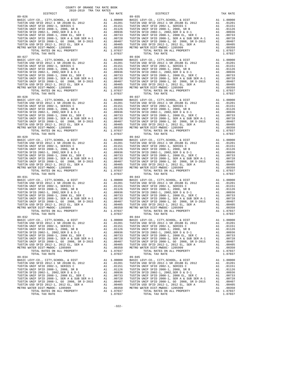89-032<br>
BASIC LEVY-CO., CITY, SCHOOL, & DIST A1 1.00000<br>
TUSTIN USD SFID 2012-1 SR 2018B EL 2012 A1 .01201<br>
TUSTIN UNIF SFID 2002-1, SRRIES AN .01151<br>
TUSTIN UNIF SFID 2008-1, 2008, SR B A1 .01126<br>
TUSTIN SFID 2002-1, 2002 89-034 89-045

 COUNTY OF ORANGE TAX RATE BOOK 2018-2019 TRA TAX RATES DISTRICT TAX RATE DISTRICT TAX RATE 89-026<br>
BASIC LEVY-CO., CITY, SCHOOL, & DIST<br>
TUSTIN USINE TO 2012-1 SR 2018B EL 2012<br>
TUSTIN UNIF SFID 2002-1 SR 2018B EL 2012<br>
TUSTIN UNIF SFID 2002-1, 2002, SR B<br>
TUSTIN UNIF SFID 2002-1, 2002, SR B<br>
TUSTIN SFID 2002-1, BASIC LEVY-CO., CITY,SCHOOL, & DIST A1 1.00000 BASIC LEVY-CO., CITY,SCHOOL, & DIST A1 1.00000 TUSTIN USD SFID 2012-1 SR 2018B EL 2012 A1 .01201 TUSTIN USD SFID 2012-1 SR 2018B EL 2012 A1 .01201 TUSTIN UNIF SFID 2002-1, SERIES C A1 .01151 TUSTIN UNIF SFID 2002-1, SERIES C A1 .01151 TUSTIN UNIF SFID 2008-1, 2008, SR B A1 .01126 TUSTIN UNIF SFID 2008-1, 2008, SR B A1 .01126 TUSTIN SFID 2002-1, 2002,SER D & D-1 A1 .00936 TUSTIN SFID 2002-1, 2002,SER D & D-1 A1 .00936 TUSTIN UNIF SFID 2008-1, 2008 EL, SER C A1 .00733 TUSTIN UNIF SFID 2008-1, 2008 EL, SER C A1 .00733 TUSTIN UNIF SFID 2008-1, SER A & SUB SER A-1 A1 .00728 TUSTIN UNIF SFID 2008-1, SER A & SUB SER A-1 A1 .00728 TUSTIN UNIF SFID 2008-1, GO 2008, SR D-2015 A1 .00407 TUSTIN UNIF SFID 2008-1, GO 2008, SR D-2015 A1 .00407 TUSTIN USD SFID 2012-1, 2012 EL, SER A A1 .00405 TUSTIN USD SFID 2012-1, 2012 EL, SER A A1 .00405 METRO WATER DIST-MWDOC- 1205999 A1 .00350 METRO WATER DIST-MWDOC- 1205999 A1 .00350 TOTAL RATES ON ALL PROPERTY A1 1.07037 TOTAL RATES ON ALL PROPERTY A1 1.07037 TOTAL TAX RATE 1.07037 TOTAL TAX RATE 1.07037 89-027<br>
BASIC LEVY-CO., CITY, SCHOOL, & DIST<br>
TUSTIN USD SFID 2012-1 SR 2018B EL 2012<br>
TUSTIN UNIF SFID 2002-1, SERIES C<br>
TUSTIN UNIF SFID 2002-1, SERIES C<br>
TUSTIN UNIF SFID 2002-1, 2008, SR B<br>
TUSTIN UNIF SFID 2008-1, 200 TUSTIN UNIF SFID 2008-1, SER A & SUB SER A-1 A1 .00728 TUSTIN UNIF SFID 2008-1, SER A & SUB SER A-1 A1 .00728 TUSTIN UNIF SFID 2008-1, GO 2008, SR D-2015 A1 .00407 TUSTIN UNIF SFID 2008-1, GO 2008, SR D-2015 A1 .00407 TUSTIN UNIF SFID 2008-1, 2008 BL, SER D A1 .00330 TUSTIN UNIF SFID 2008-1, 2008 EL, SER A A SUB SER A-1 .00733 TUSTIN UNIF SFID 2008-1, SER A A SUB SER A-1 .00733 TUSTIN UNIF SFID 2008-1, SER A A SUB SER A-1 .00728 TUSTIN METRO METRO WAT UNIVERSION AND CONSUMER DISTINUISH ON A MATER DISTLE 2012-1, 2012 EL, SER A<br>A1 .00350 METRO WATER DIST-MWDOC- 1205999 A1 .00350 METRO WATER DIST-MWDOC- 1205999 A1 .00350<br>TOTAL RATES ON ALL PROPERTY A1 1.070 TOTAL RATES ON ALL PROPERTY A1 1.07037 TOTAL RATES ON ALL PROPERTY A1 1.07037 TOTAL TAX RATE 1.07037 TOTAL TAX RATE 1.07037 89–028<br>
BASIC LEVY-CO., CITY, SCHOOL, & DIST<br>
TUSTIN USD SFID 2012–1 SR 2018B EL 2012<br>
TUSTIN USD SFID 2002–1, SERIES C<br>
TUSTIN UNIF SFID 2002–1, SERIES C<br>
TUSTIN UNIF SFID 2002–1, 2008, SR B<br>
TUSTIN USD SFID 2002–1, 2008, TUSTIN UNIF SFID 2008-1, SER A & SUB SER A-1 A1 .00728 TUSTIN UNIF SFID 2008-1, SER A & SUB SER A-1 A1 .00728<br>TUSTIN UNIF SFID 2008-1, GO 2008, SR D-2015 A1 .00407 TUSTIN UNIF SFID 2008-1, GO 2008, SR D-2015 A1 .00407<br>TUST TUSTIN UNIF SFID 2008-1, SER A & SUB SER A-1  $1.07037$ <br>
TUSTIN UNIF SFID 2008-1, SER A & SUB SER A-1 A1 .00728 TUSTIN UNIF SFID 2008-1, SER A & SUB SER A-1 A1 .00723<br>
TUSTIN UNIF SFID 2008-1, 2009-1, 2009-1, 2009-1, 2009- 89-029 89-042 BASIC LEVY-CO., CITY,SCHOOL, & DIST A1 1.00000 BASIC LEVY-CO., CITY,SCHOOL, & DIST A1 1.00000  $\begin{tabular}{l|c|c|c|c|c|c} \hline \texttt{TUSTIN USD SFD 2012-1 SR 2018B EL 2012} & \texttt{A1} & .01201 & \texttt{TUSTIN USD SFD 2012-1 SR 2018B EL 2012} & \texttt{A1} & .01201 \\ \hline \texttt{TUSTIN UNIF SFD 2002-1, SERRES C} & \texttt{A1} & .01151 & \texttt{TUSTIN UNIF SFD 2002-1, SERRES C} & \texttt{A1} & .01151 \\ \hline \texttt{TUSTIN SUPI FSTD 2002-1,$  89-031 89-043 BASIC LEVY-CO., CITY,SCHOOL, & DIST A1 1.00000 BASIC LEVY-CO., CITY,SCHOOL, & DIST A1 1.00000 TUSTIN USD SFID 2012-1 SR 2018B EL 2012 A1 .01201 TUSTIN USD SFID 2012-1 SR 2018B EL 2012 A1 .01201 TUSTIN UNIF SFID 2002-1, SERIES C A1 .01151 TUSTIN UNIF SFID 2002-1, SERIES C A1 .01151 TUSTIN UNIF SFID 2008-1, 2008, SR B A1 .01126 TUSTIN UNIF SFID 2008-1, 2008, SR B A1 .01126 TUSTIN SFID 2002-1, 2002,SER D & D-1 A1 .00936 TUSTIN SFID 2002-1, 2002,SER D & D-1 A1 .00936 TUSTIN UNIF SFID 2008-1, 2008 EL, SER C A1 .00733 TUSTIN UNIF SFID 2008-1, 2008 EL, SER C A1 .00733 TUSTIN UNIF SFID 2008-1, SER A & SUB SER A-1 A1 .00728 TUSTIN UNIF SFID 2008-1, SER A & SUB SER A-1 A1 .00728 TUSTIN UNIF SFID 2008-1, GO 2008, SR D-2015 A1 .00407 TUSTIN UNIF SFID 2008-1, GO 2008, SR D-2015 A1 .00407 TUSTIN USD SFID 2012-1, 2012 EL, SER A A1 .00405 TUSTIN USD SFID 2012-1, 2012 EL, SER A A1 .00405 METRO WATER DIST-MWDOC- 1205999 A1 .00350 METRO WATER DIST-MWDOC- 1205999 A1 .00350 TOTAL RATES ON ALL PROPERTY A1 1.07037 TOTAL RATES ON ALL PROPERTY A1 1.07037 METRO WATER DIST-MWDOC-1205999 A1 .00350 METRO WATER DIST-MWDOC-1205999 A1 .00350<br>TOTAL RATES ON ALL PROPERTY A1 1.07037 TOTAL RATES ON ALL PROPERTY A1 1.07037<br>TOTAL TAX RATE 1.07037 TOTAL TAX RATE 1.07037 89-044 89-044 BASIC LEVY-CO., CITY,SCHOOL, & DIST A1 1.00000 BASIC LEVY-CO., CITY,SCHOOL, & DIST A1 1.00000 TUSTIN USD SFID 2012-1 SR 2018B EL 2012 A1 .01201 TUSTIN USD SFID 2012-1 SR 2018B EL 2012 A1 .01201 TUSTIN UNIF SFID 2002-1, SERIES C A1 .01151 TUSTIN UNIF SFID 2002-1, SERIES C A1 .01151 TUSTIN UNIF SFID 2008-1, 2008, SR B A1 .01126 TUSTIN UNIF SFID 2008-1, 2008, SR B A1 .01126 TUSTIN SFID 2002-1, 2002,SER D & D-1 A1 .00936 TUSTIN SFID 2002-1, 2002,SER D & D-1 A1 .00936 TUSTIN UNIF SFID 2008-1, 2008 EL, SER C<br>
TUSTIN UNIF SFID 2008-1, SER A & SUB SER A-1<br>
TUSTIN UNIF SFID 2008-1, SER A & SUB SER A-1<br>
TUSTIN UNIF SFID 2008-1, SER A & SUB SER A-1<br>
TUSTIN UNIF SFID 2008-1, COO 2008-1, SER A TUSTIN UNIF SFID 2008-1, SER A & SUB SER A-1 A1 .00728 TUSTIN UNIF SFID 2008-1, SER A & SUB SER A-1 A1 .00728 TUSTIN UNIF SFID 2008-1, GO 2008, SR D-2015 A1 .00407 TUSTIN UNIF SFID 2008-1, GO 2008, SR D-2015 A1 .00407 TUSTIN USD SFID 2012-1, 2012 EL, SER A A1 .00405 TUSTIN USD SFID 2012-1, 2012 EL, SER A A1 .00405 METRO WATER DIST-MWDOC- 1205999 A1 .00350 METRO WATER DIST-MWDOC- 1205999 A1 .00350 TOTAL RATES ON ALL PROPERTY A1 1.07037 TOTAL RATES ON ALL PROPERTY A1 1.07037 TOTAL TAX RATE 1.07037 TOTAL TAX RATE 1.07037 BASIC LEVY-CO., CITY,SCHOOL, & DIST A1 1.00000 BASIC LEVY-CO., CITY,SCHOOL, & DIST A1 1.00000 TUSTIN USD SFID 2012-1 SR 2018B EL 2012 A1 .01201 TUSTIN USD SFID 2012-1 SR 2018B EL 2012 A1 .01201 TUSTIN UNIF SFID 2002-1, SERIES C A1 .01151 TUSTIN UNIF SFID 2002-1, SERIES C A1 .01151 TUSTIN UNIF SFID 2008-1, 2008, SR B A1 .01126 TUSTIN UNIF SFID 2008-1, 2008, SR B A1 .01126 TUSTIN SFID 2002-1, 2002,SER D & D-1 A1 .00936 TUSTIN SFID 2002-1, 2002,SER D & D-1 A1 .00936 TUSTIN UNIF SFID 2008-1, 2008 EL, SER C<br>TUSTIN UNIF SFID 2008-1, SER A & SUB SER A-1 A1 .00733 TUSTIN UNIF SFID 2008-1, SER A & SUB SER A-1 A1 .00733<br>TUSTIN UNIF SFID 2008-1, GO 2008, SR D-2015 A1 .00407 TUSTIN UNIF SFID 2 TOTAL RATES ON ALL PROPERTY A1 1.07037 TOTAL RATES ON ALL PROPERTY A1 1.07037 TOTAL TAX RATE 1.07037 TOTAL TAX RATE 1.07037

-322-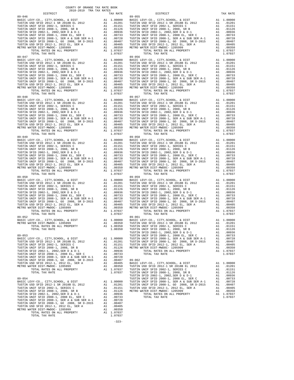DISTRICT TAX RATE DISTRICT TAX RATE TUSTIN UNIF SFID 2008-1, SER A & SUB SER A-1 A1 .00728 TUSTIN UNIF SFID 2008-1, GO 2008, SR D-2015 A1 .00407<br>
TUSTIN USD SFID 2012-1, 2012 EL, SER A A1 .00350<br>
METRO WATER DIST-MWDOC- 1205999 A1 .00350<br>
TOTAL RATES ON ALL PROPERTY A1 1.07037 TOTAL TAX RATE 1.07037

COUNTY OF ORANGE TAX RATE BOOK 2018-2019 TRA TAX RATES

- 89-046<br>
BASIC LEVY-CO., CITY, SCHOOL, & DIST<br>
TUSTIN USINE TO 2012-1 SR 2018B EL 2012<br>
TUSTIN UNIF SFID 2012-1 SERIES C<br>
TUSTIN UNIF SFID 2002-1, 2003, SR B<br>
TUSTIN UNIF SFID 2002-1, 2003, SR B<br>
TUSTIN UNIF SFID 2002-1, 20 BASIC LEVY-CO., CITY,SCHOOL, & DIST A1 1.00000 BASIC LEVY-CO., CITY,SCHOOL, & DIST A1 1.00000 TUSTIN USD SFID 2012-1 SR 2018B EL 2012 A1 .01201 TUSTIN USD SFID 2012-1 SR 2018B EL 2012 A1 .01201 TUSTIN UNIF SFID 2002-1, SERIES C A1 .01151 TUSTIN UNIF SFID 2002-1, SERIES C A1 .01151 TUSTIN UNIF SFID 2008-1, 2008, SR B A1 .01126 TUSTIN UNIF SFID 2008-1, 2008, SR B A1 .01126 TUSTIN SFID 2002-1, 2002,SER D & D-1 A1 .00936 TUSTIN SFID 2002-1, 2002,SER D & D-1 A1 .00936 TUSTIN UNIF SFID 2008-1, 2008 EL, SER C A1 .00733 TUSTIN UNIF SFID 2008-1, 2008 EL, SER C A1 .00733 TUSTIN UNIF SFID 2008-1, SER A & SUB SER A-1 A1 .00728 TUSTIN UNIF SFID 2008-1, SER A & SUB SER A-1 A1 .00728 TUSTIN UNIF SFID 2008-1, GO 2008, SR D-2015 A1 .00407 TUSTIN UNIF SFID 2008-1, GO 2008, SR D-2015 A1 .00407 TUSTIN USD SFID 2012-1, 2012 EL, SER A A1 .00405 TUSTIN USD SFID 2012-1, 2012 EL, SER A A1 .00405 METRO WATER DIST-MWDOC- 1205999 A1 .00350 METRO WATER DIST-MWDOC- 1205999 A1 .00350 TOTAL RATES ON ALL PROPERTY A1 1.07037 TOTAL RATES ON ALL PROPERTY A1 1.07037 TOTAL TAX RATE 1.07037 TOTAL TAX RATE 1.07037 89-047 89-056 BASIC LEVY-CO., CITY,SCHOOL, & DIST A1 1.00000 BASIC LEVY-CO., CITY,SCHOOL, & DIST A1 1.00000 TUSTIN USD SFID 2012-1 SR 2018B EL 2012 A1 .01201 TUSTIN USD SFID 2012-1 SR 2018B EL 2012 A1 .01201 TUSTIN UNIF SFID 2002-1, SERIES C A1 .01151 TUSTIN UNIF SFID 2002-1, SERIES C A1 .01151 TUSTIN UNIF SFID 2008-1, 2008, SR B A1 .01126 TUSTIN UNIF SFID 2008-1, 2008, SR B A1 .01126 TUSTIN SFID 2002-1, 2002,SER D & D-1 A1 .00936 TUSTIN SFID 2002-1, 2002,SER D & D-1 A1 .00936 TUSTIN UNIF SFID 2008-1, 2008 EL, SER C A1 .00733 TUSTIN UNIF SFID 2008-1, 2008 EL, SER C A1 .00733 TUSTIN UNIF SFID 2008-1, SER A & SUB SER A-1 A1 .00728 TUSTIN UNIF SFID 2008-1, SER A & SUB SER A-1 A1 .00728 TUSTIN UNIF SFID 2008-1, GO 2008, SR D-2015 A1 .00407 TUSTIN UNIF SFID 2008-1, GO 2008, SR D-2015 A1 .00407 TUSTIN USD SFID 2012-1, 2012 EL, SER A A1 .00405 TUSTIN USD SFID 2012-1, 2012 EL, SER A A1 .00405 METRO WATER DIST-MWDOC- 1205999 A1 .00350 METRO WATER DIST-MWDOC- 1205999 A1 .00350<br>TOTAL RATES ON ALL PROPERTY A1 1.07037 TOTAL RATES ON ALL PROPERTY A1 1.07037 1.07037 1.0737 1.0751 PROPERTY 1.07037 1.07037 1.07037 1.07037 1.07037 1.07037 1.07037 1.07037 1.07037 1.07037<br>
TOTAL TAX RATE 1.07037 1.07037 1.07037 1.07037 1.07037 1.07037 1.07037 1.07037 1.07037 1.07037 1.07037 1.07037 89-048 89-057 BASIC LEVY-CO., CITY,SCHOOL, & DIST A1 1.00000 BASIC LEVY-CO., CITY,SCHOOL, & DIST A1 1.00000 TUSTIN USD SFID 2012-1 SR 2018B EL 2012 A1 .01201 TUSTIN USD SFID 2012-1 SR 2018B EL 2012 A1 .01201 TUSTIN UNIF SFID 2002-1, SERIES C A1 .01151 TUSTIN UNIF SFID 2002-1, SERIES C A1 .01151 TUSTIN UNIF SFID 2008-1, 2008, SR B A1 .01126 TUSTIN UNIF SFID 2008-1, 2008, SR B A1 .01126 TUSTIN SFID 2002-1, 2002,SER D & D-1 A1 .00936 TUSTIN SFID 2002-1, 2002,SER D & D-1 A1 .00936 TUSTIN UNIF SFID 2008-1, 2008 EL, SER C A1 .00733 TUSTIN UNIF SFID 2008-1, 2008 EL, SER C A1 .00733 TUSTIN UNIF SFID 2008-1, SER A & SUB SER A-1 A1 .00728 TUSTIN UNIF SFID 2008-1, SER A & SUB SER A-1 A1 .00728 TUSTIN UNIF SFID 2008-1, GO 2008, SR D-2015 A1 .00407 TUSTIN UNIF SFID 2008-1, GO 2008, SR D-2015 A1 .00407 TUSTIN USD SFID 2012-1, 2012 EL, SER A A1 .00405 TUSTIN USD SFID 2012-1, 2012 EL, SER A A1 .00405 METRO WATER DIST-MWDOC- 1205999 A1 .00350 METRO WATER DIST-MWDOC- 1205999 A1 .00350 TOTAL RATES ON ALL PROPERTY A1 1.07037 TOTAL RATES ON ALL PROPERTY A1 1.07037 TOTAL TAX RATE 1.07037 TOTAL TAX RATE 1.07037 89-049 89-058 BASIC LEVY-CO., CITY,SCHOOL, & DIST A1 1.00000 BASIC LEVY-CO., CITY,SCHOOL, & DIST A1 1.00000 TUSTIN USD SFID 2012-1 SR 2018B EL 2012 A1 .01201 TUSTIN USD SFID 2012-1 SR 2018B EL 2012 A1 .01201 TUSTIN UNIF SFID 2002-1, SERIES C A1 .01151 TUSTIN UNIF SFID 2002-1, SERIES C A1 .01151 TUSTIN UNIF SFID 2008-1, 2008, SR B A1 .01126 TUSTIN UNIF SFID 2008-1, 2008, SR B A1 .01126 TUSTIN SFID 2002-1, 2002,SER D & D-1 A1 .00936 TUSTIN SFID 2002-1, 2002,SER D & D-1 A1 .00936 TUSTIN UNIF SFID 2008-1, 2008 EL, SER C A1 .00733 TUSTIN UNIF SFID 2008-1, 2008 EL, SER C A1 .00733 TUSTIN UNIF SFID 2008-1, SER A & SUB SER A-1 A1 .00728 TUSTIN UNIF SFID 2008-1, SER A & SUB SER A-1 A1 .00728 TUSTIN UNIF SFID 2008-1, GO 2008, SR D-2015 A1 .00407 TUSTIN UNIF SFID 2008-1, GO 2008, SR D-2015 A1 .00407 TUSTIN USD SFID 2012-1, 2012 EL, SER A A1 .00405 TUSTIN USD SFID 2012-1, 2012 EL, SER A A1 .00405 METRO WATER DIST-MWDOC- 1205999 A1 .00350 METRO WATER DIST-MWDOC- 1205999 A1 .00350 TOTAL RATES ON ALL PROPERTY A1 1.07037 TOTAL RATES ON ALL PROPERTY A1 1.07037 TOTAL TAX RATE 1.07037 TOTAL TAX RATE 1.07037 89-050 89-059 BASIC LEVY-CO., CITY,SCHOOL, & DIST A1 1.00000 BASIC LEVY-CO., CITY,SCHOOL, & DIST A1 1.00000 TUSTIN USD SFID 2012-1 SR 2018B EL 2012 A1 .01201 TUSTIN USD SFID 2012-1 SR 2018B EL 2012 A1 .01201 TUSTIN UNIF SFID 2002-1, SERIES C A1 .01151 TUSTIN UNIF SFID 2002-1, SERIES C A1 .01151 TUSTIN UNIF SFID 2008-1, 2008, SR B A1 .01126 TUSTIN UNIF SFID 2008-1, 2008, SR B A1 .01126 TUSTIN SFID 2002-1, 2002,SER D & D-1 A1 .00936 TUSTIN SFID 2002-1, 2002,SER D & D-1 A1 .00936 TUSTIN UNIF SFID 2008-1, 2008 EL, SER C A1 .00733 TUSTIN UNIF SFID 2008-1, 2008 EL, SER C A1 .00733 TUSTIN UNIF SFID 2008-1, SER A & SUB SER A-1 A1 .00728 TUSTIN UNIF SFID 2008-1, SER A & SUB SER A-1 A1 .00728 TUSTIN UNIF SFID 2008-1, GO 2008, SR D-2015 A1 .00407 TUSTIN UNIF SFID 2008-1, GO 2008, SR D-2015 A1 .00407 TUSTIN USD SFID 2012-1, 2012 EL, SER A A1 .00405 TUSTIN USD SFID 2012-1, 2012 EL, SER A A1 .00405 METRO WATER DIST-MWDOC- 1205999 A1 .00350 METRO WATER DIST-MWDOC- 1205999 A1 .00350 TOTAL RATES ON ALL PROPERTY A1 1.07037 TOTAL RATES ON ALL PROPERTY A1 1.07037 TOTAL TAX RATE 1.07037 TOTAL TAX RATE 1.07037 89-052 89-061 BASIC LEVY-CO., CITY,SCHOOL, & DIST A1 1.00000 BASIC LEVY-CO., CITY,SCHOOL, & DIST A1 1.00000 METRO WATER DIST-MWDOC- 1205999 A1 .00350 TUSTIN USD SFID 2012-1 SR 2018B EL 2012 A1 .01201 TOTAL RATES ON ALL PROPERTY A1 1.00350 TUSTIN UNIF SFID 2002-1, SERIES C A1 .01151 TOTAL TAX RATE 1.00350 TUSTIN UNIF SFID 2008-1, 2008, SR B A1 .01126 89-052<br>
BASIC LEVY-CO., CITY, SCHOOL, & DIST<br>
BASIC LEVY-CO., CITY, SCHOOL, & DIST<br>
METRO WATER DIST-MWDOC-1205999<br>
TUSTIN USIS TUSTIN USID SFID 2012-1 SR 2018B EL 2012<br>
TUSTIN UNIF SFID 2002-1, SERIES C<br>
TUSTIN UNIF SFID 89-053 TUSTIN UNIF SFID 2008-1, 2008 EL, SER C A1 .00733 BASIC LEVY-CO., CITY, SCHOOL, & DIST<br>TUSTIN USD SFID 2001-1, SER A & SUB SER A-1 A1 .00728<br>TUSTIN UNIF SFID 2002-1, SERIES COMPARY UNIF SFID 2008-1, GO 2008, SR D-2015 A1 .007407<br>TUSTIN UNIF SFID 2002-1, 2012 E. 2012 E. A1 TUSTIN SFID 2002-1, 2002,SER D & D-1 A1 .00936 TOTAL RATES ON ALL PROPERTY A1 1.07037 TUSTIN UNIF SFID 2008-1, 2008 EL, SER C A1 .00733 TOTAL TAX RATE 1.07037 TUSTIN UNIF SFID 2008-1, SER A & SUB SER A-1 A1 .00728 TUSTIN UNIF SFID 2008-1, GO 2008, SR D-2015 A1 .00407 89-062 TUSTIN USD SFID 2012–1, 2012 BL 2012 BAL 2012 BASIC LEVY-CO., CITY, SCHOOL, & DIST<br>METRO WATER DIST\_-WIDOC-1205999 A1 .00350 TUSTIN USD SFID 2012–1 SR 2018B EL 2012<br>TOTAL RATES ON ALL PROPERTY A1 1.07037 TUSTIN UNIF SFID 2 0936. A1 .002-1, 2002,SER D & D-1<br>TUSTIN UNIF SFID 2002-1, 2008 EL, SER C A1<br>1.00000 TUSTIN UNIF SFID 2008-1, SER A & SUB SER A-1 . A1 .00728<br>BASIC LEVY-CO., CITY,SCHOOL, & DIST BASIC LEVY-CO., CITY,SCHOOL, & DIST A1 1.00000 TUSTIN UNIF SFID 2008-1, SER A & SUB SER A-1 A1 .00728 TUSTIN USD SFID 2012–1 SR 2018B EL 2012 (AL. 1012) TUSTIN UNIF SFID 2002–1, GO 2008–1, GO 2008–1, GO 2009–1, CO<br>TUSTIN UNIF SFID 2002–1, 2012 EL, SERIES C (AL. 101126 METRO WATER DIST-MWDOC-1205999 (AL. 10407<br>TUSTIN UNIF S
- -323-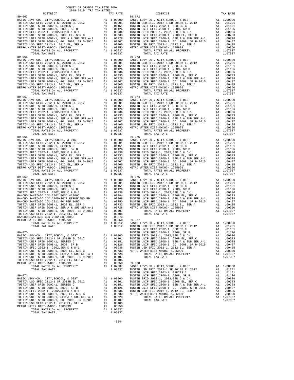TOTAL TAX RATE  $1.07037$ 

 COUNTY OF ORANGE TAX RATE BOOK 2018-2019 TRA TAX RATES DISTRICT TAX RATE DISTRICT TAX RATE 89-063<br>
BASIC LEVY-CO., CITY, SCHOOL, & DIST<br>
TUSTIN USI SFID 2012 -1, 2018 BL 2012<br>
TUSTIN UNIF SFID 2002-1, SERIES C<br>
TUSTIN UNIF SFID 2002-1, 2002, SER D & D-1<br>
TUSTIN UNIF SFID 2002-1, 2002, SER D & D-1<br>
TUSTIN SFID 20 BASIC LEVY-CO., CITY,SCHOOL, & DIST A1 1.00000 BASIC LEVY-CO., CITY,SCHOOL, & DIST A1 1.00000 TUSTIN USD SFID 2012-1 SR 2018B EL 2012 A1 .01201 TUSTIN USD SFID 2012-1 SR 2018B EL 2012 A1 .01201 TUSTIN UNIF SFID 2002-1, SERIES C A1 .01151 TUSTIN UNIF SFID 2002-1, SERIES C A1 .01151 TUSTIN UNIF SFID 2008-1, 2008, SR B A1 .01126 TUSTIN UNIF SFID 2008-1, 2008, SR B A1 .01126 TUSTIN SFID 2002-1, 2002,SER D & D-1 A1 .00936 TUSTIN SFID 2002-1, 2002,SER D & D-1 A1 .00936 TUSTIN UNIF SFID 2008-1, 2008 EL, SER C A1 .00733 TUSTIN UNIF SFID 2008-1, 2008 EL, SER C A1 .00733 TUSTIN UNIF SFID 2008-1, SER A & SUB SER A-1 A1 .00728 TUSTIN UNIF SFID 2008-1, SER A & SUB SER A-1 A1 .00728 TUSTIN UNIF SFID 2008-1, GO 2008, SR D-2015 A1 .00407 TUSTIN UNIF SFID 2008-1, GO 2008, SR D-2015 A1 .00407 TUSTIN USD SFID 2012-1, 2012 EL, SER A A1 .00405 TUSTIN USD SFID 2012-1, 2012 EL, SER A A1 .00405 METRO WATER DIST-MWDOC- 1205999 A1 .00350 METRO WATER DIST-MWDOC- 1205999 A1 .00350 TOTAL RATES ON ALL PROPERTY A1 1.07037 TOTAL RATES ON ALL PROPERTY A1 1.07037 TOTAL TAX RATE 1.07037 TOTAL TAX RATE 1.07037 89-065 89-073 BASIC LEVY-CO., CITY,SCHOOL, & DIST A1 1.00000 BASIC LEVY-CO., CITY,SCHOOL, & DIST A1 1.00000 TUSTIN USD SFID 2012-1 SR 2018B EL 2012 A1 .01201 TUSTIN USD SFID 2012-1 SR 2018B EL 2012 A1 .01201 TUSTIN UNIF SFID 2002-1, SERIES C A1 .01151 TUSTIN UNIF SFID 2002-1, SERIES C A1 .01151 TUSTIN UNIF SFID 2008-1, 2008, SR B A1 .01126 TUSTIN UNIF SFID 2008-1, 2008, SR B A1 .01126 TUSTIN SFID 2002-1, 2002,SER D & D-1 A1 .00936 TUSTIN SFID 2002-1, 2002,SER D & D-1 A1 .00936 TUSTIN UNIF SFID 2008-1, 2008 EL, SER C A1 .00733 TUSTIN UNIF SFID 2008-1, 2008 EL, SER C A1 .00733 TUSTIN UNIF SFID 2008-1, SER A & SUB SER A-1 A1 .00728 TUSTIN UNIF SFID 2008-1, SER A & SUB SER A-1 A1 .00728 TUSTIN UNIF SFID 2008-1, GO 2008, SR D-2015 A1 .00407 TUSTIN UNIF SFID 2008-1, GO 2008, SR D-2015 A1 .00407 TUSTIN USD SFID 2012-1, 2012 EL, SER A A1 .00405 TUSTIN USD SFID 2012-1, 2012 EL, SER A A1 .00405 METRO WATER DIST-MWDOC- 1205999 A1 .00350 METRO WATER DIST-MWDOC- 1205999 A1 .00350<br>TOTAL RATES ON ALL PROPERTY A1 1.07037 TOTAL RATES ON ALL PROPERTY A1 1.07037 1.07037 1.07037 1.07037 1.07037 1.07037 1.07037 1.07037 1.07037 1.07037 1.07037 1.07037 1.07037 1.07037 1.07037<br>TOTAL TAX RATE 1.07037 1.07037 1.07037 1.07037 1.07037 1.07037 1.07037 1.07037 1.07037 1.07037 1.07037 1.07037 89-067 89-074 BASIC LEVY-CO., CITY,SCHOOL, & DIST A1 1.00000 BASIC LEVY-CO., CITY,SCHOOL, & DIST A1 1.00000 TUSTIN USD SFID 2012-1 SR 2018B EL 2012 A1 .01201 TUSTIN USD SFID 2012-1 SR 2018B EL 2012 A1 .01201 TUSTIN UNIF SFID 2002-1, SERIES C A1 .01151 TUSTIN UNIF SFID 2002-1, SERIES C A1 .01151 TUSTIN UNIF SFID 2008-1, 2008, SR B A1 .01126 TUSTIN UNIF SFID 2008-1, 2008, SR B A1 .01126 TUSTIN SFID 2002-1, 2002,SER D & D-1 A1 .00936 TUSTIN SFID 2002-1, 2002,SER D & D-1 A1 .00936 TUSTIN UNIF SFID 2008-1, 2008 EL, SER C A1 .00733 TUSTIN UNIF SFID 2008-1, 2008 EL, SER C A1 .00733 TUSTIN UNIF SFID 2008-1, SER A & SUB SER A-1 A1 .00728 TUSTIN UNIF SFID 2008-1, SER A & SUB SER A-1 A1 .00728 TUSTIN UNIF SFID 2008-1, GO 2008, SR D-2015 A1 .00407 TUSTIN UNIF SFID 2008-1, GO 2008, SR D-2015 A1 .00407 TUSTIN USD SFID 2012-1, 2012 EL, SER A A1 .00405 TUSTIN USD SFID 2012-1, 2012 EL, SER A A1 .00405 METRO WATER DIST-MWDOC- 1205999 A1 .00350 METRO WATER DIST-MWDOC- 1205999 A1 .00350 TOTAL RATES ON ALL PROPERTY A1 1.07037 TOTAL RATES ON ALL PROPERTY A1 1.07037 TOTAL TAX RATE 1.07037 TOTAL TAX RATE 1.07037 89-068 89-075 BASIC LEVY-CO., CITY,SCHOOL, & DIST A1 1.00000 BASIC LEVY-CO., CITY,SCHOOL, & DIST A1 1.00000 TUSTIN USD SFID 2012-1 SR 2018B EL 2012 A1 .01201 TUSTIN USD SFID 2012-1 SR 2018B EL 2012 A1 .01201 TUSTIN UNIF SFID 2002-1, SERIES C A1 .01151 TUSTIN UNIF SFID 2002-1, SERIES C A1 .01151 TUSTIN UNIF SFID 2008-1, 2008, SR B A1 .01126 TUSTIN UNIF SFID 2008-1, 2008, SR B A1 .01126 TUSTIN SFID 2002-1, 2002,SER D & D-1 A1 .00936 TUSTIN SFID 2002-1, 2002,SER D & D-1 A1 .00936 TUSTIN UNIF SFID 2008-1, 2008 EL, SER C A1 .00733 TUSTIN UNIF SFID 2008-1, 2008 EL, SER C A1 .00733 TUSTIN UNIF SFID 2008-1, SER A & SUB SER A-1 A1 .00728 TUSTIN UNIF SFID 2008-1, SER A & SUB SER A-1 A1 .00728 TUSTIN UNIF SFID 2008-1, GO 2008, SR D-2015 A1 .00407 TUSTIN UNIF SFID 2008-1, GO 2008, SR D-2015 A1 .00407 TUSTIN USD SFID 2012-1, 2012 EL, SER A A1 .00405 TUSTIN USD SFID 2012-1, 2012 EL, SER A A1 .00405 METRO WATER DIST-MWDOC- 1205999 A1 .00350 METRO WATER DIST-MWDOC- 1205999 A1 .00350 TOTAL RATES ON ALL PROPERTY A1 1.07037 TOTAL RATES ON ALL PROPERTY A1 1.07037 TOTAL TAX RATE 1.07037 TOTAL TAX RATE 1.07037 89-069 89-076 BASIC LEVY-CO., CITY,SCHOOL, & DIST A1 1.00000 BASIC LEVY-CO., CITY,SCHOOL, & DIST A1 1.00000 TUSTIN USD SFID 2012-1 SR 2018B EL 2012 A1 .01201 TUSTIN USD SFID 2012-1 SR 2018B EL 2012 A1 .01201 TUSTIN UNIF SFID 2002-1, SERIES C A1 .01151 TUSTIN UNIF SFID 2002-1, SERIES C A1 .01151 TUSTIN UNIF SFID 2008-1, 2008, SR B A1 .01126 TUSTIN UNIF SFID 2008-1, 2008, SR B A1 .01126 TUSTIN SFID 2002-1, 2002,SER D & D-1 A1 .00936 TUSTIN SFID 2002-1, 2002,SER D & D-1 A1 .00936 RANCHO SANTIAGO CCD 2002 BOND #2006C A1 .00884 TUSTIN UNIF SFID 2008-1, 2008 EL, SER C A1 .00733 RANCHO SANTIAGO CCD 2005+2011 REFUNDING BD A1 .00868 TUSTIN UNIF SFID 2008-1, SER A & SUB SER A-1 A1 .00728 RANCHO SANTIAGO CCD 2012 GO REF BOND A1 .00750 TUSTIN UNIF SFID 2008-1, GO 2008, SR D-2015 A1 .00407 TUSTIN UNIF SFID 2008-1, 2008 EL, SER C A1 .00733 TUSTIN USD SFID 2012-1, 2012 EL, SER A A1 .00405<br>TUSTIN UNIF SFID 2008-1, SER A & SUB SER A-1 A1 .00728 METRO WAT TUSTIN UNIF SFID 2008–1, GO 2008, SR D-2015 A1 .00407 TOTAL RATES ON ALL PROPERTY A1 1.07037<br>TUSTIN USD SFID 2012–1, 2012 EL, SER A and 00405 TOTAL TAX RATE 100407 TOTAL TAX RATE 1.07037<br>RANCHO SANTIAGO CCD 2002 SR 2005B A METRO WATER DIST-MWDUC-1205595<br>
TOTAL RATES ON ALL PROPERTY A1 1.09912<br>
TOTAL TAX RATE 1.09912 BASIC LEVY-CO., CITY, SCHOOL, & DIST<br>
TUSTIN UNIF SFID 2002-1, SERIES C A1 .01151<br>
TUSTIN UNIF SFID 2002-1, SERIES C A1 .01151<br> 89-070 TUSTIN UNIF SFID 2008-1, 2008, SR B A1 .01126 BASIC LEVY-CO., CITY,SCHOOL, & DIST A1 1.00000 TUSTIN SFID 2002-1, 2002,SER D & D-1 A1 .00936 TUSTIN USD SFID 2012-1 SR 2018B EL 2012 A1 .01201 TUSTIN UNIF SFID 2008-1, 2008 EL, SER C A1 .00733 TUSTIN UNIF SFID 2002-1, SERIES C A1 .01151 TUSTIN UNIF SFID 2008-1, SER A & SUB SER A-1 A1 .00728 TUSTIN UNIF SFID 2008-1, 2008, SR B A1 .01126 TUSTIN UNIF SFID 2008-1, GO 2008, SR D-2015 A1 .00407 TUSTIN SFID 2002-1, 2002,SER D & D-1 A1 .00936 TUSTIN USD SFID 2012-1, 2012 EL, SER A A1 .00405 TUSTIN UNIF SFID 2008-1, 2008 EL, SER C A1 .00733 METRO WATER DIST-MWDOC- 1205999 A1 .00350 TUSTIN UNIF SFID 2008-1, SER A & SUB SER A-1 A1 .00728 TOTAL RATES ON ALL PROPERTY A1 1.07037 TUSTIN UNIF SFID 2008-1, GO 2008, SR D-2015 A1 .00407 TOTAL TAX RATE 1.07037 TUSTIN USD SFID 2012-1, 2012 EL, SER A A1 .00405 METRO WATER DIST-MWDOC- 1205999 A1 .00350 89-078 TOTAL RATES ON ALL PROPERTY A1 1.07037 BASIC LEVY-CO., CITY,SCHOOL, & DIST A1 1.00000 TOTAL TAX RATE 1.07037 TUSTIN USD SFID 2012-1 SR 2018B EL 2012 A1 .01201 TUSTIN UNIF SFID 2002-1, SERIES C A1 .01151 89-071 TUSTIN UNIF SFID 2008-1, 2008, SR B A1 .01126 BASIC LEVY-CO., CITY,SCHOOL, & DIST A1 1.00000 TUSTIN SFID 2002-1, 2002,SER D & D-1 A1 .00936 TUSTIN USD SFID 2012-1 SR 2018B EL 2012 A1 .01201 TUSTIN UNIF SFID 2008-1, 2008 EL, SER C A1 .00733 TUSTIN UNIF SFID 2002-1, SERIES C A1 .01151 TUSTIN UNIF SFID 2008-1, SER A & SUB SER A-1 A1 .00728 TUSTIN UNIF SFID 2008-1, 2008, SR B A1 .01126 TUSTIN UNIF SFID 2008-1, GO 2008, SR D-2015 A1 .00407 TUSTIN SFID 2002-1, 2002,SER D & D-1 A1 .00936 TUSTIN USD SFID 2012-1, 2012 EL, SER A A1 .00405 TUSTIN UNIF SFID 2008-1, 2008 EL, SER C A1 .00733 METRO WATER DIST-MWDOC- 1205999 A1 .00350 TUSTIN UNIF SFID 2008-1, SER A & SUB SER A-1 A1 .00728 TOTAL RATES ON ALL PROPERTY A1 1.07037 TUSTIN UNIF SFID 2008-1, GO 2008, SR D-2015 A1 .00407 TOTAL TAX RATE 1.07037<br>TUSTIN USD SFID 2012-1, 2012 EL, SER A A1 .00405 A1 .00405 METRO WATER PORT PORT AT ALL PROPERTY A1 .1.07037<br>METRO WATER DIST-MWDOC- 1205999 A1 .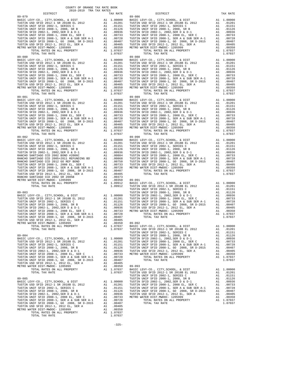| $89 - 079$     | TAX RATE |        |
|----------------|----------|--------|
|                |          | 89-086 |
|                |          |        |
|                |          |        |
|                |          |        |
|                |          |        |
|                |          |        |
|                |          |        |
|                |          |        |
|                |          |        |
|                |          |        |
|                |          |        |
|                |          |        |
|                |          |        |
| TOTAL TAX RATE | 1.07037  |        |
| $89 - 080$     |          | 89-088 |
|                |          |        |
|                |          |        |
|                |          |        |
|                |          |        |
|                |          |        |
|                |          |        |
|                |          |        |
|                |          |        |
|                |          |        |
|                |          |        |
|                |          |        |
|                |          |        |
| TOTAL TAX RATE | 1.07037  |        |
|                |          |        |
|                |          |        |
|                |          |        |
|                |          |        |
|                |          |        |
|                |          |        |
|                |          |        |
|                |          |        |
|                |          |        |
|                |          |        |
|                |          |        |
|                |          |        |
|                |          |        |
|                |          |        |
|                |          |        |
|                |          |        |
|                |          |        |
|                |          |        |
|                |          |        |
|                |          |        |
|                |          |        |
|                |          |        |
|                |          |        |
|                |          |        |
|                |          |        |
|                |          |        |
|                |          |        |
|                |          |        |
|                |          |        |
|                |          |        |
|                |          |        |
|                |          |        |
|                |          |        |
|                |          |        |
| $89 - 083$     |          | TUSTIN |
|                |          |        |
|                |          |        |
|                |          |        |
|                |          |        |
|                |          |        |
|                |          |        |
|                |          |        |
|                |          |        |
|                |          |        |
|                |          |        |
|                |          |        |
|                |          |        |
|                |          |        |
| TOTAL TAX RATE | 1.07037  | TUSTIN |
|                |          | TUSTIN |
| $89 - 084$     |          | TUSTIN |
|                |          |        |
|                |          |        |
|                |          |        |
|                |          |        |
|                |          |        |
|                |          |        |
|                |          |        |
|                |          |        |
|                |          |        |
|                |          |        |
|                |          |        |
|                |          |        |
| TOTAL TAX RATE | 1.07037  | TUSTIN |
|                |          | TUSTIN |
| $89 - 085$     |          | TUSTIN |
|                |          |        |
|                |          |        |
|                |          |        |
|                |          |        |
|                |          |        |
|                |          |        |
|                |          |        |
|                |          |        |
|                |          |        |
|                |          |        |
|                |          |        |
|                |          |        |

|            | DISTRICT | AUIU-AUIS INA IAA NAIBU |  | TAX RATE | DISTRICT                                                                                                                                                                                                                                                                                              | TAX RATE |
|------------|----------|-------------------------|--|----------|-------------------------------------------------------------------------------------------------------------------------------------------------------------------------------------------------------------------------------------------------------------------------------------------------------|----------|
| $89 - 079$ |          |                         |  |          | 89-086                                                                                                                                                                                                                                                                                                |          |
|            |          |                         |  |          |                                                                                                                                                                                                                                                                                                       |          |
|            |          |                         |  |          |                                                                                                                                                                                                                                                                                                       |          |
|            |          |                         |  |          |                                                                                                                                                                                                                                                                                                       |          |
|            |          |                         |  |          |                                                                                                                                                                                                                                                                                                       |          |
|            |          |                         |  |          |                                                                                                                                                                                                                                                                                                       |          |
|            |          |                         |  |          |                                                                                                                                                                                                                                                                                                       |          |
|            |          |                         |  |          |                                                                                                                                                                                                                                                                                                       |          |
|            |          |                         |  |          |                                                                                                                                                                                                                                                                                                       |          |
|            |          |                         |  |          |                                                                                                                                                                                                                                                                                                       |          |
|            |          |                         |  |          |                                                                                                                                                                                                                                                                                                       |          |
|            |          |                         |  |          |                                                                                                                                                                                                                                                                                                       |          |
|            |          |                         |  |          |                                                                                                                                                                                                                                                                                                       |          |
|            |          |                         |  |          |                                                                                                                                                                                                                                                                                                       |          |
|            |          |                         |  |          |                                                                                                                                                                                                                                                                                                       |          |
|            |          |                         |  |          |                                                                                                                                                                                                                                                                                                       |          |
|            |          |                         |  |          |                                                                                                                                                                                                                                                                                                       |          |
| $89 - 082$ |          |                         |  |          | $89 - 090$                                                                                                                                                                                                                                                                                            |          |
|            |          |                         |  |          |                                                                                                                                                                                                                                                                                                       |          |
|            |          |                         |  |          |                                                                                                                                                                                                                                                                                                       |          |
|            |          |                         |  |          |                                                                                                                                                                                                                                                                                                       |          |
|            |          |                         |  |          |                                                                                                                                                                                                                                                                                                       |          |
|            |          |                         |  |          |                                                                                                                                                                                                                                                                                                       |          |
|            |          |                         |  |          |                                                                                                                                                                                                                                                                                                       |          |
|            |          |                         |  |          |                                                                                                                                                                                                                                                                                                       |          |
|            |          |                         |  |          | $\begin{tabular}{cccccccc} $89-081$ & $107037$ & $107037$ & $107037$ & $107037$ & $107037$ & $107037$ & $107037$ & $107037$ & $107037$ & $107037$ & $107037$ \\ \hline 889-082 & $10701$ & $107037$ & $107030$ & $107030$ & $107030$ & $107030$ & $107030$ & $107030$ \\ \hline 709778 & $10701$ & $$ |          |
|            |          |                         |  |          |                                                                                                                                                                                                                                                                                                       |          |
|            |          |                         |  |          |                                                                                                                                                                                                                                                                                                       |          |
|            |          |                         |  |          |                                                                                                                                                                                                                                                                                                       |          |
|            |          |                         |  |          |                                                                                                                                                                                                                                                                                                       |          |
|            |          |                         |  |          |                                                                                                                                                                                                                                                                                                       |          |
|            |          |                         |  |          |                                                                                                                                                                                                                                                                                                       |          |
|            |          |                         |  |          |                                                                                                                                                                                                                                                                                                       |          |
|            |          |                         |  |          |                                                                                                                                                                                                                                                                                                       |          |
|            |          |                         |  |          |                                                                                                                                                                                                                                                                                                       |          |
|            |          |                         |  |          |                                                                                                                                                                                                                                                                                                       |          |
|            |          |                         |  |          |                                                                                                                                                                                                                                                                                                       |          |
|            |          |                         |  |          |                                                                                                                                                                                                                                                                                                       |          |
|            |          |                         |  |          |                                                                                                                                                                                                                                                                                                       |          |
|            |          |                         |  |          |                                                                                                                                                                                                                                                                                                       |          |
|            |          |                         |  |          |                                                                                                                                                                                                                                                                                                       |          |
|            |          |                         |  |          |                                                                                                                                                                                                                                                                                                       |          |
|            |          |                         |  |          |                                                                                                                                                                                                                                                                                                       |          |
|            |          |                         |  |          |                                                                                                                                                                                                                                                                                                       |          |
|            |          |                         |  |          |                                                                                                                                                                                                                                                                                                       |          |
|            |          |                         |  |          |                                                                                                                                                                                                                                                                                                       |          |

 $-325-$ 

COUNTY OF ORANGE TAX RATE BOOK 2018-2019 TRA TAX RATES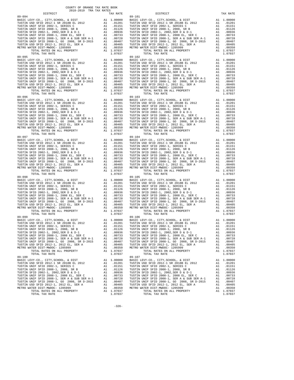89-099<br>
BASIC LEVY-CO., CITY, SCHOOL, & DIST A1 1.00000<br>
TUSTIN USD SFID 2012-1 SR 2018B EL 2012 A1 .01201<br>
TUSTIN UNIF SFID 2002-1, SRRIES AN .01151<br>
TUSTIN UNIF SFID 2008-1, 2008, SR B A1 .01126<br>
TUSTIN SFID 2002-1, 2002 89-100 89-107

 COUNTY OF ORANGE TAX RATE BOOK 2018-2019 TRA TAX RATES DISTRICT TAX RATE DISTRICT TAX RATE 89-094<br>
BASIC LEVY-CO., CITY, SCHOOL, & DIST<br>
TUSTIN USI SFID 2012 -1, 2018 BL 2012<br>
TUSTIN UNIF SFID 2002-1, SERIES C<br>
TUSTIN UNIF SFID 2002-1, 2002, SER D & D-1<br>
TUSTIN UNIF SFID 2002-1, 2002, SER D & D-1<br>
TUSTIN SFID 20 BASIC LEVY-CO., CITY,SCHOOL, & DIST A1 1.00000 BASIC LEVY-CO., CITY,SCHOOL, & DIST A1 1.00000 TUSTIN USD SFID 2012-1 SR 2018B EL 2012 A1 .01201 TUSTIN USD SFID 2012-1 SR 2018B EL 2012 A1 .01201 TUSTIN UNIF SFID 2002-1, SERIES C A1 .01151 TUSTIN UNIF SFID 2002-1, SERIES C A1 .01151 TUSTIN UNIF SFID 2008-1, 2008, SR B A1 .01126 TUSTIN UNIF SFID 2008-1, 2008, SR B A1 .01126 TUSTIN SFID 2002-1, 2002,SER D & D-1 A1 .00936 TUSTIN SFID 2002-1, 2002,SER D & D-1 A1 .00936 TUSTIN UNIF SFID 2008-1, 2008 EL, SER C A1 .00733 TUSTIN UNIF SFID 2008-1, 2008 EL, SER C A1 .00733 TUSTIN UNIF SFID 2008-1, SER A & SUB SER A-1 A1 .00728 TUSTIN UNIF SFID 2008-1, SER A & SUB SER A-1 A1 .00728 TUSTIN UNIF SFID 2008-1, GO 2008, SR D-2015 A1 .00407 TUSTIN UNIF SFID 2008-1, GO 2008, SR D-2015 A1 .00407 TUSTIN USD SFID 2012-1, 2012 EL, SER A A1 .00405 TUSTIN USD SFID 2012-1, 2012 EL, SER A A1 .00405 METRO WATER DIST-MWDOC- 1205999 A1 .00350 METRO WATER DIST-MWDOC- 1205999 A1 .00350 TOTAL RATES ON ALL PROPERTY A1 1.07037 TOTAL RATES ON ALL PROPERTY A1 1.07037 TOTAL TAX RATE 1.07037 TOTAL TAX RATE 1.07037 89-095<br>
BASIC LEVY-CO., CITY, SCHOOL, & DIST<br>
TUSTIN USD SFID 2012-1 SR 2018B EL 2012<br>
TUSTIN UNIF SFID 2002-1, SERIES C<br>
TUSTIN UNIF SFID 2002-1, SERIES C<br>
TUSTIN UNIF SFID 2002-1, 2008, SR B<br>
TUSTIN UNIF SFID 2008-1, 200 TUSTIN UNIF SFID 2008-1, SER A & SUB SER A-1 A1 .00728 TUSTIN UNIF SFID 2008-1, SER A & SUB SER A-1 A1 .00728 TUSTIN UNIF SFID 2008-1, GO 2008, SR D-2015 A1 .00407 TUSTIN UNIF SFID 2008-1, GO 2008, SR D-2015 A1 .00407 TUSTIN UNIF SFID 2008-1, 2008 BL, SER D A1 .00330 TUSTIN UNIF SFID 2008-1, 2008 EL, SER A A SUB SER A-1 .00733 TUSTIN UNIF SFID 2008-1, SER A A SUB SER A-1 .00733 TUSTIN UNIF SFID 2008-1, SER A A SUB SER A-1 .00728 TUSTIN METRO METRO WAT UNIVERSION AND CONSUMER DISTINUISH ON A MATER DISTLE 2012-1, 2012 EL, SER A<br>A1 .00350 METRO WATER DIST-MWDOC- 1205999 A1 .00350 METRO WATER DIST-MWDOC- 1205999 A1 .00350<br>TOTAL RATES ON ALL PROPERTY A1 1.070 TOTAL RATES ON ALL PROPERTY A1 1.07037 TOTAL RATES ON ALL PROPERTY A1 1.07037 TOTAL TAX RATE 1.07037 TOTAL TAX RATE 1.07037 89–096<br>
BASIC LEVY-CO., CITY, SCHOOL, & DIST<br>
TUSTIN USD SFID 2012–1 SR 2018B EL 2012<br>
TUSTIN USD SFID 2002–1, SERIES C<br>
TUSTIN UNIF SFID 2002–1, SERIES C<br>
TUSTIN UNIF SFID 2002–1, 2008, SR B<br>
TUSTIN USD SFID 2002–1, 2008, TUSTIN UNIF SFID 2008-1, SER A & SUB SER A-1 A1 .00728 TUSTIN UNIF SFID 2008-1, SER A & SUB SER A-1 A1 .00728<br>TUSTIN UNIF SFID 2008-1, GO 2008, SR D-2015 A1 .00407 TUSTIN UNIF SFID 2008-1, GO 2008, SR D-2015 A1 .00407<br>TUST TUSTIN UNIF SFID 2008-1, SER A & SUB SER A-1  $1.07037$ <br>
TUSTIN UNIF SFID 2008-1, SER A & SUB SER A-1 A1 .00728 TUSTIN UNIF SFID 2008-1, SER A & SUB SER A-1 A1 .00723<br>
TUSTIN UNIF SFID 2008-1, 2009-1, 2009-1, 2009-1, 2009- 89-097 89-104 BASIC LEVY-CO., CITY,SCHOOL, & DIST A1 1.00000 BASIC LEVY-CO., CITY,SCHOOL, & DIST A1 1.00000  $\begin{tabular}{l|c|c|c|c|c|c} \hline \texttt{TUSTIN USD SFD 2012-1 SR 2018B EL 2012} & \texttt{A1} & .01201 & \texttt{TUSTIN USD SFD 2012-1 SR 2018B EL 2012} & \texttt{A1} & .01201 \\ \hline \texttt{TUSTIN UNIF SFD 2002-1, SERRES C} & \texttt{A1} & .01151 & \texttt{TUSTIN UNIF SFD 2002-1, SERRES C} & \texttt{A1} & .01151 \\ \hline \texttt{TUSTIN SUPI FSTD 2002-1,$  89-098 89-105 BASIC LEVY-CO., CITY,SCHOOL, & DIST A1 1.00000 BASIC LEVY-CO., CITY,SCHOOL, & DIST A1 1.00000 TUSTIN USD SFID 2012-1 SR 2018B EL 2012 A1 .01201 TUSTIN USD SFID 2012-1 SR 2018B EL 2012 A1 .01201 TUSTIN UNIF SFID 2002-1, SERIES C A1 .01151 TUSTIN UNIF SFID 2002-1, SERIES C A1 .01151 TUSTIN UNIF SFID 2008-1, 2008, SR B A1 .01126 TUSTIN UNIF SFID 2008-1, 2008, SR B A1 .01126 TUSTIN SFID 2002-1, 2002,SER D & D-1 A1 .00936 TUSTIN SFID 2002-1, 2002,SER D & D-1 A1 .00936 TUSTIN UNIF SFID 2008-1, 2008 EL, SER C A1 .00733 TUSTIN UNIF SFID 2008-1, 2008 EL, SER C A1 .00733 TUSTIN UNIF SFID 2008-1, SER A & SUB SER A-1 A1 .00728 TUSTIN UNIF SFID 2008-1, SER A & SUB SER A-1 A1 .00728 TUSTIN UNIF SFID 2008-1, GO 2008, SR D-2015 A1 .00407 TUSTIN UNIF SFID 2008-1, GO 2008, SR D-2015 A1 .00407 TUSTIN USD SFID 2012-1, 2012 EL, SER A A1 .00405 TUSTIN USD SFID 2012-1, 2012 EL, SER A A1 .00405 METRO WATER DIST-MWDOC- 1205999 A1 .00350 METRO WATER DIST-MWDOC- 1205999 A1 .00350 TOTAL RATES ON ALL PROPERTY A1 1.07037 TOTAL RATES ON ALL PROPERTY A1 1.07037 METRO WATER DIST-MWDOC-1205999 A1 .00350 METRO WATER DIST-MWDOC-1205999 A1 .00350<br>TOTAL RATES ON ALL PROPERTY A1 1.07037 TOTAL RATES ON ALL PROPERTY A1 1.07037<br>TOTAL TAX RATE 1.07037 TOTAL TAX RATE 1.07037 99-106 1.07037 9 BASIC LEVY-CO., CITY,SCHOOL, & DIST A1 1.00000 BASIC LEVY-CO., CITY,SCHOOL, & DIST A1 1.00000 TUSTIN USD SFID 2012-1 SR 2018B EL 2012 A1 .01201 TUSTIN USD SFID 2012-1 SR 2018B EL 2012 A1 .01201 TUSTIN UNIF SFID 2002-1, SERIES C A1 .01151 TUSTIN UNIF SFID 2002-1, SERIES C A1 .01151 TUSTIN UNIF SFID 2008-1, 2008, SR B A1 .01126 TUSTIN UNIF SFID 2008-1, 2008, SR B A1 .01126 TUSTIN SFID 2002-1, 2002,SER D & D-1 A1 .00936 TUSTIN SFID 2002-1, 2002,SER D & D-1 A1 .00936 TUSTIN UNIF SFID 2008-1, 2008 EL, SER C<br>
TUSTIN UNIF SFID 2008-1, SER A & SUB SER A-1<br>
TUSTIN UNIF SFID 2008-1, SER A & SUB SER A-1<br>
TUSTIN UNIF SFID 2008-1, SER A & SUB SER A-1<br>
TUSTIN UNIF SFID 2008-1, COO 2008-1, SER A TUSTIN UNIF SFID 2008-1, SER A & SUB SER A-1 A1 .00728 TUSTIN UNIF SFID 2008-1, SER A & SUB SER A-1 A1 .00728 TUSTIN UNIF SFID 2008-1, GO 2008, SR D-2015 A1 .00407 TUSTIN UNIF SFID 2008-1, GO 2008, SR D-2015 A1 .00407 TUSTIN USD SFID 2012-1, 2012 EL, SER A A1 .00405 TUSTIN USD SFID 2012-1, 2012 EL, SER A A1 .00405 METRO WATER DIST-MWDOC- 1205999 A1 .00350 METRO WATER DIST-MWDOC- 1205999 A1 .00350 TOTAL RATES ON ALL PROPERTY A1 1.07037 TOTAL RATES ON ALL PROPERTY A1 1.07037 TOTAL TAX RATE 1.07037 TOTAL TAX RATE 1.07037 BASIC LEVY-CO., CITY,SCHOOL, & DIST A1 1.00000 BASIC LEVY-CO., CITY,SCHOOL, & DIST A1 1.00000 TUSTIN USD SFID 2012-1 SR 2018B EL 2012 A1 .01201 TUSTIN USD SFID 2012-1 SR 2018B EL 2012 A1 .01201 TUSTIN UNIF SFID 2002-1, SERIES C A1 .01151 TUSTIN UNIF SFID 2002-1, SERIES C A1 .01151 TUSTIN UNIF SFID 2008-1, 2008, SR B A1 .01126 TUSTIN UNIF SFID 2008-1, 2008, SR B A1 .01126 TUSTIN SFID 2002-1, 2002,SER D & D-1 A1 .00936 TUSTIN SFID 2002-1, 2002,SER D & D-1 A1 .00936 TUSTIN UNIF SFID 2008-1, 2008 EL, SER C<br>TUSTIN UNIF SFID 2008-1, SER A & SUB SER A-1 A1 .00733 TUSTIN UNIF SFID 2008-1, SER A & SUB SER A-1 A1 .00733<br>TUSTIN UNIF SFID 2008-1, GO 2008, SR D-2015 A1 .00407 TUSTIN UNIF SFID 2 TOTAL RATES ON ALL PROPERTY A1 1.07037 TOTAL RATES ON ALL PROPERTY A1 1.07037 TOTAL TAX RATE 1.07037 TOTAL TAX RATE 1.07037

-326-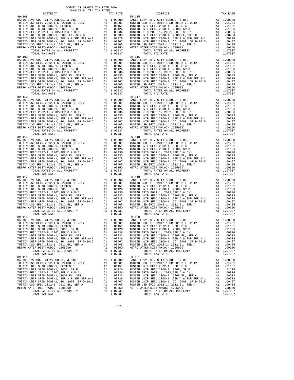| --------<br>89-108                                                                          |    |            | $89 - 115$        |
|---------------------------------------------------------------------------------------------|----|------------|-------------------|
|                                                                                             |    |            |                   |
|                                                                                             |    |            |                   |
|                                                                                             |    |            |                   |
|                                                                                             |    |            |                   |
|                                                                                             |    |            |                   |
|                                                                                             |    |            |                   |
|                                                                                             |    |            |                   |
|                                                                                             |    |            |                   |
|                                                                                             |    |            |                   |
|                                                                                             |    |            |                   |
|                                                                                             |    |            |                   |
| TOTAL TAX RATE                                                                              |    | 1.07037    |                   |
|                                                                                             |    |            |                   |
|                                                                                             |    |            |                   |
|                                                                                             |    |            |                   |
|                                                                                             |    |            |                   |
|                                                                                             |    |            |                   |
|                                                                                             |    |            |                   |
|                                                                                             |    |            |                   |
|                                                                                             |    |            |                   |
|                                                                                             |    |            |                   |
|                                                                                             |    |            |                   |
|                                                                                             |    |            |                   |
|                                                                                             |    |            |                   |
|                                                                                             |    |            |                   |
|                                                                                             |    |            |                   |
|                                                                                             |    |            |                   |
|                                                                                             |    |            |                   |
|                                                                                             |    |            |                   |
|                                                                                             |    |            |                   |
|                                                                                             |    |            |                   |
|                                                                                             |    |            |                   |
|                                                                                             |    |            |                   |
|                                                                                             |    |            |                   |
|                                                                                             |    |            |                   |
|                                                                                             |    |            |                   |
|                                                                                             |    |            |                   |
|                                                                                             |    |            |                   |
|                                                                                             |    |            |                   |
|                                                                                             |    |            |                   |
|                                                                                             |    |            |                   |
|                                                                                             |    |            |                   |
|                                                                                             |    |            |                   |
|                                                                                             |    |            |                   |
|                                                                                             |    |            |                   |
|                                                                                             |    |            |                   |
|                                                                                             |    |            |                   |
|                                                                                             |    |            |                   |
|                                                                                             |    |            |                   |
|                                                                                             |    |            |                   |
|                                                                                             |    |            |                   |
|                                                                                             |    |            |                   |
|                                                                                             |    |            |                   |
|                                                                                             |    |            |                   |
|                                                                                             |    |            |                   |
|                                                                                             |    |            |                   |
|                                                                                             |    |            |                   |
|                                                                                             |    |            |                   |
|                                                                                             |    |            |                   |
|                                                                                             |    |            |                   |
|                                                                                             |    |            |                   |
|                                                                                             |    |            |                   |
|                                                                                             |    |            |                   |
|                                                                                             |    |            |                   |
| TUSTIN SFID 2002-1, 2002, SER D & D-1                                                       | A1 | .00936     | TUSTIN            |
| TUSTIN UNIF SFID 2008-1, 2008 EL, SER C                                                     | A1 | .00733     | TUSTIN            |
|                                                                                             | A1 | .00728     | TUSTIN            |
| TUSTIN UNIF SFID 2008-1, SER A & SUB SER A-1<br>TUSTIN UNIF SFID 2008-1, GO 2008, SR D-2015 | A1 | .00407     | TUSTIN            |
| TUSTIN USD SFID 2012-1, 2012 EL, SER A                                                      |    | A1 .00405  | TUSTIN            |
| METRO WATER DIST-MWDOC- 1205999                                                             | A1 | .00350     | METRO W           |
| TOTAL RATES ON ALL PROPERTY                                                                 |    | A1 1.07037 |                   |
| TOTAL TAX RATE<br>$89 - 114$                                                                |    | 1.07037    |                   |
| BASIC LEVY-CO., CITY, SCHOOL, & DIST                                                        |    | A1 1.00000 | 89-121<br>BASIC L |
| TUSTIN USD SFID 2012-1 SR 2018B EL 2012                                                     |    | A1 .01201  | TUSTIN            |
| TUSTIN UNIF SFID 2002-1, SERIES C                                                           |    | A1 .01151  | TUSTIN            |
| TUSTIN UNIF SFID 2008-1, 2008, SR B                                                         |    | A1 .01126  | TUSTIN            |
| TUSTIN SFID 2002-1, 2002, SER D & D-1                                                       |    | A1.00936   | TUSTIN            |
| TUSTIN UNIF SFID 2008-1, 2008 EL, SER C                                                     | A1 | .00733     | TUSTIN            |
|                                                                                             |    | .00728     | TUSTIN            |
|                                                                                             |    | .00407     | TUSTIN            |
|                                                                                             |    | A1 .00405  | TUSTIN            |
|                                                                                             |    |            | .00350 METRO W    |
|                                                                                             |    | A1 1.07037 |                   |
| TOTAL TAX RATE                                                                              |    | 1.07037    |                   |

| COUNTY OF ORANGE TAX RATE BOOK<br>2018-2019 TRA TAX RATES |          |                                                 |            |
|-----------------------------------------------------------|----------|-------------------------------------------------|------------|
| DISTRICT                                                  | TAX RATE | DISTRICT                                        | TAX RATE   |
|                                                           |          |                                                 |            |
|                                                           |          |                                                 |            |
|                                                           |          |                                                 |            |
|                                                           |          |                                                 |            |
|                                                           |          |                                                 |            |
| BASIC LEVY-CO., CITY, SCHOOL, & DIST                      |          | A1 1.00000 BASIC LEVY-CO., CITY, SCHOOL, & DIST | A1 1.00000 |
|                                                           |          |                                                 |            |

-327-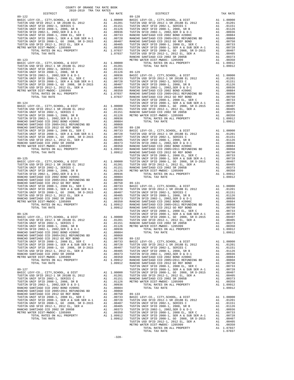| COUNTY OF ORANGE TAX RATE BOOK<br>2018-2019 TRA TAX RATES |          |          |          |
|-----------------------------------------------------------|----------|----------|----------|
| DISTRICT                                                  | TAX RATE | DISTRICT | TAX RATE |
|                                                           |          |          |          |
|                                                           |          |          |          |
|                                                           |          |          |          |
|                                                           |          |          |          |
|                                                           |          |          |          |
|                                                           |          |          |          |
|                                                           |          |          |          |
|                                                           |          |          |          |
|                                                           |          |          |          |
|                                                           |          |          |          |
|                                                           |          |          |          |
|                                                           |          |          |          |
|                                                           |          |          |          |
|                                                           |          |          |          |
|                                                           |          |          |          |
|                                                           |          |          |          |
|                                                           |          |          |          |
|                                                           |          |          |          |
|                                                           |          |          |          |
|                                                           |          |          |          |
|                                                           |          |          |          |
|                                                           |          |          |          |
|                                                           |          |          |          |
|                                                           |          |          |          |
|                                                           |          |          |          |
|                                                           |          |          |          |
|                                                           |          |          |          |
|                                                           |          |          |          |
|                                                           |          |          |          |
|                                                           |          |          |          |
|                                                           |          |          |          |
|                                                           |          |          |          |
|                                                           |          |          |          |
|                                                           |          |          |          |
|                                                           |          |          |          |
|                                                           |          |          |          |
|                                                           |          |          |          |
|                                                           |          |          |          |
|                                                           |          |          |          |
|                                                           |          |          |          |
|                                                           |          |          |          |
|                                                           |          |          |          |
|                                                           |          |          |          |
|                                                           |          |          |          |
|                                                           |          |          |          |
|                                                           |          |          |          |
|                                                           |          |          |          |
|                                                           |          |          |          |
|                                                           |          |          |          |
|                                                           |          |          |          |
|                                                           |          |          |          |
|                                                           |          |          |          |
|                                                           |          |          |          |
|                                                           |          |          |          |
|                                                           |          |          |          |
|                                                           |          |          |          |
|                                                           |          |          |          |
|                                                           |          |          |          |
|                                                           |          |          |          |
|                                                           |          |          |          |
|                                                           |          |          |          |
|                                                           |          |          |          |
|                                                           |          |          |          |
|                                                           |          |          |          |
|                                                           |          |          |          |
|                                                           |          |          |          |
|                                                           |          |          |          |
|                                                           |          |          |          |
|                                                           |          |          |          |
|                                                           |          |          |          |
|                                                           |          |          |          |
|                                                           |          |          |          |
|                                                           |          |          |          |
|                                                           |          |          |          |
|                                                           |          |          |          |
|                                                           |          |          |          |
|                                                           |          |          |          |
|                                                           |          |          |          |
|                                                           |          |          |          |
|                                                           |          |          |          |
|                                                           |          |          |          |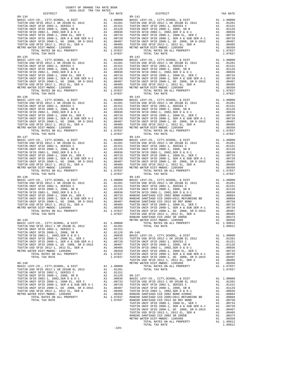| COUNTY OF ORANGE TAX RATE BOOK<br>2018-2019 TRA TAX RATES |          |                 |          |
|-----------------------------------------------------------|----------|-----------------|----------|
| DISTRICT                                                  | TAX RATE | <b>DISTRICT</b> | TAX RATE |
|                                                           |          |                 |          |
|                                                           |          |                 |          |
|                                                           |          |                 |          |
|                                                           |          |                 |          |
|                                                           |          |                 |          |
|                                                           |          |                 |          |
|                                                           |          |                 |          |

-329-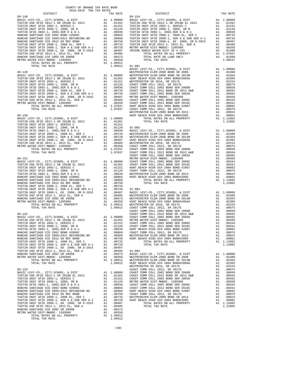| TOTAL TAX RATE                    | $1.09912$ $91-001$                                                                |                    |
|-----------------------------------|-----------------------------------------------------------------------------------|--------------------|
| $89 - 149$                        |                                                                                   | BASIC L<br>WESTMIN |
|                                   |                                                                                   |                    |
|                                   |                                                                                   |                    |
|                                   |                                                                                   |                    |
|                                   |                                                                                   |                    |
|                                   |                                                                                   |                    |
|                                   |                                                                                   |                    |
|                                   |                                                                                   |                    |
|                                   |                                                                                   |                    |
|                                   |                                                                                   |                    |
|                                   |                                                                                   | WESTMIN            |
|                                   |                                                                                   |                    |
|                                   |                                                                                   |                    |
|                                   |                                                                                   |                    |
|                                   |                                                                                   |                    |
|                                   |                                                                                   |                    |
|                                   |                                                                                   |                    |
|                                   |                                                                                   |                    |
|                                   |                                                                                   |                    |
|                                   |                                                                                   |                    |
|                                   |                                                                                   | COAST C            |
|                                   |                                                                                   |                    |
|                                   |                                                                                   |                    |
|                                   |                                                                                   |                    |
|                                   |                                                                                   |                    |
|                                   |                                                                                   |                    |
|                                   |                                                                                   |                    |
|                                   |                                                                                   |                    |
|                                   |                                                                                   |                    |
|                                   |                                                                                   |                    |
|                                   |                                                                                   |                    |
|                                   |                                                                                   |                    |
|                                   |                                                                                   | COAST C            |
|                                   |                                                                                   |                    |
|                                   |                                                                                   |                    |
|                                   |                                                                                   |                    |
|                                   |                                                                                   |                    |
|                                   |                                                                                   |                    |
|                                   |                                                                                   |                    |
|                                   |                                                                                   |                    |
|                                   |                                                                                   |                    |
|                                   |                                                                                   |                    |
|                                   |                                                                                   |                    |
| METRO WATER DIST-MWDOC- 1205999   | A1 .00373 BASIC L<br>A1 .00373 BASIC L<br>A1 .00350 WESTMIN<br>A1 1.09912 HUNT BE |                    |
| TOTAL RATES ON ALL PROPERTY       |                                                                                   |                    |
| TOTAL TAX RATE                    |                                                                                   | WESTMIN            |
| $89 - 153$                        |                                                                                   | COAST C            |
|                                   |                                                                                   |                    |
|                                   |                                                                                   |                    |
|                                   |                                                                                   |                    |
|                                   |                                                                                   |                    |
|                                   |                                                                                   |                    |
|                                   |                                                                                   |                    |
|                                   |                                                                                   |                    |
|                                   |                                                                                   |                    |
| RANCHO SANTIAGO CCD 2002 SR 2005B | A1 .00373                                                                         |                    |
| METRO WATER DIST-MWDOC- 1205999   | A1 .00350                                                                         |                    |
| TOTAL RATES ON ALL PROPERTY       | A1 1.09912                                                                        |                    |
| TOTAL TAX RATE                    | 1.09912                                                                           |                    |

| COUNTY OF ORANGE TAX RATE BOOK<br>2018-2019 TRA TAX RATES |          |                                                                                                                                                                                                                                      |          |
|-----------------------------------------------------------|----------|--------------------------------------------------------------------------------------------------------------------------------------------------------------------------------------------------------------------------------------|----------|
| DISTRICT                                                  | TAX RATE | DISTRICT                                                                                                                                                                                                                             | TAX RATE |
| 89-148                                                    |          | $89 - 154$                                                                                                                                                                                                                           |          |
|                                                           |          |                                                                                                                                                                                                                                      |          |
|                                                           |          |                                                                                                                                                                                                                                      |          |
|                                                           |          |                                                                                                                                                                                                                                      |          |
|                                                           |          |                                                                                                                                                                                                                                      |          |
|                                                           |          |                                                                                                                                                                                                                                      |          |
|                                                           |          |                                                                                                                                                                                                                                      |          |
|                                                           |          |                                                                                                                                                                                                                                      |          |
|                                                           |          |                                                                                                                                                                                                                                      |          |
|                                                           |          |                                                                                                                                                                                                                                      |          |
|                                                           |          |                                                                                                                                                                                                                                      |          |
|                                                           |          |                                                                                                                                                                                                                                      |          |
|                                                           |          |                                                                                                                                                                                                                                      |          |
|                                                           |          |                                                                                                                                                                                                                                      |          |
|                                                           |          |                                                                                                                                                                                                                                      |          |
|                                                           |          |                                                                                                                                                                                                                                      |          |
|                                                           |          |                                                                                                                                                                                                                                      |          |
|                                                           |          |                                                                                                                                                                                                                                      |          |
|                                                           |          |                                                                                                                                                                                                                                      |          |
|                                                           |          |                                                                                                                                                                                                                                      |          |
|                                                           |          |                                                                                                                                                                                                                                      |          |
|                                                           |          |                                                                                                                                                                                                                                      |          |
|                                                           |          |                                                                                                                                                                                                                                      |          |
|                                                           |          |                                                                                                                                                                                                                                      |          |
|                                                           |          |                                                                                                                                                                                                                                      |          |
|                                                           |          |                                                                                                                                                                                                                                      |          |
|                                                           |          |                                                                                                                                                                                                                                      |          |
|                                                           |          |                                                                                                                                                                                                                                      |          |
|                                                           |          |                                                                                                                                                                                                                                      |          |
|                                                           |          |                                                                                                                                                                                                                                      |          |
|                                                           |          |                                                                                                                                                                                                                                      |          |
|                                                           |          |                                                                                                                                                                                                                                      |          |
|                                                           |          |                                                                                                                                                                                                                                      |          |
|                                                           |          |                                                                                                                                                                                                                                      |          |
|                                                           |          |                                                                                                                                                                                                                                      |          |
|                                                           |          |                                                                                                                                                                                                                                      |          |
|                                                           |          |                                                                                                                                                                                                                                      |          |
|                                                           |          |                                                                                                                                                                                                                                      |          |
|                                                           |          |                                                                                                                                                                                                                                      |          |
|                                                           |          |                                                                                                                                                                                                                                      |          |
|                                                           |          |                                                                                                                                                                                                                                      |          |
|                                                           |          |                                                                                                                                                                                                                                      |          |
|                                                           |          |                                                                                                                                                                                                                                      |          |
|                                                           |          |                                                                                                                                                                                                                                      |          |
|                                                           |          |                                                                                                                                                                                                                                      |          |
|                                                           |          |                                                                                                                                                                                                                                      |          |
|                                                           |          |                                                                                                                                                                                                                                      |          |
|                                                           |          |                                                                                                                                                                                                                                      |          |
|                                                           |          |                                                                                                                                                                                                                                      |          |
|                                                           |          |                                                                                                                                                                                                                                      |          |
|                                                           |          |                                                                                                                                                                                                                                      |          |
|                                                           |          |                                                                                                                                                                                                                                      |          |
|                                                           |          |                                                                                                                                                                                                                                      |          |
|                                                           |          |                                                                                                                                                                                                                                      |          |
|                                                           |          |                                                                                                                                                                                                                                      |          |
|                                                           |          | <b>AGINE AGENT MATHEMATIC STREET AGENCY.</b> A 1983-1989<br>TO A 1999 CONFIGURATION CONTINUES IN A 1993 CONFIGURATION CONFIGURATION CONFIGURATION CONFIGURATION CONFIGURATION CONFIGURATION CONFIGURATION CONFIGURATION CONFIGURATIO |          |
|                                                           |          |                                                                                                                                                                                                                                      |          |
|                                                           |          |                                                                                                                                                                                                                                      |          |
|                                                           |          |                                                                                                                                                                                                                                      |          |
|                                                           |          |                                                                                                                                                                                                                                      |          |
|                                                           |          |                                                                                                                                                                                                                                      |          |
|                                                           |          |                                                                                                                                                                                                                                      |          |
|                                                           |          |                                                                                                                                                                                                                                      |          |
|                                                           |          |                                                                                                                                                                                                                                      |          |
|                                                           |          |                                                                                                                                                                                                                                      |          |
|                                                           |          |                                                                                                                                                                                                                                      |          |
|                                                           |          |                                                                                                                                                                                                                                      |          |
|                                                           |          |                                                                                                                                                                                                                                      |          |
|                                                           |          |                                                                                                                                                                                                                                      |          |
|                                                           |          |                                                                                                                                                                                                                                      |          |
|                                                           |          |                                                                                                                                                                                                                                      |          |
|                                                           |          |                                                                                                                                                                                                                                      |          |
|                                                           |          |                                                                                                                                                                                                                                      |          |
|                                                           |          |                                                                                                                                                                                                                                      |          |
|                                                           |          |                                                                                                                                                                                                                                      |          |
|                                                           |          |                                                                                                                                                                                                                                      |          |
|                                                           |          |                                                                                                                                                                                                                                      |          |
|                                                           |          |                                                                                                                                                                                                                                      |          |

-330-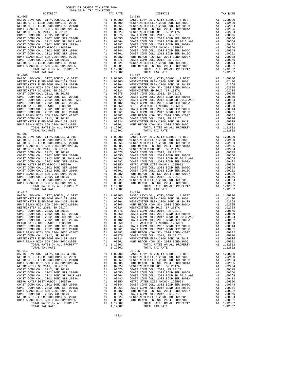| TOTAL TAX RATE<br>$91 - 006$                                                                                           |                                                                                                                                                                                                                                                                                                                                                                                                       | 1.12802                                                                                                                                                                                                                                                         |            |
|------------------------------------------------------------------------------------------------------------------------|-------------------------------------------------------------------------------------------------------------------------------------------------------------------------------------------------------------------------------------------------------------------------------------------------------------------------------------------------------------------------------------------------------|-----------------------------------------------------------------------------------------------------------------------------------------------------------------------------------------------------------------------------------------------------------------|------------|
| BASIC LEVY-CO., CITY, SCHOOL, & DIST                                                                                   | 91-022<br>A1 1.00000 BASIC L1<br>A1 02364<br>M1 02364<br>M2305 WESTMIN<br>A1 02364<br>MESTMIN<br>A1 02365 WESTMIN<br>A1 00252 WESTMIN<br>A1 00655 COAST C<br>A1 00564 COAST C<br>A1 00350 METRO W<br>A1 00344 COAST C<br>A1 00244 COAST C<br>A1 00024 GOAS                                                                                                                                            |                                                                                                                                                                                                                                                                 | $91 - 022$ |
| WESTMINSTER ELEM-2008 BOND SR 2009                                                                                     |                                                                                                                                                                                                                                                                                                                                                                                                       |                                                                                                                                                                                                                                                                 |            |
| WESTMINSTER ELEM-2008 BOND SR 2013B                                                                                    |                                                                                                                                                                                                                                                                                                                                                                                                       |                                                                                                                                                                                                                                                                 |            |
| HUNT BEACH HIGH SCH 2004 BOND#2004A                                                                                    |                                                                                                                                                                                                                                                                                                                                                                                                       |                                                                                                                                                                                                                                                                 |            |
| WESTMINSTER SD 2016, SR 2017A                                                                                          |                                                                                                                                                                                                                                                                                                                                                                                                       |                                                                                                                                                                                                                                                                 |            |
| COAST COMM COLL 2012, SR 2017E                                                                                         |                                                                                                                                                                                                                                                                                                                                                                                                       |                                                                                                                                                                                                                                                                 |            |
| COAST COMM COLL 2002 BOND SER 2006B<br>COAST COMM COLL 20012 BOND SR 2013 A&B<br>COAST COMM COLL 2012 BOND SR 2013 A&B |                                                                                                                                                                                                                                                                                                                                                                                                       |                                                                                                                                                                                                                                                                 |            |
| COAST COMM COLL 2002 BOND SER 2003A                                                                                    |                                                                                                                                                                                                                                                                                                                                                                                                       |                                                                                                                                                                                                                                                                 |            |
| METRO WATER DIST-MWDOC- 1205999                                                                                        |                                                                                                                                                                                                                                                                                                                                                                                                       |                                                                                                                                                                                                                                                                 |            |
| COAST COMM COLL 2002 BOND SER 2006C                                                                                    |                                                                                                                                                                                                                                                                                                                                                                                                       |                                                                                                                                                                                                                                                                 |            |
| COAST COMM COLL 2012 BOND SER 2016C                                                                                    |                                                                                                                                                                                                                                                                                                                                                                                                       |                                                                                                                                                                                                                                                                 |            |
| HUNT BEACH HIGH SCH 2004 BOND #2007                                                                                    |                                                                                                                                                                                                                                                                                                                                                                                                       |                                                                                                                                                                                                                                                                 |            |
| COAST COMM COLL 2012, SR 2017D                                                                                         |                                                                                                                                                                                                                                                                                                                                                                                                       |                                                                                                                                                                                                                                                                 |            |
| WESTMINSTER ELEM-2008 BOND SR 2013<br>HUNT BEACH HIGH SCH 2004 BOND#2005                                               |                                                                                                                                                                                                                                                                                                                                                                                                       |                                                                                                                                                                                                                                                                 |            |
| TOTAL RATES ON ALL PROPERTY                                                                                            |                                                                                                                                                                                                                                                                                                                                                                                                       |                                                                                                                                                                                                                                                                 |            |
| TOTAL TAX RATE                                                                                                         |                                                                                                                                                                                                                                                                                                                                                                                                       | 1.12802                                                                                                                                                                                                                                                         |            |
| $91 - 007$                                                                                                             |                                                                                                                                                                                                                                                                                                                                                                                                       |                                                                                                                                                                                                                                                                 | $91 - 023$ |
| BASIC LEVY-CO., CITY, SCHOOL, & DIST                                                                                   |                                                                                                                                                                                                                                                                                                                                                                                                       |                                                                                                                                                                                                                                                                 |            |
| WESTMINSTER ELEM-2008 BOND SR 2009                                                                                     |                                                                                                                                                                                                                                                                                                                                                                                                       |                                                                                                                                                                                                                                                                 |            |
| WESTMINSTER ELEM-2008 BOND SR 2013B                                                                                    |                                                                                                                                                                                                                                                                                                                                                                                                       |                                                                                                                                                                                                                                                                 |            |
| HUNT BEACH HIGH SCH 2004 BOND#2004A                                                                                    |                                                                                                                                                                                                                                                                                                                                                                                                       |                                                                                                                                                                                                                                                                 |            |
| WESTMINSTER SD 2016, SR 2017A<br>COAST COMM COLL 2012, SR 2017E                                                        |                                                                                                                                                                                                                                                                                                                                                                                                       |                                                                                                                                                                                                                                                                 |            |
| COAST COMM COLL 2002 BOND SER 2006B                                                                                    |                                                                                                                                                                                                                                                                                                                                                                                                       |                                                                                                                                                                                                                                                                 |            |
| COAST COMM COLL 2012 BOND SR 2013 A&B<br>COAST COMM COLL 2002 BOND SER 2003A                                           |                                                                                                                                                                                                                                                                                                                                                                                                       |                                                                                                                                                                                                                                                                 |            |
|                                                                                                                        |                                                                                                                                                                                                                                                                                                                                                                                                       |                                                                                                                                                                                                                                                                 |            |
| METRO WATER DIST-MWDOC- 1205999                                                                                        |                                                                                                                                                                                                                                                                                                                                                                                                       |                                                                                                                                                                                                                                                                 |            |
| COAST COMM COLL 2002 BOND SER 2006C                                                                                    |                                                                                                                                                                                                                                                                                                                                                                                                       |                                                                                                                                                                                                                                                                 |            |
| COAST COMM COLL 2012 BOND SER 2016C<br>HUNT BEACH HIGH SCH 2004 BOND #2007                                             |                                                                                                                                                                                                                                                                                                                                                                                                       |                                                                                                                                                                                                                                                                 |            |
| COAST COMM COLL 2012, SR 2017D                                                                                         |                                                                                                                                                                                                                                                                                                                                                                                                       |                                                                                                                                                                                                                                                                 |            |
| WESTMINSTER ELEM-2008 BOND SR 2013                                                                                     |                                                                                                                                                                                                                                                                                                                                                                                                       |                                                                                                                                                                                                                                                                 |            |
| HUNT BEACH HIGH SCH 2004 BOND#2005                                                                                     |                                                                                                                                                                                                                                                                                                                                                                                                       |                                                                                                                                                                                                                                                                 |            |
| TOTAL RATES ON ALL PROPERTY                                                                                            |                                                                                                                                                                                                                                                                                                                                                                                                       |                                                                                                                                                                                                                                                                 |            |
| TOTAL TAX RATE                                                                                                         | $\begin{tabular}{cc} 1.12802 \\ \text{Al} & 0.0000 \\ \text{Al} & 0.2400 \\ \text{Al} & 0.2364 \\ \text{Al} & 0.2305 \\ \text{Al} & 0.2305 \\ \text{Al} & 0.2224 \\ \text{Al} & 0.02524 \\ \text{Al} & 0.00675 \\ \text{Al} & 0.00650 \\ \text{Al} & 0.00650 \\ \text{Al} & 0.0054 \\ \text{Al} & 0.0054 \\ \text{Al} & 0.0344 \\ \text{Al} & 0.0344 \\ \text{$                                       | 1.12802                                                                                                                                                                                                                                                         |            |
| $91 - 012$                                                                                                             | $\begin{tabular}{cc} $91$--024$ \\ \hline \text{A1} & .02400 & \text{WESTML} \\ \text{A1} & .02400 & \text{WESTMLN} \\ \text{A1} & .02364 & \text{WESTMIN} \\ \text{A1} & .02305 & \text{HUNT BES} \\ \text{A1} & .00675 & \text{COAST C} \\ \text{A1} & .00650 & \text{COAST C} \\ \text{A1} & .00654 & \text{COAST C} \\ \text{A1} & .00482 & \text{COAST C} \\ \text{A1} & .00482 & \text{COAST C$ |                                                                                                                                                                                                                                                                 | $91 - 024$ |
| BASIC LEVY-CO., CITY, SCHOOL, & DIST                                                                                   |                                                                                                                                                                                                                                                                                                                                                                                                       |                                                                                                                                                                                                                                                                 |            |
| WESTMINSTER ELEM-2008 BOND SR 2009<br>WESTMINSTER ELEM-2008 BOND SR 2013B                                              |                                                                                                                                                                                                                                                                                                                                                                                                       |                                                                                                                                                                                                                                                                 |            |
| HUNT BEACH HIGH SCH 2004 BOND#2004A                                                                                    |                                                                                                                                                                                                                                                                                                                                                                                                       |                                                                                                                                                                                                                                                                 |            |
| WESTMINSTER SD 2016, SR 2017A                                                                                          |                                                                                                                                                                                                                                                                                                                                                                                                       |                                                                                                                                                                                                                                                                 |            |
| COAST COMM COLL 2012, SR 2017E                                                                                         |                                                                                                                                                                                                                                                                                                                                                                                                       |                                                                                                                                                                                                                                                                 |            |
| COAST COMM COLL 2002 BOND SER 2006B                                                                                    |                                                                                                                                                                                                                                                                                                                                                                                                       |                                                                                                                                                                                                                                                                 |            |
| COAST COMM COLL 2012 BOND SR 2013 A&B                                                                                  |                                                                                                                                                                                                                                                                                                                                                                                                       |                                                                                                                                                                                                                                                                 |            |
| COAST COMM COLL 2002 BOND SER 2003A<br>METRO WATER DIST-MWDOC- 1205999                                                 |                                                                                                                                                                                                                                                                                                                                                                                                       |                                                                                                                                                                                                                                                                 |            |
| COAST COMM COLL 2002 BOND SER 2006C                                                                                    |                                                                                                                                                                                                                                                                                                                                                                                                       |                                                                                                                                                                                                                                                                 |            |
| COAST COMM COLL 2012 BOND SER 2016C                                                                                    |                                                                                                                                                                                                                                                                                                                                                                                                       |                                                                                                                                                                                                                                                                 |            |
| HUNT BEACH HIGH SCH 2004 BOND #2007                                                                                    |                                                                                                                                                                                                                                                                                                                                                                                                       |                                                                                                                                                                                                                                                                 |            |
| COAST COMM COLL 2012, SR 2017D                                                                                         |                                                                                                                                                                                                                                                                                                                                                                                                       |                                                                                                                                                                                                                                                                 |            |
| WESTMINSTER ELEM-2008 BOND SR 2013                                                                                     |                                                                                                                                                                                                                                                                                                                                                                                                       |                                                                                                                                                                                                                                                                 |            |
| HUNT BEACH HIGH SCH 2004 BOND#2005                                                                                     |                                                                                                                                                                                                                                                                                                                                                                                                       |                                                                                                                                                                                                                                                                 |            |
| TOTAL RATES ON ALL PROPERTY                                                                                            |                                                                                                                                                                                                                                                                                                                                                                                                       | A1 1.12802                                                                                                                                                                                                                                                      |            |
| TOTAL TAX RATE                                                                                                         |                                                                                                                                                                                                                                                                                                                                                                                                       | 1.12802                                                                                                                                                                                                                                                         |            |
| $91 - 013$<br>BASIC LEVY-CO., CITY, SCHOOL, & DIST                                                                     |                                                                                                                                                                                                                                                                                                                                                                                                       |                                                                                                                                                                                                                                                                 | $91 - 025$ |
| WESTMINSTER ELEM-2008 BOND SR 2009                                                                                     |                                                                                                                                                                                                                                                                                                                                                                                                       |                                                                                                                                                                                                                                                                 |            |
| WESTMINSTER ELEM-2008 BOND SR 2013B                                                                                    |                                                                                                                                                                                                                                                                                                                                                                                                       |                                                                                                                                                                                                                                                                 |            |
| HUNT BEACH HIGH SCH 2004 BOND#2004A                                                                                    |                                                                                                                                                                                                                                                                                                                                                                                                       | A1 1.00000 BASIC L<br>A1 .02400 WESTMIN<br>A1 .02364 WESTMIN<br>A1 .02305 HUNT BE<br>A1 .02224 WESTMIN<br>A1 .00675 COAST C                                                                                                                                     |            |
| WESTMINSTER SD 2016, SR 2017A                                                                                          |                                                                                                                                                                                                                                                                                                                                                                                                       |                                                                                                                                                                                                                                                                 |            |
| COAST COMM COLL 2012, SR 2017E                                                                                         |                                                                                                                                                                                                                                                                                                                                                                                                       |                                                                                                                                                                                                                                                                 |            |
| COAST COMM COLL 2002 BOND SER 2006B                                                                                    |                                                                                                                                                                                                                                                                                                                                                                                                       | A1 .00675 COAST C<br>A1 .00550 COAST C<br>A1 .00564 COAST C<br>A1 .00482 COAST C<br>A1 .00350 METRO M<br>A1 .00261 COAST C<br>A1 .00262 HUNT BE<br>A1 .00024 HUNT BA1 .00024 MESTMIN<br>A1 .00024 MESTMIN<br>A1 .00024 MESTMIN<br>A1 .00024 MESTMIN<br>A1 .0002 |            |
| COAST COMM COLL 2012 BOND SR 2013 A&B<br>COAST COMM COLL 2002 BOND SER 2003A                                           |                                                                                                                                                                                                                                                                                                                                                                                                       |                                                                                                                                                                                                                                                                 |            |
| METRO WATER DIST-MWDOC- 1205999                                                                                        |                                                                                                                                                                                                                                                                                                                                                                                                       |                                                                                                                                                                                                                                                                 |            |
| COAST COMM COLL 2002 BOND SER 2006C                                                                                    |                                                                                                                                                                                                                                                                                                                                                                                                       |                                                                                                                                                                                                                                                                 |            |
| COAST COMM COLL 2012 BOND SER 2016C                                                                                    |                                                                                                                                                                                                                                                                                                                                                                                                       |                                                                                                                                                                                                                                                                 |            |
| HUNT BEACH HIGH SCH 2004 BOND #2007                                                                                    |                                                                                                                                                                                                                                                                                                                                                                                                       |                                                                                                                                                                                                                                                                 |            |
| COAST COMM COLL 2012, SR 2017D                                                                                         |                                                                                                                                                                                                                                                                                                                                                                                                       |                                                                                                                                                                                                                                                                 |            |
| WESTMINSTER ELEM-2008 BOND SR 2013                                                                                     |                                                                                                                                                                                                                                                                                                                                                                                                       |                                                                                                                                                                                                                                                                 |            |
| HUNT BEACH HIGH SCH 2004 BOND#2005                                                                                     |                                                                                                                                                                                                                                                                                                                                                                                                       |                                                                                                                                                                                                                                                                 |            |
| TOTAL RATES ON ALL PROPERTY                                                                                            |                                                                                                                                                                                                                                                                                                                                                                                                       |                                                                                                                                                                                                                                                                 |            |

| COUNTY OF ORANGE TAX RATE BOOK<br>2018-2019 TRA TAX RATES |          |            |          |
|-----------------------------------------------------------|----------|------------|----------|
| DISTRICT                                                  | TAX RATE | DISTRICT   | TAX RATE |
| $91 - 005$                                                |          | $91 - 018$ |          |
|                                                           |          |            |          |
|                                                           |          |            |          |
|                                                           |          |            |          |
|                                                           |          |            |          |
|                                                           |          |            |          |
|                                                           |          |            |          |
|                                                           |          |            |          |
|                                                           |          |            |          |
|                                                           |          |            |          |
|                                                           |          |            |          |
|                                                           |          |            |          |
|                                                           |          |            |          |
|                                                           |          |            |          |
|                                                           |          |            |          |
|                                                           |          |            |          |
|                                                           |          |            |          |
|                                                           |          |            |          |
|                                                           |          |            |          |
|                                                           |          |            |          |
|                                                           |          |            |          |
|                                                           |          |            |          |
|                                                           |          |            |          |
|                                                           |          |            |          |
|                                                           |          |            |          |
|                                                           |          |            |          |
|                                                           |          |            |          |
|                                                           |          |            |          |
|                                                           |          |            |          |
|                                                           |          |            |          |
|                                                           |          |            |          |
|                                                           |          |            |          |
|                                                           |          |            |          |
|                                                           |          |            |          |
|                                                           |          |            |          |
|                                                           |          |            |          |
|                                                           |          |            |          |
| $91 - 012$                                                |          | $91 - 024$ |          |
|                                                           |          |            |          |
|                                                           |          |            |          |
|                                                           |          |            |          |
|                                                           |          |            |          |
|                                                           |          |            |          |
|                                                           |          |            |          |
|                                                           |          |            |          |
|                                                           |          |            |          |
|                                                           |          |            |          |
|                                                           |          |            |          |
|                                                           |          |            |          |
|                                                           |          |            |          |
|                                                           |          |            |          |
|                                                           |          |            |          |
|                                                           |          |            |          |
|                                                           |          |            |          |
|                                                           |          |            |          |
|                                                           |          |            |          |
|                                                           |          |            |          |
|                                                           |          |            |          |
|                                                           |          |            |          |
|                                                           |          |            |          |
|                                                           |          |            |          |
|                                                           |          |            |          |
|                                                           |          |            |          |